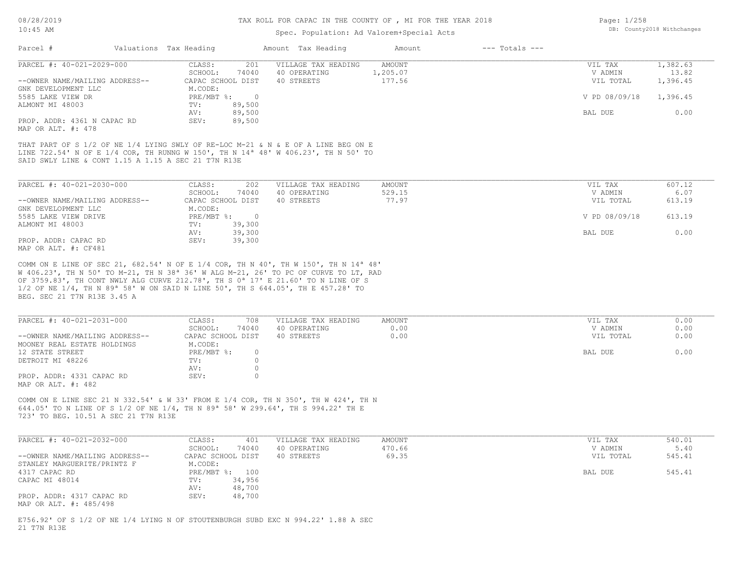#### TAX ROLL FOR CAPAC IN THE COUNTY OF , MI FOR THE YEAR 2018

### Spec. Population: Ad Valorem+Special Acts

| Page: 1/258 |                            |
|-------------|----------------------------|
|             | DB: County2018 Withchanges |

| Parcel #                       | Valuations Tax Heading |                   | Amount Tax Heading                                                                            | Amount   | $---$ Totals $---$ |               |          |
|--------------------------------|------------------------|-------------------|-----------------------------------------------------------------------------------------------|----------|--------------------|---------------|----------|
| PARCEL #: 40-021-2029-000      | CLASS:                 | 201               | VILLAGE TAX HEADING                                                                           | AMOUNT   |                    | VIL TAX       | 1,382.63 |
|                                | SCHOOL:                | 74040             | 40 OPERATING                                                                                  | 1,205.07 |                    | V ADMIN       | 13.82    |
| --OWNER NAME/MAILING ADDRESS-- |                        | CAPAC SCHOOL DIST | 40 STREETS                                                                                    | 177.56   |                    | VIL TOTAL     | 1,396.45 |
| GNK DEVELOPMENT LLC            | M.CODE:                |                   |                                                                                               |          |                    |               |          |
| 5585 LAKE VIEW DR              | PRE/MBT %:             | $\Box$            |                                                                                               |          |                    | V PD 08/09/18 | 1,396.45 |
| ALMONT MI 48003                | TV:                    | 89,500            |                                                                                               |          |                    |               |          |
|                                | AV:                    | 89,500            |                                                                                               |          |                    | BAL DUE       | 0.00     |
| PROP. ADDR: 4361 N CAPAC RD    | SEV:                   | 89,500            |                                                                                               |          |                    |               |          |
| MAP OR ALT. #: 478             |                        |                   |                                                                                               |          |                    |               |          |
|                                |                        |                   |                                                                                               |          |                    |               |          |
|                                |                        |                   | THAT PART OF S 1/2 OF NE 1/4 LYING SWLY OF RE-LOC M-21 & N & E OF A LINE BEG ON E             |          |                    |               |          |
|                                |                        |                   | LINE 722.54' N OF E 1/4 COR, TH RUNNG W 150', TH N 14 <sup>a</sup> 48' W 406.23', TH N 50' TO |          |                    |               |          |

SAID SWLY LINE & CONT 1.15 A 1.15 A SEC 21 T7N R13E

| PARCEL #: 40-021-2030-000      | 202<br>CLASS:     | VILLAGE TAX HEADING | AMOUNT | VIL TAX       | 607.12 |
|--------------------------------|-------------------|---------------------|--------|---------------|--------|
|                                | 74040<br>SCHOOL:  | 40 OPERATING        | 529.15 | V ADMIN       | 6.07   |
| --OWNER NAME/MAILING ADDRESS-- | CAPAC SCHOOL DIST | 40 STREETS          | 77.97  | VIL TOTAL     | 613.19 |
| GNK DEVELOPMENT LLC            | M.CODE:           |                     |        |               |        |
| 5585 LAKE VIEW DRIVE           | $PRE/MBT$ %:      |                     |        | V PD 08/09/18 | 613.19 |
| ALMONT MI 48003                | 39,300<br>TV:     |                     |        |               |        |
|                                | 39,300<br>AV:     |                     |        | BAL DUE       | 0.00   |
| PROP. ADDR: CAPAC RD           | 39,300<br>SEV:    |                     |        |               |        |
| MAP OR ALT. #: CF481           |                   |                     |        |               |        |

BEG. SEC 21 T7N R13E 3.45 A 1/2 OF NE 1/4, TH N 89ª 58' W ON SAID N LINE 50', TH S 644.05', TH E 457.28' TO OF 3759.83', TH CONT NWLY ALG CURVE 212.78', TH S 0ª 17' E 21.60' TO N LINE OF S W 406.23', TH N 50' TO M-21, TH N 38ª 36' W ALG M-21, 26' TO PC OF CURVE TO LT, RAD COMM ON E LINE OF SEC 21, 682.54' N OF E 1/4 COR, TH N 40', TH W 150', TH N 14ª 48'

| PARCEL #: 40-021-2031-000      | CLASS:<br>708     | VILLAGE TAX HEADING | AMOUNT | VIL TAX   | 0.00 |
|--------------------------------|-------------------|---------------------|--------|-----------|------|
|                                | 74040<br>SCHOOL:  | 40 OPERATING        | 0.00   | V ADMIN   | 0.00 |
| --OWNER NAME/MAILING ADDRESS-- | CAPAC SCHOOL DIST | 40 STREETS          | 0.00   | VIL TOTAL | 0.00 |
| MOONEY REAL ESTATE HOLDINGS    | M.CODE:           |                     |        |           |      |
| 12 STATE STREET                | PRE/MBT %:        |                     |        | BAL DUE   | 0.00 |
| DETROIT MI 48226               | TV:               |                     |        |           |      |
|                                | AV:               |                     |        |           |      |
| PROP. ADDR: 4331 CAPAC RD      | SEV:              |                     |        |           |      |
| MAP OR ALT. #: 482             |                   |                     |        |           |      |

723' TO BEG. 10.51 A SEC 21 T7N R13E 644.05' TO N LINE OF S 1/2 OF NE 1/4, TH N 89ª 58' W 299.64', TH S 994.22' TH E COMM ON E LINE SEC 21 N 332.54' & W 33' FROM E 1/4 COR, TH N 350', TH W 424', TH N

| PARCEL #: 40-021-2032-000      | CLASS:<br>401     | VILLAGE TAX HEADING | AMOUNT | VIL TAX   | 540.01 |
|--------------------------------|-------------------|---------------------|--------|-----------|--------|
|                                | 74040<br>SCHOOL:  | 40 OPERATING        | 470.66 | V ADMIN   | 5.40   |
| --OWNER NAME/MAILING ADDRESS-- | CAPAC SCHOOL DIST | 40 STREETS          | 69.35  | VIL TOTAL | 545.41 |
| STANLEY MARGUERITE/PRINTZ F    | M.CODE:           |                     |        |           |        |
| 4317 CAPAC RD                  | PRE/MBT %: 100    |                     |        | BAL DUE   | 545.41 |
| CAPAC MI 48014                 | 34,956<br>TV:     |                     |        |           |        |
|                                | 48,700<br>AV:     |                     |        |           |        |
| PROP. ADDR: 4317 CAPAC RD      | 48,700<br>SEV:    |                     |        |           |        |
| MAP OR ALT. #: 485/498         |                   |                     |        |           |        |

21 T7N R13E E756.92' OF S 1/2 OF NE 1/4 LYING N OF STOUTENBURGH SUBD EXC N 994.22' 1.88 A SEC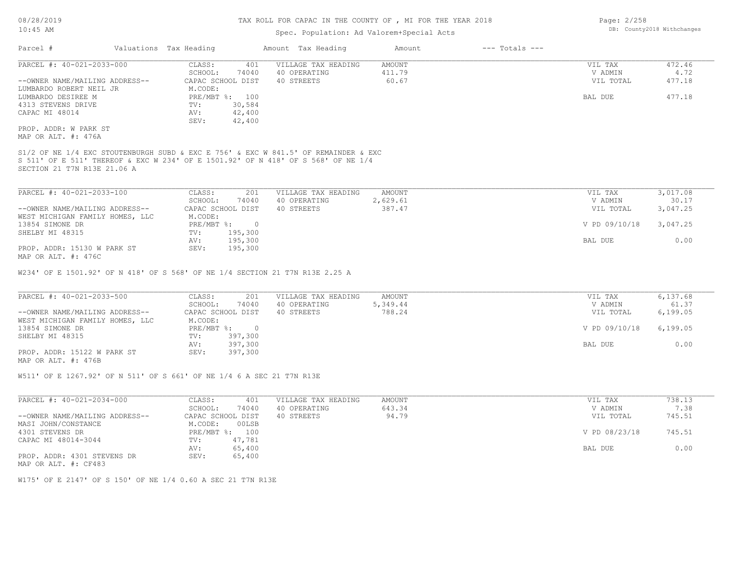## Spec. Population: Ad Valorem+Special Acts

| Parcel #                       | Valuations Tax Heading |        | Amount Tax Heading                                                                  | Amount   | $---$ Totals $---$ |            |                                               |
|--------------------------------|------------------------|--------|-------------------------------------------------------------------------------------|----------|--------------------|------------|-----------------------------------------------|
| PARCEL #: 40-021-2033-000      | CLASS:                 | 401    | VILLAGE TAX HEADING                                                                 | AMOUNT   |                    | VIL TAX    | 472.46                                        |
|                                | SCHOOL:                | 74040  | 40 OPERATING                                                                        | 411.79   |                    | V ADMIN    | 4.72                                          |
| --OWNER NAME/MAILING ADDRESS-- | CAPAC SCHOOL DIST      |        | 40 STREETS                                                                          | 60.67    |                    | VIL TOTAL  | 477.18                                        |
| LUMBARDO ROBERT NEIL JR        | M.CODE:                |        |                                                                                     |          |                    |            |                                               |
| LUMBARDO DESIREE M             | $PRE/MBT$ %:           | 100    |                                                                                     |          |                    | BAL DUE    | 477.18                                        |
| 4313 STEVENS DRIVE             | TV:                    | 30,584 |                                                                                     |          |                    |            |                                               |
| CAPAC MI 48014                 | AV:                    | 42,400 |                                                                                     |          |                    |            |                                               |
|                                | SEV:                   | 42,400 |                                                                                     |          |                    |            |                                               |
| PROP. ADDR: W PARK ST          |                        |        |                                                                                     |          |                    |            |                                               |
| MAP OR ALT. #: 476A            |                        |        |                                                                                     |          |                    |            |                                               |
|                                |                        |        | S1/2 OF NE 1/4 EXC STOUTENBURGH SUBD & EXC E 756' & EXC W 841.5' OF REMAINDER & EXC |          |                    |            |                                               |
|                                |                        |        | S 511' OF E 511' THEREOF & EXC W 234' OF E 1501.92' OF N 418' OF S 568' OF NE 1/4   |          |                    |            |                                               |
| SECTION 21 T7N R13E 21.06 A    |                        |        |                                                                                     |          |                    |            |                                               |
|                                |                        |        |                                                                                     |          |                    |            |                                               |
| PARCEL #: 40-021-2033-100      | CLASS:                 | 201    | VILLAGE TAX HEADING                                                                 | AMOUNT   |                    | VIL TAX    | 3,017.08                                      |
|                                | SCHOOL:                | 74040  | 40 OPERATING                                                                        | 2,629.61 |                    | V ADMIN    | 30.17                                         |
| AMNED NAME (MAIT THE ADDECE    | CADAC COUCOT DICE      |        | 40 contro                                                                           | 207 17   |                    | TITT MOMAT | $\begin{array}{c} \circ \\ \circ \end{array}$ |

| --OWNER NAME/MAILING ADDRESS--  |            | CAPAC SCHOOL DIST | 40 STREETS | 387.47 | VIL TOTAL              | 3,047.25 |
|---------------------------------|------------|-------------------|------------|--------|------------------------|----------|
| WEST MICHIGAN FAMILY HOMES, LLC | M.CODE:    |                   |            |        |                        |          |
| 13854 SIMONE DR                 | PRE/MBT %: | $\overline{0}$    |            |        | V PD 09/10/18 3,047.25 |          |
| SHELBY MI 48315                 | TV:        | 195,300           |            |        |                        |          |
|                                 | AV:        | 195,300           |            |        | BAL DUE                | 0.00     |
| PROP. ADDR: 15130 W PARK ST     | SEV:       | 195,300           |            |        |                        |          |
| MAP OR ALT. #: 476C             |            |                   |            |        |                        |          |

W234' OF E 1501.92' OF N 418' OF S 568' OF NE 1/4 SECTION 21 T7N R13E 2.25 A

| PARCEL #: 40-021-2033-500       | CLASS:<br>201     | VILLAGE TAX HEADING | AMOUNT   | VIL TAX       | 6,137.68  |
|---------------------------------|-------------------|---------------------|----------|---------------|-----------|
|                                 | 74040<br>SCHOOL:  | 40 OPERATING        | 5,349.44 | V ADMIN       | 61.37     |
| --OWNER NAME/MAILING ADDRESS--  | CAPAC SCHOOL DIST | 40 STREETS          | 788.24   | VIL TOTAL     | 6,199.05  |
| WEST MICHIGAN FAMILY HOMES, LLC | M.CODE:           |                     |          |               |           |
| 13854 SIMONE DR                 | $PRE/MBT$ %:      |                     |          | V PD 09/10/18 | 6, 199.05 |
| SHELBY MI 48315                 | 397,300<br>TV:    |                     |          |               |           |
|                                 | 397,300<br>AV:    |                     |          | BAL DUE       | 0.00      |
| PROP. ADDR: 15122 W PARK ST     | 397,300<br>SEV:   |                     |          |               |           |
| MAP OR ALT. #: 476B             |                   |                     |          |               |           |

W511' OF E 1267.92' OF N 511' OF S 661' OF NE 1/4 6 A SEC 21 T7N R13E

| PARCEL #: 40-021-2034-000      | CLASS:<br>401     | VILLAGE TAX HEADING | AMOUNT | VIL TAX       | 738.13 |
|--------------------------------|-------------------|---------------------|--------|---------------|--------|
|                                | 74040<br>SCHOOL:  | 40 OPERATING        | 643.34 | V ADMIN       | 7.38   |
| --OWNER NAME/MAILING ADDRESS-- | CAPAC SCHOOL DIST | 40 STREETS          | 94.79  | VIL TOTAL     | 745.51 |
| MASI JOHN/CONSTANCE            | 00LSB<br>M.CODE:  |                     |        |               |        |
| 4301 STEVENS DR                | PRE/MBT %:<br>100 |                     |        | V PD 08/23/18 | 745.51 |
| CAPAC MI 48014-3044            | 47,781<br>TV:     |                     |        |               |        |
|                                | 65,400<br>AV:     |                     |        | BAL DUE       | 0.00   |
| PROP. ADDR: 4301 STEVENS DR    | 65,400<br>SEV:    |                     |        |               |        |
| MAP OR ALT. #: CF483           |                   |                     |        |               |        |

W175' OF E 2147' OF S 150' OF NE 1/4 0.60 A SEC 21 T7N R13E

Page: 2/258 DB: County2018 Withchanges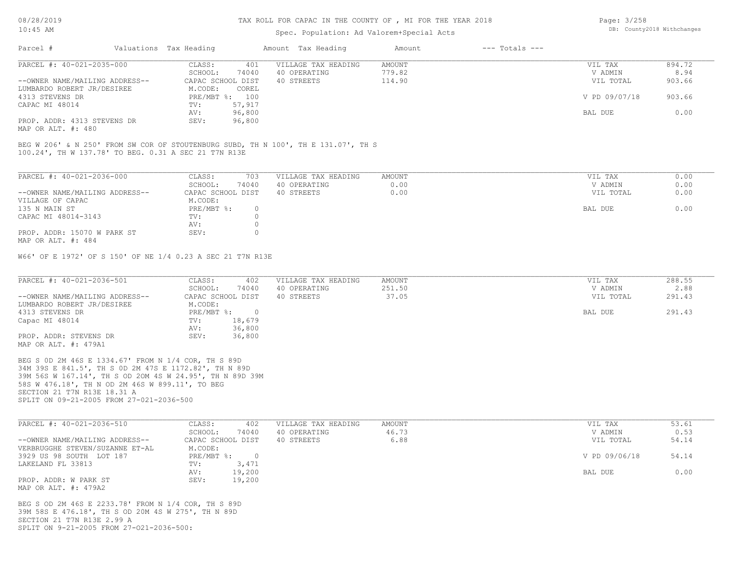## Spec. Population: Ad Valorem+Special Acts

| Page: 3/258 |                            |
|-------------|----------------------------|
|             | DB: County2018 Withchanges |

| Parcel #                       | Valuations Tax Heading |                   | Amount Tax Heading  | Amount | $---$ Totals $---$ |               |        |
|--------------------------------|------------------------|-------------------|---------------------|--------|--------------------|---------------|--------|
| PARCEL #: 40-021-2035-000      | CLASS:                 | 401               | VILLAGE TAX HEADING | AMOUNT |                    | VIL TAX       | 894.72 |
|                                | SCHOOL:                | 74040             | 40 OPERATING        | 779.82 |                    | V ADMIN       | 8.94   |
| --OWNER NAME/MAILING ADDRESS-- |                        | CAPAC SCHOOL DIST | 40 STREETS          | 114.90 |                    | VIL TOTAL     | 903.66 |
| LUMBARDO ROBERT JR/DESIREE     | M.CODE:                | COREL             |                     |        |                    |               |        |
| 4313 STEVENS DR                |                        | PRE/MBT %: 100    |                     |        |                    | V PD 09/07/18 | 903.66 |
| CAPAC MI 48014                 | TV:                    | 57,917            |                     |        |                    |               |        |
|                                | AV:                    | 96,800            |                     |        |                    | BAL DUE       | 0.00   |
| PROP. ADDR: 4313 STEVENS DR    | SEV:                   | 96,800            |                     |        |                    |               |        |
| MAP OR ALT. #: 480             |                        |                   |                     |        |                    |               |        |

100.24', TH W 137.78' TO BEG. 0.31 A SEC 21 T7N R13E BEG W 206' & N 250' FROM SW COR OF STOUTENBURG SUBD, TH N 100', TH E 131.07', TH S

| PARCEL #: 40-021-2036-000      | CLASS:            | 703   | VILLAGE TAX HEADING | AMOUNT | VIL TAX   | 0.00 |
|--------------------------------|-------------------|-------|---------------------|--------|-----------|------|
|                                | SCHOOL:           | 74040 | 40 OPERATING        | 0.00   | V ADMIN   | 0.00 |
| --OWNER NAME/MAILING ADDRESS-- | CAPAC SCHOOL DIST |       | 40 STREETS          | 0.00   | VIL TOTAL | 0.00 |
| VILLAGE OF CAPAC               | M.CODE:           |       |                     |        |           |      |
| 135 N MAIN ST                  | PRE/MBT %:        |       |                     |        | BAL DUE   | 0.00 |
| CAPAC MI 48014-3143            | TV:               |       |                     |        |           |      |
|                                | AV:               |       |                     |        |           |      |
| PROP. ADDR: 15070 W PARK ST    | SEV:              |       |                     |        |           |      |
| MAP OR ALT. #: 484             |                   |       |                     |        |           |      |

W66' OF E 1972' OF S 150' OF NE 1/4 0.23 A SEC 21 T7N R13E

| PARCEL #: 40-021-2036-501                                | CLASS:<br>402     | VILLAGE TAX HEADING | AMOUNT | VIL TAX   | 288.55 |
|----------------------------------------------------------|-------------------|---------------------|--------|-----------|--------|
|                                                          | 74040<br>SCHOOL:  | 40 OPERATING        | 251.50 | V ADMIN   | 2.88   |
| --OWNER NAME/MAILING ADDRESS--                           | CAPAC SCHOOL DIST | 40 STREETS          | 37.05  | VIL TOTAL | 291.43 |
| LUMBARDO ROBERT JR/DESIREE                               | M.CODE:           |                     |        |           |        |
| 4313 STEVENS DR                                          | PRE/MBT %:        |                     |        | BAL DUE   | 291.43 |
| Capac MI 48014                                           | 18,679<br>TV:     |                     |        |           |        |
|                                                          | 36,800<br>AV:     |                     |        |           |        |
| PROP. ADDR: STEVENS DR                                   | 36,800<br>SEV:    |                     |        |           |        |
| MAP OR ALT. #: 479A1                                     |                   |                     |        |           |        |
| BEG S 0D 2M 46S E 1334.67' FROM N 1/4 COR, TH S 89D      |                   |                     |        |           |        |
| 34M 39S E 841.5', TH S OD 2M 47S E 1172.82', TH N 89D    |                   |                     |        |           |        |
| 39M 56S W 167.14', TH S OD 20M 4S W 24.95', TH N 89D 39M |                   |                     |        |           |        |
| 58S W 476.18', TH N OD 2M 46S W 899.11', TO BEG          |                   |                     |        |           |        |
| SECTION 21 T7N R13E 18.31 A                              |                   |                     |        |           |        |
| SPLIT ON 09-21-2005 FROM 27-021-2036-500                 |                   |                     |        |           |        |

| PARCEL #: 40-021-2036-510       | CLASS:<br>402     | VILLAGE TAX HEADING | AMOUNT | VIL TAX       | 53.61 |
|---------------------------------|-------------------|---------------------|--------|---------------|-------|
|                                 | 74040<br>SCHOOL:  | 40 OPERATING        | 46.73  | V ADMIN       | 0.53  |
| --OWNER NAME/MAILING ADDRESS--  | CAPAC SCHOOL DIST | 40 STREETS          | 6.88   | VIL TOTAL     | 54.14 |
| VERBRUGGHE STEVEN/SUZANNE ET-AL | M.CODE:           |                     |        |               |       |
| 3929 US 98 SOUTH LOT 187        | PRE/MBT %:        |                     |        | V PD 09/06/18 | 54.14 |
| LAKELAND FL 33813               | 3,471<br>TV:      |                     |        |               |       |
|                                 | 19,200<br>AV:     |                     |        | BAL DUE       | 0.00  |
| PROP. ADDR: W PARK ST           | SEV:<br>19,200    |                     |        |               |       |
| MAP OR ALT. #: 479A2            |                   |                     |        |               |       |

SECTION 21 T7N R13E 2.99 A 39M 58S E 476.18', TH S OD 20M 4S W 275', TH N 89D

SPLIT ON 9-21-2005 FROM 27-O21-2036-500: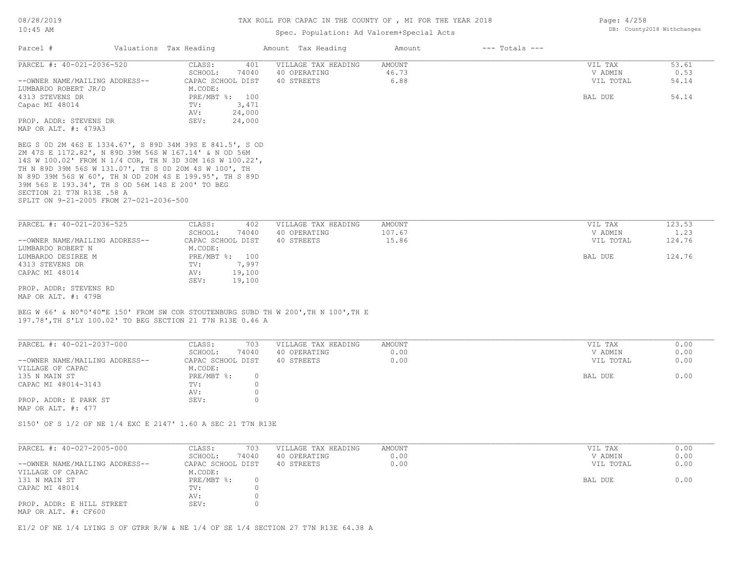# Spec. Population: Ad Valorem+Special Acts

| Parcel #                                                                                                                                                                                                                               | Valuations Tax Heading                                      | Amount Tax Heading                  | Amount                 | $---$ Totals $---$ |                    |                |
|----------------------------------------------------------------------------------------------------------------------------------------------------------------------------------------------------------------------------------------|-------------------------------------------------------------|-------------------------------------|------------------------|--------------------|--------------------|----------------|
| PARCEL #: 40-021-2036-520                                                                                                                                                                                                              | CLASS:<br>401<br>SCHOOL:<br>74040                           | VILLAGE TAX HEADING<br>40 OPERATING | <b>AMOUNT</b><br>46.73 |                    | VIL TAX<br>V ADMIN | 53.61<br>0.53  |
| --OWNER NAME/MAILING ADDRESS--<br>LUMBARDO ROBERT JR/D                                                                                                                                                                                 | CAPAC SCHOOL DIST<br>M.CODE:                                | 40 STREETS                          | 6.88                   |                    | VIL TOTAL          | 54.14          |
| 4313 STEVENS DR                                                                                                                                                                                                                        | PRE/MBT %: 100                                              |                                     |                        |                    | BAL DUE            | 54.14          |
| Capac MI 48014                                                                                                                                                                                                                         | 3,471<br>TV:                                                |                                     |                        |                    |                    |                |
|                                                                                                                                                                                                                                        | AV:<br>24,000<br>SEV:<br>24,000                             |                                     |                        |                    |                    |                |
| PROP. ADDR: STEVENS DR<br>MAP OR ALT. #: 479A3                                                                                                                                                                                         |                                                             |                                     |                        |                    |                    |                |
|                                                                                                                                                                                                                                        |                                                             |                                     |                        |                    |                    |                |
| BEG S OD 2M 46S E 1334.67', S 89D 34M 39S E 841.5', S OD<br>2M 47S E 1172.82', N 89D 39M 56S W 167.14' & N OD 56M<br>14S W 100.02' FROM N 1/4 COR, TH N 3D 30M 16S W 100.22',<br>TH N 89D 39M 56S W 131.07', TH S OD 20M 4S W 100', TH |                                                             |                                     |                        |                    |                    |                |
| N 89D 39M 56S W 60', TH N OD 20M 4S E 199.95', TH S 89D<br>39M 56S E 193.34', TH S OD 56M 14S E 200' TO BEG                                                                                                                            |                                                             |                                     |                        |                    |                    |                |
| SECTION 21 T7N R13E .58 A<br>SPLIT ON 9-21-2005 FROM 27-021-2036-500                                                                                                                                                                   |                                                             |                                     |                        |                    |                    |                |
|                                                                                                                                                                                                                                        |                                                             |                                     |                        |                    |                    |                |
|                                                                                                                                                                                                                                        |                                                             |                                     |                        |                    |                    |                |
| PARCEL #: 40-021-2036-525                                                                                                                                                                                                              | CLASS:<br>402                                               | VILLAGE TAX HEADING                 | AMOUNT                 |                    | VIL TAX            | 123.53         |
|                                                                                                                                                                                                                                        | SCHOOL:<br>74040                                            | 40 OPERATING<br>40 STREETS          | 107.67<br>15.86        |                    | V ADMIN            | 1.23<br>124.76 |
| --OWNER NAME/MAILING ADDRESS--<br>LUMBARDO ROBERT N                                                                                                                                                                                    | CAPAC SCHOOL DIST<br>M.CODE:                                |                                     |                        |                    | VIL TOTAL          |                |
| LUMBARDO DESIREE M                                                                                                                                                                                                                     | PRE/MBT %: 100                                              |                                     |                        |                    | BAL DUE            | 124.76         |
| 4313 STEVENS DR                                                                                                                                                                                                                        | 7,997<br>TV:                                                |                                     |                        |                    |                    |                |
| CAPAC MI 48014                                                                                                                                                                                                                         | AV:<br>19,100                                               |                                     |                        |                    |                    |                |
|                                                                                                                                                                                                                                        | SEV:<br>19,100                                              |                                     |                        |                    |                    |                |
| PROP. ADDR: STEVENS RD<br>MAP OR ALT. #: 479B                                                                                                                                                                                          |                                                             |                                     |                        |                    |                    |                |
|                                                                                                                                                                                                                                        |                                                             |                                     |                        |                    |                    |                |
| BEG W 66' & NO <sup>a</sup> O'40"E 150' FROM SW COR STOUTENBURG SUBD TH W 200', TH N 100', TH E                                                                                                                                        |                                                             |                                     |                        |                    |                    |                |
| 197.78', TH S'LY 100.02' TO BEG SECTION 21 T7N R13E 0.46 A                                                                                                                                                                             |                                                             |                                     |                        |                    |                    |                |
|                                                                                                                                                                                                                                        |                                                             |                                     |                        |                    |                    |                |
| PARCEL #: 40-021-2037-000                                                                                                                                                                                                              | CLASS:<br>703                                               | VILLAGE TAX HEADING                 | <b>AMOUNT</b>          |                    | VIL TAX            | 0.00           |
|                                                                                                                                                                                                                                        | SCHOOL:<br>74040                                            | 40 OPERATING                        | 0.00                   |                    | V ADMIN            | 0.00           |
| --OWNER NAME/MAILING ADDRESS--                                                                                                                                                                                                         | CAPAC SCHOOL DIST                                           | 40 STREETS                          | 0.00                   |                    | VIL TOTAL          | 0.00           |
| VILLAGE OF CAPAC<br>135 N MAIN ST                                                                                                                                                                                                      | M.CODE:<br>PRE/MBT %:<br>$\circ$                            |                                     |                        |                    | BAL DUE            | 0.00           |
| CAPAC MI 48014-3143                                                                                                                                                                                                                    | $\circ$<br>TV:                                              |                                     |                        |                    |                    |                |
|                                                                                                                                                                                                                                        | AV:<br>$\circ$                                              |                                     |                        |                    |                    |                |
| PROP. ADDR: E PARK ST                                                                                                                                                                                                                  | SEV:<br>$\circ$                                             |                                     |                        |                    |                    |                |
| MAP OR ALT. #: 477                                                                                                                                                                                                                     |                                                             |                                     |                        |                    |                    |                |
|                                                                                                                                                                                                                                        |                                                             |                                     |                        |                    |                    |                |
|                                                                                                                                                                                                                                        | S150' OF S 1/2 OF NE 1/4 EXC E 2147' 1.60 A SEC 21 T7N R13E |                                     |                        |                    |                    |                |
|                                                                                                                                                                                                                                        |                                                             |                                     |                        |                    |                    |                |
| PARCEL #: 40-027-2005-000                                                                                                                                                                                                              | CLASS:<br>703                                               | VILLAGE TAX HEADING                 | <b>AMOUNT</b>          |                    | VIL TAX            | 0.00           |
|                                                                                                                                                                                                                                        | 74040<br>SCHOOL:                                            | 40 OPERATING                        | 0.00                   |                    | V ADMIN            | 0.00           |
| --OWNER NAME/MAILING ADDRESS--                                                                                                                                                                                                         | CAPAC SCHOOL DIST                                           | 40 STREETS                          | 0.00                   |                    | VIL TOTAL          | 0.00           |
| VILLAGE OF CAPAC                                                                                                                                                                                                                       | M.CODE:                                                     |                                     |                        |                    |                    |                |
| 131 N MAIN ST<br>CAPAC MI 48014                                                                                                                                                                                                        | PRE/MBT %:<br>$\circ$<br>$\circ$<br>TV:                     |                                     |                        |                    | BAL DUE            | 0.00           |
|                                                                                                                                                                                                                                        | $\mathbb O$<br>AV:                                          |                                     |                        |                    |                    |                |
| PROP. ADDR: E HILL STREET                                                                                                                                                                                                              | SEV:<br>$\circ$                                             |                                     |                        |                    |                    |                |
|                                                                                                                                                                                                                                        |                                                             |                                     |                        |                    |                    |                |

MAP OR ALT. #: CF600

E1/2 OF NE 1/4 LYING S OF GTRR R/W & NE 1/4 OF SE 1/4 SECTION 27 T7N R13E 64.38 A

Page: 4/258 DB: County2018 Withchanges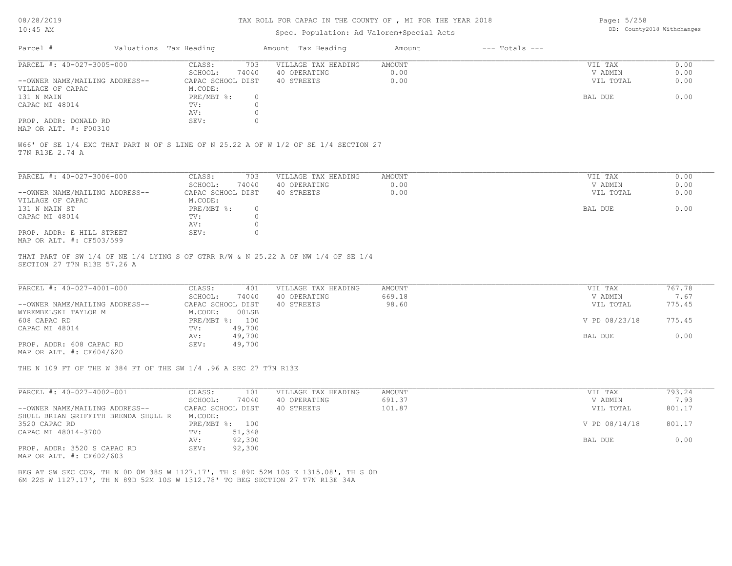#### TAX ROLL FOR CAPAC IN THE COUNTY OF , MI FOR THE YEAR 2018

## Spec. Population: Ad Valorem+Special Acts

Page: 5/258 DB: County2018 Withchanges

| Parcel #                       | Valuations Tax Heading |       | Amount Tax Heading  | Amount | $---$ Totals $---$ |           |      |
|--------------------------------|------------------------|-------|---------------------|--------|--------------------|-----------|------|
| PARCEL #: 40-027-3005-000      | CLASS:                 | 703   | VILLAGE TAX HEADING | AMOUNT |                    | VIL TAX   | 0.00 |
|                                | SCHOOL:                | 74040 | 40 OPERATING        | 0.00   |                    | V ADMIN   | 0.00 |
| --OWNER NAME/MAILING ADDRESS-- | CAPAC SCHOOL DIST      |       | 40 STREETS          | 0.00   |                    | VIL TOTAL | 0.00 |
| VILLAGE OF CAPAC               | M.CODE:                |       |                     |        |                    |           |      |
| 131 N MAIN                     | $PRE/MBT$ %:           |       |                     |        |                    | BAL DUE   | 0.00 |
| CAPAC MI 48014                 | TV:                    |       |                     |        |                    |           |      |
|                                | AV:                    |       |                     |        |                    |           |      |
| PROP. ADDR: DONALD RD          | SEV:                   |       |                     |        |                    |           |      |
| MAP OR ALT. #: F00310          |                        |       |                     |        |                    |           |      |

T7N R13E 2.74 A W66' OF SE 1/4 EXC THAT PART N OF S LINE OF N 25.22 A OF W 1/2 OF SE 1/4 SECTION 27

| PARCEL #: 40-027-3006-000      | CLASS:            | 703      | VILLAGE TAX HEADING | AMOUNT | VIL TAX   | 0.00 |
|--------------------------------|-------------------|----------|---------------------|--------|-----------|------|
|                                | SCHOOL:           | 74040    | 40 OPERATING        | 0.00   | V ADMIN   | 0.00 |
| --OWNER NAME/MAILING ADDRESS-- | CAPAC SCHOOL DIST |          | 40 STREETS          | 0.00   | VIL TOTAL | 0.00 |
| VILLAGE OF CAPAC               | M.CODE:           |          |                     |        |           |      |
| 131 N MAIN ST                  | PRE/MBT %:        | $\Omega$ |                     |        | BAL DUE   | 0.00 |
| CAPAC MI 48014                 | TV:               |          |                     |        |           |      |
|                                | AV:               |          |                     |        |           |      |
| PROP. ADDR: E HILL STREET      | SEV:              |          |                     |        |           |      |
| MAP OR ALT. #: CF503/599       |                   |          |                     |        |           |      |

SECTION 27 T7N R13E 57.26 A THAT PART OF SW 1/4 OF NE 1/4 LYING S OF GTRR R/W & N 25.22 A OF NW 1/4 OF SE 1/4

| PARCEL #: 40-027-4001-000      | CLASS:<br>401     | VILLAGE TAX HEADING | AMOUNT | VIL TAX       | 767.78 |
|--------------------------------|-------------------|---------------------|--------|---------------|--------|
|                                | 74040<br>SCHOOL:  | 40 OPERATING        | 669.18 | V ADMIN       | 7.67   |
| --OWNER NAME/MAILING ADDRESS-- | CAPAC SCHOOL DIST | 40 STREETS          | 98.60  | VIL TOTAL     | 775.45 |
| WYREMBELSKI TAYLOR M           | 00LSB<br>M.CODE:  |                     |        |               |        |
| 608 CAPAC RD                   | PRE/MBT %: 100    |                     |        | V PD 08/23/18 | 775.45 |
| CAPAC MI 48014                 | 49,700<br>TV:     |                     |        |               |        |
|                                | 49,700<br>AV:     |                     |        | BAL DUE       | 0.00   |
| PROP. ADDR: 608 CAPAC RD       | SEV:<br>49,700    |                     |        |               |        |
| MAP OR ALT. #: CF604/620       |                   |                     |        |               |        |

THE N 109 FT OF THE W 384 FT OF THE SW 1/4 .96 A SEC 27 T7N R13E

| PARCEL #: 40-027-4002-001           | CLASS:            | 101    | VILLAGE TAX HEADING | AMOUNT | VIL TAX       | 793.24 |
|-------------------------------------|-------------------|--------|---------------------|--------|---------------|--------|
|                                     | SCHOOL:           | 74040  | 40 OPERATING        | 691.37 | V ADMIN       | 7.93   |
| --OWNER NAME/MAILING ADDRESS--      | CAPAC SCHOOL DIST |        | 40 STREETS          | 101.87 | VIL TOTAL     | 801.17 |
| SHULL BRIAN GRIFFITH BRENDA SHULL R | M.CODE:           |        |                     |        |               |        |
| 3520 CAPAC RD                       | PRE/MBT %:        | 100    |                     |        | V PD 08/14/18 | 801.17 |
| CAPAC MI 48014-3700                 | TV:               | 51,348 |                     |        |               |        |
|                                     | AV:               | 92,300 |                     |        | BAL DUE       | 0.00   |
| PROP. ADDR: 3520 S CAPAC RD         | SEV:              | 92,300 |                     |        |               |        |

MAP OR ALT. #: CF602/603

6M 22S W 1127.17', TH N 89D 52M 10S W 1312.78' TO BEG SECTION 27 T7N R13E 34A BEG AT SW SEC COR, TH N 0D 0M 38S W 1127.17', TH S 89D 52M 10S E 1315.08', TH S 0D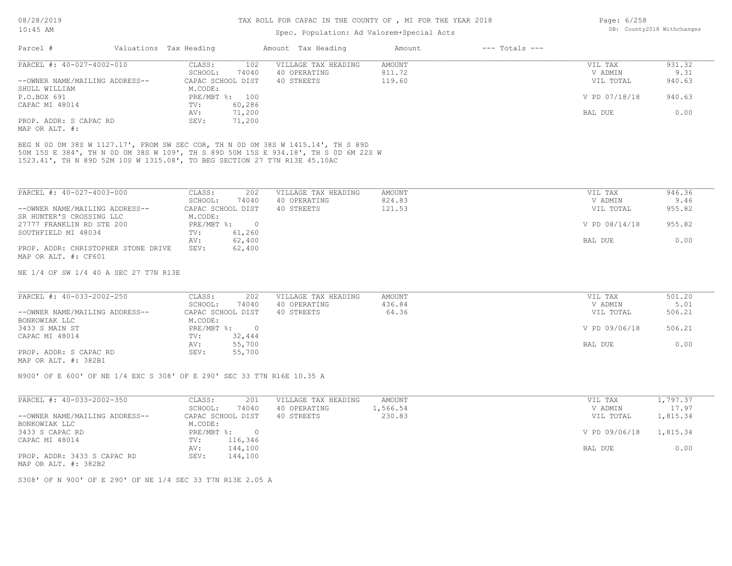## Spec. Population: Ad Valorem+Special Acts

| Parcel #                       | Valuations Tax Heading |                   | Amount Tax Heading  | Amount | $---$ Totals $---$ |               |        |
|--------------------------------|------------------------|-------------------|---------------------|--------|--------------------|---------------|--------|
| PARCEL #: 40-027-4002-010      | CLASS:                 | 102               | VILLAGE TAX HEADING | AMOUNT |                    | VIL TAX       | 931.32 |
|                                | SCHOOL:                | 74040             | 40 OPERATING        | 811.72 |                    | V ADMIN       | 9.31   |
| --OWNER NAME/MAILING ADDRESS-- |                        | CAPAC SCHOOL DIST | 40 STREETS          | 119.60 |                    | VIL TOTAL     | 940.63 |
| SHULL WILLIAM                  | M.CODE:                |                   |                     |        |                    |               |        |
| P.O.BOX 691                    |                        | PRE/MBT %: 100    |                     |        |                    | V PD 07/18/18 | 940.63 |
| CAPAC MI 48014                 | TV:                    | 60,286            |                     |        |                    |               |        |
|                                | AV:                    | 71,200            |                     |        |                    | BAL DUE       | 0.00   |
| PROP. ADDR: S CAPAC RD         | SEV:                   | 71,200            |                     |        |                    |               |        |
|                                |                        |                   |                     |        |                    |               |        |

MAP OR ALT. #:

1523.41', TH N 89D 52M 10S W 1315.08', TO BEG SECTION 27 T7N R13E 45.10AC 50M 15S E 384', TH N 0D 0M 38S W 109', TH S 89D 50M 15S E 934.18', TH S 0D 6M 22S W BEG N 0D 0M 38S W 1127.17', FROM SW SEC COR, TH N 0D 0M 38S W 1415.14', TH S 89D

| PARCEL #: 40-027-4003-000           | CLASS:            | 202      | VILLAGE TAX HEADING | AMOUNT | VIL TAX       | 946.36 |
|-------------------------------------|-------------------|----------|---------------------|--------|---------------|--------|
|                                     | SCHOOL:           | 74040    | 40 OPERATING        | 824.83 | V ADMIN       | 9.46   |
| --OWNER NAME/MAILING ADDRESS--      | CAPAC SCHOOL DIST |          | 40 STREETS          | 121.53 | VIL TOTAL     | 955.82 |
| SR HUNTER'S CROSSING LLC            | M.CODE:           |          |                     |        |               |        |
| 27777 FRANKLIN RD STE 200           | PRE/MBT %:        | $\Omega$ |                     |        | V PD 08/14/18 | 955.82 |
| SOUTHFIELD MI 48034                 | TV:               | 61,260   |                     |        |               |        |
|                                     | AV:               | 62,400   |                     |        | BAL DUE       | 0.00   |
| PROP. ADDR: CHRISTOPHER STONE DRIVE | SEV:              | 62,400   |                     |        |               |        |
| MAP OR ALT. #: CF601                |                   |          |                     |        |               |        |

NE 1/4 OF SW 1/4 40 A SEC 27 T7N R13E

| PARCEL #: 40-033-2002-250               | CLASS:<br>202     | VILLAGE TAX HEADING | AMOUNT | VIL TAX       | 501.20 |
|-----------------------------------------|-------------------|---------------------|--------|---------------|--------|
|                                         | 74040<br>SCHOOL:  | 40 OPERATING        | 436.84 | V ADMIN       | 5.01   |
| --OWNER NAME/MAILING ADDRESS--          | CAPAC SCHOOL DIST | 40 STREETS          | 64.36  | VIL TOTAL     | 506.21 |
| BONKOWIAK LLC                           | M.CODE:           |                     |        |               |        |
| 3433 S MAIN ST                          | $PRE/MBT$ %:      |                     |        | V PD 09/06/18 | 506.21 |
| CAPAC MI 48014                          | 32,444<br>TV:     |                     |        |               |        |
|                                         | 55,700<br>AV:     |                     |        | BAL DUE       | 0.00   |
| PROP. ADDR: S CAPAC RD<br>$\frac{1}{2}$ | 55,700<br>SEV:    |                     |        |               |        |

MAP OR ALT. #: 382B1

N900' OF E 600' OF NE 1/4 EXC S 308' OF E 290' SEC 33 T7N R16E 10.35 A

| PARCEL #: 40-033-2002-350      | 201<br>CLASS:     | VILLAGE TAX HEADING<br>AMOUNT | VIL TAX       | 1,797.37 |
|--------------------------------|-------------------|-------------------------------|---------------|----------|
|                                | 74040<br>SCHOOL:  | 1,566.54<br>40 OPERATING      | V ADMIN       | 17.97    |
| --OWNER NAME/MAILING ADDRESS-- | CAPAC SCHOOL DIST | 230.83<br>40 STREETS          | VIL TOTAL     | 1,815.34 |
| BONKOWIAK LLC                  | M.CODE:           |                               |               |          |
| 3433 S CAPAC RD                | $PRE/MBT$ %:      |                               | V PD 09/06/18 | 1,815.34 |
| CAPAC MI 48014                 | 116,346<br>TV:    |                               |               |          |
|                                | 144,100<br>AV:    |                               | BAL DUE       | 0.00     |
| PROP. ADDR: 3433 S CAPAC RD    | 144,100<br>SEV:   |                               |               |          |
| MAP OR ALT. #: 382B2           |                   |                               |               |          |

S308' OF N 900' OF E 290' OF NE 1/4 SEC 33 T7N R13E 2.05 A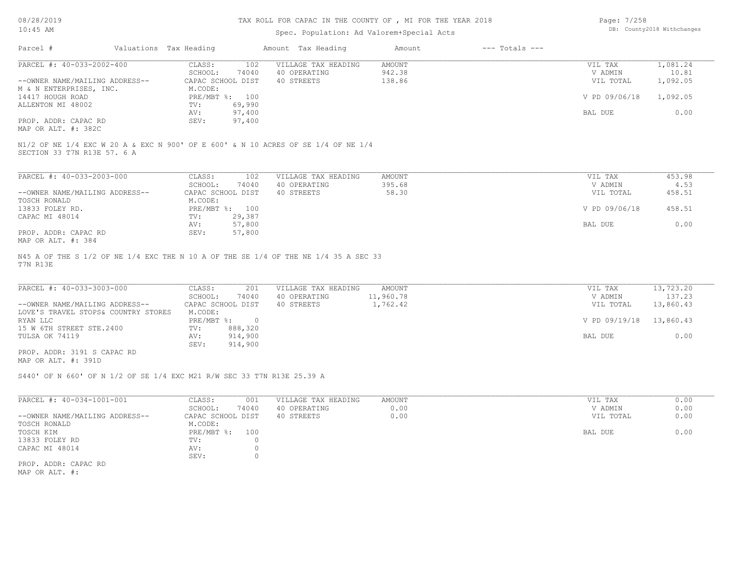#### TAX ROLL FOR CAPAC IN THE COUNTY OF , MI FOR THE YEAR 2018

### Spec. Population: Ad Valorem+Special Acts

| Page: 7/258 |                            |
|-------------|----------------------------|
|             | DB: County2018 Withchanges |

| Parcel #                       | Valuations Tax Heading |        | Amount Tax Heading                                                                | Amount | $---$ Totals $---$ |               |          |
|--------------------------------|------------------------|--------|-----------------------------------------------------------------------------------|--------|--------------------|---------------|----------|
| PARCEL #: 40-033-2002-400      | CLASS:                 | 102    | VILLAGE TAX HEADING                                                               | AMOUNT |                    | VIL TAX       | 1,081.24 |
|                                | SCHOOL:                | 74040  | 40 OPERATING                                                                      | 942.38 |                    | V ADMIN       | 10.81    |
| --OWNER NAME/MAILING ADDRESS-- | CAPAC SCHOOL DIST      |        | 40 STREETS                                                                        | 138.86 |                    | VIL TOTAL     | 1,092.05 |
| M & N ENTERPRISES, INC.        | M.CODE:                |        |                                                                                   |        |                    |               |          |
| 14417 HOUGH ROAD               | PRE/MBT %: 100         |        |                                                                                   |        |                    | V PD 09/06/18 | 1,092.05 |
| ALLENTON MI 48002              | TV:                    | 69,990 |                                                                                   |        |                    |               |          |
|                                | AV:                    | 97,400 |                                                                                   |        |                    | BAL DUE       | 0.00     |
| PROP. ADDR: CAPAC RD           | SEV:                   | 97,400 |                                                                                   |        |                    |               |          |
| MAP OR ALT. #: 382C            |                        |        |                                                                                   |        |                    |               |          |
| SECTION 33 T7N R13E 57. 6 A    |                        |        | N1/2 OF NE 1/4 EXC W 20 A & EXC N 900' OF E 600' & N 10 ACRES OF SE 1/4 OF NE 1/4 |        |                    |               |          |
|                                |                        |        |                                                                                   |        |                    |               |          |
| PARCEL #: 40-033-2003-000      | CLASS:                 | 102    | VILLAGE TAX HEADING                                                               | AMOUNT |                    | VIL TAX       | 453.98   |
|                                | SCHOOL:                | 74040  | 40 OPERATING                                                                      | 395.68 |                    | V ADMIN       | 4.53     |
| --OWNER NAME/MAILING ADDRESS-- | CAPAC SCHOOL DIST      |        | 40 STREETS                                                                        | 58.30  |                    | VIL TOTAL     | 458.51   |
| TOSCH RONALD                   | M.CODE:                |        |                                                                                   |        |                    |               |          |
|                                |                        |        |                                                                                   |        |                    |               |          |

| 13833 FOLEY RD.      | PRE/MBT %: 100 |        | V PD 09/06/18 | 458.51 |
|----------------------|----------------|--------|---------------|--------|
| CAPAC MI 48014       | TV:            | 29,387 |               |        |
|                      | AV:            | 57,800 | BAL DUE       | J.OO   |
| PROP. ADDR: CAPAC RD | SEV:           | 57,800 |               |        |
| MAP OR ALT. #: 384   |                |        |               |        |

T7N R13E N45 A OF THE S 1/2 OF NE 1/4 EXC THE N 10 A OF THE SE 1/4 OF THE NE 1/4 35 A SEC 33

PROP. ADDR: 3191 S CAPAC RD SEV: 914,900 TULSA OK 74119 AV: 914,900 BAL DUE 0.00 15 W 6TH STREET STE.2400 TV: 888,320<br>TULSA OK 74119 AV: 914,900 RYAN LLC PRE/MBT %: 0 V PD 09/19/18 13,860.43 LOVE'S TRAVEL STOPS& COUNTRY STORES M.CODE: --OWNER NAME/MAILING ADDRESS-- CAPAC SCHOOL DIST 40 STREETS 1,762.42 VIL TOTAL 13,860.43 SCHOOL: 74040 40 OPERATING 11,960.78 V ADMIN 137.23 PARCEL #: 40-033-3003-000 CLASS: 201 VILLAGE TAX HEADING AMOUNT AMOUNT VIL TAX 13,723.20<br>SCHOOL: 74040 40 OPERATING 11,960.78 VADMIN 137.23  $\mathcal{L}_\mathcal{L} = \mathcal{L}_\mathcal{L} = \mathcal{L}_\mathcal{L} = \mathcal{L}_\mathcal{L} = \mathcal{L}_\mathcal{L} = \mathcal{L}_\mathcal{L} = \mathcal{L}_\mathcal{L} = \mathcal{L}_\mathcal{L} = \mathcal{L}_\mathcal{L} = \mathcal{L}_\mathcal{L} = \mathcal{L}_\mathcal{L} = \mathcal{L}_\mathcal{L} = \mathcal{L}_\mathcal{L} = \mathcal{L}_\mathcal{L} = \mathcal{L}_\mathcal{L} = \mathcal{L}_\mathcal{L} = \mathcal{L}_\mathcal{L}$ 

MAP OR ALT. #: 391D

S440' OF N 660' OF N 1/2 OF SE 1/4 EXC M21 R/W SEC 33 T7N R13E 25.39 A

| PARCEL #: 40-034-1001-001      | CLASS:<br>001     | VILLAGE TAX HEADING | AMOUNT | VIL TAX   | 0.00 |
|--------------------------------|-------------------|---------------------|--------|-----------|------|
|                                | 74040<br>SCHOOL:  | 40 OPERATING        | 0.00   | V ADMIN   | 0.00 |
| --OWNER NAME/MAILING ADDRESS-- | CAPAC SCHOOL DIST | 40 STREETS          | 0.00   | VIL TOTAL | 0.00 |
| TOSCH RONALD                   | M.CODE:           |                     |        |           |      |
| TOSCH KIM                      | PRE/MBT %:<br>100 |                     |        | BAL DUE   | 0.00 |
| 13833 FOLEY RD                 | TV:               |                     |        |           |      |
| CAPAC MI 48014                 | AV:               |                     |        |           |      |
|                                | SEV:              |                     |        |           |      |
| PROP. ADDR: CAPAC RD           |                   |                     |        |           |      |

MAP OR ALT. #: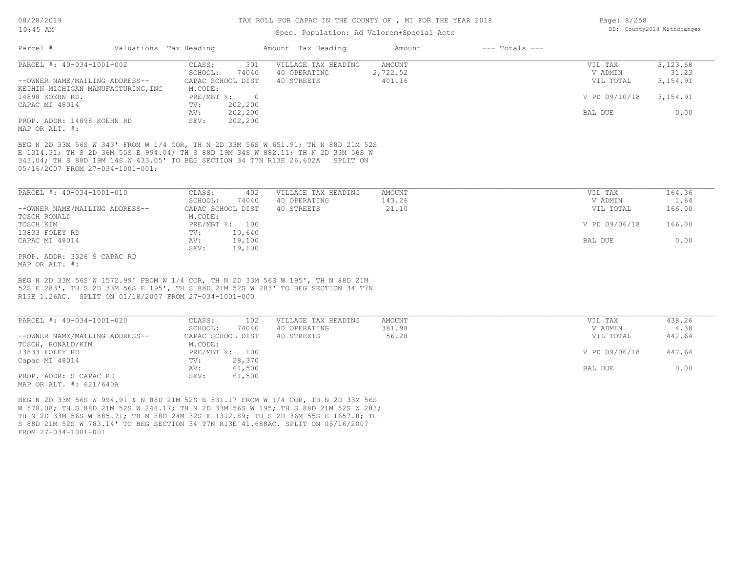## TAX ROLL FOR CAPAC IN THE COUNTY OF , MI FOR THE YEAR 2018

### Spec. Population: Ad Valorem+Special Acts

| 018 | Page: 8/258 |                            |
|-----|-------------|----------------------------|
|     |             | DB: County2018 Withchanges |
|     |             |                            |

| Parcel #                           | Valuations Tax Heading                                                                                                                                                                                                                                    | Amount Tax Heading         | Amount        | $---$ Totals $---$ |               |           |
|------------------------------------|-----------------------------------------------------------------------------------------------------------------------------------------------------------------------------------------------------------------------------------------------------------|----------------------------|---------------|--------------------|---------------|-----------|
| PARCEL #: 40-034-1001-002          | CLASS:                                                                                                                                                                                                                                                    | 301<br>VILLAGE TAX HEADING | AMOUNT        |                    | VIL TAX       | 3,123.68  |
|                                    | SCHOOL:<br>74040                                                                                                                                                                                                                                          | 40 OPERATING               | 2,722.52      |                    | V ADMIN       | 31.23     |
| --OWNER NAME/MAILING ADDRESS--     | CAPAC SCHOOL DIST                                                                                                                                                                                                                                         | 40 STREETS                 | 401.16        |                    | VIL TOTAL     | 3, 154.91 |
| KEIHIN MICHIGAN MANUFACTURING, INC | M.CODE:                                                                                                                                                                                                                                                   |                            |               |                    |               |           |
| 14898 KOEHN RD.                    | PRE/MBT %: 0                                                                                                                                                                                                                                              |                            |               |                    | V PD 09/10/18 | 3, 154.91 |
| CAPAC MI 48014                     | 202,200<br>TV:                                                                                                                                                                                                                                            |                            |               |                    |               |           |
|                                    | 202,200<br>AV:                                                                                                                                                                                                                                            |                            |               |                    | BAL DUE       | 0.00      |
| PROP. ADDR: 14898 KOEHN RD         | 202,200<br>SEV:                                                                                                                                                                                                                                           |                            |               |                    |               |           |
| MAP OR ALT. #:                     |                                                                                                                                                                                                                                                           |                            |               |                    |               |           |
| 05/16/2007 FROM 27-034-1001-001;   | BEG N 2D 33M 56S W 343' FROM W 1/4 COR, TH N 2D 33M 56S W 651.91; TH N 88D 21M 52S<br>E 1314.31; TH S 2D 36M 55S E 994.04; TH S 88D 19M 34S W 882.11; TH N 2D 33M 56S W<br>343.04; TH S 88D 19M 14S W 433.05' TO BEG SECTION 34 T7N R13E 26.602A SPLIT ON |                            |               |                    |               |           |
|                                    |                                                                                                                                                                                                                                                           |                            |               |                    |               |           |
| PARCEL #: 40-034-1001-010          | CLASS:                                                                                                                                                                                                                                                    | VILLAGE TAX HEADING<br>402 | <b>AMOUNT</b> |                    | VIL TAX       | 164.36    |
|                                    | SCHOOL:<br>74040                                                                                                                                                                                                                                          | 40 OPERATING               | 143.26        |                    | V ADMIN       | 1.64      |
| --OWNER NAME/MAILING ADDRESS--     | CAPAC SCHOOL DIST                                                                                                                                                                                                                                         | 40 STREETS                 | 21.10         |                    | VIL TOTAL     | 166.00    |
| TOSCH RONALD                       | M.CODE:                                                                                                                                                                                                                                                   |                            |               |                    |               |           |
| TOSCH KIM                          | PRE/MBT %: 100                                                                                                                                                                                                                                            |                            |               |                    | V PD 09/06/18 | 166.00    |
| 13833 FOLEY RD                     | 10,640<br>TV:                                                                                                                                                                                                                                             |                            |               |                    |               |           |
| CAPAC MI 48014                     | 19,100<br>AV:                                                                                                                                                                                                                                             |                            |               |                    | BAL DUE       | 0.00      |
|                                    | 19,100<br>SEV:                                                                                                                                                                                                                                            |                            |               |                    |               |           |
| PROP. ADDR: 3326 S CAPAC RD        |                                                                                                                                                                                                                                                           |                            |               |                    |               |           |
| MAP OR ALT. #:                     |                                                                                                                                                                                                                                                           |                            |               |                    |               |           |
|                                    | BEG N 2D 33M 56S W 1572.99' FROM W 1/4 COR, TH N 2D 33M 56S W 195', TH N 88D 21M                                                                                                                                                                          |                            |               |                    |               |           |
|                                    | 52S E 283', TH S 2D 33M 56S E 195', TH S 88D 21M 52S W 283' TO BEG SECTION 34 T7N                                                                                                                                                                         |                            |               |                    |               |           |
|                                    | R13E 1.26AC. SPLIT ON 01/18/2007 FROM 27-034-1001-000                                                                                                                                                                                                     |                            |               |                    |               |           |
|                                    |                                                                                                                                                                                                                                                           |                            |               |                    |               |           |
| PARCEL #: 40-034-1001-020          | CLASS:                                                                                                                                                                                                                                                    | VILLAGE TAX HEADING<br>102 | <b>AMOUNT</b> |                    | VIL TAX       | 438.26    |
|                                    | SCHOOL:<br>74040                                                                                                                                                                                                                                          | 40 OPERATING               | 381.98        |                    | V ADMIN       | 4.38      |
| --OWNER NAME/MAILING ADDRESS--     | CAPAC SCHOOL DIST                                                                                                                                                                                                                                         | 40 STREETS                 | 56.28         |                    | VIL TOTAL     | 442.64    |
| TOSCH, RONALD/KIM                  | M.CODE:                                                                                                                                                                                                                                                   |                            |               |                    |               |           |
| 13833 FOLEY RD                     | PRE/MBT %: 100                                                                                                                                                                                                                                            |                            |               |                    | V PD 09/06/18 | 442.64    |
|                                    |                                                                                                                                                                                                                                                           |                            |               |                    |               |           |

AV: 61,500 BAL DUE 0.00

MAP OR ALT. #: 621/640A PROP. ADDR: S CAPAC RD SEV: 61,500

FROM 27-034-1001-001 S 88D 21M 52S W 783.14' TO BEG SECTION 34 T7N R13E 41.688AC. SPLIT ON 05/16/2007 TH N 2D 33M 56S W 885.71; TH N 88D 24M 32S E 1312.89; TH S 2D 36M 55S E 1657.8; TH W 578.08; TH S 88D 21M 52S W 248.17; TH N 2D 33M 56S W 195; TH S 88D 21M 52S W 283; BEG N 2D 33M 56S W 994.91 & N 88D 21M 52S E 531.17 FROM W 1/4 COR, TH N 2D 33M 56S

Capac MI 48014 TV: 28,370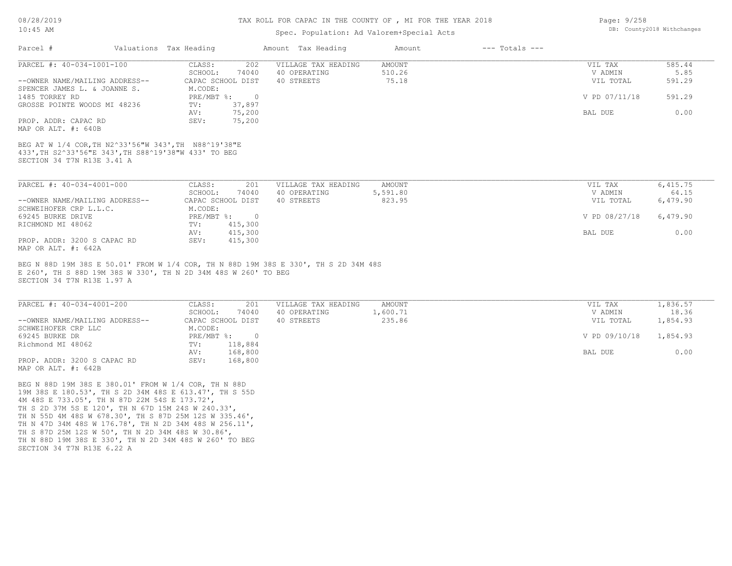#### TAX ROLL FOR CAPAC IN THE COUNTY OF , MI FOR THE YEAR 2018

### Spec. Population: Ad Valorem+Special Acts

| Parcel #                                                                                                                                   | Valuations Tax Heading |                           | Amount Tax Heading                                                                  | Amount        | $---$ Totals $---$ |               |          |
|--------------------------------------------------------------------------------------------------------------------------------------------|------------------------|---------------------------|-------------------------------------------------------------------------------------|---------------|--------------------|---------------|----------|
| PARCEL #: 40-034-1001-100                                                                                                                  | CLASS:                 | 202                       | VILLAGE TAX HEADING                                                                 | <b>AMOUNT</b> |                    | VIL TAX       | 585.44   |
|                                                                                                                                            | SCHOOL:                | 74040                     | 40 OPERATING                                                                        | 510.26        |                    | V ADMIN       | 5.85     |
| --OWNER NAME/MAILING ADDRESS--                                                                                                             |                        | CAPAC SCHOOL DIST         | 40 STREETS                                                                          | 75.18         |                    | VIL TOTAL     | 591.29   |
| SPENCER JAMES L. & JOANNE S.                                                                                                               | M.CODE:                |                           |                                                                                     |               |                    |               |          |
| 1485 TORREY RD<br>GROSSE POINTE WOODS MI 48236                                                                                             | $PRE/MBT$ %:           | $\overline{0}$<br>37,897  |                                                                                     |               |                    | V PD 07/11/18 | 591.29   |
|                                                                                                                                            | TV:<br>AV:             | 75,200                    |                                                                                     |               |                    | BAL DUE       | 0.00     |
| PROP. ADDR: CAPAC RD                                                                                                                       | SEV:                   | 75,200                    |                                                                                     |               |                    |               |          |
| MAP OR ALT. #: 640B                                                                                                                        |                        |                           |                                                                                     |               |                    |               |          |
| BEG AT W 1/4 COR, TH N2^33'56"W 343', TH N88^19'38"E<br>433', TH S2^33'56"E 343', TH S88^19'38"W 433' TO BEG<br>SECTION 34 T7N R13E 3.41 A |                        |                           |                                                                                     |               |                    |               |          |
| PARCEL #: 40-034-4001-000                                                                                                                  | CLASS:                 | 201                       | VILLAGE TAX HEADING                                                                 | <b>AMOUNT</b> |                    | VIL TAX       | 6,415.75 |
|                                                                                                                                            | SCHOOL:                | 74040                     | 40 OPERATING                                                                        | 5,591.80      |                    | V ADMIN       | 64.15    |
| --OWNER NAME/MAILING ADDRESS--<br>SCHWEIHOFER CRP L.L.C.                                                                                   | M.CODE:                | CAPAC SCHOOL DIST         | 40 STREETS                                                                          | 823.95        |                    | VIL TOTAL     | 6,479.90 |
| 69245 BURKE DRIVE                                                                                                                          | PRE/MBT %:             | $\overline{0}$            |                                                                                     |               |                    | V PD 08/27/18 | 6,479.90 |
| RICHMOND MI 48062                                                                                                                          | $\texttt{TV}$ :        | 415,300                   |                                                                                     |               |                    |               |          |
|                                                                                                                                            | AV:                    | 415,300                   |                                                                                     |               |                    | BAL DUE       | 0.00     |
| PROP. ADDR: 3200 S CAPAC RD<br>MAP OR ALT. #: 642A                                                                                         | SEV:                   | 415,300                   |                                                                                     |               |                    |               |          |
| E 260', TH S 88D 19M 38S W 330', TH N 2D 34M 48S W 260' TO BEG<br>SECTION 34 T7N R13E 1.97 A                                               |                        |                           | BEG N 88D 19M 38S E 50.01' FROM W 1/4 COR, TH N 88D 19M 38S E 330', TH S 2D 34M 48S |               |                    |               |          |
| PARCEL #: 40-034-4001-200                                                                                                                  | CLASS:                 | 201                       | VILLAGE TAX HEADING                                                                 | <b>AMOUNT</b> |                    | VIL TAX       | 1,836.57 |
|                                                                                                                                            | SCHOOL:                | 74040                     | 40 OPERATING                                                                        | 1,600.71      |                    | V ADMIN       | 18.36    |
| --OWNER NAME/MAILING ADDRESS--<br>SCHWEIHOFER CRP LLC                                                                                      | M.CODE:                | CAPAC SCHOOL DIST         | 40 STREETS                                                                          | 235.86        |                    | VIL TOTAL     | 1,854.93 |
| 69245 BURKE DR<br>Richmond MI 48062                                                                                                        | PRE/MBT %:<br>TV:      | $\overline{0}$<br>118,884 |                                                                                     |               |                    | V PD 09/10/18 | 1,854.93 |
|                                                                                                                                            | AV:                    | 168,800                   |                                                                                     |               |                    | BAL DUE       | 0.00     |

MAP OR ALT. #: 642B PROP. ADDR: 3200 S CAPAC RD SEV: 168,800 AV: 168,800 BAL DUE 0.00

SECTION 34 T7N R13E 6.22 A TH N 88D 19M 38S E 330', TH N 2D 34M 48S W 260' TO BEG TH S 87D 25M 12S W 50', TH N 2D 34M 48S W 30.86', TH N 47D 34M 48S W 176.78', TH N 2D 34M 48S W 256.11', TH N 55D 4M 48S W 678.30', TH S 87D 25M 12S W 335.46', TH S 2D 37M 5S E 120', TH N 67D 15M 24S W 240.33', 4M 48S E 733.05', TH N 87D 22M 54S E 173.72', 19M 38S E 180.53', TH S 2D 34M 48S E 613.47', TH S 55D BEG N 88D 19M 38S E 380.01' FROM W 1/4 COR, TH N 88D

Page: 9/258 DB: County2018 Withchanges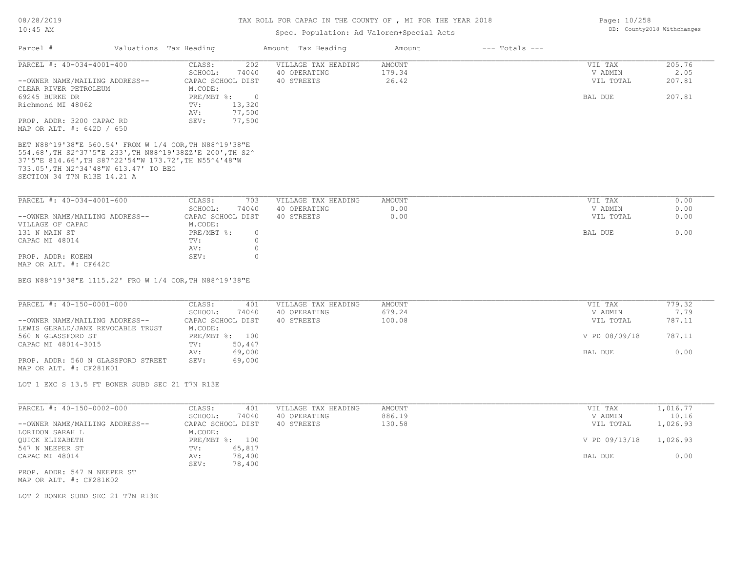#### TAX ROLL FOR CAPAC IN THE COUNTY OF , MI FOR THE YEAR 2018

## Spec. Population: Ad Valorem+Special Acts

| Parcel #                                                                                                                      | Valuations Tax Heading |                | Amount Tax Heading  | Amount        | $---$ Totals $---$ |           |        |
|-------------------------------------------------------------------------------------------------------------------------------|------------------------|----------------|---------------------|---------------|--------------------|-----------|--------|
| PARCEL #: 40-034-4001-400                                                                                                     | CLASS:                 | 202            | VILLAGE TAX HEADING | <b>AMOUNT</b> |                    | VIL TAX   | 205.76 |
|                                                                                                                               | SCHOOL:                | 74040          | 40 OPERATING        | 179.34        |                    | V ADMIN   | 2.05   |
| --OWNER NAME/MAILING ADDRESS--                                                                                                | CAPAC SCHOOL DIST      |                | 40 STREETS          | 26.42         |                    | VIL TOTAL | 207.81 |
| CLEAR RIVER PETROLEUM                                                                                                         | M.CODE:                |                |                     |               |                    |           |        |
| 69245 BURKE DR                                                                                                                | $PRE/MBT$ $\div$       | $\overline{0}$ |                     |               |                    | BAL DUE   | 207.81 |
| Richmond MI 48062                                                                                                             | TV:                    | 13,320         |                     |               |                    |           |        |
|                                                                                                                               | AV:                    | 77,500         |                     |               |                    |           |        |
| PROP. ADDR: 3200 CAPAC RD                                                                                                     | SEV:                   | 77,500         |                     |               |                    |           |        |
| MAP OR ALT. #: 642D / 650                                                                                                     |                        |                |                     |               |                    |           |        |
| 37'5"E 814.66', TH S87^22'54"W 173.72', TH N55^4'48"W<br>733.05', TH N2^34'48"W 613.47' TO BEG<br>SECTION 34 T7N R13E 14.21 A |                        |                |                     |               |                    |           |        |
| PARCEL #: 40-034-4001-600                                                                                                     | CLASS:                 | 703            | VILLAGE TAX HEADING | AMOUNT        |                    | VIL TAX   | 0.00   |
|                                                                                                                               | SCHOOL:                | 74040          | 40 OPERATING        | 0.00          |                    | V ADMIN   | 0.00   |
| --OWNER NAME/MAILING ADDRESS--                                                                                                | CAPAC SCHOOL DIST      |                | 40 STREETS          | 0.00          |                    | VIL TOTAL | 0.00   |
| VILLAGE OF CAPAC                                                                                                              | M.CODE:                |                |                     |               |                    |           |        |
| 131 N MAIN ST                                                                                                                 | PRE/MBT %:             | $\circ$        |                     |               |                    | BAL DUE   | 0.00   |
| CAPAC MI 48014                                                                                                                | TV:                    | $\Omega$       |                     |               |                    |           |        |
|                                                                                                                               | AV:                    |                |                     |               |                    |           |        |
| PROP. ADDR: KOEHN                                                                                                             | SEV:                   | $\bigcap$      |                     |               |                    |           |        |
| MAP OR ALT. #: CF642C                                                                                                         |                        |                |                     |               |                    |           |        |

BEG N88^19'38"E 1115.22' FRO W 1/4 COR,TH N88^19'38"E

| PARCEL #: 40-150-0001-000          | CLASS:            | 401    | VILLAGE TAX HEADING | AMOUNT | VIL TAX       | 779.32 |
|------------------------------------|-------------------|--------|---------------------|--------|---------------|--------|
|                                    | SCHOOL:           | 74040  | 40 OPERATING        | 679.24 | V ADMIN       | 7.79   |
| --OWNER NAME/MAILING ADDRESS--     | CAPAC SCHOOL DIST |        | 40 STREETS          | 100.08 | VIL TOTAL     | 787.11 |
| LEWIS GERALD/JANE REVOCABLE TRUST  | M.CODE:           |        |                     |        |               |        |
| 560 N GLASSFORD ST                 | PRE/MBT %: 100    |        |                     |        | V PD 08/09/18 | 787.11 |
| CAPAC MI 48014-3015                | TV:               | 50,447 |                     |        |               |        |
|                                    | AV:               | 69,000 |                     |        | BAL DUE       | 0.00   |
| PROP. ADDR: 560 N GLASSFORD STREET | SEV:              | 69,000 |                     |        |               |        |
| MAP OR ALT. #: CF281K01            |                   |        |                     |        |               |        |

LOT 1 EXC S 13.5 FT BONER SUBD SEC 21 T7N R13E

| PARCEL #: 40-150-0002-000      | CLASS:<br>401     | VILLAGE TAX HEADING | AMOUNT | VIL TAX       | 1,016.77 |
|--------------------------------|-------------------|---------------------|--------|---------------|----------|
|                                | 74040<br>SCHOOL:  | 40 OPERATING        | 886.19 | V ADMIN       | 10.16    |
| --OWNER NAME/MAILING ADDRESS-- | CAPAC SCHOOL DIST | 40 STREETS          | 130.58 | VIL TOTAL     | 1,026.93 |
| LORIDON SARAH L                | M.CODE:           |                     |        |               |          |
| QUICK ELIZABETH                | PRE/MBT %: 100    |                     |        | V PD 09/13/18 | 1,026.93 |
| 547 N NEEPER ST                | 65,817<br>TV:     |                     |        |               |          |
| CAPAC MI 48014                 | 78,400<br>AV:     |                     |        | BAL DUE       | 0.00     |
|                                | 78,400<br>SEV:    |                     |        |               |          |
| PROP. ADDR: 547 N NEEPER ST    |                   |                     |        |               |          |

MAP OR ALT. #: CF281K02

LOT 2 BONER SUBD SEC 21 T7N R13E

Page: 10/258 DB: County2018 Withchanges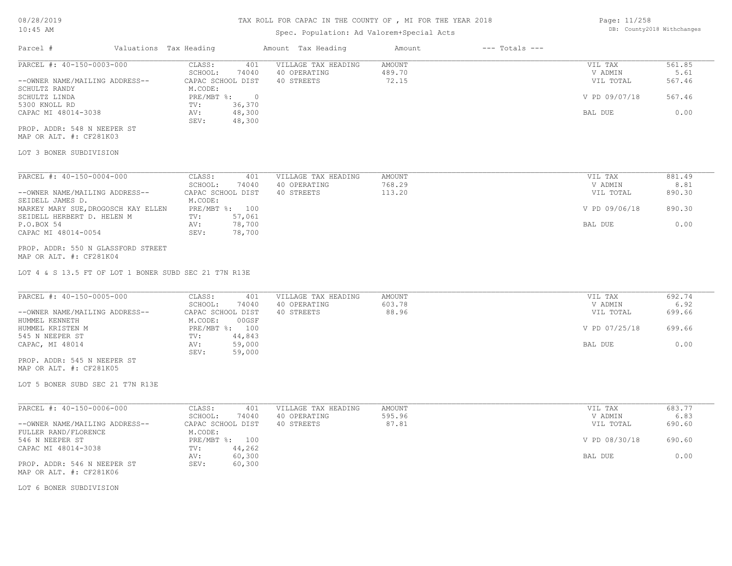# Spec. Population: Ad Valorem+Special Acts

| Page: 11/258 |                            |
|--------------|----------------------------|
|              | DB: County2018 Withchanges |

| Parcel #                       | Valuations Tax Heading |        | Amount Tax Heading  | Amount | $---$ Totals $---$ |               |        |
|--------------------------------|------------------------|--------|---------------------|--------|--------------------|---------------|--------|
| PARCEL #: 40-150-0003-000      | CLASS:                 | 401    | VILLAGE TAX HEADING | AMOUNT |                    | VIL TAX       | 561.85 |
|                                | SCHOOL:                | 74040  | 40 OPERATING        | 489.70 |                    | V ADMIN       | 5.61   |
| --OWNER NAME/MAILING ADDRESS-- | CAPAC SCHOOL DIST      |        | 40 STREETS          | 72.15  |                    | VIL TOTAL     | 567.46 |
| SCHULTZ RANDY                  | M.CODE:                |        |                     |        |                    |               |        |
| SCHULTZ LINDA                  | $PRE/MBT$ %:           |        |                     |        |                    | V PD 09/07/18 | 567.46 |
| 5300 KNOLL RD                  | TV:                    | 36,370 |                     |        |                    |               |        |
| CAPAC MI 48014-3038            | AV:                    | 48,300 |                     |        |                    | BAL DUE       | 0.00   |
|                                | SEV:                   | 48,300 |                     |        |                    |               |        |
| PROP. ADDR: 548 N NEEPER ST    |                        |        |                     |        |                    |               |        |

MAP OR ALT. #: CF281K03

## LOT 3 BONER SUBDIVISION

| PARCEL #: 40-150-0004-000           | CLASS:            | 401    | VILLAGE TAX HEADING | AMOUNT | VIL TAX       | 881.49 |
|-------------------------------------|-------------------|--------|---------------------|--------|---------------|--------|
|                                     | SCHOOL:           | 74040  | 40 OPERATING        | 768.29 | V ADMIN       | 8.81   |
| --OWNER NAME/MAILING ADDRESS--      | CAPAC SCHOOL DIST |        | 40 STREETS          | 113.20 | VIL TOTAL     | 890.30 |
| SEIDELL JAMES D.                    | M.CODE:           |        |                     |        |               |        |
| MARKEY MARY SUE, DROGOSCH KAY ELLEN | $PRE/MBT$ %:      | 100    |                     |        | V PD 09/06/18 | 890.30 |
| SEIDELL HERBERT D. HELEN M          | TV:               | 57,061 |                     |        |               |        |
| P.O.BOX 54                          | AV:               | 78,700 |                     |        | BAL DUE       | 0.00   |
| CAPAC MI 48014-0054                 | SEV:              | 78,700 |                     |        |               |        |

#### MAP OR ALT. #: CF281K04 PROP. ADDR: 550 N GLASSFORD STREET

LOT 4 & S 13.5 FT OF LOT 1 BONER SUBD SEC 21 T7N R13E

|                                | CLASS:<br>401     | VILLAGE TAX HEADING | AMOUNT | VIL TAX       | 692.74 |
|--------------------------------|-------------------|---------------------|--------|---------------|--------|
|                                | 74040<br>SCHOOL:  | 40 OPERATING        | 603.78 | V ADMIN       | 6.92   |
| --OWNER NAME/MAILING ADDRESS-- | CAPAC SCHOOL DIST | 40 STREETS          | 88.96  | VIL TOTAL     | 699.66 |
| HUMMEL KENNETH                 | 00GSF<br>M.CODE:  |                     |        |               |        |
| HUMMEL KRISTEN M               | PRE/MBT %: 100    |                     |        | V PD 07/25/18 | 699.66 |
| 545 N NEEPER ST                | 44,843<br>TV:     |                     |        |               |        |
| CAPAC, MI 48014                | 59,000<br>AV:     |                     |        | BAL DUE       | 0.00   |
|                                | 59,000<br>SEV:    |                     |        |               |        |

MAP OR ALT. #: CF281K05 PROP. ADDR: 545 N NEEPER ST

LOT 5 BONER SUBD SEC 21 T7N R13E

| PARCEL #: 40-150-0006-000      | 401<br>CLASS:     | VILLAGE TAX HEADING | AMOUNT | VIL TAX       | 683.77 |
|--------------------------------|-------------------|---------------------|--------|---------------|--------|
|                                | 74040<br>SCHOOL:  | 40 OPERATING        | 595.96 | V ADMIN       | 6.83   |
| --OWNER NAME/MAILING ADDRESS-- | CAPAC SCHOOL DIST | 40 STREETS          | 87.81  | VIL TOTAL     | 690.60 |
| FULLER RAND/FLORENCE           | M.CODE:           |                     |        |               |        |
| 546 N NEEPER ST                | PRE/MBT %: 100    |                     |        | V PD 08/30/18 | 690.60 |
| CAPAC MI 48014-3038            | 44,262<br>TV:     |                     |        |               |        |
|                                | 60,300<br>AV:     |                     |        | BAL DUE       | 0.00   |
| PROP. ADDR: 546 N NEEPER ST    | 60,300<br>SEV:    |                     |        |               |        |
| MAP OR ALT. #: CF281K06        |                   |                     |        |               |        |

LOT 6 BONER SUBDIVISION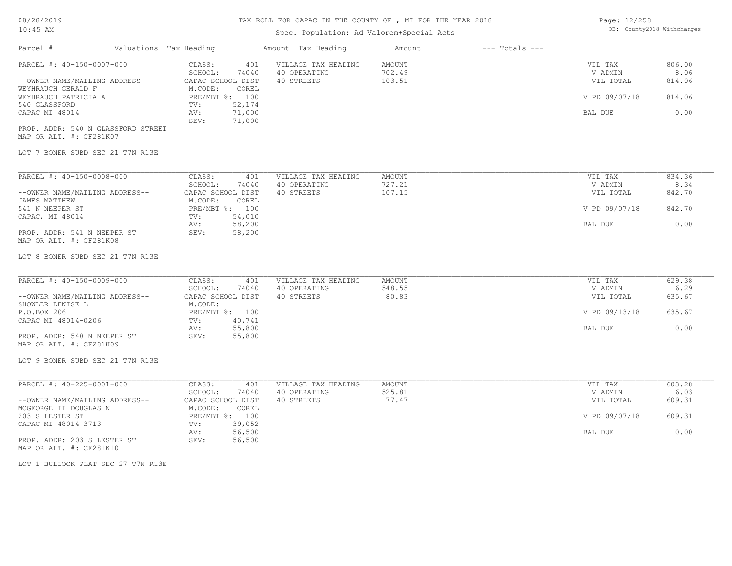# Spec. Population: Ad Valorem+Special Acts

| Page: 12/258 |                            |
|--------------|----------------------------|
|              | DB: County2018 Withchanges |

| Parcel #                                                                          | Valuations Tax Heading                                                     | Amount Tax Heading                                | Amount                            | $---$ Totals $---$ |                                 |                          |
|-----------------------------------------------------------------------------------|----------------------------------------------------------------------------|---------------------------------------------------|-----------------------------------|--------------------|---------------------------------|--------------------------|
| PARCEL #: 40-150-0007-000<br>--OWNER NAME/MAILING ADDRESS--<br>WEYHRAUCH GERALD F | CLASS:<br>401<br>SCHOOL:<br>74040<br>CAPAC SCHOOL DIST<br>M.CODE:<br>COREL | VILLAGE TAX HEADING<br>40 OPERATING<br>40 STREETS | <b>AMOUNT</b><br>702.49<br>103.51 |                    | VIL TAX<br>V ADMIN<br>VIL TOTAL | 806.00<br>8.06<br>814.06 |
| WEYHRAUCH PATRICIA A<br>540 GLASSFORD                                             | PRE/MBT %: 100<br>TV:<br>52,174                                            |                                                   |                                   |                    | V PD 09/07/18                   | 814.06                   |
| CAPAC MI 48014                                                                    | 71,000<br>AV:<br>SEV:<br>71,000                                            |                                                   |                                   |                    | BAL DUE                         | 0.00                     |
| PROP. ADDR: 540 N GLASSFORD STREET<br>MAP OR ALT. #: CF281K07                     |                                                                            |                                                   |                                   |                    |                                 |                          |
| LOT 7 BONER SUBD SEC 21 T7N R13E                                                  |                                                                            |                                                   |                                   |                    |                                 |                          |
| PARCEL #: 40-150-0008-000                                                         | CLASS:<br>401                                                              | VILLAGE TAX HEADING                               | AMOUNT                            |                    | VIL TAX                         | 834.36                   |
| --OWNER NAME/MAILING ADDRESS--                                                    | SCHOOL:<br>74040<br>CAPAC SCHOOL DIST                                      | 40 OPERATING<br>40 STREETS                        | 727.21<br>107.15                  |                    | V ADMIN<br>VIL TOTAL            | 8.34<br>842.70           |
| JAMES MATTHEW                                                                     | M.CODE:<br>COREL                                                           |                                                   |                                   |                    |                                 |                          |
| 541 N NEEPER ST<br>CAPAC, MI 48014                                                | PRE/MBT %: 100<br>54,010<br>TV:                                            |                                                   |                                   |                    | V PD 09/07/18                   | 842.70                   |
| PROP. ADDR: 541 N NEEPER ST<br>MAP OR ALT. #: CF281K08                            | 58,200<br>AV:<br>58,200<br>SEV:                                            |                                                   |                                   |                    | BAL DUE                         | 0.00                     |
| LOT 8 BONER SUBD SEC 21 T7N R13E                                                  |                                                                            |                                                   |                                   |                    |                                 |                          |
| PARCEL #: 40-150-0009-000                                                         | CLASS:<br>401                                                              | VILLAGE TAX HEADING                               | AMOUNT                            |                    | VIL TAX                         | 629.38                   |
| --OWNER NAME/MAILING ADDRESS--                                                    | SCHOOL:<br>74040<br>CAPAC SCHOOL DIST                                      | 40 OPERATING<br>40 STREETS                        | 548.55<br>80.83                   |                    | V ADMIN<br>VIL TOTAL            | 6.29<br>635.67           |
| SHOWLER DENISE L                                                                  | M.CODE:                                                                    |                                                   |                                   |                    |                                 |                          |
| P.O.BOX 206<br>CAPAC MI 48014-0206                                                | PRE/MBT %: 100<br>40,741<br>TV:                                            |                                                   |                                   |                    | V PD 09/13/18                   | 635.67                   |
|                                                                                   | 55,800<br>AV:                                                              |                                                   |                                   |                    | BAL DUE                         | 0.00                     |
| PROP. ADDR: 540 N NEEPER ST<br>MAP OR ALT. #: CF281K09                            | SEV:<br>55,800                                                             |                                                   |                                   |                    |                                 |                          |
| LOT 9 BONER SUBD SEC 21 T7N R13E                                                  |                                                                            |                                                   |                                   |                    |                                 |                          |
| PARCEL #: 40-225-0001-000                                                         | CLASS:                                                                     | 401<br>VILLAGE TAX HEADING                        | <b>AMOUNT</b>                     |                    | VIL TAX                         | 603.28                   |
| --OWNER NAME/MAILING ADDRESS--                                                    | SCHOOL:<br>74040<br>CAPAC SCHOOL DIST                                      | 40 OPERATING<br>40 STREETS                        | 525.81<br>77.47                   |                    | V ADMIN<br>VIL TOTAL            | 6.03<br>609.31           |
| MCGEORGE II DOUGLAS N                                                             | M.CODE:<br>COREL                                                           |                                                   |                                   |                    |                                 |                          |
| 203 S LESTER ST<br>CAPAC MI 48014-3713                                            | PRE/MBT %: 100<br>39,052<br>TV:                                            |                                                   |                                   |                    | V PD 09/07/18                   | 609.31                   |
|                                                                                   | 56,500<br>AV:                                                              |                                                   |                                   |                    | <b>BAL DUE</b>                  | 0.00                     |
| PROP. ADDR: 203 S LESTER ST<br>MAP OR ALT. #: CF281K10                            | SEV:<br>56,500                                                             |                                                   |                                   |                    |                                 |                          |
| LOT 1 BULLOCK PLAT SEC 27 T7N R13E                                                |                                                                            |                                                   |                                   |                    |                                 |                          |
|                                                                                   |                                                                            |                                                   |                                   |                    |                                 |                          |
|                                                                                   |                                                                            |                                                   |                                   |                    |                                 |                          |
|                                                                                   |                                                                            |                                                   |                                   |                    |                                 |                          |
|                                                                                   |                                                                            |                                                   |                                   |                    |                                 |                          |
|                                                                                   |                                                                            |                                                   |                                   |                    |                                 |                          |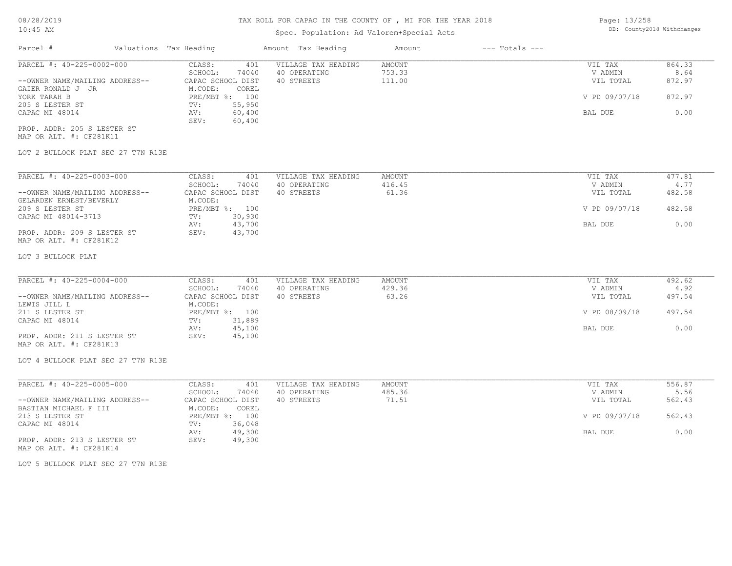# Spec. Population: Ad Valorem+Special Acts

| Page: 13/258 |                            |
|--------------|----------------------------|
|              | DB: County2018 Withchanges |

| Parcel #                           | Valuations Tax Heading |                   |        | Amount Tax Heading  | Amount | $---$ Totals $---$ |               |        |
|------------------------------------|------------------------|-------------------|--------|---------------------|--------|--------------------|---------------|--------|
| PARCEL #: 40-225-0002-000          |                        | CLASS:            | 401    | VILLAGE TAX HEADING | AMOUNT |                    | VIL TAX       | 864.33 |
|                                    |                        | SCHOOL:           | 74040  | 40 OPERATING        | 753.33 |                    | V ADMIN       | 8.64   |
| --OWNER NAME/MAILING ADDRESS--     |                        | CAPAC SCHOOL DIST |        | 40 STREETS          | 111.00 |                    | VIL TOTAL     | 872.97 |
| GAIER RONALD J JR                  |                        | M.CODE:           | COREL  |                     |        |                    |               |        |
| YORK TARAH B                       |                        | PRE/MBT %: 100    |        |                     |        |                    | V PD 09/07/18 | 872.97 |
| 205 S LESTER ST                    |                        | TV:               | 55,950 |                     |        |                    |               |        |
| CAPAC MI 48014                     |                        | AV:               | 60,400 |                     |        |                    | BAL DUE       | 0.00   |
|                                    |                        | SEV:              | 60,400 |                     |        |                    |               |        |
| PROP. ADDR: 205 S LESTER ST        |                        |                   |        |                     |        |                    |               |        |
| MAP OR ALT. #: CF281K11            |                        |                   |        |                     |        |                    |               |        |
| LOT 2 BULLOCK PLAT SEC 27 T7N R13E |                        |                   |        |                     |        |                    |               |        |
|                                    |                        |                   |        |                     |        |                    |               |        |
| PARCEL #: 40-225-0003-000          |                        | CLASS:            | 401    | VILLAGE TAX HEADING | AMOUNT |                    | VIL TAX       | 477.81 |
|                                    |                        | SCHOOL:           | 74040  | 40 OPERATING        | 416.45 |                    | V ADMIN       | 4.77   |
| --OWNER NAME/MAILING ADDRESS--     |                        | CAPAC SCHOOL DIST |        | 40 STREETS          | 61.36  |                    | VIL TOTAL     | 482.58 |
| GELARDEN ERNEST/BEVERLY            |                        | M.CODE:           |        |                     |        |                    |               |        |
| 209 S LESTER ST                    |                        | $PRE/MBT$ %:      | 100    |                     |        |                    | V PD 09/07/18 | 482.58 |

| GELANDEN ENNESI/BEVENLI     | M.UVD. |                |               |        |
|-----------------------------|--------|----------------|---------------|--------|
| 209 S LESTER ST             |        | PRE/MBT %: 100 | V PD 09/07/18 | 482.58 |
| CAPAC MI 48014-3713         | TV:    | 30,930         |               |        |
|                             | AV:    | 43,700         | BAL DUE       |        |
| PROP. ADDR: 209 S LESTER ST | SEV:   | 43,700         |               |        |
| MAP OR ALT. #: CF281K12     |        |                |               |        |

### LOT 3 BULLOCK PLAT

| PARCEL #: 40-225-0004-000      | CLASS:<br>401     | VILLAGE TAX HEADING | AMOUNT | VIL TAX       | 492.62 |
|--------------------------------|-------------------|---------------------|--------|---------------|--------|
|                                | 74040<br>SCHOOL:  | 40 OPERATING        | 429.36 | V ADMIN       | 4.92   |
| --OWNER NAME/MAILING ADDRESS-- | CAPAC SCHOOL DIST | 40 STREETS          | 63.26  | VIL TOTAL     | 497.54 |
| LEWIS JILL L                   | M.CODE:           |                     |        |               |        |
| 211 S LESTER ST                | PRE/MBT %: 100    |                     |        | V PD 08/09/18 | 497.54 |
| CAPAC MI 48014                 | 31,889<br>TV:     |                     |        |               |        |
|                                | 45,100<br>AV:     |                     |        | BAL DUE       | 0.00   |
| PROP. ADDR: 211 S LESTER ST    | 45,100<br>SEV:    |                     |        |               |        |
| MAP OR ALT. #: CF281K13        |                   |                     |        |               |        |

LOT 4 BULLOCK PLAT SEC 27 T7N R13E

| PARCEL #: 40-225-0005-000      | 401<br>CLASS:     | VILLAGE TAX HEADING | AMOUNT | VIL TAX       | 556.87 |
|--------------------------------|-------------------|---------------------|--------|---------------|--------|
|                                | 74040<br>SCHOOL:  | 40 OPERATING        | 485.36 | V ADMIN       | 5.56   |
| --OWNER NAME/MAILING ADDRESS-- | CAPAC SCHOOL DIST | 40 STREETS          | 71.51  | VIL TOTAL     | 562.43 |
| BASTIAN MICHAEL F III          | M.CODE:<br>COREL  |                     |        |               |        |
| 213 S LESTER ST                | 100<br>PRE/MBT %: |                     |        | V PD 09/07/18 | 562.43 |
| CAPAC MI 48014                 | 36,048<br>TV:     |                     |        |               |        |
|                                | 49,300<br>AV:     |                     |        | BAL DUE       | 0.00   |
| PROP. ADDR: 213 S LESTER ST    | 49,300<br>SEV:    |                     |        |               |        |
| MAP OR ALT. #: CF281K14        |                   |                     |        |               |        |

LOT 5 BULLOCK PLAT SEC 27 T7N R13E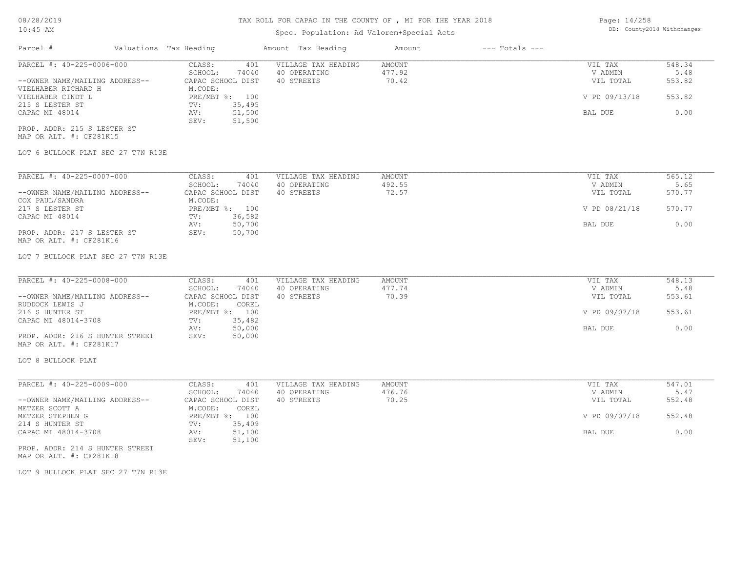# Spec. Population: Ad Valorem+Special Acts

| Page: 14/258 |                            |
|--------------|----------------------------|
|              | DB: County2018 Withchanges |

| Parcel #                       | Valuations Tax Heading |                   | Amount Tax Heading  | Amount | $---$ Totals $---$ |               |        |
|--------------------------------|------------------------|-------------------|---------------------|--------|--------------------|---------------|--------|
| PARCEL #: 40-225-0006-000      | CLASS:                 | 401               | VILLAGE TAX HEADING | AMOUNT |                    | VIL TAX       | 548.34 |
|                                | SCHOOL:                | 74040             | 40 OPERATING        | 477.92 |                    | V ADMIN       | 5.48   |
| --OWNER NAME/MAILING ADDRESS-- |                        | CAPAC SCHOOL DIST | 40 STREETS          | 70.42  |                    | VIL TOTAL     | 553.82 |
| VIELHABER RICHARD H            | M.CODE:                |                   |                     |        |                    |               |        |
| VIELHABER CINDT L              | $PRE/MBT$ %:           | 100               |                     |        |                    | V PD 09/13/18 | 553.82 |
| 215 S LESTER ST                | TV:                    | 35,495            |                     |        |                    |               |        |
| CAPAC MI 48014                 | AV:                    | 51,500            |                     |        |                    | BAL DUE       | 0.00   |
|                                | SEV:                   | 51,500            |                     |        |                    |               |        |
| PROP. ADDR: 215 S LESTER ST    |                        |                   |                     |        |                    |               |        |
| MAP OR ALT. #: CF281K15        |                        |                   |                     |        |                    |               |        |

LOT 6 BULLOCK PLAT SEC 27 T7N R13E

| PARCEL #: 40-225-0007-000      | CLASS:     | 401               | VILLAGE TAX HEADING | AMOUNT | VIL TAX       | 565.12 |
|--------------------------------|------------|-------------------|---------------------|--------|---------------|--------|
|                                | SCHOOL:    | 74040             | 40 OPERATING        | 492.55 | V ADMIN       | 5.65   |
| --OWNER NAME/MAILING ADDRESS-- |            | CAPAC SCHOOL DIST | 40 STREETS          | 72.57  | VIL TOTAL     | 570.77 |
| COX PAUL/SANDRA                | M.CODE:    |                   |                     |        |               |        |
| 217 S LESTER ST                | PRE/MBT %: | 100               |                     |        | V PD 08/21/18 | 570.77 |
| CAPAC MI 48014                 | TV:        | 36,582            |                     |        |               |        |
|                                | AV:        | 50,700            |                     |        | BAL DUE       | 0.00   |
| PROP. ADDR: 217 S LESTER ST    | SEV:       | 50,700            |                     |        |               |        |
| MAP OR ALT. #: CF281K16        |            |                   |                     |        |               |        |

LOT 7 BULLOCK PLAT SEC 27 T7N R13E

| PARCEL #: 40-225-0008-000       | CLASS:            | 401    | VILLAGE TAX HEADING | AMOUNT | VIL TAX       | 548.13 |
|---------------------------------|-------------------|--------|---------------------|--------|---------------|--------|
|                                 | SCHOOL:           | 74040  | 40 OPERATING        | 477.74 | V ADMIN       | 5.48   |
| --OWNER NAME/MAILING ADDRESS--  | CAPAC SCHOOL DIST |        | 40 STREETS          | 70.39  | VIL TOTAL     | 553.61 |
| RUDDOCK LEWIS J                 | M.CODE:           | COREL  |                     |        |               |        |
| 216 S HUNTER ST                 | PRE/MBT %: 100    |        |                     |        | V PD 09/07/18 | 553.61 |
| CAPAC MI 48014-3708             | TV:               | 35,482 |                     |        |               |        |
|                                 | AV:               | 50,000 |                     |        | BAL DUE       | 0.00   |
| PROP. ADDR: 216 S HUNTER STREET | SEV:              | 50,000 |                     |        |               |        |
| MAP OR ALT. #: CF281K17         |                   |        |                     |        |               |        |

LOT 8 BULLOCK PLAT

| PARCEL #: 40-225-0009-000      | CLASS:<br>401     | VILLAGE TAX HEADING | AMOUNT | VIL TAX       | 547.01 |
|--------------------------------|-------------------|---------------------|--------|---------------|--------|
|                                | 74040<br>SCHOOL:  | 40 OPERATING        | 476.76 | V ADMIN       | 5.47   |
| --OWNER NAME/MAILING ADDRESS-- | CAPAC SCHOOL DIST | 40 STREETS          | 70.25  | VIL TOTAL     | 552.48 |
| METZER SCOTT A                 | M.CODE:<br>COREL  |                     |        |               |        |
| METZER STEPHEN G               | PRE/MBT %: 100    |                     |        | V PD 09/07/18 | 552.48 |
| 214 S HUNTER ST                | 35,409<br>TV:     |                     |        |               |        |
| CAPAC MI 48014-3708            | 51,100<br>AV:     |                     |        | BAL DUE       | 0.00   |
|                                | 51,100<br>SEV:    |                     |        |               |        |

MAP OR ALT. #: CF281K18 PROP. ADDR: 214 S HUNTER STREET

LOT 9 BULLOCK PLAT SEC 27 T7N R13E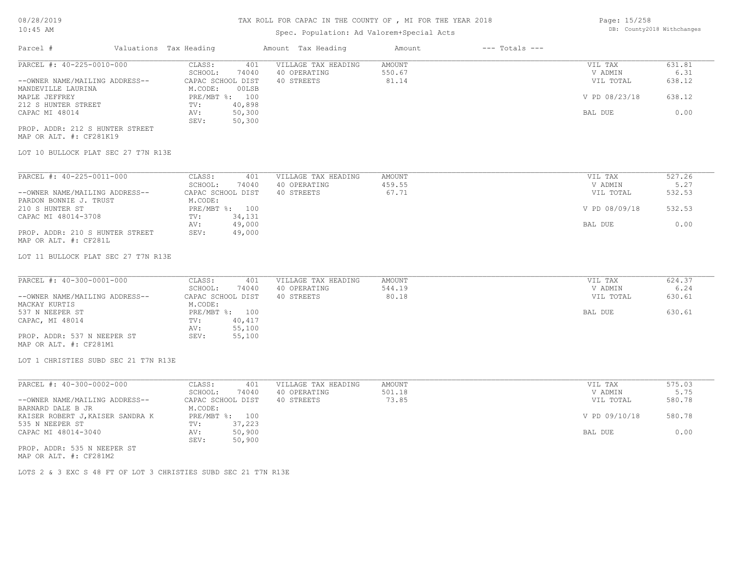## Spec. Population: Ad Valorem+Special Acts

| Page: 15/258 |                            |
|--------------|----------------------------|
|              | DB: County2018 Withchanges |

| Parcel #                        | Valuations Tax Heading |                | Amount Tax Heading  | Amount | $---$ Totals $---$ |               |        |
|---------------------------------|------------------------|----------------|---------------------|--------|--------------------|---------------|--------|
| PARCEL #: 40-225-0010-000       | CLASS:                 | 401            | VILLAGE TAX HEADING | AMOUNT |                    | VIL TAX       | 631.81 |
|                                 | SCHOOL:                | 74040          | 40 OPERATING        | 550.67 |                    | V ADMIN       | 6.31   |
| --OWNER NAME/MAILING ADDRESS--  | CAPAC SCHOOL DIST      |                | 40 STREETS          | 81.14  |                    | VIL TOTAL     | 638.12 |
| MANDEVILLE LAURINA              | M.CODE:                | 00LSB          |                     |        |                    |               |        |
| MAPLE JEFFREY                   |                        | PRE/MBT %: 100 |                     |        |                    | V PD 08/23/18 | 638.12 |
| 212 S HUNTER STREET             | TV:                    | 40,898         |                     |        |                    |               |        |
| CAPAC MI 48014                  | AV:                    | 50,300         |                     |        |                    | BAL DUE       | 0.00   |
|                                 | SEV:                   | 50,300         |                     |        |                    |               |        |
| PROP. ADDR: 212 S HUNTER STREET |                        |                |                     |        |                    |               |        |
| MAP OR ALT. #: CF281K19         |                        |                |                     |        |                    |               |        |

## LOT 10 BULLOCK PLAT SEC 27 T7N R13E

| PARCEL #: 40-225-0011-000       | CLASS:       | 401               | VILLAGE TAX HEADING | AMOUNT | VIL TAX       | 527.26 |
|---------------------------------|--------------|-------------------|---------------------|--------|---------------|--------|
|                                 | SCHOOL:      | 74040             | 40 OPERATING        | 459.55 | V ADMIN       | 5.27   |
| --OWNER NAME/MAILING ADDRESS--  |              | CAPAC SCHOOL DIST | 40 STREETS          | 67.71  | VIL TOTAL     | 532.53 |
| PARDON BONNIE J. TRUST          | M.CODE:      |                   |                     |        |               |        |
| 210 S HUNTER ST                 | $PRE/MBT$ %: | 100               |                     |        | V PD 08/09/18 | 532.53 |
| CAPAC MI 48014-3708             | TV:          | 34,131            |                     |        |               |        |
|                                 | AV:          | 49,000            |                     |        | BAL DUE       | 0.00   |
| PROP. ADDR: 210 S HUNTER STREET | SEV:         | 49,000            |                     |        |               |        |
| MAP OR ALT. #: CF281L           |              |                   |                     |        |               |        |

#### LOT 11 BULLOCK PLAT SEC 27 T7N R13E

| PARCEL #: 40-300-0001-000      | CLASS:<br>401     | VILLAGE TAX HEADING | AMOUNT | VIL TAX   | 624.37 |
|--------------------------------|-------------------|---------------------|--------|-----------|--------|
|                                | 74040<br>SCHOOL:  | 40 OPERATING        | 544.19 | V ADMIN   | 6.24   |
| --OWNER NAME/MAILING ADDRESS-- | CAPAC SCHOOL DIST | 40 STREETS          | 80.18  | VIL TOTAL | 630.61 |
| MACKAY KURTIS                  | M.CODE:           |                     |        |           |        |
| 537 N NEEPER ST                | PRE/MBT %: 100    |                     |        | BAL DUE   | 630.61 |
| CAPAC, MI 48014                | 40,417<br>TV:     |                     |        |           |        |
|                                | 55,100<br>AV:     |                     |        |           |        |
| PROP. ADDR: 537 N NEEPER ST    | 55,100<br>SEV:    |                     |        |           |        |
|                                |                   |                     |        |           |        |

# MAP OR ALT. #: CF281M1

#### LOT 1 CHRISTIES SUBD SEC 21 T7N R13E

| PARCEL #: 40-300-0002-000        | 401<br>CLASS:     | VILLAGE TAX HEADING | AMOUNT | VIL TAX       | 575.03 |
|----------------------------------|-------------------|---------------------|--------|---------------|--------|
|                                  | 74040<br>SCHOOL:  | 40 OPERATING        | 501.18 | V ADMIN       | 5.75   |
| --OWNER NAME/MAILING ADDRESS--   | CAPAC SCHOOL DIST | 40 STREETS          | 73.85  | VIL TOTAL     | 580.78 |
| BARNARD DALE B JR                | M.CODE:           |                     |        |               |        |
| KAISER ROBERT J, KAISER SANDRA K | PRE/MBT %: 100    |                     |        | V PD 09/10/18 | 580.78 |
| 535 N NEEPER ST                  | 37,223<br>TV:     |                     |        |               |        |
| CAPAC MI 48014-3040              | 50,900<br>AV:     |                     |        | BAL DUE       | 0.00   |
|                                  | 50,900<br>SEV:    |                     |        |               |        |
| PROP. ADDR: 535 N NEEPER ST      |                   |                     |        |               |        |

MAP OR ALT. #: CF281M2

LOTS 2 & 3 EXC S 48 FT OF LOT 3 CHRISTIES SUBD SEC 21 T7N R13E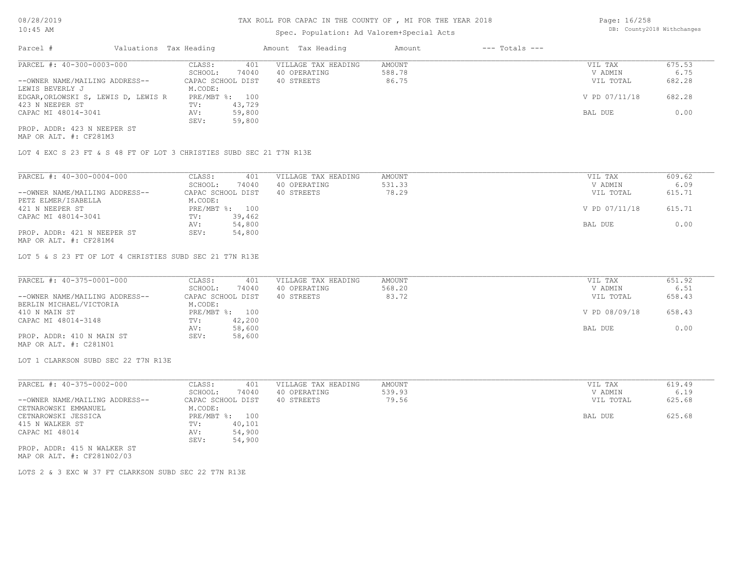## Spec. Population: Ad Valorem+Special Acts

Page: 16/258 DB: County2018 Withchanges

| Parcel #                            | Valuations Tax Heading |        | Amount Tax Heading  | Amount | $---$ Totals $---$ |               |        |
|-------------------------------------|------------------------|--------|---------------------|--------|--------------------|---------------|--------|
| PARCEL #: 40-300-0003-000           | CLASS:                 | 401    | VILLAGE TAX HEADING | AMOUNT |                    | VIL TAX       | 675.53 |
|                                     | SCHOOL:                | 74040  | 40 OPERATING        | 588.78 |                    | V ADMIN       | 6.75   |
| --OWNER NAME/MAILING ADDRESS--      | CAPAC SCHOOL DIST      |        | 40 STREETS          | 86.75  |                    | VIL TOTAL     | 682.28 |
| LEWIS BEVERLY J                     | M.CODE:                |        |                     |        |                    |               |        |
| EDGAR, ORLOWSKI S, LEWIS D, LEWIS R | PRE/MBT %: 100         |        |                     |        |                    | V PD 07/11/18 | 682.28 |
| 423 N NEEPER ST                     | TV:                    | 43,729 |                     |        |                    |               |        |
| CAPAC MI 48014-3041                 | AV:                    | 59,800 |                     |        |                    | BAL DUE       | 0.00   |
|                                     | SEV:                   | 59,800 |                     |        |                    |               |        |
| PROP. ADDR: 423 N NEEPER ST         |                        |        |                     |        |                    |               |        |

MAP OR ALT. #: CF281M3

LOT 4 EXC S 23 FT & S 48 FT OF LOT 3 CHRISTIES SUBD SEC 21 T7N R13E

| PARCEL #: 40-300-0004-000                                                   | CLASS:       | 401               | VILLAGE TAX HEADING | AMOUNT | VIL TAX       | 609.62 |
|-----------------------------------------------------------------------------|--------------|-------------------|---------------------|--------|---------------|--------|
|                                                                             | SCHOOL:      | 74040             | 40 OPERATING        | 531.33 | V ADMIN       | 6.09   |
| --OWNER NAME/MAILING ADDRESS--                                              |              | CAPAC SCHOOL DIST | 40 STREETS          | 78.29  | VIL TOTAL     | 615.71 |
| PETZ ELMER/ISABELLA                                                         | M.CODE:      |                   |                     |        |               |        |
| 421 N NEEPER ST                                                             | $PRE/MBT$ %: | 100               |                     |        | V PD 07/11/18 | 615.71 |
| CAPAC MI 48014-3041                                                         | TV:          | 39,462            |                     |        |               |        |
|                                                                             | AV:          | 54,800            |                     |        | BAL DUE       | 0.00   |
| PROP. ADDR: 421 N NEEPER ST<br>$\cdots$ $\cdots$ $\cdots$ $\cdots$ $\cdots$ | SEV:         | 54,800            |                     |        |               |        |

MAP OR ALT. #: CF281M4

LOT 5 & S 23 FT OF LOT 4 CHRISTIES SUBD SEC 21 T7N R13E

| PARCEL #: 40-375-0001-000      | CLASS:<br>401     | VILLAGE TAX HEADING | AMOUNT | VIL TAX       | 651.92 |
|--------------------------------|-------------------|---------------------|--------|---------------|--------|
|                                | 74040<br>SCHOOL:  | 40 OPERATING        | 568.20 | V ADMIN       | 6.51   |
| --OWNER NAME/MAILING ADDRESS-- | CAPAC SCHOOL DIST | 40 STREETS          | 83.72  | VIL TOTAL     | 658.43 |
| BERLIN MICHAEL/VICTORIA        | M.CODE:           |                     |        |               |        |
| 410 N MAIN ST                  | PRE/MBT %: 100    |                     |        | V PD 08/09/18 | 658.43 |
| CAPAC MI 48014-3148            | 42,200<br>TV:     |                     |        |               |        |
|                                | 58,600<br>AV:     |                     |        | BAL DUE       | 0.00   |
| PROP. ADDR: 410 N MAIN ST      | 58,600<br>SEV:    |                     |        |               |        |
| MAP OR ALT. #: C281N01         |                   |                     |        |               |        |

LOT 1 CLARKSON SUBD SEC 22 T7N R13E

| PARCEL #: 40-375-0002-000      | CLASS:<br>401     | VILLAGE TAX HEADING | AMOUNT | VIL TAX   | 619.49 |
|--------------------------------|-------------------|---------------------|--------|-----------|--------|
|                                | 74040<br>SCHOOL:  | 40 OPERATING        | 539.93 | V ADMIN   | 6.19   |
| --OWNER NAME/MAILING ADDRESS-- | CAPAC SCHOOL DIST | 40 STREETS          | 79.56  | VIL TOTAL | 625.68 |
| CETNAROWSKI EMMANUEL           | M.CODE:           |                     |        |           |        |
| CETNAROWSKI JESSICA            | PRE/MBT %: 100    |                     |        | BAL DUE   | 625.68 |
| 415 N WALKER ST                | 40,101<br>TV:     |                     |        |           |        |
| CAPAC MI 48014                 | 54,900<br>AV:     |                     |        |           |        |
|                                | 54,900<br>SEV:    |                     |        |           |        |
| PROP. ADDR: 415 N WALKER ST    |                   |                     |        |           |        |

MAP OR ALT. #: CF281N02/03

LOTS 2 & 3 EXC W 37 FT CLARKSON SUBD SEC 22 T7N R13E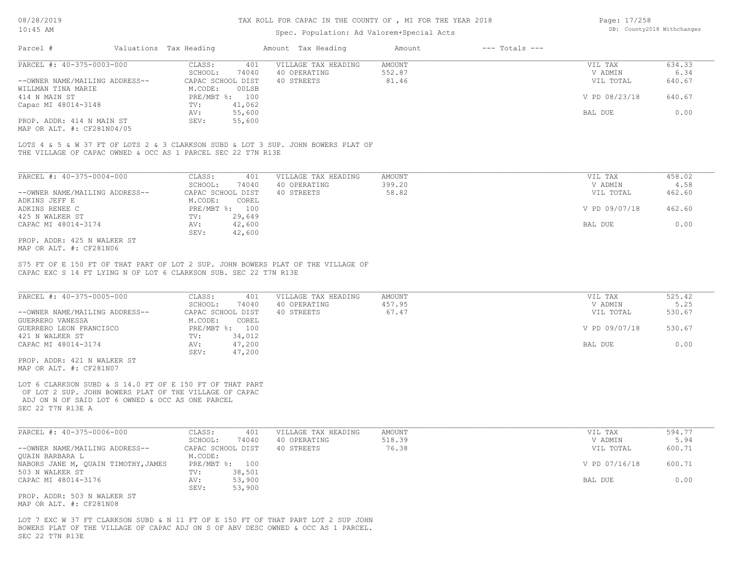### Spec. Population: Ad Valorem+Special Acts

| Page: 17/258 |                            |
|--------------|----------------------------|
|              | DB: County2018 Withchanges |

| Parcel #                       | Valuations Tax Heading |                | Amount Tax Heading  | Amount | $---$ Totals $---$ |               |        |
|--------------------------------|------------------------|----------------|---------------------|--------|--------------------|---------------|--------|
| PARCEL #: 40-375-0003-000      | CLASS:                 | 401            | VILLAGE TAX HEADING | AMOUNT |                    | VIL TAX       | 634.33 |
|                                | SCHOOL:                | 74040          | 40 OPERATING        | 552.87 |                    | V ADMIN       | 6.34   |
| --OWNER NAME/MAILING ADDRESS-- | CAPAC SCHOOL DIST      |                | 40 STREETS          | 81.46  |                    | VIL TOTAL     | 640.67 |
| WILLMAN TINA MARIE             | M.CODE:                | 00LSB          |                     |        |                    |               |        |
| 414 N MAIN ST                  |                        | PRE/MBT %: 100 |                     |        |                    | V PD 08/23/18 | 640.67 |
| Capac MI 48014-3148            | TV:                    | 41,062         |                     |        |                    |               |        |
|                                | AV:                    | 55,600         |                     |        |                    | BAL DUE       | 0.00   |
| PROP. ADDR: 414 N MAIN ST      | SEV:                   | 55,600         |                     |        |                    |               |        |
|                                |                        |                |                     |        |                    |               |        |

MAP OR ALT. #: CF281N04/05

THE VILLAGE OF CAPAC OWNED & OCC AS 1 PARCEL SEC 22 T7N R13E LOTS 4 & 5 & W 37 FT OF LOTS 2 & 3 CLARKSON SUBD & LOT 3 SUP. JOHN BOWERS PLAT OF

| PARCEL #: 40-375-0004-000      | CLASS:       | 401               | VILLAGE TAX HEADING | AMOUNT | VIL TAX       | 458.02 |
|--------------------------------|--------------|-------------------|---------------------|--------|---------------|--------|
|                                | SCHOOL:      | 74040             | 40 OPERATING        | 399.20 | V ADMIN       | 4.58   |
| --OWNER NAME/MAILING ADDRESS-- |              | CAPAC SCHOOL DIST | 40 STREETS          | 58.82  | VIL TOTAL     | 462.60 |
| ADKINS JEFF E                  | M.CODE:      | COREL             |                     |        |               |        |
| ADKINS RENEE C                 | $PRE/MBT$ %: | 100               |                     |        | V PD 09/07/18 | 462.60 |
| 425 N WALKER ST                | TV:          | 29,649            |                     |        |               |        |
| CAPAC MI 48014-3174            | AV:          | 42,600            |                     |        | BAL DUE       | 0.00   |
|                                | SEV:         | 42,600            |                     |        |               |        |
| PROP. ADDR: 425 N WALKER ST    |              |                   |                     |        |               |        |

MAP OR ALT. #: CF281N06

CAPAC EXC S 14 FT LYING N OF LOT 6 CLARKSON SUB. SEC 22 T7N R13E S75 FT OF E 150 FT OF THAT PART OF LOT 2 SUP. JOHN BOWERS PLAT OF THE VILLAGE OF

| PARCEL #: 40-375-0005-000           | CLASS:<br>401       | VILLAGE TAX HEADING | <b>AMOUNT</b> | VIL TAX       | 525.42 |
|-------------------------------------|---------------------|---------------------|---------------|---------------|--------|
|                                     | SCHOOL:<br>74040    | 40 OPERATING        | 457.95        | V ADMIN       | 5.25   |
| --OWNER NAME/MAILING ADDRESS--      | CAPAC SCHOOL DIST   | 40 STREETS          | 67.47         | VIL TOTAL     | 530.67 |
| GUERRERO VANESSA                    | M.CODE:<br>COREL    |                     |               |               |        |
| GUERRERO LEON FRANCISCO             | $PRE/MBT$ %:<br>100 |                     |               | V PD 09/07/18 | 530.67 |
| 421 N WALKER ST                     | 34,012<br>TV:       |                     |               |               |        |
| CAPAC MI 48014-3174                 | 47,200<br>AV:       |                     |               | BAL DUE       | 0.00   |
|                                     | 47,200<br>SEV:      |                     |               |               |        |
| PROP. ADDR: 421 N WALKER ST         |                     |                     |               |               |        |
| MAP OR ALT. #: CF281N07             |                     |                     |               |               |        |
|                                     |                     |                     |               |               |        |
| PARCEL #: 40-375-0006-000           | CLASS:<br>401       | VILLAGE TAX HEADING | AMOUNT        | VIL TAX       | 594.77 |
|                                     | SCHOOL:<br>74040    | 40 OPERATING        | 518.39        | V ADMIN       | 5.94   |
| --OWNER NAME/MAILING ADDRESS--      | CAPAC SCHOOL DIST   | 40 STREETS          | 76.38         | VIL TOTAL     | 600.71 |
| QUAIN BARBARA L                     | M.CODE:             |                     |               |               |        |
| NABORS JANE M, QUAIN TIMOTHY, JAMES | PRE/MBT %: 100      |                     |               | V PD 07/16/18 | 600.71 |
| 503 N WALKER ST                     | 38,501<br>TV:       |                     |               |               |        |
| CAPAC MI 48014-3176                 | 53,900<br>AV:       |                     |               | BAL DUE       | 0.00   |
|                                     | 53,900<br>SEV:      |                     |               |               |        |
| PROP. ADDR: 503 N WALKER ST         |                     |                     |               |               |        |
| MAP OR ALT. #: CF281N08             |                     |                     |               |               |        |

SEC 22 T7N R13E BOWERS PLAT OF THE VILLAGE OF CAPAC ADJ ON S OF ABV DESC OWNED & OCC AS 1 PARCEL. LOT 7 EXC W 37 FT CLARKSON SUBD & N 11 FT OF E 150 FT OF THAT PART LOT 2 SUP JOHN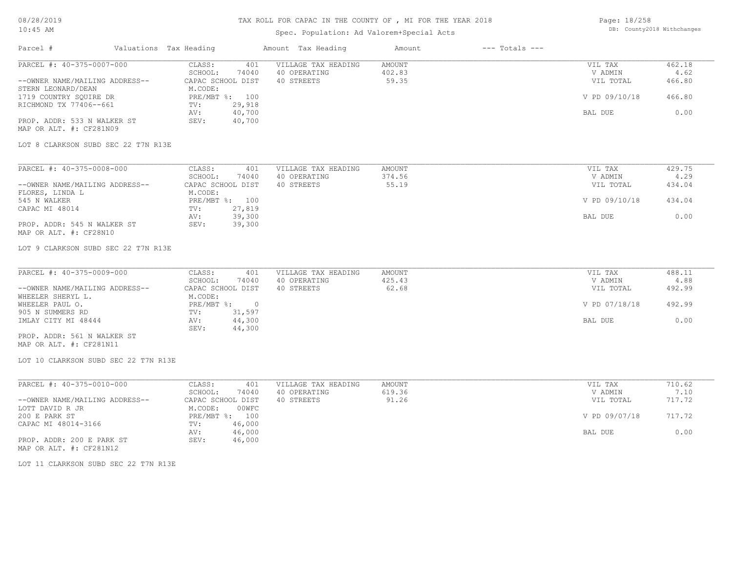# TAX ROLL FOR CAPAC IN THE COUNTY OF , MI FOR THE YEAR 2018

# Spec. Population: Ad Valorem+Special Acts

Page: 18/258 DB: County2018 Withchanges

| Parcel #                                               | Valuations Tax Heading          | Amount Tax Heading  | Amount<br>$---$ Totals $---$ |               |        |
|--------------------------------------------------------|---------------------------------|---------------------|------------------------------|---------------|--------|
| PARCEL #: 40-375-0007-000                              | CLASS:<br>401                   | VILLAGE TAX HEADING | <b>AMOUNT</b>                | VIL TAX       | 462.18 |
|                                                        | SCHOOL:<br>74040                | 40 OPERATING        | 402.83                       | V ADMIN       | 4.62   |
| --OWNER NAME/MAILING ADDRESS--<br>STERN LEONARD/DEAN   | CAPAC SCHOOL DIST<br>M.CODE:    | 40 STREETS          | 59.35                        | VIL TOTAL     | 466.80 |
| 1719 COUNTRY SQUIRE DR                                 | PRE/MBT %: 100                  |                     |                              | V PD 09/10/18 | 466.80 |
| RICHMOND TX 77406--661                                 | 29,918<br>TV:                   |                     |                              |               |        |
|                                                        | 40,700<br>AV:                   |                     |                              | BAL DUE       | 0.00   |
| PROP. ADDR: 533 N WALKER ST<br>MAP OR ALT. #: CF281N09 | SEV:<br>40,700                  |                     |                              |               |        |
| LOT 8 CLARKSON SUBD SEC 22 T7N R13E                    |                                 |                     |                              |               |        |
| PARCEL #: 40-375-0008-000                              | CLASS:<br>401                   | VILLAGE TAX HEADING | <b>AMOUNT</b>                | VIL TAX       | 429.75 |
|                                                        | SCHOOL:<br>74040                | 40 OPERATING        | 374.56                       | V ADMIN       | 4.29   |
| --OWNER NAME/MAILING ADDRESS--                         | CAPAC SCHOOL DIST               | 40 STREETS          | 55.19                        | VIL TOTAL     | 434.04 |
| FLORES, LINDA L                                        | M.CODE:                         |                     |                              |               |        |
| 545 N WALKER                                           | PRE/MBT %: 100                  |                     |                              | V PD 09/10/18 | 434.04 |
| CAPAC MI 48014                                         | 27,819<br>TV:<br>AV:<br>39,300  |                     |                              | BAL DUE       | 0.00   |
| PROP. ADDR: 545 N WALKER ST<br>MAP OR ALT. #: CF28N10  | SEV:<br>39,300                  |                     |                              |               |        |
| LOT 9 CLARKSON SUBD SEC 22 T7N R13E                    |                                 |                     |                              |               |        |
| PARCEL #: 40-375-0009-000                              | CLASS:<br>401                   | VILLAGE TAX HEADING | <b>AMOUNT</b>                | VIL TAX       | 488.11 |
|                                                        | SCHOOL:<br>74040                | 40 OPERATING        | 425.43                       | V ADMIN       | 4.88   |
| --OWNER NAME/MAILING ADDRESS--<br>WHEELER SHERYL L.    | CAPAC SCHOOL DIST<br>M.CODE:    | 40 STREETS          | 62.68                        | VIL TOTAL     | 492.99 |
| WHEELER PAUL O.                                        | PRE/MBT %: 0                    |                     |                              | V PD 07/18/18 | 492.99 |
| 905 N SUMMERS RD                                       | TV:<br>31,597                   |                     |                              |               |        |
| IMLAY CITY MI 48444                                    | 44,300<br>AV:<br>SEV:<br>44,300 |                     |                              | BAL DUE       | 0.00   |
| PROP. ADDR: 561 N WALKER ST<br>MAP OR ALT. #: CF281N11 |                                 |                     |                              |               |        |
| LOT 10 CLARKSON SUBD SEC 22 T7N R13E                   |                                 |                     |                              |               |        |
| PARCEL #: 40-375-0010-000                              | CLASS:<br>401                   | VILLAGE TAX HEADING | <b>AMOUNT</b>                | VIL TAX       | 710.62 |
|                                                        | SCHOOL:<br>74040                | 40 OPERATING        | 619.36                       | V ADMIN       | 7.10   |
| --OWNER NAME/MAILING ADDRESS--                         | CAPAC SCHOOL DIST               | 40 STREETS          | 91.26                        | VIL TOTAL     | 717.72 |
| LOTT DAVID R JR                                        | M.CODE:<br>00WFC                |                     |                              |               |        |
| 200 E PARK ST                                          | PRE/MBT %: 100                  |                     |                              | V PD 09/07/18 | 717.72 |
| CAPAC MI 48014-3166                                    | 46,000<br>TV:                   |                     |                              |               |        |
|                                                        | AV:<br>46,000                   |                     |                              | BAL DUE       | 0.00   |
| PROP. ADDR: 200 E PARK ST<br>MAP OR ALT. #: CF281N12   | SEV:<br>46,000                  |                     |                              |               |        |
| LOT 11 CLARKSON SUBD SEC 22 T7N R13E                   |                                 |                     |                              |               |        |
|                                                        |                                 |                     |                              |               |        |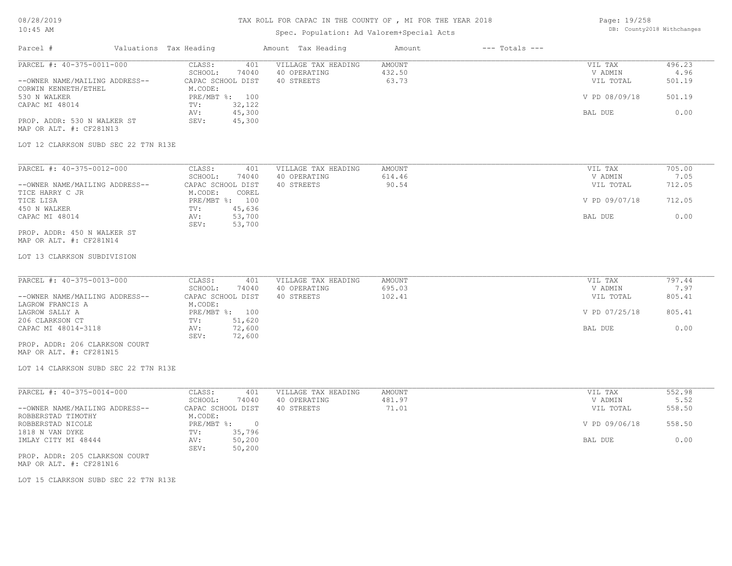# TAX ROLL FOR CAPAC IN THE COUNTY OF , MI FOR THE YEAR 2018

# Spec. Population: Ad Valorem+Special Acts

Page: 19/258 DB: County2018 Withchanges

| Parcel #<br>Valuations Tax Heading                     |                                            | Amount Tax Heading                  | Amount<br>$---$ Totals $---$ |                      |                |
|--------------------------------------------------------|--------------------------------------------|-------------------------------------|------------------------------|----------------------|----------------|
| PARCEL #: 40-375-0011-000                              | CLASS:<br>401                              | VILLAGE TAX HEADING                 | AMOUNT                       | VIL TAX              | 496.23         |
| --OWNER NAME/MAILING ADDRESS--                         | SCHOOL:<br>74040<br>CAPAC SCHOOL DIST      | 40 OPERATING<br>40 STREETS          | 432.50<br>63.73              | V ADMIN<br>VIL TOTAL | 4.96<br>501.19 |
| CORWIN KENNETH/ETHEL                                   | M.CODE:                                    |                                     |                              |                      |                |
| 530 N WALKER                                           | PRE/MBT %: 100                             |                                     |                              | V PD 08/09/18        | 501.19         |
| CAPAC MI 48014                                         | 32,122<br>TV:                              |                                     |                              |                      |                |
|                                                        | 45,300<br>AV:                              |                                     |                              | BAL DUE              | 0.00           |
| PROP. ADDR: 530 N WALKER ST<br>MAP OR ALT. #: CF281N13 | SEV:<br>45,300                             |                                     |                              |                      |                |
|                                                        |                                            |                                     |                              |                      |                |
| LOT 12 CLARKSON SUBD SEC 22 T7N R13E                   |                                            |                                     |                              |                      |                |
| PARCEL #: 40-375-0012-000                              | CLASS:<br>401                              | VILLAGE TAX HEADING                 | <b>AMOUNT</b>                | VIL TAX              | 705.00         |
|                                                        | SCHOOL:<br>74040                           | 40 OPERATING                        | 614.46                       | V ADMIN              | 7.05           |
| --OWNER NAME/MAILING ADDRESS--                         | CAPAC SCHOOL DIST                          | 40 STREETS                          | 90.54                        | VIL TOTAL            | 712.05         |
| TICE HARRY C JR                                        | M.CODE:<br>COREL                           |                                     |                              |                      |                |
| TICE LISA                                              | PRE/MBT %: 100                             |                                     |                              | V PD 09/07/18        | 712.05         |
| 450 N WALKER<br>CAPAC MI 48014                         | 45,636<br>$\texttt{TV}$ :<br>53,700<br>AV: |                                     |                              | BAL DUE              | 0.00           |
|                                                        | 53,700<br>SEV:                             |                                     |                              |                      |                |
| PROP. ADDR: 450 N WALKER ST                            |                                            |                                     |                              |                      |                |
| MAP OR ALT. #: CF281N14                                |                                            |                                     |                              |                      |                |
| LOT 13 CLARKSON SUBDIVISION                            |                                            |                                     |                              |                      |                |
|                                                        |                                            |                                     |                              |                      |                |
| PARCEL #: 40-375-0013-000                              | CLASS:<br>401                              | VILLAGE TAX HEADING                 | <b>AMOUNT</b>                | VIL TAX              | 797.44         |
|                                                        | SCHOOL:<br>74040                           | 40 OPERATING                        | 695.03                       | V ADMIN              | 7.97           |
| --OWNER NAME/MAILING ADDRESS--                         | CAPAC SCHOOL DIST                          | 40 STREETS                          | 102.41                       | VIL TOTAL            | 805.41         |
| LAGROW FRANCIS A                                       | M.CODE:                                    |                                     |                              |                      |                |
| LAGROW SALLY A                                         | PRE/MBT %: 100                             |                                     |                              | V PD 07/25/18        | 805.41         |
| 206 CLARKSON CT                                        | 51,620<br>TV:<br>72,600<br>AV:             |                                     |                              | BAL DUE              | 0.00           |
| CAPAC MI 48014-3118                                    | 72,600<br>SEV:                             |                                     |                              |                      |                |
| PROP. ADDR: 206 CLARKSON COURT                         |                                            |                                     |                              |                      |                |
| MAP OR ALT. #: CF281N15                                |                                            |                                     |                              |                      |                |
| LOT 14 CLARKSON SUBD SEC 22 T7N R13E                   |                                            |                                     |                              |                      |                |
|                                                        |                                            |                                     |                              |                      | 552.98         |
| PARCEL #: 40-375-0014-000                              | CLASS:<br>401<br>SCHOOL:<br>74040          | VILLAGE TAX HEADING<br>40 OPERATING | <b>AMOUNT</b><br>481.97      | VIL TAX<br>V ADMIN   | 5.52           |
| --OWNER NAME/MAILING ADDRESS--                         | CAPAC SCHOOL DIST                          | 40 STREETS                          | 71.01                        | VIL TOTAL            | 558.50         |
| ROBBERSTAD TIMOTHY                                     | M.CODE:                                    |                                     |                              |                      |                |
| ROBBERSTAD NICOLE                                      | PRE/MBT %: 0                               |                                     |                              | V PD 09/06/18        | 558.50         |
| 1818 N VAN DYKE                                        | 35,796<br>TV:                              |                                     |                              |                      |                |
| IMLAY CITY MI 48444                                    | 50,200<br>AV:                              |                                     |                              | BAL DUE              | 0.00           |
| PROP. ADDR: 205 CLARKSON COURT                         | SEV:<br>50,200                             |                                     |                              |                      |                |
|                                                        |                                            |                                     |                              |                      |                |
|                                                        |                                            |                                     |                              |                      |                |
| MAP OR ALT. #: CF281N16                                |                                            |                                     |                              |                      |                |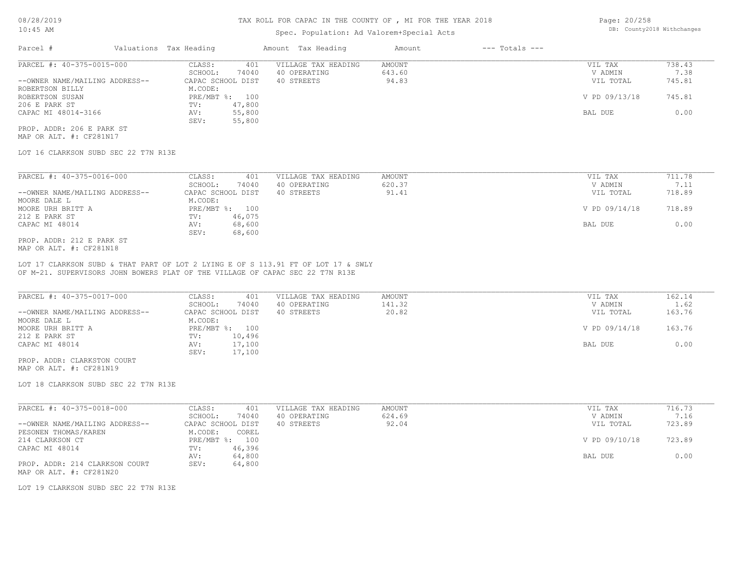## Spec. Population: Ad Valorem+Special Acts

| Page: 20/258 |                            |
|--------------|----------------------------|
|              | DB: County2018 Withchanges |

| Parcel #                       | Valuations Tax Heading |        | Amount Tax Heading  | Amount | $---$ Totals $---$ |               |        |
|--------------------------------|------------------------|--------|---------------------|--------|--------------------|---------------|--------|
| PARCEL #: 40-375-0015-000      | CLASS:                 | 401    | VILLAGE TAX HEADING | AMOUNT |                    | VIL TAX       | 738.43 |
|                                | SCHOOL:                | 74040  | 40 OPERATING        | 643.60 |                    | V ADMIN       | 7.38   |
| --OWNER NAME/MAILING ADDRESS-- | CAPAC SCHOOL DIST      |        | 40 STREETS          | 94.83  |                    | VIL TOTAL     | 745.81 |
| ROBERTSON BILLY                | M.CODE:                |        |                     |        |                    |               |        |
| ROBERTSON SUSAN                | PRE/MBT %: 100         |        |                     |        |                    | V PD 09/13/18 | 745.81 |
| 206 E PARK ST                  | TV:                    | 47,800 |                     |        |                    |               |        |
| CAPAC MI 48014-3166            | AV:                    | 55,800 |                     |        |                    | BAL DUE       | 0.00   |
|                                | SEV:                   | 55,800 |                     |        |                    |               |        |
| PROP. ADDR: 206 E PARK ST      |                        |        |                     |        |                    |               |        |

MAP OR ALT. #: CF281N17

LOT 16 CLARKSON SUBD SEC 22 T7N R13E

| PARCEL #: 40-375-0016-000      | CLASS:       | 401               | VILLAGE TAX HEADING | AMOUNT | VIL TAX       | 711.78 |
|--------------------------------|--------------|-------------------|---------------------|--------|---------------|--------|
|                                | SCHOOL:      | 74040             | 40 OPERATING        | 620.37 | V ADMIN       | 7.11   |
| --OWNER NAME/MAILING ADDRESS-- |              | CAPAC SCHOOL DIST | 40 STREETS          | 91.41  | VIL TOTAL     | 718.89 |
| MOORE DALE L                   | M.CODE:      |                   |                     |        |               |        |
| MOORE URH BRITT A              | $PRE/MBT$ %: | 100               |                     |        | V PD 09/14/18 | 718.89 |
| 212 E PARK ST                  | TV:          | 46,075            |                     |        |               |        |
| CAPAC MI 48014                 | AV:          | 68,600            |                     |        | BAL DUE       | 0.00   |
|                                | SEV:         | 68,600            |                     |        |               |        |
| PROP. ADDR: 212 E PARK ST      |              |                   |                     |        |               |        |

MAP OR ALT. #: CF281N18

OF M-21. SUPERVISORS JOHN BOWERS PLAT OF THE VILLAGE OF CAPAC SEC 22 T7N R13E LOT 17 CLARKSON SUBD & THAT PART OF LOT 2 LYING E OF S 113.91 FT OF LOT 17 & SWLY

| PARCEL #: 40-375-0017-000      | CLASS:<br>401     | VILLAGE TAX HEADING | AMOUNT | VIL TAX       | 162.14 |
|--------------------------------|-------------------|---------------------|--------|---------------|--------|
|                                | 74040<br>SCHOOL:  | 40 OPERATING        | 141.32 | V ADMIN       | 1.62   |
| --OWNER NAME/MAILING ADDRESS-- | CAPAC SCHOOL DIST | 40 STREETS          | 20.82  | VIL TOTAL     | 163.76 |
| MOORE DALE L                   | M.CODE:           |                     |        |               |        |
| MOORE URH BRITT A              | PRE/MBT %: 100    |                     |        | V PD 09/14/18 | 163.76 |
| 212 E PARK ST                  | 10,496<br>TV:     |                     |        |               |        |
| CAPAC MI 48014                 | 17,100<br>AV:     |                     |        | BAL DUE       | 0.00   |
|                                | 17,100<br>SEV:    |                     |        |               |        |
|                                |                   |                     |        |               |        |

MAP OR ALT. #: CF281N19 PROP. ADDR: CLARKSTON COURT

LOT 18 CLARKSON SUBD SEC 22 T7N R13E

| PARCEL #: 40-375-0018-000      | 401<br>CLASS:     | VILLAGE TAX HEADING | AMOUNT | VIL TAX       | 716.73 |
|--------------------------------|-------------------|---------------------|--------|---------------|--------|
|                                | 74040<br>SCHOOL:  | 40 OPERATING        | 624.69 | V ADMIN       | 7.16   |
| --OWNER NAME/MAILING ADDRESS-- | CAPAC SCHOOL DIST | 40 STREETS          | 92.04  | VIL TOTAL     | 723.89 |
| PESONEN THOMAS/KAREN           | M.CODE:<br>COREL  |                     |        |               |        |
| 214 CLARKSON CT                | PRE/MBT %: 100    |                     |        | V PD 09/10/18 | 723.89 |
| CAPAC MI 48014                 | 46,396<br>TV:     |                     |        |               |        |
|                                | 64,800<br>AV:     |                     |        | BAL DUE       | 0.00   |
| PROP. ADDR: 214 CLARKSON COURT | 64,800<br>SEV:    |                     |        |               |        |
| MAP OR ALT. #: CF281N20        |                   |                     |        |               |        |

LOT 19 CLARKSON SUBD SEC 22 T7N R13E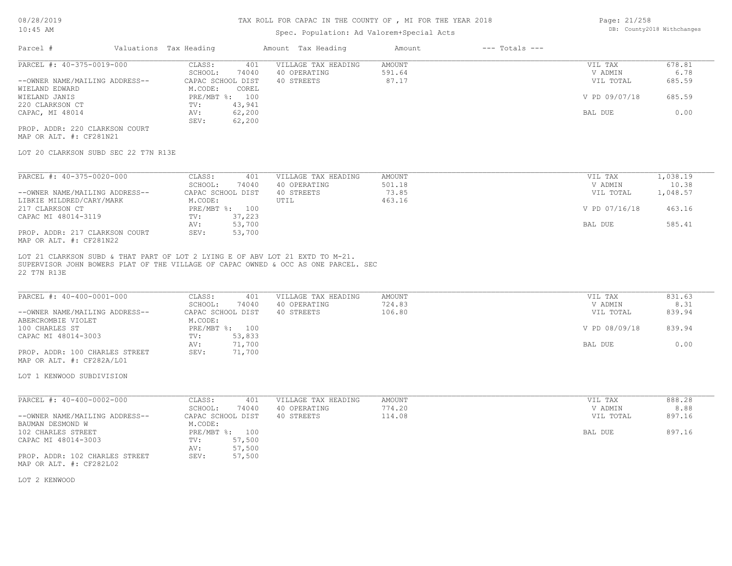# Spec. Population: Ad Valorem+Special Acts

| Page: 21/258 |                            |
|--------------|----------------------------|
|              | DB: County2018 Withchanges |

| Parcel #                       | Valuations Tax Heading |        | Amount Tax Heading  | Amount | $---$ Totals $---$ |               |        |
|--------------------------------|------------------------|--------|---------------------|--------|--------------------|---------------|--------|
| PARCEL #: 40-375-0019-000      | CLASS:                 | 401    | VILLAGE TAX HEADING | AMOUNT |                    | VIL TAX       | 678.81 |
|                                | SCHOOL:                | 74040  | 40 OPERATING        | 591.64 |                    | V ADMIN       | 6.78   |
| --OWNER NAME/MAILING ADDRESS-- | CAPAC SCHOOL DIST      |        | 40 STREETS          | 87.17  |                    | VIL TOTAL     | 685.59 |
| WIELAND EDWARD                 | M.CODE:                | COREL  |                     |        |                    |               |        |
| WIELAND JANIS                  | PRE/MBT %: 100         |        |                     |        |                    | V PD 09/07/18 | 685.59 |
| 220 CLARKSON CT                | TV:                    | 43,941 |                     |        |                    |               |        |
| CAPAC, MI 48014                | AV:                    | 62,200 |                     |        |                    | BAL DUE       | 0.00   |
|                                | SEV:                   | 62,200 |                     |        |                    |               |        |
| PROP. ADDR: 220 CLARKSON COURT |                        |        |                     |        |                    |               |        |

MAP OR ALT. #: CF281N21

LOT 20 CLARKSON SUBD SEC 22 T7N R13E

| PARCEL #: 40-375-0020-000      | CLASS:     | 401               | VILLAGE TAX HEADING | AMOUNT | VIL TAX       | 1,038.19 |
|--------------------------------|------------|-------------------|---------------------|--------|---------------|----------|
|                                | SCHOOL:    | 74040             | 40 OPERATING        | 501.18 | V ADMIN       | 10.38    |
| --OWNER NAME/MAILING ADDRESS-- |            | CAPAC SCHOOL DIST | 40 STREETS          | 73.85  | VIL TOTAL     | 1,048.57 |
| LIBKIE MILDRED/CARY/MARK       | M.CODE:    |                   | UTIL                | 463.16 |               |          |
| 217 CLARKSON CT                | PRE/MBT %: | 100               |                     |        | V PD 07/16/18 | 463.16   |
| CAPAC MI 48014-3119            | TV:        | 37,223            |                     |        |               |          |
|                                | AV:        | 53,700            |                     |        | BAL DUE       | 585.41   |
| PROP. ADDR: 217 CLARKSON COURT | SEV:       | 53,700            |                     |        |               |          |
| MAP OR ALT. #: CF281N22        |            |                   |                     |        |               |          |

22 T7N R13E SUPERVISOR JOHN BOWERS PLAT OF THE VILLAGE OF CAPAC OWNED & OCC AS ONE PARCEL. SEC LOT 21 CLARKSON SUBD & THAT PART OF LOT 2 LYING E OF ABV LOT 21 EXTD TO M-21.

| PARCEL #: 40-400-0001-000      | CLASS:<br>401     | VILLAGE TAX HEADING | AMOUNT | VIL TAX       | 831.63 |
|--------------------------------|-------------------|---------------------|--------|---------------|--------|
|                                | 74040<br>SCHOOL:  | 40 OPERATING        | 724.83 | V ADMIN       | 8.31   |
| --OWNER NAME/MAILING ADDRESS-- | CAPAC SCHOOL DIST | 40 STREETS          | 106.80 | VIL TOTAL     | 839.94 |
| ABERCROMBIE VIOLET             | M.CODE:           |                     |        |               |        |
| 100 CHARLES ST                 | PRE/MBT %: 100    |                     |        | V PD 08/09/18 | 839.94 |
| CAPAC MI 48014-3003            | 53,833<br>TV:     |                     |        |               |        |
|                                | 71,700<br>AV:     |                     |        | BAL DUE       | 0.00   |
| PROP. ADDR: 100 CHARLES STREET | 71,700<br>SEV:    |                     |        |               |        |
| MAP OR ALT. #: CF282A/L01      |                   |                     |        |               |        |

LOT 1 KENWOOD SUBDIVISION

| PARCEL #: 40-400-0002-000      | CLASS:            | 401            | VILLAGE TAX HEADING | AMOUNT | VIL TAX   | 888.28 |
|--------------------------------|-------------------|----------------|---------------------|--------|-----------|--------|
|                                | SCHOOL:           | 74040          | 40 OPERATING        | 774.20 | V ADMIN   | 8.88   |
| --OWNER NAME/MAILING ADDRESS-- | CAPAC SCHOOL DIST |                | 40 STREETS          | 114.08 | VIL TOTAL | 897.16 |
| BAUMAN DESMOND W               | M.CODE:           |                |                     |        |           |        |
| 102 CHARLES STREET             |                   | PRE/MBT %: 100 |                     |        | BAL DUE   | 897.16 |
| CAPAC MI 48014-3003            | TV:               | 57,500         |                     |        |           |        |
|                                | AV:               | 57,500         |                     |        |           |        |
| PROP. ADDR: 102 CHARLES STREET | SEV:              | 57,500         |                     |        |           |        |
| MAP OR ALT. #: CF282L02        |                   |                |                     |        |           |        |

LOT 2 KENWOOD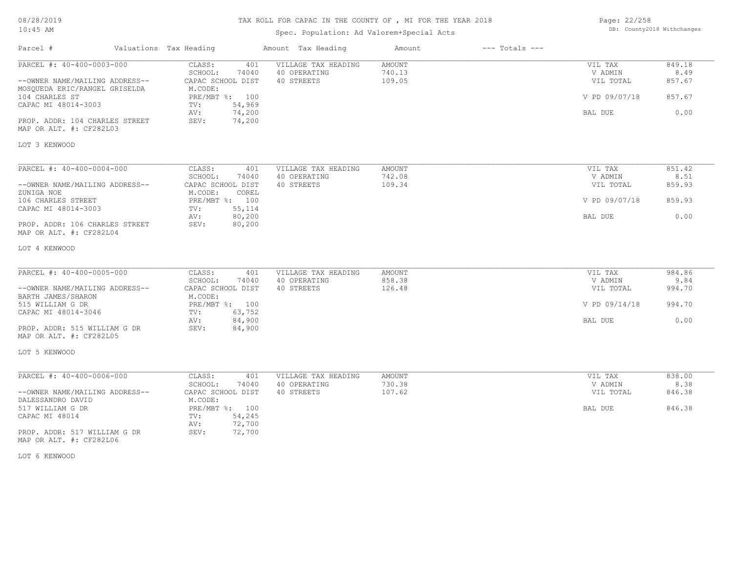# TAX ROLL FOR CAPAC IN THE COUNTY OF , MI FOR THE YEAR 2018

# Spec. Population: Ad Valorem+Special Acts

| Page: 22/258 |                            |
|--------------|----------------------------|
|              | DB: County2018 Withchanges |

| Parcel #                                                  | Valuations Tax Heading | Amount Tax Heading  | Amount | $---$ Totals $---$ |               |        |
|-----------------------------------------------------------|------------------------|---------------------|--------|--------------------|---------------|--------|
| PARCEL #: 40-400-0003-000                                 | CLASS:<br>401          | VILLAGE TAX HEADING | AMOUNT |                    | VIL TAX       | 849.18 |
|                                                           | SCHOOL:<br>74040       | 40 OPERATING        | 740.13 |                    | V ADMIN       | 8.49   |
| --OWNER NAME/MAILING ADDRESS--                            | CAPAC SCHOOL DIST      | 40 STREETS          | 109.05 |                    | VIL TOTAL     | 857.67 |
| MOSQUEDA ERIC/RANGEL GRISELDA                             | M.CODE:                |                     |        |                    |               |        |
| 104 CHARLES ST                                            | PRE/MBT %: 100         |                     |        |                    | V PD 09/07/18 | 857.67 |
| CAPAC MI 48014-3003                                       | 54,969<br>TV:          |                     |        |                    |               |        |
|                                                           | 74,200<br>AV:          |                     |        |                    | BAL DUE       | 0.00   |
| PROP. ADDR: 104 CHARLES STREET                            | SEV:<br>74,200         |                     |        |                    |               |        |
| MAP OR ALT. #: CF282L03                                   |                        |                     |        |                    |               |        |
| LOT 3 KENWOOD                                             |                        |                     |        |                    |               |        |
|                                                           |                        |                     |        |                    |               |        |
| PARCEL #: 40-400-0004-000                                 | CLASS:<br>401          | VILLAGE TAX HEADING | AMOUNT |                    | VIL TAX       | 851.42 |
|                                                           | SCHOOL:<br>74040       | 40 OPERATING        | 742.08 |                    | V ADMIN       | 8.51   |
| --OWNER NAME/MAILING ADDRESS--                            | CAPAC SCHOOL DIST      | 40 STREETS          | 109.34 |                    | VIL TOTAL     | 859.93 |
| ZUNIGA NOE                                                | M.CODE:<br>COREL       |                     |        |                    |               |        |
| 106 CHARLES STREET                                        | PRE/MBT %: 100         |                     |        |                    | V PD 09/07/18 | 859.93 |
| CAPAC MI 48014-3003                                       | 55,114<br>TV:          |                     |        |                    |               |        |
|                                                           | 80,200<br>AV:          |                     |        |                    | BAL DUE       | 0.00   |
| PROP. ADDR: 106 CHARLES STREET<br>MAP OR ALT. #: CF282L04 | 80,200<br>SEV:         |                     |        |                    |               |        |
| LOT 4 KENWOOD                                             |                        |                     |        |                    |               |        |
|                                                           |                        |                     |        |                    |               |        |
| PARCEL #: 40-400-0005-000                                 | CLASS:<br>401          | VILLAGE TAX HEADING | AMOUNT |                    | VIL TAX       | 984.86 |
|                                                           | SCHOOL:<br>74040       | 40 OPERATING        | 858.38 |                    | V ADMIN       | 9.84   |
| --OWNER NAME/MAILING ADDRESS--                            | CAPAC SCHOOL DIST      | 40 STREETS          | 126.48 |                    | VIL TOTAL     | 994.70 |
| BARTH JAMES/SHARON                                        | M.CODE:                |                     |        |                    |               |        |
| 515 WILLIAM G DR                                          | PRE/MBT %: 100         |                     |        |                    | V PD 09/14/18 | 994.70 |
| CAPAC MI 48014-3046                                       | 63,752<br>TV:          |                     |        |                    |               |        |
|                                                           | 84,900<br>AV:          |                     |        |                    | BAL DUE       | 0.00   |
| PROP. ADDR: 515 WILLIAM G DR                              | SEV:<br>84,900         |                     |        |                    |               |        |
| MAP OR ALT. #: CF282L05                                   |                        |                     |        |                    |               |        |
| LOT 5 KENWOOD                                             |                        |                     |        |                    |               |        |
|                                                           |                        |                     |        |                    |               |        |
| PARCEL #: 40-400-0006-000                                 | CLASS:<br>401          | VILLAGE TAX HEADING | AMOUNT |                    | VIL TAX       | 838.00 |
|                                                           | SCHOOL:<br>74040       | 40 OPERATING        | 730.38 |                    | V ADMIN       | 8.38   |
| --OWNER NAME/MAILING ADDRESS--                            | CAPAC SCHOOL DIST      | 40 STREETS          | 107.62 |                    | VIL TOTAL     | 846.38 |
| DALESSANDRO DAVID                                         | M.CODE:                |                     |        |                    |               |        |
| 517 WILLIAM G DR                                          | PRE/MBT %: 100         |                     |        |                    | BAL DUE       | 846.38 |
| CAPAC MI 48014                                            | 54,245<br>TV:          |                     |        |                    |               |        |
|                                                           | 72,700<br>AV:          |                     |        |                    |               |        |
| PROP. ADDR: 517 WILLIAM G DR                              | SEV:<br>72,700         |                     |        |                    |               |        |
| MAP OR ALT. #: CF282L06                                   |                        |                     |        |                    |               |        |

LOT 6 KENWOOD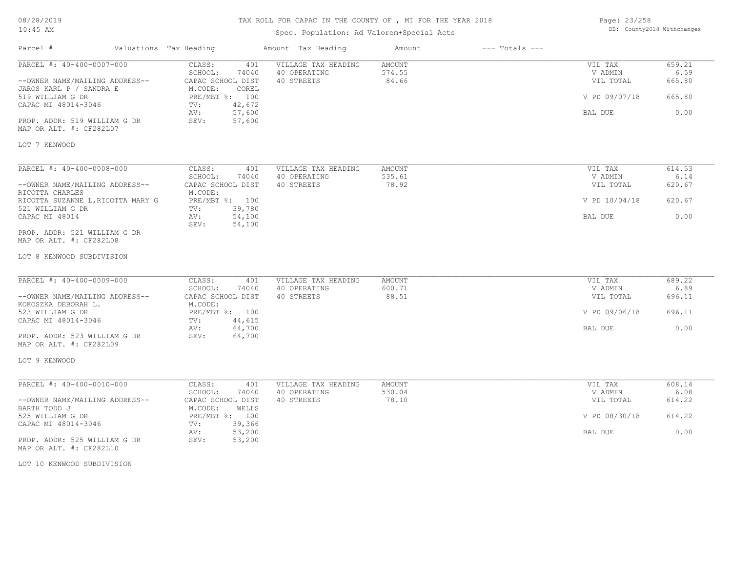# TAX ROLL FOR CAPAC IN THE COUNTY OF , MI FOR THE YEAR 2018

# Spec. Population: Ad Valorem+Special Acts

Page: 23/258 DB: County2018 Withchanges

| Parcel #                                                                 | Valuations Tax Heading                                 | Amount Tax Heading                                | Amount                           | $---$ Totals $---$ |                                 |                          |
|--------------------------------------------------------------------------|--------------------------------------------------------|---------------------------------------------------|----------------------------------|--------------------|---------------------------------|--------------------------|
| PARCEL #: 40-400-0007-000<br>--OWNER NAME/MAILING ADDRESS--              | CLASS:<br>401<br>SCHOOL:<br>74040<br>CAPAC SCHOOL DIST | VILLAGE TAX HEADING<br>40 OPERATING<br>40 STREETS | <b>AMOUNT</b><br>574.55<br>84.66 |                    | VIL TAX<br>V ADMIN<br>VIL TOTAL | 659.21<br>6.59<br>665.80 |
| JAROS KARL P / SANDRA E<br>519 WILLIAM G DR                              | M.CODE:<br>COREL<br>PRE/MBT %: 100                     |                                                   |                                  |                    | V PD 09/07/18                   | 665.80                   |
| CAPAC MI 48014-3046                                                      | 42,672<br>TV:<br>AV:<br>57,600                         |                                                   |                                  |                    | BAL DUE                         | 0.00                     |
| PROP. ADDR: 519 WILLIAM G DR<br>MAP OR ALT. #: CF282L07                  | 57,600<br>SEV:                                         |                                                   |                                  |                    |                                 |                          |
| LOT 7 KENWOOD                                                            |                                                        |                                                   |                                  |                    |                                 |                          |
| PARCEL #: 40-400-0008-000                                                | CLASS:<br>401                                          | VILLAGE TAX HEADING                               | <b>AMOUNT</b>                    |                    | VIL TAX                         | 614.53                   |
| --OWNER NAME/MAILING ADDRESS--                                           | SCHOOL:<br>74040<br>CAPAC SCHOOL DIST                  | 40 OPERATING<br>40 STREETS                        | 535.61<br>78.92                  |                    | V ADMIN<br>VIL TOTAL            | 6.14<br>620.67           |
| RICOTTA CHARLES<br>RICOTTA SUZANNE L, RICOTTA MARY G<br>521 WILLIAM G DR | M.CODE:<br>PRE/MBT %: 100<br>39,780<br>TV:             |                                                   |                                  |                    | V PD 10/04/18                   | 620.67                   |
| CAPAC MI 48014                                                           | 54,100<br>AV:<br>54,100<br>SEV:                        |                                                   |                                  |                    | BAL DUE                         | 0.00                     |
| PROP. ADDR: 521 WILLIAM G DR<br>MAP OR ALT. #: CF282L08                  |                                                        |                                                   |                                  |                    |                                 |                          |
| LOT 8 KENWOOD SUBDIVISION                                                |                                                        |                                                   |                                  |                    |                                 |                          |
| PARCEL #: 40-400-0009-000                                                | CLASS:<br>401                                          | VILLAGE TAX HEADING                               | AMOUNT                           |                    | VIL TAX                         | 689.22                   |
| --OWNER NAME/MAILING ADDRESS--                                           | SCHOOL:<br>74040<br>CAPAC SCHOOL DIST                  | 40 OPERATING<br>40 STREETS                        | 600.71<br>88.51                  |                    | V ADMIN<br>VIL TOTAL            | 6.89<br>696.11           |
| KOKOSZKA DEBORAH L.<br>523 WILLIAM G DR<br>CAPAC MI 48014-3046           | M.CODE:<br>PRE/MBT %: 100<br>44,615<br>TV:             |                                                   |                                  |                    | V PD 09/06/18                   | 696.11                   |
| PROP. ADDR: 523 WILLIAM G DR<br>MAP OR ALT. #: CF282L09                  | 64,700<br>AV:<br>SEV:<br>64,700                        |                                                   |                                  |                    | BAL DUE                         | 0.00                     |
| LOT 9 KENWOOD                                                            |                                                        |                                                   |                                  |                    |                                 |                          |
| PARCEL #: 40-400-0010-000                                                | CLASS:<br>401                                          | VILLAGE TAX HEADING                               | AMOUNT                           |                    | VIL TAX                         | 608.14                   |
| --OWNER NAME/MAILING ADDRESS--                                           | SCHOOL:<br>74040<br>CAPAC SCHOOL DIST                  | 40 OPERATING<br>40 STREETS                        | 530.04<br>78.10                  |                    | V ADMIN<br>VIL TOTAL            | 6.08<br>614.22           |
| BARTH TODD J                                                             | M.CODE:<br>WELLS                                       |                                                   |                                  |                    |                                 |                          |
| 525 WILLIAM G DR<br>CAPAC MI 48014-3046                                  | PRE/MBT %: 100<br>TV:<br>39,366                        |                                                   |                                  |                    | V PD 08/30/18                   | 614.22                   |
| PROP. ADDR: 525 WILLIAM G DR<br>MAP OR ALT. #: CF282L10                  | 53,200<br>AV:<br>SEV:<br>53,200                        |                                                   |                                  |                    | BAL DUE                         | 0.00                     |

LOT 10 KENWOOD SUBDIVISION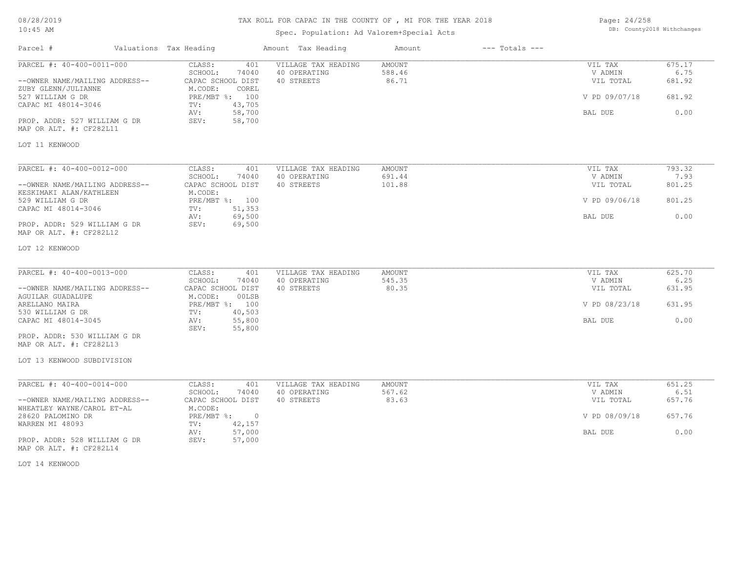08/28/2019

# 10:45 AM

# TAX ROLL FOR CAPAC IN THE COUNTY OF , MI FOR THE YEAR 2018

# Spec. Population: Ad Valorem+Special Acts

Page: 24/258 DB: County2018 Withchanges

| Parcel #                                                     | Valuations Tax Heading                        | Amount Tax Heading  | Amount        | $---$ Totals $---$ |               |        |
|--------------------------------------------------------------|-----------------------------------------------|---------------------|---------------|--------------------|---------------|--------|
| PARCEL #: 40-400-0011-000                                    | CLASS:<br>401                                 | VILLAGE TAX HEADING | <b>AMOUNT</b> |                    | VIL TAX       | 675.17 |
|                                                              | SCHOOL:<br>74040                              | 40 OPERATING        | 588.46        |                    | V ADMIN       | 6.75   |
| --OWNER NAME/MAILING ADDRESS--<br>ZUBY GLENN/JULIANNE        | CAPAC SCHOOL DIST<br>M.CODE:<br>COREL         | 40 STREETS          | 86.71         |                    | VIL TOTAL     | 681.92 |
| 527 WILLIAM G DR<br>CAPAC MI 48014-3046                      | PRE/MBT %: 100<br>43,705<br>TV:               |                     |               |                    | V PD 09/07/18 | 681.92 |
|                                                              | 58,700<br>AV:                                 |                     |               |                    | BAL DUE       | 0.00   |
| PROP. ADDR: 527 WILLIAM G DR<br>MAP OR ALT. #: CF282L11      | SEV:<br>58,700                                |                     |               |                    |               |        |
| LOT 11 KENWOOD                                               |                                               |                     |               |                    |               |        |
| PARCEL #: 40-400-0012-000                                    | CLASS:<br>401                                 | VILLAGE TAX HEADING | AMOUNT        |                    | VIL TAX       | 793.32 |
|                                                              | SCHOOL:<br>74040                              | 40 OPERATING        | 691.44        |                    | V ADMIN       | 7.93   |
| --OWNER NAME/MAILING ADDRESS--<br>KESKIMAKI ALAN/KATHLEEN    | CAPAC SCHOOL DIST<br>M.CODE:                  | 40 STREETS          | 101.88        |                    | VIL TOTAL     | 801.25 |
| 529 WILLIAM G DR<br>CAPAC MI 48014-3046                      | PRE/MBT %: 100<br>51,353<br>TV:               |                     |               |                    | V PD 09/06/18 | 801.25 |
|                                                              | 69,500<br>AV:                                 |                     |               |                    | BAL DUE       | 0.00   |
| PROP. ADDR: 529 WILLIAM G DR<br>MAP OR ALT. #: CF282L12      | SEV:<br>69,500                                |                     |               |                    |               |        |
| LOT 12 KENWOOD                                               |                                               |                     |               |                    |               |        |
| PARCEL #: 40-400-0013-000                                    | CLASS:<br>401                                 | VILLAGE TAX HEADING | AMOUNT        |                    | VIL TAX       | 625.70 |
|                                                              | SCHOOL:<br>74040                              | 40 OPERATING        | 545.35        |                    | V ADMIN       | 6.25   |
| --OWNER NAME/MAILING ADDRESS--<br><b>AGUILAR GUADALUPE</b>   | CAPAC SCHOOL DIST<br>M.CODE:<br>00LSB         | 40 STREETS          | 80.35         |                    | VIL TOTAL     | 631.95 |
| ARELLANO MAIRA                                               | PRE/MBT %: 100                                |                     |               |                    | V PD 08/23/18 | 631.95 |
| 530 WILLIAM G DR<br>CAPAC MI 48014-3045                      | 40,503<br>TV:<br>55,800<br>AV:                |                     |               |                    | BAL DUE       | 0.00   |
| PROP. ADDR: 530 WILLIAM G DR<br>MAP OR ALT. #: CF282L13      | 55,800<br>SEV:                                |                     |               |                    |               |        |
| LOT 13 KENWOOD SUBDIVISION                                   |                                               |                     |               |                    |               |        |
| PARCEL #: 40-400-0014-000                                    | CLASS:<br>401                                 | VILLAGE TAX HEADING | <b>AMOUNT</b> |                    | VIL TAX       | 651.25 |
|                                                              | SCHOOL:<br>74040                              | 40 OPERATING        | 567.62        |                    | V ADMIN       | 6.51   |
| --OWNER NAME/MAILING ADDRESS--<br>WHEATLEY WAYNE/CAROL ET-AL | CAPAC SCHOOL DIST<br>M.CODE:                  | 40 STREETS          | 83.63         |                    | VIL TOTAL     | 657.76 |
| 28620 PALOMINO DR<br>WARREN MI 48093                         | PRE/MBT %:<br>$\overline{0}$<br>42,157<br>TV: |                     |               |                    | V PD 08/09/18 | 657.76 |
| PROP. ADDR: 528 WILLIAM G DR<br>MAP OR ALT. #: CF282L14      | AV:<br>57,000<br>SEV:<br>57,000               |                     |               |                    | BAL DUE       | 0.00   |

LOT 14 KENWOOD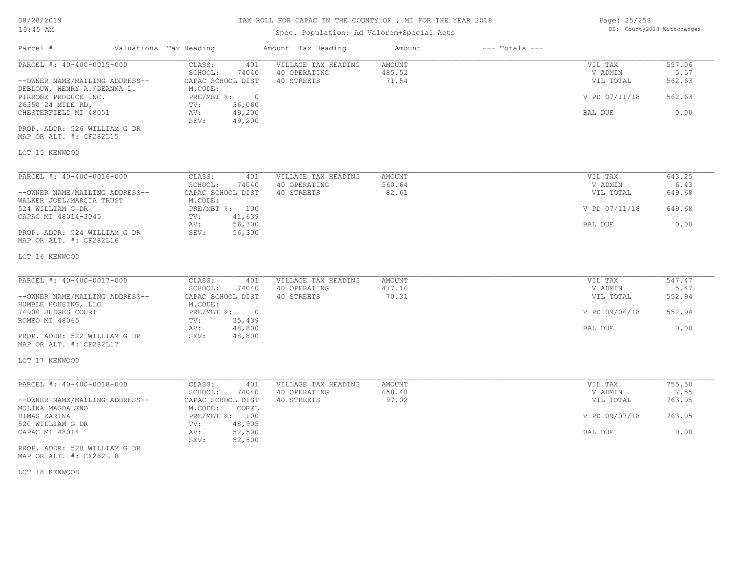# Spec. Population: Ad Valorem+Special Acts

| Page: 25/258 |                            |
|--------------|----------------------------|
|              | DB: County2018 Withchanges |

| Parcel #                                                      | Valuations Tax Heading                  |                            | Amount Tax Heading                  | Amount           | $---$ Totals $---$ |                      |                |
|---------------------------------------------------------------|-----------------------------------------|----------------------------|-------------------------------------|------------------|--------------------|----------------------|----------------|
| PARCEL #: 40-400-0015-000                                     | CLASS:<br>SCHOOL:                       | 401<br>74040               | VILLAGE TAX HEADING<br>40 OPERATING | AMOUNT<br>485.52 |                    | VIL TAX<br>V ADMIN   | 557.06<br>5.57 |
| --OWNER NAME/MAILING ADDRESS--<br>DEBLOUW, HENRY A./DEANNA L. | CAPAC SCHOOL DIST<br>M.CODE:            |                            | 40 STREETS                          | 71.54            |                    | VIL TOTAL            | 562.63         |
| PIRRONE PRODUCE INC.<br>26350 24 MILE RD.                     | PRE/MBT %:<br>TV:                       | $\overline{0}$<br>36,060   |                                     |                  |                    | V PD 07/11/18        | 562.63         |
| CHESTERFIELD MI 48051                                         | AV:<br>SEV:                             | 49,200<br>49,200           |                                     |                  |                    | BAL DUE              | 0.00           |
| PROP. ADDR: 526 WILLIAM G DR<br>MAP OR ALT. #: CF282L15       |                                         |                            |                                     |                  |                    |                      |                |
| LOT 15 KENWOOD                                                |                                         |                            |                                     |                  |                    |                      |                |
| PARCEL #: 40-400-0016-000                                     | CLASS:                                  | 401                        | VILLAGE TAX HEADING                 | AMOUNT           |                    | VIL TAX              | 643.25         |
| --OWNER NAME/MAILING ADDRESS--                                | SCHOOL:<br>CAPAC SCHOOL DIST            | 74040                      | 40 OPERATING<br>40 STREETS          | 560.64<br>82.61  |                    | V ADMIN<br>VIL TOTAL | 6.43<br>649.68 |
| WALKER JOEL/MARCIA TRUST<br>524 WILLIAM G DR                  | M.CODE:<br>PRE/MBT %: 100               |                            |                                     |                  |                    | V PD 07/11/18        | 649.68         |
| CAPAC MI 48014-3045<br>PROP. ADDR: 524 WILLIAM G DR           | TV:<br>AV:<br>SEV:                      | 41,639<br>56,300<br>56,300 |                                     |                  |                    | BAL DUE              | 0.00           |
| MAP OR ALT. #: CF282L16                                       |                                         |                            |                                     |                  |                    |                      |                |
| LOT 16 KENWOOD                                                |                                         |                            |                                     |                  |                    |                      |                |
| PARCEL #: 40-400-0017-000                                     | CLASS:                                  | 401                        | VILLAGE TAX HEADING                 | AMOUNT           |                    | VIL TAX              | 547.47         |
| --OWNER NAME/MAILING ADDRESS--<br>HUMBLE HOUSING, LLC         | SCHOOL:<br>CAPAC SCHOOL DIST<br>M.CODE: | 74040                      | 40 OPERATING<br>40 STREETS          | 477.16<br>70.31  |                    | V ADMIN<br>VIL TOTAL | 5.47<br>552.94 |
| 74900 JUDGES COURT<br>ROMEO MI 48065                          | PRE/MBT %:<br>TV:                       | $\overline{0}$<br>35,439   |                                     |                  |                    | V PD 09/06/18        | 552.94         |
| PROP. ADDR: 522 WILLIAM G DR<br>MAP OR ALT. #: CF282L17       | AV:<br>SEV:                             | 48,800<br>48,800           |                                     |                  |                    | BAL DUE              | 0.00           |
| LOT 17 KENWOOD                                                |                                         |                            |                                     |                  |                    |                      |                |
| PARCEL #: 40-400-0018-000                                     | CLASS:                                  | 401                        | VILLAGE TAX HEADING                 | AMOUNT           |                    | VIL TAX              | 755.50         |
| --OWNER NAME/MAILING ADDRESS--                                | SCHOOL:<br>CAPAC SCHOOL DIST            | 74040                      | 40 OPERATING<br>40 STREETS          | 658.48<br>97.02  |                    | V ADMIN<br>VIL TOTAL | 7.55<br>763.05 |
| MOLINA MAGDALENO<br>DIMAS KARINA                              | M.CODE:<br>PRE/MBT %: 100               | COREL                      |                                     |                  |                    | V PD 09/07/18        | 763.05         |
| 520 WILLIAM G DR<br>CAPAC MI 48014                            | TV:<br>AV:                              | 48,905<br>52,500           |                                     |                  |                    | BAL DUE              | 0.00           |
|                                                               | SEV:                                    | 52,500                     |                                     |                  |                    |                      |                |
| PROP. ADDR: 520 WILLIAM G DR<br>MAP OR ALT. #: CF282L18       |                                         |                            |                                     |                  |                    |                      |                |

LOT 18 KENWOOD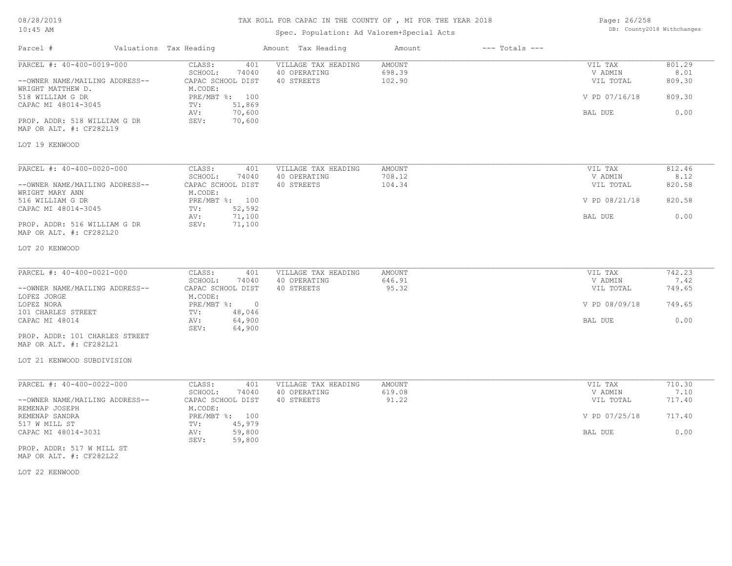# TAX ROLL FOR CAPAC IN THE COUNTY OF , MI FOR THE YEAR 2018

# Spec. Population: Ad Valorem+Special Acts

Page: 26/258 DB: County2018 Withchanges

| Parcel #                                                    | Valuations Tax Heading |                                                        | Amount Tax Heading                                | Amount                     | $---$ Totals $---$ |                                 |                          |
|-------------------------------------------------------------|------------------------|--------------------------------------------------------|---------------------------------------------------|----------------------------|--------------------|---------------------------------|--------------------------|
| PARCEL #: 40-400-0019-000<br>--OWNER NAME/MAILING ADDRESS-- |                        | CLASS:<br>401<br>SCHOOL:<br>74040<br>CAPAC SCHOOL DIST | VILLAGE TAX HEADING<br>40 OPERATING<br>40 STREETS | AMOUNT<br>698.39<br>102.90 |                    | VIL TAX<br>V ADMIN<br>VIL TOTAL | 801.29<br>8.01<br>809.30 |
| WRIGHT MATTHEW D.<br>518 WILLIAM G DR                       |                        | M.CODE:<br>PRE/MBT %: 100                              |                                                   |                            |                    | V PD 07/16/18                   | 809.30                   |
| CAPAC MI 48014-3045                                         |                        | 51,869<br>TV:                                          |                                                   |                            |                    |                                 |                          |
| PROP. ADDR: 518 WILLIAM G DR<br>MAP OR ALT. #: CF282L19     |                        | 70,600<br>AV:<br>70,600<br>SEV:                        |                                                   |                            |                    | BAL DUE                         | 0.00                     |
| LOT 19 KENWOOD                                              |                        |                                                        |                                                   |                            |                    |                                 |                          |
| PARCEL #: 40-400-0020-000                                   |                        | CLASS:<br>401                                          | VILLAGE TAX HEADING                               | AMOUNT                     |                    | VIL TAX                         | 812.46                   |
| --OWNER NAME/MAILING ADDRESS--<br>WRIGHT MARY ANN           |                        | SCHOOL:<br>74040<br>CAPAC SCHOOL DIST<br>M.CODE:       | 40 OPERATING<br>40 STREETS                        | 708.12<br>104.34           |                    | V ADMIN<br>VIL TOTAL            | 8.12<br>820.58           |
| 516 WILLIAM G DR<br>CAPAC MI 48014-3045                     |                        | PRE/MBT %: 100<br>52,592<br>TV:                        |                                                   |                            |                    | V PD 08/21/18                   | 820.58                   |
| PROP. ADDR: 516 WILLIAM G DR<br>MAP OR ALT. #: CF282L20     |                        | 71,100<br>AV:<br>SEV:<br>71,100                        |                                                   |                            |                    | BAL DUE                         | 0.00                     |
| LOT 20 KENWOOD                                              |                        |                                                        |                                                   |                            |                    |                                 |                          |
| PARCEL #: 40-400-0021-000                                   |                        | CLASS:<br>401<br>SCHOOL:<br>74040                      | VILLAGE TAX HEADING<br>40 OPERATING               | AMOUNT<br>646.91           |                    | VIL TAX<br>V ADMIN              | 742.23<br>7.42           |
| --OWNER NAME/MAILING ADDRESS--<br>LOPEZ JORGE               |                        | CAPAC SCHOOL DIST<br>M.CODE:                           | 40 STREETS                                        | 95.32                      |                    | VIL TOTAL                       | 749.65                   |
| LOPEZ NORA<br>101 CHARLES STREET                            |                        | PRE/MBT %: 0<br>48,046<br>TV:                          |                                                   |                            |                    | V PD 08/09/18                   | 749.65                   |
| CAPAC MI 48014                                              |                        | 64,900<br>AV:<br>64,900<br>SEV:                        |                                                   |                            |                    | BAL DUE                         | 0.00                     |
| PROP. ADDR: 101 CHARLES STREET<br>MAP OR ALT. #: CF282L21   |                        |                                                        |                                                   |                            |                    |                                 |                          |
| LOT 21 KENWOOD SUBDIVISION                                  |                        |                                                        |                                                   |                            |                    |                                 |                          |
| PARCEL #: 40-400-0022-000                                   |                        | CLASS:<br>401                                          | VILLAGE TAX HEADING                               | AMOUNT                     |                    | VIL TAX                         | 710.30                   |
| --OWNER NAME/MAILING ADDRESS--                              |                        | SCHOOL:<br>74040<br>CAPAC SCHOOL DIST                  | 40 OPERATING<br>40 STREETS                        | 619.08<br>91.22            |                    | V ADMIN<br>VIL TOTAL            | 7.10<br>717.40           |
| REMENAP JOSEPH<br>REMENAP SANDRA<br>517 W MILL ST           |                        | M.CODE:<br>PRE/MBT %: 100<br>45,979<br>TV:             |                                                   |                            |                    | V PD 07/25/18                   | 717.40                   |
| CAPAC MI 48014-3031                                         |                        | 59,800<br>AV:<br>59,800<br>SEV:                        |                                                   |                            |                    | BAL DUE                         | 0.00                     |
| PROP. ADDR: 517 W MILL ST<br>MAP OR ALT. #: CF282L22        |                        |                                                        |                                                   |                            |                    |                                 |                          |

LOT 22 KENWOOD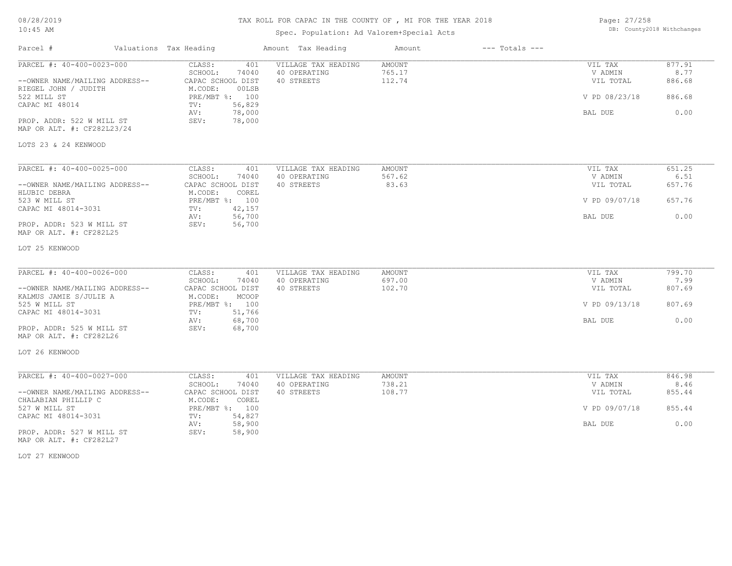# TAX ROLL FOR CAPAC IN THE COUNTY OF , MI FOR THE YEAR 2018

# Spec. Population: Ad Valorem+Special Acts

Page: 27/258 DB: County2018 Withchanges

| Parcel #                                             | Valuations Tax Heading |                                       | Amount Tax Heading                  | Amount                  | $---$ Totals $---$ |                      |                |
|------------------------------------------------------|------------------------|---------------------------------------|-------------------------------------|-------------------------|--------------------|----------------------|----------------|
| PARCEL #: 40-400-0023-000                            |                        | CLASS:<br>401<br>SCHOOL:<br>74040     | VILLAGE TAX HEADING<br>40 OPERATING | <b>AMOUNT</b><br>765.17 |                    | VIL TAX<br>V ADMIN   | 877.91<br>8.77 |
| --OWNER NAME/MAILING ADDRESS--                       |                        | CAPAC SCHOOL DIST                     | 40 STREETS                          | 112.74                  |                    | VIL TOTAL            | 886.68         |
| RIEGEL JOHN / JUDITH                                 |                        | M.CODE:<br>00LSB                      |                                     |                         |                    |                      |                |
| 522 MILL ST                                          |                        | PRE/MBT %: 100                        |                                     |                         |                    | V PD 08/23/18        | 886.68         |
| CAPAC MI 48014                                       |                        | 56,829<br>TV:<br>78,000<br>AV:        |                                     |                         |                    | BAL DUE              | 0.00           |
| PROP. ADDR: 522 W MILL ST                            |                        | 78,000<br>SEV:                        |                                     |                         |                    |                      |                |
| MAP OR ALT. #: CF282L23/24                           |                        |                                       |                                     |                         |                    |                      |                |
| LOTS 23 & 24 KENWOOD                                 |                        |                                       |                                     |                         |                    |                      |                |
|                                                      |                        |                                       |                                     |                         |                    |                      |                |
| PARCEL #: 40-400-0025-000                            |                        | CLASS:<br>401                         | VILLAGE TAX HEADING                 | AMOUNT                  |                    | VIL TAX              | 651.25         |
|                                                      |                        | SCHOOL:<br>74040                      | 40 OPERATING                        | 567.62                  |                    | V ADMIN              | 6.51           |
| --OWNER NAME/MAILING ADDRESS--                       |                        | CAPAC SCHOOL DIST                     | 40 STREETS                          | 83.63                   |                    | VIL TOTAL            | 657.76         |
| HLUBIC DEBRA<br>523 W MILL ST                        |                        | M.CODE:<br>COREL<br>PRE/MBT %: 100    |                                     |                         |                    | V PD 09/07/18        | 657.76         |
| CAPAC MI 48014-3031                                  |                        | 42,157<br>TV:                         |                                     |                         |                    |                      |                |
|                                                      |                        | 56,700<br>AV:                         |                                     |                         |                    | BAL DUE              | 0.00           |
| PROP. ADDR: 523 W MILL ST<br>MAP OR ALT. #: CF282L25 |                        | 56,700<br>SEV:                        |                                     |                         |                    |                      |                |
| LOT 25 KENWOOD                                       |                        |                                       |                                     |                         |                    |                      |                |
|                                                      |                        |                                       |                                     |                         |                    |                      |                |
| PARCEL #: 40-400-0026-000                            |                        | CLASS:<br>401                         | VILLAGE TAX HEADING                 | AMOUNT                  |                    | VIL TAX              | 799.70         |
| --OWNER NAME/MAILING ADDRESS--                       |                        | SCHOOL:<br>74040<br>CAPAC SCHOOL DIST | 40 OPERATING<br>40 STREETS          | 697.00<br>102.70        |                    | V ADMIN<br>VIL TOTAL | 7.99<br>807.69 |
| KALMUS JAMIE S/JULIE A                               |                        | M.CODE:<br>MCOOP                      |                                     |                         |                    |                      |                |
| 525 W MILL ST                                        |                        | PRE/MBT %: 100                        |                                     |                         |                    | V PD 09/13/18        | 807.69         |
| CAPAC MI 48014-3031                                  |                        | 51,766<br>TV:                         |                                     |                         |                    |                      |                |
|                                                      |                        | 68,700<br>AV:                         |                                     |                         |                    | BAL DUE              | 0.00           |
| PROP. ADDR: 525 W MILL ST<br>MAP OR ALT. #: CF282L26 |                        | SEV:<br>68,700                        |                                     |                         |                    |                      |                |
| LOT 26 KENWOOD                                       |                        |                                       |                                     |                         |                    |                      |                |
|                                                      |                        |                                       |                                     |                         |                    |                      |                |
| PARCEL #: 40-400-0027-000                            |                        | CLASS:<br>401                         | VILLAGE TAX HEADING                 | AMOUNT                  |                    | VIL TAX              | 846.98         |
|                                                      |                        | SCHOOL:<br>74040                      | 40 OPERATING                        | 738.21                  |                    | V ADMIN              | 8.46           |
| --OWNER NAME/MAILING ADDRESS--                       |                        | CAPAC SCHOOL DIST                     | 40 STREETS                          | 108.77                  |                    | VIL TOTAL            | 855.44         |
| CHALABIAN PHILLIP C                                  |                        | M.CODE:<br>COREL                      |                                     |                         |                    |                      |                |
| 527 W MILL ST                                        |                        | PRE/MBT %: 100                        |                                     |                         |                    | V PD 09/07/18        | 855.44         |
| CAPAC MI 48014-3031                                  |                        | 54,827<br>TV:<br>58,900<br>AV:        |                                     |                         |                    | BAL DUE              | 0.00           |
| PROP. ADDR: 527 W MILL ST                            |                        | 58,900<br>SEV:                        |                                     |                         |                    |                      |                |
| MAP OR ALT. #: CF282L27                              |                        |                                       |                                     |                         |                    |                      |                |

LOT 27 KENWOOD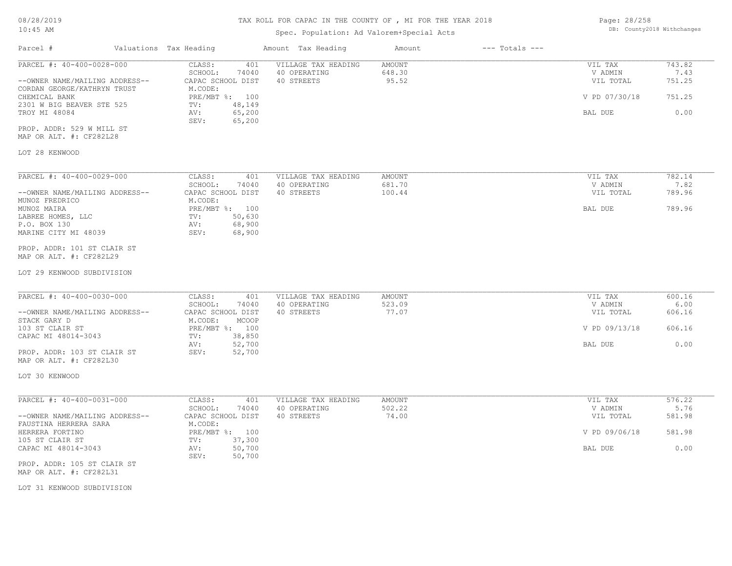# Spec. Population: Ad Valorem+Special Acts

| Page: 28/258 |                            |
|--------------|----------------------------|
|              | DB: County2018 Withchanges |

| Parcel #                                                                                   | Valuations Tax Heading                                             | Amount Tax Heading                                | Amount                           | $---$ Totals $---$ |                                 |                          |
|--------------------------------------------------------------------------------------------|--------------------------------------------------------------------|---------------------------------------------------|----------------------------------|--------------------|---------------------------------|--------------------------|
| PARCEL #: 40-400-0028-000<br>--OWNER NAME/MAILING ADDRESS--<br>CORDAN GEORGE/KATHRYN TRUST | CLASS:<br>401<br>SCHOOL:<br>74040<br>CAPAC SCHOOL DIST<br>M.CODE:  | VILLAGE TAX HEADING<br>40 OPERATING<br>40 STREETS | <b>AMOUNT</b><br>648.30<br>95.52 |                    | VIL TAX<br>V ADMIN<br>VIL TOTAL | 743.82<br>7.43<br>751.25 |
| CHEMICAL BANK<br>2301 W BIG BEAVER STE 525                                                 | PRE/MBT %: 100<br>48,149<br>TV:                                    |                                                   |                                  |                    | V PD 07/30/18                   | 751.25                   |
| TROY MI 48084                                                                              | 65,200<br>AV:<br>SEV:<br>65,200                                    |                                                   |                                  |                    | BAL DUE                         | 0.00                     |
| PROP. ADDR: 529 W MILL ST<br>MAP OR ALT. #: CF282L28                                       |                                                                    |                                                   |                                  |                    |                                 |                          |
| LOT 28 KENWOOD                                                                             |                                                                    |                                                   |                                  |                    |                                 |                          |
| PARCEL #: 40-400-0029-000                                                                  | CLASS:<br>401                                                      | VILLAGE TAX HEADING                               | AMOUNT                           |                    | VIL TAX                         | 782.14                   |
| --OWNER NAME/MAILING ADDRESS--<br>MUNOZ FREDRICO                                           | SCHOOL:<br>74040<br>CAPAC SCHOOL DIST<br>M.CODE:                   | 40 OPERATING<br>40 STREETS                        | 681.70<br>100.44                 |                    | V ADMIN<br>VIL TOTAL            | 7.82<br>789.96           |
| MUNOZ MAIRA<br>LABREE HOMES, LLC<br>P.O. BOX 130<br>MARINE CITY MI 48039                   | PRE/MBT %: 100<br>TV:<br>50,630<br>68,900<br>AV:<br>68,900<br>SEV: |                                                   |                                  |                    | BAL DUE                         | 789.96                   |
| PROP. ADDR: 101 ST CLAIR ST<br>MAP OR ALT. #: CF282L29                                     |                                                                    |                                                   |                                  |                    |                                 |                          |
| LOT 29 KENWOOD SUBDIVISION                                                                 |                                                                    |                                                   |                                  |                    |                                 |                          |
| PARCEL #: 40-400-0030-000<br>--OWNER NAME/MAILING ADDRESS--                                | CLASS:<br>401<br>SCHOOL:<br>74040<br>CAPAC SCHOOL DIST             | VILLAGE TAX HEADING<br>40 OPERATING<br>40 STREETS | AMOUNT<br>523.09<br>77.07        |                    | VIL TAX<br>V ADMIN<br>VIL TOTAL | 600.16<br>6.00<br>606.16 |
| STACK GARY D<br>103 ST CLAIR ST<br>CAPAC MI 48014-3043                                     | M.CODE:<br>MCOOP<br>PRE/MBT %: 100<br>38,850                       |                                                   |                                  |                    | V PD 09/13/18                   | 606.16                   |
| PROP. ADDR: 103 ST CLAIR ST                                                                | TV:<br>52,700<br>AV:<br>SEV:<br>52,700                             |                                                   |                                  |                    | BAL DUE                         | 0.00                     |
| MAP OR ALT. #: CF282L30                                                                    |                                                                    |                                                   |                                  |                    |                                 |                          |
| LOT 30 KENWOOD                                                                             |                                                                    |                                                   |                                  |                    |                                 |                          |
| PARCEL #: 40-400-0031-000                                                                  | CLASS:<br>401<br>SCHOOL:<br>74040                                  | VILLAGE TAX HEADING<br>40 OPERATING               | <b>AMOUNT</b><br>502.22          |                    | VIL TAX<br>V ADMIN              | 576.22<br>5.76           |
| --OWNER NAME/MAILING ADDRESS--<br>FAUSTINA HERRERA SARA                                    | CAPAC SCHOOL DIST<br>M.CODE:                                       | 40 STREETS                                        | 74.00                            |                    | VIL TOTAL                       | 581.98                   |
| HERRERA FORTINO<br>105 ST CLAIR ST                                                         | PRE/MBT %: 100<br>37,300<br>TV:                                    |                                                   |                                  |                    | V PD 09/06/18                   | 581.98                   |
| CAPAC MI 48014-3043                                                                        | 50,700<br>AV:<br>SEV:<br>50,700                                    |                                                   |                                  |                    | BAL DUE                         | 0.00                     |
| PROP. ADDR: 105 ST CLAIR ST<br>MAP OR ALT. #: CF282L31                                     |                                                                    |                                                   |                                  |                    |                                 |                          |
| LOT 31 KENWOOD SUBDIVISION                                                                 |                                                                    |                                                   |                                  |                    |                                 |                          |
|                                                                                            |                                                                    |                                                   |                                  |                    |                                 |                          |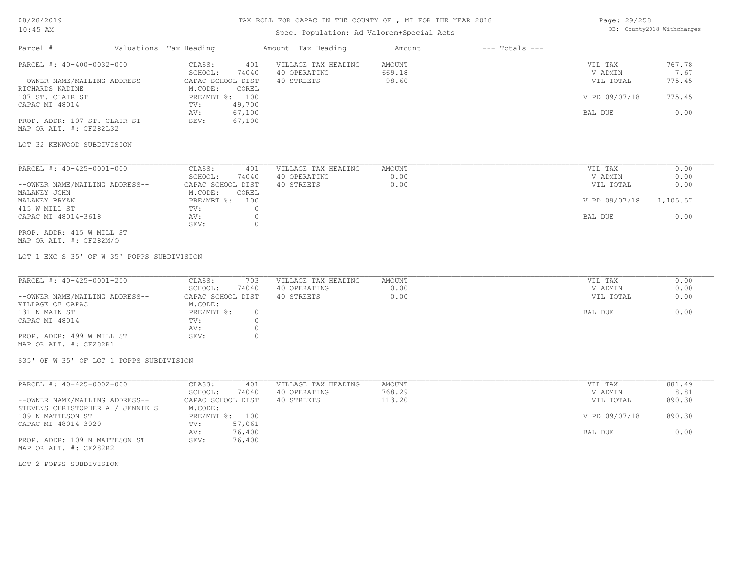## TAX ROLL FOR CAPAC IN THE COUNTY OF , MI FOR THE YEAR 2018

# Spec. Population: Ad Valorem+Special Acts

Page: 29/258 DB: County2018 Withchanges

| Parcel #                                                           | Valuations Tax Heading          | Amount Tax Heading  | Amount        | $---$ Totals $---$ |               |          |
|--------------------------------------------------------------------|---------------------------------|---------------------|---------------|--------------------|---------------|----------|
| PARCEL #: 40-400-0032-000                                          | CLASS:<br>401                   | VILLAGE TAX HEADING | AMOUNT        |                    | VIL TAX       | 767.78   |
|                                                                    | SCHOOL:<br>74040                | 40 OPERATING        | 669.18        |                    | V ADMIN       | 7.67     |
| --OWNER NAME/MAILING ADDRESS--                                     | CAPAC SCHOOL DIST               | 40 STREETS          | 98.60         |                    | VIL TOTAL     | 775.45   |
| RICHARDS NADINE                                                    | M.CODE:<br>COREL                |                     |               |                    |               |          |
| 107 ST. CLAIR ST                                                   | PRE/MBT %: 100                  |                     |               |                    | V PD 09/07/18 | 775.45   |
| CAPAC MI 48014                                                     | 49,700<br>TV:                   |                     |               |                    |               |          |
|                                                                    | 67,100<br>AV:<br>67,100<br>SEV: |                     |               |                    | BAL DUE       | 0.00     |
| PROP. ADDR: 107 ST. CLAIR ST<br>MAP OR ALT. #: CF282L32            |                                 |                     |               |                    |               |          |
| LOT 32 KENWOOD SUBDIVISION                                         |                                 |                     |               |                    |               |          |
| PARCEL #: 40-425-0001-000                                          | CLASS:<br>401                   | VILLAGE TAX HEADING | <b>AMOUNT</b> |                    | VIL TAX       | 0.00     |
|                                                                    | SCHOOL:<br>74040                | 40 OPERATING        | 0.00          |                    | V ADMIN       | 0.00     |
| --OWNER NAME/MAILING ADDRESS--                                     | CAPAC SCHOOL DIST               | 40 STREETS          | 0.00          |                    | VIL TOTAL     | 0.00     |
| MALANEY JOHN                                                       | M.CODE:<br>COREL                |                     |               |                    |               |          |
| MALANEY BRYAN                                                      | PRE/MBT %:<br>100               |                     |               |                    | V PD 09/07/18 | 1,105.57 |
| 415 W MILL ST                                                      | TV:<br>$\Omega$                 |                     |               |                    |               |          |
| CAPAC MI 48014-3618                                                | AV:<br>$\circ$                  |                     |               |                    | BAL DUE       | 0.00     |
|                                                                    | $\Omega$<br>SEV:                |                     |               |                    |               |          |
| PROP. ADDR: 415 W MILL ST<br>MAP OR ALT. #: CF282M/Q               |                                 |                     |               |                    |               |          |
| LOT 1 EXC S 35' OF W 35' POPPS SUBDIVISION                         |                                 |                     |               |                    |               |          |
| PARCEL #: 40-425-0001-250                                          | CLASS:<br>703                   | VILLAGE TAX HEADING | <b>AMOUNT</b> |                    | VIL TAX       | 0.00     |
|                                                                    | SCHOOL:<br>74040                | 40 OPERATING        | 0.00          |                    | V ADMIN       | 0.00     |
| --OWNER NAME/MAILING ADDRESS--                                     | CAPAC SCHOOL DIST               | 40 STREETS          | 0.00          |                    | VIL TOTAL     | 0.00     |
| VILLAGE OF CAPAC                                                   | M.CODE:                         |                     |               |                    |               |          |
| 131 N MAIN ST                                                      | PRE/MBT %:<br>$\circ$           |                     |               |                    | BAL DUE       | 0.00     |
| CAPAC MI 48014                                                     | $\circ$<br>TV:                  |                     |               |                    |               |          |
|                                                                    | $\circ$<br>AV:                  |                     |               |                    |               |          |
| PROP. ADDR: 499 W MILL ST<br>MAP OR ALT. #: CF282R1                | $\Omega$<br>SEV:                |                     |               |                    |               |          |
| S35' OF W 35' OF LOT 1 POPPS SUBDIVISION                           |                                 |                     |               |                    |               |          |
| PARCEL #: 40-425-0002-000                                          | CLASS:<br>401                   | VILLAGE TAX HEADING | AMOUNT        |                    | VIL TAX       | 881.49   |
|                                                                    | SCHOOL:<br>74040                | 40 OPERATING        | 768.29        |                    | V ADMIN       | 8.81     |
| --OWNER NAME/MAILING ADDRESS--<br>STEVENS CHRISTOPHER A / JENNIE S | CAPAC SCHOOL DIST<br>M.CODE:    | 40 STREETS          | 113.20        |                    | VIL TOTAL     | 890.30   |

AV: 76,400 BAL DUE 0.00

109 N MATTESON ST PRE/MBT %: 100 V PD 09/07/18 890.30

MAP OR ALT. #: CF282R2 PROP. ADDR: 109 N MATTESON ST SEV: 76,400

CAPAC MI 48014-3020 TV: 57,061<br>AV: 76,400

LOT 2 POPPS SUBDIVISION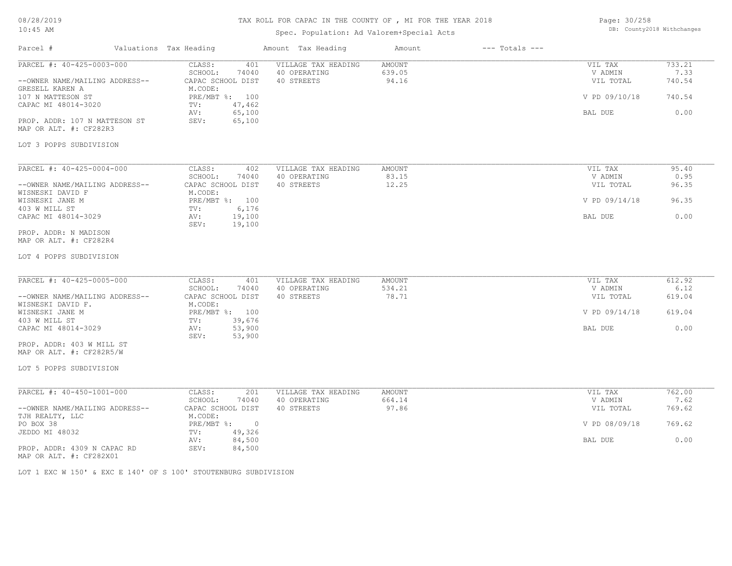# TAX ROLL FOR CAPAC IN THE COUNTY OF , MI FOR THE YEAR 2018

# Spec. Population: Ad Valorem+Special Acts

| Page: 30/258 |                            |
|--------------|----------------------------|
|              | DB: County2018 Withchanges |

| Parcel #                                                                                            | Valuations Tax Heading                                                              | Amount Tax Heading                                | Amount                    | $---$ Totals $---$ |                                                  |                                    |
|-----------------------------------------------------------------------------------------------------|-------------------------------------------------------------------------------------|---------------------------------------------------|---------------------------|--------------------|--------------------------------------------------|------------------------------------|
| PARCEL #: 40-425-0003-000<br>--OWNER NAME/MAILING ADDRESS--<br>GRESELL KAREN A<br>107 N MATTESON ST | CLASS:<br>401<br>SCHOOL:<br>74040<br>CAPAC SCHOOL DIST<br>M.CODE:<br>PRE/MBT %: 100 | VILLAGE TAX HEADING<br>40 OPERATING<br>40 STREETS | AMOUNT<br>639.05<br>94.16 |                    | VIL TAX<br>V ADMIN<br>VIL TOTAL<br>V PD 09/10/18 | 733.21<br>7.33<br>740.54<br>740.54 |
| CAPAC MI 48014-3020<br>PROP. ADDR: 107 N MATTESON ST<br>MAP OR ALT. #: CF282R3                      | 47,462<br>TV:<br>65,100<br>AV:<br>65,100<br>SEV:                                    |                                                   |                           |                    | BAL DUE                                          | 0.00                               |
| LOT 3 POPPS SUBDIVISION                                                                             |                                                                                     |                                                   |                           |                    |                                                  |                                    |
| PARCEL #: 40-425-0004-000                                                                           | CLASS:<br>402                                                                       | VILLAGE TAX HEADING                               | AMOUNT                    |                    | VIL TAX                                          | 95.40                              |
| --OWNER NAME/MAILING ADDRESS--<br>WISNESKI DAVID F                                                  | SCHOOL:<br>74040<br>CAPAC SCHOOL DIST<br>M.CODE:                                    | 40 OPERATING<br>40 STREETS                        | 83.15<br>12.25            |                    | V ADMIN<br>VIL TOTAL                             | 0.95<br>96.35                      |
| WISNESKI JANE M<br>403 W MILL ST                                                                    | PRE/MBT %: 100<br>6,176<br>TV:                                                      |                                                   |                           |                    | V PD 09/14/18                                    | 96.35                              |
| CAPAC MI 48014-3029                                                                                 | 19,100<br>AV:<br>19,100<br>SEV:                                                     |                                                   |                           |                    | BAL DUE                                          | 0.00                               |
| PROP. ADDR: N MADISON<br>MAP OR ALT. #: CF282R4                                                     |                                                                                     |                                                   |                           |                    |                                                  |                                    |
| LOT 4 POPPS SUBDIVISION                                                                             |                                                                                     |                                                   |                           |                    |                                                  |                                    |
| PARCEL #: 40-425-0005-000                                                                           | CLASS:<br>401                                                                       | VILLAGE TAX HEADING                               | AMOUNT                    |                    | VIL TAX                                          | 612.92                             |
| --OWNER NAME/MAILING ADDRESS--                                                                      | SCHOOL:<br>74040<br>CAPAC SCHOOL DIST                                               | 40 OPERATING<br>40 STREETS                        | 534.21<br>78.71           |                    | V ADMIN<br>VIL TOTAL                             | 6.12<br>619.04                     |
| WISNESKI DAVID F.<br>WISNESKI JANE M                                                                | M.CODE:<br>PRE/MBT %: 100                                                           |                                                   |                           |                    | V PD 09/14/18                                    | 619.04                             |
| 403 W MILL ST<br>CAPAC MI 48014-3029                                                                | 39,676<br>TV:<br>53,900<br>AV:<br>SEV:<br>53,900                                    |                                                   |                           |                    | BAL DUE                                          | 0.00                               |
| PROP. ADDR: 403 W MILL ST<br>MAP OR ALT. #: CF282R5/W                                               |                                                                                     |                                                   |                           |                    |                                                  |                                    |
| LOT 5 POPPS SUBDIVISION                                                                             |                                                                                     |                                                   |                           |                    |                                                  |                                    |
| PARCEL #: 40-450-1001-000                                                                           | CLASS:<br>201                                                                       | VILLAGE TAX HEADING                               | AMOUNT                    |                    | VIL TAX                                          | 762.00                             |
| --OWNER NAME/MAILING ADDRESS--                                                                      | SCHOOL:<br>74040<br>CAPAC SCHOOL DIST                                               | 40 OPERATING<br>40 STREETS                        | 664.14<br>97.86           |                    | V ADMIN<br>VIL TOTAL                             | 7.62<br>769.62                     |
| TJH REALTY, LLC<br>PO BOX 38                                                                        | M.CODE:<br>$PRE/MBT$ $\frac{1}{6}$ : 0                                              |                                                   |                           |                    | V PD 08/09/18                                    | 769.62                             |
| JEDDO MI 48032                                                                                      | 49,326<br>TV:<br>84,500<br>AV:                                                      |                                                   |                           |                    | BAL DUE                                          | 0.00                               |
| PROP. ADDR: 4309 N CAPAC RD<br>MAP OR ALT. #: CF282X01                                              | SEV:<br>84,500                                                                      |                                                   |                           |                    |                                                  |                                    |
|                                                                                                     | LOW 1 BYG W 1501 6 BYG B 1401 OB 8 1001 SHOURDNING SUBBITITOTOM                     |                                                   |                           |                    |                                                  |                                    |

LOT 1 EXC W 150' & EXC E 140' OF S 100' STOUTENBURG SUBDIVISION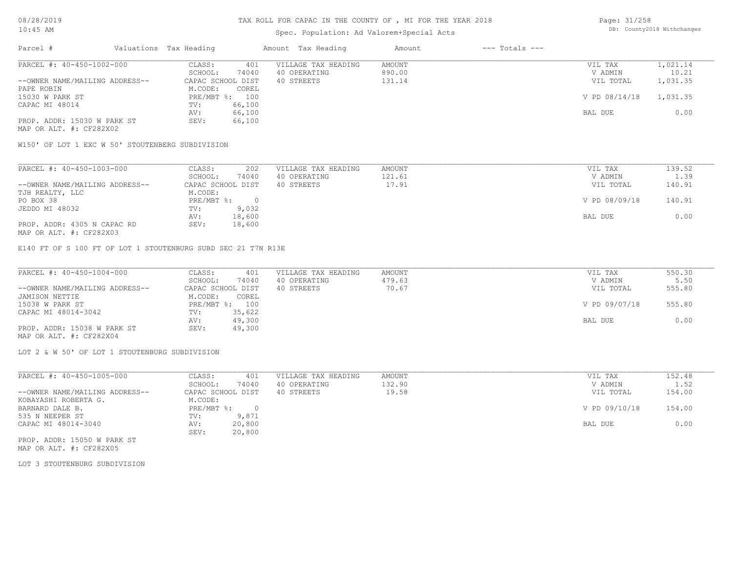## Spec. Population: Ad Valorem+Special Acts

Page: 31/258 DB: County2018 Withchanges

| Parcel #                       | Valuations Tax Heading |                | Amount Tax Heading  | Amount | $---$ Totals $---$ |               |          |
|--------------------------------|------------------------|----------------|---------------------|--------|--------------------|---------------|----------|
| PARCEL #: 40-450-1002-000      | CLASS:                 | 401            | VILLAGE TAX HEADING | AMOUNT |                    | VIL TAX       | 1,021.14 |
|                                | SCHOOL:                | 74040          | 40 OPERATING        | 890.00 |                    | V ADMIN       | 10.21    |
| --OWNER NAME/MAILING ADDRESS-- | CAPAC SCHOOL DIST      |                | 40 STREETS          | 131.14 |                    | VIL TOTAL     | 1,031.35 |
| PAPE ROBIN                     | M.CODE:                | COREL          |                     |        |                    |               |          |
| 15030 W PARK ST                |                        | PRE/MBT %: 100 |                     |        |                    | V PD 08/14/18 | 1,031.35 |
| CAPAC MI 48014                 | TV:                    | 66,100         |                     |        |                    |               |          |
|                                | AV:                    | 66,100         |                     |        |                    | BAL DUE       | 0.00     |
| PROP. ADDR: 15030 W PARK ST    | SEV:                   | 66,100         |                     |        |                    |               |          |
| MAP OR ALT. #: CF282X02        |                        |                |                     |        |                    |               |          |

W150' OF LOT 1 EXC W 50' STOUTENBERG SUBDIVISION

| PARCEL #: 40-450-1003-000      | 202<br>CLASS:     | VILLAGE TAX HEADING | AMOUNT | VIL TAX       | 139.52 |
|--------------------------------|-------------------|---------------------|--------|---------------|--------|
|                                | 74040<br>SCHOOL:  | 40 OPERATING        | 121.61 | V ADMIN       | 1.39   |
| --OWNER NAME/MAILING ADDRESS-- | CAPAC SCHOOL DIST | 40 STREETS          | 17.91  | VIL TOTAL     | 140.91 |
| TJH REALTY, LLC                | M.CODE:           |                     |        |               |        |
| PO BOX 38                      | PRE/MBT %:        |                     |        | V PD 08/09/18 | 140.91 |
| JEDDO MI 48032                 | 9,032<br>TV:      |                     |        |               |        |
|                                | 18,600<br>AV:     |                     |        | BAL DUE       | 0.00   |
| PROP. ADDR: 4305 N CAPAC RD    | 18,600<br>SEV:    |                     |        |               |        |
|                                |                   |                     |        |               |        |

MAP OR ALT. #: CF282X03

E140 FT OF S 100 FT OF LOT 1 STOUTENBURG SUBD SEC 21 T7N R13E

| PARCEL #: 40-450-1004-000      | CLASS:<br>401     | VILLAGE TAX HEADING | AMOUNT | VIL TAX       | 550.30 |
|--------------------------------|-------------------|---------------------|--------|---------------|--------|
|                                | 74040<br>SCHOOL:  | 40 OPERATING        | 479.63 | V ADMIN       | 5.50   |
| --OWNER NAME/MAILING ADDRESS-- | CAPAC SCHOOL DIST | 40 STREETS          | 70.67  | VIL TOTAL     | 555.80 |
| JAMISON NETTIE                 | M.CODE:<br>COREL  |                     |        |               |        |
| 15038 W PARK ST                | PRE/MBT %: 100    |                     |        | V PD 09/07/18 | 555.80 |
| CAPAC MI 48014-3042            | 35,622<br>TV:     |                     |        |               |        |
|                                | 49,300<br>AV:     |                     |        | BAL DUE       | 0.00   |
| PROP. ADDR: 15038 W PARK ST    | 49,300<br>SEV:    |                     |        |               |        |
| MAP OR ALT. #: CF282X04        |                   |                     |        |               |        |

LOT 2 & W 50' OF LOT 1 STOUTENBURG SUBDIVISION

| PARCEL #: 40-450-1005-000      | CLASS:       | 401               | VILLAGE TAX HEADING | AMOUNT | VIL TAX       | 152.48 |
|--------------------------------|--------------|-------------------|---------------------|--------|---------------|--------|
|                                | SCHOOL:      | 74040             | 40 OPERATING        | 132.90 | V ADMIN       | 1.52   |
| --OWNER NAME/MAILING ADDRESS-- |              | CAPAC SCHOOL DIST | 40 STREETS          | 19.58  | VIL TOTAL     | 154.00 |
| KOBAYASHI ROBERTA G.           | M.CODE:      |                   |                     |        |               |        |
| BARNARD DALE B.                | $PRE/MBT$ %: |                   |                     |        | V PD 09/10/18 | 154.00 |
| 535 N NEEPER ST                | TV:          | 9,871             |                     |        |               |        |
| CAPAC MI 48014-3040            | AV:          | 20,800            |                     |        | BAL DUE       | 0.00   |
|                                | SEV:         | 20,800            |                     |        |               |        |
| ppop appp 15050 to papir om    |              |                   |                     |        |               |        |

MAP OR ALT. #: CF282X05 PROP. ADDR: 15050 W PARK ST

LOT 3 STOUTENBURG SUBDIVISION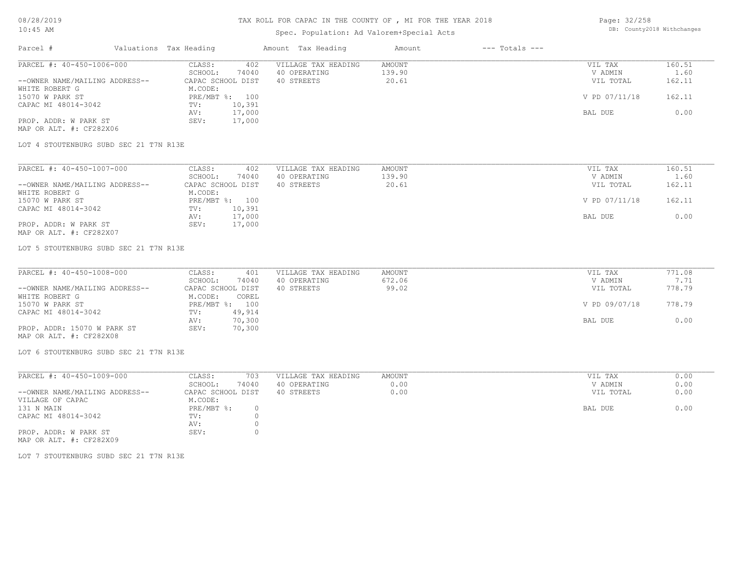## TAX ROLL FOR CAPAC IN THE COUNTY OF , MI FOR THE YEAR 2018

## Spec. Population: Ad Valorem+Special Acts

Page: 32/258 DB: County2018 Withchanges

| Parcel #                       | Valuations Tax Heading |                | Amount Tax Heading  | Amount | $---$ Totals $---$ |               |        |
|--------------------------------|------------------------|----------------|---------------------|--------|--------------------|---------------|--------|
| PARCEL #: 40-450-1006-000      | CLASS:                 | 402            | VILLAGE TAX HEADING | AMOUNT |                    | VIL TAX       | 160.51 |
|                                | SCHOOL:                | 74040          | 40 OPERATING        | 139.90 |                    | V ADMIN       | 1.60   |
| --OWNER NAME/MAILING ADDRESS-- | CAPAC SCHOOL DIST      |                | 40 STREETS          | 20.61  |                    | VIL TOTAL     | 162.11 |
| WHITE ROBERT G                 | M.CODE:                |                |                     |        |                    |               |        |
| 15070 W PARK ST                |                        | PRE/MBT %: 100 |                     |        |                    | V PD 07/11/18 | 162.11 |
| CAPAC MI 48014-3042            | TV:                    | 10,391         |                     |        |                    |               |        |
|                                | AV:                    | 17,000         |                     |        |                    | BAL DUE       | 0.00   |
| PROP. ADDR: W PARK ST          | SEV:                   | 17,000         |                     |        |                    |               |        |
| MAP OR ALT. #: CF282X06        |                        |                |                     |        |                    |               |        |

LOT 4 STOUTENBURG SUBD SEC 21 T7N R13E

| PARCEL #: 40-450-1007-000      | CLASS:<br>402     | VILLAGE TAX HEADING | AMOUNT | VIL TAX       | 160.51 |
|--------------------------------|-------------------|---------------------|--------|---------------|--------|
|                                | 74040<br>SCHOOL:  | 40 OPERATING        | 139.90 | V ADMIN       | 1.60   |
| --OWNER NAME/MAILING ADDRESS-- | CAPAC SCHOOL DIST | 40 STREETS          | 20.61  | VIL TOTAL     | 162.11 |
| WHITE ROBERT G                 | M.CODE:           |                     |        |               |        |
| 15070 W PARK ST                | PRE/MBT %: 100    |                     |        | V PD 07/11/18 | 162.11 |
| CAPAC MI 48014-3042            | 10,391<br>TV:     |                     |        |               |        |
|                                | 17,000<br>AV:     |                     |        | BAL DUE       | 0.00   |
| PROP. ADDR: W PARK ST          | 17,000<br>SEV:    |                     |        |               |        |
| MAP OR ALT. #: CF282X07        |                   |                     |        |               |        |

#### LOT 5 STOUTENBURG SUBD SEC 21 T7N R13E

| PARCEL #: 40-450-1008-000      | CLASS:            | 401    | VILLAGE TAX HEADING | AMOUNT | VIL TAX       | 771.08 |
|--------------------------------|-------------------|--------|---------------------|--------|---------------|--------|
|                                | SCHOOL:           | 74040  | 40 OPERATING        | 672.06 | V ADMIN       | 7.71   |
| --OWNER NAME/MAILING ADDRESS-- | CAPAC SCHOOL DIST |        | 40 STREETS          | 99.02  | VIL TOTAL     | 778.79 |
| WHITE ROBERT G                 | M.CODE:           | COREL  |                     |        |               |        |
| 15070 W PARK ST                | $PRE/MBT$ %:      | 100    |                     |        | V PD 09/07/18 | 778.79 |
| CAPAC MI 48014-3042            | TV:               | 49,914 |                     |        |               |        |
|                                | AV:               | 70,300 |                     |        | BAL DUE       | 0.00   |
| PROP. ADDR: 15070 W PARK ST    | SEV:              | 70,300 |                     |        |               |        |
| MAP OR ALT. #: CF282X08        |                   |        |                     |        |               |        |

 $\mathcal{L}_\mathcal{L} = \mathcal{L}_\mathcal{L} = \mathcal{L}_\mathcal{L} = \mathcal{L}_\mathcal{L} = \mathcal{L}_\mathcal{L} = \mathcal{L}_\mathcal{L} = \mathcal{L}_\mathcal{L} = \mathcal{L}_\mathcal{L} = \mathcal{L}_\mathcal{L} = \mathcal{L}_\mathcal{L} = \mathcal{L}_\mathcal{L} = \mathcal{L}_\mathcal{L} = \mathcal{L}_\mathcal{L} = \mathcal{L}_\mathcal{L} = \mathcal{L}_\mathcal{L} = \mathcal{L}_\mathcal{L} = \mathcal{L}_\mathcal{L}$ 

LOT 6 STOUTENBURG SUBD SEC 21 T7N R13E

| PARCEL #: 40-450-1009-000      | CLASS:            | 703   | VILLAGE TAX HEADING | AMOUNT | VIL TAX   | 0.00 |
|--------------------------------|-------------------|-------|---------------------|--------|-----------|------|
|                                | SCHOOL:           | 74040 | 40 OPERATING        | 0.00   | V ADMIN   | 0.00 |
| --OWNER NAME/MAILING ADDRESS-- | CAPAC SCHOOL DIST |       | 40 STREETS          | 0.00   | VIL TOTAL | 0.00 |
| VILLAGE OF CAPAC               | M.CODE:           |       |                     |        |           |      |
| 131 N MAIN                     | PRE/MBT %:        |       |                     |        | BAL DUE   | 0.00 |
| CAPAC MI 48014-3042            | TV:               |       |                     |        |           |      |
|                                | AV:               |       |                     |        |           |      |
| PROP. ADDR: W PARK ST          | SEV:              |       |                     |        |           |      |

MAP OR ALT. #: CF282X09

LOT 7 STOUTENBURG SUBD SEC 21 T7N R13E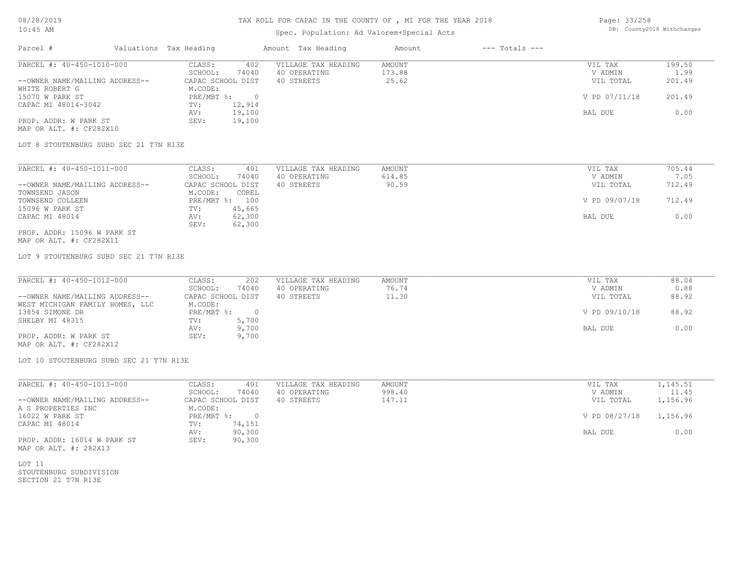## TAX ROLL FOR CAPAC IN THE COUNTY OF , MI FOR THE YEAR 2018

## Spec. Population: Ad Valorem+Special Acts

Page: 33/258 DB: County2018 Withchanges

| Parcel #                       | Valuations Tax Heading |        | Amount Tax Heading  | Amount | $---$ Totals $---$ |               |        |
|--------------------------------|------------------------|--------|---------------------|--------|--------------------|---------------|--------|
| PARCEL #: 40-450-1010-000      | CLASS:                 | 402    | VILLAGE TAX HEADING | AMOUNT |                    | VIL TAX       | 199.50 |
|                                | SCHOOL:                | 74040  | 40 OPERATING        | 173.88 |                    | V ADMIN       | 1.99   |
| --OWNER NAME/MAILING ADDRESS-- | CAPAC SCHOOL DIST      |        | 40 STREETS          | 25.62  |                    | VIL TOTAL     | 201.49 |
| WHITE ROBERT G                 | M.CODE:                |        |                     |        |                    |               |        |
| 15070 W PARK ST                | PRE/MBT %:             |        |                     |        |                    | V PD 07/11/18 | 201.49 |
| CAPAC MI 48014-3042            | TV:                    | 12,914 |                     |        |                    |               |        |
|                                | AV:                    | 19,100 |                     |        |                    | BAL DUE       | 0.00   |
| PROP. ADDR: W PARK ST          | SEV:                   | 19,100 |                     |        |                    |               |        |
| MAP OR ALT. #: CF282X10        |                        |        |                     |        |                    |               |        |

LOT 8 STOUTENBURG SUBD SEC 21 T7N R13E

| PARCEL #: 40-450-1011-000      | CLASS:<br>401     | VILLAGE TAX HEADING | AMOUNT | VIL TAX       | 705.44 |
|--------------------------------|-------------------|---------------------|--------|---------------|--------|
|                                | 74040<br>SCHOOL:  | 40 OPERATING        | 614.85 | V ADMIN       | 7.05   |
| --OWNER NAME/MAILING ADDRESS-- | CAPAC SCHOOL DIST | 40 STREETS          | 90.59  | VIL TOTAL     | 712.49 |
| TOWNSEND JASON                 | M.CODE:<br>COREL  |                     |        |               |        |
| TOWNSEND COLLEEN               | PRE/MBT %:<br>100 |                     |        | V PD 09/07/18 | 712.49 |
| 15096 W PARK ST                | 45,665<br>TV:     |                     |        |               |        |
| CAPAC MI 48014                 | 62,300<br>AV:     |                     |        | BAL DUE       | 0.00   |
|                                | 62,300<br>SEV:    |                     |        |               |        |
| PROP. ADDR: 15096 W PARK ST    |                   |                     |        |               |        |

MAP OR ALT. #: CF282X11

LOT 9 STOUTENBURG SUBD SEC 21 T7N R13E

| PARCEL #: 40-450-1012-000       | CLASS:<br>202     | VILLAGE TAX HEADING | AMOUNT | VIL TAX       | 88.04 |
|---------------------------------|-------------------|---------------------|--------|---------------|-------|
|                                 | 74040<br>SCHOOL:  | 40 OPERATING        | 76.74  | V ADMIN       | 0.88  |
| --OWNER NAME/MAILING ADDRESS--  | CAPAC SCHOOL DIST | 40 STREETS          | 11.30  | VIL TOTAL     | 88.92 |
| WEST MICHIGAN FAMILY HOMES, LLC | M.CODE:           |                     |        |               |       |
| 13854 SIMONE DR                 | PRE/MBT %:        |                     |        | V PD 09/10/18 | 88.92 |
| SHELBY MI 48315                 | 5,700<br>TV:      |                     |        |               |       |
|                                 | 9,700<br>AV:      |                     |        | BAL DUE       | 0.00  |
| PROP. ADDR: W PARK ST           | 9,700<br>SEV:     |                     |        |               |       |
| MAP OR ALT. #: CF282X12         |                   |                     |        |               |       |

LOT 10 STOUTENBURG SUBD SEC 21 T7N R13E

| PARCEL #: 40-450-1013-000      | 401<br>CLASS:     | VILLAGE TAX HEADING | AMOUNT | VIL TAX       | 1,145.51 |
|--------------------------------|-------------------|---------------------|--------|---------------|----------|
|                                | 74040<br>SCHOOL:  | 40 OPERATING        | 998.40 | V ADMIN       | 11.45    |
| --OWNER NAME/MAILING ADDRESS-- | CAPAC SCHOOL DIST | 40 STREETS          | 147.11 | VIL TOTAL     | 1,156.96 |
| A S PROPERTIES INC             | M.CODE:           |                     |        |               |          |
| 16022 W PARK ST                | PRE/MBT %:        |                     |        | V PD 08/27/18 | 1,156.96 |
| CAPAC MI 48014                 | 74,151<br>TV:     |                     |        |               |          |
|                                | 90,300<br>AV:     |                     |        | BAL DUE       | 0.00     |
| PROP. ADDR: 16014 W PARK ST    | 90,300<br>SEV:    |                     |        |               |          |

MAP OR ALT. #: 282X13

SECTION 21 T7N R13E STOUTENBURG SUBDIVISION LOT 11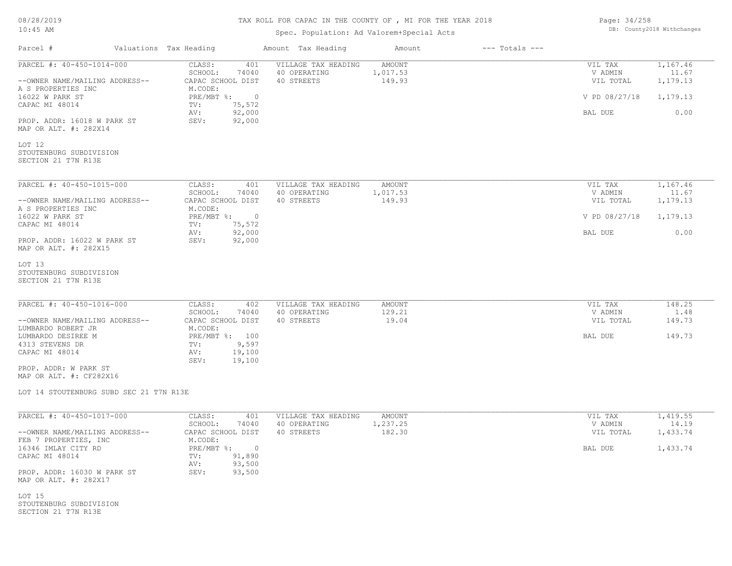| 08/28/2019 |  |
|------------|--|
| $10:45$ AM |  |

# Spec. Population: Ad Valorem+Special Acts

| Page: 34/258 |                            |
|--------------|----------------------------|
|              | DB: County2018 Withchanges |

| Parcel #                                                 | Valuations Tax Heading                           | Amount Tax Heading                  | Amount                    | $---$ Totals $---$ |                          |                   |
|----------------------------------------------------------|--------------------------------------------------|-------------------------------------|---------------------------|--------------------|--------------------------|-------------------|
| PARCEL #: 40-450-1014-000                                | CLASS:<br>401<br>SCHOOL:<br>74040                | VILLAGE TAX HEADING<br>40 OPERATING | <b>AMOUNT</b><br>1,017.53 |                    | VIL TAX<br>V ADMIN       | 1,167.46<br>11.67 |
| --OWNER NAME/MAILING ADDRESS--<br>A S PROPERTIES INC     | CAPAC SCHOOL DIST<br>M.CODE:<br>$\circ$          | 40 STREETS                          | 149.93                    |                    | VIL TOTAL                | 1,179.13          |
| 16022 W PARK ST<br>CAPAC MI 48014                        | $PRE/MBT$ %:<br>TV:<br>75,572<br>92,000<br>AV:   |                                     |                           |                    | V PD 08/27/18<br>BAL DUE | 1,179.13<br>0.00  |
| PROP. ADDR: 16018 W PARK ST<br>MAP OR ALT. #: 282X14     | SEV:<br>92,000                                   |                                     |                           |                    |                          |                   |
| LOT 12<br>STOUTENBURG SUBDIVISION<br>SECTION 21 T7N R13E |                                                  |                                     |                           |                    |                          |                   |
| PARCEL #: 40-450-1015-000                                | CLASS:<br>401<br>SCHOOL:<br>74040                | VILLAGE TAX HEADING<br>40 OPERATING | <b>AMOUNT</b><br>1,017.53 |                    | VIL TAX<br>V ADMIN       | 1,167.46<br>11.67 |
| --OWNER NAME/MAILING ADDRESS--<br>A S PROPERTIES INC     | CAPAC SCHOOL DIST<br>M.CODE:                     | 40 STREETS                          | 149.93                    |                    | VIL TOTAL                | 1,179.13          |
| 16022 W PARK ST<br>CAPAC MI 48014                        | $PRE/MBT$ $\frac{1}{6}$ : 0<br>75,572<br>TV:     |                                     |                           |                    | V PD 08/27/18            | 1,179.13          |
| PROP. ADDR: 16022 W PARK ST<br>MAP OR ALT. #: 282X15     | 92,000<br>AV:<br>SEV:<br>92,000                  |                                     |                           |                    | BAL DUE                  | 0.00              |
| LOT 13<br>STOUTENBURG SUBDIVISION<br>SECTION 21 T7N R13E |                                                  |                                     |                           |                    |                          |                   |
| PARCEL #: 40-450-1016-000                                | CLASS:<br>402                                    | VILLAGE TAX HEADING                 | AMOUNT                    |                    | VIL TAX                  | 148.25            |
| --OWNER NAME/MAILING ADDRESS--<br>LUMBARDO ROBERT JR     | SCHOOL:<br>74040<br>CAPAC SCHOOL DIST<br>M.CODE: | 40 OPERATING<br>40 STREETS          | 129.21<br>19.04           |                    | V ADMIN<br>VIL TOTAL     | 1.48<br>149.73    |
| LUMBARDO DESIREE M<br>4313 STEVENS DR                    | PRE/MBT %: 100<br>9,597<br>TV:                   |                                     |                           |                    | BAL DUE                  | 149.73            |
| CAPAC MI 48014                                           | 19,100<br>AV:<br>SEV:<br>19,100                  |                                     |                           |                    |                          |                   |
| PROP. ADDR: W PARK ST<br>MAP OR ALT. #: CF282X16         |                                                  |                                     |                           |                    |                          |                   |
| LOT 14 STOUTENBURG SUBD SEC 21 T7N R13E                  |                                                  |                                     |                           |                    |                          |                   |
| PARCEL #: 40-450-1017-000                                | CLASS:<br>401<br>SCHOOL:<br>74040                | VILLAGE TAX HEADING<br>40 OPERATING | <b>AMOUNT</b><br>1,237.25 |                    | VIL TAX<br>V ADMIN       | 1,419.55<br>14.19 |
| --OWNER NAME/MAILING ADDRESS--<br>FEB 7 PROPERTIES, INC  | CAPAC SCHOOL DIST<br>M.CODE:                     | 40 STREETS                          | 182.30                    |                    | VIL TOTAL                | 1,433.74          |
| 16346 IMLAY CITY RD<br>CAPAC MI 48014                    | PRE/MBT %: 0<br>91,890<br>TV:<br>93,500<br>AV:   |                                     |                           |                    | BAL DUE                  | 1,433.74          |
| PROP. ADDR: 16030 W PARK ST<br>MAP OR ALT. #: 282X17     | 93,500<br>SEV:                                   |                                     |                           |                    |                          |                   |
| LOT 15<br>STOUTENBURG SUBDIVISION<br>SECTION 21 T7N R13E |                                                  |                                     |                           |                    |                          |                   |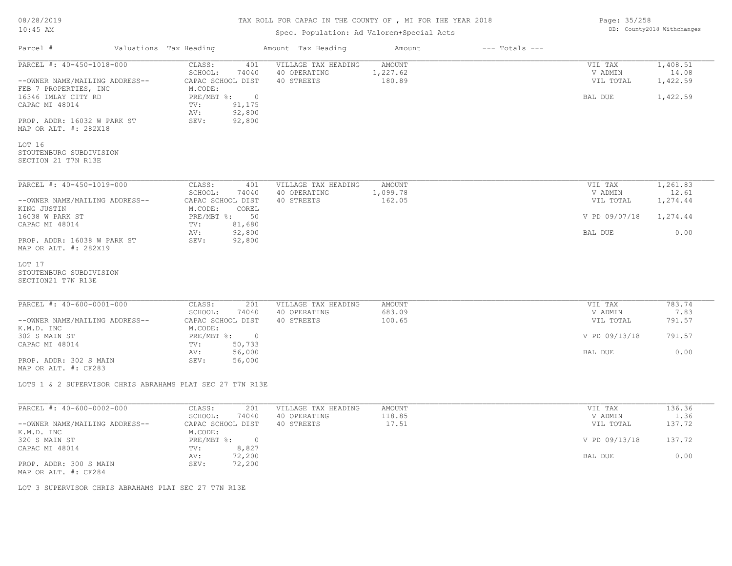| 08/28/2019 |  |
|------------|--|
| $10:45$ AM |  |

# Spec. Population: Ad Valorem+Special Acts

|                                |                                                           | ppcc. reputation. he valorem special help |               |                    |               |          |
|--------------------------------|-----------------------------------------------------------|-------------------------------------------|---------------|--------------------|---------------|----------|
| Parcel #                       | Valuations Tax Heading                                    | Amount Tax Heading                        | Amount        | $---$ Totals $---$ |               |          |
| PARCEL #: 40-450-1018-000      | CLASS:<br>401                                             | VILLAGE TAX HEADING                       | <b>AMOUNT</b> |                    | VIL TAX       | 1,408.51 |
|                                | SCHOOL:<br>74040                                          | 40 OPERATING                              | 1,227.62      |                    | V ADMIN       | 14.08    |
| --OWNER NAME/MAILING ADDRESS-- | CAPAC SCHOOL DIST                                         | 40 STREETS                                | 180.89        |                    | VIL TOTAL     | 1,422.59 |
| FEB 7 PROPERTIES, INC          | M.CODE:                                                   |                                           |               |                    |               |          |
| 16346 IMLAY CITY RD            | PRE/MBT %: 0                                              |                                           |               |                    | BAL DUE       | 1,422.59 |
| CAPAC MI 48014                 | 91, 175<br>$\texttt{TV}$ :                                |                                           |               |                    |               |          |
|                                | 92,800<br>AV:                                             |                                           |               |                    |               |          |
|                                |                                                           |                                           |               |                    |               |          |
| PROP. ADDR: 16032 W PARK ST    | 92,800<br>SEV:                                            |                                           |               |                    |               |          |
| MAP OR ALT. #: 282X18          |                                                           |                                           |               |                    |               |          |
|                                |                                                           |                                           |               |                    |               |          |
| LOT 16                         |                                                           |                                           |               |                    |               |          |
| STOUTENBURG SUBDIVISION        |                                                           |                                           |               |                    |               |          |
| SECTION 21 T7N R13E            |                                                           |                                           |               |                    |               |          |
|                                |                                                           |                                           |               |                    |               |          |
| PARCEL #: 40-450-1019-000      | CLASS:<br>401                                             | VILLAGE TAX HEADING                       | AMOUNT        |                    | VIL TAX       | 1,261.83 |
|                                | SCHOOL:<br>74040                                          | 40 OPERATING                              | 1,099.78      |                    | V ADMIN       | 12.61    |
| --OWNER NAME/MAILING ADDRESS-- | CAPAC SCHOOL DIST                                         | 40 STREETS                                | 162.05        |                    | VIL TOTAL     | 1,274.44 |
| KING JUSTIN                    | M.CODE:<br>COREL                                          |                                           |               |                    |               |          |
| 16038 W PARK ST                | PRE/MBT %: 50                                             |                                           |               |                    | V PD 09/07/18 | 1,274.44 |
| CAPAC MI 48014                 | $\texttt{TV}$ :<br>81,680                                 |                                           |               |                    |               |          |
|                                | 92,800<br>AV:                                             |                                           |               |                    | BAL DUE       | 0.00     |
| PROP. ADDR: 16038 W PARK ST    | SEV:<br>92,800                                            |                                           |               |                    |               |          |
| MAP OR ALT. #: 282X19          |                                                           |                                           |               |                    |               |          |
|                                |                                                           |                                           |               |                    |               |          |
| LOT 17                         |                                                           |                                           |               |                    |               |          |
| STOUTENBURG SUBDIVISION        |                                                           |                                           |               |                    |               |          |
| SECTION21 T7N R13E             |                                                           |                                           |               |                    |               |          |
|                                |                                                           |                                           |               |                    |               |          |
|                                |                                                           |                                           |               |                    |               |          |
| PARCEL #: 40-600-0001-000      | CLASS:<br>201                                             | VILLAGE TAX HEADING                       | AMOUNT        |                    | VIL TAX       | 783.74   |
|                                | SCHOOL:<br>74040                                          | 40 OPERATING                              | 683.09        |                    | V ADMIN       | 7.83     |
| --OWNER NAME/MAILING ADDRESS-- | CAPAC SCHOOL DIST                                         | 40 STREETS                                | 100.65        |                    | VIL TOTAL     | 791.57   |
| K.M.D. INC                     | M.CODE:                                                   |                                           |               |                    |               |          |
| 302 S MAIN ST                  | $PRE/MBT$ %:<br>$\overline{0}$                            |                                           |               |                    | V PD 09/13/18 | 791.57   |
| CAPAC MI 48014                 | 50,733<br>TV:                                             |                                           |               |                    |               |          |
|                                | 56,000<br>AV:                                             |                                           |               |                    | BAL DUE       | 0.00     |
| PROP. ADDR: 302 S MAIN         | SEV:<br>56,000                                            |                                           |               |                    |               |          |
| MAP OR ALT. #: CF283           |                                                           |                                           |               |                    |               |          |
|                                |                                                           |                                           |               |                    |               |          |
|                                | LOTS 1 & 2 SUPERVISOR CHRIS ABRAHAMS PLAT SEC 27 T7N R13E |                                           |               |                    |               |          |
|                                |                                                           |                                           |               |                    |               |          |
| PARCEL #: 40-600-0002-000      | CLASS:<br>201                                             | VILLAGE TAX HEADING                       | AMOUNT        |                    | VIL TAX       | 136.36   |
|                                | SCHOOL:<br>74040                                          | 40 OPERATING                              | 118.85        |                    | V ADMIN       | 1.36     |
| --OWNER NAME/MAILING ADDRESS-- | CAPAC SCHOOL DIST                                         | 40 STREETS                                | 17.51         |                    | VIL TOTAL     | 137.72   |
| K.M.D. INC                     | M.CODE:                                                   |                                           |               |                    |               |          |
| 320 S MAIN ST                  | $PRE/MBT$ %:<br>$\overline{0}$                            |                                           |               |                    | V PD 09/13/18 | 137.72   |
| CAPAC MI 48014                 | TV:<br>8,827                                              |                                           |               |                    |               |          |
|                                | 72,200<br>AV:                                             |                                           |               |                    | BAL DUE       | 0.00     |
| PROP. ADDR: 300 S MAIN         | SEV:<br>72,200                                            |                                           |               |                    |               |          |
|                                |                                                           |                                           |               |                    |               |          |

MAP OR ALT. #: CF284

LOT 3 SUPERVISOR CHRIS ABRAHAMS PLAT SEC 27 T7N R13E

Page: 35/258 DB: County2018 Withchanges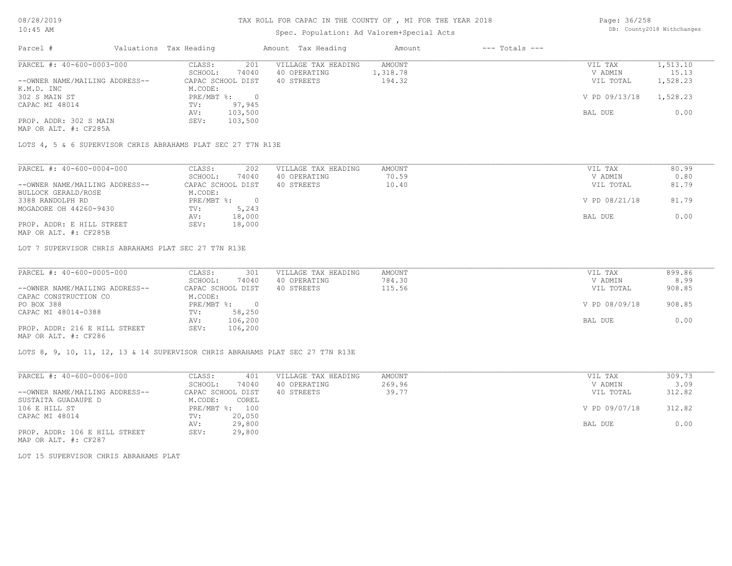## TAX ROLL FOR CAPAC IN THE COUNTY OF , MI FOR THE YEAR 2018

## Spec. Population: Ad Valorem+Special Acts

Page: 36/258 DB: County2018 Withchanges

| Parcel #                       | Valuations Tax Heading |         | Amount Tax Heading  | Amount   | $---$ Totals $---$ |               |          |
|--------------------------------|------------------------|---------|---------------------|----------|--------------------|---------------|----------|
| PARCEL #: 40-600-0003-000      | CLASS:                 | 201     | VILLAGE TAX HEADING | AMOUNT   |                    | VIL TAX       | 1,513.10 |
|                                | SCHOOL:                | 74040   | 40 OPERATING        | 1,318.78 |                    | V ADMIN       | 15.13    |
| --OWNER NAME/MAILING ADDRESS-- | CAPAC SCHOOL DIST      |         | 40 STREETS          | 194.32   |                    | VIL TOTAL     | 1,528.23 |
| K.M.D. INC                     | M.CODE:                |         |                     |          |                    |               |          |
| 302 S MAIN ST                  | $PRE/MBT$ %:           |         |                     |          |                    | V PD 09/13/18 | 1,528.23 |
| CAPAC MI 48014                 | TV:                    | 97,945  |                     |          |                    |               |          |
|                                | AV:                    | 103,500 |                     |          |                    | BAL DUE       | 0.00     |
| PROP. ADDR: 302 S MAIN         | SEV:                   | 103,500 |                     |          |                    |               |          |
| MAP OR ALT. #: CF285A          |                        |         |                     |          |                    |               |          |

LOTS 4, 5 & 6 SUPERVISOR CHRIS ABRAHAMS PLAT SEC 27 T7N R13E

| PARCEL #: 40-600-0004-000      | 202<br>CLASS:     | VILLAGE TAX HEADING | AMOUNT | VIL TAX       | 80.99 |
|--------------------------------|-------------------|---------------------|--------|---------------|-------|
|                                | 74040<br>SCHOOL:  | 40 OPERATING        | 70.59  | V ADMIN       | 0.80  |
| --OWNER NAME/MAILING ADDRESS-- | CAPAC SCHOOL DIST | 40 STREETS          | 10.40  | VIL TOTAL     | 81.79 |
| BULLOCK GERALD/ROSE            | M.CODE:           |                     |        |               |       |
| 3388 RANDOLPH RD               | $PRE/MBT$ %:      |                     |        | V PD 08/21/18 | 81.79 |
| MOGADORE OH 44260-9430         | 5,243<br>TV:      |                     |        |               |       |
|                                | 18,000<br>AV:     |                     |        | BAL DUE       | 0.00  |
| PROP. ADDR: E HILL STREET      | 18,000<br>SEV:    |                     |        |               |       |
| MAP OR ALT. #: CF285B          |                   |                     |        |               |       |

LOT 7 SUPERVISOR CHRIS ABRAHAMS PLAT SEC 27 T7N R13E

| PARCEL #: 40-600-0005-000      | CLASS:<br>301     | VILLAGE TAX HEADING | AMOUNT | VIL TAX       | 899.86 |
|--------------------------------|-------------------|---------------------|--------|---------------|--------|
|                                | 74040<br>SCHOOL:  | 40 OPERATING        | 784.30 | V ADMIN       | 8.99   |
| --OWNER NAME/MAILING ADDRESS-- | CAPAC SCHOOL DIST | 40 STREETS          | 115.56 | VIL TOTAL     | 908.85 |
| CAPAC CONSTRUCTION CO          | M.CODE:           |                     |        |               |        |
| PO BOX 388                     | $PRE/MBT$ %:      |                     |        | V PD 08/09/18 | 908.85 |
| CAPAC MI 48014-0388            | 58,250<br>TV:     |                     |        |               |        |
|                                | 106,200<br>AV:    |                     |        | BAL DUE       | 0.00   |
| PROP. ADDR: 216 E HILL STREET  | 106,200<br>SEV:   |                     |        |               |        |
| MAP OR ALT. #: CF286           |                   |                     |        |               |        |

LOTS 8, 9, 10, 11, 12, 13 & 14 SUPERVISOR CHRIS ABRAHAMS PLAT SEC 27 T7N R13E

| PARCEL #: 40-600-0006-000      | 401<br>CLASS:     | VILLAGE TAX HEADING | AMOUNT | VIL TAX       | 309.73 |
|--------------------------------|-------------------|---------------------|--------|---------------|--------|
|                                | 74040<br>SCHOOL:  | 40 OPERATING        | 269.96 | V ADMIN       | 3.09   |
| --OWNER NAME/MAILING ADDRESS-- | CAPAC SCHOOL DIST | 40 STREETS          | 39.77  | VIL TOTAL     | 312.82 |
| SUSTAITA GUADAUPE D            | COREL<br>M.CODE:  |                     |        |               |        |
| 106 E HILL ST                  | PRE/MBT %:<br>100 |                     |        | V PD 09/07/18 | 312.82 |
| CAPAC MI 48014                 | 20,050<br>TV:     |                     |        |               |        |
|                                | 29,800<br>AV:     |                     |        | BAL DUE       | 0.00   |
| PROP. ADDR: 106 E HILL STREET  | 29,800<br>SEV:    |                     |        |               |        |

MAP OR ALT. #: CF287

LOT 15 SUPERVISOR CHRIS ABRAHAMS PLAT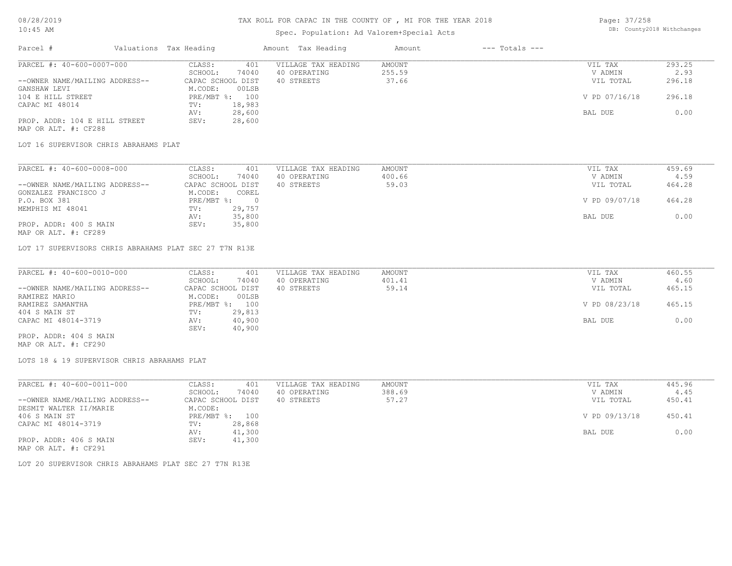## TAX ROLL FOR CAPAC IN THE COUNTY OF , MI FOR THE YEAR 2018

# Spec. Population: Ad Valorem+Special Acts

Page: 37/258 DB: County2018 Withchanges

| Parcel #                       |         | Valuations Tax Heading |              | Amount Tax Heading  | Amount | $---$ Totals $---$ |               |        |
|--------------------------------|---------|------------------------|--------------|---------------------|--------|--------------------|---------------|--------|
| PARCEL #: 40-600-0007-000      |         | CLASS:                 | 401          | VILLAGE TAX HEADING | AMOUNT |                    | VIL TAX       | 293.25 |
|                                | SCHOOL: | 74040                  | 40 OPERATING | 255.59              |        | V ADMIN            | 2.93          |        |
| --OWNER NAME/MAILING ADDRESS-- |         | CAPAC SCHOOL DIST      |              | 40 STREETS          | 37.66  |                    | VIL TOTAL     | 296.18 |
| GANSHAW LEVI                   |         | M.CODE:                | 00LSB        |                     |        |                    |               |        |
| 104 E HILL STREET              |         | PRE/MBT %: 100         |              |                     |        |                    | V PD 07/16/18 | 296.18 |
| CAPAC MI 48014                 |         | TV:                    | 18,983       |                     |        |                    |               |        |
|                                |         | AV:                    | 28,600       |                     |        |                    | BAL DUE       | 0.00   |
| PROP. ADDR: 104 E HILL STREET  |         | SEV:                   | 28,600       |                     |        |                    |               |        |
| MAP OR ALT. #: CF288           |         |                        |              |                     |        |                    |               |        |

LOT 16 SUPERVISOR CHRIS ABRAHAMS PLAT

| PARCEL #: 40-600-0008-000      | 401<br>CLASS:     | VILLAGE TAX HEADING | AMOUNT | VIL TAX       | 459.69 |
|--------------------------------|-------------------|---------------------|--------|---------------|--------|
|                                | 74040<br>SCHOOL:  | 40 OPERATING        | 400.66 | V ADMIN       | 4.59   |
| --OWNER NAME/MAILING ADDRESS-- | CAPAC SCHOOL DIST | 40 STREETS          | 59.03  | VIL TOTAL     | 464.28 |
| GONZALEZ FRANCISCO J           | M.CODE:<br>COREL  |                     |        |               |        |
| P.O. BOX 381                   | $PRE/MBT$ %:      |                     |        | V PD 09/07/18 | 464.28 |
| MEMPHIS MI 48041               | 29,757<br>TV:     |                     |        |               |        |
|                                | 35,800<br>AV:     |                     |        | BAL DUE       | 0.00   |
| PROP. ADDR: 400 S MAIN         | 35,800<br>SEV:    |                     |        |               |        |
| MAP OR ALT. #: CF289           |                   |                     |        |               |        |

LOT 17 SUPERVISORS CHRIS ABRAHAMS PLAT SEC 27 T7N R13E

| PARCEL #: 40-600-0010-000      | CLASS:<br>401     | VILLAGE TAX HEADING | AMOUNT | VIL TAX       | 460.55 |
|--------------------------------|-------------------|---------------------|--------|---------------|--------|
|                                | 74040<br>SCHOOL:  | 40 OPERATING        | 401.41 | V ADMIN       | 4.60   |
| --OWNER NAME/MAILING ADDRESS-- | CAPAC SCHOOL DIST | 40 STREETS          | 59.14  | VIL TOTAL     | 465.15 |
| RAMIREZ MARIO                  | 00LSB<br>M.CODE:  |                     |        |               |        |
| RAMIREZ SAMANTHA               | PRE/MBT %: 100    |                     |        | V PD 08/23/18 | 465.15 |
| 404 S MAIN ST                  | 29,813<br>TV:     |                     |        |               |        |
| CAPAC MI 48014-3719            | 40,900<br>AV:     |                     |        | BAL DUE       | 0.00   |
|                                | 40,900<br>SEV:    |                     |        |               |        |
| PROP. ADDR: 404 S MAIN         |                   |                     |        |               |        |

MAP OR ALT. #: CF290

LOTS 18 & 19 SUPERVISOR CHRIS ABRAHAMS PLAT

| PARCEL #: 40-600-0011-000      | CLASS:<br>401     | VILLAGE TAX HEADING | AMOUNT | VIL TAX       | 445.96 |
|--------------------------------|-------------------|---------------------|--------|---------------|--------|
|                                | 74040<br>SCHOOL:  | 40 OPERATING        | 388.69 | V ADMIN       | 4.45   |
| --OWNER NAME/MAILING ADDRESS-- | CAPAC SCHOOL DIST | 40 STREETS          | 57.27  | VIL TOTAL     | 450.41 |
| DESMIT WALTER II/MARIE         | M.CODE:           |                     |        |               |        |
| 406 S MAIN ST                  | PRE/MBT %: 100    |                     |        | V PD 09/13/18 | 450.41 |
| CAPAC MI 48014-3719            | 28,868<br>TV:     |                     |        |               |        |
|                                | 41,300<br>AV:     |                     |        | BAL DUE       | 0.00   |
| PROP. ADDR: 406 S MAIN         | 41,300<br>SEV:    |                     |        |               |        |
| MAP OR ALT. #: CF291           |                   |                     |        |               |        |

LOT 20 SUPERVISOR CHRIS ABRAHAMS PLAT SEC 27 T7N R13E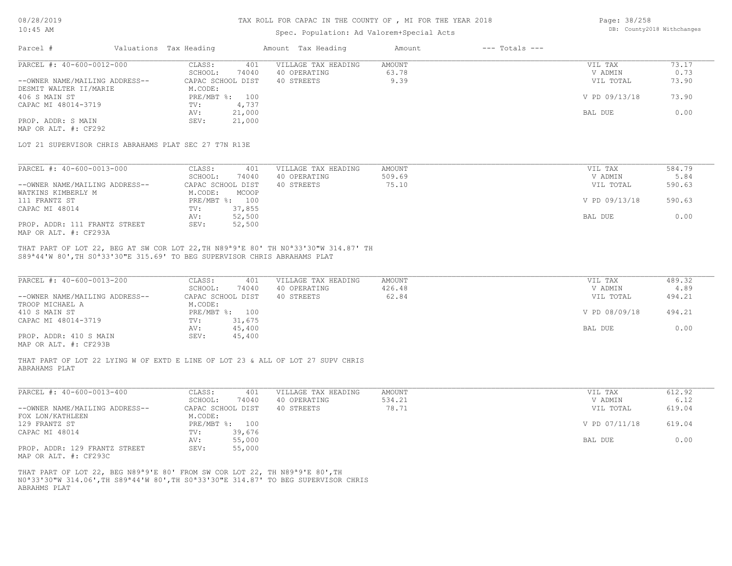### TAX ROLL FOR CAPAC IN THE COUNTY OF , MI FOR THE YEAR 2018

## Spec. Population: Ad Valorem+Special Acts

Page: 38/258 DB: County2018 Withchanges

| Parcel #                       |         | Valuations Tax Heading |              | Amount Tax Heading  | Amount | $---$ Totals $---$ |               |       |
|--------------------------------|---------|------------------------|--------------|---------------------|--------|--------------------|---------------|-------|
| PARCEL #: 40-600-0012-000      |         | CLASS:                 | 401          | VILLAGE TAX HEADING | AMOUNT |                    | VIL TAX       | 73.17 |
|                                | SCHOOL: | 74040                  | 40 OPERATING | 63.78               |        | V ADMIN            | 0.73          |       |
| --OWNER NAME/MAILING ADDRESS-- |         | CAPAC SCHOOL DIST      |              | 40 STREETS          | 9.39   |                    | VIL TOTAL     | 73.90 |
| DESMIT WALTER II/MARIE         |         | M.CODE:                |              |                     |        |                    |               |       |
| 406 S MAIN ST                  |         | PRE/MBT %: 100         |              |                     |        |                    | V PD 09/13/18 | 73.90 |
| CAPAC MI 48014-3719            |         | TV:                    | 4,737        |                     |        |                    |               |       |
|                                |         | AV:                    | 21,000       |                     |        |                    | BAL DUE       | 0.00  |
| PROP. ADDR: S MAIN             |         | SEV:                   | 21,000       |                     |        |                    |               |       |
| MAP OR ALT. #: CF292           |         |                        |              |                     |        |                    |               |       |

LOT 21 SUPERVISOR CHRIS ABRAHAMS PLAT SEC 27 T7N R13E

| PARCEL #: 40-600-0013-000      | CLASS:            | 401<br>VILLAGE TAX HEADING | AMOUNT | VIL TAX       | 584.79 |
|--------------------------------|-------------------|----------------------------|--------|---------------|--------|
|                                | 74040<br>SCHOOL:  | 40 OPERATING               | 509.69 | V ADMIN       | 5.84   |
| --OWNER NAME/MAILING ADDRESS-- | CAPAC SCHOOL DIST | 40 STREETS                 | 75.10  | VIL TOTAL     | 590.63 |
| WATKINS KIMBERLY M             | M.CODE:<br>MCOOP  |                            |        |               |        |
| 111 FRANTZ ST                  | PRE/MBT %: 100    |                            |        | V PD 09/13/18 | 590.63 |
| CAPAC MI 48014                 | 37,855<br>TV:     |                            |        |               |        |
|                                | 52,500<br>AV:     |                            |        | BAL DUE       | 0.00   |
| PROP. ADDR: 111 FRANTZ STREET  | 52,500<br>SEV:    |                            |        |               |        |
| MAP OR ALT. #: CF293A          |                   |                            |        |               |        |

S89ª44'W 80',TH S0ª33'30"E 315.69' TO BEG SUPERVISOR CHRIS ABRAHAMS PLAT THAT PART OF LOT 22, BEG AT SW COR LOT 22,TH N89ª9'E 80' TH N0ª33'30"W 314.87' TH

| PARCEL #: 40-600-0013-200                             | CLASS:<br>401     | VILLAGE TAX HEADING | AMOUNT | VIL TAX       | 489.32 |
|-------------------------------------------------------|-------------------|---------------------|--------|---------------|--------|
|                                                       | 74040<br>SCHOOL:  | 40 OPERATING        | 426.48 | V ADMIN       | 4.89   |
| --OWNER NAME/MAILING ADDRESS--                        | CAPAC SCHOOL DIST | 40 STREETS          | 62.84  | VIL TOTAL     | 494.21 |
| TROOP MICHAEL A                                       | M.CODE:           |                     |        |               |        |
| 410 S MAIN ST                                         | PRE/MBT %: 100    |                     |        | V PD 08/09/18 | 494.21 |
| CAPAC MI 48014-3719                                   | 31,675<br>TV:     |                     |        |               |        |
|                                                       | 45,400<br>AV:     |                     |        | BAL DUE       | 0.00   |
| PROP. ADDR: 410 S MAIN                                | 45,400<br>SEV:    |                     |        |               |        |
| $\cdots$ $\cdots$ $\cdots$ $\cdots$ $\cdots$ $\cdots$ |                   |                     |        |               |        |

MAP OR ALT. #: CF293B

### ABRAHAMS PLAT THAT PART OF LOT 22 LYING W OF EXTD E LINE OF LOT 23 & ALL OF LOT 27 SUPV CHRIS

| PARCEL #: 40-600-0013-400      | CLASS:            | 401    | VILLAGE TAX HEADING | AMOUNT | VIL TAX       | 612.92 |  |
|--------------------------------|-------------------|--------|---------------------|--------|---------------|--------|--|
|                                | SCHOOL:           | 74040  | 40 OPERATING        | 534.21 | V ADMIN       | 6.12   |  |
| --OWNER NAME/MAILING ADDRESS-- | CAPAC SCHOOL DIST |        | 40 STREETS          | 78.71  | VIL TOTAL     | 619.04 |  |
| FOX LON/KATHLEEN               | M.CODE:           |        |                     |        |               |        |  |
| 129 FRANTZ ST                  | $PRE/MBT$ %:      | 100    |                     |        | V PD 07/11/18 | 619.04 |  |
| CAPAC MI 48014                 | TV:               | 39,676 |                     |        |               |        |  |
|                                | AV:               | 55,000 |                     |        | BAL DUE       | 0.00   |  |
| PROP. ADDR: 129 FRANTZ STREET  | SEV:              | 55,000 |                     |        |               |        |  |
|                                |                   |        |                     |        |               |        |  |

MAP OR ALT. #: CF293C

ABRAHMS PLAT N0ª33'30"W 314.06',TH S89ª44'W 80',TH S0ª33'30"E 314.87' TO BEG SUPERVISOR CHRIS THAT PART OF LOT 22, BEG N89ª9'E 80' FROM SW COR LOT 22, TH N89ª9'E 80',TH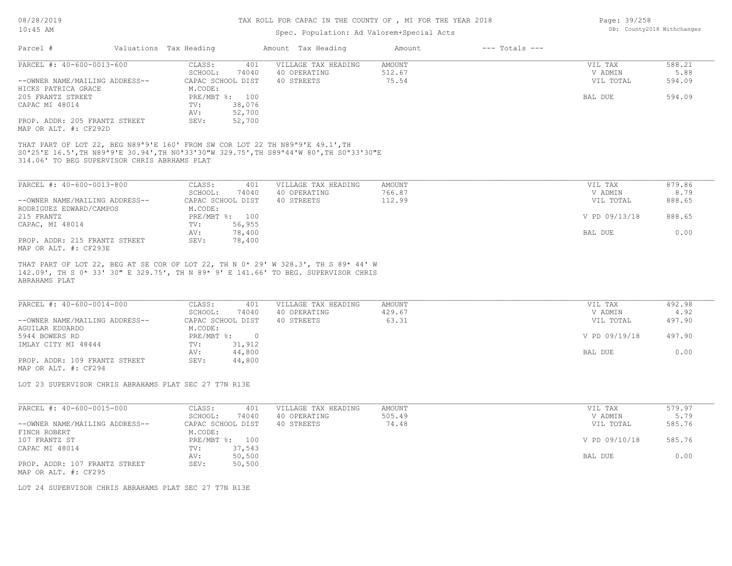### TAX ROLL FOR CAPAC IN THE COUNTY OF , MI FOR THE YEAR 2018

## Spec. Population: Ad Valorem+Special Acts

| Page: 39/258 |                            |
|--------------|----------------------------|
|              | DB: County2018 Withchanges |

| Parcel #                       | Valuations Tax Heading |                | Amount Tax Heading  | Amount | $---$ Totals $---$ |           |        |
|--------------------------------|------------------------|----------------|---------------------|--------|--------------------|-----------|--------|
| PARCEL #: 40-600-0013-600      | CLASS:                 | 401            | VILLAGE TAX HEADING | AMOUNT |                    | VIL TAX   | 588.21 |
|                                | SCHOOL:                | 74040          | 40 OPERATING        | 512.67 |                    | V ADMIN   | 5.88   |
| --OWNER NAME/MAILING ADDRESS-- | CAPAC SCHOOL DIST      |                | 40 STREETS          | 75.54  |                    | VIL TOTAL | 594.09 |
| HICKS PATRICA GRACE            | M.CODE:                |                |                     |        |                    |           |        |
| 205 FRANTZ STREET              |                        | PRE/MBT %: 100 |                     |        |                    | BAL DUE   | 594.09 |
| CAPAC MI 48014                 | TV:                    | 38,076         |                     |        |                    |           |        |
|                                | AV:                    | 52,700         |                     |        |                    |           |        |
| PROP. ADDR: 205 FRANTZ STREET  | SEV:                   | 52,700         |                     |        |                    |           |        |
| MAP OR ALT. #: CF292D          |                        |                |                     |        |                    |           |        |

314.06' TO BEG SUPERVISOR CHRIS ABRHAMS PLAT S0ª25'E 16.5',TH N89ª9'E 30.94',TH N0ª33'30"W 329.75',TH S89ª44'W 80',TH S0ª33'30"E THAT PART OF LOT 22, BEG N89ª9'E 160' FROM SW COR LOT 22 TH N89ª9'E 49.1',TH

| PARCEL #: 40-600-0013-800      | 401<br>CLASS:     | VILLAGE TAX HEADING | AMOUNT | VIL TAX       | 879.86 |
|--------------------------------|-------------------|---------------------|--------|---------------|--------|
|                                | 74040<br>SCHOOL:  | 40 OPERATING        | 766.87 | V ADMIN       | 8.79   |
| --OWNER NAME/MAILING ADDRESS-- | CAPAC SCHOOL DIST | 40 STREETS          | 112.99 | VIL TOTAL     | 888.65 |
| RODRIGUEZ EDWARD/CAMPOS        | M.CODE:           |                     |        |               |        |
| 215 FRANTZ                     | PRE/MBT %: 100    |                     |        | V PD 09/13/18 | 888.65 |
| CAPAC, MI 48014                | 56,955<br>TV:     |                     |        |               |        |
|                                | 78,400<br>AV:     |                     |        | BAL DUE       | 0.00   |
| PROP. ADDR: 215 FRANTZ STREET  | 78,400<br>SEV:    |                     |        |               |        |
| MAP OR ALT. #: CF293E          |                   |                     |        |               |        |

ABRAHAMS PLAT 142.09', TH S 0\* 33' 30" E 329.75', TH N 89\* 9' E 141.66' TO BEG. SUPERVISOR CHRIS THAT PART OF LOT 22, BEG AT SE COR OF LOT 22, TH N 0\* 29' W 328.3', TH S 89\* 44' W

| PARCEL #: 40-600-0014-000      | CLASS:<br>401     | VILLAGE TAX HEADING | AMOUNT | VIL TAX       | 492.98 |
|--------------------------------|-------------------|---------------------|--------|---------------|--------|
|                                | 74040<br>SCHOOL:  | 40 OPERATING        | 429.67 | V ADMIN       | 4.92   |
| --OWNER NAME/MAILING ADDRESS-- | CAPAC SCHOOL DIST | 40 STREETS          | 63.31  | VIL TOTAL     | 497.90 |
| AGUILAR EDUARDO                | M.CODE:           |                     |        |               |        |
| 5944 BOWERS RD                 | $PRE/MBT$ %:      |                     |        | V PD 09/19/18 | 497.90 |
| IMLAY CITY MI 48444            | 31,912<br>TV:     |                     |        |               |        |
|                                | 44,800<br>AV:     |                     |        | BAL DUE       | 0.00   |
| PROP. ADDR: 109 FRANTZ STREET  | 44,800<br>SEV:    |                     |        |               |        |
| MAP OR ALT. #: CF294           |                   |                     |        |               |        |

LOT 23 SUPERVISOR CHRIS ABRAHAMS PLAT SEC 27 T7N R13E

| PARCEL #: 40-600-0015-000      | 401<br>CLASS:     | VILLAGE TAX HEADING | AMOUNT | VIL TAX       | 579.97 |
|--------------------------------|-------------------|---------------------|--------|---------------|--------|
|                                | 74040<br>SCHOOL:  | 40 OPERATING        | 505.49 | V ADMIN       | 5.79   |
| --OWNER NAME/MAILING ADDRESS-- | CAPAC SCHOOL DIST | 40 STREETS          | 74.48  | VIL TOTAL     | 585.76 |
| FINCH ROBERT                   | M.CODE:           |                     |        |               |        |
| 107 FRANTZ ST                  | PRE/MBT %: 100    |                     |        | V PD 09/10/18 | 585.76 |
| CAPAC MI 48014                 | 37,543<br>TV:     |                     |        |               |        |
|                                | 50,500<br>AV:     |                     |        | BAL DUE       | 0.00   |
| PROP. ADDR: 107 FRANTZ STREET  | 50,500<br>SEV:    |                     |        |               |        |
| MAP OR ALT. #: CF295           |                   |                     |        |               |        |

LOT 24 SUPERVISOR CHRIS ABRAHAMS PLAT SEC 27 T7N R13E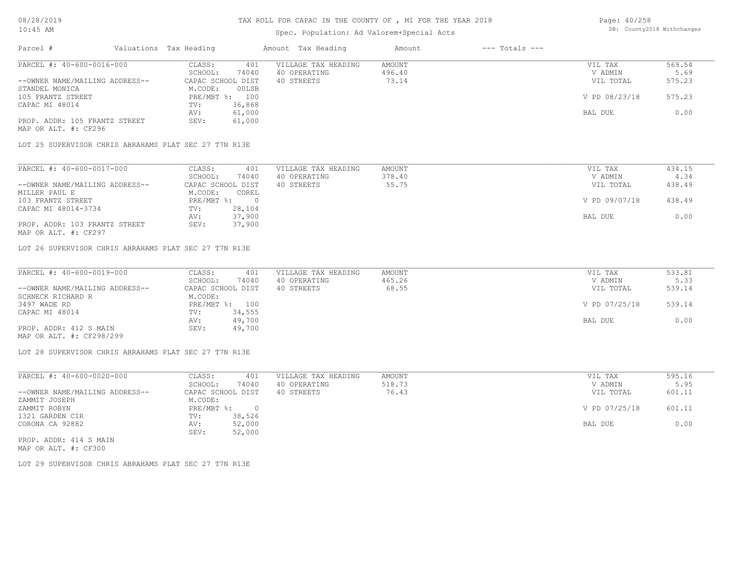## Spec. Population: Ad Valorem+Special Acts

Page: 40/258 DB: County2018 Withchanges

| Parcel #                       | Valuations Tax Heading |                | Amount Tax Heading  | Amount | $---$ Totals $---$ |               |        |
|--------------------------------|------------------------|----------------|---------------------|--------|--------------------|---------------|--------|
| PARCEL #: 40-600-0016-000      | CLASS:                 | 401            | VILLAGE TAX HEADING | AMOUNT |                    | VIL TAX       | 569.54 |
|                                | SCHOOL:                | 74040          | 40 OPERATING        | 496.40 |                    | V ADMIN       | 5.69   |
| --OWNER NAME/MAILING ADDRESS-- | CAPAC SCHOOL DIST      |                | 40 STREETS          | 73.14  |                    | VIL TOTAL     | 575.23 |
| STANDEL MONICA                 | M.CODE:                | 00LSB          |                     |        |                    |               |        |
| 105 FRANTZ STREET              |                        | PRE/MBT %: 100 |                     |        |                    | V PD 08/23/18 | 575.23 |
| CAPAC MI 48014                 | TV:                    | 36,868         |                     |        |                    |               |        |
|                                | AV:                    | 61,000         |                     |        |                    | BAL DUE       | 0.00   |
| PROP. ADDR: 105 FRANTZ STREET  | SEV:                   | 61,000         |                     |        |                    |               |        |
| MAP OR ALT. #: CF296           |                        |                |                     |        |                    |               |        |

LOT 25 SUPERVISOR CHRIS ABRAHAMS PLAT SEC 27 T7N R13E

| PARCEL #: 40-600-0017-000      | CLASS:<br>401     | VILLAGE TAX HEADING | AMOUNT | VIL TAX       | 434.15 |
|--------------------------------|-------------------|---------------------|--------|---------------|--------|
|                                | 74040<br>SCHOOL:  | 40 OPERATING        | 378.40 | V ADMIN       | 4.34   |
| --OWNER NAME/MAILING ADDRESS-- | CAPAC SCHOOL DIST | 40 STREETS          | 55.75  | VIL TOTAL     | 438.49 |
| MILLER PAUL E                  | M.CODE:<br>COREL  |                     |        |               |        |
| 103 FRANTZ STREET              | $PRE/MBT$ %:      |                     |        | V PD 09/07/18 | 438.49 |
| CAPAC MI 48014-3734            | 28,104<br>TV:     |                     |        |               |        |
|                                | 37,900<br>AV:     |                     |        | BAL DUE       | 0.00   |
| PROP. ADDR: 103 FRANTZ STREET  | 37,900<br>SEV:    |                     |        |               |        |
| MAP OR ALT. #: CF297           |                   |                     |        |               |        |

LOT 26 SUPERVISOR CHRIS ABRAHAMS PLAT SEC 27 T7N R13E

| PARCEL #: 40-600-0019-000      | CLASS:<br>401     | VILLAGE TAX HEADING | AMOUNT | VIL TAX       | 533.81 |
|--------------------------------|-------------------|---------------------|--------|---------------|--------|
|                                | 74040<br>SCHOOL:  | 40 OPERATING        | 465.26 | V ADMIN       | 5.33   |
| --OWNER NAME/MAILING ADDRESS-- | CAPAC SCHOOL DIST | 40 STREETS          | 68.55  | VIL TOTAL     | 539.14 |
| SCHNECK RICHARD R              | M.CODE:           |                     |        |               |        |
| 3497 WADE RD                   | PRE/MBT %: 100    |                     |        | V PD 07/25/18 | 539.14 |
| CAPAC MI 48014                 | 34,555<br>TV:     |                     |        |               |        |
|                                | 49,700<br>AV:     |                     |        | BAL DUE       | 0.00   |
| PROP. ADDR: 412 S MAIN         | 49,700<br>SEV:    |                     |        |               |        |
| MAP OR ALT. #: CF298/299       |                   |                     |        |               |        |

LOT 28 SUPERVISOR CHRIS ABRAHAMS PLAT SEC 27 T7N R13E

| PARCEL #: 40-600-0020-000      | CLASS:     | 401               | VILLAGE TAX HEADING | AMOUNT | VIL TAX       | 595.16 |
|--------------------------------|------------|-------------------|---------------------|--------|---------------|--------|
|                                | SCHOOL:    | 74040             | 40 OPERATING        | 518.73 | V ADMIN       | 5.95   |
| --OWNER NAME/MAILING ADDRESS-- |            | CAPAC SCHOOL DIST | 40 STREETS          | 76.43  | VIL TOTAL     | 601.11 |
| ZAMMIT JOSEPH                  | M.CODE:    |                   |                     |        |               |        |
| ZAMMIT ROBYN                   | PRE/MBT %: |                   |                     |        | V PD 07/25/18 | 601.11 |
| 1321 GARDEN CIR                | TV:        | 38,526            |                     |        |               |        |
| CORONA CA 92882                | AV:        | 52,000            |                     |        | BAL DUE       | 0.00   |
|                                | SEV:       | 52,000            |                     |        |               |        |
| PROP. ADDR: 414 S MAIN         |            |                   |                     |        |               |        |

MAP OR ALT. #: CF300

LOT 29 SUPERVISOR CHRIS ABRAHAMS PLAT SEC 27 T7N R13E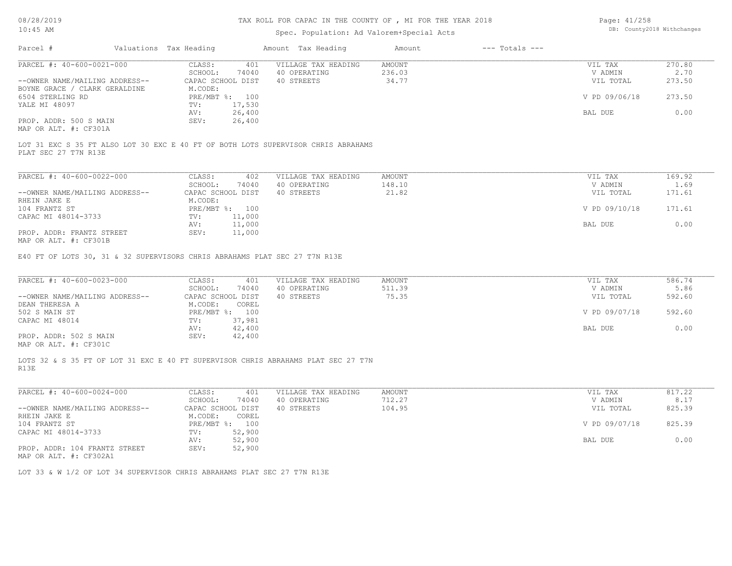# Spec. Population: Ad Valorem+Special Acts

| Page: 41/258 |                            |
|--------------|----------------------------|
|              | DB: County2018 Withchanges |

| Parcel #                       |         | Valuations Tax Heading |                | Amount Tax Heading  | Amount | $---$ Totals $---$ |               |        |
|--------------------------------|---------|------------------------|----------------|---------------------|--------|--------------------|---------------|--------|
| PARCEL #: 40-600-0021-000      |         | CLASS:                 | 401            | VILLAGE TAX HEADING | AMOUNT |                    | VIL TAX       | 270.80 |
|                                | SCHOOL: | 74040                  | 40 OPERATING   | 236.03              |        | V ADMIN            | 2.70          |        |
| --OWNER NAME/MAILING ADDRESS-- |         | CAPAC SCHOOL DIST      |                | 40 STREETS          | 34.77  |                    | VIL TOTAL     | 273.50 |
| BOYNE GRACE / CLARK GERALDINE  |         | M.CODE:                |                |                     |        |                    |               |        |
| 6504 STERLING RD               |         |                        | PRE/MBT %: 100 |                     |        |                    | V PD 09/06/18 | 273.50 |
| YALE MI 48097                  |         | TV:                    | 17,530         |                     |        |                    |               |        |
|                                |         | AV:                    | 26,400         |                     |        |                    | BAL DUE       | 0.00   |
| PROP. ADDR: 500 S MAIN         |         | SEV:                   | 26,400         |                     |        |                    |               |        |
| $\cdots$                       |         |                        |                |                     |        |                    |               |        |

MAP OR ALT. #: CF301A

PLAT SEC 27 T7N R13E LOT 31 EXC S 35 FT ALSO LOT 30 EXC E 40 FT OF BOTH LOTS SUPERVISOR CHRIS ABRAHAMS

| PARCEL #: 40-600-0022-000                                    | 402<br>CLASS:       | VILLAGE TAX HEADING | AMOUNT | VIL TAX       | 169.92 |
|--------------------------------------------------------------|---------------------|---------------------|--------|---------------|--------|
|                                                              | 74040<br>SCHOOL:    | 40 OPERATING        | 148.10 | V ADMIN       | 1.69   |
| --OWNER NAME/MAILING ADDRESS--                               | CAPAC SCHOOL DIST   | 40 STREETS          | 21.82  | VIL TOTAL     | 171.61 |
| RHEIN JAKE E                                                 | M.CODE:             |                     |        |               |        |
| 104 FRANTZ ST                                                | $PRE/MBT$ %:<br>100 |                     |        | V PD 09/10/18 | 171.61 |
| CAPAC MI 48014-3733                                          | 11,000<br>TV:       |                     |        |               |        |
|                                                              | 11,000<br>AV:       |                     |        | BAL DUE       | 0.00   |
| PROP. ADDR: FRANTZ STREET<br>$MAD$ $CD$ $ATM$ $H$ , $CD201D$ | 11,000<br>SEV:      |                     |        |               |        |

MAP OR ALT. #: CF301B

E40 FT OF LOTS 30, 31 & 32 SUPERVISORS CHRIS ABRAHAMS PLAT SEC 27 T7N R13E

| PARCEL #: 40-600-0023-000      | CLASS:<br>401     | VILLAGE TAX HEADING | AMOUNT | VIL TAX       | 586.74 |
|--------------------------------|-------------------|---------------------|--------|---------------|--------|
|                                | 74040<br>SCHOOL:  | 40 OPERATING        | 511.39 | V ADMIN       | 5.86   |
| --OWNER NAME/MAILING ADDRESS-- | CAPAC SCHOOL DIST | 40 STREETS          | 75.35  | VIL TOTAL     | 592.60 |
| DEAN THERESA A                 | M.CODE:<br>COREL  |                     |        |               |        |
| 502 S MAIN ST                  | PRE/MBT %: 100    |                     |        | V PD 09/07/18 | 592.60 |
| CAPAC MI 48014                 | 37,981<br>TV:     |                     |        |               |        |
|                                | 42,400<br>AV:     |                     |        | BAL DUE       | 0.00   |
| PROP. ADDR: 502 S MAIN         | 42,400<br>SEV:    |                     |        |               |        |
|                                |                   |                     |        |               |        |

MAP OR ALT. #: CF301C

R13E LOTS 32 & S 35 FT OF LOT 31 EXC E 40 FT SUPERVISOR CHRIS ABRAHAMS PLAT SEC 27 T7N

| PARCEL #: 40-600-0024-000      | CLASS:            | 401    | VILLAGE TAX HEADING | AMOUNT | VIL TAX       | 817.22 |
|--------------------------------|-------------------|--------|---------------------|--------|---------------|--------|
|                                | SCHOOL:           | 74040  | 40 OPERATING        | 712.27 | V ADMIN       | 8.17   |
| --OWNER NAME/MAILING ADDRESS-- | CAPAC SCHOOL DIST |        | 40 STREETS          | 104.95 | VIL TOTAL     | 825.39 |
| RHEIN JAKE E                   | M.CODE:           | COREL  |                     |        |               |        |
| 104 FRANTZ ST                  | PRE/MBT %:        | 100    |                     |        | V PD 09/07/18 | 825.39 |
| CAPAC MI 48014-3733            | TV:               | 52,900 |                     |        |               |        |
|                                | AV:               | 52,900 |                     |        | BAL DUE       | 0.00   |
| PROP. ADDR: 104 FRANTZ STREET  | SEV:              | 52,900 |                     |        |               |        |
| $\frac{1}{2}$                  |                   |        |                     |        |               |        |

MAP OR ALT. #: CF302A1

LOT 33 & W 1/2 OF LOT 34 SUPERVISOR CHRIS ABRAHAMS PLAT SEC 27 T7N R13E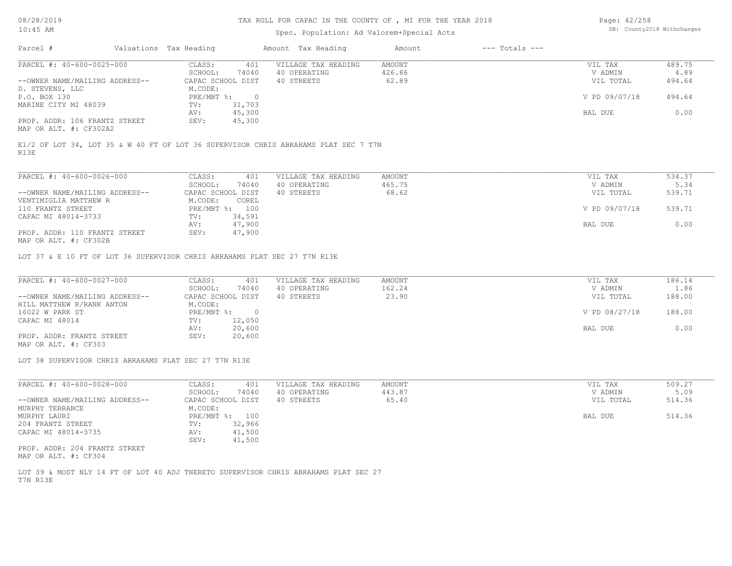## TAX ROLL FOR CAPAC IN THE COUNTY OF , MI FOR THE YEAR 2018

# Spec. Population: Ad Valorem+Special Acts

Page: 42/258 DB: County2018 Withchanges

| Parcel #                       | Valuations Tax Heading |                | Amount Tax Heading                                                                  | Amount | $---$ Totals $---$ |               |        |
|--------------------------------|------------------------|----------------|-------------------------------------------------------------------------------------|--------|--------------------|---------------|--------|
| PARCEL #: 40-600-0025-000      | CLASS:                 | 401            | VILLAGE TAX HEADING                                                                 | AMOUNT |                    | VIL TAX       | 489.75 |
|                                | SCHOOL:                | 74040          | 40 OPERATING                                                                        | 426.86 |                    | V ADMIN       | 4.89   |
| --OWNER NAME/MAILING ADDRESS-- | CAPAC SCHOOL DIST      |                | 40 STREETS                                                                          | 62.89  |                    | VIL TOTAL     | 494.64 |
| D. STEVENS, LLC                | M.CODE:                |                |                                                                                     |        |                    |               |        |
| P.O. BOX 130                   | $PRE/MBT$ $\div$       | $\overline{0}$ |                                                                                     |        |                    | V PD 09/07/18 | 494.64 |
| MARINE CITY MI 48039           | TV:                    | 31,703         |                                                                                     |        |                    |               |        |
|                                | AV:                    | 45,300         |                                                                                     |        |                    | BAL DUE       | 0.00   |
| PROP. ADDR: 106 FRANTZ STREET  | SEV:                   | 45,300         |                                                                                     |        |                    |               |        |
| MAP OR ALT. #: CF302A2         |                        |                |                                                                                     |        |                    |               |        |
| R13E                           |                        |                | E1/2 OF LOT 34, LOT 35 & W 40 FT OF LOT 36 SUPERVISOR CHRIS ABRAHAMS PLAT SEC 7 T7N |        |                    |               |        |
| PARCEL #: 40-600-0026-000      | CLASS:                 | 401            | VILLAGE TAX HEADING                                                                 | AMOUNT |                    | VIL TAX       | 534.37 |

| TIMOLL N. TU UUU UULU UUU      | ------<br>− ∪ ⊥   | VIIIINUI IIXX IIIIIIVINU | 1 X X X V V X X | $V = U$ $1111$ | <u>JJI.JI</u> |  |
|--------------------------------|-------------------|--------------------------|-----------------|----------------|---------------|--|
|                                | 74040<br>SCHOOL:  | 40 OPERATING             | 465.75          | V ADMIN        | 5.34          |  |
| --OWNER NAME/MAILING ADDRESS-- | CAPAC SCHOOL DIST | 40 STREETS               | 68.62           | VIL TOTAL      | 539.71        |  |
| VENTIMIGLIA MATTHEW R          | COREL<br>M.CODE:  |                          |                 |                |               |  |
| 110 FRANTZ STREET              | PRE/MBT %: 100    |                          |                 | V PD 09/07/18  | 539.71        |  |
| CAPAC MI 48014-3733            | 34,591<br>TV:     |                          |                 |                |               |  |
|                                | 47,900<br>AV:     |                          |                 | BAL DUE        | 0.00          |  |
| PROP. ADDR: 110 FRANTZ STREET  | 47,900<br>SEV:    |                          |                 |                |               |  |
| MAD OD ATHL 4. GROOM           |                   |                          |                 |                |               |  |

MAP OR ALT. #: CF302B

LOT 37 & E 10 FT OF LOT 36 SUPERVISOR CHRIS ABRAHAMS PLAT SEC 27 T7N R13E

| PARCEL #: 40-600-0027-000      | CLASS:<br>401     | VILLAGE TAX HEADING | AMOUNT | VIL TAX       | 186.14 |
|--------------------------------|-------------------|---------------------|--------|---------------|--------|
|                                | 74040<br>SCHOOL:  | 40 OPERATING        | 162.24 | V ADMIN       | 1.86   |
| --OWNER NAME/MAILING ADDRESS-- | CAPAC SCHOOL DIST | 40 STREETS          | 23.90  | VIL TOTAL     | 188.00 |
| HILL MATTHEW R/RANK ANTON      | M.CODE:           |                     |        |               |        |
| 16022 W PARK ST                | PRE/MBT %:        |                     |        | V PD 08/27/18 | 188.00 |
| CAPAC MI 48014                 | 12,050<br>TV:     |                     |        |               |        |
|                                | 20,600<br>AV:     |                     |        | BAL DUE       | 0.00   |
| PROP. ADDR: FRANTZ STREET      | 20,600<br>SEV:    |                     |        |               |        |
| MAP OR ALT. #: CF303           |                   |                     |        |               |        |

LOT 38 SUPERVISOR CHRIS ABRAHAMS PLAT SEC 27 T7N R13E

| PARCEL #: 40-600-0028-000      | 401<br>CLASS:     | VILLAGE TAX HEADING | AMOUNT | VIL TAX   | 509.27 |
|--------------------------------|-------------------|---------------------|--------|-----------|--------|
|                                | 74040<br>SCHOOL:  | 40 OPERATING        | 443.87 | V ADMIN   | 5.09   |
| --OWNER NAME/MAILING ADDRESS-- | CAPAC SCHOOL DIST | 40 STREETS          | 65.40  | VIL TOTAL | 514.36 |
| MURPHY TERRANCE                | M.CODE:           |                     |        |           |        |
| MURPHY LAURI                   | PRE/MBT %: 100    |                     |        | BAL DUE   | 514.36 |
| 204 FRANTZ STREET              | 32,966<br>TV:     |                     |        |           |        |
| CAPAC MI 48014-3735            | 41,500<br>AV:     |                     |        |           |        |
|                                | 41,500<br>SEV:    |                     |        |           |        |

MAP OR ALT. #: CF304 PROP. ADDR: 204 FRANTZ STREET

T7N R13E LOT 39 & MOST NLY 14 FT OF LOT 40 ADJ THERETO SUPERVISOR CHRIS ABRAHAMS PLAT SEC 27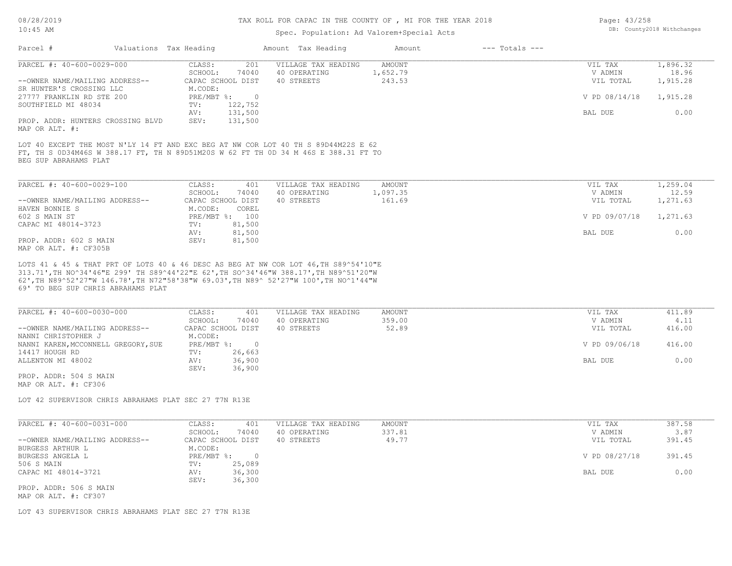## Spec. Population: Ad Valorem+Special Acts

| Page: 43/258 |                            |
|--------------|----------------------------|
|              | DB: County2018 Withchanges |

| Parcel #                                                                                                     | Valuations Tax Heading                   | Amount Tax Heading  | Amount   | $---$ Totals $---$ |               |          |
|--------------------------------------------------------------------------------------------------------------|------------------------------------------|---------------------|----------|--------------------|---------------|----------|
| PARCEL #: 40-600-0029-000                                                                                    | 201<br>CLASS:                            | VILLAGE TAX HEADING | AMOUNT   |                    | VIL TAX       | 1,896.32 |
|                                                                                                              | 74040<br>SCHOOL:                         | 40 OPERATING        | 1,652.79 |                    | V ADMIN       | 18.96    |
| --OWNER NAME/MAILING ADDRESS--                                                                               | CAPAC SCHOOL DIST                        | 40 STREETS          | 243.53   |                    | VIL TOTAL     | 1,915.28 |
| SR HUNTER'S CROSSING LLC                                                                                     | M.CODE:                                  |                     |          |                    |               |          |
| 27777 FRANKLIN RD STE 200                                                                                    | $PRE/MBT$ %:<br>$\overline{\phantom{0}}$ |                     |          |                    | V PD 08/14/18 | 1,915.28 |
| SOUTHFIELD MI 48034                                                                                          | 122,752<br>TV:                           |                     |          |                    |               |          |
|                                                                                                              | 131,500<br>AV:                           |                     |          |                    | BAL DUE       | 0.00     |
| PROP. ADDR: HUNTERS CROSSING BLVD<br>MAP OR ALT. #:                                                          | 131,500<br>SEV:                          |                     |          |                    |               |          |
| FT, TH S 0D34M46S W 388.17 FT, TH N 89D51M20S W 62 FT TH OD 34 M 46S E 388.31 FT TO<br>BEG SUP ABRAHAMS PLAT |                                          |                     |          |                    |               |          |
| PARCEL #: 40-600-0029-100                                                                                    | CLASS:<br>401                            | VILLAGE TAX HEADING | AMOUNT   |                    | VIL TAX       | 1,259.04 |
|                                                                                                              | 74040<br>SCHOOL:                         | 40 OPERATING        | 1,097.35 |                    | V ADMIN       | 12.59    |
| --OWNER NAME/MAILING ADDRESS--                                                                               | CAPAC SCHOOL DIST                        | 40 STREETS          | 161.69   |                    | VIL TOTAL     | 1,271.63 |
| HAVEN BONNIE S                                                                                               | M.CODE:<br>COREL                         |                     |          |                    |               |          |
| 602 S MAIN ST                                                                                                | $PRE/MBT$ $\div$<br>100                  |                     |          |                    | V PD 09/07/18 | 1,271.63 |
| CAPAC MI 48014-3723                                                                                          | 81,500<br>TV:                            |                     |          |                    |               |          |
|                                                                                                              | 81,500<br>AV:                            |                     |          |                    | BAL DUE       | 0.00     |
| PROP. ADDR: 602 S MAIN                                                                                       | 81,500<br>SEV:                           |                     |          |                    |               |          |

MAP OR ALT. #: CF305B

69' TO BEG SUP CHRIS ABRAHAMS PLAT 62',TH N89^52'27"W 146.78',TH N72"58'38"W 69.03',TH N89^ 52'27"W 100',TH NO^1'44"W 313.71',TH NO^34'46"E 299' TH S89^44'22"E 62',TH SO^34'46"W 388.17',TH N89^51'20"W LOTS 41 & 45 & THAT PRT OF LOTS 40 & 46 DESC AS BEG AT NW COR LOT 46,TH S89^54'10"E

| PARCEL #: 40-600-0030-000           | CLASS:            | 401    | VILLAGE TAX HEADING | AMOUNT | VIL TAX       | 411.89 |
|-------------------------------------|-------------------|--------|---------------------|--------|---------------|--------|
|                                     | SCHOOL:           | 74040  | 40 OPERATING        | 359.00 | V ADMIN       | 4.11   |
| --OWNER NAME/MAILING ADDRESS--      | CAPAC SCHOOL DIST |        | 40 STREETS          | 52.89  | VIL TOTAL     | 416.00 |
| NANNI CHRISTOPHER J                 | M.CODE:           |        |                     |        |               |        |
| NANNI KAREN, MCCONNELL GREGORY, SUE | PRE/MBT %:        |        |                     |        | V PD 09/06/18 | 416.00 |
| 14417 HOUGH RD                      | TV:               | 26,663 |                     |        |               |        |
| ALLENTON MI 48002                   | AV:               | 36,900 |                     |        | BAL DUE       | 0.00   |
|                                     | SEV:              | 36,900 |                     |        |               |        |
| PROP. ADDR: 504 S MAIN              |                   |        |                     |        |               |        |

MAP OR ALT. #: CF306

LOT 42 SUPERVISOR CHRIS ABRAHAMS PLAT SEC 27 T7N R13E

| PARCEL #: 40-600-0031-000      | CLASS:<br>401     | VILLAGE TAX HEADING | AMOUNT | VIL TAX       | 387.58 |
|--------------------------------|-------------------|---------------------|--------|---------------|--------|
|                                | 74040<br>SCHOOL:  | 40 OPERATING        | 337.81 | V ADMIN       | 3.87   |
| --OWNER NAME/MAILING ADDRESS-- | CAPAC SCHOOL DIST | 40 STREETS          | 49.77  | VIL TOTAL     | 391.45 |
| BURGESS ARTHUR L               | M.CODE:           |                     |        |               |        |
| BURGESS ANGELA L               | PRE/MBT %:        |                     |        | V PD 08/27/18 | 391.45 |
| 506 S MAIN                     | 25,089<br>TV:     |                     |        |               |        |
| CAPAC MI 48014-3721            | 36,300<br>AV:     |                     |        | BAL DUE       | 0.00   |
|                                | 36,300<br>SEV:    |                     |        |               |        |
| PROP. ADDR: 506 S MAIN         |                   |                     |        |               |        |
|                                |                   |                     |        |               |        |

MAP OR ALT. #: CF307

LOT 43 SUPERVISOR CHRIS ABRAHAMS PLAT SEC 27 T7N R13E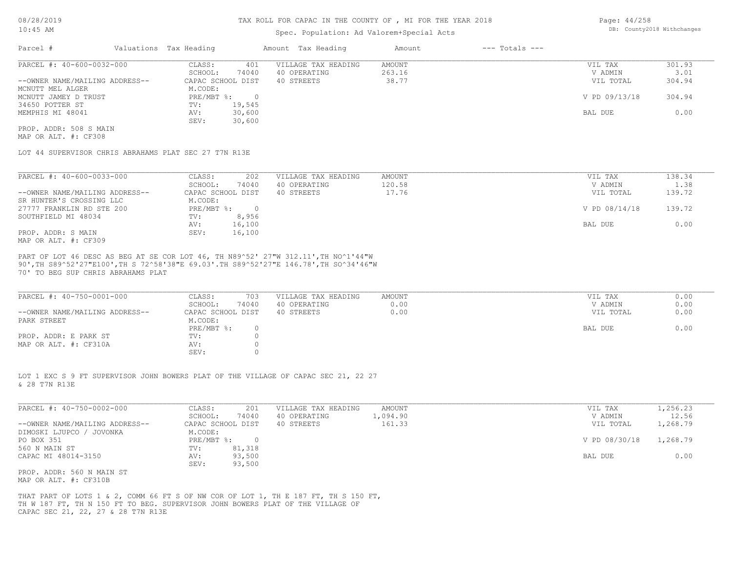## Spec. Population: Ad Valorem+Special Acts

Page: 44/258 DB: County2018 Withchanges

| Parcel #                       | Valuations Tax Heading |        | Amount Tax Heading  | Amount | $---$ Totals $---$ |               |        |
|--------------------------------|------------------------|--------|---------------------|--------|--------------------|---------------|--------|
| PARCEL #: 40-600-0032-000      | CLASS:                 | 401    | VILLAGE TAX HEADING | AMOUNT |                    | VIL TAX       | 301.93 |
|                                | SCHOOL:                | 74040  | 40 OPERATING        | 263.16 |                    | V ADMIN       | 3.01   |
| --OWNER NAME/MAILING ADDRESS-- | CAPAC SCHOOL DIST      |        | 40 STREETS          | 38.77  |                    | VIL TOTAL     | 304.94 |
| MCNUTT MEL ALGER               | M.CODE:                |        |                     |        |                    |               |        |
| MCNUTT JAMEY D TRUST           | $PRE/MBT$ %:           |        |                     |        |                    | V PD 09/13/18 | 304.94 |
| 34650 POTTER ST                | TV:                    | 19,545 |                     |        |                    |               |        |
| MEMPHIS MI 48041               | AV:                    | 30,600 |                     |        |                    | BAL DUE       | 0.00   |
|                                | SEV:                   | 30,600 |                     |        |                    |               |        |
| PROP. ADDR: 508 S MAIN         |                        |        |                     |        |                    |               |        |

MAP OR ALT. #: CF308

LOT 44 SUPERVISOR CHRIS ABRAHAMS PLAT SEC 27 T7N R13E

| PARCEL #: 40-600-0033-000      | CLASS:            | 202      | VILLAGE TAX HEADING | AMOUNT | VIL TAX       | 138.34 |
|--------------------------------|-------------------|----------|---------------------|--------|---------------|--------|
|                                | SCHOOL:           | 74040    | 40 OPERATING        | 120.58 | V ADMIN       | 1.38   |
| --OWNER NAME/MAILING ADDRESS-- | CAPAC SCHOOL DIST |          | 40 STREETS          | 17.76  | VIL TOTAL     | 139.72 |
| SR HUNTER'S CROSSING LLC       | M.CODE:           |          |                     |        |               |        |
| 27777 FRANKLIN RD STE 200      | PRE/MBT %:        | $\Omega$ |                     |        | V PD 08/14/18 | 139.72 |
| SOUTHFIELD MI 48034            | TV:               | 8,956    |                     |        |               |        |
|                                | AV:               | 16,100   |                     |        | BAL DUE       | 0.00   |
| PROP. ADDR: S MAIN             | SEV:              | 16,100   |                     |        |               |        |
| MAP OR ALT. #: CF309           |                   |          |                     |        |               |        |

70' TO BEG SUP CHRIS ABRAHAMS PLAT 90',TH S89^52'27"E100',TH S 72^58'38"E 69.03'.TH S89^52'27"E 146.78',TH SO^34'46"W PART OF LOT 46 DESC AS BEG AT SE COR LOT 46, TH N89^52' 27"W 312.11',TH NO^1'44"W

| PARCEL #: 40-750-0001-000      | CLASS:            | 703   | VILLAGE TAX HEADING | AMOUNT | VIL TAX   | 0.00 |
|--------------------------------|-------------------|-------|---------------------|--------|-----------|------|
|                                | SCHOOL:           | 74040 | 40 OPERATING        | 0.00   | V ADMIN   | 0.00 |
| --OWNER NAME/MAILING ADDRESS-- | CAPAC SCHOOL DIST |       | 40 STREETS          | 0.00   | VIL TOTAL | 0.00 |
| PARK STREET                    | M.CODE:           |       |                     |        |           |      |
|                                | PRE/MBT %:        |       |                     |        | BAL DUE   | 0.00 |
| PROP. ADDR: E PARK ST          | TV:               |       |                     |        |           |      |
| MAP OR ALT. #: CF310A          | AV:               |       |                     |        |           |      |
|                                | SEV:              |       |                     |        |           |      |

 $\_$  , and the state of the state of the state of the state of the state of the state of the state of the state of the state of the state of the state of the state of the state of the state of the state of the state of the

& 28 T7N R13E LOT 1 EXC S 9 FT SUPERVISOR JOHN BOWERS PLAT OF THE VILLAGE OF CAPAC SEC 21, 22 27

| PARCEL #: 40-750-0002-000      | CLASS:<br>201     | VILLAGE TAX HEADING | AMOUNT   | VIL TAX       | 1,256.23 |
|--------------------------------|-------------------|---------------------|----------|---------------|----------|
|                                | 74040<br>SCHOOL:  | 40 OPERATING        | 1,094.90 | V ADMIN       | 12.56    |
| --OWNER NAME/MAILING ADDRESS-- | CAPAC SCHOOL DIST | 40 STREETS          | 161.33   | VIL TOTAL     | 1,268.79 |
| DIMOSKI LJUPCO / JOVONKA       | M.CODE:           |                     |          |               |          |
| PO BOX 351                     | $PRE/MBT$ %:      |                     |          | V PD 08/30/18 | 1,268.79 |
| 560 N MAIN ST                  | 81,318<br>TV:     |                     |          |               |          |
| CAPAC MI 48014-3150            | 93,500<br>AV:     |                     |          | BAL DUE       | 0.00     |
|                                | 93,500<br>SEV:    |                     |          |               |          |
| PROP. ADDR: 560 N MAIN ST      |                   |                     |          |               |          |
| MAP OR ALT. #: CF310B          |                   |                     |          |               |          |

CAPAC SEC 21, 22, 27 & 28 T7N R13E TH W 187 FT, TH N 150 FT TO BEG. SUPERVISOR JOHN BOWERS PLAT OF THE VILLAGE OF THAT PART OF LOTS 1 & 2, COMM 66 FT S OF NW COR OF LOT 1, TH E 187 FT, TH S 150 FT,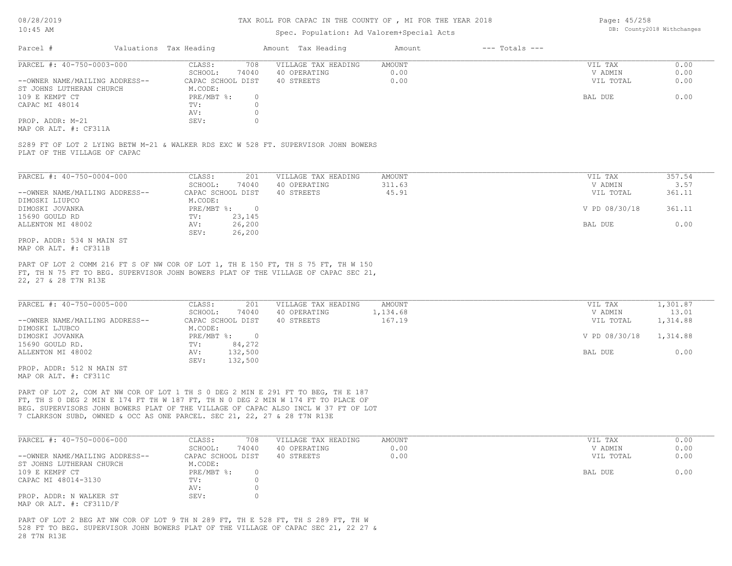### TAX ROLL FOR CAPAC IN THE COUNTY OF , MI FOR THE YEAR 2018

## Spec. Population: Ad Valorem+Special Acts

Page: 45/258 DB: County2018 Withchanges

| Parcel #                       | Valuations Tax Heading |       | Amount Tax Heading  | Amount | $---$ Totals $---$ |           |      |
|--------------------------------|------------------------|-------|---------------------|--------|--------------------|-----------|------|
| PARCEL #: 40-750-0003-000      | CLASS:                 | 708   | VILLAGE TAX HEADING | AMOUNT |                    | VIL TAX   | 0.00 |
|                                | SCHOOL:                | 74040 | 40 OPERATING        | 0.00   |                    | V ADMIN   | 0.00 |
| --OWNER NAME/MAILING ADDRESS-- | CAPAC SCHOOL DIST      |       | 40 STREETS          | 0.00   |                    | VIL TOTAL | 0.00 |
| ST JOHNS LUTHERAN CHURCH       | M.CODE:                |       |                     |        |                    |           |      |
| 109 E KEMPT CT                 | PRE/MBT %:             |       |                     |        |                    | BAL DUE   | 0.00 |
| CAPAC MI 48014                 | TV:                    |       |                     |        |                    |           |      |
|                                | AV:                    |       |                     |        |                    |           |      |
| PROP. ADDR: M-21               | SEV:                   |       |                     |        |                    |           |      |
|                                |                        |       |                     |        |                    |           |      |

MAP OR ALT. #: CF311A

PLAT OF THE VILLAGE OF CAPAC S289 FT OF LOT 2 LYING BETW M-21 & WALKER RDS EXC W 528 FT. SUPERVISOR JOHN BOWERS

| PARCEL #: 40-750-0004-000      | CLASS:       | 201               | VILLAGE TAX HEADING | AMOUNT | VIL TAX       | 357.54 |
|--------------------------------|--------------|-------------------|---------------------|--------|---------------|--------|
|                                | SCHOOL:      | 74040             | 40 OPERATING        | 311.63 | V ADMIN       | 3.57   |
| --OWNER NAME/MAILING ADDRESS-- |              | CAPAC SCHOOL DIST | 40 STREETS          | 45.91  | VIL TOTAL     | 361.11 |
| DIMOSKI LIUPCO                 | M.CODE:      |                   |                     |        |               |        |
| DIMOSKI JOVANKA                | $PRE/MBT$ %: |                   |                     |        | V PD 08/30/18 | 361.11 |
| 15690 GOULD RD                 | TV:          | 23,145            |                     |        |               |        |
| ALLENTON MI 48002              | AV:          | 26,200            |                     |        | BAL DUE       | 0.00   |
|                                | SEV:         | 26,200            |                     |        |               |        |
| PROP. ADDR: 534 N MAIN ST      |              |                   |                     |        |               |        |

MAP OR ALT. #: CF311B

22, 27 & 28 T7N R13E FT, TH N 75 FT TO BEG. SUPERVISOR JOHN BOWERS PLAT OF THE VILLAGE OF CAPAC SEC 21, PART OF LOT 2 COMM 216 FT S OF NW COR OF LOT 1, TH E 150 FT, TH S 75 FT, TH W 150

| PARCEL #: 40-750-0005-000      | CLASS:<br>201     | VILLAGE TAX HEADING | AMOUNT   | VIL TAX       | 1,301.87 |
|--------------------------------|-------------------|---------------------|----------|---------------|----------|
|                                | 74040<br>SCHOOL:  | 40 OPERATING        | 1,134.68 | V ADMIN       | 13.01    |
| --OWNER NAME/MAILING ADDRESS-- | CAPAC SCHOOL DIST | 40 STREETS          | 167.19   | VIL TOTAL     | 1,314.88 |
| DIMOSKI LJUBCO                 | M.CODE:           |                     |          |               |          |
| DIMOSKI JOVANKA                | PRE/MBT %:        |                     |          | V PD 08/30/18 | 1,314.88 |
| 15690 GOULD RD.                | 84,272<br>TV:     |                     |          |               |          |
| ALLENTON MI 48002              | 132,500<br>AV:    |                     |          | BAL DUE       | 0.00     |
|                                | 132,500<br>SEV:   |                     |          |               |          |
|                                |                   |                     |          |               |          |

MAP OR ALT. #: CF311C PROP. ADDR: 512 N MAIN ST

7 CLARKSON SUBD, OWNED & OCC AS ONE PARCEL. SEC 21, 22, 27 & 28 T7N R13E BEG. SUPERVISORS JOHN BOWERS PLAT OF THE VILLAGE OF CAPAC ALSO INCL W 37 FT OF LOT FT, TH S 0 DEG 2 MIN E 174 FT TH W 187 FT, TH N 0 DEG 2 MIN W 174 FT TO PLACE OF PART OF LOT 2, COM AT NW COR OF LOT 1 TH S 0 DEG 2 MIN E 291 FT TO BEG, TH E 187

| PARCEL #: 40-750-0006-000      | CLASS:<br>708     | VILLAGE TAX HEADING | AMOUNT | VIL TAX   | 0.00 |
|--------------------------------|-------------------|---------------------|--------|-----------|------|
|                                | 74040<br>SCHOOL:  | 40 OPERATING        | 0.00   | V ADMIN   | 0.00 |
| --OWNER NAME/MAILING ADDRESS-- | CAPAC SCHOOL DIST | 40 STREETS          | 0.00   | VIL TOTAL | 0.00 |
| ST JOHNS LUTHERAN CHURCH       | M.CODE:           |                     |        |           |      |
| 109 E KEMPF CT                 | PRE/MBT %:        |                     |        | BAL DUE   | 0.00 |
| CAPAC MI 48014-3130            | TV:               |                     |        |           |      |
|                                | AV:               |                     |        |           |      |
| PROP. ADDR: N WALKER ST        | SEV:              |                     |        |           |      |
| MAP OR ALT. $\#$ : CF311D/F    |                   |                     |        |           |      |

28 T7N R13E 528 FT TO BEG. SUPERVISOR JOHN BOWERS PLAT OF THE VILLAGE OF CAPAC SEC 21, 22 27 & PART OF LOT 2 BEG AT NW COR OF LOT 9 TH N 289 FT, TH E 528 FT, TH S 289 FT, TH W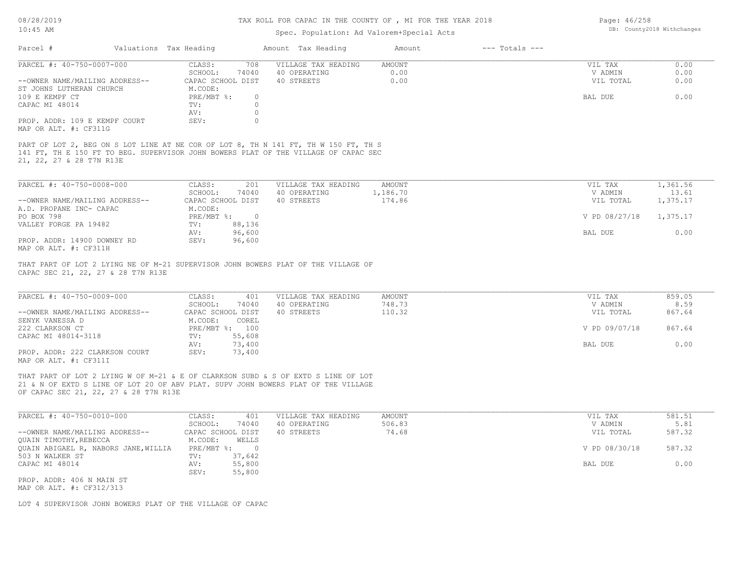08/28/2019

## TAX ROLL FOR CAPAC IN THE COUNTY OF , MI FOR THE YEAR 2018

Page: 46/258

| $10:45$ AM                                                                                                                                                                                                      |                                         | Spec. Population: Ad Valorem+Special Acts | DB: County2018 Withchanges |                    |                      |                |
|-----------------------------------------------------------------------------------------------------------------------------------------------------------------------------------------------------------------|-----------------------------------------|-------------------------------------------|----------------------------|--------------------|----------------------|----------------|
| Parcel #                                                                                                                                                                                                        | Valuations Tax Heading                  | Amount Tax Heading                        | Amount                     | $---$ Totals $---$ |                      |                |
| PARCEL #: 40-750-0007-000                                                                                                                                                                                       | CLASS:<br>708                           | VILLAGE TAX HEADING                       | <b>AMOUNT</b>              |                    | VIL TAX              | 0.00           |
| --OWNER NAME/MAILING ADDRESS--                                                                                                                                                                                  | SCHOOL:<br>74040<br>CAPAC SCHOOL DIST   | 40 OPERATING<br>40 STREETS                | 0.00<br>0.00               |                    | V ADMIN<br>VIL TOTAL | 0.00<br>0.00   |
| ST JOHNS LUTHERAN CHURCH                                                                                                                                                                                        | M.CODE:                                 |                                           |                            |                    |                      |                |
| 109 E KEMPF CT                                                                                                                                                                                                  | PRE/MBT %:<br>$\circ$                   |                                           |                            |                    | BAL DUE              | 0.00           |
| CAPAC MI 48014                                                                                                                                                                                                  | $\Omega$<br>TV:<br>$\circ$<br>AV:       |                                           |                            |                    |                      |                |
| PROP. ADDR: 109 E KEMPF COURT                                                                                                                                                                                   | SEV:<br>$\circ$                         |                                           |                            |                    |                      |                |
| MAP OR ALT. #: CF311G                                                                                                                                                                                           |                                         |                                           |                            |                    |                      |                |
| PART OF LOT 2, BEG ON S LOT LINE AT NE COR OF LOT 8, TH N 141 FT, TH W 150 FT, TH S<br>141 FT, TH E 150 FT TO BEG. SUPERVISOR JOHN BOWERS PLAT OF THE VILLAGE OF CAPAC SEC<br>21, 22, 27 & 28 T7N R13E          |                                         |                                           |                            |                    |                      |                |
| PARCEL #: 40-750-0008-000                                                                                                                                                                                       | CLASS:<br>201                           | VILLAGE TAX HEADING                       | <b>AMOUNT</b>              |                    | VIL TAX              | 1,361.56       |
|                                                                                                                                                                                                                 | SCHOOL:<br>74040                        | 40 OPERATING                              | 1,186.70                   |                    | V ADMIN              | 13.61          |
| --OWNER NAME/MAILING ADDRESS--                                                                                                                                                                                  | CAPAC SCHOOL DIST                       | 40 STREETS                                | 174.86                     |                    | VIL TOTAL            | 1,375.17       |
| A.D. PROPANE INC- CAPAC<br>PO BOX 798                                                                                                                                                                           | M.CODE:<br>PRE/MBT %:<br>$\overline{0}$ |                                           |                            |                    | V PD 08/27/18        | 1,375.17       |
| VALLEY FORGE PA 19482                                                                                                                                                                                           | 88,136<br>TV:                           |                                           |                            |                    |                      |                |
|                                                                                                                                                                                                                 | 96,600<br>AV:                           |                                           |                            |                    | BAL DUE              | 0.00           |
| PROP. ADDR: 14900 DOWNEY RD<br>MAP OR ALT. #: CF311H                                                                                                                                                            | 96,600<br>SEV:                          |                                           |                            |                    |                      |                |
| CAPAC SEC 21, 22, 27 & 28 T7N R13E                                                                                                                                                                              |                                         |                                           |                            |                    |                      |                |
| PARCEL #: 40-750-0009-000                                                                                                                                                                                       | CLASS:<br>401<br>SCHOOL:<br>74040       | VILLAGE TAX HEADING<br>40 OPERATING       | AMOUNT<br>748.73           |                    | VIL TAX<br>V ADMIN   | 859.05<br>8.59 |
| --OWNER NAME/MAILING ADDRESS--                                                                                                                                                                                  | CAPAC SCHOOL DIST                       | 40 STREETS                                | 110.32                     |                    | VIL TOTAL            | 867.64         |
| SENYK VANESSA D                                                                                                                                                                                                 | M.CODE:<br>COREL                        |                                           |                            |                    |                      |                |
| 222 CLARKSON CT<br>CAPAC MI 48014-3118                                                                                                                                                                          | PRE/MBT %: 100<br>55,608<br>TV:         |                                           |                            |                    | V PD 09/07/18        | 867.64         |
|                                                                                                                                                                                                                 | 73,400<br>AV:                           |                                           |                            |                    | BAL DUE              | 0.00           |
| PROP. ADDR: 222 CLARKSON COURT<br>MAP OR ALT. #: CF311I                                                                                                                                                         | SEV:<br>73,400                          |                                           |                            |                    |                      |                |
| THAT PART OF LOT 2 LYING W OF M-21 & E OF CLARKSON SUBD & S OF EXTD S LINE OF LOT<br>21 & N OF EXTD S LINE OF LOT 20 OF ABV PLAT. SUPV JOHN BOWERS PLAT OF THE VILLAGE<br>OF CAPAC SEC 21, 22, 27 & 28 T7N R13E |                                         |                                           |                            |                    |                      |                |
| PARCEL #: 40-750-0010-000                                                                                                                                                                                       | CLASS:<br>401                           | VILLAGE TAX HEADING                       | <b>AMOUNT</b>              |                    | VIL TAX              | 581.51         |
| --OWNER NAME/MAILING ADDRESS--                                                                                                                                                                                  | SCHOOL:<br>74040<br>CAPAC SCHOOL DIST   | 40 OPERATING<br>40 STREETS                | 506.83<br>74.68            |                    | V ADMIN<br>VIL TOTAL | 5.81<br>587.32 |
| QUAIN TIMOTHY, REBECCA                                                                                                                                                                                          | WELLS<br>M.CODE:                        |                                           |                            |                    |                      |                |
| QUAIN ABIGAEL R, NABORS JANE, WILLIA                                                                                                                                                                            | $\overline{0}$<br>$PRE/MBT$ %:          |                                           |                            |                    | V PD 08/30/18        | 587.32         |
| 503 N WALKER ST<br>CAPAC MI 48014                                                                                                                                                                               | 37,642<br>TV:<br>AV:<br>55,800          |                                           |                            |                    | BAL DUE              | 0.00           |
|                                                                                                                                                                                                                 | SEV:<br>55,800                          |                                           |                            |                    |                      |                |
| PROP. ADDR: 406 N MAIN ST                                                                                                                                                                                       |                                         |                                           |                            |                    |                      |                |
| MAP OR ALT. #: CF312/313                                                                                                                                                                                        |                                         |                                           |                            |                    |                      |                |
| LOT 4 SUPERVISOR JOHN BOWERS PLAT OF THE VILLAGE OF CAPAC                                                                                                                                                       |                                         |                                           |                            |                    |                      |                |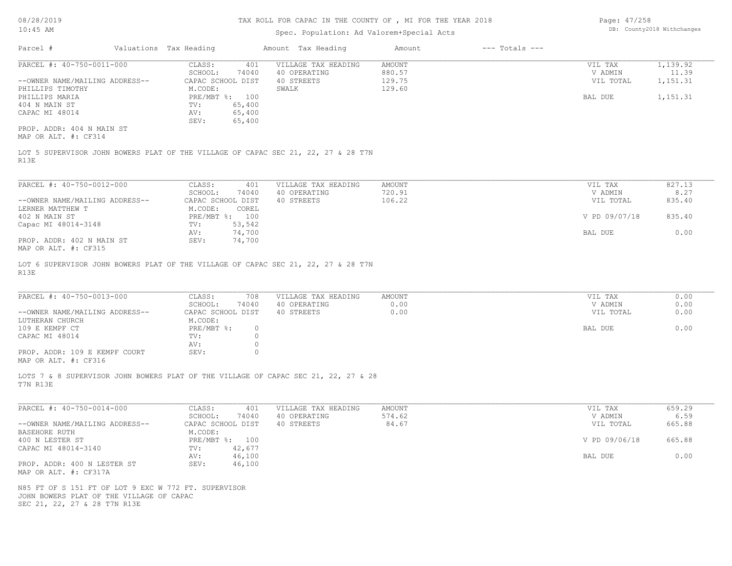## Spec. Population: Ad Valorem+Special Acts

| Page: 47/258 |                            |
|--------------|----------------------------|
|              | DB: County2018 Withchanges |

| Parcel #                       | Valuations Tax Heading |                | Amount Tax Heading  | Amount | $---$ Totals $---$ |           |          |
|--------------------------------|------------------------|----------------|---------------------|--------|--------------------|-----------|----------|
| PARCEL #: 40-750-0011-000      | CLASS:                 | 401            | VILLAGE TAX HEADING | AMOUNT |                    | VIL TAX   | 1,139.92 |
|                                | SCHOOL:                | 74040          | 40 OPERATING        | 880.57 |                    | V ADMIN   | 11.39    |
| --OWNER NAME/MAILING ADDRESS-- | CAPAC SCHOOL DIST      |                | 40 STREETS          | 129.75 |                    | VIL TOTAL | 1,151.31 |
| PHILLIPS TIMOTHY               | M.CODE:                |                | SWALK               | 129.60 |                    |           |          |
| PHILLIPS MARIA                 |                        | PRE/MBT %: 100 |                     |        |                    | BAL DUE   | 1,151.31 |
| 404 N MAIN ST                  | TV:                    | 65,400         |                     |        |                    |           |          |
| CAPAC MI 48014                 | AV:                    | 65,400         |                     |        |                    |           |          |
|                                | SEV:                   | 65,400         |                     |        |                    |           |          |
| PROP. ADDR: 404 N MAIN ST      |                        |                |                     |        |                    |           |          |
| MAP OR ALT. #: CF314           |                        |                |                     |        |                    |           |          |
|                                |                        |                |                     |        |                    |           |          |

R13E LOT 5 SUPERVISOR JOHN BOWERS PLAT OF THE VILLAGE OF CAPAC SEC 21, 22, 27 & 28 T7N

| PARCEL #: 40-750-0012-000      | 401<br>CLASS:     | VILLAGE TAX HEADING | AMOUNT | VIL TAX       | 827.13 |
|--------------------------------|-------------------|---------------------|--------|---------------|--------|
|                                | 74040<br>SCHOOL:  | 40 OPERATING        | 720.91 | V ADMIN       | 8.27   |
| --OWNER NAME/MAILING ADDRESS-- | CAPAC SCHOOL DIST | 40 STREETS          | 106.22 | VIL TOTAL     | 835.40 |
| LERNER MATTHEW T               | M.CODE:<br>COREL  |                     |        |               |        |
| 402 N MAIN ST                  | PRE/MBT %: 100    |                     |        | V PD 09/07/18 | 835.40 |
| Capac MI 48014-3148            | 53,542<br>TV:     |                     |        |               |        |
|                                | 74,700<br>AV:     |                     |        | BAL DUE       | 0.00   |
| PROP. ADDR: 402 N MAIN ST      | 74,700<br>SEV:    |                     |        |               |        |
| MAP OR ALT. #: CF315           |                   |                     |        |               |        |

R13E LOT 6 SUPERVISOR JOHN BOWERS PLAT OF THE VILLAGE OF CAPAC SEC 21, 22, 27 & 28 T7N

| PARCEL #: 40-750-0013-000      | CLASS:            | 708      | VILLAGE TAX HEADING | AMOUNT | VIL TAX   | 0.00 |
|--------------------------------|-------------------|----------|---------------------|--------|-----------|------|
|                                | SCHOOL:           | 74040    | 40 OPERATING        | 0.00   | V ADMIN   | 0.00 |
| --OWNER NAME/MAILING ADDRESS-- | CAPAC SCHOOL DIST |          | 40 STREETS          | 0.00   | VIL TOTAL | 0.00 |
| LUTHERAN CHURCH                | M.CODE:           |          |                     |        |           |      |
| 109 E KEMPF CT                 | $PRE/MBT$ %:      | $\Omega$ |                     |        | BAL DUE   | 0.00 |
| CAPAC MI 48014                 | TV:               |          |                     |        |           |      |
|                                | AV:               |          |                     |        |           |      |
| PROP. ADDR: 109 E KEMPF COURT  | SEV:              |          |                     |        |           |      |
| MAP OR ALT. #: CF316           |                   |          |                     |        |           |      |

 $\_$  , and the state of the state of the state of the state of the state of the state of the state of the state of the state of the state of the state of the state of the state of the state of the state of the state of the

T7N R13E LOTS 7 & 8 SUPERVISOR JOHN BOWERS PLAT OF THE VILLAGE OF CAPAC SEC 21, 22, 27 & 28

| PARCEL #: 40-750-0014-000      | 401<br>CLASS:     | VILLAGE TAX HEADING | AMOUNT | VIL TAX       | 659.29 |
|--------------------------------|-------------------|---------------------|--------|---------------|--------|
|                                | 74040<br>SCHOOL:  | 40 OPERATING        | 574.62 | V ADMIN       | 6.59   |
| --OWNER NAME/MAILING ADDRESS-- | CAPAC SCHOOL DIST | 40 STREETS          | 84.67  | VIL TOTAL     | 665.88 |
| BASEHORE RUTH                  | M.CODE:           |                     |        |               |        |
| 400 N LESTER ST                | PRE/MBT %: 100    |                     |        | V PD 09/06/18 | 665.88 |
| CAPAC MI 48014-3140            | 42,677<br>TV:     |                     |        |               |        |
|                                | 46,100<br>AV:     |                     |        | BAL DUE       | 0.00   |
| PROP. ADDR: 400 N LESTER ST    | 46,100<br>SEV:    |                     |        |               |        |
| MAP OR ALT. #: CF317A          |                   |                     |        |               |        |

SEC 21, 22, 27 & 28 T7N R13E JOHN BOWERS PLAT OF THE VILLAGE OF CAPAC N85 FT OF S 151 FT OF LOT 9 EXC W 772 FT. SUPERVISOR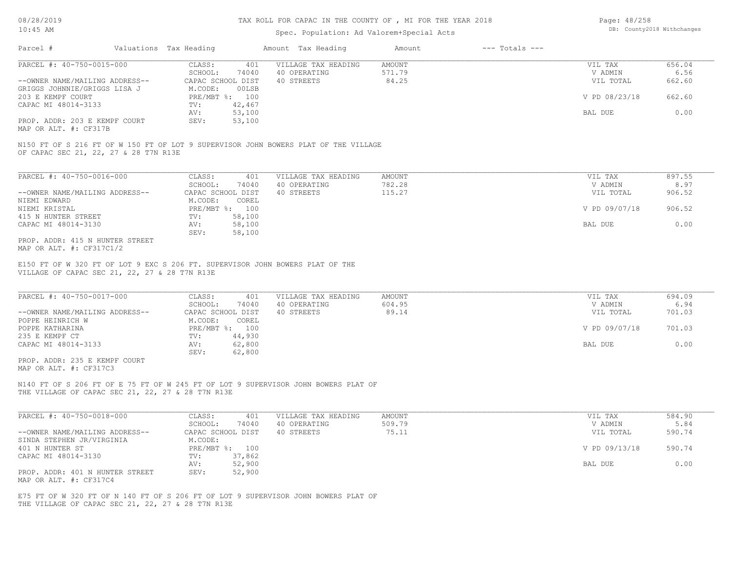## Spec. Population: Ad Valorem+Special Acts

| Page: 48/258 |                            |
|--------------|----------------------------|
|              | DB: County2018 Withchanges |

| Parcel #                       | Valuations Tax Heading |        | Amount Tax Heading  | Amount | $---$ Totals $---$ |               |        |
|--------------------------------|------------------------|--------|---------------------|--------|--------------------|---------------|--------|
| PARCEL #: 40-750-0015-000      | CLASS:                 | 401    | VILLAGE TAX HEADING | AMOUNT |                    | VIL TAX       | 656.04 |
|                                | SCHOOL:                | 74040  | 40 OPERATING        | 571.79 |                    | V ADMIN       | 6.56   |
| --OWNER NAME/MAILING ADDRESS-- | CAPAC SCHOOL DIST      |        | 40 STREETS          | 84.25  |                    | VIL TOTAL     | 662.60 |
| GRIGGS JOHNNIE/GRIGGS LISA J   | M.CODE:                | 00LSB  |                     |        |                    |               |        |
| 203 E KEMPF COURT              | $PRE/MBT$ %:           | 100    |                     |        |                    | V PD 08/23/18 | 662.60 |
| CAPAC MI 48014-3133            | TV:                    | 42,467 |                     |        |                    |               |        |
|                                | AV:                    | 53,100 |                     |        |                    | BAL DUE       | 0.00   |
| PROP. ADDR: 203 E KEMPF COURT  | SEV:                   | 53,100 |                     |        |                    |               |        |
|                                |                        |        |                     |        |                    |               |        |

MAP OR ALT. #: CF317B

OF CAPAC SEC 21, 22, 27 & 28 T7N R13E N150 FT OF S 216 FT OF W 150 FT OF LOT 9 SUPERVISOR JOHN BOWERS PLAT OF THE VILLAGE

| PARCEL #: 40-750-0016-000       | CLASS:     | 401               | VILLAGE TAX HEADING | AMOUNT | VIL TAX       | 897.55 |
|---------------------------------|------------|-------------------|---------------------|--------|---------------|--------|
|                                 | SCHOOL:    | 74040             | 40 OPERATING        | 782.28 | V ADMIN       | 8.97   |
| --OWNER NAME/MAILING ADDRESS--  |            | CAPAC SCHOOL DIST | 40 STREETS          | 115.27 | VIL TOTAL     | 906.52 |
| NIEMI EDWARD                    | M.CODE:    | COREL             |                     |        |               |        |
| NIEMI KRISTAL                   | PRE/MBT %: | 100               |                     |        | V PD 09/07/18 | 906.52 |
| 415 N HUNTER STREET             | TV:        | 58,100            |                     |        |               |        |
| CAPAC MI 48014-3130             | AV:        | 58,100            |                     |        | BAL DUE       | 0.00   |
|                                 | SEV:       | 58,100            |                     |        |               |        |
| PROP. ADDR: 415 N HUNTER STREET |            |                   |                     |        |               |        |

MAP OR ALT. #: CF317C1/2

VILLAGE OF CAPAC SEC 21, 22, 27 & 28 T7N R13E E150 FT OF W 320 FT OF LOT 9 EXC S 206 FT. SUPERVISOR JOHN BOWERS PLAT OF THE

| PARCEL #: 40-750-0017-000      | CLASS:<br>401       | VILLAGE TAX HEADING | AMOUNT | VIL TAX       | 694.09 |
|--------------------------------|---------------------|---------------------|--------|---------------|--------|
|                                | 74040<br>SCHOOL:    | 40 OPERATING        | 604.95 | V ADMIN       | 6.94   |
| --OWNER NAME/MAILING ADDRESS-- | CAPAC SCHOOL DIST   | 40 STREETS          | 89.14  | VIL TOTAL     | 701.03 |
| POPPE HEINRICH W               | M.CODE:<br>COREL    |                     |        |               |        |
| POPPE KATHARINA                | $PRE/MBT$ %:<br>100 |                     |        | V PD 09/07/18 | 701.03 |
| 235 E KEMPF CT                 | 44,930<br>TV:       |                     |        |               |        |
| CAPAC MI 48014-3133            | 62,800<br>AV:       |                     |        | BAL DUE       | 0.00   |
|                                | 62,800<br>SEV:      |                     |        |               |        |
| PROP. ADDR: 235 E KEMPF COURT  |                     |                     |        |               |        |

MAP OR ALT. #: CF317C3

THE VILLAGE OF CAPAC SEC 21, 22, 27 & 28 T7N R13E N140 FT OF S 206 FT OF E 75 FT OF W 245 FT OF LOT 9 SUPERVISOR JOHN BOWERS PLAT OF

| PARCEL #: 40-750-0018-000       | CLASS:<br>401     | VILLAGE TAX HEADING | AMOUNT | VIL TAX       | 584.90 |
|---------------------------------|-------------------|---------------------|--------|---------------|--------|
|                                 | 74040<br>SCHOOL:  | 40 OPERATING        | 509.79 | V ADMIN       | 5.84   |
| --OWNER NAME/MAILING ADDRESS--  | CAPAC SCHOOL DIST | 40 STREETS          | 75.11  | VIL TOTAL     | 590.74 |
| SINDA STEPHEN JR/VIRGINIA       | M.CODE:           |                     |        |               |        |
| 401 N HUNTER ST                 | PRE/MBT %: 100    |                     |        | V PD 09/13/18 | 590.74 |
| CAPAC MI 48014-3130             | 37,862<br>TV:     |                     |        |               |        |
|                                 | 52,900<br>AV:     |                     |        | BAL DUE       | 0.00   |
| PROP. ADDR: 401 N HUNTER STREET | 52,900<br>SEV:    |                     |        |               |        |
| MAP OR ALT. #: CF317C4          |                   |                     |        |               |        |

THE VILLAGE OF CAPAC SEC 21, 22, 27 & 28 T7N R13E E75 FT OF W 320 FT OF N 140 FT OF S 206 FT OF LOT 9 SUPERVISOR JOHN BOWERS PLAT OF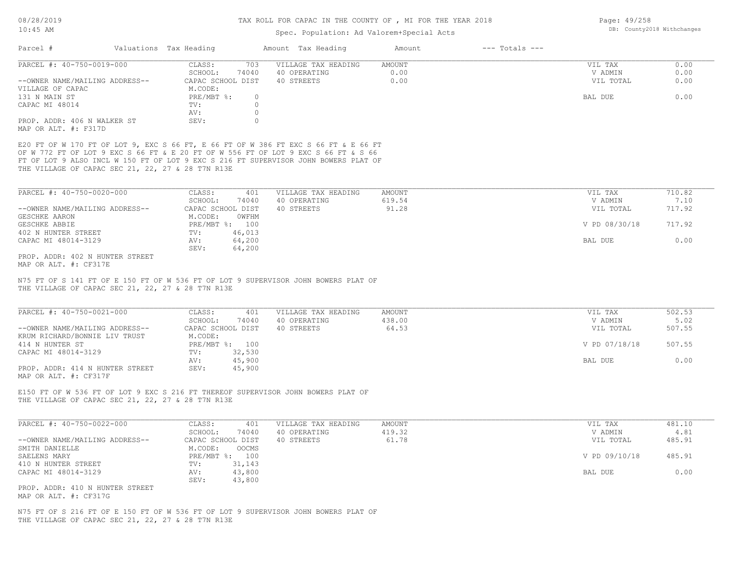## TAX ROLL FOR CAPAC IN THE COUNTY OF , MI FOR THE YEAR 2018

Page: 49/258

# Spec. Population: Ad Valorem+Special Acts

| $10:45$ AM                                                      |                                                                      | Spec. Population: Ad Valorem+Special Acts                                                                                                                                                                                                                        |                        |                    |                                 | DB: County2018 Withchanges |
|-----------------------------------------------------------------|----------------------------------------------------------------------|------------------------------------------------------------------------------------------------------------------------------------------------------------------------------------------------------------------------------------------------------------------|------------------------|--------------------|---------------------------------|----------------------------|
| Parcel #                                                        | Valuations Tax Heading                                               | Amount Tax Heading                                                                                                                                                                                                                                               | Amount                 | $---$ Totals $---$ |                                 |                            |
| PARCEL #: 40-750-0019-000<br>--OWNER NAME/MAILING ADDRESS--     | CLASS:<br>703<br>SCHOOL:<br>74040<br>CAPAC SCHOOL DIST               | VILLAGE TAX HEADING<br>40 OPERATING<br>40 STREETS                                                                                                                                                                                                                | AMOUNT<br>0.00<br>0.00 |                    | VIL TAX<br>V ADMIN<br>VIL TOTAL | 0.00<br>0.00<br>0.00       |
| VILLAGE OF CAPAC<br>131 N MAIN ST<br>CAPAC MI 48014             | M.CODE:<br>PRE/MBT %:<br>$\circ$<br>$\circ$<br>TV:<br>$\circ$<br>AV: |                                                                                                                                                                                                                                                                  |                        |                    | BAL DUE                         | 0.00                       |
| PROP. ADDR: 406 N WALKER ST<br>MAP OR ALT. #: F317D             | SEV:<br>$\circ$                                                      |                                                                                                                                                                                                                                                                  |                        |                    |                                 |                            |
| THE VILLAGE OF CAPAC SEC 21, 22, 27 & 28 T7N R13E               |                                                                      | E20 FT OF W 170 FT OF LOT 9, EXC S 66 FT, E 66 FT OF W 386 FT EXC S 66 FT & E 66 FT<br>OF W 772 FT OF LOT 9 EXC S 66 FT & E 20 FT OF W 556 FT OF LOT 9 EXC S 66 FT & S 66<br>FT OF LOT 9 ALSO INCL W 150 FT OF LOT 9 EXC S 216 FT SUPERVISOR JOHN BOWERS PLAT OF |                        |                    |                                 |                            |
| PARCEL #: 40-750-0020-000                                       | CLASS:<br>401                                                        | VILLAGE TAX HEADING                                                                                                                                                                                                                                              | AMOUNT                 |                    | VIL TAX                         | 710.82                     |
| --OWNER NAME/MAILING ADDRESS--                                  | SCHOOL:<br>74040<br>CAPAC SCHOOL DIST                                | 40 OPERATING<br>40 STREETS                                                                                                                                                                                                                                       | 619.54<br>91.28        |                    | V ADMIN<br>VIL TOTAL            | 7.10<br>717.92             |
| GESCHKE AARON<br>GESCHKE ABBIE<br>402 N HUNTER STREET           | M.CODE:<br>OWFHM<br>PRE/MBT %: 100<br>46,013<br>$\texttt{TV}$ :      |                                                                                                                                                                                                                                                                  |                        |                    | V PD 08/30/18                   | 717.92                     |
| CAPAC MI 48014-3129                                             | 64,200<br>AV:<br>64,200<br>SEV:                                      |                                                                                                                                                                                                                                                                  |                        |                    | BAL DUE                         | 0.00                       |
| PROP. ADDR: 402 N HUNTER STREET<br>MAP OR ALT. #: CF317E        |                                                                      |                                                                                                                                                                                                                                                                  |                        |                    |                                 |                            |
| THE VILLAGE OF CAPAC SEC 21, 22, 27 & 28 T7N R13E               |                                                                      | N75 FT OF S 141 FT OF E 150 FT OF W 536 FT OF LOT 9 SUPERVISOR JOHN BOWERS PLAT OF                                                                                                                                                                               |                        |                    |                                 |                            |
| PARCEL #: 40-750-0021-000                                       | CLASS:<br>401                                                        | VILLAGE TAX HEADING                                                                                                                                                                                                                                              | AMOUNT                 |                    | VIL TAX                         | 502.53                     |
| --OWNER NAME/MAILING ADDRESS--<br>KRUM RICHARD/BONNIE LIV TRUST | SCHOOL:<br>74040<br>CAPAC SCHOOL DIST<br>M.CODE:                     | 40 OPERATING<br>40 STREETS                                                                                                                                                                                                                                       | 438.00<br>64.53        |                    | V ADMIN<br>VIL TOTAL            | 5.02<br>507.55             |
| 414 N HUNTER ST<br>CAPAC MI 48014-3129                          | PRE/MBT %: 100<br>32,530<br>$\text{TV}$ :                            |                                                                                                                                                                                                                                                                  |                        |                    | V PD 07/18/18                   | 507.55                     |
| PROP. ADDR: 414 N HUNTER STREET<br>MAP OR ALT. #: CF317F        | 45,900<br>AV:<br>45,900<br>SEV:                                      |                                                                                                                                                                                                                                                                  |                        |                    | BAL DUE                         | 0.00                       |
| THE VILLAGE OF CAPAC SEC 21, 22, 27 & 28 T7N R13E               |                                                                      | E150 FT OF W 536 FT OF LOT 9 EXC S 216 FT THEREOF SUPERVISOR JOHN BOWERS PLAT OF                                                                                                                                                                                 |                        |                    |                                 |                            |
| PARCEL #: 40-750-0022-000                                       | CLASS:<br>401                                                        | VILLAGE TAX HEADING                                                                                                                                                                                                                                              | AMOUNT                 |                    | VIL TAX                         | 481.10                     |
| --OWNER NAME/MAILING ADDRESS--                                  | SCHOOL:<br>74040<br>CAPAC SCHOOL DIST                                | 40 OPERATING<br>40 STREETS                                                                                                                                                                                                                                       | 419.32<br>61.78        |                    | V ADMIN<br>VIL TOTAL            | 4.81<br>485.91             |
| SMITH DANIELLE<br>SAELENS MARY                                  | M.CODE:<br>OOCMS<br>PRE/MBT %: 100                                   |                                                                                                                                                                                                                                                                  |                        |                    | V PD 09/10/18                   | 485.91                     |
| 410 N HUNTER STREET<br>CAPAC MI 48014-3129                      | 31,143<br>$\texttt{TV}$ :<br>43,800<br>AV:<br>SEV:<br>43,800         |                                                                                                                                                                                                                                                                  |                        |                    | BAL DUE                         | 0.00                       |
| PROP. ADDR: 410 N HUNTER STREET<br>MAP OR ALT. #: CF317G        |                                                                      |                                                                                                                                                                                                                                                                  |                        |                    |                                 |                            |
|                                                                 |                                                                      | N75 FT OF S 216 FT OF E 150 FT OF W 536 FT OF LOT 9 SUPERVISOR JOHN BOWERS PLAT OF                                                                                                                                                                               |                        |                    |                                 |                            |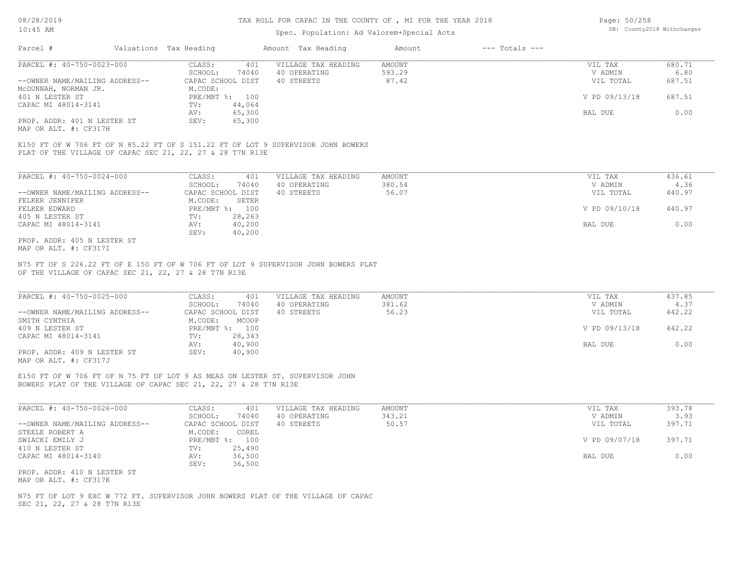## Spec. Population: Ad Valorem+Special Acts

| Page: 50/258 |                            |
|--------------|----------------------------|
|              | DB: County2018 Withchanges |

| Parcel #                       | Valuations Tax Heading |                | Amount Tax Heading  | Amount | $---$ Totals $---$ |               |        |
|--------------------------------|------------------------|----------------|---------------------|--------|--------------------|---------------|--------|
| PARCEL #: 40-750-0023-000      | CLASS:                 | 401            | VILLAGE TAX HEADING | AMOUNT |                    | VIL TAX       | 680.71 |
|                                | SCHOOL:                | 74040          | 40 OPERATING        | 593.29 |                    | V ADMIN       | 6.80   |
| --OWNER NAME/MAILING ADDRESS-- | CAPAC SCHOOL DIST      |                | 40 STREETS          | 87.42  |                    | VIL TOTAL     | 687.51 |
| MCDUNNAH, NORMAN JR.           | M.CODE:                |                |                     |        |                    |               |        |
| 401 N LESTER ST                |                        | PRE/MBT %: 100 |                     |        |                    | V PD 09/13/18 | 687.51 |
| CAPAC MI 48014-3141            | TV:                    | 44,064         |                     |        |                    |               |        |
|                                | AV:                    | 65,300         |                     |        |                    | BAL DUE       | 0.00   |
| PROP. ADDR: 401 N LESTER ST    | SEV:                   | 65,300         |                     |        |                    |               |        |
|                                |                        |                |                     |        |                    |               |        |

MAP OR ALT. #: CF317H

PLAT OF THE VILLAGE OF CAPAC SEC 21, 22, 27 & 28 T7N R13E E150 FT OF W 706 FT OF N 85.22 FT OF S 151.22 FT OF LOT 9 SUPERVISOR JOHN BOWERS

| PARCEL #: 40-750-0024-000      | CLASS:                    | 401               | VILLAGE TAX HEADING | AMOUNT | VIL TAX       | 436.61 |
|--------------------------------|---------------------------|-------------------|---------------------|--------|---------------|--------|
|                                | SCHOOL:                   | 74040             | 40 OPERATING        | 380.54 | V ADMIN       | 4.36   |
| --OWNER NAME/MAILING ADDRESS-- |                           | CAPAC SCHOOL DIST | 40 STREETS          | 56.07  | VIL TOTAL     | 440.97 |
| FELKER JENNIFER                | M.CODE:                   | SETER             |                     |        |               |        |
| FELKER EDWARD                  | $PRE/MBT$ $\frac{1}{6}$ : | 100               |                     |        | V PD 09/10/18 | 440.97 |
| 405 N LESTER ST                | TV:                       | 28,263            |                     |        |               |        |
| CAPAC MI 48014-3141            | AV:                       | 40,200            |                     |        | BAL DUE       | 0.00   |
|                                | SEV:                      | 40,200            |                     |        |               |        |
| PROP. ADDR: 405 N LESTER ST    |                           |                   |                     |        |               |        |

MAP OR ALT. #: CF317I

OF THE VILLAGE OF CAPAC SEC 21, 22, 27 & 28 T7N R13E N75 FT OF S 226.22 FT OF E 150 FT OF W 706 FT OF LOT 9 SUPERVISOR JOHN BOWERS PLAT

| PARCEL #: 40-750-0025-000      | 401<br>CLASS:     | VILLAGE TAX HEADING | AMOUNT | VIL TAX       | 437.85 |
|--------------------------------|-------------------|---------------------|--------|---------------|--------|
|                                | 74040<br>SCHOOL:  | 40 OPERATING        | 381.62 | V ADMIN       | 4.37   |
| --OWNER NAME/MAILING ADDRESS-- | CAPAC SCHOOL DIST | 40 STREETS          | 56.23  | VIL TOTAL     | 442.22 |
| SMITH CYNTHIA                  | MCOOP<br>M.CODE:  |                     |        |               |        |
| 409 N LESTER ST                | PRE/MBT %: 100    |                     |        | V PD 09/13/18 | 442.22 |
| CAPAC MI 48014-3141            | 28,343<br>TV:     |                     |        |               |        |
|                                | 40,900<br>AV:     |                     |        | BAL DUE       | 0.00   |
| PROP. ADDR: 409 N LESTER ST    | 40,900<br>SEV:    |                     |        |               |        |
| MAP OR ALT. #: CF317J          |                   |                     |        |               |        |

 $\_$  , and the state of the state of the state of the state of the state of the state of the state of the state of the state of the state of the state of the state of the state of the state of the state of the state of the

E150 FT OF W 706 FT OF N 75 FT OF LOT 9 AS MEAS ON LESTER ST. SUPERVISOR JOHN

BOWERS PLAT OF THE VILLAGE OF CAPAC SEC 21, 22, 27 & 28 T7N R13E

| PARCEL #: 40-750-0026-000      | CLASS:<br>401     | VILLAGE TAX HEADING | AMOUNT | VIL TAX       | 393.78 |
|--------------------------------|-------------------|---------------------|--------|---------------|--------|
|                                | 74040<br>SCHOOL:  | 40 OPERATING        | 343.21 | V ADMIN       | 3.93   |
| --OWNER NAME/MAILING ADDRESS-- | CAPAC SCHOOL DIST | 40 STREETS          | 50.57  | VIL TOTAL     | 397.71 |
| STEELE ROBERT A                | M.CODE:<br>COREL  |                     |        |               |        |
| SWIACKI EMILY J                | PRE/MBT %: 100    |                     |        | V PD 09/07/18 | 397.71 |
| 410 N LESTER ST                | 25,490<br>TV:     |                     |        |               |        |
| CAPAC MI 48014-3140            | 36,500<br>AV:     |                     |        | BAL DUE       | 0.00   |
|                                | 36,500<br>SEV:    |                     |        |               |        |
| PROP. ADDR: 410 N LESTER ST    |                   |                     |        |               |        |

MAP OR ALT. #: CF317K

SEC 21, 22, 27 & 28 T7N R13E N75 FT OF LOT 9 EXC W 772 FT. SUPERVISOR JOHN BOWERS PLAT OF THE VILLAGE OF CAPAC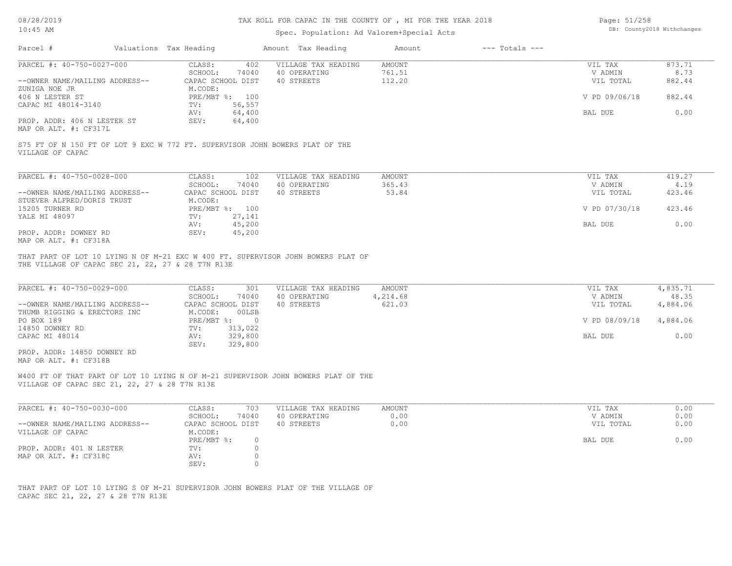## TAX ROLL FOR CAPAC IN THE COUNTY OF , MI FOR THE YEAR 2018

# Spec. Population: Ad Valorem+Special Acts

Page: 51/258 DB: County2018 Withchanges

| PARCEL #: 40-750-0027-000<br>CLASS:<br>VILLAGE TAX HEADING<br>AMOUNT<br>402<br>VIL TAX<br>761.51<br>V ADMIN<br>SCHOOL:<br>74040<br>40 OPERATING<br>--OWNER NAME/MAILING ADDRESS--<br>CAPAC SCHOOL DIST<br>40 STREETS<br>112.20<br>VIL TOTAL<br>ZUNIGA NOE JR<br>M.CODE:<br>PRE/MBT %: 100<br>406 N LESTER ST<br>V PD 09/06/18<br>CAPAC MI 48014-3140<br>56,557<br>TV:<br>64,400<br>BAL DUE<br>AV:<br>PROP. ADDR: 406 N LESTER ST<br>64,400<br>SEV:<br>MAP OR ALT. #: CF317L<br>S75 FT OF N 150 FT OF LOT 9 EXC W 772 FT. SUPERVISOR JOHN BOWERS PLAT OF THE<br>VILLAGE OF CAPAC<br>PARCEL #: 40-750-0028-000<br>CLASS:<br>102<br>VILLAGE TAX HEADING<br><b>AMOUNT</b><br>VIL TAX<br>365.43<br>V ADMIN<br>SCHOOL:<br>74040<br>40 OPERATING<br>40 STREETS<br>53.84<br>CAPAC SCHOOL DIST<br>VIL TOTAL<br>--OWNER NAME/MAILING ADDRESS--<br>STUEVER ALFRED/DORIS TRUST<br>M.CODE:<br>15205 TURNER RD<br>PRE/MBT %: 100<br>V PD 07/30/18<br>27,141<br>YALE MI 48097<br>TV:<br>45,200<br>AV:<br>BAL DUE<br>PROP. ADDR: DOWNEY RD<br>SEV:<br>45,200<br>MAP OR ALT. #: CF318A<br>THAT PART OF LOT 10 LYING N OF M-21 EXC W 400 FT. SUPERVISOR JOHN BOWERS PLAT OF<br>THE VILLAGE OF CAPAC SEC 21, 22, 27 & 28 T7N R13E<br>PARCEL #: 40-750-0029-000<br>CLASS:<br>VILLAGE TAX HEADING<br>AMOUNT<br>VIL TAX<br>4,835.71<br>301<br>SCHOOL:<br>40 OPERATING<br>4,214.68<br>V ADMIN<br>74040<br>CAPAC SCHOOL DIST<br>40 STREETS<br>621.03<br>--OWNER NAME/MAILING ADDRESS--<br>VIL TOTAL<br>THUMB RIGGING & ERECTORS INC<br>M.CODE:<br>00LSB<br>PO BOX 189<br>PRE/MBT %: 0<br>V PD 08/09/18<br>TV: 313,022<br>14850 DOWNEY RD<br>329,800<br>CAPAC MI 48014<br>AV:<br>BAL DUE<br>SEV: 329,800<br>PROP. ADDR: 14850 DOWNEY RD<br>MAP OR ALT. #: CF318B<br>W400 FT OF THAT PART OF LOT 10 LYING N OF M-21 SUPERVISOR JOHN BOWERS PLAT OF THE<br>VILLAGE OF CAPAC SEC 21, 22, 27 & 28 T7N R13E<br>PARCEL #: 40-750-0030-000<br>703<br>VILLAGE TAX HEADING<br>AMOUNT<br>CLASS:<br>VIL TAX<br>74040<br>40 OPERATING<br>0.00<br>V ADMIN<br>SCHOOL:<br>--OWNER NAME/MAILING ADDRESS--<br>CAPAC SCHOOL DIST<br>40 STREETS<br>0.00<br>VIL TOTAL |                             | Amount Tax Heading | $---$ Totals $---$<br>Amount |                                       |
|--------------------------------------------------------------------------------------------------------------------------------------------------------------------------------------------------------------------------------------------------------------------------------------------------------------------------------------------------------------------------------------------------------------------------------------------------------------------------------------------------------------------------------------------------------------------------------------------------------------------------------------------------------------------------------------------------------------------------------------------------------------------------------------------------------------------------------------------------------------------------------------------------------------------------------------------------------------------------------------------------------------------------------------------------------------------------------------------------------------------------------------------------------------------------------------------------------------------------------------------------------------------------------------------------------------------------------------------------------------------------------------------------------------------------------------------------------------------------------------------------------------------------------------------------------------------------------------------------------------------------------------------------------------------------------------------------------------------------------------------------------------------------------------------------------------------------------------------------------------------------------------------------------------------------------------------------------------------------------------------------------------------------------------------------------------------------------------------------------------------------|-----------------------------|--------------------|------------------------------|---------------------------------------|
|                                                                                                                                                                                                                                                                                                                                                                                                                                                                                                                                                                                                                                                                                                                                                                                                                                                                                                                                                                                                                                                                                                                                                                                                                                                                                                                                                                                                                                                                                                                                                                                                                                                                                                                                                                                                                                                                                                                                                                                                                                                                                                                          |                             |                    |                              | 873.71                                |
|                                                                                                                                                                                                                                                                                                                                                                                                                                                                                                                                                                                                                                                                                                                                                                                                                                                                                                                                                                                                                                                                                                                                                                                                                                                                                                                                                                                                                                                                                                                                                                                                                                                                                                                                                                                                                                                                                                                                                                                                                                                                                                                          |                             |                    |                              | 8.73                                  |
|                                                                                                                                                                                                                                                                                                                                                                                                                                                                                                                                                                                                                                                                                                                                                                                                                                                                                                                                                                                                                                                                                                                                                                                                                                                                                                                                                                                                                                                                                                                                                                                                                                                                                                                                                                                                                                                                                                                                                                                                                                                                                                                          |                             |                    |                              | 882.44                                |
|                                                                                                                                                                                                                                                                                                                                                                                                                                                                                                                                                                                                                                                                                                                                                                                                                                                                                                                                                                                                                                                                                                                                                                                                                                                                                                                                                                                                                                                                                                                                                                                                                                                                                                                                                                                                                                                                                                                                                                                                                                                                                                                          |                             |                    |                              |                                       |
|                                                                                                                                                                                                                                                                                                                                                                                                                                                                                                                                                                                                                                                                                                                                                                                                                                                                                                                                                                                                                                                                                                                                                                                                                                                                                                                                                                                                                                                                                                                                                                                                                                                                                                                                                                                                                                                                                                                                                                                                                                                                                                                          |                             |                    |                              | 882.44                                |
|                                                                                                                                                                                                                                                                                                                                                                                                                                                                                                                                                                                                                                                                                                                                                                                                                                                                                                                                                                                                                                                                                                                                                                                                                                                                                                                                                                                                                                                                                                                                                                                                                                                                                                                                                                                                                                                                                                                                                                                                                                                                                                                          |                             |                    |                              |                                       |
|                                                                                                                                                                                                                                                                                                                                                                                                                                                                                                                                                                                                                                                                                                                                                                                                                                                                                                                                                                                                                                                                                                                                                                                                                                                                                                                                                                                                                                                                                                                                                                                                                                                                                                                                                                                                                                                                                                                                                                                                                                                                                                                          |                             |                    |                              | 0.00                                  |
|                                                                                                                                                                                                                                                                                                                                                                                                                                                                                                                                                                                                                                                                                                                                                                                                                                                                                                                                                                                                                                                                                                                                                                                                                                                                                                                                                                                                                                                                                                                                                                                                                                                                                                                                                                                                                                                                                                                                                                                                                                                                                                                          |                             |                    |                              |                                       |
|                                                                                                                                                                                                                                                                                                                                                                                                                                                                                                                                                                                                                                                                                                                                                                                                                                                                                                                                                                                                                                                                                                                                                                                                                                                                                                                                                                                                                                                                                                                                                                                                                                                                                                                                                                                                                                                                                                                                                                                                                                                                                                                          |                             |                    |                              |                                       |
|                                                                                                                                                                                                                                                                                                                                                                                                                                                                                                                                                                                                                                                                                                                                                                                                                                                                                                                                                                                                                                                                                                                                                                                                                                                                                                                                                                                                                                                                                                                                                                                                                                                                                                                                                                                                                                                                                                                                                                                                                                                                                                                          |                             |                    |                              |                                       |
|                                                                                                                                                                                                                                                                                                                                                                                                                                                                                                                                                                                                                                                                                                                                                                                                                                                                                                                                                                                                                                                                                                                                                                                                                                                                                                                                                                                                                                                                                                                                                                                                                                                                                                                                                                                                                                                                                                                                                                                                                                                                                                                          |                             |                    |                              | 419.27                                |
|                                                                                                                                                                                                                                                                                                                                                                                                                                                                                                                                                                                                                                                                                                                                                                                                                                                                                                                                                                                                                                                                                                                                                                                                                                                                                                                                                                                                                                                                                                                                                                                                                                                                                                                                                                                                                                                                                                                                                                                                                                                                                                                          |                             |                    |                              | 4.19                                  |
|                                                                                                                                                                                                                                                                                                                                                                                                                                                                                                                                                                                                                                                                                                                                                                                                                                                                                                                                                                                                                                                                                                                                                                                                                                                                                                                                                                                                                                                                                                                                                                                                                                                                                                                                                                                                                                                                                                                                                                                                                                                                                                                          |                             |                    |                              | 423.46                                |
|                                                                                                                                                                                                                                                                                                                                                                                                                                                                                                                                                                                                                                                                                                                                                                                                                                                                                                                                                                                                                                                                                                                                                                                                                                                                                                                                                                                                                                                                                                                                                                                                                                                                                                                                                                                                                                                                                                                                                                                                                                                                                                                          |                             |                    |                              |                                       |
|                                                                                                                                                                                                                                                                                                                                                                                                                                                                                                                                                                                                                                                                                                                                                                                                                                                                                                                                                                                                                                                                                                                                                                                                                                                                                                                                                                                                                                                                                                                                                                                                                                                                                                                                                                                                                                                                                                                                                                                                                                                                                                                          |                             |                    |                              | 423.46                                |
|                                                                                                                                                                                                                                                                                                                                                                                                                                                                                                                                                                                                                                                                                                                                                                                                                                                                                                                                                                                                                                                                                                                                                                                                                                                                                                                                                                                                                                                                                                                                                                                                                                                                                                                                                                                                                                                                                                                                                                                                                                                                                                                          |                             |                    |                              | 0.00                                  |
|                                                                                                                                                                                                                                                                                                                                                                                                                                                                                                                                                                                                                                                                                                                                                                                                                                                                                                                                                                                                                                                                                                                                                                                                                                                                                                                                                                                                                                                                                                                                                                                                                                                                                                                                                                                                                                                                                                                                                                                                                                                                                                                          |                             |                    |                              |                                       |
|                                                                                                                                                                                                                                                                                                                                                                                                                                                                                                                                                                                                                                                                                                                                                                                                                                                                                                                                                                                                                                                                                                                                                                                                                                                                                                                                                                                                                                                                                                                                                                                                                                                                                                                                                                                                                                                                                                                                                                                                                                                                                                                          |                             |                    |                              |                                       |
|                                                                                                                                                                                                                                                                                                                                                                                                                                                                                                                                                                                                                                                                                                                                                                                                                                                                                                                                                                                                                                                                                                                                                                                                                                                                                                                                                                                                                                                                                                                                                                                                                                                                                                                                                                                                                                                                                                                                                                                                                                                                                                                          |                             |                    |                              | 48.35<br>4,884.06<br>4,884.06<br>0.00 |
|                                                                                                                                                                                                                                                                                                                                                                                                                                                                                                                                                                                                                                                                                                                                                                                                                                                                                                                                                                                                                                                                                                                                                                                                                                                                                                                                                                                                                                                                                                                                                                                                                                                                                                                                                                                                                                                                                                                                                                                                                                                                                                                          |                             |                    |                              |                                       |
|                                                                                                                                                                                                                                                                                                                                                                                                                                                                                                                                                                                                                                                                                                                                                                                                                                                                                                                                                                                                                                                                                                                                                                                                                                                                                                                                                                                                                                                                                                                                                                                                                                                                                                                                                                                                                                                                                                                                                                                                                                                                                                                          |                             |                    |                              | 0.00                                  |
|                                                                                                                                                                                                                                                                                                                                                                                                                                                                                                                                                                                                                                                                                                                                                                                                                                                                                                                                                                                                                                                                                                                                                                                                                                                                                                                                                                                                                                                                                                                                                                                                                                                                                                                                                                                                                                                                                                                                                                                                                                                                                                                          |                             |                    |                              | 0.00<br>0.00                          |
|                                                                                                                                                                                                                                                                                                                                                                                                                                                                                                                                                                                                                                                                                                                                                                                                                                                                                                                                                                                                                                                                                                                                                                                                                                                                                                                                                                                                                                                                                                                                                                                                                                                                                                                                                                                                                                                                                                                                                                                                                                                                                                                          |                             |                    |                              |                                       |
| BAL DUE                                                                                                                                                                                                                                                                                                                                                                                                                                                                                                                                                                                                                                                                                                                                                                                                                                                                                                                                                                                                                                                                                                                                                                                                                                                                                                                                                                                                                                                                                                                                                                                                                                                                                                                                                                                                                                                                                                                                                                                                                                                                                                                  |                             |                    |                              | 0.00                                  |
| $\circ$<br>PROP. ADDR: 401 N LESTER                                                                                                                                                                                                                                                                                                                                                                                                                                                                                                                                                                                                                                                                                                                                                                                                                                                                                                                                                                                                                                                                                                                                                                                                                                                                                                                                                                                                                                                                                                                                                                                                                                                                                                                                                                                                                                                                                                                                                                                                                                                                                      | VILLAGE OF CAPAC<br>M.CODE: |                    |                              |                                       |
| MAP OR ALT. #: CF318C<br>$\circ$<br>AV:                                                                                                                                                                                                                                                                                                                                                                                                                                                                                                                                                                                                                                                                                                                                                                                                                                                                                                                                                                                                                                                                                                                                                                                                                                                                                                                                                                                                                                                                                                                                                                                                                                                                                                                                                                                                                                                                                                                                                                                                                                                                                  | PRE/MBT %:                  | $\circ$            |                              |                                       |
| SEV:<br>$\circ$                                                                                                                                                                                                                                                                                                                                                                                                                                                                                                                                                                                                                                                                                                                                                                                                                                                                                                                                                                                                                                                                                                                                                                                                                                                                                                                                                                                                                                                                                                                                                                                                                                                                                                                                                                                                                                                                                                                                                                                                                                                                                                          | TV:                         |                    |                              |                                       |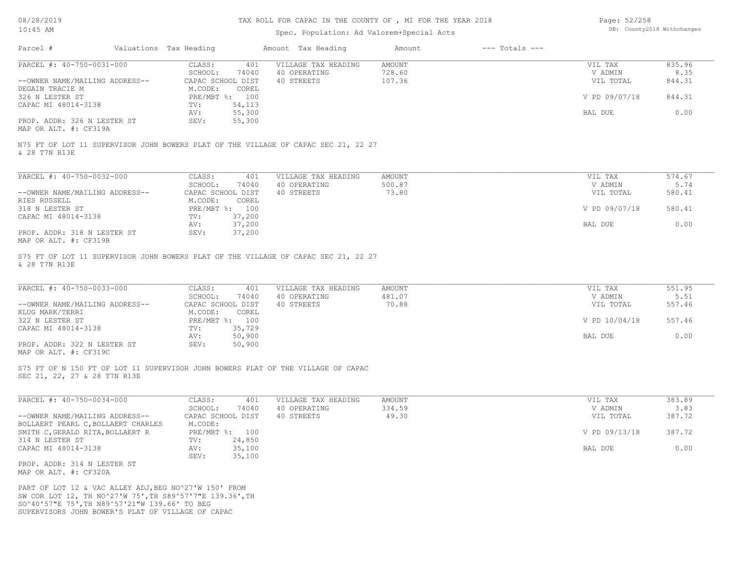# TAX ROLL FOR CAPAC IN THE COUNTY OF , MI FOR THE YEAR 2018

# Spec. Population: Ad Valorem+Special Acts

Page: 52/258 DB: County2018 Withchanges

| Parcel #                                                                                                                                                                                                                | Valuations Tax Heading                 |                  | Amount Tax Heading                                                                 | Amount                            | $---$ Totals $---$ |                                 |                          |
|-------------------------------------------------------------------------------------------------------------------------------------------------------------------------------------------------------------------------|----------------------------------------|------------------|------------------------------------------------------------------------------------|-----------------------------------|--------------------|---------------------------------|--------------------------|
| PARCEL #: 40-750-0031-000<br>--OWNER NAME/MAILING ADDRESS--                                                                                                                                                             | CLASS:<br>SCHOOL:<br>CAPAC SCHOOL DIST | 401<br>74040     | VILLAGE TAX HEADING<br>40 OPERATING<br>40 STREETS                                  | <b>AMOUNT</b><br>728.60<br>107.36 |                    | VIL TAX<br>V ADMIN<br>VIL TOTAL | 835.96<br>8.35<br>844.31 |
| DEGAIN TRACIE M<br>326 N LESTER ST<br>CAPAC MI 48014-3138                                                                                                                                                               | M.CODE:<br>PRE/MBT %: 100<br>TV:       | COREL<br>54,113  |                                                                                    |                                   |                    | V PD 09/07/18                   | 844.31                   |
| PROP. ADDR: 326 N LESTER ST                                                                                                                                                                                             | AV:<br>SEV:                            | 55,300<br>55,300 |                                                                                    |                                   |                    | BAL DUE                         | 0.00                     |
| MAP OR ALT. #: CF319A                                                                                                                                                                                                   |                                        |                  |                                                                                    |                                   |                    |                                 |                          |
| N75 FT OF LOT 11 SUPERVISOR JOHN BOWERS PLAT OF THE VILLAGE OF CAPAC SEC 21, 22 27<br>& 28 T7N R13E                                                                                                                     |                                        |                  |                                                                                    |                                   |                    |                                 |                          |
| PARCEL #: 40-750-0032-000                                                                                                                                                                                               | CLASS:<br>SCHOOL:                      | 401<br>74040     | VILLAGE TAX HEADING<br>40 OPERATING                                                | AMOUNT<br>500.87                  |                    | VIL TAX<br>V ADMIN              | 574.67<br>5.74           |
| --OWNER NAME/MAILING ADDRESS--                                                                                                                                                                                          | CAPAC SCHOOL DIST                      |                  | 40 STREETS                                                                         | 73.80                             |                    | VIL TOTAL                       | 580.41                   |
| RIES RUSSELL<br>318 N LESTER ST                                                                                                                                                                                         | M.CODE:<br>PRE/MBT %: 100              | COREL            |                                                                                    |                                   |                    | V PD 09/07/18                   | 580.41                   |
| CAPAC MI 48014-3138                                                                                                                                                                                                     | TV:<br>AV:                             | 37,200<br>37,200 |                                                                                    |                                   |                    | BAL DUE                         | 0.00                     |
| PROP. ADDR: 318 N LESTER ST<br>MAP OR ALT. #: CF319B                                                                                                                                                                    | SEV:                                   | 37,200           |                                                                                    |                                   |                    |                                 |                          |
| & 28 T7N R13E                                                                                                                                                                                                           |                                        |                  | S75 FT OF LOT 11 SUPERVISOR JOHN BOWERS PLAT OF THE VILLAGE OF CAPAC SEC 21, 22 27 |                                   |                    |                                 |                          |
| PARCEL #: 40-750-0033-000                                                                                                                                                                                               | CLASS:                                 | 401              | VILLAGE TAX HEADING                                                                | <b>AMOUNT</b>                     |                    | VIL TAX                         | 551.95                   |
| --OWNER NAME/MAILING ADDRESS--                                                                                                                                                                                          | SCHOOL:<br>CAPAC SCHOOL DIST           | 74040            | 40 OPERATING<br>40 STREETS                                                         | 481.07<br>70.88                   |                    | V ADMIN<br>VIL TOTAL            | 5.51<br>557.46           |
| KLUG MARK/TERRI<br>322 N LESTER ST                                                                                                                                                                                      | M.CODE:<br>PRE/MBT %: 100              | COREL            |                                                                                    |                                   |                    | V PD 10/04/18                   | 557.46                   |
| CAPAC MI 48014-3138                                                                                                                                                                                                     | TV:<br>AV:                             | 35,729<br>50,900 |                                                                                    |                                   |                    | BAL DUE                         | 0.00                     |
| PROP. ADDR: 322 N LESTER ST<br>MAP OR ALT. #: CF319C                                                                                                                                                                    | SEV:                                   | 50,900           |                                                                                    |                                   |                    |                                 |                          |
| SEC 21, 22, 27 & 28 T7N R13E                                                                                                                                                                                            |                                        |                  | S75 FT OF N 150 FT OF LOT 11 SUPERVISOR JOHN BOWERS PLAT OF THE VILLAGE OF CAPAC   |                                   |                    |                                 |                          |
| PARCEL #: 40-750-0034-000                                                                                                                                                                                               | CLASS:                                 | 401              | VILLAGE TAX HEADING                                                                | <b>AMOUNT</b>                     |                    | VIL TAX                         | 383.89                   |
| --OWNER NAME/MAILING ADDRESS--                                                                                                                                                                                          | SCHOOL:<br>CAPAC SCHOOL DIST           | 74040            | 40 OPERATING<br>40 STREETS                                                         | 334.59<br>49.30                   |                    | V ADMIN<br>VIL TOTAL            | 3.83<br>387.72           |
| BOLLAERT PEARL C, BOLLAERT CHARLES<br>SMITH C, GERALD RITA, BOLLAERT R                                                                                                                                                  | M.CODE:<br>PRE/MBT %: 100              |                  |                                                                                    |                                   |                    | V PD 09/13/18                   | 387.72                   |
| 314 N LESTER ST<br>CAPAC MI 48014-3138                                                                                                                                                                                  | TV:<br>AV:                             | 24,850<br>35,100 |                                                                                    |                                   |                    | BAL DUE                         | 0.00                     |
| PROP. ADDR: 314 N LESTER ST<br>MAP OR ALT. #: CF320A                                                                                                                                                                    | SEV:                                   | 35,100           |                                                                                    |                                   |                    |                                 |                          |
| PART OF LOT 12 & VAC ALLEY ADJ, BEG NO^27'W 150' FROM<br>SW COR LOT 12, TH NO^27'W 75', TH S89^57'7"E 139.36', TH<br>SO^40'57"E 75', TH N89^57'21"W 139.66' TO BEG<br>SUPERVISORS JOHN BOWER'S PLAT OF VILLAGE OF CAPAC |                                        |                  |                                                                                    |                                   |                    |                                 |                          |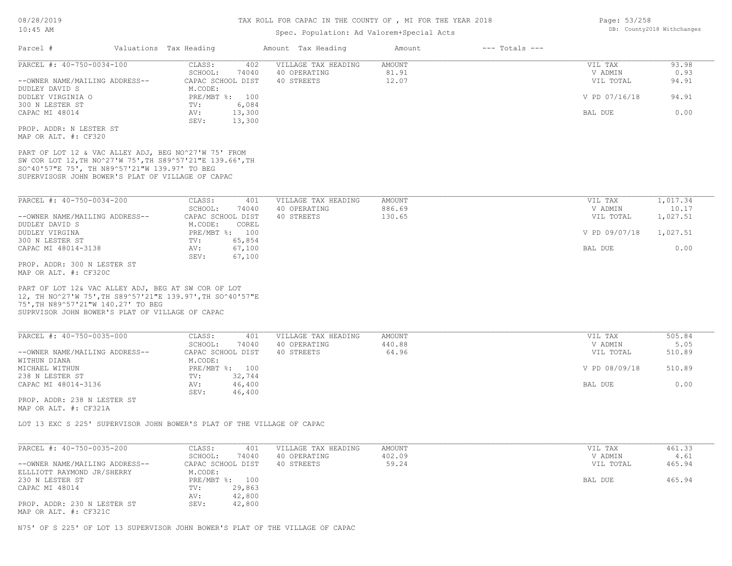MAP OR ALT. #: CF321C

## TAX ROLL FOR CAPAC IN THE COUNTY OF , MI FOR THE YEAR 2018

# Spec. Population: Ad Valorem+Special Acts

| CLASS:<br>402<br>VILLAGE TAX HEADING<br><b>AMOUNT</b><br>VIL TAX<br>SCHOOL:<br>74040<br>40 OPERATING<br>81.91<br>V ADMIN<br>12.07<br>40 STREETS<br>VIL TOTAL<br>CAPAC SCHOOL DIST<br>M.CODE:<br>PRE/MBT %: 100<br>V PD 07/16/18<br>DUDLEY VIRGINIA O<br>300 N LESTER ST<br>TV:<br>6,084<br>CAPAC MI 48014<br>13,300<br>AV:<br>BAL DUE<br>SEV:<br>13,300<br>PART OF LOT 12 & VAC ALLEY ADJ, BEG NO^27'W 75' FROM<br>SW COR LOT 12, TH NO^27'W 75', TH S89^57'21"E 139.66', TH<br>SO^40'57"E 75', TH N89^57'21"W 139.97' TO BEG<br>SUPERVISOSR JOHN BOWER'S PLAT OF VILLAGE OF CAPAC<br>PARCEL #: 40-750-0034-200<br>CLASS:<br>VILLAGE TAX HEADING<br><b>AMOUNT</b><br>VIL TAX<br>401<br>SCHOOL:<br>40 OPERATING<br>886.69<br>V ADMIN<br>74040<br>CAPAC SCHOOL DIST<br>40 STREETS<br>130.65<br>VIL TOTAL<br>M.CODE:<br>COREL<br>PRE/MBT %: 100<br>V PD 09/07/18<br>65,854<br>TV:<br>67,100<br>CAPAC MI 48014-3138<br>AV:<br>BAL DUE<br>67,100<br>SEV:<br>PART OF LOT 12& VAC ALLEY ADJ, BEG AT SW COR OF LOT<br>12, TH NO^27'W 75', TH S89^57'21"E 139.97', TH SO^40'57"E<br>SUPRVISOR JOHN BOWER'S PLAT OF VILLAGE OF CAPAC<br>CLASS:<br>VILLAGE TAX HEADING<br><b>AMOUNT</b><br>401<br>VIL TAX<br>SCHOOL:<br>74040<br>40 OPERATING<br>440.88<br>V ADMIN<br>64.96<br>--OWNER NAME/MAILING ADDRESS--<br>CAPAC SCHOOL DIST<br>40 STREETS<br>VIL TOTAL<br>WITHUN DIANA<br>M.CODE:<br>MICHAEL WITHUN<br>PRE/MBT %: 100<br>V PD 08/09/18<br>32,744<br>TV:<br>AV:<br>46,400<br>BAL DUE<br>SEV:<br>46,400<br>PROP. ADDR: 238 N LESTER ST<br>LOT 13 EXC S 225' SUPERVISOR JOHN BOWER'S PLAT OF THE VILLAGE OF CAPAC<br>CLASS:<br><b>AMOUNT</b><br>401<br>VILLAGE TAX HEADING<br>VIL TAX<br>SCHOOL:<br>40 OPERATING<br>402.09<br>V ADMIN<br>74040<br>59.24<br>CAPAC SCHOOL DIST<br>40 STREETS<br>VIL TOTAL<br>M.CODE:<br>PRE/MBT %: 100<br>230 N LESTER ST<br>BAL DUE<br>29,863<br>CAPAC MI 48014<br>TV: | Parcel #                                             | Valuations Tax Heading | Amount Tax Heading | Amount | $---$ Totals $---$ |               |
|------------------------------------------------------------------------------------------------------------------------------------------------------------------------------------------------------------------------------------------------------------------------------------------------------------------------------------------------------------------------------------------------------------------------------------------------------------------------------------------------------------------------------------------------------------------------------------------------------------------------------------------------------------------------------------------------------------------------------------------------------------------------------------------------------------------------------------------------------------------------------------------------------------------------------------------------------------------------------------------------------------------------------------------------------------------------------------------------------------------------------------------------------------------------------------------------------------------------------------------------------------------------------------------------------------------------------------------------------------------------------------------------------------------------------------------------------------------------------------------------------------------------------------------------------------------------------------------------------------------------------------------------------------------------------------------------------------------------------------------------------------------------------------------------------------------------------------------------------------------------------------------------|------------------------------------------------------|------------------------|--------------------|--------|--------------------|---------------|
|                                                                                                                                                                                                                                                                                                                                                                                                                                                                                                                                                                                                                                                                                                                                                                                                                                                                                                                                                                                                                                                                                                                                                                                                                                                                                                                                                                                                                                                                                                                                                                                                                                                                                                                                                                                                                                                                                                | PARCEL #: 40-750-0034-100                            |                        |                    |        |                    | 93.98<br>0.93 |
|                                                                                                                                                                                                                                                                                                                                                                                                                                                                                                                                                                                                                                                                                                                                                                                                                                                                                                                                                                                                                                                                                                                                                                                                                                                                                                                                                                                                                                                                                                                                                                                                                                                                                                                                                                                                                                                                                                | --OWNER NAME/MAILING ADDRESS--                       |                        |                    |        |                    | 94.91         |
|                                                                                                                                                                                                                                                                                                                                                                                                                                                                                                                                                                                                                                                                                                                                                                                                                                                                                                                                                                                                                                                                                                                                                                                                                                                                                                                                                                                                                                                                                                                                                                                                                                                                                                                                                                                                                                                                                                | DUDLEY DAVID S                                       |                        |                    |        |                    |               |
|                                                                                                                                                                                                                                                                                                                                                                                                                                                                                                                                                                                                                                                                                                                                                                                                                                                                                                                                                                                                                                                                                                                                                                                                                                                                                                                                                                                                                                                                                                                                                                                                                                                                                                                                                                                                                                                                                                |                                                      |                        |                    |        |                    | 94.91         |
|                                                                                                                                                                                                                                                                                                                                                                                                                                                                                                                                                                                                                                                                                                                                                                                                                                                                                                                                                                                                                                                                                                                                                                                                                                                                                                                                                                                                                                                                                                                                                                                                                                                                                                                                                                                                                                                                                                |                                                      |                        |                    |        |                    | 0.00          |
|                                                                                                                                                                                                                                                                                                                                                                                                                                                                                                                                                                                                                                                                                                                                                                                                                                                                                                                                                                                                                                                                                                                                                                                                                                                                                                                                                                                                                                                                                                                                                                                                                                                                                                                                                                                                                                                                                                |                                                      |                        |                    |        |                    |               |
|                                                                                                                                                                                                                                                                                                                                                                                                                                                                                                                                                                                                                                                                                                                                                                                                                                                                                                                                                                                                                                                                                                                                                                                                                                                                                                                                                                                                                                                                                                                                                                                                                                                                                                                                                                                                                                                                                                | PROP. ADDR: N LESTER ST<br>MAP OR ALT. #: CF320      |                        |                    |        |                    |               |
|                                                                                                                                                                                                                                                                                                                                                                                                                                                                                                                                                                                                                                                                                                                                                                                                                                                                                                                                                                                                                                                                                                                                                                                                                                                                                                                                                                                                                                                                                                                                                                                                                                                                                                                                                                                                                                                                                                |                                                      |                        |                    |        |                    |               |
|                                                                                                                                                                                                                                                                                                                                                                                                                                                                                                                                                                                                                                                                                                                                                                                                                                                                                                                                                                                                                                                                                                                                                                                                                                                                                                                                                                                                                                                                                                                                                                                                                                                                                                                                                                                                                                                                                                |                                                      |                        |                    |        |                    | 1,017.34      |
|                                                                                                                                                                                                                                                                                                                                                                                                                                                                                                                                                                                                                                                                                                                                                                                                                                                                                                                                                                                                                                                                                                                                                                                                                                                                                                                                                                                                                                                                                                                                                                                                                                                                                                                                                                                                                                                                                                |                                                      |                        |                    |        |                    | 10.17         |
|                                                                                                                                                                                                                                                                                                                                                                                                                                                                                                                                                                                                                                                                                                                                                                                                                                                                                                                                                                                                                                                                                                                                                                                                                                                                                                                                                                                                                                                                                                                                                                                                                                                                                                                                                                                                                                                                                                | --OWNER NAME/MAILING ADDRESS--                       |                        |                    |        |                    | 1,027.51      |
|                                                                                                                                                                                                                                                                                                                                                                                                                                                                                                                                                                                                                                                                                                                                                                                                                                                                                                                                                                                                                                                                                                                                                                                                                                                                                                                                                                                                                                                                                                                                                                                                                                                                                                                                                                                                                                                                                                | DUDLEY DAVID S                                       |                        |                    |        |                    |               |
|                                                                                                                                                                                                                                                                                                                                                                                                                                                                                                                                                                                                                                                                                                                                                                                                                                                                                                                                                                                                                                                                                                                                                                                                                                                                                                                                                                                                                                                                                                                                                                                                                                                                                                                                                                                                                                                                                                | DUDLEY VIRGINA                                       |                        |                    |        |                    | 1,027.51      |
|                                                                                                                                                                                                                                                                                                                                                                                                                                                                                                                                                                                                                                                                                                                                                                                                                                                                                                                                                                                                                                                                                                                                                                                                                                                                                                                                                                                                                                                                                                                                                                                                                                                                                                                                                                                                                                                                                                | 300 N LESTER ST                                      |                        |                    |        |                    |               |
|                                                                                                                                                                                                                                                                                                                                                                                                                                                                                                                                                                                                                                                                                                                                                                                                                                                                                                                                                                                                                                                                                                                                                                                                                                                                                                                                                                                                                                                                                                                                                                                                                                                                                                                                                                                                                                                                                                |                                                      |                        |                    |        |                    | 0.00          |
|                                                                                                                                                                                                                                                                                                                                                                                                                                                                                                                                                                                                                                                                                                                                                                                                                                                                                                                                                                                                                                                                                                                                                                                                                                                                                                                                                                                                                                                                                                                                                                                                                                                                                                                                                                                                                                                                                                | PROP. ADDR: 300 N LESTER ST<br>MAP OR ALT. #: CF320C |                        |                    |        |                    |               |
|                                                                                                                                                                                                                                                                                                                                                                                                                                                                                                                                                                                                                                                                                                                                                                                                                                                                                                                                                                                                                                                                                                                                                                                                                                                                                                                                                                                                                                                                                                                                                                                                                                                                                                                                                                                                                                                                                                | 75', TH N89^57'21"W 140.27' TO BEG                   |                        |                    |        |                    |               |
|                                                                                                                                                                                                                                                                                                                                                                                                                                                                                                                                                                                                                                                                                                                                                                                                                                                                                                                                                                                                                                                                                                                                                                                                                                                                                                                                                                                                                                                                                                                                                                                                                                                                                                                                                                                                                                                                                                | PARCEL #: 40-750-0035-000                            |                        |                    |        |                    | 505.84        |
|                                                                                                                                                                                                                                                                                                                                                                                                                                                                                                                                                                                                                                                                                                                                                                                                                                                                                                                                                                                                                                                                                                                                                                                                                                                                                                                                                                                                                                                                                                                                                                                                                                                                                                                                                                                                                                                                                                |                                                      |                        |                    |        |                    | 5.05          |
|                                                                                                                                                                                                                                                                                                                                                                                                                                                                                                                                                                                                                                                                                                                                                                                                                                                                                                                                                                                                                                                                                                                                                                                                                                                                                                                                                                                                                                                                                                                                                                                                                                                                                                                                                                                                                                                                                                |                                                      |                        |                    |        |                    | 510.89        |
|                                                                                                                                                                                                                                                                                                                                                                                                                                                                                                                                                                                                                                                                                                                                                                                                                                                                                                                                                                                                                                                                                                                                                                                                                                                                                                                                                                                                                                                                                                                                                                                                                                                                                                                                                                                                                                                                                                |                                                      |                        |                    |        |                    | 510.89        |
|                                                                                                                                                                                                                                                                                                                                                                                                                                                                                                                                                                                                                                                                                                                                                                                                                                                                                                                                                                                                                                                                                                                                                                                                                                                                                                                                                                                                                                                                                                                                                                                                                                                                                                                                                                                                                                                                                                | 238 N LESTER ST                                      |                        |                    |        |                    |               |
|                                                                                                                                                                                                                                                                                                                                                                                                                                                                                                                                                                                                                                                                                                                                                                                                                                                                                                                                                                                                                                                                                                                                                                                                                                                                                                                                                                                                                                                                                                                                                                                                                                                                                                                                                                                                                                                                                                | CAPAC MI 48014-3136                                  |                        |                    |        |                    | 0.00          |
|                                                                                                                                                                                                                                                                                                                                                                                                                                                                                                                                                                                                                                                                                                                                                                                                                                                                                                                                                                                                                                                                                                                                                                                                                                                                                                                                                                                                                                                                                                                                                                                                                                                                                                                                                                                                                                                                                                |                                                      |                        |                    |        |                    |               |
|                                                                                                                                                                                                                                                                                                                                                                                                                                                                                                                                                                                                                                                                                                                                                                                                                                                                                                                                                                                                                                                                                                                                                                                                                                                                                                                                                                                                                                                                                                                                                                                                                                                                                                                                                                                                                                                                                                | MAP OR ALT. #: CF321A                                |                        |                    |        |                    |               |
|                                                                                                                                                                                                                                                                                                                                                                                                                                                                                                                                                                                                                                                                                                                                                                                                                                                                                                                                                                                                                                                                                                                                                                                                                                                                                                                                                                                                                                                                                                                                                                                                                                                                                                                                                                                                                                                                                                |                                                      |                        |                    |        |                    |               |
|                                                                                                                                                                                                                                                                                                                                                                                                                                                                                                                                                                                                                                                                                                                                                                                                                                                                                                                                                                                                                                                                                                                                                                                                                                                                                                                                                                                                                                                                                                                                                                                                                                                                                                                                                                                                                                                                                                |                                                      |                        |                    |        |                    |               |
|                                                                                                                                                                                                                                                                                                                                                                                                                                                                                                                                                                                                                                                                                                                                                                                                                                                                                                                                                                                                                                                                                                                                                                                                                                                                                                                                                                                                                                                                                                                                                                                                                                                                                                                                                                                                                                                                                                | PARCEL #: 40-750-0035-200                            |                        |                    |        |                    | 461.33        |
|                                                                                                                                                                                                                                                                                                                                                                                                                                                                                                                                                                                                                                                                                                                                                                                                                                                                                                                                                                                                                                                                                                                                                                                                                                                                                                                                                                                                                                                                                                                                                                                                                                                                                                                                                                                                                                                                                                |                                                      |                        |                    |        |                    | 4.61          |
|                                                                                                                                                                                                                                                                                                                                                                                                                                                                                                                                                                                                                                                                                                                                                                                                                                                                                                                                                                                                                                                                                                                                                                                                                                                                                                                                                                                                                                                                                                                                                                                                                                                                                                                                                                                                                                                                                                | --OWNER NAME/MAILING ADDRESS--                       |                        |                    |        |                    | 465.94        |
|                                                                                                                                                                                                                                                                                                                                                                                                                                                                                                                                                                                                                                                                                                                                                                                                                                                                                                                                                                                                                                                                                                                                                                                                                                                                                                                                                                                                                                                                                                                                                                                                                                                                                                                                                                                                                                                                                                | ELLLIOTT RAYMOND JR/SHERRY                           |                        |                    |        |                    |               |
|                                                                                                                                                                                                                                                                                                                                                                                                                                                                                                                                                                                                                                                                                                                                                                                                                                                                                                                                                                                                                                                                                                                                                                                                                                                                                                                                                                                                                                                                                                                                                                                                                                                                                                                                                                                                                                                                                                |                                                      |                        |                    |        |                    | 465.94        |
|                                                                                                                                                                                                                                                                                                                                                                                                                                                                                                                                                                                                                                                                                                                                                                                                                                                                                                                                                                                                                                                                                                                                                                                                                                                                                                                                                                                                                                                                                                                                                                                                                                                                                                                                                                                                                                                                                                |                                                      | 42,800<br>AV:          |                    |        |                    |               |

N75' OF S 225' OF LOT 13 SUPERVISOR JOHN BOWER'S PLAT OF THE VILLAGE OF CAPAC

PROP. ADDR: 230 N LESTER ST SEV: 42,800

Page: 53/258 DB: County2018 Withchanges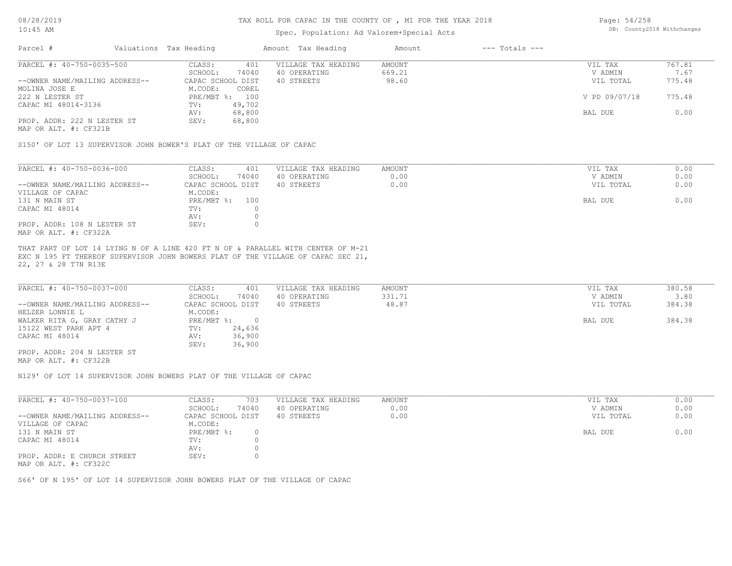### TAX ROLL FOR CAPAC IN THE COUNTY OF , MI FOR THE YEAR 2018

# Spec. Population: Ad Valorem+Special Acts

Page: 54/258 DB: County2018 Withchanges

| Parcel #                       | Valuations Tax Heading |        | Amount Tax Heading  | Amount | $---$ Totals $---$ |               |        |
|--------------------------------|------------------------|--------|---------------------|--------|--------------------|---------------|--------|
| PARCEL #: 40-750-0035-500      | CLASS:                 | 401    | VILLAGE TAX HEADING | AMOUNT |                    | VIL TAX       | 767.81 |
|                                | SCHOOL:                | 74040  | 40 OPERATING        | 669.21 |                    | V ADMIN       | 7.67   |
| --OWNER NAME/MAILING ADDRESS-- | CAPAC SCHOOL DIST      |        | 40 STREETS          | 98.60  |                    | VIL TOTAL     | 775.48 |
| MOLINA JOSE E                  | M.CODE:                | COREL  |                     |        |                    |               |        |
| 222 N LESTER ST                | PRE/MBT %: 100         |        |                     |        |                    | V PD 09/07/18 | 775.48 |
| CAPAC MI 48014-3136            | TV:                    | 49,702 |                     |        |                    |               |        |
|                                | AV:                    | 68,800 |                     |        |                    | BAL DUE       | 0.00   |
| PROP. ADDR: 222 N LESTER ST    | SEV:                   | 68,800 |                     |        |                    |               |        |
|                                |                        |        |                     |        |                    |               |        |

MAP OR ALT. #: CF321B

S150' OF LOT 13 SUPERVISOR JOHN BOWER'S PLAT OF THE VILLAGE OF CAPAC

| PARCEL #: 40-750-0036-000      | CLASS:<br>401     | VILLAGE TAX HEADING | AMOUNT | VIL TAX   | 0.00 |
|--------------------------------|-------------------|---------------------|--------|-----------|------|
|                                | 74040<br>SCHOOL:  | 40 OPERATING        | 0.00   | V ADMIN   | 0.00 |
| --OWNER NAME/MAILING ADDRESS-- | CAPAC SCHOOL DIST | 40 STREETS          | 0.00   | VIL TOTAL | 0.00 |
| VILLAGE OF CAPAC               | M.CODE:           |                     |        |           |      |
| 131 N MAIN ST                  | PRE/MBT %:<br>100 |                     |        | BAL DUE   | 0.00 |
| CAPAC MI 48014                 | TV:               |                     |        |           |      |
|                                | AV:               |                     |        |           |      |
| PROP. ADDR: 108 N LESTER ST    | SEV:              |                     |        |           |      |
| MAP OR ALT. #: CF322A          |                   |                     |        |           |      |

22, 27 & 28 T7N R13E EXC N 195 FT THEREOF SUPERVISOR JOHN BOWERS PLAT OF THE VILLAGE OF CAPAC SEC 21, THAT PART OF LOT 14 LYING N OF A LINE 420 FT N OF & PARALLEL WITH CENTER OF M-21

| PARCEL #: 40-750-0037-000      | CLASS:<br>401     | VILLAGE TAX HEADING | AMOUNT | VIL TAX   | 380.58 |
|--------------------------------|-------------------|---------------------|--------|-----------|--------|
|                                | 74040<br>SCHOOL:  | 40 OPERATING        | 331.71 | V ADMIN   | 3.80   |
| --OWNER NAME/MAILING ADDRESS-- | CAPAC SCHOOL DIST | 40 STREETS          | 48.87  | VIL TOTAL | 384.38 |
| HELZER LONNIE L                | M.CODE:           |                     |        |           |        |
| WALKER RITA G, GRAY CATHY J    | PRE/MBT %:        |                     |        | BAL DUE   | 384.38 |
| 15122 WEST PARK APT 4          | 24,636<br>TV:     |                     |        |           |        |
| CAPAC MI 48014                 | 36,900<br>AV:     |                     |        |           |        |
|                                | 36,900<br>SEV:    |                     |        |           |        |
| PROP. ADDR: 204 N LESTER ST    |                   |                     |        |           |        |

MAP OR ALT. #: CF322B

N129' OF LOT 14 SUPERVISOR JOHN BOWERS PLAT OF THE VILLAGE OF CAPAC

| PARCEL #: 40-750-0037-100      | CLASS:<br>703     | VILLAGE TAX HEADING | AMOUNT | VIL TAX   | 0.00 |
|--------------------------------|-------------------|---------------------|--------|-----------|------|
|                                | 74040<br>SCHOOL:  | 40 OPERATING        | 0.00   | V ADMIN   | 0.00 |
| --OWNER NAME/MAILING ADDRESS-- | CAPAC SCHOOL DIST | 40 STREETS          | 0.00   | VIL TOTAL | 0.00 |
| VILLAGE OF CAPAC               | M.CODE:           |                     |        |           |      |
| 131 N MAIN ST                  | $PRE/MBT$ %:      |                     |        | BAL DUE   | 0.00 |
| CAPAC MI 48014                 | TV:               |                     |        |           |      |
|                                | AV:               |                     |        |           |      |
| PROP. ADDR: E CHURCH STREET    | SEV:              |                     |        |           |      |
| MAP OR ALT. #: CF322C          |                   |                     |        |           |      |

S66' OF N 195' OF LOT 14 SUPERVISOR JOHN BOWERS PLAT OF THE VILLAGE OF CAPAC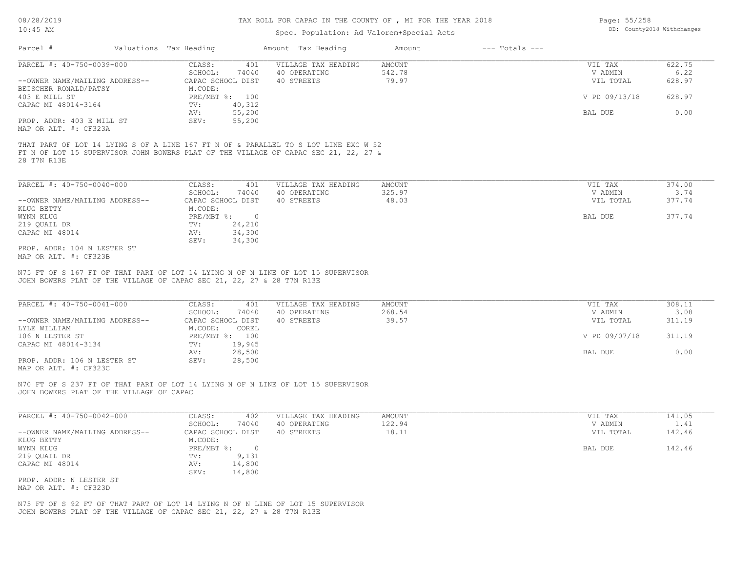### TAX ROLL FOR CAPAC IN THE COUNTY OF , MI FOR THE YEAR 2018

# Spec. Population: Ad Valorem+Special Acts

| Page: 55/258 |                            |
|--------------|----------------------------|
|              | DB: County2018 Withchanges |

|                                                                                                                                                                                           |                              | spec. ropulation. Ad valorem special Acts |               |                    |               |        |
|-------------------------------------------------------------------------------------------------------------------------------------------------------------------------------------------|------------------------------|-------------------------------------------|---------------|--------------------|---------------|--------|
| Parcel #<br>Valuations Tax Heading                                                                                                                                                        |                              | Amount Tax Heading                        | Amount        | $---$ Totals $---$ |               |        |
| PARCEL #: 40-750-0039-000                                                                                                                                                                 | CLASS:<br>401                | VILLAGE TAX HEADING                       | <b>AMOUNT</b> |                    | VIL TAX       | 622.75 |
|                                                                                                                                                                                           | SCHOOL:<br>74040             | 40 OPERATING                              | 542.78        |                    | V ADMIN       | 6.22   |
| --OWNER NAME/MAILING ADDRESS--                                                                                                                                                            | CAPAC SCHOOL DIST            | 40 STREETS                                | 79.97         |                    | VIL TOTAL     | 628.97 |
| BEISCHER RONALD/PATSY                                                                                                                                                                     | M.CODE:                      |                                           |               |                    |               |        |
| 403 E MILL ST                                                                                                                                                                             | PRE/MBT %: 100               |                                           |               |                    | V PD 09/13/18 | 628.97 |
| CAPAC MI 48014-3164                                                                                                                                                                       | 40,312<br>$\text{TV}$ :      |                                           |               |                    |               |        |
|                                                                                                                                                                                           | 55,200<br>AV:                |                                           |               |                    | BAL DUE       | 0.00   |
| PROP. ADDR: 403 E MILL ST                                                                                                                                                                 | 55,200<br>SEV:               |                                           |               |                    |               |        |
| MAP OR ALT. #: CF323A                                                                                                                                                                     |                              |                                           |               |                    |               |        |
| THAT PART OF LOT 14 LYING S OF A LINE 167 FT N OF & PARALLEL TO S LOT LINE EXC W 52<br>FT N OF LOT 15 SUPERVISOR JOHN BOWERS PLAT OF THE VILLAGE OF CAPAC SEC 21, 22, 27 &<br>28 T7N R13E |                              |                                           |               |                    |               |        |
| PARCEL #: 40-750-0040-000                                                                                                                                                                 | CLASS:<br>401                | VILLAGE TAX HEADING                       | <b>AMOUNT</b> |                    | VIL TAX       | 374.00 |
|                                                                                                                                                                                           | SCHOOL:<br>74040             | 40 OPERATING                              | 325.97        |                    | V ADMIN       | 3.74   |
| --OWNER NAME/MAILING ADDRESS--                                                                                                                                                            | CAPAC SCHOOL DIST            | 40 STREETS                                | 48.03         |                    | VIL TOTAL     | 377.74 |
| KLUG BETTY                                                                                                                                                                                | M.CODE:                      |                                           |               |                    |               |        |
| WYNN KLUG                                                                                                                                                                                 | PRE/MBT %:<br>$\overline{0}$ |                                           |               |                    | BAL DUE       | 377.74 |
| 219 QUAIL DR                                                                                                                                                                              | 24,210<br>TV:                |                                           |               |                    |               |        |
| CAPAC MI 48014                                                                                                                                                                            | 34,300<br>AV:                |                                           |               |                    |               |        |
|                                                                                                                                                                                           | 34,300<br>SEV:               |                                           |               |                    |               |        |
| PROP. ADDR: 104 N LESTER ST<br>MAP OR ALT. #: CF323B                                                                                                                                      |                              |                                           |               |                    |               |        |
| N75 FT OF S 167 FT OF THAT PART OF LOT 14 LYING N OF N LINE OF LOT 15 SUPERVISOR<br>JOHN BOWERS PLAT OF THE VILLAGE OF CAPAC SEC 21, 22, 27 & 28 T7N R13E                                 |                              |                                           |               |                    |               |        |
|                                                                                                                                                                                           |                              |                                           |               |                    |               |        |
| PARCEL #: 40-750-0041-000                                                                                                                                                                 | CLASS:<br>401                | VILLAGE TAX HEADING                       | <b>AMOUNT</b> |                    | VIL TAX       | 308.11 |
|                                                                                                                                                                                           | SCHOOL:<br>74040             | 40 OPERATING                              | 268.54        |                    | V ADMIN       | 3.08   |
| --OWNER NAME/MAILING ADDRESS--                                                                                                                                                            | CAPAC SCHOOL DIST            | 40 STREETS                                | 39.57         |                    | VIL TOTAL     | 311.19 |
| LYLE WILLIAM                                                                                                                                                                              | M.CODE:<br>COREL             |                                           |               |                    |               |        |
| 106 N LESTER ST                                                                                                                                                                           | PRE/MBT %: 100               |                                           |               |                    | V PD 09/07/18 | 311.19 |
| CAPAC MI 48014-3134                                                                                                                                                                       | 19,945<br>TV:                |                                           |               |                    |               |        |
|                                                                                                                                                                                           | 28,500<br>AV:                |                                           |               |                    | BAL DUE       | 0.00   |

MAP OR ALT. #: CF323C PROP. ADDR: 106 N LESTER ST SEV: 28,500

JOHN BOWERS PLAT OF THE VILLAGE OF CAPAC N70 FT OF S 237 FT OF THAT PART OF LOT 14 LYING N OF N LINE OF LOT 15 SUPERVISOR

| PARCEL #: 40-750-0042-000      | CLASS:            | 402    | VILLAGE TAX HEADING | AMOUNT | VIL TAX   | 141.05 |
|--------------------------------|-------------------|--------|---------------------|--------|-----------|--------|
|                                | SCHOOL:           | 74040  | 40 OPERATING        | 122.94 | V ADMIN   | 1.41   |
| --OWNER NAME/MAILING ADDRESS-- | CAPAC SCHOOL DIST |        | 40 STREETS          | 18.11  | VIL TOTAL | 142.46 |
| KLUG BETTY                     | M.CODE:           |        |                     |        |           |        |
| WYNN KLUG                      | $PRE/MBT$ %:      |        |                     |        | BAL DUE   | 142.46 |
| 219 QUAIL DR                   | TV:               | 9,131  |                     |        |           |        |
| CAPAC MI 48014                 | AV:               | 14,800 |                     |        |           |        |
|                                | SEV:              | 14,800 |                     |        |           |        |
| PROP. ADDR: N LESTER ST        |                   |        |                     |        |           |        |
| MAP OR ALT. #: CF323D          |                   |        |                     |        |           |        |

AV: 28,500 BAL DUE 0.00

N75 FT OF S 92 FT OF THAT PART OF LOT 14 LYING N OF N LINE OF LOT 15 SUPERVISOR

JOHN BOWERS PLAT OF THE VILLAGE OF CAPAC SEC 21, 22, 27 & 28 T7N R13E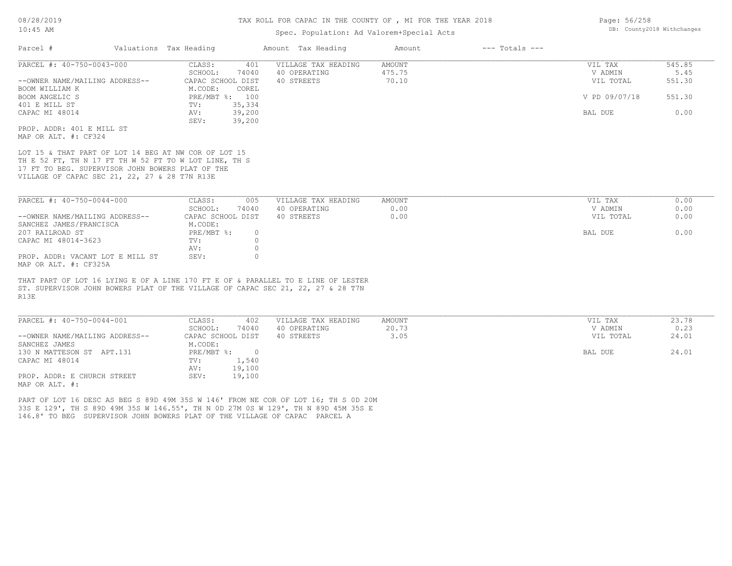# Spec. Population: Ad Valorem+Special Acts

| Parcel #                                                                                                                                                                                                           | Valuations Tax Heading          | Amount Tax Heading  | Amount | $---$ Totals $---$ |               |        |
|--------------------------------------------------------------------------------------------------------------------------------------------------------------------------------------------------------------------|---------------------------------|---------------------|--------|--------------------|---------------|--------|
| PARCEL #: 40-750-0043-000                                                                                                                                                                                          | CLASS:<br>401                   | VILLAGE TAX HEADING | AMOUNT |                    | VIL TAX       | 545.85 |
|                                                                                                                                                                                                                    | SCHOOL:<br>74040                | 40 OPERATING        | 475.75 |                    | V ADMIN       | 5.45   |
| --OWNER NAME/MAILING ADDRESS--                                                                                                                                                                                     | CAPAC SCHOOL DIST               | 40 STREETS          | 70.10  |                    | VIL TOTAL     | 551.30 |
| BOOM WILLIAM K                                                                                                                                                                                                     | M.CODE:<br>COREL                |                     |        |                    |               |        |
| BOOM ANGELIC S                                                                                                                                                                                                     | PRE/MBT %: 100                  |                     |        |                    | V PD 09/07/18 | 551.30 |
| 401 E MILL ST                                                                                                                                                                                                      | 35,334<br>TV:                   |                     |        |                    |               |        |
| CAPAC MI 48014                                                                                                                                                                                                     | 39,200<br>AV:<br>SEV:<br>39,200 |                     |        |                    | BAL DUE       | 0.00   |
| PROP. ADDR: 401 E MILL ST                                                                                                                                                                                          |                                 |                     |        |                    |               |        |
| MAP OR ALT. #: CF324                                                                                                                                                                                               |                                 |                     |        |                    |               |        |
| LOT 15 & THAT PART OF LOT 14 BEG AT NW COR OF LOT 15<br>TH E 52 FT, TH N 17 FT TH W 52 FT TO W LOT LINE, TH S<br>17 FT TO BEG. SUPERVISOR JOHN BOWERS PLAT OF THE<br>VILLAGE OF CAPAC SEC 21, 22, 27 & 28 T7N R13E |                                 |                     |        |                    |               |        |
| PARCEL #: 40-750-0044-000                                                                                                                                                                                          | CLASS:<br>005                   | VILLAGE TAX HEADING | AMOUNT |                    | VIL TAX       | 0.00   |
|                                                                                                                                                                                                                    | SCHOOL:<br>74040                | 40 OPERATING        | 0.00   |                    | V ADMIN       | 0.00   |
| --OWNER NAME/MAILING ADDRESS--                                                                                                                                                                                     | CAPAC SCHOOL DIST               | 40 STREETS          | 0.00   |                    | VIL TOTAL     | 0.00   |
| SANCHEZ JAMES/FRANCISCA                                                                                                                                                                                            | M.CODE:                         |                     |        |                    |               |        |
| 207 RAILROAD ST                                                                                                                                                                                                    | $PRE/MBT$ %:<br>$\circ$         |                     |        |                    | BAL DUE       | 0.00   |
| CAPAC MI 48014-3623                                                                                                                                                                                                | $\circ$<br>TV:                  |                     |        |                    |               |        |
|                                                                                                                                                                                                                    | $\circ$<br>AV:                  |                     |        |                    |               |        |
| PROP. ADDR: VACANT LOT E MILL ST                                                                                                                                                                                   | SEV:<br>$\circ$                 |                     |        |                    |               |        |
| MAP OR ALT. #: CF325A                                                                                                                                                                                              |                                 |                     |        |                    |               |        |
| THAT PART OF LOT 16 LYING E OF A LINE 170 FT E OF & PARALLEL TO E LINE OF LESTER<br>ST. SUPERVISOR JOHN BOWERS PLAT OF THE VILLAGE OF CAPAC SEC 21, 22, 27 & 28 T7N<br>R13E                                        |                                 |                     |        |                    |               |        |
| PARCEL #: 40-750-0044-001                                                                                                                                                                                          | CLASS:<br>402                   | VILLAGE TAX HEADING | AMOUNT |                    | VIL TAX       | 23.78  |
|                                                                                                                                                                                                                    | SCHOOL:<br>74040                | 40 OPERATING        | 20.73  |                    | V ADMIN       | 0.23   |
|                                                                                                                                                                                                                    |                                 | 40 STREETS          | 3.05   |                    | VIL TOTAL     | 24.01  |
| --OWNER NAME/MAILING ADDRESS--                                                                                                                                                                                     | CAPAC SCHOOL DIST               |                     |        |                    |               |        |
| SANCHEZ JAMES                                                                                                                                                                                                      | M.CODE:                         |                     |        |                    |               |        |
| 130 N MATTESON ST APT.131                                                                                                                                                                                          | $PRE/MBT$ %:<br>$\overline{0}$  |                     |        |                    | BAL DUE       | 24.01  |
| CAPAC MI 48014                                                                                                                                                                                                     | 1,540<br>TV:                    |                     |        |                    |               |        |
|                                                                                                                                                                                                                    | 19,100<br>AV:                   |                     |        |                    |               |        |
| PROP. ADDR: E CHURCH STREET                                                                                                                                                                                        | 19,100<br>SEV:                  |                     |        |                    |               |        |
| MAP OR ALT. #:                                                                                                                                                                                                     |                                 |                     |        |                    |               |        |
| PART OF LOT 16 DESC AS BEG S 89D 49M 35S W 146' FROM NE COR OF LOT 16; TH S OD 20M                                                                                                                                 |                                 |                     |        |                    |               |        |
| 33S E 129', TH S 89D 49M 35S W 146.55', TH N OD 27M OS W 129', TH N 89D 45M 35S E                                                                                                                                  |                                 |                     |        |                    |               |        |

Page: 56/258 DB: County2018 Withchanges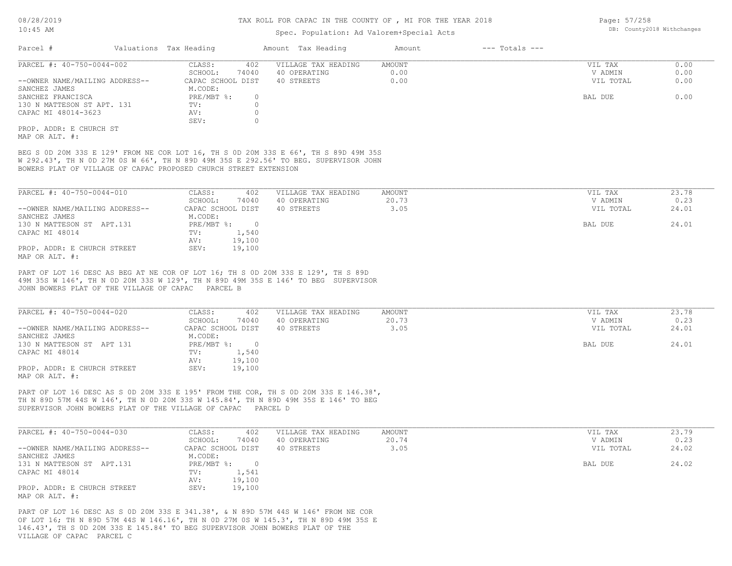## Spec. Population: Ad Valorem+Special Acts

| Parcel #                       | Valuations Tax Heading |       | Amount Tax Heading  | Amount | $---$ Totals $---$ |           |      |
|--------------------------------|------------------------|-------|---------------------|--------|--------------------|-----------|------|
| PARCEL #: 40-750-0044-002      | CLASS:                 | 402   | VILLAGE TAX HEADING | AMOUNT |                    | VIL TAX   | 0.00 |
|                                | SCHOOL:                | 74040 | 40 OPERATING        | 0.00   |                    | V ADMIN   | 0.00 |
| --OWNER NAME/MAILING ADDRESS-- | CAPAC SCHOOL DIST      |       | 40 STREETS          | 0.00   |                    | VIL TOTAL | 0.00 |
| SANCHEZ JAMES                  | M.CODE:                |       |                     |        |                    |           |      |
| SANCHEZ FRANCISCA              | $PRE/MBT$ %:           |       |                     |        |                    | BAL DUE   | 0.00 |
| 130 N MATTESON ST APT. 131     | TV:                    |       |                     |        |                    |           |      |
| CAPAC MI 48014-3623            | AV:                    |       |                     |        |                    |           |      |
|                                | SEV:                   |       |                     |        |                    |           |      |
| PROP. ADDR: E CHURCH ST        |                        |       |                     |        |                    |           |      |
|                                |                        |       |                     |        |                    |           |      |

MAP OR ALT. #:

BOWERS PLAT OF VILLAGE OF CAPAC PROPOSED CHURCH STREET EXTENSION W 292.43', TH N 0D 27M 0S W 66', TH N 89D 49M 35S E 292.56' TO BEG. SUPERVISOR JOHN BEG S 0D 20M 33S E 129' FROM NE COR LOT 16, TH S 0D 20M 33S E 66', TH S 89D 49M 35S

| PARCEL #: 40-750-0044-010      | CLASS:     | 402               | VILLAGE TAX HEADING | AMOUNT | VIL TAX   | 23.78 |
|--------------------------------|------------|-------------------|---------------------|--------|-----------|-------|
|                                | SCHOOL:    | 74040             | 40 OPERATING        | 20.73  | V ADMIN   | 0.23  |
| --OWNER NAME/MAILING ADDRESS-- |            | CAPAC SCHOOL DIST | 40 STREETS          | 3.05   | VIL TOTAL | 24.01 |
| SANCHEZ JAMES                  | M.CODE:    |                   |                     |        |           |       |
| 130 N MATTESON ST APT.131      | PRE/MBT %: |                   |                     |        | BAL DUE   | 24.01 |
| CAPAC MI 48014                 | TV:        | 1,540             |                     |        |           |       |
|                                | AV:        | 19,100            |                     |        |           |       |
| PROP. ADDR: E CHURCH STREET    | SEV:       | 19,100            |                     |        |           |       |
| MAP OR ALT. #:                 |            |                   |                     |        |           |       |

JOHN BOWERS PLAT OF THE VILLAGE OF CAPAC PARCEL B 49M 35S W 146', TH N 0D 20M 33S W 129', TH N 89D 49M 35S E 146' TO BEG SUPERVISOR PART OF LOT 16 DESC AS BEG AT NE COR OF LOT 16; TH S 0D 20M 33S E 129', TH S 89D

| PARCEL #: 40-750-0044-020      | CLASS:<br>402     | VILLAGE TAX HEADING | AMOUNT | VIL TAX   | 23.78 |
|--------------------------------|-------------------|---------------------|--------|-----------|-------|
|                                | 74040<br>SCHOOL:  | 40 OPERATING        | 20.73  | V ADMIN   | 0.23  |
| --OWNER NAME/MAILING ADDRESS-- | CAPAC SCHOOL DIST | 40 STREETS          | 3.05   | VIL TOTAL | 24.01 |
| SANCHEZ JAMES                  | M.CODE:           |                     |        |           |       |
| 130 N MATTESON ST APT 131      | $PRE/MBT$ %:      |                     |        | BAL DUE   | 24.01 |
| CAPAC MI 48014                 | 1,540<br>TV:      |                     |        |           |       |
|                                | 19,100<br>AV:     |                     |        |           |       |
| PROP. ADDR: E CHURCH STREET    | 19,100<br>SEV:    |                     |        |           |       |
| MAP OR ALT. #:                 |                   |                     |        |           |       |

SUPERVISOR JOHN BOWERS PLAT OF THE VILLAGE OF CAPAC PARCEL D TH N 89D 57M 44S W 146', TH N 0D 20M 33S W 145.84', TH N 89D 49M 35S E 146' TO BEG PART OF LOT 16 DESC AS S 0D 20M 33S E 195' FROM THE COR, TH S 0D 20M 33S E 146.38',

| PARCEL #: 40-750-0044-030      | CLASS:<br>402     | VILLAGE TAX HEADING | AMOUNT | VIL TAX   | 23.79 |
|--------------------------------|-------------------|---------------------|--------|-----------|-------|
|                                | 74040<br>SCHOOL:  | 40 OPERATING        | 20.74  | V ADMIN   | 0.23  |
| --OWNER NAME/MAILING ADDRESS-- | CAPAC SCHOOL DIST | 40 STREETS          | 3.05   | VIL TOTAL | 24.02 |
| SANCHEZ JAMES                  | M.CODE:           |                     |        |           |       |
| 131 N MATTESON ST APT.131      | PRE/MBT %:        |                     |        | BAL DUE   | 24.02 |
| CAPAC MI 48014                 | 1,541<br>TV:      |                     |        |           |       |
|                                | 19,100<br>AV:     |                     |        |           |       |
| PROP. ADDR: E CHURCH STREET    | 19,100<br>SEV:    |                     |        |           |       |
| MAP OR ALT. #:                 |                   |                     |        |           |       |

VILLAGE OF CAPAC PARCEL C 146.43', TH S 0D 20M 33S E 145.84' TO BEG SUPERVISOR JOHN BOWERS PLAT OF THE OF LOT 16; TH N 89D 57M 44S W 146.16', TH N 0D 27M 0S W 145.3', TH N 89D 49M 35S E PART OF LOT 16 DESC AS S 0D 20M 33S E 341.38', & N 89D 57M 44S W 146' FROM NE COR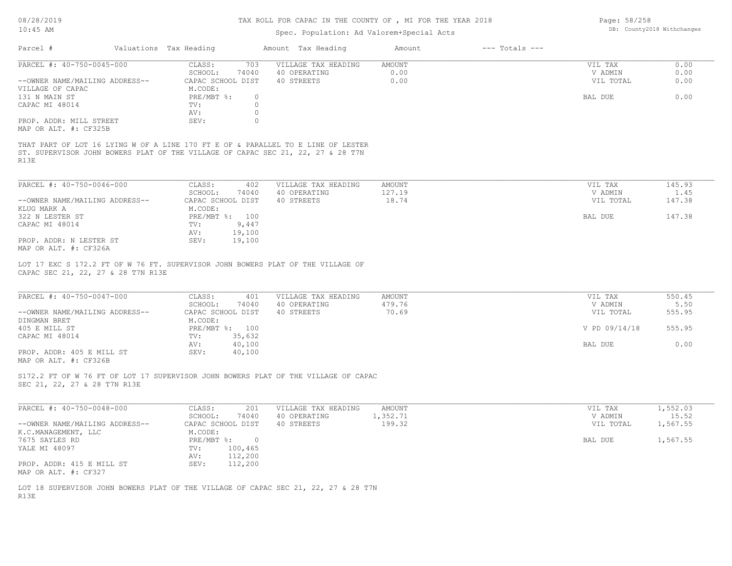# TAX ROLL FOR CAPAC IN THE COUNTY OF , MI FOR THE YEAR 2018

# Spec. Population: Ad Valorem+Special Acts

Page: 58/258 DB: County2018 Withchanges

| Parcel #                                                                                                           | Valuations Tax Heading                                                        |                                               | Amount Tax Heading                                                                                                                                                  | Amount                 | $---$ Totals $---$ |                                            |                              |
|--------------------------------------------------------------------------------------------------------------------|-------------------------------------------------------------------------------|-----------------------------------------------|---------------------------------------------------------------------------------------------------------------------------------------------------------------------|------------------------|--------------------|--------------------------------------------|------------------------------|
| PARCEL #: 40-750-0045-000<br>--OWNER NAME/MAILING ADDRESS--<br>VILLAGE OF CAPAC<br>131 N MAIN ST<br>CAPAC MI 48014 | CLASS:<br>SCHOOL:<br>CAPAC SCHOOL DIST<br>M.CODE:<br>PRE/MBT %:<br>TV:<br>AV: | 703<br>74040<br>$\circ$<br>$\circ$<br>$\circ$ | VILLAGE TAX HEADING<br>40 OPERATING<br>40 STREETS                                                                                                                   | AMOUNT<br>0.00<br>0.00 |                    | VIL TAX<br>V ADMIN<br>VIL TOTAL<br>BAL DUE | 0.00<br>0.00<br>0.00<br>0.00 |
| PROP. ADDR: MILL STREET<br>MAP OR ALT. #: CF325B                                                                   | SEV:                                                                          | $\circ$                                       | THAT PART OF LOT 16 LYING W OF A LINE 170 FT E OF & PARALLEL TO E LINE OF LESTER<br>ST. SUPERVISOR JOHN BOWERS PLAT OF THE VILLAGE OF CAPAC SEC 21, 22, 27 & 28 T7N |                        |                    |                                            |                              |
| R13E                                                                                                               |                                                                               |                                               |                                                                                                                                                                     |                        |                    |                                            |                              |
| PARCEL #: 40-750-0046-000                                                                                          | CLASS:<br>SCHOOL:                                                             | 402<br>74040                                  | VILLAGE TAX HEADING<br>40 OPERATING                                                                                                                                 | AMOUNT<br>127.19       |                    | VIL TAX<br>V ADMIN                         | 145.93<br>1.45               |
| --OWNER NAME/MAILING ADDRESS--                                                                                     | CAPAC SCHOOL DIST                                                             |                                               | 40 STREETS                                                                                                                                                          | 18.74                  |                    | VIL TOTAL                                  | 147.38                       |
| KLUG MARK A<br>322 N LESTER ST                                                                                     | M.CODE:<br>PRE/MBT %: 100                                                     |                                               |                                                                                                                                                                     |                        |                    | BAL DUE                                    | 147.38                       |
| CAPAC MI 48014                                                                                                     | TV:<br>AV:                                                                    | 9,447<br>19,100                               |                                                                                                                                                                     |                        |                    |                                            |                              |
| PROP. ADDR: N LESTER ST<br>MAP OR ALT. #: CF326A                                                                   | SEV:                                                                          | 19,100                                        |                                                                                                                                                                     |                        |                    |                                            |                              |
| CAPAC SEC 21, 22, 27 & 28 T7N R13E                                                                                 |                                                                               |                                               | LOT 17 EXC S 172.2 FT OF W 76 FT. SUPERVISOR JOHN BOWERS PLAT OF THE VILLAGE OF                                                                                     |                        |                    |                                            |                              |
| PARCEL #: 40-750-0047-000                                                                                          | CLASS:                                                                        | 401                                           | VILLAGE TAX HEADING                                                                                                                                                 | AMOUNT                 |                    | VIL TAX                                    | 550.45                       |
| --OWNER NAME/MAILING ADDRESS--<br>DINGMAN BRET                                                                     | SCHOOL:<br>CAPAC SCHOOL DIST<br>M.CODE:                                       | 74040                                         | 40 OPERATING<br>40 STREETS                                                                                                                                          | 479.76<br>70.69        |                    | V ADMIN<br>VIL TOTAL                       | 5.50<br>555.95               |
| 405 E MILL ST                                                                                                      | PRE/MBT %: 100                                                                |                                               |                                                                                                                                                                     |                        |                    | V PD 09/14/18                              | 555.95                       |
| CAPAC MI 48014                                                                                                     | TV:<br>AV:                                                                    | 35,632<br>40,100                              |                                                                                                                                                                     |                        |                    | BAL DUE                                    | 0.00                         |
| PROP. ADDR: 405 E MILL ST<br>MAP OR ALT. #: CF326B                                                                 | SEV:                                                                          | 40,100                                        |                                                                                                                                                                     |                        |                    |                                            |                              |
| SEC 21, 22, 27 & 28 T7N R13E                                                                                       |                                                                               |                                               | S172.2 FT OF W 76 FT OF LOT 17 SUPERVISOR JOHN BOWERS PLAT OF THE VILLAGE OF CAPAC                                                                                  |                        |                    |                                            |                              |
| PARCEL #: 40-750-0048-000                                                                                          | CLASS:                                                                        | 201                                           | VILLAGE TAX HEADING                                                                                                                                                 | AMOUNT                 |                    | VIL TAX                                    | 1,552.03                     |
| --OWNER NAME/MAILING ADDRESS--                                                                                     | SCHOOL:<br>CAPAC SCHOOL DIST                                                  | 74040                                         | 40 OPERATING<br>40 STREETS                                                                                                                                          | 1,352.71<br>199.32     |                    | V ADMIN<br>VIL TOTAL                       | 15.52<br>1,567.55            |
| K.C.MANAGEMENT, LLC<br>7675 SAYLES RD<br>YALE MI 48097                                                             | M.CODE:<br>$PRE/MBT$ $\div$ 0<br>TV:<br>AV:                                   | 100,465<br>112,200                            |                                                                                                                                                                     |                        |                    | BAL DUE                                    | 1,567.55                     |
| PROP. ADDR: 415 E MILL ST<br>MAP OR ALT. #: CF327                                                                  | SEV:                                                                          | 112,200                                       |                                                                                                                                                                     |                        |                    |                                            |                              |

R13E LOT 18 SUPERVISOR JOHN BOWERS PLAT OF THE VILLAGE OF CAPAC SEC 21, 22, 27 & 28 T7N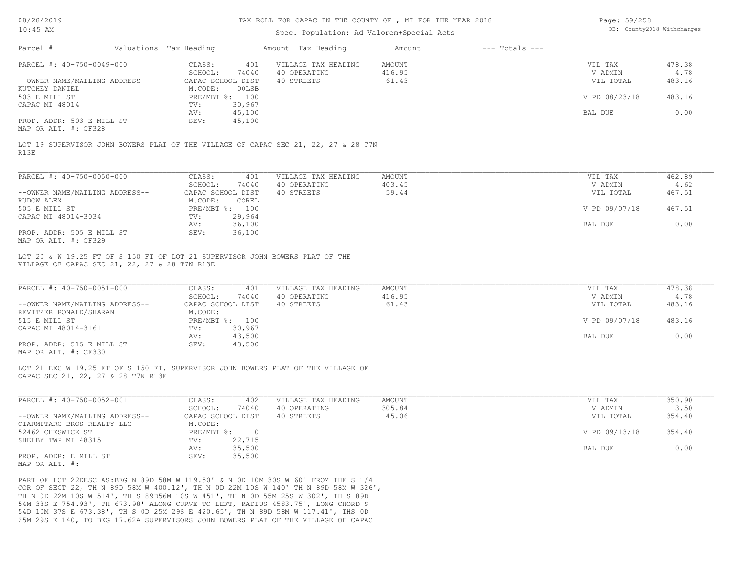### TAX ROLL FOR CAPAC IN THE COUNTY OF , MI FOR THE YEAR 2018

## Spec. Population: Ad Valorem+Special Acts

| Page: 59/258 |                            |
|--------------|----------------------------|
|              | DB: County2018 Withchanges |

| Parcel #                                                 | Valuations Tax Heading                                                             | Amount Tax Heading                         | Amount                  | $---$ Totals $---$ |                      |                |
|----------------------------------------------------------|------------------------------------------------------------------------------------|--------------------------------------------|-------------------------|--------------------|----------------------|----------------|
| PARCEL #: 40-750-0049-000                                | CLASS:<br>SCHOOL:<br>74040                                                         | 401<br>VILLAGE TAX HEADING<br>40 OPERATING | <b>AMOUNT</b><br>416.95 |                    | VIL TAX<br>V ADMIN   | 478.38<br>4.78 |
| --OWNER NAME/MAILING ADDRESS--<br>KUTCHEY DANIEL         | CAPAC SCHOOL DIST<br>M.CODE:<br>00LSB                                              | 40 STREETS                                 | 61.43                   |                    | VIL TOTAL            | 483.16         |
| 503 E MILL ST<br>CAPAC MI 48014                          | PRE/MBT %: 100<br>30,967<br>TV:                                                    |                                            |                         |                    | V PD 08/23/18        | 483.16         |
|                                                          | AV:<br>45,100                                                                      |                                            |                         |                    | BAL DUE              | 0.00           |
| PROP. ADDR: 503 E MILL ST<br>MAP OR ALT. #: CF328        | 45,100<br>SEV:                                                                     |                                            |                         |                    |                      |                |
| R13E                                                     | LOT 19 SUPERVISOR JOHN BOWERS PLAT OF THE VILLAGE OF CAPAC SEC 21, 22, 27 & 28 T7N |                                            |                         |                    |                      |                |
| PARCEL #: 40-750-0050-000                                | CLASS:<br>401                                                                      | VILLAGE TAX HEADING                        | <b>AMOUNT</b>           |                    | VIL TAX              | 462.89         |
| --OWNER NAME/MAILING ADDRESS--                           | SCHOOL:<br>74040<br>CAPAC SCHOOL DIST                                              | 40 OPERATING<br>40 STREETS                 | 403.45<br>59.44         |                    | V ADMIN<br>VIL TOTAL | 4.62<br>467.51 |
| RUDOW ALEX<br>505 E MILL ST                              | M.CODE:<br>COREL<br>PRE/MBT %: 100                                                 |                                            |                         |                    | V PD 09/07/18        | 467.51         |
| CAPAC MI 48014-3034                                      | TV:<br>29,964<br>36,100<br>AV:                                                     |                                            |                         |                    | BAL DUE              | 0.00           |
| PROP. ADDR: 505 E MILL ST<br>MAP OR ALT. #: CF329        | SEV:<br>36,100                                                                     |                                            |                         |                    |                      |                |
| PARCEL #: 40-750-0051-000                                | CLASS:<br>401<br>SCHOOL:<br>74040                                                  | VILLAGE TAX HEADING<br>40 OPERATING        | <b>AMOUNT</b><br>416.95 |                    | VIL TAX<br>V ADMIN   | 478.38<br>4.78 |
| --OWNER NAME/MAILING ADDRESS--<br>REVITZER RONALD/SHARAN | CAPAC SCHOOL DIST<br>M.CODE:                                                       | 40 STREETS                                 | 61.43                   |                    | VIL TOTAL            | 483.16         |
| 515 E MILL ST<br>CAPAC MI 48014-3161                     | PRE/MBT %: 100<br>TV:<br>30,967                                                    |                                            |                         | V PD 09/07/18      | 483.16               |                |
| PROP. ADDR: 515 E MILL ST<br>MAP OR ALT. #: CF330        | 43,500<br>AV:<br>SEV:<br>43,500                                                    |                                            |                         |                    | BAL DUE              | 0.00           |
| CAPAC SEC 21, 22, 27 & 28 T7N R13E                       | LOT 21 EXC W 19.25 FT OF S 150 FT. SUPERVISOR JOHN BOWERS PLAT OF THE VILLAGE OF   |                                            |                         |                    |                      |                |
| PARCEL #: 40-750-0052-001                                | CLASS:                                                                             | 402<br>VILLAGE TAX HEADING                 | <b>AMOUNT</b>           |                    | VIL TAX              | 350.90         |
| --OWNER NAME/MAILING ADDRESS--                           | SCHOOL:<br>74040<br>CAPAC SCHOOL DIST                                              | 40 OPERATING<br>40 STREETS                 | 305.84<br>45.06         |                    | V ADMIN<br>VIL TOTAL | 3.50<br>354.40 |
| CIARMITARO BROS REALTY LLC                               | M.CODE:                                                                            |                                            |                         |                    |                      |                |
| 52462 CHESWICK ST<br>SHELBY TWP MI 48315                 | PRE/MBT %:<br>22,715<br>TV:                                                        | $\circ$                                    |                         |                    | V PD 09/13/18        | 354.40         |
| PROP. ADDR: E MILL ST<br>MAP OR ALT. #:                  | 35,500<br>AV:<br>SEV:<br>35,500                                                    |                                            |                         |                    | BAL DUE              | 0.00           |
|                                                          | PART OF LOT 22DESC AS: BEG N 89D 58M W 119.50' & N 0D 10M 30S W 60' FROM THE S 1/4 |                                            |                         |                    |                      |                |

25M 29S E 140, TO BEG 17.62A SUPERVISORS JOHN BOWERS PLAT OF THE VILLAGE OF CAPAC 54D 10M 37S E 673.38', TH S 0D 25M 29S E 420.65', TH N 89D 58M W 117.41', THS 0D 54M 38S E 754.93', TH 673.98' ALONG CURVE TO LEFT, RADIUS 4583.75', LONG CHORD S TH N 0D 22M 10S W 514', TH S 89D56M 10S W 451', TH N 0D 55M 25S W 302', TH S 89D COR OF SECT 22, TH N 89D 58M W 400.12', TH N 0D 22M 10S W 140' TH N 89D 58M W 326',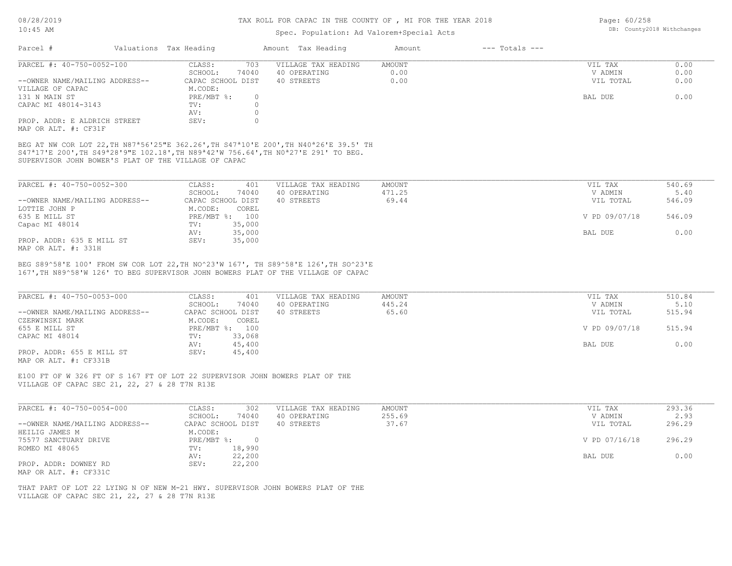### TAX ROLL FOR CAPAC IN THE COUNTY OF , MI FOR THE YEAR 2018

## Spec. Population: Ad Valorem+Special Acts

Page: 60/258 DB: County2018 Withchanges

| Parcel #                       | Valuations Tax Heading |       | Amount Tax Heading  | Amount | $---$ Totals $---$ |           |      |
|--------------------------------|------------------------|-------|---------------------|--------|--------------------|-----------|------|
| PARCEL #: 40-750-0052-100      | CLASS:                 | 703   | VILLAGE TAX HEADING | AMOUNT |                    | VIL TAX   | 0.00 |
|                                | SCHOOL:                | 74040 | 40 OPERATING        | 0.00   |                    | V ADMIN   | 0.00 |
| --OWNER NAME/MAILING ADDRESS-- | CAPAC SCHOOL DIST      |       | 40 STREETS          | 0.00   |                    | VIL TOTAL | 0.00 |
| VILLAGE OF CAPAC               | M.CODE:                |       |                     |        |                    |           |      |
| 131 N MAIN ST                  | PRE/MBT %:             |       |                     |        |                    | BAL DUE   | 0.00 |
| CAPAC MI 48014-3143            | TV:                    |       |                     |        |                    |           |      |
|                                | AV:                    |       |                     |        |                    |           |      |
| PROP. ADDR: E ALDRICH STREET   | SEV:                   |       |                     |        |                    |           |      |
| MAP OR ALT. #: CF31F           |                        |       |                     |        |                    |           |      |

SUPERVISOR JOHN BOWER'S PLAT OF THE VILLAGE OF CAPAC S47ª17'E 200',TH S49ª28'9"E 102.18',TH N89ª42'W 756.64',TH N0ª27'E 291' TO BEG. BEG AT NW COR LOT 22,TH N87ª56'25"E 362.26',TH S47ª10'E 200',TH N40ª26'E 39.5' TH

| PARCEL #: 40-750-0052-300      | 401<br>CLASS:     | VILLAGE TAX HEADING | AMOUNT | VIL TAX       | 540.69 |
|--------------------------------|-------------------|---------------------|--------|---------------|--------|
|                                | 74040<br>SCHOOL:  | 40 OPERATING        | 471.25 | V ADMIN       | 5.40   |
| --OWNER NAME/MAILING ADDRESS-- | CAPAC SCHOOL DIST | 40 STREETS          | 69.44  | VIL TOTAL     | 546.09 |
| LOTTIE JOHN P                  | M.CODE:<br>COREL  |                     |        |               |        |
| 635 E MILL ST                  | PRE/MBT %: 100    |                     |        | V PD 09/07/18 | 546.09 |
| Capac MI 48014                 | 35,000<br>TV:     |                     |        |               |        |
|                                | 35,000<br>AV:     |                     |        | BAL DUE       | 0.00   |
| PROP. ADDR: 635 E MILL ST      | 35,000<br>SEV:    |                     |        |               |        |
| MAP OR ALT. #: 331H            |                   |                     |        |               |        |

167',TH N89^58'W 126' TO BEG SUPERVISOR JOHN BOWERS PLAT OF THE VILLAGE OF CAPAC BEG S89^58'E 100' FROM SW COR LOT 22,TH NO^23'W 167', TH S89^58'E 126',TH SO^23'E

| PARCEL #: 40-750-0053-000      | CLASS:<br>401     | VILLAGE TAX HEADING | AMOUNT | VIL TAX       | 510.84 |
|--------------------------------|-------------------|---------------------|--------|---------------|--------|
|                                | 74040<br>SCHOOL:  | 40 OPERATING        | 445.24 | V ADMIN       | 5.10   |
| --OWNER NAME/MAILING ADDRESS-- | CAPAC SCHOOL DIST | 40 STREETS          | 65.60  | VIL TOTAL     | 515.94 |
| CZERWINSKI MARK                | M.CODE:<br>COREL  |                     |        |               |        |
| 655 E MILL ST                  | PRE/MBT %: 100    |                     |        | V PD 09/07/18 | 515.94 |
| CAPAC MI 48014                 | 33,068<br>TV:     |                     |        |               |        |
|                                | 45,400<br>AV:     |                     |        | BAL DUE       | 0.00   |
| PROP. ADDR: 655 E MILL ST      | 45,400<br>SEV:    |                     |        |               |        |
|                                |                   |                     |        |               |        |

MAP OR ALT. #: CF331B

VILLAGE OF CAPAC SEC 21, 22, 27 & 28 T7N R13E E100 FT OF W 326 FT OF S 167 FT OF LOT 22 SUPERVISOR JOHN BOWERS PLAT OF THE

| PARCEL #: 40-750-0054-000      | 302<br>CLASS:     | VILLAGE TAX HEADING | AMOUNT | VIL TAX       | 293.36 |
|--------------------------------|-------------------|---------------------|--------|---------------|--------|
|                                | 74040<br>SCHOOL:  | 40 OPERATING        | 255.69 | V ADMIN       | 2.93   |
| --OWNER NAME/MAILING ADDRESS-- | CAPAC SCHOOL DIST | 40 STREETS          | 37.67  | VIL TOTAL     | 296.29 |
| HEILIG JAMES M                 | M.CODE:           |                     |        |               |        |
| 75577 SANCTUARY DRIVE          | PRE/MBT %:        |                     |        | V PD 07/16/18 | 296.29 |
| ROMEO MI 48065                 | 18,990<br>TV:     |                     |        |               |        |
|                                | 22,200<br>AV:     |                     |        | BAL DUE       | 0.00   |
| PROP. ADDR: DOWNEY RD          | 22,200<br>SEV:    |                     |        |               |        |
| MAP OR ALT. #: CF331C          |                   |                     |        |               |        |

VILLAGE OF CAPAC SEC 21, 22, 27 & 28 T7N R13E THAT PART OF LOT 22 LYING N OF NEW M-21 HWY. SUPERVISOR JOHN BOWERS PLAT OF THE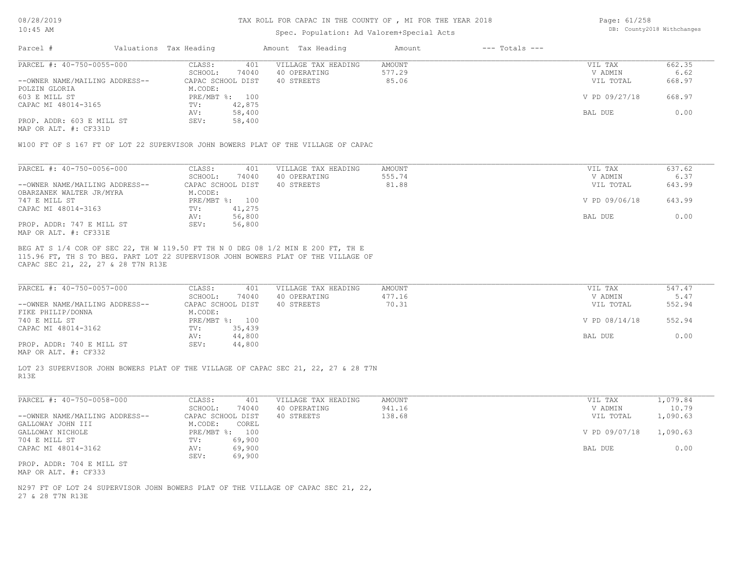### TAX ROLL FOR CAPAC IN THE COUNTY OF , MI FOR THE YEAR 2018

## Spec. Population: Ad Valorem+Special Acts

Page: 61/258 DB: County2018 Withchanges

| Parcel #                       | Valuations Tax Heading |                | Amount Tax Heading  | Amount | $---$ Totals $---$ |               |        |
|--------------------------------|------------------------|----------------|---------------------|--------|--------------------|---------------|--------|
| PARCEL #: 40-750-0055-000      | CLASS:                 | 401            | VILLAGE TAX HEADING | AMOUNT |                    | VIL TAX       | 662.35 |
|                                | SCHOOL:                | 74040          | 40 OPERATING        | 577.29 |                    | V ADMIN       | 6.62   |
| --OWNER NAME/MAILING ADDRESS-- | CAPAC SCHOOL DIST      |                | 40 STREETS          | 85.06  |                    | VIL TOTAL     | 668.97 |
| POLZIN GLORIA                  | M.CODE:                |                |                     |        |                    |               |        |
| 603 E MILL ST                  |                        | PRE/MBT %: 100 |                     |        |                    | V PD 09/27/18 | 668.97 |
| CAPAC MI 48014-3165            | TV:                    | 42,875         |                     |        |                    |               |        |
|                                | AV:                    | 58,400         |                     |        |                    | BAL DUE       | 0.00   |
| PROP. ADDR: 603 E MILL ST      | SEV:                   | 58,400         |                     |        |                    |               |        |
|                                |                        |                |                     |        |                    |               |        |

MAP OR ALT. #: CF331D

W100 FT OF S 167 FT OF LOT 22 SUPERVISOR JOHN BOWERS PLAT OF THE VILLAGE OF CAPAC

| PARCEL #: 40-750-0056-000      | CLASS:            | 401    | VILLAGE TAX HEADING | AMOUNT | VIL TAX       | 637.62 |
|--------------------------------|-------------------|--------|---------------------|--------|---------------|--------|
|                                | SCHOOL:           | 74040  | 40 OPERATING        | 555.74 | V ADMIN       | 6.37   |
| --OWNER NAME/MAILING ADDRESS-- | CAPAC SCHOOL DIST |        | 40 STREETS          | 81.88  | VIL TOTAL     | 643.99 |
| OBARZANEK WALTER JR/MYRA       | M.CODE:           |        |                     |        |               |        |
| 747 E MILL ST                  | $PRE/MBT$ %:      | 100    |                     |        | V PD 09/06/18 | 643.99 |
| CAPAC MI 48014-3163            | TV:               | 41,275 |                     |        |               |        |
|                                | AV:               | 56,800 |                     |        | BAL DUE       | 0.00   |
| PROP. ADDR: 747 E MILL ST      | SEV:              | 56,800 |                     |        |               |        |
| MAP OR ALT. #: CF331E          |                   |        |                     |        |               |        |

CAPAC SEC 21, 22, 27 & 28 T7N R13E 115.96 FT, TH S TO BEG. PART LOT 22 SUPERVISOR JOHN BOWERS PLAT OF THE VILLAGE OF BEG AT S 1/4 COR OF SEC 22, TH W 119.50 FT TH N 0 DEG 08 1/2 MIN E 200 FT, TH E

| PARCEL #: 40-750-0057-000      | CLASS:<br>401     | VILLAGE TAX HEADING | AMOUNT | VIL TAX       | 547.47 |
|--------------------------------|-------------------|---------------------|--------|---------------|--------|
|                                | 74040<br>SCHOOL:  | 40 OPERATING        | 477.16 | V ADMIN       | 5.47   |
| --OWNER NAME/MAILING ADDRESS-- | CAPAC SCHOOL DIST | 40 STREETS          | 70.31  | VIL TOTAL     | 552.94 |
| FIKE PHILIP/DONNA              | M.CODE:           |                     |        |               |        |
| 740 E MILL ST                  | PRE/MBT %: 100    |                     |        | V PD 08/14/18 | 552.94 |
| CAPAC MI 48014-3162            | 35,439<br>TV:     |                     |        |               |        |
|                                | 44,800<br>AV:     |                     |        | BAL DUE       | 0.00   |
| PROP. ADDR: 740 E MILL ST      | 44,800<br>SEV:    |                     |        |               |        |
|                                |                   |                     |        |               |        |

MAP OR ALT. #: CF332

R13E LOT 23 SUPERVISOR JOHN BOWERS PLAT OF THE VILLAGE OF CAPAC SEC 21, 22, 27 & 28 T7N

| PARCEL #: 40-750-0058-000      | 401<br>CLASS:       | VILLAGE TAX HEADING | AMOUNT | VIL TAX       | 1,079.84 |
|--------------------------------|---------------------|---------------------|--------|---------------|----------|
|                                | 74040<br>SCHOOL:    | 40 OPERATING        | 941.16 | V ADMIN       | 10.79    |
| --OWNER NAME/MAILING ADDRESS-- | CAPAC SCHOOL DIST   | 40 STREETS          | 138.68 | VIL TOTAL     | 1,090.63 |
| GALLOWAY JOHN III              | M.CODE:<br>COREL    |                     |        |               |          |
| GALLOWAY NICHOLE               | $PRE/MBT$ %:<br>100 |                     |        | V PD 09/07/18 | 1,090.63 |
| 704 E MILL ST                  | TV:<br>69,900       |                     |        |               |          |
| CAPAC MI 48014-3162            | 69,900<br>AV:       |                     |        | BAL DUE       | 0.00     |
|                                | 69,900<br>SEV:      |                     |        |               |          |
| PROP. ADDR: 704 E MILL ST      |                     |                     |        |               |          |

MAP OR ALT. #: CF333

27 & 28 T7N R13E N297 FT OF LOT 24 SUPERVISOR JOHN BOWERS PLAT OF THE VILLAGE OF CAPAC SEC 21, 22,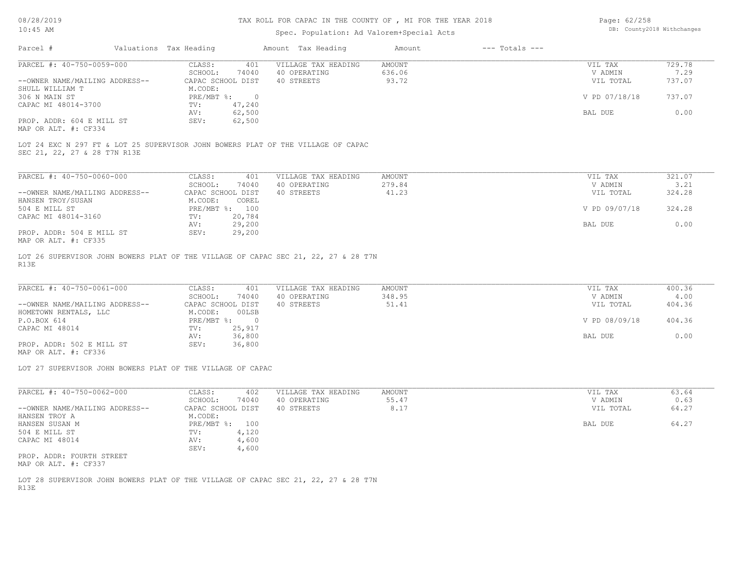### TAX ROLL FOR CAPAC IN THE COUNTY OF , MI FOR THE YEAR 2018

### Spec. Population: Ad Valorem+Special Acts

Page: 62/258 DB: County2018 Withchanges

| Parcel #                       | Valuations Tax Heading |        | Amount Tax Heading  | Amount | $---$ Totals $---$ |               |        |
|--------------------------------|------------------------|--------|---------------------|--------|--------------------|---------------|--------|
| PARCEL #: 40-750-0059-000      | CLASS:                 | 401    | VILLAGE TAX HEADING | AMOUNT |                    | VIL TAX       | 729.78 |
|                                | SCHOOL:                | 74040  | 40 OPERATING        | 636.06 |                    | V ADMIN       | 7.29   |
| --OWNER NAME/MAILING ADDRESS-- | CAPAC SCHOOL DIST      |        | 40 STREETS          | 93.72  |                    | VIL TOTAL     | 737.07 |
| SHULL WILLIAM T                | M.CODE:                |        |                     |        |                    |               |        |
| 306 N MAIN ST                  | $PRE/MBT$ %:           |        |                     |        |                    | V PD 07/18/18 | 737.07 |
| CAPAC MI 48014-3700            | TV:                    | 47,240 |                     |        |                    |               |        |
|                                | AV:                    | 62,500 |                     |        |                    | BAL DUE       | 0.00   |
| PROP. ADDR: 604 E MILL ST      | SEV:                   | 62,500 |                     |        |                    |               |        |
|                                |                        |        |                     |        |                    |               |        |

MAP OR ALT. #: CF334

SEC 21, 22, 27 & 28 T7N R13E LOT 24 EXC N 297 FT & LOT 25 SUPERVISOR JOHN BOWERS PLAT OF THE VILLAGE OF CAPAC

| PARCEL #: 40-750-0060-000      | CLASS:       | 401               | VILLAGE TAX HEADING | AMOUNT | VIL TAX       | 321.07 |
|--------------------------------|--------------|-------------------|---------------------|--------|---------------|--------|
|                                | SCHOOL:      | 74040             | 40 OPERATING        | 279.84 | V ADMIN       | 3.21   |
| --OWNER NAME/MAILING ADDRESS-- |              | CAPAC SCHOOL DIST | 40 STREETS          | 41.23  | VIL TOTAL     | 324.28 |
| HANSEN TROY/SUSAN              | M.CODE:      | COREL             |                     |        |               |        |
| 504 E MILL ST                  | $PRE/MBT$ %: | 100               |                     |        | V PD 09/07/18 | 324.28 |
| CAPAC MI 48014-3160            | TV:          | 20,784            |                     |        |               |        |
|                                | AV:          | 29,200            |                     |        | BAL DUE       | 0.00   |
| PROP. ADDR: 504 E MILL ST      | SEV:         | 29,200            |                     |        |               |        |
| MAD OD ATHL 4. OBOOE           |              |                   |                     |        |               |        |

MAP OR ALT. #: CF335

R13E LOT 26 SUPERVISOR JOHN BOWERS PLAT OF THE VILLAGE OF CAPAC SEC 21, 22, 27 & 28 T7N

| PARCEL #: 40-750-0061-000      | CLASS:<br>401     | VILLAGE TAX HEADING | AMOUNT | VIL TAX       | 400.36 |
|--------------------------------|-------------------|---------------------|--------|---------------|--------|
|                                | 74040<br>SCHOOL:  | 40 OPERATING        | 348.95 | V ADMIN       | 4.00   |
| --OWNER NAME/MAILING ADDRESS-- | CAPAC SCHOOL DIST | 40 STREETS          | 51.41  | VIL TOTAL     | 404.36 |
| HOMETOWN RENTALS, LLC          | 00LSB<br>M.CODE:  |                     |        |               |        |
| P.O.BOX 614                    | $PRE/MBT$ %:      |                     |        | V PD 08/09/18 | 404.36 |
| CAPAC MI 48014                 | 25,917<br>TV:     |                     |        |               |        |
|                                | 36,800<br>AV:     |                     |        | BAL DUE       | 0.00   |
| PROP. ADDR: 502 E MILL ST      | 36,800<br>SEV:    |                     |        |               |        |

MAP OR ALT. #: CF336

LOT 27 SUPERVISOR JOHN BOWERS PLAT OF THE VILLAGE OF CAPAC

| PARCEL #: 40-750-0062-000      | CLASS:                    | 402   | VILLAGE TAX HEADING | AMOUNT | 63.64<br>VIL TAX   |
|--------------------------------|---------------------------|-------|---------------------|--------|--------------------|
|                                | SCHOOL:                   | 74040 | 40 OPERATING        | 55.47  | 0.63<br>V ADMIN    |
| --OWNER NAME/MAILING ADDRESS-- | CAPAC SCHOOL DIST         |       | 40 STREETS          | 8.17   | 64.27<br>VIL TOTAL |
| HANSEN TROY A                  | M.CODE:                   |       |                     |        |                    |
| HANSEN SUSAN M                 | $PRE/MBT$ $\frac{6}{3}$ : | 100   |                     |        | 64.27<br>BAL DUE   |
| 504 E MILL ST                  | TV:                       | 4,120 |                     |        |                    |
| CAPAC MI 48014                 | AV:                       | 4,600 |                     |        |                    |
|                                | SEV:                      | 4,600 |                     |        |                    |
| PROP. ADDR: FOURTH STREET      |                           |       |                     |        |                    |
| MAP OR ALT. #: CF337           |                           |       |                     |        |                    |

R13E LOT 28 SUPERVISOR JOHN BOWERS PLAT OF THE VILLAGE OF CAPAC SEC 21, 22, 27 & 28 T7N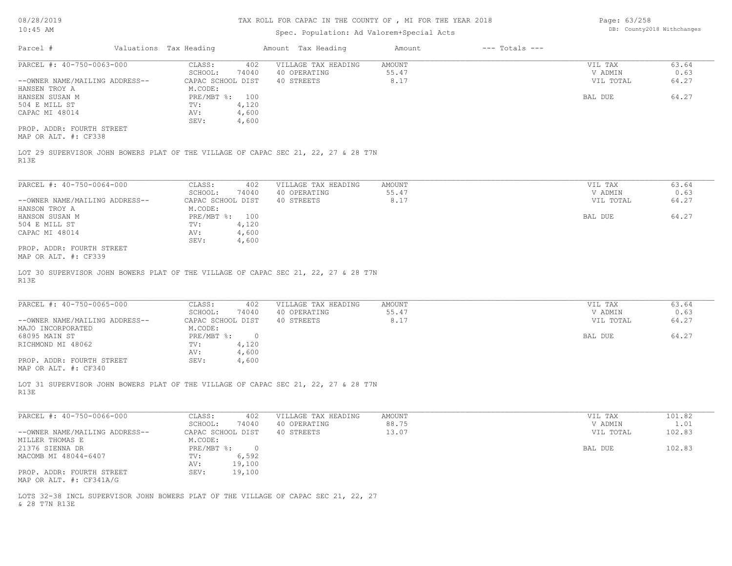08/28/2019

## TAX ROLL FOR CAPAC IN THE COUNTY OF , MI FOR THE YEAR 2018

Page: 63/258 DB: County2018 Withchanges

| $10:45$ AM                                                                                 | Spec. Population: Ad Valorem+Special Acts |                     |               | DB: County2018 Withchanges |           |        |
|--------------------------------------------------------------------------------------------|-------------------------------------------|---------------------|---------------|----------------------------|-----------|--------|
| Valuations Tax Heading<br>Parcel #                                                         |                                           | Amount Tax Heading  | Amount        | $---$ Totals $---$         |           |        |
| PARCEL #: 40-750-0063-000                                                                  | CLASS:<br>402                             | VILLAGE TAX HEADING | <b>AMOUNT</b> |                            | VIL TAX   | 63.64  |
|                                                                                            | SCHOOL:<br>74040                          | 40 OPERATING        | 55.47         |                            | V ADMIN   | 0.63   |
| --OWNER NAME/MAILING ADDRESS--                                                             | CAPAC SCHOOL DIST                         | 40 STREETS          | 8.17          |                            | VIL TOTAL | 64.27  |
| HANSEN TROY A                                                                              | M.CODE:                                   |                     |               |                            |           |        |
| HANSEN SUSAN M                                                                             | PRE/MBT %: 100                            |                     |               |                            | BAL DUE   | 64.27  |
| 504 E MILL ST                                                                              | 4,120<br>TV:                              |                     |               |                            |           |        |
| CAPAC MI 48014                                                                             | 4,600<br>AV:                              |                     |               |                            |           |        |
|                                                                                            | 4,600<br>SEV:                             |                     |               |                            |           |        |
| PROP. ADDR: FOURTH STREET<br>MAP OR ALT. #: CF338                                          |                                           |                     |               |                            |           |        |
| LOT 29 SUPERVISOR JOHN BOWERS PLAT OF THE VILLAGE OF CAPAC SEC 21, 22, 27 & 28 T7N<br>R13E |                                           |                     |               |                            |           |        |
|                                                                                            |                                           |                     |               |                            |           |        |
| PARCEL #: 40-750-0064-000                                                                  | CLASS:<br>402                             | VILLAGE TAX HEADING | AMOUNT        |                            | VIL TAX   | 63.64  |
|                                                                                            | SCHOOL:<br>74040                          | 40 OPERATING        | 55.47         |                            | V ADMIN   | 0.63   |
| --OWNER NAME/MAILING ADDRESS--                                                             | CAPAC SCHOOL DIST                         | 40 STREETS          | 8.17          |                            | VIL TOTAL | 64.27  |
| HANSON TROY A                                                                              | M.CODE:                                   |                     |               |                            |           |        |
| HANSON SUSAN M                                                                             | PRE/MBT %: 100                            |                     |               |                            | BAL DUE   | 64.27  |
| 504 E MILL ST                                                                              | TV:<br>4,120                              |                     |               |                            |           |        |
| CAPAC MI 48014                                                                             | AV:<br>4,600                              |                     |               |                            |           |        |
| PROP. ADDR: FOURTH STREET<br>MAP OR ALT. #: CF339                                          | SEV:<br>4,600                             |                     |               |                            |           |        |
| R13E                                                                                       |                                           |                     |               |                            |           |        |
| PARCEL #: 40-750-0065-000                                                                  | CLASS:<br>402                             | VILLAGE TAX HEADING | <b>AMOUNT</b> |                            | VIL TAX   | 63.64  |
|                                                                                            | SCHOOL:<br>74040                          | 40 OPERATING        | 55.47         |                            | V ADMIN   | 0.63   |
| --OWNER NAME/MAILING ADDRESS--                                                             | CAPAC SCHOOL DIST                         | 40 STREETS          | 8.17          |                            | VIL TOTAL | 64.27  |
| MAJO INCORPORATED                                                                          | M.CODE:                                   |                     |               |                            |           |        |
| 68095 MAIN ST                                                                              | PRE/MBT %: 0                              |                     |               |                            | BAL DUE   | 64.27  |
| RICHMOND MI 48062                                                                          | 4,120<br>$\texttt{TV}$ :                  |                     |               |                            |           |        |
| PROP. ADDR: FOURTH STREET                                                                  | 4,600<br>AV:<br>4,600<br>SEV:             |                     |               |                            |           |        |
| MAP OR ALT. #: CF340                                                                       |                                           |                     |               |                            |           |        |
| LOT 31 SUPERVISOR JOHN BOWERS PLAT OF THE VILLAGE OF CAPAC SEC 21, 22, 27 & 28 T7N<br>R13E |                                           |                     |               |                            |           |        |
|                                                                                            |                                           |                     |               |                            |           |        |
| PARCEL #: 40-750-0066-000                                                                  | CLASS:<br>402                             | VILLAGE TAX HEADING | <b>AMOUNT</b> |                            | VIL TAX   | 101.82 |
|                                                                                            | SCHOOL:<br>74040                          | 40 OPERATING        | 88.75         |                            | V ADMIN   | 1.01   |
| --OWNER NAME/MAILING ADDRESS--                                                             | CAPAC SCHOOL DIST                         | 40 STREETS          | 13.07         |                            | VIL TOTAL | 102.83 |
| MILLER THOMAS E                                                                            | M.CODE:                                   |                     |               |                            |           |        |
| 21376 SIENNA DR                                                                            | $PRE/MBT$ $\div$ 0                        |                     |               |                            | BAL DUE   | 102.83 |
| MACOMB MI 48044-6407                                                                       | 6,592<br>TV:                              |                     |               |                            |           |        |
|                                                                                            | AV:<br>19,100                             |                     |               |                            |           |        |
| PROP. ADDR: FOURTH STREET<br>MAP OR ALT. #: CF341A/G                                       | SEV:<br>19,100                            |                     |               |                            |           |        |
| LOTS 32-38 INCL SUPERVISOR JOHN BOWERS PLAT OF THE VILLAGE OF CAPAC SEC 21, 22, 27         |                                           |                     |               |                            |           |        |

& 28 T7N R13E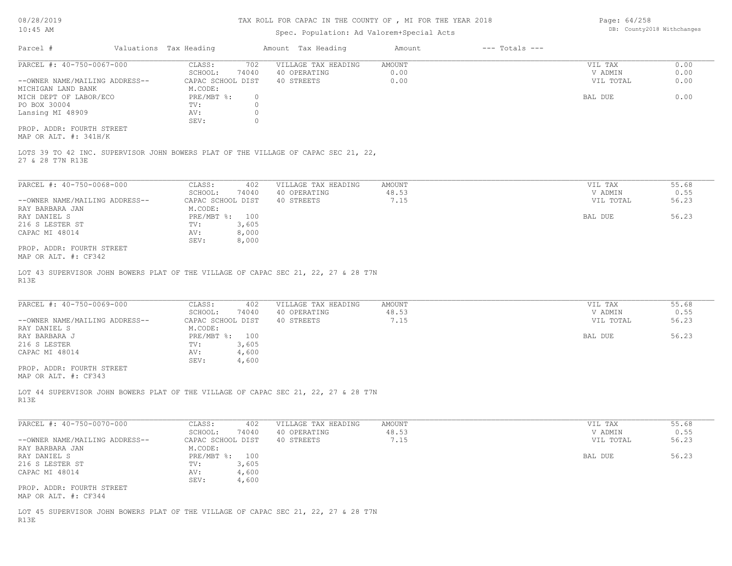### TAX ROLL FOR CAPAC IN THE COUNTY OF , MI FOR THE YEAR 2018

# Spec. Population: Ad Valorem+Special Acts

Page: 64/258 DB: County2018 Withchanges

| Parcel #                       | Valuations Tax Heading           | Amount Tax Heading  | Amount | $---$ Totals $---$ |           |       |
|--------------------------------|----------------------------------|---------------------|--------|--------------------|-----------|-------|
| PARCEL #: 40-750-0067-000      | CLASS:<br>702                    | VILLAGE TAX HEADING | AMOUNT |                    | VIL TAX   | 0.00  |
|                                | SCHOOL:<br>74040                 | 40 OPERATING        | 0.00   |                    | V ADMIN   | 0.00  |
| --OWNER NAME/MAILING ADDRESS-- | CAPAC SCHOOL DIST                | 40 STREETS          | 0.00   |                    | VIL TOTAL | 0.00  |
| MICHIGAN LAND BANK             | M.CODE:                          |                     |        |                    |           |       |
| MICH DEPT OF LABOR/ECO         | $PRE/MBT$ %:<br>$\circ$          |                     |        |                    | BAL DUE   | 0.00  |
| PO BOX 30004                   | $\circ$<br>TV:                   |                     |        |                    |           |       |
| Lansing MI 48909               | AV:                              |                     |        |                    |           |       |
|                                | $\Omega$<br>SEV:                 |                     |        |                    |           |       |
| PROP. ADDR: FOURTH STREET      |                                  |                     |        |                    |           |       |
| MAP OR ALT. $\#$ : 341H/K      |                                  |                     |        |                    |           |       |
| 27 & 28 T7N R13E               |                                  |                     |        |                    |           |       |
| PARCEL #: 40-750-0068-000      | CLASS:<br>402                    | VILLAGE TAX HEADING | AMOUNT |                    | VIL TAX   | 55.68 |
|                                | 74040<br>SCHOOL:                 | 40 OPERATING        | 48.53  |                    | V ADMIN   | 0.55  |
| --OWNER NAME/MAILING ADDRESS-- | CAPAC SCHOOL DIST                | 40 STREETS          | 7.15   |                    | VIL TOTAL | 56.23 |
| RAY BARBARA JAN                | M.CODE:                          |                     |        |                    |           |       |
| RAY DANIEL S                   | 100<br>$PRE/MBT$ $\frac{6}{3}$ : |                     |        |                    | BAL DUE   | 56.23 |
| 216 S LESTER ST                | 3,605<br>TV:                     |                     |        |                    |           |       |
| CAPAC MI 48014                 | 8,000<br>AV:                     |                     |        |                    |           |       |
|                                | 8,000<br>SEV:                    |                     |        |                    |           |       |
| PROP. ADDR: FOURTH STREET      |                                  |                     |        |                    |           |       |
| MAP OR ALT. #: CF342           |                                  |                     |        |                    |           |       |

R13E LOT 43 SUPERVISOR JOHN BOWERS PLAT OF THE VILLAGE OF CAPAC SEC 21, 22, 27 & 28 T7N

| PARCEL #: 40-750-0069-000      | CLASS:<br>402     | VILLAGE TAX HEADING | AMOUNT | VIL TAX   | 55.68 |
|--------------------------------|-------------------|---------------------|--------|-----------|-------|
|                                | 74040<br>SCHOOL:  | 40 OPERATING        | 48.53  | V ADMIN   | 0.55  |
| --OWNER NAME/MAILING ADDRESS-- | CAPAC SCHOOL DIST | 40 STREETS          | 7.15   | VIL TOTAL | 56.23 |
| RAY DANIEL S                   | M.CODE:           |                     |        |           |       |
| RAY BARBARA J                  | PRE/MBT %: 100    |                     |        | BAL DUE   | 56.23 |
| 216 S LESTER                   | 3,605<br>TV:      |                     |        |           |       |
| CAPAC MI 48014                 | 4,600<br>AV:      |                     |        |           |       |
|                                | SEV:<br>4,600     |                     |        |           |       |
| PROP. ADDR: FOURTH STREET      |                   |                     |        |           |       |
|                                |                   |                     |        |           |       |

MAP OR ALT. #: CF343

R13E LOT 44 SUPERVISOR JOHN BOWERS PLAT OF THE VILLAGE OF CAPAC SEC 21, 22, 27 & 28 T7N

| PARCEL #: 40-750-0070-000                                                          | CLASS:            | 402   | VILLAGE TAX HEADING | AMOUNT | VIL TAX   | 55.68 |
|------------------------------------------------------------------------------------|-------------------|-------|---------------------|--------|-----------|-------|
|                                                                                    | SCHOOL:           | 74040 | 40 OPERATING        | 48.53  | V ADMIN   | 0.55  |
| --OWNER NAME/MAILING ADDRESS--                                                     | CAPAC SCHOOL DIST |       | 40 STREETS          | 7.15   | VIL TOTAL | 56.23 |
| RAY BARBARA JAN                                                                    | M.CODE:           |       |                     |        |           |       |
| RAY DANIEL S                                                                       | $PRE/MBT$ %:      | 100   |                     |        | BAL DUE   | 56.23 |
| 216 S LESTER ST                                                                    | TV:               | 3,605 |                     |        |           |       |
| CAPAC MI 48014                                                                     | AV:               | 4,600 |                     |        |           |       |
|                                                                                    | SEV:              | 4,600 |                     |        |           |       |
| PROP. ADDR: FOURTH STREET                                                          |                   |       |                     |        |           |       |
| MAP OR ALT. #: CF344                                                               |                   |       |                     |        |           |       |
|                                                                                    |                   |       |                     |        |           |       |
| LOT 45 SUPERVISOR JOHN BOWERS PLAT OF THE VILLAGE OF CAPAC SEC 21, 22, 27 & 28 T7N |                   |       |                     |        |           |       |

 $\_$  , and the state of the state of the state of the state of the state of the state of the state of the state of the state of the state of the state of the state of the state of the state of the state of the state of the

R13E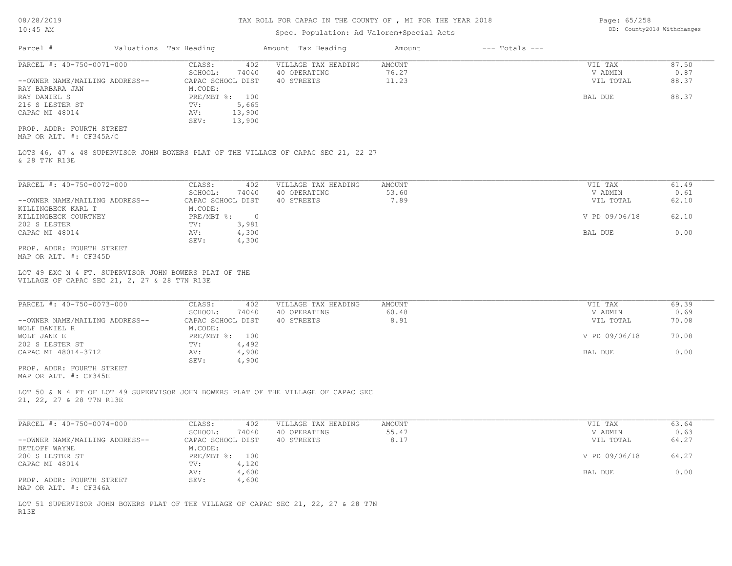08/28/2019

## TAX ROLL FOR CAPAC IN THE COUNTY OF , MI FOR THE YEAR 2018

Page: 65/258

|                                                                                                               | DB: County2018 Withchanges |
|---------------------------------------------------------------------------------------------------------------|----------------------------|
| Amount Tax Heading<br>Parcel #<br>Valuations Tax Heading<br>Amount                                            | $---$ Totals $---$         |
| PARCEL #: 40-750-0071-000<br>VILLAGE TAX HEADING<br>CLASS:<br>402<br>AMOUNT                                   | VIL TAX<br>87.50           |
| SCHOOL:<br>40 OPERATING<br>76.27<br>74040                                                                     | V ADMIN<br>0.87            |
| 11.23<br>--OWNER NAME/MAILING ADDRESS--<br>CAPAC SCHOOL DIST<br>40 STREETS                                    | VIL TOTAL<br>88.37         |
| M.CODE:<br>RAY BARBARA JAN                                                                                    |                            |
| PRE/MBT %: 100<br>RAY DANIEL S                                                                                | 88.37<br>BAL DUE           |
| 5,665<br>216 S LESTER ST<br>TV:                                                                               |                            |
| 13,900<br>CAPAC MI 48014<br>AV:                                                                               |                            |
| 13,900<br>SEV:<br>PROP. ADDR: FOURTH STREET                                                                   |                            |
| MAP OR ALT. #: CF345A/C                                                                                       |                            |
| LOTS 46, 47 & 48 SUPERVISOR JOHN BOWERS PLAT OF THE VILLAGE OF CAPAC SEC 21, 22 27<br>& 28 T7N R13E           |                            |
|                                                                                                               |                            |
| PARCEL #: 40-750-0072-000<br>CLASS:<br>402<br>VILLAGE TAX HEADING<br>AMOUNT                                   | 61.49<br>VIL TAX           |
| 53.60<br>SCHOOL:<br>74040<br>40 OPERATING                                                                     | 0.61<br>V ADMIN            |
| 7.89<br>--OWNER NAME/MAILING ADDRESS--<br>CAPAC SCHOOL DIST<br>40 STREETS                                     | VIL TOTAL<br>62.10         |
| KILLINGBECK KARL T<br>M.CODE:                                                                                 |                            |
| $PRE/MBT$ %:<br>KILLINGBECK COURTNEY<br>$\overline{0}$                                                        | V PD 09/06/18<br>62.10     |
| 3,981<br>202 S LESTER<br>TV:                                                                                  |                            |
| CAPAC MI 48014<br>AV:<br>4,300<br>SEV:                                                                        | 0.00<br>BAL DUE            |
| 4,300<br>PROP. ADDR: FOURTH STREET                                                                            |                            |
| MAP OR ALT. #: CF345D                                                                                         |                            |
| LOT 49 EXC N 4 FT. SUPERVISOR JOHN BOWERS PLAT OF THE<br>VILLAGE OF CAPAC SEC 21, 2, 27 & 28 T7N R13E         |                            |
|                                                                                                               |                            |
| PARCEL #: 40-750-0073-000<br>CLASS:<br>402<br>VILLAGE TAX HEADING<br><b>AMOUNT</b>                            | VIL TAX<br>69.39           |
| 60.48<br>SCHOOL:<br>40 OPERATING<br>74040                                                                     | 0.69<br>V ADMIN            |
| 8.91<br>40 STREETS<br>--OWNER NAME/MAILING ADDRESS--<br>CAPAC SCHOOL DIST                                     | 70.08<br>VIL TOTAL         |
| WOLF DANIEL R<br>M.CODE:                                                                                      |                            |
| WOLF JANE E<br>PRE/MBT %: 100                                                                                 | V PD 09/06/18<br>70.08     |
| 4,492<br>202 S LESTER ST<br>TV:                                                                               |                            |
| CAPAC MI 48014-3712<br>AV:<br>4,900<br>SEV:                                                                   | <b>BAL DUE</b><br>0.00     |
| 4,900<br>PROP. ADDR: FOURTH STREET                                                                            |                            |
| MAP OR ALT. #: CF345E                                                                                         |                            |
| LOT 50 & N 4 FT OF LOT 49 SUPERVISOR JOHN BOWERS PLAT OF THE VILLAGE OF CAPAC SEC<br>21, 22, 27 & 28 T7N R13E |                            |
|                                                                                                               |                            |
| PARCEL #: 40-750-0074-000<br>CLASS:<br>402<br>VILLAGE TAX HEADING<br>AMOUNT                                   | 63.64<br>VIL TAX           |
| 55.47<br>SCHOOL:<br>74040<br>40 OPERATING                                                                     | V ADMIN<br>0.63            |
| CAPAC SCHOOL DIST<br>40 STREETS<br>8.17<br>--OWNER NAME/MAILING ADDRESS--                                     | 64.27<br>VIL TOTAL         |
| DETLOFF WAYNE<br>M.CODE:                                                                                      |                            |
| 200 S LESTER ST<br>PRE/MBT %: 100                                                                             | 64.27<br>V PD 09/06/18     |
| CAPAC MI 48014<br>4,120<br>TV:                                                                                |                            |
| 4,600<br>AV:<br>PROP. ADDR: FOURTH STREET<br>SEV:<br>4,600                                                    | 0.00<br>BAL DUE            |

R13E LOT 51 SUPERVISOR JOHN BOWERS PLAT OF THE VILLAGE OF CAPAC SEC 21, 22, 27 & 28 T7N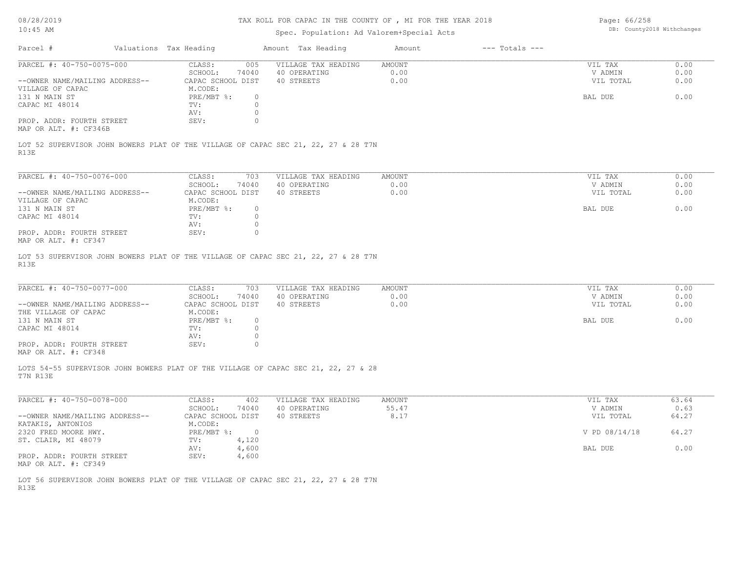# TAX ROLL FOR CAPAC IN THE COUNTY OF , MI FOR THE YEAR 2018

# Spec. Population: Ad Valorem+Special Acts

Page: 66/258 DB: County2018 Withchanges

| Parcel #                                           | Valuations Tax Heading           | Amount Tax Heading                                                                 | Amount | $---$ Totals $---$ |               |       |
|----------------------------------------------------|----------------------------------|------------------------------------------------------------------------------------|--------|--------------------|---------------|-------|
| PARCEL #: 40-750-0075-000                          | CLASS:<br>005                    | VILLAGE TAX HEADING                                                                | AMOUNT |                    | VIL TAX       | 0.00  |
|                                                    | SCHOOL:<br>74040                 | 40 OPERATING                                                                       | 0.00   |                    | V ADMIN       | 0.00  |
| --OWNER NAME/MAILING ADDRESS--                     | CAPAC SCHOOL DIST                | 40 STREETS                                                                         | 0.00   |                    | VIL TOTAL     | 0.00  |
| VILLAGE OF CAPAC                                   | M.CODE:                          |                                                                                    |        |                    |               |       |
| 131 N MAIN ST                                      | PRE/MBT %:<br>$\circ$            |                                                                                    |        |                    | BAL DUE       | 0.00  |
| CAPAC MI 48014                                     | $\circ$<br>TV:                   |                                                                                    |        |                    |               |       |
|                                                    | 0<br>AV:                         |                                                                                    |        |                    |               |       |
| PROP. ADDR: FOURTH STREET<br>MAP OR ALT. #: CF346B | SEV:<br>0                        |                                                                                    |        |                    |               |       |
| R13E                                               |                                  | LOT 52 SUPERVISOR JOHN BOWERS PLAT OF THE VILLAGE OF CAPAC SEC 21, 22, 27 & 28 T7N |        |                    |               |       |
|                                                    |                                  |                                                                                    |        |                    |               |       |
| PARCEL #: 40-750-0076-000                          | CLASS:<br>703                    | VILLAGE TAX HEADING                                                                | AMOUNT |                    | VIL TAX       | 0.00  |
|                                                    | SCHOOL:<br>74040                 | 40 OPERATING                                                                       | 0.00   |                    | V ADMIN       | 0.00  |
| --OWNER NAME/MAILING ADDRESS--                     | CAPAC SCHOOL DIST                | 40 STREETS                                                                         | 0.00   |                    | VIL TOTAL     | 0.00  |
| VILLAGE OF CAPAC<br>131 N MAIN ST                  | M.CODE:<br>PRE/MBT %:<br>$\circ$ |                                                                                    |        |                    | BAL DUE       | 0.00  |
| CAPAC MI 48014                                     | $\circ$<br>TV:                   |                                                                                    |        |                    |               |       |
|                                                    | 0<br>AV:                         |                                                                                    |        |                    |               |       |
| PROP. ADDR: FOURTH STREET                          | 0<br>SEV:                        |                                                                                    |        |                    |               |       |
| MAP OR ALT. #: CF347                               |                                  |                                                                                    |        |                    |               |       |
|                                                    |                                  | LOT 53 SUPERVISOR JOHN BOWERS PLAT OF THE VILLAGE OF CAPAC SEC 21, 22, 27 & 28 T7N |        |                    |               |       |
| R13E                                               |                                  |                                                                                    |        |                    |               |       |
|                                                    |                                  |                                                                                    |        |                    |               |       |
| PARCEL #: 40-750-0077-000                          | CLASS:<br>703                    | VILLAGE TAX HEADING                                                                | AMOUNT |                    | VIL TAX       | 0.00  |
|                                                    | SCHOOL:<br>74040                 | 40 OPERATING                                                                       | 0.00   |                    | V ADMIN       | 0.00  |
| --OWNER NAME/MAILING ADDRESS--                     | CAPAC SCHOOL DIST                | 40 STREETS                                                                         | 0.00   |                    | VIL TOTAL     | 0.00  |
| THE VILLAGE OF CAPAC                               | M.CODE:                          |                                                                                    |        |                    |               |       |
| 131 N MAIN ST                                      | $PRE/MBT$ %:<br>$\circ$          |                                                                                    |        |                    | BAL DUE       | 0.00  |
| CAPAC MI 48014                                     | 0<br>TV:                         |                                                                                    |        |                    |               |       |
|                                                    | 0<br>AV:                         |                                                                                    |        |                    |               |       |
| PROP. ADDR: FOURTH STREET<br>MAP OR ALT. #: CF348  | SEV:<br>0                        |                                                                                    |        |                    |               |       |
|                                                    |                                  | LOTS 54-55 SUPERVISOR JOHN BOWERS PLAT OF THE VILLAGE OF CAPAC SEC 21, 22, 27 & 28 |        |                    |               |       |
| T7N R13E                                           |                                  |                                                                                    |        |                    |               |       |
| PARCEL #: 40-750-0078-000                          | CLASS:<br>402                    | VILLAGE TAX HEADING                                                                | AMOUNT |                    | VIL TAX       | 63.64 |
|                                                    | SCHOOL:<br>74040                 | 40 OPERATING                                                                       | 55.47  |                    | V ADMIN       | 0.63  |
| --OWNER NAME/MAILING ADDRESS--                     | CAPAC SCHOOL DIST                | 40 STREETS                                                                         | 8.17   |                    | VIL TOTAL     | 64.27 |
| KATAKIS, ANTONIOS                                  | M.CODE:                          |                                                                                    |        |                    |               |       |
| 2320 FRED MOORE HWY.                               | $PRE/MBT$ $\div$ 0               |                                                                                    |        |                    | V PD 08/14/18 | 64.27 |
| ST. CLAIR, MI 48079                                | 4,120<br>TV:                     |                                                                                    |        |                    |               |       |
|                                                    | AV: 4,600                        |                                                                                    |        |                    | BAL DUE       | 0.00  |
| PROP. ADDR: FOURTH STREET<br>MAP OR ALT. #: CF349  | 4,600<br>SEV:                    |                                                                                    |        |                    |               |       |
|                                                    |                                  | LOT 56 SUPERVISOR JOHN BOWERS PLAT OF THE VILLAGE OF CAPAC SEC 21, 22, 27 & 28 T7N |        |                    |               |       |
| R13E                                               |                                  |                                                                                    |        |                    |               |       |
|                                                    |                                  |                                                                                    |        |                    |               |       |
|                                                    |                                  |                                                                                    |        |                    |               |       |
|                                                    |                                  |                                                                                    |        |                    |               |       |
|                                                    |                                  |                                                                                    |        |                    |               |       |
|                                                    |                                  |                                                                                    |        |                    |               |       |
|                                                    |                                  |                                                                                    |        |                    |               |       |
|                                                    |                                  |                                                                                    |        |                    |               |       |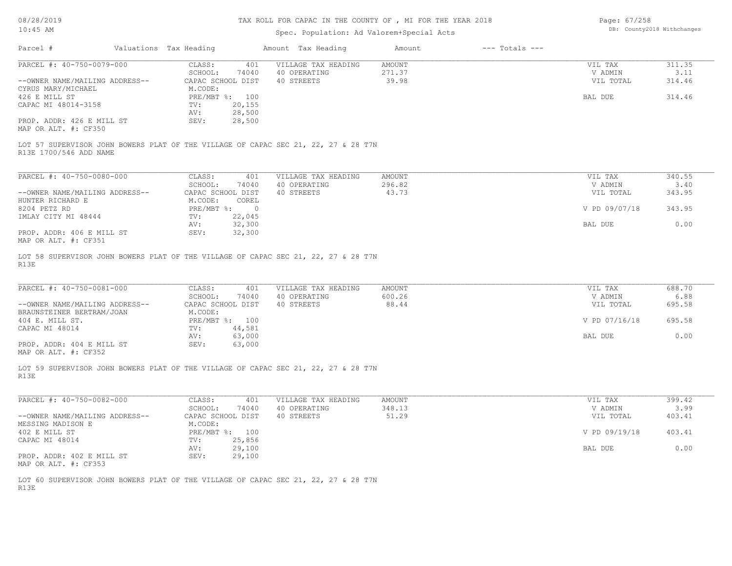08/28/2019

## TAX ROLL FOR CAPAC IN THE COUNTY OF , MI FOR THE YEAR 2018

Page: 67/258

| Parcel #<br>Valuations Tax Heading<br>Amount Tax Heading<br>$---$ Totals $---$<br>Amount<br>PARCEL #: 40-750-0079-000<br>311.35<br>CLASS:<br>401<br>VILLAGE TAX HEADING<br>AMOUNT<br>VIL TAX<br>271.37<br>SCHOOL:<br>74040<br>40 OPERATING<br>V ADMIN<br>3.11<br>CAPAC SCHOOL DIST<br>40 STREETS<br>39.98<br>314.46<br>--OWNER NAME/MAILING ADDRESS--<br>VIL TOTAL<br>CYRUS MARY/MICHAEL<br>M.CODE:<br>314.46<br>426 E MILL ST<br>PRE/MBT %: 100<br>BAL DUE<br>CAPAC MI 48014-3158<br>20,155<br>$\texttt{TV}$ :<br>28,500<br>AV:<br>PROP. ADDR: 426 E MILL ST<br>SEV:<br>28,500<br>MAP OR ALT. #: CF350<br>LOT 57 SUPERVISOR JOHN BOWERS PLAT OF THE VILLAGE OF CAPAC SEC 21, 22, 27 & 28 T7N<br>R13E 1700/546 ADD NAME<br>PARCEL #: 40-750-0080-000<br>CLASS:<br>340.55<br>401<br>VILLAGE TAX HEADING<br>AMOUNT<br>VIL TAX<br>296.82<br>3.40<br>SCHOOL:<br>74040<br>40 OPERATING<br>V ADMIN<br>--OWNER NAME/MAILING ADDRESS--<br>CAPAC SCHOOL DIST<br>40 STREETS<br>43.73<br>VIL TOTAL<br>343.95<br>M.CODE:<br>COREL<br>HUNTER RICHARD E<br>8204 PETZ RD<br>PRE/MBT %: 0<br>343.95<br>V PD 09/07/18<br>IMLAY CITY MI 48444<br>22,045<br>TV:<br>32,300<br>0.00<br>AV:<br>BAL DUE<br>PROP. ADDR: 406 E MILL ST<br>SEV:<br>32,300<br>MAP OR ALT. #: CF351<br>LOT 58 SUPERVISOR JOHN BOWERS PLAT OF THE VILLAGE OF CAPAC SEC 21, 22, 27 & 28 T7N<br>R13E<br>PARCEL #: 40-750-0081-000<br>CLASS:<br>VILLAGE TAX HEADING<br><b>AMOUNT</b><br>688.70<br>401<br>VIL TAX<br>6.88<br>SCHOOL:<br>74040<br>40 OPERATING<br>600.26<br>V ADMIN<br>--OWNER NAME/MAILING ADDRESS--<br>CAPAC SCHOOL DIST<br>40 STREETS<br>88.44<br>695.58<br>VIL TOTAL<br>M.CODE:<br>BRAUNSTEINER BERTRAM/JOAN<br>404 E. MILL ST.<br>PRE/MBT %: 100<br>V PD 07/16/18<br>695.58<br>CAPAC MI 48014<br>44,581<br>TV:<br>63,000<br>0.00<br>BAL DUE<br>AV:<br>63,000<br>PROP. ADDR: 404 E MILL ST<br>SEV:<br>MAP OR ALT. #: CF352<br>LOT 59 SUPERVISOR JOHN BOWERS PLAT OF THE VILLAGE OF CAPAC SEC 21, 22, 27 & 28 T7N<br>R13E<br>PARCEL #: 40-750-0082-000<br>399.42<br>CLASS:<br>401<br>VILLAGE TAX HEADING<br>AMOUNT<br>VIL TAX<br>SCHOOL:<br>348.13<br>3.99<br>40 OPERATING<br>V ADMIN<br>74040<br>40 STREETS<br>51.29<br>CAPAC SCHOOL DIST<br>VIL TOTAL<br>403.41<br>--OWNER NAME/MAILING ADDRESS--<br>MESSING MADISON E<br>M.CODE:<br>402 E MILL ST<br>PRE/MBT %: 100<br>V PD 09/19/18<br>403.41<br>TV: 25,856<br>CAPAC MI 48014<br>29,100<br>0.00<br>BAL DUE<br>AV:<br>29,100<br>PROP. ADDR: 402 E MILL ST<br>SEV:<br>MAP OR ALT. #: CF353<br>LOT 60 SUPERVISOR JOHN BOWERS PLAT OF THE VILLAGE OF CAPAC SEC 21, 22, 27 & 28 T7N | $10:45$ AM |  | Spec. Population: Ad Valorem+Special Acts | DB: County2018 Withchanges |  |  |
|-----------------------------------------------------------------------------------------------------------------------------------------------------------------------------------------------------------------------------------------------------------------------------------------------------------------------------------------------------------------------------------------------------------------------------------------------------------------------------------------------------------------------------------------------------------------------------------------------------------------------------------------------------------------------------------------------------------------------------------------------------------------------------------------------------------------------------------------------------------------------------------------------------------------------------------------------------------------------------------------------------------------------------------------------------------------------------------------------------------------------------------------------------------------------------------------------------------------------------------------------------------------------------------------------------------------------------------------------------------------------------------------------------------------------------------------------------------------------------------------------------------------------------------------------------------------------------------------------------------------------------------------------------------------------------------------------------------------------------------------------------------------------------------------------------------------------------------------------------------------------------------------------------------------------------------------------------------------------------------------------------------------------------------------------------------------------------------------------------------------------------------------------------------------------------------------------------------------------------------------------------------------------------------------------------------------------------------------------------------------------------------------------------------------------------------------------------------------------------------------------------------------------------------------------------------------------------------------------------|------------|--|-------------------------------------------|----------------------------|--|--|
|                                                                                                                                                                                                                                                                                                                                                                                                                                                                                                                                                                                                                                                                                                                                                                                                                                                                                                                                                                                                                                                                                                                                                                                                                                                                                                                                                                                                                                                                                                                                                                                                                                                                                                                                                                                                                                                                                                                                                                                                                                                                                                                                                                                                                                                                                                                                                                                                                                                                                                                                                                                                     |            |  |                                           |                            |  |  |
|                                                                                                                                                                                                                                                                                                                                                                                                                                                                                                                                                                                                                                                                                                                                                                                                                                                                                                                                                                                                                                                                                                                                                                                                                                                                                                                                                                                                                                                                                                                                                                                                                                                                                                                                                                                                                                                                                                                                                                                                                                                                                                                                                                                                                                                                                                                                                                                                                                                                                                                                                                                                     |            |  |                                           |                            |  |  |
|                                                                                                                                                                                                                                                                                                                                                                                                                                                                                                                                                                                                                                                                                                                                                                                                                                                                                                                                                                                                                                                                                                                                                                                                                                                                                                                                                                                                                                                                                                                                                                                                                                                                                                                                                                                                                                                                                                                                                                                                                                                                                                                                                                                                                                                                                                                                                                                                                                                                                                                                                                                                     |            |  |                                           |                            |  |  |
|                                                                                                                                                                                                                                                                                                                                                                                                                                                                                                                                                                                                                                                                                                                                                                                                                                                                                                                                                                                                                                                                                                                                                                                                                                                                                                                                                                                                                                                                                                                                                                                                                                                                                                                                                                                                                                                                                                                                                                                                                                                                                                                                                                                                                                                                                                                                                                                                                                                                                                                                                                                                     |            |  |                                           |                            |  |  |
|                                                                                                                                                                                                                                                                                                                                                                                                                                                                                                                                                                                                                                                                                                                                                                                                                                                                                                                                                                                                                                                                                                                                                                                                                                                                                                                                                                                                                                                                                                                                                                                                                                                                                                                                                                                                                                                                                                                                                                                                                                                                                                                                                                                                                                                                                                                                                                                                                                                                                                                                                                                                     |            |  |                                           |                            |  |  |
|                                                                                                                                                                                                                                                                                                                                                                                                                                                                                                                                                                                                                                                                                                                                                                                                                                                                                                                                                                                                                                                                                                                                                                                                                                                                                                                                                                                                                                                                                                                                                                                                                                                                                                                                                                                                                                                                                                                                                                                                                                                                                                                                                                                                                                                                                                                                                                                                                                                                                                                                                                                                     |            |  |                                           |                            |  |  |
|                                                                                                                                                                                                                                                                                                                                                                                                                                                                                                                                                                                                                                                                                                                                                                                                                                                                                                                                                                                                                                                                                                                                                                                                                                                                                                                                                                                                                                                                                                                                                                                                                                                                                                                                                                                                                                                                                                                                                                                                                                                                                                                                                                                                                                                                                                                                                                                                                                                                                                                                                                                                     |            |  |                                           |                            |  |  |
|                                                                                                                                                                                                                                                                                                                                                                                                                                                                                                                                                                                                                                                                                                                                                                                                                                                                                                                                                                                                                                                                                                                                                                                                                                                                                                                                                                                                                                                                                                                                                                                                                                                                                                                                                                                                                                                                                                                                                                                                                                                                                                                                                                                                                                                                                                                                                                                                                                                                                                                                                                                                     |            |  |                                           |                            |  |  |
|                                                                                                                                                                                                                                                                                                                                                                                                                                                                                                                                                                                                                                                                                                                                                                                                                                                                                                                                                                                                                                                                                                                                                                                                                                                                                                                                                                                                                                                                                                                                                                                                                                                                                                                                                                                                                                                                                                                                                                                                                                                                                                                                                                                                                                                                                                                                                                                                                                                                                                                                                                                                     |            |  |                                           |                            |  |  |
|                                                                                                                                                                                                                                                                                                                                                                                                                                                                                                                                                                                                                                                                                                                                                                                                                                                                                                                                                                                                                                                                                                                                                                                                                                                                                                                                                                                                                                                                                                                                                                                                                                                                                                                                                                                                                                                                                                                                                                                                                                                                                                                                                                                                                                                                                                                                                                                                                                                                                                                                                                                                     |            |  |                                           |                            |  |  |
|                                                                                                                                                                                                                                                                                                                                                                                                                                                                                                                                                                                                                                                                                                                                                                                                                                                                                                                                                                                                                                                                                                                                                                                                                                                                                                                                                                                                                                                                                                                                                                                                                                                                                                                                                                                                                                                                                                                                                                                                                                                                                                                                                                                                                                                                                                                                                                                                                                                                                                                                                                                                     |            |  |                                           |                            |  |  |
|                                                                                                                                                                                                                                                                                                                                                                                                                                                                                                                                                                                                                                                                                                                                                                                                                                                                                                                                                                                                                                                                                                                                                                                                                                                                                                                                                                                                                                                                                                                                                                                                                                                                                                                                                                                                                                                                                                                                                                                                                                                                                                                                                                                                                                                                                                                                                                                                                                                                                                                                                                                                     |            |  |                                           |                            |  |  |
|                                                                                                                                                                                                                                                                                                                                                                                                                                                                                                                                                                                                                                                                                                                                                                                                                                                                                                                                                                                                                                                                                                                                                                                                                                                                                                                                                                                                                                                                                                                                                                                                                                                                                                                                                                                                                                                                                                                                                                                                                                                                                                                                                                                                                                                                                                                                                                                                                                                                                                                                                                                                     |            |  |                                           |                            |  |  |
|                                                                                                                                                                                                                                                                                                                                                                                                                                                                                                                                                                                                                                                                                                                                                                                                                                                                                                                                                                                                                                                                                                                                                                                                                                                                                                                                                                                                                                                                                                                                                                                                                                                                                                                                                                                                                                                                                                                                                                                                                                                                                                                                                                                                                                                                                                                                                                                                                                                                                                                                                                                                     |            |  |                                           |                            |  |  |
|                                                                                                                                                                                                                                                                                                                                                                                                                                                                                                                                                                                                                                                                                                                                                                                                                                                                                                                                                                                                                                                                                                                                                                                                                                                                                                                                                                                                                                                                                                                                                                                                                                                                                                                                                                                                                                                                                                                                                                                                                                                                                                                                                                                                                                                                                                                                                                                                                                                                                                                                                                                                     |            |  |                                           |                            |  |  |
|                                                                                                                                                                                                                                                                                                                                                                                                                                                                                                                                                                                                                                                                                                                                                                                                                                                                                                                                                                                                                                                                                                                                                                                                                                                                                                                                                                                                                                                                                                                                                                                                                                                                                                                                                                                                                                                                                                                                                                                                                                                                                                                                                                                                                                                                                                                                                                                                                                                                                                                                                                                                     |            |  |                                           |                            |  |  |
|                                                                                                                                                                                                                                                                                                                                                                                                                                                                                                                                                                                                                                                                                                                                                                                                                                                                                                                                                                                                                                                                                                                                                                                                                                                                                                                                                                                                                                                                                                                                                                                                                                                                                                                                                                                                                                                                                                                                                                                                                                                                                                                                                                                                                                                                                                                                                                                                                                                                                                                                                                                                     |            |  |                                           |                            |  |  |
|                                                                                                                                                                                                                                                                                                                                                                                                                                                                                                                                                                                                                                                                                                                                                                                                                                                                                                                                                                                                                                                                                                                                                                                                                                                                                                                                                                                                                                                                                                                                                                                                                                                                                                                                                                                                                                                                                                                                                                                                                                                                                                                                                                                                                                                                                                                                                                                                                                                                                                                                                                                                     |            |  |                                           |                            |  |  |
|                                                                                                                                                                                                                                                                                                                                                                                                                                                                                                                                                                                                                                                                                                                                                                                                                                                                                                                                                                                                                                                                                                                                                                                                                                                                                                                                                                                                                                                                                                                                                                                                                                                                                                                                                                                                                                                                                                                                                                                                                                                                                                                                                                                                                                                                                                                                                                                                                                                                                                                                                                                                     |            |  |                                           |                            |  |  |
|                                                                                                                                                                                                                                                                                                                                                                                                                                                                                                                                                                                                                                                                                                                                                                                                                                                                                                                                                                                                                                                                                                                                                                                                                                                                                                                                                                                                                                                                                                                                                                                                                                                                                                                                                                                                                                                                                                                                                                                                                                                                                                                                                                                                                                                                                                                                                                                                                                                                                                                                                                                                     |            |  |                                           |                            |  |  |
|                                                                                                                                                                                                                                                                                                                                                                                                                                                                                                                                                                                                                                                                                                                                                                                                                                                                                                                                                                                                                                                                                                                                                                                                                                                                                                                                                                                                                                                                                                                                                                                                                                                                                                                                                                                                                                                                                                                                                                                                                                                                                                                                                                                                                                                                                                                                                                                                                                                                                                                                                                                                     | R13E       |  |                                           |                            |  |  |
|                                                                                                                                                                                                                                                                                                                                                                                                                                                                                                                                                                                                                                                                                                                                                                                                                                                                                                                                                                                                                                                                                                                                                                                                                                                                                                                                                                                                                                                                                                                                                                                                                                                                                                                                                                                                                                                                                                                                                                                                                                                                                                                                                                                                                                                                                                                                                                                                                                                                                                                                                                                                     |            |  |                                           |                            |  |  |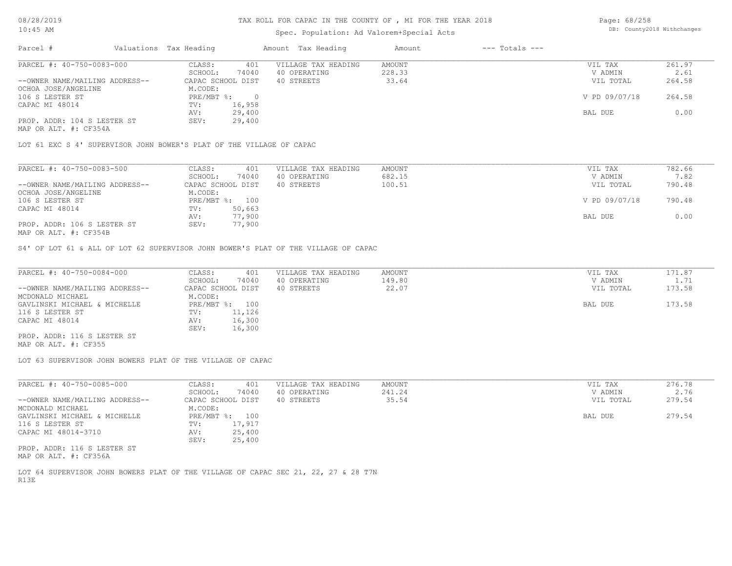# Spec. Population: Ad Valorem+Special Acts

| Page: 68/258 |                            |
|--------------|----------------------------|
|              | DB: County2018 Withchanges |

| Parcel #                       | Valuations Tax Heading |        | Amount Tax Heading  | Amount | $---$ Totals $---$ |               |        |
|--------------------------------|------------------------|--------|---------------------|--------|--------------------|---------------|--------|
| PARCEL #: 40-750-0083-000      | CLASS:                 | 401    | VILLAGE TAX HEADING | AMOUNT |                    | VIL TAX       | 261.97 |
|                                | SCHOOL:                | 74040  | 40 OPERATING        | 228.33 |                    | V ADMIN       | 2.61   |
| --OWNER NAME/MAILING ADDRESS-- | CAPAC SCHOOL DIST      |        | 40 STREETS          | 33.64  |                    | VIL TOTAL     | 264.58 |
| OCHOA JOSE/ANGELINE            | M.CODE:                |        |                     |        |                    |               |        |
| 106 S LESTER ST                | PRE/MBT %:             |        |                     |        |                    | V PD 09/07/18 | 264.58 |
| CAPAC MI 48014                 | TV:                    | 16,958 |                     |        |                    |               |        |
|                                | AV:                    | 29,400 |                     |        |                    | BAL DUE       | 0.00   |
| PROP. ADDR: 104 S LESTER ST    | SEV:                   | 29,400 |                     |        |                    |               |        |
|                                |                        |        |                     |        |                    |               |        |

MAP OR ALT. #: CF354A

LOT 61 EXC S 4' SUPERVISOR JOHN BOWER'S PLAT OF THE VILLAGE OF CAPAC

| PARCEL #: 40-750-0083-500      | CLASS:<br>401     | VILLAGE TAX HEADING | AMOUNT | VIL TAX       | 782.66 |
|--------------------------------|-------------------|---------------------|--------|---------------|--------|
|                                | 74040<br>SCHOOL:  | 40 OPERATING        | 682.15 | V ADMIN       | 7.82   |
| --OWNER NAME/MAILING ADDRESS-- | CAPAC SCHOOL DIST | 40 STREETS          | 100.51 | VIL TOTAL     | 790.48 |
| OCHOA JOSE/ANGELINE            | M.CODE:           |                     |        |               |        |
| 106 S LESTER ST                | PRE/MBT %: 100    |                     |        | V PD 09/07/18 | 790.48 |
| CAPAC MI 48014                 | 50,663<br>TV:     |                     |        |               |        |
|                                | 77,900<br>AV:     |                     |        | BAL DUE       | 0.00   |
| PROP. ADDR: 106 S LESTER ST    | 77,900<br>SEV:    |                     |        |               |        |
| MAP OR ALT. #: CF354B          |                   |                     |        |               |        |

S4' OF LOT 61 & ALL OF LOT 62 SUPERVISOR JOHN BOWER'S PLAT OF THE VILLAGE OF CAPAC

| PARCEL #: 40-750-0084-000      | CLASS:<br>401     | VILLAGE TAX HEADING | AMOUNT | VIL TAX   | 171.87 |
|--------------------------------|-------------------|---------------------|--------|-----------|--------|
|                                | 74040<br>SCHOOL:  | 40 OPERATING        | 149.80 | V ADMIN   | 1.71   |
| --OWNER NAME/MAILING ADDRESS-- | CAPAC SCHOOL DIST | 40 STREETS          | 22.07  | VIL TOTAL | 173.58 |
| MCDONALD MICHAEL               | M.CODE:           |                     |        |           |        |
| GAVLINSKI MICHAEL & MICHELLE   | PRE/MBT %: 100    |                     |        | BAL DUE   | 173.58 |
| 116 S LESTER ST                | 11,126<br>TV:     |                     |        |           |        |
| CAPAC MI 48014                 | 16,300<br>AV:     |                     |        |           |        |
|                                | 16,300<br>SEV:    |                     |        |           |        |
| PROP. ADDR: 116 S LESTER ST    |                   |                     |        |           |        |

MAP OR ALT. #: CF355

LOT 63 SUPERVISOR JOHN BOWERS PLAT OF THE VILLAGE OF CAPAC

| PARCEL #: 40-750-0085-000      | CLASS:            | VILLAGE TAX HEADING<br>401 | AMOUNT | VIL TAX   | 276.78 |
|--------------------------------|-------------------|----------------------------|--------|-----------|--------|
|                                | SCHOOL:           | 74040<br>40 OPERATING      | 241.24 | V ADMIN   | 2.76   |
| --OWNER NAME/MAILING ADDRESS-- | CAPAC SCHOOL DIST | 40 STREETS                 | 35.54  | VIL TOTAL | 279.54 |
| MCDONALD MICHAEL               | M.CODE:           |                            |        |           |        |
| GAVLINSKI MICHAEL & MICHELLE   | PRE/MBT %: 100    |                            |        | BAL DUE   | 279.54 |
| 116 S LESTER ST                | 17,917<br>TV:     |                            |        |           |        |
| CAPAC MI 48014-3710            | AV:               | 25,400                     |        |           |        |
|                                | SEV:              | 25,400                     |        |           |        |
| PROP. ADDR: 116 S LESTER ST    |                   |                            |        |           |        |
| MAP OR ALT. #: CF356A          |                   |                            |        |           |        |

R13E LOT 64 SUPERVISOR JOHN BOWERS PLAT OF THE VILLAGE OF CAPAC SEC 21, 22, 27 & 28 T7N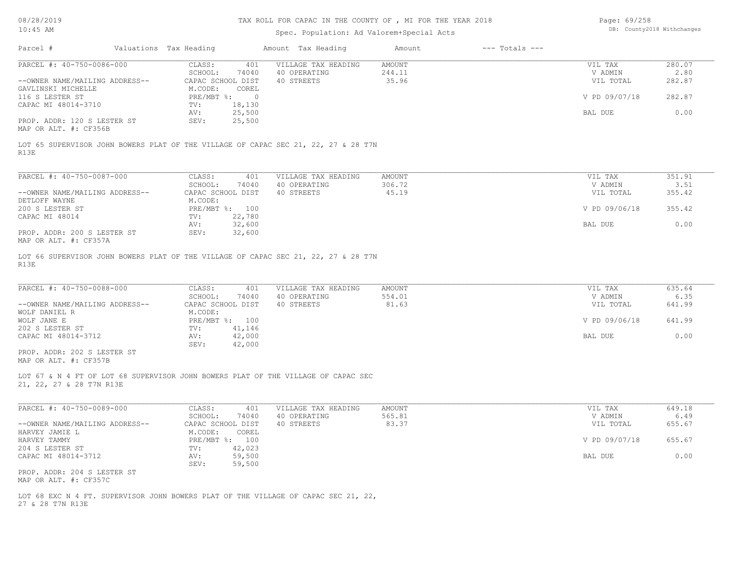# TAX ROLL FOR CAPAC IN THE COUNTY OF , MI FOR THE YEAR 2018

# Spec. Population: Ad Valorem+Special Acts

Page: 69/258 DB: County2018 Withchanges

| Parcel #                                             | Valuations Tax Heading |                                                  | Amount Tax Heading                                                                 | Amount          | $---$ Totals $---$ |                      |                |
|------------------------------------------------------|------------------------|--------------------------------------------------|------------------------------------------------------------------------------------|-----------------|--------------------|----------------------|----------------|
| PARCEL #: 40-750-0086-000                            |                        | CLASS:                                           | 401<br>VILLAGE TAX HEADING                                                         | AMOUNT          |                    | VIL TAX              | 280.07         |
| --OWNER NAME/MAILING ADDRESS--                       |                        | SCHOOL:<br>74040<br>CAPAC SCHOOL DIST            | 40 OPERATING<br>40 STREETS                                                         | 244.11<br>35.96 |                    | V ADMIN<br>VIL TOTAL | 2.80<br>282.87 |
| GAVLINSKI MICHELLE<br>116 S LESTER ST                |                        | M.CODE:<br>COREL<br>$PRE/MBT$ $\div$ 0           |                                                                                    |                 |                    | V PD 09/07/18        | 282.87         |
| CAPAC MI 48014-3710                                  |                        | 18,130<br>TV:<br>25,500<br>AV:                   |                                                                                    |                 |                    | BAL DUE              | 0.00           |
| PROP. ADDR: 120 S LESTER ST<br>MAP OR ALT. #: CF356B |                        | 25,500<br>SEV:                                   |                                                                                    |                 |                    |                      |                |
| R13E                                                 |                        |                                                  | LOT 65 SUPERVISOR JOHN BOWERS PLAT OF THE VILLAGE OF CAPAC SEC 21, 22, 27 & 28 T7N |                 |                    |                      |                |
| PARCEL #: 40-750-0087-000                            |                        | CLASS:                                           | VILLAGE TAX HEADING<br>401                                                         | AMOUNT          |                    | VIL TAX              | 351.91         |
| --OWNER NAME/MAILING ADDRESS--                       |                        | SCHOOL:<br>74040<br>CAPAC SCHOOL DIST            | 40 OPERATING<br>40 STREETS                                                         | 306.72<br>45.19 |                    | V ADMIN<br>VIL TOTAL | 3.51<br>355.42 |
| DETLOFF WAYNE<br>200 S LESTER ST                     |                        | M.CODE:<br>PRE/MBT %: 100                        |                                                                                    |                 |                    | V PD 09/06/18        | 355.42         |
| CAPAC MI 48014<br>PROP. ADDR: 200 S LESTER ST        |                        | TV:<br>22,780<br>32,600<br>AV:<br>SEV:<br>32,600 |                                                                                    |                 |                    | BAL DUE              | 0.00           |
| MAP OR ALT. #: CF357A                                |                        |                                                  |                                                                                    |                 |                    |                      |                |
| R13E                                                 |                        |                                                  | LOT 66 SUPERVISOR JOHN BOWERS PLAT OF THE VILLAGE OF CAPAC SEC 21, 22, 27 & 28 T7N |                 |                    |                      |                |
| PARCEL #: 40-750-0088-000                            |                        | CLASS:                                           | 401<br>VILLAGE TAX HEADING                                                         | AMOUNT          |                    | VIL TAX              | 635.64         |
| --OWNER NAME/MAILING ADDRESS--                       |                        | SCHOOL:<br>74040<br>CAPAC SCHOOL DIST            | 40 OPERATING<br>40 STREETS                                                         | 554.01<br>81.63 |                    | V ADMIN<br>VIL TOTAL | 6.35<br>641.99 |
| WOLF DANIEL R<br>WOLF JANE E                         |                        | M.CODE:<br>PRE/MBT %: 100                        |                                                                                    |                 |                    | V PD 09/06/18        | 641.99         |
| 202 S LESTER ST<br>CAPAC MI 48014-3712               |                        | TV:<br>41,146<br>42,000<br>AV:                   |                                                                                    |                 |                    | BAL DUE              | 0.00           |
| PROP. ADDR: 202 S LESTER ST<br>MAP OR ALT. #: CF357B |                        | SEV:<br>42,000                                   |                                                                                    |                 |                    |                      |                |
| 21, 22, 27 & 28 T7N R13E                             |                        |                                                  | LOT 67 & N 4 FT OF LOT 68 SUPERVISOR JOHN BOWERS PLAT OF THE VILLAGE OF CAPAC SEC  |                 |                    |                      |                |
| PARCEL #: 40-750-0089-000                            |                        | CLASS:                                           | VILLAGE TAX HEADING<br>401                                                         | AMOUNT          |                    | VIL TAX              | 649.18         |
|                                                      |                        |                                                  | 40 OPERATING                                                                       | 565.81          |                    | V ADMIN              | 6.49           |
| --OWNER NAME/MAILING ADDRESS--                       |                        | SCHOOL:<br>74040<br>CAPAC SCHOOL DIST            | 40 STREETS                                                                         | 83.37           |                    | VIL TOTAL            | 655.67         |
| HARVEY JAMIE L<br>HARVEY TAMMY                       |                        | M.CODE:<br>COREL<br>PRE/MBT %: 100               |                                                                                    |                 |                    | V PD 09/07/18        | 655.67         |
| 204 S LESTER ST<br>CAPAC MI 48014-3712               |                        | TV:<br>42,023<br>59,500<br>AV:                   |                                                                                    |                 |                    | BAL DUE              | 0.00           |
| PROP. ADDR: 204 S LESTER ST<br>MAP OR ALT. #: CF357C |                        | 59,500<br>SEV:                                   |                                                                                    |                 |                    |                      |                |

27 & 28 T7N R13E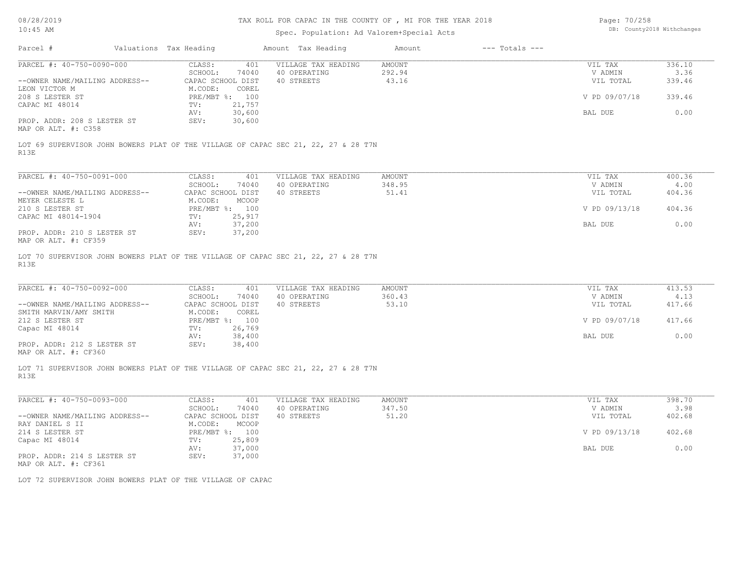## TAX ROLL FOR CAPAC IN THE COUNTY OF , MI FOR THE YEAR 2018

| Page: 70/258 |                            |
|--------------|----------------------------|
|              | DB: County2018 Withchanges |

| Amount Tax Heading<br>$---$ Totals $---$<br>Parcel #<br>Valuations Tax Heading<br>Amount<br>PARCEL #: 40-750-0090-000<br><b>AMOUNT</b><br>336.10<br>CLASS:<br>401<br>VILLAGE TAX HEADING<br>VIL TAX<br>SCHOOL:<br>292.94<br>3.36<br>74040<br>40 OPERATING<br>V ADMIN<br>43.16<br>--OWNER NAME/MAILING ADDRESS--<br>CAPAC SCHOOL DIST<br>40 STREETS<br>VIL TOTAL<br>339.46<br>LEON VICTOR M<br>M.CODE:<br>COREL<br>V PD 09/07/18<br>339.46<br>PRE/MBT %: 100<br>21,757<br>$\texttt{TV}$ :<br>30,600<br>0.00<br>BAL DUE<br>AV:<br>30,600<br>PROP. ADDR: 208 S LESTER ST<br>SEV:<br>LOT 69 SUPERVISOR JOHN BOWERS PLAT OF THE VILLAGE OF CAPAC SEC 21, 22, 27 & 28 T7N<br>PARCEL #: 40-750-0091-000<br>400.36<br>CLASS:<br>401<br>VILLAGE TAX HEADING<br>VIL TAX<br>AMOUNT<br>SCHOOL:<br>348.95<br>4.00<br>74040<br>40 OPERATING<br>V ADMIN<br>CAPAC SCHOOL DIST<br>40 STREETS<br>51.41<br>404.36<br>--OWNER NAME/MAILING ADDRESS--<br>VIL TOTAL<br>MEYER CELESTE L<br>M.CODE:<br>MCOOP<br>404.36<br>210 S LESTER ST<br>PRE/MBT %: 100<br>V PD 09/13/18<br>CAPAC MI 48014-1904<br>25,917<br>$\texttt{TV}$ :<br>0.00<br>37,200<br>BAL DUE<br>AV:<br>PROP. ADDR: 210 S LESTER ST<br>SEV:<br>37,200<br>LOT 70 SUPERVISOR JOHN BOWERS PLAT OF THE VILLAGE OF CAPAC SEC 21, 22, 27 & 28 T7N<br>R13E<br>PARCEL #: 40-750-0092-000<br>CLASS:<br>VILLAGE TAX HEADING<br>AMOUNT<br>VIL TAX<br>413.53<br>401<br>SCHOOL:<br>40 OPERATING<br>360.43<br>74040<br>V ADMIN<br>4.13<br>--OWNER NAME/MAILING ADDRESS--<br>53.10<br>417.66<br>CAPAC SCHOOL DIST<br>40 STREETS<br>VIL TOTAL<br>M.CODE:<br>SMITH MARVIN/AMY SMITH<br>COREL<br>417.66<br>212 S LESTER ST<br>PRE/MBT %: 100<br>V PD 09/07/18<br>26,769<br>$\texttt{TV}$ :<br>38,400<br>BAL DUE<br>0.00<br>AV:<br>PROP. ADDR: 212 S LESTER ST<br>38,400<br>SEV:<br>LOT 71 SUPERVISOR JOHN BOWERS PLAT OF THE VILLAGE OF CAPAC SEC 21, 22, 27 & 28 T7N<br>PARCEL #: 40-750-0093-000<br>CLASS:<br>VILLAGE TAX HEADING<br><b>AMOUNT</b><br>VIL TAX<br>398.70<br>401<br>SCHOOL:<br>74040<br>40 OPERATING<br>347.50<br>V ADMIN<br>3.98<br>--OWNER NAME/MAILING ADDRESS--<br>CAPAC SCHOOL DIST<br>40 STREETS<br>51.20<br>VIL TOTAL<br>402.68<br>RAY DANIEL S II<br>M.CODE:<br>MCOOP<br>214 S LESTER ST<br>PRE/MBT %: 100<br>V PD 09/13/18<br>402.68<br>TV:<br>25,809<br>Capac MI 48014<br>37,000<br>0.00<br>BAL DUE<br>AV:<br>SEV:<br>37,000<br>PROP. ADDR: 214 S LESTER ST<br>MAP OR ALT. #: CF361<br>LOT 72 SUPERVISOR JOHN BOWERS PLAT OF THE VILLAGE OF CAPAC | TAR CB:AL            | Spec. Population: Ad Valorem+Special Acts |  |  |  |  |
|---------------------------------------------------------------------------------------------------------------------------------------------------------------------------------------------------------------------------------------------------------------------------------------------------------------------------------------------------------------------------------------------------------------------------------------------------------------------------------------------------------------------------------------------------------------------------------------------------------------------------------------------------------------------------------------------------------------------------------------------------------------------------------------------------------------------------------------------------------------------------------------------------------------------------------------------------------------------------------------------------------------------------------------------------------------------------------------------------------------------------------------------------------------------------------------------------------------------------------------------------------------------------------------------------------------------------------------------------------------------------------------------------------------------------------------------------------------------------------------------------------------------------------------------------------------------------------------------------------------------------------------------------------------------------------------------------------------------------------------------------------------------------------------------------------------------------------------------------------------------------------------------------------------------------------------------------------------------------------------------------------------------------------------------------------------------------------------------------------------------------------------------------------------------------------------------------------------------------------------------------------------------------------------------------------------------------------------------------------------------------------------------------------------------------------------------------------------------------------------------------|----------------------|-------------------------------------------|--|--|--|--|
|                                                                                                                                                                                                                                                                                                                                                                                                                                                                                                                                                                                                                                                                                                                                                                                                                                                                                                                                                                                                                                                                                                                                                                                                                                                                                                                                                                                                                                                                                                                                                                                                                                                                                                                                                                                                                                                                                                                                                                                                                                                                                                                                                                                                                                                                                                                                                                                                                                                                                                   |                      |                                           |  |  |  |  |
|                                                                                                                                                                                                                                                                                                                                                                                                                                                                                                                                                                                                                                                                                                                                                                                                                                                                                                                                                                                                                                                                                                                                                                                                                                                                                                                                                                                                                                                                                                                                                                                                                                                                                                                                                                                                                                                                                                                                                                                                                                                                                                                                                                                                                                                                                                                                                                                                                                                                                                   |                      |                                           |  |  |  |  |
|                                                                                                                                                                                                                                                                                                                                                                                                                                                                                                                                                                                                                                                                                                                                                                                                                                                                                                                                                                                                                                                                                                                                                                                                                                                                                                                                                                                                                                                                                                                                                                                                                                                                                                                                                                                                                                                                                                                                                                                                                                                                                                                                                                                                                                                                                                                                                                                                                                                                                                   |                      |                                           |  |  |  |  |
|                                                                                                                                                                                                                                                                                                                                                                                                                                                                                                                                                                                                                                                                                                                                                                                                                                                                                                                                                                                                                                                                                                                                                                                                                                                                                                                                                                                                                                                                                                                                                                                                                                                                                                                                                                                                                                                                                                                                                                                                                                                                                                                                                                                                                                                                                                                                                                                                                                                                                                   |                      |                                           |  |  |  |  |
|                                                                                                                                                                                                                                                                                                                                                                                                                                                                                                                                                                                                                                                                                                                                                                                                                                                                                                                                                                                                                                                                                                                                                                                                                                                                                                                                                                                                                                                                                                                                                                                                                                                                                                                                                                                                                                                                                                                                                                                                                                                                                                                                                                                                                                                                                                                                                                                                                                                                                                   |                      |                                           |  |  |  |  |
|                                                                                                                                                                                                                                                                                                                                                                                                                                                                                                                                                                                                                                                                                                                                                                                                                                                                                                                                                                                                                                                                                                                                                                                                                                                                                                                                                                                                                                                                                                                                                                                                                                                                                                                                                                                                                                                                                                                                                                                                                                                                                                                                                                                                                                                                                                                                                                                                                                                                                                   | 208 S LESTER ST      |                                           |  |  |  |  |
|                                                                                                                                                                                                                                                                                                                                                                                                                                                                                                                                                                                                                                                                                                                                                                                                                                                                                                                                                                                                                                                                                                                                                                                                                                                                                                                                                                                                                                                                                                                                                                                                                                                                                                                                                                                                                                                                                                                                                                                                                                                                                                                                                                                                                                                                                                                                                                                                                                                                                                   | CAPAC MI 48014       |                                           |  |  |  |  |
|                                                                                                                                                                                                                                                                                                                                                                                                                                                                                                                                                                                                                                                                                                                                                                                                                                                                                                                                                                                                                                                                                                                                                                                                                                                                                                                                                                                                                                                                                                                                                                                                                                                                                                                                                                                                                                                                                                                                                                                                                                                                                                                                                                                                                                                                                                                                                                                                                                                                                                   |                      |                                           |  |  |  |  |
|                                                                                                                                                                                                                                                                                                                                                                                                                                                                                                                                                                                                                                                                                                                                                                                                                                                                                                                                                                                                                                                                                                                                                                                                                                                                                                                                                                                                                                                                                                                                                                                                                                                                                                                                                                                                                                                                                                                                                                                                                                                                                                                                                                                                                                                                                                                                                                                                                                                                                                   |                      |                                           |  |  |  |  |
|                                                                                                                                                                                                                                                                                                                                                                                                                                                                                                                                                                                                                                                                                                                                                                                                                                                                                                                                                                                                                                                                                                                                                                                                                                                                                                                                                                                                                                                                                                                                                                                                                                                                                                                                                                                                                                                                                                                                                                                                                                                                                                                                                                                                                                                                                                                                                                                                                                                                                                   | MAP OR ALT. #: C358  |                                           |  |  |  |  |
|                                                                                                                                                                                                                                                                                                                                                                                                                                                                                                                                                                                                                                                                                                                                                                                                                                                                                                                                                                                                                                                                                                                                                                                                                                                                                                                                                                                                                                                                                                                                                                                                                                                                                                                                                                                                                                                                                                                                                                                                                                                                                                                                                                                                                                                                                                                                                                                                                                                                                                   | R13E                 |                                           |  |  |  |  |
|                                                                                                                                                                                                                                                                                                                                                                                                                                                                                                                                                                                                                                                                                                                                                                                                                                                                                                                                                                                                                                                                                                                                                                                                                                                                                                                                                                                                                                                                                                                                                                                                                                                                                                                                                                                                                                                                                                                                                                                                                                                                                                                                                                                                                                                                                                                                                                                                                                                                                                   |                      |                                           |  |  |  |  |
|                                                                                                                                                                                                                                                                                                                                                                                                                                                                                                                                                                                                                                                                                                                                                                                                                                                                                                                                                                                                                                                                                                                                                                                                                                                                                                                                                                                                                                                                                                                                                                                                                                                                                                                                                                                                                                                                                                                                                                                                                                                                                                                                                                                                                                                                                                                                                                                                                                                                                                   |                      |                                           |  |  |  |  |
|                                                                                                                                                                                                                                                                                                                                                                                                                                                                                                                                                                                                                                                                                                                                                                                                                                                                                                                                                                                                                                                                                                                                                                                                                                                                                                                                                                                                                                                                                                                                                                                                                                                                                                                                                                                                                                                                                                                                                                                                                                                                                                                                                                                                                                                                                                                                                                                                                                                                                                   |                      |                                           |  |  |  |  |
|                                                                                                                                                                                                                                                                                                                                                                                                                                                                                                                                                                                                                                                                                                                                                                                                                                                                                                                                                                                                                                                                                                                                                                                                                                                                                                                                                                                                                                                                                                                                                                                                                                                                                                                                                                                                                                                                                                                                                                                                                                                                                                                                                                                                                                                                                                                                                                                                                                                                                                   |                      |                                           |  |  |  |  |
|                                                                                                                                                                                                                                                                                                                                                                                                                                                                                                                                                                                                                                                                                                                                                                                                                                                                                                                                                                                                                                                                                                                                                                                                                                                                                                                                                                                                                                                                                                                                                                                                                                                                                                                                                                                                                                                                                                                                                                                                                                                                                                                                                                                                                                                                                                                                                                                                                                                                                                   |                      |                                           |  |  |  |  |
|                                                                                                                                                                                                                                                                                                                                                                                                                                                                                                                                                                                                                                                                                                                                                                                                                                                                                                                                                                                                                                                                                                                                                                                                                                                                                                                                                                                                                                                                                                                                                                                                                                                                                                                                                                                                                                                                                                                                                                                                                                                                                                                                                                                                                                                                                                                                                                                                                                                                                                   |                      |                                           |  |  |  |  |
|                                                                                                                                                                                                                                                                                                                                                                                                                                                                                                                                                                                                                                                                                                                                                                                                                                                                                                                                                                                                                                                                                                                                                                                                                                                                                                                                                                                                                                                                                                                                                                                                                                                                                                                                                                                                                                                                                                                                                                                                                                                                                                                                                                                                                                                                                                                                                                                                                                                                                                   |                      |                                           |  |  |  |  |
|                                                                                                                                                                                                                                                                                                                                                                                                                                                                                                                                                                                                                                                                                                                                                                                                                                                                                                                                                                                                                                                                                                                                                                                                                                                                                                                                                                                                                                                                                                                                                                                                                                                                                                                                                                                                                                                                                                                                                                                                                                                                                                                                                                                                                                                                                                                                                                                                                                                                                                   |                      |                                           |  |  |  |  |
|                                                                                                                                                                                                                                                                                                                                                                                                                                                                                                                                                                                                                                                                                                                                                                                                                                                                                                                                                                                                                                                                                                                                                                                                                                                                                                                                                                                                                                                                                                                                                                                                                                                                                                                                                                                                                                                                                                                                                                                                                                                                                                                                                                                                                                                                                                                                                                                                                                                                                                   | MAP OR ALT. #: CF359 |                                           |  |  |  |  |
|                                                                                                                                                                                                                                                                                                                                                                                                                                                                                                                                                                                                                                                                                                                                                                                                                                                                                                                                                                                                                                                                                                                                                                                                                                                                                                                                                                                                                                                                                                                                                                                                                                                                                                                                                                                                                                                                                                                                                                                                                                                                                                                                                                                                                                                                                                                                                                                                                                                                                                   |                      |                                           |  |  |  |  |
|                                                                                                                                                                                                                                                                                                                                                                                                                                                                                                                                                                                                                                                                                                                                                                                                                                                                                                                                                                                                                                                                                                                                                                                                                                                                                                                                                                                                                                                                                                                                                                                                                                                                                                                                                                                                                                                                                                                                                                                                                                                                                                                                                                                                                                                                                                                                                                                                                                                                                                   |                      |                                           |  |  |  |  |
|                                                                                                                                                                                                                                                                                                                                                                                                                                                                                                                                                                                                                                                                                                                                                                                                                                                                                                                                                                                                                                                                                                                                                                                                                                                                                                                                                                                                                                                                                                                                                                                                                                                                                                                                                                                                                                                                                                                                                                                                                                                                                                                                                                                                                                                                                                                                                                                                                                                                                                   |                      |                                           |  |  |  |  |
|                                                                                                                                                                                                                                                                                                                                                                                                                                                                                                                                                                                                                                                                                                                                                                                                                                                                                                                                                                                                                                                                                                                                                                                                                                                                                                                                                                                                                                                                                                                                                                                                                                                                                                                                                                                                                                                                                                                                                                                                                                                                                                                                                                                                                                                                                                                                                                                                                                                                                                   |                      |                                           |  |  |  |  |
|                                                                                                                                                                                                                                                                                                                                                                                                                                                                                                                                                                                                                                                                                                                                                                                                                                                                                                                                                                                                                                                                                                                                                                                                                                                                                                                                                                                                                                                                                                                                                                                                                                                                                                                                                                                                                                                                                                                                                                                                                                                                                                                                                                                                                                                                                                                                                                                                                                                                                                   |                      |                                           |  |  |  |  |
|                                                                                                                                                                                                                                                                                                                                                                                                                                                                                                                                                                                                                                                                                                                                                                                                                                                                                                                                                                                                                                                                                                                                                                                                                                                                                                                                                                                                                                                                                                                                                                                                                                                                                                                                                                                                                                                                                                                                                                                                                                                                                                                                                                                                                                                                                                                                                                                                                                                                                                   |                      |                                           |  |  |  |  |
|                                                                                                                                                                                                                                                                                                                                                                                                                                                                                                                                                                                                                                                                                                                                                                                                                                                                                                                                                                                                                                                                                                                                                                                                                                                                                                                                                                                                                                                                                                                                                                                                                                                                                                                                                                                                                                                                                                                                                                                                                                                                                                                                                                                                                                                                                                                                                                                                                                                                                                   | Capac MI 48014       |                                           |  |  |  |  |
|                                                                                                                                                                                                                                                                                                                                                                                                                                                                                                                                                                                                                                                                                                                                                                                                                                                                                                                                                                                                                                                                                                                                                                                                                                                                                                                                                                                                                                                                                                                                                                                                                                                                                                                                                                                                                                                                                                                                                                                                                                                                                                                                                                                                                                                                                                                                                                                                                                                                                                   |                      |                                           |  |  |  |  |
|                                                                                                                                                                                                                                                                                                                                                                                                                                                                                                                                                                                                                                                                                                                                                                                                                                                                                                                                                                                                                                                                                                                                                                                                                                                                                                                                                                                                                                                                                                                                                                                                                                                                                                                                                                                                                                                                                                                                                                                                                                                                                                                                                                                                                                                                                                                                                                                                                                                                                                   |                      |                                           |  |  |  |  |
|                                                                                                                                                                                                                                                                                                                                                                                                                                                                                                                                                                                                                                                                                                                                                                                                                                                                                                                                                                                                                                                                                                                                                                                                                                                                                                                                                                                                                                                                                                                                                                                                                                                                                                                                                                                                                                                                                                                                                                                                                                                                                                                                                                                                                                                                                                                                                                                                                                                                                                   | MAP OR ALT. #: CF360 |                                           |  |  |  |  |
|                                                                                                                                                                                                                                                                                                                                                                                                                                                                                                                                                                                                                                                                                                                                                                                                                                                                                                                                                                                                                                                                                                                                                                                                                                                                                                                                                                                                                                                                                                                                                                                                                                                                                                                                                                                                                                                                                                                                                                                                                                                                                                                                                                                                                                                                                                                                                                                                                                                                                                   | R13E                 |                                           |  |  |  |  |
|                                                                                                                                                                                                                                                                                                                                                                                                                                                                                                                                                                                                                                                                                                                                                                                                                                                                                                                                                                                                                                                                                                                                                                                                                                                                                                                                                                                                                                                                                                                                                                                                                                                                                                                                                                                                                                                                                                                                                                                                                                                                                                                                                                                                                                                                                                                                                                                                                                                                                                   |                      |                                           |  |  |  |  |
|                                                                                                                                                                                                                                                                                                                                                                                                                                                                                                                                                                                                                                                                                                                                                                                                                                                                                                                                                                                                                                                                                                                                                                                                                                                                                                                                                                                                                                                                                                                                                                                                                                                                                                                                                                                                                                                                                                                                                                                                                                                                                                                                                                                                                                                                                                                                                                                                                                                                                                   |                      |                                           |  |  |  |  |
|                                                                                                                                                                                                                                                                                                                                                                                                                                                                                                                                                                                                                                                                                                                                                                                                                                                                                                                                                                                                                                                                                                                                                                                                                                                                                                                                                                                                                                                                                                                                                                                                                                                                                                                                                                                                                                                                                                                                                                                                                                                                                                                                                                                                                                                                                                                                                                                                                                                                                                   |                      |                                           |  |  |  |  |
|                                                                                                                                                                                                                                                                                                                                                                                                                                                                                                                                                                                                                                                                                                                                                                                                                                                                                                                                                                                                                                                                                                                                                                                                                                                                                                                                                                                                                                                                                                                                                                                                                                                                                                                                                                                                                                                                                                                                                                                                                                                                                                                                                                                                                                                                                                                                                                                                                                                                                                   |                      |                                           |  |  |  |  |
|                                                                                                                                                                                                                                                                                                                                                                                                                                                                                                                                                                                                                                                                                                                                                                                                                                                                                                                                                                                                                                                                                                                                                                                                                                                                                                                                                                                                                                                                                                                                                                                                                                                                                                                                                                                                                                                                                                                                                                                                                                                                                                                                                                                                                                                                                                                                                                                                                                                                                                   |                      |                                           |  |  |  |  |
|                                                                                                                                                                                                                                                                                                                                                                                                                                                                                                                                                                                                                                                                                                                                                                                                                                                                                                                                                                                                                                                                                                                                                                                                                                                                                                                                                                                                                                                                                                                                                                                                                                                                                                                                                                                                                                                                                                                                                                                                                                                                                                                                                                                                                                                                                                                                                                                                                                                                                                   |                      |                                           |  |  |  |  |
|                                                                                                                                                                                                                                                                                                                                                                                                                                                                                                                                                                                                                                                                                                                                                                                                                                                                                                                                                                                                                                                                                                                                                                                                                                                                                                                                                                                                                                                                                                                                                                                                                                                                                                                                                                                                                                                                                                                                                                                                                                                                                                                                                                                                                                                                                                                                                                                                                                                                                                   |                      |                                           |  |  |  |  |
|                                                                                                                                                                                                                                                                                                                                                                                                                                                                                                                                                                                                                                                                                                                                                                                                                                                                                                                                                                                                                                                                                                                                                                                                                                                                                                                                                                                                                                                                                                                                                                                                                                                                                                                                                                                                                                                                                                                                                                                                                                                                                                                                                                                                                                                                                                                                                                                                                                                                                                   |                      |                                           |  |  |  |  |
|                                                                                                                                                                                                                                                                                                                                                                                                                                                                                                                                                                                                                                                                                                                                                                                                                                                                                                                                                                                                                                                                                                                                                                                                                                                                                                                                                                                                                                                                                                                                                                                                                                                                                                                                                                                                                                                                                                                                                                                                                                                                                                                                                                                                                                                                                                                                                                                                                                                                                                   |                      |                                           |  |  |  |  |
|                                                                                                                                                                                                                                                                                                                                                                                                                                                                                                                                                                                                                                                                                                                                                                                                                                                                                                                                                                                                                                                                                                                                                                                                                                                                                                                                                                                                                                                                                                                                                                                                                                                                                                                                                                                                                                                                                                                                                                                                                                                                                                                                                                                                                                                                                                                                                                                                                                                                                                   |                      |                                           |  |  |  |  |
|                                                                                                                                                                                                                                                                                                                                                                                                                                                                                                                                                                                                                                                                                                                                                                                                                                                                                                                                                                                                                                                                                                                                                                                                                                                                                                                                                                                                                                                                                                                                                                                                                                                                                                                                                                                                                                                                                                                                                                                                                                                                                                                                                                                                                                                                                                                                                                                                                                                                                                   |                      |                                           |  |  |  |  |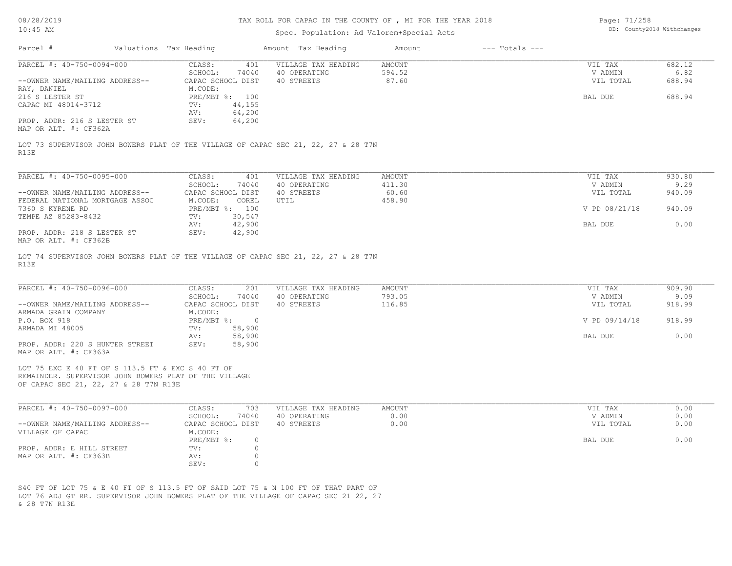# TAX ROLL FOR CAPAC IN THE COUNTY OF , MI FOR THE YEAR 2018

# Spec. Population: Ad Valorem+Special Acts

Page: 71/258 DB: County2018 Withchanges

| Parcel #                                                 | Valuations Tax Heading |                                       | Amount Tax Heading                                                                  | Amount                  | $---$ Totals $---$ |                      |                |
|----------------------------------------------------------|------------------------|---------------------------------------|-------------------------------------------------------------------------------------|-------------------------|--------------------|----------------------|----------------|
|                                                          |                        |                                       |                                                                                     |                         |                    |                      |                |
| PARCEL #: 40-750-0094-000                                |                        | CLASS:<br>401<br>SCHOOL:<br>74040     | VILLAGE TAX HEADING<br>40 OPERATING                                                 | <b>AMOUNT</b><br>594.52 |                    | VIL TAX<br>V ADMIN   | 682.12<br>6.82 |
| --OWNER NAME/MAILING ADDRESS--                           |                        | CAPAC SCHOOL DIST                     | 40 STREETS                                                                          | 87.60                   |                    | VIL TOTAL            | 688.94         |
| RAY, DANIEL                                              |                        | M.CODE:                               |                                                                                     |                         |                    |                      |                |
| 216 S LESTER ST                                          |                        | PRE/MBT %: 100                        |                                                                                     |                         |                    | BAL DUE              | 688.94         |
| CAPAC MI 48014-3712                                      |                        | 44,155<br>TV:<br>64,200<br>AV:        |                                                                                     |                         |                    |                      |                |
| PROP. ADDR: 216 S LESTER ST                              |                        | SEV:<br>64,200                        |                                                                                     |                         |                    |                      |                |
| MAP OR ALT. #: CF362A                                    |                        |                                       |                                                                                     |                         |                    |                      |                |
|                                                          |                        |                                       | LOT 73 SUPERVISOR JOHN BOWERS PLAT OF THE VILLAGE OF CAPAC SEC 21, 22, 27 & 28 T7N  |                         |                    |                      |                |
| R13E                                                     |                        |                                       |                                                                                     |                         |                    |                      |                |
|                                                          |                        |                                       |                                                                                     |                         |                    |                      |                |
| PARCEL #: 40-750-0095-000                                |                        | CLASS:<br>401                         | VILLAGE TAX HEADING                                                                 | <b>AMOUNT</b>           |                    | VIL TAX              | 930.80         |
| --OWNER NAME/MAILING ADDRESS--                           |                        | SCHOOL:<br>74040<br>CAPAC SCHOOL DIST | 40 OPERATING<br>40 STREETS                                                          | 411.30<br>60.60         |                    | V ADMIN<br>VIL TOTAL | 9.29<br>940.09 |
| FEDERAL NATIONAL MORTGAGE ASSOC                          |                        | M.CODE:<br>COREL                      | UTIL                                                                                | 458.90                  |                    |                      |                |
| 7360 S KYRENE RD                                         |                        | PRE/MBT %: 100                        |                                                                                     |                         |                    | V PD 08/21/18        | 940.09         |
| TEMPE AZ 85283-8432                                      |                        | 30,547<br>TV:                         |                                                                                     |                         |                    |                      |                |
| PROP. ADDR: 218 S LESTER ST                              |                        | 42,900<br>AV:<br>SEV:<br>42,900       |                                                                                     |                         |                    | BAL DUE              | 0.00           |
| MAP OR ALT. #: CF362B                                    |                        |                                       |                                                                                     |                         |                    |                      |                |
|                                                          |                        |                                       |                                                                                     |                         |                    |                      |                |
|                                                          |                        |                                       | LOT 74 SUPERVISOR JOHN BOWERS PLAT OF THE VILLAGE OF CAPAC SEC 21, 22, 27 & 28 T7N  |                         |                    |                      |                |
| R13E                                                     |                        |                                       |                                                                                     |                         |                    |                      |                |
|                                                          |                        |                                       |                                                                                     |                         |                    |                      |                |
| PARCEL #: 40-750-0096-000                                |                        | CLASS:<br>201                         | VILLAGE TAX HEADING                                                                 | <b>AMOUNT</b>           |                    | VIL TAX              | 909.90         |
|                                                          |                        | SCHOOL:<br>74040                      | 40 OPERATING                                                                        | 793.05                  |                    | V ADMIN              | 9.09           |
| --OWNER NAME/MAILING ADDRESS--<br>ARMADA GRAIN COMPANY   |                        | CAPAC SCHOOL DIST<br>M.CODE:          | 40 STREETS                                                                          | 116.85                  |                    | VIL TOTAL            | 918.99         |
| P.O. BOX 918                                             |                        | $PRE/MBT$ $\frac{1}{6}$ : 0           |                                                                                     |                         |                    | V PD 09/14/18        | 918.99         |
| ARMADA MI 48005                                          |                        | TV:<br>58,900                         |                                                                                     |                         |                    |                      |                |
|                                                          |                        | 58,900<br>AV:                         |                                                                                     |                         |                    | BAL DUE              | 0.00           |
| PROP. ADDR: 220 S HUNTER STREET<br>MAP OR ALT. #: CF363A |                        | SEV:<br>58,900                        |                                                                                     |                         |                    |                      |                |
|                                                          |                        |                                       |                                                                                     |                         |                    |                      |                |
| LOT 75 EXC E 40 FT OF S 113.5 FT & EXC S 40 FT OF        |                        |                                       |                                                                                     |                         |                    |                      |                |
| REMAINDER. SUPERVISOR JOHN BOWERS PLAT OF THE VILLAGE    |                        |                                       |                                                                                     |                         |                    |                      |                |
| OF CAPAC SEC 21, 22, 27 & 28 T7N R13E                    |                        |                                       |                                                                                     |                         |                    |                      |                |
|                                                          |                        |                                       |                                                                                     |                         |                    |                      |                |
| PARCEL #: 40-750-0097-000                                |                        | CLASS:<br>703                         | VILLAGE TAX HEADING                                                                 | AMOUNT                  |                    | VIL TAX              | 0.00           |
| --OWNER NAME/MAILING ADDRESS--                           |                        | SCHOOL:<br>74040<br>CAPAC SCHOOL DIST | 40 OPERATING<br>40 STREETS                                                          | 0.00<br>0.00            |                    | V ADMIN<br>VIL TOTAL | 0.00<br>0.00   |
| VILLAGE OF CAPAC                                         |                        | M.CODE:                               |                                                                                     |                         |                    |                      |                |
|                                                          |                        | $PRE/MBT$ %:<br>$\circ$               |                                                                                     |                         |                    | BAL DUE              | 0.00           |
| PROP. ADDR: E HILL STREET                                |                        | $TV: 0$                               |                                                                                     |                         |                    |                      |                |
| MAP OR ALT. #: CF363B                                    |                        | $\circ$<br>AV:                        |                                                                                     |                         |                    |                      |                |
|                                                          |                        | SEV:<br>$\circ$                       |                                                                                     |                         |                    |                      |                |
|                                                          |                        |                                       |                                                                                     |                         |                    |                      |                |
|                                                          |                        |                                       | S40 FT OF LOT 75 & E 40 FT OF S 113.5 FT OF SAID LOT 75 & N 100 FT OF THAT PART OF  |                         |                    |                      |                |
|                                                          |                        |                                       | LOT 76 ADJ GT RR. SUPERVISOR JOHN BOWERS PLAT OF THE VILLAGE OF CAPAC SEC 21 22, 27 |                         |                    |                      |                |
| & 28 T7N R13E                                            |                        |                                       |                                                                                     |                         |                    |                      |                |
|                                                          |                        |                                       |                                                                                     |                         |                    |                      |                |
|                                                          |                        |                                       |                                                                                     |                         |                    |                      |                |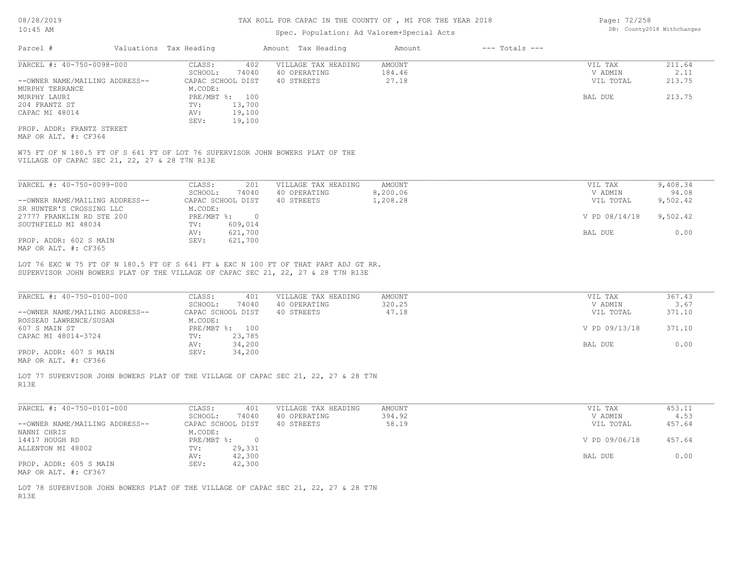## Spec. Population: Ad Valorem+Special Acts

| Parcel #                       | Valuations Tax Heading |        | Amount Tax Heading  | Amount | $---$ Totals $---$ |           |        |
|--------------------------------|------------------------|--------|---------------------|--------|--------------------|-----------|--------|
| PARCEL #: 40-750-0098-000      | CLASS:                 | 402    | VILLAGE TAX HEADING | AMOUNT |                    | VIL TAX   | 211.64 |
|                                | SCHOOL:                | 74040  | 40 OPERATING        | 184.46 |                    | V ADMIN   | 2.11   |
| --OWNER NAME/MAILING ADDRESS-- | CAPAC SCHOOL DIST      |        | 40 STREETS          | 27.18  |                    | VIL TOTAL | 213.75 |
| MURPHY TERRANCE                | M.CODE:                |        |                     |        |                    |           |        |
| MURPHY LAURI                   | PRE/MBT %: 100         |        |                     |        |                    | BAL DUE   | 213.75 |
| 204 FRANTZ ST                  | TV:                    | 13,700 |                     |        |                    |           |        |
| CAPAC MI 48014                 | AV:                    | 19,100 |                     |        |                    |           |        |
|                                | SEV:                   | 19,100 |                     |        |                    |           |        |
| PROP. ADDR: FRANTZ STREET      |                        |        |                     |        |                    |           |        |

MAP OR ALT. #: CF364

VILLAGE OF CAPAC SEC 21, 22, 27 & 28 T7N R13E W75 FT OF N 180.5 FT OF S 641 FT OF LOT 76 SUPERVISOR JOHN BOWERS PLAT OF THE

| PARCEL #: 40-750-0099-000      | 201<br>CLASS:     | VILLAGE TAX HEADING | AMOUNT   | VIL TAX       | 9,408.34 |
|--------------------------------|-------------------|---------------------|----------|---------------|----------|
|                                | 74040<br>SCHOOL:  | 40 OPERATING        | 8,200.06 | V ADMIN       | 94.08    |
| --OWNER NAME/MAILING ADDRESS-- | CAPAC SCHOOL DIST | 40 STREETS          | 1,208.28 | VIL TOTAL     | 9,502.42 |
| SR HUNTER'S CROSSING LLC       | M.CODE:           |                     |          |               |          |
| 27777 FRANKLIN RD STE 200      | $PRE/MBT$ %:      |                     |          | V PD 08/14/18 | 9,502.42 |
| SOUTHFIELD MI 48034            | 609,014<br>TV:    |                     |          |               |          |
|                                | 621,700<br>AV:    |                     |          | BAL DUE       | 0.00     |
| PROP. ADDR: 602 S MAIN         | 621,700<br>SEV:   |                     |          |               |          |
| MAP OR ALT. #: CF365           |                   |                     |          |               |          |

SUPERVISOR JOHN BOWERS PLAT OF THE VILLAGE OF CAPAC SEC 21, 22, 27 & 28 T7N R13E LOT 76 EXC W 75 FT OF N 180.5 FT OF S 641 FT & EXC N 100 FT OF THAT PART ADJ GT RR.

| PARCEL #: 40-750-0100-000      | CLASS:<br>401     | VILLAGE TAX HEADING | AMOUNT | VIL TAX       | 367.43 |
|--------------------------------|-------------------|---------------------|--------|---------------|--------|
|                                | 74040<br>SCHOOL:  | 40 OPERATING        | 320.25 | V ADMIN       | 3.67   |
| --OWNER NAME/MAILING ADDRESS-- | CAPAC SCHOOL DIST | 40 STREETS          | 47.18  | VIL TOTAL     | 371.10 |
| ROSSEAU LAWRENCE/SUSAN         | M.CODE:           |                     |        |               |        |
| 607 S MAIN ST                  | PRE/MBT %: 100    |                     |        | V PD 09/13/18 | 371.10 |
| CAPAC MI 48014-3724            | 23,785<br>TV:     |                     |        |               |        |
|                                | 34,200<br>AV:     |                     |        | BAL DUE       | 0.00   |
| PROP. ADDR: 607 S MAIN         | 34,200<br>SEV:    |                     |        |               |        |
|                                |                   |                     |        |               |        |

MAP OR ALT. #: CF366

R13E LOT 77 SUPERVISOR JOHN BOWERS PLAT OF THE VILLAGE OF CAPAC SEC 21, 22, 27 & 28 T7N

| PARCEL #: 40-750-0101-000      | CLASS:<br>401     | VILLAGE TAX HEADING | AMOUNT | VIL TAX       | 453.11 |
|--------------------------------|-------------------|---------------------|--------|---------------|--------|
|                                | 74040<br>SCHOOL:  | 40 OPERATING        | 394.92 | V ADMIN       | 4.53   |
| --OWNER NAME/MAILING ADDRESS-- | CAPAC SCHOOL DIST | 40 STREETS          | 58.19  | VIL TOTAL     | 457.64 |
| NANNI CHRIS                    | M.CODE:           |                     |        |               |        |
| 14417 HOUGH RD                 | PRE/MBT %:        |                     |        | V PD 09/06/18 | 457.64 |
| ALLENTON MI 48002              | 29,331<br>TV:     |                     |        |               |        |
|                                | 42,300<br>AV:     |                     |        | BAL DUE       | 0.00   |
| PROP. ADDR: 605 S MAIN         | 42,300<br>SEV:    |                     |        |               |        |
| MAP OR ALT. #: CF367           |                   |                     |        |               |        |

R13E LOT 78 SUPERVISOR JOHN BOWERS PLAT OF THE VILLAGE OF CAPAC SEC 21, 22, 27 & 28 T7N Page: 72/258 DB: County2018 Withchanges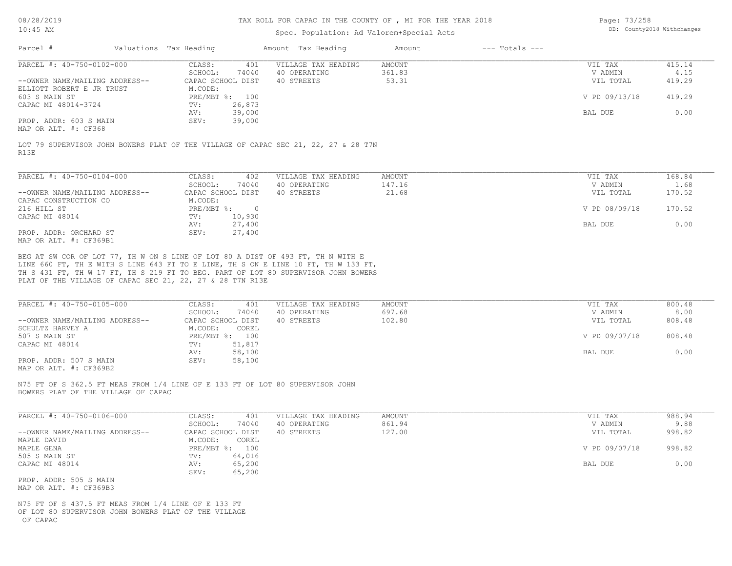#### TAX ROLL FOR CAPAC IN THE COUNTY OF , MI FOR THE YEAR 2018

### Spec. Population: Ad Valorem+Special Acts

Page: 73/258 DB: County2018 Withchanges

| Parcel #                       | Valuations Tax Heading |        | Amount Tax Heading  | Amount | $---$ Totals $---$ |               |        |
|--------------------------------|------------------------|--------|---------------------|--------|--------------------|---------------|--------|
| PARCEL #: 40-750-0102-000      | CLASS:                 | 401    | VILLAGE TAX HEADING | AMOUNT |                    | VIL TAX       | 415.14 |
|                                | SCHOOL:                | 74040  | 40 OPERATING        | 361.83 |                    | V ADMIN       | 4.15   |
| --OWNER NAME/MAILING ADDRESS-- | CAPAC SCHOOL DIST      |        | 40 STREETS          | 53.31  |                    | VIL TOTAL     | 419.29 |
| ELLIOTT ROBERT E JR TRUST      | M.CODE:                |        |                     |        |                    |               |        |
| 603 S MAIN ST                  | PRE/MBT %: 100         |        |                     |        |                    | V PD 09/13/18 | 419.29 |
| CAPAC MI 48014-3724            | TV:                    | 26,873 |                     |        |                    |               |        |
|                                | AV:                    | 39,000 |                     |        |                    | BAL DUE       | 0.00   |
| PROP. ADDR: 603 S MAIN         | SEV:                   | 39,000 |                     |        |                    |               |        |
| MAP OR ALT. #: CF368           |                        |        |                     |        |                    |               |        |

R13E LOT 79 SUPERVISOR JOHN BOWERS PLAT OF THE VILLAGE OF CAPAC SEC 21, 22, 27 & 28 T7N

| PARCEL #: 40-750-0104-000      | CLASS:     | 402               | VILLAGE TAX HEADING | AMOUNT | 168.84<br>VIL TAX       |
|--------------------------------|------------|-------------------|---------------------|--------|-------------------------|
|                                | SCHOOL:    | 74040             | 40 OPERATING        | 147.16 | 1.68<br>V ADMIN         |
| --OWNER NAME/MAILING ADDRESS-- |            | CAPAC SCHOOL DIST | 40 STREETS          | 21.68  | 170.52<br>VIL TOTAL     |
| CAPAC CONSTRUCTION CO          | M.CODE:    |                   |                     |        |                         |
| 216 HILL ST                    | PRE/MBT %: | $\Omega$          |                     |        | V PD 08/09/18<br>170.52 |
| CAPAC MI 48014                 | TV:        | 10,930            |                     |        |                         |
|                                | AV:        | 27,400            |                     |        | 0.00<br>BAL DUE         |
| PROP. ADDR: ORCHARD ST         | SEV:       | 27,400            |                     |        |                         |
| MAP OR ALT. #: CF369B1         |            |                   |                     |        |                         |

PLAT OF THE VILLAGE OF CAPAC SEC 21, 22, 27 & 28 T7N R13E TH S 431 FT, TH W 17 FT, TH S 219 FT TO BEG. PART OF LOT 80 SUPERVISOR JOHN BOWERS LINE 660 FT, TH E WITH S LINE 643 FT TO E LINE, TH S ON E LINE 10 FT, TH W 133 FT, BEG AT SW COR OF LOT 77, TH W ON S LINE OF LOT 80 A DIST OF 493 FT, TH N WITH E

| PARCEL #: 40-750-0105-000      | CLASS:<br>401     | VILLAGE TAX HEADING | AMOUNT | VIL TAX       | 800.48 |
|--------------------------------|-------------------|---------------------|--------|---------------|--------|
|                                | 74040<br>SCHOOL:  | 40 OPERATING        | 697.68 | V ADMIN       | 8.00   |
| --OWNER NAME/MAILING ADDRESS-- | CAPAC SCHOOL DIST | 40 STREETS          | 102.80 | VIL TOTAL     | 808.48 |
| SCHULTZ HARVEY A               | M.CODE:<br>COREL  |                     |        |               |        |
| 507 S MAIN ST                  | PRE/MBT %: 100    |                     |        | V PD 09/07/18 | 808.48 |
| CAPAC MI 48014                 | 51,817<br>TV:     |                     |        |               |        |
|                                | 58,100<br>AV:     |                     |        | BAL DUE       | 0.00   |
| PROP. ADDR: 507 S MAIN         | 58,100<br>SEV:    |                     |        |               |        |
| MAP OR ALT. #: CF369B2         |                   |                     |        |               |        |

BOWERS PLAT OF THE VILLAGE OF CAPAC N75 FT OF S 362.5 FT MEAS FROM 1/4 LINE OF E 133 FT OF LOT 80 SUPERVISOR JOHN

| PARCEL #: 40-750-0106-000      | CLASS:<br>401       | VILLAGE TAX HEADING | AMOUNT | VIL TAX       | 988.94 |
|--------------------------------|---------------------|---------------------|--------|---------------|--------|
|                                | 74040<br>SCHOOL:    | 40 OPERATING        | 861.94 | V ADMIN       | 9.88   |
| --OWNER NAME/MAILING ADDRESS-- | CAPAC SCHOOL DIST   | 40 STREETS          | 127.00 | VIL TOTAL     | 998.82 |
| MAPLE DAVID                    | M.CODE:<br>COREL    |                     |        |               |        |
| MAPLE GENA                     | $PRE/MBT$ %:<br>100 |                     |        | V PD 09/07/18 | 998.82 |
| 505 S MAIN ST                  | 64,016<br>TV:       |                     |        |               |        |
| CAPAC MI 48014                 | 65,200<br>AV:       |                     |        | BAL DUE       | 0.00   |
|                                | 65,200<br>SEV:      |                     |        |               |        |
| PROP. ADDR: 505 S MAIN         |                     |                     |        |               |        |

MAP OR ALT. #: CF369B3

 OF CAPAC OF LOT 80 SUPERVISOR JOHN BOWERS PLAT OF THE VILLAGE N75 FT OF S 437.5 FT MEAS FROM 1/4 LINE OF E 133 FT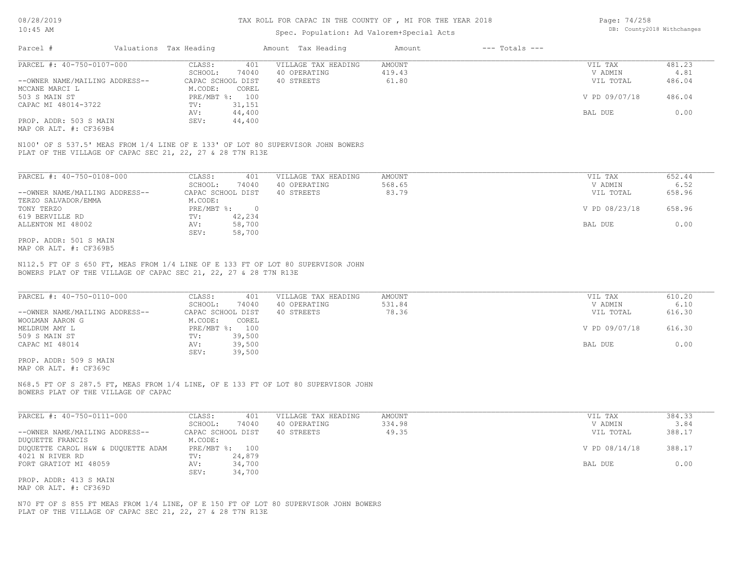### Spec. Population: Ad Valorem+Special Acts

| Page: 74/258 |                            |
|--------------|----------------------------|
|              | DB: County2018 Withchanges |

| Parcel #                       | Valuations Tax Heading |        | Amount Tax Heading  | Amount | $---$ Totals $---$ |               |        |
|--------------------------------|------------------------|--------|---------------------|--------|--------------------|---------------|--------|
| PARCEL #: 40-750-0107-000      | CLASS:                 | 401    | VILLAGE TAX HEADING | AMOUNT |                    | VIL TAX       | 481.23 |
|                                | SCHOOL:                | 74040  | 40 OPERATING        | 419.43 |                    | V ADMIN       | 4.81   |
| --OWNER NAME/MAILING ADDRESS-- | CAPAC SCHOOL DIST      |        | 40 STREETS          | 61.80  |                    | VIL TOTAL     | 486.04 |
| MCCANE MARCI L                 | M.CODE:                | COREL  |                     |        |                    |               |        |
| 503 S MAIN ST                  | PRE/MBT %: 100         |        |                     |        |                    | V PD 09/07/18 | 486.04 |
| CAPAC MI 48014-3722            | TV:                    | 31,151 |                     |        |                    |               |        |
|                                | AV:                    | 44,400 |                     |        |                    | BAL DUE       | 0.00   |
| PROP. ADDR: 503 S MAIN         | SEV:                   | 44,400 |                     |        |                    |               |        |
|                                |                        |        |                     |        |                    |               |        |

MAP OR ALT. #: CF369B4

PLAT OF THE VILLAGE OF CAPAC SEC 21, 22, 27 & 28 T7N R13E N100' OF S 537.5' MEAS FROM 1/4 LINE OF E 133' OF LOT 80 SUPERVISOR JOHN BOWERS

| PARCEL #: 40-750-0108-000      | CLASS:     | 401               | VILLAGE TAX HEADING | AMOUNT | 652.44<br>VIL TAX       |  |
|--------------------------------|------------|-------------------|---------------------|--------|-------------------------|--|
|                                | SCHOOL:    | 74040             | 40 OPERATING        | 568.65 | 6.52<br>V ADMIN         |  |
| --OWNER NAME/MAILING ADDRESS-- |            | CAPAC SCHOOL DIST | 40 STREETS          | 83.79  | 658.96<br>VIL TOTAL     |  |
| TERZO SALVADOR/EMMA            | M.CODE:    |                   |                     |        |                         |  |
| TONY TERZO                     | PRE/MBT %: | $\Omega$          |                     |        | V PD 08/23/18<br>658.96 |  |
| 619 BERVILLE RD                | TV:        | 42,234            |                     |        |                         |  |
| ALLENTON MI 48002              | AV:        | 58,700            |                     |        | 0.00<br>BAL DUE         |  |
|                                | SEV:       | 58,700            |                     |        |                         |  |
| PROP. ADDR: 501 S MAIN         |            |                   |                     |        |                         |  |

MAP OR ALT. #: CF369B5

BOWERS PLAT OF THE VILLAGE OF CAPAC SEC 21, 22, 27 & 28 T7N R13E N112.5 FT OF S 650 FT, MEAS FROM 1/4 LINE OF E 133 FT OF LOT 80 SUPERVISOR JOHN

| PARCEL #: 40-750-0110-000      | CLASS:<br>401     | VILLAGE TAX HEADING | AMOUNT | VIL TAX       | 610.20 |
|--------------------------------|-------------------|---------------------|--------|---------------|--------|
|                                | 74040<br>SCHOOL:  | 40 OPERATING        | 531.84 | V ADMIN       | 6.10   |
| --OWNER NAME/MAILING ADDRESS-- | CAPAC SCHOOL DIST | 40 STREETS          | 78.36  | VIL TOTAL     | 616.30 |
| WOOLMAN AARON G                | M.CODE:<br>COREL  |                     |        |               |        |
| MELDRUM AMY L                  | PRE/MBT %: 100    |                     |        | V PD 09/07/18 | 616.30 |
| 509 S MAIN ST                  | 39,500<br>TV:     |                     |        |               |        |
| CAPAC MI 48014                 | 39,500<br>AV:     |                     |        | BAL DUE       | 0.00   |
|                                | 39,500<br>SEV:    |                     |        |               |        |
|                                |                   |                     |        |               |        |

MAP OR ALT. #: CF369C PROP. ADDR: 509 S MAIN

BOWERS PLAT OF THE VILLAGE OF CAPAC N68.5 FT OF S 287.5 FT, MEAS FROM 1/4 LINE, OF E 133 FT OF LOT 80 SUPERVISOR JOHN

| PARCEL #: 40-750-0111-000          | CLASS:<br>401     | VILLAGE TAX HEADING | AMOUNT | VIL TAX       | 384.33 |
|------------------------------------|-------------------|---------------------|--------|---------------|--------|
|                                    | 74040<br>SCHOOL:  | 40 OPERATING        | 334.98 | V ADMIN       | 3.84   |
| --OWNER NAME/MAILING ADDRESS--     | CAPAC SCHOOL DIST | 40 STREETS          | 49.35  | VIL TOTAL     | 388.17 |
| DUQUETTE FRANCIS                   | M.CODE:           |                     |        |               |        |
| DUOUETTE CAROL H&W & DUOUETTE ADAM | PRE/MBT %: 100    |                     |        | V PD 08/14/18 | 388.17 |
| 4021 N RIVER RD                    | 24,879<br>TV:     |                     |        |               |        |
| FORT GRATIOT MI 48059              | 34,700<br>AV:     |                     |        | BAL DUE       | 0.00   |
|                                    | 34,700<br>SEV:    |                     |        |               |        |
| PROP. ADDR: 413 S MAIN             |                   |                     |        |               |        |

MAP OR ALT. #: CF369D

PLAT OF THE VILLAGE OF CAPAC SEC 21, 22, 27 & 28 T7N R13E N70 FT OF S 855 FT MEAS FROM 1/4 LINE, OF E 150 FT OF LOT 80 SUPERVISOR JOHN BOWERS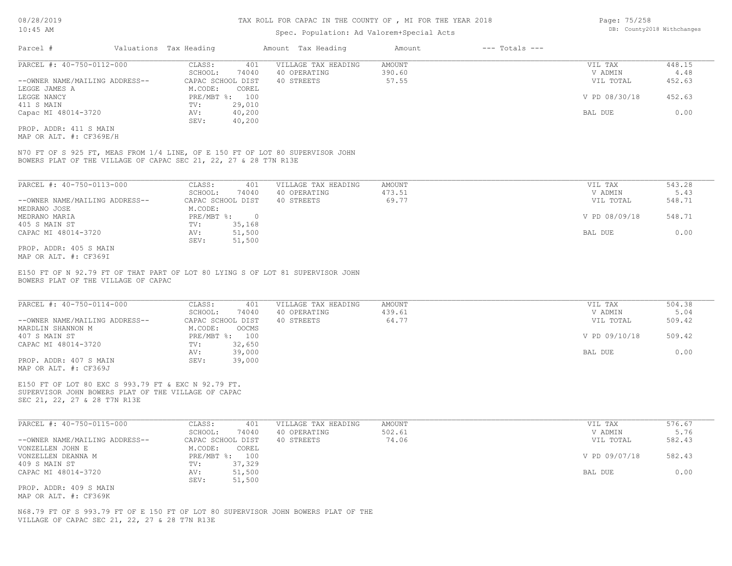### Spec. Population: Ad Valorem+Special Acts

| Page: 75/258 |                            |
|--------------|----------------------------|
|              | DB: County2018 Withchanges |

| Parcel #                       | Valuations Tax Heading |        | Amount Tax Heading  | Amount | $---$ Totals $---$ |               |        |
|--------------------------------|------------------------|--------|---------------------|--------|--------------------|---------------|--------|
| PARCEL #: 40-750-0112-000      | CLASS:                 | 401    | VILLAGE TAX HEADING | AMOUNT |                    | VIL TAX       | 448.15 |
|                                | SCHOOL:                | 74040  | 40 OPERATING        | 390.60 |                    | V ADMIN       | 4.48   |
| --OWNER NAME/MAILING ADDRESS-- | CAPAC SCHOOL DIST      |        | 40 STREETS          | 57.55  |                    | VIL TOTAL     | 452.63 |
| LEGGE JAMES A                  | M.CODE:                | COREL  |                     |        |                    |               |        |
| LEGGE NANCY                    | PRE/MBT %: 100         |        |                     |        |                    | V PD 08/30/18 | 452.63 |
| 411 S MAIN                     | TV:                    | 29,010 |                     |        |                    |               |        |
| Capac MI 48014-3720            | AV:                    | 40,200 |                     |        |                    | BAL DUE       | 0.00   |
|                                | SEV:                   | 40,200 |                     |        |                    |               |        |
| PROP. ADDR: 411 S MAIN         |                        |        |                     |        |                    |               |        |

MAP OR ALT. #: CF369E/H

BOWERS PLAT OF THE VILLAGE OF CAPAC SEC 21, 22, 27 & 28 T7N R13E N70 FT OF S 925 FT, MEAS FROM 1/4 LINE, OF E 150 FT OF LOT 80 SUPERVISOR JOHN

| PARCEL #: 40-750-0113-000      | 401<br>CLASS:     | VILLAGE TAX HEADING | AMOUNT | VIL TAX       | 543.28 |
|--------------------------------|-------------------|---------------------|--------|---------------|--------|
|                                | 74040<br>SCHOOL:  | 40 OPERATING        | 473.51 | V ADMIN       | 5.43   |
| --OWNER NAME/MAILING ADDRESS-- | CAPAC SCHOOL DIST | 40 STREETS          | 69.77  | VIL TOTAL     | 548.71 |
| MEDRANO JOSE                   | M.CODE:           |                     |        |               |        |
| MEDRANO MARIA                  | $PRE/MBT$ %:      |                     |        | V PD 08/09/18 | 548.71 |
| 405 S MAIN ST                  | 35,168<br>TV:     |                     |        |               |        |
| CAPAC MI 48014-3720            | 51,500<br>AV:     |                     |        | BAL DUE       | 0.00   |
|                                | 51,500<br>SEV:    |                     |        |               |        |
| PROP. ADDR: 405 S MAIN         |                   |                     |        |               |        |

MAP OR ALT. #: CF369I

BOWERS PLAT OF THE VILLAGE OF CAPAC E150 FT OF N 92.79 FT OF THAT PART OF LOT 80 LYING S OF LOT 81 SUPERVISOR JOHN

| PARCEL #: 40-750-0114-000      | CLASS:  | 401               | VILLAGE TAX HEADING | AMOUNT | VIL TAX       | 504.38 |
|--------------------------------|---------|-------------------|---------------------|--------|---------------|--------|
|                                | SCHOOL: | 74040             | 40 OPERATING        | 439.61 | V ADMIN       | 5.04   |
| --OWNER NAME/MAILING ADDRESS-- |         | CAPAC SCHOOL DIST | 40 STREETS          | 64.77  | VIL TOTAL     | 509.42 |
| MARDLIN SHANNON M              | M.CODE: | OOCMS             |                     |        |               |        |
| 407 S MAIN ST                  |         | PRE/MBT %: 100    |                     |        | V PD 09/10/18 | 509.42 |
| CAPAC MI 48014-3720            | TV:     | 32,650            |                     |        |               |        |
|                                | AV:     | 39,000            |                     |        | BAL DUE       | 0.00   |
| PROP. ADDR: 407 S MAIN         | SEV:    | 39,000            |                     |        |               |        |
| MAP OR ALT. #: CF369J          |         |                   |                     |        |               |        |

SEC 21, 22, 27 & 28 T7N R13E SUPERVISOR JOHN BOWERS PLAT OF THE VILLAGE OF CAPAC E150 FT OF LOT 80 EXC S 993.79 FT & EXC N 92.79 FT.

| PARCEL #: 40-750-0115-000      | CLASS:            | 401    | VILLAGE TAX HEADING | AMOUNT | VIL TAX       | 576.67 |
|--------------------------------|-------------------|--------|---------------------|--------|---------------|--------|
|                                | SCHOOL:           | 74040  | 40 OPERATING        | 502.61 | V ADMIN       | 5.76   |
| --OWNER NAME/MAILING ADDRESS-- | CAPAC SCHOOL DIST |        | 40 STREETS          | 74.06  | VIL TOTAL     | 582.43 |
| VONZELLEN JOHN E               | M.CODE:           | COREL  |                     |        |               |        |
| VONZELLEN DEANNA M             | PRE/MBT %:        | 100    |                     |        | V PD 09/07/18 | 582.43 |
| 409 S MAIN ST                  | TV:               | 37,329 |                     |        |               |        |
| CAPAC MI 48014-3720            | AV:               | 51,500 |                     |        | BAL DUE       | 0.00   |
|                                | SEV:              | 51,500 |                     |        |               |        |
| PROP. ADDR: 409 S MAIN         |                   |        |                     |        |               |        |
|                                |                   |        |                     |        |               |        |

 $\_$  , and the state of the state of the state of the state of the state of the state of the state of the state of the state of the state of the state of the state of the state of the state of the state of the state of the

MAP OR ALT. #: CF369K

VILLAGE OF CAPAC SEC 21, 22, 27 & 28 T7N R13E N68.79 FT OF S 993.79 FT OF E 150 FT OF LOT 80 SUPERVISOR JOHN BOWERS PLAT OF THE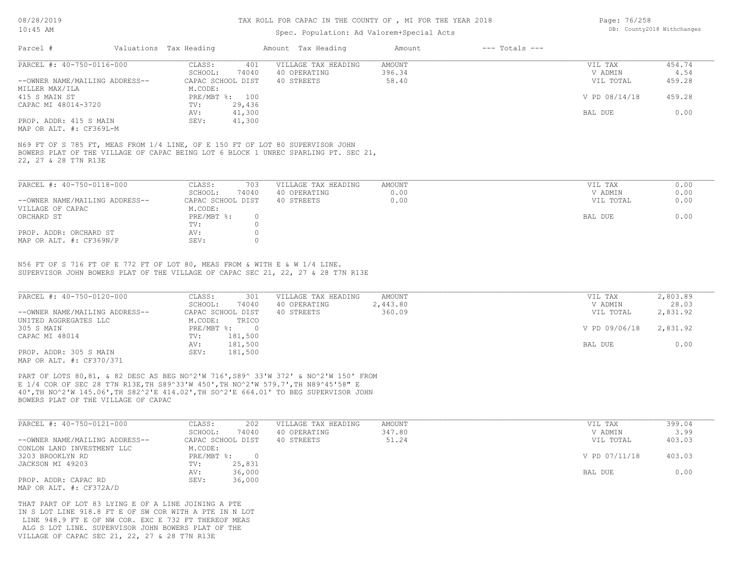#### TAX ROLL FOR CAPAC IN THE COUNTY OF , MI FOR THE YEAR 2018

### Spec. Population: Ad Valorem+Special Acts

| Page: 76/258 |                            |
|--------------|----------------------------|
|              | DB: County2018 Withchanges |

| Parcel #                       | Valuations Tax Heading |        | Amount Tax Heading  | Amount | $---$ Totals $---$ |               |        |
|--------------------------------|------------------------|--------|---------------------|--------|--------------------|---------------|--------|
| PARCEL #: 40-750-0116-000      | CLASS:                 | 401    | VILLAGE TAX HEADING | AMOUNT |                    | VIL TAX       | 454.74 |
|                                | SCHOOL:                | 74040  | 40 OPERATING        | 396.34 |                    | V ADMIN       | 4.54   |
| --OWNER NAME/MAILING ADDRESS-- | CAPAC SCHOOL DIST      |        | 40 STREETS          | 58.40  |                    | VIL TOTAL     | 459.28 |
| MILLER MAX/ILA                 | M.CODE:                |        |                     |        |                    |               |        |
| 415 S MAIN ST                  | PRE/MBT %: 100         |        |                     |        |                    | V PD 08/14/18 | 459.28 |
| CAPAC MI 48014-3720            | TV:                    | 29,436 |                     |        |                    |               |        |
|                                | AV:                    | 41,300 |                     |        |                    | BAL DUE       | 0.00   |
| PROP. ADDR: 415 S MAIN         | SEV:                   | 41,300 |                     |        |                    |               |        |
|                                |                        |        |                     |        |                    |               |        |

MAP OR ALT. #: CF369L-M

22, 27 & 28 T7N R13E BOWERS PLAT OF THE VILLAGE OF CAPAC BEING LOT 6 BLOCK 1 UNREC SPARLING PT. SEC 21, N69 FT OF S 785 FT, MEAS FROM 1/4 LINE, OF E 150 FT OF LOT 80 SUPERVISOR JOHN

| 74040<br>SCHOOL:<br>40 OPERATING<br>0.00                                  |           |      |
|---------------------------------------------------------------------------|-----------|------|
|                                                                           | V ADMIN   | 0.00 |
| 0.00<br>--OWNER NAME/MAILING ADDRESS--<br>CAPAC SCHOOL DIST<br>40 STREETS | VIL TOTAL | 0.00 |
| M.CODE:<br>VILLAGE OF CAPAC                                               |           |      |
| PRE/MBT %:<br>ORCHARD ST                                                  | BAL DUE   | 0.00 |
| TV:                                                                       |           |      |
| PROP. ADDR: ORCHARD ST<br>AV:                                             |           |      |
| MAP OR ALT. #: CF369N/P<br>SEV:                                           |           |      |

SUPERVISOR JOHN BOWERS PLAT OF THE VILLAGE OF CAPAC SEC 21, 22, 27 & 28 T7N R13E N56 FT OF S 716 FT OF E 772 FT OF LOT 80, MEAS FROM & WITH E & W 1/4 LINE.

| PARCEL #: 40-750-0120-000      | CLASS:<br>301     | VILLAGE TAX HEADING | AMOUNT   | VIL TAX       | 2,803.89 |
|--------------------------------|-------------------|---------------------|----------|---------------|----------|
|                                | 74040<br>SCHOOL:  | 40 OPERATING        | 2,443.80 | V ADMIN       | 28.03    |
| --OWNER NAME/MAILING ADDRESS-- | CAPAC SCHOOL DIST | 40 STREETS          | 360.09   | VIL TOTAL     | 2,831.92 |
| UNITED AGGREGATES LLC          | M.CODE:<br>TRICO  |                     |          |               |          |
| 305 S MAIN                     | PRE/MBT %:        |                     |          | V PD 09/06/18 | 2,831.92 |
| CAPAC MI 48014                 | 181,500<br>TV:    |                     |          |               |          |
|                                | 181,500<br>AV:    |                     |          | BAL DUE       | 0.00     |
| PROP. ADDR: 305 S MAIN         | 181,500<br>SEV:   |                     |          |               |          |
| M3D OD 3TH 4. 0B370/371        |                   |                     |          |               |          |

MAP OR ALT. #: CF370/371

BOWERS PLAT OF THE VILLAGE OF CAPAC 40',TH NO^2'W 145.06',TH S82^2'E 414.02',TH SO^2'E 664.01' TO BEG SUPERVISOR JOHN E 1/4 COR OF SEC 28 T7N R13E,TH S89^33'W 450',TH NO^2'W 579.7',TH N89^45'58" E PART OF LOTS 80,81, & 82 DESC AS BEG NO^2'W 716',S89^ 33'W 372' & NO^2'W 150' FROM

| PARCEL #: 40-750-0121-000      | CLASS:<br>202     | VILLAGE TAX HEADING | AMOUNT | VIL TAX       | 399.04 |
|--------------------------------|-------------------|---------------------|--------|---------------|--------|
|                                | 74040<br>SCHOOL:  | 40 OPERATING        | 347.80 | V ADMIN       | 3.99   |
| --OWNER NAME/MAILING ADDRESS-- | CAPAC SCHOOL DIST | 40 STREETS          | 51.24  | VIL TOTAL     | 403.03 |
| CONLON LAND INVESTMENT LLC     | M.CODE:           |                     |        |               |        |
| 3203 BROOKLYN RD               | PRE/MBT %:        |                     |        | V PD 07/11/18 | 403.03 |
| JACKSON MI 49203               | 25,831<br>TV:     |                     |        |               |        |
|                                | 36,000<br>AV:     |                     |        | BAL DUE       | 0.00   |
| PROP. ADDR: CAPAC RD           | 36,000<br>SEV:    |                     |        |               |        |
| MAP OR ALT. #: CF372A/D        |                   |                     |        |               |        |

VILLAGE OF CAPAC SEC 21, 22, 27 & 28 T7N R13E ALG S LOT LINE. SUPERVISOR JOHN BOWERS PLAT OF THE LINE 948.9 FT E OF NW COR. EXC E 732 FT THEREOF MEAS IN S LOT LINE 918.8 FT E OF SW COR WITH A PTE IN N LOT THAT PART OF LOT 83 LYING E OF A LINE JOINING A PTE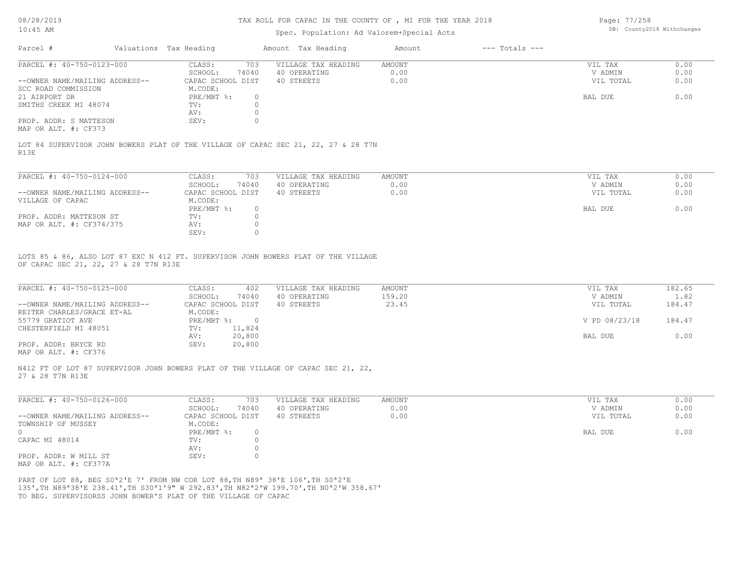#### TAX ROLL FOR CAPAC IN THE COUNTY OF , MI FOR THE YEAR 2018

### Spec. Population: Ad Valorem+Special Acts

Page: 77/258 DB: County2018 Withchanges

| Parcel #                                              | Valuations Tax Heading |       | Amount Tax Heading  | Amount | $---$ Totals $---$ |           |      |
|-------------------------------------------------------|------------------------|-------|---------------------|--------|--------------------|-----------|------|
| PARCEL #: 40-750-0123-000                             | CLASS:                 | 703   | VILLAGE TAX HEADING | AMOUNT |                    | VIL TAX   | 0.00 |
|                                                       | SCHOOL:                | 74040 | 40 OPERATING        | 0.00   |                    | V ADMIN   | 0.00 |
| --OWNER NAME/MAILING ADDRESS--                        | CAPAC SCHOOL DIST      |       | 40 STREETS          | 0.00   |                    | VIL TOTAL | 0.00 |
| SCC ROAD COMMISSION                                   | M.CODE:                |       |                     |        |                    |           |      |
| 21 AIRPORT DR                                         | $PRE/MBT$ %:           |       |                     |        |                    | BAL DUE   | 0.00 |
| SMITHS CREEK MI 48074                                 | TV:                    |       |                     |        |                    |           |      |
|                                                       | AV:                    |       |                     |        |                    |           |      |
| PROP. ADDR: S MATTESON                                | SEV:                   |       |                     |        |                    |           |      |
| $\cdots$ $\cdots$ $\cdots$ $\cdots$ $\cdots$ $\cdots$ |                        |       |                     |        |                    |           |      |

MAP OR ALT. #: CF373

R13E LOT 84 SUPERVISOR JOHN BOWERS PLAT OF THE VILLAGE OF CAPAC SEC 21, 22, 27 & 28 T7N

| PARCEL #: 40-750-0124-000      | CLASS:            | 703   | VILLAGE TAX HEADING | AMOUNT | VIL TAX   | 0.00 |
|--------------------------------|-------------------|-------|---------------------|--------|-----------|------|
|                                | SCHOOL:           | 74040 | 40 OPERATING        | 0.00   | V ADMIN   | 0.00 |
| --OWNER NAME/MAILING ADDRESS-- | CAPAC SCHOOL DIST |       | 40 STREETS          | 0.00   | VIL TOTAL | 0.00 |
| VILLAGE OF CAPAC               | M.CODE:           |       |                     |        |           |      |
|                                | PRE/MBT %:        |       |                     |        | BAL DUE   | 0.00 |
| PROP. ADDR: MATTESON ST        | TV:               |       |                     |        |           |      |
| MAP OR ALT. #: CF374/375       | AV:               |       |                     |        |           |      |
|                                | SEV:              |       |                     |        |           |      |

OF CAPAC SEC 21, 22, 27 & 28 T7N R13E LOTS 85 & 86, ALSO LOT 87 EXC N 412 FT. SUPERVISOR JOHN BOWERS PLAT OF THE VILLAGE

| PARCEL #: 40-750-0125-000      | CLASS:     | 402               | VILLAGE TAX HEADING | AMOUNT | VIL TAX       | 182.65 |
|--------------------------------|------------|-------------------|---------------------|--------|---------------|--------|
|                                | SCHOOL:    | 74040             | 40 OPERATING        | 159.20 | V ADMIN       | 1.82   |
| --OWNER NAME/MAILING ADDRESS-- |            | CAPAC SCHOOL DIST | 40 STREETS          | 23.45  | VIL TOTAL     | 184.47 |
| REITER CHARLES/GRACE ET-AL     | M.CODE:    |                   |                     |        |               |        |
| 55779 GRATIOT AVE              | PRE/MBT %: |                   |                     |        | V PD 08/23/18 | 184.47 |
| CHESTERFIELD MI 48051          | TV:        | 11,824            |                     |        |               |        |
|                                | AV:        | 20,800            |                     |        | BAL DUE       | 0.00   |
| PROP. ADDR: BRYCE RD           | SEV:       | 20,800            |                     |        |               |        |
|                                |            |                   |                     |        |               |        |

 $\_$  , and the state of the state of the state of the state of the state of the state of the state of the state of the state of the state of the state of the state of the state of the state of the state of the state of the

 $\_$  , and the state of the state of the state of the state of the state of the state of the state of the state of the state of the state of the state of the state of the state of the state of the state of the state of the

MAP OR ALT. #: CF376

27 & 28 T7N R13E N412 FT OF LOT 87 SUPERVISOR JOHN BOWERS PLAT OF THE VILLAGE OF CAPAC SEC 21, 22,

| PARCEL #: 40-750-0126-000      | CLASS:            | 703   | VILLAGE TAX HEADING | AMOUNT | VIL TAX   | 0.00 |
|--------------------------------|-------------------|-------|---------------------|--------|-----------|------|
|                                | SCHOOL:           | 74040 | 40 OPERATING        | 0.00   | V ADMIN   | 0.00 |
| --OWNER NAME/MAILING ADDRESS-- | CAPAC SCHOOL DIST |       | 40 STREETS          | 0.00   | VIL TOTAL | 0.00 |
| TOWNSHIP OF MUSSEY             | M.CODE:           |       |                     |        |           |      |
| $\Omega$                       | PRE/MBT %:        |       |                     |        | BAL DUE   | 0.00 |
| CAPAC MI 48014                 | TV:               |       |                     |        |           |      |
|                                | AV:               |       |                     |        |           |      |
| PROP. ADDR: W MILL ST          | SEV:              |       |                     |        |           |      |
| MAP OR ALT. #: CF377A          |                   |       |                     |        |           |      |

TO BEG. SUPERVISORSS JOHN BOWER'S PLAT OF THE VILLAGE OF CAPAC 135',TH N89ª38'E 238.41',TH S30ª1'9" W 292.83',TH N82ª2'W 199.70',TH N0ª2'W 358.67' PART OF LOT 88, BEG S0ª2'E 7' FROM NW COR LOT 88,TH N89ª 38'E 106',TH S0ª2'E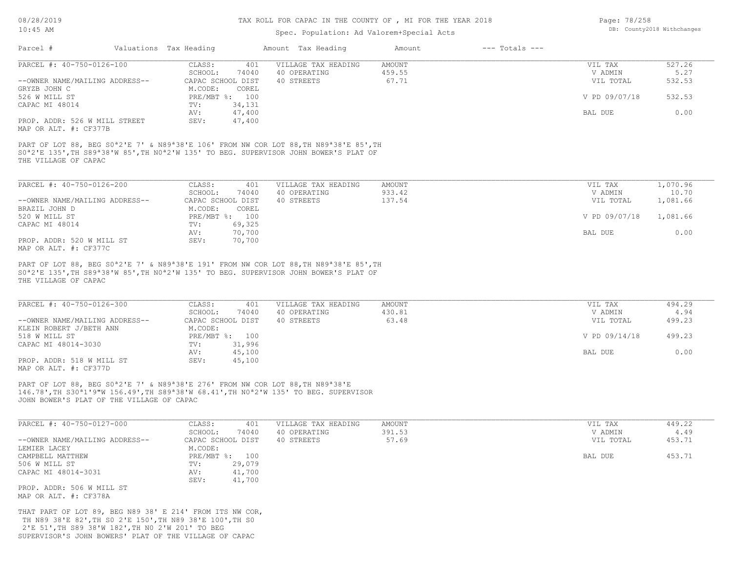# TAX ROLL FOR CAPAC IN THE COUNTY OF , MI FOR THE YEAR 2018

## Spec. Population: Ad Valorem+Special Acts

| Page: 78/258 |                            |
|--------------|----------------------------|
|              | DB: County2018 Withchanges |

| Parcel #                                                                                                                                                                 | Valuations Tax Heading                  |                  | Amount Tax Heading                                                                                                                                                                                                                                          | Amount                           | $---$ Totals $---$ |                                 |                          |
|--------------------------------------------------------------------------------------------------------------------------------------------------------------------------|-----------------------------------------|------------------|-------------------------------------------------------------------------------------------------------------------------------------------------------------------------------------------------------------------------------------------------------------|----------------------------------|--------------------|---------------------------------|--------------------------|
| PARCEL #: 40-750-0126-100<br>--OWNER NAME/MAILING ADDRESS--                                                                                                              | CLASS:<br>SCHOOL:<br>CAPAC SCHOOL DIST  | 401<br>74040     | VILLAGE TAX HEADING<br>40 OPERATING<br>40 STREETS                                                                                                                                                                                                           | <b>AMOUNT</b><br>459.55<br>67.71 |                    | VIL TAX<br>V ADMIN<br>VIL TOTAL | 527.26<br>5.27<br>532.53 |
| GRYZB JOHN C<br>526 W MILL ST                                                                                                                                            | M.CODE:<br>PRE/MBT %: 100               | COREL            |                                                                                                                                                                                                                                                             |                                  |                    | V PD 09/07/18                   | 532.53                   |
| CAPAC MI 48014                                                                                                                                                           | TV:<br>AV:                              | 34,131<br>47,400 |                                                                                                                                                                                                                                                             |                                  |                    | BAL DUE                         | 0.00                     |
| PROP. ADDR: 526 W MILL STREET<br>MAP OR ALT. #: CF377B                                                                                                                   | SEV:                                    | 47,400           |                                                                                                                                                                                                                                                             |                                  |                    |                                 |                          |
| THE VILLAGE OF CAPAC                                                                                                                                                     |                                         |                  | PART OF LOT 88, BEG S0 <sup>a</sup> 2'E 7' & N89 <sup>a</sup> 38'E 106' FROM NW COR LOT 88, TH N89 <sup>a</sup> 38'E 85', TH<br>SO <sup>a</sup> 2'E 135', TH S89 <sup>a</sup> 38'W 85', TH NO <sup>a</sup> 2'W 135' TO BEG. SUPERVISOR JOHN BOWER'S PLAT OF |                                  |                    |                                 |                          |
| PARCEL #: 40-750-0126-200                                                                                                                                                | CLASS:                                  | 401              | VILLAGE TAX HEADING                                                                                                                                                                                                                                         | AMOUNT                           |                    | VIL TAX                         | 1,070.96                 |
| --OWNER NAME/MAILING ADDRESS--<br>BRAZIL JOHN D                                                                                                                          | SCHOOL:<br>CAPAC SCHOOL DIST<br>M.CODE: | 74040<br>COREL   | 40 OPERATING<br>40 STREETS                                                                                                                                                                                                                                  | 933.42<br>137.54                 |                    | V ADMIN<br>VIL TOTAL            | 10.70<br>1,081.66        |
| 520 W MILL ST                                                                                                                                                            | PRE/MBT %: 100                          | 69,325           |                                                                                                                                                                                                                                                             |                                  |                    | V PD 09/07/18                   | 1,081.66                 |
| CAPAC MI 48014<br>PROP. ADDR: 520 W MILL ST                                                                                                                              | TV:<br>AV:<br>SEV:                      | 70,700<br>70,700 |                                                                                                                                                                                                                                                             |                                  |                    | BAL DUE                         | 0.00                     |
| MAP OR ALT. #: CF377C                                                                                                                                                    |                                         |                  |                                                                                                                                                                                                                                                             |                                  |                    |                                 |                          |
| THE VILLAGE OF CAPAC                                                                                                                                                     |                                         |                  | PART OF LOT 88, BEG S0 <sup>a</sup> 2'E 7' & N89 <sup>a</sup> 38'E 191' FROM NW COR LOT 88, TH N89 <sup>a</sup> 38'E 85', TH<br>S0 <sup>a</sup> 2'E 135', TH S89 <sup>a</sup> 38'W 85', TH N0 <sup>a</sup> 2'W 135' TO BEG. SUPERVISOR JOHN BOWER'S PLAT OF |                                  |                    |                                 |                          |
| PARCEL #: 40-750-0126-300                                                                                                                                                | CLASS:                                  | 401              | VILLAGE TAX HEADING                                                                                                                                                                                                                                         | AMOUNT                           |                    | VIL TAX                         | 494.29                   |
| --OWNER NAME/MAILING ADDRESS--                                                                                                                                           | SCHOOL:<br>CAPAC SCHOOL DIST            | 74040            | 40 OPERATING<br>40 STREETS                                                                                                                                                                                                                                  | 430.81<br>63.48                  |                    | V ADMIN<br>VIL TOTAL            | 4.94<br>499.23           |
| KLEIN ROBERT J/BETH ANN<br>518 W MILL ST                                                                                                                                 | M.CODE:<br>PRE/MBT %: 100               |                  |                                                                                                                                                                                                                                                             |                                  |                    | V PD 09/14/18                   | 499.23                   |
| CAPAC MI 48014-3030                                                                                                                                                      | TV:<br>AV:                              | 31,996<br>45,100 |                                                                                                                                                                                                                                                             |                                  |                    | BAL DUE                         | 0.00                     |
| PROP. ADDR: 518 W MILL ST<br>MAP OR ALT. #: CF377D                                                                                                                       | SEV:                                    | 45,100           |                                                                                                                                                                                                                                                             |                                  |                    |                                 |                          |
| PART OF LOT 88, BEG S0 <sup>a</sup> 2'E 7' & N89 <sup>a</sup> 38'E 276' FROM NW COR LOT 88, TH N89 <sup>a</sup> 38'E<br>JOHN BOWER'S PLAT OF THE VILLAGE OF CAPAC        |                                         |                  | 146.78', TH S30 <sup>a</sup> 1'9"W 156.49', TH S89 <sup>a</sup> 38'W 68.41', TH N0 <sup>a</sup> 2'W 135' TO BEG. SUPERVISOR                                                                                                                                 |                                  |                    |                                 |                          |
| PARCEL #: 40-750-0127-000                                                                                                                                                | CLASS:                                  | 401              | VILLAGE TAX HEADING                                                                                                                                                                                                                                         | AMOUNT                           |                    | VIL TAX                         | 449.22                   |
| --OWNER NAME/MAILING ADDRESS--                                                                                                                                           | SCHOOL:<br>CAPAC SCHOOL DIST            | 74040            | 40 OPERATING<br>40 STREETS                                                                                                                                                                                                                                  | 391.53<br>57.69                  |                    | V ADMIN<br>VIL TOTAL            | 4.49<br>453.71           |
| LEMIER LACEY<br>CAMPBELL MATTHEW                                                                                                                                         | M.CODE:<br>PRE/MBT %: 100               |                  |                                                                                                                                                                                                                                                             |                                  |                    | BAL DUE                         | 453.71                   |
| 506 W MILL ST<br>CAPAC MI 48014-3031                                                                                                                                     | TV:<br>AV:<br>SEV:                      | 29,079<br>41,700 |                                                                                                                                                                                                                                                             |                                  |                    |                                 |                          |
| PROP. ADDR: 506 W MILL ST<br>MAP OR ALT. #: CF378A                                                                                                                       |                                         | 41,700           |                                                                                                                                                                                                                                                             |                                  |                    |                                 |                          |
| THAT PART OF LOT 89, BEG N89 38' E 214' FROM ITS NW COR,<br>TH N89 38'E 82', TH SO 2'E 150', TH N89 38'E 100', TH SO<br>2'E 51', TH S89 38'W 182', TH NO 2'W 201' TO BEG |                                         |                  |                                                                                                                                                                                                                                                             |                                  |                    |                                 |                          |

SUPERVISOR'S JOHN BOWERS' PLAT OF THE VILLAGE OF CAPAC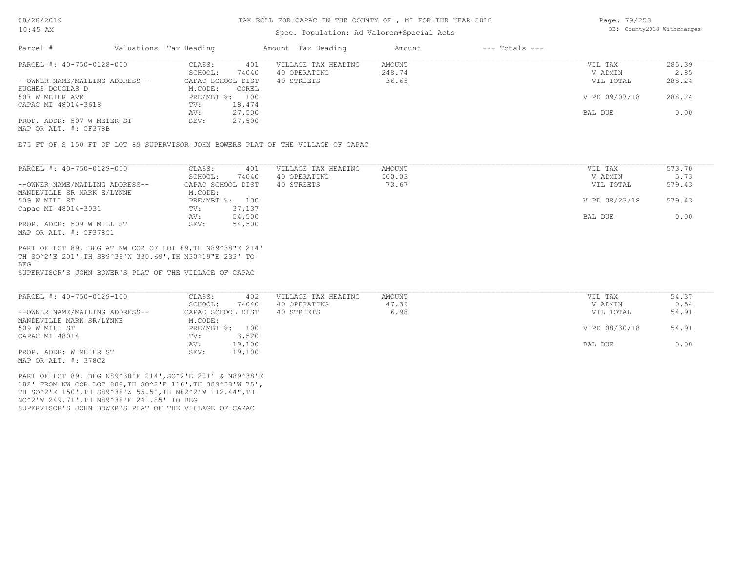### Spec. Population: Ad Valorem+Special Acts

Page: 79/258 DB: County2018 Withchanges

| Parcel #                       | Valuations Tax Heading |        | Amount Tax Heading  | Amount | $---$ Totals $---$ |               |        |
|--------------------------------|------------------------|--------|---------------------|--------|--------------------|---------------|--------|
| PARCEL #: 40-750-0128-000      | CLASS:                 | 401    | VILLAGE TAX HEADING | AMOUNT |                    | VIL TAX       | 285.39 |
|                                | SCHOOL:                | 74040  | 40 OPERATING        | 248.74 |                    | V ADMIN       | 2.85   |
| --OWNER NAME/MAILING ADDRESS-- | CAPAC SCHOOL DIST      |        | 40 STREETS          | 36.65  |                    | VIL TOTAL     | 288.24 |
| HUGHES DOUGLAS D               | M.CODE:                | COREL  |                     |        |                    |               |        |
| 507 W MEIER AVE                | PRE/MBT %: 100         |        |                     |        |                    | V PD 09/07/18 | 288.24 |
| CAPAC MI 48014-3618            | TV:                    | 18,474 |                     |        |                    |               |        |
|                                | AV:                    | 27,500 |                     |        |                    | BAL DUE       | 0.00   |
| PROP. ADDR: 507 W MEIER ST     | SEV:                   | 27,500 |                     |        |                    |               |        |
| MAP OR ALT. #: CF378B          |                        |        |                     |        |                    |               |        |

E75 FT OF S 150 FT OF LOT 89 SUPERVISOR JOHN BOWERS PLAT OF THE VILLAGE OF CAPAC

| PARCEL #: 40-750-0129-000      | CLASS:                  | 401<br>VILLAGE TAX HEADING | AMOUNT | VIL TAX       | 573.70 |
|--------------------------------|-------------------------|----------------------------|--------|---------------|--------|
|                                | 74040<br>SCHOOL:        | 40 OPERATING               | 500.03 | V ADMIN       | 5.73   |
| --OWNER NAME/MAILING ADDRESS-- | CAPAC SCHOOL DIST       | 40 STREETS                 | 73.67  | VIL TOTAL     | 579.43 |
| MANDEVILLE SR MARK E/LYNNE     | M.CODE:                 |                            |        |               |        |
| 509 W MILL ST                  | PRE/MBT %: 100          |                            |        | V PD 08/23/18 | 579.43 |
| Capac MI 48014-3031            | 37,137<br>$\text{TV}$ : |                            |        |               |        |
|                                | AV:<br>54,500           |                            |        | BAL DUE       | 0.00   |
| PROP. ADDR: 509 W MILL ST      | 54,500<br>SEV:          |                            |        |               |        |
| MAP OR ALT. #: CF378C1         |                         |                            |        |               |        |

BEG TH SO^2'E 201',TH S89^38'W 330.69',TH N30^19"E 233' TO PART OF LOT 89, BEG AT NW COR OF LOT 89,TH N89^38"E 214'

SUPERVISOR'S JOHN BOWER'S PLAT OF THE VILLAGE OF CAPAC

| PARCEL #: 40-750-0129-100      | CLASS:<br>402     | VILLAGE TAX HEADING | AMOUNT | VIL TAX       | 54.37 |
|--------------------------------|-------------------|---------------------|--------|---------------|-------|
|                                | 74040<br>SCHOOL:  | 40 OPERATING        | 47.39  | V ADMIN       | 0.54  |
| --OWNER NAME/MAILING ADDRESS-- | CAPAC SCHOOL DIST | 40 STREETS          | 6.98   | VIL TOTAL     | 54.91 |
| MANDEVILLE MARK SR/LYNNE       | M.CODE:           |                     |        |               |       |
| 509 W MILL ST                  | PRE/MBT %: 100    |                     |        | V PD 08/30/18 | 54.91 |
| CAPAC MI 48014                 | 3,520<br>TV:      |                     |        |               |       |
|                                | 19,100<br>AV:     |                     |        | BAL DUE       | 0.00  |
| PROP. ADDR: W MEIER ST         | 19,100<br>SEV:    |                     |        |               |       |
| MAP OR ALT. #: 378C2           |                   |                     |        |               |       |

SUPERVISOR'S JOHN BOWER'S PLAT OF THE VILLAGE OF CAPAC NO^2'W 249.71',TH N89^38'E 241.85' TO BEG TH SO^2'E 150',TH S89^38'W 55.5',TH N82^2'W 112.44",TH 182' FROM NW COR LOT 889,TH SO^2'E 116',TH S89^38'W 75', PART OF LOT 89, BEG N89^38'E 214',SO^2'E 201' & N89^38'E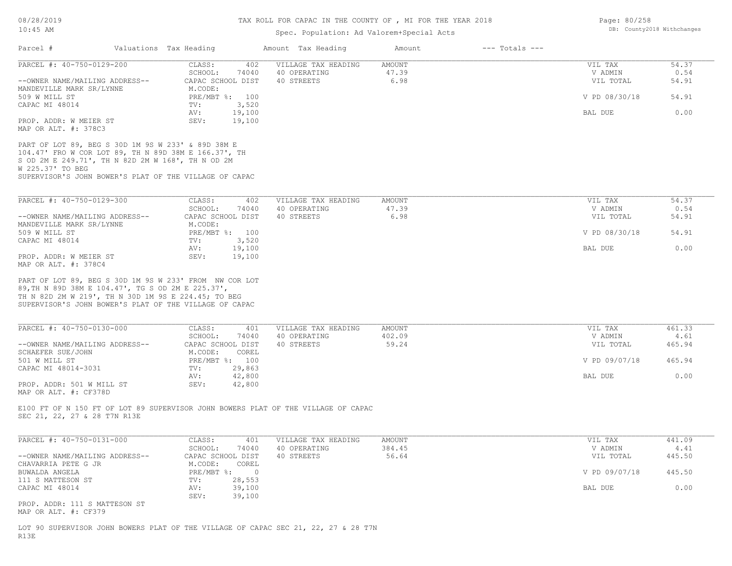# Spec. Population: Ad Valorem+Special Acts

| PARCEL #: 40-750-0129-200<br>--OWNER NAME/MAILING ADDRESS--                                                                                                                                                                                                           | CLASS:<br>402<br>SCHOOL:<br>74040<br>CAPAC SCHOOL DIST                 | VILLAGE TAX HEADING<br>40 OPERATING<br>40 STREETS | <b>AMOUNT</b><br>47.39<br>6.98 | VIL TAX<br>V ADMIN<br>VIL TOTAL | 54.37<br>0.54<br>54.91 |
|-----------------------------------------------------------------------------------------------------------------------------------------------------------------------------------------------------------------------------------------------------------------------|------------------------------------------------------------------------|---------------------------------------------------|--------------------------------|---------------------------------|------------------------|
| MANDEVILLE MARK SR/LYNNE<br>509 W MILL ST                                                                                                                                                                                                                             | M.CODE:<br>PRE/MBT %: 100                                              |                                                   |                                | V PD 08/30/18                   | 54.91                  |
| CAPAC MI 48014<br>PROP. ADDR: W MEIER ST                                                                                                                                                                                                                              | 3,520<br>TV:<br>19,100<br>AV:<br>SEV:<br>19,100                        |                                                   |                                | BAL DUE                         | 0.00                   |
| MAP OR ALT. #: 378C3<br>PART OF LOT 89, BEG S 30D 1M 9S W 233' & 89D 38M E<br>104.47' FRO W COR LOT 89, TH N 89D 38M E 166.37', TH<br>S OD 2M E 249.71', TH N 82D 2M W 168', TH N OD 2M<br>W 225.37' TO BEG<br>SUPERVISOR'S JOHN BOWER'S PLAT OF THE VILLAGE OF CAPAC |                                                                        |                                                   |                                |                                 |                        |
| PARCEL #: 40-750-0129-300                                                                                                                                                                                                                                             | CLASS:<br>402                                                          | VILLAGE TAX HEADING                               | AMOUNT                         | VIL TAX                         | 54.37                  |
| --OWNER NAME/MAILING ADDRESS--                                                                                                                                                                                                                                        | SCHOOL:<br>74040<br>CAPAC SCHOOL DIST                                  | 40 OPERATING<br>40 STREETS                        | 47.39<br>6.98                  | V ADMIN<br>VIL TOTAL            | 0.54<br>54.91          |
| MANDEVILLE MARK SR/LYNNE<br>509 W MILL ST<br>CAPAC MI 48014                                                                                                                                                                                                           | M.CODE:<br>PRE/MBT %: 100<br>3,520<br>TV:                              |                                                   |                                | V PD 08/30/18                   | 54.91                  |
| PROP. ADDR: W MEIER ST                                                                                                                                                                                                                                                | 19,100<br>AV:<br>SEV:<br>19,100                                        |                                                   |                                | BAL DUE                         | 0.00                   |
|                                                                                                                                                                                                                                                                       |                                                                        |                                                   |                                |                                 |                        |
| MAP OR ALT. #: 378C4<br>PART OF LOT 89, BEG S 30D 1M 9S W 233' FROM NW COR LOT<br>89, TH N 89D 38M E 104.47', TG S OD 2M E 225.37',<br>TH N 82D 2M W 219', TH N 30D 1M 9S E 224.45; TO BEG<br>SUPERVISOR'S JOHN BOWER'S PLAT OF THE VILLAGE OF CAPAC                  |                                                                        |                                                   |                                |                                 |                        |
| PARCEL #: 40-750-0130-000                                                                                                                                                                                                                                             | CLASS:<br>401<br>SCHOOL:<br>74040                                      | VILLAGE TAX HEADING<br>40 OPERATING               | AMOUNT<br>402.09               | VIL TAX<br>V ADMIN              | 461.33<br>4.61         |
| --OWNER NAME/MAILING ADDRESS--<br>SCHAEFER SUE/JOHN                                                                                                                                                                                                                   | CAPAC SCHOOL DIST<br>M.CODE:<br>COREL                                  | 40 STREETS                                        | 59.24                          | VIL TOTAL                       | 465.94                 |
| 501 W MILL ST<br>CAPAC MI 48014-3031                                                                                                                                                                                                                                  | PRE/MBT %: 100<br>29,863<br>TV:<br>42,800<br>AV:                       |                                                   |                                | V PD 09/07/18<br>BAL DUE        | 465.94<br>0.00         |
| PROP. ADDR: 501 W MILL ST                                                                                                                                                                                                                                             | SEV:<br>42,800                                                         |                                                   |                                |                                 |                        |
| MAP OR ALT. #: CF378D<br>E100 FT OF N 150 FT OF LOT 89 SUPERVISOR JOHN BOWERS PLAT OF THE VILLAGE OF CAPAC<br>SEC 21, 22, 27 & 28 T7N R13E                                                                                                                            |                                                                        |                                                   |                                |                                 |                        |
| PARCEL #: 40-750-0131-000                                                                                                                                                                                                                                             | CLASS:<br>401<br>SCHOOL:<br>74040                                      | VILLAGE TAX HEADING<br>40 OPERATING               | AMOUNT<br>384.45               | VIL TAX<br>V ADMIN              | 441.09<br>4.41         |
| --OWNER NAME/MAILING ADDRESS--<br>CHAVARRIA PETE G JR                                                                                                                                                                                                                 | CAPAC SCHOOL DIST<br>M.CODE:<br>COREL                                  | 40 STREETS                                        | 56.64                          | VIL TOTAL                       | 445.50                 |
| BUWALDA ANGELA<br>111 S MATTESON ST<br>CAPAC MI 48014                                                                                                                                                                                                                 | $PRE/MBT$ $\div$ :<br>$\overline{0}$<br>28,553<br>TV:<br>39,100<br>AV: |                                                   |                                | V PD 09/07/18<br>BAL DUE        | 445.50<br>0.00         |

R13E

Page: 80/258 DB: County2018 Withchanges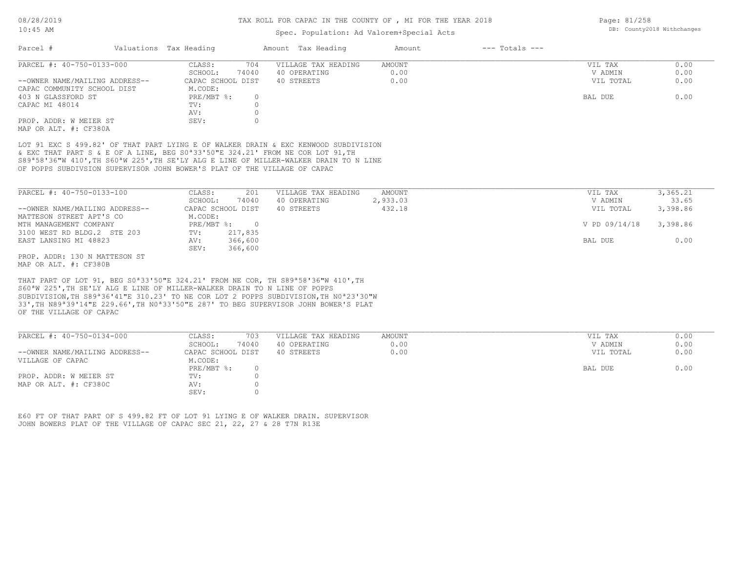### Spec. Population: Ad Valorem+Special Acts

| 08/28/2019 |                         | TAX ROLL FOR CAPAC IN THE COUNTY OF , MI FOR THE YEAR 2018 |         |                    | Page: $81/258$             |  |
|------------|-------------------------|------------------------------------------------------------|---------|--------------------|----------------------------|--|
| $10:45$ AM |                         | Spec. Population: Ad Valorem+Special Acts                  |         |                    | DB: County2018 Withchanges |  |
| Parcel     | Valuations, Tax Heading | Amount Tax Heading                                         | Am∩11n† | $---$ Totals $---$ |                            |  |

| -------                        |                   |                     |        |           |      |
|--------------------------------|-------------------|---------------------|--------|-----------|------|
| PARCEL #: 40-750-0133-000      | 704<br>CLASS:     | VILLAGE TAX HEADING | AMOUNT | VIL TAX   | 0.00 |
|                                | 74040<br>SCHOOL:  | 40 OPERATING        | 0.00   | V ADMIN   | 0.00 |
| --OWNER NAME/MAILING ADDRESS-- | CAPAC SCHOOL DIST | 40 STREETS          | 0.00   | VIL TOTAL | 0.00 |
| CAPAC COMMUNITY SCHOOL DIST    | M.CODE:           |                     |        |           |      |
| 403 N GLASSFORD ST             | PRE/MBT %:        |                     |        | BAL DUE   | 0.00 |
| CAPAC MI 48014                 | TV:               |                     |        |           |      |
|                                | AV:               |                     |        |           |      |
| PROP. ADDR: W MEIER ST         | SEV:              |                     |        |           |      |
| MAP OR ALT. #: CF380A          |                   |                     |        |           |      |

OF POPPS SUBDIVSION SUPERVISOR JOHN BOWER'S PLAT OF THE VILLAGE OF CAPAC S89ª58'36"W 410',TH S60ªW 225',TH SE'LY ALG E LINE OF MILLER-WALKER DRAIN TO N LINE & EXC THAT PART S & E OF A LINE, BEG S0ª33'50"E 324.21' FROM NE COR LOT 91,TH LOT 91 EXC S 499.82' OF THAT PART LYING E OF WALKER DRAIN & EXC KENWOOD SUBDIVISION

| PARCEL #: 40-750-0133-100      | CLASS:     | 201               | VILLAGE TAX HEADING | AMOUNT   | VIL TAX       | 3,365.21 |
|--------------------------------|------------|-------------------|---------------------|----------|---------------|----------|
|                                | SCHOOL:    | 74040             | 40 OPERATING        | 2,933.03 | V ADMIN       | 33.65    |
| --OWNER NAME/MAILING ADDRESS-- |            | CAPAC SCHOOL DIST | 40 STREETS          | 432.18   | VIL TOTAL     | 3,398.86 |
| MATTESON STREET APT'S CO       | M.CODE:    |                   |                     |          |               |          |
| MTH MANAGEMENT COMPANY         | PRE/MBT %: | $\Omega$          |                     |          | V PD 09/14/18 | 3,398.86 |
| 3100 WEST RD BLDG.2 STE 203    | TV:        | 217,835           |                     |          |               |          |
| EAST LANSING MI 48823          | AV:        | 366,600           |                     |          | BAL DUE       | 0.00     |
|                                | SEV:       | 366,600           |                     |          |               |          |
| PROP. ADDR: 130 N MATTESON ST  |            |                   |                     |          |               |          |

MAP OR ALT. #: CF380B

OF THE VILLAGE OF CAPAC 33',TH N89ª39'14"E 229.66',TH N0ª33'50"E 287' TO BEG SUPERVISOR JOHN BOWER'S PLAT SUBDIVISION,TH S89ª36'41"E 310.23' TO NE COR LOT 2 POPPS SUBDIVISION,TH N0ª23'30"W S60ªW 225',TH SE'LY ALG E LINE OF MILLER-WALKER DRAIN TO N LINE OF POPPS THAT PART OF LOT 91, BEG S0ª33'50"E 324.21' FROM NE COR, TH S89ª58'36"W 410',TH

| SCHOOL:<br>74040<br>40 OPERATING<br>0.00                                  |           | 0.00 |
|---------------------------------------------------------------------------|-----------|------|
|                                                                           | V ADMIN   | 0.00 |
| 0.00<br>--OWNER NAME/MAILING ADDRESS--<br>CAPAC SCHOOL DIST<br>40 STREETS | VIL TOTAL | 0.00 |
| VILLAGE OF CAPAC<br>M.CODE:                                               |           |      |
| $PRE/MBT$ %:                                                              | BAL DUE   | 0.00 |
| PROP. ADDR: W MEIER ST<br>TV:                                             |           |      |
| MAP OR ALT. #: CF380C<br>AV:                                              |           |      |
| SEV:                                                                      |           |      |

JOHN BOWERS PLAT OF THE VILLAGE OF CAPAC SEC 21, 22, 27 & 28 T7N R13E E60 FT OF THAT PART OF S 499.82 FT OF LOT 91 LYING E OF WALKER DRAIN. SUPERVISOR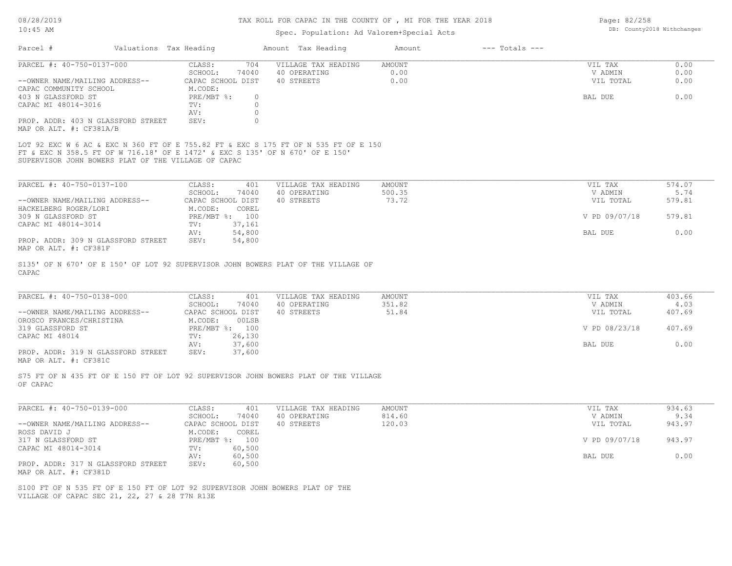#### TAX ROLL FOR CAPAC IN THE COUNTY OF , MI FOR THE YEAR 2018

### Spec. Population: Ad Valorem+Special Acts

Page: 82/258 DB: County2018 Withchanges

| Parcel #                                                      | Valuations Tax Heading |                   |       | Amount Tax Heading  | Amount | $---$ Totals $---$ |           |      |
|---------------------------------------------------------------|------------------------|-------------------|-------|---------------------|--------|--------------------|-----------|------|
| PARCEL #: 40-750-0137-000                                     |                        | CLASS:            | 704   | VILLAGE TAX HEADING | AMOUNT |                    | VIL TAX   | 0.00 |
|                                                               |                        | SCHOOL:           | 74040 | 40 OPERATING        | 0.00   |                    | V ADMIN   | 0.00 |
| --OWNER NAME/MAILING ADDRESS--                                |                        | CAPAC SCHOOL DIST |       | 40 STREETS          | 0.00   |                    | VIL TOTAL | 0.00 |
| CAPAC COMMUNITY SCHOOL                                        |                        | M.CODE:           |       |                     |        |                    |           |      |
| 403 N GLASSFORD ST                                            |                        | PRE/MBT %:        |       |                     |        |                    | BAL DUE   | 0.00 |
| CAPAC MI 48014-3016                                           |                        | TV:               |       |                     |        |                    |           |      |
|                                                               |                        | AV:               |       |                     |        |                    |           |      |
| PROP. ADDR: 403 N GLASSFORD STREET<br>MAP OR ALT. #: CF381A/B |                        | SEV:              |       |                     |        |                    |           |      |

SUPERVISOR JOHN BOWERS PLAT OF THE VILLAGE OF CAPAC FT & EXC N 358.5 FT OF W 716.18' OF E 1472' & EXC S 135' OF N 670' OF E 150' LOT 92 EXC W 6 AC & EXC N 360 FT OF E 755.82 FT & EXC S 175 FT OF N 535 FT OF E 150

| PARCEL #: 40-750-0137-100          | CLASS:            | 401            | VILLAGE TAX HEADING | AMOUNT | VIL TAX       | 574.07 |
|------------------------------------|-------------------|----------------|---------------------|--------|---------------|--------|
|                                    | SCHOOL:           | 74040          | 40 OPERATING        | 500.35 | V ADMIN       | 5.74   |
| --OWNER NAME/MAILING ADDRESS--     | CAPAC SCHOOL DIST |                | 40 STREETS          | 73.72  | VIL TOTAL     | 579.81 |
| HACKELBERG ROGER/LORI              | M.CODE:           | COREL          |                     |        |               |        |
| 309 N GLASSFORD ST                 |                   | PRE/MBT %: 100 |                     |        | V PD 09/07/18 | 579.81 |
| CAPAC MI 48014-3014                | TV:               | 37,161         |                     |        |               |        |
|                                    | AV:               | 54,800         |                     |        | BAL DUE       | 0.00   |
| PROP. ADDR: 309 N GLASSFORD STREET | SEV:              | 54,800         |                     |        |               |        |
| $\frac{1}{2}$                      |                   |                |                     |        |               |        |

MAP OR ALT. #: CF381F

CAPAC S135' OF N 670' OF E 150' OF LOT 92 SUPERVISOR JOHN BOWERS PLAT OF THE VILLAGE OF

| PARCEL #: 40-750-0138-000          | CLASS:            | 401    | VILLAGE TAX HEADING | AMOUNT | VIL TAX       | 403.66 |
|------------------------------------|-------------------|--------|---------------------|--------|---------------|--------|
|                                    | SCHOOL:           | 74040  | 40 OPERATING        | 351.82 | V ADMIN       | 4.03   |
| --OWNER NAME/MAILING ADDRESS--     | CAPAC SCHOOL DIST |        | 40 STREETS          | 51.84  | VIL TOTAL     | 407.69 |
| OROSCO FRANCES/CHRISTINA           | M.CODE:           | 00LSB  |                     |        |               |        |
| 319 GLASSFORD ST                   | PRE/MBT %: 100    |        |                     |        | V PD 08/23/18 | 407.69 |
| CAPAC MI 48014                     | TV:               | 26,130 |                     |        |               |        |
|                                    | AV:               | 37,600 |                     |        | BAL DUE       | 0.00   |
| PROP. ADDR: 319 N GLASSFORD STREET | SEV:              | 37,600 |                     |        |               |        |
| MAP OR ALT. #: CF381C              |                   |        |                     |        |               |        |

OF CAPAC S75 FT OF N 435 FT OF E 150 FT OF LOT 92 SUPERVISOR JOHN BOWERS PLAT OF THE VILLAGE

| PARCEL #: 40-750-0139-000          | 401<br>CLASS:     | VILLAGE TAX HEADING | AMOUNT | VIL TAX       | 934.63 |
|------------------------------------|-------------------|---------------------|--------|---------------|--------|
|                                    | 74040<br>SCHOOL:  | 40 OPERATING        | 814.60 | V ADMIN       | 9.34   |
| --OWNER NAME/MAILING ADDRESS--     | CAPAC SCHOOL DIST | 40 STREETS          | 120.03 | VIL TOTAL     | 943.97 |
| ROSS DAVID J                       | M.CODE:<br>COREL  |                     |        |               |        |
| 317 N GLASSFORD ST                 | PRE/MBT %: 100    |                     |        | V PD 09/07/18 | 943.97 |
| CAPAC MI 48014-3014                | 60,500<br>TV:     |                     |        |               |        |
|                                    | 60,500<br>AV:     |                     |        | BAL DUE       | 0.00   |
| PROP. ADDR: 317 N GLASSFORD STREET | 60,500<br>SEV:    |                     |        |               |        |
| MAP OR ALT. #: CF381D              |                   |                     |        |               |        |

VILLAGE OF CAPAC SEC 21, 22, 27 & 28 T7N R13E S100 FT OF N 535 FT OF E 150 FT OF LOT 92 SUPERVISOR JOHN BOWERS PLAT OF THE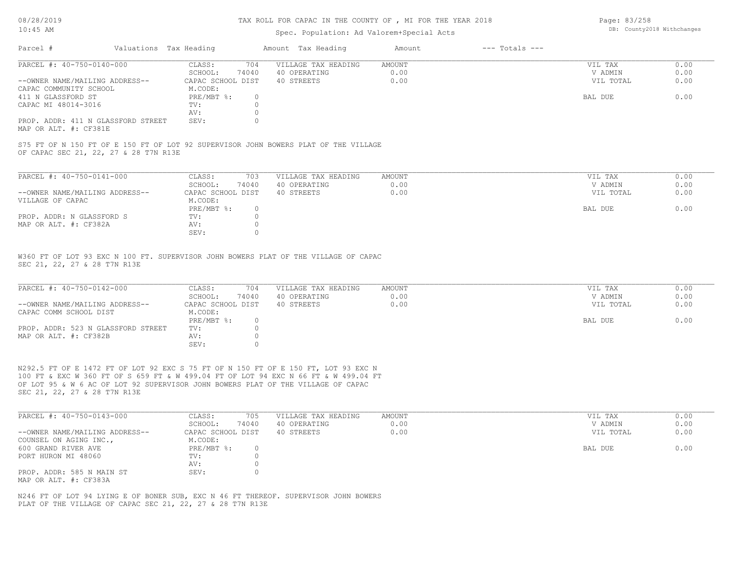#### TAX ROLL FOR CAPAC IN THE COUNTY OF , MI FOR THE YEAR 2018

### Spec. Population: Ad Valorem+Special Acts

Page: 83/258 DB: County2018 Withchanges

| Parcel #                       |                                    | Valuations Tax Heading |       | Amount Tax Heading  | Amount | $---$ Totals $---$ |           |      |
|--------------------------------|------------------------------------|------------------------|-------|---------------------|--------|--------------------|-----------|------|
| PARCEL #: 40-750-0140-000      |                                    | CLASS:                 | 704   | VILLAGE TAX HEADING | AMOUNT |                    | VIL TAX   | 0.00 |
|                                |                                    | SCHOOL:                | 74040 | 40 OPERATING        | 0.00   |                    | V ADMIN   | 0.00 |
| --OWNER NAME/MAILING ADDRESS-- |                                    | CAPAC SCHOOL DIST      |       | 40 STREETS          | 0.00   |                    | VIL TOTAL | 0.00 |
| CAPAC COMMUNITY SCHOOL         |                                    | M.CODE:                |       |                     |        |                    |           |      |
| 411 N GLASSFORD ST             |                                    | PRE/MBT %:             |       |                     |        |                    | BAL DUE   | 0.00 |
| CAPAC MI 48014-3016            |                                    | TV:                    |       |                     |        |                    |           |      |
|                                |                                    | AV:                    |       |                     |        |                    |           |      |
|                                | PROP. ADDR: 411 N GLASSFORD STREET | SEV:                   |       |                     |        |                    |           |      |
|                                |                                    |                        |       |                     |        |                    |           |      |

MAP OR ALT. #: CF381E

OF CAPAC SEC 21, 22, 27 & 28 T7N R13E S75 FT OF N 150 FT OF E 150 FT OF LOT 92 SUPERVISOR JOHN BOWERS PLAT OF THE VILLAGE

| PARCEL #: 40-750-0141-000      | CLASS:            | 703   | VILLAGE TAX HEADING | AMOUNT | VIL TAX   | 0.00 |
|--------------------------------|-------------------|-------|---------------------|--------|-----------|------|
|                                | SCHOOL:           | 74040 | 40 OPERATING        | 0.00   | V ADMIN   | 0.00 |
| --OWNER NAME/MAILING ADDRESS-- | CAPAC SCHOOL DIST |       | 40 STREETS          | 0.00   | VIL TOTAL | 0.00 |
| VILLAGE OF CAPAC               | M.CODE:           |       |                     |        |           |      |
|                                | PRE/MBT %:        |       |                     |        | BAL DUE   | 0.00 |
| PROP. ADDR: N GLASSFORD S      | TV:               |       |                     |        |           |      |
| MAP OR ALT. #: CF382A          | AV:               |       |                     |        |           |      |
|                                | SEV:              |       |                     |        |           |      |

SEC 21, 22, 27 & 28 T7N R13E W360 FT OF LOT 93 EXC N 100 FT. SUPERVISOR JOHN BOWERS PLAT OF THE VILLAGE OF CAPAC

| PARCEL #: 40-750-0142-000          | CLASS:            | 704   | VILLAGE TAX HEADING | AMOUNT | VIL TAX   | 0.00 |
|------------------------------------|-------------------|-------|---------------------|--------|-----------|------|
|                                    | SCHOOL:           | 74040 | 40 OPERATING        | 0.00   | V ADMIN   | 0.00 |
| --OWNER NAME/MAILING ADDRESS--     | CAPAC SCHOOL DIST |       | 40 STREETS          | 0.00   | VIL TOTAL | 0.00 |
| CAPAC COMM SCHOOL DIST             | M.CODE:           |       |                     |        |           |      |
|                                    | PRE/MBT %:        |       |                     |        | BAL DUE   | 0.00 |
| PROP. ADDR: 523 N GLASSFORD STREET | TV:               |       |                     |        |           |      |
| MAP OR ALT. #: CF382B              | AV:               |       |                     |        |           |      |
|                                    | SEV:              |       |                     |        |           |      |

SEC 21, 22, 27 & 28 T7N R13E OF LOT 95 & W 6 AC OF LOT 92 SUPERVISOR JOHN BOWERS PLAT OF THE VILLAGE OF CAPAC 100 FT & EXC W 360 FT OF S 659 FT & W 499.04 FT OF LOT 94 EXC N 66 FT & W 499.04 FT N292.5 FT OF E 1472 FT OF LOT 92 EXC S 75 FT OF N 150 FT OF E 150 FT, LOT 93 EXC N

| PARCEL #: 40-750-0143-000      | CLASS:<br>705     | VILLAGE TAX HEADING | AMOUNT | VIL TAX   | 0.00 |
|--------------------------------|-------------------|---------------------|--------|-----------|------|
|                                | 74040<br>SCHOOL:  | 40 OPERATING        | 0.00   | V ADMIN   | 0.00 |
| --OWNER NAME/MAILING ADDRESS-- | CAPAC SCHOOL DIST | 40 STREETS          | 0.00   | VIL TOTAL | 0.00 |
| COUNSEL ON AGING INC.,         | M.CODE:           |                     |        |           |      |
| 600 GRAND RIVER AVE            | $PRE/MBT$ %:      |                     |        | BAL DUE   | 0.00 |
| PORT HURON MI 48060            | TV:               |                     |        |           |      |
|                                | AV:               |                     |        |           |      |
| PROP. ADDR: 585 N MAIN ST      | SEV:              |                     |        |           |      |
| MAP OR ALT. #: CF383A          |                   |                     |        |           |      |

PLAT OF THE VILLAGE OF CAPAC SEC 21, 22, 27 & 28 T7N R13E N246 FT OF LOT 94 LYING E OF BONER SUB, EXC N 46 FT THEREOF. SUPERVISOR JOHN BOWERS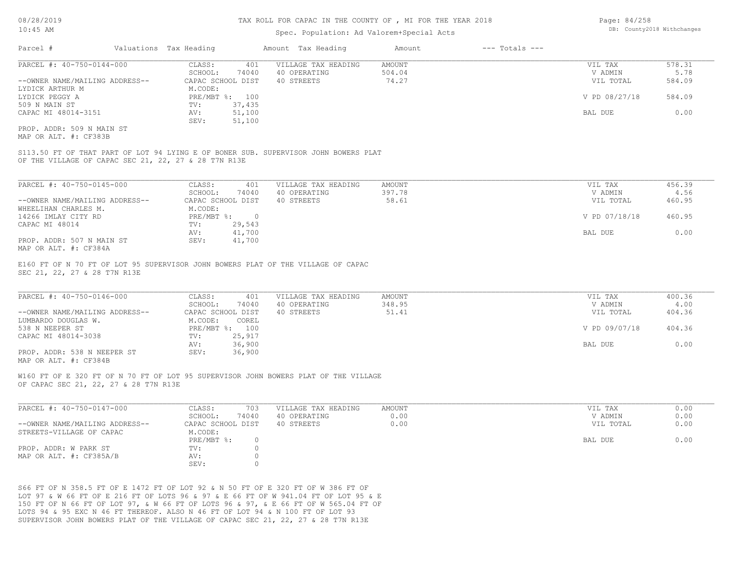### Spec. Population: Ad Valorem+Special Acts

| Page: 84/258 |                            |
|--------------|----------------------------|
|              | DB: County2018 Withchanges |

| Parcel #                       | Valuations Tax Heading |        | Amount Tax Heading  | Amount | $---$ Totals $---$ |               |        |
|--------------------------------|------------------------|--------|---------------------|--------|--------------------|---------------|--------|
| PARCEL #: 40-750-0144-000      | CLASS:                 | 401    | VILLAGE TAX HEADING | AMOUNT |                    | VIL TAX       | 578.31 |
|                                | SCHOOL:                | 74040  | 40 OPERATING        | 504.04 |                    | V ADMIN       | 5.78   |
| --OWNER NAME/MAILING ADDRESS-- | CAPAC SCHOOL DIST      |        | 40 STREETS          | 74.27  |                    | VIL TOTAL     | 584.09 |
| LYDICK ARTHUR M                | M.CODE:                |        |                     |        |                    |               |        |
| LYDICK PEGGY A                 | PRE/MBT %: 100         |        |                     |        |                    | V PD 08/27/18 | 584.09 |
| 509 N MAIN ST                  | TV:                    | 37,435 |                     |        |                    |               |        |
| CAPAC MI 48014-3151            | AV:                    | 51,100 |                     |        |                    | BAL DUE       | 0.00   |
|                                | SEV:                   | 51,100 |                     |        |                    |               |        |
| PROP. ADDR: 509 N MAIN ST      |                        |        |                     |        |                    |               |        |

MAP OR ALT. #: CF383B

OF THE VILLAGE OF CAPAC SEC 21, 22, 27 & 28 T7N R13E S113.50 FT OF THAT PART OF LOT 94 LYING E OF BONER SUB. SUPERVISOR JOHN BOWERS PLAT

| PARCEL #: 40-750-0145-000      | 401<br>CLASS:     | VILLAGE TAX HEADING | AMOUNT | VIL TAX       | 456.39 |
|--------------------------------|-------------------|---------------------|--------|---------------|--------|
|                                | 74040<br>SCHOOL:  | 40 OPERATING        | 397.78 | V ADMIN       | 4.56   |
| --OWNER NAME/MAILING ADDRESS-- | CAPAC SCHOOL DIST | 40 STREETS          | 58.61  | VIL TOTAL     | 460.95 |
| WHEELIHAN CHARLES M.           | M.CODE:           |                     |        |               |        |
| 14266 IMLAY CITY RD            | PRE/MBT %:        |                     |        | V PD 07/18/18 | 460.95 |
| CAPAC MI 48014                 | 29,543<br>TV:     |                     |        |               |        |
|                                | 41,700<br>AV:     |                     |        | BAL DUE       | 0.00   |
| PROP. ADDR: 507 N MAIN ST      | 41,700<br>SEV:    |                     |        |               |        |
| MAP OR ALT. #: CF384A          |                   |                     |        |               |        |

E160 FT OF N 70 FT OF LOT 95 SUPERVISOR JOHN BOWERS PLAT OF THE VILLAGE OF CAPAC

SEC 21, 22, 27 & 28 T7N R13E

| PARCEL #: 40-750-0146-000      | CLASS:<br>401     | VILLAGE TAX HEADING | AMOUNT | VIL TAX       | 400.36 |
|--------------------------------|-------------------|---------------------|--------|---------------|--------|
|                                | 74040<br>SCHOOL:  | 40 OPERATING        | 348.95 | V ADMIN       | 4.00   |
| --OWNER NAME/MAILING ADDRESS-- | CAPAC SCHOOL DIST | 40 STREETS          | 51.41  | VIL TOTAL     | 404.36 |
| LUMBARDO DOUGLAS W.            | M.CODE:<br>COREL  |                     |        |               |        |
| 538 N NEEPER ST                | PRE/MBT %: 100    |                     |        | V PD 09/07/18 | 404.36 |
| CAPAC MI 48014-3038            | 25,917<br>TV:     |                     |        |               |        |
|                                | 36,900<br>AV:     |                     |        | BAL DUE       | 0.00   |
| PROP. ADDR: 538 N NEEPER ST    | 36,900<br>SEV:    |                     |        |               |        |
|                                |                   |                     |        |               |        |

MAP OR ALT. #: CF384B

OF CAPAC SEC 21, 22, 27 & 28 T7N R13E W160 FT OF E 320 FT OF N 70 FT OF LOT 95 SUPERVISOR JOHN BOWERS PLAT OF THE VILLAGE

| PARCEL #: 40-750-0147-000      | 703<br>CLASS:     | VILLAGE TAX HEADING | AMOUNT | VIL TAX   | 0.00 |
|--------------------------------|-------------------|---------------------|--------|-----------|------|
|                                | 74040<br>SCHOOL:  | 40 OPERATING        | 0.00   | V ADMIN   | 0.00 |
| --OWNER NAME/MAILING ADDRESS-- | CAPAC SCHOOL DIST | 40 STREETS          | 0.00   | VIL TOTAL | 0.00 |
| STREETS-VILLAGE OF CAPAC       | M.CODE:           |                     |        |           |      |
|                                | PRE/MBT %:        |                     |        | BAL DUE   | 0.00 |
| PROP. ADDR: W PARK ST          | TV:               |                     |        |           |      |
| MAP OR ALT. #: CF385A/B        | AV:               |                     |        |           |      |
|                                | SEV:              |                     |        |           |      |

SUPERVISOR JOHN BOWERS PLAT OF THE VILLAGE OF CAPAC SEC 21, 22, 27 & 28 T7N R13E LOTS 94 & 95 EXC N 46 FT THEREOF. ALSO N 46 FT OF LOT 94 & N 100 FT OF LOT 93 150 FT OF N 66 FT OF LOT 97, & W 66 FT OF LOTS 96 & 97, & E 66 FT OF W 565.04 FT OF LOT 97 & W 66 FT OF E 216 FT OF LOTS 96 & 97 & E 66 FT OF W 941.04 FT OF LOT 95 & E S66 FT OF N 358.5 FT OF E 1472 FT OF LOT 92 & N 50 FT OF E 320 FT OF W 386 FT OF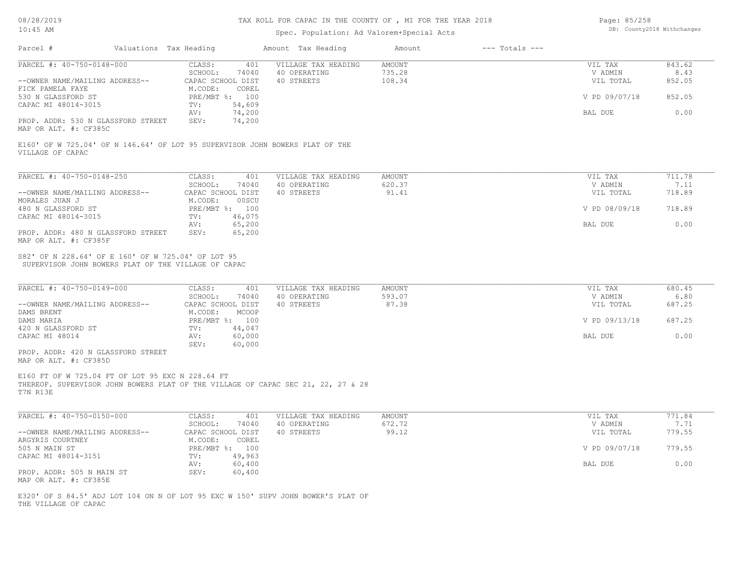## Spec. Population: Ad Valorem+Special Acts

| Page: 85/258 |                            |
|--------------|----------------------------|
|              | DB: County2018 Withchanges |

|                                                                               |                                                                              | Amount Tax Heading                                                               | Amount                            | $---$ Totals $---$              |                          |
|-------------------------------------------------------------------------------|------------------------------------------------------------------------------|----------------------------------------------------------------------------------|-----------------------------------|---------------------------------|--------------------------|
| PARCEL #: 40-750-0148-000<br>--OWNER NAME/MAILING ADDRESS--                   | CLASS:<br>401<br>SCHOOL:<br>74040<br>CAPAC SCHOOL DIST                       | VILLAGE TAX HEADING<br>40 OPERATING<br>40 STREETS                                | <b>AMOUNT</b><br>735.28<br>108.34 | VIL TAX<br>V ADMIN<br>VIL TOTAL | 843.62<br>8.43<br>852.05 |
| FICK PAMELA FAYE<br>530 N GLASSFORD ST                                        | M.CODE:<br>COREL<br>PRE/MBT %: 100                                           |                                                                                  |                                   | V PD 09/07/18                   | 852.05                   |
| CAPAC MI 48014-3015                                                           | 54,609<br>TV:<br>74,200<br>AV:                                               |                                                                                  |                                   | BAL DUE                         | 0.00                     |
| PROP. ADDR: 530 N GLASSFORD STREET<br>MAP OR ALT. #: CF385C                   | 74,200<br>SEV:                                                               |                                                                                  |                                   |                                 |                          |
| VILLAGE OF CAPAC                                                              | E160' OF W 725.04' OF N 146.64' OF LOT 95 SUPERVISOR JOHN BOWERS PLAT OF THE |                                                                                  |                                   |                                 |                          |
| PARCEL #: 40-750-0148-250                                                     | CLASS:<br>401                                                                | VILLAGE TAX HEADING                                                              | <b>AMOUNT</b>                     | VIL TAX                         | 711.78                   |
| --OWNER NAME/MAILING ADDRESS--                                                | SCHOOL:<br>74040<br>CAPAC SCHOOL DIST                                        | 40 OPERATING<br>40 STREETS                                                       | 620.37<br>91.41                   | V ADMIN<br>VIL TOTAL            | 7.11<br>718.89           |
| MORALES JUAN J<br>480 N GLASSFORD ST                                          | M.CODE:<br>00SCU<br>PRE/MBT %: 100                                           |                                                                                  |                                   | V PD 08/09/18                   | 718.89                   |
| CAPAC MI 48014-3015                                                           | 46,075<br>TV:<br>65,200<br>AV:                                               |                                                                                  |                                   | BAL DUE                         | 0.00                     |
| PROP. ADDR: 480 N GLASSFORD STREET<br>MAP OR ALT. #: CF385F                   | SEV:<br>65,200                                                               |                                                                                  |                                   |                                 |                          |
|                                                                               |                                                                              |                                                                                  |                                   |                                 |                          |
| PARCEL #: 40-750-0149-000                                                     | CLASS:<br>401<br>SCHOOL:<br>74040                                            | VILLAGE TAX HEADING<br>40 OPERATING                                              | <b>AMOUNT</b><br>593.07           | VIL TAX<br>V ADMIN              | 680.45<br>6.80           |
| --OWNER NAME/MAILING ADDRESS--<br>DAMS BRENT                                  | CAPAC SCHOOL DIST<br>M.CODE:<br>MCOOP                                        | 40 STREETS                                                                       | 87.38                             | VIL TOTAL                       | 687.25                   |
| DAMS MARIA<br>420 N GLASSFORD ST                                              | PRE/MBT %: 100<br>44,047<br>TV:                                              |                                                                                  |                                   | V PD 09/13/18                   | 687.25                   |
| CAPAC MI 48014<br>PROP. ADDR: 420 N GLASSFORD STREET<br>MAP OR ALT. #: CF385D | 60,000<br>AV:<br>60,000<br>SEV:                                              |                                                                                  |                                   | BAL DUE                         | 0.00                     |
| E160 FT OF W 725.04 FT OF LOT 95 EXC N 228.64 FT<br>T7N R13E                  |                                                                              | THEREOF. SUPERVISOR JOHN BOWERS PLAT OF THE VILLAGE OF CAPAC SEC 21, 22, 27 & 28 |                                   |                                 |                          |
| PARCEL #: 40-750-0150-000                                                     | CLASS:<br>401                                                                | VILLAGE TAX HEADING                                                              | <b>AMOUNT</b>                     | VIL TAX                         | 771.84                   |
| --OWNER NAME/MAILING ADDRESS--                                                | SCHOOL:<br>74040<br>CAPAC SCHOOL DIST                                        | 40 OPERATING<br>40 STREETS                                                       | 672.72<br>99.12                   | V ADMIN<br>VIL TOTAL            | 7.71<br>779.55           |
| ARGYRIS COURTNEY<br>505 N MAIN ST<br>CAPAC MI 48014-3151                      | COREL<br>M.CODE:<br>PRE/MBT %: 100<br>49,963<br>$\text{TV}$ :                |                                                                                  |                                   | V PD 09/07/18                   | 779.55                   |

THE VILLAGE OF CAPAC E320' OF S 84.5' ADJ LOT 104 ON N OF LOT 95 EXC W 150' SUPV JOHN BOWER'S PLAT OF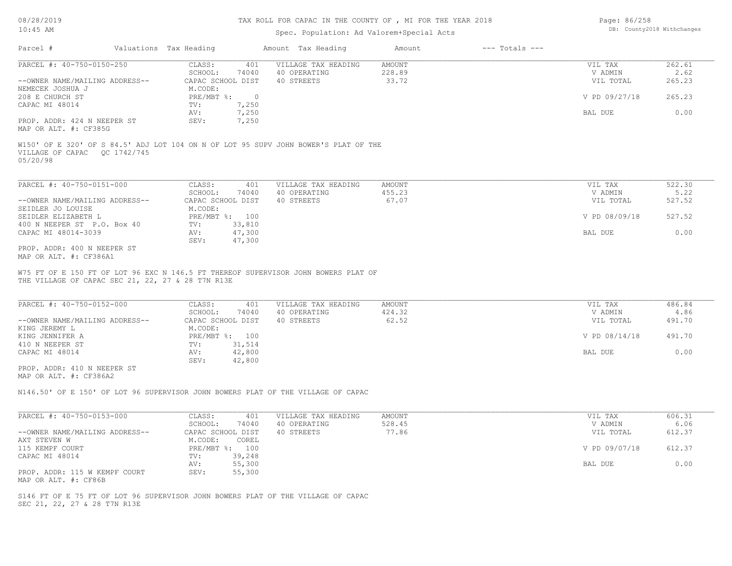## TAX ROLL FOR CAPAC IN THE COUNTY OF , MI FOR THE YEAR 2018

## Spec. Population: Ad Valorem+Special Acts

| Page: 86/258 |                            |
|--------------|----------------------------|
|              | DB: County2018 Withchanges |

| Parcel #                                                    | Valuations Tax Heading                  |                            | Amount Tax Heading                                                                  | Amount                    | $---$ Totals $---$ |                                 |                          |
|-------------------------------------------------------------|-----------------------------------------|----------------------------|-------------------------------------------------------------------------------------|---------------------------|--------------------|---------------------------------|--------------------------|
| PARCEL #: 40-750-0150-250<br>--OWNER NAME/MAILING ADDRESS-- | CLASS:<br>SCHOOL:<br>CAPAC SCHOOL DIST  | 401<br>74040               | VILLAGE TAX HEADING<br>40 OPERATING<br>40 STREETS                                   | AMOUNT<br>228.89<br>33.72 |                    | VIL TAX<br>V ADMIN<br>VIL TOTAL | 262.61<br>2.62<br>265.23 |
| NEMECEK JOSHUA J<br>208 E CHURCH ST                         | M.CODE:<br>PRE/MBT %: 0                 |                            |                                                                                     |                           |                    | V PD 09/27/18                   | 265.23                   |
| CAPAC MI 48014<br>PROP. ADDR: 424 N NEEPER ST               | TV:<br>AV:<br>SEV:                      | 7,250<br>7,250<br>7,250    |                                                                                     |                           |                    | BAL DUE                         | 0.00                     |
| MAP OR ALT. #: CF385G                                       |                                         |                            |                                                                                     |                           |                    |                                 |                          |
| VILLAGE OF CAPAC QC 1742/745<br>05/20/98                    |                                         |                            | W150' OF E 320' OF S 84.5' ADJ LOT 104 ON N OF LOT 95 SUPV JOHN BOWER'S PLAT OF THE |                           |                    |                                 |                          |
| PARCEL #: 40-750-0151-000                                   | CLASS:                                  | 401                        | VILLAGE TAX HEADING                                                                 | <b>AMOUNT</b>             |                    | VIL TAX                         | 522.30                   |
| --OWNER NAME/MAILING ADDRESS--                              | SCHOOL:<br>CAPAC SCHOOL DIST            | 74040                      | 40 OPERATING<br>40 STREETS                                                          | 455.23<br>67.07           |                    | V ADMIN<br>VIL TOTAL            | 5.22<br>527.52           |
| SEIDLER JO LOUISE<br>SEIDLER ELIZABETH L                    | M.CODE:<br>PRE/MBT %: 100               |                            |                                                                                     |                           |                    | V PD 08/09/18                   | 527.52                   |
| 400 N NEEPER ST P.O. Box 40<br>CAPAC MI 48014-3039          | TV:<br>AV:<br>SEV:                      | 33,810<br>47,300<br>47,300 |                                                                                     |                           |                    | BAL DUE                         | 0.00                     |
| PROP. ADDR: 400 N NEEPER ST<br>MAP OR ALT. #: CF386A1       |                                         |                            |                                                                                     |                           |                    |                                 |                          |
| THE VILLAGE OF CAPAC SEC 21, 22, 27 & 28 T7N R13E           |                                         |                            | W75 FT OF E 150 FT OF LOT 96 EXC N 146.5 FT THEREOF SUPERVISOR JOHN BOWERS PLAT OF  |                           |                    |                                 |                          |
| PARCEL #: 40-750-0152-000                                   | CLASS:                                  | 401                        | VILLAGE TAX HEADING                                                                 | <b>AMOUNT</b><br>424.32   |                    | VIL TAX                         | 486.84<br>4.86           |
| --OWNER NAME/MAILING ADDRESS--                              | SCHOOL:<br>CAPAC SCHOOL DIST<br>M.CODE: | 74040                      | 40 OPERATING<br>40 STREETS                                                          | 62.52                     |                    | V ADMIN<br>VIL TOTAL            | 491.70                   |
| KING JEREMY L<br>KING JENNIFER A<br>410 N NEEPER ST         | PRE/MBT %: 100<br>TV:                   | 31,514                     |                                                                                     |                           |                    | V PD 08/14/18                   | 491.70                   |
| CAPAC MI 48014                                              | AV:<br>SEV:                             | 42,800<br>42,800           |                                                                                     |                           |                    | BAL DUE                         | 0.00                     |
| PROP. ADDR: 410 N NEEPER ST<br>MAP OR ALT. #: CF386A2       |                                         |                            |                                                                                     |                           |                    |                                 |                          |
|                                                             |                                         |                            | N146.50' OF E 150' OF LOT 96 SUPERVISOR JOHN BOWERS PLAT OF THE VILLAGE OF CAPAC    |                           |                    |                                 |                          |
| PARCEL #: 40-750-0153-000                                   | CLASS:                                  | 401                        | VILLAGE TAX HEADING                                                                 | <b>AMOUNT</b>             |                    | VIL TAX                         | 606.31                   |
| --OWNER NAME/MAILING ADDRESS--                              | SCHOOL:<br>CAPAC SCHOOL DIST            | 74040                      | 40 OPERATING<br>40 STREETS                                                          | 528.45<br>77.86           |                    | V ADMIN<br>VIL TOTAL            | 6.06<br>612.37           |
| AXT STEVEN W<br>115 KEMPF COURT                             | M.CODE:<br>PRE/MBT %: 100               | COREL                      |                                                                                     |                           |                    | V PD 09/07/18                   | 612.37                   |
| CAPAC MI 48014                                              | TV:<br>AV:                              | 39,248<br>55,300           |                                                                                     |                           |                    | BAL DUE                         | 0.00                     |
| PROP. ADDR: 115 W KEMPF COURT<br>MAP OR ALT. #: CF86B       | SEV:                                    | 55,300                     |                                                                                     |                           |                    |                                 |                          |

SEC 21, 22, 27 & 28 T7N R13E S146 FT OF E 75 FT OF LOT 96 SUPERVISOR JOHN BOWERS PLAT OF THE VILLAGE OF CAPAC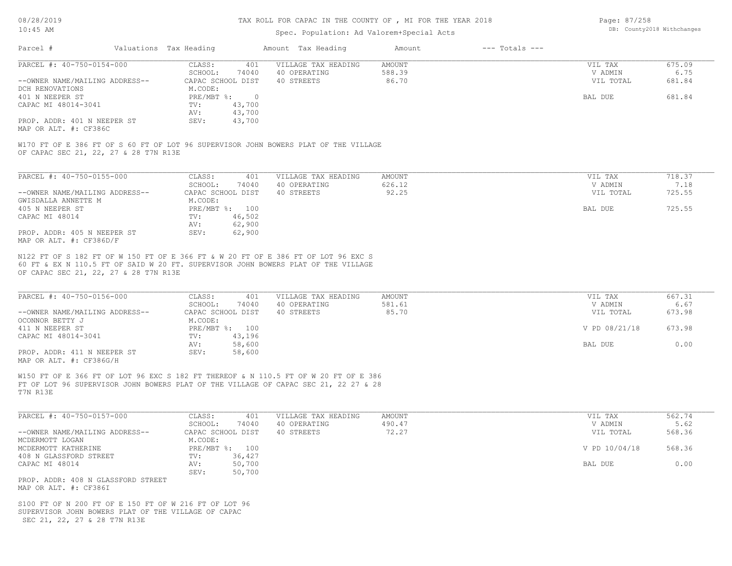#### TAX ROLL FOR CAPAC IN THE COUNTY OF , MI FOR THE YEAR 2018

### Spec. Population: Ad Valorem+Special Acts

Page: 87/258 DB: County2018 Withchanges

| Parcel #                       | Valuations Tax Heading |        | Amount Tax Heading  | Amount | $---$ Totals $---$ |           |        |
|--------------------------------|------------------------|--------|---------------------|--------|--------------------|-----------|--------|
| PARCEL #: 40-750-0154-000      | CLASS:                 | 401    | VILLAGE TAX HEADING | AMOUNT |                    | VIL TAX   | 675.09 |
|                                | SCHOOL:                | 74040  | 40 OPERATING        | 588.39 |                    | V ADMIN   | 6.75   |
| --OWNER NAME/MAILING ADDRESS-- | CAPAC SCHOOL DIST      |        | 40 STREETS          | 86.70  |                    | VIL TOTAL | 681.84 |
| DCH RENOVATIONS                | M.CODE:                |        |                     |        |                    |           |        |
| 401 N NEEPER ST                | $PRE/MBT$ %:           |        |                     |        |                    | BAL DUE   | 681.84 |
| CAPAC MI 48014-3041            | TV:                    | 43,700 |                     |        |                    |           |        |
|                                | AV:                    | 43,700 |                     |        |                    |           |        |
| PROP. ADDR: 401 N NEEPER ST    | SEV:                   | 43,700 |                     |        |                    |           |        |
|                                |                        |        |                     |        |                    |           |        |

MAP OR ALT. #: CF386C

OF CAPAC SEC 21, 22, 27 & 28 T7N R13E W170 FT OF E 386 FT OF S 60 FT OF LOT 96 SUPERVISOR JOHN BOWERS PLAT OF THE VILLAGE

| PARCEL #: 40-750-0155-000      | CLASS:            | 401    | VILLAGE TAX HEADING | AMOUNT | VIL TAX   | 718.37 |
|--------------------------------|-------------------|--------|---------------------|--------|-----------|--------|
|                                | SCHOOL:           | 74040  | 40 OPERATING        | 626.12 | V ADMIN   | 7.18   |
| --OWNER NAME/MAILING ADDRESS-- | CAPAC SCHOOL DIST |        | 40 STREETS          | 92.25  | VIL TOTAL | 725.55 |
| GWISDALLA ANNETTE M            | M.CODE:           |        |                     |        |           |        |
| 405 N NEEPER ST                | $PRE/MBT$ %:      | 100    |                     |        | BAL DUE   | 725.55 |
| CAPAC MI 48014                 | TV:               | 46,502 |                     |        |           |        |
|                                | AV:               | 62,900 |                     |        |           |        |
| PROP. ADDR: 405 N NEEPER ST    | SEV:              | 62,900 |                     |        |           |        |
| MAP OR ALT. #: CF386D/F        |                   |        |                     |        |           |        |

OF CAPAC SEC 21, 22, 27 & 28 T7N R13E 60 FT & EX N 110.5 FT OF SAID W 20 FT. SUPERVISOR JOHN BOWERS PLAT OF THE VILLAGE N122 FT OF S 182 FT OF W 150 FT OF E 366 FT & W 20 FT OF E 386 FT OF LOT 96 EXC S

| PARCEL #: 40-750-0156-000      | CLASS:            | 401    | VILLAGE TAX HEADING | AMOUNT | VIL TAX       | 667.31 |
|--------------------------------|-------------------|--------|---------------------|--------|---------------|--------|
|                                | SCHOOL:           | 74040  | 40 OPERATING        | 581.61 | V ADMIN       | 6.67   |
| --OWNER NAME/MAILING ADDRESS-- | CAPAC SCHOOL DIST |        | 40 STREETS          | 85.70  | VIL TOTAL     | 673.98 |
| OCONNOR BETTY J                | M.CODE:           |        |                     |        |               |        |
| 411 N NEEPER ST                | $PRE/MBT$ %:      | 100    |                     |        | V PD 08/21/18 | 673.98 |
| CAPAC MI 48014-3041            | TV:               | 43,196 |                     |        |               |        |
|                                | AV:               | 58,600 |                     |        | BAL DUE       | 0.00   |
| PROP. ADDR: 411 N NEEPER ST    | SEV:              | 58,600 |                     |        |               |        |
| MAP OR ALT. #: CF386G/H        |                   |        |                     |        |               |        |

 $\_$  , and the state of the state of the state of the state of the state of the state of the state of the state of the state of the state of the state of the state of the state of the state of the state of the state of the

T7N R13E FT OF LOT 96 SUPERVISOR JOHN BOWERS PLAT OF THE VILLAGE OF CAPAC SEC 21, 22 27 & 28 W150 FT OF E 366 FT OF LOT 96 EXC S 182 FT THEREOF & N 110.5 FT OF W 20 FT OF E 386

| PARCEL #: 40-750-0157-000                    | CLASS:            | 401    | VILLAGE TAX HEADING | AMOUNT | VIL TAX       | 562.74 |
|----------------------------------------------|-------------------|--------|---------------------|--------|---------------|--------|
|                                              | SCHOOL:           | 74040  | 40 OPERATING        | 490.47 | V ADMIN       | 5.62   |
| --OWNER NAME/MAILING ADDRESS--               | CAPAC SCHOOL DIST |        | 40 STREETS          | 72.27  | VIL TOTAL     | 568.36 |
| MCDERMOTT LOGAN                              | M.CODE:           |        |                     |        |               |        |
| MCDERMOTT KATHERINE                          | PRE/MBT %: 100    |        |                     |        | V PD 10/04/18 | 568.36 |
| 408 N GLASSFORD STREET                       | TV:               | 36,427 |                     |        |               |        |
| CAPAC MI 48014                               | AV:               | 50,700 |                     |        | BAL DUE       | 0.00   |
|                                              | SEV:              | 50,700 |                     |        |               |        |
| PROP. ADDR: 408 N GLASSFORD STREET           |                   |        |                     |        |               |        |
| $\cdots$ $\cdots$ $\cdots$ $\cdots$ $\cdots$ |                   |        |                     |        |               |        |

MAP OR ALT. #: CF386I

 SEC 21, 22, 27 & 28 T7N R13E SUPERVISOR JOHN BOWERS PLAT OF THE VILLAGE OF CAPAC S100 FT OF N 200 FT OF E 150 FT OF W 216 FT OF LOT 96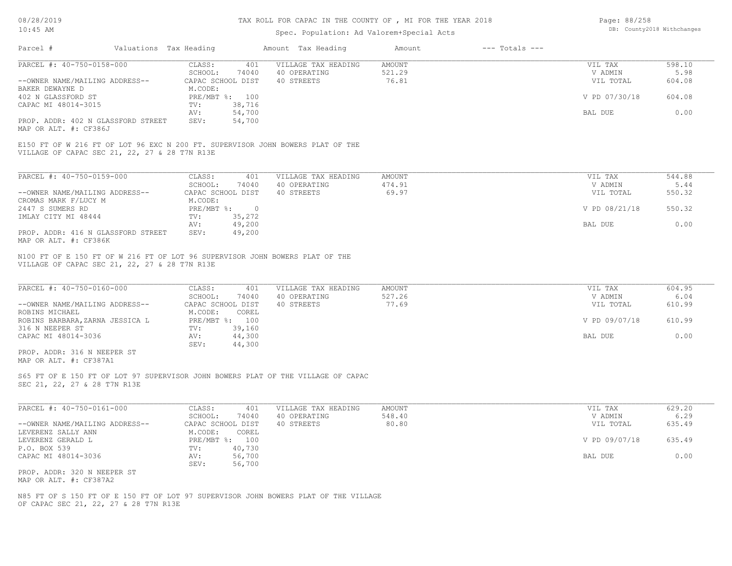## TAX ROLL FOR CAPAC IN THE COUNTY OF , MI FOR THE YEAR 2018

# Spec. Population: Ad Valorem+Special Acts

| Page: 88/258 |                            |
|--------------|----------------------------|
|              | DB: County2018 Withchanges |

|                                                                                                                                 |                                                                            | spec. Population: Ad valorem special Acts         |                           |                    |                                 |                          |
|---------------------------------------------------------------------------------------------------------------------------------|----------------------------------------------------------------------------|---------------------------------------------------|---------------------------|--------------------|---------------------------------|--------------------------|
| Parcel #                                                                                                                        | Valuations Tax Heading                                                     | Amount Tax Heading                                | Amount                    | $---$ Totals $---$ |                                 |                          |
| PARCEL #: 40-750-0158-000                                                                                                       | CLASS:<br>401<br>SCHOOL:<br>74040                                          | VILLAGE TAX HEADING<br>40 OPERATING               | AMOUNT<br>521.29          |                    | VIL TAX<br>V ADMIN              | 598.10<br>5.98           |
| --OWNER NAME/MAILING ADDRESS--                                                                                                  | CAPAC SCHOOL DIST                                                          | 40 STREETS                                        | 76.81                     |                    | VIL TOTAL                       | 604.08                   |
| BAKER DEWAYNE D                                                                                                                 | M.CODE:                                                                    |                                                   |                           |                    |                                 |                          |
| 402 N GLASSFORD ST<br>CAPAC MI 48014-3015                                                                                       | PRE/MBT %: 100<br>38,716<br>TV:                                            |                                                   |                           |                    | V PD 07/30/18                   | 604.08                   |
|                                                                                                                                 | 54,700<br>AV:                                                              |                                                   |                           |                    | BAL DUE                         | 0.00                     |
| PROP. ADDR: 402 N GLASSFORD STREET<br>MAP OR ALT. #: CF386J                                                                     | SEV:<br>54,700                                                             |                                                   |                           |                    |                                 |                          |
| E150 FT OF W 216 FT OF LOT 96 EXC N 200 FT. SUPERVISOR JOHN BOWERS PLAT OF THE<br>VILLAGE OF CAPAC SEC 21, 22, 27 & 28 T7N R13E |                                                                            |                                                   |                           |                    |                                 |                          |
| PARCEL #: 40-750-0159-000                                                                                                       | CLASS:<br>401                                                              | VILLAGE TAX HEADING                               | <b>AMOUNT</b>             |                    | VIL TAX                         | 544.88                   |
|                                                                                                                                 | SCHOOL:<br>74040                                                           | 40 OPERATING                                      | 474.91                    |                    | V ADMIN                         | 5.44                     |
| --OWNER NAME/MAILING ADDRESS--                                                                                                  | CAPAC SCHOOL DIST                                                          | 40 STREETS                                        | 69.97                     |                    | VIL TOTAL                       | 550.32                   |
| CROMAS MARK F/LUCY M<br>2447 S SUMERS RD                                                                                        | M.CODE:<br>$PRE/MBT$ $\div$ 0                                              |                                                   |                           |                    | V PD 08/21/18                   | 550.32                   |
| IMLAY CITY MI 48444                                                                                                             | TV:<br>35,272                                                              |                                                   |                           |                    |                                 |                          |
|                                                                                                                                 | 49,200<br>AV:                                                              |                                                   |                           |                    | BAL DUE                         | 0.00                     |
| PROP. ADDR: 416 N GLASSFORD STREET<br>MAP OR ALT. #: CF386K                                                                     | SEV:<br>49,200                                                             |                                                   |                           |                    |                                 |                          |
| VILLAGE OF CAPAC SEC 21, 22, 27 & 28 T7N R13E<br>PARCEL #: 40-750-0160-000<br>--OWNER NAME/MAILING ADDRESS--<br>ROBINS MICHAEL  | CLASS:<br>401<br>SCHOOL:<br>74040<br>CAPAC SCHOOL DIST<br>COREL<br>M.CODE: | VILLAGE TAX HEADING<br>40 OPERATING<br>40 STREETS | AMOUNT<br>527.26<br>77.69 |                    | VIL TAX<br>V ADMIN<br>VIL TOTAL | 604.95<br>6.04<br>610.99 |
| ROBINS BARBARA, ZARNA JESSICA L                                                                                                 | PRE/MBT %: 100                                                             |                                                   |                           |                    | V PD 09/07/18                   | 610.99                   |
| 316 N NEEPER ST<br>CAPAC MI 48014-3036                                                                                          | 39,160<br>TV:<br>44,300<br>AV:<br>SEV:<br>44,300                           |                                                   |                           |                    | BAL DUE                         | 0.00                     |
| PROP. ADDR: 316 N NEEPER ST<br>MAP OR ALT. #: CF387A1                                                                           |                                                                            |                                                   |                           |                    |                                 |                          |
| S65 FT OF E 150 FT OF LOT 97 SUPERVISOR JOHN BOWERS PLAT OF THE VILLAGE OF CAPAC<br>SEC 21, 22, 27 & 28 T7N R13E                |                                                                            |                                                   |                           |                    |                                 |                          |
| PARCEL #: 40-750-0161-000                                                                                                       | CLASS:<br>401                                                              | VILLAGE TAX HEADING                               | <b>AMOUNT</b>             |                    | VIL TAX                         | 629.20                   |
|                                                                                                                                 | SCHOOL:<br>74040                                                           | 40 OPERATING                                      | 548.40                    |                    | V ADMIN                         | 6.29                     |
| --OWNER NAME/MAILING ADDRESS--<br>LEVERENZ SALLY ANN                                                                            | CAPAC SCHOOL DIST<br>M.CODE:<br>COREL                                      | 40 STREETS                                        | 80.80                     |                    | VIL TOTAL                       | 635.49                   |
| LEVERENZ GERALD L                                                                                                               | PRE/MBT %: 100                                                             |                                                   |                           |                    | V PD 09/07/18                   | 635.49                   |
| P.O. BOX 539                                                                                                                    | 40,730<br>TV:                                                              |                                                   |                           |                    |                                 |                          |
| CAPAC MI 48014-3036                                                                                                             | 56,700<br>AV:<br>SEV:<br>56,700                                            |                                                   |                           |                    | BAL DUE                         | 0.00                     |
| PROP. ADDR: 320 N NEEPER ST<br>MAP OR ALT. #: CF387A2                                                                           |                                                                            |                                                   |                           |                    |                                 |                          |
| N85 FT OF S 150 FT OF E 150 FT OF LOT 97 SUPERVISOR JOHN BOWERS PLAT OF THE VILLAGE<br>OF CAPAC SEC 21, 22, 27 & 28 T7N R13E    |                                                                            |                                                   |                           |                    |                                 |                          |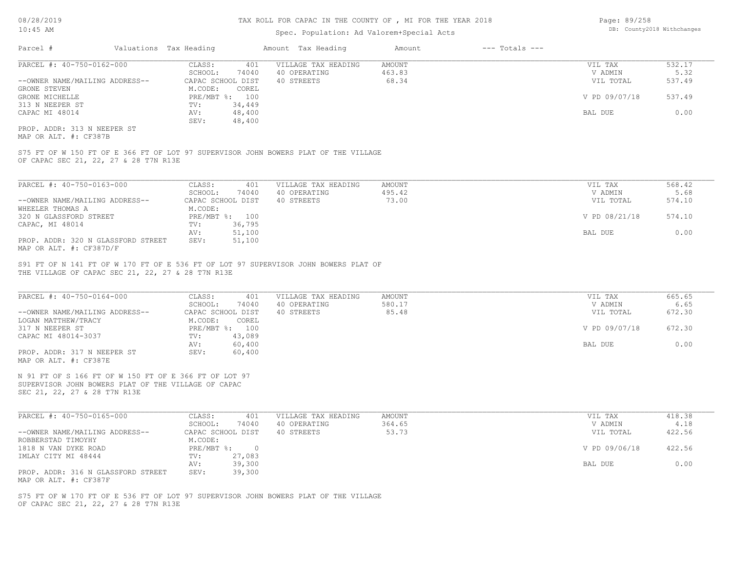### Spec. Population: Ad Valorem+Special Acts

| Page: 89/258 |                            |
|--------------|----------------------------|
|              | DB: County2018 Withchanges |

| Parcel #                       | Valuations Tax Heading |        | Amount Tax Heading  | Amount | $---$ Totals $---$ |               |        |
|--------------------------------|------------------------|--------|---------------------|--------|--------------------|---------------|--------|
| PARCEL #: 40-750-0162-000      | CLASS:                 | 401    | VILLAGE TAX HEADING | AMOUNT |                    | VIL TAX       | 532.17 |
|                                | SCHOOL:                | 74040  | 40 OPERATING        | 463.83 |                    | V ADMIN       | 5.32   |
| --OWNER NAME/MAILING ADDRESS-- | CAPAC SCHOOL DIST      |        | 40 STREETS          | 68.34  |                    | VIL TOTAL     | 537.49 |
| GRONE STEVEN                   | M.CODE:                | COREL  |                     |        |                    |               |        |
| GRONE MICHELLE                 | PRE/MBT %: 100         |        |                     |        |                    | V PD 09/07/18 | 537.49 |
| 313 N NEEPER ST                | TV:                    | 34,449 |                     |        |                    |               |        |
| CAPAC MI 48014                 | AV:                    | 48,400 |                     |        |                    | BAL DUE       | 0.00   |
|                                | SEV:                   | 48,400 |                     |        |                    |               |        |
| PROP. ADDR: 313 N NEEPER ST    |                        |        |                     |        |                    |               |        |

MAP OR ALT. #: CF387B

OF CAPAC SEC 21, 22, 27 & 28 T7N R13E S75 FT OF W 150 FT OF E 366 FT OF LOT 97 SUPERVISOR JOHN BOWERS PLAT OF THE VILLAGE

| PARCEL #: 40-750-0163-000          | CLASS:            | 401    | VILLAGE TAX HEADING | AMOUNT | VIL TAX       | 568.42 |
|------------------------------------|-------------------|--------|---------------------|--------|---------------|--------|
|                                    | SCHOOL:           | 74040  | 40 OPERATING        | 495.42 | V ADMIN       | 5.68   |
| --OWNER NAME/MAILING ADDRESS--     | CAPAC SCHOOL DIST |        | 40 STREETS          | 73.00  | VIL TOTAL     | 574.10 |
| WHEELER THOMAS A                   | M.CODE:           |        |                     |        |               |        |
| 320 N GLASSFORD STREET             | PRE/MBT %: 100    |        |                     |        | V PD 08/21/18 | 574.10 |
| CAPAC, MI 48014                    | TV:               | 36,795 |                     |        |               |        |
|                                    | AV:               | 51,100 |                     |        | BAL DUE       | 0.00   |
| PROP. ADDR: 320 N GLASSFORD STREET | SEV:              | 51,100 |                     |        |               |        |
| MAP OR ALT. #: CF387D/F            |                   |        |                     |        |               |        |

THE VILLAGE OF CAPAC SEC 21, 22, 27 & 28 T7N R13E S91 FT OF N 141 FT OF W 170 FT OF E 536 FT OF LOT 97 SUPERVISOR JOHN BOWERS PLAT OF

| PARCEL #: 40-750-0164-000                             | CLASS:<br>401     | VILLAGE TAX HEADING | AMOUNT | VIL TAX       | 665.65 |
|-------------------------------------------------------|-------------------|---------------------|--------|---------------|--------|
|                                                       | 74040<br>SCHOOL:  | 40 OPERATING        | 580.17 | V ADMIN       | 6.65   |
| --OWNER NAME/MAILING ADDRESS--                        | CAPAC SCHOOL DIST | 40 STREETS          | 85.48  | VIL TOTAL     | 672.30 |
| LOGAN MATTHEW/TRACY                                   | M.CODE:<br>COREL  |                     |        |               |        |
| 317 N NEEPER ST                                       | PRE/MBT %: 100    |                     |        | V PD 09/07/18 | 672.30 |
| CAPAC MI 48014-3037                                   | 43,089<br>TV:     |                     |        |               |        |
|                                                       | 60,400<br>AV:     |                     |        | BAL DUE       | 0.00   |
| PROP. ADDR: 317 N NEEPER ST                           | 60,400<br>SEV:    |                     |        |               |        |
| MAP OR ALT. #: CF387E                                 |                   |                     |        |               |        |
|                                                       |                   |                     |        |               |        |
| N 91 FT OF S 166 FT OF W 150 FT OF E 366 FT OF LOT 97 |                   |                     |        |               |        |
| SUPERVISOR JOHN BOWERS PLAT OF THE VILLAGE OF CAPAC   |                   |                     |        |               |        |
| SEC 21, 22, 27 & 28 T7N R13E                          |                   |                     |        |               |        |

| PARCEL #: 40-750-0165-000          | CLASS:       | 401               | VILLAGE TAX HEADING | AMOUNT | VIL TAX       | 418.38 |
|------------------------------------|--------------|-------------------|---------------------|--------|---------------|--------|
|                                    | SCHOOL:      | 74040             | 40 OPERATING        | 364.65 | V ADMIN       | 4.18   |
| --OWNER NAME/MAILING ADDRESS--     |              | CAPAC SCHOOL DIST | 40 STREETS          | 53.73  | VIL TOTAL     | 422.56 |
| ROBBERSTAD TIMOYHY                 | M.CODE:      |                   |                     |        |               |        |
| 1818 N VAN DYKE ROAD               | $PRE/MBT$ %: |                   |                     |        | V PD 09/06/18 | 422.56 |
| IMLAY CITY MI 48444                | TV:          | 27,083            |                     |        |               |        |
|                                    | AV:          | 39,300            |                     |        | BAL DUE       | 0.00   |
| PROP. ADDR: 316 N GLASSFORD STREET | SEV:         | 39,300            |                     |        |               |        |
| MAP OR ALT. #: CF387F              |              |                   |                     |        |               |        |

OF CAPAC SEC 21, 22, 27 & 28 T7N R13E S75 FT OF W 170 FT OF E 536 FT OF LOT 97 SUPERVISOR JOHN BOWERS PLAT OF THE VILLAGE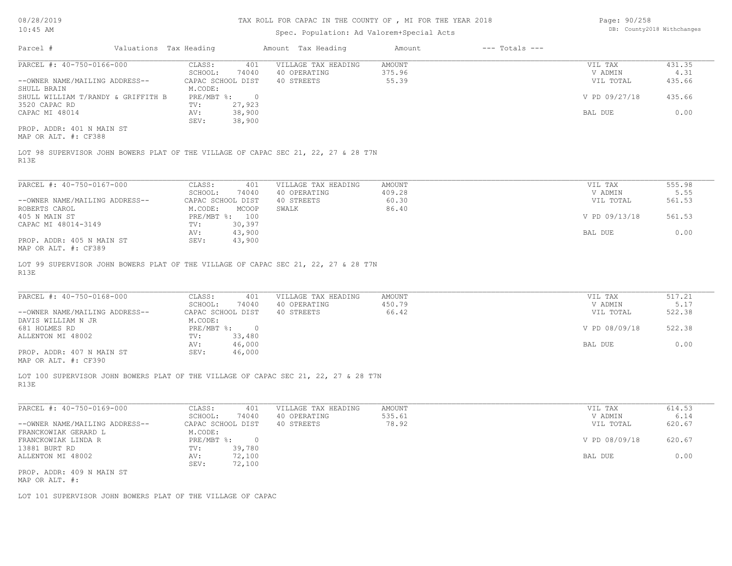#### TAX ROLL FOR CAPAC IN THE COUNTY OF , MI FOR THE YEAR 2018

### Spec. Population: Ad Valorem+Special Acts

| Page: 90/258 |                            |
|--------------|----------------------------|
|              | DB: County2018 Withchanges |

| Parcel #                           | Valuations Tax Heading |                   | Amount Tax Heading  | Amount | $---$ Totals $---$ |               |        |
|------------------------------------|------------------------|-------------------|---------------------|--------|--------------------|---------------|--------|
| PARCEL #: 40-750-0166-000          | CLASS:                 | 401               | VILLAGE TAX HEADING | AMOUNT |                    | VIL TAX       | 431.35 |
|                                    | SCHOOL:                | 74040             | 40 OPERATING        | 375.96 |                    | V ADMIN       | 4.31   |
| --OWNER NAME/MAILING ADDRESS--     |                        | CAPAC SCHOOL DIST | 40 STREETS          | 55.39  |                    | VIL TOTAL     | 435.66 |
| SHULL BRAIN                        | M.CODE:                |                   |                     |        |                    |               |        |
| SHULL WILLIAM T/RANDY & GRIFFITH B | PRE/MBT %:             |                   |                     |        |                    | V PD 09/27/18 | 435.66 |
| 3520 CAPAC RD                      | TV:                    | 27,923            |                     |        |                    |               |        |
| CAPAC MI 48014                     | AV:                    | 38,900            |                     |        |                    | BAL DUE       | 0.00   |
|                                    | SEV:                   | 38,900            |                     |        |                    |               |        |
| PROP. ADDR: 401 N MAIN ST          |                        |                   |                     |        |                    |               |        |
| MAP OR ALT. #: CF388               |                        |                   |                     |        |                    |               |        |
|                                    |                        |                   |                     |        |                    |               |        |

R13E LOT 98 SUPERVISOR JOHN BOWERS PLAT OF THE VILLAGE OF CAPAC SEC 21, 22, 27 & 28 T7N

| PARCEL #: 40-750-0167-000      | CLASS:<br>401       | VILLAGE TAX HEADING | AMOUNT | VIL TAX       | 555.98 |  |
|--------------------------------|---------------------|---------------------|--------|---------------|--------|--|
|                                | 74040<br>SCHOOL:    | 40 OPERATING        | 409.28 | V ADMIN       | 5.55   |  |
| --OWNER NAME/MAILING ADDRESS-- | CAPAC SCHOOL DIST   | 40 STREETS          | 60.30  | VIL TOTAL     | 561.53 |  |
| ROBERTS CAROL                  | MCOOP<br>M.CODE:    | SWALK               | 86.40  |               |        |  |
| 405 N MAIN ST                  | $PRE/MBT$ %:<br>100 |                     |        | V PD 09/13/18 | 561.53 |  |
| CAPAC MI 48014-3149            | 30,397<br>TV:       |                     |        |               |        |  |
|                                | 43,900<br>AV:       |                     |        | BAL DUE       | 0.00   |  |
| PROP. ADDR: 405 N MAIN ST      | 43,900<br>SEV:      |                     |        |               |        |  |
| $\frac{1}{2}$                  |                     |                     |        |               |        |  |

 $\_$  , and the state of the state of the state of the state of the state of the state of the state of the state of the state of the state of the state of the state of the state of the state of the state of the state of the

 $\_$  , and the state of the state of the state of the state of the state of the state of the state of the state of the state of the state of the state of the state of the state of the state of the state of the state of the

MAP OR ALT. #: CF389

R13E LOT 99 SUPERVISOR JOHN BOWERS PLAT OF THE VILLAGE OF CAPAC SEC 21, 22, 27 & 28 T7N

| PARCEL #: 40-750-0168-000      | CLASS:     | 401               | VILLAGE TAX HEADING | AMOUNT | VIL TAX       | 517.21 |
|--------------------------------|------------|-------------------|---------------------|--------|---------------|--------|
|                                | SCHOOL:    | 74040             | 40 OPERATING        | 450.79 | V ADMIN       | 5.17   |
| --OWNER NAME/MAILING ADDRESS-- |            | CAPAC SCHOOL DIST | 40 STREETS          | 66.42  | VIL TOTAL     | 522.38 |
| DAVIS WILLIAM N JR             | M.CODE:    |                   |                     |        |               |        |
| 681 HOLMES RD                  | PRE/MBT %: | $\Box$            |                     |        | V PD 08/09/18 | 522.38 |
| ALLENTON MI 48002              | TV:        | 33,480            |                     |        |               |        |
|                                | AV:        | 46,000            |                     |        | BAL DUE       | 0.00   |
| PROP. ADDR: 407 N MAIN ST      | SEV:       | 46,000            |                     |        |               |        |
|                                |            |                   |                     |        |               |        |

MAP OR ALT. #: CF390

R13E LOT 100 SUPERVISOR JOHN BOWERS PLAT OF THE VILLAGE OF CAPAC SEC 21, 22, 27 & 28 T7N

| PARCEL #: 40-750-0169-000      | CLASS:     | 401               | VILLAGE TAX HEADING | AMOUNT | VIL TAX       | 614.53 |
|--------------------------------|------------|-------------------|---------------------|--------|---------------|--------|
|                                | SCHOOL:    | 74040             | 40 OPERATING        | 535.61 | V ADMIN       | 6.14   |
| --OWNER NAME/MAILING ADDRESS-- |            | CAPAC SCHOOL DIST | 40 STREETS          | 78.92  | VIL TOTAL     | 620.67 |
| FRANCKOWIAK GERARD L           | M.CODE:    |                   |                     |        |               |        |
| FRANCKOWIAK LINDA R            | PRE/MBT %: |                   |                     |        | V PD 08/09/18 | 620.67 |
| 13881 BURT RD                  | TV:        | 39,780            |                     |        |               |        |
| ALLENTON MI 48002              | AV:        | 72,100            |                     |        | BAL DUE       | 0.00   |
|                                | SEV:       | 72,100            |                     |        |               |        |
| PROP. ADDR: 409 N MAIN ST      |            |                   |                     |        |               |        |
| MAP OR ALT. #:                 |            |                   |                     |        |               |        |

LOT 101 SUPERVISOR JOHN BOWERS PLAT OF THE VILLAGE OF CAPAC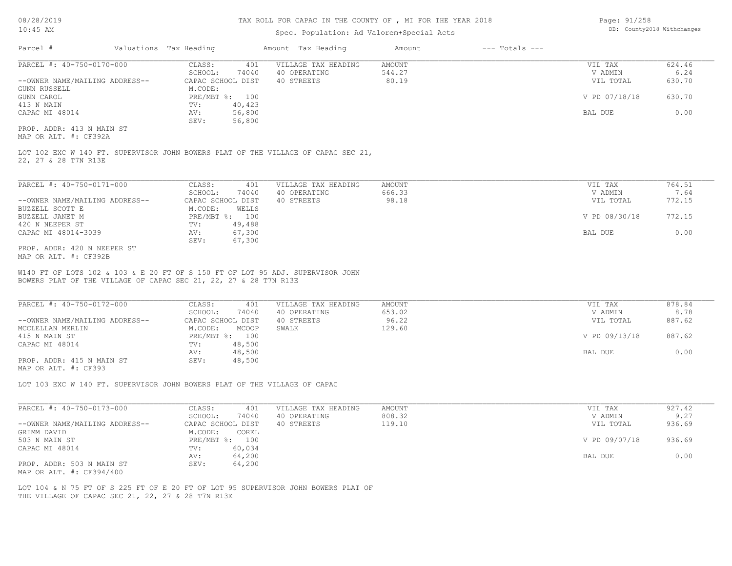#### TAX ROLL FOR CAPAC IN THE COUNTY OF , MI FOR THE YEAR 2018

### Spec. Population: Ad Valorem+Special Acts

| Page: 91/258 |                            |
|--------------|----------------------------|
|              | DB: County2018 Withchanges |

| Parcel #                       | Valuations Tax Heading |        | Amount Tax Heading  | Amount | $---$ Totals $---$ |               |        |
|--------------------------------|------------------------|--------|---------------------|--------|--------------------|---------------|--------|
| PARCEL #: 40-750-0170-000      | CLASS:                 | 401    | VILLAGE TAX HEADING | AMOUNT |                    | VIL TAX       | 624.46 |
|                                | SCHOOL:                | 74040  | 40 OPERATING        | 544.27 |                    | V ADMIN       | 6.24   |
| --OWNER NAME/MAILING ADDRESS-- | CAPAC SCHOOL DIST      |        | 40 STREETS          | 80.19  |                    | VIL TOTAL     | 630.70 |
| GUNN RUSSELL                   | M.CODE:                |        |                     |        |                    |               |        |
| GUNN CAROL                     | PRE/MBT %: 100         |        |                     |        |                    | V PD 07/18/18 | 630.70 |
| 413 N MAIN                     | TV:                    | 40,423 |                     |        |                    |               |        |
| CAPAC MI 48014                 | AV:                    | 56,800 |                     |        |                    | BAL DUE       | 0.00   |
|                                | SEV:                   | 56,800 |                     |        |                    |               |        |
| PROP. ADDR: 413 N MAIN ST      |                        |        |                     |        |                    |               |        |

MAP OR ALT. #: CF392A

22, 27 & 28 T7N R13E LOT 102 EXC W 140 FT. SUPERVISOR JOHN BOWERS PLAT OF THE VILLAGE OF CAPAC SEC 21,

| PARCEL #: 40-750-0171-000      | CLASS:<br>401     | VILLAGE TAX HEADING | AMOUNT | VIL TAX       | 764.51 |
|--------------------------------|-------------------|---------------------|--------|---------------|--------|
|                                | 74040<br>SCHOOL:  | 40 OPERATING        | 666.33 | V ADMIN       | 7.64   |
| --OWNER NAME/MAILING ADDRESS-- | CAPAC SCHOOL DIST | 40 STREETS          | 98.18  | VIL TOTAL     | 772.15 |
| BUZZELL SCOTT E                | M.CODE:<br>WELLS  |                     |        |               |        |
| BUZZELL JANET M                | PRE/MBT %: 100    |                     |        | V PD 08/30/18 | 772.15 |
| 420 N NEEPER ST                | 49,488<br>TV:     |                     |        |               |        |
| CAPAC MI 48014-3039            | 67,300<br>AV:     |                     |        | BAL DUE       | 0.00   |
|                                | 67,300<br>SEV:    |                     |        |               |        |
| PROP. ADDR: 420 N NEEPER ST    |                   |                     |        |               |        |

MAP OR ALT. #: CF392B

BOWERS PLAT OF THE VILLAGE OF CAPAC SEC 21, 22, 27 & 28 T7N R13E W140 FT OF LOTS 102 & 103 & E 20 FT OF S 150 FT OF LOT 95 ADJ. SUPERVISOR JOHN

| PARCEL #: 40-750-0172-000      | CLASS:<br>401     | VILLAGE TAX HEADING | AMOUNT | VIL TAX       | 878.84 |
|--------------------------------|-------------------|---------------------|--------|---------------|--------|
|                                | 74040<br>SCHOOL:  | 40 OPERATING        | 653.02 | V ADMIN       | 8.78   |
| --OWNER NAME/MAILING ADDRESS-- | CAPAC SCHOOL DIST | 40 STREETS          | 96.22  | VIL TOTAL     | 887.62 |
| MCCLELLAN MERLIN               | M.CODE:<br>MCOOP  | SWALK               | 129.60 |               |        |
| 415 N MAIN ST                  | PRE/MBT %: 100    |                     |        | V PD 09/13/18 | 887.62 |
| CAPAC MI 48014                 | 48,500<br>TV:     |                     |        |               |        |
|                                | 48,500<br>AV:     |                     |        | BAL DUE       | 0.00   |
| PROP. ADDR: 415 N MAIN ST      | 48,500<br>SEV:    |                     |        |               |        |
|                                |                   |                     |        |               |        |

MAP OR ALT. #: CF393

LOT 103 EXC W 140 FT. SUPERVISOR JOHN BOWERS PLAT OF THE VILLAGE OF CAPAC

| PARCEL #: 40-750-0173-000      | 401<br>CLASS:     | VILLAGE TAX HEADING | AMOUNT | VIL TAX       | 927.42 |
|--------------------------------|-------------------|---------------------|--------|---------------|--------|
|                                | 74040<br>SCHOOL:  | 40 OPERATING        | 808.32 | V ADMIN       | 9.27   |
| --OWNER NAME/MAILING ADDRESS-- | CAPAC SCHOOL DIST | 40 STREETS          | 119.10 | VIL TOTAL     | 936.69 |
| GRIMM DAVID                    | M.CODE:<br>COREL  |                     |        |               |        |
| 503 N MAIN ST                  | PRE/MBT %: 100    |                     |        | V PD 09/07/18 | 936.69 |
| CAPAC MI 48014                 | 60,034<br>TV:     |                     |        |               |        |
|                                | 64,200<br>AV:     |                     |        | BAL DUE       | 0.00   |
| PROP. ADDR: 503 N MAIN ST      | 64,200<br>SEV:    |                     |        |               |        |
| MAP OR ALT. #: CF394/400       |                   |                     |        |               |        |

THE VILLAGE OF CAPAC SEC 21, 22, 27 & 28 T7N R13E LOT 104 & N 75 FT OF S 225 FT OF E 20 FT OF LOT 95 SUPERVISOR JOHN BOWERS PLAT OF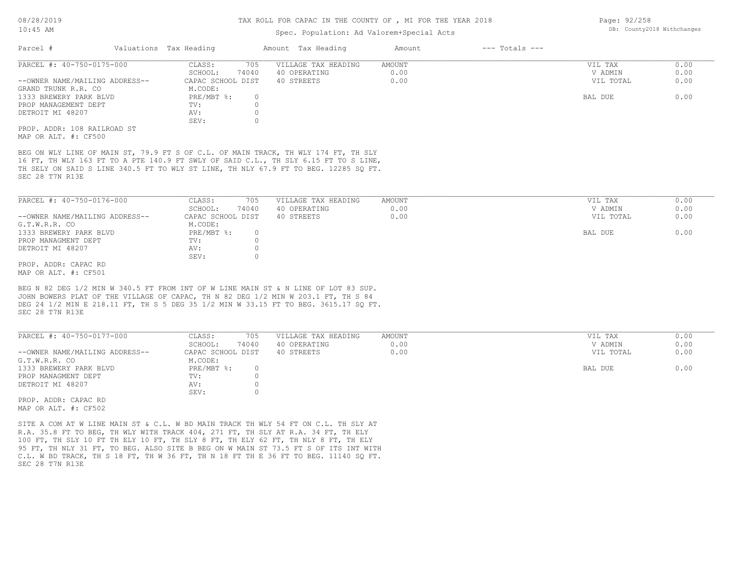### Spec. Population: Ad Valorem+Special Acts

| Parcel #                       | Valuations Tax Heading |       | Amount Tax Heading  | Amount | $---$ Totals $---$ |           |      |
|--------------------------------|------------------------|-------|---------------------|--------|--------------------|-----------|------|
| PARCEL #: 40-750-0175-000      | CLASS:                 | 705   | VILLAGE TAX HEADING | AMOUNT |                    | VIL TAX   | 0.00 |
|                                | SCHOOL:                | 74040 | 40 OPERATING        | 0.00   |                    | V ADMIN   | 0.00 |
| --OWNER NAME/MAILING ADDRESS-- | CAPAC SCHOOL DIST      |       | 40 STREETS          | 0.00   |                    | VIL TOTAL | 0.00 |
| GRAND TRUNK R.R. CO            | M.CODE:                |       |                     |        |                    |           |      |
| 1333 BREWERY PARK BLVD         | PRE/MBT %:             |       |                     |        |                    | BAL DUE   | 0.00 |
| PROP MANAGEMENT DEPT           | TV:                    |       |                     |        |                    |           |      |
| DETROIT MI 48207               | AV:                    |       |                     |        |                    |           |      |
|                                | SEV:                   |       |                     |        |                    |           |      |
| PROP. ADDR: 108 RAILROAD ST    |                        |       |                     |        |                    |           |      |
|                                |                        |       |                     |        |                    |           |      |

MAP OR ALT. #: CF500

SEC 28 T7N R13E TH SELY ON SAID S LINE 340.5 FT TO WLY ST LINE, TH NLY 67.9 FT TO BEG. 12285 SQ FT. 16 FT, TH WLY 163 FT TO A PTE 140.9 FT SWLY OF SAID C.L., TH SLY 6.15 FT TO S LINE, BEG ON WLY LINE OF MAIN ST, 79.9 FT S OF C.L. OF MAIN TRACK, TH WLY 174 FT, TH SLY

| PARCEL #: 40-750-0176-000      | CLASS:            | 705   | VILLAGE TAX HEADING | AMOUNT | VIL TAX   | 0.00 |
|--------------------------------|-------------------|-------|---------------------|--------|-----------|------|
|                                | SCHOOL:           | 74040 | 40 OPERATING        | 0.00   | V ADMIN   | 0.00 |
| --OWNER NAME/MAILING ADDRESS-- | CAPAC SCHOOL DIST |       | 40 STREETS          | 0.00   | VIL TOTAL | 0.00 |
| G.T.W.R.R. CO                  | M.CODE:           |       |                     |        |           |      |
| 1333 BREWERY PARK BLVD         | PRE/MBT %:        |       |                     |        | BAL DUE   | 0.00 |
| PROP MANAGMENT DEPT            | TV:               |       |                     |        |           |      |
| DETROIT MI 48207               | AV:               |       |                     |        |           |      |
|                                | SEV:              |       |                     |        |           |      |
| PROP. ADDR: CAPAC RD           |                   |       |                     |        |           |      |

MAP OR ALT. #: CF501

SEC 28 T7N R13E DEG 24 1/2 MIN E 218.11 FT, TH S 5 DEG 35 1/2 MIN W 33.15 FT TO BEG. 3615.17 SQ FT. JOHN BOWERS PLAT OF THE VILLAGE OF CAPAC, TH N 82 DEG 1/2 MIN W 203.1 FT, TH S 84 BEG N 82 DEG 1/2 MIN W 340.5 FT FROM INT OF W LINE MAIN ST & N LINE OF LOT 83 SUP.

| PARCEL #: 40-750-0177-000      | 705<br>CLASS:     | VILLAGE TAX HEADING | AMOUNT | VIL TAX   | 0.00 |
|--------------------------------|-------------------|---------------------|--------|-----------|------|
|                                | 74040<br>SCHOOL:  | 40 OPERATING        | 0.00   | V ADMIN   | 0.00 |
| --OWNER NAME/MAILING ADDRESS-- | CAPAC SCHOOL DIST | 40 STREETS          | 0.00   | VIL TOTAL | 0.00 |
| G.T.W.R.R. CO                  | M.CODE:           |                     |        |           |      |
| 1333 BREWERY PARK BLVD         | PRE/MBT %:        |                     |        | BAL DUE   | 0.00 |
| PROP MANAGMENT DEPT            | TV:               |                     |        |           |      |
| DETROIT MI 48207               | AV:               |                     |        |           |      |
|                                | SEV:              |                     |        |           |      |

MAP OR ALT. #: CF502 PROP. ADDR: CAPAC RD

SEC 28 T7N R13E C.L. W BD TRACK, TH S 18 FT, TH W 36 FT, TH N 18 FT TH E 36 FT TO BEG. 11140 SQ FT. 95 FT, TH NLY 31 FT, TO BEG. ALSO SITE B BEG ON W MAIN ST 73.5 FT S OF ITS INT WITH 100 FT, TH SLY 10 FT TH ELY 10 FT, TH SLY 8 FT, TH ELY 62 FT, TH NLY 8 FT, TH ELY R.A. 35.8 FT TO BEG, TH WLY WITH TRACK 404, 271 FT, TH SLY AT R.A. 34 FT, TH ELY SITE A COM AT W LINE MAIN ST & C.L. W BD MAIN TRACK TH WLY 54 FT ON C.L. TH SLY AT

Page: 92/258 DB: County2018 Withchanges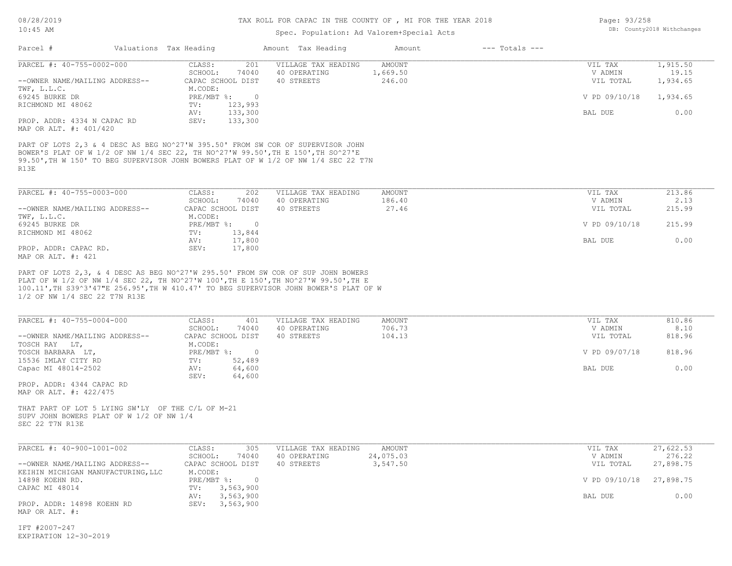# Spec. Population: Ad Valorem+Special Acts

| Page: 93/258 |                            |
|--------------|----------------------------|
|              | DB: County2018 Withchanges |

| Parcel #                                                                                                         | Valuations Tax Heading                                            | Amount Tax Heading                                                                                                                                                    | Amount                       | $---$ Totals $---$ |                                 |                               |
|------------------------------------------------------------------------------------------------------------------|-------------------------------------------------------------------|-----------------------------------------------------------------------------------------------------------------------------------------------------------------------|------------------------------|--------------------|---------------------------------|-------------------------------|
| PARCEL #: 40-755-0002-000<br>--OWNER NAME/MAILING ADDRESS--<br>TWF, L.L.C.                                       | CLASS:<br>201<br>SCHOOL:<br>74040<br>CAPAC SCHOOL DIST<br>M.CODE: | VILLAGE TAX HEADING<br>40 OPERATING<br>40 STREETS                                                                                                                     | AMOUNT<br>1,669.50<br>246.00 |                    | VIL TAX<br>V ADMIN<br>VIL TOTAL | 1,915.50<br>19.15<br>1,934.65 |
| 69245 BURKE DR                                                                                                   | $PRE/MBT$ $\div$ 0                                                |                                                                                                                                                                       |                              |                    | V PD 09/10/18                   | 1,934.65                      |
| RICHMOND MI 48062<br>PROP. ADDR: 4334 N CAPAC RD<br>MAP OR ALT. #: 401/420                                       | 123,993<br>TV:<br>133,300<br>AV:<br>SEV:<br>133,300               |                                                                                                                                                                       |                              |                    | BAL DUE                         | 0.00                          |
| BOWER'S PLAT OF W 1/2 OF NW 1/4 SEC 22, TH NO^27'W 99.50', TH E 150', TH SO^27'E<br>R13E                         |                                                                   | PART OF LOTS 2,3 & 4 DESC AS BEG NO^27'W 395.50' FROM SW COR OF SUPERVISOR JOHN<br>99.50', TH W 150' TO BEG SUPERVISOR JOHN BOWERS PLAT OF W 1/2 OF NW 1/4 SEC 22 T7N |                              |                    |                                 |                               |
| PARCEL #: 40-755-0003-000                                                                                        | CLASS:<br>202                                                     | VILLAGE TAX HEADING                                                                                                                                                   | AMOUNT                       |                    | VIL TAX                         | 213.86                        |
| --OWNER NAME/MAILING ADDRESS--                                                                                   | SCHOOL:<br>74040<br>CAPAC SCHOOL DIST                             | 40 OPERATING<br>40 STREETS                                                                                                                                            | 186.40<br>27.46              |                    | V ADMIN<br>VIL TOTAL            | 2.13<br>215.99                |
| TWF, L.L.C.<br>69245 BURKE DR                                                                                    | M.CODE:<br>PRE/MBT %: 0                                           |                                                                                                                                                                       |                              |                    | V PD 09/10/18                   | 215.99                        |
| RICHMOND MI 48062                                                                                                | 13,844<br>TV:<br>17,800<br>AV:                                    |                                                                                                                                                                       |                              |                    | BAL DUE                         | 0.00                          |
| PROP. ADDR: CAPAC RD.<br>MAP OR ALT. #: 421                                                                      | SEV:<br>17,800                                                    |                                                                                                                                                                       |                              |                    |                                 |                               |
| 1/2 OF NW 1/4 SEC 22 T7N R13E<br>PARCEL #: 40-755-0004-000<br>--OWNER NAME/MAILING ADDRESS--                     | CLASS:<br>401<br>SCHOOL:<br>74040<br>CAPAC SCHOOL DIST            | 100.11', TH S39^3'47"E 256.95', TH W 410.47' TO BEG SUPERVISOR JOHN BOWER'S PLAT OF W<br>VILLAGE TAX HEADING<br>40 OPERATING<br>40 STREETS                            | AMOUNT<br>706.73<br>104.13   |                    | VIL TAX<br>V ADMIN<br>VIL TOTAL | 810.86<br>8.10<br>818.96      |
| TOSCH RAY LT,<br>TOSCH BARBARA LT,                                                                               | M.CODE:<br>$PRE/MBT$ $\div$ 0<br>TV:                              |                                                                                                                                                                       |                              |                    | V PD 09/07/18                   | 818.96                        |
| 15536 IMLAY CITY RD<br>Capac MI 48014-2502                                                                       | 52,489<br>64,600<br>AV:<br>SEV:<br>64,600                         |                                                                                                                                                                       |                              |                    | BAL DUE                         | 0.00                          |
| PROP. ADDR: 4344 CAPAC RD<br>MAP OR ALT. #: 422/475                                                              |                                                                   |                                                                                                                                                                       |                              |                    |                                 |                               |
| THAT PART OF LOT 5 LYING SW'LY OF THE C/L OF M-21<br>SUPV JOHN BOWERS PLAT OF W 1/2 OF NW 1/4<br>SEC 22 T7N R13E |                                                                   |                                                                                                                                                                       |                              |                    |                                 |                               |
| PARCEL #: 40-900-1001-002                                                                                        | CLASS:<br>305<br>SCHOOL:<br>74040                                 | VILLAGE TAX HEADING<br>40 OPERATING                                                                                                                                   | AMOUNT<br>24,075.03          |                    | VIL TAX<br>V ADMIN              | 27,622.53<br>276.22           |
| --OWNER NAME/MAILING ADDRESS--<br>KEIHIN MICHIGAN MANUFACTURING, LLC                                             | CAPAC SCHOOL DIST<br>M.CODE:                                      | 40 STREETS                                                                                                                                                            | 3,547.50                     |                    | VIL TOTAL                       | 27,898.75                     |
| 14898 KOEHN RD.<br>CAPAC MI 48014                                                                                | PRE/MBT %: 0<br>3,563,900<br>TV:                                  |                                                                                                                                                                       |                              |                    | V PD 09/10/18                   | 27,898.75                     |
| PROP. ADDR: 14898 KOEHN RD<br>MAP OR ALT. #:                                                                     | 3,563,900<br>AV:<br>SEV: 3,563,900                                |                                                                                                                                                                       |                              |                    | BAL DUE                         | 0.00                          |
| IFT #2007-247<br>EXPIRATION 12-30-2019                                                                           |                                                                   |                                                                                                                                                                       |                              |                    |                                 |                               |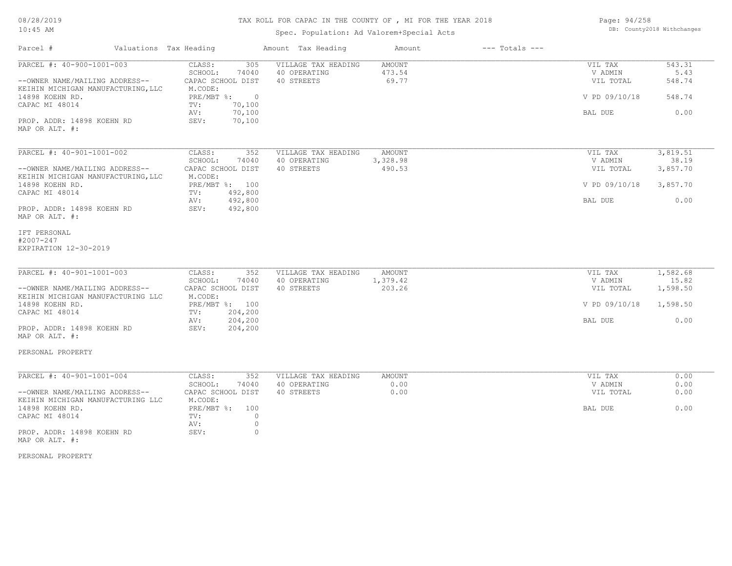# TAX ROLL FOR CAPAC IN THE COUNTY OF , MI FOR THE YEAR 2018

Spec. Population: Ad Valorem+Special Acts

| Page: 94/258 |                            |
|--------------|----------------------------|
|              | DB: County2018 Withchanges |

| Parcel #                                                             | Valuations Tax Heading                | Amount Tax Heading                  | Amount                  | $---$ Totals $---$ |                      |                   |
|----------------------------------------------------------------------|---------------------------------------|-------------------------------------|-------------------------|--------------------|----------------------|-------------------|
| PARCEL #: 40-900-1001-003                                            | CLASS:<br>305<br>SCHOOL:<br>74040     | VILLAGE TAX HEADING<br>40 OPERATING | <b>AMOUNT</b><br>473.54 |                    | VIL TAX<br>V ADMIN   | 543.31<br>5.43    |
| --OWNER NAME/MAILING ADDRESS--<br>KEIHIN MICHIGAN MANUFACTURING, LLC | CAPAC SCHOOL DIST<br>M.CODE:          | 40 STREETS                          | 69.77                   |                    | VIL TOTAL            | 548.74            |
| 14898 KOEHN RD.<br>CAPAC MI 48014                                    | $PRE/MBT$ $\div$ 0<br>70,100<br>TV:   |                                     |                         |                    | V PD 09/10/18        | 548.74            |
| PROP. ADDR: 14898 KOEHN RD                                           | 70,100<br>AV:<br>70,100<br>SEV:       |                                     |                         |                    | BAL DUE              | 0.00              |
| MAP OR ALT. #:                                                       |                                       |                                     |                         |                    |                      |                   |
| PARCEL #: 40-901-1001-002                                            | CLASS:<br>352                         | VILLAGE TAX HEADING                 | <b>AMOUNT</b>           |                    | VIL TAX              | 3,819.51          |
|                                                                      | SCHOOL:<br>74040                      | 40 OPERATING                        | 3,328.98                |                    | V ADMIN              | 38.19             |
| --OWNER NAME/MAILING ADDRESS--<br>KEIHIN MICHIGAN MANUFACTURING, LLC | CAPAC SCHOOL DIST<br>M.CODE:          | 40 STREETS                          | 490.53                  |                    | VIL TOTAL            | 3,857.70          |
| 14898 KOEHN RD.<br>CAPAC MI 48014                                    | PRE/MBT %: 100<br>TV:<br>492,800      |                                     |                         |                    | V PD 09/10/18        | 3,857.70          |
|                                                                      | 492,800<br>AV:                        |                                     |                         |                    | BAL DUE              | 0.00              |
| PROP. ADDR: 14898 KOEHN RD<br>MAP OR ALT. #:                         | 492,800<br>SEV:                       |                                     |                         |                    |                      |                   |
| IFT PERSONAL<br>#2007-247                                            |                                       |                                     |                         |                    |                      |                   |
| EXPIRATION 12-30-2019                                                |                                       |                                     |                         |                    |                      |                   |
|                                                                      |                                       |                                     |                         |                    |                      |                   |
| PARCEL #: 40-901-1001-003                                            | CLASS:<br>352                         | VILLAGE TAX HEADING                 | AMOUNT                  |                    | VIL TAX              | 1,582.68          |
| --OWNER NAME/MAILING ADDRESS--                                       | SCHOOL:<br>74040<br>CAPAC SCHOOL DIST | 40 OPERATING<br>40 STREETS          | 1,379.42<br>203.26      |                    | V ADMIN<br>VIL TOTAL | 15.82<br>1,598.50 |
| KEIHIN MICHIGAN MANUFACTURING LLC                                    | M.CODE:                               |                                     |                         |                    |                      |                   |
| 14898 KOEHN RD.                                                      | PRE/MBT %: 100                        |                                     |                         |                    | V PD 09/10/18        | 1,598.50          |
| CAPAC MI 48014                                                       | 204,200<br>TV:<br>204,200<br>AV:      |                                     |                         |                    | BAL DUE              | 0.00              |
| PROP. ADDR: 14898 KOEHN RD                                           | SEV:<br>204,200                       |                                     |                         |                    |                      |                   |
| MAP OR ALT. #:                                                       |                                       |                                     |                         |                    |                      |                   |
| PERSONAL PROPERTY                                                    |                                       |                                     |                         |                    |                      |                   |
| PARCEL #: 40-901-1001-004                                            | CLASS:<br>352                         | VILLAGE TAX HEADING                 | <b>AMOUNT</b>           |                    | VIL TAX              | 0.00              |
|                                                                      | SCHOOL:<br>74040                      | 40 OPERATING                        | 0.00                    |                    | V ADMIN              | 0.00              |
| --OWNER NAME/MAILING ADDRESS--                                       | CAPAC SCHOOL DIST                     | 40 STREETS                          | 0.00                    |                    | VIL TOTAL            | 0.00              |
| KEIHIN MICHIGAN MANUFACTURING LLC                                    | M.CODE:<br>100                        |                                     |                         |                    | BAL DUE              | 0.00              |
| 14898 KOEHN RD.<br>CAPAC MI 48014                                    | $PRE/MBT$ %:<br>TV:                   | $\circ$                             |                         |                    |                      |                   |
|                                                                      | AV:                                   | $\circ$                             |                         |                    |                      |                   |
| PROP. ADDR: 14898 KOEHN RD<br>MAP OR ALT. #:                         | SEV:                                  | $\circ$                             |                         |                    |                      |                   |

PERSONAL PROPERTY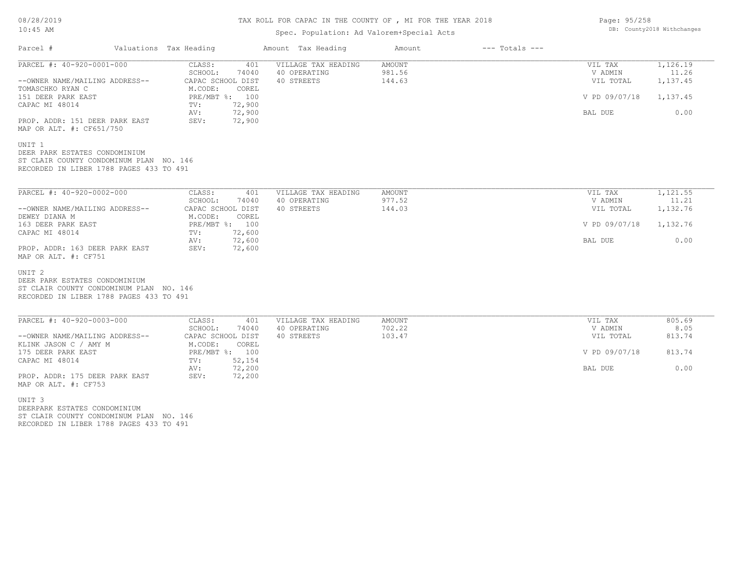## TAX ROLL FOR CAPAC IN THE COUNTY OF , MI FOR THE YEAR 2018

## Spec. Population: Ad Valorem+Special Acts

| Parcel #                                                                                                                                 | Valuations Tax Heading                                                     | Amount Tax Heading                                | Amount                            | $---$ Totals $---$ |                                 |                               |
|------------------------------------------------------------------------------------------------------------------------------------------|----------------------------------------------------------------------------|---------------------------------------------------|-----------------------------------|--------------------|---------------------------------|-------------------------------|
| PARCEL #: 40-920-0001-000<br>--OWNER NAME/MAILING ADDRESS--<br>TOMASCHKO RYAN C                                                          | CLASS:<br>401<br>SCHOOL:<br>74040<br>CAPAC SCHOOL DIST<br>M.CODE:<br>COREL | VILLAGE TAX HEADING<br>40 OPERATING<br>40 STREETS | <b>AMOUNT</b><br>981.56<br>144.63 |                    | VIL TAX<br>V ADMIN<br>VIL TOTAL | 1,126.19<br>11.26<br>1,137.45 |
| 151 DEER PARK EAST<br>CAPAC MI 48014                                                                                                     | PRE/MBT %: 100<br>72,900<br>TV:<br>72,900<br>AV:                           |                                                   |                                   |                    | V PD 09/07/18<br>BAL DUE        | 1,137.45<br>0.00              |
| PROP. ADDR: 151 DEER PARK EAST<br>MAP OR ALT. #: CF651/750                                                                               | 72,900<br>SEV:                                                             |                                                   |                                   |                    |                                 |                               |
| UNIT 1<br>DEER PARK ESTATES CONDOMINIUM<br>ST CLAIR COUNTY CONDOMINUM PLAN NO. 146<br>RECORDED IN LIBER 1788 PAGES 433 TO 491            |                                                                            |                                                   |                                   |                    |                                 |                               |
| PARCEL #: 40-920-0002-000                                                                                                                | CLASS:<br>401<br>SCHOOL:<br>74040                                          | VILLAGE TAX HEADING<br>40 OPERATING               | AMOUNT<br>977.52                  |                    | VIL TAX<br>V ADMIN              | 1,121.55<br>11.21             |
| --OWNER NAME/MAILING ADDRESS--<br>DEWEY DIANA M                                                                                          | CAPAC SCHOOL DIST<br>M.CODE:<br>COREL                                      | 40 STREETS                                        | 144.03                            |                    | VIL TOTAL                       | 1,132.76                      |
| 163 DEER PARK EAST                                                                                                                       | PRE/MBT %: 100                                                             |                                                   |                                   |                    | V PD 09/07/18                   | 1,132.76                      |
| CAPAC MI 48014<br>PROP. ADDR: 163 DEER PARK EAST<br>MAP OR ALT. #: CF751                                                                 | 72,600<br>TV:<br>72,600<br>AV:<br>72,600<br>SEV:                           |                                                   |                                   |                    | BAL DUE                         | 0.00                          |
| UNIT <sub>2</sub><br>DEER PARK ESTATES CONDOMINIUM<br>ST CLAIR COUNTY CONDOMINUM PLAN NO. 146<br>RECORDED IN LIBER 1788 PAGES 433 TO 491 |                                                                            |                                                   |                                   |                    |                                 |                               |
| PARCEL #: 40-920-0003-000                                                                                                                | CLASS:<br>401<br>SCHOOL:<br>74040                                          | VILLAGE TAX HEADING<br>40 OPERATING               | AMOUNT<br>702.22                  |                    | VIL TAX<br>V ADMIN              | 805.69<br>8.05                |
| --OWNER NAME/MAILING ADDRESS--                                                                                                           | CAPAC SCHOOL DIST                                                          | 40 STREETS                                        | 103.47                            |                    | VIL TOTAL                       | 813.74                        |
| KLINK JASON C / AMY M<br>175 DEER PARK EAST<br>CAPAC MI 48014                                                                            | M.CODE:<br>COREL<br>PRE/MBT %: 100<br>52,154<br>TV:                        |                                                   |                                   |                    | V PD 09/07/18                   | 813.74                        |
| PROP. ADDR: 175 DEER PARK EAST<br>MAP OR ALT. #: CF753                                                                                   | 72,200<br>AV:<br>SEV:<br>72,200                                            |                                                   |                                   |                    | BAL DUE                         | 0.00                          |
| UNIT <sub>3</sub><br>DEERPARK ESTATES CONDOMINIUM<br>ST CLAIR COUNTY CONDOMINUM PLAN NO. 146<br>RECORDED IN LIBER 1788 PAGES 433 TO 491  |                                                                            |                                                   |                                   |                    |                                 |                               |

Page: 95/258 DB: County2018 Withchanges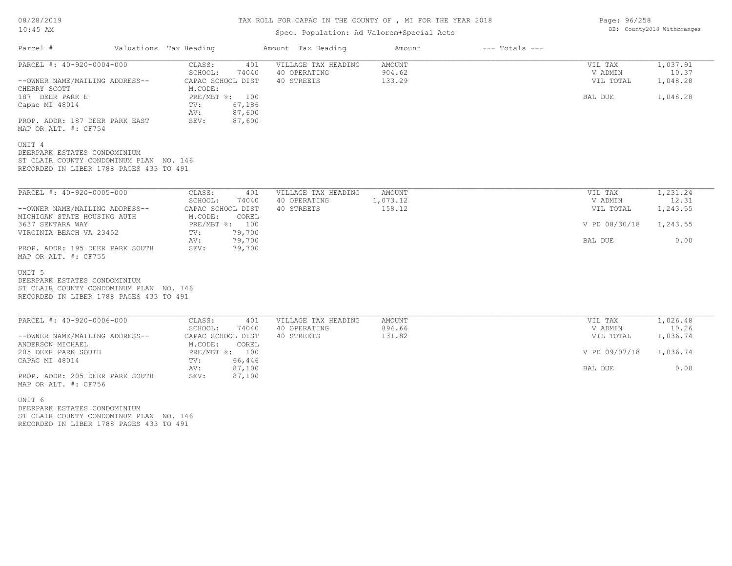# TAX ROLL FOR CAPAC IN THE COUNTY OF , MI FOR THE YEAR 2018

## Spec. Population: Ad Valorem+Special Acts

| Parcel #                                                                                                                                | Valuations Tax Heading                                             | Amount Tax Heading                                | Amount                     | $---$ Totals $---$ |                                 |                               |
|-----------------------------------------------------------------------------------------------------------------------------------------|--------------------------------------------------------------------|---------------------------------------------------|----------------------------|--------------------|---------------------------------|-------------------------------|
| PARCEL #: 40-920-0004-000<br>--OWNER NAME/MAILING ADDRESS--<br>CHERRY SCOTT                                                             | CLASS:<br>401<br>SCHOOL:<br>74040<br>CAPAC SCHOOL DIST<br>M.CODE:  | VILLAGE TAX HEADING<br>40 OPERATING<br>40 STREETS | AMOUNT<br>904.62<br>133.29 |                    | VIL TAX<br>V ADMIN<br>VIL TOTAL | 1,037.91<br>10.37<br>1,048.28 |
| 187 DEER PARK E<br>Capac MI 48014<br>PROP. ADDR: 187 DEER PARK EAST                                                                     | PRE/MBT %: 100<br>67,186<br>TV:<br>87,600<br>AV:<br>87,600<br>SEV: |                                                   |                            |                    | BAL DUE                         | 1,048.28                      |
| MAP OR ALT. #: CF754                                                                                                                    |                                                                    |                                                   |                            |                    |                                 |                               |
| UNIT 4<br>DEERPARK ESTATES CONDOMINIUM<br>ST CLAIR COUNTY CONDOMINUM PLAN NO. 146<br>RECORDED IN LIBER 1788 PAGES 433 TO 491            |                                                                    |                                                   |                            |                    |                                 |                               |
| PARCEL #: 40-920-0005-000                                                                                                               | CLASS:<br>401                                                      | VILLAGE TAX HEADING                               | AMOUNT                     |                    | VIL TAX                         | 1,231.24                      |
| --OWNER NAME/MAILING ADDRESS--                                                                                                          | SCHOOL:<br>74040<br>CAPAC SCHOOL DIST                              | 40 OPERATING<br>40 STREETS                        | 1,073.12<br>158.12         |                    | V ADMIN<br>VIL TOTAL            | 12.31<br>1,243.55             |
| MICHIGAN STATE HOUSING AUTH<br>3637 SENTARA WAY                                                                                         | M.CODE:<br>COREL<br>PRE/MBT %: 100                                 |                                                   |                            |                    | V PD 08/30/18                   | 1,243.55                      |
| VIRGINIA BEACH VA 23452                                                                                                                 | 79,700<br>TV:<br>79,700<br>AV:                                     |                                                   |                            |                    | BAL DUE                         | 0.00                          |
| PROP. ADDR: 195 DEER PARK SOUTH<br>MAP OR ALT. #: CF755                                                                                 | 79,700<br>SEV:                                                     |                                                   |                            |                    |                                 |                               |
| UNIT <sub>5</sub><br>DEERPARK ESTATES CONDOMINIUM<br>ST CLAIR COUNTY CONDOMINUM PLAN NO. 146<br>RECORDED IN LIBER 1788 PAGES 433 TO 491 |                                                                    |                                                   |                            |                    |                                 |                               |
| PARCEL #: 40-920-0006-000                                                                                                               | CLASS:<br>401                                                      | VILLAGE TAX HEADING                               | AMOUNT<br>894.66           |                    | VIL TAX                         | 1,026.48<br>10.26             |
| --OWNER NAME/MAILING ADDRESS--                                                                                                          | SCHOOL:<br>74040<br>CAPAC SCHOOL DIST                              | 40 OPERATING<br>40 STREETS                        | 131.82                     |                    | V ADMIN<br>VIL TOTAL            | 1,036.74                      |
| ANDERSON MICHAEL<br>205 DEER PARK SOUTH                                                                                                 | M.CODE:<br>COREL<br>PRE/MBT %: 100                                 |                                                   |                            |                    | V PD 09/07/18                   | 1,036.74                      |
| CAPAC MI 48014                                                                                                                          | TV:<br>66,446<br>87,100<br>AV:                                     |                                                   |                            |                    | BAL DUE                         | 0.00                          |
| PROP. ADDR: 205 DEER PARK SOUTH<br>MAP OR ALT. #: CF756                                                                                 | SEV:<br>87,100                                                     |                                                   |                            |                    |                                 |                               |
| UNIT 6<br>DEERPARK ESTATES CONDOMINIUM<br>ST CLAIR COUNTY CONDOMINUM PLAN NO. 146                                                       |                                                                    |                                                   |                            |                    |                                 |                               |
| RECORDED IN LIBER 1788 PAGES 433 TO 491                                                                                                 |                                                                    |                                                   |                            |                    |                                 |                               |

Page: 96/258 DB: County2018 Withchanges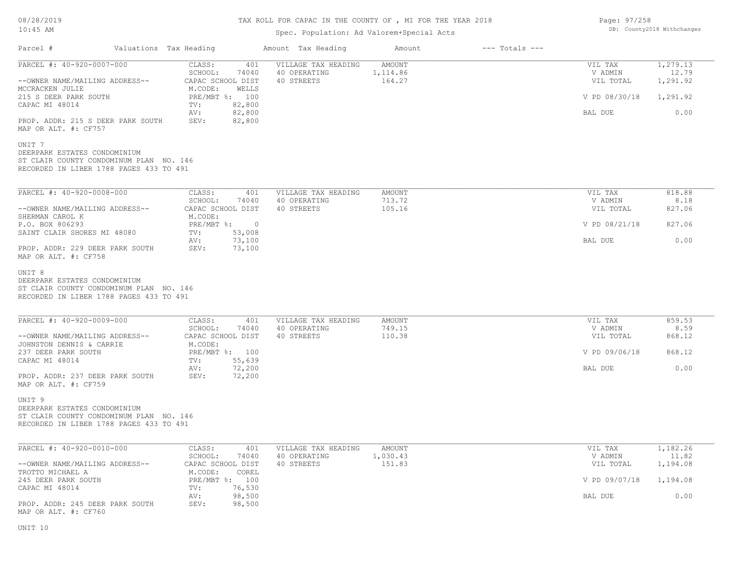# TAX ROLL FOR CAPAC IN THE COUNTY OF , MI FOR THE YEAR 2018

## Spec. Population: Ad Valorem+Special Acts

| Page: 97/258 |                            |
|--------------|----------------------------|
|              | DB: County2018 Withchanges |

| Parcel #                                                                                                                                                                                                                                                                                                                    | Valuations Tax Heading                                                                                                                           | Amount Tax Heading                                       | Amount                              | $---$ Totals $---$ |                                                             |                                                   |
|-----------------------------------------------------------------------------------------------------------------------------------------------------------------------------------------------------------------------------------------------------------------------------------------------------------------------------|--------------------------------------------------------------------------------------------------------------------------------------------------|----------------------------------------------------------|-------------------------------------|--------------------|-------------------------------------------------------------|---------------------------------------------------|
| PARCEL #: 40-920-0007-000<br>--OWNER NAME/MAILING ADDRESS--<br>MCCRACKEN JULIE<br>215 S DEER PARK SOUTH<br>CAPAC MI 48014<br>PROP. ADDR: 215 S DEER PARK SOUTH<br>MAP OR ALT. #: CF757<br>UNIT 7<br>DEERPARK ESTATES CONDOMINIUM<br>ST CLAIR COUNTY CONDOMINUM PLAN NO. 146<br>RECORDED IN LIBER 1788 PAGES 433 TO 491      | CLASS:<br>401<br>SCHOOL:<br>74040<br>CAPAC SCHOOL DIST<br>M.CODE:<br>WELLS<br>PRE/MBT %: 100<br>82,800<br>TV:<br>82,800<br>AV:<br>82,800<br>SEV: | VILLAGE TAX HEADING<br>40 OPERATING<br>40 STREETS        | <b>AMOUNT</b><br>1,114.86<br>164.27 |                    | VIL TAX<br>V ADMIN<br>VIL TOTAL<br>V PD 08/30/18<br>BAL DUE | 1,279.13<br>12.79<br>1,291.92<br>1,291.92<br>0.00 |
| PARCEL #: 40-920-0008-000<br>--OWNER NAME/MAILING ADDRESS--<br>SHERMAN CAROL K<br>P.O. BOX 806293<br>SAINT CLAIR SHORES MI 48080<br>PROP. ADDR: 229 DEER PARK SOUTH<br>MAP OR ALT. #: CF758<br>UNIT 8<br>DEERPARK ESTATES CONDOMINIUM<br>ST CLAIR COUNTY CONDOMINUM PLAN NO. 146<br>RECORDED IN LIBER 1788 PAGES 433 TO 491 | CLASS:<br>SCHOOL:<br>74040<br>CAPAC SCHOOL DIST<br>M.CODE:<br>PRE/MBT %: 0<br>53,008<br>TV:<br>73,100<br>AV:<br>SEV:<br>73,100                   | VILLAGE TAX HEADING<br>401<br>40 OPERATING<br>40 STREETS | AMOUNT<br>713.72<br>105.16          |                    | VIL TAX<br>V ADMIN<br>VIL TOTAL<br>V PD 08/21/18<br>BAL DUE | 818.88<br>8.18<br>827.06<br>827.06<br>0.00        |
| PARCEL #: 40-920-0009-000<br>--OWNER NAME/MAILING ADDRESS--<br>JOHNSTON DENNIS & CARRIE<br>237 DEER PARK SOUTH<br>CAPAC MI 48014<br>PROP. ADDR: 237 DEER PARK SOUTH<br>MAP OR ALT. #: CF759<br>UNIT 9<br>DEERPARK ESTATES CONDOMINIUM<br>ST CLAIR COUNTY CONDOMINUM PLAN NO. 146<br>RECORDED IN LIBER 1788 PAGES 433 TO 491 | CLASS:<br>SCHOOL:<br>74040<br>CAPAC SCHOOL DIST<br>M.CODE:<br>PRE/MBT %: 100<br>55,639<br>TV:<br>72,200<br>AV:<br>SEV:<br>72,200                 | 401<br>VILLAGE TAX HEADING<br>40 OPERATING<br>40 STREETS | AMOUNT<br>749.15<br>110.38          |                    | VIL TAX<br>V ADMIN<br>VIL TOTAL<br>V PD 09/06/18<br>BAL DUE | 859.53<br>8.59<br>868.12<br>868.12<br>0.00        |
| PARCEL #: 40-920-0010-000<br>--OWNER NAME/MAILING ADDRESS--<br>TROTTO MICHAEL A<br>245 DEER PARK SOUTH<br>CAPAC MI 48014<br>PROP. ADDR: 245 DEER PARK SOUTH<br>MAP OR ALT. #: CF760                                                                                                                                         | CLASS:<br>SCHOOL:<br>74040<br>CAPAC SCHOOL DIST<br>M.CODE:<br>COREL<br>PRE/MBT %: 100<br>76,530<br>TV:<br>98,500<br>AV:<br>SEV:<br>98,500        | VILLAGE TAX HEADING<br>401<br>40 OPERATING<br>40 STREETS | <b>AMOUNT</b><br>1,030.43<br>151.83 |                    | VIL TAX<br>V ADMIN<br>VIL TOTAL<br>V PD 09/07/18<br>BAL DUE | 1,182.26<br>11.82<br>1,194.08<br>1,194.08<br>0.00 |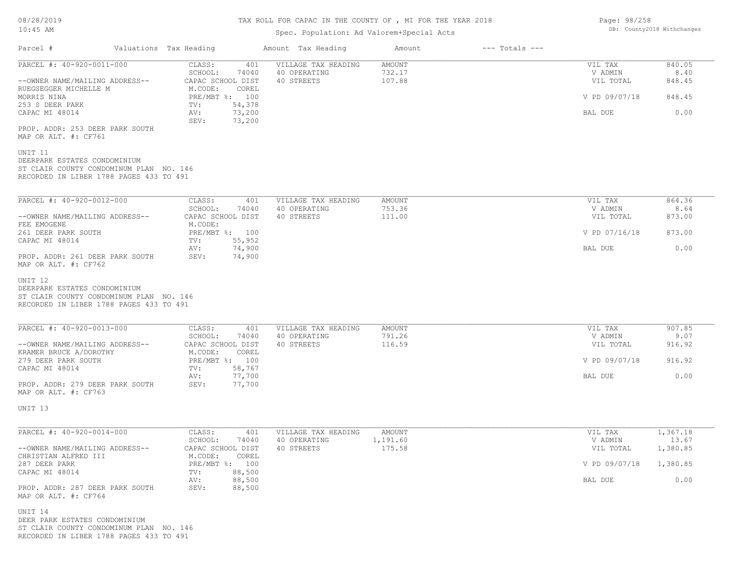## Spec. Population: Ad Valorem+Special Acts

| Parcel #                                                                                                           | Valuations Tax Heading                                 | Amount Tax Heading                  | Amount             | $---$ Totals $---$ |                        |                   |
|--------------------------------------------------------------------------------------------------------------------|--------------------------------------------------------|-------------------------------------|--------------------|--------------------|------------------------|-------------------|
| PARCEL #: 40-920-0011-000                                                                                          | CLASS:<br>401<br>74040<br>SCHOOL:                      | VILLAGE TAX HEADING<br>40 OPERATING | AMOUNT<br>732.17   |                    | VIL TAX<br>V ADMIN     | 840.05<br>8.40    |
| --OWNER NAME/MAILING ADDRESS--<br>RUEGSEGGER MICHELLE M                                                            | CAPAC SCHOOL DIST<br>M.CODE:<br>COREL                  | 40 STREETS                          | 107.88             |                    | VIL TOTAL              | 848.45            |
| MORRIS NINA<br>253 S DEER PARK                                                                                     | PRE/MBT %: 100<br>54,378<br>$\texttt{TV}$ :            |                                     |                    |                    | V PD 09/07/18          | 848.45            |
| CAPAC MI 48014                                                                                                     | 73,200<br>AV:<br>SEV:<br>73,200                        |                                     |                    |                    | BAL DUE                | 0.00              |
| PROP. ADDR: 253 DEER PARK SOUTH<br>MAP OR ALT. #: CF761                                                            |                                                        |                                     |                    |                    |                        |                   |
| UNIT 11<br>DEERPARK ESTATES CONDOMINIUM<br>ST CLAIR COUNTY CONDOMINUM PLAN NO. 146                                 |                                                        |                                     |                    |                    |                        |                   |
| RECORDED IN LIBER 1788 PAGES 433 TO 491                                                                            |                                                        |                                     |                    |                    |                        |                   |
| PARCEL #: 40-920-0012-000                                                                                          | CLASS:<br>401                                          | VILLAGE TAX HEADING                 | AMOUNT             |                    | VIL TAX                | 864.36            |
| --OWNER NAME/MAILING ADDRESS--                                                                                     | SCHOOL:<br>74040<br>CAPAC SCHOOL DIST                  | 40 OPERATING<br>40 STREETS          | 753.36<br>111.00   |                    | V ADMIN<br>VIL TOTAL   | 8.64<br>873.00    |
| FEE EMOGENE<br>261 DEER PARK SOUTH<br>CAPAC MI 48014                                                               | M.CODE:<br>PRE/MBT %: 100<br>55,952<br>$\texttt{TV}$ : |                                     |                    |                    | V PD 07/16/18          | 873.00            |
| PROP. ADDR: 261 DEER PARK SOUTH                                                                                    | AV:<br>74,900<br>74,900<br>SEV:                        |                                     |                    |                    | BAL DUE                | 0.00              |
| MAP OR ALT. #: CF762<br>UNIT 12                                                                                    |                                                        |                                     |                    |                    |                        |                   |
| DEERPARK ESTATES CONDOMINIUM<br>ST CLAIR COUNTY CONDOMINUM PLAN NO. 146<br>RECORDED IN LIBER 1788 PAGES 433 TO 491 |                                                        |                                     |                    |                    |                        |                   |
| PARCEL #: 40-920-0013-000                                                                                          | CLASS:<br>401                                          | VILLAGE TAX HEADING                 | AMOUNT             |                    | VIL TAX                | 907.85            |
|                                                                                                                    | SCHOOL:<br>74040                                       | 40 OPERATING                        | 791.26             |                    | V ADMIN                | 9.07              |
| --OWNER NAME/MAILING ADDRESS--<br>KRAMER BRUCE A/DOROTHY                                                           | CAPAC SCHOOL DIST<br>M.CODE:<br>COREL                  | 40 STREETS                          | 116.59             |                    | VIL TOTAL              | 916.92            |
| 279 DEER PARK SOUTH<br>CAPAC MI 48014                                                                              | PRE/MBT %: 100<br>58,767<br>TV:                        |                                     |                    |                    | V PD 09/07/18          | 916.92            |
| PROP. ADDR: 279 DEER PARK SOUTH<br>MAP OR ALT. #: CF763                                                            | AV:<br>77,700<br>SEV:<br>77,700                        |                                     |                    |                    | BAL DUE                | 0.00              |
| UNIT 13                                                                                                            |                                                        |                                     |                    |                    |                        |                   |
|                                                                                                                    |                                                        |                                     |                    |                    |                        |                   |
| PARCEL #: 40-920-0014-000                                                                                          | CLASS:<br>401<br>SCHOOL:<br>74040                      | VILLAGE TAX HEADING<br>40 OPERATING | AMOUNT<br>1,191.60 |                    | VIL TAX<br>V ADMIN     | 1,367.18<br>13.67 |
| --OWNER NAME/MAILING ADDRESS--<br>CHRISTIAN ALFRED III                                                             | CAPAC SCHOOL DIST<br>M.CODE: COREL                     | 40 STREETS                          | 175.58             |                    | VIL TOTAL              | 1,380.85          |
| 287 DEER PARK<br>CAPAC MI 48014                                                                                    | PRE/MBT %: 100<br>88,500<br>TV:                        |                                     |                    |                    | V PD 09/07/18 1,380.85 |                   |
| PROP. ADDR: 287 DEER PARK SOUTH<br>MAP OR ALT. #: CF764                                                            | 88,500<br>AV:<br>SEV:<br>88,500                        |                                     |                    |                    | BAL DUE                | 0.00              |
| UNIT 14<br>DEER PARK ESTATES CONDOMINIUM<br>ST CLAIR COUNTY CONDOMINUM PLAN NO. 146                                |                                                        |                                     |                    |                    |                        |                   |

RECORDED IN LIBER 1788 PAGES 433 TO 491

Page: 98/258 DB: County2018 Withchanges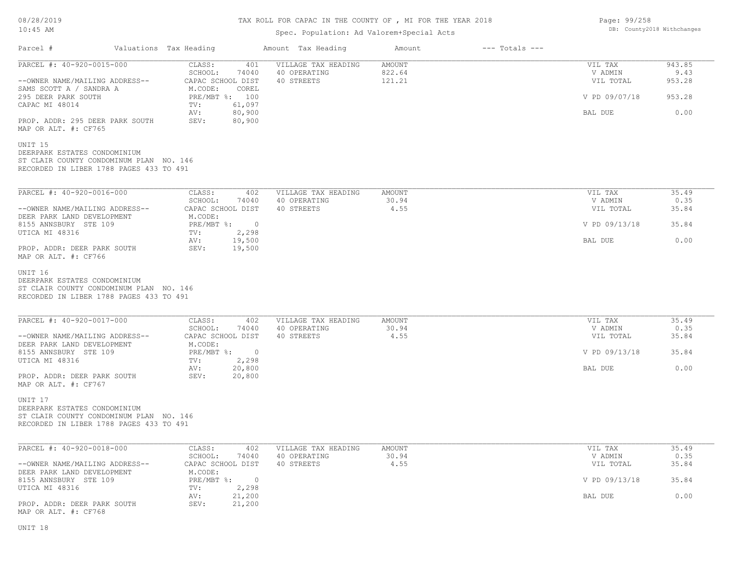# TAX ROLL FOR CAPAC IN THE COUNTY OF , MI FOR THE YEAR 2018

## Spec. Population: Ad Valorem+Special Acts

| Page: 99/258 |                            |
|--------------|----------------------------|
|              | DB: County2018 Withchanges |

| Parcel #                                                                                                                      | Valuations Tax Heading |                                                        | Amount Tax Heading                                | Amount                            | $---$ Totals $---$ |                                 |                          |
|-------------------------------------------------------------------------------------------------------------------------------|------------------------|--------------------------------------------------------|---------------------------------------------------|-----------------------------------|--------------------|---------------------------------|--------------------------|
| PARCEL #: 40-920-0015-000<br>--OWNER NAME/MAILING ADDRESS--                                                                   |                        | CLASS:<br>401<br>SCHOOL:<br>74040<br>CAPAC SCHOOL DIST | VILLAGE TAX HEADING<br>40 OPERATING<br>40 STREETS | <b>AMOUNT</b><br>822.64<br>121.21 |                    | VIL TAX<br>V ADMIN<br>VIL TOTAL | 943.85<br>9.43<br>953.28 |
| SAMS SCOTT A / SANDRA A<br>295 DEER PARK SOUTH                                                                                |                        | M.CODE:<br>COREL<br>PRE/MBT %: 100                     |                                                   |                                   |                    | V PD 09/07/18                   | 953.28                   |
| CAPAC MI 48014                                                                                                                |                        | 61,097<br>TV:<br>80,900<br>AV:                         |                                                   |                                   |                    | BAL DUE                         | 0.00                     |
| PROP. ADDR: 295 DEER PARK SOUTH<br>MAP OR ALT. #: CF765                                                                       |                        | SEV:<br>80,900                                         |                                                   |                                   |                    |                                 |                          |
| UNIT 15<br>DEERPARK ESTATES CONDOMINIUM<br>ST CLAIR COUNTY CONDOMINUM PLAN NO. 146<br>RECORDED IN LIBER 1788 PAGES 433 TO 491 |                        |                                                        |                                                   |                                   |                    |                                 |                          |
| PARCEL #: 40-920-0016-000                                                                                                     |                        | CLASS:<br>402                                          | VILLAGE TAX HEADING                               | AMOUNT                            |                    | VIL TAX                         | 35.49                    |
| --OWNER NAME/MAILING ADDRESS--                                                                                                |                        | SCHOOL:<br>74040<br>CAPAC SCHOOL DIST                  | 40 OPERATING<br>40 STREETS                        | 30.94<br>4.55                     |                    | V ADMIN<br>VIL TOTAL            | 0.35<br>35.84            |
| DEER PARK LAND DEVELOPMENT<br>8155 ANNSBURY STE 109<br>UTICA MI 48316                                                         |                        | M.CODE:<br>PRE/MBT %: 0<br>2,298<br>TV:                |                                                   |                                   |                    | V PD 09/13/18                   | 35.84                    |
| PROP. ADDR: DEER PARK SOUTH                                                                                                   |                        | 19,500<br>AV:<br>19,500<br>SEV:                        |                                                   |                                   | BAL DUE            | 0.00                            |                          |
| MAP OR ALT. #: CF766                                                                                                          |                        |                                                        |                                                   |                                   |                    |                                 |                          |
| UNIT 16<br>DEERPARK ESTATES CONDOMINIUM<br>ST CLAIR COUNTY CONDOMINUM PLAN NO. 146<br>RECORDED IN LIBER 1788 PAGES 433 TO 491 |                        |                                                        |                                                   |                                   |                    |                                 |                          |
| PARCEL #: 40-920-0017-000                                                                                                     |                        | CLASS:<br>402<br>SCHOOL:<br>74040                      | VILLAGE TAX HEADING<br>40 OPERATING               | <b>AMOUNT</b><br>30.94            |                    | VIL TAX<br>V ADMIN              | 35.49<br>0.35            |
| --OWNER NAME/MAILING ADDRESS--<br>DEER PARK LAND DEVELOPMENT                                                                  |                        | CAPAC SCHOOL DIST<br>M.CODE:                           | 40 STREETS                                        | 4.55                              |                    | VIL TOTAL                       | 35.84                    |
| 8155 ANNSBURY STE 109<br>UTICA MI 48316                                                                                       |                        | $PRE/MBT$ %:<br>$\overline{0}$<br>2,298<br>TV:         |                                                   |                                   | V PD 09/13/18      | 35.84                           |                          |
| PROP. ADDR: DEER PARK SOUTH<br>MAP OR ALT. #: CF767                                                                           |                        | 20,800<br>AV:<br>SEV:<br>20,800                        |                                                   |                                   | BAL DUE            | 0.00                            |                          |
| UNIT 17<br>DEERPARK ESTATES CONDOMINIUM<br>ST CLAIR COUNTY CONDOMINUM PLAN NO. 146<br>RECORDED IN LIBER 1788 PAGES 433 TO 491 |                        |                                                        |                                                   |                                   |                    |                                 |                          |
| PARCEL #: 40-920-0018-000                                                                                                     |                        | CLASS:<br>402                                          | VILLAGE TAX HEADING                               | AMOUNT                            |                    | VIL TAX                         | 35.49                    |
| --OWNER NAME/MAILING ADDRESS--                                                                                                |                        | SCHOOL:<br>74040<br>CAPAC SCHOOL DIST                  | 40 OPERATING<br>40 STREETS                        | 30.94<br>4.55                     |                    | V ADMIN<br>VIL TOTAL            | 0.35<br>35.84            |
| DEER PARK LAND DEVELOPMENT<br>8155 ANNSBURY STE 109<br>UTICA MI 48316                                                         |                        | M.CODE:<br>$PRE/MBT$ $\div$ 0<br>2,298<br>TV:          |                                                   |                                   |                    | V PD 09/13/18                   | 35.84                    |
| PROP. ADDR: DEER PARK SOUTH                                                                                                   |                        | 21,200<br>AV:<br>SEV:<br>21,200                        |                                                   |                                   |                    | BAL DUE                         | 0.00                     |
| MAP OR ALT. #: CF768                                                                                                          |                        |                                                        |                                                   |                                   |                    |                                 |                          |
| UNIT 18                                                                                                                       |                        |                                                        |                                                   |                                   |                    |                                 |                          |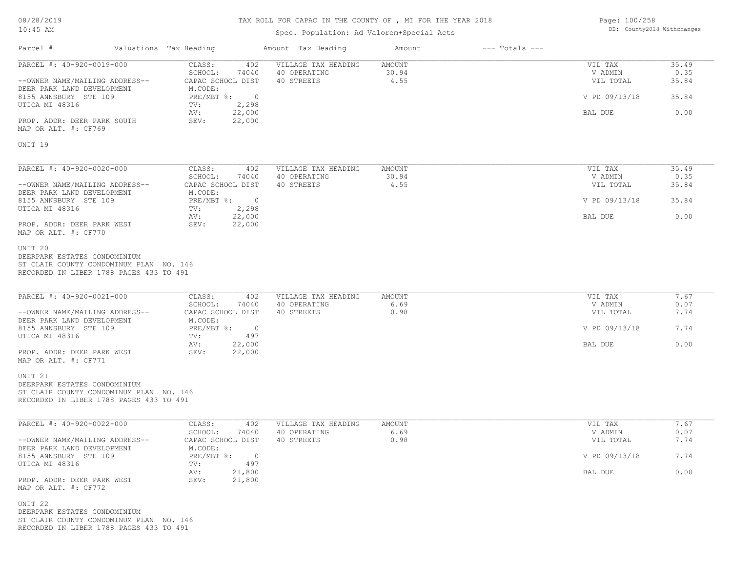# TAX ROLL FOR CAPAC IN THE COUNTY OF , MI FOR THE YEAR 2018

## Spec. Population: Ad Valorem+Special Acts

Page: 100/258 DB: County2018 Withchanges

| Parcel #                                                                                                                                 | Valuations Tax Heading                                              | Amount Tax Heading                                | Amount                  | $---$ Totals $---$ |                                 |                        |
|------------------------------------------------------------------------------------------------------------------------------------------|---------------------------------------------------------------------|---------------------------------------------------|-------------------------|--------------------|---------------------------------|------------------------|
| PARCEL #: 40-920-0019-000<br>--OWNER NAME/MAILING ADDRESS--                                                                              | CLASS:<br>402<br>SCHOOL:<br>74040<br>CAPAC SCHOOL DIST              | VILLAGE TAX HEADING<br>40 OPERATING<br>40 STREETS | AMOUNT<br>30.94<br>4.55 |                    | VIL TAX<br>V ADMIN<br>VIL TOTAL | 35.49<br>0.35<br>35.84 |
| DEER PARK LAND DEVELOPMENT<br>8155 ANNSBURY STE 109                                                                                      | M.CODE:<br>PRE/MBT %:<br>$\sim$ 0                                   |                                                   |                         |                    | V PD 09/13/18                   | 35.84                  |
| UTICA MI 48316<br>PROP. ADDR: DEER PARK SOUTH<br>MAP OR ALT. #: CF769                                                                    | TV:<br>2,298<br>22,000<br>AV:<br>22,000<br>SEV:                     |                                                   |                         |                    | BAL DUE                         | 0.00                   |
| UNIT 19                                                                                                                                  |                                                                     |                                                   |                         |                    |                                 |                        |
| PARCEL #: 40-920-0020-000<br>--OWNER NAME/MAILING ADDRESS--                                                                              | CLASS:<br>402<br>SCHOOL:<br>74040<br>CAPAC SCHOOL DIST              | VILLAGE TAX HEADING<br>40 OPERATING<br>40 STREETS | AMOUNT<br>30.94<br>4.55 |                    | VIL TAX<br>V ADMIN<br>VIL TOTAL | 35.49<br>0.35<br>35.84 |
| DEER PARK LAND DEVELOPMENT<br>8155 ANNSBURY STE 109                                                                                      | M.CODE:<br>$PRE/MBT$ $\div$ 0                                       |                                                   |                         |                    | V PD 09/13/18                   | 35.84                  |
| UTICA MI 48316<br>PROP. ADDR: DEER PARK WEST<br>MAP OR ALT. #: CF770                                                                     | TV:<br>2,298<br>22,000<br>AV:<br>22,000<br>SEV:                     |                                                   |                         |                    | BAL DUE                         | 0.00                   |
| UNIT <sub>20</sub><br>DEERPARK ESTATES CONDOMINIUM<br>ST CLAIR COUNTY CONDOMINUM PLAN NO. 146<br>RECORDED IN LIBER 1788 PAGES 433 TO 491 |                                                                     |                                                   |                         |                    |                                 |                        |
| PARCEL #: 40-920-0021-000                                                                                                                | CLASS:<br>402<br>SCHOOL:<br>74040                                   | VILLAGE TAX HEADING<br>40 OPERATING               | <b>AMOUNT</b><br>6.69   |                    | VIL TAX<br>V ADMIN              | 7.67<br>0.07           |
| --OWNER NAME/MAILING ADDRESS--<br>DEER PARK LAND DEVELOPMENT<br>8155 ANNSBURY STE 109                                                    | CAPAC SCHOOL DIST<br>M.CODE:<br>$PRE/MBT$ $\div$<br>- 0             | 40 STREETS                                        | 0.98                    |                    | VIL TOTAL<br>V PD 09/13/18      | 7.74<br>7.74           |
| UTICA MI 48316                                                                                                                           | 497<br>TV:<br>AV:<br>22,000                                         |                                                   |                         |                    | BAL DUE                         | 0.00                   |
| PROP. ADDR: DEER PARK WEST<br>MAP OR ALT. #: CF771                                                                                       | 22,000<br>SEV:                                                      |                                                   |                         |                    |                                 |                        |
| UNIT <sub>21</sub><br>DEERPARK ESTATES CONDOMINIUM<br>ST CLAIR COUNTY CONDOMINUM PLAN NO. 146<br>RECORDED IN LIBER 1788 PAGES 433 TO 491 |                                                                     |                                                   |                         |                    |                                 |                        |
| PARCEL #: 40-920-0022-000                                                                                                                | CLASS:<br>402<br>SCHOOL:<br>74040                                   | VILLAGE TAX HEADING<br>40 OPERATING               | AMOUNT<br>6.69          |                    | VIL TAX<br>V ADMIN              | 7.67<br>0.07           |
| --OWNER NAME/MAILING ADDRESS--<br>DEER PARK LAND DEVELOPMENT                                                                             | CAPAC SCHOOL DIST<br>M.CODE:                                        | 40 STREETS                                        | 0.98                    |                    | VIL TOTAL                       | 7.74                   |
| 8155 ANNSBURY STE 109<br>UTICA MI 48316                                                                                                  | $PRE/MBT$ $\frac{6}{3}$ :<br>$\overline{\phantom{0}}$<br>497<br>TV: |                                                   |                         |                    | V PD 09/13/18                   | 7.74                   |
| PROP. ADDR: DEER PARK WEST<br>MAP OR ALT. #: CF772                                                                                       | 21,800<br>AV:<br>SEV:<br>21,800                                     |                                                   |                         |                    | BAL DUE                         | 0.00                   |
| UNIT 22<br>DEERPARK ESTATES CONDOMINIUM<br>ST CLAIR COUNTY CONDOMINUM PLAN NO. 146<br>RECORDED IN LIBER 1788 PAGES 433 TO 491            |                                                                     |                                                   |                         |                    |                                 |                        |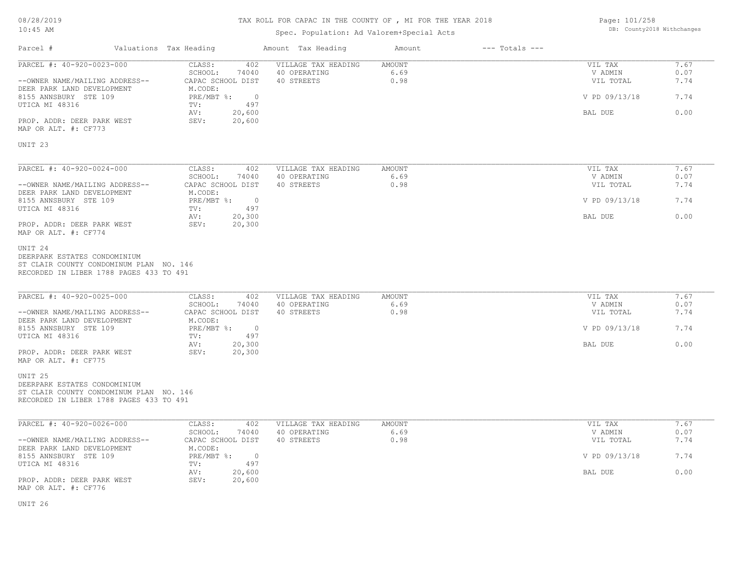# TAX ROLL FOR CAPAC IN THE COUNTY OF , MI FOR THE YEAR 2018

# Spec. Population: Ad Valorem+Special Acts

Page: 101/258 DB: County2018 Withchanges

| Parcel #                                                                                                                                 | Valuations Tax Heading                                | Amount Tax Heading  | Amount | $---$ Totals $---$ |                            |              |
|------------------------------------------------------------------------------------------------------------------------------------------|-------------------------------------------------------|---------------------|--------|--------------------|----------------------------|--------------|
| PARCEL #: 40-920-0023-000                                                                                                                | CLASS:<br>402                                         | VILLAGE TAX HEADING | AMOUNT |                    | VIL TAX                    | 7.67         |
|                                                                                                                                          | SCHOOL:<br>74040                                      | 40 OPERATING        | 6.69   |                    | V ADMIN                    | 0.07         |
| --OWNER NAME/MAILING ADDRESS--<br>DEER PARK LAND DEVELOPMENT<br>8155 ANNSBURY STE 109                                                    | CAPAC SCHOOL DIST<br>M.CODE:<br>PRE/MBT %: 0          | 40 STREETS          | 0.98   |                    | VIL TOTAL<br>V PD 09/13/18 | 7.74<br>7.74 |
| UTICA MI 48316                                                                                                                           | 497<br>TV:                                            |                     |        |                    |                            |              |
| PROP. ADDR: DEER PARK WEST<br>MAP OR ALT. #: CF773                                                                                       | 20,600<br>AV:<br>SEV:<br>20,600                       |                     |        |                    | BAL DUE                    | 0.00         |
| UNIT <sub>23</sub>                                                                                                                       |                                                       |                     |        |                    |                            |              |
| PARCEL #: 40-920-0024-000                                                                                                                | CLASS:<br>402                                         | VILLAGE TAX HEADING | AMOUNT |                    | VIL TAX                    | 7.67         |
|                                                                                                                                          | SCHOOL:<br>74040                                      | 40 OPERATING        | 6.69   |                    | V ADMIN                    | 0.07         |
| --OWNER NAME/MAILING ADDRESS--                                                                                                           | CAPAC SCHOOL DIST                                     | 40 STREETS          | 0.98   |                    | VIL TOTAL                  | 7.74         |
| DEER PARK LAND DEVELOPMENT<br>8155 ANNSBURY STE 109<br>UTICA MI 48316                                                                    | M.CODE:<br>PRE/MBT %:<br>$\overline{0}$<br>TV:<br>497 |                     |        |                    | V PD 09/13/18              | 7.74         |
|                                                                                                                                          | 20,300<br>AV:                                         |                     |        |                    | BAL DUE                    | 0.00         |
| PROP. ADDR: DEER PARK WEST<br>MAP OR ALT. #: CF774                                                                                       | SEV:<br>20,300                                        |                     |        |                    |                            |              |
| UNIT <sub>24</sub><br>DEERPARK ESTATES CONDOMINIUM<br>ST CLAIR COUNTY CONDOMINUM PLAN NO. 146<br>RECORDED IN LIBER 1788 PAGES 433 TO 491 |                                                       |                     |        |                    |                            |              |
| PARCEL #: 40-920-0025-000                                                                                                                | CLASS:<br>402                                         | VILLAGE TAX HEADING | AMOUNT |                    | VIL TAX                    | 7.67         |
|                                                                                                                                          | SCHOOL:<br>74040                                      | 40 OPERATING        | 6.69   |                    | V ADMIN                    | 0.07         |
| --OWNER NAME/MAILING ADDRESS--<br>DEER PARK LAND DEVELOPMENT                                                                             | CAPAC SCHOOL DIST<br>M.CODE:                          | 40 STREETS          | 0.98   |                    | VIL TOTAL                  | 7.74         |
| 8155 ANNSBURY STE 109<br>UTICA MI 48316                                                                                                  | $PRE/MBT$ %:<br>$\overline{0}$<br>497<br>TV:          |                     |        |                    | V PD 09/13/18              | 7.74         |
|                                                                                                                                          | 20,300<br>AV:                                         |                     |        |                    | BAL DUE                    | 0.00         |
| PROP. ADDR: DEER PARK WEST<br>MAP OR ALT. #: CF775                                                                                       | SEV:<br>20,300                                        |                     |        |                    |                            |              |
| UNIT <sub>25</sub><br>DEERPARK ESTATES CONDOMINIUM<br>ST CLAIR COUNTY CONDOMINUM PLAN NO. 146<br>RECORDED IN LIBER 1788 PAGES 433 TO 491 |                                                       |                     |        |                    |                            |              |
| PARCEL #: 40-920-0026-000                                                                                                                | CLASS:<br>402                                         | VILLAGE TAX HEADING | AMOUNT |                    | VIL TAX                    | 7.67         |
|                                                                                                                                          | SCHOOL:<br>74040                                      | 40 OPERATING        | 6.69   |                    | V ADMIN                    | 0.07         |
| --OWNER NAME/MAILING ADDRESS--                                                                                                           | CAPAC SCHOOL DIST                                     | 40 STREETS          | 0.98   |                    | VIL TOTAL                  | 7.74         |
| DEER PARK LAND DEVELOPMENT                                                                                                               | M.CODE:<br>PRE/MBT %: 0                               |                     |        |                    | V PD 09/13/18              | 7.74         |
| 8155 ANNSBURY STE 109<br>UTICA MI 48316                                                                                                  | TV:<br>497                                            |                     |        |                    |                            |              |
| PROP. ADDR: DEER PARK WEST<br>MAP OR ALT. #: CF776                                                                                       | 20,600<br>AV:<br>SEV:<br>20,600                       |                     |        |                    | BAL DUE                    | 0.00         |
|                                                                                                                                          |                                                       |                     |        |                    |                            |              |

UNIT 26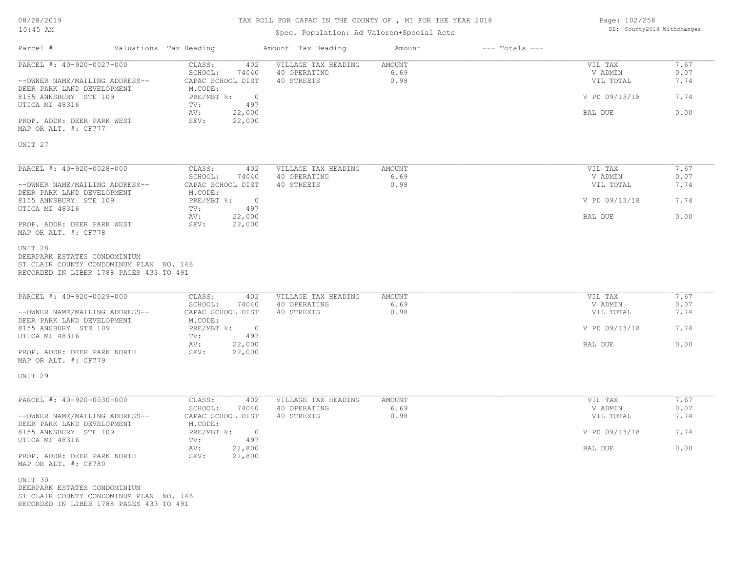# TAX ROLL FOR CAPAC IN THE COUNTY OF , MI FOR THE YEAR 2018

## Spec. Population: Ad Valorem+Special Acts

Page: 102/258 DB: County2018 Withchanges

| Parcel #                                                                                  | Valuations Tax Heading                                                             |                                                                   | Amount Tax Heading                                | Amount                        | $---$ Totals $---$ |                                 |                      |
|-------------------------------------------------------------------------------------------|------------------------------------------------------------------------------------|-------------------------------------------------------------------|---------------------------------------------------|-------------------------------|--------------------|---------------------------------|----------------------|
| PARCEL #: 40-920-0027-000<br>--OWNER NAME/MAILING ADDRESS--<br>DEER PARK LAND DEVELOPMENT |                                                                                    | CLASS:<br>402<br>SCHOOL:<br>74040<br>CAPAC SCHOOL DIST<br>M.CODE: | VILLAGE TAX HEADING<br>40 OPERATING<br>40 STREETS | <b>AMOUNT</b><br>6.69<br>0.98 |                    | VIL TAX<br>V ADMIN<br>VIL TOTAL | 7.67<br>0.07<br>7.74 |
| 8155 ANNSBURY STE 109                                                                     |                                                                                    | PRE/MBT %:<br>$\overline{0}$                                      |                                                   |                               |                    | V PD 09/13/18                   | 7.74                 |
| UTICA MI 48316<br>PROP. ADDR: DEER PARK WEST<br>MAP OR ALT. #: CF777                      |                                                                                    | TV:<br>497<br>22,000<br>AV:<br>22,000<br>SEV:                     |                                                   |                               |                    | BAL DUE                         | 0.00                 |
| UNIT <sub>27</sub>                                                                        |                                                                                    |                                                                   |                                                   |                               |                    |                                 |                      |
| PARCEL #: 40-920-0028-000<br>--OWNER NAME/MAILING ADDRESS--                               |                                                                                    | CLASS:<br>402<br>SCHOOL:<br>74040<br>CAPAC SCHOOL DIST            | VILLAGE TAX HEADING<br>40 OPERATING<br>40 STREETS | <b>AMOUNT</b><br>6.69<br>0.98 |                    | VIL TAX<br>V ADMIN<br>VIL TOTAL | 7.67<br>0.07<br>7.74 |
| DEER PARK LAND DEVELOPMENT<br>8155 ANNSBURY STE 109                                       |                                                                                    | M.CODE:<br>$PRE/MBT$ %:<br>$\overline{\phantom{0}}$               |                                                   |                               | V PD 09/13/18      | 7.74                            |                      |
| UTICA MI 48316<br>PROP. ADDR: DEER PARK WEST<br>MAP OR ALT. #: CF778                      |                                                                                    | 497<br>TV:<br>AV:<br>22,000<br>22,000<br>SEV:                     |                                                   |                               | BAL DUE            | 0.00                            |                      |
| DEERPARK ESTATES CONDOMINIUM                                                              | ST CLAIR COUNTY CONDOMINUM PLAN NO. 146<br>RECORDED IN LIBER 1788 PAGES 433 TO 491 |                                                                   |                                                   |                               |                    |                                 |                      |
| PARCEL #: 40-920-0029-000<br>--OWNER NAME/MAILING ADDRESS--                               |                                                                                    | CLASS:<br>402<br>SCHOOL:<br>74040<br>CAPAC SCHOOL DIST            | VILLAGE TAX HEADING<br>40 OPERATING<br>40 STREETS | <b>AMOUNT</b><br>6.69<br>0.98 |                    | VIL TAX<br>V ADMIN<br>VIL TOTAL | 7.67<br>0.07<br>7.74 |
| DEER PARK LAND DEVELOPMENT<br>8155 ANSBURY STE 109                                        |                                                                                    | M.CODE:<br>PRE/MBT %:<br>$\overline{\phantom{0}}$                 |                                                   |                               |                    | V PD 09/13/18                   | 7.74                 |
| UTICA MI 48316<br>PROP. ADDR: DEER PARK NORTH<br>MAP OR ALT. #: CF779                     |                                                                                    | 497<br>TV:<br>22,000<br>AV:<br>SEV:<br>22,000                     |                                                   |                               | BAL DUE            | 0.00                            |                      |
| UNIT <sub>29</sub>                                                                        |                                                                                    |                                                                   |                                                   |                               |                    |                                 |                      |
| PARCEL #: 40-920-0030-000                                                                 |                                                                                    | CLASS:<br>402<br>SCHOOL:<br>74040                                 | VILLAGE TAX HEADING<br>40 OPERATING               | <b>AMOUNT</b><br>6.69         |                    | VIL TAX<br>V ADMIN              | 7.67<br>0.07         |
| --OWNER NAME/MAILING ADDRESS--<br>DEER PARK LAND DEVELOPMENT                              |                                                                                    | CAPAC SCHOOL DIST<br>M.CODE:                                      | 40 STREETS                                        | 0.98                          |                    | VIL TOTAL                       | 7.74                 |
| 8155 ANNSBURY STE 109<br>UTICA MI 48316                                                   |                                                                                    | PRE/MBT %:<br>$\overline{0}$<br>TV:<br>497                        |                                                   |                               |                    | V PD 09/13/18                   | 7.74                 |
| PROP. ADDR: DEER PARK NORTH<br>MAP OR ALT. #: CF780                                       |                                                                                    | AV:<br>21,800<br>SEV:<br>21,800                                   |                                                   |                               |                    | BAL DUE                         | 0.00                 |
| UNIT 30<br>DEERPARK ESTATES CONDOMINIUM                                                   | ST CLAIR COUNTY CONDOMINUM PLAN NO. 146<br>RECORDED IN LIBER 1788 PAGES 433 TO 491 |                                                                   |                                                   |                               |                    |                                 |                      |
|                                                                                           |                                                                                    |                                                                   |                                                   |                               |                    |                                 |                      |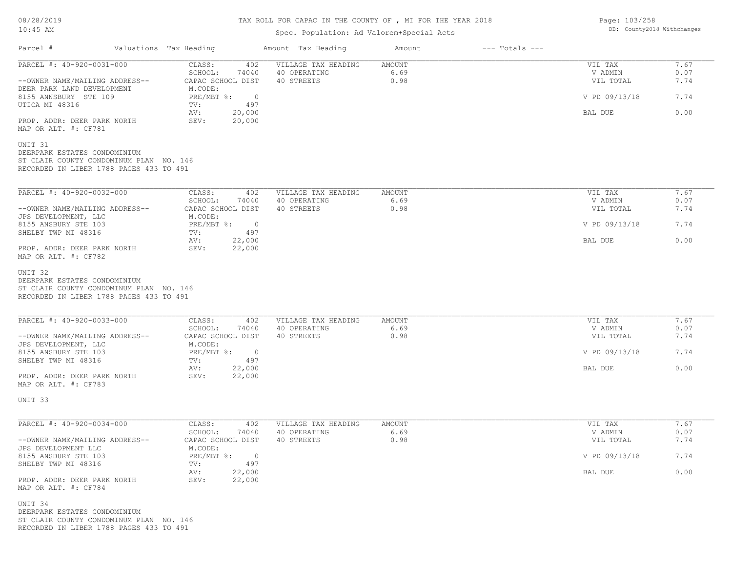# TAX ROLL FOR CAPAC IN THE COUNTY OF , MI FOR THE YEAR 2018

## Spec. Population: Ad Valorem+Special Acts

Page: 103/258 DB: County2018 Withchanges

| Parcel #                                                                                                                      | Valuations Tax Heading |                                                                | Amount Tax Heading                                | Amount                 | $---$ Totals $---$              |                                 |                      |
|-------------------------------------------------------------------------------------------------------------------------------|------------------------|----------------------------------------------------------------|---------------------------------------------------|------------------------|---------------------------------|---------------------------------|----------------------|
| PARCEL #: 40-920-0031-000<br>--OWNER NAME/MAILING ADDRESS--                                                                   |                        | CLASS:<br>402<br>SCHOOL:<br>74040<br>CAPAC SCHOOL DIST         | VILLAGE TAX HEADING<br>40 OPERATING<br>40 STREETS | AMOUNT<br>6.69<br>0.98 |                                 | VIL TAX<br>V ADMIN<br>VIL TOTAL | 7.67<br>0.07<br>7.74 |
| DEER PARK LAND DEVELOPMENT<br>8155 ANNSBURY STE 109<br>UTICA MI 48316                                                         |                        | M.CODE:<br>$PRE/MBT$ $\frac{1}{6}$ :<br>$\sim$ 0<br>497<br>TV: |                                                   |                        |                                 | V PD 09/13/18                   | 7.74                 |
| PROP. ADDR: DEER PARK NORTH<br>MAP OR ALT. #: CF781                                                                           |                        | 20,000<br>AV:<br>SEV:<br>20,000                                |                                                   |                        |                                 | BAL DUE                         | 0.00                 |
| UNIT 31<br>DEERPARK ESTATES CONDOMINIUM<br>ST CLAIR COUNTY CONDOMINUM PLAN NO. 146<br>RECORDED IN LIBER 1788 PAGES 433 TO 491 |                        |                                                                |                                                   |                        |                                 |                                 |                      |
| PARCEL #: 40-920-0032-000<br>--OWNER NAME/MAILING ADDRESS--                                                                   |                        | CLASS:<br>402<br>SCHOOL:<br>74040<br>CAPAC SCHOOL DIST         | VILLAGE TAX HEADING<br>40 OPERATING<br>40 STREETS | AMOUNT<br>6.69<br>0.98 |                                 | VIL TAX<br>V ADMIN<br>VIL TOTAL | 7.67<br>0.07<br>7.74 |
| JPS DEVELOPMENT, LLC<br>8155 ANSBURY STE 103                                                                                  |                        | M.CODE:<br>PRE/MBT %: 0                                        |                                                   |                        | V PD 09/13/18                   | 7.74                            |                      |
| SHELBY TWP MI 48316<br>PROP. ADDR: DEER PARK NORTH<br>MAP OR ALT. #: CF782                                                    |                        | 497<br>TV:<br>AV:<br>22,000<br>22,000<br>SEV:                  |                                                   |                        | BAL DUE                         | 0.00                            |                      |
| PARCEL #: 40-920-0033-000<br>--OWNER NAME/MAILING ADDRESS--                                                                   |                        | CLASS:<br>402<br>SCHOOL:<br>74040<br>CAPAC SCHOOL DIST         | VILLAGE TAX HEADING<br>40 OPERATING<br>40 STREETS | AMOUNT<br>6.69         | VIL TAX<br>V ADMIN<br>VIL TOTAL | 7.67<br>0.07<br>7.74            |                      |
|                                                                                                                               |                        |                                                                |                                                   | 0.98                   |                                 |                                 |                      |
| JPS DEVELOPMENT, LLC<br>8155 ANSBURY STE 103<br>SHELBY TWP MI 48316                                                           |                        | M.CODE:<br>$PRE/MBT$ $\div$ 0<br>497<br>TV:                    |                                                   |                        | V PD 09/13/18                   | 7.74                            |                      |
| PROP. ADDR: DEER PARK NORTH<br>MAP OR ALT. #: CF783                                                                           |                        | AV:<br>22,000<br>SEV:<br>22,000                                |                                                   |                        | BAL DUE                         | 0.00                            |                      |
| UNIT 33                                                                                                                       |                        |                                                                |                                                   |                        |                                 |                                 |                      |
| PARCEL #: 40-920-0034-000<br>--OWNER NAME/MAILING ADDRESS--                                                                   |                        | CLASS:<br>402<br>SCHOOL:<br>74040<br>CAPAC SCHOOL DIST         | VILLAGE TAX HEADING<br>40 OPERATING<br>40 STREETS | AMOUNT<br>6.69<br>0.98 |                                 | VIL TAX<br>V ADMIN<br>VIL TOTAL | 7.67<br>0.07<br>7.74 |
| JPS DEVELOPMENT LLC<br>8155 ANSBURY STE 103<br>SHELBY TWP MI 48316                                                            |                        | M.CODE:<br>PRE/MBT %: 0<br>497<br>TV:                          |                                                   |                        |                                 | V PD 09/13/18                   | 7.74                 |
| PROP. ADDR: DEER PARK NORTH<br>MAP OR ALT. #: CF784                                                                           |                        | 22,000<br>AV:<br>SEV:<br>22,000                                |                                                   |                        |                                 | BAL DUE                         | 0.00                 |
| UNIT 34<br>DEERPARK ESTATES CONDOMINIUM<br>ST CLAIR COUNTY CONDOMINUM PLAN NO. 146<br>RECORDED IN LIBER 1788 PAGES 433 TO 491 |                        |                                                                |                                                   |                        |                                 |                                 |                      |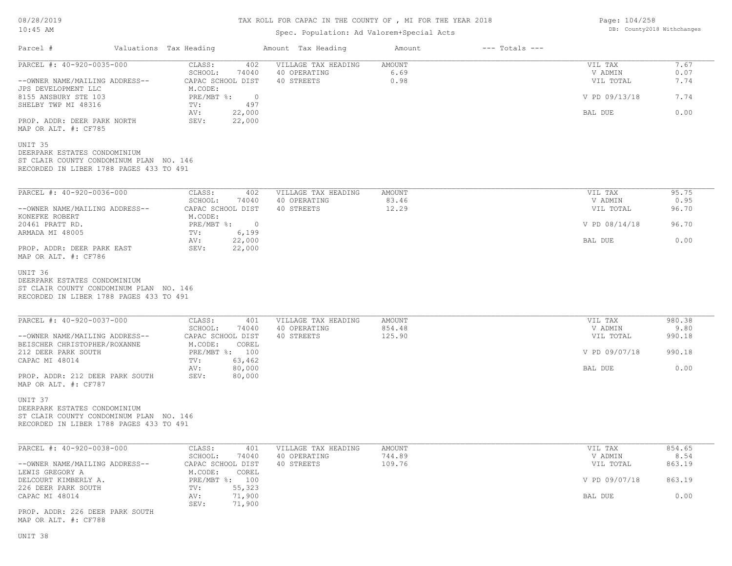# TAX ROLL FOR CAPAC IN THE COUNTY OF , MI FOR THE YEAR 2018

## Spec. Population: Ad Valorem+Special Acts

Page: 104/258 DB: County2018 Withchanges

| Parcel #                                                                                                                      | Valuations Tax Heading                                 | Amount Tax Heading                  | Amount           | $---$ Totals $---$ |                      |                |
|-------------------------------------------------------------------------------------------------------------------------------|--------------------------------------------------------|-------------------------------------|------------------|--------------------|----------------------|----------------|
| PARCEL #: 40-920-0035-000                                                                                                     | CLASS:<br>402<br>SCHOOL:<br>74040                      | VILLAGE TAX HEADING<br>40 OPERATING | AMOUNT<br>6.69   |                    | VIL TAX<br>V ADMIN   | 7.67<br>0.07   |
| --OWNER NAME/MAILING ADDRESS--<br>JPS DEVELOPMENT LLC                                                                         | CAPAC SCHOOL DIST<br>M.CODE:                           | 40 STREETS                          | 0.98             |                    | VIL TOTAL            | 7.74           |
| 8155 ANSBURY STE 103<br>SHELBY TWP MI 48316                                                                                   | $PRE/MBT$ $\div$<br>$\circ$<br>497<br>TV:              |                                     |                  |                    | V PD 09/13/18        | 7.74           |
| PROP. ADDR: DEER PARK NORTH<br>MAP OR ALT. #: CF785                                                                           | 22,000<br>AV:<br>SEV:<br>22,000                        |                                     |                  |                    | BAL DUE              | 0.00           |
| UNIT 35<br>DEERPARK ESTATES CONDOMINIUM<br>ST CLAIR COUNTY CONDOMINUM PLAN NO. 146<br>RECORDED IN LIBER 1788 PAGES 433 TO 491 |                                                        |                                     |                  |                    |                      |                |
| PARCEL #: 40-920-0036-000                                                                                                     | CLASS:<br>402                                          | VILLAGE TAX HEADING                 | AMOUNT           |                    | VIL TAX              | 95.75          |
| --OWNER NAME/MAILING ADDRESS--                                                                                                | SCHOOL:<br>74040<br>CAPAC SCHOOL DIST                  | 40 OPERATING<br>40 STREETS          | 83.46<br>12.29   |                    | V ADMIN<br>VIL TOTAL | 0.95<br>96.70  |
| KONEFKE ROBERT<br>20461 PRATT RD.                                                                                             | M.CODE:<br>$PRE/MBT$ $\frac{1}{6}$ :<br>$\overline{0}$ |                                     |                  |                    | V PD 08/14/18        | 96.70          |
| ARMADA MI 48005                                                                                                               | 6,199<br>TV:<br>22,000<br>AV:                          |                                     |                  |                    | BAL DUE              | 0.00           |
| PROP. ADDR: DEER PARK EAST<br>MAP OR ALT. #: CF786                                                                            | 22,000<br>SEV:                                         |                                     |                  |                    |                      |                |
| UNIT 36<br>DEERPARK ESTATES CONDOMINIUM<br>ST CLAIR COUNTY CONDOMINUM PLAN NO. 146<br>RECORDED IN LIBER 1788 PAGES 433 TO 491 |                                                        |                                     |                  |                    |                      |                |
| PARCEL #: 40-920-0037-000                                                                                                     | CLASS:<br>401                                          | VILLAGE TAX HEADING                 | AMOUNT           |                    | VIL TAX              | 980.38         |
| --OWNER NAME/MAILING ADDRESS--                                                                                                | SCHOOL:<br>74040<br>CAPAC SCHOOL DIST                  | 40 OPERATING<br>40 STREETS          | 854.48<br>125.90 |                    | V ADMIN<br>VIL TOTAL | 9.80<br>990.18 |
| BEISCHER CHRISTOPHER/ROXANNE<br>212 DEER PARK SOUTH                                                                           | M.CODE:<br>COREL<br>PRE/MBT %: 100                     |                                     |                  |                    | V PD 09/07/18        | 990.18         |
| CAPAC MI 48014                                                                                                                | 63,462<br>TV:<br>80,000<br>AV:                         |                                     |                  |                    | BAL DUE              | 0.00           |
| PROP. ADDR: 212 DEER PARK SOUTH<br>MAP OR ALT. #: CF787                                                                       | SEV:<br>80,000                                         |                                     |                  |                    |                      |                |
| UNIT 37<br>DEERPARK ESTATES CONDOMINIUM<br>ST CLAIR COUNTY CONDOMINUM PLAN NO. 146<br>RECORDED IN LIBER 1788 PAGES 433 TO 491 |                                                        |                                     |                  |                    |                      |                |
| PARCEL #: 40-920-0038-000                                                                                                     | CLASS:<br>401                                          | VILLAGE TAX HEADING                 | AMOUNT           |                    | VIL TAX              | 854.65         |
| --OWNER NAME/MAILING ADDRESS--                                                                                                | SCHOOL: 74040<br>CAPAC SCHOOL DIST                     | 40 OPERATING<br>40 STREETS          | 744.89<br>109.76 |                    | V ADMIN<br>VIL TOTAL | 8.54<br>863.19 |
| LEWIS GREGORY A<br>DELCOURT KIMBERLY A.                                                                                       | M.CODE:<br>COREL<br>PRE/MBT %: 100                     |                                     |                  |                    | V PD 09/07/18        | 863.19         |
| 226 DEER PARK SOUTH<br>CAPAC MI 48014                                                                                         | 55,323<br>TV:<br>71,900<br>AV:<br>SEV:<br>71,900       |                                     |                  |                    | BAL DUE              | 0.00           |
| PROP. ADDR: 226 DEER PARK SOUTH<br>MAP OR ALT. #: CF788                                                                       |                                                        |                                     |                  |                    |                      |                |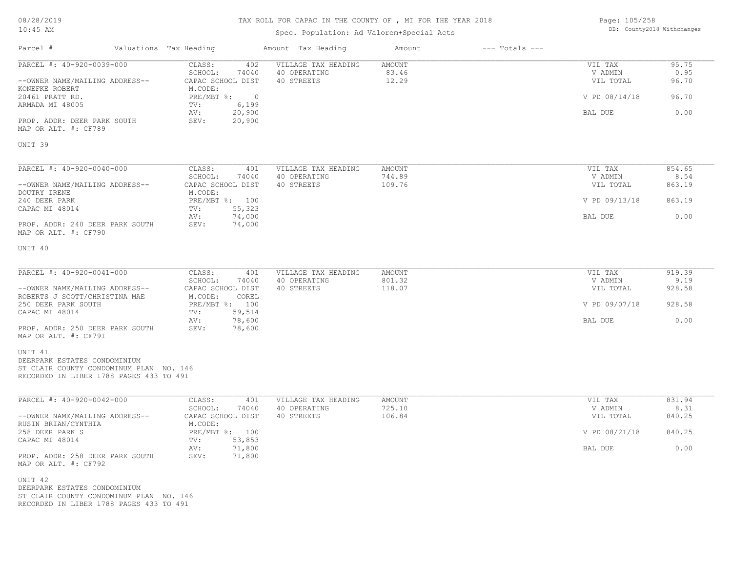# TAX ROLL FOR CAPAC IN THE COUNTY OF , MI FOR THE YEAR 2018

## Spec. Population: Ad Valorem+Special Acts

Page: 105/258 DB: County2018 Withchanges

| Parcel #                                                                                                                                                                                                    | Valuations Tax Heading                                                                              |                                                             | Amount Tax Heading                                | Amount                     | $---$ Totals $---$ |                                                             |                                            |
|-------------------------------------------------------------------------------------------------------------------------------------------------------------------------------------------------------------|-----------------------------------------------------------------------------------------------------|-------------------------------------------------------------|---------------------------------------------------|----------------------------|--------------------|-------------------------------------------------------------|--------------------------------------------|
| PARCEL #: 40-920-0039-000<br>--OWNER NAME/MAILING ADDRESS--<br>KONEFKE ROBERT<br>20461 PRATT RD.<br>ARMADA MI 48005<br>PROP. ADDR: DEER PARK SOUTH<br>MAP OR ALT. #: CF789                                  | CLASS:<br>SCHOOL:<br>CAPAC SCHOOL DIST<br>M.CODE:<br>PRE/MBT %:<br>TV:<br>AV:<br>SEV:               | 402<br>74040<br>$\overline{0}$<br>6,199<br>20,900<br>20,900 | VILLAGE TAX HEADING<br>40 OPERATING<br>40 STREETS | AMOUNT<br>83.46<br>12.29   |                    | VIL TAX<br>V ADMIN<br>VIL TOTAL<br>V PD 08/14/18<br>BAL DUE | 95.75<br>0.95<br>96.70<br>96.70<br>0.00    |
| UNIT 39                                                                                                                                                                                                     |                                                                                                     |                                                             |                                                   |                            |                    |                                                             |                                            |
| PARCEL #: 40-920-0040-000<br>--OWNER NAME/MAILING ADDRESS--<br>DOUTRY IRENE<br>240 DEER PARK<br>CAPAC MI 48014<br>PROP. ADDR: 240 DEER PARK SOUTH<br>MAP OR ALT. #: CF790                                   | CLASS:<br>SCHOOL:<br>CAPAC SCHOOL DIST<br>M.CODE:<br>PRE/MBT %: 100<br>TV:<br>AV:<br>SEV:           | 401<br>74040<br>55,323<br>74,000<br>74,000                  | VILLAGE TAX HEADING<br>40 OPERATING<br>40 STREETS | AMOUNT<br>744.89<br>109.76 |                    | VIL TAX<br>V ADMIN<br>VIL TOTAL<br>V PD 09/13/18<br>BAL DUE | 854.65<br>8.54<br>863.19<br>863.19<br>0.00 |
| UNIT 40                                                                                                                                                                                                     |                                                                                                     |                                                             |                                                   |                            |                    |                                                             |                                            |
| PARCEL #: 40-920-0041-000<br>--OWNER NAME/MAILING ADDRESS--<br>ROBERTS J SCOTT/CHRISTINA MAE<br>250 DEER PARK SOUTH<br>CAPAC MI 48014<br>PROP. ADDR: 250 DEER PARK SOUTH<br>MAP OR ALT. #: CF791<br>UNIT 41 | CLASS:<br>SCHOOL:<br>CAPAC SCHOOL DIST<br>M.CODE:<br>PRE/MBT %: 100<br>TV:<br>AV:<br>SEV:           | 401<br>74040<br>COREL<br>59,514<br>78,600<br>78,600         | VILLAGE TAX HEADING<br>40 OPERATING<br>40 STREETS | AMOUNT<br>801.32<br>118.07 |                    | VIL TAX<br>V ADMIN<br>VIL TOTAL<br>V PD 09/07/18<br>BAL DUE | 919.39<br>9.19<br>928.58<br>928.58<br>0.00 |
| DEERPARK ESTATES CONDOMINIUM<br>ST CLAIR COUNTY CONDOMINUM PLAN NO. 146<br>RECORDED IN LIBER 1788 PAGES 433 TO 491                                                                                          |                                                                                                     |                                                             |                                                   |                            |                    |                                                             |                                            |
| PARCEL #: 40-920-0042-000<br>--OWNER NAME/MAILING ADDRESS--<br>RUSIN BRIAN/CYNTHIA<br>258 DEER PARK S<br>CAPAC MI 48014<br>PROP. ADDR: 258 DEER PARK SOUTH<br>MAP OR ALT. #: CF792                          | CLASS:<br>SCHOOL:<br>CAPAC SCHOOL DIST<br>M.CODE:<br>PRE/MBT %: 100<br>TV:<br>AV:<br>71,800<br>SEV: | 401<br>74040<br>53,853<br>71,800                            | VILLAGE TAX HEADING<br>40 OPERATING<br>40 STREETS | AMOUNT<br>725.10<br>106.84 |                    | VIL TAX<br>V ADMIN<br>VIL TOTAL<br>V PD 08/21/18<br>BAL DUE | 831.94<br>8.31<br>840.25<br>840.25<br>0.00 |
| UNIT 42<br>DEERPARK ESTATES CONDOMINIUM<br>ST CLAIR COUNTY CONDOMINUM PLAN NO. 146<br>RECORDED IN LIBER 1788 PAGES 433 TO 491                                                                               |                                                                                                     |                                                             |                                                   |                            |                    |                                                             |                                            |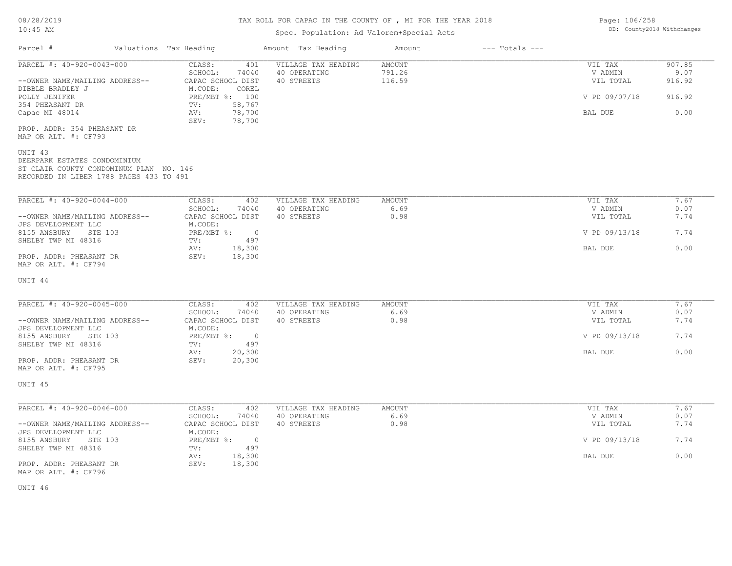## Spec. Population: Ad Valorem+Special Acts

Parcel # Valuations Tax Heading Amount Tax Heading Amount --- Totals ---

| Page: 106/258 |                            |
|---------------|----------------------------|
|               | DB: County2018 Withchanges |
|               |                            |

| PARCEL #: 40-920-0043-000<br>--OWNER NAME/MAILING ADDRESS--                                                                   | CLASS:<br>401<br>SCHOOL:<br>74040<br>CAPAC SCHOOL DIST | VILLAGE TAX HEADING<br>40 OPERATING<br>40 STREETS | AMOUNT<br>791.26<br>116.59 | VIL TAX<br>V ADMIN<br>VIL TOTAL | 907.85<br>9.07<br>916.92 |
|-------------------------------------------------------------------------------------------------------------------------------|--------------------------------------------------------|---------------------------------------------------|----------------------------|---------------------------------|--------------------------|
| DIBBLE BRADLEY J<br>POLLY JENIFER                                                                                             | COREL<br>M.CODE:<br>PRE/MBT %: 100                     |                                                   |                            | V PD 09/07/18                   | 916.92                   |
| 354 PHEASANT DR<br>Capac MI 48014                                                                                             | 58,767<br>TV:<br>78,700<br>AV:                         |                                                   |                            | BAL DUE                         | 0.00                     |
| PROP. ADDR: 354 PHEASANT DR<br>MAP OR ALT. #: CF793                                                                           | SEV:<br>78,700                                         |                                                   |                            |                                 |                          |
| UNIT 43<br>DEERPARK ESTATES CONDOMINIUM<br>ST CLAIR COUNTY CONDOMINUM PLAN NO. 146<br>RECORDED IN LIBER 1788 PAGES 433 TO 491 |                                                        |                                                   |                            |                                 |                          |
| PARCEL #: 40-920-0044-000                                                                                                     | CLASS:<br>402                                          | VILLAGE TAX HEADING                               | AMOUNT                     | VIL TAX                         | 7.67                     |
|                                                                                                                               | SCHOOL:<br>74040                                       | 40 OPERATING                                      | 6.69                       | V ADMIN                         | 0.07                     |
| --OWNER NAME/MAILING ADDRESS--<br>JPS DEVELOPMENT LLC                                                                         | CAPAC SCHOOL DIST<br>M.CODE:                           | 40 STREETS                                        | 0.98                       | VIL TOTAL                       | 7.74                     |
| 8155 ANSBURY<br>STE 103                                                                                                       | $\overline{0}$<br>$PRE/MBT$ $\div$                     |                                                   |                            | V PD 09/13/18                   | 7.74                     |
| SHELBY TWP MI 48316                                                                                                           | 497<br>TV:<br>18,300<br>AV:                            |                                                   |                            | BAL DUE                         | 0.00                     |
| PROP. ADDR: PHEASANT DR<br>MAP OR ALT. #: CF794                                                                               | SEV:<br>18,300                                         |                                                   |                            |                                 |                          |
| UNIT 44                                                                                                                       |                                                        |                                                   |                            |                                 |                          |
| PARCEL #: 40-920-0045-000                                                                                                     | CLASS:<br>402                                          | VILLAGE TAX HEADING                               | <b>AMOUNT</b>              | VIL TAX                         | 7.67                     |
| --OWNER NAME/MAILING ADDRESS--                                                                                                | SCHOOL:<br>74040<br>CAPAC SCHOOL DIST                  | 40 OPERATING<br>40 STREETS                        | 6.69<br>0.98               | V ADMIN<br>VIL TOTAL            | 0.07<br>7.74             |
| JPS DEVELOPMENT LLC                                                                                                           | M.CODE:                                                |                                                   |                            |                                 |                          |
| 8155 ANSBURY<br>STE 103<br>SHELBY TWP MI 48316                                                                                | PRE/MBT %:<br>$\circ$<br>497<br>TV:                    |                                                   |                            | V PD 09/13/18                   | 7.74                     |
| PROP. ADDR: PHEASANT DR<br>MAP OR ALT. #: CF795                                                                               | 20,300<br>AV:<br>SEV:<br>20,300                        |                                                   |                            | BAL DUE                         | 0.00                     |
| UNIT 45                                                                                                                       |                                                        |                                                   |                            |                                 |                          |
|                                                                                                                               |                                                        |                                                   |                            |                                 |                          |
| PARCEL #: 40-920-0046-000                                                                                                     | CLASS:<br>402<br>SCHOOL:<br>74040                      | VILLAGE TAX HEADING<br>40 OPERATING               | <b>AMOUNT</b><br>6.69      | VIL TAX<br>V ADMIN              | 7.67<br>0.07             |
| --OWNER NAME/MAILING ADDRESS--<br>JPS DEVELOPMENT LLC                                                                         | CAPAC SCHOOL DIST<br>M.CODE:                           | 40 STREETS                                        | 0.98                       | VIL TOTAL                       | 7.74                     |
| 8155 ANSBURY<br>STE 103                                                                                                       | $PRE/MBT$ $\div$<br>$\overline{0}$                     |                                                   |                            | V PD 09/13/18                   | 7.74                     |
| SHELBY TWP MI 48316                                                                                                           | 497<br>TV:<br>18,300<br>AV:                            |                                                   |                            | BAL DUE                         | 0.00                     |
| PROP. ADDR: PHEASANT DR<br>MAP OR ALT. #: CF796                                                                               | 18,300<br>SEV:                                         |                                                   |                            |                                 |                          |

UNIT 46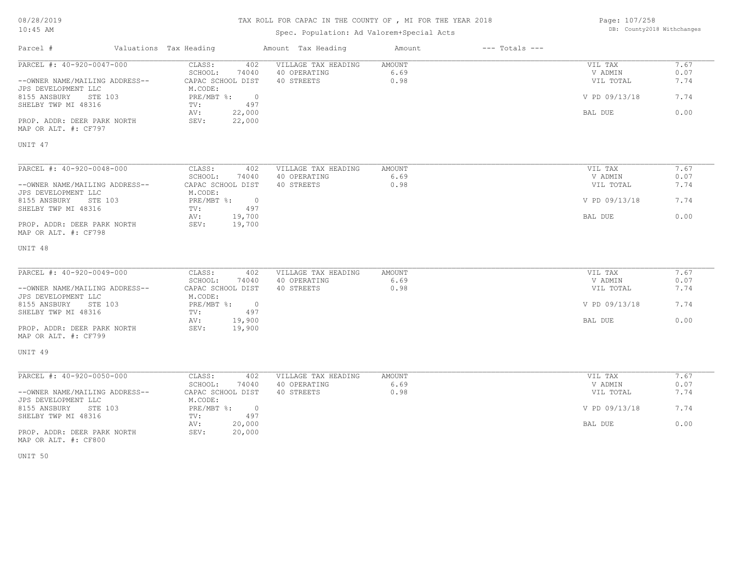## TAX ROLL FOR CAPAC IN THE COUNTY OF , MI FOR THE YEAR 2018

## Spec. Population: Ad Valorem+Special Acts

Page: 107/258 DB: County2018 Withchanges

| Parcel #                                              | Valuations Tax Heading                     | Amount Tax Heading                  | Amount         | $---$ Totals $---$ |                    |              |
|-------------------------------------------------------|--------------------------------------------|-------------------------------------|----------------|--------------------|--------------------|--------------|
| PARCEL #: 40-920-0047-000                             | CLASS:<br>402<br>SCHOOL:<br>74040          | VILLAGE TAX HEADING<br>40 OPERATING | AMOUNT<br>6.69 |                    | VIL TAX<br>V ADMIN | 7.67<br>0.07 |
| --OWNER NAME/MAILING ADDRESS--<br>JPS DEVELOPMENT LLC | CAPAC SCHOOL DIST<br>M.CODE:               | 40 STREETS                          | 0.98           |                    | VIL TOTAL          | 7.74         |
| 8155 ANSBURY<br>STE 103<br>SHELBY TWP MI 48316        | PRE/MBT %:<br>$\overline{0}$<br>497<br>TV: |                                     |                |                    | V PD 09/13/18      | 7.74         |
| PROP. ADDR: DEER PARK NORTH<br>MAP OR ALT. #: CF797   | 22,000<br>AV:<br>22,000<br>SEV:            |                                     |                |                    | BAL DUE            | 0.00         |
| UNIT 47                                               |                                            |                                     |                |                    |                    |              |
| PARCEL #: 40-920-0048-000                             | CLASS:<br>402                              | VILLAGE TAX HEADING                 | AMOUNT         |                    | VIL TAX            | 7.67         |
|                                                       | SCHOOL:<br>74040                           | 40 OPERATING                        | 6.69           |                    | V ADMIN            | 0.07         |
| --OWNER NAME/MAILING ADDRESS--<br>JPS DEVELOPMENT LLC | CAPAC SCHOOL DIST<br>M.CODE:               | 40 STREETS                          | 0.98           |                    | VIL TOTAL          | 7.74         |
| 8155 ANSBURY<br>STE 103<br>SHELBY TWP MI 48316        | PRE/MBT %:<br>$\overline{0}$<br>497<br>TV: |                                     |                |                    | V PD 09/13/18      | 7.74         |
| PROP. ADDR: DEER PARK NORTH<br>MAP OR ALT. #: CF798   | 19,700<br>AV:<br>SEV:<br>19,700            |                                     |                |                    | BAL DUE            | 0.00         |
| UNIT 48                                               |                                            |                                     |                |                    |                    |              |
| PARCEL #: 40-920-0049-000                             | CLASS:<br>402                              | VILLAGE TAX HEADING                 | AMOUNT         |                    | VIL TAX            | 7.67         |
|                                                       | SCHOOL:<br>74040                           | 40 OPERATING                        | 6.69           |                    | V ADMIN            | 0.07         |
| --OWNER NAME/MAILING ADDRESS--<br>JPS DEVELOPMENT LLC | CAPAC SCHOOL DIST<br>M.CODE:               | 40 STREETS                          | 0.98           |                    | VIL TOTAL          | 7.74         |
| 8155 ANSBURY<br>STE 103<br>SHELBY TWP MI 48316        | $PRE/MBT$ $\div$ 0<br>TV:<br>497           |                                     |                |                    | V PD 09/13/18      | 7.74         |
| PROP. ADDR: DEER PARK NORTH<br>MAP OR ALT. #: CF799   | 19,900<br>AV:<br>SEV:<br>19,900            |                                     |                |                    | BAL DUE            | 0.00         |
| UNIT 49                                               |                                            |                                     |                |                    |                    |              |
| PARCEL #: 40-920-0050-000                             | CLASS:<br>402                              | VILLAGE TAX HEADING                 | <b>AMOUNT</b>  |                    | VIL TAX            | 7.67         |
|                                                       | SCHOOL:<br>74040                           | 40 OPERATING                        | 6.69           |                    | V ADMIN            | 0.07         |
| --OWNER NAME/MAILING ADDRESS--<br>JPS DEVELOPMENT LLC | CAPAC SCHOOL DIST<br>M.CODE:               | 40 STREETS                          | 0.98           |                    | VIL TOTAL          | 7.74         |
| 8155 ANSBURY<br>STE 103<br>SHELBY TWP MI 48316        | PRE/MBT %:<br>$\circ$<br>497<br>TV:        |                                     |                |                    | V PD 09/13/18      | 7.74         |
| PROP. ADDR: DEER PARK NORTH<br>MAP OR ALT. #: CF800   | 20,000<br>AV:<br>SEV:<br>20,000            |                                     |                |                    | BAL DUE            | 0.00         |

UNIT 50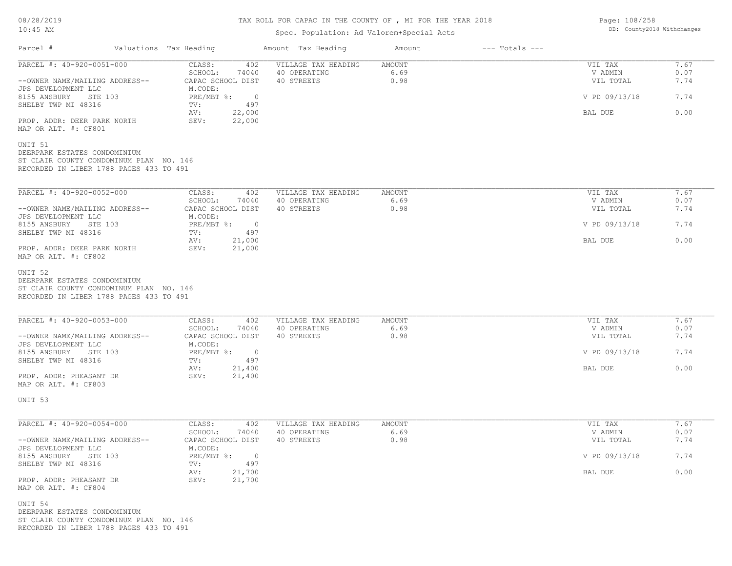# TAX ROLL FOR CAPAC IN THE COUNTY OF , MI FOR THE YEAR 2018

## Spec. Population: Ad Valorem+Special Acts

Page: 108/258 DB: County2018 Withchanges

| Parcel #                                                                                                                      | Valuations Tax Heading                                            | Amount Tax Heading                                | Amount                 | $---$ Totals $---$ |                                 |                      |
|-------------------------------------------------------------------------------------------------------------------------------|-------------------------------------------------------------------|---------------------------------------------------|------------------------|--------------------|---------------------------------|----------------------|
| PARCEL #: 40-920-0051-000<br>--OWNER NAME/MAILING ADDRESS--<br>JPS DEVELOPMENT LLC                                            | CLASS:<br>402<br>SCHOOL:<br>74040<br>CAPAC SCHOOL DIST<br>M.CODE: | VILLAGE TAX HEADING<br>40 OPERATING<br>40 STREETS | AMOUNT<br>6.69<br>0.98 |                    | VIL TAX<br>V ADMIN<br>VIL TOTAL | 7.67<br>0.07<br>7.74 |
| 8155 ANSBURY STE 103<br>SHELBY TWP MI 48316                                                                                   | PRE/MBT %: 0<br>497<br>TV:                                        |                                                   |                        | V PD 09/13/18      | 7.74                            |                      |
| PROP. ADDR: DEER PARK NORTH<br>MAP OR ALT. #: CF801                                                                           | AV:<br>22,000<br>22,000<br>SEV:                                   |                                                   |                        |                    | BAL DUE                         | 0.00                 |
| UNIT 51<br>DEERPARK ESTATES CONDOMINIUM<br>ST CLAIR COUNTY CONDOMINUM PLAN NO. 146<br>RECORDED IN LIBER 1788 PAGES 433 TO 491 |                                                                   |                                                   |                        |                    |                                 |                      |
| PARCEL #: 40-920-0052-000                                                                                                     | CLASS:<br>402<br>SCHOOL:<br>74040                                 | VILLAGE TAX HEADING<br>40 OPERATING               | AMOUNT                 |                    | VIL TAX<br>V ADMIN              | 7.67<br>0.07         |
| --OWNER NAME/MAILING ADDRESS--                                                                                                | CAPAC SCHOOL DIST                                                 | 40 STREETS                                        | 6.69<br>0.98           |                    | VIL TOTAL                       | 7.74                 |
| JPS DEVELOPMENT LLC<br>8155 ANSBURY STE 103                                                                                   | M.CODE:<br>PRE/MBT %: 0<br>497                                    |                                                   |                        |                    | V PD 09/13/18                   | 7.74                 |
| SHELBY TWP MI 48316<br>PROP. ADDR: DEER PARK NORTH<br>MAP OR ALT. #: CF802                                                    | TV:<br>21,000<br>AV:<br>SEV:<br>21,000                            |                                                   |                        |                    | BAL DUE                         | 0.00                 |
| DEERPARK ESTATES CONDOMINIUM<br>ST CLAIR COUNTY CONDOMINUM PLAN NO. 146<br>RECORDED IN LIBER 1788 PAGES 433 TO 491            |                                                                   |                                                   |                        |                    |                                 |                      |
| PARCEL #: 40-920-0053-000<br>--OWNER NAME/MAILING ADDRESS--                                                                   | CLASS:<br>402<br>SCHOOL:<br>74040<br>CAPAC SCHOOL DIST            | VILLAGE TAX HEADING<br>40 OPERATING<br>40 STREETS | AMOUNT<br>6.69<br>0.98 |                    | VIL TAX<br>V ADMIN<br>VIL TOTAL | 7.67<br>0.07<br>7.74 |
| JPS DEVELOPMENT LLC<br>8155 ANSBURY STE 103                                                                                   | M.CODE:<br>$PRE/MBT$ $\div$ 0                                     |                                                   |                        |                    | V PD 09/13/18                   | 7.74                 |
| SHELBY TWP MI 48316                                                                                                           | 497<br>TV:<br>21,400<br>AV:                                       |                                                   |                        | BAL DUE            | 0.00                            |                      |
| PROP. ADDR: PHEASANT DR<br>MAP OR ALT. #: CF803                                                                               | SEV:<br>21,400                                                    |                                                   |                        |                    |                                 |                      |
| UNIT 53                                                                                                                       |                                                                   |                                                   |                        |                    |                                 |                      |
| PARCEL #: 40-920-0054-000                                                                                                     | CLASS:<br>402<br>SCHOOL:<br>74040                                 | VILLAGE TAX HEADING<br>40 OPERATING               | AMOUNT<br>6.69         |                    | VIL TAX<br>V ADMIN              | 7.67<br>0.07         |
| --OWNER NAME/MAILING ADDRESS--<br>JPS DEVELOPMENT LLC                                                                         | CAPAC SCHOOL DIST<br>M.CODE:                                      | 40 STREETS                                        | 0.98                   |                    | VIL TOTAL                       | 7.74                 |
| 8155 ANSBURY STE 103<br>SHELBY TWP MI 48316                                                                                   | $PRE/MBT$ $\div$ 0<br>497<br>TV:                                  |                                                   |                        |                    | V PD 09/13/18                   | 7.74                 |
| PROP. ADDR: PHEASANT DR<br>MAP OR ALT. #: CF804                                                                               | 21,700<br>AV:<br>21,700<br>SEV:                                   |                                                   |                        |                    | BAL DUE                         | 0.00                 |
| UNIT 54<br>DEERPARK ESTATES CONDOMINIUM<br>ST CLAIR COUNTY CONDOMINUM PLAN NO. 146<br>RECORDED IN LIBER 1788 PAGES 433 TO 491 |                                                                   |                                                   |                        |                    |                                 |                      |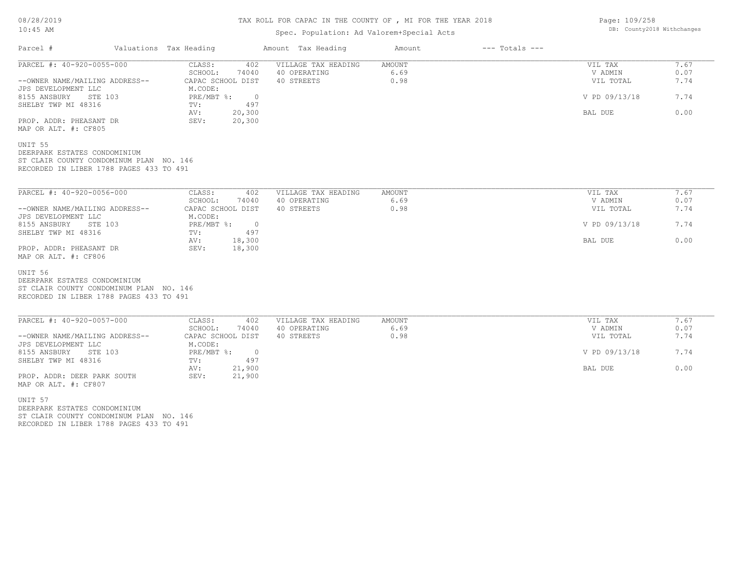#### TAX ROLL FOR CAPAC IN THE COUNTY OF , MI FOR THE YEAR 2018

## Spec. Population: Ad Valorem+Special Acts

| PARCEL #: 40-920-0055-000<br>VILLAGE TAX HEADING<br>CLASS:<br>402<br>SCHOOL:<br>74040<br>40 OPERATING<br>40 STREETS<br>--OWNER NAME/MAILING ADDRESS--<br>CAPAC SCHOOL DIST<br>JPS DEVELOPMENT LLC<br>M.CODE:<br>8155 ANSBURY STE 103<br>PRE/MBT %: 0<br>SHELBY TWP MI 48316<br>497<br>TV: | AMOUNT<br>6.69<br>0.98 | VIL TAX<br>V ADMIN<br>VIL TOTAL<br>V PD 09/13/18 | 7.67<br>0.07<br>7.74 |
|-------------------------------------------------------------------------------------------------------------------------------------------------------------------------------------------------------------------------------------------------------------------------------------------|------------------------|--------------------------------------------------|----------------------|
|                                                                                                                                                                                                                                                                                           |                        |                                                  |                      |
|                                                                                                                                                                                                                                                                                           |                        |                                                  |                      |
|                                                                                                                                                                                                                                                                                           |                        |                                                  |                      |
|                                                                                                                                                                                                                                                                                           |                        |                                                  | 7.74                 |
| 20,300<br>AV:                                                                                                                                                                                                                                                                             |                        | BAL DUE                                          | 0.00                 |
| PROP. ADDR: PHEASANT DR<br>20,300<br>SEV:<br>MAP OR ALT. #: CF805                                                                                                                                                                                                                         |                        |                                                  |                      |
| UNIT 55<br>DEERPARK ESTATES CONDOMINIUM<br>ST CLAIR COUNTY CONDOMINUM PLAN NO. 146                                                                                                                                                                                                        |                        |                                                  |                      |
| RECORDED IN LIBER 1788 PAGES 433 TO 491                                                                                                                                                                                                                                                   |                        |                                                  |                      |
| PARCEL #: 40-920-0056-000<br>CLASS:<br>402<br>VILLAGE TAX HEADING                                                                                                                                                                                                                         | AMOUNT                 | VIL TAX                                          | 7.67                 |
| SCHOOL:<br>74040<br>40 OPERATING                                                                                                                                                                                                                                                          | 6.69                   | V ADMIN                                          | 0.07                 |
| --OWNER NAME/MAILING ADDRESS--<br>CAPAC SCHOOL DIST<br>40 STREETS                                                                                                                                                                                                                         | 0.98                   | VIL TOTAL                                        | 7.74                 |
| JPS DEVELOPMENT LLC<br>M.CODE:                                                                                                                                                                                                                                                            |                        |                                                  |                      |
| 8155 ANSBURY<br>PRE/MBT %:<br>STE 103<br>$\overline{0}$                                                                                                                                                                                                                                   |                        | V PD 09/13/18                                    | 7.74                 |
| SHELBY TWP MI 48316<br>497<br>TV:<br>18,300<br>AV:                                                                                                                                                                                                                                        |                        | BAL DUE                                          | 0.00                 |
| SEV:<br>18,300<br>PROP. ADDR: PHEASANT DR<br>MAP OR ALT. #: CF806                                                                                                                                                                                                                         |                        |                                                  |                      |
| UNIT 56                                                                                                                                                                                                                                                                                   |                        |                                                  |                      |
| DEERPARK ESTATES CONDOMINIUM<br>ST CLAIR COUNTY CONDOMINUM PLAN NO. 146                                                                                                                                                                                                                   |                        |                                                  |                      |
| RECORDED IN LIBER 1788 PAGES 433 TO 491                                                                                                                                                                                                                                                   |                        |                                                  |                      |
| PARCEL #: 40-920-0057-000<br>CLASS:<br>VILLAGE TAX HEADING<br>402                                                                                                                                                                                                                         | AMOUNT                 | VIL TAX                                          | 7.67                 |
| SCHOOL:<br>74040<br>40 OPERATING                                                                                                                                                                                                                                                          | 6.69                   | V ADMIN                                          | 0.07                 |
| --OWNER NAME/MAILING ADDRESS--<br>CAPAC SCHOOL DIST<br>40 STREETS<br>JPS DEVELOPMENT LLC<br>M.CODE:                                                                                                                                                                                       | 0.98                   | VIL TOTAL                                        | 7.74                 |
| 8155 ANSBURY<br>STE 103<br>PRE/MBT %: 0                                                                                                                                                                                                                                                   |                        | V PD 09/13/18                                    | 7.74                 |
| SHELBY TWP MI 48316<br>497<br>TV:<br>21,900<br>AV:                                                                                                                                                                                                                                        |                        | BAL DUE                                          | 0.00                 |
| PROP. ADDR: DEER PARK SOUTH<br>SEV:<br>21,900<br>MAP OR ALT. #: CF807                                                                                                                                                                                                                     |                        |                                                  |                      |
| UNIT 57<br>$\overline{r}$                                                                                                                                                                                                                                                                 |                        |                                                  |                      |

RECORDED IN LIBER 1788 PAGES 433 TO 491 ST CLAIR COUNTY CONDOMINUM PLAN NO. 146 DEERPARK ESTATES CONDOMINIUM

Page: 109/258 DB: County2018 Withchanges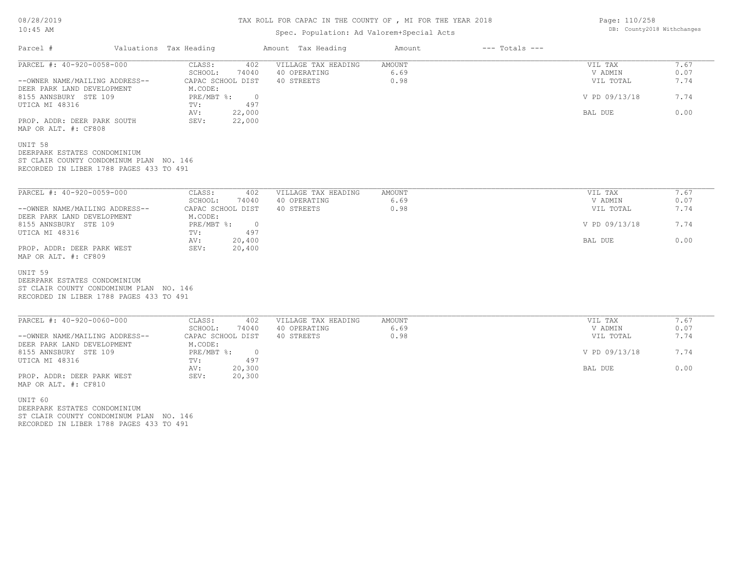#### TAX ROLL FOR CAPAC IN THE COUNTY OF , MI FOR THE YEAR 2018

#### Spec. Population: Ad Valorem+Special Acts

| Parcel #                                                                                                                               | Valuations Tax Heading                     | Amount Tax Heading         | Amount       | $---$ Totals $---$ |                      |              |
|----------------------------------------------------------------------------------------------------------------------------------------|--------------------------------------------|----------------------------|--------------|--------------------|----------------------|--------------|
| PARCEL #: 40-920-0058-000                                                                                                              | 402<br>CLASS:                              | VILLAGE TAX HEADING        | AMOUNT       |                    | VIL TAX              | 7.67         |
|                                                                                                                                        | SCHOOL:<br>74040                           | 40 OPERATING               | 6.69         |                    | V ADMIN              | 0.07         |
| --OWNER NAME/MAILING ADDRESS--<br>DEER PARK LAND DEVELOPMENT                                                                           | CAPAC SCHOOL DIST<br>M.CODE:               | 40 STREETS                 | 0.98         |                    | VIL TOTAL            | 7.74         |
| 8155 ANNSBURY STE 109<br>UTICA MI 48316                                                                                                | PRE/MBT %:<br>$\overline{0}$<br>497<br>TV: |                            |              |                    | V PD 09/13/18        | 7.74         |
|                                                                                                                                        | 22,000<br>AV:                              |                            |              |                    | BAL DUE              | 0.00         |
| PROP. ADDR: DEER PARK SOUTH<br>MAP OR ALT. #: CF808                                                                                    | 22,000<br>SEV:                             |                            |              |                    |                      |              |
| UNIT 58<br>DEERPARK ESTATES CONDOMINIUM                                                                                                |                                            |                            |              |                    |                      |              |
| ST CLAIR COUNTY CONDOMINUM PLAN NO. 146<br>RECORDED IN LIBER 1788 PAGES 433 TO 491                                                     |                                            |                            |              |                    |                      |              |
|                                                                                                                                        |                                            |                            |              |                    |                      |              |
| PARCEL #: 40-920-0059-000                                                                                                              | CLASS:<br>402                              | VILLAGE TAX HEADING        | AMOUNT       |                    | VIL TAX              | 7.67         |
| --OWNER NAME/MAILING ADDRESS--                                                                                                         | SCHOOL:<br>74040<br>CAPAC SCHOOL DIST      | 40 OPERATING<br>40 STREETS | 6.69<br>0.98 |                    | V ADMIN<br>VIL TOTAL | 0.07<br>7.74 |
|                                                                                                                                        | M.CODE:<br>PRE/MBT %:<br>$\overline{0}$    |                            |              |                    | V PD 09/13/18        | 7.74         |
|                                                                                                                                        | 497<br>TV:                                 |                            |              |                    |                      |              |
|                                                                                                                                        | 20,400<br>AV:<br>20,400<br>SEV:            |                            |              |                    | BAL DUE              | 0.00         |
|                                                                                                                                        |                                            |                            |              |                    |                      |              |
| DEER PARK LAND DEVELOPMENT<br>8155 ANNSBURY STE 109<br>UTICA MI 48316<br>PROP. ADDR: DEER PARK WEST<br>MAP OR ALT. #: CF809<br>UNIT 59 |                                            |                            |              |                    |                      |              |
| DEERPARK ESTATES CONDOMINIUM<br>ST CLAIR COUNTY CONDOMINUM PLAN NO. 146                                                                |                                            |                            |              |                    |                      |              |

| PARCEL #: 40-920-0060-000      | CLASS:            | 402    | VILLAGE TAX HEADING | AMOUNT | VIL TAX       | , 67 |
|--------------------------------|-------------------|--------|---------------------|--------|---------------|------|
|                                | SCHOOL:           | 74040  | 40 OPERATING        | 6.69   | V ADMIN       | 0.07 |
| --OWNER NAME/MAILING ADDRESS-- | CAPAC SCHOOL DIST |        | 40 STREETS          | 0.98   | VIL TOTAL     | 7.74 |
| DEER PARK LAND DEVELOPMENT     | M.CODE:           |        |                     |        |               |      |
| 8155 ANNSBURY STE 109          | PRE/MBT %:        |        |                     |        | V PD 09/13/18 | 7.74 |
| UTICA MI 48316                 | TV:               | 497    |                     |        |               |      |
|                                | AV:               | 20,300 |                     |        | BAL DUE       | 0.00 |
| PROP. ADDR: DEER PARK WEST     | SEV:              | 20,300 |                     |        |               |      |
| MAP OR ALT. #: CF810           |                   |        |                     |        |               |      |

RECORDED IN LIBER 1788 PAGES 433 TO 491 ST CLAIR COUNTY CONDOMINUM PLAN NO. 146 DEERPARK ESTATES CONDOMINIUM UNIT 60

Page: 110/258 DB: County2018 Withchanges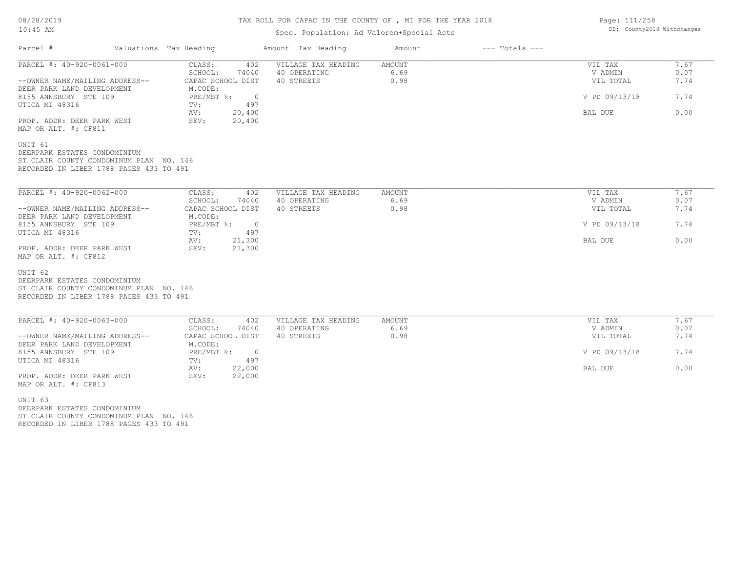## TAX ROLL FOR CAPAC IN THE COUNTY OF , MI FOR THE YEAR 2018

Page: 111/258

DB: County2018 Withchanges

## Spec. Population: Ad Valorem+Special Acts

| Parcel #                                                                                                                      | Valuations Tax Heading |                                              | Amount Tax Heading  | Amount | $---$ Totals $---$ |               |      |
|-------------------------------------------------------------------------------------------------------------------------------|------------------------|----------------------------------------------|---------------------|--------|--------------------|---------------|------|
| PARCEL #: 40-920-0061-000                                                                                                     |                        | CLASS:<br>402                                | VILLAGE TAX HEADING | AMOUNT |                    | VIL TAX       | 7.67 |
|                                                                                                                               |                        | SCHOOL:<br>74040                             | 40 OPERATING        | 6.69   |                    | V ADMIN       | 0.07 |
| --OWNER NAME/MAILING ADDRESS--<br>DEER PARK LAND DEVELOPMENT                                                                  |                        | CAPAC SCHOOL DIST<br>M.CODE:                 | 40 STREETS          | 0.98   |                    | VIL TOTAL     | 7.74 |
| 8155 ANNSBURY STE 109<br>UTICA MI 48316                                                                                       |                        | $PRE/MBT$ %:<br>$\overline{0}$<br>497<br>TV: |                     |        |                    | V PD 09/13/18 | 7.74 |
| PROP. ADDR: DEER PARK WEST<br>MAP OR ALT. #: CF811                                                                            |                        | 20,400<br>AV:<br>SEV:<br>20,400              |                     |        |                    | BAL DUE       | 0.00 |
| UNIT 61<br>DEERPARK ESTATES CONDOMINIUM<br>ST CLAIR COUNTY CONDOMINUM PLAN NO. 146<br>RECORDED IN LIBER 1788 PAGES 433 TO 491 |                        |                                              |                     |        |                    |               |      |
| PARCEL #: 40-920-0062-000                                                                                                     |                        | CLASS:<br>402                                | VILLAGE TAX HEADING | AMOUNT |                    | VIL TAX       | 7.67 |
|                                                                                                                               |                        | SCHOOL:<br>74040                             | 40 OPERATING        | 6.69   |                    | V ADMIN       | 0.07 |
| --OWNER NAME/MAILING ADDRESS--<br>DEER PARK LAND DEVELOPMENT                                                                  |                        | CAPAC SCHOOL DIST<br>M.CODE:                 | 40 STREETS          | 0.98   |                    | VIL TOTAL     | 7.74 |
| 8155 ANNSBURY STE 109<br>UTICA MI 48316                                                                                       |                        | $PRE/MBT$ %:<br>$\overline{0}$<br>497<br>TV: |                     |        |                    | V PD 09/13/18 | 7.74 |
| PROP. ADDR: DEER PARK WEST<br>MAP OR ALT. #: CF812                                                                            |                        | 21,300<br>AV:<br>SEV:<br>21,300              |                     |        |                    | BAL DUE       | 0.00 |
| UNIT 62<br>DEERPARK ESTATES CONDOMINIUM<br>ST CLAIR COUNTY CONDOMINUM PLAN NO. 146<br>RECORDED IN LIBER 1788 PAGES 433 TO 491 |                        |                                              |                     |        |                    |               |      |
| PARCEL #: 40-920-0063-000                                                                                                     |                        | CLASS:<br>402                                | VILLAGE TAX HEADING | AMOUNT |                    | VIL TAX       | 7.67 |
|                                                                                                                               |                        | SCHOOL:<br>74040                             | 40 OPERATING        | 6.69   |                    | V ADMIN       | 0.07 |
| --OWNER NAME/MAILING ADDRESS--<br>DEER PARK LAND DEVELOPMENT                                                                  |                        | CAPAC SCHOOL DIST<br>M.CODE:                 | 40 STREETS          | 0.98   |                    | VIL TOTAL     | 7.74 |
| 8155 ANNSBURY STE 109<br>UTICA MI 48316                                                                                       |                        | $PRE/MBT$ %:<br>$\overline{0}$<br>497<br>TV: |                     |        |                    | V PD 09/13/18 | 7.74 |
| PROP. ADDR: DEER PARK WEST<br>MAP OR ALT. #: CF813                                                                            |                        | 22,000<br>AV:<br>SEV:<br>22,000              |                     |        |                    | BAL DUE       | 0.00 |
| UNIT 63<br>DEERPARK ESTATES CONDOMINIUM                                                                                       |                        |                                              |                     |        |                    |               |      |

RECORDED IN LIBER 1788 PAGES 433 TO 491 ST CLAIR COUNTY CONDOMINUM PLAN NO. 146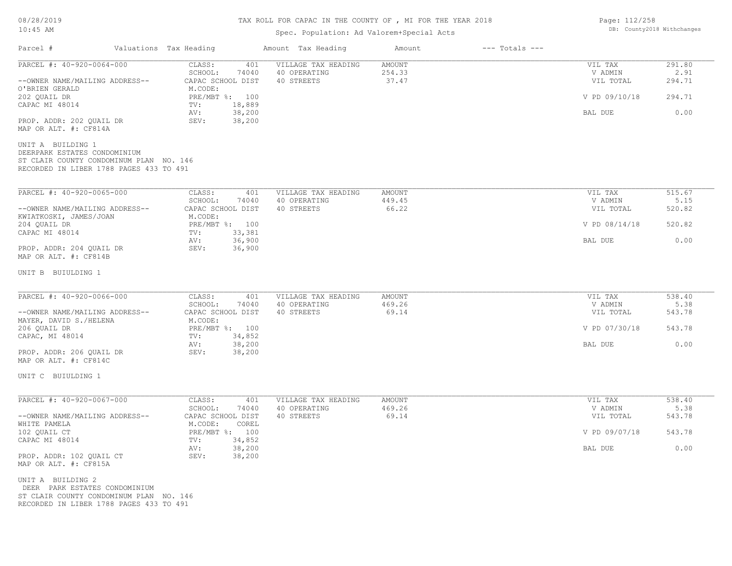## TAX ROLL FOR CAPAC IN THE COUNTY OF , MI FOR THE YEAR 2018

# Spec. Population: Ad Valorem+Special Acts

| Parcel #                                                                                                                                | Valuations Tax Heading                     | Amount Tax Heading         | $---$ Totals $---$<br>Amount |                      |                |
|-----------------------------------------------------------------------------------------------------------------------------------------|--------------------------------------------|----------------------------|------------------------------|----------------------|----------------|
| PARCEL #: 40-920-0064-000                                                                                                               | CLASS:<br>401                              | VILLAGE TAX HEADING        | <b>AMOUNT</b>                | VIL TAX              | 291.80         |
| --OWNER NAME/MAILING ADDRESS--                                                                                                          | SCHOOL:<br>74040<br>CAPAC SCHOOL DIST      | 40 OPERATING<br>40 STREETS | 254.33<br>37.47              | V ADMIN<br>VIL TOTAL | 2.91<br>294.71 |
| O'BRIEN GERALD<br>202 QUAIL DR<br>CAPAC MI 48014                                                                                        | M.CODE:<br>PRE/MBT %: 100<br>18,889<br>TV: |                            |                              | V PD 09/10/18        | 294.71         |
| PROP. ADDR: 202 QUAIL DR                                                                                                                | 38,200<br>AV:<br>38,200<br>SEV:            |                            |                              | BAL DUE              | 0.00           |
| MAP OR ALT. #: CF814A                                                                                                                   |                                            |                            |                              |                      |                |
| UNIT A BUILDING 1<br>DEERPARK ESTATES CONDOMINIUM<br>ST CLAIR COUNTY CONDOMINUM PLAN NO. 146<br>RECORDED IN LIBER 1788 PAGES 433 TO 491 |                                            |                            |                              |                      |                |
| PARCEL #: 40-920-0065-000                                                                                                               | CLASS:<br>401                              | VILLAGE TAX HEADING        | <b>AMOUNT</b>                | VIL TAX              | 515.67         |
| --OWNER NAME/MAILING ADDRESS--                                                                                                          | SCHOOL:<br>74040<br>CAPAC SCHOOL DIST      | 40 OPERATING<br>40 STREETS | 449.45<br>66.22              | V ADMIN<br>VIL TOTAL | 5.15<br>520.82 |
| KWIATKOSKI, JAMES/JOAN<br>204 QUAIL DR                                                                                                  | M.CODE:<br>PRE/MBT %: 100                  |                            |                              | V PD 08/14/18        | 520.82         |
| CAPAC MI 48014                                                                                                                          | 33,381<br>TV:<br>36,900<br>AV:             |                            |                              | BAL DUE              | 0.00           |
| PROP. ADDR: 204 QUAIL DR<br>MAP OR ALT. #: CF814B                                                                                       | SEV:<br>36,900                             |                            |                              |                      |                |
| UNIT B BUIULDING 1                                                                                                                      |                                            |                            |                              |                      |                |
| PARCEL #: 40-920-0066-000                                                                                                               | CLASS:<br>401                              | VILLAGE TAX HEADING        | AMOUNT                       | VIL TAX              | 538.40         |
| --OWNER NAME/MAILING ADDRESS--                                                                                                          | SCHOOL:<br>74040<br>CAPAC SCHOOL DIST      | 40 OPERATING<br>40 STREETS | 469.26<br>69.14              | V ADMIN<br>VIL TOTAL | 5.38<br>543.78 |
| MAYER, DAVID S./HELENA<br>206 QUAIL DR                                                                                                  | M.CODE:<br>PRE/MBT %: 100                  |                            |                              | V PD 07/30/18        | 543.78         |
| CAPAC, MI 48014                                                                                                                         | 34,852<br>TV:<br>38,200<br>AV:             |                            |                              | BAL DUE              | 0.00           |
| PROP. ADDR: 206 QUAIL DR<br>MAP OR ALT. #: CF814C                                                                                       | SEV:<br>38,200                             |                            |                              |                      |                |
| UNIT C BUIULDING 1                                                                                                                      |                                            |                            |                              |                      |                |
| PARCEL #: 40-920-0067-000                                                                                                               | CLASS:<br>401                              | VILLAGE TAX HEADING        | <b>AMOUNT</b>                | VIL TAX              | 538.40         |
| --OWNER NAME/MAILING ADDRESS--                                                                                                          | SCHOOL:<br>74040<br>CAPAC SCHOOL DIST      | 40 OPERATING<br>40 STREETS | 469.26<br>69.14              | V ADMIN<br>VIL TOTAL | 5.38<br>543.78 |
| WHITE PAMELA<br>102 QUAIL CT                                                                                                            | M.CODE:<br>COREL<br>PRE/MBT %: 100         |                            |                              | V PD 09/07/18        | 543.78         |
| CAPAC MI 48014                                                                                                                          | TV:<br>34,852<br>38,200<br>AV:             |                            |                              | BAL DUE              | 0.00           |
| PROP. ADDR: 102 QUAIL CT<br>MAP OR ALT. #: CF815A                                                                                       | SEV:<br>38,200                             |                            |                              |                      |                |
| UNIT A BUILDING 2<br>DEER PARK ESTATES CONDOMINIUM<br>ST CLAIR COUNTY CONDOMINUM PLAN NO. 146                                           |                                            |                            |                              |                      |                |

RECORDED IN LIBER 1788 PAGES 433 TO 491

Page: 112/258 DB: County2018 Withchanges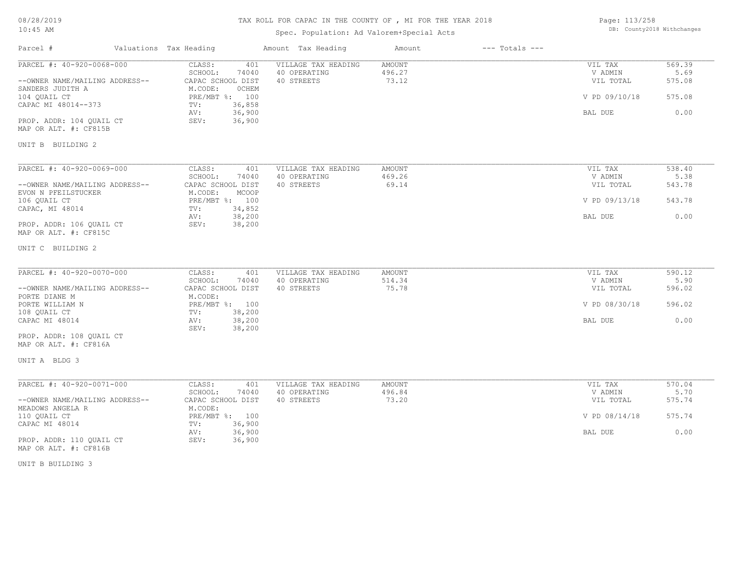# TAX ROLL FOR CAPAC IN THE COUNTY OF , MI FOR THE YEAR 2018

## Spec. Population: Ad Valorem+Special Acts

| Page: 113/258 |                            |
|---------------|----------------------------|
|               | DB: County2018 Withchanges |

| Parcel #                                              | Valuations Tax Heading                       | Amount Tax Heading                  | Amount                  | $---$ Totals $---$ |                    |                |
|-------------------------------------------------------|----------------------------------------------|-------------------------------------|-------------------------|--------------------|--------------------|----------------|
| PARCEL #: 40-920-0068-000                             | CLASS:<br>401<br>74040<br>SCHOOL:            | VILLAGE TAX HEADING<br>40 OPERATING | <b>AMOUNT</b><br>496.27 |                    | VIL TAX<br>V ADMIN | 569.39<br>5.69 |
| --OWNER NAME/MAILING ADDRESS--<br>SANDERS JUDITH A    | CAPAC SCHOOL DIST<br>M.CODE:<br><b>OCHEM</b> | 40 STREETS                          | 73.12                   |                    | VIL TOTAL          | 575.08         |
| 104 OUAIL CT<br>CAPAC MI 48014--373                   | PRE/MBT %: 100<br>36,858<br>TV:              |                                     |                         |                    | V PD 09/10/18      | 575.08         |
| PROP. ADDR: 104 QUAIL CT                              | 36,900<br>AV:<br>36,900<br>SEV:              |                                     |                         |                    | BAL DUE            | 0.00           |
| MAP OR ALT. #: CF815B                                 |                                              |                                     |                         |                    |                    |                |
| UNIT B BUILDING 2                                     |                                              |                                     |                         |                    |                    |                |
| PARCEL #: 40-920-0069-000                             | CLASS:<br>401                                | VILLAGE TAX HEADING                 | AMOUNT                  |                    | VIL TAX            | 538.40         |
|                                                       | SCHOOL:<br>74040                             | 40 OPERATING                        | 469.26                  |                    | V ADMIN            | 5.38           |
| --OWNER NAME/MAILING ADDRESS--<br>EVON N PFEILSTUCKER | CAPAC SCHOOL DIST<br>M.CODE:<br>MCOOP        | 40 STREETS                          | 69.14                   |                    | VIL TOTAL          | 543.78         |
| 106 QUAIL CT                                          | PRE/MBT %: 100<br>34,852                     |                                     |                         |                    | V PD 09/13/18      | 543.78         |
| CAPAC, MI 48014                                       | TV:<br>38,200<br>AV:                         |                                     |                         |                    | BAL DUE            | 0.00           |
| PROP. ADDR: 106 QUAIL CT<br>MAP OR ALT. #: CF815C     | SEV:<br>38,200                               |                                     |                         |                    |                    |                |
| UNIT C BUILDING 2                                     |                                              |                                     |                         |                    |                    |                |
| PARCEL #: 40-920-0070-000                             | CLASS:<br>401                                | VILLAGE TAX HEADING                 | <b>AMOUNT</b>           |                    | VIL TAX            | 590.12         |
|                                                       | SCHOOL:<br>74040                             | 40 OPERATING                        | 514.34                  |                    | V ADMIN            | 5.90           |
| --OWNER NAME/MAILING ADDRESS--<br>PORTE DIANE M       | CAPAC SCHOOL DIST<br>M.CODE:                 | 40 STREETS                          | 75.78                   |                    | VIL TOTAL          | 596.02         |
| PORTE WILLIAM N                                       | PRE/MBT %: 100                               |                                     |                         |                    | V PD 08/30/18      | 596.02         |
| 108 QUAIL CT<br>CAPAC MI 48014                        | 38,200<br>TV:<br>38,200<br>AV:               |                                     |                         |                    | BAL DUE            | 0.00           |
|                                                       | 38,200<br>SEV:                               |                                     |                         |                    |                    |                |
| PROP. ADDR: 108 QUAIL CT<br>MAP OR ALT. #: CF816A     |                                              |                                     |                         |                    |                    |                |
| UNIT A BLDG 3                                         |                                              |                                     |                         |                    |                    |                |
| PARCEL #: 40-920-0071-000                             | CLASS:<br>401                                | VILLAGE TAX HEADING                 | AMOUNT                  |                    | VIL TAX            | 570.04         |
|                                                       | SCHOOL:<br>74040                             | 40 OPERATING                        | 496.84                  |                    | V ADMIN            | 5.70           |
| --OWNER NAME/MAILING ADDRESS--<br>MEADOWS ANGELA R    | CAPAC SCHOOL DIST<br>M.CODE:                 | 40 STREETS                          | 73.20                   |                    | VIL TOTAL          | 575.74         |
| 110 QUAIL CT                                          | PRE/MBT %: 100                               |                                     |                         |                    | V PD 08/14/18      | 575.74         |
| CAPAC MI 48014                                        | 36,900<br>TV:<br>36,900<br>AV:               |                                     |                         |                    | BAL DUE            | 0.00           |
| PROP. ADDR: 110 QUAIL CT<br>MAP OR ALT. #: CF816B     | SEV:<br>36,900                               |                                     |                         |                    |                    |                |

UNIT B BUILDING 3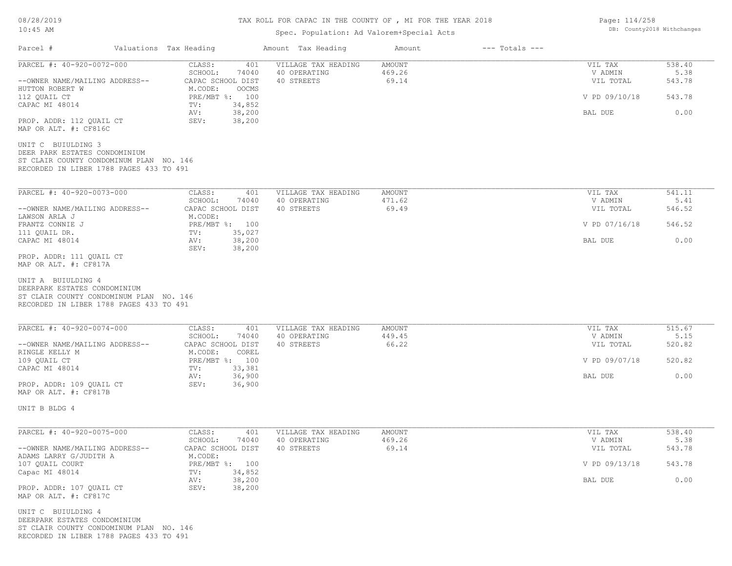#### TAX ROLL FOR CAPAC IN THE COUNTY OF , MI FOR THE YEAR 2018

## Spec. Population: Ad Valorem+Special Acts

| Parcel #                                                                                                                                  | Valuations Tax Heading                  |                  | Amount Tax Heading                  | Amount           | $---$ Totals $---$ |                      |                |
|-------------------------------------------------------------------------------------------------------------------------------------------|-----------------------------------------|------------------|-------------------------------------|------------------|--------------------|----------------------|----------------|
| PARCEL #: 40-920-0072-000                                                                                                                 | CLASS:<br>SCHOOL:                       | 401<br>74040     | VILLAGE TAX HEADING<br>40 OPERATING | AMOUNT<br>469.26 |                    | VIL TAX<br>V ADMIN   | 538.40<br>5.38 |
| --OWNER NAME/MAILING ADDRESS--<br>HUTTON ROBERT W                                                                                         | CAPAC SCHOOL DIST<br>M.CODE:            | OOCMS            | 40 STREETS                          | 69.14            |                    | VIL TOTAL            | 543.78         |
| 112 OUAIL CT<br>CAPAC MI 48014                                                                                                            | PRE/MBT %: 100<br>TV:                   | 34,852           |                                     |                  |                    | V PD 09/10/18        | 543.78         |
| PROP. ADDR: 112 QUAIL CT<br>MAP OR ALT. #: CF816C                                                                                         | AV:<br>SEV:                             | 38,200<br>38,200 |                                     |                  |                    | BAL DUE              | 0.00           |
| UNIT C BUIULDING 3<br>DEER PARK ESTATES CONDOMINIUM<br>ST CLAIR COUNTY CONDOMINUM PLAN NO. 146<br>RECORDED IN LIBER 1788 PAGES 433 TO 491 |                                         |                  |                                     |                  |                    |                      |                |
| PARCEL #: 40-920-0073-000                                                                                                                 | CLASS:                                  | 401              | VILLAGE TAX HEADING                 | AMOUNT           |                    | VIL TAX              | 541.11         |
| --OWNER NAME/MAILING ADDRESS--                                                                                                            | SCHOOL:<br>CAPAC SCHOOL DIST            | 74040            | 40 OPERATING<br>40 STREETS          | 471.62<br>69.49  |                    | V ADMIN<br>VIL TOTAL | 5.41<br>546.52 |
| LAWSON ARLA J<br>FRANTZ CONNIE J<br>111 QUAIL DR.                                                                                         | M.CODE:<br>PRE/MBT %: 100               | 35,027           |                                     |                  |                    | V PD 07/16/18        | 546.52         |
| CAPAC MI 48014                                                                                                                            | TV:<br>AV:<br>SEV:                      | 38,200<br>38,200 |                                     |                  |                    | BAL DUE              | 0.00           |
| PROP. ADDR: 111 OUAIL CT<br>MAP OR ALT. #: CF817A                                                                                         |                                         |                  |                                     |                  |                    |                      |                |
| UNIT A BUIULDING 4<br>DEERPARK ESTATES CONDOMINIUM<br>ST CLAIR COUNTY CONDOMINUM PLAN NO. 146<br>RECORDED IN LIBER 1788 PAGES 433 TO 491  |                                         |                  |                                     |                  |                    |                      |                |
| PARCEL #: 40-920-0074-000                                                                                                                 | CLASS:                                  | 401              | VILLAGE TAX HEADING                 | AMOUNT           |                    | VIL TAX              | 515.67         |
| --OWNER NAME/MAILING ADDRESS--<br>RINGLE KELLY M                                                                                          | SCHOOL:<br>CAPAC SCHOOL DIST<br>M.CODE: | 74040<br>COREL   | 40 OPERATING<br>40 STREETS          | 449.45<br>66.22  |                    | V ADMIN<br>VIL TOTAL | 5.15<br>520.82 |
| 109 QUAIL CT<br>CAPAC MI 48014                                                                                                            | PRE/MBT %: 100<br>TV:                   | 33,381           |                                     |                  |                    | V PD 09/07/18        | 520.82         |
| PROP. ADDR: 109 QUAIL CT<br>MAP OR ALT. #: CF817B                                                                                         | AV:<br>SEV:                             | 36,900<br>36,900 |                                     |                  |                    | BAL DUE              | 0.00           |
| UNIT B BLDG 4                                                                                                                             |                                         |                  |                                     |                  |                    |                      |                |
| PARCEL #: 40-920-0075-000                                                                                                                 | CLASS:                                  | 401              | VILLAGE TAX HEADING                 | <b>AMOUNT</b>    |                    | VIL TAX              | 538.40         |
| --OWNER NAME/MAILING ADDRESS--                                                                                                            | SCHOOL:<br>CAPAC SCHOOL DIST            | 74040            | 40 OPERATING<br>40 STREETS          | 469.26<br>69.14  |                    | V ADMIN<br>VIL TOTAL | 5.38<br>543.78 |
| ADAMS LARRY G/JUDITH A<br>107 OUAIL COURT                                                                                                 | M.CODE:<br>PRE/MBT %: 100               |                  |                                     |                  |                    | V PD 09/13/18        | 543.78         |
| Capac MI 48014                                                                                                                            | TV:<br>AV:                              | 34,852<br>38,200 |                                     |                  |                    | BAL DUE              | 0.00           |
| PROP. ADDR: 107 QUAIL CT<br>MAP OR ALT. #: CF817C                                                                                         | SEV:                                    | 38,200           |                                     |                  |                    |                      |                |
| UNIT C BUIULDING 4<br>DEERPARK ESTATES CONDOMINIUM                                                                                        |                                         |                  |                                     |                  |                    |                      |                |

RECORDED IN LIBER 1788 PAGES 433 TO 491 ST CLAIR COUNTY CONDOMINUM PLAN NO. 146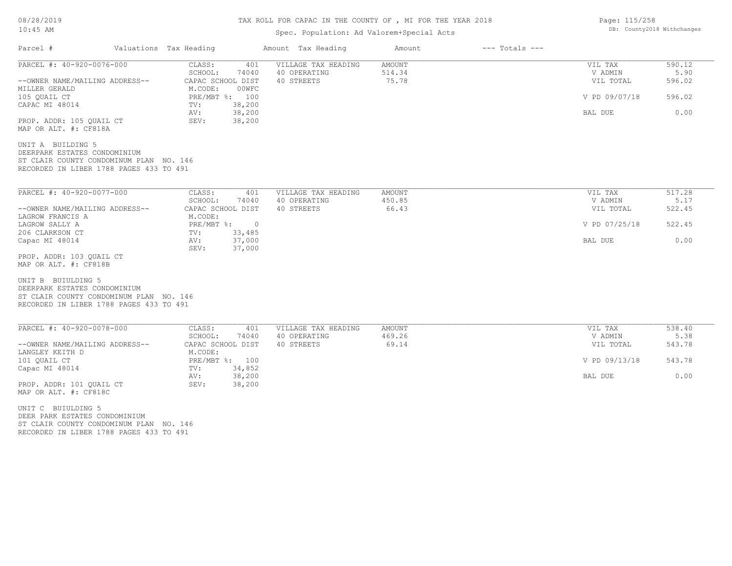# TAX ROLL FOR CAPAC IN THE COUNTY OF , MI FOR THE YEAR 2018

# Spec. Population: Ad Valorem+Special Acts

| Parcel #                                                                                                                                 | Valuations Tax Heading                | Amount Tax Heading  | Amount        | $---$ Totals $---$ |               |        |
|------------------------------------------------------------------------------------------------------------------------------------------|---------------------------------------|---------------------|---------------|--------------------|---------------|--------|
| PARCEL #: 40-920-0076-000                                                                                                                | CLASS:<br>401                         | VILLAGE TAX HEADING | <b>AMOUNT</b> |                    | VIL TAX       | 590.12 |
|                                                                                                                                          | SCHOOL:<br>74040                      | 40 OPERATING        | 514.34        |                    | V ADMIN       | 5.90   |
| --OWNER NAME/MAILING ADDRESS--<br>MILLER GERALD                                                                                          | CAPAC SCHOOL DIST<br>M.CODE:<br>00WFC | 40 STREETS          | 75.78         |                    | VIL TOTAL     | 596.02 |
| 105 QUAIL CT                                                                                                                             | PRE/MBT %: 100<br>38,200              |                     |               |                    | V PD 09/07/18 | 596.02 |
| CAPAC MI 48014                                                                                                                           | TV:<br>38,200<br>AV:                  |                     |               |                    | BAL DUE       | 0.00   |
| PROP. ADDR: 105 OUAIL CT                                                                                                                 | 38,200<br>SEV:                        |                     |               |                    |               |        |
| MAP OR ALT. #: CF818A                                                                                                                    |                                       |                     |               |                    |               |        |
| UNIT A BUILDING 5                                                                                                                        |                                       |                     |               |                    |               |        |
| DEERPARK ESTATES CONDOMINIUM                                                                                                             |                                       |                     |               |                    |               |        |
| ST CLAIR COUNTY CONDOMINUM PLAN NO. 146                                                                                                  |                                       |                     |               |                    |               |        |
| RECORDED IN LIBER 1788 PAGES 433 TO 491                                                                                                  |                                       |                     |               |                    |               |        |
| PARCEL #: 40-920-0077-000                                                                                                                | CLASS:<br>401                         | VILLAGE TAX HEADING | <b>AMOUNT</b> |                    | VIL TAX       | 517.28 |
|                                                                                                                                          | SCHOOL:<br>74040                      | 40 OPERATING        | 450.85        |                    | V ADMIN       | 5.17   |
| --OWNER NAME/MAILING ADDRESS--                                                                                                           | CAPAC SCHOOL DIST                     | 40 STREETS          | 66.43         |                    | VIL TOTAL     | 522.45 |
| LAGROW FRANCIS A                                                                                                                         | M.CODE:                               |                     |               |                    |               |        |
| LAGROW SALLY A                                                                                                                           | $PRE/MBT$ $\div$                      | $\overline{0}$      |               |                    | V PD 07/25/18 | 522.45 |
| 206 CLARKSON CT                                                                                                                          | 33,485<br>TV:                         |                     |               |                    |               |        |
| Capac MI 48014                                                                                                                           | 37,000<br>AV:                         |                     |               |                    | BAL DUE       | 0.00   |
|                                                                                                                                          | SEV:<br>37,000                        |                     |               |                    |               |        |
| PROP. ADDR: 103 OUAIL CT                                                                                                                 |                                       |                     |               |                    |               |        |
| MAP OR ALT. #: CF818B                                                                                                                    |                                       |                     |               |                    |               |        |
| UNIT B BUIULDING 5<br>DEERPARK ESTATES CONDOMINIUM<br>ST CLAIR COUNTY CONDOMINUM PLAN NO. 146<br>RECORDED IN LIBER 1788 PAGES 433 TO 491 |                                       |                     |               |                    |               |        |
| PARCEL #: 40-920-0078-000                                                                                                                | CLASS:<br>401                         | VILLAGE TAX HEADING | <b>AMOUNT</b> |                    | VIL TAX       | 538.40 |
|                                                                                                                                          | SCHOOL:<br>74040                      | 40 OPERATING        | 469.26        |                    | V ADMIN       | 5.38   |
| --OWNER NAME/MAILING ADDRESS--                                                                                                           | CAPAC SCHOOL DIST                     | 40 STREETS          | 69.14         |                    | VIL TOTAL     | 543.78 |
| LANGLEY KEITH D                                                                                                                          | M.CODE:                               |                     |               |                    |               |        |
| 101 QUAIL CT                                                                                                                             | PRE/MBT %: 100                        |                     |               |                    | V PD 09/13/18 | 543.78 |
| Capac MI 48014                                                                                                                           | 34,852<br>TV:                         |                     |               |                    |               |        |
|                                                                                                                                          | 38,200<br>AV:                         |                     |               |                    | BAL DUE       | 0.00   |
| PROP. ADDR: 101 QUAIL CT                                                                                                                 | SEV:<br>38,200                        |                     |               |                    |               |        |
| MAP OR ALT. #: CF818C                                                                                                                    |                                       |                     |               |                    |               |        |
| UNIT C BUIULDING 5                                                                                                                       |                                       |                     |               |                    |               |        |
| DEER PARK ESTATES CONDOMINIUM                                                                                                            |                                       |                     |               |                    |               |        |
| ST CLAIR COUNTY CONDOMINUM PLAN NO. 146                                                                                                  |                                       |                     |               |                    |               |        |
| RECORDED IN LIBER 1788 PAGES 433 TO 491                                                                                                  |                                       |                     |               |                    |               |        |

Page: 115/258 DB: County2018 Withchanges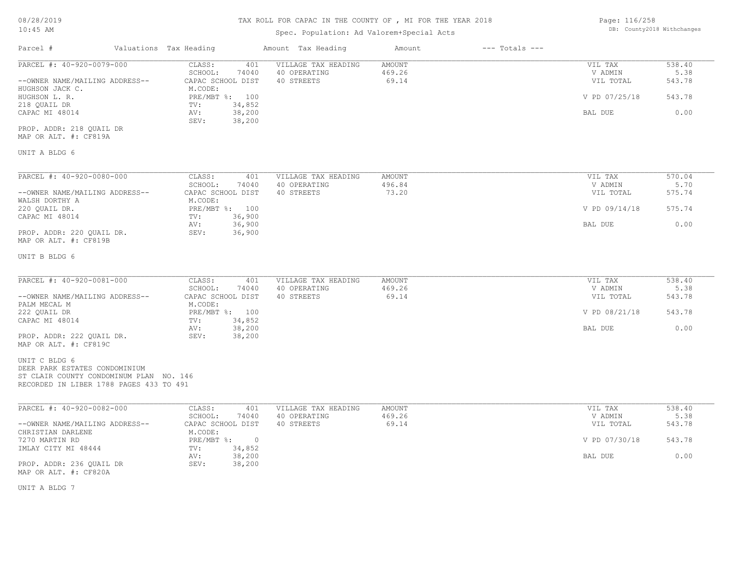## TAX ROLL FOR CAPAC IN THE COUNTY OF , MI FOR THE YEAR 2018

## Spec. Population: Ad Valorem+Special Acts

| Page: 116/258 |                            |
|---------------|----------------------------|
|               | DB: County2018 Withchanges |

| Parcel #                                                                                                                             | Valuations Tax Heading                                 | Amount Tax Heading                                | Amount                           | $---$ Totals $---$ |                                 |                          |
|--------------------------------------------------------------------------------------------------------------------------------------|--------------------------------------------------------|---------------------------------------------------|----------------------------------|--------------------|---------------------------------|--------------------------|
| PARCEL #: 40-920-0079-000<br>--OWNER NAME/MAILING ADDRESS--                                                                          | CLASS:<br>401<br>SCHOOL:<br>74040<br>CAPAC SCHOOL DIST | VILLAGE TAX HEADING<br>40 OPERATING<br>40 STREETS | <b>AMOUNT</b><br>469.26<br>69.14 |                    | VIL TAX<br>V ADMIN<br>VIL TOTAL | 538.40<br>5.38<br>543.78 |
| HUGHSON JACK C.<br>HUGHSON L. R.                                                                                                     | M.CODE:<br>PRE/MBT %: 100                              |                                                   |                                  |                    | V PD 07/25/18                   | 543.78                   |
| 218 QUAIL DR<br>CAPAC MI 48014                                                                                                       | 34,852<br>TV:<br>38,200<br>AV:<br>38,200<br>SEV:       |                                                   |                                  |                    | BAL DUE                         | 0.00                     |
| PROP. ADDR: 218 QUAIL DR<br>MAP OR ALT. #: CF819A                                                                                    |                                                        |                                                   |                                  |                    |                                 |                          |
| UNIT A BLDG 6                                                                                                                        |                                                        |                                                   |                                  |                    |                                 |                          |
| PARCEL #: 40-920-0080-000                                                                                                            | CLASS:<br>401                                          | VILLAGE TAX HEADING                               | AMOUNT                           |                    | VIL TAX                         | 570.04                   |
| --OWNER NAME/MAILING ADDRESS--                                                                                                       | SCHOOL:<br>74040<br>CAPAC SCHOOL DIST                  | 40 OPERATING<br>40 STREETS                        | 496.84<br>73.20                  |                    | V ADMIN<br>VIL TOTAL            | 5.70<br>575.74           |
| WALSH DORTHY A<br>220 QUAIL DR.                                                                                                      | M.CODE:<br>PRE/MBT %: 100                              |                                                   |                                  |                    | V PD 09/14/18                   | 575.74                   |
| CAPAC MI 48014<br>PROP. ADDR: 220 QUAIL DR.<br>MAP OR ALT. #: CF819B                                                                 | 36,900<br>TV:<br>36,900<br>AV:<br>SEV:<br>36,900       |                                                   |                                  |                    | BAL DUE                         | 0.00                     |
| UNIT B BLDG 6                                                                                                                        |                                                        |                                                   |                                  |                    |                                 |                          |
| PARCEL #: 40-920-0081-000                                                                                                            | CLASS:<br>401                                          | VILLAGE TAX HEADING                               | AMOUNT                           |                    | VIL TAX                         | 538.40                   |
| --OWNER NAME/MAILING ADDRESS--<br>PALM MECAL M                                                                                       | SCHOOL:<br>74040<br>CAPAC SCHOOL DIST<br>M.CODE:       | 40 OPERATING<br>40 STREETS                        | 469.26<br>69.14                  |                    | V ADMIN<br>VIL TOTAL            | 5.38<br>543.78           |
| 222 QUAIL DR<br>CAPAC MI 48014                                                                                                       | PRE/MBT %: 100<br>34,852<br>TV:                        |                                                   |                                  |                    | V PD 08/21/18                   | 543.78                   |
| PROP. ADDR: 222 QUAIL DR.<br>MAP OR ALT. #: CF819C                                                                                   | 38,200<br>AV:<br>SEV:<br>38,200                        |                                                   |                                  |                    | BAL DUE                         | 0.00                     |
| UNIT C BLDG 6<br>DEER PARK ESTATES CONDOMINIUM<br>ST CLAIR COUNTY CONDOMINUM PLAN NO. 146<br>RECORDED IN LIBER 1788 PAGES 433 TO 491 |                                                        |                                                   |                                  |                    |                                 |                          |
| PARCEL #: 40-920-0082-000                                                                                                            | CLASS:<br>401                                          | VILLAGE TAX HEADING                               | <b>AMOUNT</b>                    |                    | VIL TAX                         | 538.40                   |
| --OWNER NAME/MAILING ADDRESS--                                                                                                       | SCHOOL:<br>74040<br>CAPAC SCHOOL DIST                  | 40 OPERATING<br>40 STREETS                        | 469.26<br>69.14                  |                    | V ADMIN<br>VIL TOTAL            | 5.38<br>543.78           |
| CHRISTIAN DARLENE<br>7270 MARTIN RD                                                                                                  | M.CODE:<br>PRE/MBT %: 0                                |                                                   |                                  |                    | V PD 07/30/18                   | 543.78                   |
| IMLAY CITY MI 48444<br>PROP. ADDR: 236 OUAIL DR<br>MAP OR ALT. #: CF820A                                                             | 34,852<br>TV:<br>38,200<br>AV:<br>SEV:<br>38,200       |                                                   |                                  |                    | BAL DUE                         | 0.00                     |

UNIT A BLDG 7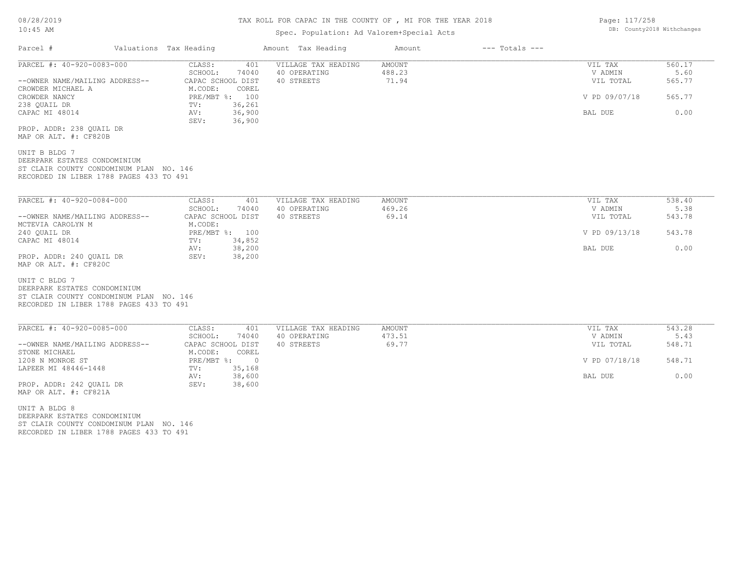# TAX ROLL FOR CAPAC IN THE COUNTY OF , MI FOR THE YEAR 2018

## Spec. Population: Ad Valorem+Special Acts

| Page: 117/258 |                            |
|---------------|----------------------------|
|               | DB: County2018 Withchanges |

| PARCEL #: 40-920-0083-000<br>VILLAGE TAX HEADING<br>AMOUNT<br>VIL TAX<br>560.17<br>CLASS:<br>401<br>SCHOOL:<br>488.23<br>5.60<br>74040<br>40 OPERATING<br>V ADMIN<br>CAPAC SCHOOL DIST<br>40 STREETS<br>71.94<br>565.77<br>--OWNER NAME/MAILING ADDRESS--<br>VIL TOTAL<br>M.CODE:<br>COREL<br>CROWDER MICHAEL A<br>PRE/MBT %: 100<br>CROWDER NANCY<br>V PD 09/07/18<br>565.77<br>238 QUAIL DR<br>36,261<br>TV:<br>36,900<br>0.00<br>CAPAC MI 48014<br>AV:<br>BAL DUE<br>36,900<br>SEV:<br>PROP. ADDR: 238 QUAIL DR<br>MAP OR ALT. #: CF820B<br>UNIT B BLDG 7<br>DEERPARK ESTATES CONDOMINIUM<br>ST CLAIR COUNTY CONDOMINUM PLAN NO. 146<br>RECORDED IN LIBER 1788 PAGES 433 TO 491<br>PARCEL #: 40-920-0084-000<br>CLASS:<br>VIL TAX<br>538.40<br>401<br>VILLAGE TAX HEADING<br>AMOUNT<br>469.26<br>V ADMIN<br>SCHOOL:<br>74040<br>40 OPERATING<br>5.38<br>69.14<br>CAPAC SCHOOL DIST<br>40 STREETS<br>543.78<br>--OWNER NAME/MAILING ADDRESS--<br>VIL TOTAL<br>M.CODE:<br>MCTEVIA CAROLYN M<br>240 OUAIL DR<br>PRE/MBT %: 100<br>V PD 09/13/18<br>543.78<br>34,852<br>CAPAC MI 48014<br>TV:<br>38,200<br>0.00<br>AV:<br>BAL DUE<br>PROP. ADDR: 240 OUAIL DR<br>SEV:<br>38,200<br>MAP OR ALT. #: CF820C<br>UNIT C BLDG 7<br>DEERPARK ESTATES CONDOMINIUM |
|----------------------------------------------------------------------------------------------------------------------------------------------------------------------------------------------------------------------------------------------------------------------------------------------------------------------------------------------------------------------------------------------------------------------------------------------------------------------------------------------------------------------------------------------------------------------------------------------------------------------------------------------------------------------------------------------------------------------------------------------------------------------------------------------------------------------------------------------------------------------------------------------------------------------------------------------------------------------------------------------------------------------------------------------------------------------------------------------------------------------------------------------------------------------------------------------------------------------------------------------------------|
|                                                                                                                                                                                                                                                                                                                                                                                                                                                                                                                                                                                                                                                                                                                                                                                                                                                                                                                                                                                                                                                                                                                                                                                                                                                          |
|                                                                                                                                                                                                                                                                                                                                                                                                                                                                                                                                                                                                                                                                                                                                                                                                                                                                                                                                                                                                                                                                                                                                                                                                                                                          |
|                                                                                                                                                                                                                                                                                                                                                                                                                                                                                                                                                                                                                                                                                                                                                                                                                                                                                                                                                                                                                                                                                                                                                                                                                                                          |
|                                                                                                                                                                                                                                                                                                                                                                                                                                                                                                                                                                                                                                                                                                                                                                                                                                                                                                                                                                                                                                                                                                                                                                                                                                                          |
|                                                                                                                                                                                                                                                                                                                                                                                                                                                                                                                                                                                                                                                                                                                                                                                                                                                                                                                                                                                                                                                                                                                                                                                                                                                          |
|                                                                                                                                                                                                                                                                                                                                                                                                                                                                                                                                                                                                                                                                                                                                                                                                                                                                                                                                                                                                                                                                                                                                                                                                                                                          |
|                                                                                                                                                                                                                                                                                                                                                                                                                                                                                                                                                                                                                                                                                                                                                                                                                                                                                                                                                                                                                                                                                                                                                                                                                                                          |
|                                                                                                                                                                                                                                                                                                                                                                                                                                                                                                                                                                                                                                                                                                                                                                                                                                                                                                                                                                                                                                                                                                                                                                                                                                                          |
|                                                                                                                                                                                                                                                                                                                                                                                                                                                                                                                                                                                                                                                                                                                                                                                                                                                                                                                                                                                                                                                                                                                                                                                                                                                          |
| ST CLAIR COUNTY CONDOMINUM PLAN NO. 146<br>RECORDED IN LIBER 1788 PAGES 433 TO 491                                                                                                                                                                                                                                                                                                                                                                                                                                                                                                                                                                                                                                                                                                                                                                                                                                                                                                                                                                                                                                                                                                                                                                       |
| PARCEL #: 40-920-0085-000<br>CLASS:<br>401<br>VILLAGE TAX HEADING<br>AMOUNT<br>VIL TAX<br>543.28<br>SCHOOL:<br>74040<br>40 OPERATING<br>473.51<br>V ADMIN<br>5.43                                                                                                                                                                                                                                                                                                                                                                                                                                                                                                                                                                                                                                                                                                                                                                                                                                                                                                                                                                                                                                                                                        |
| 40 STREETS<br>69.77<br>548.71<br>--OWNER NAME/MAILING ADDRESS--<br>CAPAC SCHOOL DIST<br>VIL TOTAL<br>STONE MICHAEL<br>COREL                                                                                                                                                                                                                                                                                                                                                                                                                                                                                                                                                                                                                                                                                                                                                                                                                                                                                                                                                                                                                                                                                                                              |
| M.CODE:<br>548.71<br>1208 N MONROE ST<br>$PRE/MBT$ $\div$<br>$\overline{0}$<br>V PD 07/18/18                                                                                                                                                                                                                                                                                                                                                                                                                                                                                                                                                                                                                                                                                                                                                                                                                                                                                                                                                                                                                                                                                                                                                             |
| LAPEER MI 48446-1448<br>35,168<br>TV:<br>38,600<br>0.00<br>AV:<br>BAL DUE<br>PROP. ADDR: 242 QUAIL DR<br>SEV:<br>38,600<br>MAP OR ALT. #: CF821A                                                                                                                                                                                                                                                                                                                                                                                                                                                                                                                                                                                                                                                                                                                                                                                                                                                                                                                                                                                                                                                                                                         |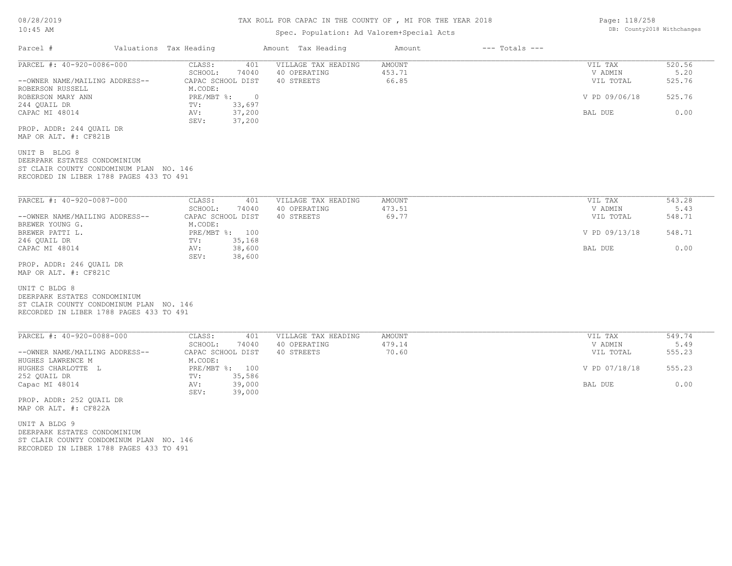#### TAX ROLL FOR CAPAC IN THE COUNTY OF , MI FOR THE YEAR 2018

#### Spec. Population: Ad Valorem+Special Acts

| Parcel #                                                                                                                            | Valuations Tax Heading                        | Amount Tax Heading                  | Amount                  | $---$ Totals $---$ |                    |                |
|-------------------------------------------------------------------------------------------------------------------------------------|-----------------------------------------------|-------------------------------------|-------------------------|--------------------|--------------------|----------------|
| PARCEL #: 40-920-0086-000                                                                                                           | CLASS:<br>401<br>SCHOOL:<br>74040             | VILLAGE TAX HEADING<br>40 OPERATING | <b>AMOUNT</b><br>453.71 |                    | VIL TAX<br>V ADMIN | 520.56<br>5.20 |
| --OWNER NAME/MAILING ADDRESS--<br>ROBERSON RUSSELL                                                                                  | CAPAC SCHOOL DIST<br>M.CODE:                  | 40 STREETS                          | 66.85                   |                    | VIL TOTAL          | 525.76         |
| ROBERSON MARY ANN<br>244 QUAIL DR                                                                                                   | PRE/MBT %:<br>$\overline{0}$<br>TV:<br>33,697 |                                     |                         |                    | V PD 09/06/18      | 525.76         |
| CAPAC MI 48014                                                                                                                      | 37,200<br>AV:<br>SEV:<br>37,200               |                                     |                         |                    | BAL DUE            | 0.00           |
| PROP. ADDR: 244 QUAIL DR<br>MAP OR ALT. #: CF821B                                                                                   |                                               |                                     |                         |                    |                    |                |
| UNIT B BLDG 8<br>DEERPARK ESTATES CONDOMINIUM<br>ST CLAIR COUNTY CONDOMINUM PLAN NO. 146<br>RECORDED IN LIBER 1788 PAGES 433 TO 491 |                                               |                                     |                         |                    |                    |                |
| PARCEL #: 40-920-0087-000                                                                                                           | CLASS:<br>401                                 | VILLAGE TAX HEADING                 | AMOUNT                  |                    | VIL TAX            | 543.28         |
|                                                                                                                                     | SCHOOL:<br>74040                              | 40 OPERATING                        | 473.51<br>69.77         |                    | V ADMIN            | 5.43           |
| --OWNER NAME/MAILING ADDRESS--<br>BREWER YOUNG G.                                                                                   | CAPAC SCHOOL DIST<br>M.CODE:                  | 40 STREETS                          |                         |                    | VIL TOTAL          | 548.71         |
| BREWER PATTI L.<br>246 QUAIL DR                                                                                                     | PRE/MBT %: 100<br>35,168<br>TV:               |                                     |                         |                    | V PD 09/13/18      | 548.71         |
| CAPAC MI 48014                                                                                                                      | 38,600<br>AV:<br>SEV:                         |                                     |                         |                    | BAL DUE            | 0.00           |
| PROP. ADDR: 246 QUAIL DR<br>MAP OR ALT. #: CF821C                                                                                   | 38,600                                        |                                     |                         |                    |                    |                |
| UNIT C BLDG 8<br>DEERPARK ESTATES CONDOMINIUM<br>ST CLAIR COUNTY CONDOMINUM PLAN NO. 146<br>RECORDED IN LIBER 1788 PAGES 433 TO 491 |                                               |                                     |                         |                    |                    |                |
| PARCEL #: 40-920-0088-000                                                                                                           | CLASS:<br>401                                 | VILLAGE TAX HEADING                 | <b>AMOUNT</b>           |                    | VIL TAX            | 549.74         |
|                                                                                                                                     | SCHOOL:<br>74040                              | 40 OPERATING                        | 479.14                  |                    | V ADMIN            | 5.49           |
| --OWNER NAME/MAILING ADDRESS--<br>HUGHES LAWRENCE M                                                                                 | CAPAC SCHOOL DIST<br>M.CODE:                  | 40 STREETS                          | 70.60                   |                    | VIL TOTAL          | 555.23         |
| HUGHES CHARLOTTE L<br>252 QUAIL DR                                                                                                  | PRE/MBT %: 100<br>35,586<br>TV:               |                                     |                         |                    | V PD 07/18/18      | 555.23         |
| Capac MI 48014                                                                                                                      | 39,000<br>AV:<br>39,000<br>SEV:               |                                     |                         |                    | BAL DUE            | 0.00           |
| PROP. ADDR: 252 QUAIL DR<br>MAP OR ALT. #: CF822A                                                                                   |                                               |                                     |                         |                    |                    |                |

RECORDED IN LIBER 1788 PAGES 433 TO 491 ST CLAIR COUNTY CONDOMINUM PLAN NO. 146 DEERPARK ESTATES CONDOMINIUM UNIT A BLDG 9

Page: 118/258 DB: County2018 Withchanges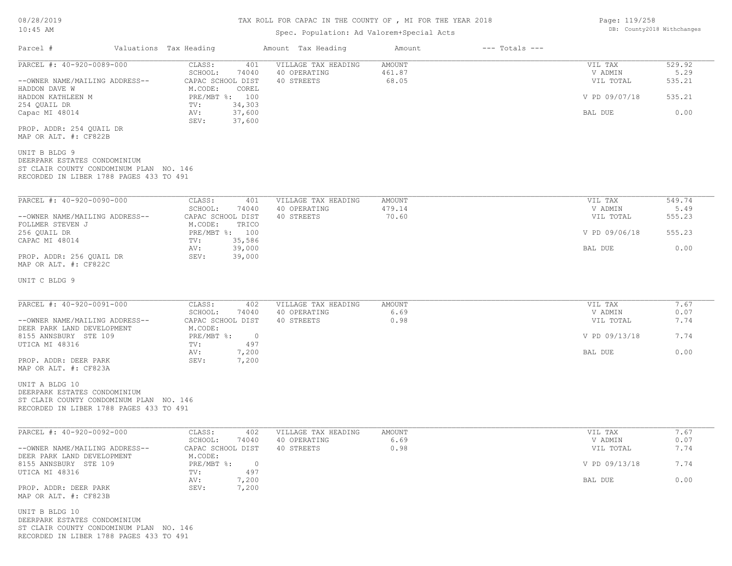# TAX ROLL FOR CAPAC IN THE COUNTY OF , MI FOR THE YEAR 2018

## Spec. Population: Ad Valorem+Special Acts

| Page: 119/258 |                            |
|---------------|----------------------------|
|               | DB: County2018 Withchanges |

| Parcel #                                                                                                                             | Valuations Tax Heading                                              | Amount Tax Heading                                | Amount                    | $---$ Totals $---$ |                                 |                          |
|--------------------------------------------------------------------------------------------------------------------------------------|---------------------------------------------------------------------|---------------------------------------------------|---------------------------|--------------------|---------------------------------|--------------------------|
| PARCEL #: 40-920-0089-000<br>--OWNER NAME/MAILING ADDRESS--                                                                          | CLASS:<br>401<br>SCHOOL:<br>74040<br>CAPAC SCHOOL DIST              | VILLAGE TAX HEADING<br>40 OPERATING<br>40 STREETS | AMOUNT<br>461.87<br>68.05 |                    | VIL TAX<br>V ADMIN<br>VIL TOTAL | 529.92<br>5.29<br>535.21 |
| HADDON DAVE W<br>HADDON KATHLEEN M                                                                                                   | M.CODE:<br>COREL<br>PRE/MBT %: 100                                  |                                                   |                           |                    | V PD 09/07/18                   | 535.21                   |
| 254 QUAIL DR<br>Capac MI 48014                                                                                                       | 34,303<br>TV:<br>37,600<br>AV:<br>37,600<br>SEV:                    |                                                   |                           |                    | BAL DUE                         | 0.00                     |
| PROP. ADDR: 254 QUAIL DR<br>MAP OR ALT. #: CF822B                                                                                    |                                                                     |                                                   |                           |                    |                                 |                          |
| UNIT B BLDG 9<br>DEERPARK ESTATES CONDOMINIUM<br>ST CLAIR COUNTY CONDOMINUM PLAN NO. 146<br>RECORDED IN LIBER 1788 PAGES 433 TO 491  |                                                                     |                                                   |                           |                    |                                 |                          |
| PARCEL #: 40-920-0090-000                                                                                                            | CLASS:<br>401<br>SCHOOL:<br>74040                                   | VILLAGE TAX HEADING<br>40 OPERATING               | AMOUNT<br>479.14          |                    | VIL TAX<br>V ADMIN              | 549.74<br>5.49           |
| --OWNER NAME/MAILING ADDRESS--<br>FOLLMER STEVEN J                                                                                   | CAPAC SCHOOL DIST<br>M.CODE:<br>TRICO                               | 40 STREETS                                        | 70.60                     | VIL TOTAL          | 555.23                          |                          |
| 256 QUAIL DR<br>CAPAC MI 48014                                                                                                       | PRE/MBT %: 100<br>35,586<br>TV:                                     |                                                   |                           | V PD 09/06/18      | 555.23                          |                          |
| PROP. ADDR: 256 QUAIL DR<br>MAP OR ALT. #: CF822C                                                                                    | 39,000<br>AV:<br>SEV:<br>39,000                                     |                                                   |                           |                    | BAL DUE                         | 0.00                     |
| UNIT C BLDG 9                                                                                                                        |                                                                     |                                                   |                           |                    |                                 |                          |
| PARCEL #: 40-920-0091-000<br>--OWNER NAME/MAILING ADDRESS--                                                                          | CLASS:<br>402<br>SCHOOL:<br>74040<br>CAPAC SCHOOL DIST              | VILLAGE TAX HEADING<br>40 OPERATING<br>40 STREETS | AMOUNT<br>6.69<br>0.98    |                    | VIL TAX<br>V ADMIN<br>VIL TOTAL | 7.67<br>0.07<br>7.74     |
| DEER PARK LAND DEVELOPMENT<br>8155 ANNSBURY STE 109<br>UTICA MI 48316                                                                | M.CODE:<br>PRE/MBT %:<br>497                                        | $\overline{0}$                                    |                           |                    | V PD 09/13/18                   | 7.74                     |
| PROP. ADDR: DEER PARK                                                                                                                | TV:<br>AV:<br>7,200<br>SEV:<br>7,200                                |                                                   |                           |                    | BAL DUE                         | 0.00                     |
| MAP OR ALT. #: CF823A                                                                                                                |                                                                     |                                                   |                           |                    |                                 |                          |
| UNIT A BLDG 10<br>DEERPARK ESTATES CONDOMINIUM<br>ST CLAIR COUNTY CONDOMINUM PLAN NO. 146<br>RECORDED IN LIBER 1788 PAGES 433 TO 491 |                                                                     |                                                   |                           |                    |                                 |                          |
| PARCEL #: 40-920-0092-000                                                                                                            | CLASS:<br>402<br>SCHOOL:<br>74040                                   | VILLAGE TAX HEADING<br>40 OPERATING               | AMOUNT<br>6.69            |                    | VIL TAX<br>V ADMIN              | 7.67<br>0.07             |
| --OWNER NAME/MAILING ADDRESS--<br>DEER PARK LAND DEVELOPMENT                                                                         | CAPAC SCHOOL DIST<br>M.CODE:                                        | 40 STREETS                                        | 0.98                      |                    | VIL TOTAL                       | 7.74                     |
| 8155 ANNSBURY STE 109<br>UTICA MI 48316                                                                                              | $PRE/MBT$ $\frac{1}{6}$ :<br>$\overline{\phantom{0}}$<br>497<br>TV: |                                                   |                           |                    | V PD 09/13/18                   | 7.74                     |
| PROP. ADDR: DEER PARK<br>MAP OR ALT. #: CF823B                                                                                       | AV:<br>7,200<br>7,200<br>SEV:                                       |                                                   |                           |                    | BAL DUE                         | 0.00                     |
| UNIT B BLDG 10<br>DEERPARK ESTATES CONDOMINIUM<br>ST CLAIR COUNTY CONDOMINUM PLAN NO. 146<br>RECORDED IN LIBER 1788 PAGES 433 TO 491 |                                                                     |                                                   |                           |                    |                                 |                          |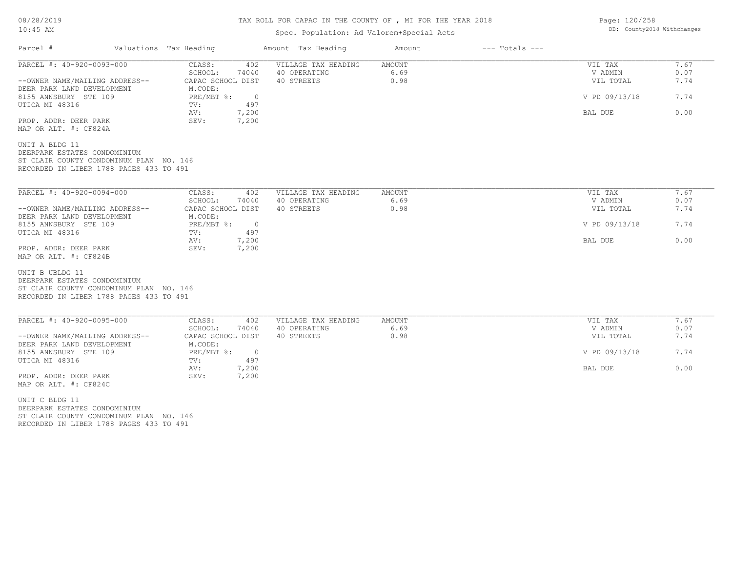## TAX ROLL FOR CAPAC IN THE COUNTY OF , MI FOR THE YEAR 2018

## Spec. Population: Ad Valorem+Special Acts

| Parcel #                                                                                                                              | Valuations Tax Heading                                         | Amount Tax Heading                  | Amount         | $---$ Totals $---$ |                      |              |
|---------------------------------------------------------------------------------------------------------------------------------------|----------------------------------------------------------------|-------------------------------------|----------------|--------------------|----------------------|--------------|
| PARCEL #: 40-920-0093-000                                                                                                             | CLASS:<br>402<br>SCHOOL:<br>74040                              | VILLAGE TAX HEADING<br>40 OPERATING | AMOUNT<br>6.69 |                    | VIL TAX<br>V ADMIN   | 7.67<br>0.07 |
| --OWNER NAME/MAILING ADDRESS--<br>DEER PARK LAND DEVELOPMENT                                                                          | CAPAC SCHOOL DIST<br>M.CODE:                                   | 40 STREETS                          | 0.98           |                    | VIL TOTAL            | 7.74         |
| 8155 ANNSBURY STE 109<br>UTICA MI 48316                                                                                               | PRE/MBT %:<br>$\overline{\phantom{0}}$<br>497<br>$\text{TV}$ : |                                     |                |                    | V PD 09/13/18        | 7.74         |
| PROP. ADDR: DEER PARK<br>MAP OR ALT. #: CF824A                                                                                        | 7,200<br>AV:<br>SEV:<br>7,200                                  |                                     |                |                    | BAL DUE              | 0.00         |
| UNIT A BLDG 11<br>DEERPARK ESTATES CONDOMINIUM<br>ST CLAIR COUNTY CONDOMINUM PLAN NO. 146<br>RECORDED IN LIBER 1788 PAGES 433 TO 491  |                                                                |                                     |                |                    |                      |              |
| PARCEL #: 40-920-0094-000                                                                                                             | 402<br>CLASS:                                                  | VILLAGE TAX HEADING                 | AMOUNT         |                    | VIL TAX              | 7.67         |
|                                                                                                                                       | SCHOOL:<br>74040                                               | 40 OPERATING                        | 6.69           |                    | V ADMIN              | 0.07         |
| --OWNER NAME/MAILING ADDRESS--                                                                                                        | CAPAC SCHOOL DIST                                              | 40 STREETS                          | 0.98           |                    | VIL TOTAL            | 7.74         |
| DEER PARK LAND DEVELOPMENT<br>8155 ANNSBURY STE 109                                                                                   | M.CODE:<br>PRE/MBT %: 0                                        |                                     |                |                    | V PD 09/13/18        | 7.74         |
| UTICA MI 48316                                                                                                                        | 497<br>TV:                                                     |                                     |                |                    |                      |              |
| PROP. ADDR: DEER PARK<br>MAP OR ALT. #: CF824B                                                                                        | AV:<br>7,200<br>7,200<br>SEV:                                  |                                     |                |                    | BAL DUE              | 0.00         |
| UNIT B UBLDG 11<br>DEERPARK ESTATES CONDOMINIUM<br>ST CLAIR COUNTY CONDOMINUM PLAN NO. 146<br>RECORDED IN LIBER 1788 PAGES 433 TO 491 |                                                                |                                     |                |                    |                      |              |
| PARCEL #: 40-920-0095-000                                                                                                             | CLASS:<br>402                                                  | VILLAGE TAX HEADING                 | AMOUNT         |                    | VIL TAX              | 7.67         |
| --OWNER NAME/MAILING ADDRESS--<br>DEER PARK LAND DEVELOPMENT                                                                          | SCHOOL:<br>74040<br>CAPAC SCHOOL DIST<br>M.CODE:               | 40 OPERATING<br>40 STREETS          | 6.69<br>0.98   |                    | V ADMIN<br>VIL TOTAL | 0.07<br>7.74 |
| 8155 ANNSBURY STE 109<br>UTICA MI 48316                                                                                               | PRE/MBT %: 0<br>497<br>TV:                                     |                                     |                |                    | V PD 09/13/18        | 7.74         |
| PROP. ADDR: DEER PARK<br>MAP OR ALT. #: CF824C                                                                                        | 7,200<br>AV:<br>SEV:<br>7,200                                  |                                     |                |                    | BAL DUE              | 0.00         |
| UNIT C BLDG 11<br>DEERPARK ESTATES CONDOMINIUM                                                                                        |                                                                |                                     |                |                    |                      |              |
| ST CLAIR COUNTY CONDOMINUM PLAN NO. 146                                                                                               |                                                                |                                     |                |                    |                      |              |

RECORDED IN LIBER 1788 PAGES 433 TO 491

Page: 120/258 DB: County2018 Withchanges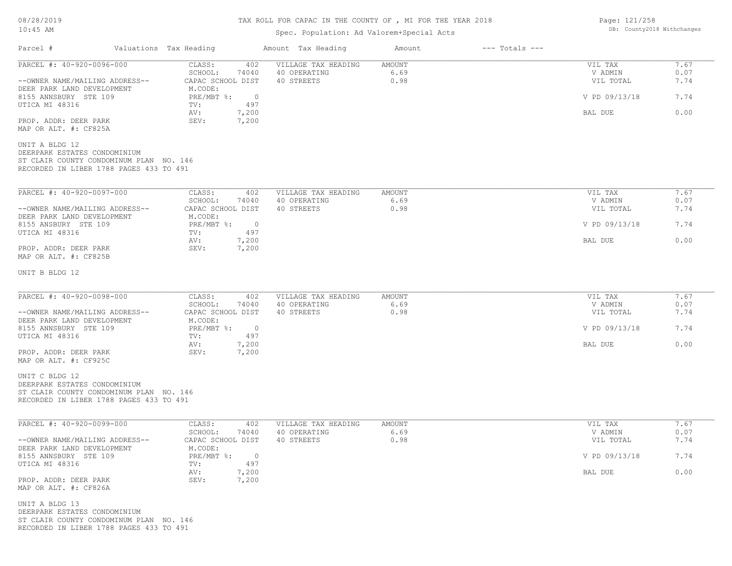#### TAX ROLL FOR CAPAC IN THE COUNTY OF , MI FOR THE YEAR 2018

#### Spec. Population: Ad Valorem+Special Acts

 $\mathcal{L}_\mathcal{L} = \mathcal{L}_\mathcal{L} = \mathcal{L}_\mathcal{L} = \mathcal{L}_\mathcal{L} = \mathcal{L}_\mathcal{L} = \mathcal{L}_\mathcal{L} = \mathcal{L}_\mathcal{L} = \mathcal{L}_\mathcal{L} = \mathcal{L}_\mathcal{L} = \mathcal{L}_\mathcal{L} = \mathcal{L}_\mathcal{L} = \mathcal{L}_\mathcal{L} = \mathcal{L}_\mathcal{L} = \mathcal{L}_\mathcal{L} = \mathcal{L}_\mathcal{L} = \mathcal{L}_\mathcal{L} = \mathcal{L}_\mathcal{L}$ 

Parcel # Valuations Tax Heading Amount Tax Heading Amount --- Totals ---

| PARCEL #: 40-920-0096-000                                                          | CLASS:<br>402                      | VILLAGE TAX HEADING                 | AMOUNT                | VIL TAX            | 7.67         |
|------------------------------------------------------------------------------------|------------------------------------|-------------------------------------|-----------------------|--------------------|--------------|
|                                                                                    | SCHOOL:<br>74040                   | 40 OPERATING                        | 6.69                  | V ADMIN            | 0.07         |
| --OWNER NAME/MAILING ADDRESS--<br>DEER PARK LAND DEVELOPMENT                       | CAPAC SCHOOL DIST<br>M.CODE:       | 40 STREETS                          | 0.98                  | VIL TOTAL          | 7.74         |
| 8155 ANNSBURY STE 109                                                              | PRE/MBT %:<br>$\overline{0}$       |                                     |                       | V PD 09/13/18      | 7.74         |
| UTICA MI 48316                                                                     | 497<br>TV:                         |                                     |                       |                    |              |
|                                                                                    | AV:<br>7,200                       |                                     |                       | BAL DUE            | 0.00         |
| PROP. ADDR: DEER PARK<br>MAP OR ALT. #: CF825A                                     | SEV:<br>7,200                      |                                     |                       |                    |              |
| UNIT A BLDG 12                                                                     |                                    |                                     |                       |                    |              |
| DEERPARK ESTATES CONDOMINIUM                                                       |                                    |                                     |                       |                    |              |
| ST CLAIR COUNTY CONDOMINUM PLAN NO. 146                                            |                                    |                                     |                       |                    |              |
| RECORDED IN LIBER 1788 PAGES 433 TO 491                                            |                                    |                                     |                       |                    |              |
| PARCEL #: 40-920-0097-000                                                          | CLASS:<br>402                      | VILLAGE TAX HEADING                 | <b>AMOUNT</b>         | VIL TAX            | 7.67         |
|                                                                                    | SCHOOL:<br>74040                   | 40 OPERATING                        | 6.69                  | V ADMIN            | 0.07         |
| --OWNER NAME/MAILING ADDRESS--                                                     | CAPAC SCHOOL DIST                  | 40 STREETS                          | 0.98                  | VIL TOTAL          | 7.74         |
| DEER PARK LAND DEVELOPMENT                                                         | M.CODE:                            |                                     |                       |                    |              |
| 8155 ANSBURY STE 109                                                               | $PRE/MBT$ $\div$<br>$\overline{0}$ |                                     |                       | V PD 09/13/18      | 7.74         |
| UTICA MI 48316                                                                     | 497<br>TV:<br>AV:<br>7,200         |                                     |                       | BAL DUE            | 0.00         |
| PROP. ADDR: DEER PARK                                                              | SEV:<br>7,200                      |                                     |                       |                    |              |
| MAP OR ALT. #: CF825B                                                              |                                    |                                     |                       |                    |              |
|                                                                                    |                                    |                                     |                       |                    |              |
| UNIT B BLDG 12                                                                     |                                    |                                     |                       |                    |              |
|                                                                                    |                                    |                                     |                       |                    |              |
| PARCEL #: 40-920-0098-000                                                          | CLASS:<br>402<br>SCHOOL:<br>74040  | VILLAGE TAX HEADING<br>40 OPERATING | <b>AMOUNT</b><br>6.69 | VIL TAX<br>V ADMIN | 7.67<br>0.07 |
| --OWNER NAME/MAILING ADDRESS--                                                     | CAPAC SCHOOL DIST                  | 40 STREETS                          | 0.98                  | VIL TOTAL          | 7.74         |
| DEER PARK LAND DEVELOPMENT                                                         | M.CODE:                            |                                     |                       |                    |              |
| 8155 ANNSBURY STE 109                                                              | $PRE/MBT$ $\div$<br>$\overline{0}$ |                                     |                       | V PD 09/13/18      | 7.74         |
| UTICA MI 48316                                                                     | 497<br>TV:                         |                                     |                       |                    |              |
|                                                                                    | 7,200<br>AV:                       |                                     |                       | BAL DUE            | 0.00         |
| PROP. ADDR: DEER PARK<br>MAP OR ALT. #: CF925C                                     | SEV:<br>7,200                      |                                     |                       |                    |              |
|                                                                                    |                                    |                                     |                       |                    |              |
| UNIT C BLDG 12                                                                     |                                    |                                     |                       |                    |              |
| DEERPARK ESTATES CONDOMINIUM                                                       |                                    |                                     |                       |                    |              |
| ST CLAIR COUNTY CONDOMINUM PLAN NO. 146<br>RECORDED IN LIBER 1788 PAGES 433 TO 491 |                                    |                                     |                       |                    |              |
|                                                                                    |                                    |                                     |                       |                    |              |
| PARCEL #: 40-920-0099-000                                                          | CLASS:<br>402                      | VILLAGE TAX HEADING                 | AMOUNT                | VIL TAX            | 7.67         |
|                                                                                    | SCHOOL:<br>74040                   | 40 OPERATING                        | 6.69                  | V ADMIN            | 0.07         |
| --OWNER NAME/MAILING ADDRESS--<br>DEER PARK LAND DEVELOPMENT                       | CAPAC SCHOOL DIST<br>M.CODE:       | 40 STREETS                          | 0.98                  | VIL TOTAL          | 7.74         |
| 8155 ANNSBURY STE 109                                                              | PRE/MBT %:<br>$\bigcirc$           |                                     |                       | V PD 09/13/18      | 7.74         |
| UTICA MI 48316                                                                     | 497<br>TV:                         |                                     |                       |                    |              |
|                                                                                    | AV:<br>7,200                       |                                     |                       | BAL DUE            | 0.00         |
| PROP. ADDR: DEER PARK                                                              | SEV:<br>7,200                      |                                     |                       |                    |              |
| MAP OR ALT. #: CF826A                                                              |                                    |                                     |                       |                    |              |
| UNIT A BLDG 13                                                                     |                                    |                                     |                       |                    |              |
| DEERPARK ESTATES CONDOMINIUM                                                       |                                    |                                     |                       |                    |              |
| ST CLAIR COUNTY CONDOMINUM PLAN NO. 146                                            |                                    |                                     |                       |                    |              |
| RECORDED IN LIBER 1788 PAGES 433 TO 491                                            |                                    |                                     |                       |                    |              |
|                                                                                    |                                    |                                     |                       |                    |              |

Page: 121/258 DB: County2018 Withchanges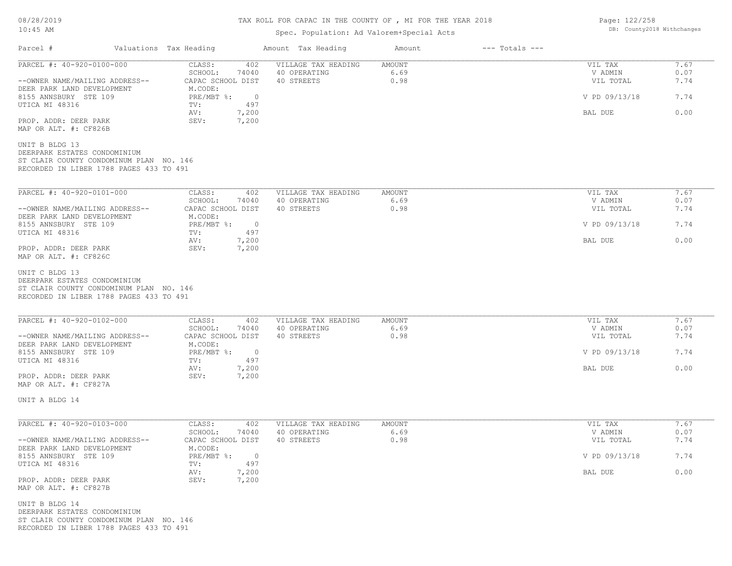## TAX ROLL FOR CAPAC IN THE COUNTY OF , MI FOR THE YEAR 2018

## Spec. Population: Ad Valorem+Special Acts

Parcel # Valuations Tax Heading Amount Tax Heading Amount --- Totals ---

| PARCEL #: 40-920-0100-000<br>--OWNER NAME/MAILING ADDRESS--                                                                          | CLASS:<br>402<br>SCHOOL:<br>74040<br>CAPAC SCHOOL DIST | VILLAGE TAX HEADING<br>40 OPERATING<br>40 STREETS | AMOUNT<br>6.69<br>0.98 | VIL TAX<br>V ADMIN<br>VIL TOTAL | 7.67<br>0.07<br>7.74 |
|--------------------------------------------------------------------------------------------------------------------------------------|--------------------------------------------------------|---------------------------------------------------|------------------------|---------------------------------|----------------------|
| DEER PARK LAND DEVELOPMENT<br>8155 ANNSBURY STE 109                                                                                  | M.CODE:<br>PRE/MBT %:<br>$\overline{0}$                |                                                   |                        | V PD 09/13/18                   | 7.74                 |
| UTICA MI 48316                                                                                                                       | 497<br>TV:<br>7,200<br>AV:                             |                                                   |                        | BAL DUE                         | 0.00                 |
| PROP. ADDR: DEER PARK<br>MAP OR ALT. #: CF826B                                                                                       | SEV:<br>7,200                                          |                                                   |                        |                                 |                      |
| UNIT B BLDG 13<br>DEERPARK ESTATES CONDOMINIUM<br>ST CLAIR COUNTY CONDOMINUM PLAN NO. 146<br>RECORDED IN LIBER 1788 PAGES 433 TO 491 |                                                        |                                                   |                        |                                 |                      |
| PARCEL #: 40-920-0101-000                                                                                                            | CLASS:<br>402                                          | VILLAGE TAX HEADING                               | <b>AMOUNT</b>          | VIL TAX                         | 7.67                 |
| --OWNER NAME/MAILING ADDRESS--                                                                                                       | SCHOOL:<br>74040<br>CAPAC SCHOOL DIST                  | 40 OPERATING<br>40 STREETS                        | 6.69<br>0.98           | V ADMIN<br>VIL TOTAL            | 0.07<br>7.74         |
| DEER PARK LAND DEVELOPMENT<br>8155 ANNSBURY STE 109                                                                                  | M.CODE:<br>$PRE/MBT$ $\div$<br>$\overline{0}$          |                                                   |                        | V PD 09/13/18                   | 7.74                 |
| UTICA MI 48316                                                                                                                       | 497<br>TV:<br>7,200<br>AV:                             |                                                   |                        | BAL DUE                         | 0.00                 |
| PROP. ADDR: DEER PARK<br>MAP OR ALT. #: CF826C                                                                                       | SEV:<br>7,200                                          |                                                   |                        |                                 |                      |
| UNIT C BLDG 13<br>DEERPARK ESTATES CONDOMINIUM<br>ST CLAIR COUNTY CONDOMINUM PLAN NO. 146<br>RECORDED IN LIBER 1788 PAGES 433 TO 491 |                                                        |                                                   |                        |                                 |                      |
| PARCEL #: 40-920-0102-000                                                                                                            | CLASS:<br>402<br>SCHOOL:<br>74040                      | VILLAGE TAX HEADING<br>40 OPERATING               | AMOUNT<br>6.69         | VIL TAX<br>V ADMIN              | 7.67<br>0.07         |
| --OWNER NAME/MAILING ADDRESS--<br>DEER PARK LAND DEVELOPMENT                                                                         | CAPAC SCHOOL DIST<br>M.CODE:                           | 40 STREETS                                        | 0.98                   | VIL TOTAL                       | 7.74                 |
| 8155 ANNSBURY STE 109<br>UTICA MI 48316                                                                                              | $PRE/MBT$ $\div$<br>$\overline{0}$<br>TV:<br>497       |                                                   |                        | V PD 09/13/18                   | 7.74                 |
| PROP. ADDR: DEER PARK<br>MAP OR ALT. #: CF827A                                                                                       | 7,200<br>AV:<br>SEV:<br>7,200                          |                                                   |                        | BAL DUE                         | 0.00                 |
| UNIT A BLDG 14                                                                                                                       |                                                        |                                                   |                        |                                 |                      |
| PARCEL #: 40-920-0103-000                                                                                                            | CLASS:<br>402                                          | VILLAGE TAX HEADING                               | AMOUNT                 | VIL TAX                         | 7.67                 |
| --OWNER NAME/MAILING ADDRESS--                                                                                                       | SCHOOL:<br>74040<br>CAPAC SCHOOL DIST                  | 40 OPERATING<br>40 STREETS                        | 6.69<br>0.98           | V ADMIN<br>VIL TOTAL            | 0.07<br>7.74         |
| DEER PARK LAND DEVELOPMENT<br>8155 ANNSBURY STE 109                                                                                  | M.CODE:<br>$PRE/MBT$ $\div$<br>$\overline{0}$          |                                                   |                        | V PD 09/13/18                   | 7.74                 |
| UTICA MI 48316                                                                                                                       | 497<br>TV:<br>7,200<br>AV:                             |                                                   |                        | BAL DUE                         | 0.00                 |
| PROP. ADDR: DEER PARK<br>MAP OR ALT. #: CF827B                                                                                       | SEV:<br>7,200                                          |                                                   |                        |                                 |                      |
| UNIT B BLDG 14<br>DEERPARK ESTATES CONDOMINIUM<br>ST CLAIR COUNTY CONDOMINUM PLAN NO. 146<br>RECORDED IN LIBER 1788 PAGES 433 TO 491 |                                                        |                                                   |                        |                                 |                      |

Page: 122/258 DB: County2018 Withchanges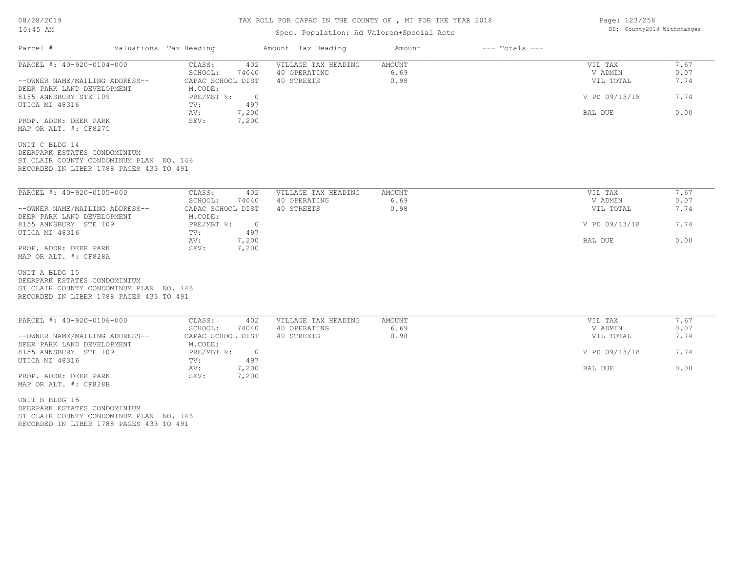## TAX ROLL FOR CAPAC IN THE COUNTY OF , MI FOR THE YEAR 2018

## Spec. Population: Ad Valorem+Special Acts

| Parcel #                                                                                                                             | Valuations Tax Heading                                 | Amount Tax Heading                                | Amount                        | $---$ Totals $---$ |                                 |                      |
|--------------------------------------------------------------------------------------------------------------------------------------|--------------------------------------------------------|---------------------------------------------------|-------------------------------|--------------------|---------------------------------|----------------------|
| PARCEL #: 40-920-0104-000<br>--OWNER NAME/MAILING ADDRESS--                                                                          | 402<br>CLASS:<br>SCHOOL:<br>74040<br>CAPAC SCHOOL DIST | VILLAGE TAX HEADING<br>40 OPERATING<br>40 STREETS | <b>AMOUNT</b><br>6.69<br>0.98 |                    | VIL TAX<br>V ADMIN<br>VIL TOTAL | 7.67<br>0.07<br>7.74 |
| DEER PARK LAND DEVELOPMENT<br>8155 ANNSBURY STE 109                                                                                  | M.CODE:<br>$PRE/MBT$ $\frac{1}{6}$ :<br>$\overline{0}$ |                                                   |                               |                    | V PD 09/13/18                   | 7.74                 |
| UTICA MI 48316<br>PROP. ADDR: DEER PARK                                                                                              | 497<br>TV:<br>7,200<br>AV:<br>SEV:<br>7,200            |                                                   |                               |                    | BAL DUE                         | 0.00                 |
| MAP OR ALT. #: CF827C<br>UNIT C BLDG 14                                                                                              |                                                        |                                                   |                               |                    |                                 |                      |
| DEERPARK ESTATES CONDOMINIUM<br>ST CLAIR COUNTY CONDOMINUM PLAN NO. 146<br>RECORDED IN LIBER 1788 PAGES 433 TO 491                   |                                                        |                                                   |                               |                    |                                 |                      |
| PARCEL #: 40-920-0105-000                                                                                                            | CLASS:<br>402                                          | VILLAGE TAX HEADING                               | <b>AMOUNT</b>                 |                    | VIL TAX                         | 7.67                 |
|                                                                                                                                      | SCHOOL:<br>74040                                       | 40 OPERATING                                      | 6.69                          |                    | V ADMIN                         | 0.07                 |
| --OWNER NAME/MAILING ADDRESS--                                                                                                       | CAPAC SCHOOL DIST                                      | 40 STREETS                                        | 0.98                          |                    | VIL TOTAL                       | 7.74                 |
| DEER PARK LAND DEVELOPMENT                                                                                                           | M.CODE:                                                |                                                   |                               |                    |                                 |                      |
| 8155 ANNSBURY STE 109                                                                                                                | PRE/MBT %:<br>$\overline{0}$                           |                                                   |                               |                    | V PD 09/13/18                   | 7.74                 |
| UTICA MI 48316                                                                                                                       | 497<br>TV:                                             |                                                   |                               |                    |                                 |                      |
| PROP. ADDR: DEER PARK                                                                                                                | 7,200<br>AV:<br>7,200<br>SEV:                          |                                                   |                               |                    | BAL DUE                         | 0.00                 |
| MAP OR ALT. #: CF828A                                                                                                                |                                                        |                                                   |                               |                    |                                 |                      |
| UNIT A BLDG 15<br>DEERPARK ESTATES CONDOMINIUM<br>ST CLAIR COUNTY CONDOMINUM PLAN NO. 146<br>RECORDED IN LIBER 1788 PAGES 433 TO 491 |                                                        |                                                   |                               |                    |                                 |                      |
| PARCEL #: 40-920-0106-000                                                                                                            | CLASS:<br>402                                          | VILLAGE TAX HEADING                               | AMOUNT                        |                    | VIL TAX                         | 7.67                 |
|                                                                                                                                      | SCHOOL:<br>74040                                       | 40 OPERATING                                      | 6.69                          |                    | V ADMIN                         | 0.07                 |
| --OWNER NAME/MAILING ADDRESS--                                                                                                       | CAPAC SCHOOL DIST                                      | 40 STREETS                                        | 0.98                          |                    | VIL TOTAL                       | 7.74                 |
| DEER PARK LAND DEVELOPMENT<br>8155 ANNSBURY STE 109                                                                                  | M.CODE:<br>PRE/MBT %:<br>$\overline{0}$                |                                                   |                               |                    | V PD 09/13/18                   | 7.74                 |
| UTICA MI 48316                                                                                                                       | 497<br>TV:                                             |                                                   |                               |                    |                                 |                      |
|                                                                                                                                      | 7,200<br>AV:                                           |                                                   |                               |                    | BAL DUE                         | 0.00                 |
| PROP. ADDR: DEER PARK<br>MAP OR ALT. #: CF828B                                                                                       | SEV:<br>7,200                                          |                                                   |                               |                    |                                 |                      |
| UNIT B BLDG 15<br>DEERPARK ESTATES CONDOMINIUM                                                                                       |                                                        |                                                   |                               |                    |                                 |                      |
| ST CLAIR COUNTY CONDOMINUM PLAN NO. 146                                                                                              |                                                        |                                                   |                               |                    |                                 |                      |

RECORDED IN LIBER 1788 PAGES 433 TO 491

Page: 123/258 DB: County2018 Withchanges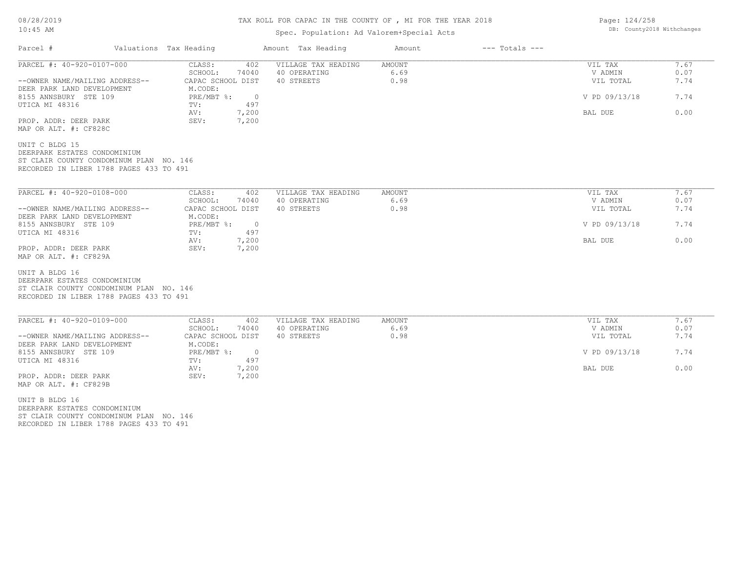#### TAX ROLL FOR CAPAC IN THE COUNTY OF , MI FOR THE YEAR 2018

#### Spec. Population: Ad Valorem+Special Acts

| Parcel #                                                                           | Valuations Tax Heading                     | Amount Tax Heading  | Amount        | $---$ Totals $---$ |               |      |
|------------------------------------------------------------------------------------|--------------------------------------------|---------------------|---------------|--------------------|---------------|------|
| PARCEL #: 40-920-0107-000                                                          | CLASS:<br>402                              | VILLAGE TAX HEADING | <b>AMOUNT</b> |                    | VIL TAX       | 7.67 |
|                                                                                    | 74040<br>SCHOOL:                           | 40 OPERATING        | 6.69          |                    | V ADMIN       | 0.07 |
| --OWNER NAME/MAILING ADDRESS--<br>DEER PARK LAND DEVELOPMENT                       | CAPAC SCHOOL DIST<br>M.CODE:               | 40 STREETS          | 0.98          |                    | VIL TOTAL     | 7.74 |
| 8155 ANNSBURY STE 109<br>UTICA MI 48316                                            | PRE/MBT %:<br>$\overline{0}$<br>497<br>TV: |                     |               |                    | V PD 09/13/18 | 7.74 |
| PROP. ADDR: DEER PARK                                                              | 7,200<br>AV:<br>SEV:<br>7,200              |                     |               |                    | BAL DUE       | 0.00 |
| MAP OR ALT. #: CF828C                                                              |                                            |                     |               |                    |               |      |
| UNIT C BLDG 15<br>DEERPARK ESTATES CONDOMINIUM                                     |                                            |                     |               |                    |               |      |
| ST CLAIR COUNTY CONDOMINUM PLAN NO. 146<br>RECORDED IN LIBER 1788 PAGES 433 TO 491 |                                            |                     |               |                    |               |      |
| PARCEL #: 40-920-0108-000                                                          | CLASS:<br>402                              | VILLAGE TAX HEADING | <b>AMOUNT</b> |                    | VIL TAX       | 7.67 |
|                                                                                    | 74040<br>SCHOOL:                           | 40 OPERATING        | 6.69          |                    | V ADMIN       | 0.07 |
| --OWNER NAME/MAILING ADDRESS--                                                     | CAPAC SCHOOL DIST                          | 40 STREETS          | 0.98          |                    | VIL TOTAL     | 7.74 |
| DEER PARK LAND DEVELOPMENT                                                         | M.CODE:                                    |                     |               |                    |               |      |
| 8155 ANNSBURY STE 109<br>UTICA MI 48316                                            | PRE/MBT %:<br>$\overline{0}$<br>497<br>TV: |                     |               |                    | V PD 09/13/18 | 7.74 |
|                                                                                    | 7,200<br>AV:                               |                     |               |                    | BAL DUE       | 0.00 |
| PROP. ADDR: DEER PARK<br>MAP OR ALT. #: CF829A                                     | 7,200<br>SEV:                              |                     |               |                    |               |      |
| UNIT A BLDG 16                                                                     |                                            |                     |               |                    |               |      |
| DEERPARK ESTATES CONDOMINIUM                                                       |                                            |                     |               |                    |               |      |
| ST CLAIR COUNTY CONDOMINUM PLAN NO. 146                                            |                                            |                     |               |                    |               |      |
| RECORDED IN LIBER 1788 PAGES 433 TO 491                                            |                                            |                     |               |                    |               |      |
| PARCEL #: 40-920-0109-000                                                          | CLASS:<br>402                              | VILLAGE TAX HEADING | AMOUNT        |                    | VIL TAX       | 7.67 |

| PARCEL #: 40-920-0109-000      | CLASS:            | 402   | VILLAGE TAX HEADING | AMOUNT | VIL TAX       | 7.67 |
|--------------------------------|-------------------|-------|---------------------|--------|---------------|------|
|                                | SCHOOL:           | 74040 | 40 OPERATING        | 6.69   | V ADMIN       | 0.07 |
| --OWNER NAME/MAILING ADDRESS-- | CAPAC SCHOOL DIST |       | 40 STREETS          | 0.98   | VIL TOTAL     | 7.74 |
| DEER PARK LAND DEVELOPMENT     | M.CODE:           |       |                     |        |               |      |
| 8155 ANNSBURY STE 109          | PRE/MBT %:        |       |                     |        | V PD 09/13/18 | 7.74 |
| UTICA MI 48316                 | TV:               | 497   |                     |        |               |      |
|                                | AV:               | ,200  |                     |        | BAL DUE       | 0.00 |
| PROP. ADDR: DEER PARK          | SEV:              | 7,200 |                     |        |               |      |
| MAP OR ALT. #: CF829B          |                   |       |                     |        |               |      |

RECORDED IN LIBER 1788 PAGES 433 TO 491 ST CLAIR COUNTY CONDOMINUM PLAN NO. 146 DEERPARK ESTATES CONDOMINIUM UNIT B BLDG 16

Page: 124/258 DB: County2018 Withchanges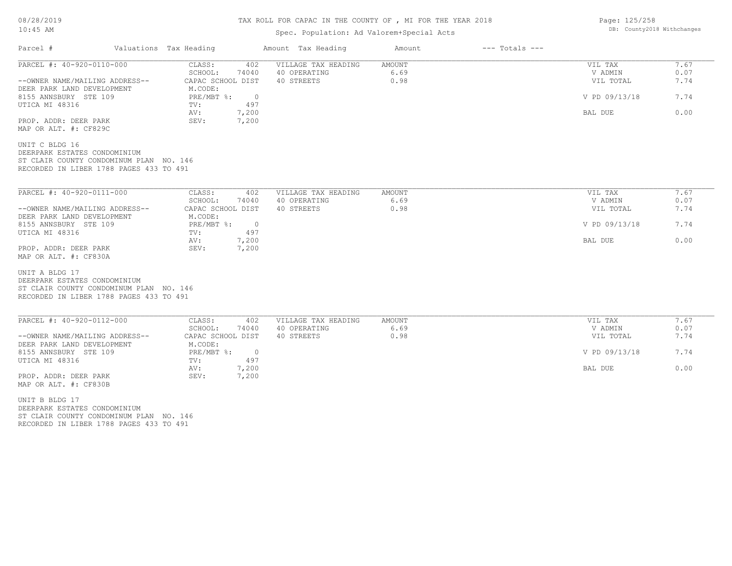## TAX ROLL FOR CAPAC IN THE COUNTY OF , MI FOR THE YEAR 2018

## Spec. Population: Ad Valorem+Special Acts

| Parcel #                                                                                                                             | Valuations Tax Heading                                               | Amount Tax Heading  | Amount | $---$ Totals $---$ |               |      |
|--------------------------------------------------------------------------------------------------------------------------------------|----------------------------------------------------------------------|---------------------|--------|--------------------|---------------|------|
| PARCEL #: 40-920-0110-000                                                                                                            | CLASS:<br>402                                                        | VILLAGE TAX HEADING | AMOUNT |                    | VIL TAX       | 7.67 |
|                                                                                                                                      | SCHOOL:<br>74040                                                     | 40 OPERATING        | 6.69   |                    | V ADMIN       | 0.07 |
| --OWNER NAME/MAILING ADDRESS--<br>DEER PARK LAND DEVELOPMENT                                                                         | CAPAC SCHOOL DIST<br>M.CODE:                                         | 40 STREETS          | 0.98   |                    | VIL TOTAL     | 7.74 |
| 8155 ANNSBURY STE 109<br>UTICA MI 48316                                                                                              | $PRE/MBT$ $\frac{1}{6}$ :<br>$\overline{0}$<br>497<br>TV:            |                     |        |                    | V PD 09/13/18 | 7.74 |
| PROP. ADDR: DEER PARK<br>MAP OR ALT. #: CF829C                                                                                       | 7,200<br>AV:<br>7,200<br>SEV:                                        |                     |        |                    | BAL DUE       | 0.00 |
| UNIT C BLDG 16<br>DEERPARK ESTATES CONDOMINIUM<br>ST CLAIR COUNTY CONDOMINUM PLAN NO. 146<br>RECORDED IN LIBER 1788 PAGES 433 TO 491 |                                                                      |                     |        |                    |               |      |
| PARCEL #: 40-920-0111-000                                                                                                            | CLASS:<br>402                                                        | VILLAGE TAX HEADING | AMOUNT |                    | VIL TAX       | 7.67 |
|                                                                                                                                      | SCHOOL:<br>74040                                                     | 40 OPERATING        | 6.69   |                    | V ADMIN       | 0.07 |
| --OWNER NAME/MAILING ADDRESS--                                                                                                       | CAPAC SCHOOL DIST                                                    | 40 STREETS          | 0.98   |                    | VIL TOTAL     | 7.74 |
| DEER PARK LAND DEVELOPMENT<br>8155 ANNSBURY STE 109<br>UTICA MI 48316                                                                | M.CODE:<br>$PRE/MBT$ $\frac{1}{6}$ :<br>$\overline{0}$<br>TV:<br>497 |                     |        |                    | V PD 09/13/18 | 7.74 |
|                                                                                                                                      | 7,200<br>AV:                                                         |                     |        |                    | BAL DUE       | 0.00 |
| PROP. ADDR: DEER PARK<br>MAP OR ALT. #: CF830A                                                                                       | SEV:<br>7,200                                                        |                     |        |                    |               |      |
| UNIT A BLDG 17<br>DEERPARK ESTATES CONDOMINIUM<br>ST CLAIR COUNTY CONDOMINUM PLAN NO. 146<br>RECORDED IN LIBER 1788 PAGES 433 TO 491 |                                                                      |                     |        |                    |               |      |
| PARCEL #: 40-920-0112-000                                                                                                            | CLASS:<br>402                                                        | VILLAGE TAX HEADING | AMOUNT |                    | VIL TAX       | 7.67 |
|                                                                                                                                      | SCHOOL:<br>74040                                                     | 40 OPERATING        | 6.69   |                    | V ADMIN       | 0.07 |
| --OWNER NAME/MAILING ADDRESS--                                                                                                       | CAPAC SCHOOL DIST                                                    | 40 STREETS          | 0.98   |                    | VIL TOTAL     | 7.74 |
| DEER PARK LAND DEVELOPMENT<br>8155 ANNSBURY STE 109<br>UTICA MI 48316                                                                | M.CODE:<br>$PRE/MBT$ %:<br>$\overline{0}$<br>497<br>TV:              |                     |        |                    | V PD 09/13/18 | 7.74 |
|                                                                                                                                      | AV:<br>7,200                                                         |                     |        |                    | BAL DUE       | 0.00 |
| PROP. ADDR: DEER PARK<br>MAP OR ALT. #: CF830B                                                                                       | 7,200<br>SEV:                                                        |                     |        |                    |               |      |
| UNIT B BLDG 17<br>DEERPARK ESTATES CONDOMINIUM                                                                                       |                                                                      |                     |        |                    |               |      |
|                                                                                                                                      |                                                                      |                     |        |                    |               |      |

RECORDED IN LIBER 1788 PAGES 433 TO 491 ST CLAIR COUNTY CONDOMINUM PLAN NO. 146 Page: 125/258 DB: County2018 Withchanges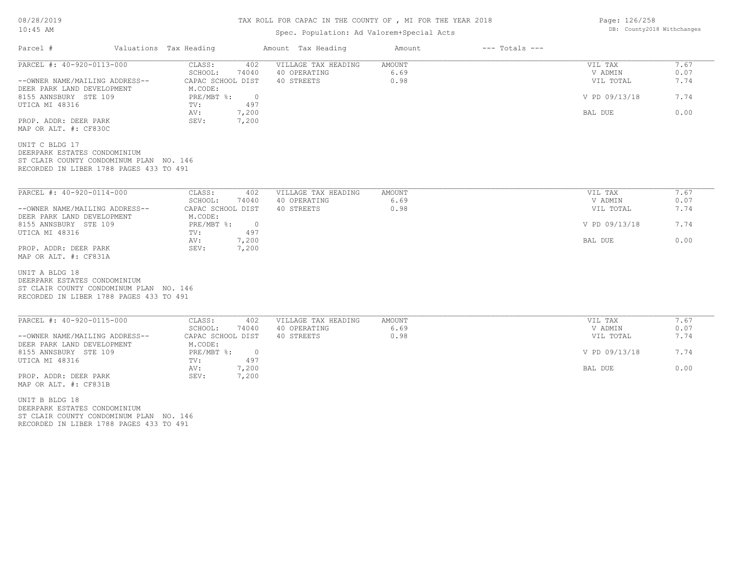## TAX ROLL FOR CAPAC IN THE COUNTY OF , MI FOR THE YEAR 2018

## Spec. Population: Ad Valorem+Special Acts

| Parcel #                                                                                                                             | Valuations Tax Heading |                                                                      | Amount Tax Heading                                | Amount                        | $---$ Totals $---$ |                                 |                      |
|--------------------------------------------------------------------------------------------------------------------------------------|------------------------|----------------------------------------------------------------------|---------------------------------------------------|-------------------------------|--------------------|---------------------------------|----------------------|
| PARCEL #: 40-920-0113-000<br>--OWNER NAME/MAILING ADDRESS--                                                                          |                        | 402<br>CLASS:<br>SCHOOL:<br>74040<br>CAPAC SCHOOL DIST               | VILLAGE TAX HEADING<br>40 OPERATING<br>40 STREETS | <b>AMOUNT</b><br>6.69<br>0.98 |                    | VIL TAX<br>V ADMIN<br>VIL TOTAL | 7.67<br>0.07<br>7.74 |
| DEER PARK LAND DEVELOPMENT<br>8155 ANNSBURY STE 109<br>UTICA MI 48316                                                                |                        | M.CODE:<br>$PRE/MBT$ $\frac{1}{6}$ :<br>$\overline{0}$<br>497<br>TV: |                                                   |                               |                    | V PD 09/13/18                   | 7.74                 |
| PROP. ADDR: DEER PARK<br>MAP OR ALT. #: CF830C                                                                                       |                        | 7,200<br>AV:<br>SEV:<br>7,200                                        |                                                   |                               |                    | BAL DUE                         | 0.00                 |
| UNIT C BLDG 17<br>DEERPARK ESTATES CONDOMINIUM<br>ST CLAIR COUNTY CONDOMINUM PLAN NO. 146<br>RECORDED IN LIBER 1788 PAGES 433 TO 491 |                        |                                                                      |                                                   |                               |                    |                                 |                      |
| PARCEL #: 40-920-0114-000                                                                                                            |                        | CLASS:<br>402                                                        | VILLAGE TAX HEADING                               | <b>AMOUNT</b>                 |                    | VIL TAX                         | 7.67                 |
| --OWNER NAME/MAILING ADDRESS--                                                                                                       |                        | SCHOOL:<br>74040<br>CAPAC SCHOOL DIST                                | 40 OPERATING<br>40 STREETS                        | 6.69<br>0.98                  |                    | V ADMIN<br>VIL TOTAL            | 0.07<br>7.74         |
| DEER PARK LAND DEVELOPMENT<br>8155 ANNSBURY STE 109<br>UTICA MI 48316                                                                |                        | M.CODE:<br>PRE/MBT %:<br>$\overline{0}$<br>497                       |                                                   |                               |                    | V PD 09/13/18                   | 7.74                 |
| PROP. ADDR: DEER PARK<br>MAP OR ALT. #: CF831A                                                                                       |                        | TV:<br>7,200<br>AV:<br>7,200<br>SEV:                                 |                                                   |                               |                    | BAL DUE                         | 0.00                 |
| UNIT A BLDG 18<br>DEERPARK ESTATES CONDOMINIUM<br>ST CLAIR COUNTY CONDOMINUM PLAN NO. 146<br>RECORDED IN LIBER 1788 PAGES 433 TO 491 |                        |                                                                      |                                                   |                               |                    |                                 |                      |
| PARCEL #: 40-920-0115-000                                                                                                            |                        | CLASS:<br>402<br>SCHOOL:                                             | VILLAGE TAX HEADING                               | AMOUNT<br>6.69                |                    | VIL TAX                         | 7.67<br>0.07         |
| --OWNER NAME/MAILING ADDRESS--<br>DEER PARK LAND DEVELOPMENT                                                                         |                        | 74040<br>CAPAC SCHOOL DIST<br>M.CODE:                                | 40 OPERATING<br>40 STREETS                        | 0.98                          |                    | V ADMIN<br>VIL TOTAL            | 7.74                 |
| 8155 ANNSBURY STE 109<br>UTICA MI 48316                                                                                              |                        | PRE/MBT %:<br>$\overline{0}$<br>497<br>TV:                           |                                                   |                               |                    | V PD 09/13/18                   | 7.74                 |
| PROP. ADDR: DEER PARK<br>MAP OR ALT. #: CF831B                                                                                       |                        | 7,200<br>AV:<br>SEV:<br>7,200                                        |                                                   |                               |                    | BAL DUE                         | 0.00                 |
| UNIT B BLDG 18<br>DEERPARK ESTATES CONDOMINIUM<br>ST CLAIR COUNTY CONDOMINUM PLAN NO. 146                                            |                        |                                                                      |                                                   |                               |                    |                                 |                      |

RECORDED IN LIBER 1788 PAGES 433 TO 491

Page: 126/258 DB: County2018 Withchanges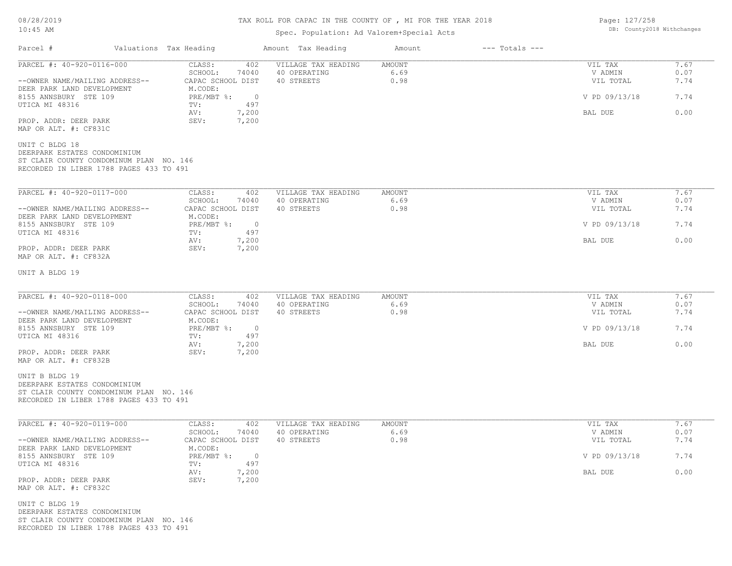# TAX ROLL FOR CAPAC IN THE COUNTY OF , MI FOR THE YEAR 2018

## Spec. Population: Ad Valorem+Special Acts

Page: 127/258 DB: County2018 Withchanges

| Parcel #                                                                                                                             | Valuations Tax Heading                                  | Amount Tax Heading                                | Amount                 | $---$ Totals $---$ |                                 |                      |
|--------------------------------------------------------------------------------------------------------------------------------------|---------------------------------------------------------|---------------------------------------------------|------------------------|--------------------|---------------------------------|----------------------|
| PARCEL #: 40-920-0116-000<br>--OWNER NAME/MAILING ADDRESS--                                                                          | CLASS:<br>402<br>SCHOOL:<br>74040<br>CAPAC SCHOOL DIST  | VILLAGE TAX HEADING<br>40 OPERATING<br>40 STREETS | AMOUNT<br>6.69<br>0.98 |                    | VIL TAX<br>V ADMIN<br>VIL TOTAL | 7.67<br>0.07<br>7.74 |
| DEER PARK LAND DEVELOPMENT<br>8155 ANNSBURY STE 109<br>UTICA MI 48316                                                                | M.CODE:<br>$PRE/MBT$ %:<br>$\overline{0}$<br>497<br>TV: |                                                   |                        | V PD 09/13/18      | 7.74                            |                      |
| PROP. ADDR: DEER PARK                                                                                                                | AV:<br>7,200<br>7,200<br>SEV:                           |                                                   |                        |                    | BAL DUE                         | 0.00                 |
| MAP OR ALT. #: CF831C<br>UNIT C BLDG 18                                                                                              |                                                         |                                                   |                        |                    |                                 |                      |
| DEERPARK ESTATES CONDOMINIUM<br>ST CLAIR COUNTY CONDOMINUM PLAN NO. 146<br>RECORDED IN LIBER 1788 PAGES 433 TO 491                   |                                                         |                                                   |                        |                    |                                 |                      |
| PARCEL #: 40-920-0117-000                                                                                                            | CLASS:<br>402<br>SCHOOL:<br>74040                       | VILLAGE TAX HEADING<br>40 OPERATING               | AMOUNT<br>6.69         |                    | VIL TAX<br>V ADMIN              | 7.67<br>0.07         |
| --OWNER NAME/MAILING ADDRESS--<br>DEER PARK LAND DEVELOPMENT                                                                         | CAPAC SCHOOL DIST<br>M.CODE:                            | 40 STREETS                                        | 0.98                   |                    | VIL TOTAL                       | 7.74                 |
| 8155 ANNSBURY STE 109<br>UTICA MI 48316                                                                                              | $PRE/MBT$ $\div$ 0<br>497<br>TV:                        |                                                   |                        | V PD 09/13/18      | 7.74                            |                      |
| PROP. ADDR: DEER PARK<br>MAP OR ALT. #: CF832A                                                                                       | AV:<br>7,200<br>7,200<br>SEV:                           |                                                   |                        | BAL DUE            | 0.00                            |                      |
| UNIT A BLDG 19                                                                                                                       |                                                         |                                                   |                        |                    |                                 |                      |
| PARCEL #: 40-920-0118-000                                                                                                            | CLASS:<br>402                                           | VILLAGE TAX HEADING                               | AMOUNT                 |                    | VIL TAX                         | 7.67                 |
| --OWNER NAME/MAILING ADDRESS--                                                                                                       | SCHOOL:<br>74040<br>CAPAC SCHOOL DIST                   | 40 OPERATING<br>40 STREETS                        | 6.69<br>0.98           |                    | V ADMIN<br>VIL TOTAL            | 0.07<br>7.74         |
| DEER PARK LAND DEVELOPMENT<br>8155 ANNSBURY STE 109                                                                                  | M.CODE:<br>$PRE/MBT$ $\div$<br>$\overline{0}$           |                                                   |                        | V PD 09/13/18      | 7.74                            |                      |
| UTICA MI 48316<br>PROP. ADDR: DEER PARK                                                                                              | 497<br>TV:<br>7,200<br>AV:<br>7,200<br>SEV:             |                                                   |                        | BAL DUE            | 0.00                            |                      |
| MAP OR ALT. #: CF832B                                                                                                                |                                                         |                                                   |                        |                    |                                 |                      |
| UNIT B BLDG 19<br>DEERPARK ESTATES CONDOMINIUM<br>ST CLAIR COUNTY CONDOMINUM PLAN NO. 146<br>RECORDED IN LIBER 1788 PAGES 433 TO 491 |                                                         |                                                   |                        |                    |                                 |                      |
| PARCEL #: 40-920-0119-000                                                                                                            | CLASS:<br>402<br>SCHOOL:<br>74040                       | VILLAGE TAX HEADING<br>40 OPERATING               | AMOUNT<br>6.69         |                    | VIL TAX<br>V ADMIN              | 7.67<br>0.07         |
| --OWNER NAME/MAILING ADDRESS--<br>DEER PARK LAND DEVELOPMENT                                                                         | CAPAC SCHOOL DIST<br>M.CODE:                            | 40 STREETS                                        | 0.98                   |                    | VIL TOTAL                       | 7.74                 |
| 8155 ANNSBURY STE 109<br>UTICA MI 48316                                                                                              | $PRE/MBT$ $\div$ 0<br>497<br>TV:                        |                                                   |                        |                    | V PD 09/13/18                   | 7.74                 |
| PROP. ADDR: DEER PARK<br>MAP OR ALT. #: CF832C                                                                                       | 7,200<br>AV:<br>7,200<br>SEV:                           |                                                   |                        |                    | BAL DUE                         | 0.00                 |
| UNIT C BLDG 19<br>DEERPARK ESTATES CONDOMINIUM<br>ST CLAIR COUNTY CONDOMINUM PLAN NO. 146<br>RECORDED IN LIBER 1788 PAGES 433 TO 491 |                                                         |                                                   |                        |                    |                                 |                      |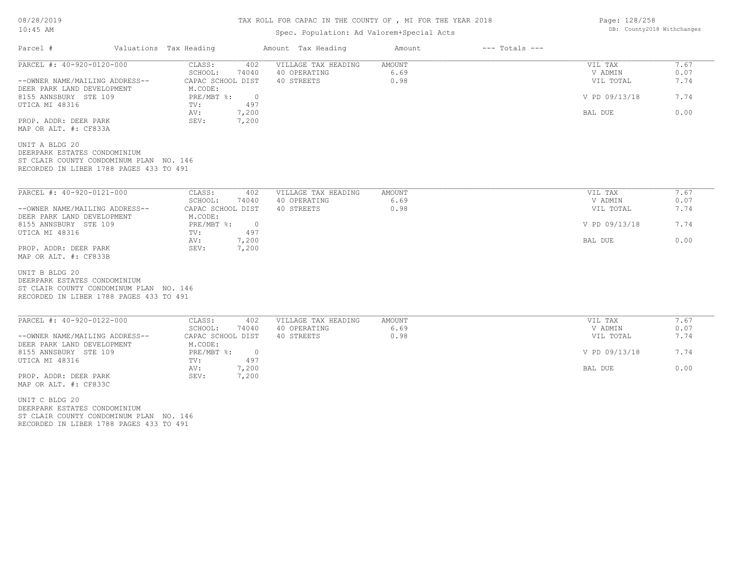## TAX ROLL FOR CAPAC IN THE COUNTY OF , MI FOR THE YEAR 2018

## Spec. Population: Ad Valorem+Special Acts

| Parcel #                                                                                                                             | Valuations Tax Heading                                    | Amount Tax Heading  | Amount | $---$ Totals $---$ |               |      |
|--------------------------------------------------------------------------------------------------------------------------------------|-----------------------------------------------------------|---------------------|--------|--------------------|---------------|------|
| PARCEL #: 40-920-0120-000                                                                                                            | CLASS:<br>402                                             | VILLAGE TAX HEADING | AMOUNT |                    | VIL TAX       | 7.67 |
|                                                                                                                                      | SCHOOL:<br>74040                                          | 40 OPERATING        | 6.69   |                    | V ADMIN       | 0.07 |
| --OWNER NAME/MAILING ADDRESS--<br>DEER PARK LAND DEVELOPMENT                                                                         | CAPAC SCHOOL DIST<br>M.CODE:                              | 40 STREETS          | 0.98   |                    | VIL TOTAL     | 7.74 |
| 8155 ANNSBURY STE 109<br>UTICA MI 48316                                                                                              | $PRE/MBT$ $\frac{1}{6}$ :<br>$\overline{0}$<br>497<br>TV: |                     |        |                    | V PD 09/13/18 | 7.74 |
| PROP. ADDR: DEER PARK<br>MAP OR ALT. #: CF833A                                                                                       | 7,200<br>AV:<br>SEV:<br>7,200                             |                     |        |                    | BAL DUE       | 0.00 |
| UNIT A BLDG 20<br>DEERPARK ESTATES CONDOMINIUM<br>ST CLAIR COUNTY CONDOMINUM PLAN NO. 146<br>RECORDED IN LIBER 1788 PAGES 433 TO 491 |                                                           |                     |        |                    |               |      |
| PARCEL #: 40-920-0121-000                                                                                                            | CLASS:<br>402                                             | VILLAGE TAX HEADING | AMOUNT |                    | VIL TAX       | 7.67 |
|                                                                                                                                      | SCHOOL:<br>74040                                          | 40 OPERATING        | 6.69   |                    | V ADMIN       | 0.07 |
| --OWNER NAME/MAILING ADDRESS--<br>DEER PARK LAND DEVELOPMENT                                                                         | CAPAC SCHOOL DIST<br>M.CODE:                              | 40 STREETS          | 0.98   |                    | VIL TOTAL     | 7.74 |
| 8155 ANNSBURY STE 109<br>UTICA MI 48316                                                                                              | $PRE/MBT$ %:<br>$\overline{0}$<br>TV:<br>497              |                     |        |                    | V PD 09/13/18 | 7.74 |
| PROP. ADDR: DEER PARK                                                                                                                | 7,200<br>AV:<br>7,200<br>SEV:                             |                     |        |                    | BAL DUE       | 0.00 |
| MAP OR ALT. #: CF833B                                                                                                                |                                                           |                     |        |                    |               |      |
| UNIT B BLDG 20                                                                                                                       |                                                           |                     |        |                    |               |      |
| DEERPARK ESTATES CONDOMINIUM<br>ST CLAIR COUNTY CONDOMINUM PLAN NO. 146                                                              |                                                           |                     |        |                    |               |      |
| RECORDED IN LIBER 1788 PAGES 433 TO 491                                                                                              |                                                           |                     |        |                    |               |      |
| PARCEL #: 40-920-0122-000                                                                                                            | CLASS:<br>402                                             | VILLAGE TAX HEADING | AMOUNT |                    | VIL TAX       | 7.67 |
|                                                                                                                                      | SCHOOL:<br>74040                                          | 40 OPERATING        | 6.69   |                    | V ADMIN       | 0.07 |
| --OWNER NAME/MAILING ADDRESS--<br>DEER PARK LAND DEVELOPMENT                                                                         | CAPAC SCHOOL DIST<br>M.CODE:                              | 40 STREETS          | 0.98   |                    | VIL TOTAL     | 7.74 |
| 8155 ANNSBURY STE 109<br>UTICA MI 48316                                                                                              | $PRE/MBT$ %:<br>$\overline{0}$<br>497<br>TV:              |                     |        |                    | V PD 09/13/18 | 7.74 |
| PROP. ADDR: DEER PARK                                                                                                                | AV:<br>7,200<br>7,200<br>SEV:                             |                     |        |                    | BAL DUE       | 0.00 |
| MAP OR ALT. #: CF833C                                                                                                                |                                                           |                     |        |                    |               |      |
| UNIT C BLDG 20                                                                                                                       |                                                           |                     |        |                    |               |      |
| DEERPARK ESTATES CONDOMINIUM                                                                                                         |                                                           |                     |        |                    |               |      |

RECORDED IN LIBER 1788 PAGES 433 TO 491 ST CLAIR COUNTY CONDOMINUM PLAN NO. 146 Page: 128/258 DB: County2018 Withchanges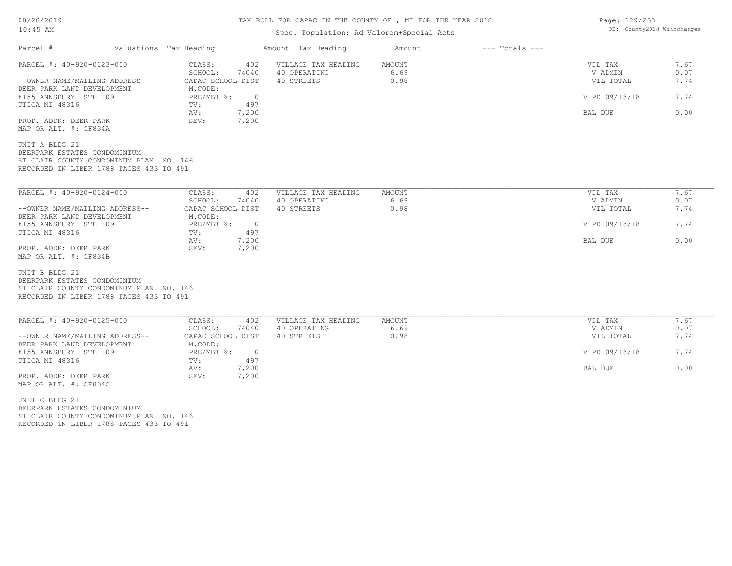## TAX ROLL FOR CAPAC IN THE COUNTY OF , MI FOR THE YEAR 2018

## Spec. Population: Ad Valorem+Special Acts

| Parcel #                                                                                                                             | Valuations Tax Heading                                    | Amount Tax Heading  | Amount | $---$ Totals $---$ |               |      |
|--------------------------------------------------------------------------------------------------------------------------------------|-----------------------------------------------------------|---------------------|--------|--------------------|---------------|------|
| PARCEL #: 40-920-0123-000                                                                                                            | CLASS:<br>402                                             | VILLAGE TAX HEADING | AMOUNT |                    | VIL TAX       | 7.67 |
|                                                                                                                                      | SCHOOL:<br>74040                                          | 40 OPERATING        | 6.69   |                    | V ADMIN       | 0.07 |
| --OWNER NAME/MAILING ADDRESS--<br>DEER PARK LAND DEVELOPMENT                                                                         | CAPAC SCHOOL DIST<br>M.CODE:                              | 40 STREETS          | 0.98   |                    | VIL TOTAL     | 7.74 |
| 8155 ANNSBURY STE 109<br>UTICA MI 48316                                                                                              | $PRE/MBT$ $\frac{1}{6}$ :<br>$\overline{0}$<br>TV:<br>497 |                     |        |                    | V PD 09/13/18 | 7.74 |
| PROP. ADDR: DEER PARK<br>MAP OR ALT. #: CF834A                                                                                       | 7,200<br>AV:<br>SEV:<br>7,200                             |                     |        |                    | BAL DUE       | 0.00 |
| UNIT A BLDG 21<br>DEERPARK ESTATES CONDOMINIUM<br>ST CLAIR COUNTY CONDOMINUM PLAN NO. 146<br>RECORDED IN LIBER 1788 PAGES 433 TO 491 |                                                           |                     |        |                    |               |      |
| PARCEL #: 40-920-0124-000                                                                                                            | 402<br>CLASS:                                             | VILLAGE TAX HEADING | AMOUNT |                    | VIL TAX       | 7.67 |
|                                                                                                                                      | SCHOOL:<br>74040                                          | 40 OPERATING        | 6.69   |                    | V ADMIN       | 0.07 |
| --OWNER NAME/MAILING ADDRESS--<br>DEER PARK LAND DEVELOPMENT                                                                         | CAPAC SCHOOL DIST<br>M.CODE:                              | 40 STREETS          | 0.98   |                    | VIL TOTAL     | 7.74 |
| 8155 ANNSBURY STE 109<br>UTICA MI 48316                                                                                              | PRE/MBT %:<br>$\overline{0}$<br>497<br>TV:                |                     |        |                    | V PD 09/13/18 | 7.74 |
| PROP. ADDR: DEER PARK                                                                                                                | 7,200<br>AV:<br>SEV:<br>7,200                             |                     |        |                    | BAL DUE       | 0.00 |
| MAP OR ALT. #: CF834B                                                                                                                |                                                           |                     |        |                    |               |      |
| UNIT B BLDG 21<br>DEERPARK ESTATES CONDOMINIUM                                                                                       |                                                           |                     |        |                    |               |      |
| ST CLAIR COUNTY CONDOMINUM PLAN NO. 146<br>RECORDED IN LIBER 1788 PAGES 433 TO 491                                                   |                                                           |                     |        |                    |               |      |
|                                                                                                                                      |                                                           |                     |        |                    |               |      |
| PARCEL #: 40-920-0125-000                                                                                                            | CLASS:<br>402                                             | VILLAGE TAX HEADING | AMOUNT |                    | VIL TAX       | 7.67 |
|                                                                                                                                      | SCHOOL:<br>74040                                          | 40 OPERATING        | 6.69   |                    | V ADMIN       | 0.07 |
| --OWNER NAME/MAILING ADDRESS--<br>DEER PARK LAND DEVELOPMENT                                                                         | CAPAC SCHOOL DIST<br>M.CODE:                              | 40 STREETS          | 0.98   |                    | VIL TOTAL     | 7.74 |
| 8155 ANNSBURY STE 109<br>UTICA MI 48316                                                                                              | $PRE/MBT$ %:<br>$\overline{0}$<br>497<br>TV:              |                     |        |                    | V PD 09/13/18 | 7.74 |
| PROP. ADDR: DEER PARK                                                                                                                | 7,200<br>AV:<br>SEV:<br>7,200                             |                     |        |                    | BAL DUE       | 0.00 |
| MAP OR ALT. #: CF834C                                                                                                                |                                                           |                     |        |                    |               |      |
| UNIT C BLDG 21                                                                                                                       |                                                           |                     |        |                    |               |      |
| DEERPARK ESTATES CONDOMINIUM                                                                                                         |                                                           |                     |        |                    |               |      |

RECORDED IN LIBER 1788 PAGES 433 TO 491 ST CLAIR COUNTY CONDOMINUM PLAN NO. 146 Page: 129/258 DB: County2018 Withchanges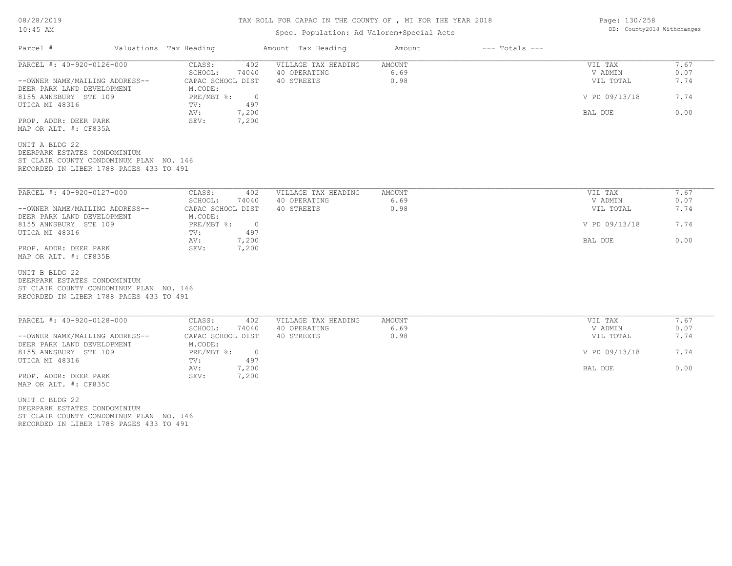## TAX ROLL FOR CAPAC IN THE COUNTY OF , MI FOR THE YEAR 2018

## Spec. Population: Ad Valorem+Special Acts

| Parcel #                                                                                                                             | Valuations Tax Heading                       | Amount Tax Heading  | Amount | $---$ Totals $---$ |               |      |
|--------------------------------------------------------------------------------------------------------------------------------------|----------------------------------------------|---------------------|--------|--------------------|---------------|------|
| PARCEL #: 40-920-0126-000                                                                                                            | CLASS:<br>402                                | VILLAGE TAX HEADING | AMOUNT |                    | VIL TAX       | 7.67 |
|                                                                                                                                      | 74040<br>SCHOOL:                             | 40 OPERATING        | 6.69   |                    | V ADMIN       | 0.07 |
| --OWNER NAME/MAILING ADDRESS--<br>DEER PARK LAND DEVELOPMENT                                                                         | CAPAC SCHOOL DIST<br>M.CODE:                 | 40 STREETS          | 0.98   |                    | VIL TOTAL     | 7.74 |
| 8155 ANNSBURY STE 109<br>UTICA MI 48316                                                                                              | $PRE/MBT$ %:<br>$\overline{0}$<br>497<br>TV: |                     |        |                    | V PD 09/13/18 | 7.74 |
| PROP. ADDR: DEER PARK<br>MAP OR ALT. #: CF835A                                                                                       | 7,200<br>AV:<br>7,200<br>SEV:                |                     |        |                    | BAL DUE       | 0.00 |
| UNIT A BLDG 22<br>DEERPARK ESTATES CONDOMINIUM<br>ST CLAIR COUNTY CONDOMINUM PLAN NO. 146<br>RECORDED IN LIBER 1788 PAGES 433 TO 491 |                                              |                     |        |                    |               |      |
| PARCEL #: 40-920-0127-000                                                                                                            | CLASS:<br>402                                | VILLAGE TAX HEADING | AMOUNT |                    | VIL TAX       | 7.67 |
|                                                                                                                                      | SCHOOL:<br>74040                             | 40 OPERATING        | 6.69   |                    | V ADMIN       | 0.07 |
| --OWNER NAME/MAILING ADDRESS--<br>DEER PARK LAND DEVELOPMENT                                                                         | CAPAC SCHOOL DIST<br>M.CODE:                 | 40 STREETS          | 0.98   |                    | VIL TOTAL     | 7.74 |
| 8155 ANNSBURY STE 109<br>UTICA MI 48316                                                                                              | $PRE/MBT$ %:<br>$\overline{0}$<br>TV:<br>497 |                     |        |                    | V PD 09/13/18 | 7.74 |
| PROP. ADDR: DEER PARK<br>MAP OR ALT. #: CF835B                                                                                       | 7,200<br>AV:<br>SEV:<br>7,200                |                     |        |                    | BAL DUE       | 0.00 |
| UNIT B BLDG 22<br>DEERPARK ESTATES CONDOMINIUM<br>ST CLAIR COUNTY CONDOMINUM PLAN NO. 146<br>RECORDED IN LIBER 1788 PAGES 433 TO 491 |                                              |                     |        |                    |               |      |
| PARCEL #: 40-920-0128-000                                                                                                            | CLASS:<br>402                                | VILLAGE TAX HEADING | AMOUNT |                    | VIL TAX       | 7.67 |
|                                                                                                                                      | SCHOOL:<br>74040                             | 40 OPERATING        | 6.69   |                    | V ADMIN       | 0.07 |
| --OWNER NAME/MAILING ADDRESS--<br>DEER PARK LAND DEVELOPMENT                                                                         | CAPAC SCHOOL DIST<br>M.CODE:                 | 40 STREETS          | 0.98   |                    | VIL TOTAL     | 7.74 |
| 8155 ANNSBURY STE 109<br>UTICA MI 48316                                                                                              | $PRE/MBT$ %:<br>$\overline{0}$<br>TV:<br>497 |                     |        |                    | V PD 09/13/18 | 7.74 |
| PROP. ADDR: DEER PARK<br>MAP OR ALT. #: CF835C                                                                                       | AV:<br>7,200<br>SEV:<br>7,200                |                     |        |                    | BAL DUE       | 0.00 |
| UNIT C BLDG 22                                                                                                                       |                                              |                     |        |                    |               |      |
| DEERPARK ESTATES CONDOMINIUM                                                                                                         |                                              |                     |        |                    |               |      |
|                                                                                                                                      |                                              |                     |        |                    |               |      |

ST CLAIR COUNTY CONDOMINUM PLAN NO. 146

RECORDED IN LIBER 1788 PAGES 433 TO 491

Page: 130/258 DB: County2018 Withchanges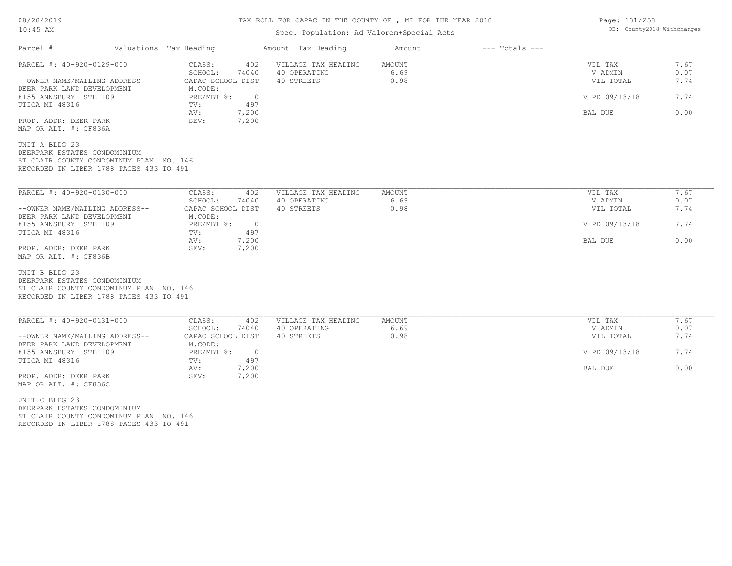## TAX ROLL FOR CAPAC IN THE COUNTY OF , MI FOR THE YEAR 2018

## Spec. Population: Ad Valorem+Special Acts

| Parcel #                                                                                                                             | Valuations Tax Heading |                                                                      | Amount Tax Heading                                | Amount                 | $---$ Totals $---$ |                                 |                      |
|--------------------------------------------------------------------------------------------------------------------------------------|------------------------|----------------------------------------------------------------------|---------------------------------------------------|------------------------|--------------------|---------------------------------|----------------------|
| PARCEL #: 40-920-0129-000<br>--OWNER NAME/MAILING ADDRESS--                                                                          |                        | 402<br>CLASS:<br>SCHOOL:<br>74040<br>CAPAC SCHOOL DIST               | VILLAGE TAX HEADING<br>40 OPERATING<br>40 STREETS | AMOUNT<br>6.69<br>0.98 |                    | VIL TAX<br>V ADMIN<br>VIL TOTAL | 7.67<br>0.07<br>7.74 |
| DEER PARK LAND DEVELOPMENT<br>8155 ANNSBURY STE 109<br>UTICA MI 48316                                                                |                        | M.CODE:<br>$PRE/MBT$ $\frac{1}{6}$ :<br>$\overline{0}$<br>497<br>TV: |                                                   |                        |                    | V PD 09/13/18                   | 7.74                 |
| PROP. ADDR: DEER PARK<br>MAP OR ALT. #: CF836A                                                                                       |                        | 7,200<br>AV:<br>SEV:<br>7,200                                        |                                                   |                        |                    | BAL DUE                         | 0.00                 |
| UNIT A BLDG 23<br>DEERPARK ESTATES CONDOMINIUM<br>ST CLAIR COUNTY CONDOMINUM PLAN NO. 146<br>RECORDED IN LIBER 1788 PAGES 433 TO 491 |                        |                                                                      |                                                   |                        |                    |                                 |                      |
| PARCEL #: 40-920-0130-000                                                                                                            |                        | CLASS:<br>402                                                        | VILLAGE TAX HEADING                               | <b>AMOUNT</b>          |                    | VIL TAX                         | 7.67                 |
| --OWNER NAME/MAILING ADDRESS--                                                                                                       |                        | SCHOOL:<br>74040<br>CAPAC SCHOOL DIST                                | 40 OPERATING<br>40 STREETS                        | 6.69<br>0.98           |                    | V ADMIN<br>VIL TOTAL            | 0.07<br>7.74         |
| DEER PARK LAND DEVELOPMENT<br>8155 ANNSBURY STE 109<br>UTICA MI 48316                                                                |                        | M.CODE:<br>PRE/MBT %:<br>$\overline{0}$<br>497                       |                                                   |                        | V PD 09/13/18      | 7.74                            |                      |
| PROP. ADDR: DEER PARK<br>MAP OR ALT. #: CF836B                                                                                       |                        | TV:<br>7,200<br>AV:<br>7,200<br>SEV:                                 |                                                   |                        |                    | BAL DUE                         | 0.00                 |
| UNIT B BLDG 23<br>DEERPARK ESTATES CONDOMINIUM<br>ST CLAIR COUNTY CONDOMINUM PLAN NO. 146<br>RECORDED IN LIBER 1788 PAGES 433 TO 491 |                        |                                                                      |                                                   |                        |                    |                                 |                      |
| PARCEL #: 40-920-0131-000                                                                                                            |                        | CLASS:<br>402<br>SCHOOL:<br>74040                                    | VILLAGE TAX HEADING<br>40 OPERATING               | AMOUNT<br>6.69         |                    | VIL TAX<br>V ADMIN              | 7.67<br>0.07         |
| --OWNER NAME/MAILING ADDRESS--<br>DEER PARK LAND DEVELOPMENT                                                                         |                        | CAPAC SCHOOL DIST<br>M.CODE:                                         | 40 STREETS                                        | 0.98                   |                    | VIL TOTAL                       | 7.74                 |
| 8155 ANNSBURY STE 109<br>UTICA MI 48316                                                                                              |                        | PRE/MBT %:<br>$\overline{0}$<br>497<br>TV:                           |                                                   |                        |                    | V PD 09/13/18                   | 7.74                 |
| PROP. ADDR: DEER PARK<br>MAP OR ALT. #: CF836C                                                                                       |                        | 7,200<br>AV:<br>SEV:<br>7,200                                        |                                                   |                        |                    | BAL DUE                         | 0.00                 |
| UNIT C BLDG 23<br>DEERPARK ESTATES CONDOMINIUM<br>ST CLAIR COUNTY CONDOMINUM PLAN NO. 146                                            |                        |                                                                      |                                                   |                        |                    |                                 |                      |

RECORDED IN LIBER 1788 PAGES 433 TO 491

Page: 131/258 DB: County2018 Withchanges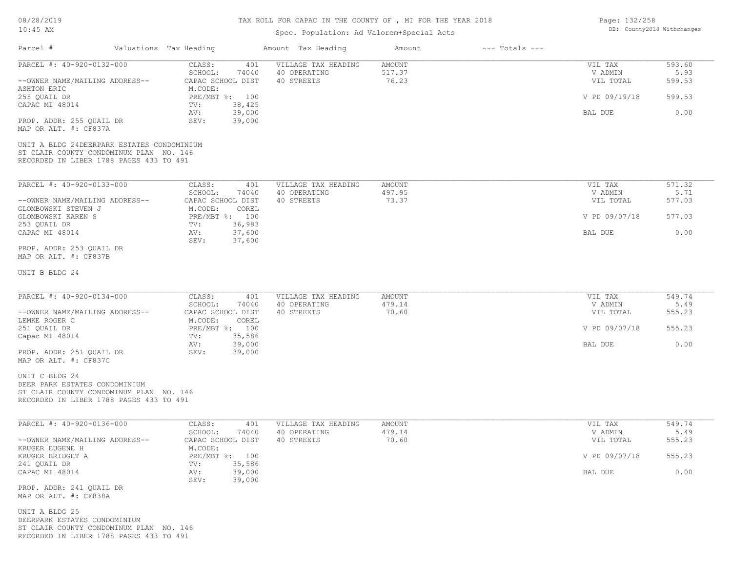# TAX ROLL FOR CAPAC IN THE COUNTY OF , MI FOR THE YEAR 2018

## Spec. Population: Ad Valorem+Special Acts

| Page: 132/258 |                            |
|---------------|----------------------------|
|               | DB: County2018 Withchanges |

| Parcel #                                                                                                                              | Valuations Tax Heading                                    | Amount Tax Heading                                | Amount<br>$---$ Totals $---$ |                                 |                          |
|---------------------------------------------------------------------------------------------------------------------------------------|-----------------------------------------------------------|---------------------------------------------------|------------------------------|---------------------------------|--------------------------|
| PARCEL #: 40-920-0132-000<br>--OWNER NAME/MAILING ADDRESS--                                                                           | CLASS:<br>401<br>SCHOOL:<br>74040<br>CAPAC SCHOOL DIST    | VILLAGE TAX HEADING<br>40 OPERATING<br>40 STREETS | AMOUNT<br>517.37<br>76.23    | VIL TAX<br>V ADMIN<br>VIL TOTAL | 593.60<br>5.93<br>599.53 |
| ASHTON ERIC<br>255 QUAIL DR                                                                                                           | M.CODE:<br>PRE/MBT %: 100                                 |                                                   |                              | V PD 09/19/18                   | 599.53                   |
| CAPAC MI 48014<br>PROP. ADDR: 255 QUAIL DR                                                                                            | 38,425<br>TV:<br>39,000<br>AV:<br>SEV:<br>39,000          |                                                   |                              | BAL DUE                         | 0.00                     |
| MAP OR ALT. #: CF837A                                                                                                                 |                                                           |                                                   |                              |                                 |                          |
| UNIT A BLDG 24DEERPARK ESTATES CONDOMINIUM<br>ST CLAIR COUNTY CONDOMINUM PLAN NO. 146<br>RECORDED IN LIBER 1788 PAGES 433 TO 491      |                                                           |                                                   |                              |                                 |                          |
| PARCEL #: 40-920-0133-000                                                                                                             | CLASS:<br>401                                             | VILLAGE TAX HEADING                               | AMOUNT                       | VIL TAX                         | 571.32                   |
| --OWNER NAME/MAILING ADDRESS--<br>GLOMBOWSKI STEVEN J                                                                                 | SCHOOL:<br>74040<br>CAPAC SCHOOL DIST<br>M.CODE:<br>COREL | 40 OPERATING<br>40 STREETS                        | 497.95<br>73.37              | V ADMIN<br>VIL TOTAL            | 5.71<br>577.03           |
| GLOMBOWSKI KAREN S<br>253 QUAIL DR                                                                                                    | PRE/MBT %: 100<br>TV:<br>36,983                           |                                                   |                              | V PD 09/07/18                   | 577.03                   |
| CAPAC MI 48014                                                                                                                        | 37,600<br>AV:<br>37,600<br>SEV:                           |                                                   |                              | BAL DUE                         | 0.00                     |
| PROP. ADDR: 253 QUAIL DR<br>MAP OR ALT. #: CF837B                                                                                     |                                                           |                                                   |                              |                                 |                          |
| UNIT B BLDG 24                                                                                                                        |                                                           |                                                   |                              |                                 |                          |
| PARCEL #: 40-920-0134-000                                                                                                             | CLASS:<br>401                                             | VILLAGE TAX HEADING                               | AMOUNT                       | VIL TAX                         | 549.74                   |
| --OWNER NAME/MAILING ADDRESS--                                                                                                        | SCHOOL:<br>74040<br>CAPAC SCHOOL DIST                     | 40 OPERATING<br>40 STREETS                        | 479.14<br>70.60              | V ADMIN<br>VIL TOTAL            | 5.49<br>555.23           |
| LEMKE ROGER C<br>251 QUAIL DR<br>Capac MI 48014                                                                                       | M.CODE:<br>COREL<br>PRE/MBT %: 100<br>35,586<br>TV:       |                                                   |                              | V PD 09/07/18                   | 555.23                   |
| PROP. ADDR: 251 QUAIL DR<br>MAP OR ALT. #: CF837C                                                                                     | 39,000<br>AV:<br>SEV:<br>39,000                           |                                                   |                              | BAL DUE                         | 0.00                     |
| UNIT C BLDG 24<br>DEER PARK ESTATES CONDOMINIUM<br>ST CLAIR COUNTY CONDOMINUM PLAN NO. 146<br>RECORDED IN LIBER 1788 PAGES 433 TO 491 |                                                           |                                                   |                              |                                 |                          |
| PARCEL #: 40-920-0136-000                                                                                                             | CLASS:<br>401                                             | VILLAGE TAX HEADING                               | AMOUNT                       | VIL TAX                         | 549.74                   |
| --OWNER NAME/MAILING ADDRESS--                                                                                                        | SCHOOL:<br>74040<br>CAPAC SCHOOL DIST                     | 40 OPERATING<br>40 STREETS                        | 479.14<br>70.60              | V ADMIN<br>VIL TOTAL            | 5.49<br>555.23           |
| KRUGER EUGENE H<br>KRUGER BRIDGET A                                                                                                   | M.CODE:<br>PRE/MBT %: 100                                 |                                                   |                              | V PD 09/07/18                   | 555.23                   |
| 241 QUAIL DR<br>CAPAC MI 48014                                                                                                        | 35,586<br>TV:<br>39,000<br>AV:<br>39,000<br>SEV:          |                                                   |                              | BAL DUE                         | 0.00                     |
| PROP. ADDR: 241 QUAIL DR<br>MAP OR ALT. #: CF838A                                                                                     |                                                           |                                                   |                              |                                 |                          |
| UNIT A BLDG 25<br>DEERPARK ESTATES CONDOMINIUM                                                                                        |                                                           |                                                   |                              |                                 |                          |
| ST CLAIR COUNTY CONDOMINUM PLAN NO. 146<br>RECORDED IN LIBER 1788 PAGES 433 TO 491                                                    |                                                           |                                                   |                              |                                 |                          |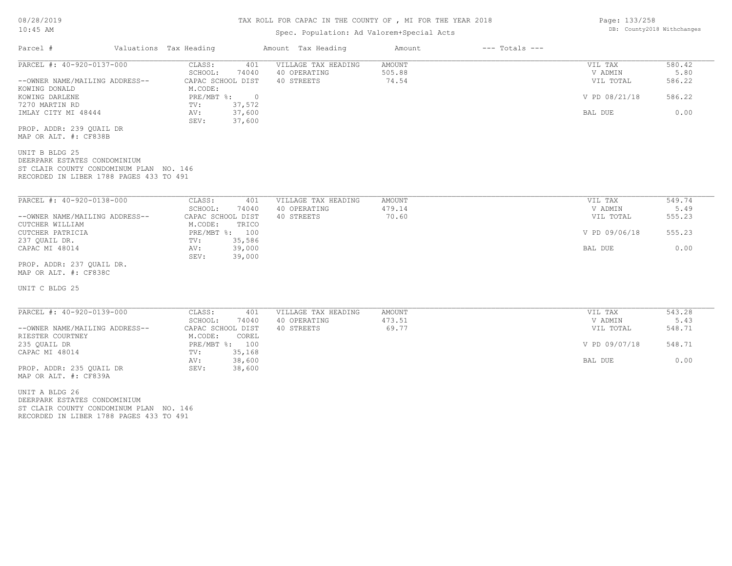#### TAX ROLL FOR CAPAC IN THE COUNTY OF , MI FOR THE YEAR 2018

## Spec. Population: Ad Valorem+Special Acts

| Parcel #                                          | Valuations Tax Heading                | Amount Tax Heading  | Amount        | $---$ Totals $---$ |                |        |
|---------------------------------------------------|---------------------------------------|---------------------|---------------|--------------------|----------------|--------|
| PARCEL #: 40-920-0137-000                         | CLASS:<br>401                         | VILLAGE TAX HEADING | <b>AMOUNT</b> |                    | VIL TAX        | 580.42 |
|                                                   | SCHOOL:<br>74040                      | 40 OPERATING        | 505.88        |                    | V ADMIN        | 5.80   |
| --OWNER NAME/MAILING ADDRESS--                    | CAPAC SCHOOL DIST                     | 40 STREETS          | 74.54         |                    | VIL TOTAL      | 586.22 |
| KOWING DONALD                                     | M.CODE:                               |                     |               |                    |                |        |
| KOWING DARLENE                                    | $PRE/MBT$ %:<br>$\overline{0}$        |                     |               |                    | V PD 08/21/18  | 586.22 |
| 7270 MARTIN RD                                    | 37,572<br>$\text{TV}$ :               |                     |               |                    |                |        |
| IMLAY CITY MI 48444                               | 37,600<br>AV:<br>37,600<br>SEV:       |                     |               |                    | BAL DUE        | 0.00   |
| PROP. ADDR: 239 QUAIL DR                          |                                       |                     |               |                    |                |        |
| MAP OR ALT. #: CF838B                             |                                       |                     |               |                    |                |        |
| UNIT B BLDG 25                                    |                                       |                     |               |                    |                |        |
| DEERPARK ESTATES CONDOMINIUM                      |                                       |                     |               |                    |                |        |
| ST CLAIR COUNTY CONDOMINUM PLAN NO. 146           |                                       |                     |               |                    |                |        |
| RECORDED IN LIBER 1788 PAGES 433 TO 491           |                                       |                     |               |                    |                |        |
|                                                   |                                       |                     |               |                    |                |        |
|                                                   |                                       |                     |               |                    |                |        |
| PARCEL #: 40-920-0138-000                         | CLASS:<br>401                         | VILLAGE TAX HEADING | AMOUNT        |                    | VIL TAX        | 549.74 |
|                                                   | SCHOOL:<br>74040                      | 40 OPERATING        | 479.14        |                    | V ADMIN        | 5.49   |
| --OWNER NAME/MAILING ADDRESS--<br>CUTCHER WILLIAM | CAPAC SCHOOL DIST<br>M.CODE:<br>TRICO | 40 STREETS          | 70.60         |                    | VIL TOTAL      | 555.23 |
| CUTCHER PATRICIA                                  | PRE/MBT %: 100                        |                     |               |                    | V PD 09/06/18  | 555.23 |
| 237 QUAIL DR.                                     | 35,586<br>$\texttt{TV}$ :             |                     |               |                    |                |        |
| CAPAC MI 48014                                    | 39,000<br>AV:                         |                     |               |                    | <b>BAL DUE</b> | 0.00   |
|                                                   | 39,000<br>SEV:                        |                     |               |                    |                |        |
| PROP. ADDR: 237 OUAIL DR.                         |                                       |                     |               |                    |                |        |
| MAP OR ALT. #: CF838C                             |                                       |                     |               |                    |                |        |
|                                                   |                                       |                     |               |                    |                |        |
| UNIT C BLDG 25                                    |                                       |                     |               |                    |                |        |
|                                                   |                                       |                     |               |                    |                |        |
|                                                   |                                       |                     |               |                    |                |        |
| PARCEL #: 40-920-0139-000                         | CLASS:<br>401                         | VILLAGE TAX HEADING | <b>AMOUNT</b> |                    | VIL TAX        | 543.28 |
|                                                   | 74040<br>SCHOOL:                      | 40 OPERATING        | 473.51        |                    | V ADMIN        | 5.43   |
| --OWNER NAME/MAILING ADDRESS--                    | CAPAC SCHOOL DIST                     | 40 STREETS          | 69.77         |                    | VIL TOTAL      | 548.71 |
| RIESTER COURTNEY                                  | M.CODE:<br>COREL                      |                     |               |                    |                |        |
| 235 OUAIL DR                                      | PRE/MBT %: 100                        |                     |               |                    | V PD 09/07/18  | 548.71 |
| CAPAC MI 48014                                    | 35,168<br>TV:                         |                     |               |                    |                |        |

AV: 38,600 BAL DUE 0.00

MAP OR ALT. #: CF839A PROP. ADDR: 235 QUAIL DR SEV: 38,600

RECORDED IN LIBER 1788 PAGES 433 TO 491 ST CLAIR COUNTY CONDOMINUM PLAN NO. 146 DEERPARK ESTATES CONDOMINIUM UNIT A BLDG 26

Page: 133/258 DB: County2018 Withchanges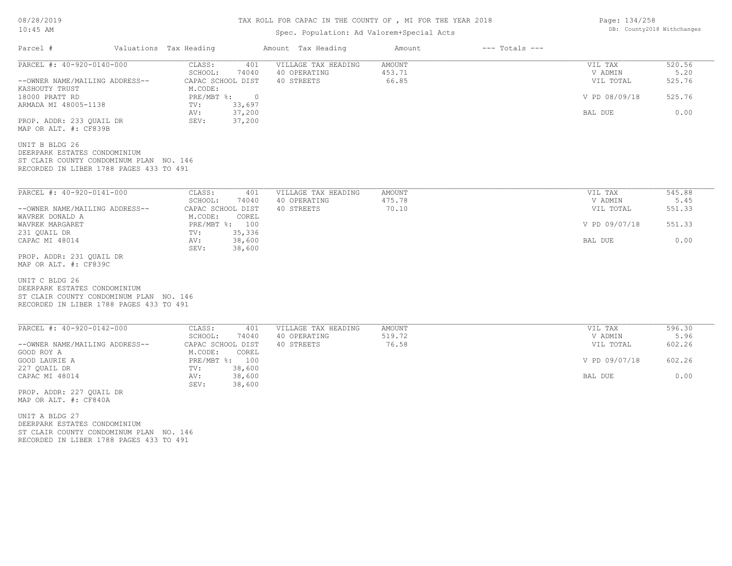# TAX ROLL FOR CAPAC IN THE COUNTY OF , MI FOR THE YEAR 2018

## Spec. Population: Ad Valorem+Special Acts

| Parcel #                                                                                                                                                      | Valuations Tax Heading                                                                                                                                | Amount Tax Heading                                | Amount                           | $---$ Totals $---$ |                                                             |                                            |
|---------------------------------------------------------------------------------------------------------------------------------------------------------------|-------------------------------------------------------------------------------------------------------------------------------------------------------|---------------------------------------------------|----------------------------------|--------------------|-------------------------------------------------------------|--------------------------------------------|
| PARCEL #: 40-920-0140-000<br>--OWNER NAME/MAILING ADDRESS--<br>KASHOUTY TRUST<br>18000 PRATT RD<br>ARMADA MI 48005-1138<br>PROP. ADDR: 233 QUAIL DR           | CLASS:<br>401<br>SCHOOL:<br>74040<br>CAPAC SCHOOL DIST<br>M.CODE:<br>PRE/MBT %:<br>$\overline{0}$<br>TV:<br>33,697<br>37,200<br>AV:<br>SEV:<br>37,200 | VILLAGE TAX HEADING<br>40 OPERATING<br>40 STREETS | <b>AMOUNT</b><br>453.71<br>66.85 |                    | VIL TAX<br>V ADMIN<br>VIL TOTAL<br>V PD 08/09/18<br>BAL DUE | 520.56<br>5.20<br>525.76<br>525.76<br>0.00 |
| MAP OR ALT. #: CF839B<br>UNIT B BLDG 26<br>DEERPARK ESTATES CONDOMINIUM<br>ST CLAIR COUNTY CONDOMINUM PLAN NO. 146<br>RECORDED IN LIBER 1788 PAGES 433 TO 491 |                                                                                                                                                       |                                                   |                                  |                    |                                                             |                                            |
| PARCEL #: 40-920-0141-000                                                                                                                                     | CLASS:<br>401<br>SCHOOL:<br>74040                                                                                                                     | VILLAGE TAX HEADING<br>40 OPERATING               | <b>AMOUNT</b><br>475.78          |                    | VIL TAX<br>V ADMIN                                          | 545.88<br>5.45                             |
| --OWNER NAME/MAILING ADDRESS--                                                                                                                                | CAPAC SCHOOL DIST                                                                                                                                     | 40 STREETS                                        | 70.10                            |                    | VIL TOTAL                                                   | 551.33                                     |
| WAVREK DONALD A<br>WAVREK MARGARET                                                                                                                            | M.CODE:<br>COREL<br>PRE/MBT %: 100                                                                                                                    |                                                   |                                  |                    | V PD 09/07/18                                               | 551.33                                     |
| 231 QUAIL DR<br>CAPAC MI 48014<br>PROP. ADDR: 231 QUAIL DR                                                                                                    | 35,336<br>TV:<br>38,600<br>AV:<br>SEV:<br>38,600                                                                                                      |                                                   |                                  |                    | BAL DUE                                                     | 0.00                                       |
| MAP OR ALT. #: CF839C<br>UNIT C BLDG 26<br>DEERPARK ESTATES CONDOMINIUM<br>ST CLAIR COUNTY CONDOMINUM PLAN NO. 146<br>RECORDED IN LIBER 1788 PAGES 433 TO 491 |                                                                                                                                                       |                                                   |                                  |                    |                                                             |                                            |
| PARCEL #: 40-920-0142-000                                                                                                                                     | CLASS:<br>401<br>SCHOOL:                                                                                                                              | VILLAGE TAX HEADING<br>40 OPERATING               | AMOUNT<br>519.72                 |                    | VIL TAX<br>V ADMIN                                          | 596.30<br>5.96                             |
| --OWNER NAME/MAILING ADDRESS--<br>GOOD ROY A                                                                                                                  | 74040<br>CAPAC SCHOOL DIST<br>M.CODE:<br>COREL                                                                                                        | 40 STREETS                                        | 76.58                            |                    | VIL TOTAL                                                   | 602.26                                     |
| GOOD LAURIE A<br>227 QUAIL DR                                                                                                                                 | PRE/MBT %: 100                                                                                                                                        |                                                   |                                  |                    | V PD 09/07/18                                               | 602.26                                     |
|                                                                                                                                                               | 38,600<br>TV:<br>38,600<br>AV:                                                                                                                        |                                                   |                                  |                    | BAL DUE                                                     | 0.00                                       |

Page: 134/258 DB: County2018 Withchanges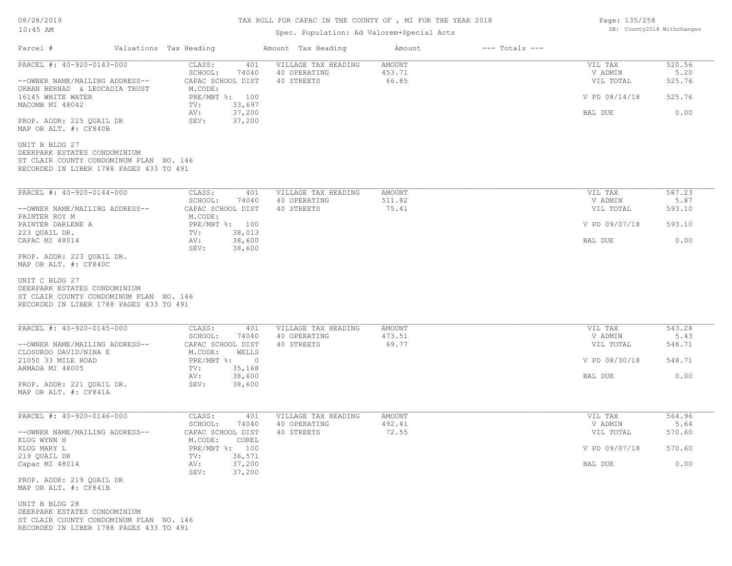## TAX ROLL FOR CAPAC IN THE COUNTY OF , MI FOR THE YEAR 2018

## Spec. Population: Ad Valorem+Special Acts

Parcel # Valuations Tax Heading Amount Tax Heading Amount --- Totals ---

| PARCEL #: 40-920-0143-000                                                                                                            | CLASS:<br>401<br>SCHOOL:<br>74040                   | VILLAGE TAX HEADING<br>40 OPERATING | <b>AMOUNT</b><br>453.71 | 520.56<br>VIL TAX<br>5.20<br>V ADMIN |                  |  |
|--------------------------------------------------------------------------------------------------------------------------------------|-----------------------------------------------------|-------------------------------------|-------------------------|--------------------------------------|------------------|--|
| --OWNER NAME/MAILING ADDRESS--<br>URBAN BERNAD & LEOCADIA TRUST<br>16145 WHITE WATER                                                 | CAPAC SCHOOL DIST<br>M.CODE:<br>PRE/MBT %: 100      | 40 STREETS                          | 66.85                   | VIL TOTAL<br>V PD 08/14/18           | 525.76<br>525.76 |  |
| MACOMB MI 48042                                                                                                                      | 33,697<br>TV:<br>37,200<br>AV:                      |                                     |                         | BAL DUE                              | 0.00             |  |
| PROP. ADDR: 225 QUAIL DR<br>MAP OR ALT. #: CF840B                                                                                    | 37,200<br>SEV:                                      |                                     |                         |                                      |                  |  |
| UNIT B BLDG 27<br>DEERPARK ESTATES CONDOMINIUM<br>ST CLAIR COUNTY CONDOMINUM PLAN NO. 146<br>RECORDED IN LIBER 1788 PAGES 433 TO 491 |                                                     |                                     |                         |                                      |                  |  |
| PARCEL #: 40-920-0144-000                                                                                                            | CLASS:<br>401                                       | VILLAGE TAX HEADING                 | AMOUNT                  | VIL TAX                              | 587.23           |  |
| --OWNER NAME/MAILING ADDRESS--                                                                                                       | SCHOOL:<br>74040<br>CAPAC SCHOOL DIST               | 40 OPERATING<br>40 STREETS          | 511.82<br>75.41         | V ADMIN<br>VIL TOTAL                 | 5.87<br>593.10   |  |
| PAINTER ROY M<br>PAINTER DARLENE A                                                                                                   | M.CODE:<br>PRE/MBT %: 100                           |                                     |                         | V PD 09/07/18                        | 593.10           |  |
| 223 QUAIL DR.<br>CAPAC MI 48014                                                                                                      | TV:<br>38,013<br>38,600<br>AV:<br>SEV:<br>38,600    |                                     |                         | BAL DUE                              | 0.00             |  |
| PROP. ADDR: 223 QUAIL DR.<br>MAP OR ALT. #: CF840C                                                                                   |                                                     |                                     |                         |                                      |                  |  |
| UNIT C BLDG 27<br>DEERPARK ESTATES CONDOMINIUM<br>ST CLAIR COUNTY CONDOMINUM PLAN NO. 146<br>RECORDED IN LIBER 1788 PAGES 433 TO 491 |                                                     |                                     |                         |                                      |                  |  |
| PARCEL #: 40-920-0145-000                                                                                                            | CLASS:<br>401<br>SCHOOL:<br>74040                   | VILLAGE TAX HEADING<br>40 OPERATING | AMOUNT<br>473.51        | VIL TAX<br>V ADMIN                   | 543.28<br>5.43   |  |
| --OWNER NAME/MAILING ADDRESS--<br>CLOSURDO DAVID/NINA E                                                                              | CAPAC SCHOOL DIST<br>M.CODE:<br>WELLS               | 40 STREETS                          | 69.77                   | VIL TOTAL                            | 548.71           |  |
| 21050 33 MILE ROAD<br>ARMADA MI 48005                                                                                                | $PRE/MBT$ %:<br>$\overline{0}$<br>TV:<br>35,168     |                                     |                         | V PD 08/30/18                        | 548.71           |  |
| PROP. ADDR: 221 QUAIL DR.<br>MAP OR ALT. #: CF841A                                                                                   | 38,600<br>AV:<br>38,600<br>SEV:                     |                                     |                         | BAL DUE                              | 0.00             |  |
| PARCEL #: 40-920-0146-000                                                                                                            | CLASS:<br>401                                       | VILLAGE TAX HEADING                 | AMOUNT                  | VIL TAX                              | 564.96           |  |
| --OWNER NAME/MAILING ADDRESS--                                                                                                       | SCHOOL:<br>74040<br>CAPAC SCHOOL DIST               | 40 OPERATING<br>40 STREETS          | 492.41<br>72.55         | V ADMIN<br>VIL TOTAL                 | 5.64<br>570.60   |  |
| KLUG WYNN H<br>KLUG MARY L<br>219 QUAIL DR                                                                                           | M.CODE:<br>COREL<br>PRE/MBT %: 100<br>36,571<br>TV: |                                     |                         | V PD 09/07/18                        | 570.60           |  |
| Capac MI 48014                                                                                                                       | AV:<br>37,200<br>SEV:<br>37,200                     |                                     |                         | BAL DUE                              | 0.00             |  |
| PROP. ADDR: 219 QUAIL DR<br>MAP OR ALT. #: CF841B                                                                                    |                                                     |                                     |                         |                                      |                  |  |
| UNIT B BLDG 28<br>DEERPARK ESTATES CONDOMINIUM                                                                                       |                                                     |                                     |                         |                                      |                  |  |

Page: 135/258 DB: County2018 Withchanges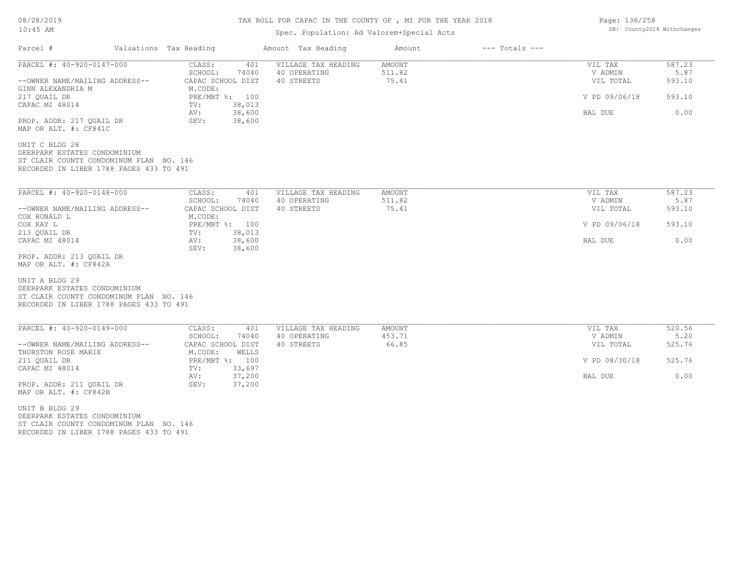# TAX ROLL FOR CAPAC IN THE COUNTY OF , MI FOR THE YEAR 2018

## Spec. Population: Ad Valorem+Special Acts

| Parcel #                                                                                                                             | Valuations Tax Heading                | Amount Tax Heading         | Amount          | $---$ Totals $---$ |                      |                |
|--------------------------------------------------------------------------------------------------------------------------------------|---------------------------------------|----------------------------|-----------------|--------------------|----------------------|----------------|
| PARCEL #: 40-920-0147-000                                                                                                            | CLASS:<br>401                         | VILLAGE TAX HEADING        | <b>AMOUNT</b>   |                    | VIL TAX              | 587.23         |
|                                                                                                                                      | SCHOOL:<br>74040                      | 40 OPERATING               | 511.82          |                    | V ADMIN              | 5.87           |
| --OWNER NAME/MAILING ADDRESS--<br>GINN ALEXANDRIA M                                                                                  | CAPAC SCHOOL DIST<br>M.CODE:          | 40 STREETS                 | 75.41           |                    | VIL TOTAL            | 593.10         |
| 217 QUAIL DR<br>CAPAC MI 48014                                                                                                       | PRE/MBT %: 100<br>TV:<br>38,013       |                            |                 |                    | V PD 09/06/18        | 593.10         |
| PROP. ADDR: 217 QUAIL DR                                                                                                             | 38,600<br>AV:<br>SEV:<br>38,600       |                            |                 |                    | BAL DUE              | 0.00           |
| MAP OR ALT. #: CF841C                                                                                                                |                                       |                            |                 |                    |                      |                |
| UNIT C BLDG 28                                                                                                                       |                                       |                            |                 |                    |                      |                |
| DEERPARK ESTATES CONDOMINIUM<br>ST CLAIR COUNTY CONDOMINUM PLAN NO. 146                                                              |                                       |                            |                 |                    |                      |                |
| RECORDED IN LIBER 1788 PAGES 433 TO 491                                                                                              |                                       |                            |                 |                    |                      |                |
|                                                                                                                                      |                                       |                            |                 |                    |                      |                |
| PARCEL #: 40-920-0148-000                                                                                                            | CLASS:<br>401                         | VILLAGE TAX HEADING        | AMOUNT          |                    | VIL TAX              | 587.23         |
| --OWNER NAME/MAILING ADDRESS--                                                                                                       | SCHOOL:<br>74040<br>CAPAC SCHOOL DIST | 40 OPERATING<br>40 STREETS | 511.82<br>75.41 |                    | V ADMIN<br>VIL TOTAL | 5.87<br>593.10 |
| COX RONALD L                                                                                                                         | M.CODE:                               |                            |                 |                    |                      |                |
| COX KAY L                                                                                                                            | PRE/MBT %: 100                        |                            |                 |                    | V PD 09/06/18        | 593.10         |
| 213 QUAIL DR                                                                                                                         | 38,013<br>$\texttt{TV}$ :             |                            |                 |                    |                      |                |
| CAPAC MI 48014                                                                                                                       | 38,600<br>AV:<br>SEV:<br>38,600       |                            |                 |                    | BAL DUE              | 0.00           |
| PROP. ADDR: 213 QUAIL DR                                                                                                             |                                       |                            |                 |                    |                      |                |
| MAP OR ALT. #: CF842A                                                                                                                |                                       |                            |                 |                    |                      |                |
| UNIT A BLDG 29<br>DEERPARK ESTATES CONDOMINIUM<br>ST CLAIR COUNTY CONDOMINUM PLAN NO. 146<br>RECORDED IN LIBER 1788 PAGES 433 TO 491 |                                       |                            |                 |                    |                      |                |
| PARCEL #: 40-920-0149-000                                                                                                            | CLASS:<br>401                         | VILLAGE TAX HEADING        | AMOUNT          |                    | VIL TAX              | 520.56         |
|                                                                                                                                      | SCHOOL:<br>74040                      | 40 OPERATING               | 453.71          |                    | V ADMIN              | 5.20           |
| --OWNER NAME/MAILING ADDRESS--<br>THURSTON ROSE MARIE                                                                                | CAPAC SCHOOL DIST<br>M.CODE:<br>WELLS | 40 STREETS                 | 66.85           |                    | VIL TOTAL            | 525.76         |
| 211 QUAIL DR                                                                                                                         | PRE/MBT %: 100                        |                            |                 |                    | V PD 08/30/18        | 525.76         |
| CAPAC MI 48014                                                                                                                       | 33,697<br>TV:                         |                            |                 |                    |                      |                |
|                                                                                                                                      | 37,200<br>AV:                         |                            |                 |                    | BAL DUE              | 0.00           |
| PROP. ADDR: 211 OUAIL DR<br>MAP OR ALT. #: CF842B                                                                                    | SEV:<br>37,200                        |                            |                 |                    |                      |                |
| UNIT B BLDG 29                                                                                                                       |                                       |                            |                 |                    |                      |                |
| DEERPARK ESTATES CONDOMINIUM                                                                                                         |                                       |                            |                 |                    |                      |                |
| ST CLAIR COUNTY CONDOMINUM PLAN NO. 146                                                                                              |                                       |                            |                 |                    |                      |                |
| RECORDED IN LIBER 1788 PAGES 433 TO 491                                                                                              |                                       |                            |                 |                    |                      |                |

Page: 136/258 DB: County2018 Withchanges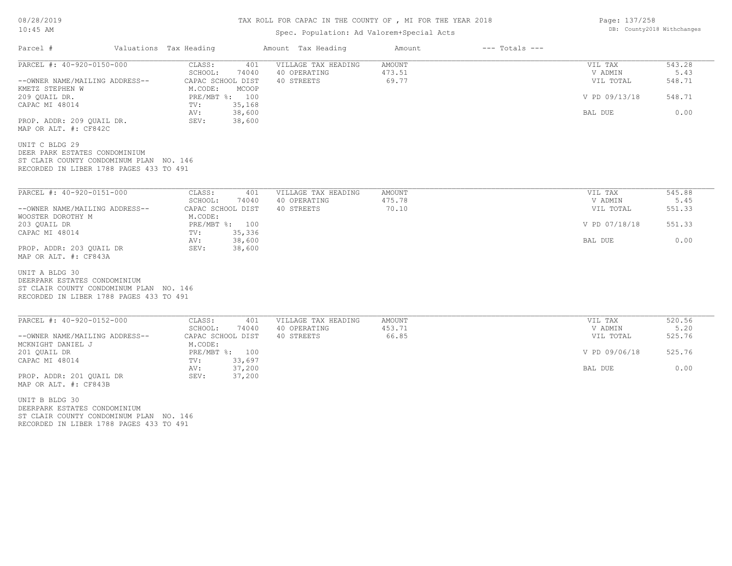## TAX ROLL FOR CAPAC IN THE COUNTY OF , MI FOR THE YEAR 2018

# Spec. Population: Ad Valorem+Special Acts

| Parcel #                                                                                                                              | Valuations Tax Heading |                                          | Amount Tax Heading         | Amount          | $---$ Totals $---$ |                      |                |
|---------------------------------------------------------------------------------------------------------------------------------------|------------------------|------------------------------------------|----------------------------|-----------------|--------------------|----------------------|----------------|
| PARCEL #: 40-920-0150-000                                                                                                             |                        | CLASS:<br>401                            | VILLAGE TAX HEADING        | AMOUNT          |                    | VIL TAX              | 543.28         |
|                                                                                                                                       |                        | SCHOOL:<br>74040                         | 40 OPERATING               | 473.51          |                    | V ADMIN              | 5.43           |
| --OWNER NAME/MAILING ADDRESS--<br>KMETZ STEPHEN W                                                                                     |                        | CAPAC SCHOOL DIST<br>M.CODE:<br>MCOOP    | 40 STREETS                 | 69.77           |                    | VIL TOTAL            | 548.71         |
| 209 QUAIL DR.                                                                                                                         |                        | PRE/MBT %: 100                           |                            |                 |                    | V PD 09/13/18        | 548.71         |
| CAPAC MI 48014                                                                                                                        |                        | 35,168<br>TV:<br>38,600<br>AV:           |                            |                 |                    | BAL DUE              | 0.00           |
| PROP. ADDR: 209 QUAIL DR.<br>MAP OR ALT. #: CF842C                                                                                    |                        | SEV:<br>38,600                           |                            |                 |                    |                      |                |
| UNIT C BLDG 29<br>DEER PARK ESTATES CONDOMINIUM<br>ST CLAIR COUNTY CONDOMINUM PLAN NO. 146<br>RECORDED IN LIBER 1788 PAGES 433 TO 491 |                        |                                          |                            |                 |                    |                      |                |
| PARCEL #: 40-920-0151-000                                                                                                             |                        | CLASS:<br>401                            | VILLAGE TAX HEADING        | AMOUNT          |                    | VIL TAX              | 545.88         |
|                                                                                                                                       |                        | SCHOOL:<br>74040                         | 40 OPERATING               | 475.78          |                    | V ADMIN              | 5.45           |
| --OWNER NAME/MAILING ADDRESS--                                                                                                        |                        | CAPAC SCHOOL DIST                        | 40 STREETS                 | 70.10           |                    | VIL TOTAL            | 551.33         |
| WOOSTER DOROTHY M                                                                                                                     |                        | M.CODE:                                  |                            |                 |                    |                      |                |
| 203 OUAIL DR                                                                                                                          |                        | PRE/MBT %: 100                           |                            |                 |                    | V PD 07/18/18        | 551.33         |
| CAPAC MI 48014                                                                                                                        |                        | TV:<br>35,336                            |                            |                 |                    |                      |                |
|                                                                                                                                       |                        | AV:<br>38,600                            |                            |                 |                    | BAL DUE              | 0.00           |
| PROP. ADDR: 203 OUAIL DR<br>MAP OR ALT. #: CF843A                                                                                     |                        | 38,600<br>SEV:                           |                            |                 |                    |                      |                |
| UNIT A BLDG 30<br>DEERPARK ESTATES CONDOMINIUM<br>ST CLAIR COUNTY CONDOMINUM PLAN NO. 146<br>RECORDED IN LIBER 1788 PAGES 433 TO 491  |                        |                                          |                            |                 |                    |                      |                |
| PARCEL #: 40-920-0152-000                                                                                                             |                        | CLASS:<br>401                            | VILLAGE TAX HEADING        | AMOUNT          |                    | VIL TAX              | 520.56         |
| --OWNER NAME/MAILING ADDRESS--                                                                                                        |                        | SCHOOL:<br>74040<br>CAPAC SCHOOL DIST    | 40 OPERATING<br>40 STREETS | 453.71<br>66.85 |                    | V ADMIN<br>VIL TOTAL | 5.20<br>525.76 |
| MCKNIGHT DANIEL J<br>201 QUAIL DR                                                                                                     |                        | M.CODE:<br>PRE/MBT %: 100                |                            |                 |                    | V PD 09/06/18        | 525.76         |
| CAPAC MI 48014                                                                                                                        |                        | 33,697<br>$\text{TV}$ :<br>37,200<br>AV: |                            |                 |                    | BAL DUE              | 0.00           |
| PROP. ADDR: 201 QUAIL DR<br>MAP OR ALT. #: CF843B                                                                                     |                        | SEV:<br>37,200                           |                            |                 |                    |                      |                |
| UNIT B BLDG 30                                                                                                                        |                        |                                          |                            |                 |                    |                      |                |
| DEERPARK ESTATES CONDOMINIUM<br>ST CLAIR COUNTY CONDOMINUM PLAN NO. 146                                                               |                        |                                          |                            |                 |                    |                      |                |

RECORDED IN LIBER 1788 PAGES 433 TO 491

Page: 137/258 DB: County2018 Withchanges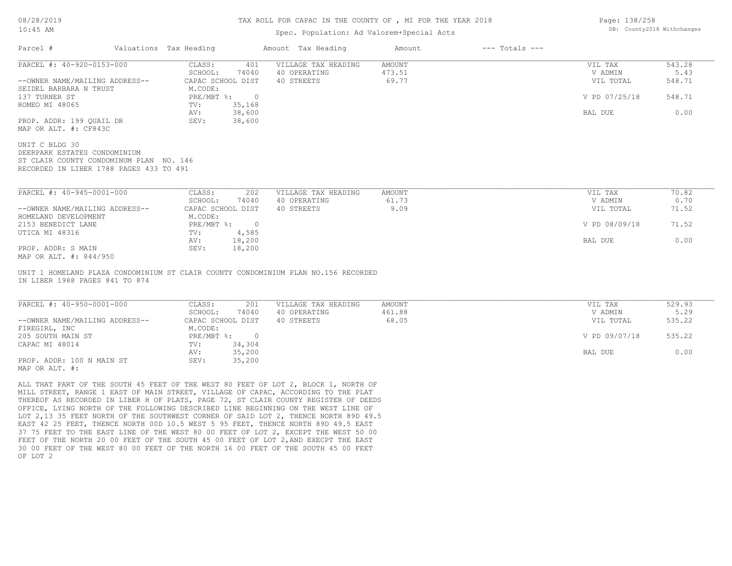#### TAX ROLL FOR CAPAC IN THE COUNTY OF , MI FOR THE YEAR 2018

#### Spec. Population: Ad Valorem+Special Acts

|                                                                                    | Valuations Tax Heading |                    |                     |        |               |        |
|------------------------------------------------------------------------------------|------------------------|--------------------|---------------------|--------|---------------|--------|
| PARCEL #: 40-920-0153-000                                                          | CLASS:                 | 401                | VILLAGE TAX HEADING | AMOUNT | VIL TAX       | 543.28 |
|                                                                                    | SCHOOL:                | 74040              | 40 OPERATING        | 473.51 | V ADMIN       | 5.43   |
| --OWNER NAME/MAILING ADDRESS--                                                     | CAPAC SCHOOL DIST      |                    | 40 STREETS          | 69.77  | VIL TOTAL     | 548.71 |
| SEIDEL BARBARA N TRUST                                                             | M.CODE:                |                    |                     |        |               |        |
| 137 TURNER ST                                                                      |                        | $PRE/MBT$ $\div$ 0 |                     |        | V PD 07/25/18 | 548.71 |
| ROMEO MI 48065                                                                     | TV:                    | 35,168             |                     |        |               |        |
|                                                                                    | AV:                    | 38,600             |                     |        | BAL DUE       | 0.00   |
| PROP. ADDR: 199 QUAIL DR                                                           | SEV:                   | 38,600             |                     |        |               |        |
| MAP OR ALT. #: CF843C                                                              |                        |                    |                     |        |               |        |
|                                                                                    |                        |                    |                     |        |               |        |
| UNIT C BLDG 30                                                                     |                        |                    |                     |        |               |        |
| DEERPARK ESTATES CONDOMINIUM                                                       |                        |                    |                     |        |               |        |
|                                                                                    |                        |                    |                     |        |               |        |
|                                                                                    |                        |                    |                     |        |               |        |
|                                                                                    |                        |                    |                     |        |               |        |
| ST CLAIR COUNTY CONDOMINUM PLAN NO. 146<br>RECORDED IN LIBER 1788 PAGES 433 TO 491 |                        |                    |                     |        |               |        |
| PARCEL #: 40-945-0001-000                                                          | CLASS:                 | 202                | VILLAGE TAX HEADING | AMOUNT | VIL TAX       | 70.82  |
|                                                                                    | SCHOOL:                | 74040              | 40 OPERATING        | 61.73  | V ADMIN       | 0.70   |
| --OWNER NAME/MAILING ADDRESS--                                                     | CAPAC SCHOOL DIST      |                    | 40 STREETS          | 9.09   | VIL TOTAL     | 71.52  |
| HOMELAND DEVELOPMENT                                                               | M.CODE:                |                    |                     |        |               |        |
| 2153 BENEDICT LANE                                                                 | $PRE/MBT$ %:           | $\overline{0}$     |                     |        | V PD 08/09/18 | 71.52  |
|                                                                                    | TV:                    | 4,585              |                     |        |               |        |
| UTICA MI 48316<br>PROP. ADDR: S MAIN                                               | AV:<br>SEV:            | 18,200<br>18,200   |                     |        | BAL DUE       | 0.00   |

IN LIBER 1988 PAGES 841 TO 874 UNIT 1 HOMELAND PLAZA CONDOMINIUM ST CLAIR COUNTY CONDOMINIUM PLAN NO.156 RECORDED

| PARCEL #: 40-950-0001-000      | CLASS:<br>201             | VILLAGE TAX HEADING | AMOUNT | VIL TAX       | 529.93 |
|--------------------------------|---------------------------|---------------------|--------|---------------|--------|
|                                | 74040<br>SCHOOL:          | 40 OPERATING        | 461.88 | V ADMIN       | 5.29   |
| --OWNER NAME/MAILING ADDRESS-- | CAPAC SCHOOL DIST         | 40 STREETS          | 68.05  | VIL TOTAL     | 535.22 |
| FIREGIRL, INC                  | M.CODE:                   |                     |        |               |        |
| 205 SOUTH MAIN ST              | $PRE/MBT$ $\frac{1}{6}$ : |                     |        | V PD 09/07/18 | 535.22 |
| CAPAC MI 48014                 | 34,304<br>TV:             |                     |        |               |        |
|                                | 35,200<br>AV:             |                     |        | BAL DUE       | 0.00   |
| PROP. ADDR: 100 N MAIN ST      | 35,200<br>SEV:            |                     |        |               |        |
| MAP OR ALT. #:                 |                           |                     |        |               |        |

OF LOT 2 30 00 FEET OF THE WEST 80 00 FEET OF THE NORTH 16 00 FEET OF THE SOUTH 45 00 FEET FEET OF THE NORTH 20 00 FEET OF THE SOUTH 45 00 FEET OF LOT 2,AND EXECPT THE EAST 37 75 FEET TO THE EAST LINE OF THE WEST 80 00 FEET OF LOT 2, EXCEPT THE WEST 50 00 EAST 42 25 FEET, THENCE NORTH 00D 10.5 WEST 5 95 FEET, THENCE NORTH 89D 49.5 EAST LOT 2,13 35 FEET NORTH OF THE SOUTHWEST CORNER OF SAID LOT 2, THENCE NORTH 89D 49.5 OFFICE, LYING NORTH OF THE FOLLOWING DESCRIBED LINE BEGINNING ON THE WEST LINE OF THEREOF AS RECORDED IN LIBER H OF PLATS, PAGE 72, ST CLAIR COUNTY REGISTER OF DEEDS MILL STREET, RANGE 1 EAST OF MAIN STREET, VILLAGE OF CAPAC, ACCORDING TO THE PLAT ALL THAT PART OF THE SOUTH 45 FEET OF THE WEST 80 FEET OF LOT 2, BLOCK 1, NORTH OF

Page: 138/258 DB: County2018 Withchanges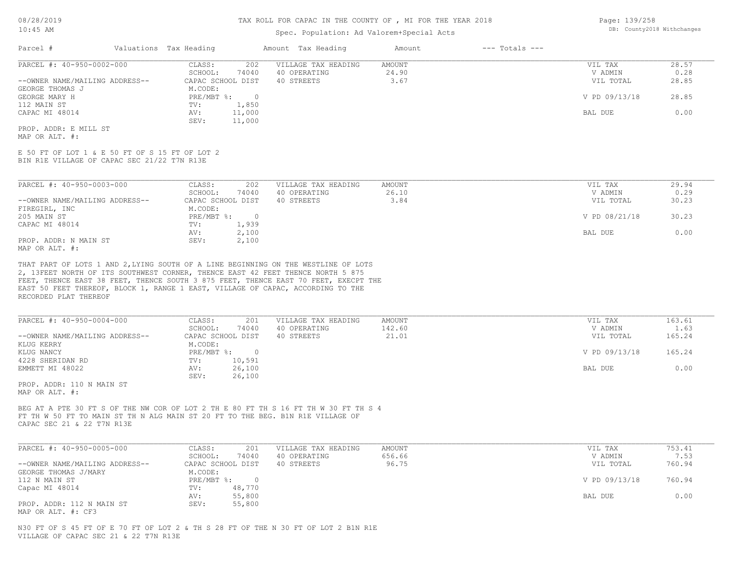#### TAX ROLL FOR CAPAC IN THE COUNTY OF , MI FOR THE YEAR 2018

#### Spec. Population: Ad Valorem+Special Acts

| Page: 139/258 |                            |
|---------------|----------------------------|
|               | DB: County2018 Withchanges |

| Parcel #                       | Valuations Tax Heading |        | Amount Tax Heading  | Amount | $---$ Totals $---$ |               |       |
|--------------------------------|------------------------|--------|---------------------|--------|--------------------|---------------|-------|
| PARCEL #: 40-950-0002-000      | CLASS:                 | 202    | VILLAGE TAX HEADING | AMOUNT |                    | VIL TAX       | 28.57 |
|                                | SCHOOL:                | 74040  | 40 OPERATING        | 24.90  |                    | V ADMIN       | 0.28  |
| --OWNER NAME/MAILING ADDRESS-- | CAPAC SCHOOL DIST      |        | 40 STREETS          | 3.67   |                    | VIL TOTAL     | 28.85 |
| GEORGE THOMAS J                | M.CODE:                |        |                     |        |                    |               |       |
| GEORGE MARY H                  | $PRE/MBT$ %:           |        |                     |        |                    | V PD 09/13/18 | 28.85 |
| 112 MAIN ST                    | TV:                    | 1,850  |                     |        |                    |               |       |
| CAPAC MI 48014                 | AV:                    | 11,000 |                     |        |                    | BAL DUE       | 0.00  |
|                                | SEV:                   | 11,000 |                     |        |                    |               |       |
| PROP. ADDR: E MILL ST          |                        |        |                     |        |                    |               |       |

MAP OR ALT. #:

BIN R1E VILLAGE OF CAPAC SEC 21/22 T7N R13E E 50 FT OF LOT 1 & E 50 FT OF S 15 FT OF LOT 2

| PARCEL #: 40-950-0003-000      | 202<br>CLASS:     | VILLAGE TAX HEADING | AMOUNT | VIL TAX       | 29.94 |
|--------------------------------|-------------------|---------------------|--------|---------------|-------|
|                                | 74040<br>SCHOOL:  | 40 OPERATING        | 26.10  | V ADMIN       | 0.29  |
| --OWNER NAME/MAILING ADDRESS-- | CAPAC SCHOOL DIST | 40 STREETS          | 3.84   | VIL TOTAL     | 30.23 |
| FIREGIRL, INC                  | M.CODE:           |                     |        |               |       |
| 205 MAIN ST                    | $PRE/MBT$ %:      |                     |        | V PD 08/21/18 | 30.23 |
| CAPAC MI 48014                 | 1,939<br>TV:      |                     |        |               |       |
|                                | 2,100<br>AV:      |                     |        | BAL DUE       | 0.00  |
| PROP. ADDR: N MAIN ST          | 2,100<br>SEV:     |                     |        |               |       |
| MAP OR ALT. #:                 |                   |                     |        |               |       |

RECORDED PLAT THEREOF EAST 50 FEET THEREOF, BLOCK 1, RANGE 1 EAST, VILLAGE OF CAPAC, ACCORDING TO THE FEET, THENCE EAST 38 FEET, THENCE SOUTH 3 875 FEET, THENCE EAST 70 FEET, EXECPT THE 2, 13FEET NORTH OF ITS SOUTHWEST CORNER, THENCE EAST 42 FEET THENCE NORTH 5 875 THAT PART OF LOTS 1 AND 2,LYING SOUTH OF A LINE BEGINNING ON THE WESTLINE OF LOTS

| PARCEL #: 40-950-0004-000      | 201<br>CLASS:     | VILLAGE TAX HEADING | AMOUNT | VIL TAX       | 163.61 |
|--------------------------------|-------------------|---------------------|--------|---------------|--------|
|                                | SCHOOL:<br>74040  | 40 OPERATING        | 142.60 | V ADMIN       | 1.63   |
| --OWNER NAME/MAILING ADDRESS-- | CAPAC SCHOOL DIST | 40 STREETS          | 21.01  | VIL TOTAL     | 165.24 |
| KLUG KERRY                     | M.CODE:           |                     |        |               |        |
| KLUG NANCY                     | PRE/MBT %:        |                     |        | V PD 09/13/18 | 165.24 |
| 4228 SHERIDAN RD               | 10,591<br>TV:     |                     |        |               |        |
| EMMETT MI 48022                | 26,100<br>AV:     |                     |        | BAL DUE       | 0.00   |
|                                | 26,100<br>SEV:    |                     |        |               |        |
| PROP. ADDR: 110 N MAIN ST      |                   |                     |        |               |        |

MAP OR ALT. #:

CAPAC SEC 21 & 22 T7N R13E FT TH W 50 FT TO MAIN ST TH N ALG MAIN ST 20 FT TO THE BEG. B1N R1E VILLAGE OF BEG AT A PTE 30 FT S OF THE NW COR OF LOT 2 TH E 80 FT TH S 16 FT TH W 30 FT TH S 4

| PARCEL #: 40-950-0005-000      | CLASS:<br>201     | VILLAGE TAX HEADING | AMOUNT | VIL TAX       | 753.41 |
|--------------------------------|-------------------|---------------------|--------|---------------|--------|
|                                | 74040<br>SCHOOL:  | 40 OPERATING        | 656.66 | V ADMIN       | 7.53   |
| --OWNER NAME/MAILING ADDRESS-- | CAPAC SCHOOL DIST | 40 STREETS          | 96.75  | VIL TOTAL     | 760.94 |
| GEORGE THOMAS J/MARY           | M.CODE:           |                     |        |               |        |
| 112 N MAIN ST                  | $PRE/MBT$ %:      |                     |        | V PD 09/13/18 | 760.94 |
| Capac MI 48014                 | 48,770<br>TV:     |                     |        |               |        |
|                                | 55,800<br>AV:     |                     |        | BAL DUE       | 0.00   |
| PROP. ADDR: 112 N MAIN ST      | 55,800<br>SEV:    |                     |        |               |        |
| MAP OR ALT. #: CF3             |                   |                     |        |               |        |

VILLAGE OF CAPAC SEC 21 & 22 T7N R13E N30 FT OF S 45 FT OF E 70 FT OF LOT 2 & TH S 28 FT OF THE N 30 FT OF LOT 2 B1N R1E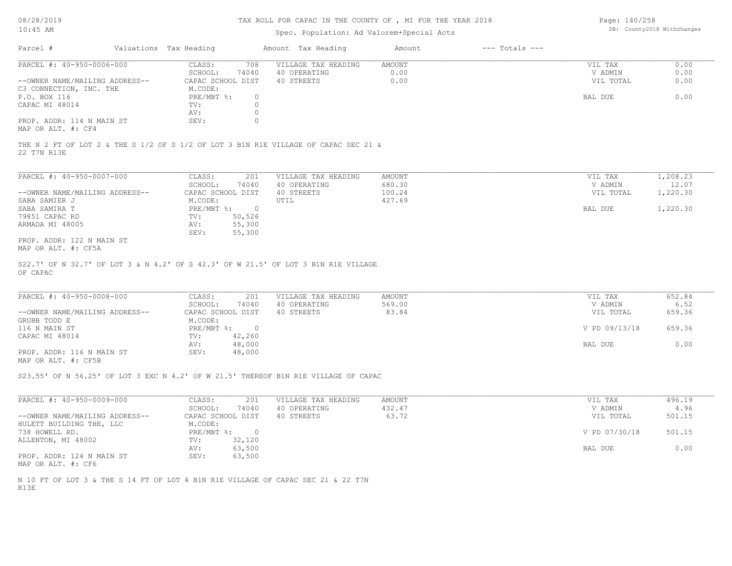#### TAX ROLL FOR CAPAC IN THE COUNTY OF , MI FOR THE YEAR 2018

#### Spec. Population: Ad Valorem+Special Acts

Page: 140/258 DB: County2018 Withchanges

| Parcel #                       | Valuations Tax Heading |       | Amount Tax Heading  | Amount | $---$ Totals $---$ |           |      |
|--------------------------------|------------------------|-------|---------------------|--------|--------------------|-----------|------|
| PARCEL #: 40-950-0006-000      | CLASS:                 | 708   | VILLAGE TAX HEADING | AMOUNT |                    | VIL TAX   | 0.00 |
|                                | SCHOOL:                | 74040 | 40 OPERATING        | 0.00   |                    | V ADMIN   | 0.00 |
| --OWNER NAME/MAILING ADDRESS-- | CAPAC SCHOOL DIST      |       | 40 STREETS          | 0.00   |                    | VIL TOTAL | 0.00 |
| C3 CONNECTION, INC. THE        | M.CODE:                |       |                     |        |                    |           |      |
| P.O. BOX 116                   | PRE/MBT %:             |       |                     |        |                    | BAL DUE   | 0.00 |
| CAPAC MI 48014                 | TV:                    |       |                     |        |                    |           |      |
|                                | AV:                    |       |                     |        |                    |           |      |
| PROP. ADDR: 114 N MAIN ST      | SEV:                   |       |                     |        |                    |           |      |
| MAP OR ALT. #: CF4             |                        |       |                     |        |                    |           |      |

22 T7N R13E THE N 2 FT OF LOT 2 & THE S 1/2 OF S 1/2 OF LOT 3 B1N R1E VILLAGE OF CAPAC SEC 21 &

| PARCEL #: 40-950-0007-000      | CLASS:     | 201               | VILLAGE TAX HEADING | AMOUNT | VIL TAX   | 1,208.23 |
|--------------------------------|------------|-------------------|---------------------|--------|-----------|----------|
|                                | SCHOOL:    | 74040             | 40 OPERATING        | 680.30 | V ADMIN   | 12.07    |
| --OWNER NAME/MAILING ADDRESS-- |            | CAPAC SCHOOL DIST | 40 STREETS          | 100.24 | VIL TOTAL | 1,220.30 |
| SABA SAMIER J                  | M.CODE:    |                   | UTIL                | 427.69 |           |          |
| SABA SAMIRA T                  | PRE/MBT %: |                   |                     |        | BAL DUE   | 1,220.30 |
| 79851 CAPAC RD                 | TV:        | 50,526            |                     |        |           |          |
| ARMADA MI 48005                | AV:        | 55,300            |                     |        |           |          |
|                                | SEV:       | 55,300            |                     |        |           |          |
| PROP. ADDR: 122 N MAIN ST      |            |                   |                     |        |           |          |

MAP OR ALT. #: CF5A

OF CAPAC S22.7' OF N 32.7' OF LOT 3 & N 4.2' OF S 42.3' OF W 21.5' OF LOT 3 B1N R1E VILLAGE

| PARCEL #: 40-950-0008-000      | CLASS:<br>201     | VILLAGE TAX HEADING | AMOUNT | VIL TAX       | 652.84 |
|--------------------------------|-------------------|---------------------|--------|---------------|--------|
|                                | 74040<br>SCHOOL:  | 40 OPERATING        | 569.00 | V ADMIN       | 6.52   |
| --OWNER NAME/MAILING ADDRESS-- | CAPAC SCHOOL DIST | 40 STREETS          | 83.84  | VIL TOTAL     | 659.36 |
| GRUBB TODD E                   | M.CODE:           |                     |        |               |        |
| 116 N MAIN ST                  | $PRE/MBT$ %:      |                     |        | V PD 09/13/18 | 659.36 |
| CAPAC MI 48014                 | 42,260<br>TV:     |                     |        |               |        |
|                                | 48,000<br>AV:     |                     |        | BAL DUE       | 0.00   |
| PROP. ADDR: 116 N MAIN ST      | 48,000<br>SEV:    |                     |        |               |        |
| $\frac{1}{2}$                  |                   |                     |        |               |        |

MAP OR ALT. #: CF5B

S23.55' OF N 56.25' OF LOT 3 EXC N 4.2' OF W 21.5' THEREOF B1N R1E VILLAGE OF CAPAC

| PARCEL #: 40-950-0009-000      | 201<br>CLASS:     | VILLAGE TAX HEADING | AMOUNT | VIL TAX       | 496.19 |
|--------------------------------|-------------------|---------------------|--------|---------------|--------|
|                                | 74040<br>SCHOOL:  | 40 OPERATING        | 432.47 | V ADMIN       | 4.96   |
| --OWNER NAME/MAILING ADDRESS-- | CAPAC SCHOOL DIST | 40 STREETS          | 63.72  | VIL TOTAL     | 501.15 |
| HULETT BUILDING THE, LLC       | M.CODE:           |                     |        |               |        |
| 738 HOWELL RD.                 | $PRE/MBT$ %:      |                     |        | V PD 07/30/18 | 501.15 |
| ALLENTON, MI 48002             | 32,120<br>TV:     |                     |        |               |        |
|                                | 63,500<br>AV:     |                     |        | BAL DUE       | 0.00   |
| PROP. ADDR: 124 N MAIN ST      | 63,500<br>SEV:    |                     |        |               |        |
| MAP OR ALT. #: CF6             |                   |                     |        |               |        |

R13E N 10 FT OF LOT 3 & THE S 14 FT OF LOT 4 B1N R1E VILLAGE OF CAPAC SEC 21 & 22 T7N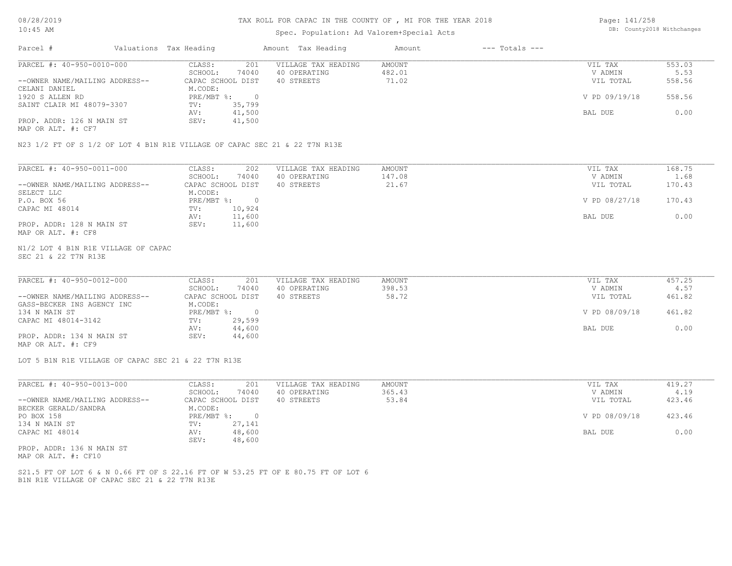#### TAX ROLL FOR CAPAC IN THE COUNTY OF , MI FOR THE YEAR 2018

#### Spec. Population: Ad Valorem+Special Acts

Page: 141/258 DB: County2018 Withchanges

| Parcel #                       | Valuations Tax Heading |        | Amount Tax Heading  | Amount | $---$ Totals $---$ |               |        |
|--------------------------------|------------------------|--------|---------------------|--------|--------------------|---------------|--------|
| PARCEL #: 40-950-0010-000      | CLASS:                 | 201    | VILLAGE TAX HEADING | AMOUNT |                    | VIL TAX       | 553.03 |
|                                | SCHOOL:                | 74040  | 40 OPERATING        | 482.01 |                    | V ADMIN       | 5.53   |
| --OWNER NAME/MAILING ADDRESS-- | CAPAC SCHOOL DIST      |        | 40 STREETS          | 71.02  |                    | VIL TOTAL     | 558.56 |
| CELANI DANIEL                  | M.CODE:                |        |                     |        |                    |               |        |
| 1920 S ALLEN RD                | PRE/MBT %:             |        |                     |        |                    | V PD 09/19/18 | 558.56 |
| SAINT CLAIR MI 48079-3307      | TV:                    | 35,799 |                     |        |                    |               |        |
|                                | AV:                    | 41,500 |                     |        |                    | BAL DUE       | 0.00   |
| PROP. ADDR: 126 N MAIN ST      | SEV:                   | 41,500 |                     |        |                    |               |        |
| MAP OR ALT. #: CF7             |                        |        |                     |        |                    |               |        |

N23 1/2 FT OF S 1/2 OF LOT 4 B1N R1E VILLAGE OF CAPAC SEC 21 & 22 T7N R13E

| PARCEL #: 40-950-0011-000      | 202<br>CLASS:     | VILLAGE TAX HEADING | AMOUNT | VIL TAX       | 168.75 |
|--------------------------------|-------------------|---------------------|--------|---------------|--------|
|                                | 74040<br>SCHOOL:  | 40 OPERATING        | 147.08 | V ADMIN       | 1.68   |
| --OWNER NAME/MAILING ADDRESS-- | CAPAC SCHOOL DIST | 40 STREETS          | 21.67  | VIL TOTAL     | 170.43 |
| SELECT LLC                     | M.CODE:           |                     |        |               |        |
| P.O. BOX 56                    | PRE/MBT %:        |                     |        | V PD 08/27/18 | 170.43 |
| CAPAC MI 48014                 | 10,924<br>TV:     |                     |        |               |        |
|                                | 11,600<br>AV:     |                     |        | BAL DUE       | 0.00   |
| PROP. ADDR: 128 N MAIN ST      | 11,600<br>SEV:    |                     |        |               |        |
| MAP OR ALT. #: CF8             |                   |                     |        |               |        |

#### SEC 21 & 22 T7N R13E N1/2 LOT 4 B1N R1E VILLAGE OF CAPAC

| PARCEL #: 40-950-0012-000      | CLASS:<br>201     | VILLAGE TAX HEADING | AMOUNT | VIL TAX       | 457.25 |
|--------------------------------|-------------------|---------------------|--------|---------------|--------|
|                                | 74040<br>SCHOOL:  | 40 OPERATING        | 398.53 | V ADMIN       | 4.57   |
| --OWNER NAME/MAILING ADDRESS-- | CAPAC SCHOOL DIST | 40 STREETS          | 58.72  | VIL TOTAL     | 461.82 |
| GASS-BECKER INS AGENCY INC     | M.CODE:           |                     |        |               |        |
| 134 N MAIN ST                  | $PRE/MBT$ %:      |                     |        | V PD 08/09/18 | 461.82 |
| CAPAC MI 48014-3142            | 29,599<br>TV:     |                     |        |               |        |
|                                | 44,600<br>AV:     |                     |        | BAL DUE       | 0.00   |
| PROP. ADDR: 134 N MAIN ST      | 44,600<br>SEV:    |                     |        |               |        |
| MAP OR ALT. #: CF9             |                   |                     |        |               |        |

LOT 5 B1N R1E VILLAGE OF CAPAC SEC 21 & 22 T7N R13E

| PARCEL #: 40-950-0013-000      | 201<br>CLASS:     | VILLAGE TAX HEADING | AMOUNT | VIL TAX       | 419.27 |
|--------------------------------|-------------------|---------------------|--------|---------------|--------|
|                                | 74040<br>SCHOOL:  | 40 OPERATING        | 365.43 | V ADMIN       | 4.19   |
| --OWNER NAME/MAILING ADDRESS-- | CAPAC SCHOOL DIST | 40 STREETS          | 53.84  | VIL TOTAL     | 423.46 |
| BECKER GERALD/SANDRA           | M.CODE:           |                     |        |               |        |
| PO BOX 158                     | PRE/MBT %:        |                     |        | V PD 08/09/18 | 423.46 |
| 134 N MAIN ST                  | 27,141<br>TV:     |                     |        |               |        |
| CAPAC MI 48014                 | 48,600<br>AV:     |                     |        | BAL DUE       | 0.00   |
|                                | 48,600<br>SEV:    |                     |        |               |        |
| PROP. ADDR: 136 N MAIN ST      |                   |                     |        |               |        |

MAP OR ALT. #: CF10

B1N R1E VILLAGE OF CAPAC SEC 21 & 22 T7N R13E S21.5 FT OF LOT 6 & N 0.66 FT OF S 22.16 FT OF W 53.25 FT OF E 80.75 FT OF LOT 6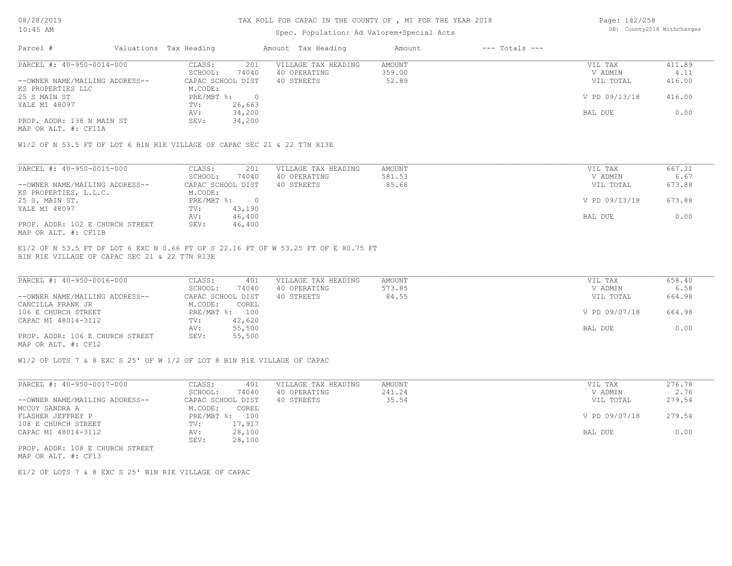#### TAX ROLL FOR CAPAC IN THE COUNTY OF , MI FOR THE YEAR 2018

#### Spec. Population: Ad Valorem+Special Acts

Page: 142/258 DB: County2018 Withchanges

| Parcel #                       | Valuations Tax Heading |        | Amount Tax Heading  | Amount | $---$ Totals $---$ |               |        |
|--------------------------------|------------------------|--------|---------------------|--------|--------------------|---------------|--------|
| PARCEL #: 40-950-0014-000      | CLASS:                 | 201    | VILLAGE TAX HEADING | AMOUNT |                    | VIL TAX       | 411.89 |
|                                | SCHOOL:                | 74040  | 40 OPERATING        | 359.00 |                    | V ADMIN       | 4.11   |
| --OWNER NAME/MAILING ADDRESS-- | CAPAC SCHOOL DIST      |        | 40 STREETS          | 52.89  |                    | VIL TOTAL     | 416.00 |
| KS PROPERTIES LLC              | M.CODE:                |        |                     |        |                    |               |        |
| 25 S MAIN ST                   | PRE/MBT %:             |        |                     |        |                    | V PD 09/13/18 | 416.00 |
| YALE MI 48097                  | TV:                    | 26,663 |                     |        |                    |               |        |
|                                | AV:                    | 34,200 |                     |        |                    | BAL DUE       | 0.00   |
| PROP. ADDR: 138 N MAIN ST      | SEV:                   | 34,200 |                     |        |                    |               |        |
| MAP OR ALT. #: CF11A           |                        |        |                     |        |                    |               |        |

W1/2 OF N 53.5 FT OF LOT 6 B1N R1E VILLAGE OF CAPAC SEC 21 & 22 T7N R13E

| PARCEL #: 40-950-0015-000       | CLASS:            | 201    | VILLAGE TAX HEADING | AMOUNT | VIL TAX       | 667.21 |
|---------------------------------|-------------------|--------|---------------------|--------|---------------|--------|
|                                 | SCHOOL:           | 74040  | 40 OPERATING        | 581.53 | V ADMIN       | 6.67   |
| --OWNER NAME/MAILING ADDRESS--  | CAPAC SCHOOL DIST |        | 40 STREETS          | 85.68  | VIL TOTAL     | 673.88 |
| KS PROPERTIES, L.L.C.           | M.CODE:           |        |                     |        |               |        |
| 25 S. MAIN ST.                  | PRE/MBT %:        |        |                     |        | V PD 09/13/18 | 673.88 |
| YALE MI 48097                   | TV:               | 43,190 |                     |        |               |        |
|                                 | AV:               | 46,400 |                     |        | BAL DUE       | 0.00   |
| PROP. ADDR: 102 E CHURCH STREET | SEV:              | 46,400 |                     |        |               |        |
| MAP OR ALT. #: CF11B            |                   |        |                     |        |               |        |

B1N R1E VILLAGE OF CAPAC SEC 21 & 22 T7N R13E E1/2 OF N 53.5 FT OF LOT 6 EXC N 0.66 FT OF S 22.16 FT OF W 53.25 FT OF E 80.75 FT

| PARCEL #: 40-950-0016-000       | CLASS:<br>401     | VILLAGE TAX HEADING | AMOUNT | VIL TAX       | 658.40 |
|---------------------------------|-------------------|---------------------|--------|---------------|--------|
|                                 | 74040<br>SCHOOL:  | 40 OPERATING        | 573.85 | V ADMIN       | 6.58   |
| --OWNER NAME/MAILING ADDRESS--  | CAPAC SCHOOL DIST | 40 STREETS          | 84.55  | VIL TOTAL     | 664.98 |
| CANCILLA FRANK JR               | M.CODE:<br>COREL  |                     |        |               |        |
| 106 E CHURCH STREET             | PRE/MBT %: 100    |                     |        | V PD 09/07/18 | 664.98 |
| CAPAC MI 48014-3112             | 42,620<br>TV:     |                     |        |               |        |
|                                 | 55,500<br>AV:     |                     |        | BAL DUE       | 0.00   |
| PROP. ADDR: 106 E CHURCH STREET | 55,500<br>SEV:    |                     |        |               |        |
| MAP OR ALT. #: CF12             |                   |                     |        |               |        |

W1/2 OF LOTS 7 & 8 EXC S 25' OF W 1/2 OF LOT 8 B1N R1E VILLAGE OF CAPAC

| PARCEL #: 40-950-0017-000      | CLASS:<br>401     | VILLAGE TAX HEADING | AMOUNT | VIL TAX       | 276.78 |
|--------------------------------|-------------------|---------------------|--------|---------------|--------|
|                                | 74040<br>SCHOOL:  | 40 OPERATING        | 241.24 | V ADMIN       | 2.76   |
| --OWNER NAME/MAILING ADDRESS-- | CAPAC SCHOOL DIST | 40 STREETS          | 35.54  | VIL TOTAL     | 279.54 |
| MCCOY SANDRA A                 | M.CODE:<br>COREL  |                     |        |               |        |
| FLASHER JEFFREY P              | PRE/MBT %: 100    |                     |        | V PD 09/07/18 | 279.54 |
| 108 E CHURCH STREET            | 17,917<br>TV:     |                     |        |               |        |
| CAPAC MI 48014-3112            | 28,100<br>AV:     |                     |        | BAL DUE       | 0.00   |
|                                | 28,100<br>SEV:    |                     |        |               |        |
|                                |                   |                     |        |               |        |

MAP OR ALT. #: CF13 PROP. ADDR: 108 E CHURCH STREET

E1/2 OF LOTS 7 & 8 EXC S 25' B1N R1E VILLAGE OF CAPAC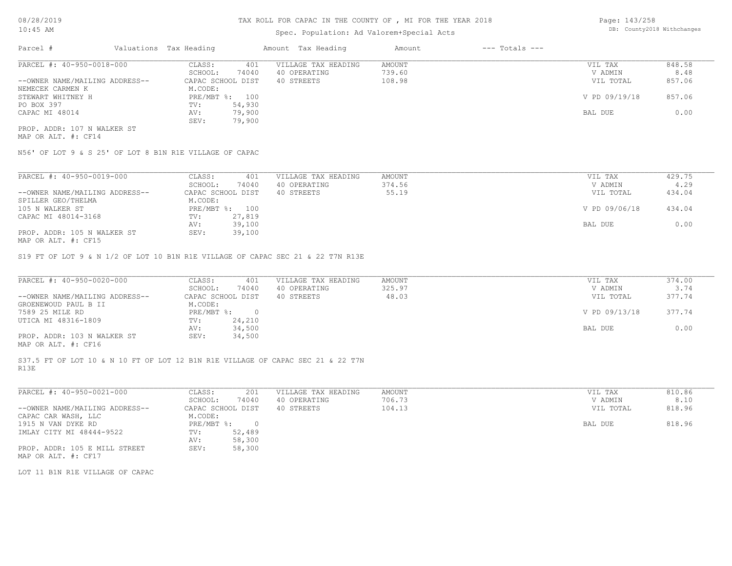#### TAX ROLL FOR CAPAC IN THE COUNTY OF , MI FOR THE YEAR 2018

## Spec. Population: Ad Valorem+Special Acts

Page: 143/258 DB: County2018 Withchanges

| Parcel #                       | Valuations Tax Heading |                | Amount Tax Heading  | Amount | $---$ Totals $---$ |               |        |
|--------------------------------|------------------------|----------------|---------------------|--------|--------------------|---------------|--------|
| PARCEL #: 40-950-0018-000      | CLASS:                 | 401            | VILLAGE TAX HEADING | AMOUNT |                    | VIL TAX       | 848.58 |
|                                | SCHOOL:                | 74040          | 40 OPERATING        | 739.60 |                    | V ADMIN       | 8.48   |
| --OWNER NAME/MAILING ADDRESS-- | CAPAC SCHOOL DIST      |                | 40 STREETS          | 108.98 |                    | VIL TOTAL     | 857.06 |
| NEMECEK CARMEN K               | M.CODE:                |                |                     |        |                    |               |        |
| STEWART WHITNEY H              |                        | PRE/MBT %: 100 |                     |        |                    | V PD 09/19/18 | 857.06 |
| PO BOX 397                     | TV:                    | 54,930         |                     |        |                    |               |        |
| CAPAC MI 48014                 | AV:                    | 79,900         |                     |        |                    | BAL DUE       | 0.00   |
|                                | SEV:                   | 79,900         |                     |        |                    |               |        |
| PROP. ADDR: 107 N WALKER ST    |                        |                |                     |        |                    |               |        |

MAP OR ALT. #: CF14

N56' OF LOT 9 & S 25' OF LOT 8 B1N R1E VILLAGE OF CAPAC

| PARCEL #: 40-950-0019-000                          | CLASS:       | 401               | VILLAGE TAX HEADING | AMOUNT | VIL TAX       | 429.75 |
|----------------------------------------------------|--------------|-------------------|---------------------|--------|---------------|--------|
|                                                    | SCHOOL:      | 74040             | 40 OPERATING        | 374.56 | V ADMIN       | 4.29   |
| --OWNER NAME/MAILING ADDRESS--                     |              | CAPAC SCHOOL DIST | 40 STREETS          | 55.19  | VIL TOTAL     | 434.04 |
| SPILLER GEO/THELMA                                 | M.CODE:      |                   |                     |        |               |        |
| 105 N WALKER ST                                    | $PRE/MBT$ %: | 100               |                     |        | V PD 09/06/18 | 434.04 |
| CAPAC MI 48014-3168                                | TV:          | 27,819            |                     |        |               |        |
|                                                    | AV:          | 39,100            |                     |        | BAL DUE       | 0.00   |
| PROP. ADDR: 105 N WALKER ST                        | SEV:         | 39,100            |                     |        |               |        |
| $M \land D$ $\land T$ $m$ $\#$ $\land T$ $\land E$ |              |                   |                     |        |               |        |

MAP OR ALT. #: CF15

S19 FT OF LOT 9 & N 1/2 OF LOT 10 B1N R1E VILLAGE OF CAPAC SEC 21 & 22 T7N R13E

| PARCEL #: 40-950-0020-000                    | CLASS:<br>401     | VILLAGE TAX HEADING | AMOUNT | VIL TAX       | 374.00 |
|----------------------------------------------|-------------------|---------------------|--------|---------------|--------|
|                                              | 74040<br>SCHOOL:  | 40 OPERATING        | 325.97 | V ADMIN       | 3.74   |
| --OWNER NAME/MAILING ADDRESS--               | CAPAC SCHOOL DIST | 40 STREETS          | 48.03  | VIL TOTAL     | 377.74 |
| GROENEWOUD PAUL B II                         | M.CODE:           |                     |        |               |        |
| 7589 25 MILE RD                              | PRE/MBT %:        |                     |        | V PD 09/13/18 | 377.74 |
| UTICA MI 48316-1809                          | 24,210<br>TV:     |                     |        |               |        |
|                                              | 34,500<br>AV:     |                     |        | BAL DUE       | 0.00   |
| PROP. ADDR: 103 N WALKER ST                  | 34,500<br>SEV:    |                     |        |               |        |
| $\cdots$ $\cdots$ $\cdots$ $\cdots$ $\cdots$ |                   |                     |        |               |        |

MAP OR ALT. #: CF16

R13E S37.5 FT OF LOT 10 & N 10 FT OF LOT 12 B1N R1E VILLAGE OF CAPAC SEC 21 & 22 T7N

| PARCEL #: 40-950-0021-000      | CLASS:     | 201               | VILLAGE TAX HEADING | AMOUNT | VIL TAX   | 810.86 |
|--------------------------------|------------|-------------------|---------------------|--------|-----------|--------|
|                                | SCHOOL:    | 74040             | 40 OPERATING        | 706.73 | V ADMIN   | 8.10   |
| --OWNER NAME/MAILING ADDRESS-- |            | CAPAC SCHOOL DIST | 40 STREETS          | 104.13 | VIL TOTAL | 818.96 |
| CAPAC CAR WASH, LLC            | M.CODE:    |                   |                     |        |           |        |
| 1915 N VAN DYKE RD             | PRE/MBT %: | $\cap$            |                     |        | BAL DUE   | 818.96 |
| IMLAY CITY MI 48444-9522       | TV:        | 52,489            |                     |        |           |        |
|                                | AV:        | 58,300            |                     |        |           |        |
| PROP. ADDR: 105 E MILL STREET  | SEV:       | 58,300            |                     |        |           |        |
| MAP OR ALT. #: CF17            |            |                   |                     |        |           |        |

LOT 11 B1N R1E VILLAGE OF CAPAC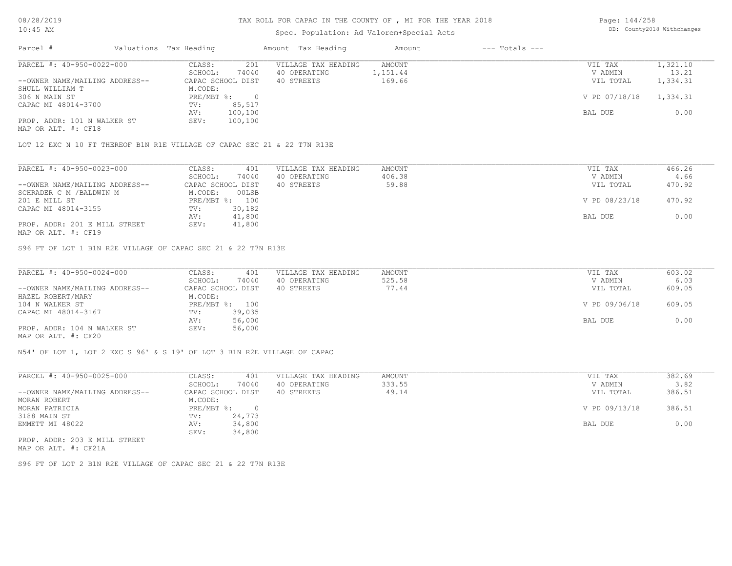## TAX ROLL FOR CAPAC IN THE COUNTY OF , MI FOR THE YEAR 2018

#### Spec. Population: Ad Valorem+Special Acts

Page: 144/258 DB: County2018 Withchanges

| Parcel #                       | Valuations Tax Heading |                   | Amount Tax Heading  | Amount   | $---$ Totals $---$ |               |          |
|--------------------------------|------------------------|-------------------|---------------------|----------|--------------------|---------------|----------|
| PARCEL #: 40-950-0022-000      | CLASS:                 | 201               | VILLAGE TAX HEADING | AMOUNT   |                    | VIL TAX       | 1,321.10 |
|                                | SCHOOL:                | 74040             | 40 OPERATING        | 1,151.44 |                    | V ADMIN       | 13.21    |
| --OWNER NAME/MAILING ADDRESS-- |                        | CAPAC SCHOOL DIST | 40 STREETS          | 169.66   |                    | VIL TOTAL     | 1,334.31 |
| SHULL WILLIAM T                | M.CODE:                |                   |                     |          |                    |               |          |
| 306 N MAIN ST                  | PRE/MBT %:             |                   |                     |          |                    | V PD 07/18/18 | 1,334.31 |
| CAPAC MI 48014-3700            | TV:                    | 85,517            |                     |          |                    |               |          |
|                                | AV:                    | 100,100           |                     |          |                    | BAL DUE       | 0.00     |
| PROP. ADDR: 101 N WALKER ST    | SEV:                   | 100,100           |                     |          |                    |               |          |
| MAP OR ALT. #: CF18            |                        |                   |                     |          |                    |               |          |

LOT 12 EXC N 10 FT THEREOF B1N R1E VILLAGE OF CAPAC SEC 21 & 22 T7N R13E

| PARCEL #: 40-950-0023-000      | 401<br>CLASS:     | VILLAGE TAX HEADING | AMOUNT | VIL TAX       | 466.26 |
|--------------------------------|-------------------|---------------------|--------|---------------|--------|
|                                | 74040<br>SCHOOL:  | 40 OPERATING        | 406.38 | V ADMIN       | 4.66   |
| --OWNER NAME/MAILING ADDRESS-- | CAPAC SCHOOL DIST | 40 STREETS          | 59.88  | VIL TOTAL     | 470.92 |
| SCHRADER C M /BALDWIN M        | 00LSB<br>M.CODE:  |                     |        |               |        |
| 201 E MILL ST                  | PRE/MBT %: 100    |                     |        | V PD 08/23/18 | 470.92 |
| CAPAC MI 48014-3155            | 30,182<br>TV:     |                     |        |               |        |
|                                | 41,800<br>AV:     |                     |        | BAL DUE       | 0.00   |
| PROP. ADDR: 201 E MILL STREET  | 41,800<br>SEV:    |                     |        |               |        |
| MAP OR ALT. #: CF19            |                   |                     |        |               |        |

S96 FT OF LOT 1 B1N R2E VILLAGE OF CAPAC SEC 21 & 22 T7N R13E

| PARCEL #: 40-950-0024-000      | CLASS:<br>401     | VILLAGE TAX HEADING | AMOUNT | VIL TAX       | 603.02                   |
|--------------------------------|-------------------|---------------------|--------|---------------|--------------------------|
|                                | 74040<br>SCHOOL:  | 40 OPERATING        | 525.58 | V ADMIN       | 6.03<br>609.05<br>609.05 |
| --OWNER NAME/MAILING ADDRESS-- | CAPAC SCHOOL DIST | 40 STREETS          | 77.44  | VIL TOTAL     |                          |
| HAZEL ROBERT/MARY              | M.CODE:           |                     |        |               |                          |
| 104 N WALKER ST                | PRE/MBT %: 100    |                     |        | V PD 09/06/18 |                          |
| CAPAC MI 48014-3167            | 39,035<br>TV:     |                     |        |               |                          |
|                                | 56,000<br>AV:     |                     |        | BAL DUE       | 0.00                     |
| PROP. ADDR: 104 N WALKER ST    | 56,000<br>SEV:    |                     |        |               |                          |
| MAP OR ALT. #: CF20            |                   |                     |        |               |                          |

N54' OF LOT 1, LOT 2 EXC S 96' & S 19' OF LOT 3 B1N R2E VILLAGE OF CAPAC

| PARCEL #: 40-950-0025-000      | CLASS:     | 401               | VILLAGE TAX HEADING | AMOUNT | VIL TAX       | 382.69 |
|--------------------------------|------------|-------------------|---------------------|--------|---------------|--------|
|                                | SCHOOL:    | 74040             | 40 OPERATING        | 333.55 | V ADMIN       | 3.82   |
| --OWNER NAME/MAILING ADDRESS-- |            | CAPAC SCHOOL DIST | 40 STREETS          | 49.14  | VIL TOTAL     | 386.51 |
| MORAN ROBERT                   | M.CODE:    |                   |                     |        |               |        |
| MORAN PATRICIA                 | PRE/MBT %: |                   |                     |        | V PD 09/13/18 | 386.51 |
| 3188 MAIN ST                   | TV:        | 24,773            |                     |        |               |        |
| EMMETT MI 48022                | AV:        | 34,800            |                     |        | BAL DUE       | 0.00   |
|                                | SEV:       | 34,800            |                     |        |               |        |
| PROP. ADDR: 203 E MILL STREET  |            |                   |                     |        |               |        |

MAP OR ALT. #: CF21A

S96 FT OF LOT 2 B1N R2E VILLAGE OF CAPAC SEC 21 & 22 T7N R13E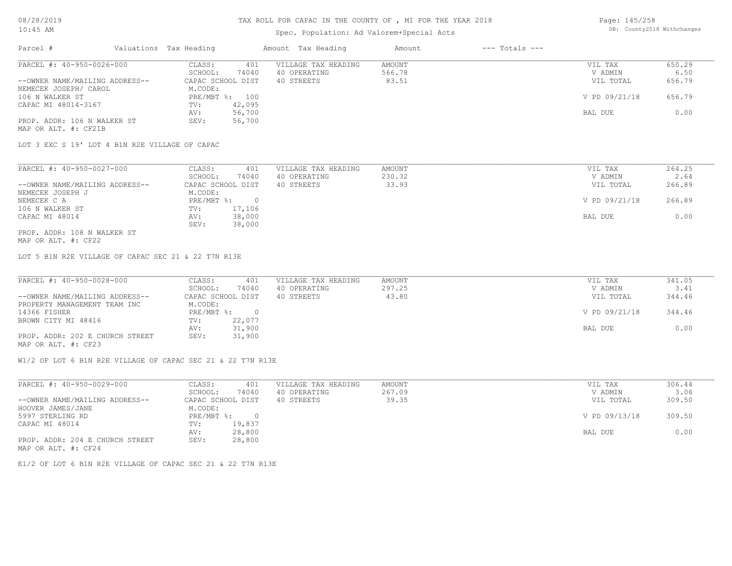### TAX ROLL FOR CAPAC IN THE COUNTY OF , MI FOR THE YEAR 2018

# Spec. Population: Ad Valorem+Special Acts

Page: 145/258 DB: County2018 Withchanges

| Parcel #                       | Valuations Tax Heading |        | Amount Tax Heading  | Amount | $---$ Totals $---$ |               |        |
|--------------------------------|------------------------|--------|---------------------|--------|--------------------|---------------|--------|
| PARCEL #: 40-950-0026-000      | CLASS:                 | 401    | VILLAGE TAX HEADING | AMOUNT |                    | VIL TAX       | 650.29 |
|                                | SCHOOL:                | 74040  | 40 OPERATING        | 566.78 |                    | V ADMIN       | 6.50   |
| --OWNER NAME/MAILING ADDRESS-- | CAPAC SCHOOL DIST      |        | 40 STREETS          | 83.51  |                    | VIL TOTAL     | 656.79 |
| NEMECEK JOSEPH/ CAROL          | M.CODE:                |        |                     |        |                    |               |        |
| 106 N WALKER ST                | PRE/MBT %: 100         |        |                     |        |                    | V PD 09/21/18 | 656.79 |
| CAPAC MI 48014-3167            | TV:                    | 42,095 |                     |        |                    |               |        |
|                                | AV:                    | 56,700 |                     |        |                    | BAL DUE       | 0.00   |
| PROP. ADDR: 106 N WALKER ST    | SEV:                   | 56,700 |                     |        |                    |               |        |
| MAP OR ALT. #: CF21B           |                        |        |                     |        |                    |               |        |

LOT 3 EXC S 19' LOT 4 B1N R2E VILLAGE OF CAPAC

| PARCEL #: 40-950-0027-000      | CLASS:<br>401     | VILLAGE TAX HEADING | AMOUNT | VIL TAX       | 264.25 |
|--------------------------------|-------------------|---------------------|--------|---------------|--------|
|                                | 74040<br>SCHOOL:  | 40 OPERATING        | 230.32 | V ADMIN       | 2.64   |
| --OWNER NAME/MAILING ADDRESS-- | CAPAC SCHOOL DIST | 40 STREETS          | 33.93  | VIL TOTAL     | 266.89 |
| NEMECEK JOSEPH J               | M.CODE:           |                     |        |               |        |
| NEMECEK C A                    | PRE/MBT %:        |                     |        | V PD 09/21/18 | 266.89 |
| 106 N WALKER ST                | 17,106<br>TV:     |                     |        |               |        |
| CAPAC MI 48014                 | 38,000<br>AV:     |                     |        | BAL DUE       | 0.00   |
|                                | 38,000<br>SEV:    |                     |        |               |        |
| PROP. ADDR: 108 N WALKER ST    |                   |                     |        |               |        |

MAP OR ALT. #: CF22

LOT 5 B1N R2E VILLAGE OF CAPAC SEC 21 & 22 T7N R13E

| PARCEL #: 40-950-0028-000       | CLASS:<br>401     | VILLAGE TAX HEADING | AMOUNT | VIL TAX       | 341.05 |
|---------------------------------|-------------------|---------------------|--------|---------------|--------|
|                                 | 74040<br>SCHOOL:  | 40 OPERATING        | 297.25 | V ADMIN       | 3.41   |
| --OWNER NAME/MAILING ADDRESS--  | CAPAC SCHOOL DIST | 40 STREETS          | 43.80  | VIL TOTAL     | 344.46 |
| PROPERTY MANAGEMENT TEAM INC    | M.CODE:           |                     |        |               |        |
| 14366 FISHER                    | $PRE/MBT$ %:      |                     |        | V PD 09/21/18 | 344.46 |
| BROWN CITY MI 48416             | 22,077<br>TV:     |                     |        |               |        |
|                                 | 31,900<br>AV:     |                     |        | BAL DUE       | 0.00   |
| PROP. ADDR: 202 E CHURCH STREET | 31,900<br>SEV:    |                     |        |               |        |
| MAP OR ALT. #: CF23             |                   |                     |        |               |        |

W1/2 OF LOT 6 B1N R2E VILLAGE OF CAPAC SEC 21 & 22 T7N R13E

| PARCEL #: 40-950-0029-000       | 401<br>CLASS:     | VILLAGE TAX HEADING | AMOUNT | VIL TAX       | 306.44 |
|---------------------------------|-------------------|---------------------|--------|---------------|--------|
|                                 | 74040<br>SCHOOL:  | 40 OPERATING        | 267.09 | V ADMIN       | 3.06   |
| --OWNER NAME/MAILING ADDRESS--  | CAPAC SCHOOL DIST | 40 STREETS          | 39.35  | VIL TOTAL     | 309.50 |
| HOOVER JAMES/JANE               | M.CODE:           |                     |        |               |        |
| 5997 STERLING RD                | $PRE/MBT$ %:      |                     |        | V PD 09/13/18 | 309.50 |
| CAPAC MI 48014                  | 19,837<br>TV:     |                     |        |               |        |
|                                 | 28,800<br>AV:     |                     |        | BAL DUE       | 0.00   |
| PROP. ADDR: 204 E CHURCH STREET | 28,800<br>SEV:    |                     |        |               |        |
| MAP OR ALT. #: CF24             |                   |                     |        |               |        |

E1/2 OF LOT 6 B1N R2E VILLAGE OF CAPAC SEC 21 & 22 T7N R13E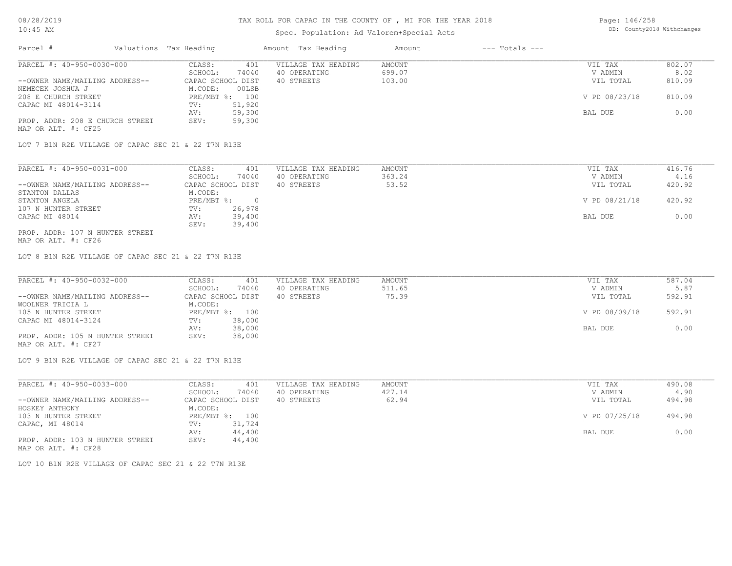| Page: 146/258 |                            |
|---------------|----------------------------|
|               | DB: County2018 Withchanges |

| $10:45$ AM                                          |                              | Spec. Population: Ad Valorem+Special Acts |               |                    |               | DB: County2018 Withchanges |
|-----------------------------------------------------|------------------------------|-------------------------------------------|---------------|--------------------|---------------|----------------------------|
| Parcel #<br>Valuations Tax Heading                  |                              | Amount Tax Heading                        | Amount        | $---$ Totals $---$ |               |                            |
| PARCEL #: 40-950-0030-000                           | CLASS:<br>401                | VILLAGE TAX HEADING                       | <b>AMOUNT</b> |                    | VIL TAX       | 802.07                     |
|                                                     | SCHOOL:<br>74040             | 40 OPERATING                              | 699.07        |                    | V ADMIN       | 8.02                       |
| --OWNER NAME/MAILING ADDRESS--                      | CAPAC SCHOOL DIST            | 40 STREETS                                | 103.00        |                    | VIL TOTAL     | 810.09                     |
| NEMECEK JOSHUA J                                    | M.CODE:<br>00LSB             |                                           |               |                    |               |                            |
| 208 E CHURCH STREET                                 | PRE/MBT %: 100               |                                           |               |                    | V PD 08/23/18 | 810.09                     |
| CAPAC MI 48014-3114                                 | 51,920<br>TV:                |                                           |               |                    |               |                            |
|                                                     | 59,300<br>AV:                |                                           |               |                    | BAL DUE       | 0.00                       |
| PROP. ADDR: 208 E CHURCH STREET                     | 59,300<br>SEV:               |                                           |               |                    |               |                            |
| MAP OR ALT. #: CF25                                 |                              |                                           |               |                    |               |                            |
| LOT 7 B1N R2E VILLAGE OF CAPAC SEC 21 & 22 T7N R13E |                              |                                           |               |                    |               |                            |
|                                                     |                              |                                           |               |                    |               |                            |
| PARCEL #: 40-950-0031-000                           | CLASS:<br>401                | VILLAGE TAX HEADING                       | AMOUNT        |                    | VIL TAX       | 416.76                     |
|                                                     | SCHOOL:<br>74040             | 40 OPERATING                              | 363.24        |                    | V ADMIN       | 4.16                       |
| --OWNER NAME/MAILING ADDRESS--                      | CAPAC SCHOOL DIST            | 40 STREETS                                | 53.52         |                    | VIL TOTAL     | 420.92                     |
| STANTON DALLAS                                      | M.CODE:                      |                                           |               |                    |               |                            |
| STANTON ANGELA                                      | PRE/MBT %:<br>$\overline{0}$ |                                           |               |                    | V PD 08/21/18 | 420.92                     |
| 107 N HUNTER STREET                                 | 26,978<br>TV:                |                                           |               |                    |               |                            |
| CAPAC MI 48014                                      | 39,400<br>AV:                |                                           |               |                    | BAL DUE       | 0.00                       |
|                                                     | 39,400<br>SEV:               |                                           |               |                    |               |                            |
| PROP. ADDR: 107 N HUNTER STREET                     |                              |                                           |               |                    |               |                            |
| MAP OR ALT. #: CF26                                 |                              |                                           |               |                    |               |                            |
| LOT 8 B1N R2E VILLAGE OF CAPAC SEC 21 & 22 T7N R13E |                              |                                           |               |                    |               |                            |
| PARCEL #: 40-950-0032-000                           | CLASS:<br>401                | VILLAGE TAX HEADING                       | <b>AMOUNT</b> |                    | VIL TAX       | 587.04                     |
|                                                     | SCHOOL:<br>74040             | 40 OPERATING                              | 511.65        |                    | V ADMIN       | 5.87                       |
| --OWNER NAME/MAILING ADDRESS--                      | CAPAC SCHOOL DIST            | 40 STREETS                                | 75.39         |                    | VIL TOTAL     | 592.91                     |
| WOOLNER TRICIA L                                    | M.CODE:                      |                                           |               |                    |               |                            |
| 105 N HUNTER STREET                                 | PRE/MBT %: 100               |                                           |               |                    | V PD 08/09/18 | 592.91                     |
| CAPAC MI 48014-3124                                 | 38,000<br>TV:                |                                           |               |                    |               |                            |
|                                                     | 38,000<br>AV:                |                                           |               |                    | BAL DUE       | 0.00                       |
| PROP. ADDR: 105 N HUNTER STREET                     | 38,000<br>SEV:               |                                           |               |                    |               |                            |
| MAP OR ALT. #: CF27                                 |                              |                                           |               |                    |               |                            |
| LOT 9 B1N R2E VILLAGE OF CAPAC SEC 21 & 22 T7N R13E |                              |                                           |               |                    |               |                            |
| PARCEL #: 40-950-0033-000                           | CLASS:<br>401                | VILLAGE TAX HEADING                       | AMOUNT        |                    | VIL TAX       | 490.08                     |
|                                                     | SCHOOL:<br>74040             | 40 OPERATING                              | 427.14        |                    | V ADMIN       | 4.90                       |
| --OWNER NAME/MAILING ADDRESS--                      | CAPAC SCHOOL DIST            | 40 STREETS                                | 62.94         |                    | VIL TOTAL     | 494.98                     |
|                                                     |                              |                                           |               |                    |               |                            |
| HOSKEY ANTHONY                                      | M.CODE:                      |                                           |               |                    |               |                            |
| 103 N HUNTER STREET                                 | PRE/MBT %: 100               |                                           |               |                    | V PD 07/25/18 | 494.98                     |
| CAPAC, MI 48014                                     | TV:<br>31,724                |                                           |               |                    |               |                            |
|                                                     | AV:<br>44,400                |                                           |               |                    | BAL DUE       | 0.00                       |
| PROP. ADDR: 103 N HUNTER STREET                     | 44,400<br>SEV:               |                                           |               |                    |               |                            |
| MAP OR ALT. #: CF28                                 |                              |                                           |               |                    |               |                            |

LOT 10 B1N R2E VILLAGE OF CAPAC SEC 21 & 22 T7N R13E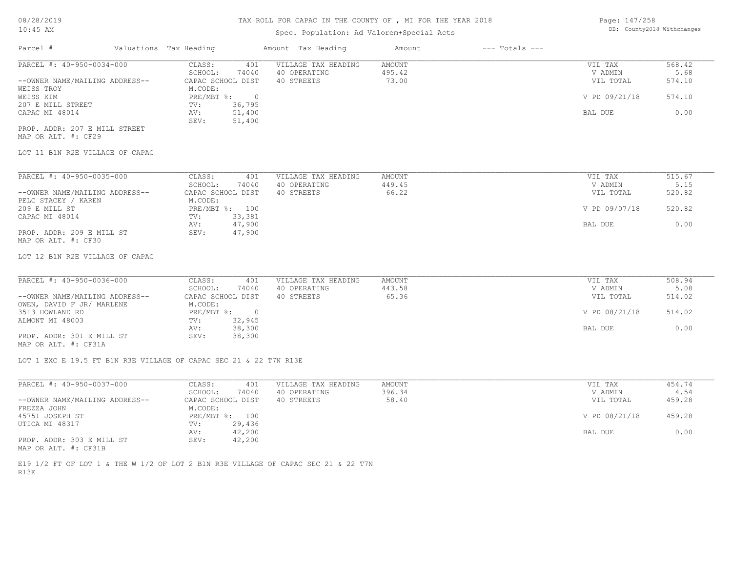# Spec. Population: Ad Valorem+Special Acts

Page: 147/258 DB: County2018 Withchanges

| Parcel #                       | Valuations Tax Heading |        | Amount Tax Heading  | Amount | $---$ Totals $---$ |               |        |
|--------------------------------|------------------------|--------|---------------------|--------|--------------------|---------------|--------|
| PARCEL #: 40-950-0034-000      | CLASS:                 | 401    | VILLAGE TAX HEADING | AMOUNT |                    | VIL TAX       | 568.42 |
|                                | SCHOOL:                | 74040  | 40 OPERATING        | 495.42 |                    | V ADMIN       | 5.68   |
| --OWNER NAME/MAILING ADDRESS-- | CAPAC SCHOOL DIST      |        | 40 STREETS          | 73.00  |                    | VIL TOTAL     | 574.10 |
| WEISS TROY                     | M.CODE:                |        |                     |        |                    |               |        |
| WEISS KIM                      | $PRE/MBT$ %:           | $\Box$ |                     |        |                    | V PD 09/21/18 | 574.10 |
| 207 E MILL STREET              | TV:                    | 36,795 |                     |        |                    |               |        |
| CAPAC MI 48014                 | AV:                    | 51,400 |                     |        |                    | BAL DUE       | 0.00   |
|                                | SEV:                   | 51,400 |                     |        |                    |               |        |
| PROP. ADDR: 207 E MILL STREET  |                        |        |                     |        |                    |               |        |

MAP OR ALT. #: CF29

### LOT 11 B1N R2E VILLAGE OF CAPAC

| PARCEL #: 40-950-0035-000      | CLASS:  | 401               | VILLAGE TAX HEADING | AMOUNT | VIL TAX       | 515.67 |
|--------------------------------|---------|-------------------|---------------------|--------|---------------|--------|
|                                | SCHOOL: | 74040             | 40 OPERATING        | 449.45 | V ADMIN       | 5.15   |
| --OWNER NAME/MAILING ADDRESS-- |         | CAPAC SCHOOL DIST | 40 STREETS          | 66.22  | VIL TOTAL     | 520.82 |
| PELC STACEY / KAREN            | M.CODE: |                   |                     |        |               |        |
| 209 E MILL ST                  |         | PRE/MBT %: 100    |                     |        | V PD 09/07/18 | 520.82 |
| CAPAC MI 48014                 | TV:     | 33,381            |                     |        |               |        |
|                                | AV:     | 47,900            |                     |        | BAL DUE       | 0.00   |
| PROP. ADDR: 209 E MILL ST      | SEV:    | 47,900            |                     |        |               |        |
| MAP OR ALT. #: CF30            |         |                   |                     |        |               |        |

LOT 12 B1N R2E VILLAGE OF CAPAC

| PARCEL #: 40-950-0036-000      | CLASS:<br>401     | VILLAGE TAX HEADING | AMOUNT | VIL TAX       | 508.94 |
|--------------------------------|-------------------|---------------------|--------|---------------|--------|
|                                | 74040<br>SCHOOL:  | 40 OPERATING        | 443.58 | V ADMIN       | 5.08   |
| --OWNER NAME/MAILING ADDRESS-- | CAPAC SCHOOL DIST | 40 STREETS          | 65.36  | VIL TOTAL     | 514.02 |
| OWEN, DAVID F JR/ MARLENE      | M.CODE:           |                     |        |               |        |
| 3513 HOWLAND RD                | $PRE/MBT$ %:      |                     |        | V PD 08/21/18 | 514.02 |
| ALMONT MI 48003                | 32,945<br>TV:     |                     |        |               |        |
|                                | 38,300<br>AV:     |                     |        | BAL DUE       | 0.00   |
| PROP. ADDR: 301 E MILL ST      | 38,300<br>SEV:    |                     |        |               |        |
| MAP OR ALT. #: CF31A           |                   |                     |        |               |        |

LOT 1 EXC E 19.5 FT B1N R3E VILLAGE OF CAPAC SEC 21 & 22 T7N R13E

| PARCEL #: 40-950-0037-000      | CLASS:<br>401     | VILLAGE TAX HEADING | AMOUNT | VIL TAX       | 454.74 |
|--------------------------------|-------------------|---------------------|--------|---------------|--------|
|                                | 74040<br>SCHOOL:  | 40 OPERATING        | 396.34 | V ADMIN       | 4.54   |
| --OWNER NAME/MAILING ADDRESS-- | CAPAC SCHOOL DIST | 40 STREETS          | 58.40  | VIL TOTAL     | 459.28 |
| FREZZA JOHN                    | M.CODE:           |                     |        |               |        |
| 45751 JOSEPH ST                | PRE/MBT %: 100    |                     |        | V PD 08/21/18 | 459.28 |
| UTICA MI 48317                 | 29,436<br>TV:     |                     |        |               |        |
|                                | 42,200<br>AV:     |                     |        | BAL DUE       | 0.00   |
| PROP. ADDR: 303 E MILL ST      | 42,200<br>SEV:    |                     |        |               |        |
| MAP OR ALT. #: CF31B           |                   |                     |        |               |        |

R13E E19 1/2 FT OF LOT 1 & THE W 1/2 OF LOT 2 B1N R3E VILLAGE OF CAPAC SEC 21 & 22 T7N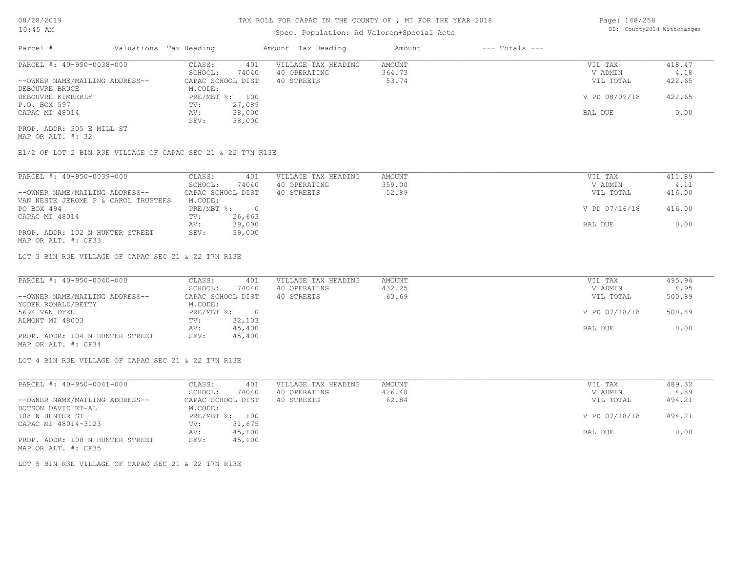# Spec. Population: Ad Valorem+Special Acts

Page: 148/258 DB: County2018 Withchanges

| Parcel #                       | Valuations Tax Heading |                | Amount Tax Heading  | Amount | $---$ Totals $---$ |               |        |
|--------------------------------|------------------------|----------------|---------------------|--------|--------------------|---------------|--------|
| PARCEL #: 40-950-0038-000      | CLASS:                 | 401            | VILLAGE TAX HEADING | AMOUNT |                    | VIL TAX       | 418.47 |
|                                | SCHOOL:                | 74040          | 40 OPERATING        | 364.73 |                    | V ADMIN       | 4.18   |
| --OWNER NAME/MAILING ADDRESS-- | CAPAC SCHOOL DIST      |                | 40 STREETS          | 53.74  |                    | VIL TOTAL     | 422.65 |
| DEBOUVRE BRUCE                 | M.CODE:                |                |                     |        |                    |               |        |
| DEBOUVRE KIMBERLY              |                        | PRE/MBT %: 100 |                     |        |                    | V PD 08/09/18 | 422.65 |
| P.O. BOX 597                   | TV:                    | 27,089         |                     |        |                    |               |        |
| CAPAC MI 48014                 | AV:                    | 38,000         |                     |        |                    | BAL DUE       | 0.00   |
|                                | SEV:                   | 38,000         |                     |        |                    |               |        |
| PROP. ADDR: 305 E MILL ST      |                        |                |                     |        |                    |               |        |

MAP OR ALT. #: 32

E1/2 OF LOT 2 B1N R3E VILLAGE OF CAPAC SEC 21 & 22 T7N R13E

| PARCEL #: 40-950-0039-000           | CLASS:     | 401               | VILLAGE TAX HEADING | AMOUNT | VIL TAX       | 411.89 |
|-------------------------------------|------------|-------------------|---------------------|--------|---------------|--------|
|                                     | SCHOOL:    | 74040             | 40 OPERATING        | 359.00 | V ADMIN       | 4.11   |
| --OWNER NAME/MAILING ADDRESS--      |            | CAPAC SCHOOL DIST | 40 STREETS          | 52.89  | VIL TOTAL     | 416.00 |
| VAN NESTE JEROME P & CAROL TRUSTEES | M.CODE:    |                   |                     |        |               |        |
| PO BOX 494                          | PRE/MBT %: | $\bigcap$         |                     |        | V PD 07/16/18 | 416.00 |
| CAPAC MI 48014                      | TV:        | 26,663            |                     |        |               |        |
|                                     | AV:        | 39,000            |                     |        | BAL DUE       | 0.00   |
| PROP. ADDR: 102 N HUNTER STREET     | SEV:       | 39,000            |                     |        |               |        |
| MAP OR ALT. #: CF33                 |            |                   |                     |        |               |        |

LOT 3 B1N R3E VILLAGE OF CAPAC SEC 21 & 22 T7N R13E

| PARCEL #: 40-950-0040-000       | CLASS:<br>401     | VILLAGE TAX HEADING | AMOUNT | VIL TAX       | 495.94 |
|---------------------------------|-------------------|---------------------|--------|---------------|--------|
|                                 | 74040<br>SCHOOL:  | 40 OPERATING        | 432.25 | V ADMIN       | 4.95   |
| --OWNER NAME/MAILING ADDRESS--  | CAPAC SCHOOL DIST | 40 STREETS          | 63.69  | VIL TOTAL     | 500.89 |
| YODER RONALD/BETTY              | M.CODE:           |                     |        |               |        |
| 5694 VAN DYKE                   | PRE/MBT %:        |                     |        | V PD 07/18/18 | 500.89 |
| ALMONT MI 48003                 | 32,103<br>TV:     |                     |        |               |        |
|                                 | 45,400<br>AV:     |                     |        | BAL DUE       | 0.00   |
| PROP. ADDR: 104 N HUNTER STREET | 45,400<br>SEV:    |                     |        |               |        |
| MAP OR ALT. #: CF34             |                   |                     |        |               |        |

LOT 4 B1N R3E VILLAGE OF CAPAC SEC 21 & 22 T7N R13E

| PARCEL #: 40-950-0041-000       | 401<br>CLASS:     | VILLAGE TAX HEADING | AMOUNT | VIL TAX       | 489.32 |
|---------------------------------|-------------------|---------------------|--------|---------------|--------|
|                                 | 74040<br>SCHOOL:  | 40 OPERATING        | 426.48 | V ADMIN       | 4.89   |
| --OWNER NAME/MAILING ADDRESS--  | CAPAC SCHOOL DIST | 40 STREETS          | 62.84  | VIL TOTAL     | 494.21 |
| DOTSON DAVID ET-AL              | M.CODE:           |                     |        |               |        |
| 108 N HUNTER ST                 | PRE/MBT %: 100    |                     |        | V PD 07/18/18 | 494.21 |
| CAPAC MI 48014-3123             | 31,675<br>TV:     |                     |        |               |        |
|                                 | 45,100<br>AV:     |                     |        | BAL DUE       | 0.00   |
| PROP. ADDR: 108 N HUNTER STREET | 45,100<br>SEV:    |                     |        |               |        |
| MAP OR ALT. #: CF35             |                   |                     |        |               |        |

LOT 5 B1N R3E VILLAGE OF CAPAC SEC 21 & 22 T7N R13E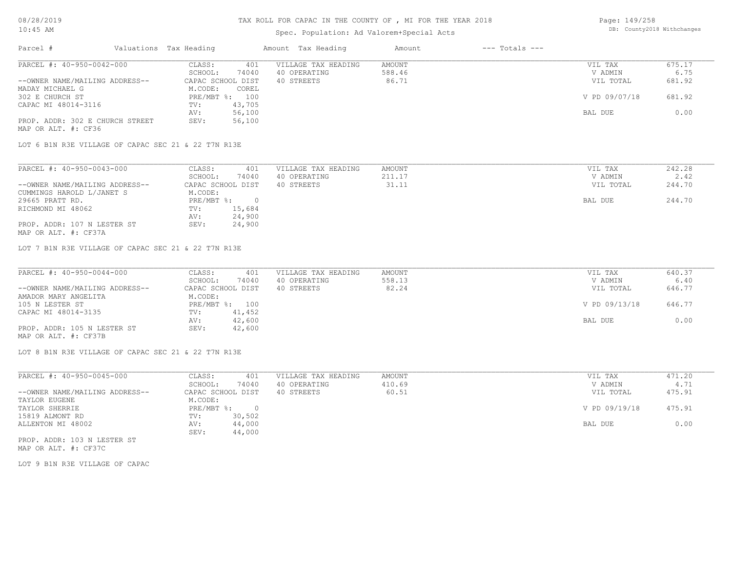# Spec. Population: Ad Valorem+Special Acts

| Page: 149/258 |                            |
|---------------|----------------------------|
|               | DB: County2018 Withchanges |

| Parcel #                        | Valuations Tax Heading |        | Amount Tax Heading  | Amount | $---$ Totals $---$ |               |        |
|---------------------------------|------------------------|--------|---------------------|--------|--------------------|---------------|--------|
| PARCEL #: 40-950-0042-000       | CLASS:                 | 401    | VILLAGE TAX HEADING | AMOUNT |                    | VIL TAX       | 675.17 |
|                                 | SCHOOL:                | 74040  | 40 OPERATING        | 588.46 |                    | V ADMIN       | 6.75   |
| --OWNER NAME/MAILING ADDRESS--  | CAPAC SCHOOL DIST      |        | 40 STREETS          | 86.71  |                    | VIL TOTAL     | 681.92 |
| MADAY MICHAEL G                 | M.CODE:                | COREL  |                     |        |                    |               |        |
| 302 E CHURCH ST                 | PRE/MBT %: 100         |        |                     |        |                    | V PD 09/07/18 | 681.92 |
| CAPAC MI 48014-3116             | TV:                    | 43,705 |                     |        |                    |               |        |
|                                 | AV:                    | 56,100 |                     |        |                    | BAL DUE       | 0.00   |
| PROP. ADDR: 302 E CHURCH STREET | SEV:                   | 56,100 |                     |        |                    |               |        |
| MAP OR ALT. #: CF36             |                        |        |                     |        |                    |               |        |

LOT 6 B1N R3E VILLAGE OF CAPAC SEC 21 & 22 T7N R13E

| PARCEL #: 40-950-0043-000      | 401<br>CLASS:     | VILLAGE TAX HEADING | AMOUNT | VIL TAX   | 242.28 |
|--------------------------------|-------------------|---------------------|--------|-----------|--------|
|                                | 74040<br>SCHOOL:  | 40 OPERATING        | 211.17 | V ADMIN   | 2.42   |
| --OWNER NAME/MAILING ADDRESS-- | CAPAC SCHOOL DIST | 40 STREETS          | 31.11  | VIL TOTAL | 244.70 |
| CUMMINGS HAROLD L/JANET S      | M.CODE:           |                     |        |           |        |
| 29665 PRATT RD.                | PRE/MBT %:        |                     |        | BAL DUE   | 244.70 |
| RICHMOND MI 48062              | 15,684<br>TV:     |                     |        |           |        |
|                                | AV:<br>24,900     |                     |        |           |        |
| PROP. ADDR: 107 N LESTER ST    | 24,900<br>SEV:    |                     |        |           |        |
| MAP OR ALT. #: CF37A           |                   |                     |        |           |        |

LOT 7 B1N R3E VILLAGE OF CAPAC SEC 21 & 22 T7N R13E

| PARCEL #: 40-950-0044-000      | CLASS:<br>401     | VILLAGE TAX HEADING | AMOUNT | VIL TAX       | 640.37 |
|--------------------------------|-------------------|---------------------|--------|---------------|--------|
|                                | 74040<br>SCHOOL:  | 40 OPERATING        | 558.13 | V ADMIN       | 6.40   |
| --OWNER NAME/MAILING ADDRESS-- | CAPAC SCHOOL DIST | 40 STREETS          | 82.24  | VIL TOTAL     | 646.77 |
| AMADOR MARY ANGELITA           | M.CODE:           |                     |        |               |        |
| 105 N LESTER ST                | PRE/MBT %: 100    |                     |        | V PD 09/13/18 | 646.77 |
| CAPAC MI 48014-3135            | 41,452<br>TV:     |                     |        |               |        |
|                                | 42,600<br>AV:     |                     |        | BAL DUE       | 0.00   |
| PROP. ADDR: 105 N LESTER ST    | 42,600<br>SEV:    |                     |        |               |        |
| MAP OR ALT. #: CF37B           |                   |                     |        |               |        |

LOT 8 B1N R3E VILLAGE OF CAPAC SEC 21 & 22 T7N R13E

| PARCEL #: 40-950-0045-000      | CLASS:     | 401               | VILLAGE TAX HEADING | AMOUNT | VIL TAX       | 471.20 |
|--------------------------------|------------|-------------------|---------------------|--------|---------------|--------|
|                                | SCHOOL:    | 74040             | 40 OPERATING        | 410.69 | V ADMIN       | 4.71   |
| --OWNER NAME/MAILING ADDRESS-- |            | CAPAC SCHOOL DIST | 40 STREETS          | 60.51  | VIL TOTAL     | 475.91 |
| TAYLOR EUGENE                  | M.CODE:    |                   |                     |        |               |        |
| TAYLOR SHERRIE                 | PRE/MBT %: |                   |                     |        | V PD 09/19/18 | 475.91 |
| 15819 ALMONT RD                | TV:        | 30,502            |                     |        |               |        |
| ALLENTON MI 48002              | AV:        | 44,000            |                     |        | BAL DUE       | 0.00   |
|                                | SEV:       | 44,000            |                     |        |               |        |
|                                |            |                   |                     |        |               |        |

MAP OR ALT. #: CF37C PROP. ADDR: 103 N LESTER ST

LOT 9 B1N R3E VILLAGE OF CAPAC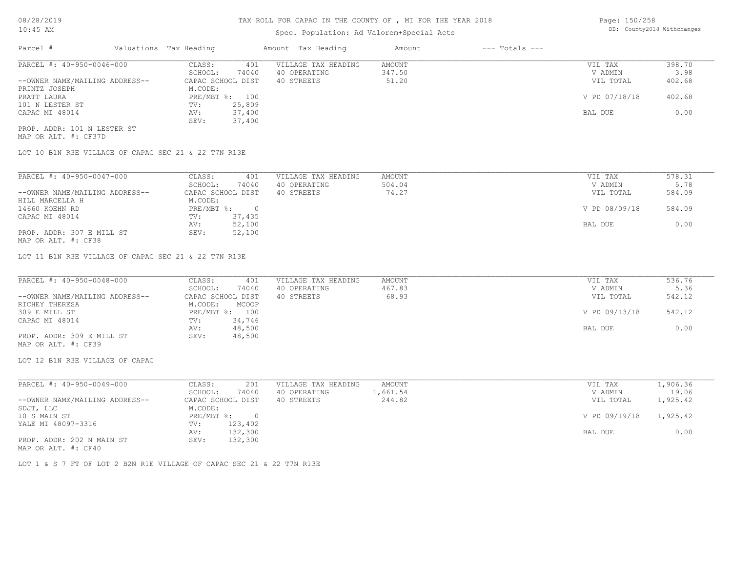# Spec. Population: Ad Valorem+Special Acts

Page: 150/258 DB: County2018 Withchanges

| Parcel #                       | Valuations Tax Heading |        | Amount Tax Heading  | Amount | $---$ Totals $---$ |               |        |
|--------------------------------|------------------------|--------|---------------------|--------|--------------------|---------------|--------|
| PARCEL #: 40-950-0046-000      | CLASS:                 | 401    | VILLAGE TAX HEADING | AMOUNT |                    | VIL TAX       | 398.70 |
|                                | SCHOOL:                | 74040  | 40 OPERATING        | 347.50 |                    | V ADMIN       | 3.98   |
| --OWNER NAME/MAILING ADDRESS-- | CAPAC SCHOOL DIST      |        | 40 STREETS          | 51.20  |                    | VIL TOTAL     | 402.68 |
| PRINTZ JOSEPH                  | M.CODE:                |        |                     |        |                    |               |        |
| PRATT LAURA                    | PRE/MBT %: 100         |        |                     |        |                    | V PD 07/18/18 | 402.68 |
| 101 N LESTER ST                | TV:                    | 25,809 |                     |        |                    |               |        |
| CAPAC MI 48014                 | AV:                    | 37,400 |                     |        |                    | BAL DUE       | 0.00   |
|                                | SEV:                   | 37,400 |                     |        |                    |               |        |
| PROP. ADDR: 101 N LESTER ST    |                        |        |                     |        |                    |               |        |

MAP OR ALT. #: CF37D

LOT 10 B1N R3E VILLAGE OF CAPAC SEC 21 & 22 T7N R13E

| PARCEL #: 40-950-0047-000      | CLASS:            | 401      | VILLAGE TAX HEADING | AMOUNT | VIL TAX       | 578.31 |
|--------------------------------|-------------------|----------|---------------------|--------|---------------|--------|
|                                | SCHOOL:           | 74040    | 40 OPERATING        | 504.04 | V ADMIN       | 5.78   |
| --OWNER NAME/MAILING ADDRESS-- | CAPAC SCHOOL DIST |          | 40 STREETS          | 74.27  | VIL TOTAL     | 584.09 |
| HILL MARCELLA H                | M.CODE:           |          |                     |        |               |        |
| 14660 KOEHN RD                 | PRE/MBT %:        | $\Omega$ |                     |        | V PD 08/09/18 | 584.09 |
| CAPAC MI 48014                 | TV:               | 37,435   |                     |        |               |        |
|                                | AV:               | 52,100   |                     |        | BAL DUE       | 0.00   |
| PROP. ADDR: 307 E MILL ST      | SEV:              | 52,100   |                     |        |               |        |

MAP OR ALT. #: CF38

LOT 11 B1N R3E VILLAGE OF CAPAC SEC 21 & 22 T7N R13E

| PARCEL #: 40-950-0048-000      | CLASS:<br>401     | VILLAGE TAX HEADING | AMOUNT | VIL TAX       | 536.76 |
|--------------------------------|-------------------|---------------------|--------|---------------|--------|
|                                | 74040<br>SCHOOL:  | 40 OPERATING        | 467.83 | V ADMIN       | 5.36   |
| --OWNER NAME/MAILING ADDRESS-- | CAPAC SCHOOL DIST | 40 STREETS          | 68.93  | VIL TOTAL     | 542.12 |
| RICHEY THERESA                 | M.CODE:<br>MCOOP  |                     |        |               |        |
| 309 E MILL ST                  | PRE/MBT %: 100    |                     |        | V PD 09/13/18 | 542.12 |
| CAPAC MI 48014                 | 34,746<br>TV:     |                     |        |               |        |
|                                | 48,500<br>AV:     |                     |        | BAL DUE       | 0.00   |
| PROP. ADDR: 309 E MILL ST      | 48,500<br>SEV:    |                     |        |               |        |
|                                |                   |                     |        |               |        |

MAP OR ALT. #: CF39

LOT 12 B1N R3E VILLAGE OF CAPAC

| PARCEL #: 40-950-0049-000      | CLASS:<br>201     | VILLAGE TAX HEADING<br>AMOUNT | VIL TAX       | 1,906.36 |
|--------------------------------|-------------------|-------------------------------|---------------|----------|
|                                | 74040<br>SCHOOL:  | 1,661.54<br>40 OPERATING      | V ADMIN       | 19.06    |
| --OWNER NAME/MAILING ADDRESS-- | CAPAC SCHOOL DIST | 244.82<br>40 STREETS          | VIL TOTAL     | 1,925.42 |
| SDJT, LLC                      | M.CODE:           |                               |               |          |
| 10 S MAIN ST                   | $PRE/MBT$ %:      |                               | V PD 09/19/18 | 1,925.42 |
| YALE MI 48097-3316             | 123,402<br>TV:    |                               |               |          |
|                                | 132,300<br>AV:    |                               | BAL DUE       | 0.00     |
| PROP. ADDR: 202 N MAIN ST      | 132,300<br>SEV:   |                               |               |          |
| MAP OR ALT. #: CF40            |                   |                               |               |          |

LOT 1 & S 7 FT OF LOT 2 B2N R1E VILLAGE OF CAPAC SEC 21 & 22 T7N R13E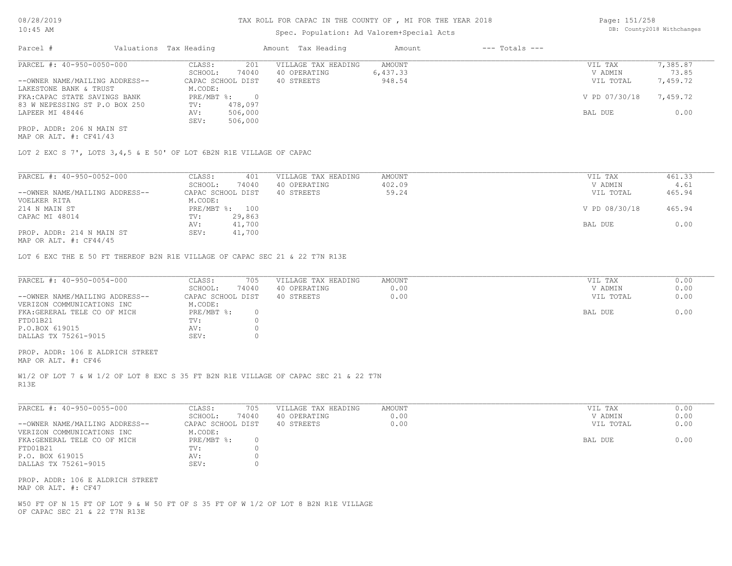# Spec. Population: Ad Valorem+Special Acts

| Page: 151/258 |                            |
|---------------|----------------------------|
|               | DB: County2018 Withchanges |

| Parcel #                       | Valuations Tax Heading |         | Amount Tax Heading  | Amount   | $---$ Totals $---$ |               |          |
|--------------------------------|------------------------|---------|---------------------|----------|--------------------|---------------|----------|
| PARCEL #: 40-950-0050-000      | CLASS:                 | 201     | VILLAGE TAX HEADING | AMOUNT   |                    | VIL TAX       | 7,385.87 |
|                                | SCHOOL:                | 74040   | 40 OPERATING        | 6,437.33 |                    | V ADMIN       | 73.85    |
| --OWNER NAME/MAILING ADDRESS-- | CAPAC SCHOOL DIST      |         | 40 STREETS          | 948.54   |                    | VIL TOTAL     | 7,459.72 |
| LAKESTONE BANK & TRUST         | M.CODE:                |         |                     |          |                    |               |          |
| FKA: CAPAC STATE SAVINGS BANK  | PRE/MBT %:             |         |                     |          |                    | V PD 07/30/18 | 7,459.72 |
| 83 W NEPESSING ST P.O BOX 250  | TV:                    | 478,097 |                     |          |                    |               |          |
| LAPEER MI 48446                | AV:                    | 506,000 |                     |          |                    | BAL DUE       | 0.00     |
|                                | SEV:                   | 506,000 |                     |          |                    |               |          |
| PROP. ADDR: 206 N MAIN ST      |                        |         |                     |          |                    |               |          |

MAP OR ALT. #: CF41/43

LOT 2 EXC S 7', LOTS 3,4,5 & E 50' OF LOT 6B2N R1E VILLAGE OF CAPAC

| PARCEL #: 40-950-0052-000      | CLASS:                    | 401               | VILLAGE TAX HEADING | AMOUNT | VIL TAX       | 461.33 |
|--------------------------------|---------------------------|-------------------|---------------------|--------|---------------|--------|
|                                | SCHOOL:                   | 74040             | 40 OPERATING        | 402.09 | V ADMIN       | 4.61   |
| --OWNER NAME/MAILING ADDRESS-- |                           | CAPAC SCHOOL DIST | 40 STREETS          | 59.24  | VIL TOTAL     | 465.94 |
| VOELKER RITA                   | M.CODE:                   |                   |                     |        |               |        |
| 214 N MAIN ST                  | $PRE/MBT$ $\frac{1}{6}$ : | 100               |                     |        | V PD 08/30/18 | 465.94 |
| CAPAC MI 48014                 | TV:                       | 29,863            |                     |        |               |        |
|                                | AV:                       | 41,700            |                     |        | BAL DUE       | 0.00   |
| PROP. ADDR: 214 N MAIN ST      | SEV:                      | 41,700            |                     |        |               |        |
| $\frac{1}{2}$                  |                           |                   |                     |        |               |        |

MAP OR ALT. #: CF44/45

LOT 6 EXC THE E 50 FT THEREOF B2N R1E VILLAGE OF CAPAC SEC 21 & 22 T7N R13E

| PARCEL #: 40-950-0054-000      | CLASS:<br>705     | VILLAGE TAX HEADING | AMOUNT | VIL TAX   | 0.00 |
|--------------------------------|-------------------|---------------------|--------|-----------|------|
|                                | 74040<br>SCHOOL:  | 40 OPERATING        | 0.00   | V ADMIN   | 0.00 |
| --OWNER NAME/MAILING ADDRESS-- | CAPAC SCHOOL DIST | 40 STREETS          | 0.00   | VIL TOTAL | 0.00 |
| VERIZON COMMUNICATIONS INC     | M.CODE:           |                     |        |           |      |
| FKA: GERERAL TELE CO OF MICH   | PRE/MBT %:        |                     |        | BAL DUE   | 0.00 |
| FTD01B21                       | TV:               |                     |        |           |      |
| P.O.BOX 619015                 | AV:               |                     |        |           |      |
| DALLAS TX 75261-9015           | SEV:              |                     |        |           |      |
|                                |                   |                     |        |           |      |

MAP OR ALT. #: CF46 PROP. ADDR: 106 E ALDRICH STREET

R13E W1/2 OF LOT 7 & W 1/2 OF LOT 8 EXC S 35 FT B2N R1E VILLAGE OF CAPAC SEC 21 & 22 T7N

| PARCEL #: 40-950-0055-000      | 705<br>CLASS:     | VILLAGE TAX HEADING | AMOUNT | VIL TAX   | 0.00 |
|--------------------------------|-------------------|---------------------|--------|-----------|------|
|                                | 74040<br>SCHOOL:  | 40 OPERATING        | 0.00   | V ADMIN   | 0.00 |
| --OWNER NAME/MAILING ADDRESS-- | CAPAC SCHOOL DIST | 40 STREETS          | 0.00   | VIL TOTAL | 0.00 |
| VERIZON COMMUNICATIONS INC     | M.CODE:           |                     |        |           |      |
| FKA: GENERAL TELE CO OF MICH   | PRE/MBT %:        |                     |        | BAL DUE   | 0.00 |
| FTD01B21                       | TV:               |                     |        |           |      |
| P.O. BOX 619015                | AV:               |                     |        |           |      |
| DALLAS TX 75261-9015           | SEV:              |                     |        |           |      |
|                                |                   |                     |        |           |      |

MAP OR ALT. #: CF47 PROP. ADDR: 106 E ALDRICH STREET

OF CAPAC SEC 21 & 22 T7N R13E W50 FT OF N 15 FT OF LOT 9 & W 50 FT OF S 35 FT OF W 1/2 OF LOT 8 B2N R1E VILLAGE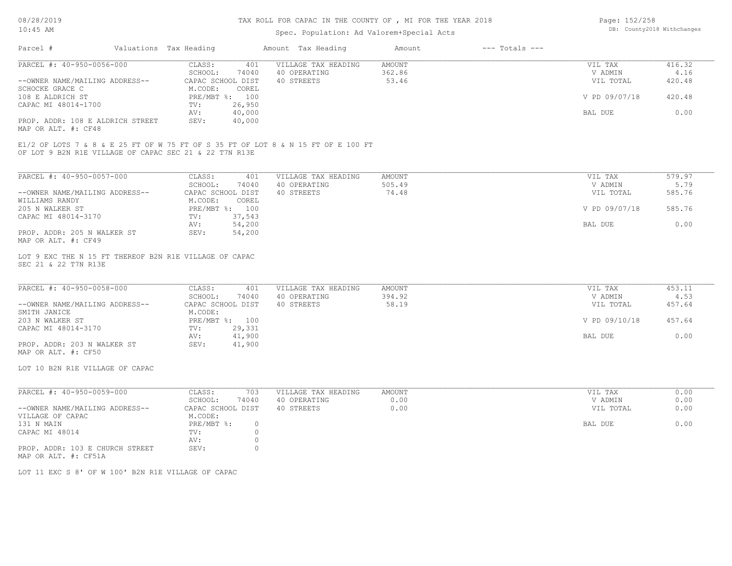# Spec. Population: Ad Valorem+Special Acts

| Page: 152/258 |                            |
|---------------|----------------------------|
|               | DB: County2018 Withchanges |

| Parcel #                                               |  | Valuations Tax Heading |                | Amount Tax Heading                                                                | Amount | $---$ Totals $---$ |               |        |
|--------------------------------------------------------|--|------------------------|----------------|-----------------------------------------------------------------------------------|--------|--------------------|---------------|--------|
| PARCEL #: 40-950-0056-000                              |  | CLASS:                 | 401            | VILLAGE TAX HEADING                                                               | AMOUNT |                    | VIL TAX       | 416.32 |
|                                                        |  | SCHOOL:                | 74040          | 40 OPERATING                                                                      | 362.86 |                    | V ADMIN       | 4.16   |
| --OWNER NAME/MAILING ADDRESS--                         |  | CAPAC SCHOOL DIST      |                | 40 STREETS                                                                        | 53.46  |                    | VIL TOTAL     | 420.48 |
| SCHOCKE GRACE C                                        |  | M.CODE:                | COREL          |                                                                                   |        |                    |               |        |
| 108 E ALDRICH ST                                       |  |                        | PRE/MBT %: 100 |                                                                                   |        |                    | V PD 09/07/18 | 420.48 |
| CAPAC MI 48014-1700                                    |  | TV:                    | 26,950         |                                                                                   |        |                    |               |        |
|                                                        |  | AV:                    | 40,000         |                                                                                   |        |                    | BAL DUE       | 0.00   |
| PROP. ADDR: 108 E ALDRICH STREET                       |  | SEV:                   | 40,000         |                                                                                   |        |                    |               |        |
| MAP OR ALT. #: CF48                                    |  |                        |                |                                                                                   |        |                    |               |        |
| OF LOT 9 B2N R1E VILLAGE OF CAPAC SEC 21 & 22 T7N R13E |  |                        |                | E1/2 OF LOTS 7 & 8 & E 25 FT OF W 75 FT OF S 35 FT OF LOT 8 & N 15 FT OF E 100 FT |        |                    |               |        |
| PARCEL #: 40-950-0057-000                              |  | CLASS:                 | 401            | VILLAGE TAX HEADING                                                               | AMOUNT |                    | VIL TAX       | 579.97 |
|                                                        |  | SCHOOL:                | 74040          | 40 OPERATING                                                                      | 505.49 |                    | V ADMIN       | 5.79   |
| --OWNER NAME/MAILING ADDRESS--                         |  | CAPAC SCHOOL DIST      |                | 40 STREETS                                                                        | 74.48  |                    | VIL TOTAL     | 585.76 |
|                                                        |  |                        |                |                                                                                   |        |                    |               |        |

| WILLIAMS RANDY              | M.CODE:        | COREL  |               |        |
|-----------------------------|----------------|--------|---------------|--------|
| 205 N WALKER ST             | PRE/MBT %: 100 |        | V PD 09/07/18 | 585.76 |
| CAPAC MI 48014-3170         | TV:            | 37,543 |               |        |
|                             | AV:            | 54,200 | BAL DUE       | 0.00   |
| PROP. ADDR: 205 N WALKER ST | SEV:           | 54,200 |               |        |

MAP OR ALT. #: CF49

#### SEC 21 & 22 T7N R13E LOT 9 EXC THE N 15 FT THEREOF B2N R1E VILLAGE OF CAPAC

| PARCEL #: 40-950-0058-000      | CLASS:<br>401     | VILLAGE TAX HEADING | AMOUNT | VIL TAX       | 453.11 |
|--------------------------------|-------------------|---------------------|--------|---------------|--------|
|                                | 74040<br>SCHOOL:  | 40 OPERATING        | 394.92 | V ADMIN       | 4.53   |
| --OWNER NAME/MAILING ADDRESS-- | CAPAC SCHOOL DIST | 40 STREETS          | 58.19  | VIL TOTAL     | 457.64 |
| SMITH JANICE                   | M.CODE:           |                     |        |               |        |
| 203 N WALKER ST                | PRE/MBT %: 100    |                     |        | V PD 09/10/18 | 457.64 |
| CAPAC MI 48014-3170            | 29,331<br>TV:     |                     |        |               |        |
|                                | 41,900<br>AV:     |                     |        | BAL DUE       | 0.00   |
| PROP. ADDR: 203 N WALKER ST    | 41,900<br>SEV:    |                     |        |               |        |

MAP OR ALT. #: CF50

LOT 10 B2N R1E VILLAGE OF CAPAC

| PARCEL #: 40-950-0059-000                        | CLASS:            | 703   | VILLAGE TAX HEADING | AMOUNT | VIL TAX<br>0.00   |
|--------------------------------------------------|-------------------|-------|---------------------|--------|-------------------|
|                                                  | SCHOOL:           | 74040 | 40 OPERATING        | 0.00   | 0.00<br>V ADMIN   |
| --OWNER NAME/MAILING ADDRESS--                   | CAPAC SCHOOL DIST |       | 40 STREETS          | 0.00   | 0.00<br>VIL TOTAL |
| VILLAGE OF CAPAC                                 | M.CODE:           |       |                     |        |                   |
| 131 N MAIN                                       | PRE/MBT %:        |       |                     |        | 0.00<br>BAL DUE   |
| CAPAC MI 48014                                   | TV:               |       |                     |        |                   |
|                                                  | AV:               |       |                     |        |                   |
| PROP. ADDR: 103 E CHURCH STREET<br>$\frac{1}{2}$ | SEV:              |       |                     |        |                   |

MAP OR ALT. #: CF51A

LOT 11 EXC S 8' OF W 100' B2N R1E VILLAGE OF CAPAC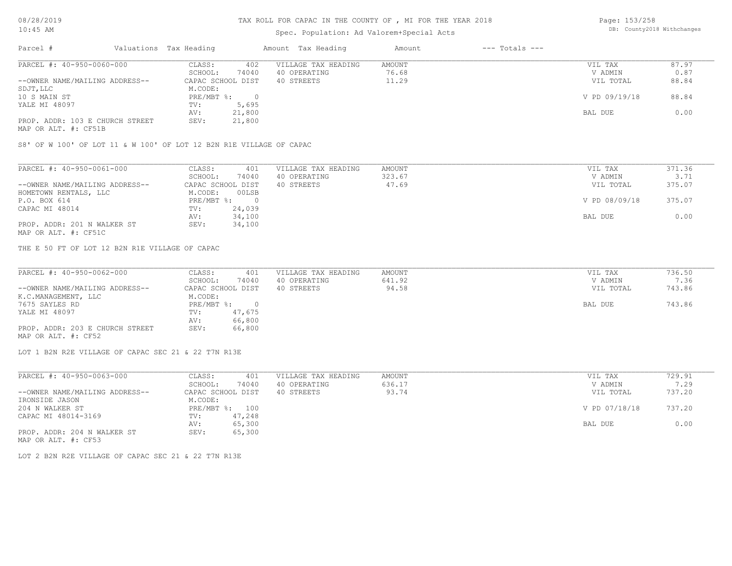### TAX ROLL FOR CAPAC IN THE COUNTY OF , MI FOR THE YEAR 2018

# Spec. Population: Ad Valorem+Special Acts

Page: 153/258 DB: County2018 Withchanges

| Parcel #                        | Valuations Tax Heading |        | Amount Tax Heading  | Amount | $---$ Totals $---$ |               |       |
|---------------------------------|------------------------|--------|---------------------|--------|--------------------|---------------|-------|
| PARCEL #: 40-950-0060-000       | CLASS:                 | 402    | VILLAGE TAX HEADING | AMOUNT |                    | VIL TAX       | 87.97 |
|                                 | SCHOOL:                | 74040  | 40 OPERATING        | 76.68  |                    | V ADMIN       | 0.87  |
| --OWNER NAME/MAILING ADDRESS--  | CAPAC SCHOOL DIST      |        | 40 STREETS          | 11.29  |                    | VIL TOTAL     | 88.84 |
| SDJT, LLC                       | M.CODE:                |        |                     |        |                    |               |       |
| 10 S MAIN ST                    | $PRE/MBT$ %:           |        |                     |        |                    | V PD 09/19/18 | 88.84 |
| YALE MI 48097                   | TV:                    | 5,695  |                     |        |                    |               |       |
|                                 | AV:                    | 21,800 |                     |        |                    | BAL DUE       | 0.00  |
| PROP. ADDR: 103 E CHURCH STREET | SEV:                   | 21,800 |                     |        |                    |               |       |
| MAP OR ALT. #: CF51B            |                        |        |                     |        |                    |               |       |

S8' OF W 100' OF LOT 11 & W 100' OF LOT 12 B2N R1E VILLAGE OF CAPAC

| PARCEL #: 40-950-0061-000      | CLASS:<br>401     | VILLAGE TAX HEADING | AMOUNT | VIL TAX       | 371.36 |
|--------------------------------|-------------------|---------------------|--------|---------------|--------|
|                                | 74040<br>SCHOOL:  | 40 OPERATING        | 323.67 | V ADMIN       | 3.71   |
| --OWNER NAME/MAILING ADDRESS-- | CAPAC SCHOOL DIST | 40 STREETS          | 47.69  | VIL TOTAL     | 375.07 |
| HOMETOWN RENTALS, LLC          | 00LSB<br>M.CODE:  |                     |        |               |        |
| P.O. BOX 614                   | PRE/MBT %:        |                     |        | V PD 08/09/18 | 375.07 |
| CAPAC MI 48014                 | 24,039<br>TV:     |                     |        |               |        |
|                                | 34,100<br>AV:     |                     |        | BAL DUE       | 0.00   |
| PROP. ADDR: 201 N WALKER ST    | 34,100<br>SEV:    |                     |        |               |        |
| MAP OR ALT. #: CF51C           |                   |                     |        |               |        |

THE E 50 FT OF LOT 12 B2N R1E VILLAGE OF CAPAC

| PARCEL #: 40-950-0062-000       | CLASS:<br>401     | VILLAGE TAX HEADING | AMOUNT | VIL TAX   | 736.50 |
|---------------------------------|-------------------|---------------------|--------|-----------|--------|
|                                 | 74040<br>SCHOOL:  | 40 OPERATING        | 641.92 | V ADMIN   | 7.36   |
| --OWNER NAME/MAILING ADDRESS--  | CAPAC SCHOOL DIST | 40 STREETS          | 94.58  | VIL TOTAL | 743.86 |
| K.C.MANAGEMENT, LLC             | M.CODE:           |                     |        |           |        |
| 7675 SAYLES RD                  | PRE/MBT %:        |                     |        | BAL DUE   | 743.86 |
| YALE MI 48097                   | 47,675<br>TV:     |                     |        |           |        |
|                                 | 66,800<br>AV:     |                     |        |           |        |
| PROP. ADDR: 203 E CHURCH STREET | 66,800<br>SEV:    |                     |        |           |        |
| MAP OR ALT. #: CF52             |                   |                     |        |           |        |

LOT 1 B2N R2E VILLAGE OF CAPAC SEC 21 & 22 T7N R13E

| PARCEL #: 40-950-0063-000      | CLASS:     | 401               | VILLAGE TAX HEADING | AMOUNT | VIL TAX       | 729.91 |
|--------------------------------|------------|-------------------|---------------------|--------|---------------|--------|
|                                | SCHOOL:    | 74040             | 40 OPERATING        | 636.17 | V ADMIN       | 7.29   |
| --OWNER NAME/MAILING ADDRESS-- |            | CAPAC SCHOOL DIST | 40 STREETS          | 93.74  | VIL TOTAL     | 737.20 |
| IRONSIDE JASON                 | M.CODE:    |                   |                     |        |               |        |
| 204 N WALKER ST                | PRE/MBT %: | 100               |                     |        | V PD 07/18/18 | 737.20 |
| CAPAC MI 48014-3169            | TV:        | 47,248            |                     |        |               |        |
|                                | AV:        | 65,300            |                     |        | BAL DUE       | 0.00   |
| PROP. ADDR: 204 N WALKER ST    | SEV:       | 65,300            |                     |        |               |        |
| MAP OR ALT. #: CF53            |            |                   |                     |        |               |        |

LOT 2 B2N R2E VILLAGE OF CAPAC SEC 21 & 22 T7N R13E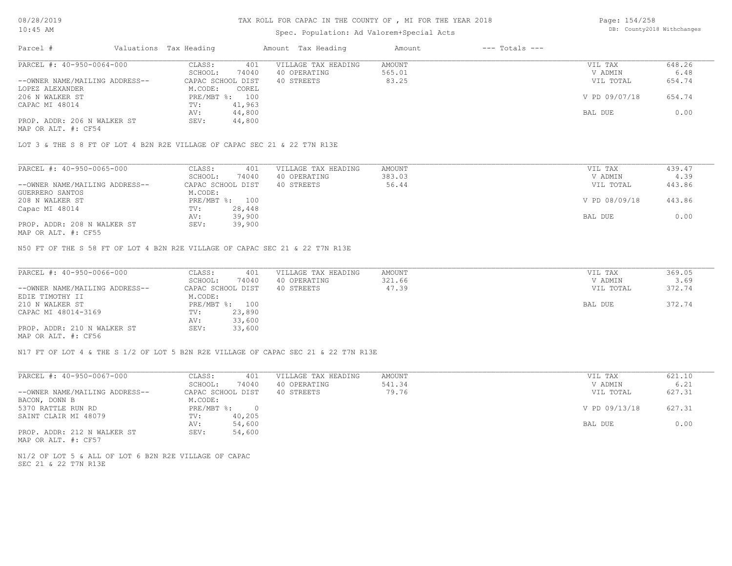## Spec. Population: Ad Valorem+Special Acts

| Page: 154/258 |                            |
|---------------|----------------------------|
|               | DB: County2018 Withchanges |

| Parcel #                       | Valuations Tax Heading |        | Amount Tax Heading  | Amount | $---$ Totals $---$ |               |        |
|--------------------------------|------------------------|--------|---------------------|--------|--------------------|---------------|--------|
| PARCEL #: 40-950-0064-000      | CLASS:                 | 401    | VILLAGE TAX HEADING | AMOUNT |                    | VIL TAX       | 648.26 |
|                                | SCHOOL:                | 74040  | 40 OPERATING        | 565.01 |                    | V ADMIN       | 6.48   |
| --OWNER NAME/MAILING ADDRESS-- | CAPAC SCHOOL DIST      |        | 40 STREETS          | 83.25  |                    | VIL TOTAL     | 654.74 |
| LOPEZ ALEXANDER                | M.CODE:                | COREL  |                     |        |                    |               |        |
| 206 N WALKER ST                | PRE/MBT %: 100         |        |                     |        |                    | V PD 09/07/18 | 654.74 |
| CAPAC MI 48014                 | TV:                    | 41,963 |                     |        |                    |               |        |
|                                | AV:                    | 44,800 |                     |        |                    | BAL DUE       | 0.00   |
| PROP. ADDR: 206 N WALKER ST    | SEV:                   | 44,800 |                     |        |                    |               |        |
|                                |                        |        |                     |        |                    |               |        |

MAP OR ALT. #: CF54

LOT 3 & THE S 8 FT OF LOT 4 B2N R2E VILLAGE OF CAPAC SEC 21 & 22 T7N R13E

| PARCEL #: 40-950-0065-000      | CLASS:<br>401     | VILLAGE TAX HEADING | AMOUNT | VIL TAX       | 439.47 |
|--------------------------------|-------------------|---------------------|--------|---------------|--------|
|                                | 74040<br>SCHOOL:  | 40 OPERATING        | 383.03 | V ADMIN       | 4.39   |
| --OWNER NAME/MAILING ADDRESS-- | CAPAC SCHOOL DIST | 40 STREETS          | 56.44  | VIL TOTAL     | 443.86 |
| GUERRERO SANTOS                | M.CODE:           |                     |        |               |        |
| 208 N WALKER ST                | PRE/MBT %: 100    |                     |        | V PD 08/09/18 | 443.86 |
| Capac MI 48014                 | 28,448<br>TV:     |                     |        |               |        |
|                                | 39,900<br>AV:     |                     |        | BAL DUE       | 0.00   |
| PROP. ADDR: 208 N WALKER ST    | 39,900<br>SEV:    |                     |        |               |        |
| MAP OR ALT. #: CF55            |                   |                     |        |               |        |

N50 FT OF THE S 58 FT OF LOT 4 B2N R2E VILLAGE OF CAPAC SEC 21 & 22 T7N R13E

| PARCEL #: 40-950-0066-000      | CLASS:<br>401     | VILLAGE TAX HEADING | AMOUNT | VIL TAX   | 369.05 |
|--------------------------------|-------------------|---------------------|--------|-----------|--------|
|                                | 74040<br>SCHOOL:  | 40 OPERATING        | 321.66 | V ADMIN   | 3.69   |
| --OWNER NAME/MAILING ADDRESS-- | CAPAC SCHOOL DIST | 40 STREETS          | 47.39  | VIL TOTAL | 372.74 |
| EDIE TIMOTHY II                | M.CODE:           |                     |        |           |        |
| 210 N WALKER ST                | PRE/MBT %: 100    |                     |        | BAL DUE   | 372.74 |
| CAPAC MI 48014-3169            | 23,890<br>TV:     |                     |        |           |        |
|                                | 33,600<br>AV:     |                     |        |           |        |
| PROP. ADDR: 210 N WALKER ST    | 33,600<br>SEV:    |                     |        |           |        |
| MAD OD ATTL #: CESS            |                   |                     |        |           |        |

MAP OR ALT. #: CF56

N17 FT OF LOT 4 & THE S 1/2 OF LOT 5 B2N R2E VILLAGE OF CAPAC SEC 21 & 22 T7N R13E

| PARCEL #: 40-950-0067-000      | CLASS:            | 401      | VILLAGE TAX HEADING | AMOUNT | VIL TAX       | 621.10 |
|--------------------------------|-------------------|----------|---------------------|--------|---------------|--------|
|                                | SCHOOL:           | 74040    | 40 OPERATING        | 541.34 | V ADMIN       | 6.21   |
| --OWNER NAME/MAILING ADDRESS-- | CAPAC SCHOOL DIST |          | 40 STREETS          | 79.76  | VIL TOTAL     | 627.31 |
| BACON, DONN B                  | M.CODE:           |          |                     |        |               |        |
| 5370 RATTLE RUN RD             | PRE/MBT %:        | $\Omega$ |                     |        | V PD 09/13/18 | 627.31 |
| SAINT CLAIR MI 48079           | TV:               | 40,205   |                     |        |               |        |
|                                | AV:               | 54,600   |                     |        | BAL DUE       | 0.00   |
| PROP. ADDR: 212 N WALKER ST    | SEV:              | 54,600   |                     |        |               |        |

MAP OR ALT. #: CF57

SEC 21 & 22 T7N R13E N1/2 OF LOT 5 & ALL OF LOT 6 B2N R2E VILLAGE OF CAPAC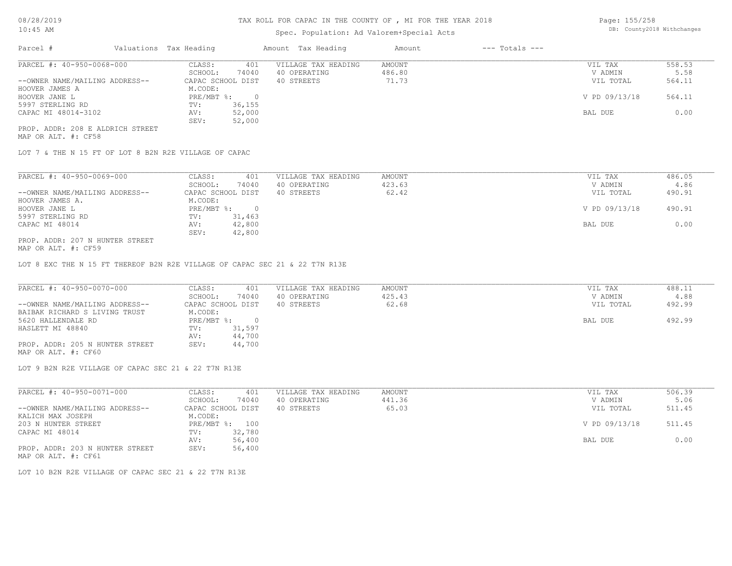# Spec. Population: Ad Valorem+Special Acts

Page: 155/258 DB: County2018 Withchanges

| Parcel #                         | Valuations Tax Heading    |        | Amount Tax Heading  | Amount | $---$ Totals $---$ |               |        |
|----------------------------------|---------------------------|--------|---------------------|--------|--------------------|---------------|--------|
| PARCEL #: 40-950-0068-000        | CLASS:                    | 401    | VILLAGE TAX HEADING | AMOUNT |                    | VIL TAX       | 558.53 |
|                                  | SCHOOL:                   | 74040  | 40 OPERATING        | 486.80 |                    | V ADMIN       | 5.58   |
| --OWNER NAME/MAILING ADDRESS--   | CAPAC SCHOOL DIST         |        | 40 STREETS          | 71.73  |                    | VIL TOTAL     | 564.11 |
| HOOVER JAMES A                   | M.CODE:                   |        |                     |        |                    |               |        |
| HOOVER JANE L                    | $PRE/MBT$ $\frac{1}{6}$ : | $\Box$ |                     |        |                    | V PD 09/13/18 | 564.11 |
| 5997 STERLING RD                 | TV:                       | 36,155 |                     |        |                    |               |        |
| CAPAC MI 48014-3102              | AV:                       | 52,000 |                     |        |                    | BAL DUE       | 0.00   |
|                                  | SEV:                      | 52,000 |                     |        |                    |               |        |
| PROP. ADDR: 208 E ALDRICH STREET |                           |        |                     |        |                    |               |        |

MAP OR ALT. #: CF58

LOT 7 & THE N 15 FT OF LOT 8 B2N R2E VILLAGE OF CAPAC

| PARCEL #: 40-950-0069-000       | CLASS:     | 401               | VILLAGE TAX HEADING | AMOUNT | 486.05<br>VIL TAX       |
|---------------------------------|------------|-------------------|---------------------|--------|-------------------------|
|                                 | SCHOOL:    | 74040             | 40 OPERATING        | 423.63 | 4.86<br>V ADMIN         |
| --OWNER NAME/MAILING ADDRESS--  |            | CAPAC SCHOOL DIST | 40 STREETS          | 62.42  | 490.91<br>VIL TOTAL     |
| HOOVER JAMES A.                 | M.CODE:    |                   |                     |        |                         |
| HOOVER JANE L                   | PRE/MBT %: | $\cap$            |                     |        | V PD 09/13/18<br>490.91 |
| 5997 STERLING RD                | TV:        | 31,463            |                     |        |                         |
| CAPAC MI 48014                  | AV:        | 42,800            |                     |        | 0.00<br>BAL DUE         |
|                                 | SEV:       | 42,800            |                     |        |                         |
| PROP. ADDR: 207 N HUNTER STREET |            |                   |                     |        |                         |

MAP OR ALT. #: CF59

LOT 8 EXC THE N 15 FT THEREOF B2N R2E VILLAGE OF CAPAC SEC 21 & 22 T7N R13E

| PARCEL #: 40-950-0070-000       | CLASS:<br>401     | VILLAGE TAX HEADING | AMOUNT | VIL TAX   | 488.11 |
|---------------------------------|-------------------|---------------------|--------|-----------|--------|
|                                 | 74040<br>SCHOOL:  | 40 OPERATING        | 425.43 | V ADMIN   | 4.88   |
| --OWNER NAME/MAILING ADDRESS--  | CAPAC SCHOOL DIST | 40 STREETS          | 62.68  | VIL TOTAL | 492.99 |
| BAIBAK RICHARD S LIVING TRUST   | M.CODE:           |                     |        |           |        |
| 5620 HALLENDALE RD              | PRE/MBT %:        |                     |        | BAL DUE   | 492.99 |
| HASLETT MI 48840                | 31,597<br>TV:     |                     |        |           |        |
|                                 | 44,700<br>AV:     |                     |        |           |        |
| PROP. ADDR: 205 N HUNTER STREET | SEV:<br>44,700    |                     |        |           |        |

MAP OR ALT. #: CF60

LOT 9 B2N R2E VILLAGE OF CAPAC SEC 21 & 22 T7N R13E

| PARCEL #: 40-950-0071-000       | CLASS:     | 401               | VILLAGE TAX HEADING | AMOUNT | VIL TAX       | 506.39 |
|---------------------------------|------------|-------------------|---------------------|--------|---------------|--------|
|                                 | SCHOOL:    | 74040             | 40 OPERATING        | 441.36 | V ADMIN       | 5.06   |
| --OWNER NAME/MAILING ADDRESS--  |            | CAPAC SCHOOL DIST | 40 STREETS          | 65.03  | VIL TOTAL     | 511.45 |
| KALICH MAX JOSEPH               | M.CODE:    |                   |                     |        |               |        |
| 203 N HUNTER STREET             | PRE/MBT %: | 100               |                     |        | V PD 09/13/18 | 511.45 |
| CAPAC MI 48014                  | TV:        | 32,780            |                     |        |               |        |
|                                 | AV:        | 56,400            |                     |        | BAL DUE       | 0.00   |
| PROP. ADDR: 203 N HUNTER STREET | SEV:       | 56,400            |                     |        |               |        |
| MAP OR ALT. #: CF61             |            |                   |                     |        |               |        |

LOT 10 B2N R2E VILLAGE OF CAPAC SEC 21 & 22 T7N R13E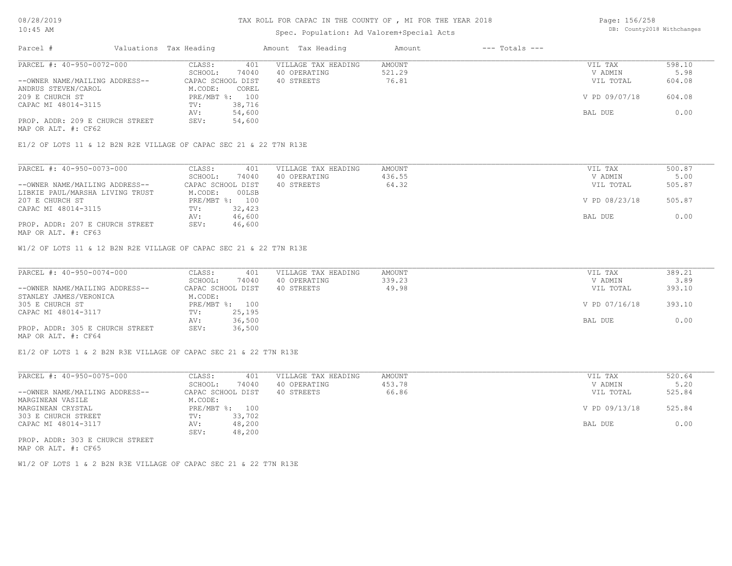# Spec. Population: Ad Valorem+Special Acts

Page: 156/258 DB: County2018 Withchanges

| Parcel #                        | Valuations Tax Heading |                | Amount Tax Heading  | Amount | $---$ Totals $---$ |               |        |
|---------------------------------|------------------------|----------------|---------------------|--------|--------------------|---------------|--------|
| PARCEL #: 40-950-0072-000       | CLASS:                 | 401            | VILLAGE TAX HEADING | AMOUNT |                    | VIL TAX       | 598.10 |
|                                 | SCHOOL:                | 74040          | 40 OPERATING        | 521.29 |                    | V ADMIN       | 5.98   |
| --OWNER NAME/MAILING ADDRESS--  | CAPAC SCHOOL DIST      |                | 40 STREETS          | 76.81  |                    | VIL TOTAL     | 604.08 |
| ANDRUS STEVEN/CAROL             | M.CODE:                | COREL          |                     |        |                    |               |        |
| 209 E CHURCH ST                 |                        | PRE/MBT %: 100 |                     |        |                    | V PD 09/07/18 | 604.08 |
| CAPAC MI 48014-3115             | TV:                    | 38,716         |                     |        |                    |               |        |
|                                 | AV:                    | 54,600         |                     |        |                    | BAL DUE       | 0.00   |
| PROP. ADDR: 209 E CHURCH STREET | SEV:                   | 54,600         |                     |        |                    |               |        |
| MAP OR ALT. #: CF62             |                        |                |                     |        |                    |               |        |

E1/2 OF LOTS 11 & 12 B2N R2E VILLAGE OF CAPAC SEC 21 & 22 T7N R13E

| PARCEL #: 40-950-0073-000       | 401<br>CLASS:     | VILLAGE TAX HEADING | AMOUNT | VIL TAX       | 500.87 |
|---------------------------------|-------------------|---------------------|--------|---------------|--------|
|                                 | 74040<br>SCHOOL:  | 40 OPERATING        | 436.55 | V ADMIN       | 5.00   |
| --OWNER NAME/MAILING ADDRESS--  | CAPAC SCHOOL DIST | 40 STREETS          | 64.32  | VIL TOTAL     | 505.87 |
| LIBKIE PAUL/MARSHA LIVING TRUST | 00LSB<br>M.CODE:  |                     |        |               |        |
| 207 E CHURCH ST                 | PRE/MBT %: 100    |                     |        | V PD 08/23/18 | 505.87 |
| CAPAC MI 48014-3115             | 32,423<br>TV:     |                     |        |               |        |
|                                 | 46,600<br>AV:     |                     |        | BAL DUE       | 0.00   |
| PROP. ADDR: 207 E CHURCH STREET | 46,600<br>SEV:    |                     |        |               |        |
| MAP OR ALT. #: CF63             |                   |                     |        |               |        |

W1/2 OF LOTS 11 & 12 B2N R2E VILLAGE OF CAPAC SEC 21 & 22 T7N R13E

| PARCEL #: 40-950-0074-000       | CLASS:            | 401            | VILLAGE TAX HEADING | AMOUNT | VIL TAX       | 389.21 |
|---------------------------------|-------------------|----------------|---------------------|--------|---------------|--------|
|                                 | SCHOOL:           | 74040          | 40 OPERATING        | 339.23 | V ADMIN       | 3.89   |
| --OWNER NAME/MAILING ADDRESS--  | CAPAC SCHOOL DIST |                | 40 STREETS          | 49.98  | VIL TOTAL     | 393.10 |
| STANLEY JAMES/VERONICA          | M.CODE:           |                |                     |        |               |        |
| 305 E CHURCH ST                 |                   | PRE/MBT %: 100 |                     |        | V PD 07/16/18 | 393.10 |
| CAPAC MI 48014-3117             | TV:               | 25,195         |                     |        |               |        |
|                                 | AV:               | 36,500         |                     |        | BAL DUE       | 0.00   |
| PROP. ADDR: 305 E CHURCH STREET | SEV:              | 36,500         |                     |        |               |        |
| MAP OR ALT. #: CF64             |                   |                |                     |        |               |        |

E1/2 OF LOTS 1 & 2 B2N R3E VILLAGE OF CAPAC SEC 21 & 22 T7N R13E

| PARCEL #: 40-950-0075-000       | CLASS:     | 401               | VILLAGE TAX HEADING | AMOUNT | 520.64<br>VIL TAX       |
|---------------------------------|------------|-------------------|---------------------|--------|-------------------------|
|                                 | SCHOOL:    | 74040             | 40 OPERATING        | 453.78 | 5.20<br>V ADMIN         |
| --OWNER NAME/MAILING ADDRESS--  |            | CAPAC SCHOOL DIST | 40 STREETS          | 66.86  | 525.84<br>VIL TOTAL     |
| MARGINEAN VASILE                | M.CODE:    |                   |                     |        |                         |
| MARGINEAN CRYSTAL               | PRE/MBT %: | 100               |                     |        | V PD 09/13/18<br>525.84 |
| 303 E CHURCH STREET             | TV:        | 33,702            |                     |        |                         |
| CAPAC MI 48014-3117             | AV:        | 48,200            |                     |        | 0.00<br>BAL DUE         |
|                                 | SEV:       | 48,200            |                     |        |                         |
| PROP. ADDR: 303 E CHURCH STREET |            |                   |                     |        |                         |

MAP OR ALT. #: CF65

W1/2 OF LOTS 1 & 2 B2N R3E VILLAGE OF CAPAC SEC 21 & 22 T7N R13E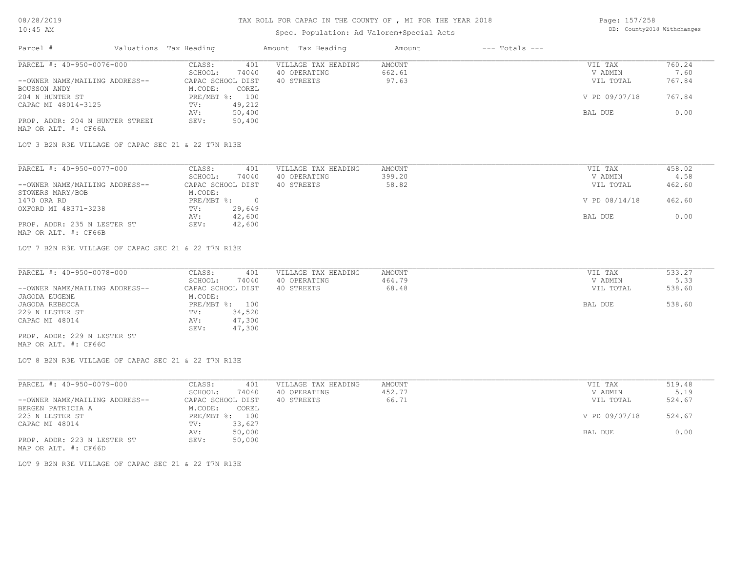# Spec. Population: Ad Valorem+Special Acts

| Page: 157/258 |                            |
|---------------|----------------------------|
|               | DB: County2018 Withchanges |

| Parcel #                        | Valuations Tax Heading |        | Amount Tax Heading  | Amount | $---$ Totals $---$ |               |        |
|---------------------------------|------------------------|--------|---------------------|--------|--------------------|---------------|--------|
| PARCEL #: 40-950-0076-000       | CLASS:                 | 401    | VILLAGE TAX HEADING | AMOUNT |                    | VIL TAX       | 760.24 |
|                                 | SCHOOL:                | 74040  | 40 OPERATING        | 662.61 |                    | V ADMIN       | 7.60   |
| --OWNER NAME/MAILING ADDRESS--  | CAPAC SCHOOL DIST      |        | 40 STREETS          | 97.63  |                    | VIL TOTAL     | 767.84 |
| BOUSSON ANDY                    | M.CODE:                | COREL  |                     |        |                    |               |        |
| 204 N HUNTER ST                 | PRE/MBT %:             | 100    |                     |        |                    | V PD 09/07/18 | 767.84 |
| CAPAC MI 48014-3125             | TV:                    | 49,212 |                     |        |                    |               |        |
|                                 | AV:                    | 50,400 |                     |        |                    | BAL DUE       | 0.00   |
| PROP. ADDR: 204 N HUNTER STREET | SEV:                   | 50,400 |                     |        |                    |               |        |
| MAP OR ALT. #: CF66A            |                        |        |                     |        |                    |               |        |

LOT 3 B2N R3E VILLAGE OF CAPAC SEC 21 & 22 T7N R13E

| PARCEL #: 40-950-0077-000      | CLASS:<br>401     | VILLAGE TAX HEADING | AMOUNT | VIL TAX       | 458.02 |
|--------------------------------|-------------------|---------------------|--------|---------------|--------|
|                                | 74040<br>SCHOOL:  | 40 OPERATING        | 399.20 | V ADMIN       | 4.58   |
| --OWNER NAME/MAILING ADDRESS-- | CAPAC SCHOOL DIST | 40 STREETS          | 58.82  | VIL TOTAL     | 462.60 |
| STOWERS MARY/BOB               | M.CODE:           |                     |        |               |        |
| 1470 ORA RD                    | PRE/MBT %:        |                     |        | V PD 08/14/18 | 462.60 |
| OXFORD MI 48371-3238           | 29,649<br>TV:     |                     |        |               |        |
|                                | 42,600<br>AV:     |                     |        | BAL DUE       | 0.00   |
| PROP. ADDR: 235 N LESTER ST    | 42,600<br>SEV:    |                     |        |               |        |
| MAP OR ALT. #: CF66B           |                   |                     |        |               |        |

LOT 7 B2N R3E VILLAGE OF CAPAC SEC 21 & 22 T7N R13E

| PARCEL #: 40-950-0078-000      | CLASS:<br>401     | VILLAGE TAX HEADING | AMOUNT | VIL TAX   | 533.27 |
|--------------------------------|-------------------|---------------------|--------|-----------|--------|
|                                | 74040<br>SCHOOL:  | 40 OPERATING        | 464.79 | V ADMIN   | 5.33   |
| --OWNER NAME/MAILING ADDRESS-- | CAPAC SCHOOL DIST | 40 STREETS          | 68.48  | VIL TOTAL | 538.60 |
| JAGODA EUGENE                  | M.CODE:           |                     |        |           |        |
| JAGODA REBECCA                 | PRE/MBT %: 100    |                     |        | BAL DUE   | 538.60 |
| 229 N LESTER ST                | 34,520<br>TV:     |                     |        |           |        |
| CAPAC MI 48014                 | 47,300<br>AV:     |                     |        |           |        |
|                                | 47,300<br>SEV:    |                     |        |           |        |
| PROP. ADDR: 229 N LESTER ST    |                   |                     |        |           |        |

MAP OR ALT. #: CF66C

LOT 8 B2N R3E VILLAGE OF CAPAC SEC 21 & 22 T7N R13E

| PARCEL #: 40-950-0079-000      | 401<br>CLASS:     | VILLAGE TAX HEADING | AMOUNT | VIL TAX       | 519.48 |
|--------------------------------|-------------------|---------------------|--------|---------------|--------|
|                                | 74040<br>SCHOOL:  | 40 OPERATING        | 452.77 | V ADMIN       | 5.19   |
| --OWNER NAME/MAILING ADDRESS-- | CAPAC SCHOOL DIST | 40 STREETS          | 66.71  | VIL TOTAL     | 524.67 |
| BERGEN PATRICIA A              | M.CODE:<br>COREL  |                     |        |               |        |
| 223 N LESTER ST                | PRE/MBT %: 100    |                     |        | V PD 09/07/18 | 524.67 |
| CAPAC MI 48014                 | 33,627<br>TV:     |                     |        |               |        |
|                                | 50,000<br>AV:     |                     |        | BAL DUE       | 0.00   |
| PROP. ADDR: 223 N LESTER ST    | 50,000<br>SEV:    |                     |        |               |        |
| MAP OR ALT. #: CF66D           |                   |                     |        |               |        |

LOT 9 B2N R3E VILLAGE OF CAPAC SEC 21 & 22 T7N R13E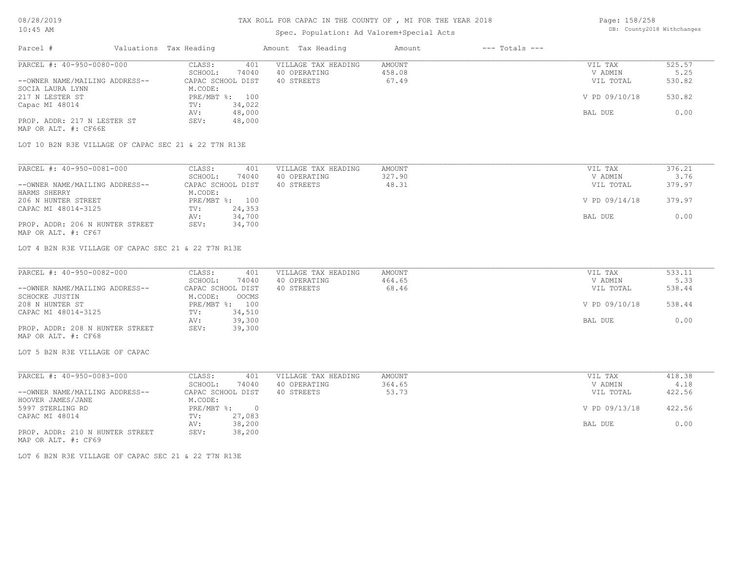#### TAX ROLL FOR CAPAC IN THE COUNTY OF , MI FOR THE YEAR 2018

# Spec. Population: Ad Valorem+Special Acts

Page: 158/258 DB: County2018 Withchanges

| Parcel #                                             | Valuations Tax Heading |        | Amount Tax Heading  | Amount | $---$ Totals $---$ |               |        |
|------------------------------------------------------|------------------------|--------|---------------------|--------|--------------------|---------------|--------|
| PARCEL #: 40-950-0080-000                            | CLASS:                 | 401    | VILLAGE TAX HEADING | AMOUNT |                    | VIL TAX       | 525.57 |
|                                                      | SCHOOL:                | 74040  | 40 OPERATING        | 458.08 |                    | V ADMIN       | 5.25   |
| --OWNER NAME/MAILING ADDRESS--                       | CAPAC SCHOOL DIST      |        | 40 STREETS          | 67.49  |                    | VIL TOTAL     | 530.82 |
| SOCIA LAURA LYNN                                     | M.CODE:                |        |                     |        |                    |               |        |
| 217 N LESTER ST                                      | PRE/MBT %: 100         |        |                     |        |                    | V PD 09/10/18 | 530.82 |
| Capac MI 48014                                       | TV:                    | 34,022 |                     |        |                    |               |        |
|                                                      | AV:                    | 48,000 |                     |        |                    | BAL DUE       | 0.00   |
| PROP. ADDR: 217 N LESTER ST                          | SEV:                   | 48,000 |                     |        |                    |               |        |
| MAP OR ALT. #: CF66E                                 |                        |        |                     |        |                    |               |        |
| LOT 10 B2N R3E VILLAGE OF CAPAC SEC 21 & 22 T7N R13E |                        |        |                     |        |                    |               |        |
| PARCEL #: 40-950-0081-000                            | CLASS:                 | 401    | VILLAGE TAX HEADING | AMOUNT |                    | VIL TAX       | 376.21 |
|                                                      |                        |        |                     |        |                    |               |        |
|                                                      | SCHOOL:                | 74040  | 40 OPERATING        | 327.90 |                    | V ADMIN       | 3.76   |
| --OWNER NAME/MAILING ADDRESS--                       | CAPAC SCHOOL DIST      |        | 40 STREETS          | 48.31  |                    | VIL TOTAL     | 379.97 |
| HARMS SHERRY                                         | M.CODE:                |        |                     |        |                    |               |        |
| 206 N HUNTER STREET                                  | $PRE/MBT$ $\div$       | 100    |                     |        |                    | V PD 09/14/18 | 379.97 |

MAP OR ALT. #: CF67 PROP. ADDR: 206 N HUNTER STREET AV: 24,353<br>
AV: 24,353<br>
AV: 34,700 BAL DUE 0.00<br>
SEV: 34,700 BAL DUE 0.00 CAPAC MI 48014-3125

LOT 4 B2N R3E VILLAGE OF CAPAC SEC 21 & 22 T7N R13E

| PARCEL #: 40-950-0082-000       | CLASS:            | 401          | VILLAGE TAX HEADING | AMOUNT | VIL TAX       | 533.11 |
|---------------------------------|-------------------|--------------|---------------------|--------|---------------|--------|
|                                 | SCHOOL:           | 74040        | 40 OPERATING        | 464.65 | V ADMIN       | 5.33   |
| --OWNER NAME/MAILING ADDRESS--  | CAPAC SCHOOL DIST |              | 40 STREETS          | 68.46  | VIL TOTAL     | 538.44 |
| SCHOCKE JUSTIN                  | M.CODE:           | <b>OOCMS</b> |                     |        |               |        |
| 208 N HUNTER ST                 | $PRE/MBT$ %:      | 100          |                     |        | V PD 09/10/18 | 538.44 |
| CAPAC MI 48014-3125             | TV:               | 34,510       |                     |        |               |        |
|                                 | AV:               | 39,300       |                     |        | BAL DUE       | 0.00   |
| PROP. ADDR: 208 N HUNTER STREET | SEV:              | 39,300       |                     |        |               |        |
| MAP OR ALT. #: CF68             |                   |              |                     |        |               |        |

 $\mathcal{L}_\mathcal{L} = \mathcal{L}_\mathcal{L} = \mathcal{L}_\mathcal{L} = \mathcal{L}_\mathcal{L} = \mathcal{L}_\mathcal{L} = \mathcal{L}_\mathcal{L} = \mathcal{L}_\mathcal{L} = \mathcal{L}_\mathcal{L} = \mathcal{L}_\mathcal{L} = \mathcal{L}_\mathcal{L} = \mathcal{L}_\mathcal{L} = \mathcal{L}_\mathcal{L} = \mathcal{L}_\mathcal{L} = \mathcal{L}_\mathcal{L} = \mathcal{L}_\mathcal{L} = \mathcal{L}_\mathcal{L} = \mathcal{L}_\mathcal{L}$ 

LOT 5 B2N R3E VILLAGE OF CAPAC

| CLASS:  | 401       | VILLAGE TAX HEADING                        | AMOUNT | VIL TAX       | 418.38 |
|---------|-----------|--------------------------------------------|--------|---------------|--------|
| SCHOOL: | 74040     | 40 OPERATING                               | 364.65 | V ADMIN       | 4.18   |
|         |           | 40 STREETS                                 | 53.73  | VIL TOTAL     | 422.56 |
|         |           |                                            |        |               |        |
|         | $\bigcap$ |                                            |        | V PD 09/13/18 | 422.56 |
| TV:     | 27,083    |                                            |        |               |        |
| AV:     | 38,200    |                                            |        | BAL DUE       | 0.00   |
| SEV:    | 38,200    |                                            |        |               |        |
|         |           | CAPAC SCHOOL DIST<br>M.CODE:<br>PRE/MBT %: |        |               |        |

MAP OR ALT. #: CF69

LOT 6 B2N R3E VILLAGE OF CAPAC SEC 21 & 22 T7N R13E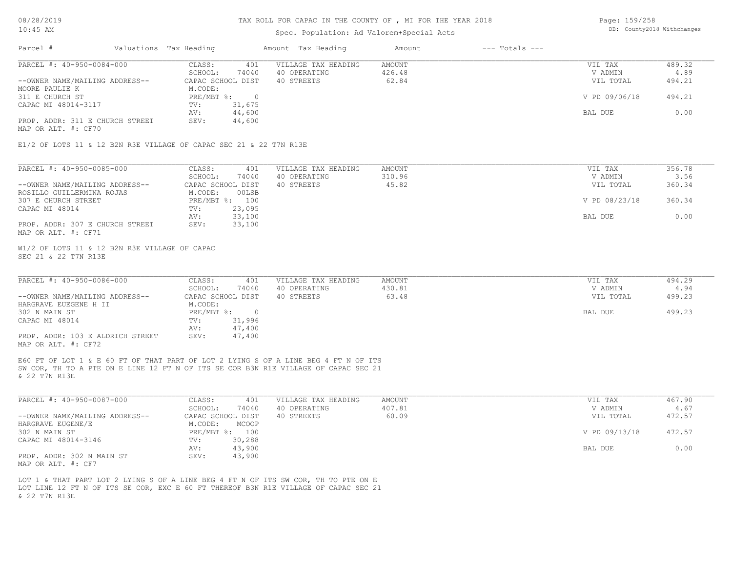#### TAX ROLL FOR CAPAC IN THE COUNTY OF , MI FOR THE YEAR 2018

#### Spec. Population: Ad Valorem+Special Acts

Page: 159/258 DB: County2018 Withchanges

| Parcel #                          | Valuations Tax Heading  |        | Amount Tax Heading  | Amount | $---$ Totals $---$ |               |        |
|-----------------------------------|-------------------------|--------|---------------------|--------|--------------------|---------------|--------|
| PARCEL #: 40-950-0084-000         | CLASS:                  | 401    | VILLAGE TAX HEADING | AMOUNT |                    | VIL TAX       | 489.32 |
|                                   | SCHOOL:                 | 74040  | 40 OPERATING        | 426.48 |                    | V ADMIN       | 4.89   |
| --OWNER NAME/MAILING ADDRESS--    | CAPAC SCHOOL DIST       |        | 40 STREETS          | 62.84  |                    | VIL TOTAL     | 494.21 |
| MOORE PAULIE K<br>311 E CHURCH ST | M.CODE:<br>$PRE/MBT$ %: |        |                     |        |                    | V PD 09/06/18 | 494.21 |
| CAPAC MI 48014-3117               | TV:                     | 31,675 |                     |        |                    |               |        |
|                                   | AV:                     | 44,600 |                     |        |                    | BAL DUE       | 0.00   |
| PROP. ADDR: 311 E CHURCH STREET   | SEV:                    | 44,600 |                     |        |                    |               |        |

MAP OR ALT. #: CF70

E1/2 OF LOTS 11 & 12 B2N R3E VILLAGE OF CAPAC SEC 21 & 22 T7N R13E

| PARCEL #: 40-950-0085-000       | 401<br>CLASS:     | VILLAGE TAX HEADING | AMOUNT | VIL TAX       | 356.78 |
|---------------------------------|-------------------|---------------------|--------|---------------|--------|
|                                 | 74040<br>SCHOOL:  | 40 OPERATING        | 310.96 | V ADMIN       | 3.56   |
| --OWNER NAME/MAILING ADDRESS--  | CAPAC SCHOOL DIST | 40 STREETS          | 45.82  | VIL TOTAL     | 360.34 |
| ROSILLO GUILLERMINA ROJAS       | 00LSB<br>M.CODE:  |                     |        |               |        |
| 307 E CHURCH STREET             | PRE/MBT %: 100    |                     |        | V PD 08/23/18 | 360.34 |
| CAPAC MI 48014                  | 23,095<br>TV:     |                     |        |               |        |
|                                 | 33,100<br>AV:     |                     |        | BAL DUE       | 0.00   |
| PROP. ADDR: 307 E CHURCH STREET | 33,100<br>SEV:    |                     |        |               |        |
| MAP OR ALT. #: CF71             |                   |                     |        |               |        |

SEC 21 & 22 T7N R13E W1/2 OF LOTS 11 & 12 B2N R3E VILLAGE OF CAPAC

| PARCEL #: 40-950-0086-000        | CLASS:            | 401    | VILLAGE TAX HEADING | AMOUNT | VIL TAX   | 494.29 |
|----------------------------------|-------------------|--------|---------------------|--------|-----------|--------|
|                                  | SCHOOL:           | 74040  | 40 OPERATING        | 430.81 | V ADMIN   | 4.94   |
| --OWNER NAME/MAILING ADDRESS--   | CAPAC SCHOOL DIST |        | 40 STREETS          | 63.48  | VIL TOTAL | 499.23 |
| HARGRAVE EUEGENE H II            | M.CODE:           |        |                     |        |           |        |
| 302 N MAIN ST                    | PRE/MBT %:        | $\Box$ |                     |        | BAL DUE   | 499.23 |
| CAPAC MI 48014                   | TV:               | 31,996 |                     |        |           |        |
|                                  | AV:               | 47,400 |                     |        |           |        |
| PROP. ADDR: 103 E ALDRICH STREET | SEV:              | 47,400 |                     |        |           |        |
| MAP OR ALT. #: CF72              |                   |        |                     |        |           |        |

 $\mathcal{L}_\mathcal{L} = \mathcal{L}_\mathcal{L} = \mathcal{L}_\mathcal{L} = \mathcal{L}_\mathcal{L} = \mathcal{L}_\mathcal{L} = \mathcal{L}_\mathcal{L} = \mathcal{L}_\mathcal{L} = \mathcal{L}_\mathcal{L} = \mathcal{L}_\mathcal{L} = \mathcal{L}_\mathcal{L} = \mathcal{L}_\mathcal{L} = \mathcal{L}_\mathcal{L} = \mathcal{L}_\mathcal{L} = \mathcal{L}_\mathcal{L} = \mathcal{L}_\mathcal{L} = \mathcal{L}_\mathcal{L} = \mathcal{L}_\mathcal{L}$ 

& 22 T7N R13E SW COR, TH TO A PTE ON E LINE 12 FT N OF ITS SE COR B3N R1E VILLAGE OF CAPAC SEC 21 E60 FT OF LOT 1 & E 60 FT OF THAT PART OF LOT 2 LYING S OF A LINE BEG 4 FT N OF ITS

| PARCEL #: 40-950-0087-000      | CLASS:<br>401     | VILLAGE TAX HEADING | AMOUNT | VIL TAX       | 467.90 |
|--------------------------------|-------------------|---------------------|--------|---------------|--------|
|                                | 74040<br>SCHOOL:  | 40 OPERATING        | 407.81 | V ADMIN       | 4.67   |
| --OWNER NAME/MAILING ADDRESS-- | CAPAC SCHOOL DIST | 40 STREETS          | 60.09  | VIL TOTAL     | 472.57 |
| HARGRAVE EUGENE/E              | M.CODE:<br>MCOOP  |                     |        |               |        |
| 302 N MAIN ST                  | PRE/MBT %: 100    |                     |        | V PD 09/13/18 | 472.57 |
| CAPAC MI 48014-3146            | 30,288<br>TV:     |                     |        |               |        |
|                                | 43,900<br>AV:     |                     |        | BAL DUE       | 0.00   |
| PROP. ADDR: 302 N MAIN ST      | 43,900<br>SEV:    |                     |        |               |        |
| MAP OR ALT. #: CF7             |                   |                     |        |               |        |

& 22 T7N R13E LOT LINE 12 FT N OF ITS SE COR, EXC E 60 FT THEREOF B3N R1E VILLAGE OF CAPAC SEC 21 LOT 1 & THAT PART LOT 2 LYING S OF A LINE BEG 4 FT N OF ITS SW COR, TH TO PTE ON E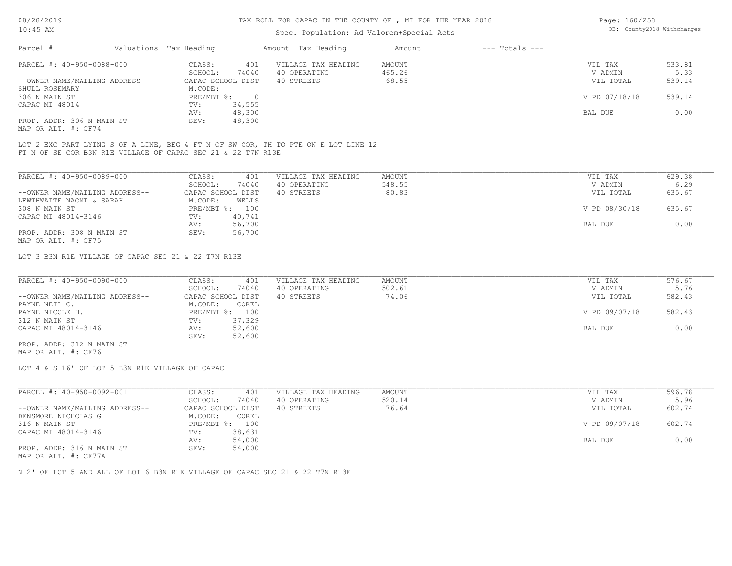#### TAX ROLL FOR CAPAC IN THE COUNTY OF , MI FOR THE YEAR 2018

## Spec. Population: Ad Valorem+Special Acts

| Page: 160/258 |                            |
|---------------|----------------------------|
|               | DB: County2018 Withchanges |

| Parcel #                       | Valuations Tax Heading    |        | Amount Tax Heading  | Amount | $---$ Totals $---$ |               |        |
|--------------------------------|---------------------------|--------|---------------------|--------|--------------------|---------------|--------|
| PARCEL #: 40-950-0088-000      | CLASS:                    | 401    | VILLAGE TAX HEADING | AMOUNT |                    | VIL TAX       | 533.81 |
|                                | SCHOOL:                   | 74040  | 40 OPERATING        | 465.26 |                    | V ADMIN       | 5.33   |
| --OWNER NAME/MAILING ADDRESS-- | CAPAC SCHOOL DIST         |        | 40 STREETS          | 68.55  |                    | VIL TOTAL     | 539.14 |
| SHULL ROSEMARY                 | M.CODE:                   |        |                     |        |                    |               |        |
| 306 N MAIN ST                  | $PRE/MBT$ $\frac{1}{6}$ : |        |                     |        |                    | V PD 07/18/18 | 539.14 |
| CAPAC MI 48014                 | TV:                       | 34,555 |                     |        |                    |               |        |
|                                | AV:                       | 48,300 |                     |        |                    | BAL DUE       | 0.00   |
| PROP. ADDR: 306 N MAIN ST      | SEV:                      | 48,300 |                     |        |                    |               |        |
|                                |                           |        |                     |        |                    |               |        |

MAP OR ALT. #: CF74

FT N OF SE COR B3N R1E VILLAGE OF CAPAC SEC 21 & 22 T7N R13E LOT 2 EXC PART LYING S OF A LINE, BEG 4 FT N OF SW COR, TH TO PTE ON E LOT LINE 12

| PARCEL #: 40-950-0089-000      | CLASS:            | 401    | VILLAGE TAX HEADING | AMOUNT | VIL TAX       | 629.38 |
|--------------------------------|-------------------|--------|---------------------|--------|---------------|--------|
|                                | SCHOOL:           | 74040  | 40 OPERATING        | 548.55 | V ADMIN       | 6.29   |
| --OWNER NAME/MAILING ADDRESS-- | CAPAC SCHOOL DIST |        | 40 STREETS          | 80.83  | VIL TOTAL     | 635.67 |
| LEWTHWAITE NAOMI & SARAH       | M.CODE:           | WELLS  |                     |        |               |        |
| 308 N MAIN ST                  | $PRE/MBT$ %:      | 100    |                     |        | V PD 08/30/18 | 635.67 |
| CAPAC MI 48014-3146            | TV:               | 40,741 |                     |        |               |        |
|                                | AV:               | 56,700 |                     |        | BAL DUE       | 0.00   |
| PROP. ADDR: 308 N MAIN ST      | SEV:              | 56,700 |                     |        |               |        |
| MAP OR ALT. #: CF75            |                   |        |                     |        |               |        |

LOT 3 B3N R1E VILLAGE OF CAPAC SEC 21 & 22 T7N R13E

| PARCEL #: 40-950-0090-000      | CLASS:<br>401     | VILLAGE TAX HEADING | AMOUNT | VIL TAX       | 576.67 |
|--------------------------------|-------------------|---------------------|--------|---------------|--------|
|                                | 74040<br>SCHOOL:  | 40 OPERATING        | 502.61 | V ADMIN       | 5.76   |
| --OWNER NAME/MAILING ADDRESS-- | CAPAC SCHOOL DIST | 40 STREETS          | 74.06  | VIL TOTAL     | 582.43 |
| PAYNE NEIL C.                  | M.CODE:<br>COREL  |                     |        |               |        |
| PAYNE NICOLE H.                | PRE/MBT %: 100    |                     |        | V PD 09/07/18 | 582.43 |
| 312 N MAIN ST                  | 37,329<br>TV:     |                     |        |               |        |
| CAPAC MI 48014-3146            | 52,600<br>AV:     |                     |        | BAL DUE       | 0.00   |
|                                | 52,600<br>SEV:    |                     |        |               |        |
| PROP. ADDR: 312 N MAIN ST      |                   |                     |        |               |        |

MAP OR ALT. #: CF76

LOT 4 & S 16' OF LOT 5 B3N R1E VILLAGE OF CAPAC

| PARCEL #: 40-950-0092-001      | CLASS:            | 401    | VILLAGE TAX HEADING | AMOUNT | VIL TAX       | 596.78 |
|--------------------------------|-------------------|--------|---------------------|--------|---------------|--------|
|                                | SCHOOL:           | 74040  | 40 OPERATING        | 520.14 | V ADMIN       | 5.96   |
| --OWNER NAME/MAILING ADDRESS-- | CAPAC SCHOOL DIST |        | 40 STREETS          | 76.64  | VIL TOTAL     | 602.74 |
| DENSMORE NICHOLAS G            | M.CODE:           | COREL  |                     |        |               |        |
| 316 N MAIN ST                  | $PRE/MBT$ %:      | 100    |                     |        | V PD 09/07/18 | 602.74 |
| CAPAC MI 48014-3146            | TV:               | 38,631 |                     |        |               |        |
|                                | AV:               | 54,000 |                     |        | BAL DUE       | 0.00   |
| PROP. ADDR: 316 N MAIN ST      | SEV:              | 54,000 |                     |        |               |        |

MAP OR ALT. #: CF77A

N 2' OF LOT 5 AND ALL OF LOT 6 B3N R1E VILLAGE OF CAPAC SEC 21 & 22 T7N R13E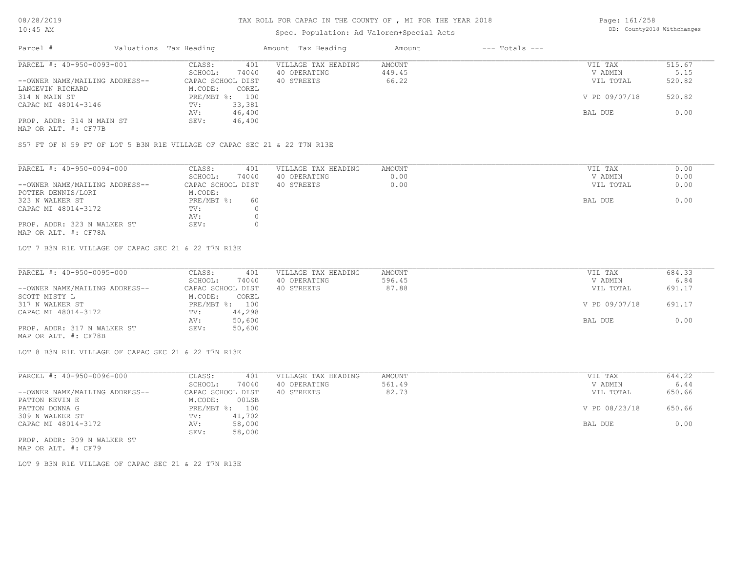## Spec. Population: Ad Valorem+Special Acts

Page: 161/258 DB: County2018 Withchanges

| Parcel #                       | Valuations Tax Heading |                | Amount Tax Heading  | Amount | $---$ Totals $---$ |               |        |
|--------------------------------|------------------------|----------------|---------------------|--------|--------------------|---------------|--------|
| PARCEL #: 40-950-0093-001      | CLASS:                 | 401            | VILLAGE TAX HEADING | AMOUNT |                    | VIL TAX       | 515.67 |
|                                | SCHOOL:                | 74040          | 40 OPERATING        | 449.45 |                    | V ADMIN       | 5.15   |
| --OWNER NAME/MAILING ADDRESS-- | CAPAC SCHOOL DIST      |                | 40 STREETS          | 66.22  |                    | VIL TOTAL     | 520.82 |
| LANGEVIN RICHARD               | M.CODE:                | COREL          |                     |        |                    |               |        |
| 314 N MAIN ST                  |                        | PRE/MBT %: 100 |                     |        |                    | V PD 09/07/18 | 520.82 |
| CAPAC MI 48014-3146            | TV:                    | 33,381         |                     |        |                    |               |        |
|                                | AV:                    | 46,400         |                     |        |                    | BAL DUE       | 0.00   |
| PROP. ADDR: 314 N MAIN ST      | SEV:                   | 46,400         |                     |        |                    |               |        |
| MAP OR ALT. #: CF77B           |                        |                |                     |        |                    |               |        |

S57 FT OF N 59 FT OF LOT 5 B3N R1E VILLAGE OF CAPAC SEC 21 & 22 T7N R13E

| PARCEL #: 40-950-0094-000      | CLASS:<br>401     | VILLAGE TAX HEADING | AMOUNT | VIL TAX   | 0.00 |
|--------------------------------|-------------------|---------------------|--------|-----------|------|
|                                | 74040<br>SCHOOL:  | 40 OPERATING        | 0.00   | V ADMIN   | 0.00 |
| --OWNER NAME/MAILING ADDRESS-- | CAPAC SCHOOL DIST | 40 STREETS          | 0.00   | VIL TOTAL | 0.00 |
| POTTER DENNIS/LORI             | M.CODE:           |                     |        |           |      |
| 323 N WALKER ST                | PRE/MBT %:<br>60  |                     |        | BAL DUE   | 0.00 |
| CAPAC MI 48014-3172            | TV:               |                     |        |           |      |
|                                | AV:               |                     |        |           |      |
| PROP. ADDR: 323 N WALKER ST    | SEV:              |                     |        |           |      |
| MAP OR ALT. #: CF78A           |                   |                     |        |           |      |

LOT 7 B3N R1E VILLAGE OF CAPAC SEC 21 & 22 T7N R13E

| PARCEL #: 40-950-0095-000      | CLASS:<br>401     | VILLAGE TAX HEADING | AMOUNT | VIL TAX       | 684.33 |
|--------------------------------|-------------------|---------------------|--------|---------------|--------|
|                                | 74040<br>SCHOOL:  | 40 OPERATING        | 596.45 | V ADMIN       | 6.84   |
| --OWNER NAME/MAILING ADDRESS-- | CAPAC SCHOOL DIST | 40 STREETS          | 87.88  | VIL TOTAL     | 691.17 |
| SCOTT MISTY L                  | M.CODE:<br>COREL  |                     |        |               |        |
| 317 N WALKER ST                | PRE/MBT %: 100    |                     |        | V PD 09/07/18 | 691.17 |
| CAPAC MI 48014-3172            | 44,298<br>TV:     |                     |        |               |        |
|                                | 50,600<br>AV:     |                     |        | BAL DUE       | 0.00   |
| PROP. ADDR: 317 N WALKER ST    | 50,600<br>SEV:    |                     |        |               |        |
| MAP OR ALT. #: CF78B           |                   |                     |        |               |        |

LOT 8 B3N R1E VILLAGE OF CAPAC SEC 21 & 22 T7N R13E

| PARCEL #: 40-950-0096-000      | CLASS:     | 401               | VILLAGE TAX HEADING | AMOUNT | VIL TAX       | 644.22 |
|--------------------------------|------------|-------------------|---------------------|--------|---------------|--------|
|                                | SCHOOL:    | 74040             | 40 OPERATING        | 561.49 | V ADMIN       | 6.44   |
| --OWNER NAME/MAILING ADDRESS-- |            | CAPAC SCHOOL DIST | 40 STREETS          | 82.73  | VIL TOTAL     | 650.66 |
| PATTON KEVIN E                 | M.CODE:    | 00LSB             |                     |        |               |        |
| PATTON DONNA G                 | PRE/MBT %: | 100               |                     |        | V PD 08/23/18 | 650.66 |
| 309 N WALKER ST                | TV:        | 41,702            |                     |        |               |        |
| CAPAC MI 48014-3172            | AV:        | 58,000            |                     |        | BAL DUE       | 0.00   |
|                                | SEV:       | 58,000            |                     |        |               |        |
| PROP. ADDR: 309 N WALKER ST    |            |                   |                     |        |               |        |

MAP OR ALT. #: CF79

LOT 9 B3N R1E VILLAGE OF CAPAC SEC 21 & 22 T7N R13E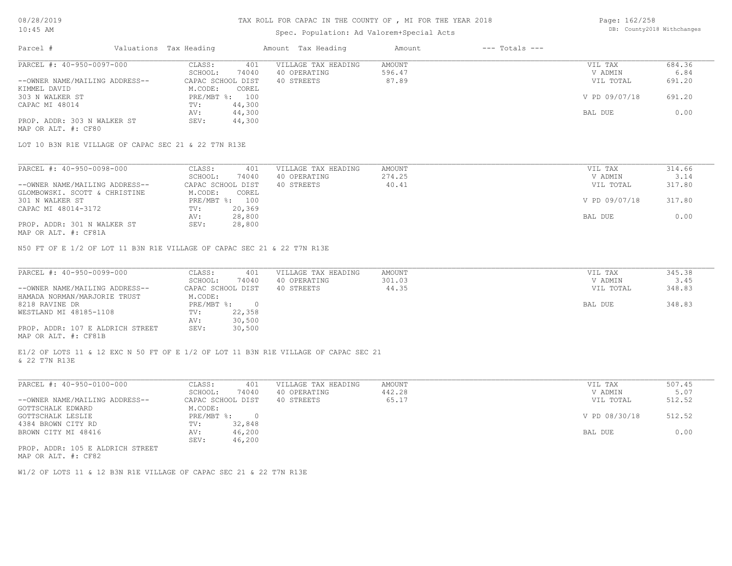#### Spec. Population: Ad Valorem+Special Acts

| Page: 162/258 |                            |
|---------------|----------------------------|
|               | DB: County2018 Withchanges |

| Parcel #                       | Valuations Tax Heading |        | Amount Tax Heading  | Amount | $---$ Totals $---$ |               |        |
|--------------------------------|------------------------|--------|---------------------|--------|--------------------|---------------|--------|
| PARCEL #: 40-950-0097-000      | CLASS:                 | 401    | VILLAGE TAX HEADING | AMOUNT |                    | VIL TAX       | 684.36 |
|                                | SCHOOL:                | 74040  | 40 OPERATING        | 596.47 |                    | V ADMIN       | 6.84   |
| --OWNER NAME/MAILING ADDRESS-- | CAPAC SCHOOL DIST      |        | 40 STREETS          | 87.89  |                    | VIL TOTAL     | 691.20 |
| KIMMEL DAVID                   | M.CODE:                | COREL  |                     |        |                    |               |        |
| 303 N WALKER ST                | PRE/MBT %: 100         |        |                     |        |                    | V PD 09/07/18 | 691.20 |
| CAPAC MI 48014                 | TV:                    | 44,300 |                     |        |                    |               |        |
|                                | AV:                    | 44,300 |                     |        |                    | BAL DUE       | 0.00   |
| PROP. ADDR: 303 N WALKER ST    | SEV:                   | 44,300 |                     |        |                    |               |        |
| MAP OR ALT. #: CF80            |                        |        |                     |        |                    |               |        |

LOT 10 B3N R1E VILLAGE OF CAPAC SEC 21 & 22 T7N R13E

| PARCEL #: 40-950-0098-000      | 401<br>CLASS:     | VILLAGE TAX HEADING | AMOUNT | VIL TAX       | 314.66 |
|--------------------------------|-------------------|---------------------|--------|---------------|--------|
|                                | 74040<br>SCHOOL:  | 40 OPERATING        | 274.25 | V ADMIN       | 3.14   |
| --OWNER NAME/MAILING ADDRESS-- | CAPAC SCHOOL DIST | 40 STREETS          | 40.41  | VIL TOTAL     | 317.80 |
| GLOMBOWSKI. SCOTT & CHRISTINE  | M.CODE:<br>COREL  |                     |        |               |        |
| 301 N WALKER ST                | PRE/MBT %: 100    |                     |        | V PD 09/07/18 | 317.80 |
| CAPAC MI 48014-3172            | 20,369<br>TV:     |                     |        |               |        |
|                                | 28,800<br>AV:     |                     |        | BAL DUE       | 0.00   |
| PROP. ADDR: 301 N WALKER ST    | 28,800<br>SEV:    |                     |        |               |        |
| MAP OR ALT. #: CF81A           |                   |                     |        |               |        |

N50 FT OF E 1/2 OF LOT 11 B3N R1E VILLAGE OF CAPAC SEC 21 & 22 T7N R13E

| PARCEL #: 40-950-0099-000        | CLASS:            | 401    | VILLAGE TAX HEADING | AMOUNT | VIL TAX   | 345.38 |
|----------------------------------|-------------------|--------|---------------------|--------|-----------|--------|
|                                  | SCHOOL:           | 74040  | 40 OPERATING        | 301.03 | V ADMIN   | 3.45   |
| --OWNER NAME/MAILING ADDRESS--   | CAPAC SCHOOL DIST |        | 40 STREETS          | 44.35  | VIL TOTAL | 348.83 |
| HAMADA NORMAN/MARJORIE TRUST     | M.CODE:           |        |                     |        |           |        |
| 8218 RAVINE DR                   | PRE/MBT %:        |        |                     |        | BAL DUE   | 348.83 |
| WESTLAND MI 48185-1108           | TV:               | 22,358 |                     |        |           |        |
|                                  | AV:               | 30,500 |                     |        |           |        |
| PROP. ADDR: 107 E ALDRICH STREET | SEV:              | 30,500 |                     |        |           |        |
| MAP OR ALT. #: CF81B             |                   |        |                     |        |           |        |

& 22 T7N R13E E1/2 OF LOTS 11 & 12 EXC N 50 FT OF E 1/2 OF LOT 11 B3N R1E VILLAGE OF CAPAC SEC 21

| PARCEL #: 40-950-0100-000        | 401<br>CLASS:     | VILLAGE TAX HEADING | AMOUNT | VIL TAX       | 507.45 |
|----------------------------------|-------------------|---------------------|--------|---------------|--------|
|                                  | 74040<br>SCHOOL:  | 40 OPERATING        | 442.28 | V ADMIN       | 5.07   |
| --OWNER NAME/MAILING ADDRESS--   | CAPAC SCHOOL DIST | 40 STREETS          | 65.17  | VIL TOTAL     | 512.52 |
| GOTTSCHALK EDWARD                | M.CODE:           |                     |        |               |        |
| GOTTSCHALK LESLIE                | $PRE/MBT$ %:      |                     |        | V PD 08/30/18 | 512.52 |
| 4384 BROWN CITY RD               | 32,848<br>TV:     |                     |        |               |        |
| BROWN CITY MI 48416              | 46,200<br>AV:     |                     |        | BAL DUE       | 0.00   |
|                                  | 46,200<br>SEV:    |                     |        |               |        |
| PROP. ADDR: 105 E ALDRICH STREET |                   |                     |        |               |        |

MAP OR ALT. #: CF82

W1/2 OF LOTS 11 & 12 B3N R1E VILLAGE OF CAPAC SEC 21 & 22 T7N R13E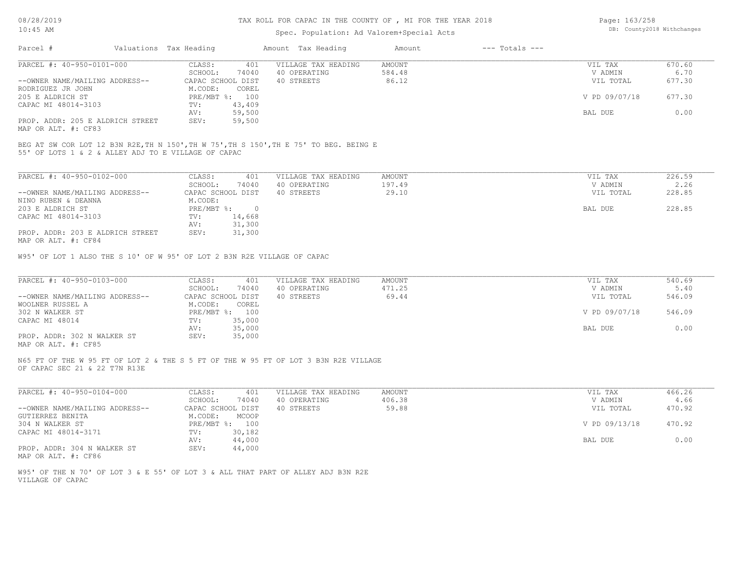#### TAX ROLL FOR CAPAC IN THE COUNTY OF , MI FOR THE YEAR 2018

# Spec. Population: Ad Valorem+Special Acts

| Page: 163/258 |                            |
|---------------|----------------------------|
|               | DB: County2018 Withchanges |

| Parcel #                         | Valuations Tax Heading |                | Amount Tax Heading  | Amount | $---$ Totals $---$ |               |        |
|----------------------------------|------------------------|----------------|---------------------|--------|--------------------|---------------|--------|
| PARCEL #: 40-950-0101-000        | CLASS:                 | 401            | VILLAGE TAX HEADING | AMOUNT |                    | VIL TAX       | 670.60 |
|                                  | SCHOOL:                | 74040          | 40 OPERATING        | 584.48 |                    | V ADMIN       | 6.70   |
| --OWNER NAME/MAILING ADDRESS--   | CAPAC SCHOOL DIST      |                | 40 STREETS          | 86.12  |                    | VIL TOTAL     | 677.30 |
| RODRIGUEZ JR JOHN                | M.CODE:                | COREL          |                     |        |                    |               |        |
| 205 E ALDRICH ST                 |                        | PRE/MBT %: 100 |                     |        |                    | V PD 09/07/18 | 677.30 |
| CAPAC MI 48014-3103              | TV:                    | 43,409         |                     |        |                    |               |        |
|                                  | AV:                    | 59,500         |                     |        |                    | BAL DUE       | 0.00   |
| PROP. ADDR: 205 E ALDRICH STREET | SEV:                   | 59,500         |                     |        |                    |               |        |
|                                  |                        |                |                     |        |                    |               |        |

MAP OR ALT. #: CF83

55' OF LOTS 1 & 2 & ALLEY ADJ TO E VILLAGE OF CAPAC BEG AT SW COR LOT 12 B3N R2E,TH N 150',TH W 75',TH S 150',TH E 75' TO BEG. BEING E

| PARCEL #: 40-950-0102-000        | CLASS:       | 401               | VILLAGE TAX HEADING | AMOUNT | VIL TAX   | 226.59 |
|----------------------------------|--------------|-------------------|---------------------|--------|-----------|--------|
|                                  | SCHOOL:      | 74040             | 40 OPERATING        | 197.49 | V ADMIN   | 2.26   |
| --OWNER NAME/MAILING ADDRESS--   |              | CAPAC SCHOOL DIST | 40 STREETS          | 29.10  | VIL TOTAL | 228.85 |
| NINO RUBEN & DEANNA              | M.CODE:      |                   |                     |        |           |        |
| 203 E ALDRICH ST                 | $PRE/MBT$ %: |                   |                     |        | BAL DUE   | 228.85 |
| CAPAC MI 48014-3103              | TV:          | 14,668            |                     |        |           |        |
|                                  | AV:          | 31,300            |                     |        |           |        |
| PROP. ADDR: 203 E ALDRICH STREET | SEV:         | 31,300            |                     |        |           |        |
| MAP OR ALT. #: CF84              |              |                   |                     |        |           |        |

W95' OF LOT 1 ALSO THE S 10' OF W 95' OF LOT 2 B3N R2E VILLAGE OF CAPAC

| PARCEL #: 40-950-0103-000      | CLASS:<br>401     | VILLAGE TAX HEADING | AMOUNT | VIL TAX       | 540.69 |
|--------------------------------|-------------------|---------------------|--------|---------------|--------|
|                                | 74040<br>SCHOOL:  | 40 OPERATING        | 471.25 | V ADMIN       | 5.40   |
| --OWNER NAME/MAILING ADDRESS-- | CAPAC SCHOOL DIST | 40 STREETS          | 69.44  | VIL TOTAL     | 546.09 |
| WOOLNER RUSSEL A               | M.CODE:<br>COREL  |                     |        |               |        |
| 302 N WALKER ST                | PRE/MBT %: 100    |                     |        | V PD 09/07/18 | 546.09 |
| CAPAC MI 48014                 | 35,000<br>TV:     |                     |        |               |        |
|                                | 35,000<br>AV:     |                     |        | BAL DUE       | 0.00   |
| PROP. ADDR: 302 N WALKER ST    | 35,000<br>SEV:    |                     |        |               |        |
|                                |                   |                     |        |               |        |

MAP OR ALT. #: CF85

OF CAPAC SEC 21 & 22 T7N R13E N65 FT OF THE W 95 FT OF LOT 2 & THE S 5 FT OF THE W 95 FT OF LOT 3 B3N R2E VILLAGE

| PARCEL #: 40-950-0104-000      | CLASS:            | 401    | VILLAGE TAX HEADING | AMOUNT | VIL TAX       | 466.26 |
|--------------------------------|-------------------|--------|---------------------|--------|---------------|--------|
|                                | SCHOOL:           | 74040  | 40 OPERATING        | 406.38 | V ADMIN       | 4.66   |
| --OWNER NAME/MAILING ADDRESS-- | CAPAC SCHOOL DIST |        | 40 STREETS          | 59.88  | VIL TOTAL     | 470.92 |
| GUTIERREZ BENITA               | M.CODE:           | MCOOP  |                     |        |               |        |
| 304 N WALKER ST                | PRE/MBT %:        | 100    |                     |        | V PD 09/13/18 | 470.92 |
| CAPAC MI 48014-3171            | TV:               | 30,182 |                     |        |               |        |
|                                | AV:               | 44,000 |                     |        | BAL DUE       | 0.00   |
| PROP. ADDR: 304 N WALKER ST    | SEV:              | 44,000 |                     |        |               |        |

MAP OR ALT. #: CF86

VILLAGE OF CAPAC W95' OF THE N 70' OF LOT 3 & E 55' OF LOT 3 & ALL THAT PART OF ALLEY ADJ B3N R2E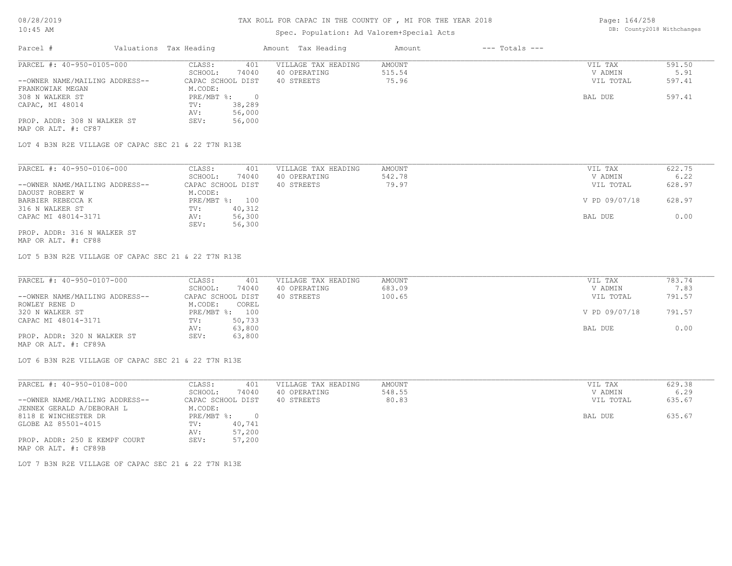# TAX ROLL FOR CAPAC IN THE COUNTY OF , MI FOR THE YEAR 2018

# Spec. Population: Ad Valorem+Special Acts

Page: 164/258 DB: County2018 Withchanges

| Parcel #                       | Valuations Tax Heading |        | Amount Tax Heading  | Amount | $---$ Totals $---$ |           |        |
|--------------------------------|------------------------|--------|---------------------|--------|--------------------|-----------|--------|
| PARCEL #: 40-950-0105-000      | CLASS:                 | 401    | VILLAGE TAX HEADING | AMOUNT |                    | VIL TAX   | 591.50 |
|                                | SCHOOL:                | 74040  | 40 OPERATING        | 515.54 |                    | V ADMIN   | 5.91   |
| --OWNER NAME/MAILING ADDRESS-- | CAPAC SCHOOL DIST      |        | 40 STREETS          | 75.96  |                    | VIL TOTAL | 597.41 |
| FRANKOWIAK MEGAN               | M.CODE:                |        |                     |        |                    |           |        |
| 308 N WALKER ST                | PRE/MBT %:             |        |                     |        |                    | BAL DUE   | 597.41 |
| CAPAC, MI 48014                | TV:                    | 38,289 |                     |        |                    |           |        |
|                                | AV:                    | 56,000 |                     |        |                    |           |        |
| PROP. ADDR: 308 N WALKER ST    | SEV:                   | 56,000 |                     |        |                    |           |        |
| MAP OR ALT. #: CF87            |                        |        |                     |        |                    |           |        |

LOT 4 B3N R2E VILLAGE OF CAPAC SEC 21 & 22 T7N R13E

| PARCEL #: 40-950-0106-000      | CLASS:<br>401     | VILLAGE TAX HEADING | AMOUNT | VIL TAX       | 622.75 |
|--------------------------------|-------------------|---------------------|--------|---------------|--------|
|                                | 74040<br>SCHOOL:  | 40 OPERATING        | 542.78 | V ADMIN       | 6.22   |
| --OWNER NAME/MAILING ADDRESS-- | CAPAC SCHOOL DIST | 40 STREETS          | 79.97  | VIL TOTAL     | 628.97 |
| DAOUST ROBERT W                | M.CODE:           |                     |        |               |        |
| BARBIER REBECCA K              | PRE/MBT %: 100    |                     |        | V PD 09/07/18 | 628.97 |
| 316 N WALKER ST                | 40,312<br>TV:     |                     |        |               |        |
| CAPAC MI 48014-3171            | 56,300<br>AV:     |                     |        | BAL DUE       | 0.00   |
|                                | 56,300<br>SEV:    |                     |        |               |        |
| PROP. ADDR: 316 N WALKER ST    |                   |                     |        |               |        |

MAP OR ALT. #: CF88

LOT 5 B3N R2E VILLAGE OF CAPAC SEC 21 & 22 T7N R13E

| PARCEL #: 40-950-0107-000      | CLASS:<br>401     | VILLAGE TAX HEADING | AMOUNT | VIL TAX       | 783.74 |
|--------------------------------|-------------------|---------------------|--------|---------------|--------|
|                                | 74040<br>SCHOOL:  | 40 OPERATING        | 683.09 | V ADMIN       | 7.83   |
| --OWNER NAME/MAILING ADDRESS-- | CAPAC SCHOOL DIST | 40 STREETS          | 100.65 | VIL TOTAL     | 791.57 |
| ROWLEY RENE D                  | M.CODE:<br>COREL  |                     |        |               |        |
| 320 N WALKER ST                | PRE/MBT %: 100    |                     |        | V PD 09/07/18 | 791.57 |
| CAPAC MI 48014-3171            | 50,733<br>TV:     |                     |        |               |        |
|                                | 63,800<br>AV:     |                     |        | BAL DUE       | 0.00   |
| PROP. ADDR: 320 N WALKER ST    | 63,800<br>SEV:    |                     |        |               |        |
| MAP OR ALT. #: CF89A           |                   |                     |        |               |        |

LOT 6 B3N R2E VILLAGE OF CAPAC SEC 21 & 22 T7N R13E

| PARCEL #: 40-950-0108-000                             | CLASS:            | 401    | VILLAGE TAX HEADING | AMOUNT | VIL TAX   | 629.38 |
|-------------------------------------------------------|-------------------|--------|---------------------|--------|-----------|--------|
|                                                       | SCHOOL:           | 74040  | 40 OPERATING        | 548.55 | V ADMIN   | 6.29   |
| --OWNER NAME/MAILING ADDRESS--                        | CAPAC SCHOOL DIST |        | 40 STREETS          | 80.83  | VIL TOTAL | 635.67 |
| JENNEX GERALD A/DEBORAH L                             | M.CODE:           |        |                     |        |           |        |
| 8118 E WINCHESTER DR                                  | PRE/MBT %:        |        |                     |        | BAL DUE   | 635.67 |
| GLOBE AZ 85501-4015                                   | TV:               | 40,741 |                     |        |           |        |
|                                                       | AV:               | 57,200 |                     |        |           |        |
| PROP. ADDR: 250 E KEMPF COURT<br>MAP OR ALT. #: CF89B | SEV:              | 57,200 |                     |        |           |        |

LOT 7 B3N R2E VILLAGE OF CAPAC SEC 21 & 22 T7N R13E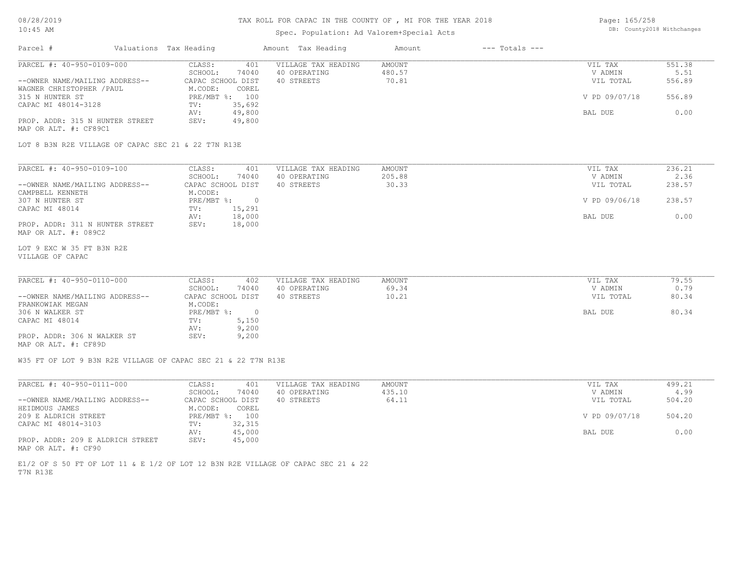# TAX ROLL FOR CAPAC IN THE COUNTY OF , MI FOR THE YEAR 2018

# Spec. Population: Ad Valorem+Special Acts

| Page: 165/258 |                            |
|---------------|----------------------------|
|               | DB: County2018 Withchanges |

| Parcel #                                                      | Valuations Tax Heading |                | Amount Tax Heading  | Amount        | $---$ Totals $---$ |               |        |
|---------------------------------------------------------------|------------------------|----------------|---------------------|---------------|--------------------|---------------|--------|
| PARCEL #: 40-950-0109-000                                     | CLASS:                 | 401            | VILLAGE TAX HEADING | AMOUNT        |                    | VIL TAX       | 551.38 |
|                                                               | SCHOOL:                | 74040          | 40 OPERATING        | 480.57        |                    | V ADMIN       | 5.51   |
| --OWNER NAME/MAILING ADDRESS--                                | CAPAC SCHOOL DIST      |                | 40 STREETS          | 70.81         |                    | VIL TOTAL     | 556.89 |
| WAGNER CHRISTOPHER / PAUL                                     | M.CODE:                | COREL          |                     |               |                    |               |        |
| 315 N HUNTER ST                                               | PRE/MBT %: 100         |                |                     |               |                    | V PD 09/07/18 | 556.89 |
| CAPAC MI 48014-3128                                           | TV:                    | 35,692         |                     |               |                    |               |        |
|                                                               | AV:                    | 49,800         |                     |               |                    | BAL DUE       | 0.00   |
| PROP. ADDR: 315 N HUNTER STREET<br>MAP OR ALT. #: CF89C1      | SEV:                   | 49,800         |                     |               |                    |               |        |
| LOT 8 B3N R2E VILLAGE OF CAPAC SEC 21 & 22 T7N R13E           |                        |                |                     |               |                    |               |        |
|                                                               |                        |                |                     |               |                    |               |        |
| PARCEL #: 40-950-0109-100                                     | CLASS:                 | 401            | VILLAGE TAX HEADING | <b>AMOUNT</b> |                    | VIL TAX       | 236.21 |
|                                                               | SCHOOL:                | 74040          | 40 OPERATING        | 205.88        |                    | V ADMIN       | 2.36   |
| --OWNER NAME/MAILING ADDRESS--                                | CAPAC SCHOOL DIST      |                | 40 STREETS          | 30.33         |                    | VIL TOTAL     | 238.57 |
| CAMPBELL KENNETH                                              | M.CODE:                |                |                     |               |                    |               |        |
| 307 N HUNTER ST                                               | PRE/MBT %:             | $\overline{0}$ |                     |               |                    | V PD 09/06/18 | 238.57 |
| CAPAC MI 48014                                                | TV:                    | 15,291         |                     |               |                    |               |        |
|                                                               | AV:                    | 18,000         |                     |               |                    | BAL DUE       | 0.00   |
| PROP. ADDR: 311 N HUNTER STREET                               | SEV:                   | 18,000         |                     |               |                    |               |        |
| MAP OR ALT. #: 089C2                                          |                        |                |                     |               |                    |               |        |
| LOT 9 EXC W 35 FT B3N R2E                                     |                        |                |                     |               |                    |               |        |
| VILLAGE OF CAPAC                                              |                        |                |                     |               |                    |               |        |
|                                                               |                        |                |                     |               |                    |               |        |
| PARCEL #: 40-950-0110-000                                     | CLASS:                 | 402            | VILLAGE TAX HEADING | <b>AMOUNT</b> |                    | VIL TAX       | 79.55  |
|                                                               | SCHOOL:                | 74040          | 40 OPERATING        | 69.34         |                    | V ADMIN       | 0.79   |
| --OWNER NAME/MAILING ADDRESS--                                | CAPAC SCHOOL DIST      |                | 40 STREETS          | 10.21         |                    | VIL TOTAL     | 80.34  |
| FRANKOWIAK MEGAN                                              | M.CODE:                |                |                     |               |                    |               |        |
| 306 N WALKER ST                                               | PRE/MBT %:             | $\overline{0}$ |                     |               |                    | BAL DUE       | 80.34  |
| CAPAC MI 48014                                                | TV:                    | 5,150          |                     |               |                    |               |        |
|                                                               | AV:                    | 9,200          |                     |               |                    |               |        |
| PROP. ADDR: 306 N WALKER ST                                   | SEV:                   | 9,200          |                     |               |                    |               |        |
| MAP OR ALT. #: CF89D                                          |                        |                |                     |               |                    |               |        |
| W35 FT OF LOT 9 B3N R2E VILLAGE OF CAPAC SEC 21 & 22 T7N R13E |                        |                |                     |               |                    |               |        |
|                                                               |                        |                |                     |               |                    |               |        |
| PARCEL #: 40-950-0111-000                                     | CLASS:                 | 401            | VILLAGE TAX HEADING | <b>AMOUNT</b> |                    | VIL TAX       | 499.21 |

| FARUBI #. HUTJJUTUIIITUUU        | . conuc           | ᅕᅛᆂ    | VILLAGE IAA AEADING | <b>AI'IUUIN L</b> | VII IAA       | ヨンシ・ムエ |  |
|----------------------------------|-------------------|--------|---------------------|-------------------|---------------|--------|--|
|                                  | SCHOOL:           | 74040  | 40 OPERATING        | 435.10            | V ADMIN       | 4.99   |  |
| --OWNER NAME/MAILING ADDRESS--   | CAPAC SCHOOL DIST |        | 40 STREETS          | 64.11             | VIL TOTAL     | 504.20 |  |
| HEIDMOUS JAMES                   | M.CODE:           | COREL  |                     |                   |               |        |  |
| 209 E ALDRICH STREET             | PRE/MBT %:        | 100    |                     |                   | V PD 09/07/18 | 504.20 |  |
| CAPAC MI 48014-3103              | TV:               | 32,315 |                     |                   |               |        |  |
|                                  | AV:               | 45,000 |                     |                   | BAL DUE       | 0.00   |  |
| PROP. ADDR: 209 E ALDRICH STREET | SEV:              | 45,000 |                     |                   |               |        |  |
| MAP OR ALT. #: CF90              |                   |        |                     |                   |               |        |  |

T7N R13E E1/2 OF S 50 FT OF LOT 11 & E 1/2 OF LOT 12 B3N R2E VILLAGE OF CAPAC SEC 21 & 22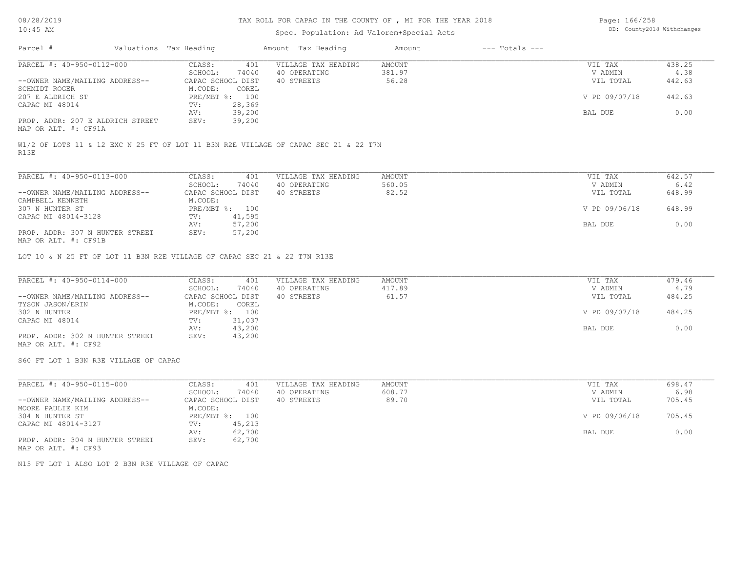#### Spec. Population: Ad Valorem+Special Acts

| Page: 166/258 |                            |
|---------------|----------------------------|
|               | DB: County2018 Withchanges |

| Parcel #                         | Valuations Tax Heading |                | Amount Tax Heading  | Amount | $---$ Totals $---$ |               |        |
|----------------------------------|------------------------|----------------|---------------------|--------|--------------------|---------------|--------|
| PARCEL #: 40-950-0112-000        | CLASS:                 | 401            | VILLAGE TAX HEADING | AMOUNT |                    | VIL TAX       | 438.25 |
|                                  | SCHOOL:                | 74040          | 40 OPERATING        | 381.97 |                    | V ADMIN       | 4.38   |
| --OWNER NAME/MAILING ADDRESS--   | CAPAC SCHOOL DIST      |                | 40 STREETS          | 56.28  |                    | VIL TOTAL     | 442.63 |
| SCHMIDT ROGER                    | M.CODE:                | COREL          |                     |        |                    |               |        |
| 207 E ALDRICH ST                 |                        | PRE/MBT %: 100 |                     |        |                    | V PD 09/07/18 | 442.63 |
| CAPAC MI 48014                   | TV:                    | 28,369         |                     |        |                    |               |        |
|                                  | AV:                    | 39,200         |                     |        |                    | BAL DUE       | 0.00   |
| PROP. ADDR: 207 E ALDRICH STREET | SEV:                   | 39,200         |                     |        |                    |               |        |
| MAP OR ALT. #: CF91A             |                        |                |                     |        |                    |               |        |

R13E W1/2 OF LOTS 11 & 12 EXC N 25 FT OF LOT 11 B3N R2E VILLAGE OF CAPAC SEC 21 & 22 T7N

| PARCEL #: 40-950-0113-000       | CLASS:       | 401               | VILLAGE TAX HEADING | AMOUNT | VIL TAX       | 642.57 |
|---------------------------------|--------------|-------------------|---------------------|--------|---------------|--------|
|                                 | SCHOOL:      | 74040             | 40 OPERATING        | 560.05 | V ADMIN       | 6.42   |
| --OWNER NAME/MAILING ADDRESS--  |              | CAPAC SCHOOL DIST | 40 STREETS          | 82.52  | VIL TOTAL     | 648.99 |
| CAMPBELL KENNETH                | M.CODE:      |                   |                     |        |               |        |
| 307 N HUNTER ST                 | $PRE/MBT$ %: | 100               |                     |        | V PD 09/06/18 | 648.99 |
| CAPAC MI 48014-3128             | TV:          | 41,595            |                     |        |               |        |
|                                 | AV:          | 57,200            |                     |        | BAL DUE       | 0.00   |
| PROP. ADDR: 307 N HUNTER STREET | SEV:         | 57,200            |                     |        |               |        |
| MAP OR ALT. #: CF91B            |              |                   |                     |        |               |        |

LOT 10 & N 25 FT OF LOT 11 B3N R2E VILLAGE OF CAPAC SEC 21 & 22 T7N R13E

| PARCEL #: 40-950-0114-000       | CLASS:<br>401     | VILLAGE TAX HEADING | AMOUNT | VIL TAX       | 479.46 |
|---------------------------------|-------------------|---------------------|--------|---------------|--------|
|                                 | 74040<br>SCHOOL:  | 40 OPERATING        | 417.89 | V ADMIN       | 4.79   |
| --OWNER NAME/MAILING ADDRESS--  | CAPAC SCHOOL DIST | 40 STREETS          | 61.57  | VIL TOTAL     | 484.25 |
| TYSON JASON/ERIN                | M.CODE:<br>COREL  |                     |        |               |        |
| 302 N HUNTER                    | PRE/MBT %: 100    |                     |        | V PD 09/07/18 | 484.25 |
| CAPAC MI 48014                  | 31,037<br>TV:     |                     |        |               |        |
|                                 | 43,200<br>AV:     |                     |        | BAL DUE       | 0.00   |
| PROP. ADDR: 302 N HUNTER STREET | 43,200<br>SEV:    |                     |        |               |        |
| MAP OR ALT. #: CF92             |                   |                     |        |               |        |

S60 FT LOT 1 B3N R3E VILLAGE OF CAPAC

MAP OR ALT. #: CF93 PROP. ADDR: 304 N HUNTER STREET SEV: 62,700 AV: 62,700 BAL DUE 0.00 CAPAC MI 48014-3127 TV: 45,213<br>AV: 62,700 304 N HUNTER ST PRE/MBT %: 100 V PD 09/06/18 705.45 MOORE PAULIE KIM M.CODE:<br>304 N HUNTER ST PRE/MBT %: 100 --OWNER NAME/MAILING ADDRESS-- CAPAC SCHOOL DIST 40 STREETS 89.70 VIL TOTAL 705.45 SCHOOL: 74040 40 OPERATING 608.77 6.98 608.77 V ADMIN 6.98 PARCEL #: 40-950-0115-000 CLASS: 401 VILLAGE TAX HEADING AMOUNT VIL TAX VIL TAX 698.47<br>SCHOOL: 74040 40 OPERATING 608.77 VADMIN 6.98  $\mathcal{L}_\mathcal{L} = \mathcal{L}_\mathcal{L} = \mathcal{L}_\mathcal{L} = \mathcal{L}_\mathcal{L} = \mathcal{L}_\mathcal{L} = \mathcal{L}_\mathcal{L} = \mathcal{L}_\mathcal{L} = \mathcal{L}_\mathcal{L} = \mathcal{L}_\mathcal{L} = \mathcal{L}_\mathcal{L} = \mathcal{L}_\mathcal{L} = \mathcal{L}_\mathcal{L} = \mathcal{L}_\mathcal{L} = \mathcal{L}_\mathcal{L} = \mathcal{L}_\mathcal{L} = \mathcal{L}_\mathcal{L} = \mathcal{L}_\mathcal{L}$ 

N15 FT LOT 1 ALSO LOT 2 B3N R3E VILLAGE OF CAPAC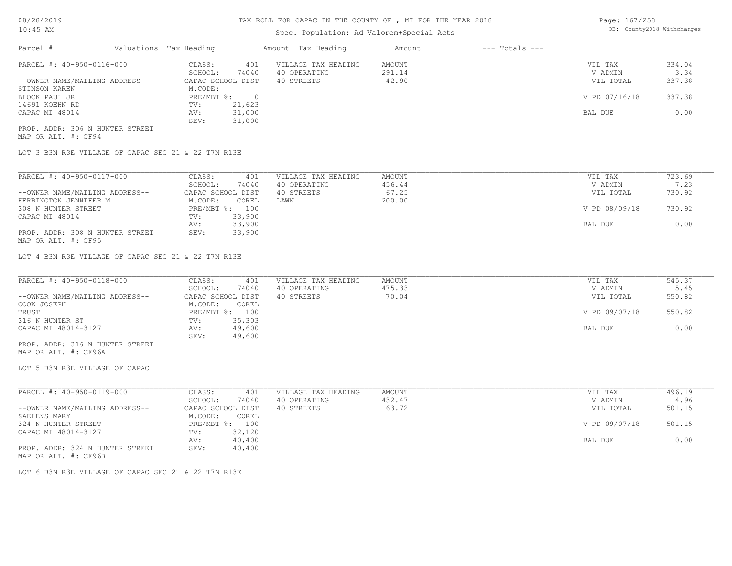# Spec. Population: Ad Valorem+Special Acts

Page: 167/258 DB: County2018 Withchanges

| Parcel #                        | Valuations Tax Heading |        | Amount Tax Heading  | Amount | $---$ Totals $---$ |               |        |
|---------------------------------|------------------------|--------|---------------------|--------|--------------------|---------------|--------|
| PARCEL #: 40-950-0116-000       | CLASS:                 | 401    | VILLAGE TAX HEADING | AMOUNT |                    | VIL TAX       | 334.04 |
|                                 | SCHOOL:                | 74040  | 40 OPERATING        | 291.14 |                    | V ADMIN       | 3.34   |
| --OWNER NAME/MAILING ADDRESS--  | CAPAC SCHOOL DIST      |        | 40 STREETS          | 42.90  |                    | VIL TOTAL     | 337.38 |
| STINSON KAREN                   | M.CODE:                |        |                     |        |                    |               |        |
| BLOCK PAUL JR                   | $PRE/MBT$ %:           |        |                     |        |                    | V PD 07/16/18 | 337.38 |
| 14691 KOEHN RD                  | TV:                    | 21,623 |                     |        |                    |               |        |
| CAPAC MI 48014                  | AV:                    | 31,000 |                     |        |                    | BAL DUE       | 0.00   |
|                                 | SEV:                   | 31,000 |                     |        |                    |               |        |
| PROP. ADDR: 306 N HUNTER STREET |                        |        |                     |        |                    |               |        |

MAP OR ALT. #: CF94

LOT 3 B3N R3E VILLAGE OF CAPAC SEC 21 & 22 T7N R13E

| PARCEL #: 40-950-0117-000                                                                                                                          | CLASS:            | 401            | VILLAGE TAX HEADING | AMOUNT | VIL TAX       | 723.69 |
|----------------------------------------------------------------------------------------------------------------------------------------------------|-------------------|----------------|---------------------|--------|---------------|--------|
|                                                                                                                                                    | SCHOOL:           | 74040          | 40 OPERATING        | 456.44 | V ADMIN       | 7.23   |
| --OWNER NAME/MAILING ADDRESS--                                                                                                                     | CAPAC SCHOOL DIST |                | 40 STREETS          | 67.25  | VIL TOTAL     | 730.92 |
| HERRINGTON JENNIFER M                                                                                                                              | M.CODE:           | COREL          | LAWN                | 200.00 |               |        |
| 308 N HUNTER STREET                                                                                                                                |                   | PRE/MBT %: 100 |                     |        | V PD 08/09/18 | 730.92 |
| CAPAC MI 48014                                                                                                                                     | TV:               | 33,900         |                     |        |               |        |
|                                                                                                                                                    | AV:               | 33,900         |                     |        | BAL DUE       | 0.00   |
| PROP. ADDR: 308 N HUNTER STREET<br>the contract of the contract of the contract of the contract of the contract of the contract of the contract of | SEV:              | 33,900         |                     |        |               |        |

MAP OR ALT. #: CF95

LOT 4 B3N R3E VILLAGE OF CAPAC SEC 21 & 22 T7N R13E

| PARCEL #: 40-950-0118-000      | CLASS:<br>401     | VILLAGE TAX HEADING | AMOUNT | VIL TAX       | 545.37 |
|--------------------------------|-------------------|---------------------|--------|---------------|--------|
|                                | 74040<br>SCHOOL:  | 40 OPERATING        | 475.33 | V ADMIN       | 5.45   |
| --OWNER NAME/MAILING ADDRESS-- | CAPAC SCHOOL DIST | 40 STREETS          | 70.04  | VIL TOTAL     | 550.82 |
| COOK JOSEPH                    | M.CODE:<br>COREL  |                     |        |               |        |
| TRUST                          | PRE/MBT %: 100    |                     |        | V PD 09/07/18 | 550.82 |
| 316 N HUNTER ST                | 35,303<br>TV:     |                     |        |               |        |
| CAPAC MI 48014-3127            | 49,600<br>AV:     |                     |        | BAL DUE       | 0.00   |
|                                | 49,600<br>SEV:    |                     |        |               |        |
|                                |                   |                     |        |               |        |

MAP OR ALT. #: CF96A PROP. ADDR: 316 N HUNTER STREET

LOT 5 B3N R3E VILLAGE OF CAPAC

| PARCEL #: 40-950-0119-000                                                                                       | CLASS:            | 401    | VILLAGE TAX HEADING | AMOUNT | VIL TAX       | 496.19 |
|-----------------------------------------------------------------------------------------------------------------|-------------------|--------|---------------------|--------|---------------|--------|
|                                                                                                                 | SCHOOL:           | 74040  | 40 OPERATING        | 432.47 | V ADMIN       | 4.96   |
| --OWNER NAME/MAILING ADDRESS--                                                                                  | CAPAC SCHOOL DIST |        | 40 STREETS          | 63.72  | VIL TOTAL     | 501.15 |
| SAELENS MARY                                                                                                    | M.CODE:           | COREL  |                     |        |               |        |
| 324 N HUNTER STREET                                                                                             | PRE/MBT %:        | 100    |                     |        | V PD 09/07/18 | 501.15 |
| CAPAC MI 48014-3127                                                                                             | TV:               | 32,120 |                     |        |               |        |
|                                                                                                                 | AV:               | 40,400 |                     |        | BAL DUE       | 0.00   |
| PROP. ADDR: 324 N HUNTER STREET                                                                                 | SEV:              | 40,400 |                     |        |               |        |
| the contract of the contract of the contract of the contract of the contract of the contract of the contract of |                   |        |                     |        |               |        |

MAP OR ALT. #: CF96B

LOT 6 B3N R3E VILLAGE OF CAPAC SEC 21 & 22 T7N R13E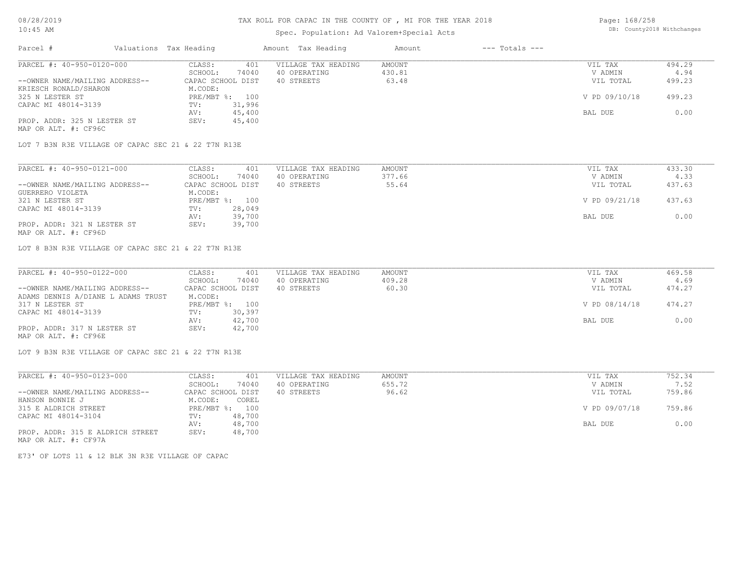# Spec. Population: Ad Valorem+Special Acts

| Page: 168/258 |                            |
|---------------|----------------------------|
|               | DB: County2018 Withchanges |

| Parcel #                       | Valuations Tax Heading |        | Amount Tax Heading  | Amount | $---$ Totals $---$ |               |        |
|--------------------------------|------------------------|--------|---------------------|--------|--------------------|---------------|--------|
| PARCEL #: 40-950-0120-000      | CLASS:                 | 401    | VILLAGE TAX HEADING | AMOUNT |                    | VIL TAX       | 494.29 |
|                                | SCHOOL:                | 74040  | 40 OPERATING        | 430.81 |                    | V ADMIN       | 4.94   |
| --OWNER NAME/MAILING ADDRESS-- | CAPAC SCHOOL DIST      |        | 40 STREETS          | 63.48  |                    | VIL TOTAL     | 499.23 |
| KRIESCH RONALD/SHARON          | M.CODE:                |        |                     |        |                    |               |        |
| 325 N LESTER ST                | PRE/MBT %:             | 100    |                     |        |                    | V PD 09/10/18 | 499.23 |
| CAPAC MI 48014-3139            | TV:                    | 31,996 |                     |        |                    |               |        |
|                                | AV:                    | 45,400 |                     |        |                    | BAL DUE       | 0.00   |
| PROP. ADDR: 325 N LESTER ST    | SEV:                   | 45,400 |                     |        |                    |               |        |
| MAP OR ALT. #: CF96C           |                        |        |                     |        |                    |               |        |

LOT 7 B3N R3E VILLAGE OF CAPAC SEC 21 & 22 T7N R13E

| PARCEL #: 40-950-0121-000      | CLASS:<br>401     | VILLAGE TAX HEADING | AMOUNT | VIL TAX       | 433.30 |
|--------------------------------|-------------------|---------------------|--------|---------------|--------|
|                                | 74040<br>SCHOOL:  | 40 OPERATING        | 377.66 | V ADMIN       | 4.33   |
| --OWNER NAME/MAILING ADDRESS-- | CAPAC SCHOOL DIST | 40 STREETS          | 55.64  | VIL TOTAL     | 437.63 |
| GUERRERO VIOLETA               | M.CODE:           |                     |        |               |        |
| 321 N LESTER ST                | PRE/MBT %: 100    |                     |        | V PD 09/21/18 | 437.63 |
| CAPAC MI 48014-3139            | 28,049<br>TV:     |                     |        |               |        |
|                                | 39,700<br>AV:     |                     |        | BAL DUE       | 0.00   |
| PROP. ADDR: 321 N LESTER ST    | 39,700<br>SEV:    |                     |        |               |        |
| MAP OR ALT. #: CF96D           |                   |                     |        |               |        |

LOT 8 B3N R3E VILLAGE OF CAPAC SEC 21 & 22 T7N R13E

| PARCEL #: 40-950-0122-000          | CLASS:            | VILLAGE TAX HEADING<br>401 | AMOUNT | VIL TAX       | 469.58 |
|------------------------------------|-------------------|----------------------------|--------|---------------|--------|
|                                    | SCHOOL:           | 74040<br>40 OPERATING      | 409.28 | V ADMIN       | 4.69   |
| --OWNER NAME/MAILING ADDRESS--     | CAPAC SCHOOL DIST | 40 STREETS                 | 60.30  | VIL TOTAL     | 474.27 |
| ADAMS DENNIS A/DIANE L ADAMS TRUST | M.CODE:           |                            |        |               |        |
| 317 N LESTER ST                    | PRE/MBT %: 100    |                            |        | V PD 08/14/18 | 474.27 |
| CAPAC MI 48014-3139                | 30,397<br>TV:     |                            |        |               |        |
|                                    | 42,700<br>AV:     |                            |        | BAL DUE       | 0.00   |
| PROP. ADDR: 317 N LESTER ST        | 42,700<br>SEV:    |                            |        |               |        |
| MAP OR ALT. #: CF96E               |                   |                            |        |               |        |

LOT 9 B3N R3E VILLAGE OF CAPAC SEC 21 & 22 T7N R13E

| PARCEL #: 40-950-0123-000        | CLASS:            | 401    | VILLAGE TAX HEADING | AMOUNT | VIL TAX       | 752.34 |
|----------------------------------|-------------------|--------|---------------------|--------|---------------|--------|
|                                  | SCHOOL:           | 74040  | 40 OPERATING        | 655.72 | V ADMIN       | 7.52   |
| --OWNER NAME/MAILING ADDRESS--   | CAPAC SCHOOL DIST |        | 40 STREETS          | 96.62  | VIL TOTAL     | 759.86 |
| HANSON BONNIE J                  | M.CODE:           | COREL  |                     |        |               |        |
| 315 E ALDRICH STREET             | PRE/MBT %:        | 100    |                     |        | V PD 09/07/18 | 759.86 |
| CAPAC MI 48014-3104              | TV:               | 48,700 |                     |        |               |        |
|                                  | AV:               | 48,700 |                     |        | BAL DUE       | 0.00   |
| PROP. ADDR: 315 E ALDRICH STREET | SEV:              | 48,700 |                     |        |               |        |

MAP OR ALT. #: CF97A

E73' OF LOTS 11 & 12 BLK 3N R3E VILLAGE OF CAPAC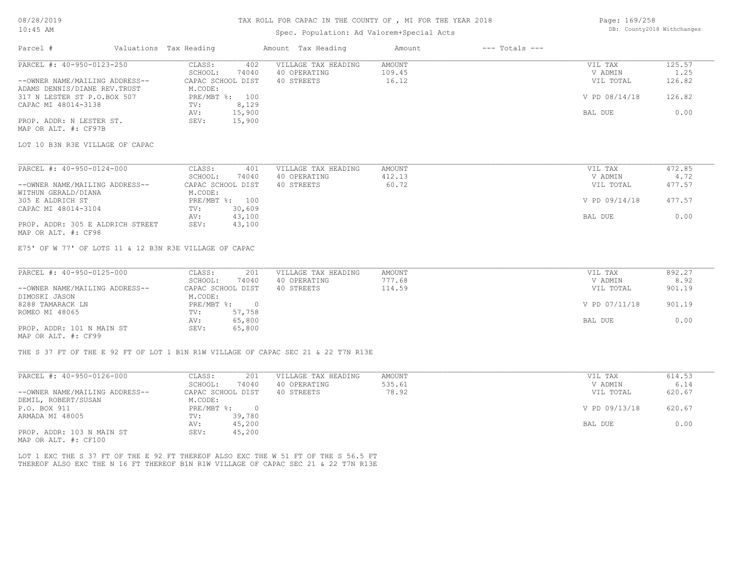# TAX ROLL FOR CAPAC IN THE COUNTY OF , MI FOR THE YEAR 2018

# Spec. Population: Ad Valorem+Special Acts

| Page: 169/258 |                            |
|---------------|----------------------------|
|               | DB: County2018 Withchanges |

| Parcel #                                                                          | Valuations Tax Heading                       | Amount Tax Heading                  | Amount<br>$---$ Totals $---$ |                    |                |
|-----------------------------------------------------------------------------------|----------------------------------------------|-------------------------------------|------------------------------|--------------------|----------------|
| PARCEL #: 40-950-0123-250                                                         | CLASS:<br>402                                | VILLAGE TAX HEADING                 | <b>AMOUNT</b>                | VIL TAX            | 125.57         |
|                                                                                   | SCHOOL:<br>74040                             | 40 OPERATING                        | 109.45                       | V ADMIN            | 1.25           |
| --OWNER NAME/MAILING ADDRESS--                                                    | CAPAC SCHOOL DIST                            | 40 STREETS                          | 16.12                        | VIL TOTAL          | 126.82         |
| ADAMS DENNIS/DIANE REV. TRUST<br>317 N LESTER ST P.O.BOX 507                      | M.CODE:<br>PRE/MBT %: 100                    |                                     |                              | V PD 08/14/18      | 126.82         |
| CAPAC MI 48014-3138                                                               | 8,129<br>TV:                                 |                                     |                              |                    |                |
|                                                                                   | 15,900<br>AV:                                |                                     |                              | BAL DUE            | 0.00           |
| PROP. ADDR: N LESTER ST.                                                          | SEV:<br>15,900                               |                                     |                              |                    |                |
| MAP OR ALT. #: CF97B                                                              |                                              |                                     |                              |                    |                |
| LOT 10 B3N R3E VILLAGE OF CAPAC                                                   |                                              |                                     |                              |                    |                |
|                                                                                   |                                              |                                     |                              |                    |                |
| PARCEL #: 40-950-0124-000                                                         | CLASS:<br>401                                | VILLAGE TAX HEADING                 | AMOUNT                       | VIL TAX            | 472.85         |
|                                                                                   | SCHOOL:<br>74040                             | 40 OPERATING                        | 412.13                       | V ADMIN            | 4.72           |
| --OWNER NAME/MAILING ADDRESS--                                                    | CAPAC SCHOOL DIST                            | 40 STREETS                          | 60.72                        | VIL TOTAL          | 477.57         |
| WITHUN GERALD/DIANA                                                               | M.CODE:                                      |                                     |                              |                    |                |
| 305 E ALDRICH ST                                                                  | PRE/MBT %: 100                               |                                     |                              | V PD 09/14/18      | 477.57         |
| CAPAC MI 48014-3104                                                               | 30,609<br>TV:                                |                                     |                              |                    |                |
| PROP. ADDR: 305 E ALDRICH STREET                                                  | 43,100<br>AV:<br>43,100<br>SEV:              |                                     |                              | BAL DUE            | 0.00           |
| MAP OR ALT. #: CF98                                                               |                                              |                                     |                              |                    |                |
|                                                                                   |                                              |                                     |                              |                    |                |
| E75' OF W 77' OF LOTS 11 & 12 B3N R3E VILLAGE OF CAPAC                            |                                              |                                     |                              |                    |                |
|                                                                                   |                                              |                                     |                              |                    |                |
| PARCEL #: 40-950-0125-000                                                         | CLASS:<br>201                                | VILLAGE TAX HEADING                 | <b>AMOUNT</b>                | VIL TAX            | 892.27         |
|                                                                                   | SCHOOL:<br>74040                             | 40 OPERATING                        | 777.68                       | V ADMIN            | 8.92           |
| --OWNER NAME/MAILING ADDRESS--                                                    | CAPAC SCHOOL DIST                            | 40 STREETS                          | 114.59                       | VIL TOTAL          | 901.19         |
| DIMOSKI JASON                                                                     | M.CODE:                                      |                                     |                              |                    |                |
| 8288 TAMARACK LN                                                                  | $PRE/MBT$ $\div$<br>$\overline{\phantom{0}}$ |                                     |                              | V PD 07/11/18      | 901.19         |
| ROMEO MI 48065                                                                    | 57,758<br>TV:                                |                                     |                              |                    |                |
| PROP. ADDR: 101 N MAIN ST                                                         | 65,800<br>AV:<br>65,800<br>SEV:              |                                     |                              | BAL DUE            | 0.00           |
| MAP OR ALT. #: CF99                                                               |                                              |                                     |                              |                    |                |
|                                                                                   |                                              |                                     |                              |                    |                |
|                                                                                   |                                              |                                     |                              |                    |                |
| THE S 37 FT OF THE E 92 FT OF LOT 1 B1N R1W VILLAGE OF CAPAC SEC 21 & 22 T7N R13E |                                              |                                     |                              |                    |                |
|                                                                                   |                                              |                                     |                              |                    |                |
|                                                                                   | 201                                          |                                     | <b>AMOUNT</b>                |                    |                |
| PARCEL #: 40-950-0126-000                                                         | CLASS:<br>SCHOOL:<br>74040                   | VILLAGE TAX HEADING<br>40 OPERATING | 535.61                       | VIL TAX<br>V ADMIN | 614.53<br>6.14 |
| --OWNER NAME/MAILING ADDRESS--                                                    | CAPAC SCHOOL DIST                            | 40 STREETS                          | 78.92                        | VIL TOTAL          | 620.67         |
| DEMIL, ROBERT/SUSAN                                                               | M.CODE:                                      |                                     |                              |                    |                |
| P.O. BOX 911                                                                      | PRE/MBT %: 0                                 |                                     |                              | V PD 09/13/18      | 620.67         |
| ARMADA MI 48005                                                                   | TV:<br>39,780                                |                                     |                              |                    |                |
|                                                                                   | 45,200<br>AV:                                |                                     |                              | BAL DUE            | 0.00           |
| PROP. ADDR: 103 N MAIN ST                                                         | SEV:<br>45,200                               |                                     |                              |                    |                |
| MAP OR ALT. #: CF100                                                              |                                              |                                     |                              |                    |                |

THEREOF ALSO EXC THE N 16 FT THEREOF B1N R1W VILLAGE OF CAPAC SEC 21 & 22 T7N R13E LOT 1 EXC THE S 37 FT OF THE E 92 FT THEREOF ALSO EXC THE W 51 FT OF THE S 56.5 FT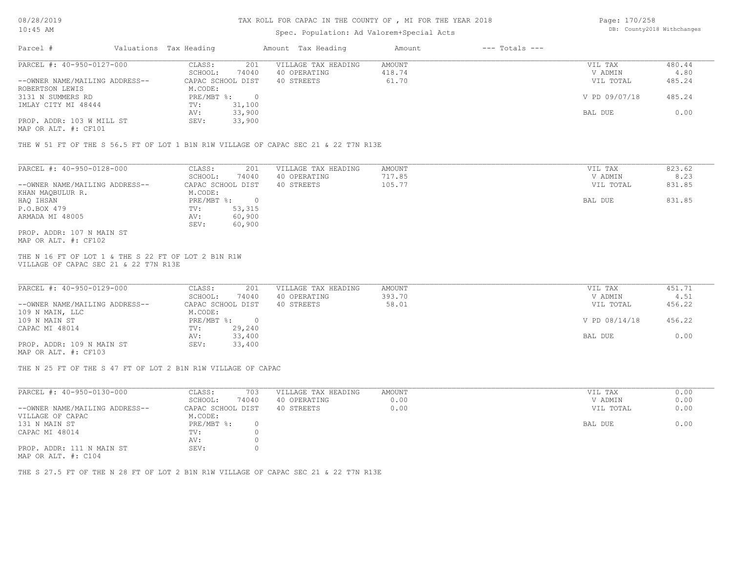#### TAX ROLL FOR CAPAC IN THE COUNTY OF , MI FOR THE YEAR 2018

# Spec. Population: Ad Valorem+Special Acts

Page: 170/258 DB: County2018 Withchanges

| Parcel #                       | Valuations Tax Heading |        | Amount Tax Heading  | Amount | $---$ Totals $---$ |               |        |
|--------------------------------|------------------------|--------|---------------------|--------|--------------------|---------------|--------|
| PARCEL #: 40-950-0127-000      | CLASS:                 | 201    | VILLAGE TAX HEADING | AMOUNT |                    | VIL TAX       | 480.44 |
|                                | SCHOOL:                | 74040  | 40 OPERATING        | 418.74 |                    | V ADMIN       | 4.80   |
| --OWNER NAME/MAILING ADDRESS-- | CAPAC SCHOOL DIST      |        | 40 STREETS          | 61.70  |                    | VIL TOTAL     | 485.24 |
| ROBERTSON LEWIS                | M.CODE:                |        |                     |        |                    |               |        |
| 3131 N SUMMERS RD              | PRE/MBT %:             |        |                     |        |                    | V PD 09/07/18 | 485.24 |
| IMLAY CITY MI 48444            | TV:                    | 31,100 |                     |        |                    |               |        |
|                                | AV:                    | 33,900 |                     |        |                    | BAL DUE       | 0.00   |
| PROP. ADDR: 103 W MILL ST      | SEV:                   | 33,900 |                     |        |                    |               |        |
| MAP OR ALT. #: CF101           |                        |        |                     |        |                    |               |        |

THE W 51 FT OF THE S 56.5 FT OF LOT 1 B1N R1W VILLAGE OF CAPAC SEC 21 & 22 T7N R13E

| PARCEL #: 40-950-0128-000      | CLASS:     | 201               | VILLAGE TAX HEADING | AMOUNT | VIL TAX   | 823.62 |
|--------------------------------|------------|-------------------|---------------------|--------|-----------|--------|
|                                | SCHOOL:    | 74040             | 40 OPERATING        | 717.85 | V ADMIN   | 8.23   |
| --OWNER NAME/MAILING ADDRESS-- |            | CAPAC SCHOOL DIST | 40 STREETS          | 105.77 | VIL TOTAL | 831.85 |
| KHAN MAQBULUR R.               | M.CODE:    |                   |                     |        |           |        |
| HAQ IHSAN                      | PRE/MBT %: | $\Box$            |                     |        | BAL DUE   | 831.85 |
| P.O.BOX 479                    | TV:        | 53,315            |                     |        |           |        |
| ARMADA MI 48005                | AV:        | 60,900            |                     |        |           |        |
|                                | SEV:       | 60,900            |                     |        |           |        |
| PROP. ADDR: 107 N MAIN ST      |            |                   |                     |        |           |        |
| MAP OR ALT. #: CF102           |            |                   |                     |        |           |        |

VILLAGE OF CAPAC SEC 21 & 22 T7N R13E THE N 16 FT OF LOT 1 & THE S 22 FT OF LOT 2 B1N R1W

| PARCEL #: 40-950-0129-000      | CLASS:<br>201     | VILLAGE TAX HEADING | AMOUNT | VIL TAX       | 451.71 |
|--------------------------------|-------------------|---------------------|--------|---------------|--------|
|                                | 74040<br>SCHOOL:  | 40 OPERATING        | 393.70 | V ADMIN       | 4.51   |
| --OWNER NAME/MAILING ADDRESS-- | CAPAC SCHOOL DIST | 40 STREETS          | 58.01  | VIL TOTAL     | 456.22 |
| 109 N MAIN, LLC                | M.CODE:           |                     |        |               |        |
| 109 N MAIN ST                  | PRE/MBT %:        |                     |        | V PD 08/14/18 | 456.22 |
| CAPAC MI 48014                 | 29,240<br>TV:     |                     |        |               |        |
|                                | 33,400<br>AV:     |                     |        | BAL DUE       | 0.00   |
| PROP. ADDR: 109 N MAIN ST      | 33,400<br>SEV:    |                     |        |               |        |
|                                |                   |                     |        |               |        |

MAP OR ALT. #: CF103

THE N 25 FT OF THE S 47 FT OF LOT 2 B1N R1W VILLAGE OF CAPAC

| PARCEL #: 40-950-0130-000      | CLASS:            | 703   | VILLAGE TAX HEADING | AMOUNT | 0.00<br>VIL TAX   |
|--------------------------------|-------------------|-------|---------------------|--------|-------------------|
|                                | SCHOOL:           | 74040 | 40 OPERATING        | 0.00   | 0.00<br>V ADMIN   |
| --OWNER NAME/MAILING ADDRESS-- | CAPAC SCHOOL DIST |       | 40 STREETS          | 0.00   | 0.00<br>VIL TOTAL |
| VILLAGE OF CAPAC               | M.CODE:           |       |                     |        |                   |
| 131 N MAIN ST                  | PRE/MBT %:        |       |                     |        | 0.00<br>BAL DUE   |
| CAPAC MI 48014                 | TV:               |       |                     |        |                   |
|                                | AV:               |       |                     |        |                   |
| PROP. ADDR: 111 N MAIN ST      | SEV:              |       |                     |        |                   |
|                                |                   |       |                     |        |                   |

MAP OR ALT. #: C104

THE S 27.5 FT OF THE N 28 FT OF LOT 2 B1N R1W VILLAGE OF CAPAC SEC 21 & 22 T7N R13E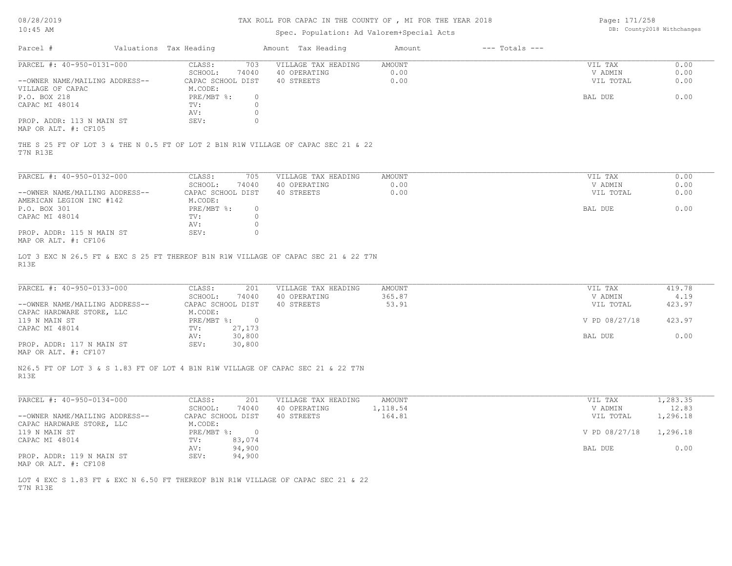### TAX ROLL FOR CAPAC IN THE COUNTY OF , MI FOR THE YEAR 2018

Page: 171/258 DB: County2018 Withchanges

| TA: 40 YE                                                                                     |                                | Spec. Population: Ad Valorem+Special Acts |          |                    |               | pp. countyzore wrthenanges |
|-----------------------------------------------------------------------------------------------|--------------------------------|-------------------------------------------|----------|--------------------|---------------|----------------------------|
| Parcel #                                                                                      | Valuations Tax Heading         | Amount Tax Heading                        | Amount   | $---$ Totals $---$ |               |                            |
| PARCEL #: 40-950-0131-000                                                                     | CLASS:<br>703                  | VILLAGE TAX HEADING                       | AMOUNT   |                    | VIL TAX       | 0.00                       |
|                                                                                               | SCHOOL:<br>74040               | 40 OPERATING                              | 0.00     |                    | V ADMIN       | 0.00                       |
| --OWNER NAME/MAILING ADDRESS--                                                                | CAPAC SCHOOL DIST              | 40 STREETS                                | 0.00     |                    | VIL TOTAL     | 0.00                       |
| VILLAGE OF CAPAC                                                                              | M.CODE:                        |                                           |          |                    |               |                            |
| P.O. BOX 218                                                                                  | PRE/MBT %:<br>$\circ$          |                                           |          |                    | BAL DUE       | 0.00                       |
| CAPAC MI 48014                                                                                | $\circ$<br>TV:                 |                                           |          |                    |               |                            |
|                                                                                               | $\circ$<br>AV:                 |                                           |          |                    |               |                            |
| PROP. ADDR: 113 N MAIN ST<br>MAP OR ALT. #: CF105                                             | $\circ$<br>SEV:                |                                           |          |                    |               |                            |
| THE S 25 FT OF LOT 3 & THE N 0.5 FT OF LOT 2 B1N R1W VILLAGE OF CAPAC SEC 21 & 22<br>T7N R13E |                                |                                           |          |                    |               |                            |
| PARCEL #: 40-950-0132-000                                                                     | CLASS:<br>705                  | VILLAGE TAX HEADING                       | AMOUNT   |                    | VIL TAX       | 0.00                       |
|                                                                                               | SCHOOL:<br>74040               | 40 OPERATING                              | 0.00     |                    | V ADMIN       | 0.00                       |
| --OWNER NAME/MAILING ADDRESS--                                                                | CAPAC SCHOOL DIST              | 40 STREETS                                | 0.00     |                    | VIL TOTAL     | 0.00                       |
| AMERICAN LEGION INC #142                                                                      | M.CODE:                        |                                           |          |                    |               |                            |
| P.O. BOX 301                                                                                  | PRE/MBT %:<br>$\circ$          |                                           |          |                    | BAL DUE       | 0.00                       |
| CAPAC MI 48014                                                                                | TV:<br>$\circ$                 |                                           |          |                    |               |                            |
|                                                                                               | AV:<br>$\circ$                 |                                           |          |                    |               |                            |
| PROP. ADDR: 115 N MAIN ST<br>MAP OR ALT. #: CF106                                             | SEV:<br>$\circ$                |                                           |          |                    |               |                            |
| PARCEL #: 40-950-0133-000                                                                     | CLASS:<br>201                  | VILLAGE TAX HEADING                       | AMOUNT   |                    | VIL TAX       | 419.78                     |
|                                                                                               | SCHOOL:<br>74040               | 40 OPERATING                              | 365.87   |                    | V ADMIN       | 4.19                       |
| --OWNER NAME/MAILING ADDRESS--                                                                | CAPAC SCHOOL DIST              | 40 STREETS                                | 53.91    |                    | VIL TOTAL     | 423.97                     |
| CAPAC HARDWARE STORE, LLC<br>119 N MAIN ST                                                    | M.CODE:<br>PRE/MBT %: 0        |                                           |          |                    | V PD 08/27/18 | 423.97                     |
| CAPAC MI 48014                                                                                | 27,173<br>TV:                  |                                           |          |                    |               |                            |
|                                                                                               | AV:<br>30,800                  |                                           |          |                    | BAL DUE       | 0.00                       |
| PROP. ADDR: 117 N MAIN ST                                                                     | 30,800<br>SEV:                 |                                           |          |                    |               |                            |
| MAP OR ALT. #: CF107                                                                          |                                |                                           |          |                    |               |                            |
| N26.5 FT OF LOT 3 & S 1.83 FT OF LOT 4 B1N R1W VILLAGE OF CAPAC SEC 21 & 22 T7N<br>R13E       |                                |                                           |          |                    |               |                            |
| PARCEL #: 40-950-0134-000                                                                     | CLASS:<br>201                  | VILLAGE TAX HEADING                       | AMOUNT   |                    | VIL TAX       | 1,283.35                   |
|                                                                                               | SCHOOL:<br>74040               | 40 OPERATING                              | 1,118.54 |                    | V ADMIN       | 12.83                      |
| --OWNER NAME/MAILING ADDRESS--                                                                | CAPAC SCHOOL DIST              | 40 STREETS                                | 164.81   |                    | VIL TOTAL     | 1,296.18                   |
| CAPAC HARDWARE STORE, LLC                                                                     | M.CODE:                        |                                           |          |                    |               |                            |
| 119 N MAIN ST                                                                                 | $PRE/MBT$ %:<br>$\overline{0}$ |                                           |          |                    | V PD 08/27/18 | 1,296.18                   |
| CAPAC MI 48014                                                                                | 83,074<br>TV:                  |                                           |          |                    |               |                            |
|                                                                                               | 94,900<br>AV:                  |                                           |          |                    | BAL DUE       | 0.00                       |
| PROP. ADDR: 119 N MAIN ST<br>MAP OR ALT. #: CF108                                             | SEV:<br>94,900                 |                                           |          |                    |               |                            |
| LOT 4 EXC S 1.83 FT & EXC N 6.50 FT THEREOF B1N R1W VILLAGE OF CAPAC SEC 21 & 22              |                                |                                           |          |                    |               |                            |
| T7N R13E                                                                                      |                                |                                           |          |                    |               |                            |
|                                                                                               |                                |                                           |          |                    |               |                            |
|                                                                                               |                                |                                           |          |                    |               |                            |
|                                                                                               |                                |                                           |          |                    |               |                            |
|                                                                                               |                                |                                           |          |                    |               |                            |
|                                                                                               |                                |                                           |          |                    |               |                            |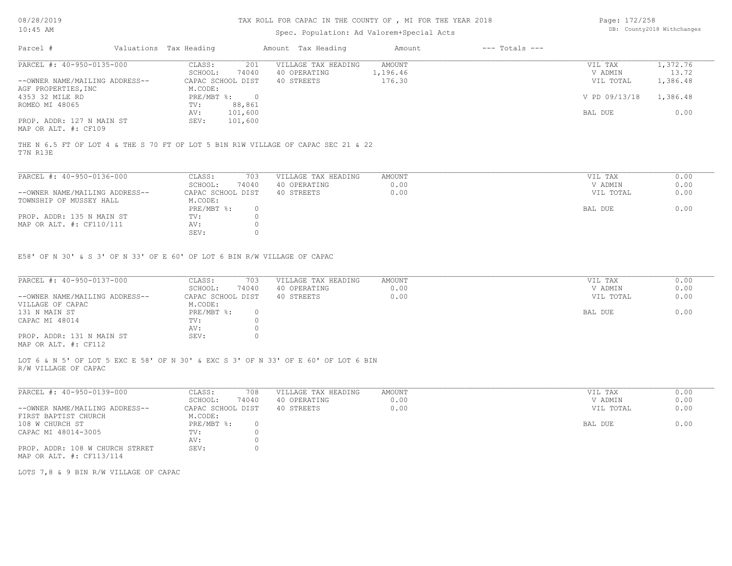# Spec. Population: Ad Valorem+Special Acts

Page: 172/258 DB: County2018 Withchanges

|                                |         |                        |                                              | Amount             | $---$ Totals $---$ |               |          |
|--------------------------------|---------|------------------------|----------------------------------------------|--------------------|--------------------|---------------|----------|
| PARCEL #: 40-950-0135-000      | CLASS:  | 201                    | VILLAGE TAX HEADING                          | AMOUNT             |                    | VIL TAX       | 1,372.76 |
|                                | SCHOOL: | 74040                  | 40 OPERATING                                 | 1,196.46           |                    | V ADMIN       | 13.72    |
| --OWNER NAME/MAILING ADDRESS-- |         |                        | 40 STREETS                                   | 176.30             |                    | VIL TOTAL     | 1,386.48 |
| AGF PROPERTIES, INC            |         |                        |                                              |                    |                    |               |          |
|                                |         |                        |                                              |                    |                    | V PD 09/13/18 | 1,386.48 |
|                                | TV:     | 88,861                 |                                              |                    |                    |               |          |
|                                | AV:     | 101,600                |                                              |                    |                    | BAL DUE       | 0.00     |
| PROP. ADDR: 127 N MAIN ST      | SEV:    | 101,600                |                                              |                    |                    |               |          |
| MAP OR ALT. #: CF109           |         |                        |                                              |                    |                    |               |          |
|                                |         | Valuations Tax Heading | CAPAC SCHOOL DIST<br>M.CODE:<br>$PRE/MBT$ %: | Amount Tax Heading |                    |               |          |

T7N R13E THE N 6.5 FT OF LOT 4 & THE S 70 FT OF LOT 5 B1N R1W VILLAGE OF CAPAC SEC 21 & 22

| PARCEL #: 40-950-0136-000      | CLASS:            | 703   | VILLAGE TAX HEADING | AMOUNT | VIL TAX   | 0.00 |
|--------------------------------|-------------------|-------|---------------------|--------|-----------|------|
|                                | SCHOOL:           | 74040 | 40 OPERATING        | 0.00   | V ADMIN   | 0.00 |
| --OWNER NAME/MAILING ADDRESS-- | CAPAC SCHOOL DIST |       | 40 STREETS          | 0.00   | VIL TOTAL | 0.00 |
| TOWNSHIP OF MUSSEY HALL        | M.CODE:           |       |                     |        |           |      |
|                                | PRE/MBT %:        |       |                     |        | BAL DUE   | 0.00 |
| PROP. ADDR: 135 N MAIN ST      | TV:               |       |                     |        |           |      |
| MAP OR ALT. #: CF110/111       | AV:               |       |                     |        |           |      |
|                                | SEV:              |       |                     |        |           |      |

E58' OF N 30' & S 3' OF N 33' OF E 60' OF LOT 6 BIN R/W VILLAGE OF CAPAC

| PARCEL #: 40-950-0137-000      | CLASS:<br>703     | VILLAGE TAX HEADING | AMOUNT | VIL TAX   | 0.00 |
|--------------------------------|-------------------|---------------------|--------|-----------|------|
|                                | 74040<br>SCHOOL:  | 40 OPERATING        | 0.00   | V ADMIN   | 0.00 |
| --OWNER NAME/MAILING ADDRESS-- | CAPAC SCHOOL DIST | 40 STREETS          | 0.00   | VIL TOTAL | 0.00 |
| VILLAGE OF CAPAC               | M.CODE:           |                     |        |           |      |
| 131 N MAIN ST                  | PRE/MBT %:        |                     |        | BAL DUE   | 0.00 |
| CAPAC MI 48014                 | TV:               |                     |        |           |      |
|                                | AV:               |                     |        |           |      |
| PROP. ADDR: 131 N MAIN ST      | SEV:              |                     |        |           |      |
| $\frac{1}{2}$                  |                   |                     |        |           |      |

MAP OR ALT. #: CF112

R/W VILLAGE OF CAPAC LOT 6 & N 5' OF LOT 5 EXC E 58' OF N 30' & EXC S 3' OF N 33' OF E 60' OF LOT 6 BIN

| PARCEL #: 40-950-0139-000       | CLASS:            | 708   | VILLAGE TAX HEADING | AMOUNT | VIL TAX   | 0.00 |
|---------------------------------|-------------------|-------|---------------------|--------|-----------|------|
|                                 | SCHOOL:           | 74040 | 40 OPERATING        | 0.00   | V ADMIN   | 0.00 |
| --OWNER NAME/MAILING ADDRESS--  | CAPAC SCHOOL DIST |       | 40 STREETS          | 0.00   | VIL TOTAL | 0.00 |
| FIRST BAPTIST CHURCH            | M.CODE:           |       |                     |        |           |      |
| 108 W CHURCH ST                 | PRE/MBT %:        |       |                     |        | BAL DUE   | 0.00 |
| CAPAC MI 48014-3005             | TV:               |       |                     |        |           |      |
|                                 | AV:               |       |                     |        |           |      |
| PROP. ADDR: 108 W CHURCH STRRET | SEV:              |       |                     |        |           |      |
| MAP OR ALT. #: CF113/114        |                   |       |                     |        |           |      |

LOTS 7,8 & 9 BIN R/W VILLAGE OF CAPAC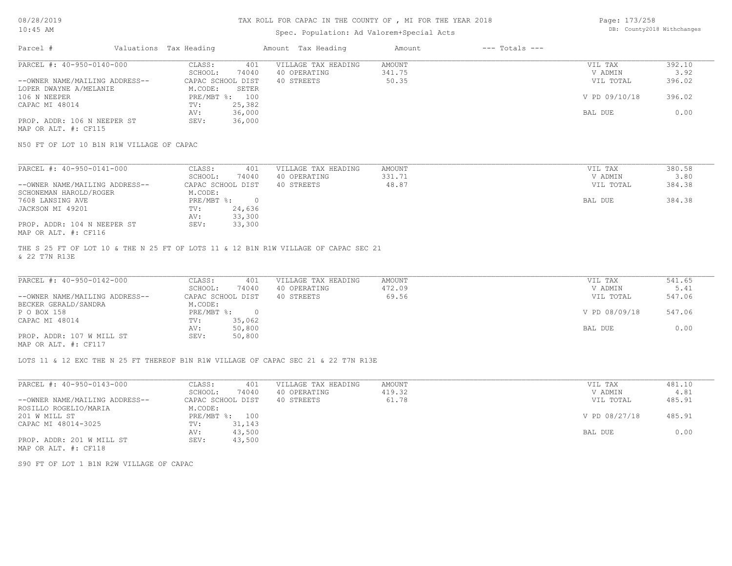# Spec. Population: Ad Valorem+Special Acts

Page: 173/258 DB: County2018 Withchanges

| Parcel #                       | Valuations Tax Heading |                   | Amount Tax Heading  | Amount | $---$ Totals $---$ |               |        |
|--------------------------------|------------------------|-------------------|---------------------|--------|--------------------|---------------|--------|
| PARCEL #: 40-950-0140-000      | CLASS:                 | 401               | VILLAGE TAX HEADING | AMOUNT |                    | VIL TAX       | 392.10 |
|                                | SCHOOL:                | 74040             | 40 OPERATING        | 341.75 |                    | V ADMIN       | 3.92   |
| --OWNER NAME/MAILING ADDRESS-- |                        | CAPAC SCHOOL DIST | 40 STREETS          | 50.35  |                    | VIL TOTAL     | 396.02 |
| LOPER DWAYNE A/MELANIE         | M.CODE:                | SETER             |                     |        |                    |               |        |
| 106 N NEEPER                   | PRE/MBT %:             | 100               |                     |        |                    | V PD 09/10/18 | 396.02 |
| CAPAC MI 48014                 | TV:                    | 25,382            |                     |        |                    |               |        |
|                                | AV:                    | 36,000            |                     |        |                    | BAL DUE       | 0.00   |
| PROP. ADDR: 106 N NEEPER ST    | SEV:                   | 36,000            |                     |        |                    |               |        |
| MAP OR ALT. #: CF115           |                        |                   |                     |        |                    |               |        |

N50 FT OF LOT 10 B1N R1W VILLAGE OF CAPAC

| PARCEL #: 40-950-0141-000      | CLASS:<br>401     | VILLAGE TAX HEADING | AMOUNT | VIL TAX   | 380.58 |
|--------------------------------|-------------------|---------------------|--------|-----------|--------|
|                                | 74040<br>SCHOOL:  | 40 OPERATING        | 331.71 | V ADMIN   | 3.80   |
| --OWNER NAME/MAILING ADDRESS-- | CAPAC SCHOOL DIST | 40 STREETS          | 48.87  | VIL TOTAL | 384.38 |
| SCHONEMAN HAROLD/ROGER         | M.CODE:           |                     |        |           |        |
| 7608 LANSING AVE               | PRE/MBT %:        |                     |        | BAL DUE   | 384.38 |
| JACKSON MI 49201               | 24,636<br>TV:     |                     |        |           |        |
|                                | 33,300<br>AV:     |                     |        |           |        |
| PROP. ADDR: 104 N NEEPER ST    | 33,300<br>SEV:    |                     |        |           |        |
| MAP OR ALT. #: CF116           |                   |                     |        |           |        |

& 22 T7N R13E THE S 25 FT OF LOT 10 & THE N 25 FT OF LOTS 11 & 12 B1N R1W VILLAGE OF CAPAC SEC 21

| PARCEL #: 40-950-0142-000      | CLASS:     | 401               | VILLAGE TAX HEADING | AMOUNT | VIL TAX       | 541.65 |
|--------------------------------|------------|-------------------|---------------------|--------|---------------|--------|
|                                | SCHOOL:    | 74040             | 40 OPERATING        | 472.09 | V ADMIN       | 5.41   |
| --OWNER NAME/MAILING ADDRESS-- |            | CAPAC SCHOOL DIST | 40 STREETS          | 69.56  | VIL TOTAL     | 547.06 |
| BECKER GERALD/SANDRA           | M.CODE:    |                   |                     |        |               |        |
| P O BOX 158                    | PRE/MBT %: |                   |                     |        | V PD 08/09/18 | 547.06 |
| CAPAC MI 48014                 | TV:        | 35,062            |                     |        |               |        |
|                                | AV:        | 50,800            |                     |        | BAL DUE       | 0.00   |
| PROP. ADDR: 107 W MILL ST      | SEV:       | 50,800            |                     |        |               |        |
| MAP OR ALT. #: CF117           |            |                   |                     |        |               |        |

 $\mathcal{L}_\mathcal{L} = \mathcal{L}_\mathcal{L} = \mathcal{L}_\mathcal{L} = \mathcal{L}_\mathcal{L} = \mathcal{L}_\mathcal{L} = \mathcal{L}_\mathcal{L} = \mathcal{L}_\mathcal{L} = \mathcal{L}_\mathcal{L} = \mathcal{L}_\mathcal{L} = \mathcal{L}_\mathcal{L} = \mathcal{L}_\mathcal{L} = \mathcal{L}_\mathcal{L} = \mathcal{L}_\mathcal{L} = \mathcal{L}_\mathcal{L} = \mathcal{L}_\mathcal{L} = \mathcal{L}_\mathcal{L} = \mathcal{L}_\mathcal{L}$ 

LOTS 11 & 12 EXC THE N 25 FT THEREOF B1N R1W VILLAGE OF CAPAC SEC 21 & 22 T7N R13E

| PARCEL #: 40-950-0143-000      | CLASS:<br>401     | VILLAGE TAX HEADING | AMOUNT | VIL TAX       | 481.10 |
|--------------------------------|-------------------|---------------------|--------|---------------|--------|
|                                | 74040<br>SCHOOL:  | 40 OPERATING        | 419.32 | V ADMIN       | 4.81   |
| --OWNER NAME/MAILING ADDRESS-- | CAPAC SCHOOL DIST | 40 STREETS          | 61.78  | VIL TOTAL     | 485.91 |
| ROSILLO ROGELIO/MARIA          | M.CODE:           |                     |        |               |        |
| 201 W MILL ST                  | PRE/MBT %: 100    |                     |        | V PD 08/27/18 | 485.91 |
| CAPAC MI 48014-3025            | 31,143<br>TV:     |                     |        |               |        |
|                                | 43,500<br>AV:     |                     |        | BAL DUE       | 0.00   |
| PROP. ADDR: 201 W MILL ST      | 43,500<br>SEV:    |                     |        |               |        |
| MAP OR ALT. #: CF118           |                   |                     |        |               |        |

S90 FT OF LOT 1 B1N R2W VILLAGE OF CAPAC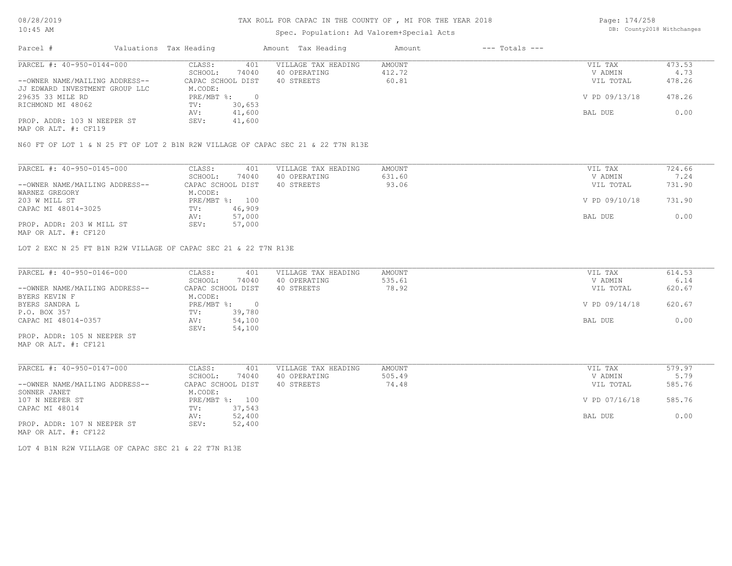### TAX ROLL FOR CAPAC IN THE COUNTY OF , MI FOR THE YEAR 2018

## Spec. Population: Ad Valorem+Special Acts

Page: 174/258 DB: County2018 Withchanges

| Parcel #                       | Valuations Tax Heading |        | Amount Tax Heading  | Amount | $---$ Totals $---$ |               |        |
|--------------------------------|------------------------|--------|---------------------|--------|--------------------|---------------|--------|
| PARCEL #: 40-950-0144-000      | CLASS:                 | 401    | VILLAGE TAX HEADING | AMOUNT |                    | VIL TAX       | 473.53 |
|                                | SCHOOL:                | 74040  | 40 OPERATING        | 412.72 |                    | V ADMIN       | 4.73   |
| --OWNER NAME/MAILING ADDRESS-- | CAPAC SCHOOL DIST      |        | 40 STREETS          | 60.81  |                    | VIL TOTAL     | 478.26 |
| JJ EDWARD INVESTMENT GROUP LLC | M.CODE:                |        |                     |        |                    |               |        |
| 29635 33 MILE RD               | PRE/MBT %:             |        |                     |        |                    | V PD 09/13/18 | 478.26 |
| RICHMOND MI 48062              | TV:                    | 30,653 |                     |        |                    |               |        |
|                                | AV:                    | 41,600 |                     |        |                    | BAL DUE       | 0.00   |
| PROP. ADDR: 103 N NEEPER ST    | SEV:                   | 41,600 |                     |        |                    |               |        |
| MAP OR ALT. #: CF119           |                        |        |                     |        |                    |               |        |

N60 FT OF LOT 1 & N 25 FT OF LOT 2 B1N R2W VILLAGE OF CAPAC SEC 21 & 22 T7N R13E

| PARCEL #: 40-950-0145-000                                                                                       | CLASS:<br>401     | VILLAGE TAX HEADING | AMOUNT | VIL TAX       | 724.66 |
|-----------------------------------------------------------------------------------------------------------------|-------------------|---------------------|--------|---------------|--------|
|                                                                                                                 | SCHOOL:<br>74040  | 40 OPERATING        | 631.60 | V ADMIN       | 7.24   |
| --OWNER NAME/MAILING ADDRESS--                                                                                  | CAPAC SCHOOL DIST | 40 STREETS          | 93.06  | VIL TOTAL     | 731.90 |
| WARNEZ GREGORY                                                                                                  | M.CODE:           |                     |        |               |        |
| 203 W MILL ST                                                                                                   | PRE/MBT %: 100    |                     |        | V PD 09/10/18 | 731.90 |
| CAPAC MI 48014-3025                                                                                             | 46,909<br>TV:     |                     |        |               |        |
|                                                                                                                 | 57,000<br>AV:     |                     |        | BAL DUE       | 0.00   |
| PROP. ADDR: 203 W MILL ST                                                                                       | SEV:<br>57,000    |                     |        |               |        |
| the contract of the contract of the contract of the contract of the contract of the contract of the contract of |                   |                     |        |               |        |

MAP OR ALT. #: CF120

LOT 2 EXC N 25 FT B1N R2W VILLAGE OF CAPAC SEC 21 & 22 T7N R13E

| PARCEL #: 40-950-0146-000      | CLASS:     | 401               | VILLAGE TAX HEADING | AMOUNT | VIL TAX       | 614.53 |
|--------------------------------|------------|-------------------|---------------------|--------|---------------|--------|
|                                | SCHOOL:    | 74040             | 40 OPERATING        | 535.61 | V ADMIN       | 6.14   |
| --OWNER NAME/MAILING ADDRESS-- |            | CAPAC SCHOOL DIST | 40 STREETS          | 78.92  | VIL TOTAL     | 620.67 |
| BYERS KEVIN F                  | M.CODE:    |                   |                     |        |               |        |
| BYERS SANDRA L                 | PRE/MBT %: | $\Omega$          |                     |        | V PD 09/14/18 | 620.67 |
| P.O. BOX 357                   | TV:        | 39,780            |                     |        |               |        |
| CAPAC MI 48014-0357            | AV:        | 54,100            |                     |        | BAL DUE       | 0.00   |
|                                | SEV:       | 54,100            |                     |        |               |        |
| PROP. ADDR: 105 N NEEPER ST    |            |                   |                     |        |               |        |
| MAP OR ALT. #: CF121           |            |                   |                     |        |               |        |
|                                |            |                   |                     |        |               |        |

 $\mathcal{L}_\mathcal{L} = \mathcal{L}_\mathcal{L} = \mathcal{L}_\mathcal{L} = \mathcal{L}_\mathcal{L} = \mathcal{L}_\mathcal{L} = \mathcal{L}_\mathcal{L} = \mathcal{L}_\mathcal{L} = \mathcal{L}_\mathcal{L} = \mathcal{L}_\mathcal{L} = \mathcal{L}_\mathcal{L} = \mathcal{L}_\mathcal{L} = \mathcal{L}_\mathcal{L} = \mathcal{L}_\mathcal{L} = \mathcal{L}_\mathcal{L} = \mathcal{L}_\mathcal{L} = \mathcal{L}_\mathcal{L} = \mathcal{L}_\mathcal{L}$ 

| PARCEL #: 40-950-0147-000      | CLASS:<br>401     | VILLAGE TAX HEADING | AMOUNT | VIL TAX       | 579.97 |
|--------------------------------|-------------------|---------------------|--------|---------------|--------|
|                                | 74040<br>SCHOOL:  | 40 OPERATING        | 505.49 | V ADMIN       | 5.79   |
| --OWNER NAME/MAILING ADDRESS-- | CAPAC SCHOOL DIST | 40 STREETS          | 74.48  | VIL TOTAL     | 585.76 |
| SONNER JANET                   | M.CODE:           |                     |        |               |        |
| 107 N NEEPER ST                | PRE/MBT %: 100    |                     |        | V PD 07/16/18 | 585.76 |
| CAPAC MI 48014                 | 37,543<br>TV:     |                     |        |               |        |
|                                | 52,400<br>AV:     |                     |        | BAL DUE       | 0.00   |
| PROP. ADDR: 107 N NEEPER ST    | 52,400<br>SEV:    |                     |        |               |        |
|                                |                   |                     |        |               |        |

MAP OR ALT. #: CF122

LOT 4 B1N R2W VILLAGE OF CAPAC SEC 21 & 22 T7N R13E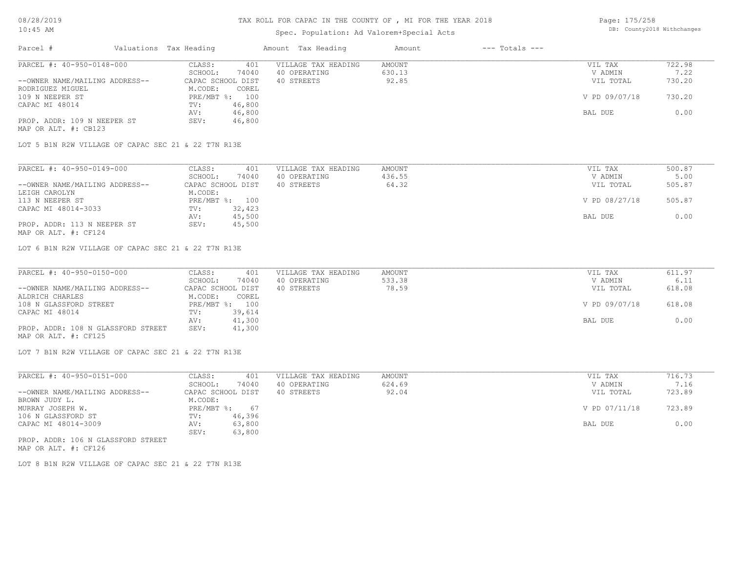# Spec. Population: Ad Valorem+Special Acts

| Page: 175/258 |                            |
|---------------|----------------------------|
|               | DB: County2018 Withchanges |

| Parcel #                       | Valuations Tax Heading |        | Amount Tax Heading  | Amount | $---$ Totals $---$ |               |        |
|--------------------------------|------------------------|--------|---------------------|--------|--------------------|---------------|--------|
| PARCEL #: 40-950-0148-000      | CLASS:                 | 401    | VILLAGE TAX HEADING | AMOUNT |                    | VIL TAX       | 722.98 |
|                                | SCHOOL:                | 74040  | 40 OPERATING        | 630.13 |                    | V ADMIN       | 7.22   |
| --OWNER NAME/MAILING ADDRESS-- | CAPAC SCHOOL DIST      |        | 40 STREETS          | 92.85  |                    | VIL TOTAL     | 730.20 |
| RODRIGUEZ MIGUEL               | M.CODE:                | COREL  |                     |        |                    |               |        |
| 109 N NEEPER ST                | $PRE/MBT$ %:           | 100    |                     |        |                    | V PD 09/07/18 | 730.20 |
| CAPAC MI 48014                 | TV:                    | 46,800 |                     |        |                    |               |        |
|                                | AV:                    | 46,800 |                     |        |                    | BAL DUE       | 0.00   |
| PROP. ADDR: 109 N NEEPER ST    | SEV:                   | 46,800 |                     |        |                    |               |        |
| MAP OR ALT. #: CB123           |                        |        |                     |        |                    |               |        |

LOT 5 B1N R2W VILLAGE OF CAPAC SEC 21 & 22 T7N R13E

| PARCEL #: 40-950-0149-000      | 401<br>CLASS:     | VILLAGE TAX HEADING | AMOUNT | VIL TAX       | 500.87 |
|--------------------------------|-------------------|---------------------|--------|---------------|--------|
|                                | 74040<br>SCHOOL:  | 40 OPERATING        | 436.55 | V ADMIN       | 5.00   |
| --OWNER NAME/MAILING ADDRESS-- | CAPAC SCHOOL DIST | 40 STREETS          | 64.32  | VIL TOTAL     | 505.87 |
| LEIGH CAROLYN                  | M.CODE:           |                     |        |               |        |
| 113 N NEEPER ST                | PRE/MBT %: 100    |                     |        | V PD 08/27/18 | 505.87 |
| CAPAC MI 48014-3033            | 32,423<br>TV:     |                     |        |               |        |
|                                | 45,500<br>AV:     |                     |        | BAL DUE       | 0.00   |
| PROP. ADDR: 113 N NEEPER ST    | 45,500<br>SEV:    |                     |        |               |        |
| MAP OR ALT. #: CF124           |                   |                     |        |               |        |

LOT 6 B1N R2W VILLAGE OF CAPAC SEC 21 & 22 T7N R13E

| PARCEL #: 40-950-0150-000          | CLASS:<br>401     | VILLAGE TAX HEADING | AMOUNT | VIL TAX       | 611.97 |
|------------------------------------|-------------------|---------------------|--------|---------------|--------|
|                                    | 74040<br>SCHOOL:  | 40 OPERATING        | 533.38 | V ADMIN       | 6.11   |
| --OWNER NAME/MAILING ADDRESS--     | CAPAC SCHOOL DIST | 40 STREETS          | 78.59  | VIL TOTAL     | 618.08 |
| ALDRICH CHARLES                    | M.CODE:<br>COREL  |                     |        |               |        |
| 108 N GLASSFORD STREET             | PRE/MBT %: 100    |                     |        | V PD 09/07/18 | 618.08 |
| CAPAC MI 48014                     | 39,614<br>TV:     |                     |        |               |        |
|                                    | 41,300<br>AV:     |                     |        | BAL DUE       | 0.00   |
| PROP. ADDR: 108 N GLASSFORD STREET | 41,300<br>SEV:    |                     |        |               |        |
| MAP OR ALT. #: CF125               |                   |                     |        |               |        |

LOT 7 B1N R2W VILLAGE OF CAPAC SEC 21 & 22 T7N R13E

| PARCEL #: 40-950-0151-000          | CLASS:       | 401               | VILLAGE TAX HEADING | AMOUNT | VIL TAX       | 716.73 |
|------------------------------------|--------------|-------------------|---------------------|--------|---------------|--------|
|                                    | SCHOOL:      | 74040             | 40 OPERATING        | 624.69 | V ADMIN       | 7.16   |
| --OWNER NAME/MAILING ADDRESS--     |              | CAPAC SCHOOL DIST | 40 STREETS          | 92.04  | VIL TOTAL     | 723.89 |
| BROWN JUDY L.                      | M.CODE:      |                   |                     |        |               |        |
| MURRAY JOSEPH W.                   | $PRE/MBT$ %: | 67                |                     |        | V PD 07/11/18 | 723.89 |
| 106 N GLASSFORD ST                 | TV:          | 46,396            |                     |        |               |        |
| CAPAC MI 48014-3009                | AV:          | 63,800            |                     |        | BAL DUE       | 0.00   |
|                                    | SEV:         | 63,800            |                     |        |               |        |
| PROP. ADDR: 106 N GLASSFORD STREET |              |                   |                     |        |               |        |

MAP OR ALT. #: CF126

LOT 8 B1N R2W VILLAGE OF CAPAC SEC 21 & 22 T7N R13E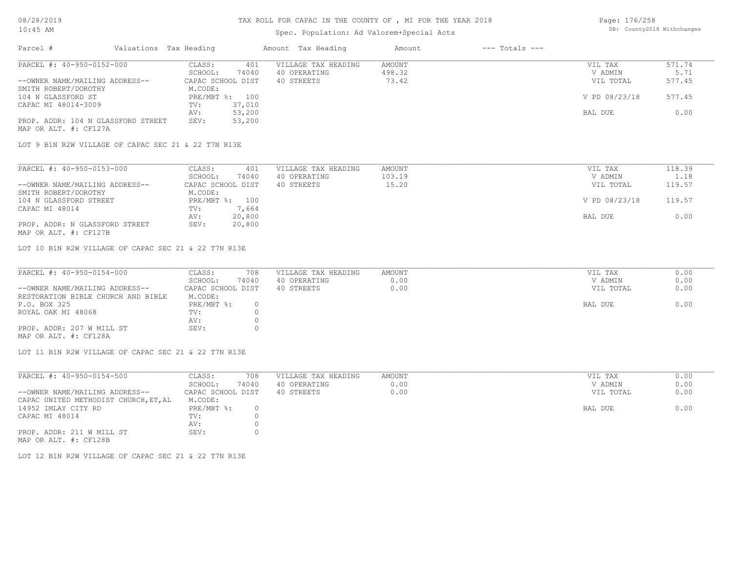#### Spec. Population: Ad Valorem+Special Acts

| Page: 176/258 |                            |
|---------------|----------------------------|
|               | DB: County2018 Withchanges |

| Parcel #                                                    | Valuations Tax Heading |        | Amount Tax Heading  | Amount        | $---$ Totals $---$ |               |        |
|-------------------------------------------------------------|------------------------|--------|---------------------|---------------|--------------------|---------------|--------|
| PARCEL #: 40-950-0152-000                                   | CLASS:                 | 401    | VILLAGE TAX HEADING | <b>AMOUNT</b> |                    | VIL TAX       | 571.74 |
|                                                             | SCHOOL:                | 74040  | 40 OPERATING        | 498.32        |                    | V ADMIN       | 5.71   |
| --OWNER NAME/MAILING ADDRESS--                              | CAPAC SCHOOL DIST      |        | 40 STREETS          | 73.42         |                    | VIL TOTAL     | 577.45 |
| SMITH ROBERT/DOROTHY                                        | M.CODE:                |        |                     |               |                    |               |        |
| 104 N GLASSFORD ST                                          | $PRE/MBT$ %:           | 100    |                     |               |                    | V PD 08/23/18 | 577.45 |
| CAPAC MI 48014-3009                                         | TV:                    | 37,010 |                     |               |                    |               |        |
|                                                             | AV:                    | 53,200 |                     |               |                    | BAL DUE       | 0.00   |
| PROP. ADDR: 104 N GLASSFORD STREET<br>MAP OR ALT. #: CF127A | SEV:                   | 53,200 |                     |               |                    |               |        |

LOT 9 B1N R2W VILLAGE OF CAPAC SEC 21 & 22 T7N R13E

| PARCEL #: 40-950-0153-000      | 401<br>CLASS:     | VILLAGE TAX HEADING | AMOUNT | VIL TAX       | 118.39 |
|--------------------------------|-------------------|---------------------|--------|---------------|--------|
|                                | 74040<br>SCHOOL:  | 40 OPERATING        | 103.19 | V ADMIN       | 1.18   |
| --OWNER NAME/MAILING ADDRESS-- | CAPAC SCHOOL DIST | 40 STREETS          | 15.20  | VIL TOTAL     | 119.57 |
| SMITH ROBERT/DOROTHY           | M.CODE:           |                     |        |               |        |
| 104 N GLASSFORD STREET         | PRE/MBT %: 100    |                     |        | V PD 08/23/18 | 119.57 |
| CAPAC MI 48014                 | 7,664<br>TV:      |                     |        |               |        |
|                                | 20,800<br>AV:     |                     |        | BAL DUE       | 0.00   |
| PROP. ADDR: N GLASSFORD STREET | 20,800<br>SEV:    |                     |        |               |        |
| MAP OR ALT. #: CF127B          |                   |                     |        |               |        |

LOT 10 B1N R2W VILLAGE OF CAPAC SEC 21 & 22 T7N R13E

| PARCEL #: 40-950-0154-000          | CLASS:<br>708     | VILLAGE TAX HEADING | AMOUNT | VIL TAX   | 0.00 |
|------------------------------------|-------------------|---------------------|--------|-----------|------|
|                                    | 74040<br>SCHOOL:  | 40 OPERATING        | 0.00   | V ADMIN   | 0.00 |
| --OWNER NAME/MAILING ADDRESS--     | CAPAC SCHOOL DIST | 40 STREETS          | 0.00   | VIL TOTAL | 0.00 |
| RESTORATION BIBLE CHURCH AND BIBLE | M.CODE:           |                     |        |           |      |
| P.O. BOX 325                       | PRE/MBT %:        |                     |        | BAL DUE   | 0.00 |
| ROYAL OAK MI 48068                 | TV:               |                     |        |           |      |
|                                    | AV:               |                     |        |           |      |
| PROP. ADDR: 207 W MILL ST          | SEV:              |                     |        |           |      |
| MAP OR ALT. #: CF128A              |                   |                     |        |           |      |

LOT 11 B1N R2W VILLAGE OF CAPAC SEC 21 & 22 T7N R13E

| PARCEL #: 40-950-0154-500             | CLASS:            | 708   | VILLAGE TAX HEADING | AMOUNT | VIL TAX<br>0.00   |
|---------------------------------------|-------------------|-------|---------------------|--------|-------------------|
|                                       | SCHOOL:           | 74040 | 40 OPERATING        | 0.00   | 0.00<br>V ADMIN   |
| --OWNER NAME/MAILING ADDRESS--        | CAPAC SCHOOL DIST |       | 40 STREETS          | 0.00   | 0.00<br>VIL TOTAL |
| CAPAC UNITED METHODIST CHURCH, ET, AL | M.CODE:           |       |                     |        |                   |
| 14952 IMLAY CITY RD                   | PRE/MBT %:        |       |                     |        | 0.00<br>BAL DUE   |
| CAPAC MI 48014                        | TV:               |       |                     |        |                   |
|                                       | AV:               |       |                     |        |                   |
| PROP. ADDR: 211 W MILL ST             | SEV:              |       |                     |        |                   |
| MAP OR ALT. #: CF128B                 |                   |       |                     |        |                   |

LOT 12 B1N R2W VILLAGE OF CAPAC SEC 21 & 22 T7N R13E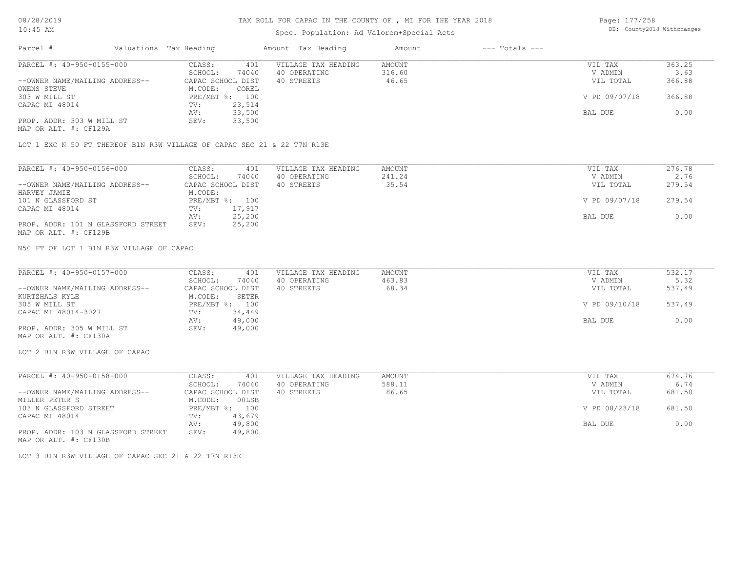# Spec. Population: Ad Valorem+Special Acts

Page: 177/258 DB: County2018 Withchanges

| Parcel #                       | Valuations Tax Heading |                | Amount Tax Heading  | Amount | $---$ Totals $---$ |               |        |
|--------------------------------|------------------------|----------------|---------------------|--------|--------------------|---------------|--------|
| PARCEL #: 40-950-0155-000      | CLASS:                 | 401            | VILLAGE TAX HEADING | AMOUNT |                    | VIL TAX       | 363.25 |
|                                | SCHOOL:                | 74040          | 40 OPERATING        | 316.60 |                    | V ADMIN       | 3.63   |
| --OWNER NAME/MAILING ADDRESS-- | CAPAC SCHOOL DIST      |                | 40 STREETS          | 46.65  |                    | VIL TOTAL     | 366.88 |
| OWENS STEVE                    | M.CODE:                | COREL          |                     |        |                    |               |        |
| 303 W MILL ST                  |                        | PRE/MBT %: 100 |                     |        |                    | V PD 09/07/18 | 366.88 |
| CAPAC MI 48014                 | TV:                    | 23,514         |                     |        |                    |               |        |
|                                | AV:                    | 33,500         |                     |        |                    | BAL DUE       | 0.00   |
| PROP. ADDR: 303 W MILL ST      | SEV:                   | 33,500         |                     |        |                    |               |        |
| MAP OR ALT. #: CF129A          |                        |                |                     |        |                    |               |        |

LOT 1 EXC N 50 FT THEREOF B1N R3W VILLAGE OF CAPAC SEC 21 & 22 T7N R13E

| PARCEL #: 40-950-0156-000          | CLASS:            | 401            | VILLAGE TAX HEADING | AMOUNT | VIL TAX       | 276.78 |
|------------------------------------|-------------------|----------------|---------------------|--------|---------------|--------|
|                                    | SCHOOL:           | 74040          | 40 OPERATING        | 241.24 | V ADMIN       | 2.76   |
| --OWNER NAME/MAILING ADDRESS--     | CAPAC SCHOOL DIST |                | 40 STREETS          | 35.54  | VIL TOTAL     | 279.54 |
| HARVEY JAMIE                       | M.CODE:           |                |                     |        |               |        |
| 101 N GLASSFORD ST                 |                   | PRE/MBT %: 100 |                     |        | V PD 09/07/18 | 279.54 |
| CAPAC MI 48014                     | TV:               | 17,917         |                     |        |               |        |
|                                    | AV:               | 25,200         |                     |        | BAL DUE       | 0.00   |
| PROP. ADDR: 101 N GLASSFORD STREET | SEV:              | 25,200         |                     |        |               |        |
| MAP OR ALT. #: CF129B              |                   |                |                     |        |               |        |

N50 FT OF LOT 1 B1N R3W VILLAGE OF CAPAC

| PARCEL #: 40-950-0157-000      | CLASS:<br>401     | VILLAGE TAX HEADING | AMOUNT | VIL TAX       | 532.17 |
|--------------------------------|-------------------|---------------------|--------|---------------|--------|
|                                | 74040<br>SCHOOL:  | 40 OPERATING        | 463.83 | V ADMIN       | 5.32   |
| --OWNER NAME/MAILING ADDRESS-- | CAPAC SCHOOL DIST | 40 STREETS          | 68.34  | VIL TOTAL     | 537.49 |
| KURTZHALS KYLE                 | SETER<br>M.CODE:  |                     |        |               |        |
| 305 W MILL ST                  | PRE/MBT %: 100    |                     |        | V PD 09/10/18 | 537.49 |
| CAPAC MI 48014-3027            | 34,449<br>TV:     |                     |        |               |        |
|                                | 49,000<br>AV:     |                     |        | BAL DUE       | 0.00   |
| PROP. ADDR: 305 W MILL ST      | 49,000<br>SEV:    |                     |        |               |        |
| MAP OR ALT. #: CF130A          |                   |                     |        |               |        |

LOT 2 B1N R3W VILLAGE OF CAPAC

| CLASS:  | 401    | VILLAGE TAX HEADING               | AMOUNT | VIL TAX       | 674.76 |  |
|---------|--------|-----------------------------------|--------|---------------|--------|--|
| SCHOOL: | 74040  | 40 OPERATING                      | 588.11 | V ADMIN       | 6.74   |  |
|         |        | 40 STREETS                        | 86.65  | VIL TOTAL     | 681.50 |  |
| M.CODE: | 00LSB  |                                   |        |               |        |  |
|         | 100    |                                   |        | V PD 08/23/18 | 681.50 |  |
| TV:     | 43,679 |                                   |        |               |        |  |
| AV:     | 49,800 |                                   |        | BAL DUE       | 0.00   |  |
| SEV:    | 49,800 |                                   |        |               |        |  |
|         |        | CAPAC SCHOOL DIST<br>$PRE/MBT$ %: |        |               |        |  |

MAP OR ALT. #: CF130B

LOT 3 B1N R3W VILLAGE OF CAPAC SEC 21 & 22 T7N R13E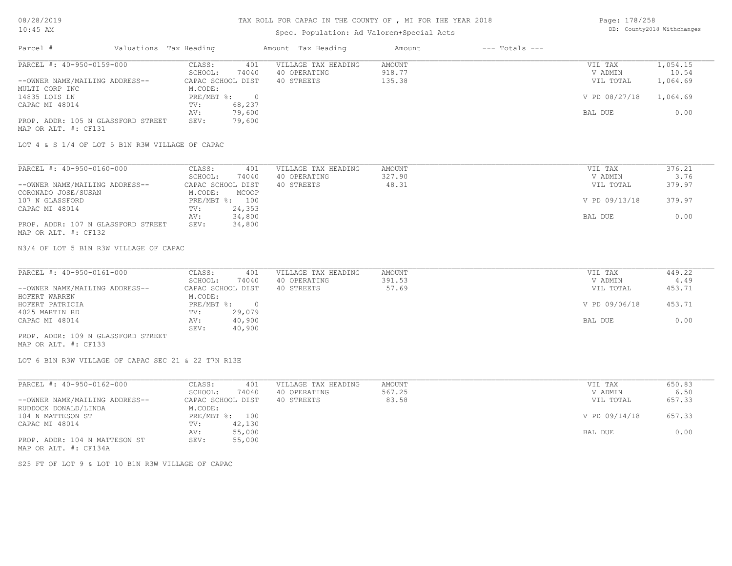### TAX ROLL FOR CAPAC IN THE COUNTY OF , MI FOR THE YEAR 2018

# Spec. Population: Ad Valorem+Special Acts

Page: 178/258 DB: County2018 Withchanges

| Parcel #                           | Valuations Tax Heading |        | Amount Tax Heading  | Amount | $---$ Totals $---$ |               |          |
|------------------------------------|------------------------|--------|---------------------|--------|--------------------|---------------|----------|
| PARCEL #: 40-950-0159-000          | CLASS:                 | 401    | VILLAGE TAX HEADING | AMOUNT |                    | VIL TAX       | 1,054.15 |
|                                    | SCHOOL:                | 74040  | 40 OPERATING        | 918.77 |                    | V ADMIN       | 10.54    |
| --OWNER NAME/MAILING ADDRESS--     | CAPAC SCHOOL DIST      |        | 40 STREETS          | 135.38 |                    | VIL TOTAL     | 1,064.69 |
| MULTI CORP INC                     | M.CODE:                |        |                     |        |                    |               |          |
| 14835 LOIS LN                      | PRE/MBT %:             |        |                     |        |                    | V PD 08/27/18 | 1,064.69 |
| CAPAC MI 48014                     | TV:                    | 68,237 |                     |        |                    |               |          |
|                                    | AV:                    | 79,600 |                     |        |                    | BAL DUE       | 0.00     |
| PROP. ADDR: 105 N GLASSFORD STREET | SEV:                   | 79,600 |                     |        |                    |               |          |
| MAP OR ALT. #: CF131               |                        |        |                     |        |                    |               |          |

LOT 4 & S 1/4 OF LOT 5 B1N R3W VILLAGE OF CAPAC

| PARCEL #: 40-950-0160-000          | CLASS:            | 401    | VILLAGE TAX HEADING | AMOUNT | VIL TAX       | 376.21 |
|------------------------------------|-------------------|--------|---------------------|--------|---------------|--------|
|                                    | SCHOOL:           | 74040  | 40 OPERATING        | 327.90 | V ADMIN       | 3.76   |
| --OWNER NAME/MAILING ADDRESS--     | CAPAC SCHOOL DIST |        | 40 STREETS          | 48.31  | VIL TOTAL     | 379.97 |
| CORONADO JOSE/SUSAN                | M.CODE:           | MCOOP  |                     |        |               |        |
| 107 N GLASSFORD                    | PRE/MBT %: 100    |        |                     |        | V PD 09/13/18 | 379.97 |
| CAPAC MI 48014                     | TV:               | 24,353 |                     |        |               |        |
|                                    | AV:               | 34,800 |                     |        | BAL DUE       | 0.00   |
| PROP. ADDR: 107 N GLASSFORD STREET | SEV:              | 34,800 |                     |        |               |        |
| MAP OR ALT. #: CF132               |                   |        |                     |        |               |        |

N3/4 OF LOT 5 B1N R3W VILLAGE OF CAPAC

| PARCEL #: 40-950-0161-000          | CLASS:<br>401     | VILLAGE TAX HEADING | AMOUNT | VIL TAX       | 449.22 |
|------------------------------------|-------------------|---------------------|--------|---------------|--------|
|                                    | 74040<br>SCHOOL:  | 40 OPERATING        | 391.53 | V ADMIN       | 4.49   |
| --OWNER NAME/MAILING ADDRESS--     | CAPAC SCHOOL DIST | 40 STREETS          | 57.69  | VIL TOTAL     | 453.71 |
| HOFERT WARREN                      | M.CODE:           |                     |        |               |        |
| HOFERT PATRICIA                    | PRE/MBT %:        |                     |        | V PD 09/06/18 | 453.71 |
| 4025 MARTIN RD                     | 29,079<br>TV:     |                     |        |               |        |
| CAPAC MI 48014                     | 40,900<br>AV:     |                     |        | BAL DUE       | 0.00   |
|                                    | 40,900<br>SEV:    |                     |        |               |        |
| PROP. ADDR: 109 N GLASSFORD STREET |                   |                     |        |               |        |

MAP OR ALT. #: CF133

LOT 6 B1N R3W VILLAGE OF CAPAC SEC 21 & 22 T7N R13E

| PARCEL #: 40-950-0162-000      | CLASS:<br>401     | VILLAGE TAX HEADING | AMOUNT | VIL TAX       | 650.83 |
|--------------------------------|-------------------|---------------------|--------|---------------|--------|
|                                | 74040<br>SCHOOL:  | 40 OPERATING        | 567.25 | V ADMIN       | 6.50   |
| --OWNER NAME/MAILING ADDRESS-- | CAPAC SCHOOL DIST | 40 STREETS          | 83.58  | VIL TOTAL     | 657.33 |
| RUDDOCK DONALD/LINDA           | M.CODE:           |                     |        |               |        |
| 104 N MATTESON ST              | PRE/MBT %: 100    |                     |        | V PD 09/14/18 | 657.33 |
| CAPAC MI 48014                 | 42,130<br>TV:     |                     |        |               |        |
|                                | 55,000<br>AV:     |                     |        | BAL DUE       | 0.00   |
| PROP. ADDR: 104 N MATTESON ST  | 55,000<br>SEV:    |                     |        |               |        |
| MAP OR ALT. #: CF134A          |                   |                     |        |               |        |

S25 FT OF LOT 9 & LOT 10 B1N R3W VILLAGE OF CAPAC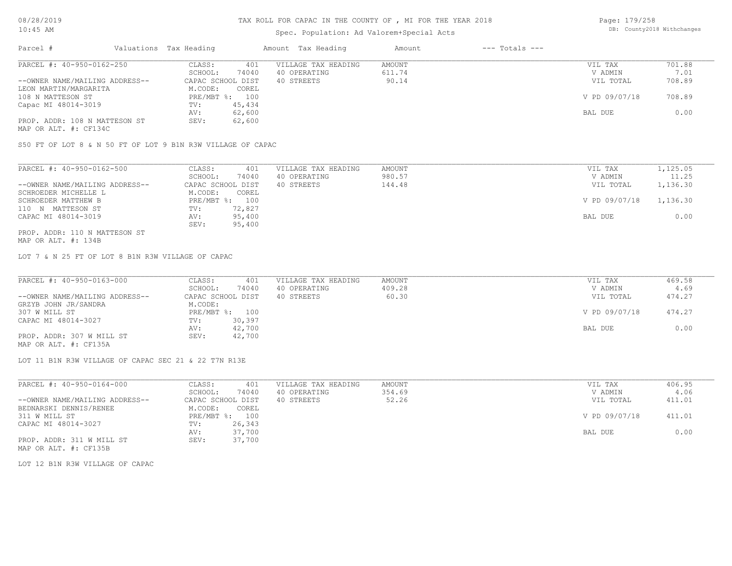# Spec. Population: Ad Valorem+Special Acts

| Page: 179/258 |                            |
|---------------|----------------------------|
|               | DB: County2018 Withchanges |

| Parcel #                       | Valuations Tax Heading |        | Amount Tax Heading  | Amount | $---$ Totals $---$ |               |        |
|--------------------------------|------------------------|--------|---------------------|--------|--------------------|---------------|--------|
| PARCEL #: 40-950-0162-250      | CLASS:                 | 401    | VILLAGE TAX HEADING | AMOUNT |                    | VIL TAX       | 701.88 |
|                                | SCHOOL:                | 74040  | 40 OPERATING        | 611.74 |                    | V ADMIN       | 7.01   |
| --OWNER NAME/MAILING ADDRESS-- | CAPAC SCHOOL DIST      |        | 40 STREETS          | 90.14  |                    | VIL TOTAL     | 708.89 |
| LEON MARTIN/MARGARITA          | M.CODE:                | COREL  |                     |        |                    |               |        |
| 108 N MATTESON ST              | PRE/MBT %:             | 100    |                     |        |                    | V PD 09/07/18 | 708.89 |
| Capac MI 48014-3019            | TV:                    | 45,434 |                     |        |                    |               |        |
|                                | AV:                    | 62,600 |                     |        |                    | BAL DUE       | 0.00   |
| PROP. ADDR: 108 N MATTESON ST  | SEV:                   | 62,600 |                     |        |                    |               |        |
| MAP OR ALT. #: CF134C          |                        |        |                     |        |                    |               |        |

S50 FT OF LOT 8 & N 50 FT OF LOT 9 B1N R3W VILLAGE OF CAPAC

| PARCEL #: 40-950-0162-500      | 401<br>CLASS:     | VILLAGE TAX HEADING | AMOUNT | VIL TAX       | 1,125.05 |
|--------------------------------|-------------------|---------------------|--------|---------------|----------|
|                                | 74040<br>SCHOOL:  | 40 OPERATING        | 980.57 | V ADMIN       | 11.25    |
| --OWNER NAME/MAILING ADDRESS-- | CAPAC SCHOOL DIST | 40 STREETS          | 144.48 | VIL TOTAL     | 1,136.30 |
| SCHROEDER MICHELLE L           | M.CODE:<br>COREL  |                     |        |               |          |
| SCHROEDER MATTHEW B            | PRE/MBT %:<br>100 |                     |        | V PD 09/07/18 | 1,136.30 |
| 110 N MATTESON ST              | 72,827<br>TV:     |                     |        |               |          |
| CAPAC MI 48014-3019            | 95,400<br>AV:     |                     |        | BAL DUE       | 0.00     |
|                                | 95,400<br>SEV:    |                     |        |               |          |

MAP OR ALT. #: 134B PROP. ADDR: 110 N MATTESON ST

LOT 7 & N 25 FT OF LOT 8 B1N R3W VILLAGE OF CAPAC

| PARCEL #: 40-950-0163-000      | CLASS:<br>401     | VILLAGE TAX HEADING | AMOUNT | VIL TAX       | 469.58 |
|--------------------------------|-------------------|---------------------|--------|---------------|--------|
|                                | 74040<br>SCHOOL:  | 40 OPERATING        | 409.28 | V ADMIN       | 4.69   |
| --OWNER NAME/MAILING ADDRESS-- | CAPAC SCHOOL DIST | 40 STREETS          | 60.30  | VIL TOTAL     | 474.27 |
| GRZYB JOHN JR/SANDRA           | M.CODE:           |                     |        |               |        |
| 307 W MILL ST                  | PRE/MBT %: 100    |                     |        | V PD 09/07/18 | 474.27 |
| CAPAC MI 48014-3027            | 30,397<br>TV:     |                     |        |               |        |
|                                | 42,700<br>AV:     |                     |        | BAL DUE       | 0.00   |
| PROP. ADDR: 307 W MILL ST      | 42,700<br>SEV:    |                     |        |               |        |
| MAP OR ALT. #: CF135A          |                   |                     |        |               |        |

LOT 11 B1N R3W VILLAGE OF CAPAC SEC 21 & 22 T7N R13E

| PARCEL #: 40-950-0164-000      | 401<br>CLASS:     | VILLAGE TAX HEADING | AMOUNT | VIL TAX       | 406.95 |
|--------------------------------|-------------------|---------------------|--------|---------------|--------|
|                                | 74040<br>SCHOOL:  | 40 OPERATING        | 354.69 | V ADMIN       | 4.06   |
| --OWNER NAME/MAILING ADDRESS-- | CAPAC SCHOOL DIST | 40 STREETS          | 52.26  | VIL TOTAL     | 411.01 |
| BEDNARSKI DENNIS/RENEE         | M.CODE:<br>COREL  |                     |        |               |        |
| 311 W MILL ST                  | PRE/MBT %: 100    |                     |        | V PD 09/07/18 | 411.01 |
| CAPAC MI 48014-3027            | 26,343<br>TV:     |                     |        |               |        |
|                                | 37,700<br>AV:     |                     |        | BAL DUE       | 0.00   |
| PROP. ADDR: 311 W MILL ST      | 37,700<br>SEV:    |                     |        |               |        |
| MAP OR ALT. #: CF135B          |                   |                     |        |               |        |

LOT 12 B1N R3W VILLAGE OF CAPAC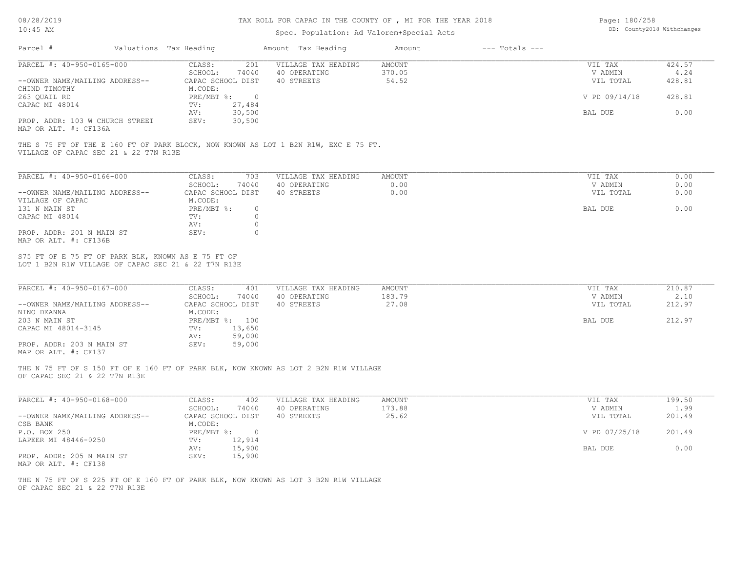#### TAX ROLL FOR CAPAC IN THE COUNTY OF , MI FOR THE YEAR 2018

#### Spec. Population: Ad Valorem+Special Acts

| Page: 180/258 |                            |
|---------------|----------------------------|
|               | DB: County2018 Withchanges |

| Parcel #                        |  |              | Valuations Tax Heading<br>Amount Tax Heading |                     | Amount | $---$ Totals $---$ |               |        |
|---------------------------------|--|--------------|----------------------------------------------|---------------------|--------|--------------------|---------------|--------|
| PARCEL #: 40-950-0165-000       |  | CLASS:       | 201                                          | VILLAGE TAX HEADING | AMOUNT |                    | VIL TAX       | 424.57 |
|                                 |  | SCHOOL:      | 74040                                        | 40 OPERATING        | 370.05 |                    | V ADMIN       | 4.24   |
| --OWNER NAME/MAILING ADDRESS--  |  |              | CAPAC SCHOOL DIST                            | 40 STREETS          | 54.52  |                    | VIL TOTAL     | 428.81 |
| CHIND TIMOTHY                   |  | M.CODE:      |                                              |                     |        |                    |               |        |
| 263 OUAIL RD                    |  | $PRE/MBT$ %: |                                              |                     |        |                    | V PD 09/14/18 | 428.81 |
| CAPAC MI 48014                  |  | TV:          | 27,484                                       |                     |        |                    |               |        |
|                                 |  | AV:          | 30,500                                       |                     |        |                    | BAL DUE       | 0.00   |
| PROP. ADDR: 103 W CHURCH STREET |  | SEV:         | 30,500                                       |                     |        |                    |               |        |
|                                 |  |              |                                              |                     |        |                    |               |        |

MAP OR ALT. #: CF136A

VILLAGE OF CAPAC SEC 21 & 22 T7N R13E THE S 75 FT OF THE E 160 FT OF PARK BLOCK, NOW KNOWN AS LOT 1 B2N R1W, EXC E 75 FT.

| PARCEL #: 40-950-0166-000      | CLASS:            | 703    | VILLAGE TAX HEADING | AMOUNT | VIL TAX   | 0.00 |
|--------------------------------|-------------------|--------|---------------------|--------|-----------|------|
|                                | SCHOOL:           | 74040  | 40 OPERATING        | 0.00   | V ADMIN   | 0.00 |
| --OWNER NAME/MAILING ADDRESS-- | CAPAC SCHOOL DIST |        | 40 STREETS          | 0.00   | VIL TOTAL | 0.00 |
| VILLAGE OF CAPAC               | M.CODE:           |        |                     |        |           |      |
| 131 N MAIN ST                  | PRE/MBT %:        | $\cap$ |                     |        | BAL DUE   | 0.00 |
| CAPAC MI 48014                 | TV:               |        |                     |        |           |      |
|                                | AV:               |        |                     |        |           |      |
| PROP. ADDR: 201 N MAIN ST      | SEV:              |        |                     |        |           |      |
| MAP OR ALT. #: CF136B          |                   |        |                     |        |           |      |

LOT 1 B2N R1W VILLAGE OF CAPAC SEC 21 & 22 T7N R13E S75 FT OF E 75 FT OF PARK BLK, KNOWN AS E 75 FT OF

| PARCEL #: 40-950-0167-000                    | CLASS:<br>401     | VILLAGE TAX HEADING | AMOUNT | VIL TAX   | 210.87 |
|----------------------------------------------|-------------------|---------------------|--------|-----------|--------|
|                                              | 74040<br>SCHOOL:  | 40 OPERATING        | 183.79 | V ADMIN   | 2.10   |
| --OWNER NAME/MAILING ADDRESS--               | CAPAC SCHOOL DIST | 40 STREETS          | 27.08  | VIL TOTAL | 212.97 |
| NINO DEANNA                                  | M.CODE:           |                     |        |           |        |
| 203 N MAIN ST                                | PRE/MBT %: 100    |                     |        | BAL DUE   | 212.97 |
| CAPAC MI 48014-3145                          | 13,650<br>TV:     |                     |        |           |        |
|                                              | 59,000<br>AV:     |                     |        |           |        |
| PROP. ADDR: 203 N MAIN ST                    | 59,000<br>SEV:    |                     |        |           |        |
| $\cdots$ $\cdots$ $\cdots$ $\cdots$ $\cdots$ |                   |                     |        |           |        |

MAP OR ALT. #: CF137

OF CAPAC SEC 21 & 22 T7N R13E THE N 75 FT OF S 150 FT OF E 160 FT OF PARK BLK, NOW KNOWN AS LOT 2 B2N R1W VILLAGE

| PARCEL #: 40-950-0168-000      | CLASS:       | 402               | VILLAGE TAX HEADING | AMOUNT | VIL TAX       | 199.50 |
|--------------------------------|--------------|-------------------|---------------------|--------|---------------|--------|
|                                | SCHOOL:      | 74040             | 40 OPERATING        | 173.88 | V ADMIN       | 1.99   |
| --OWNER NAME/MAILING ADDRESS-- |              | CAPAC SCHOOL DIST | 40 STREETS          | 25.62  | VIL TOTAL     | 201.49 |
| CSB BANK                       | M.CODE:      |                   |                     |        |               |        |
| P.O. BOX 250                   | $PRE/MBT$ %: | - 0               |                     |        | V PD 07/25/18 | 201.49 |
| LAPEER MI 48446-0250           | TV:          | 12,914            |                     |        |               |        |
|                                | AV:          | 15,900            |                     |        | BAL DUE       | 0.00   |
| PROP. ADDR: 205 N MAIN ST      | SEV:         | 15,900            |                     |        |               |        |
| MAP OR ALT. #: CF138           |              |                   |                     |        |               |        |

 $\mathcal{L}_\mathcal{L} = \mathcal{L}_\mathcal{L} = \mathcal{L}_\mathcal{L} = \mathcal{L}_\mathcal{L} = \mathcal{L}_\mathcal{L} = \mathcal{L}_\mathcal{L} = \mathcal{L}_\mathcal{L} = \mathcal{L}_\mathcal{L} = \mathcal{L}_\mathcal{L} = \mathcal{L}_\mathcal{L} = \mathcal{L}_\mathcal{L} = \mathcal{L}_\mathcal{L} = \mathcal{L}_\mathcal{L} = \mathcal{L}_\mathcal{L} = \mathcal{L}_\mathcal{L} = \mathcal{L}_\mathcal{L} = \mathcal{L}_\mathcal{L}$ 

OF CAPAC SEC 21 & 22 T7N R13E THE N 75 FT OF S 225 FT OF E 160 FT OF PARK BLK, NOW KNOWN AS LOT 3 B2N R1W VILLAGE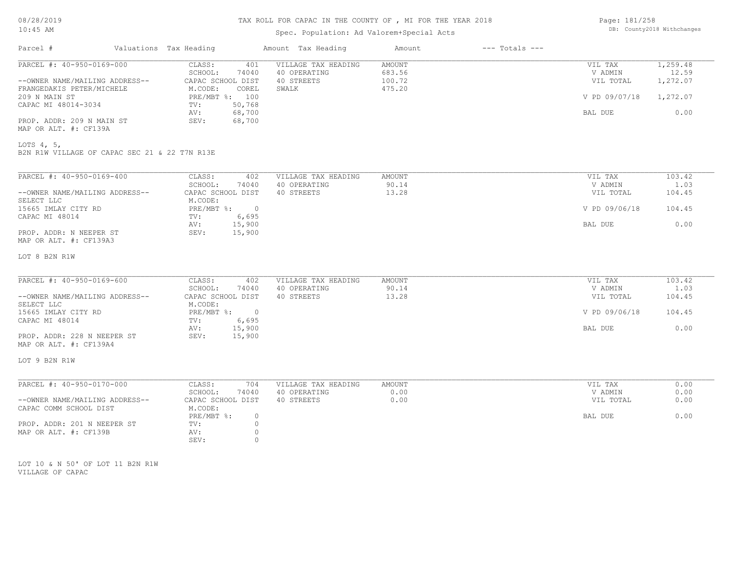| Page: 181/258 |                            |
|---------------|----------------------------|
|               | DB: County2018 Withchanges |

| 08/28/2019                                                    |                                              | TAX ROLL FOR CAPAC IN THE COUNTY OF , MI FOR THE YEAR 2018 |                        |                    |                    |                |  |
|---------------------------------------------------------------|----------------------------------------------|------------------------------------------------------------|------------------------|--------------------|--------------------|----------------|--|
| $10:45$ AM                                                    |                                              | Spec. Population: Ad Valorem+Special Acts                  |                        |                    |                    |                |  |
| Parcel #                                                      | Valuations Tax Heading                       | Amount Tax Heading                                         | Amount                 | $---$ Totals $---$ |                    |                |  |
| PARCEL #: 40-950-0169-000                                     | CLASS:<br>401                                | VILLAGE TAX HEADING                                        | <b>AMOUNT</b>          |                    | VIL TAX            | 1,259.48       |  |
|                                                               | SCHOOL:<br>74040                             | 40 OPERATING                                               | 683.56                 |                    | V ADMIN            | 12.59          |  |
| --OWNER NAME/MAILING ADDRESS--                                | CAPAC SCHOOL DIST                            | 40 STREETS                                                 | 100.72                 |                    | VIL TOTAL          | 1,272.07       |  |
| FRANGEDAKIS PETER/MICHELE                                     | M.CODE:<br>COREL                             | SWALK                                                      | 475.20                 |                    |                    |                |  |
| 209 N MAIN ST                                                 | PRE/MBT %: 100                               |                                                            |                        |                    | V PD 09/07/18      | 1,272.07       |  |
| CAPAC MI 48014-3034                                           | 50,768<br>TV:                                |                                                            |                        |                    |                    |                |  |
|                                                               | 68,700<br>AV:<br>SEV:                        |                                                            |                        |                    | BAL DUE            | 0.00           |  |
| PROP. ADDR: 209 N MAIN ST<br>MAP OR ALT. #: CF139A            | 68,700                                       |                                                            |                        |                    |                    |                |  |
| LOTS $4, 5,$<br>B2N R1W VILLAGE OF CAPAC SEC 21 & 22 T7N R13E |                                              |                                                            |                        |                    |                    |                |  |
| PARCEL #: 40-950-0169-400                                     | 402                                          | VILLAGE TAX HEADING                                        | AMOUNT                 |                    | VIL TAX            | 103.42         |  |
|                                                               | CLASS:<br>SCHOOL:<br>74040                   | 40 OPERATING                                               | 90.14                  |                    | V ADMIN            | 1.03           |  |
| --OWNER NAME/MAILING ADDRESS--                                | CAPAC SCHOOL DIST                            | 40 STREETS                                                 | 13.28                  |                    | VIL TOTAL          | 104.45         |  |
| SELECT LLC                                                    | M.CODE:                                      |                                                            |                        |                    |                    |                |  |
| 15665 IMLAY CITY RD                                           | PRE/MBT %:<br>$\overline{0}$                 |                                                            |                        |                    | V PD 09/06/18      | 104.45         |  |
| CAPAC MI 48014                                                | 6,695<br>TV:                                 |                                                            |                        |                    |                    |                |  |
|                                                               | AV:<br>15,900                                |                                                            |                        |                    | BAL DUE            | 0.00           |  |
| PROP. ADDR: N NEEPER ST                                       | SEV:<br>15,900                               |                                                            |                        |                    |                    |                |  |
| MAP OR ALT. #: CF139A3                                        |                                              |                                                            |                        |                    |                    |                |  |
|                                                               |                                              |                                                            |                        |                    |                    |                |  |
| LOT 8 B2N R1W                                                 |                                              |                                                            |                        |                    |                    |                |  |
|                                                               |                                              |                                                            |                        |                    |                    |                |  |
| PARCEL #: 40-950-0169-600                                     | CLASS:<br>402<br>SCHOOL:<br>74040            | VILLAGE TAX HEADING<br>40 OPERATING                        | <b>AMOUNT</b><br>90.14 |                    | VIL TAX<br>V ADMIN | 103.42<br>1.03 |  |
| --OWNER NAME/MAILING ADDRESS--                                | CAPAC SCHOOL DIST                            | 40 STREETS                                                 | 13.28                  |                    | VIL TOTAL          | 104.45         |  |
| SELECT LLC                                                    | M.CODE:                                      |                                                            |                        |                    |                    |                |  |
| 15665 IMLAY CITY RD                                           | $PRE/MBT$ $\div$<br>$\overline{\phantom{0}}$ |                                                            |                        |                    | V PD 09/06/18      | 104.45         |  |
| CAPAC MI 48014                                                | 6,695<br>TV:                                 |                                                            |                        |                    |                    |                |  |
|                                                               | 15,900<br>AV:                                |                                                            |                        |                    | BAL DUE            | 0.00           |  |
| PROP. ADDR: 228 N NEEPER ST                                   | SEV:<br>15,900                               |                                                            |                        |                    |                    |                |  |
| MAP OR ALT. #: CF139A4                                        |                                              |                                                            |                        |                    |                    |                |  |
| LOT 9 B2N R1W                                                 |                                              |                                                            |                        |                    |                    |                |  |
| PARCEL #: 40-950-0170-000                                     | CLASS:<br>704                                | VILLAGE TAX HEADING                                        | <b>AMOUNT</b>          |                    | VIL TAX            | 0.00           |  |
|                                                               | SCHOOL:<br>74040                             | 40 OPERATING                                               | 0.00                   |                    | V ADMIN            | 0.00           |  |
| --OWNER NAME/MAILING ADDRESS--                                | CAPAC SCHOOL DIST                            | 40 STREETS                                                 | 0.00                   |                    | VIL TOTAL          | 0.00           |  |
| CAPAC COMM SCHOOL DIST                                        | M.CODE:                                      |                                                            |                        |                    |                    |                |  |
|                                                               | PRE/MBT %:                                   | $\circ$                                                    |                        |                    | BAL DUE            | 0.00           |  |
| PROP. ADDR: 201 N NEEPER ST                                   | TV:                                          | $\circ$                                                    |                        |                    |                    |                |  |
| MAP OR ALT. #: CF139B                                         | AV:                                          | $\circ$                                                    |                        |                    |                    |                |  |
|                                                               | SEV:                                         | $\Omega$                                                   |                        |                    |                    |                |  |

VILLAGE OF CAPAC LOT 10 & N 50' OF LOT 11 B2N R1W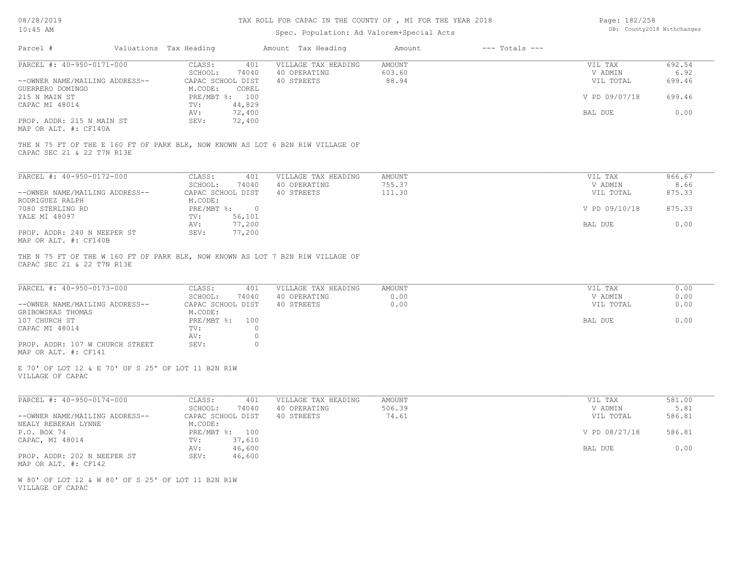# TAX ROLL FOR CAPAC IN THE COUNTY OF , MI FOR THE YEAR 2018

# Spec. Population: Ad Valorem+Special Acts

| Page: 182/258 |                            |
|---------------|----------------------------|
|               | DB: County2018 Withchanges |

| Parcel #                                                               | Valuations Tax Heading                                      | Amount Tax Heading                                                             | Amount                  | $---$ Totals $---$ |                    |                |
|------------------------------------------------------------------------|-------------------------------------------------------------|--------------------------------------------------------------------------------|-------------------------|--------------------|--------------------|----------------|
| PARCEL #: 40-950-0171-000                                              | CLASS:<br>401<br>SCHOOL:<br>74040                           | VILLAGE TAX HEADING<br>40 OPERATING                                            | <b>AMOUNT</b><br>603.60 |                    | VIL TAX<br>V ADMIN | 692.54<br>6.92 |
| --OWNER NAME/MAILING ADDRESS--<br>GUERRERO DOMINGO                     | CAPAC SCHOOL DIST<br>M.CODE:<br>COREL                       | 40 STREETS                                                                     | 88.94                   |                    | VIL TOTAL          | 699.46         |
| 215 N MAIN ST<br>CAPAC MI 48014                                        | PRE/MBT %: 100<br>44,829<br>TV:                             |                                                                                |                         |                    | V PD 09/07/18      | 699.46         |
| PROP. ADDR: 215 N MAIN ST<br>MAP OR ALT. #: CF140A                     | 72,400<br>AV:<br>72,400<br>SEV:                             |                                                                                |                         |                    | BAL DUE            | 0.00           |
|                                                                        |                                                             | THE N 75 FT OF THE E 160 FT OF PARK BLK, NOW KNOWN AS LOT 6 B2N R1W VILLAGE OF |                         |                    |                    |                |
| CAPAC SEC 21 & 22 T7N R13E                                             |                                                             |                                                                                |                         |                    |                    |                |
| PARCEL #: 40-950-0172-000                                              | CLASS:<br>401<br>SCHOOL:<br>74040                           | VILLAGE TAX HEADING<br>40 OPERATING                                            | <b>AMOUNT</b><br>755.37 |                    | VIL TAX<br>V ADMIN | 866.67<br>8.66 |
| --OWNER NAME/MAILING ADDRESS--<br>RODRIGUEZ RALPH                      | CAPAC SCHOOL DIST<br>M.CODE:                                | 40 STREETS                                                                     | 111.30                  |                    | VIL TOTAL          | 875.33         |
| 7080 STERLING RD<br>YALE MI 48097                                      | $PRE/MBT$ %:<br>$\overline{0}$<br>56,101<br>$\texttt{TV}$ : |                                                                                |                         |                    | V PD 09/10/18      | 875.33         |
| PROP. ADDR: 240 N NEEPER ST<br>MAP OR ALT. #: CF140B                   | 77,200<br>AV:<br>77,200<br>SEV:                             |                                                                                |                         |                    | BAL DUE            | 0.00           |
| CAPAC SEC 21 & 22 T7N R13E                                             |                                                             | THE N 75 FT OF THE W 160 FT OF PARK BLK, NOW KNOWN AS LOT 7 B2N R1W VILLAGE OF |                         |                    |                    |                |
| PARCEL #: 40-950-0173-000                                              | CLASS:<br>401<br>SCHOOL:<br>74040                           | VILLAGE TAX HEADING<br>40 OPERATING                                            | <b>AMOUNT</b><br>0.00   |                    | VIL TAX<br>V ADMIN | 0.00<br>0.00   |
| --OWNER NAME/MAILING ADDRESS--<br>GRIBOWSKAS THOMAS                    | CAPAC SCHOOL DIST<br>M.CODE:                                | 40 STREETS                                                                     | 0.00                    |                    | VIL TOTAL          | 0.00           |
| 107 CHURCH ST<br>CAPAC MI 48014                                        | PRE/MBT %: 100<br>TV:                                       | $\Omega$                                                                       |                         |                    | BAL DUE            | 0.00           |
| PROP. ADDR: 107 W CHURCH STREET                                        | AV:<br>SEV:                                                 | $\circ$<br>$\Omega$                                                            |                         |                    |                    |                |
| MAP OR ALT. #: CF141                                                   |                                                             |                                                                                |                         |                    |                    |                |
| E 70' OF LOT 12 & E 70' OF S 25' OF LOT 11 B2N R1W<br>VILLAGE OF CAPAC |                                                             |                                                                                |                         |                    |                    |                |
| PARCEL #: 40-950-0174-000                                              | CLASS:<br>401<br>SCHOOL:<br>74040                           | VILLAGE TAX HEADING<br>40 OPERATING                                            | <b>AMOUNT</b><br>506.39 |                    | VIL TAX<br>V ADMIN | 581.00<br>5.81 |
| --OWNER NAME/MAILING ADDRESS--<br>NEALY REBEKAH LYNNE                  | CAPAC SCHOOL DIST<br>M.CODE:                                | 40 STREETS                                                                     | 74.61                   |                    | VIL TOTAL          | 586.81         |
| P.O. BOX 74                                                            | PRE/MBT %: 100                                              |                                                                                |                         |                    | V PD 08/27/18      | 586.81         |
| CAPAC, MI 48014                                                        | 37,610<br>TV:<br>46,600<br>AV:                              |                                                                                |                         |                    | BAL DUE            | 0.00           |
| PROP. ADDR: 202 N NEEPER ST<br>MAP OR ALT. #: CF142                    | 46,600<br>SEV:                                              |                                                                                |                         |                    |                    |                |
| W 80' OF LOT 12 & W 80' OF S 25' OF LOT 11 B2N R1W<br>VILLAGE OF CAPAC |                                                             |                                                                                |                         |                    |                    |                |
|                                                                        |                                                             |                                                                                |                         |                    |                    |                |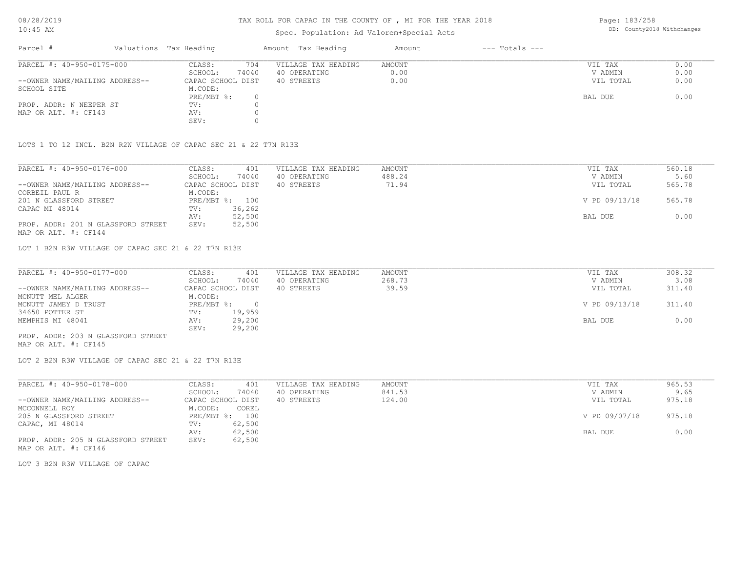# TAX ROLL FOR CAPAC IN THE COUNTY OF , MI FOR THE YEAR 2018

### Spec. Population: Ad Valorem+Special Acts

Page: 183/258 DB: County2018 Withchanges

| Parcel #                       | Valuations Tax Heading |       | Amount Tax Heading  | Amount | $---$ Totals $---$ |           |      |
|--------------------------------|------------------------|-------|---------------------|--------|--------------------|-----------|------|
| PARCEL #: 40-950-0175-000      | CLASS:                 | 704   | VILLAGE TAX HEADING | AMOUNT |                    | VIL TAX   | 0.00 |
|                                | SCHOOL:                | 74040 | 40 OPERATING        | 0.00   |                    | V ADMIN   | 0.00 |
| --OWNER NAME/MAILING ADDRESS-- | CAPAC SCHOOL DIST      |       | 40 STREETS          | 0.00   |                    | VIL TOTAL | 0.00 |
| SCHOOL SITE                    | M.CODE:                |       |                     |        |                    |           |      |
|                                | PRE/MBT %:             |       |                     |        |                    | BAL DUE   | 0.00 |
| PROP. ADDR: N NEEPER ST        | TV:                    |       |                     |        |                    |           |      |
| MAP OR ALT. #: CF143           | AV:                    |       |                     |        |                    |           |      |
|                                | SEV:                   |       |                     |        |                    |           |      |

LOTS 1 TO 12 INCL. B2N R2W VILLAGE OF CAPAC SEC 21 & 22 T7N R13E

| PARCEL #: 40-950-0176-000          | 401<br>CLASS:     | VILLAGE TAX HEADING | AMOUNT | VIL TAX       | 560.18 |
|------------------------------------|-------------------|---------------------|--------|---------------|--------|
|                                    | 74040<br>SCHOOL:  | 40 OPERATING        | 488.24 | V ADMIN       | 5.60   |
| --OWNER NAME/MAILING ADDRESS--     | CAPAC SCHOOL DIST | 40 STREETS          | 71.94  | VIL TOTAL     | 565.78 |
| CORBEIL PAUL R                     | M.CODE:           |                     |        |               |        |
| 201 N GLASSFORD STREET             | PRE/MBT %: 100    |                     |        | V PD 09/13/18 | 565.78 |
| CAPAC MI 48014                     | 36,262<br>TV:     |                     |        |               |        |
|                                    | 52,500<br>AV:     |                     |        | BAL DUE       | 0.00   |
| PROP. ADDR: 201 N GLASSFORD STREET | 52,500<br>SEV:    |                     |        |               |        |
| MAP OR ALT. #: CF144               |                   |                     |        |               |        |

LOT 1 B2N R3W VILLAGE OF CAPAC SEC 21 & 22 T7N R13E

| PARCEL #: 40-950-0177-000          | CLASS:     | 401               | VILLAGE TAX HEADING | AMOUNT | VIL TAX       | 308.32 |
|------------------------------------|------------|-------------------|---------------------|--------|---------------|--------|
|                                    | SCHOOL:    | 74040             | 40 OPERATING        | 268.73 | V ADMIN       | 3.08   |
| --OWNER NAME/MAILING ADDRESS--     |            | CAPAC SCHOOL DIST | 40 STREETS          | 39.59  | VIL TOTAL     | 311.40 |
| MCNUTT MEL ALGER                   | M.CODE:    |                   |                     |        |               |        |
| MCNUTT JAMEY D TRUST               | PRE/MBT %: |                   |                     |        | V PD 09/13/18 | 311.40 |
| 34650 POTTER ST                    | TV:        | 19,959            |                     |        |               |        |
| MEMPHIS MI 48041                   | AV:        | 29,200            |                     |        | BAL DUE       | 0.00   |
|                                    | SEV:       | 29,200            |                     |        |               |        |
| PROP. ADDR: 203 N GLASSFORD STREET |            |                   |                     |        |               |        |

MAP OR ALT. #: CF145

LOT 2 B2N R3W VILLAGE OF CAPAC SEC 21 & 22 T7N R13E

| PARCEL #: 40-950-0178-000          | CLASS:<br>401     | VILLAGE TAX HEADING | AMOUNT | VIL TAX       | 965.53 |
|------------------------------------|-------------------|---------------------|--------|---------------|--------|
|                                    | 74040<br>SCHOOL:  | 40 OPERATING        | 841.53 | V ADMIN       | 9.65   |
| --OWNER NAME/MAILING ADDRESS--     | CAPAC SCHOOL DIST | 40 STREETS          | 124.00 | VIL TOTAL     | 975.18 |
| MCCONNELL ROY                      | M.CODE:<br>COREL  |                     |        |               |        |
| 205 N GLASSFORD STREET             | PRE/MBT %: 100    |                     |        | V PD 09/07/18 | 975.18 |
| CAPAC, MI 48014                    | 62,500<br>TV:     |                     |        |               |        |
|                                    | 62,500<br>AV:     |                     |        | BAL DUE       | 0.00   |
| PROP. ADDR: 205 N GLASSFORD STREET | 62,500<br>SEV:    |                     |        |               |        |
| MAP OR ALT. #: CF146               |                   |                     |        |               |        |

LOT 3 B2N R3W VILLAGE OF CAPAC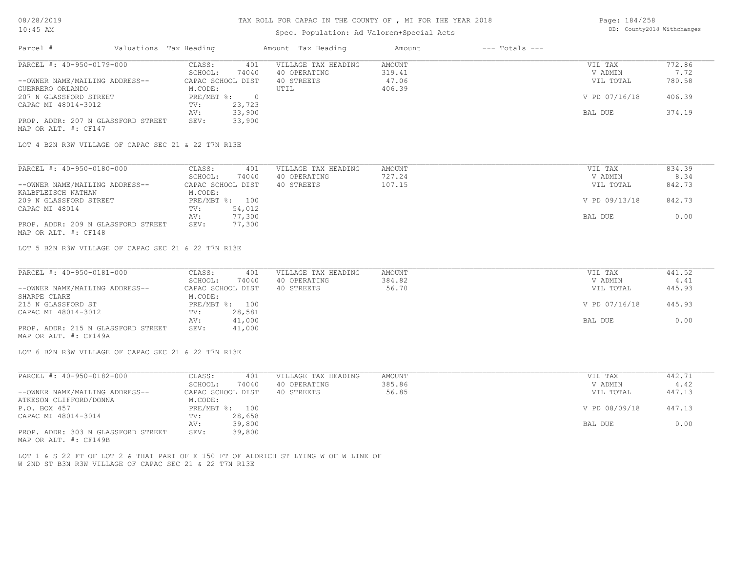# Spec. Population: Ad Valorem+Special Acts

| Page: 184/258 |                            |
|---------------|----------------------------|
|               | DB: County2018 Withchanges |

| Parcel #                                            | Valuations Tax Heading       | Amount Tax Heading  | $---$ Totals $---$<br>Amount |               |        |
|-----------------------------------------------------|------------------------------|---------------------|------------------------------|---------------|--------|
| PARCEL #: 40-950-0179-000                           | 401<br>CLASS:                | VILLAGE TAX HEADING | <b>AMOUNT</b>                | VIL TAX       | 772.86 |
|                                                     | 74040<br>SCHOOL:             | 40 OPERATING        | 319.41                       | V ADMIN       | 7.72   |
| --OWNER NAME/MAILING ADDRESS--                      | CAPAC SCHOOL DIST            | 40 STREETS          | 47.06                        | VIL TOTAL     | 780.58 |
| GUERRERO ORLANDO                                    | M.CODE:                      | UTIL                | 406.39                       |               |        |
| 207 N GLASSFORD STREET                              | PRE/MBT %:<br>$\overline{0}$ |                     |                              | V PD 07/16/18 | 406.39 |
| CAPAC MI 48014-3012                                 | 23,723<br>TV:                |                     |                              |               |        |
|                                                     | 33,900<br>AV:                |                     |                              | BAL DUE       | 374.19 |
| PROP. ADDR: 207 N GLASSFORD STREET                  | 33,900<br>SEV:               |                     |                              |               |        |
| MAP OR ALT. #: CF147                                |                              |                     |                              |               |        |
|                                                     |                              |                     |                              |               |        |
| LOT 4 B2N R3W VILLAGE OF CAPAC SEC 21 & 22 T7N R13E |                              |                     |                              |               |        |
|                                                     |                              |                     |                              |               |        |
| PARCEL #: 40-950-0180-000                           | 401<br>CLASS:                | VILLAGE TAX HEADING | <b>AMOUNT</b>                | VIL TAX       | 834.39 |
|                                                     | SCHOOL:<br>74040             | 40 OPERATING        | 727.24                       | V ADMIN       | 8.34   |
| --OWNER NAME/MAILING ADDRESS--                      | CAPAC SCHOOL DIST            | 40 STREETS          | 107.15                       | VIL TOTAL     | 842.73 |
| KALBFLEISCH NATHAN                                  | M.CODE:                      |                     |                              |               |        |
| 209 N GLASSFORD STREET                              | PRE/MBT %: 100               |                     |                              | V PD 09/13/18 | 842.73 |
| CAPAC MI 48014                                      | 54,012<br>TV:                |                     |                              |               |        |
|                                                     | 77,300<br>AV:                |                     |                              | BAL DUE       | 0.00   |
| PROP. ADDR: 209 N GLASSFORD STREET                  | 77,300<br>SEV:               |                     |                              |               |        |
| MAP OR ALT. #: CF148                                |                              |                     |                              |               |        |
|                                                     |                              |                     |                              |               |        |
| LOT 5 B2N R3W VILLAGE OF CAPAC SEC 21 & 22 T7N R13E |                              |                     |                              |               |        |
|                                                     |                              |                     |                              |               |        |
| PARCEL #: 40-950-0181-000                           | 401<br>CLASS:                | VILLAGE TAX HEADING | AMOUNT                       | VIL TAX       | 441.52 |
|                                                     | SCHOOL:<br>74040             | 40 OPERATING        | 384.82                       | V ADMIN       | 4.41   |
| --OWNER NAME/MAILING ADDRESS--                      | CAPAC SCHOOL DIST            | 40 STREETS          | 56.70                        | VIL TOTAL     | 445.93 |
|                                                     |                              |                     |                              |               |        |

| UNNER NATE/MAILLING ADDRESS        | CULUC ACHOOT DIAI | ى سىسىمى ب | JU.IU | VII IVIAI     | ココリ・ノリ |
|------------------------------------|-------------------|------------|-------|---------------|--------|
| SHARPE CLARE                       | M.CODE:           |            |       |               |        |
| 215 N GLASSFORD ST                 | PRE/MBT %: 100    |            |       | V PD 07/16/18 | 445.93 |
| CAPAC MI 48014-3012                | 28,581<br>TV:     |            |       |               |        |
|                                    | 41,000<br>AV:     |            |       | BAL DUE       | 0.00   |
| PROP. ADDR: 215 N GLASSFORD STREET | 41,000<br>SEV:    |            |       |               |        |
| MAP OR ALT. #: CF149A              |                   |            |       |               |        |

LOT 6 B2N R3W VILLAGE OF CAPAC SEC 21 & 22 T7N R13E

| PARCEL #: 40-950-0182-000                                                | CLASS:            | 401    | VILLAGE TAX HEADING | AMOUNT | VIL TAX       | 442.71 |  |
|--------------------------------------------------------------------------|-------------------|--------|---------------------|--------|---------------|--------|--|
|                                                                          | SCHOOL:           | 74040  | 40 OPERATING        | 385.86 | V ADMIN       | 4.42   |  |
| --OWNER NAME/MAILING ADDRESS--                                           | CAPAC SCHOOL DIST |        | 40 STREETS          | 56.85  | VIL TOTAL     | 447.13 |  |
| ATKESON CLIFFORD/DONNA                                                   | M.CODE:           |        |                     |        |               |        |  |
| P.O. BOX 457                                                             | PRE/MBT %: 100    |        |                     |        | V PD 08/09/18 | 447.13 |  |
| CAPAC MI 48014-3014                                                      | TV:               | 28,658 |                     |        |               |        |  |
|                                                                          | AV:               | 39,800 |                     |        | BAL DUE       | 0.00   |  |
| PROP. ADDR: 303 N GLASSFORD STREET<br>$MAD$ $CD$ $ATH$ $\pm$ $CD1$ $ADD$ | SEV:              | 39,800 |                     |        |               |        |  |

MAP OR ALT. #: CF149B

W 2ND ST B3N R3W VILLAGE OF CAPAC SEC 21 & 22 T7N R13E LOT 1 & S 22 FT OF LOT 2 & THAT PART OF E 150 FT OF ALDRICH ST LYING W OF W LINE OF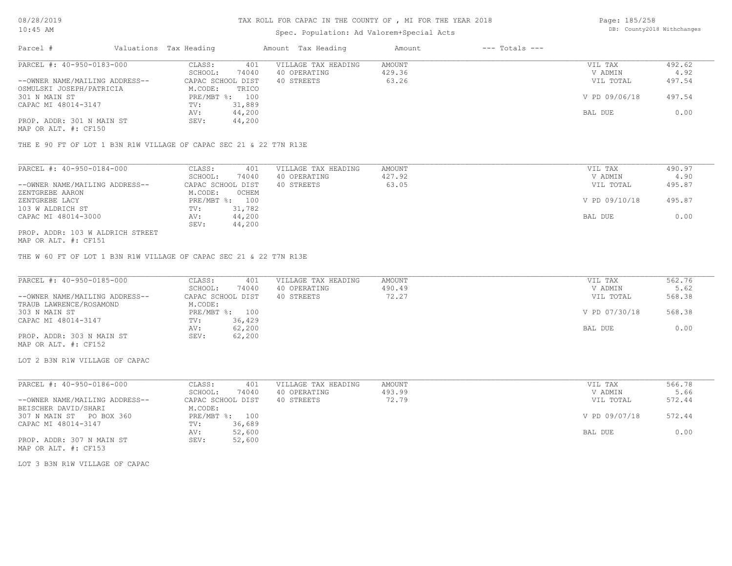# Spec. Population: Ad Valorem+Special Acts

Page: 185/258 DB: County2018 Withchanges

| Parcel #                       | Valuations Tax Heading |                | Amount Tax Heading  | Amount | $---$ Totals $---$ |               |        |
|--------------------------------|------------------------|----------------|---------------------|--------|--------------------|---------------|--------|
| PARCEL #: 40-950-0183-000      | CLASS:                 | 401            | VILLAGE TAX HEADING | AMOUNT |                    | VIL TAX       | 492.62 |
|                                | SCHOOL:                | 74040          | 40 OPERATING        | 429.36 |                    | V ADMIN       | 4.92   |
| --OWNER NAME/MAILING ADDRESS-- | CAPAC SCHOOL DIST      |                | 40 STREETS          | 63.26  |                    | VIL TOTAL     | 497.54 |
| OSMULSKI JOSEPH/PATRICIA       | M.CODE:                | TRICO          |                     |        |                    |               |        |
| 301 N MAIN ST                  |                        | PRE/MBT %: 100 |                     |        |                    | V PD 09/06/18 | 497.54 |
| CAPAC MI 48014-3147            | TV:                    | 31,889         |                     |        |                    |               |        |
|                                | AV:                    | 44,200         |                     |        |                    | BAL DUE       | 0.00   |
| PROP. ADDR: 301 N MAIN ST      | SEV:                   | 44,200         |                     |        |                    |               |        |
| MAP OR ALT. #: CF150           |                        |                |                     |        |                    |               |        |

THE E 90 FT OF LOT 1 B3N R1W VILLAGE OF CAPAC SEC 21 & 22 T7N R13E

| PARCEL #: 40-950-0184-000        | CLASS:            | 401    | VILLAGE TAX HEADING | AMOUNT | VIL TAX       | 490.97 |
|----------------------------------|-------------------|--------|---------------------|--------|---------------|--------|
|                                  | SCHOOL:           | 74040  | 40 OPERATING        | 427.92 | V ADMIN       | 4.90   |
| --OWNER NAME/MAILING ADDRESS--   | CAPAC SCHOOL DIST |        | 40 STREETS          | 63.05  | VIL TOTAL     | 495.87 |
| ZENTGREBE AARON                  | M.CODE:           | 0 CHEM |                     |        |               |        |
| ZENTGREBE LACY                   | PRE/MBT %:        | 100    |                     |        | V PD 09/10/18 | 495.87 |
| 103 W ALDRICH ST                 | TV:               | 31,782 |                     |        |               |        |
| CAPAC MI 48014-3000              | AV:               | 44,200 |                     |        | BAL DUE       | 0.00   |
|                                  | SEV:              | 44,200 |                     |        |               |        |
| PROP. ADDR: 103 W ALDRICH STREET |                   |        |                     |        |               |        |

MAP OR ALT. #: CF151

THE W 60 FT OF LOT 1 B3N R1W VILLAGE OF CAPAC SEC 21 & 22 T7N R13E

| PARCEL #: 40-950-0185-000      | CLASS:<br>401     | VILLAGE TAX HEADING | AMOUNT | VIL TAX       | 562.76 |
|--------------------------------|-------------------|---------------------|--------|---------------|--------|
|                                | 74040<br>SCHOOL:  | 40 OPERATING        | 490.49 | V ADMIN       | 5.62   |
| --OWNER NAME/MAILING ADDRESS-- | CAPAC SCHOOL DIST | 40 STREETS          | 72.27  | VIL TOTAL     | 568.38 |
| TRAUB LAWRENCE/ROSAMOND        | M.CODE:           |                     |        |               |        |
| 303 N MAIN ST                  | PRE/MBT %: 100    |                     |        | V PD 07/30/18 | 568.38 |
| CAPAC MI 48014-3147            | 36,429<br>TV:     |                     |        |               |        |
|                                | 62,200<br>AV:     |                     |        | BAL DUE       | 0.00   |
| PROP. ADDR: 303 N MAIN ST      | 62,200<br>SEV:    |                     |        |               |        |
| MAP OR ALT. #: CF152           |                   |                     |        |               |        |

LOT 2 B3N R1W VILLAGE OF CAPAC

| PARCEL #: 40-950-0186-000      | 401<br>CLASS:     | VILLAGE TAX HEADING | AMOUNT | VIL TAX       | 566.78 |
|--------------------------------|-------------------|---------------------|--------|---------------|--------|
|                                | 74040<br>SCHOOL:  | 40 OPERATING        | 493.99 | V ADMIN       | 5.66   |
| --OWNER NAME/MAILING ADDRESS-- | CAPAC SCHOOL DIST | 40 STREETS          | 72.79  | VIL TOTAL     | 572.44 |
| BEISCHER DAVID/SHARI           | M.CODE:           |                     |        |               |        |
| 307 N MAIN ST PO BOX 360       | PRE/MBT %: 100    |                     |        | V PD 09/07/18 | 572.44 |
| CAPAC MI 48014-3147            | 36,689<br>TV:     |                     |        |               |        |
|                                | 52,600<br>AV:     |                     |        | BAL DUE       | 0.00   |
| PROP. ADDR: 307 N MAIN ST      | 52,600<br>SEV:    |                     |        |               |        |
| MAP OR ALT. #: CF153           |                   |                     |        |               |        |

LOT 3 B3N R1W VILLAGE OF CAPAC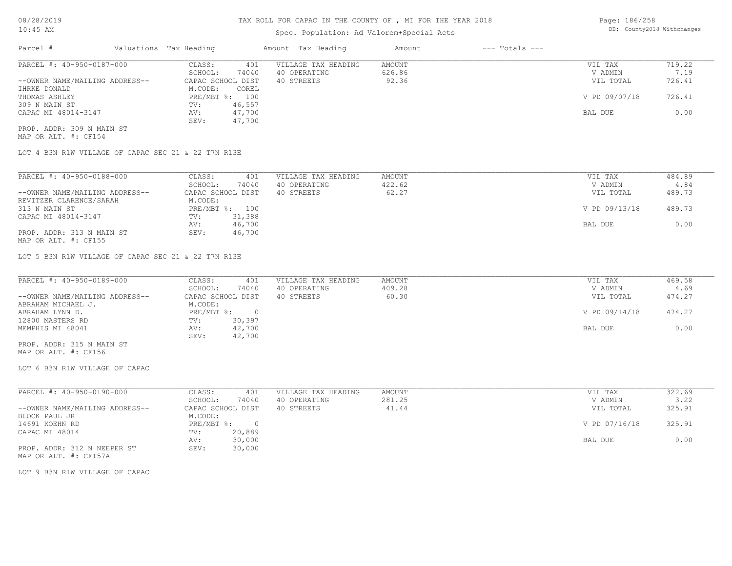# Spec. Population: Ad Valorem+Special Acts

| Page: 186/258 |                            |
|---------------|----------------------------|
|               | DB: County2018 Withchanges |

| Parcel #                       | Valuations Tax Heading |        | Amount Tax Heading  | Amount | $---$ Totals $---$ |               |        |
|--------------------------------|------------------------|--------|---------------------|--------|--------------------|---------------|--------|
| PARCEL #: 40-950-0187-000      | CLASS:                 | 401    | VILLAGE TAX HEADING | AMOUNT |                    | VIL TAX       | 719.22 |
|                                | SCHOOL:                | 74040  | 40 OPERATING        | 626.86 |                    | V ADMIN       | 7.19   |
| --OWNER NAME/MAILING ADDRESS-- | CAPAC SCHOOL DIST      |        | 40 STREETS          | 92.36  |                    | VIL TOTAL     | 726.41 |
| IHRKE DONALD                   | M.CODE:                | COREL  |                     |        |                    |               |        |
| THOMAS ASHLEY                  | PRE/MBT %: 100         |        |                     |        |                    | V PD 09/07/18 | 726.41 |
| 309 N MAIN ST                  | TV:                    | 46,557 |                     |        |                    |               |        |
| CAPAC MI 48014-3147            | AV:                    | 47,700 |                     |        |                    | BAL DUE       | 0.00   |
|                                | SEV:                   | 47,700 |                     |        |                    |               |        |
| PROP. ADDR: 309 N MAIN ST      |                        |        |                     |        |                    |               |        |

MAP OR ALT. #: CF154

LOT 4 B3N R1W VILLAGE OF CAPAC SEC 21 & 22 T7N R13E

| PARCEL #: 40-950-0188-000      | CLASS:     | 401               | VILLAGE TAX HEADING | AMOUNT | VIL TAX       | 484.89 |
|--------------------------------|------------|-------------------|---------------------|--------|---------------|--------|
|                                | SCHOOL:    | 74040             | 40 OPERATING        | 422.62 | V ADMIN       | 4.84   |
| --OWNER NAME/MAILING ADDRESS-- |            | CAPAC SCHOOL DIST | 40 STREETS          | 62.27  | VIL TOTAL     | 489.73 |
| REVITZER CLARENCE/SARAH        | M.CODE:    |                   |                     |        |               |        |
| 313 N MAIN ST                  | PRE/MBT %: | 100               |                     |        | V PD 09/13/18 | 489.73 |
| CAPAC MI 48014-3147            | TV:        | 31,388            |                     |        |               |        |
|                                | AV:        | 46,700            |                     |        | BAL DUE       | 0.00   |
| PROP. ADDR: 313 N MAIN ST      | SEV:       | 46,700            |                     |        |               |        |
| MAP OR ALT. #: CF155           |            |                   |                     |        |               |        |

LOT 5 B3N R1W VILLAGE OF CAPAC SEC 21 & 22 T7N R13E

| V ADMIN<br>VIL TOTAL | 4.69<br>474.27 |
|----------------------|----------------|
|                      |                |
|                      |                |
|                      |                |
| V PD 09/14/18        | 474.27         |
|                      |                |
| BAL DUE              | 0.00           |
|                      |                |
|                      |                |

MAP OR ALT. #: CF156 PROP. ADDR: 315 N MAIN ST

LOT 6 B3N R1W VILLAGE OF CAPAC

| PARCEL #: 40-950-0190-000      | CLASS:     | 401               | VILLAGE TAX HEADING | AMOUNT | VIL TAX       | 322.69 |
|--------------------------------|------------|-------------------|---------------------|--------|---------------|--------|
|                                | SCHOOL:    | 74040             | 40 OPERATING        | 281.25 | V ADMIN       | 3.22   |
| --OWNER NAME/MAILING ADDRESS-- |            | CAPAC SCHOOL DIST | 40 STREETS          | 41.44  | VIL TOTAL     | 325.91 |
| BLOCK PAUL JR                  | M.CODE:    |                   |                     |        |               |        |
| 14691 KOEHN RD                 | PRE/MBT %: |                   |                     |        | V PD 07/16/18 | 325.91 |
| CAPAC MI 48014                 | TV:        | 20,889            |                     |        |               |        |
|                                | AV:        | 30,000            |                     |        | BAL DUE       | 0.00   |
| PROP. ADDR: 312 N NEEPER ST    | SEV:       | 30,000            |                     |        |               |        |
| MAP OR ALT. #: CF157A          |            |                   |                     |        |               |        |

LOT 9 B3N R1W VILLAGE OF CAPAC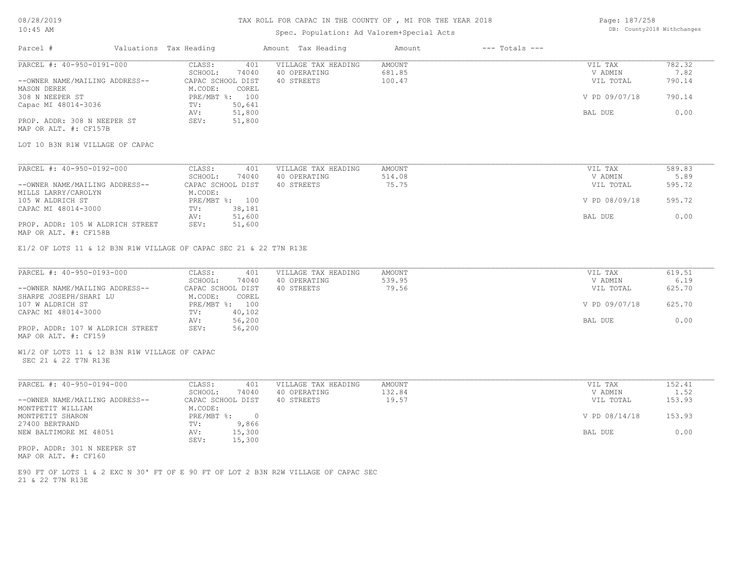# TAX ROLL FOR CAPAC IN THE COUNTY OF , MI FOR THE YEAR 2018

# Spec. Population: Ad Valorem+Special Acts

Page: 187/258 DB: County2018 Withchanges

| Parcel #                                                              | Valuations Tax Heading                                             | Amount Tax Heading                                                                 | Amount                     | $---$ Totals $---$ |                                 |                          |
|-----------------------------------------------------------------------|--------------------------------------------------------------------|------------------------------------------------------------------------------------|----------------------------|--------------------|---------------------------------|--------------------------|
| PARCEL #: 40-950-0191-000<br>--OWNER NAME/MAILING ADDRESS--           | CLASS:<br>401<br>SCHOOL:<br>74040<br>CAPAC SCHOOL DIST             | VILLAGE TAX HEADING<br>40 OPERATING<br>40 STREETS                                  | AMOUNT<br>681.85<br>100.47 |                    | VIL TAX<br>V ADMIN<br>VIL TOTAL | 782.32<br>7.82<br>790.14 |
| MASON DEREK<br>308 N NEEPER ST                                        | M.CODE:<br>COREL<br>PRE/MBT %: 100                                 |                                                                                    |                            |                    | V PD 09/07/18                   | 790.14                   |
| Capac MI 48014-3036                                                   | 50,641<br>TV:<br>51,800<br>AV:                                     |                                                                                    |                            |                    | BAL DUE                         | 0.00                     |
| PROP. ADDR: 308 N NEEPER ST<br>MAP OR ALT. #: CF157B                  | SEV:<br>51,800                                                     |                                                                                    |                            |                    |                                 |                          |
| LOT 10 B3N R1W VILLAGE OF CAPAC                                       |                                                                    |                                                                                    |                            |                    |                                 |                          |
| PARCEL #: 40-950-0192-000                                             | CLASS:<br>401                                                      | VILLAGE TAX HEADING                                                                | <b>AMOUNT</b>              |                    | VIL TAX                         | 589.83                   |
| --OWNER NAME/MAILING ADDRESS--                                        | SCHOOL:<br>74040<br>CAPAC SCHOOL DIST                              | 40 OPERATING<br>40 STREETS                                                         | 514.08<br>75.75            |                    | V ADMIN<br>VIL TOTAL            | 5.89<br>595.72           |
| MILLS LARRY/CAROLYN<br>105 W ALDRICH ST                               | M.CODE:<br>PRE/MBT %: 100                                          |                                                                                    |                            |                    | V PD 08/09/18                   | 595.72                   |
| CAPAC MI 48014-3000                                                   | 38,181<br>TV:<br>51,600<br>AV:                                     |                                                                                    |                            |                    | BAL DUE                         | 0.00                     |
| PROP. ADDR: 105 W ALDRICH STREET<br>MAP OR ALT. #: CF158B             | SEV:<br>51,600                                                     |                                                                                    |                            |                    |                                 |                          |
|                                                                       | E1/2 OF LOTS 11 & 12 B3N R1W VILLAGE OF CAPAC SEC 21 & 22 T7N R13E |                                                                                    |                            |                    |                                 |                          |
|                                                                       |                                                                    |                                                                                    |                            |                    |                                 |                          |
| PARCEL #: 40-950-0193-000                                             | CLASS:<br>401<br>SCHOOL:<br>74040                                  | VILLAGE TAX HEADING<br>40 OPERATING                                                | <b>AMOUNT</b><br>539.95    |                    | VIL TAX<br>V ADMIN              | 619.51<br>6.19           |
| --OWNER NAME/MAILING ADDRESS--<br>SHARPE JOSEPH/SHARI LU              | CAPAC SCHOOL DIST<br>M.CODE:<br>COREL                              | 40 STREETS                                                                         | 79.56                      |                    | VIL TOTAL                       | 625.70                   |
| 107 W ALDRICH ST<br>CAPAC MI 48014-3000                               | PRE/MBT %: 100<br>40,102<br>TV:                                    |                                                                                    |                            |                    | V PD 09/07/18                   | 625.70                   |
| PROP. ADDR: 107 W ALDRICH STREET                                      | 56,200<br>AV:<br>56,200<br>SEV:                                    |                                                                                    |                            |                    | BAL DUE                         | 0.00                     |
| MAP OR ALT. #: CF159                                                  |                                                                    |                                                                                    |                            |                    |                                 |                          |
| W1/2 OF LOTS 11 & 12 B3N R1W VILLAGE OF CAPAC<br>SEC 21 & 22 T7N R13E |                                                                    |                                                                                    |                            |                    |                                 |                          |
| PARCEL #: 40-950-0194-000                                             | CLASS:<br>401                                                      | VILLAGE TAX HEADING                                                                | AMOUNT                     |                    | VIL TAX                         | 152.41                   |
| --OWNER NAME/MAILING ADDRESS--                                        | SCHOOL:<br>74040<br>CAPAC SCHOOL DIST                              | 40 OPERATING<br>40 STREETS                                                         | 132.84<br>19.57            |                    | V ADMIN<br>VIL TOTAL            | 1.52<br>153.93           |
| MONTPETIT WILLIAM<br>MONTPETIT SHARON                                 | M.CODE:<br>PRE/MBT %:<br>$\sim$ 0                                  |                                                                                    |                            |                    | V PD 08/14/18                   | 153.93                   |
| 27400 BERTRAND                                                        | 9,866<br>TV:                                                       |                                                                                    |                            |                    |                                 | 0.00                     |
| NEW BALTIMORE MI 48051                                                | AV:<br>15,300<br>SEV:<br>15,300                                    |                                                                                    |                            |                    | BAL DUE                         |                          |
| PROP. ADDR: 301 N NEEPER ST<br>MAP OR ALT. #: CF160                   |                                                                    |                                                                                    |                            |                    |                                 |                          |
| 21 & 22 T7N R13E                                                      |                                                                    | E90 FT OF LOTS 1 & 2 EXC N 30' FT OF E 90 FT OF LOT 2 B3N R2W VILLAGE OF CAPAC SEC |                            |                    |                                 |                          |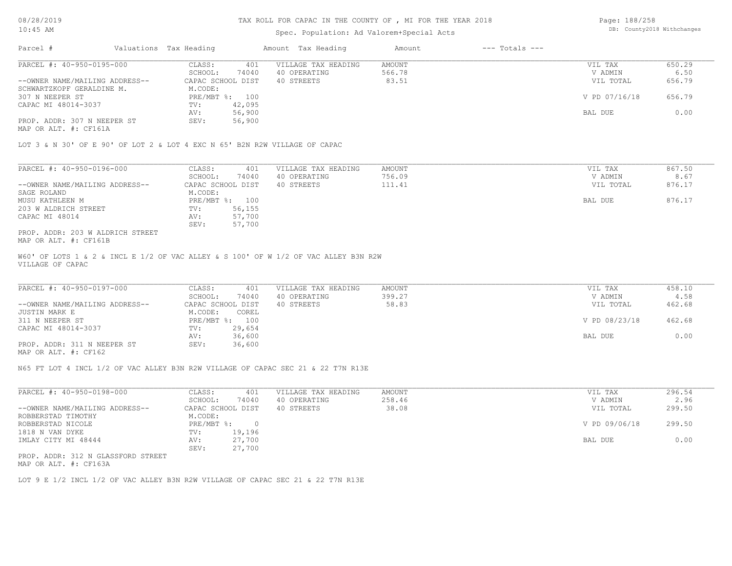#### TAX ROLL FOR CAPAC IN THE COUNTY OF , MI FOR THE YEAR 2018

#### Spec. Population: Ad Valorem+Special Acts

Page: 188/258 DB: County2018 Withchanges

| Parcel #                       |  | Valuations Tax Heading |                | Amount Tax Heading  | Amount | $---$ Totals $---$ |               |        |
|--------------------------------|--|------------------------|----------------|---------------------|--------|--------------------|---------------|--------|
| PARCEL #: 40-950-0195-000      |  | CLASS:                 | 401            | VILLAGE TAX HEADING | AMOUNT |                    | VIL TAX       | 650.29 |
|                                |  | SCHOOL:                | 74040          | 40 OPERATING        | 566.78 |                    | V ADMIN       | 6.50   |
| --OWNER NAME/MAILING ADDRESS-- |  | CAPAC SCHOOL DIST      |                | 40 STREETS          | 83.51  |                    | VIL TOTAL     | 656.79 |
| SCHWARTZKOPF GERALDINE M.      |  | M.CODE:                |                |                     |        |                    |               |        |
| 307 N NEEPER ST                |  |                        | PRE/MBT %: 100 |                     |        |                    | V PD 07/16/18 | 656.79 |
| CAPAC MI 48014-3037            |  | TV:                    | 42,095         |                     |        |                    |               |        |
|                                |  | AV:                    | 56,900         |                     |        |                    | BAL DUE       | 0.00   |
| PROP. ADDR: 307 N NEEPER ST    |  | SEV:                   | 56,900         |                     |        |                    |               |        |
|                                |  |                        |                |                     |        |                    |               |        |

MAP OR ALT. #: CF161A

LOT 3 & N 30' OF E 90' OF LOT 2 & LOT 4 EXC N 65' B2N R2W VILLAGE OF CAPAC

| PARCEL #: 40-950-0196-000        | CLASS:            | 401            | VILLAGE TAX HEADING | AMOUNT | VIL TAX   | 867.50 |
|----------------------------------|-------------------|----------------|---------------------|--------|-----------|--------|
|                                  | SCHOOL:           | 74040          | 40 OPERATING        | 756.09 | V ADMIN   | 8.67   |
| --OWNER NAME/MAILING ADDRESS--   | CAPAC SCHOOL DIST |                | 40 STREETS          | 111.41 | VIL TOTAL | 876.17 |
| SAGE ROLAND                      | M.CODE:           |                |                     |        |           |        |
| MUSU KATHLEEN M                  |                   | PRE/MBT %: 100 |                     |        | BAL DUE   | 876.17 |
| 203 W ALDRICH STREET             | TV:               | 56,155         |                     |        |           |        |
| CAPAC MI 48014                   | AV:               | 57,700         |                     |        |           |        |
|                                  | SEV:              | 57,700         |                     |        |           |        |
| PROP. ADDR: 203 W ALDRICH STREET |                   |                |                     |        |           |        |
|                                  |                   |                |                     |        |           |        |

MAP OR ALT. #: CF161B

VILLAGE OF CAPAC W60' OF LOTS 1 & 2 & INCL E 1/2 OF VAC ALLEY & S 100' OF W 1/2 OF VAC ALLEY B3N R2W

| PARCEL #: 40-950-0197-000      | CLASS:<br>401     | VILLAGE TAX HEADING | AMOUNT | VIL TAX       | 458.10 |
|--------------------------------|-------------------|---------------------|--------|---------------|--------|
|                                | 74040<br>SCHOOL:  | 40 OPERATING        | 399.27 | V ADMIN       | 4.58   |
| --OWNER NAME/MAILING ADDRESS-- | CAPAC SCHOOL DIST | 40 STREETS          | 58.83  | VIL TOTAL     | 462.68 |
| JUSTIN MARK E                  | M.CODE:<br>COREL  |                     |        |               |        |
| 311 N NEEPER ST                | PRE/MBT %: 100    |                     |        | V PD 08/23/18 | 462.68 |
| CAPAC MI 48014-3037            | 29,654<br>TV:     |                     |        |               |        |
|                                | 36,600<br>AV:     |                     |        | BAL DUE       | 0.00   |
| PROP. ADDR: 311 N NEEPER ST    | 36,600<br>SEV:    |                     |        |               |        |
|                                |                   |                     |        |               |        |

MAP OR ALT. #: CF162

N65 FT LOT 4 INCL 1/2 OF VAC ALLEY B3N R2W VILLAGE OF CAPAC SEC 21 & 22 T7N R13E

| PARCEL #: 40-950-0198-000          | CLASS:     | 401               | VILLAGE TAX HEADING | AMOUNT | 296.54<br>VIL TAX       |
|------------------------------------|------------|-------------------|---------------------|--------|-------------------------|
|                                    | SCHOOL:    | 74040             | 40 OPERATING        | 258.46 | 2.96<br>V ADMIN         |
| --OWNER NAME/MAILING ADDRESS--     |            | CAPAC SCHOOL DIST | 40 STREETS          | 38.08  | 299.50<br>VIL TOTAL     |
| ROBBERSTAD TIMOTHY                 | M.CODE:    |                   |                     |        |                         |
| ROBBERSTAD NICOLE                  | PRE/MBT %: |                   |                     |        | 299.50<br>V PD 09/06/18 |
| 1818 N VAN DYKE                    | TV:        | 19,196            |                     |        |                         |
| IMLAY CITY MI 48444                | AV:        | 27,700            |                     |        | 0.00<br>BAL DUE         |
|                                    | SEV:       | 27,700            |                     |        |                         |
| PROP. ADDR: 312 N GLASSFORD STREET |            |                   |                     |        |                         |

MAP OR ALT. #: CF163A

LOT 9 E 1/2 INCL 1/2 OF VAC ALLEY B3N R2W VILLAGE OF CAPAC SEC 21 & 22 T7N R13E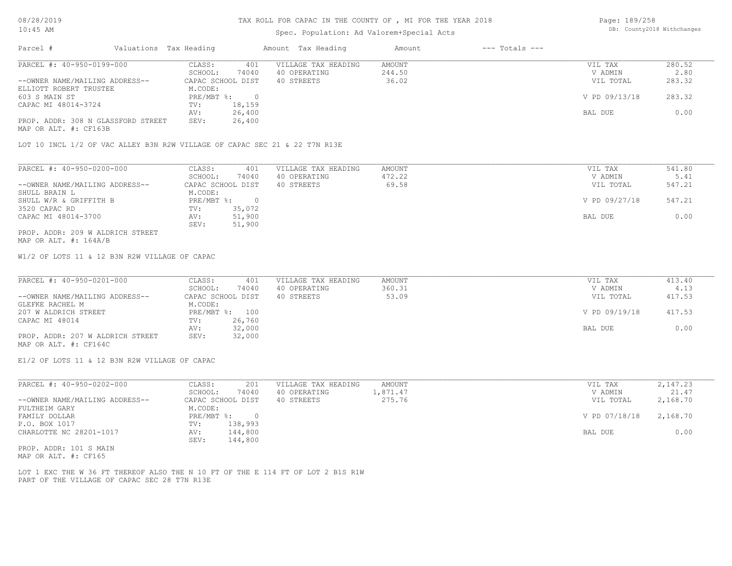#### TAX ROLL FOR CAPAC IN THE COUNTY OF , MI FOR THE YEAR 2018

### Spec. Population: Ad Valorem+Special Acts

Page: 189/258 DB: County2018 Withchanges

| Parcel #                           | Valuations Tax Heading |        | Amount Tax Heading  | Amount | $---$ Totals $---$ |               |        |
|------------------------------------|------------------------|--------|---------------------|--------|--------------------|---------------|--------|
| PARCEL #: 40-950-0199-000          | CLASS:                 | 401    | VILLAGE TAX HEADING | AMOUNT |                    | VIL TAX       | 280.52 |
|                                    | SCHOOL:                | 74040  | 40 OPERATING        | 244.50 |                    | V ADMIN       | 2.80   |
| --OWNER NAME/MAILING ADDRESS--     | CAPAC SCHOOL DIST      |        | 40 STREETS          | 36.02  |                    | VIL TOTAL     | 283.32 |
| ELLIOTT ROBERT TRUSTEE             | M.CODE:                |        |                     |        |                    |               |        |
| 603 S MAIN ST                      | $PRE/MBT$ %:           |        |                     |        |                    | V PD 09/13/18 | 283.32 |
| CAPAC MI 48014-3724                | TV:                    | 18,159 |                     |        |                    |               |        |
|                                    | AV:                    | 26,400 |                     |        |                    | BAL DUE       | 0.00   |
| PROP. ADDR: 308 N GLASSFORD STREET | SEV:                   | 26,400 |                     |        |                    |               |        |
| MAP OR ALT. #: CF163B              |                        |        |                     |        |                    |               |        |

LOT 10 INCL 1/2 OF VAC ALLEY B3N R2W VILLAGE OF CAPAC SEC 21 & 22 T7N R13E

| PARCEL #: 40-950-0200-000        | CLASS:            | 401    | VILLAGE TAX HEADING | AMOUNT | VIL TAX       | 541.80 |
|----------------------------------|-------------------|--------|---------------------|--------|---------------|--------|
|                                  | SCHOOL:           | 74040  | 40 OPERATING        | 472.22 | V ADMIN       | 5.41   |
| --OWNER NAME/MAILING ADDRESS--   | CAPAC SCHOOL DIST |        | 40 STREETS          | 69.58  | VIL TOTAL     | 547.21 |
| SHULL BRAIN L                    | M.CODE:           |        |                     |        |               |        |
| SHULL W/R & GRIFFITH B           | PRE/MBT %:        |        |                     |        | V PD 09/27/18 | 547.21 |
| 3520 CAPAC RD                    | TV:               | 35,072 |                     |        |               |        |
| CAPAC MI 48014-3700              | AV:               | 51,900 |                     |        | BAL DUE       | 0.00   |
|                                  | SEV:              | 51,900 |                     |        |               |        |
| PROP. ADDR: 209 W ALDRICH STREET |                   |        |                     |        |               |        |

MAP OR ALT. #: 164A/B

W1/2 OF LOTS 11 & 12 B3N R2W VILLAGE OF CAPAC

| PARCEL #: 40-950-0201-000        | CLASS:<br>401     | VILLAGE TAX HEADING | AMOUNT | VIL TAX       | 413.40 |
|----------------------------------|-------------------|---------------------|--------|---------------|--------|
|                                  | 74040<br>SCHOOL:  | 40 OPERATING        | 360.31 | V ADMIN       | 4.13   |
| --OWNER NAME/MAILING ADDRESS--   | CAPAC SCHOOL DIST | 40 STREETS          | 53.09  | VIL TOTAL     | 417.53 |
| GLEFKE RACHEL M                  | M.CODE:           |                     |        |               |        |
| 207 W ALDRICH STREET             | PRE/MBT %: 100    |                     |        | V PD 09/19/18 | 417.53 |
| CAPAC MI 48014                   | 26,760<br>TV:     |                     |        |               |        |
|                                  | 32,000<br>AV:     |                     |        | BAL DUE       | 0.00   |
| PROP. ADDR: 207 W ALDRICH STREET | 32,000<br>SEV:    |                     |        |               |        |
| MAP OR ALT. #: CF164C            |                   |                     |        |               |        |

E1/2 OF LOTS 11 & 12 B3N R2W VILLAGE OF CAPAC

| PARCEL #: 40-950-0202-000      | CLASS:<br>201     | VILLAGE TAX HEADING | AMOUNT   | VIL TAX       | 2,147.23 |
|--------------------------------|-------------------|---------------------|----------|---------------|----------|
|                                | 74040<br>SCHOOL:  | 40 OPERATING        | 1,871.47 | V ADMIN       | 21.47    |
| --OWNER NAME/MAILING ADDRESS-- | CAPAC SCHOOL DIST | 40 STREETS          | 275.76   | VIL TOTAL     | 2,168.70 |
| FULTHEIM GARY                  | M.CODE:           |                     |          |               |          |
| FAMILY DOLLAR                  | PRE/MBT %:        |                     |          | V PD 07/18/18 | 2,168.70 |
| P.O. BOX 1017                  | 138,993<br>TV:    |                     |          |               |          |
| CHARLOTTE NC 28201-1017        | 144,800<br>AV:    |                     |          | BAL DUE       | 0.00     |
|                                | 144,800<br>SEV:   |                     |          |               |          |
| DDOD 3DDD: 101 0 M3 TM         |                   |                     |          |               |          |

MAP OR ALT. #: CF165 PROP. ADDR: 101 S MAIN

PART OF THE VILLAGE OF CAPAC SEC 28 T7N R13E LOT 1 EXC THE W 36 FT THEREOF ALSO THE N 10 FT OF THE E 114 FT OF LOT 2 B1S R1W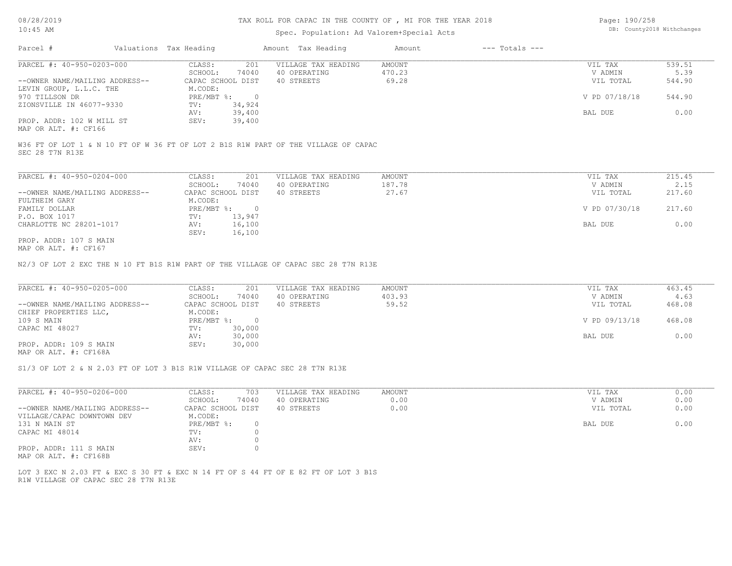#### TAX ROLL FOR CAPAC IN THE COUNTY OF , MI FOR THE YEAR 2018

### Spec. Population: Ad Valorem+Special Acts

| Page: 190/258 |                            |
|---------------|----------------------------|
|               | DB: County2018 Withchanges |

| Parcel #                       | Valuations Tax Heading |        | Amount Tax Heading  | Amount | $---$ Totals $---$ |               |        |
|--------------------------------|------------------------|--------|---------------------|--------|--------------------|---------------|--------|
| PARCEL #: 40-950-0203-000      | CLASS:                 | 201    | VILLAGE TAX HEADING | AMOUNT |                    | VIL TAX       | 539.51 |
|                                | SCHOOL:                | 74040  | 40 OPERATING        | 470.23 |                    | V ADMIN       | 5.39   |
| --OWNER NAME/MAILING ADDRESS-- | CAPAC SCHOOL DIST      |        | 40 STREETS          | 69.28  |                    | VIL TOTAL     | 544.90 |
| LEVIN GROUP, L.L.C. THE        | M.CODE:                |        |                     |        |                    |               |        |
| 970 TILLSON DR                 | PRE/MBT %:             |        |                     |        |                    | V PD 07/18/18 | 544.90 |
| ZIONSVILLE IN 46077-9330       | TV:                    | 34,924 |                     |        |                    |               |        |
|                                | AV:                    | 39,400 |                     |        |                    | BAL DUE       | 0.00   |
| PROP. ADDR: 102 W MILL ST      | SEV:                   | 39,400 |                     |        |                    |               |        |
|                                |                        |        |                     |        |                    |               |        |

MAP OR ALT. #: CF166

SEC 28 T7N R13E W36 FT OF LOT 1 & N 10 FT OF W 36 FT OF LOT 2 B1S R1W PART OF THE VILLAGE OF CAPAC

| PARCEL #: 40-950-0204-000      | CLASS:     | 201               | VILLAGE TAX HEADING | AMOUNT | VIL TAX       | 215.45 |
|--------------------------------|------------|-------------------|---------------------|--------|---------------|--------|
|                                | SCHOOL:    | 74040             | 40 OPERATING        | 187.78 | V ADMIN       | 2.15   |
| --OWNER NAME/MAILING ADDRESS-- |            | CAPAC SCHOOL DIST | 40 STREETS          | 27.67  | VIL TOTAL     | 217.60 |
| FULTHEIM GARY                  | M.CODE:    |                   |                     |        |               |        |
| FAMILY DOLLAR                  | PRE/MBT %: |                   |                     |        | V PD 07/30/18 | 217.60 |
| P.O. BOX 1017                  | TV:        | 13,947            |                     |        |               |        |
| CHARLOTTE NC 28201-1017        | AV:        | 16,100            |                     |        | BAL DUE       | 0.00   |
|                                | SEV:       | 16,100            |                     |        |               |        |
| PROP. ADDR: 107 S MAIN         |            |                   |                     |        |               |        |

MAP OR ALT. #: CF167

N2/3 OF LOT 2 EXC THE N 10 FT B1S R1W PART OF THE VILLAGE OF CAPAC SEC 28 T7N R13E

| PARCEL #: 40-950-0205-000      | CLASS:            | VILLAGE TAX HEADING<br>201 | AMOUNT | VIL TAX       | 463.45 |
|--------------------------------|-------------------|----------------------------|--------|---------------|--------|
|                                | 74040<br>SCHOOL:  | 40 OPERATING               | 403.93 | V ADMIN       | 4.63   |
| --OWNER NAME/MAILING ADDRESS-- | CAPAC SCHOOL DIST | 40 STREETS                 | 59.52  | VIL TOTAL     | 468.08 |
| CHIEF PROPERTIES LLC,          | M.CODE:           |                            |        |               |        |
| 109 S MAIN                     | $PRE/MBT$ %:      |                            |        | V PD 09/13/18 | 468.08 |
| CAPAC MI 48027                 | 30,000<br>TV:     |                            |        |               |        |
|                                | 30,000<br>AV:     |                            |        | BAL DUE       | 0.00   |
| PROP. ADDR: 109 S MAIN         | 30,000<br>SEV:    |                            |        |               |        |
|                                |                   |                            |        |               |        |

MAP OR ALT. #: CF168A

S1/3 OF LOT 2 & N 2.03 FT OF LOT 3 B1S R1W VILLAGE OF CAPAC SEC 28 T7N R13E

| PARCEL #: 40-950-0206-000      | CLASS:            | 703   | VILLAGE TAX HEADING | AMOUNT | VIL TAX   | 0.00 |
|--------------------------------|-------------------|-------|---------------------|--------|-----------|------|
|                                | SCHOOL:           | 74040 | 40 OPERATING        | 0.00   | V ADMIN   | 0.00 |
| --OWNER NAME/MAILING ADDRESS-- | CAPAC SCHOOL DIST |       | 40 STREETS          | 0.00   | VIL TOTAL | 0.00 |
| VILLAGE/CAPAC DOWNTOWN DEV     | M.CODE:           |       |                     |        |           |      |
| 131 N MAIN ST                  | PRE/MBT %:        |       |                     |        | BAL DUE   | 0.00 |
| CAPAC MI 48014                 | TV:               |       |                     |        |           |      |
|                                | AV:               |       |                     |        |           |      |
| PROP. ADDR: 111 S MAIN         | SEV:              |       |                     |        |           |      |

MAP OR ALT. #: CF168B

R1W VILLAGE OF CAPAC SEC 28 T7N R13E LOT 3 EXC N 2.03 FT & EXC S 30 FT & EXC N 14 FT OF S 44 FT OF E 82 FT OF LOT 3 B1S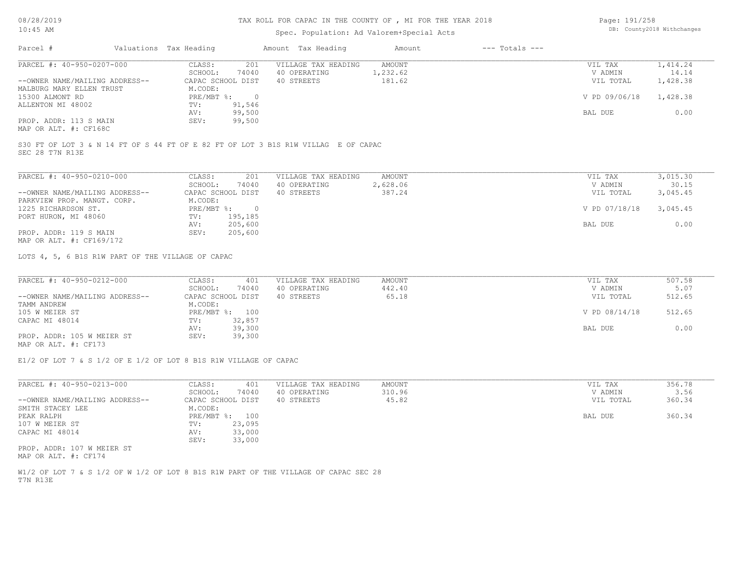#### TAX ROLL FOR CAPAC IN THE COUNTY OF , MI FOR THE YEAR 2018

#### Spec. Population: Ad Valorem+Special Acts

| Page: 191/258 |                            |
|---------------|----------------------------|
|               | DB: County2018 Withchanges |

| Parcel #                       | Valuations Tax Heading |        | Amount Tax Heading  | Amount   | $---$ Totals $---$ |               |          |
|--------------------------------|------------------------|--------|---------------------|----------|--------------------|---------------|----------|
| PARCEL #: 40-950-0207-000      | CLASS:                 | 201    | VILLAGE TAX HEADING | AMOUNT   |                    | VIL TAX       | 1,414.24 |
|                                | SCHOOL:                | 74040  | 40 OPERATING        | 1,232.62 |                    | V ADMIN       | 14.14    |
| --OWNER NAME/MAILING ADDRESS-- | CAPAC SCHOOL DIST      |        | 40 STREETS          | 181.62   |                    | VIL TOTAL     | 1,428.38 |
| MALBURG MARY ELLEN TRUST       | M.CODE:                |        |                     |          |                    |               |          |
| 15300 ALMONT RD                | PRE/MBT %:             |        |                     |          |                    | V PD 09/06/18 | 1,428.38 |
| ALLENTON MI 48002              | TV:                    | 91,546 |                     |          |                    |               |          |
|                                | AV:                    | 99,500 |                     |          |                    | BAL DUE       | 0.00     |
| PROP. ADDR: 113 S MAIN         | SEV:                   | 99,500 |                     |          |                    |               |          |
| MAP OR ALT. #: CF168C          |                        |        |                     |          |                    |               |          |

SEC 28 T7N R13E S30 FT OF LOT 3 & N 14 FT OF S 44 FT OF E 82 FT OF LOT 3 B1S R1W VILLAG E OF CAPAC

| PARCEL #: 40-950-0210-000      | CLASS:     | 201               | VILLAGE TAX HEADING | AMOUNT   | VIL TAX       | 3,015.30 |
|--------------------------------|------------|-------------------|---------------------|----------|---------------|----------|
|                                | SCHOOL:    | 74040             | 40 OPERATING        | 2,628.06 | V ADMIN       | 30.15    |
| --OWNER NAME/MAILING ADDRESS-- |            | CAPAC SCHOOL DIST | 40 STREETS          | 387.24   | VIL TOTAL     | 3,045.45 |
| PARKVIEW PROP. MANGT. CORP.    | M.CODE:    |                   |                     |          |               |          |
| 1225 RICHARDSON ST.            | PRE/MBT %: | $\cap$            |                     |          | V PD 07/18/18 | 3,045.45 |
| PORT HURON, MI 48060           | TV:        | 195,185           |                     |          |               |          |
|                                | AV:        | 205,600           |                     |          | BAL DUE       | 0.00     |
| PROP. ADDR: 119 S MAIN         | SEV:       | 205,600           |                     |          |               |          |
| MAP OR ALT. #: CF169/172       |            |                   |                     |          |               |          |

LOTS 4, 5, 6 B1S R1W PART OF THE VILLAGE OF CAPAC

| PARCEL #: 40-950-0212-000      | CLASS:<br>401     | VILLAGE TAX HEADING | AMOUNT | VIL TAX       | 507.58 |
|--------------------------------|-------------------|---------------------|--------|---------------|--------|
|                                | 74040<br>SCHOOL:  | 40 OPERATING        | 442.40 | V ADMIN       | 5.07   |
| --OWNER NAME/MAILING ADDRESS-- | CAPAC SCHOOL DIST | 40 STREETS          | 65.18  | VIL TOTAL     | 512.65 |
| TAMM ANDREW                    | M.CODE:           |                     |        |               |        |
| 105 W MEIER ST                 | PRE/MBT %: 100    |                     |        | V PD 08/14/18 | 512.65 |
| CAPAC MI 48014                 | 32,857<br>TV:     |                     |        |               |        |
|                                | 39,300<br>AV:     |                     |        | BAL DUE       | 0.00   |
| PROP. ADDR: 105 W MEIER ST     | 39,300<br>SEV:    |                     |        |               |        |
| MAP OR ALT. #: CF173           |                   |                     |        |               |        |

E1/2 OF LOT 7 & S 1/2 OF E 1/2 OF LOT 8 B1S R1W VILLAGE OF CAPAC

| PARCEL #: 40-950-0213-000      | CLASS:<br>401     | VILLAGE TAX HEADING | AMOUNT | VIL TAX   | 356.78 |
|--------------------------------|-------------------|---------------------|--------|-----------|--------|
|                                | 74040<br>SCHOOL:  | 40 OPERATING        | 310.96 | V ADMIN   | 3.56   |
| --OWNER NAME/MAILING ADDRESS-- | CAPAC SCHOOL DIST | 40 STREETS          | 45.82  | VIL TOTAL | 360.34 |
| SMITH STACEY LEE               | M.CODE:           |                     |        |           |        |
| PEAK RALPH                     | PRE/MBT %: 100    |                     |        | BAL DUE   | 360.34 |
| 107 W MEIER ST                 | 23,095<br>TV:     |                     |        |           |        |
| CAPAC MI 48014                 | 33,000<br>AV:     |                     |        |           |        |
|                                | 33,000<br>SEV:    |                     |        |           |        |
| PROP. ADDR: 107 W MEIER ST     |                   |                     |        |           |        |

MAP OR ALT. #: CF174

T7N R13E W1/2 OF LOT 7 & S 1/2 OF W 1/2 OF LOT 8 B1S R1W PART OF THE VILLAGE OF CAPAC SEC 28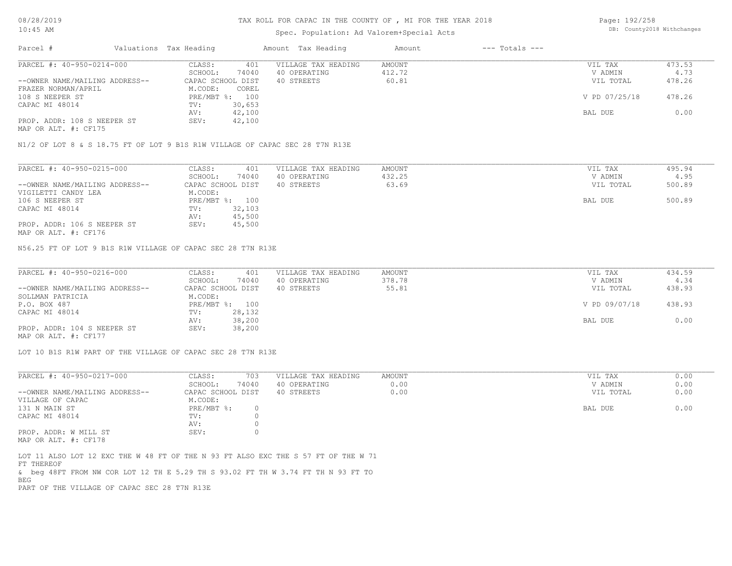#### Spec. Population: Ad Valorem+Special Acts

| Page: 192/258 |                            |
|---------------|----------------------------|
|               | DB: County2018 Withchanges |

| Parcel #                       |         | Valuations Tax Heading |              | Amount Tax Heading  | Amount | $---$ Totals $---$ |               |        |
|--------------------------------|---------|------------------------|--------------|---------------------|--------|--------------------|---------------|--------|
| PARCEL #: 40-950-0214-000      |         | CLASS:                 | 401          | VILLAGE TAX HEADING | AMOUNT |                    | VIL TAX       | 473.53 |
|                                | SCHOOL: | 74040                  | 40 OPERATING | 412.72              |        | V ADMIN            | 4.73          |        |
| --OWNER NAME/MAILING ADDRESS-- |         | CAPAC SCHOOL DIST      |              | 40 STREETS          | 60.81  |                    | VIL TOTAL     | 478.26 |
| FRAZER NORMAN/APRIL            |         | M.CODE:                | COREL        |                     |        |                    |               |        |
| 108 S NEEPER ST                |         | PRE/MBT %: 100         |              |                     |        |                    | V PD 07/25/18 | 478.26 |
| CAPAC MI 48014                 |         | TV:                    | 30,653       |                     |        |                    |               |        |
|                                |         | AV:                    | 42,100       |                     |        |                    | BAL DUE       | 0.00   |
| PROP. ADDR: 108 S NEEPER ST    |         | SEV:                   | 42,100       |                     |        |                    |               |        |
|                                |         |                        |              |                     |        |                    |               |        |

MAP OR ALT. #: CF175

N1/2 OF LOT 8 & S 18.75 FT OF LOT 9 B1S R1W VILLAGE OF CAPAC SEC 28 T7N R13E

| PARCEL #: 40-950-0215-000      | CLASS:<br>401     | VILLAGE TAX HEADING | AMOUNT | VIL TAX   | 495.94 |
|--------------------------------|-------------------|---------------------|--------|-----------|--------|
|                                | 74040<br>SCHOOL:  | 40 OPERATING        | 432.25 | V ADMIN   | 4.95   |
| --OWNER NAME/MAILING ADDRESS-- | CAPAC SCHOOL DIST | 40 STREETS          | 63.69  | VIL TOTAL | 500.89 |
| VIGILETTI CANDY LEA            | M.CODE:           |                     |        |           |        |
| 106 S NEEPER ST                | PRE/MBT %: 100    |                     |        | BAL DUE   | 500.89 |
| CAPAC MI 48014                 | 32,103<br>TV:     |                     |        |           |        |
|                                | 45,500<br>AV:     |                     |        |           |        |
| PROP. ADDR: 106 S NEEPER ST    | 45,500<br>SEV:    |                     |        |           |        |
|                                |                   |                     |        |           |        |

MAP OR ALT. #: CF176

N56.25 FT OF LOT 9 B1S R1W VILLAGE OF CAPAC SEC 28 T7N R13E

| PARCEL #: 40-950-0216-000      | CLASS:<br>401     | VILLAGE TAX HEADING | AMOUNT | VIL TAX       | 434.59 |
|--------------------------------|-------------------|---------------------|--------|---------------|--------|
|                                | 74040<br>SCHOOL:  | 40 OPERATING        | 378.78 | V ADMIN       | 4.34   |
| --OWNER NAME/MAILING ADDRESS-- | CAPAC SCHOOL DIST | 40 STREETS          | 55.81  | VIL TOTAL     | 438.93 |
| SOLLMAN PATRICIA               | M.CODE:           |                     |        |               |        |
| P.O. BOX 487                   | PRE/MBT %: 100    |                     |        | V PD 09/07/18 | 438.93 |
| CAPAC MI 48014                 | 28,132<br>TV:     |                     |        |               |        |
|                                | 38,200<br>AV:     |                     |        | BAL DUE       | 0.00   |
| PROP. ADDR: 104 S NEEPER ST    | 38,200<br>SEV:    |                     |        |               |        |
| MAP OR ALT. #: CF177           |                   |                     |        |               |        |

LOT 10 B1S R1W PART OF THE VILLAGE OF CAPAC SEC 28 T7N R13E

| PARCEL #: 40-950-0217-000      | CLASS:            | 703   | VILLAGE TAX HEADING | AMOUNT | VIL TAX   | 0.00 |
|--------------------------------|-------------------|-------|---------------------|--------|-----------|------|
|                                | SCHOOL:           | 74040 | 40 OPERATING        | 0.00   | V ADMIN   | 0.00 |
| --OWNER NAME/MAILING ADDRESS-- | CAPAC SCHOOL DIST |       | 40 STREETS          | 0.00   | VIL TOTAL | 0.00 |
| VILLAGE OF CAPAC               | M.CODE:           |       |                     |        |           |      |
| 131 N MAIN ST                  | PRE/MBT %:        |       |                     |        | BAL DUE   | 0.00 |
| CAPAC MI 48014                 | TV:               |       |                     |        |           |      |
|                                | AV:               |       |                     |        |           |      |
| PROP. ADDR: W MILL ST          | SEV:              |       |                     |        |           |      |
|                                |                   |       |                     |        |           |      |

MAP OR ALT. #: CF178

PART OF THE VILLAGE OF CAPAC SEC 28 T7N R13E BEG & beg 48FT FROM NW COR LOT 12 TH E 5.29 TH S 93.02 FT TH W 3.74 FT TH N 93 FT TO FT THEREOF LOT 11 ALSO LOT 12 EXC THE W 48 FT OF THE N 93 FT ALSO EXC THE S 57 FT OF THE W 71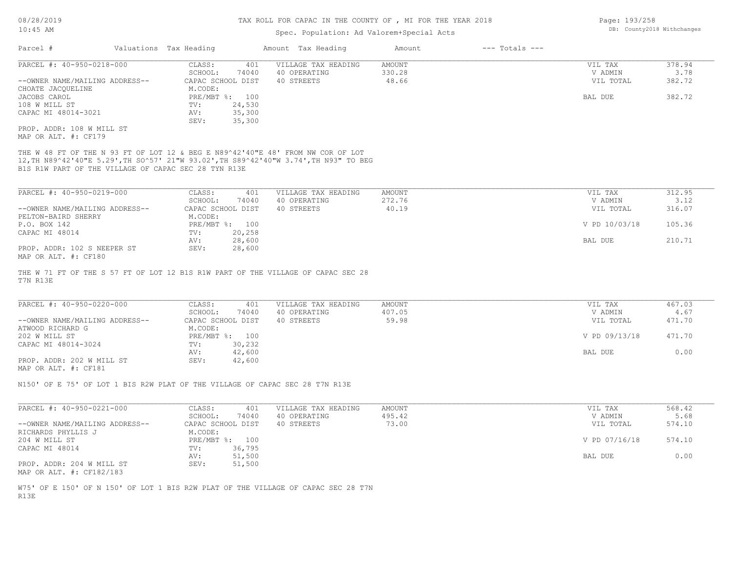### Spec. Population: Ad Valorem+Special Acts

| PARCEL #: 40-950-0218-000                                                                                                                                                                                                        |                                       |                            |                 |                      |                |
|----------------------------------------------------------------------------------------------------------------------------------------------------------------------------------------------------------------------------------|---------------------------------------|----------------------------|-----------------|----------------------|----------------|
|                                                                                                                                                                                                                                  | CLASS:<br>401                         | VILLAGE TAX HEADING        | AMOUNT          | VIL TAX              | 378.94         |
| --OWNER NAME/MAILING ADDRESS--                                                                                                                                                                                                   | SCHOOL:<br>74040<br>CAPAC SCHOOL DIST | 40 OPERATING<br>40 STREETS | 330.28<br>48.66 | V ADMIN<br>VIL TOTAL | 3.78<br>382.72 |
| CHOATE JACQUELINE                                                                                                                                                                                                                | M.CODE:                               |                            |                 |                      |                |
| JACOBS CAROL                                                                                                                                                                                                                     | PRE/MBT %: 100                        |                            |                 | BAL DUE              | 382.72         |
| 108 W MILL ST                                                                                                                                                                                                                    | TV:<br>24,530                         |                            |                 |                      |                |
| CAPAC MI 48014-3021                                                                                                                                                                                                              | 35,300<br>AV:                         |                            |                 |                      |                |
|                                                                                                                                                                                                                                  | SEV:<br>35,300                        |                            |                 |                      |                |
| PROP. ADDR: 108 W MILL ST<br>MAP OR ALT. #: CF179                                                                                                                                                                                |                                       |                            |                 |                      |                |
| THE W 48 FT OF THE N 93 FT OF LOT 12 & BEG E N89^42'40"E 48' FROM NW COR OF LOT<br>12, TH N89^42'40"E 5.29', TH SO^57' 21"W 93.02', TH S89^42'40"W 3.74', TH N93" TO BEG<br>B1S R1W PART OF THE VILLAGE OF CAPAC SEC 28 TYN R13E |                                       |                            |                 |                      |                |
| PARCEL #: 40-950-0219-000                                                                                                                                                                                                        | CLASS:<br>401                         | VILLAGE TAX HEADING        | AMOUNT          | VIL TAX              | 312.95         |
|                                                                                                                                                                                                                                  |                                       |                            | 272.76          |                      | 3.12           |
|                                                                                                                                                                                                                                  | SCHOOL:<br>74040                      | 40 OPERATING               |                 | V ADMIN              |                |
| --OWNER NAME/MAILING ADDRESS--                                                                                                                                                                                                   | CAPAC SCHOOL DIST                     | 40 STREETS                 | 40.19           | VIL TOTAL            | 316.07         |
| PELTON-BAIRD SHERRY                                                                                                                                                                                                              | M.CODE:                               |                            |                 |                      |                |
| P.O. BOX 142                                                                                                                                                                                                                     | PRE/MBT %: 100                        |                            |                 | V PD 10/03/18        | 105.36         |
| CAPAC MI 48014                                                                                                                                                                                                                   | 20,258<br>TV:                         |                            |                 |                      |                |
| PROP. ADDR: 102 S NEEPER ST<br>MAP OR ALT. #: CF180                                                                                                                                                                              | 28,600<br>AV:<br>SEV:<br>28,600       |                            |                 | BAL DUE              | 210.71         |
|                                                                                                                                                                                                                                  |                                       |                            |                 |                      |                |
|                                                                                                                                                                                                                                  | CLASS:<br>401                         | VILLAGE TAX HEADING        | <b>AMOUNT</b>   | VIL TAX              | 467.03         |
| PARCEL #: 40-950-0220-000                                                                                                                                                                                                        |                                       |                            | 407.05          |                      | 4.67           |
|                                                                                                                                                                                                                                  | SCHOOL:<br>74040                      | 40 OPERATING               |                 | V ADMIN              |                |
|                                                                                                                                                                                                                                  | CAPAC SCHOOL DIST                     | 40 STREETS                 | 59.98           | VIL TOTAL            | 471.70         |
|                                                                                                                                                                                                                                  | M.CODE:                               |                            |                 |                      |                |
|                                                                                                                                                                                                                                  | PRE/MBT %: 100                        |                            |                 | V PD 09/13/18        | 471.70         |
|                                                                                                                                                                                                                                  | 30,232<br>TV:                         |                            |                 |                      |                |
|                                                                                                                                                                                                                                  | 42,600<br>AV:                         |                            |                 | BAL DUE              | 0.00           |
|                                                                                                                                                                                                                                  | SEV:<br>42,600                        |                            |                 |                      |                |
| --OWNER NAME/MAILING ADDRESS--<br>ATWOOD RICHARD G<br>202 W MILL ST<br>CAPAC MI 48014-3024<br>PROP. ADDR: 202 W MILL ST<br>MAP OR ALT. #: CF181<br>N150' OF E 75' OF LOT 1 BIS R2W PLAT OF THE VILLAGE OF CAPAC SEC 28 T7N R13E  |                                       |                            |                 |                      |                |
|                                                                                                                                                                                                                                  |                                       |                            |                 |                      |                |
|                                                                                                                                                                                                                                  | CLASS:<br>401                         | VILLAGE TAX HEADING        | AMOUNT          | VIL TAX              | 568.42         |
|                                                                                                                                                                                                                                  | SCHOOL:<br>74040                      | 40 OPERATING               | 495.42          | V ADMIN              | 5.68           |
|                                                                                                                                                                                                                                  | CAPAC SCHOOL DIST                     | 40 STREETS                 | 73.00           | VIL TOTAL            | 574.10         |
|                                                                                                                                                                                                                                  | M.CODE:                               |                            |                 |                      |                |
|                                                                                                                                                                                                                                  | PRE/MBT %: 100                        |                            |                 | V PD 07/16/18        | 574.10         |
| PARCEL #: 40-950-0221-000<br>--OWNER NAME/MAILING ADDRESS--<br>204 W MILL ST                                                                                                                                                     | 36,795<br>TV:                         |                            |                 |                      |                |
|                                                                                                                                                                                                                                  | 51,500<br>AV:                         |                            |                 | BAL DUE              | 0.00           |
| RICHARDS PHYLLIS J<br>CAPAC MI 48014<br>PROP. ADDR: 204 W MILL ST<br>MAP OR ALT. #: CF182/183                                                                                                                                    | SEV:<br>51,500                        |                            |                 |                      |                |
|                                                                                                                                                                                                                                  |                                       |                            |                 |                      |                |
| W75' OF E 150' OF N 150' OF LOT 1 BIS R2W PLAT OF THE VILLAGE OF CAPAC SEC 28 T7N<br>R13E                                                                                                                                        |                                       |                            |                 |                      |                |

Page: 193/258 DB: County2018 Withchanges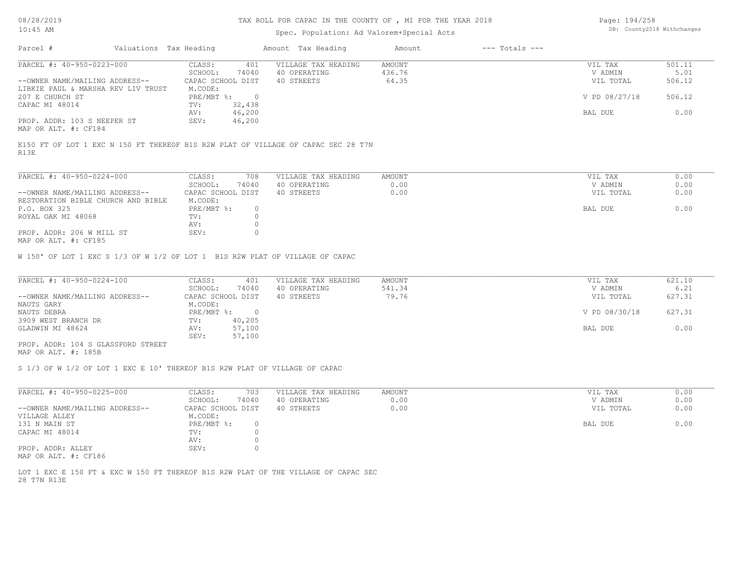#### Spec. Population: Ad Valorem+Special Acts

| Page: 194/258 |                            |
|---------------|----------------------------|
|               | DB: County2018 Withchanges |

| Parcel #                                            | Valuations Tax Heading |        | Amount Tax Heading  | Amount | $---$ Totals $---$ |               |        |
|-----------------------------------------------------|------------------------|--------|---------------------|--------|--------------------|---------------|--------|
| PARCEL #: 40-950-0223-000                           | CLASS:                 | 401    | VILLAGE TAX HEADING | AMOUNT |                    | VIL TAX       | 501.11 |
|                                                     | SCHOOL:                | 74040  | 40 OPERATING        | 436.76 |                    | V ADMIN       | 5.01   |
| --OWNER NAME/MAILING ADDRESS--                      | CAPAC SCHOOL DIST      |        | 40 STREETS          | 64.35  |                    | VIL TOTAL     | 506.12 |
| LIBKIE PAUL & MARSHA REV LIV TRUST                  | M.CODE:                |        |                     |        |                    |               |        |
| 207 E CHURCH ST                                     | $PRE/MBT$ %:           |        |                     |        |                    | V PD 08/27/18 | 506.12 |
| CAPAC MI 48014                                      | TV:                    | 32,438 |                     |        |                    |               |        |
|                                                     | AV:                    | 46,200 |                     |        |                    | BAL DUE       | 0.00   |
| PROP. ADDR: 103 S NEEPER ST<br>MAP OR ALT. #: CF184 | SEV:                   | 46,200 |                     |        |                    |               |        |

R13E E150 FT OF LOT 1 EXC N 150 FT THEREOF B1S R2W PLAT OF VILLAGE OF CAPAC SEC 28 T7N

| PARCEL #: 40-950-0224-000          | CLASS:            | 708   | VILLAGE TAX HEADING | AMOUNT | VIL TAX   | 0.00 |
|------------------------------------|-------------------|-------|---------------------|--------|-----------|------|
|                                    | SCHOOL:           | 74040 | 40 OPERATING        | 0.00   | V ADMIN   | 0.00 |
| --OWNER NAME/MAILING ADDRESS--     | CAPAC SCHOOL DIST |       | 40 STREETS          | 0.00   | VIL TOTAL | 0.00 |
| RESTORATION BIBLE CHURCH AND BIBLE | M.CODE:           |       |                     |        |           |      |
| P.O. BOX 325                       | $PRE/MBT$ %:      |       |                     |        | BAL DUE   | 0.00 |
| ROYAL OAK MI 48068                 | TV:               |       |                     |        |           |      |
|                                    | AV:               |       |                     |        |           |      |
| PROP. ADDR: 206 W MILL ST          | SEV:              |       |                     |        |           |      |
| MAD OD ATT # • CE195               |                   |       |                     |        |           |      |

MAP OR ALT. #: CF185

W 150' OF LOT 1 EXC S 1/3 OF W 1/2 OF LOT 1 B1S R2W PLAT OF VILLAGE OF CAPAC

| PARCEL #: 40-950-0224-100          | CLASS:            | 401    | VILLAGE TAX HEADING | AMOUNT | VIL TAX       | 621.10 |
|------------------------------------|-------------------|--------|---------------------|--------|---------------|--------|
|                                    | SCHOOL:           | 74040  | 40 OPERATING        | 541.34 | V ADMIN       | 6.21   |
| --OWNER NAME/MAILING ADDRESS--     | CAPAC SCHOOL DIST |        | 40 STREETS          | 79.76  | VIL TOTAL     | 627.31 |
| NAUTS GARY                         | M.CODE:           |        |                     |        |               |        |
| NAUTS DEBRA                        | PRE/MBT %:        |        |                     |        | V PD 08/30/18 | 627.31 |
| 3909 WEST BRANCH DR                | TV:               | 40,205 |                     |        |               |        |
| GLADWIN MI 48624                   | AV:               | 57,100 |                     |        | BAL DUE       | 0.00   |
|                                    | SEV:              | 57,100 |                     |        |               |        |
| PROP. ADDR: 104 S GLASSFORD STREET |                   |        |                     |        |               |        |

MAP OR ALT. #: 185B

S 1/3 OF W 1/2 OF LOT 1 EXC E 10' THEREOF B1S R2W PLAT OF VILLAGE OF CAPAC

| PARCEL #: 40-950-0225-000                                                                                       | CLASS:            | 703   | VILLAGE TAX HEADING | AMOUNT | VIL TAX   | 0.00 |
|-----------------------------------------------------------------------------------------------------------------|-------------------|-------|---------------------|--------|-----------|------|
|                                                                                                                 | SCHOOL:           | 74040 | 40 OPERATING        | 0.00   | V ADMIN   | 0.00 |
| --OWNER NAME/MAILING ADDRESS--                                                                                  | CAPAC SCHOOL DIST |       | 40 STREETS          | 0.00   | VIL TOTAL | 0.00 |
| VILLAGE ALLEY                                                                                                   | M.CODE:           |       |                     |        |           |      |
| 131 N MAIN ST                                                                                                   | PRE/MBT %:        |       |                     |        | BAL DUE   | 0.00 |
| CAPAC MI 48014                                                                                                  | TV:               |       |                     |        |           |      |
|                                                                                                                 | AV:               |       |                     |        |           |      |
| PROP. ADDR: ALLEY                                                                                               | SEV:              |       |                     |        |           |      |
| the contract of the contract of the contract of the contract of the contract of the contract of the contract of |                   |       |                     |        |           |      |

MAP OR ALT. #: CF186

28 T7N R13E LOT 1 EXC E 150 FT & EXC W 150 FT THEREOF B1S R2W PLAT OF THE VILLAGE OF CAPAC SEC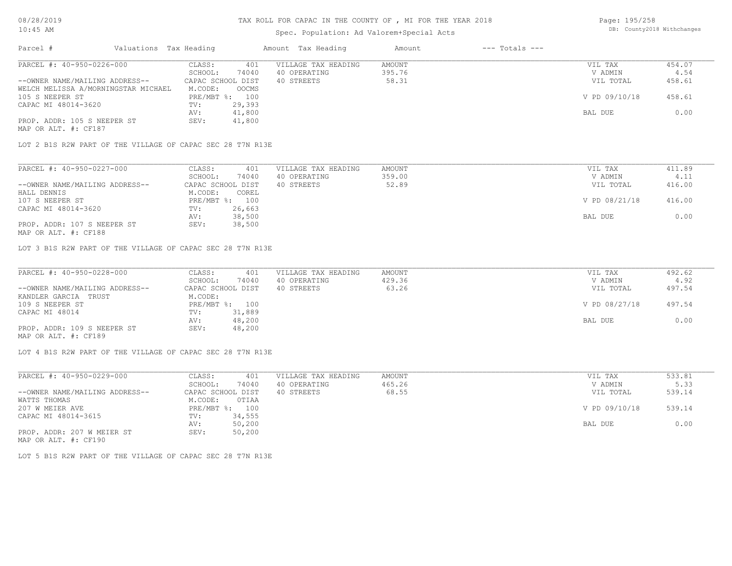# Spec. Population: Ad Valorem+Special Acts

Page: 195/258 DB: County2018 Withchanges

| Parcel #                            | Valuations Tax Heading |                   |        | Amount Tax Heading  | Amount | $---$ Totals $---$ |               |        |
|-------------------------------------|------------------------|-------------------|--------|---------------------|--------|--------------------|---------------|--------|
| PARCEL #: 40-950-0226-000           |                        | CLASS:            | 401    | VILLAGE TAX HEADING | AMOUNT |                    | VIL TAX       | 454.07 |
|                                     |                        | SCHOOL:           | 74040  | 40 OPERATING        | 395.76 |                    | V ADMIN       | 4.54   |
| --OWNER NAME/MAILING ADDRESS--      |                        | CAPAC SCHOOL DIST |        | 40 STREETS          | 58.31  |                    | VIL TOTAL     | 458.61 |
| WELCH MELISSA A/MORNINGSTAR MICHAEL |                        | M.CODE:           | OOCMS  |                     |        |                    |               |        |
| 105 S NEEPER ST                     |                        | PRE/MBT %: 100    |        |                     |        |                    | V PD 09/10/18 | 458.61 |
| CAPAC MI 48014-3620                 |                        | TV:               | 29,393 |                     |        |                    |               |        |
|                                     |                        | AV:               | 41,800 |                     |        |                    | BAL DUE       | 0.00   |
| PROP. ADDR: 105 S NEEPER ST         |                        | SEV:              | 41,800 |                     |        |                    |               |        |
| MAP OR ALT. #: CF187                |                        |                   |        |                     |        |                    |               |        |

LOT 2 B1S R2W PART OF THE VILLAGE OF CAPAC SEC 28 T7N R13E

| PARCEL #: 40-950-0227-000      | CLASS:<br>401     | VILLAGE TAX HEADING | AMOUNT | VIL TAX       | 411.89 |
|--------------------------------|-------------------|---------------------|--------|---------------|--------|
|                                | SCHOOL:<br>74040  | 40 OPERATING        | 359.00 | V ADMIN       | 4.11   |
| --OWNER NAME/MAILING ADDRESS-- | CAPAC SCHOOL DIST | 40 STREETS          | 52.89  | VIL TOTAL     | 416.00 |
| HALL DENNIS                    | M.CODE:<br>COREL  |                     |        |               |        |
| 107 S NEEPER ST                | PRE/MBT %: 100    |                     |        | V PD 08/21/18 | 416.00 |
| CAPAC MI 48014-3620            | 26,663<br>TV:     |                     |        |               |        |
|                                | 38,500<br>AV:     |                     |        | BAL DUE       | 0.00   |
| PROP. ADDR: 107 S NEEPER ST    | 38,500<br>SEV:    |                     |        |               |        |
|                                |                   |                     |        |               |        |

MAP OR ALT. #: CF188

LOT 3 B1S R2W PART OF THE VILLAGE OF CAPAC SEC 28 T7N R13E

| PARCEL #: 40-950-0228-000      | CLASS:<br>401     | VILLAGE TAX HEADING | AMOUNT | VIL TAX       | 492.62 |
|--------------------------------|-------------------|---------------------|--------|---------------|--------|
|                                | 74040<br>SCHOOL:  | 40 OPERATING        | 429.36 | V ADMIN       | 4.92   |
| --OWNER NAME/MAILING ADDRESS-- | CAPAC SCHOOL DIST | 40 STREETS          | 63.26  | VIL TOTAL     | 497.54 |
| KANDLER GARCIA TRUST           | M.CODE:           |                     |        |               |        |
| 109 S NEEPER ST                | PRE/MBT %: 100    |                     |        | V PD 08/27/18 | 497.54 |
| CAPAC MI 48014                 | 31,889<br>TV:     |                     |        |               |        |
|                                | 48,200<br>AV:     |                     |        | BAL DUE       | 0.00   |
| PROP. ADDR: 109 S NEEPER ST    | 48,200<br>SEV:    |                     |        |               |        |
| MAP OR ALT. #: CF189           |                   |                     |        |               |        |

LOT 4 B1S R2W PART OF THE VILLAGE OF CAPAC SEC 28 T7N R13E

| PARCEL #: 40-950-0229-000      | CLASS:     | 401               | VILLAGE TAX HEADING | AMOUNT | VIL TAX       | 533.81 |
|--------------------------------|------------|-------------------|---------------------|--------|---------------|--------|
|                                | SCHOOL:    | 74040             | 40 OPERATING        | 465.26 | V ADMIN       | 5.33   |
| --OWNER NAME/MAILING ADDRESS-- |            | CAPAC SCHOOL DIST | 40 STREETS          | 68.55  | VIL TOTAL     | 539.14 |
| WATTS THOMAS                   | M.CODE:    | OTIAA             |                     |        |               |        |
| 207 W MEIER AVE                | PRE/MBT %: | 100               |                     |        | V PD 09/10/18 | 539.14 |
| CAPAC MI 48014-3615            | TV:        | 34,555            |                     |        |               |        |
|                                | AV:        | 50,200            |                     |        | BAL DUE       | 0.00   |
| PROP. ADDR: 207 W MEIER ST     | SEV:       | 50,200            |                     |        |               |        |
| MAP OR ALT. #: CF190           |            |                   |                     |        |               |        |

LOT 5 B1S R2W PART OF THE VILLAGE OF CAPAC SEC 28 T7N R13E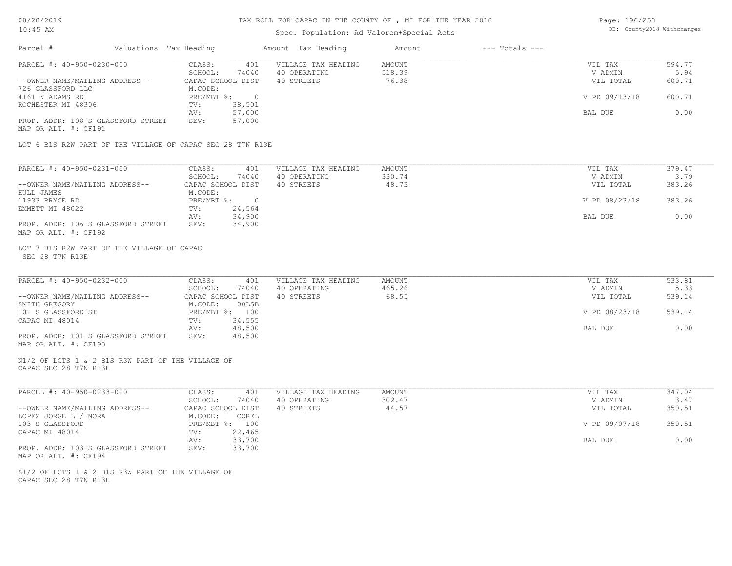#### TAX ROLL FOR CAPAC IN THE COUNTY OF , MI FOR THE YEAR 2018

| Page: 196/258 |                            |
|---------------|----------------------------|
|               | DB: County2018 Withchanges |

| $10:45$ AM                                                                 |                                             | Spec. Population: Ad Valorem+Special Acts | DB: County2018 Withchanges   |               |        |
|----------------------------------------------------------------------------|---------------------------------------------|-------------------------------------------|------------------------------|---------------|--------|
| Parcel #<br>Valuations Tax Heading                                         |                                             | Amount Tax Heading                        | $---$ Totals $---$<br>Amount |               |        |
| PARCEL #: 40-950-0230-000                                                  | CLASS:<br>401                               | VILLAGE TAX HEADING                       | AMOUNT                       | VIL TAX       | 594.77 |
|                                                                            | SCHOOL:<br>74040                            | 40 OPERATING                              | 518.39                       | V ADMIN       | 5.94   |
| --OWNER NAME/MAILING ADDRESS--                                             | CAPAC SCHOOL DIST                           | 40 STREETS                                | 76.38                        | VIL TOTAL     | 600.71 |
| 726 GLASSFORD LLC                                                          | M.CODE:                                     |                                           |                              |               |        |
| 4161 N ADAMS RD                                                            | PRE/MBT %:<br>$\overline{0}$                |                                           |                              | V PD 09/13/18 | 600.71 |
| ROCHESTER MI 48306                                                         | 38,501<br>TV:                               |                                           |                              |               |        |
|                                                                            | 57,000<br>AV:                               |                                           |                              | BAL DUE       | 0.00   |
| PROP. ADDR: 108 S GLASSFORD STREET                                         | 57,000<br>SEV:                              |                                           |                              |               |        |
| MAP OR ALT. #: CF191                                                       |                                             |                                           |                              |               |        |
| LOT 6 B1S R2W PART OF THE VILLAGE OF CAPAC SEC 28 T7N R13E                 |                                             |                                           |                              |               |        |
|                                                                            |                                             |                                           |                              |               |        |
| PARCEL #: 40-950-0231-000                                                  | CLASS:<br>401                               | VILLAGE TAX HEADING                       | AMOUNT                       | VIL TAX       | 379.47 |
|                                                                            | SCHOOL:<br>74040                            | 40 OPERATING                              | 330.74                       | V ADMIN       | 3.79   |
| --OWNER NAME/MAILING ADDRESS--                                             | CAPAC SCHOOL DIST                           | 40 STREETS                                | 48.73                        | VIL TOTAL     | 383.26 |
| HULL JAMES                                                                 | M.CODE:                                     |                                           |                              |               |        |
| 11933 BRYCE RD                                                             | $PRE/MBT$ $\frac{1}{6}$ :<br>$\overline{0}$ |                                           |                              | V PD 08/23/18 | 383.26 |
| EMMETT MI 48022                                                            | 24,564<br>TV:                               |                                           |                              |               |        |
|                                                                            | 34,900<br>AV:                               |                                           |                              | BAL DUE       | 0.00   |
| PROP. ADDR: 106 S GLASSFORD STREET<br>MAP OR ALT. #: CF192                 | 34,900<br>SEV:                              |                                           |                              |               |        |
| LOT 7 B1S R2W PART OF THE VILLAGE OF CAPAC<br>SEC 28 T7N R13E              |                                             |                                           |                              |               |        |
| PARCEL #: 40-950-0232-000                                                  | CLASS:<br>401                               | VILLAGE TAX HEADING                       | AMOUNT                       | VIL TAX       | 533.81 |
|                                                                            | SCHOOL:<br>74040                            | 40 OPERATING                              | 465.26                       | V ADMIN       | 5.33   |
| --OWNER NAME/MAILING ADDRESS--                                             | CAPAC SCHOOL DIST                           | 40 STREETS                                | 68.55                        | VIL TOTAL     | 539.14 |
| SMITH GREGORY                                                              | M.CODE:<br>00LSB                            |                                           |                              |               |        |
| 101 S GLASSFORD ST                                                         | PRE/MBT %: 100                              |                                           |                              | V PD 08/23/18 | 539.14 |
|                                                                            |                                             |                                           |                              |               |        |
| CAPAC MI 48014                                                             | 34,555<br>TV:                               |                                           |                              |               |        |
|                                                                            | 48,500<br>AV:                               |                                           |                              | BAL DUE       | 0.00   |
| PROP. ADDR: 101 S GLASSFORD STREET<br>MAP OR ALT. #: CF193                 | 48,500<br>SEV:                              |                                           |                              |               |        |
| N1/2 OF LOTS 1 & 2 B1S R3W PART OF THE VILLAGE OF<br>CAPAC SEC 28 T7N R13E |                                             |                                           |                              |               |        |
| PARCEL #: 40-950-0233-000                                                  | CLASS:<br>401                               | VILLAGE TAX HEADING                       | AMOUNT                       | VIL TAX       | 347.04 |
|                                                                            | SCHOOL:<br>74040                            | 40 OPERATING                              | 302.47                       | V ADMIN       | 3.47   |
| --OWNER NAME/MAILING ADDRESS--                                             | CAPAC SCHOOL DIST                           | 40 STREETS                                | 44.57                        | VIL TOTAL     | 350.51 |
| LOPEZ JORGE L / NORA                                                       | M.CODE:<br>COREL                            |                                           |                              |               |        |
| 103 S GLASSFORD                                                            | PRE/MBT %: 100                              |                                           |                              | V PD 09/07/18 | 350.51 |
| CAPAC MI 48014                                                             | TV:<br>22,465                               |                                           |                              |               |        |
|                                                                            |                                             |                                           |                              |               |        |
|                                                                            | 33,700<br>AV:                               |                                           |                              | BAL DUE       | 0.00   |
| PROP. ADDR: 103 S GLASSFORD STREET<br>MAP OR ALT. #: CF194                 | 33,700<br>SEV:                              |                                           |                              |               |        |
| S1/2 OF LOTS 1 & 2 B1S R3W PART OF THE VILLAGE OF<br>CAPAC SEC 28 T7N R13E |                                             |                                           |                              |               |        |
|                                                                            |                                             |                                           |                              |               |        |
|                                                                            |                                             |                                           |                              |               |        |
|                                                                            |                                             |                                           |                              |               |        |
|                                                                            |                                             |                                           |                              |               |        |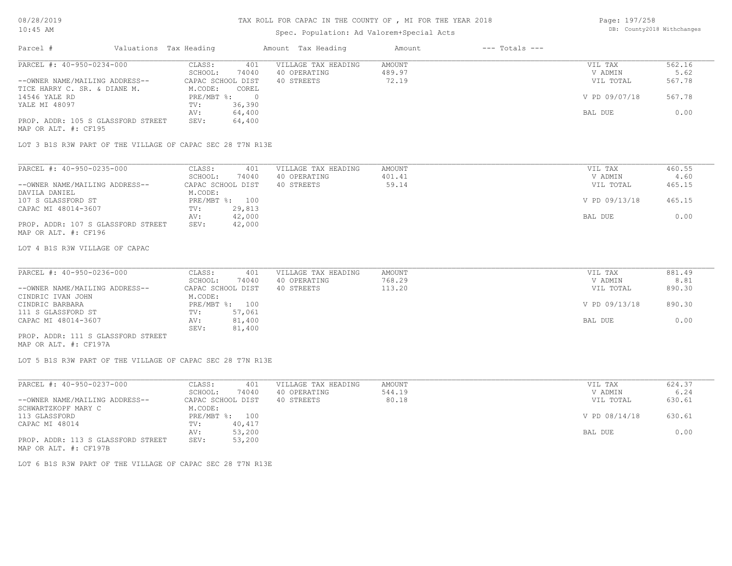### Spec. Population: Ad Valorem+Special Acts

Page: 197/258 DB: County2018 Withchanges

| Parcel #                           | Valuations Tax Heading |        | Amount Tax Heading  | Amount | $---$ Totals $---$ |               |        |
|------------------------------------|------------------------|--------|---------------------|--------|--------------------|---------------|--------|
| PARCEL #: 40-950-0234-000          | CLASS:                 | 401    | VILLAGE TAX HEADING | AMOUNT |                    | VIL TAX       | 562.16 |
|                                    | SCHOOL:                | 74040  | 40 OPERATING        | 489.97 |                    | V ADMIN       | 5.62   |
| --OWNER NAME/MAILING ADDRESS--     | CAPAC SCHOOL DIST      |        | 40 STREETS          | 72.19  |                    | VIL TOTAL     | 567.78 |
| TICE HARRY C. SR. & DIANE M.       | M.CODE:                | COREL  |                     |        |                    |               |        |
| 14546 YALE RD                      | $PRE/MBT$ %:           |        |                     |        |                    | V PD 09/07/18 | 567.78 |
| YALE MI 48097                      | TV:                    | 36,390 |                     |        |                    |               |        |
|                                    | AV:                    | 64,400 |                     |        |                    | BAL DUE       | 0.00   |
| PROP. ADDR: 105 S GLASSFORD STREET | SEV:                   | 64,400 |                     |        |                    |               |        |
| MAP OR ALT. #: CF195               |                        |        |                     |        |                    |               |        |

LOT 3 B1S R3W PART OF THE VILLAGE OF CAPAC SEC 28 T7N R13E

| PARCEL #: 40-950-0235-000          | CLASS:            | 401    | VILLAGE TAX HEADING | AMOUNT | VIL TAX       | 460.55 |
|------------------------------------|-------------------|--------|---------------------|--------|---------------|--------|
|                                    | SCHOOL:           | 74040  | 40 OPERATING        | 401.41 | V ADMIN       | 4.60   |
| --OWNER NAME/MAILING ADDRESS--     | CAPAC SCHOOL DIST |        | 40 STREETS          | 59.14  | VIL TOTAL     | 465.15 |
| DAVILA DANIEL                      | M.CODE:           |        |                     |        |               |        |
| 107 S GLASSFORD ST                 | PRE/MBT %: 100    |        |                     |        | V PD 09/13/18 | 465.15 |
| CAPAC MI 48014-3607                | TV:               | 29,813 |                     |        |               |        |
|                                    | AV:               | 42,000 |                     |        | BAL DUE       | 0.00   |
| PROP. ADDR: 107 S GLASSFORD STREET | SEV:              | 42,000 |                     |        |               |        |
|                                    |                   |        |                     |        |               |        |

MAP OR ALT. #: CF196

#### LOT 4 B1S R3W VILLAGE OF CAPAC

| PARCEL #: 40-950-0236-000          | CLASS:            | 401            | VILLAGE TAX HEADING | AMOUNT | VIL TAX       | 881.49 |
|------------------------------------|-------------------|----------------|---------------------|--------|---------------|--------|
|                                    | SCHOOL:           | 74040          | 40 OPERATING        | 768.29 | V ADMIN       | 8.81   |
| --OWNER NAME/MAILING ADDRESS--     | CAPAC SCHOOL DIST |                | 40 STREETS          | 113.20 | VIL TOTAL     | 890.30 |
| CINDRIC IVAN JOHN                  | M.CODE:           |                |                     |        |               |        |
| CINDRIC BARBARA                    |                   | PRE/MBT %: 100 |                     |        | V PD 09/13/18 | 890.30 |
| 111 S GLASSFORD ST                 | TV:               | 57,061         |                     |        |               |        |
| CAPAC MI 48014-3607                | AV:               | 81,400         |                     |        | BAL DUE       | 0.00   |
|                                    | SEV:              | 81,400         |                     |        |               |        |
| PROP. ADDR: 111 S GLASSFORD STREET |                   |                |                     |        |               |        |

 $\_$  , and the state of the state of the state of the state of the state of the state of the state of the state of the state of the state of the state of the state of the state of the state of the state of the state of the

MAP OR ALT. #: CF197A

LOT 5 B1S R3W PART OF THE VILLAGE OF CAPAC SEC 28 T7N R13E

| PARCEL #: 40-950-0237-000          | CLASS:            | 401    | VILLAGE TAX HEADING | AMOUNT | VIL TAX       | 624.37 |
|------------------------------------|-------------------|--------|---------------------|--------|---------------|--------|
|                                    | SCHOOL:           | 74040  | 40 OPERATING        | 544.19 | V ADMIN       | 6.24   |
| --OWNER NAME/MAILING ADDRESS--     | CAPAC SCHOOL DIST |        | 40 STREETS          | 80.18  | VIL TOTAL     | 630.61 |
| SCHWARTZKOPF MARY C                | M.CODE:           |        |                     |        |               |        |
| 113 GLASSFORD                      | PRE/MBT %: 100    |        |                     |        | V PD 08/14/18 | 630.61 |
| CAPAC MI 48014                     | TV:               | 40,417 |                     |        |               |        |
|                                    | AV:               | 53,200 |                     |        | BAL DUE       | 0.00   |
| PROP. ADDR: 113 S GLASSFORD STREET | SEV:              | 53,200 |                     |        |               |        |
| MAP OR ALT. #: CF197B              |                   |        |                     |        |               |        |

LOT 6 B1S R3W PART OF THE VILLAGE OF CAPAC SEC 28 T7N R13E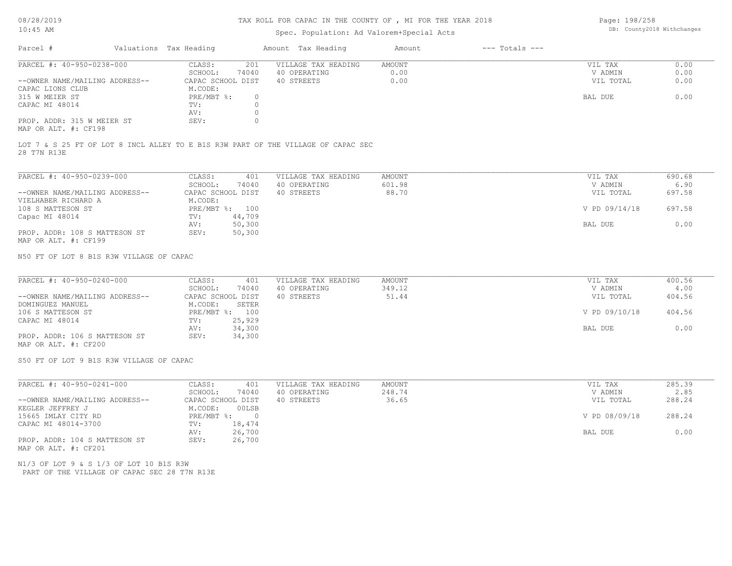# TAX ROLL FOR CAPAC IN THE COUNTY OF , MI FOR THE YEAR 2018

#### Spec. Population: Ad Valorem+Special Acts

Page: 198/258 DB: County2018 Withchanges

| Parcel #                                                     | Valuations Tax Heading |       | Amount Tax Heading  | Amount | $---$ Totals $---$ |           |      |
|--------------------------------------------------------------|------------------------|-------|---------------------|--------|--------------------|-----------|------|
| PARCEL #: 40-950-0238-000                                    | CLASS:                 | 201   | VILLAGE TAX HEADING | AMOUNT |                    | VIL TAX   | 0.00 |
|                                                              | SCHOOL:                | 74040 | 40 OPERATING        | 0.00   |                    | V ADMIN   | 0.00 |
| --OWNER NAME/MAILING ADDRESS--                               | CAPAC SCHOOL DIST      |       | 40 STREETS          | 0.00   |                    | VIL TOTAL | 0.00 |
| CAPAC LIONS CLUB                                             | M.CODE:                |       |                     |        |                    |           |      |
| 315 W MEIER ST                                               | PRE/MBT %:             |       |                     |        |                    | BAL DUE   | 0.00 |
| CAPAC MI 48014                                               | TV:                    |       |                     |        |                    |           |      |
|                                                              | AV:                    |       |                     |        |                    |           |      |
| PROP. ADDR: 315 W MEIER ST<br>$MAD$ $CD$ $ATH$ $H$ , $CD100$ | SEV:                   |       |                     |        |                    |           |      |

MAP OR ALT. #: CF198

28 T7N R13E LOT 7 & S 25 FT OF LOT 8 INCL ALLEY TO E B1S R3W PART OF THE VILLAGE OF CAPAC SEC

| PARCEL #: 40-950-0239-000      | CLASS:     | 401               | VILLAGE TAX HEADING | AMOUNT | VIL TAX       | 690.68 |
|--------------------------------|------------|-------------------|---------------------|--------|---------------|--------|
|                                | SCHOOL:    | 74040             | 40 OPERATING        | 601.98 | V ADMIN       | 6.90   |
| --OWNER NAME/MAILING ADDRESS-- |            | CAPAC SCHOOL DIST | 40 STREETS          | 88.70  | VIL TOTAL     | 697.58 |
| VIELHABER RICHARD A            | M.CODE:    |                   |                     |        |               |        |
| 108 S MATTESON ST              | PRE/MBT %: | 100               |                     |        | V PD 09/14/18 | 697.58 |
| Capac MI 48014                 | TV:        | 44,709            |                     |        |               |        |
|                                | AV:        | 50,300            |                     |        | BAL DUE       | 0.00   |
| PROP. ADDR: 108 S MATTESON ST  | SEV:       | 50,300            |                     |        |               |        |
| MAP OR ALT. #: CF199           |            |                   |                     |        |               |        |

N50 FT OF LOT 8 B1S R3W VILLAGE OF CAPAC

| PARCEL #: 40-950-0240-000      | CLASS:<br>401     | VILLAGE TAX HEADING | AMOUNT | VIL TAX       | 400.56 |
|--------------------------------|-------------------|---------------------|--------|---------------|--------|
|                                | 74040<br>SCHOOL:  | 40 OPERATING        | 349.12 | V ADMIN       | 4.00   |
| --OWNER NAME/MAILING ADDRESS-- | CAPAC SCHOOL DIST | 40 STREETS          | 51.44  | VIL TOTAL     | 404.56 |
| DOMINGUEZ MANUEL               | M.CODE:<br>SETER  |                     |        |               |        |
| 106 S MATTESON ST              | PRE/MBT %: 100    |                     |        | V PD 09/10/18 | 404.56 |
| CAPAC MI 48014                 | 25,929<br>TV:     |                     |        |               |        |
|                                | 34,300<br>AV:     |                     |        | BAL DUE       | 0.00   |
| PROP. ADDR: 106 S MATTESON ST  | 34,300<br>SEV:    |                     |        |               |        |
|                                |                   |                     |        |               |        |

MAP OR ALT. #: CF200

S50 FT OF LOT 9 B1S R3W VILLAGE OF CAPAC

| PARCEL #: 40-950-0241-000      | CLASS:<br>401     | VILLAGE TAX HEADING | AMOUNT | VIL TAX       | 285.39 |
|--------------------------------|-------------------|---------------------|--------|---------------|--------|
|                                | 74040<br>SCHOOL:  | 40 OPERATING        | 248.74 | V ADMIN       | 2.85   |
| --OWNER NAME/MAILING ADDRESS-- | CAPAC SCHOOL DIST | 40 STREETS          | 36.65  | VIL TOTAL     | 288.24 |
| KEGLER JEFFREY J               | 00LSB<br>M.CODE:  |                     |        |               |        |
| 15665 IMLAY CITY RD            | PRE/MBT %:        |                     |        | V PD 08/09/18 | 288.24 |
| CAPAC MI 48014-3700            | 18,474<br>TV:     |                     |        |               |        |
|                                | 26,700<br>AV:     |                     |        | BAL DUE       | 0.00   |
| PROP. ADDR: 104 S MATTESON ST  | 26,700<br>SEV:    |                     |        |               |        |
| MAP OR ALT. #: CF201           |                   |                     |        |               |        |

 PART OF THE VILLAGE OF CAPAC SEC 28 T7N R13E N1/3 OF LOT 9 & S 1/3 OF LOT 10 B1S R3W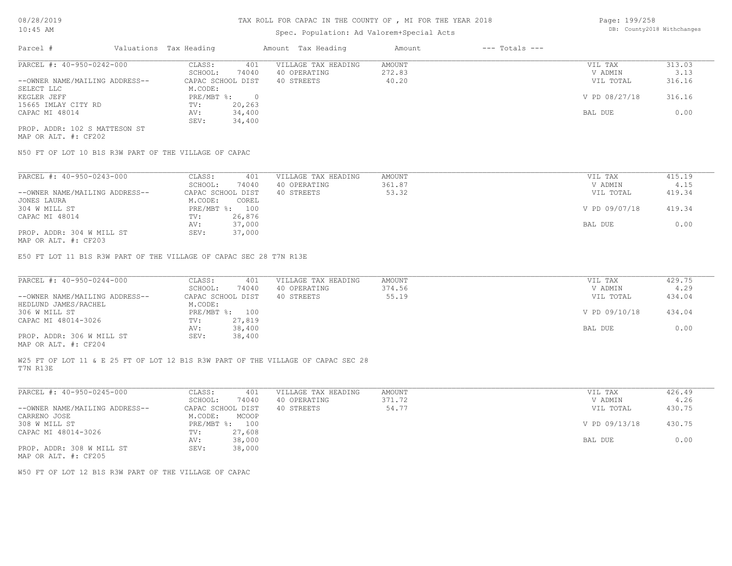# Spec. Population: Ad Valorem+Special Acts

Page: 199/258 DB: County2018 Withchanges

| Parcel #                       | Valuations Tax Heading |        | Amount Tax Heading  | Amount | $---$ Totals $---$ |               |        |
|--------------------------------|------------------------|--------|---------------------|--------|--------------------|---------------|--------|
| PARCEL #: 40-950-0242-000      | CLASS:                 | 401    | VILLAGE TAX HEADING | AMOUNT |                    | VIL TAX       | 313.03 |
|                                | SCHOOL:                | 74040  | 40 OPERATING        | 272.83 |                    | V ADMIN       | 3.13   |
| --OWNER NAME/MAILING ADDRESS-- | CAPAC SCHOOL DIST      |        | 40 STREETS          | 40.20  |                    | VIL TOTAL     | 316.16 |
| SELECT LLC                     | M.CODE:                |        |                     |        |                    |               |        |
| KEGLER JEFF                    | $PRE/MBT$ %:           |        |                     |        |                    | V PD 08/27/18 | 316.16 |
| 15665 IMLAY CITY RD            | TV:                    | 20,263 |                     |        |                    |               |        |
| CAPAC MI 48014                 | AV:                    | 34,400 |                     |        |                    | BAL DUE       | 0.00   |
|                                | SEV:                   | 34,400 |                     |        |                    |               |        |
| PROP. ADDR: 102 S MATTESON ST  |                        |        |                     |        |                    |               |        |

MAP OR ALT. #: CF202

N50 FT OF LOT 10 B1S R3W PART OF THE VILLAGE OF CAPAC

| PARCEL #: 40-950-0243-000      | CLASS:            | 401    | VILLAGE TAX HEADING | AMOUNT | VIL TAX       | 415.19 |
|--------------------------------|-------------------|--------|---------------------|--------|---------------|--------|
|                                | SCHOOL:           | 74040  | 40 OPERATING        | 361.87 | V ADMIN       | 4.15   |
| --OWNER NAME/MAILING ADDRESS-- | CAPAC SCHOOL DIST |        | 40 STREETS          | 53.32  | VIL TOTAL     | 419.34 |
| JONES LAURA                    | M.CODE:           | COREL  |                     |        |               |        |
| 304 W MILL ST                  | $PRE/MBT$ %:      | 100    |                     |        | V PD 09/07/18 | 419.34 |
| CAPAC MI 48014                 | TV:               | 26,876 |                     |        |               |        |
|                                | AV:               | 37,000 |                     |        | BAL DUE       | 0.00   |
| PROP. ADDR: 304 W MILL ST      | SEV:              | 37,000 |                     |        |               |        |
| $\frac{1}{2}$                  |                   |        |                     |        |               |        |

MAP OR ALT. #: CF203

E50 FT LOT 11 B1S R3W PART OF THE VILLAGE OF CAPAC SEC 28 T7N R13E

| PARCEL #: 40-950-0244-000      | CLASS:<br>401     | VILLAGE TAX HEADING | AMOUNT | VIL TAX       | 429.75 |
|--------------------------------|-------------------|---------------------|--------|---------------|--------|
|                                | 74040<br>SCHOOL:  | 40 OPERATING        | 374.56 | V ADMIN       | 4.29   |
| --OWNER NAME/MAILING ADDRESS-- | CAPAC SCHOOL DIST | 40 STREETS          | 55.19  | VIL TOTAL     | 434.04 |
| HEDLUND JAMES/RACHEL           | M.CODE:           |                     |        |               |        |
| 306 W MILL ST                  | PRE/MBT %: 100    |                     |        | V PD 09/10/18 | 434.04 |
| CAPAC MI 48014-3026            | 27,819<br>TV:     |                     |        |               |        |
|                                | 38,400<br>AV:     |                     |        | BAL DUE       | 0.00   |
| PROP. ADDR: 306 W MILL ST      | 38,400<br>SEV:    |                     |        |               |        |
|                                |                   |                     |        |               |        |

MAP OR ALT. #: CF204

T7N R13E W25 FT OF LOT 11 & E 25 FT OF LOT 12 B1S R3W PART OF THE VILLAGE OF CAPAC SEC 28

| PARCEL #: 40-950-0245-000                         | CLASS:       | 401               | VILLAGE TAX HEADING | AMOUNT | VIL TAX       | 426.49 |
|---------------------------------------------------|--------------|-------------------|---------------------|--------|---------------|--------|
|                                                   | SCHOOL:      | 74040             | 40 OPERATING        | 371.72 | V ADMIN       | 4.26   |
| --OWNER NAME/MAILING ADDRESS--                    |              | CAPAC SCHOOL DIST | 40 STREETS          | 54.77  | VIL TOTAL     | 430.75 |
| CARRENO JOSE                                      | M.CODE:      | MCOOP             |                     |        |               |        |
| 308 W MILL ST                                     | $PRE/MBT$ %: | 100               |                     |        | V PD 09/13/18 | 430.75 |
| CAPAC MI 48014-3026                               | TV:          | 27,608            |                     |        |               |        |
|                                                   | AV:          | 38,000            |                     |        | BAL DUE       | 0.00   |
| PROP. ADDR: 308 W MILL ST<br>MAD OD ATHL 4. CHOOL | SEV:         | 38,000            |                     |        |               |        |

MAP OR ALT. #: CF205

W50 FT OF LOT 12 B1S R3W PART OF THE VILLAGE OF CAPAC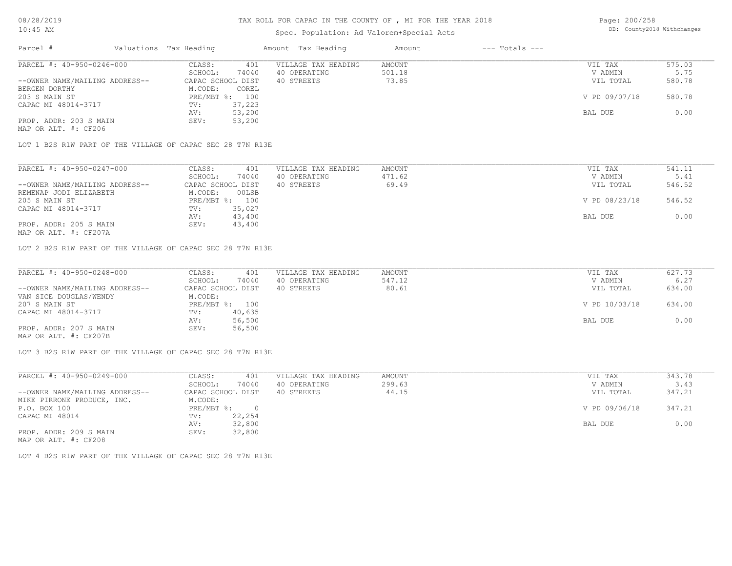### Spec. Population: Ad Valorem+Special Acts

Page: 200/258 DB: County2018 Withchanges

| Parcel #                       | Valuations Tax Heading |        | Amount Tax Heading  | Amount | $---$ Totals $---$ |               |        |
|--------------------------------|------------------------|--------|---------------------|--------|--------------------|---------------|--------|
| PARCEL #: 40-950-0246-000      | CLASS:                 | 401    | VILLAGE TAX HEADING | AMOUNT |                    | VIL TAX       | 575.03 |
|                                | SCHOOL:                | 74040  | 40 OPERATING        | 501.18 |                    | V ADMIN       | 5.75   |
| --OWNER NAME/MAILING ADDRESS-- | CAPAC SCHOOL DIST      |        | 40 STREETS          | 73.85  |                    | VIL TOTAL     | 580.78 |
| BERGEN DORTHY                  | M.CODE:                | COREL  |                     |        |                    |               |        |
| 203 S MAIN ST                  | PRE/MBT %: 100         |        |                     |        |                    | V PD 09/07/18 | 580.78 |
| CAPAC MI 48014-3717            | TV:                    | 37,223 |                     |        |                    |               |        |
|                                | AV:                    | 53,200 |                     |        |                    | BAL DUE       | 0.00   |
| PROP. ADDR: 203 S MAIN         | SEV:                   | 53,200 |                     |        |                    |               |        |
| MAP OR ALT. #: CF206           |                        |        |                     |        |                    |               |        |

LOT 1 B2S R1W PART OF THE VILLAGE OF CAPAC SEC 28 T7N R13E

| PARCEL #: 40-950-0247-000      | CLASS:<br>401     | VILLAGE TAX HEADING | AMOUNT | VIL TAX       | 541.11 |
|--------------------------------|-------------------|---------------------|--------|---------------|--------|
|                                | 74040<br>SCHOOL:  | 40 OPERATING        | 471.62 | V ADMIN       | 5.41   |
| --OWNER NAME/MAILING ADDRESS-- | CAPAC SCHOOL DIST | 40 STREETS          | 69.49  | VIL TOTAL     | 546.52 |
| REMENAP JODI ELIZABETH         | 00LSB<br>M.CODE:  |                     |        |               |        |
| 205 S MAIN ST                  | PRE/MBT %: 100    |                     |        | V PD 08/23/18 | 546.52 |
| CAPAC MI 48014-3717            | 35,027<br>TV:     |                     |        |               |        |
|                                | 43,400<br>AV:     |                     |        | BAL DUE       | 0.00   |
| PROP. ADDR: 205 S MAIN         | 43,400<br>SEV:    |                     |        |               |        |
|                                |                   |                     |        |               |        |

MAP OR ALT. #: CF207A

LOT 2 B2S R1W PART OF THE VILLAGE OF CAPAC SEC 28 T7N R13E

| PARCEL #: 40-950-0248-000      | CLASS:<br>401     | VILLAGE TAX HEADING | AMOUNT | VIL TAX       | 627.73 |
|--------------------------------|-------------------|---------------------|--------|---------------|--------|
|                                | 74040<br>SCHOOL:  | 40 OPERATING        | 547.12 | V ADMIN       | 6.27   |
| --OWNER NAME/MAILING ADDRESS-- | CAPAC SCHOOL DIST | 40 STREETS          | 80.61  | VIL TOTAL     | 634.00 |
| VAN SICE DOUGLAS/WENDY         | M.CODE:           |                     |        |               |        |
| 207 S MAIN ST                  | PRE/MBT %: 100    |                     |        | V PD 10/03/18 | 634.00 |
| CAPAC MI 48014-3717            | 40,635<br>TV:     |                     |        |               |        |
|                                | 56,500<br>AV:     |                     |        | BAL DUE       | 0.00   |
| PROP. ADDR: 207 S MAIN         | 56,500<br>SEV:    |                     |        |               |        |
| MAP OR ALT. #: CF207B          |                   |                     |        |               |        |

LOT 3 B2S R1W PART OF THE VILLAGE OF CAPAC SEC 28 T7N R13E

| PARCEL #: 40-950-0249-000      | CLASS:     | 401               | VILLAGE TAX HEADING | AMOUNT | VIL TAX       | 343.78 |
|--------------------------------|------------|-------------------|---------------------|--------|---------------|--------|
|                                | SCHOOL:    | 74040             | 40 OPERATING        | 299.63 | V ADMIN       | 3.43   |
| --OWNER NAME/MAILING ADDRESS-- |            | CAPAC SCHOOL DIST | 40 STREETS          | 44.15  | VIL TOTAL     | 347.21 |
| MIKE PIRRONE PRODUCE, INC.     | M.CODE:    |                   |                     |        |               |        |
| P.O. BOX 100                   | PRE/MBT %: |                   |                     |        | V PD 09/06/18 | 347.21 |
| CAPAC MI 48014                 | TV:        | 22,254            |                     |        |               |        |
|                                | AV:        | 32,800            |                     |        | BAL DUE       | 0.00   |
| PROP. ADDR: 209 S MAIN         | SEV:       | 32,800            |                     |        |               |        |
| MAP OR ALT. #: CF208           |            |                   |                     |        |               |        |

LOT 4 B2S R1W PART OF THE VILLAGE OF CAPAC SEC 28 T7N R13E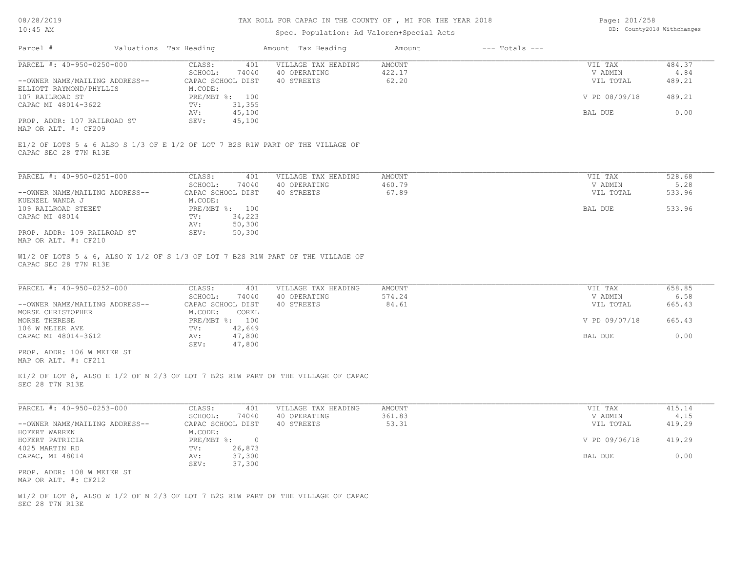# TAX ROLL FOR CAPAC IN THE COUNTY OF , MI FOR THE YEAR 2018

# Spec. Population: Ad Valorem+Special Acts

| Page: 201/258 |                            |
|---------------|----------------------------|
|               | DB: County2018 Withchanges |

| Parcel #                                                    | Valuations Tax Heading                                 | Amount Tax Heading                                                               | Amount                           | $---$ Totals $---$ |                                 |                          |
|-------------------------------------------------------------|--------------------------------------------------------|----------------------------------------------------------------------------------|----------------------------------|--------------------|---------------------------------|--------------------------|
| PARCEL #: 40-950-0250-000<br>--OWNER NAME/MAILING ADDRESS-- | CLASS:<br>401<br>SCHOOL:<br>74040<br>CAPAC SCHOOL DIST | VILLAGE TAX HEADING<br>40 OPERATING<br>40 STREETS                                | <b>AMOUNT</b><br>422.17<br>62.20 |                    | VIL TAX<br>V ADMIN<br>VIL TOTAL | 484.37<br>4.84<br>489.21 |
| ELLIOTT RAYMOND/PHYLLIS<br>107 RAILROAD ST                  | M.CODE:<br>PRE/MBT %: 100                              |                                                                                  |                                  |                    | V PD 08/09/18                   | 489.21                   |
| CAPAC MI 48014-3622                                         | 31,355<br>TV:<br>45,100<br>AV:                         |                                                                                  |                                  |                    | BAL DUE                         | 0.00                     |
| PROP. ADDR: 107 RAILROAD ST<br>MAP OR ALT. #: CF209         | SEV:<br>45,100                                         |                                                                                  |                                  |                    |                                 |                          |
| CAPAC SEC 28 T7N R13E                                       |                                                        | E1/2 OF LOTS 5 & 6 ALSO S 1/3 OF E 1/2 OF LOT 7 B2S R1W PART OF THE VILLAGE OF   |                                  |                    |                                 |                          |
| PARCEL #: 40-950-0251-000                                   | CLASS:<br>401                                          | VILLAGE TAX HEADING                                                              | <b>AMOUNT</b>                    |                    | VIL TAX                         | 528.68                   |
| --OWNER NAME/MAILING ADDRESS--                              | SCHOOL:<br>74040<br>CAPAC SCHOOL DIST                  | 40 OPERATING<br>40 STREETS                                                       | 460.79<br>67.89                  |                    | V ADMIN<br>VIL TOTAL            | 5.28<br>533.96           |
| KUENZEL WANDA J                                             | M.CODE:                                                |                                                                                  |                                  |                    |                                 |                          |
| 109 RAILROAD STEEET<br>CAPAC MI 48014                       | PRE/MBT %: 100<br>34,223<br>TV:                        |                                                                                  |                                  |                    | BAL DUE                         | 533.96                   |
|                                                             | 50,300<br>AV:                                          |                                                                                  |                                  |                    |                                 |                          |
| PROP. ADDR: 109 RAILROAD ST<br>MAP OR ALT. #: CF210         | SEV:<br>50,300                                         |                                                                                  |                                  |                    |                                 |                          |
| CAPAC SEC 28 T7N R13E                                       |                                                        | W1/2 OF LOTS 5 & 6, ALSO W 1/2 OF S 1/3 OF LOT 7 B2S R1W PART OF THE VILLAGE OF  |                                  |                    |                                 |                          |
| PARCEL #: 40-950-0252-000                                   | CLASS:<br>401                                          | VILLAGE TAX HEADING                                                              | <b>AMOUNT</b>                    |                    | VIL TAX                         | 658.85                   |
|                                                             | SCHOOL:<br>74040                                       | 40 OPERATING                                                                     | 574.24                           |                    | V ADMIN                         | 6.58                     |
| --OWNER NAME/MAILING ADDRESS--<br>MORSE CHRISTOPHER         | CAPAC SCHOOL DIST<br>M.CODE:<br>COREL                  | 40 STREETS                                                                       | 84.61                            |                    | VIL TOTAL                       | 665.43                   |
| MORSE THERESE                                               | PRE/MBT %: 100                                         |                                                                                  |                                  |                    | V PD 09/07/18                   | 665.43                   |
| 106 W MEIER AVE<br>CAPAC MI 48014-3612                      | TV:<br>42,649<br>47,800<br>AV:                         |                                                                                  |                                  |                    | BAL DUE                         | 0.00                     |
|                                                             | SEV:<br>47,800                                         |                                                                                  |                                  |                    |                                 |                          |
| PROP. ADDR: 106 W MEIER ST<br>MAP OR ALT. #: CF211          |                                                        |                                                                                  |                                  |                    |                                 |                          |
| SEC 28 T7N R13E                                             |                                                        | E1/2 OF LOT 8, ALSO E 1/2 OF N 2/3 OF LOT 7 B2S R1W PART OF THE VILLAGE OF CAPAC |                                  |                    |                                 |                          |
| PARCEL #: 40-950-0253-000                                   | CLASS:<br>401                                          | VILLAGE TAX HEADING                                                              | <b>AMOUNT</b>                    |                    | VIL TAX                         | 415.14                   |
|                                                             | SCHOOL:<br>74040                                       | 40 OPERATING                                                                     | 361.83                           |                    | V ADMIN                         | 4.15                     |
| --OWNER NAME/MAILING ADDRESS--<br>HOFERT WARREN             | CAPAC SCHOOL DIST<br>M.CODE:                           | 40 STREETS                                                                       | 53.31                            |                    | VIL TOTAL                       | 419.29                   |
| HOFERT PATRICIA                                             | $PRE/MBT$ %:<br>$\overline{0}$                         |                                                                                  |                                  |                    | V PD 09/06/18                   | 419.29                   |
| 4025 MARTIN RD<br>CAPAC, MI 48014                           | TV:<br>26,873<br>37,300<br>AV:<br>SEV:<br>37,300       |                                                                                  |                                  |                    | BAL DUE                         | 0.00                     |
| PROP. ADDR: 108 W MEIER ST<br>MAP OR ALT. #: CF212          |                                                        |                                                                                  |                                  |                    |                                 |                          |
| SEC 28 T7N R13E                                             |                                                        | W1/2 OF LOT 8, ALSO W 1/2 OF N 2/3 OF LOT 7 B2S R1W PART OF THE VILLAGE OF CAPAC |                                  |                    |                                 |                          |
|                                                             |                                                        |                                                                                  |                                  |                    |                                 |                          |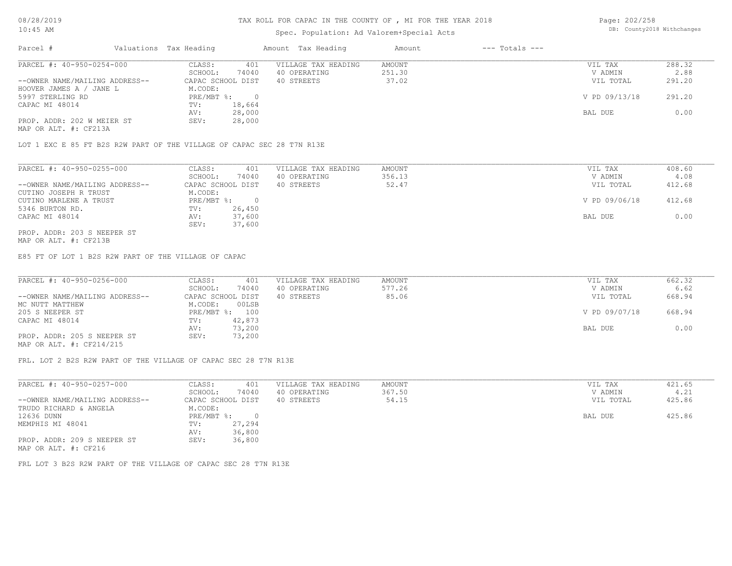# TAX ROLL FOR CAPAC IN THE COUNTY OF , MI FOR THE YEAR 2018

# Spec. Population: Ad Valorem+Special Acts

Page: 202/258 DB: County2018 Withchanges

| Parcel #                       | Valuations Tax Heading |        | Amount Tax Heading  | Amount | $---$ Totals $---$ |               |        |
|--------------------------------|------------------------|--------|---------------------|--------|--------------------|---------------|--------|
| PARCEL #: 40-950-0254-000      | CLASS:                 | 401    | VILLAGE TAX HEADING | AMOUNT |                    | VIL TAX       | 288.32 |
|                                | SCHOOL:                | 74040  | 40 OPERATING        | 251.30 |                    | V ADMIN       | 2.88   |
| --OWNER NAME/MAILING ADDRESS-- | CAPAC SCHOOL DIST      |        | 40 STREETS          | 37.02  |                    | VIL TOTAL     | 291.20 |
| HOOVER JAMES A / JANE L        | M.CODE:                |        |                     |        |                    |               |        |
| 5997 STERLING RD               | $PRE/MBT$ %:           |        |                     |        |                    | V PD 09/13/18 | 291.20 |
| CAPAC MI 48014                 | TV:                    | 18,664 |                     |        |                    |               |        |
|                                | AV:                    | 28,000 |                     |        |                    | BAL DUE       | 0.00   |
| PROP. ADDR: 202 W MEIER ST     | SEV:                   | 28,000 |                     |        |                    |               |        |
|                                |                        |        |                     |        |                    |               |        |

MAP OR ALT. #: CF213A

LOT 1 EXC E 85 FT B2S R2W PART OF THE VILLAGE OF CAPAC SEC 28 T7N R13E

| PARCEL #: 40-950-0255-000      | CLASS:<br>401     | VILLAGE TAX HEADING | AMOUNT | VIL TAX       | 408.60 |
|--------------------------------|-------------------|---------------------|--------|---------------|--------|
|                                | 74040<br>SCHOOL:  | 40 OPERATING        | 356.13 | V ADMIN       | 4.08   |
| --OWNER NAME/MAILING ADDRESS-- | CAPAC SCHOOL DIST | 40 STREETS          | 52.47  | VIL TOTAL     | 412.68 |
| CUTINO JOSEPH R TRUST          | M.CODE:           |                     |        |               |        |
| CUTINO MARLENE A TRUST         | PRE/MBT %:        |                     |        | V PD 09/06/18 | 412.68 |
| 5346 BURTON RD.                | 26,450<br>TV:     |                     |        |               |        |
| CAPAC MI 48014                 | 37,600<br>AV:     |                     |        | BAL DUE       | 0.00   |
|                                | 37,600<br>SEV:    |                     |        |               |        |
| PROP. ADDR: 203 S NEEPER ST    |                   |                     |        |               |        |

MAP OR ALT. #: CF213B

E85 FT OF LOT 1 B2S R2W PART OF THE VILLAGE OF CAPAC

| PARCEL #: 40-950-0256-000      | CLASS:<br>401     | VILLAGE TAX HEADING | AMOUNT | VIL TAX       | 662.32 |
|--------------------------------|-------------------|---------------------|--------|---------------|--------|
|                                | 74040<br>SCHOOL:  | 40 OPERATING        | 577.26 | V ADMIN       | 6.62   |
| --OWNER NAME/MAILING ADDRESS-- | CAPAC SCHOOL DIST | 40 STREETS          | 85.06  | VIL TOTAL     | 668.94 |
| MC NUTT MATTHEW                | 00LSB<br>M.CODE:  |                     |        |               |        |
| 205 S NEEPER ST                | PRE/MBT %:<br>100 |                     |        | V PD 09/07/18 | 668.94 |
| CAPAC MI 48014                 | 42,873<br>TV:     |                     |        |               |        |
|                                | 73,200<br>AV:     |                     |        | BAL DUE       | 0.00   |
| PROP. ADDR: 205 S NEEPER ST    | 73,200<br>SEV:    |                     |        |               |        |
| $1/2 = 0$                      |                   |                     |        |               |        |

MAP OR ALT. #: CF214/215

FRL. LOT 2 B2S R2W PART OF THE VILLAGE OF CAPAC SEC 28 T7N R13E

| PARCEL #: 40-950-0257-000      | 401<br>CLASS:     | VILLAGE TAX HEADING | AMOUNT | VIL TAX   | 421.65 |
|--------------------------------|-------------------|---------------------|--------|-----------|--------|
|                                | 74040<br>SCHOOL:  | 40 OPERATING        | 367.50 | V ADMIN   | 4.21   |
| --OWNER NAME/MAILING ADDRESS-- | CAPAC SCHOOL DIST | 40 STREETS          | 54.15  | VIL TOTAL | 425.86 |
| TRUDO RICHARD & ANGELA         | M.CODE:           |                     |        |           |        |
| 12636 DUNN                     | PRE/MBT %:        |                     |        | BAL DUE   | 425.86 |
| MEMPHIS MI 48041               | 27,294<br>TV:     |                     |        |           |        |
|                                | 36,800<br>AV:     |                     |        |           |        |
| PROP. ADDR: 209 S NEEPER ST    | 36,800<br>SEV:    |                     |        |           |        |
| MAP OR ALT. #: CF216           |                   |                     |        |           |        |

FRL LOT 3 B2S R2W PART OF THE VILLAGE OF CAPAC SEC 28 T7N R13E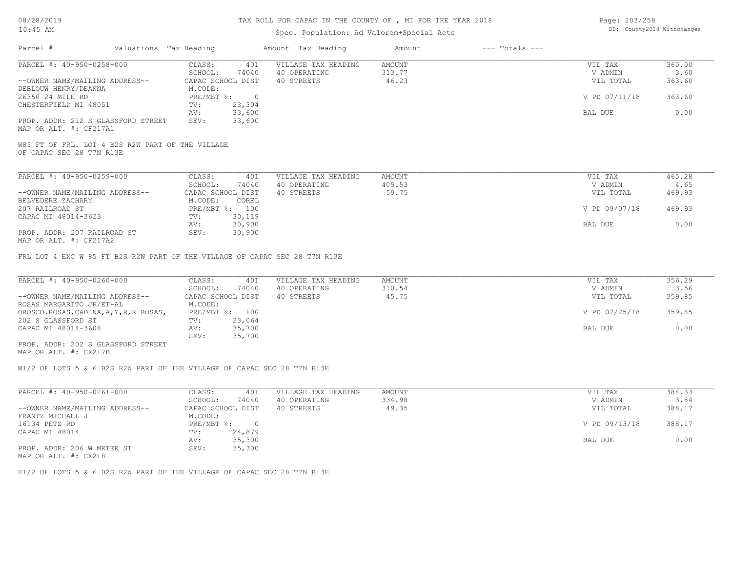### Spec. Population: Ad Valorem+Special Acts

| Page: 203/258 |                            |
|---------------|----------------------------|
|               | DB: County2018 Withchanges |

| Parcel #                           | Valuations Tax Heading |        | Amount Tax Heading  | Amount | $---$ Totals $---$ |               |        |
|------------------------------------|------------------------|--------|---------------------|--------|--------------------|---------------|--------|
| PARCEL #: 40-950-0258-000          | CLASS:                 | 401    | VILLAGE TAX HEADING | AMOUNT |                    | VIL TAX       | 360.00 |
|                                    | SCHOOL:                | 74040  | 40 OPERATING        | 313.77 |                    | V ADMIN       | 3.60   |
| --OWNER NAME/MAILING ADDRESS--     | CAPAC SCHOOL DIST      |        | 40 STREETS          | 46.23  |                    | VIL TOTAL     | 363.60 |
| DEBLOUW HENRY/DEANNA               | M.CODE:                |        |                     |        |                    |               |        |
| 26350 24 MILE RD                   | PRE/MBT %:             |        |                     |        |                    | V PD 07/11/18 | 363.60 |
| CHESTERFIELD MI 48051              | TV:                    | 23,304 |                     |        |                    |               |        |
|                                    | AV:                    | 33,600 |                     |        |                    | BAL DUE       | 0.00   |
| PROP. ADDR: 212 S GLASSFORD STREET | SEV:                   | 33,600 |                     |        |                    |               |        |
| MAP OR ALT. #: CF217A1             |                        |        |                     |        |                    |               |        |

OF CAPAC SEC 28 T7N R13E W85 FT OF FRL. LOT 4 B2S R2W PART OF THE VILLAGE

| PARCEL #: 40-950-0259-000      | CLASS:            | 401            | VILLAGE TAX HEADING | AMOUNT | VIL TAX       | 465.28 |  |
|--------------------------------|-------------------|----------------|---------------------|--------|---------------|--------|--|
|                                | SCHOOL:           | 74040          | 40 OPERATING        | 405.53 | V ADMIN       | 4.65   |  |
| --OWNER NAME/MAILING ADDRESS-- | CAPAC SCHOOL DIST |                | 40 STREETS          | 59.75  | VIL TOTAL     | 469.93 |  |
| BELVEDERE ZACHARY              | M.CODE:           | COREL          |                     |        |               |        |  |
| 207 RAILROAD ST                |                   | PRE/MBT %: 100 |                     |        | V PD 09/07/18 | 469.93 |  |
| CAPAC MI 48014-3623            | TV:               | 30,119         |                     |        |               |        |  |
|                                | AV:               | 30,900         |                     |        | BAL DUE       | 0.00   |  |
| PROP. ADDR: 207 RAILROAD ST    | SEV:              | 30,900         |                     |        |               |        |  |
| 1770 הרכתיה ++ יחזר כה כדוא    |                   |                |                     |        |               |        |  |

MAP OR ALT. #: CF217A2

FRL LOT 4 EXC W 85 FT B2S R2W PART OF THE VILLAGE OF CAPAC SEC 28 T7N R13E

| PARCEL #: 40-950-0260-000               | CLASS:            | VILLAGE TAX HEADING<br>401 | AMOUNT | VIL TAX       | 356.29 |
|-----------------------------------------|-------------------|----------------------------|--------|---------------|--------|
|                                         | 74040<br>SCHOOL:  | 40 OPERATING               | 310.54 | V ADMIN       | 3.56   |
| --OWNER NAME/MAILING ADDRESS--          | CAPAC SCHOOL DIST | 40 STREETS                 | 45.75  | VIL TOTAL     | 359.85 |
| ROSAS MARGARITO JR/ET-AL                | M.CODE:           |                            |        |               |        |
| OROSCO.ROSAS, CADINA, A, Y, R, R ROSAS, | PRE/MBT %: 100    |                            |        | V PD 07/25/18 | 359.85 |
| 202 S GLASSFORD ST                      | 23,064<br>TV:     |                            |        |               |        |
| CAPAC MI 48014-3608                     | 35,700<br>AV:     |                            |        | BAL DUE       | 0.00   |
|                                         | 35,700<br>SEV:    |                            |        |               |        |
| PROP. ADDR: 202 S GLASSFORD STREET      |                   |                            |        |               |        |

MAP OR ALT. #: CF217B

W1/2 OF LOTS 5 & 6 B2S R2W PART OF THE VILLAGE OF CAPAC SEC 28 T7N R13E

| PARCEL #: 40-950-0261-000                                                                                       | CLASS:            | 401    | VILLAGE TAX HEADING | AMOUNT | VIL TAX       | 384.33 |
|-----------------------------------------------------------------------------------------------------------------|-------------------|--------|---------------------|--------|---------------|--------|
|                                                                                                                 | SCHOOL:           | 74040  | 40 OPERATING        | 334.98 | V ADMIN       | 3.84   |
| --OWNER NAME/MAILING ADDRESS--                                                                                  | CAPAC SCHOOL DIST |        | 40 STREETS          | 49.35  | VIL TOTAL     | 388.17 |
| FRANTZ MICHAEL J                                                                                                | M.CODE:           |        |                     |        |               |        |
| 16134 PETZ RD                                                                                                   | PRE/MBT %:        |        |                     |        | V PD 09/13/18 | 388.17 |
| CAPAC MI 48014                                                                                                  | TV:               | 24,879 |                     |        |               |        |
|                                                                                                                 | AV:               | 35,300 |                     |        | BAL DUE       | 0.00   |
| PROP. ADDR: 206 W MEIER ST                                                                                      | SEV:              | 35,300 |                     |        |               |        |
| the contract of the contract of the contract of the contract of the contract of the contract of the contract of |                   |        |                     |        |               |        |

MAP OR ALT. #: CF218

E1/2 OF LOTS 5 & 6 B2S R2W PART OF THE VILLAGE OF CAPAC SEC 28 T7N R13E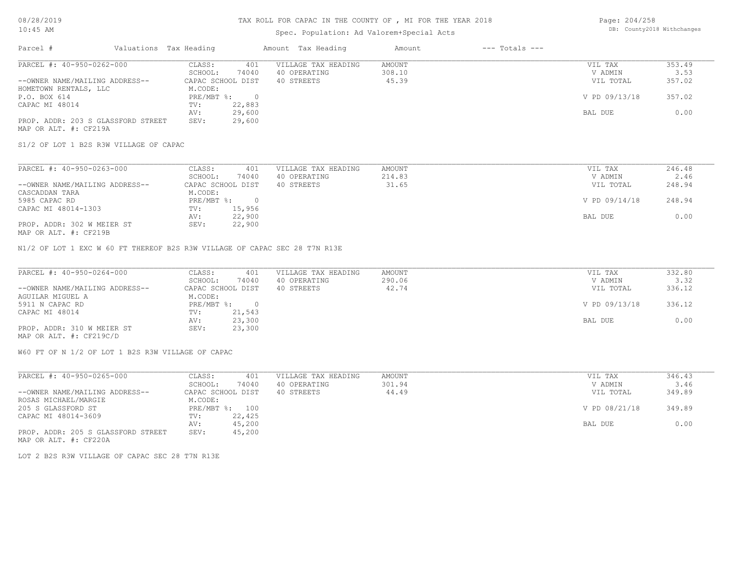#### TAX ROLL FOR CAPAC IN THE COUNTY OF , MI FOR THE YEAR 2018

### Spec. Population: Ad Valorem+Special Acts

Page: 204/258 DB: County2018 Withchanges

| Parcel #                           | Valuations Tax Heading |        | Amount Tax Heading  | Amount | $---$ Totals $---$ |               |        |
|------------------------------------|------------------------|--------|---------------------|--------|--------------------|---------------|--------|
| PARCEL #: 40-950-0262-000          | CLASS:                 | 401    | VILLAGE TAX HEADING | AMOUNT |                    | VIL TAX       | 353.49 |
|                                    | SCHOOL:                | 74040  | 40 OPERATING        | 308.10 |                    | V ADMIN       | 3.53   |
| --OWNER NAME/MAILING ADDRESS--     | CAPAC SCHOOL DIST      |        | 40 STREETS          | 45.39  |                    | VIL TOTAL     | 357.02 |
| HOMETOWN RENTALS, LLC              | M.CODE:                |        |                     |        |                    |               |        |
| P.O. BOX 614                       | $PRE/MBT$ %:           |        |                     |        |                    | V PD 09/13/18 | 357.02 |
| CAPAC MI 48014                     | TV:                    | 22,883 |                     |        |                    |               |        |
|                                    | AV:                    | 29,600 |                     |        |                    | BAL DUE       | 0.00   |
| PROP. ADDR: 203 S GLASSFORD STREET | SEV:                   | 29,600 |                     |        |                    |               |        |
| MAP OR ALT. #: CF219A              |                        |        |                     |        |                    |               |        |

S1/2 OF LOT 1 B2S R3W VILLAGE OF CAPAC

| PARCEL #: 40-950-0263-000      | CLASS:<br>401     | VILLAGE TAX HEADING | AMOUNT | VIL TAX       | 246.48 |
|--------------------------------|-------------------|---------------------|--------|---------------|--------|
|                                | 74040<br>SCHOOL:  | 40 OPERATING        | 214.83 | V ADMIN       | 2.46   |
| --OWNER NAME/MAILING ADDRESS-- | CAPAC SCHOOL DIST | 40 STREETS          | 31.65  | VIL TOTAL     | 248.94 |
| CASCADDAN TARA                 | M.CODE:           |                     |        |               |        |
| 5985 CAPAC RD                  | PRE/MBT %:        |                     |        | V PD 09/14/18 | 248.94 |
| CAPAC MI 48014-1303            | 15,956<br>TV:     |                     |        |               |        |
|                                | 22,900<br>AV:     |                     |        | BAL DUE       | 0.00   |
| PROP. ADDR: 302 W MEIER ST     | 22,900<br>SEV:    |                     |        |               |        |
| MAP OR ALT. #: CF219B          |                   |                     |        |               |        |

N1/2 OF LOT 1 EXC W 60 FT THEREOF B2S R3W VILLAGE OF CAPAC SEC 28 T7N R13E

| PARCEL #: 40-950-0264-000      | CLASS:<br>401     | VILLAGE TAX HEADING | AMOUNT | VIL TAX       | 332.80 |
|--------------------------------|-------------------|---------------------|--------|---------------|--------|
|                                | 74040<br>SCHOOL:  | 40 OPERATING        | 290.06 | V ADMIN       | 3.32   |
| --OWNER NAME/MAILING ADDRESS-- | CAPAC SCHOOL DIST | 40 STREETS          | 42.74  | VIL TOTAL     | 336.12 |
| AGUILAR MIGUEL A               | M.CODE:           |                     |        |               |        |
| 5911 N CAPAC RD                | PRE/MBT %:        |                     |        | V PD 09/13/18 | 336.12 |
| CAPAC MI 48014                 | 21,543<br>TV:     |                     |        |               |        |
|                                | 23,300<br>AV:     |                     |        | BAL DUE       | 0.00   |
| PROP. ADDR: 310 W MEIER ST     | 23,300<br>SEV:    |                     |        |               |        |
| MAP OR ALT. #: CF219C/D        |                   |                     |        |               |        |

W60 FT OF N 1/2 OF LOT 1 B2S R3W VILLAGE OF CAPAC

| PARCEL #: 40-950-0265-000          | CLASS:            | 401    | VILLAGE TAX HEADING | AMOUNT | VIL TAX       | 346.43 |
|------------------------------------|-------------------|--------|---------------------|--------|---------------|--------|
|                                    | SCHOOL:           | 74040  | 40 OPERATING        | 301.94 | V ADMIN       | 3.46   |
| --OWNER NAME/MAILING ADDRESS--     | CAPAC SCHOOL DIST |        | 40 STREETS          | 44.49  | VIL TOTAL     | 349.89 |
| ROSAS MICHAEL/MARGIE               | M.CODE:           |        |                     |        |               |        |
| 205 S GLASSFORD ST                 | $PRE/MBT$ %:      | 100    |                     |        | V PD 08/21/18 | 349.89 |
| CAPAC MI 48014-3609                | TV:               | 22,425 |                     |        |               |        |
|                                    | AV:               | 45,200 |                     |        | BAL DUE       | 0.00   |
| PROP. ADDR: 205 S GLASSFORD STREET | SEV:              | 45,200 |                     |        |               |        |

MAP OR ALT. #: CF220A

LOT 2 B2S R3W VILLAGE OF CAPAC SEC 28 T7N R13E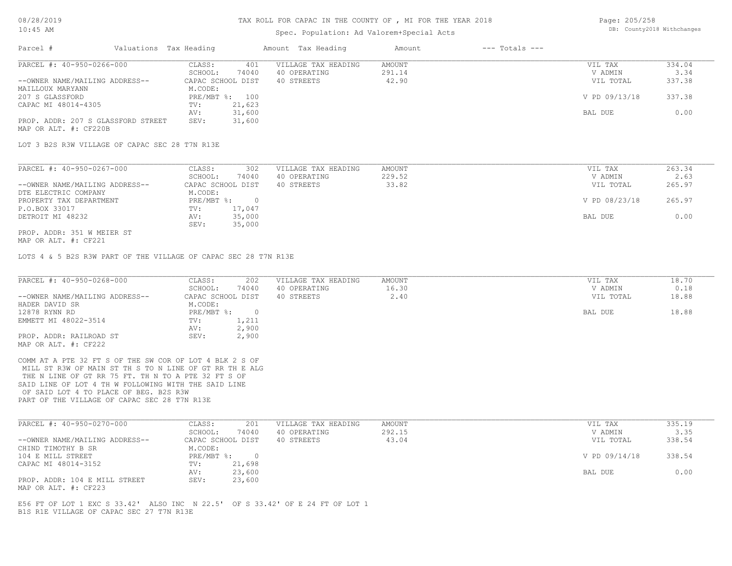#### TAX ROLL FOR CAPAC IN THE COUNTY OF , MI FOR THE YEAR 2018

#### Spec. Population: Ad Valorem+Special Acts

| Page: 205/258 |                            |
|---------------|----------------------------|
|               | DB: County2018 Withchanges |

| Parcel #                           | Valuations Tax Heading |                | Amount Tax Heading  | Amount | $---$ Totals $---$ |               |        |
|------------------------------------|------------------------|----------------|---------------------|--------|--------------------|---------------|--------|
| PARCEL #: 40-950-0266-000          | CLASS:                 | 401            | VILLAGE TAX HEADING | AMOUNT |                    | VIL TAX       | 334.04 |
|                                    | SCHOOL:                | 74040          | 40 OPERATING        | 291.14 |                    | V ADMIN       | 3.34   |
| --OWNER NAME/MAILING ADDRESS--     | CAPAC SCHOOL DIST      |                | 40 STREETS          | 42.90  |                    | VIL TOTAL     | 337.38 |
| MAILLOUX MARYANN                   | M.CODE:                |                |                     |        |                    |               |        |
| 207 S GLASSFORD                    |                        | PRE/MBT %: 100 |                     |        |                    | V PD 09/13/18 | 337.38 |
| CAPAC MI 48014-4305                | TV:                    | 21,623         |                     |        |                    |               |        |
|                                    | AV:                    | 31,600         |                     |        |                    | BAL DUE       | 0.00   |
| PROP. ADDR: 207 S GLASSFORD STREET | SEV:                   | 31,600         |                     |        |                    |               |        |
| MAP OR ALT. #: CF220B              |                        |                |                     |        |                    |               |        |

| PARCEL #: 40-950-0267-000      | 302<br>CLASS:     | VILLAGE TAX HEADING | AMOUNT | VIL TAX       | 263.34 |
|--------------------------------|-------------------|---------------------|--------|---------------|--------|
|                                | 74040<br>SCHOOL:  | 40 OPERATING        | 229.52 | V ADMIN       | 2.63   |
| --OWNER NAME/MAILING ADDRESS-- | CAPAC SCHOOL DIST | 40 STREETS          | 33.82  | VIL TOTAL     | 265.97 |
| DTE ELECTRIC COMPANY           | M.CODE:           |                     |        |               |        |
| PROPERTY TAX DEPARTMENT        | PRE/MBT %:        |                     |        | V PD 08/23/18 | 265.97 |
| P.O.BOX 33017                  | 17,047<br>TV:     |                     |        |               |        |
| DETROIT MI 48232               | 35,000<br>AV:     |                     |        | BAL DUE       | 0.00   |
|                                | 35,000<br>SEV:    |                     |        |               |        |
| PROP. ADDR: 351 W MEIER ST     |                   |                     |        |               |        |

MAP OR ALT. #: CF221

LOTS 4 & 5 B2S R3W PART OF THE VILLAGE OF CAPAC SEC 28 T7N R13E

| PARCEL #: 40-950-0268-000                               | CLASS:<br>202            | VILLAGE TAX HEADING | AMOUNT | VIL TAX   | 18.70 |
|---------------------------------------------------------|--------------------------|---------------------|--------|-----------|-------|
|                                                         | 74040<br>SCHOOL:         | 40 OPERATING        | 16.30  | V ADMIN   | 0.18  |
| --OWNER NAME/MAILING ADDRESS--                          | CAPAC SCHOOL DIST        | 40 STREETS          | 2.40   | VIL TOTAL | 18.88 |
| HADER DAVID SR                                          | M.CODE:                  |                     |        |           |       |
| 12878 RYNN RD                                           | $PRE/MBT$ %:<br>$\Omega$ |                     |        | BAL DUE   | 18.88 |
| EMMETT MI 48022-3514                                    | 1,211<br>TV:             |                     |        |           |       |
|                                                         | 2,900<br>AV:             |                     |        |           |       |
| PROP. ADDR: RAILROAD ST                                 | 2,900<br>SEV:            |                     |        |           |       |
| MAP OR ALT. #: CF222                                    |                          |                     |        |           |       |
|                                                         |                          |                     |        |           |       |
| COMM AT A PTE 32 FT S OF THE SW COR OF LOT 4 BLK 2 S OF |                          |                     |        |           |       |
| MILL ST R3W OF MAIN ST TH S TO N LINE OF GT RR TH E ALG |                          |                     |        |           |       |
| THE N LINE OF GT RR 75 FT. TH N TO A PTE 32 FT S OF     |                          |                     |        |           |       |

PART OF THE VILLAGE OF CAPAC SEC 28 T7N R13E OF SAID LOT 4 TO PLACE OF BEG. B2S R3W SAID LINE OF LOT 4 TH W FOLLOWING WITH THE SAID LINE

| PARCEL #: 40-950-0270-000      | CLASS:            | 201    | VILLAGE TAX HEADING | AMOUNT | VIL TAX       | 335.19 |
|--------------------------------|-------------------|--------|---------------------|--------|---------------|--------|
|                                | SCHOOL:           | 74040  | 40 OPERATING        | 292.15 | V ADMIN       | 3.35   |
| --OWNER NAME/MAILING ADDRESS-- | CAPAC SCHOOL DIST |        | 40 STREETS          | 43.04  | VIL TOTAL     | 338.54 |
| CHIND TIMOTHY B SR             | M.CODE:           |        |                     |        |               |        |
| 104 E MILL STREET              | $PRE/MBT$ %:      |        |                     |        | V PD 09/14/18 | 338.54 |
| CAPAC MI 48014-3152            | TV:               | 21,698 |                     |        |               |        |
|                                | AV:               | 23,600 |                     |        | BAL DUE       | 0.00   |
| PROP. ADDR: 104 E MILL STREET  | SEV:              | 23,600 |                     |        |               |        |
| MAP OR ALT. #: CF223           |                   |        |                     |        |               |        |

B1S R1E VILLAGE OF CAPAC SEC 27 T7N R13E E56 FT OF LOT 1 EXC S 33.42' ALSO INC N 22.5' OF S 33.42' OF E 24 FT OF LOT 1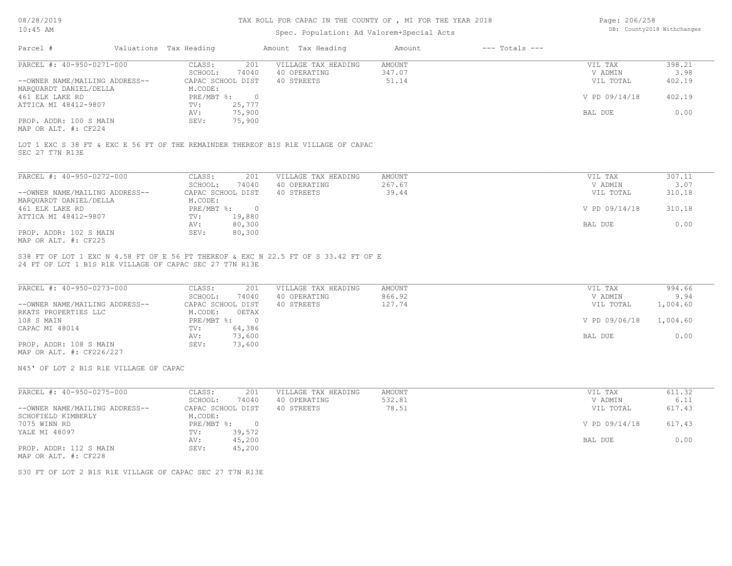#### TAX ROLL FOR CAPAC IN THE COUNTY OF , MI FOR THE YEAR 2018

### Spec. Population: Ad Valorem+Special Acts

| Page: 206/258 |                            |
|---------------|----------------------------|
|               | DB: County2018 Withchanges |

| Parcel #                       | Valuations Tax Heading |        | Amount Tax Heading  | Amount | $---$ Totals $---$ |               |        |
|--------------------------------|------------------------|--------|---------------------|--------|--------------------|---------------|--------|
| PARCEL #: 40-950-0271-000      | CLASS:                 | 201    | VILLAGE TAX HEADING | AMOUNT |                    | VIL TAX       | 398.21 |
|                                | SCHOOL:                | 74040  | 40 OPERATING        | 347.07 |                    | V ADMIN       | 3.98   |
| --OWNER NAME/MAILING ADDRESS-- | CAPAC SCHOOL DIST      |        | 40 STREETS          | 51.14  |                    | VIL TOTAL     | 402.19 |
| MAROUARDT DANIEL/DELLA         | M.CODE:                |        |                     |        |                    |               |        |
| 461 ELK LAKE RD                | $PRE/MBT$ %:           |        |                     |        |                    | V PD 09/14/18 | 402.19 |
| ATTICA MI 48412-9807           | TV:                    | 25,777 |                     |        |                    |               |        |
|                                | AV:                    | 75,900 |                     |        |                    | BAL DUE       | 0.00   |
| PROP. ADDR: 100 S MAIN         | SEV:                   | 75,900 |                     |        |                    |               |        |
|                                |                        |        |                     |        |                    |               |        |

MAP OR ALT. #: CF224

SEC 27 T7N R13E LOT 1 EXC S 38 FT & EXC E 56 FT OF THE REMAINDER THEREOF B1S R1E VILLAGE OF CAPAC

| PARCEL #: 40-950-0272-000      | CLASS:     | 201               | VILLAGE TAX HEADING | AMOUNT | VIL TAX       | 307.11 |
|--------------------------------|------------|-------------------|---------------------|--------|---------------|--------|
|                                | SCHOOL:    | 74040             | 40 OPERATING        | 267.67 | V ADMIN       | 3.07   |
| --OWNER NAME/MAILING ADDRESS-- |            | CAPAC SCHOOL DIST | 40 STREETS          | 39.44  | VIL TOTAL     | 310.18 |
| MAROUARDT DANIEL/DELLA         | M.CODE:    |                   |                     |        |               |        |
| 461 ELK LAKE RD                | PRE/MBT %: |                   |                     |        | V PD 09/14/18 | 310.18 |
| ATTICA MI 48412-9807           | TV:        | 19,880            |                     |        |               |        |
|                                | AV:        | 80,300            |                     |        | BAL DUE       | 0.00   |
| PROP. ADDR: 102 S MAIN         | SEV:       | 80,300            |                     |        |               |        |
| MAP OR ALT. #: CF225           |            |                   |                     |        |               |        |

24 FT OF LOT 1 B1S R1E VILLAGE OF CAPAC SEC 27 T7N R13E S38 FT OF LOT 1 EXC N 4.58 FT OF E 56 FT THEREOF & EXC N 22.5 FT OF S 33.42 FT OF E

| PARCEL #: 40-950-0273-000      | CLASS:<br>201     | VILLAGE TAX HEADING | AMOUNT | VIL TAX       | 994.66   |
|--------------------------------|-------------------|---------------------|--------|---------------|----------|
|                                | 74040<br>SCHOOL:  | 40 OPERATING        | 866.92 | V ADMIN       | 9.94     |
| --OWNER NAME/MAILING ADDRESS-- | CAPAC SCHOOL DIST | 40 STREETS          | 127.74 | VIL TOTAL     | 1,004.60 |
| RKATS PROPERTIES LLC           | OETAX<br>M.CODE:  |                     |        |               |          |
| 108 S MAIN                     | PRE/MBT %:        |                     |        | V PD 09/06/18 | 1,004.60 |
| CAPAC MI 48014                 | 64,386<br>TV:     |                     |        |               |          |
|                                | 73,600<br>AV:     |                     |        | BAL DUE       | 0.00     |
| PROP. ADDR: 108 S MAIN         | 73,600<br>SEV:    |                     |        |               |          |
|                                |                   |                     |        |               |          |

MAP OR ALT. #: CF226/227

N45' OF LOT 2 B1S R1E VILLAGE OF CAPAC

| PARCEL #: 40-950-0275-000      | CLASS:            | 201    | VILLAGE TAX HEADING | AMOUNT | VIL TAX       | 611.32 |
|--------------------------------|-------------------|--------|---------------------|--------|---------------|--------|
|                                | SCHOOL:           | 74040  | 40 OPERATING        | 532.81 | V ADMIN       | 6.11   |
| --OWNER NAME/MAILING ADDRESS-- | CAPAC SCHOOL DIST |        | 40 STREETS          | 78.51  | VIL TOTAL     | 617.43 |
| SCHOFIELD KIMBERLY             | M.CODE:           |        |                     |        |               |        |
| 7075 WINN RD                   | PRE/MBT %:        |        |                     |        | V PD 09/14/18 | 617.43 |
| YALE MI 48097                  | TV:               | 39,572 |                     |        |               |        |
|                                | AV:               | 45,200 |                     |        | BAL DUE       | 0.00   |
| PROP. ADDR: 112 S MAIN         | SEV:              | 45,200 |                     |        |               |        |

MAP OR ALT. #: CF228

S30 FT OF LOT 2 B1S R1E VILLAGE OF CAPAC SEC 27 T7N R13E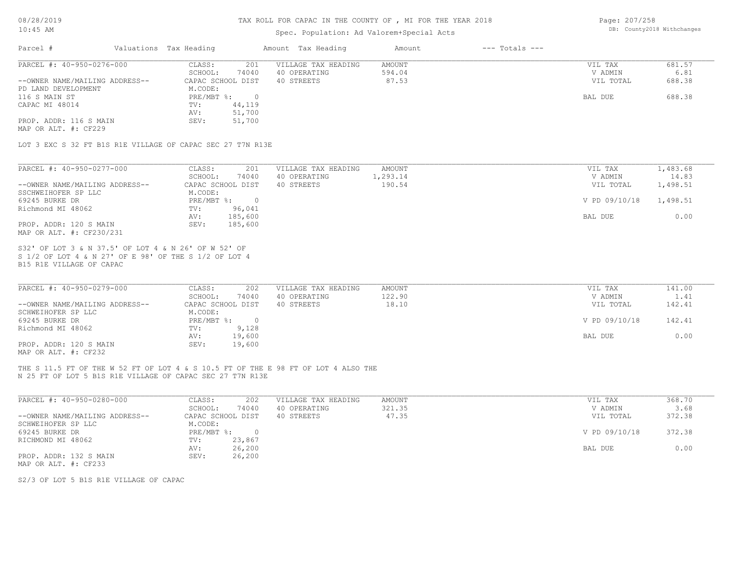#### TAX ROLL FOR CAPAC IN THE COUNTY OF , MI FOR THE YEAR 2018

### Spec. Population: Ad Valorem+Special Acts

Page: 207/258 DB: County2018 Withchanges

| 681.57 |
|--------|
|        |
| 6.81   |
| 688.38 |
|        |
| 688.38 |
|        |
|        |
|        |
|        |

MAP OR ALT. #: CF229

LOT 3 EXC S 32 FT B1S R1E VILLAGE OF CAPAC SEC 27 T7N R13E

| PARCEL #: 40-950-0277-000      | 201<br>CLASS:     | VILLAGE TAX HEADING<br>AMOUNT | VIL TAX       | 1,483.68 |
|--------------------------------|-------------------|-------------------------------|---------------|----------|
|                                | 74040<br>SCHOOL:  | 1,293.14<br>40 OPERATING      | V ADMIN       | 14.83    |
| --OWNER NAME/MAILING ADDRESS-- | CAPAC SCHOOL DIST | 190.54<br>40 STREETS          | VIL TOTAL     | 1,498.51 |
| SSCHWEIHOFER SP LLC            | M.CODE:           |                               |               |          |
| 69245 BURKE DR                 | PRE/MBT %:        |                               | V PD 09/10/18 | 1,498.51 |
| Richmond MI 48062              | 96,041<br>TV:     |                               |               |          |
|                                | 185,600<br>AV:    |                               | BAL DUE       | 0.00     |
| PROP. ADDR: 120 S MAIN         | 185,600<br>SEV:   |                               |               |          |
| MAP OR ALT. #: CF230/231       |                   |                               |               |          |

B15 R1E VILLAGE OF CAPAC S 1/2 OF LOT 4 & N 27' OF E 98' OF THE S 1/2 OF LOT 4 S32' OF LOT 3 & N 37.5' OF LOT 4 & N 26' OF W 52' OF

| PARCEL #: 40-950-0279-000      | CLASS:<br>202     | VILLAGE TAX HEADING | AMOUNT | VIL TAX       | 141.00 |
|--------------------------------|-------------------|---------------------|--------|---------------|--------|
|                                | 74040<br>SCHOOL:  | 40 OPERATING        | 122.90 | V ADMIN       | 1.41   |
| --OWNER NAME/MAILING ADDRESS-- | CAPAC SCHOOL DIST | 40 STREETS          | 18.10  | VIL TOTAL     | 142.41 |
| SCHWEIHOFER SP LLC             | M.CODE:           |                     |        |               |        |
| 69245 BURKE DR                 | PRE/MBT %:        |                     |        | V PD 09/10/18 | 142.41 |
| Richmond MI 48062              | 9,128<br>TV:      |                     |        |               |        |
|                                | 19,600<br>AV:     |                     |        | BAL DUE       | 0.00   |
| PROP. ADDR: 120 S MAIN         | 19,600<br>SEV:    |                     |        |               |        |
| MAP OR ALT. #: CF232           |                   |                     |        |               |        |

N 25 FT OF LOT 5 B1S R1E VILLAGE OF CAPAC SEC 27 T7N R13E THE S 11.5 FT OF THE W 52 FT OF LOT 4 & S 10.5 FT OF THE E 98 FT OF LOT 4 ALSO THE

| PARCEL #: 40-950-0280-000      | 202<br>CLASS:     | VILLAGE TAX HEADING | AMOUNT | VIL TAX       | 368.70 |
|--------------------------------|-------------------|---------------------|--------|---------------|--------|
|                                | 74040<br>SCHOOL:  | 40 OPERATING        | 321.35 | V ADMIN       | 3.68   |
| --OWNER NAME/MAILING ADDRESS-- | CAPAC SCHOOL DIST | 40 STREETS          | 47.35  | VIL TOTAL     | 372.38 |
| SCHWEIHOFER SP LLC             | M.CODE:           |                     |        |               |        |
| 69245 BURKE DR                 | PRE/MBT %:        |                     |        | V PD 09/10/18 | 372.38 |
| RICHMOND MI 48062              | 23,867<br>TV:     |                     |        |               |        |
|                                | AV:<br>26,200     |                     |        | BAL DUE       | 0.00   |
| PROP. ADDR: 132 S MAIN         | 26,200<br>SEV:    |                     |        |               |        |
| MAP OR ALT. #: CF233           |                   |                     |        |               |        |

S2/3 OF LOT 5 B1S R1E VILLAGE OF CAPAC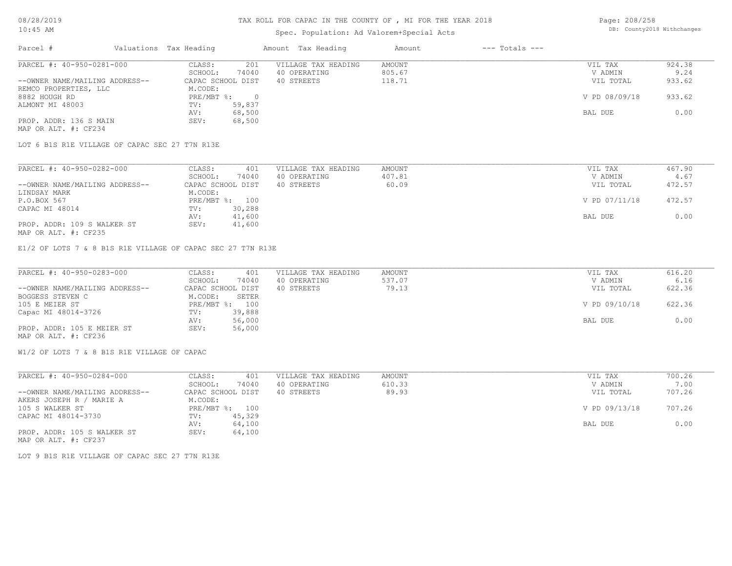#### TAX ROLL FOR CAPAC IN THE COUNTY OF , MI FOR THE YEAR 2018

### Spec. Population: Ad Valorem+Special Acts

Page: 208/258 DB: County2018 Withchanges

| Parcel #                       | Valuations Tax Heading |        | Amount Tax Heading  | Amount | $---$ Totals $---$ |               |        |
|--------------------------------|------------------------|--------|---------------------|--------|--------------------|---------------|--------|
| PARCEL #: 40-950-0281-000      | CLASS:                 | 201    | VILLAGE TAX HEADING | AMOUNT |                    | VIL TAX       | 924.38 |
|                                | SCHOOL:                | 74040  | 40 OPERATING        | 805.67 |                    | V ADMIN       | 9.24   |
| --OWNER NAME/MAILING ADDRESS-- | CAPAC SCHOOL DIST      |        | 40 STREETS          | 118.71 |                    | VIL TOTAL     | 933.62 |
| REMCO PROPERTIES, LLC          | M.CODE:                |        |                     |        |                    |               |        |
| 8882 HOUGH RD                  | PRE/MBT %:             |        |                     |        |                    | V PD 08/09/18 | 933.62 |
| ALMONT MI 48003                | TV:                    | 59,837 |                     |        |                    |               |        |
|                                | AV:                    | 68,500 |                     |        |                    | BAL DUE       | 0.00   |
| PROP. ADDR: 136 S MAIN         | SEV:                   | 68,500 |                     |        |                    |               |        |
| MAP OR ALT. #: CF234           |                        |        |                     |        |                    |               |        |

LOT 6 B1S R1E VILLAGE OF CAPAC SEC 27 T7N R13E

| PARCEL #: 40-950-0282-000      | CLASS:<br>401     | VILLAGE TAX HEADING | AMOUNT | VIL TAX       | 467.90 |
|--------------------------------|-------------------|---------------------|--------|---------------|--------|
|                                | 74040<br>SCHOOL:  | 40 OPERATING        | 407.81 | V ADMIN       | 4.67   |
| --OWNER NAME/MAILING ADDRESS-- | CAPAC SCHOOL DIST | 40 STREETS          | 60.09  | VIL TOTAL     | 472.57 |
| LINDSAY MARK                   | M.CODE:           |                     |        |               |        |
| P.O.BOX 567                    | PRE/MBT %: 100    |                     |        | V PD 07/11/18 | 472.57 |
| CAPAC MI 48014                 | 30,288<br>TV:     |                     |        |               |        |
|                                | AV:<br>41,600     |                     |        | BAL DUE       | 0.00   |
| PROP. ADDR: 109 S WALKER ST    | 41,600<br>SEV:    |                     |        |               |        |
| MAP OR ALT. #: CF235           |                   |                     |        |               |        |

E1/2 OF LOTS 7 & 8 B1S R1E VILLAGE OF CAPAC SEC 27 T7N R13E

| PARCEL #: 40-950-0283-000      | CLASS:<br>401     | VILLAGE TAX HEADING | AMOUNT | VIL TAX       | 616.20 |
|--------------------------------|-------------------|---------------------|--------|---------------|--------|
|                                | 74040<br>SCHOOL:  | 40 OPERATING        | 537.07 | V ADMIN       | 6.16   |
| --OWNER NAME/MAILING ADDRESS-- | CAPAC SCHOOL DIST | 40 STREETS          | 79.13  | VIL TOTAL     | 622.36 |
| BOGGESS STEVEN C               | SETER<br>M.CODE:  |                     |        |               |        |
| 105 E MEIER ST                 | PRE/MBT %: 100    |                     |        | V PD 09/10/18 | 622.36 |
| Capac MI 48014-3726            | 39,888<br>TV:     |                     |        |               |        |
|                                | 56,000<br>AV:     |                     |        | BAL DUE       | 0.00   |
| PROP. ADDR: 105 E MEIER ST     | 56,000<br>SEV:    |                     |        |               |        |
| MAP OR ALT. #: CF236           |                   |                     |        |               |        |

W1/2 OF LOTS 7 & 8 B1S R1E VILLAGE OF CAPAC

| PARCEL #: 40-950-0284-000      | CLASS:            | 401    | VILLAGE TAX HEADING | AMOUNT | VIL TAX       | 700.26 |
|--------------------------------|-------------------|--------|---------------------|--------|---------------|--------|
|                                | SCHOOL:           | 74040  | 40 OPERATING        | 610.33 | V ADMIN       | 7.00   |
| --OWNER NAME/MAILING ADDRESS-- | CAPAC SCHOOL DIST |        | 40 STREETS          | 89.93  | VIL TOTAL     | 707.26 |
| AKERS JOSEPH R / MARIE A       | M.CODE:           |        |                     |        |               |        |
| 105 S WALKER ST                | PRE/MBT %:        | 100    |                     |        | V PD 09/13/18 | 707.26 |
| CAPAC MI 48014-3730            | TV:               | 45,329 |                     |        |               |        |
|                                | AV:               | 64,100 |                     |        | BAL DUE       | 0.00   |
| PROP. ADDR: 105 S WALKER ST    | SEV:              | 64,100 |                     |        |               |        |

MAP OR ALT. #: CF237

LOT 9 B1S R1E VILLAGE OF CAPAC SEC 27 T7N R13E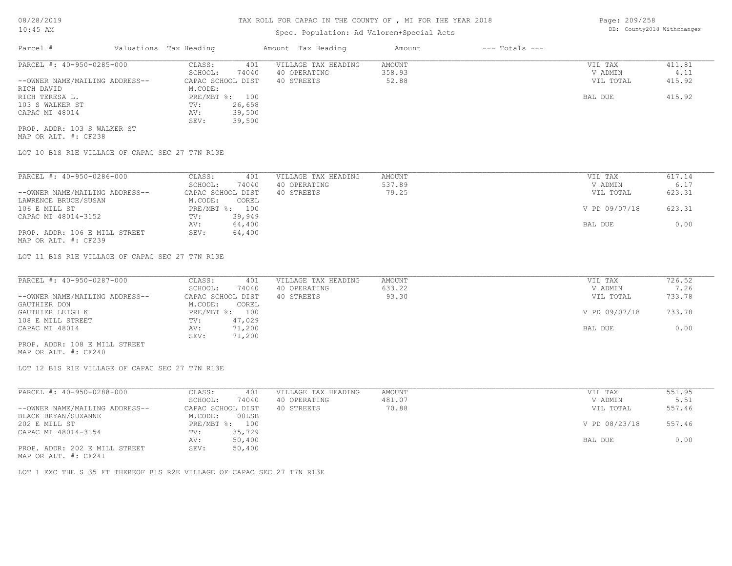### Spec. Population: Ad Valorem+Special Acts

Page: 209/258 DB: County2018 Withchanges

| Parcel #                       | Valuations Tax Heading |        | Amount Tax Heading  | Amount | $---$ Totals $---$ |           |        |
|--------------------------------|------------------------|--------|---------------------|--------|--------------------|-----------|--------|
| PARCEL #: 40-950-0285-000      | CLASS:                 | 401    | VILLAGE TAX HEADING | AMOUNT |                    | VIL TAX   | 411.81 |
|                                | SCHOOL:                | 74040  | 40 OPERATING        | 358.93 |                    | V ADMIN   | 4.11   |
| --OWNER NAME/MAILING ADDRESS-- | CAPAC SCHOOL DIST      |        | 40 STREETS          | 52.88  |                    | VIL TOTAL | 415.92 |
| RICH DAVID                     | M.CODE:                |        |                     |        |                    |           |        |
| RICH TERESA L.                 | PRE/MBT %: 100         |        |                     |        |                    | BAL DUE   | 415.92 |
| 103 S WALKER ST                | TV:                    | 26,658 |                     |        |                    |           |        |
| CAPAC MI 48014                 | AV:                    | 39,500 |                     |        |                    |           |        |
|                                | SEV:                   | 39,500 |                     |        |                    |           |        |
| PROP. ADDR: 103 S WALKER ST    |                        |        |                     |        |                    |           |        |

MAP OR ALT. #: CF238

LOT 10 B1S R1E VILLAGE OF CAPAC SEC 27 T7N R13E

| PARCEL #: 40-950-0286-000      | CLASS:  | 401               | VILLAGE TAX HEADING | AMOUNT | VIL TAX       | 617.14 |
|--------------------------------|---------|-------------------|---------------------|--------|---------------|--------|
|                                | SCHOOL: | 74040             | 40 OPERATING        | 537.89 | V ADMIN       | 6.17   |
| --OWNER NAME/MAILING ADDRESS-- |         | CAPAC SCHOOL DIST | 40 STREETS          | 79.25  | VIL TOTAL     | 623.31 |
| LAWRENCE BRUCE/SUSAN           | M.CODE: | COREL             |                     |        |               |        |
| 106 E MILL ST                  |         | PRE/MBT %: 100    |                     |        | V PD 09/07/18 | 623.31 |
| CAPAC MI 48014-3152            | TV:     | 39,949            |                     |        |               |        |
|                                | AV:     | 64,400            |                     |        | BAL DUE       | 0.00   |
| PROP. ADDR: 106 E MILL STREET  | SEV:    | 64,400            |                     |        |               |        |
| MAP OR ALT. #: CF239           |         |                   |                     |        |               |        |

LOT 11 B1S R1E VILLAGE OF CAPAC SEC 27 T7N R13E

| V ADMIN<br>VIL TOTAL | 7.26   |
|----------------------|--------|
|                      |        |
|                      | 733.78 |
|                      |        |
| V PD 09/07/18        | 733.78 |
|                      |        |
| BAL DUE              | 0.00   |
|                      |        |
|                      |        |

MAP OR ALT. #: CF240 PROP. ADDR: 108 E MILL STREET

LOT 12 B1S R1E VILLAGE OF CAPAC SEC 27 T7N R13E

| PARCEL #: 40-950-0288-000      | CLASS:       | 401               | VILLAGE TAX HEADING | AMOUNT | VIL TAX       | 551.95 |
|--------------------------------|--------------|-------------------|---------------------|--------|---------------|--------|
|                                | SCHOOL:      | 74040             | 40 OPERATING        | 481.07 | V ADMIN       | 5.51   |
| --OWNER NAME/MAILING ADDRESS-- |              | CAPAC SCHOOL DIST | 40 STREETS          | 70.88  | VIL TOTAL     | 557.46 |
| BLACK BRYAN/SUZANNE            | M.CODE:      | 00LSB             |                     |        |               |        |
| 202 E MILL ST                  | $PRE/MBT$ %: | 100               |                     |        | V PD 08/23/18 | 557.46 |
| CAPAC MI 48014-3154            | TV:          | 35,729            |                     |        |               |        |
|                                | AV:          | 50,400            |                     |        | BAL DUE       | 0.00   |
| PROP. ADDR: 202 E MILL STREET  | SEV:         | 50,400            |                     |        |               |        |
|                                |              |                   |                     |        |               |        |

MAP OR ALT. #: CF241

LOT 1 EXC THE S 35 FT THEREOF B1S R2E VILLAGE OF CAPAC SEC 27 T7N R13E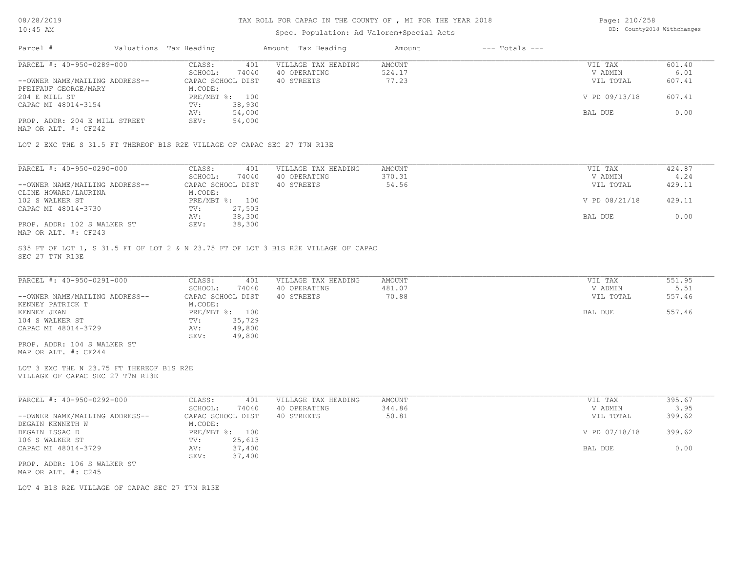#### TAX ROLL FOR CAPAC IN THE COUNTY OF , MI FOR THE YEAR 2018

### Spec. Population: Ad Valorem+Special Acts

Page: 210/258 DB: County2018 Withchanges

| Parcel #                       | Valuations Tax Heading |        | Amount Tax Heading  | Amount | $---$ Totals $---$ |               |        |
|--------------------------------|------------------------|--------|---------------------|--------|--------------------|---------------|--------|
| PARCEL #: 40-950-0289-000      | CLASS:                 | 401    | VILLAGE TAX HEADING | AMOUNT |                    | VIL TAX       | 601.40 |
|                                | SCHOOL:                | 74040  | 40 OPERATING        | 524.17 |                    | V ADMIN       | 6.01   |
| --OWNER NAME/MAILING ADDRESS-- | CAPAC SCHOOL DIST      |        | 40 STREETS          | 77.23  |                    | VIL TOTAL     | 607.41 |
| PFEIFAUF GEORGE/MARY           | M.CODE:                |        |                     |        |                    |               |        |
| 204 E MILL ST                  | PRE/MBT %: 100         |        |                     |        |                    | V PD 09/13/18 | 607.41 |
| CAPAC MI 48014-3154            | TV:                    | 38,930 |                     |        |                    |               |        |
|                                | AV:                    | 54,000 |                     |        |                    | BAL DUE       | 0.00   |
| PROP. ADDR: 204 E MILL STREET  | SEV:                   | 54,000 |                     |        |                    |               |        |
|                                |                        |        |                     |        |                    |               |        |

MAP OR ALT. #: CF242

LOT 2 EXC THE S 31.5 FT THEREOF B1S R2E VILLAGE OF CAPAC SEC 27 T7N R13E

| PARCEL #: 40-950-0290-000      | CLASS:<br>401     | VILLAGE TAX HEADING | AMOUNT | VIL TAX       | 424.87 |
|--------------------------------|-------------------|---------------------|--------|---------------|--------|
|                                | 74040<br>SCHOOL:  | 40 OPERATING        | 370.31 | V ADMIN       | 4.24   |
| --OWNER NAME/MAILING ADDRESS-- | CAPAC SCHOOL DIST | 40 STREETS          | 54.56  | VIL TOTAL     | 429.11 |
| CLINE HOWARD/LAURINA           | M.CODE:           |                     |        |               |        |
| 102 S WALKER ST                | PRE/MBT %:<br>100 |                     |        | V PD 08/21/18 | 429.11 |
| CAPAC MI 48014-3730            | 27,503<br>TV:     |                     |        |               |        |
|                                | 38,300<br>AV:     |                     |        | BAL DUE       | 0.00   |
| PROP. ADDR: 102 S WALKER ST    | 38,300<br>SEV:    |                     |        |               |        |
| MAP OR ALT. #: CF243           |                   |                     |        |               |        |

SEC 27 T7N R13E S35 FT OF LOT 1, S 31.5 FT OF LOT 2 & N 23.75 FT OF LOT 3 B1S R2E VILLAGE OF CAPAC

| PARCEL #: 40-950-0291-000      | CLASS:            | 401    | VILLAGE TAX HEADING | AMOUNT | VIL TAX   | 551.95 |
|--------------------------------|-------------------|--------|---------------------|--------|-----------|--------|
|                                | SCHOOL:           | 74040  | 40 OPERATING        | 481.07 | V ADMIN   | 5.51   |
| --OWNER NAME/MAILING ADDRESS-- | CAPAC SCHOOL DIST |        | 40 STREETS          | 70.88  | VIL TOTAL | 557.46 |
| KENNEY PATRICK T               | M.CODE:           |        |                     |        |           |        |
| KENNEY JEAN                    | PRE/MBT %: 100    |        |                     |        | BAL DUE   | 557.46 |
| 104 S WALKER ST                | TV:               | 35,729 |                     |        |           |        |
| CAPAC MI 48014-3729            | AV:               | 49,800 |                     |        |           |        |
|                                | SEV:              | 49,800 |                     |        |           |        |
| PROP. ADDR: 104 S WALKER ST    |                   |        |                     |        |           |        |

MAP OR ALT. #: CF244

VILLAGE OF CAPAC SEC 27 T7N R13E LOT 3 EXC THE N 23.75 FT THEREOF B1S R2E

| PARCEL #: 40-950-0292-000      | 401<br>CLASS:     | VILLAGE TAX HEADING | AMOUNT | VIL TAX       | 395.67 |
|--------------------------------|-------------------|---------------------|--------|---------------|--------|
|                                | 74040<br>SCHOOL:  | 40 OPERATING        | 344.86 | V ADMIN       | 3.95   |
| --OWNER NAME/MAILING ADDRESS-- | CAPAC SCHOOL DIST | 40 STREETS          | 50.81  | VIL TOTAL     | 399.62 |
| DEGAIN KENNETH W               | M.CODE:           |                     |        |               |        |
| DEGAIN ISSAC D                 | PRE/MBT %:<br>100 |                     |        | V PD 07/18/18 | 399.62 |
| 106 S WALKER ST                | 25,613<br>TV:     |                     |        |               |        |
| CAPAC MI 48014-3729            | 37,400<br>AV:     |                     |        | BAL DUE       | 0.00   |
|                                | 37,400<br>SEV:    |                     |        |               |        |
| PROP. ADDR: 106 S WALKER ST    |                   |                     |        |               |        |

MAP OR ALT. #: C245

LOT 4 B1S R2E VILLAGE OF CAPAC SEC 27 T7N R13E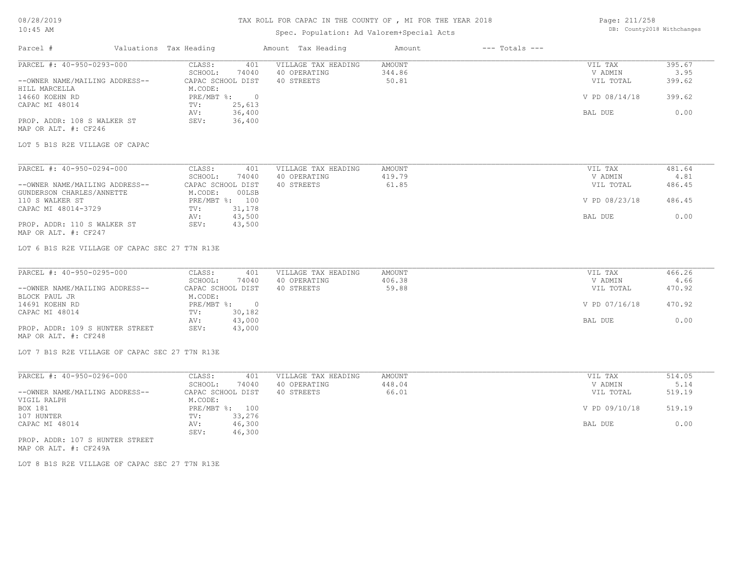# TAX ROLL FOR CAPAC IN THE COUNTY OF , MI FOR THE YEAR 2018

# Spec. Population: Ad Valorem+Special Acts

Page: 211/258 DB: County2018 Withchanges

| Parcel #                                                    | Valuations Tax Heading       |                          | Amount Tax Heading                  | Amount           | $---$ Totals $---$ |                    |                |
|-------------------------------------------------------------|------------------------------|--------------------------|-------------------------------------|------------------|--------------------|--------------------|----------------|
| PARCEL #: 40-950-0293-000                                   | CLASS:                       | 401                      | VILLAGE TAX HEADING                 | AMOUNT           |                    | VIL TAX            | 395.67         |
|                                                             | SCHOOL:                      | 74040                    | 40 OPERATING                        | 344.86           |                    | V ADMIN            | 3.95           |
| --OWNER NAME/MAILING ADDRESS--<br>HILL MARCELLA             | CAPAC SCHOOL DIST<br>M.CODE: |                          | 40 STREETS                          | 50.81            |                    | VIL TOTAL          | 399.62         |
| 14660 KOEHN RD<br>CAPAC MI 48014                            | PRE/MBT %:<br>TV:            | $\overline{0}$<br>25,613 |                                     |                  |                    | V PD 08/14/18      | 399.62         |
|                                                             | AV:                          | 36,400                   |                                     |                  |                    | BAL DUE            | 0.00           |
| PROP. ADDR: 108 S WALKER ST<br>MAP OR ALT. #: CF246         | SEV:                         | 36,400                   |                                     |                  |                    |                    |                |
| LOT 5 B1S R2E VILLAGE OF CAPAC                              |                              |                          |                                     |                  |                    |                    |                |
| PARCEL #: 40-950-0294-000                                   | CLASS:                       | 401                      | VILLAGE TAX HEADING                 | <b>AMOUNT</b>    |                    | VIL TAX            | 481.64         |
|                                                             | SCHOOL:                      | 74040                    | 40 OPERATING                        | 419.79           |                    | V ADMIN            | 4.81           |
| --OWNER NAME/MAILING ADDRESS--<br>GUNDERSON CHARLES/ANNETTE | CAPAC SCHOOL DIST<br>M.CODE: | 00LSB                    | 40 STREETS                          | 61.85            |                    | VIL TOTAL          | 486.45         |
| 110 S WALKER ST<br>CAPAC MI 48014-3729                      | TV:                          | PRE/MBT %: 100<br>31,178 |                                     |                  |                    | V PD 08/23/18      | 486.45         |
|                                                             | AV:                          | 43,500                   |                                     |                  |                    | BAL DUE            | 0.00           |
| PROP. ADDR: 110 S WALKER ST<br>MAP OR ALT. #: CF247         | SEV:                         | 43,500                   |                                     |                  |                    |                    |                |
| LOT 6 B1S R2E VILLAGE OF CAPAC SEC 27 T7N R13E              |                              |                          |                                     |                  |                    |                    |                |
| PARCEL #: 40-950-0295-000                                   | CLASS:<br>SCHOOL:            | 401<br>74040             | VILLAGE TAX HEADING<br>40 OPERATING | AMOUNT<br>406.38 |                    | VIL TAX<br>V ADMIN | 466.26<br>4.66 |
| --OWNER NAME/MAILING ADDRESS--                              | CAPAC SCHOOL DIST            |                          | 40 STREETS                          | 59.88            |                    | VIL TOTAL          | 470.92         |
| BLOCK PAUL JR                                               | M.CODE:                      |                          |                                     |                  |                    |                    |                |
| 14691 KOEHN RD                                              | $PRE/MBT$ $\frac{1}{6}$ :    | $\overline{\phantom{0}}$ |                                     |                  |                    | V PD 07/16/18      | 470.92         |
| CAPAC MI 48014                                              | TV:<br>AV:                   | 30,182<br>43,000         |                                     |                  |                    | BAL DUE            | 0.00           |
| PROP. ADDR: 109 S HUNTER STREET                             | SEV:                         | 43,000                   |                                     |                  |                    |                    |                |
| MAP OR ALT. #: CF248                                        |                              |                          |                                     |                  |                    |                    |                |
| LOT 7 B1S R2E VILLAGE OF CAPAC SEC 27 T7N R13E              |                              |                          |                                     |                  |                    |                    |                |
| PARCEL #: 40-950-0296-000                                   | CLASS:                       | 401                      | VILLAGE TAX HEADING                 | AMOUNT           |                    | VIL TAX            | 514.05         |
|                                                             | SCHOOL:                      | 74040                    | 40 OPERATING                        | 448.04           |                    | V ADMIN            | 5.14           |
| --OWNER NAME/MAILING ADDRESS--<br>VIGIL RALPH               | CAPAC SCHOOL DIST<br>M.CODE: |                          | 40 STREETS                          | 66.01            |                    | VIL TOTAL          | 519.19         |
| BOX 181<br>107 HUNTER                                       | TV:                          | PRE/MBT %: 100<br>33,276 |                                     |                  |                    | V PD 09/10/18      | 519.19         |
| CAPAC MI 48014                                              | AV:<br>SEV:                  | 46,300<br>46,300         |                                     |                  |                    | BAL DUE            | 0.00           |
| PROP. ADDR: 107 S HUNTER STREET<br>MAP OR ALT. #: CF249A    |                              |                          |                                     |                  |                    |                    |                |
|                                                             |                              |                          |                                     |                  |                    |                    |                |

LOT 8 B1S R2E VILLAGE OF CAPAC SEC 27 T7N R13E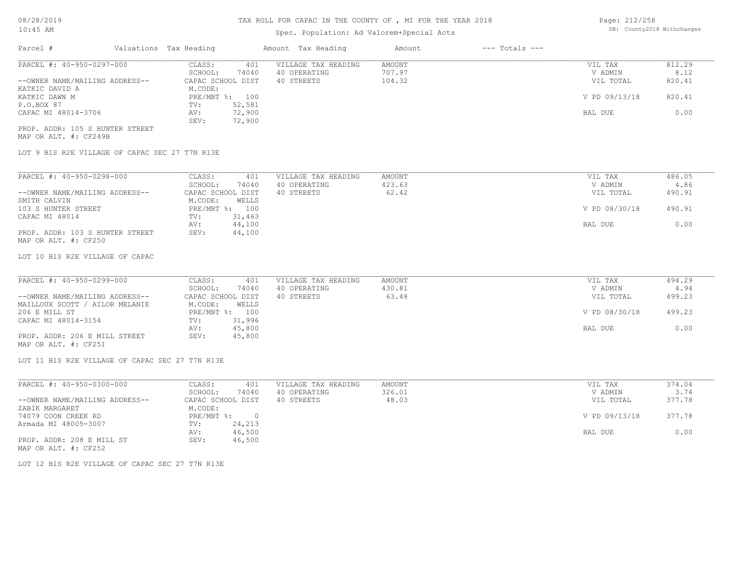# Spec. Population: Ad Valorem+Special Acts

| Page: 212/258 |                            |
|---------------|----------------------------|
|               | DB: County2018 Withchanges |

| Parcel #                        | Valuations Tax Heading |        | Amount Tax Heading  | Amount | $---$ Totals $---$ |               |        |
|---------------------------------|------------------------|--------|---------------------|--------|--------------------|---------------|--------|
| PARCEL #: 40-950-0297-000       | CLASS:                 | 401    | VILLAGE TAX HEADING | AMOUNT |                    | VIL TAX       | 812.29 |
|                                 | SCHOOL:                | 74040  | 40 OPERATING        | 707.97 |                    | V ADMIN       | 8.12   |
| --OWNER NAME/MAILING ADDRESS--  | CAPAC SCHOOL DIST      |        | 40 STREETS          | 104.32 |                    | VIL TOTAL     | 820.41 |
| KATKIC DAVID A                  | M.CODE:                |        |                     |        |                    |               |        |
| KATKIC DAWN M                   | PRE/MBT %: 100         |        |                     |        |                    | V PD 09/13/18 | 820.41 |
| P.O.BOX 87                      | TV:                    | 52,581 |                     |        |                    |               |        |
| CAPAC MI 48014-3706             | AV:                    | 72,900 |                     |        |                    | BAL DUE       | 0.00   |
|                                 | SEV:                   | 72,900 |                     |        |                    |               |        |
| PROP. ADDR: 105 S HUNTER STREET |                        |        |                     |        |                    |               |        |

MAP OR ALT. #: CF249B

LOT 9 B1S R2E VILLAGE OF CAPAC SEC 27 T7N R13E

| PARCEL #: 40-950-0298-000       | CLASS:  | 401               | VILLAGE TAX HEADING | AMOUNT | VIL TAX       | 486.05 |
|---------------------------------|---------|-------------------|---------------------|--------|---------------|--------|
|                                 | SCHOOL: | 74040             | 40 OPERATING        | 423.63 | V ADMIN       | 4.86   |
| --OWNER NAME/MAILING ADDRESS--  |         | CAPAC SCHOOL DIST | 40 STREETS          | 62.42  | VIL TOTAL     | 490.91 |
| SMITH CALVIN                    | M.CODE: | WELLS             |                     |        |               |        |
| 103 S HUNTER STREET             |         | PRE/MBT %: 100    |                     |        | V PD 08/30/18 | 490.91 |
| CAPAC MI 48014                  | TV:     | 31,463            |                     |        |               |        |
|                                 | AV:     | 44,100            |                     |        | BAL DUE       | 0.00   |
| PROP. ADDR: 103 S HUNTER STREET | SEV:    | 44,100            |                     |        |               |        |
| MAP OR ALT. #: CF250            |         |                   |                     |        |               |        |

LOT 10 B1S R2E VILLAGE OF CAPAC

| PARCEL #: 40-950-0299-000      | CLASS:<br>401     | VILLAGE TAX HEADING | AMOUNT | VIL TAX       | 494.29 |
|--------------------------------|-------------------|---------------------|--------|---------------|--------|
|                                | 74040<br>SCHOOL:  | 40 OPERATING        | 430.81 | V ADMIN       | 4.94   |
| --OWNER NAME/MAILING ADDRESS-- | CAPAC SCHOOL DIST | 40 STREETS          | 63.48  | VIL TOTAL     | 499.23 |
| MAILLOUX SCOTT / AILOR MELANIE | WELLS<br>M.CODE:  |                     |        |               |        |
| 206 E MILL ST                  | PRE/MBT %: 100    |                     |        | V PD 08/30/18 | 499.23 |
| CAPAC MI 48014-3154            | 31,996<br>TV:     |                     |        |               |        |
|                                | 45,800<br>AV:     |                     |        | BAL DUE       | 0.00   |
| PROP. ADDR: 206 E MILL STREET  | 45,800<br>SEV:    |                     |        |               |        |
|                                |                   |                     |        |               |        |

MAP OR ALT. #: CF251

LOT 11 B1S R2E VILLAGE OF CAPAC SEC 27 T7N R13E

| PARCEL #: 40-950-0300-000      | 401<br>CLASS:     | VILLAGE TAX HEADING | AMOUNT | VIL TAX       | 374.04 |
|--------------------------------|-------------------|---------------------|--------|---------------|--------|
|                                | 74040<br>SCHOOL:  | 40 OPERATING        | 326.01 | V ADMIN       | 3.74   |
| --OWNER NAME/MAILING ADDRESS-- | CAPAC SCHOOL DIST | 40 STREETS          | 48.03  | VIL TOTAL     | 377.78 |
| ZABIK MARGARET                 | M.CODE:           |                     |        |               |        |
| 74079 COON CREEK RD            | PRE/MBT %:        |                     |        | V PD 09/13/18 | 377.78 |
| Armada MI 48005-3007           | 24,213<br>TV:     |                     |        |               |        |
|                                | 46,500<br>AV:     |                     |        | BAL DUE       | 0.00   |
| PROP. ADDR: 208 E MILL ST      | 46,500<br>SEV:    |                     |        |               |        |
| MAP OR ALT. #: CF252           |                   |                     |        |               |        |

LOT 12 B1S R2E VILLAGE OF CAPAC SEC 27 T7N R13E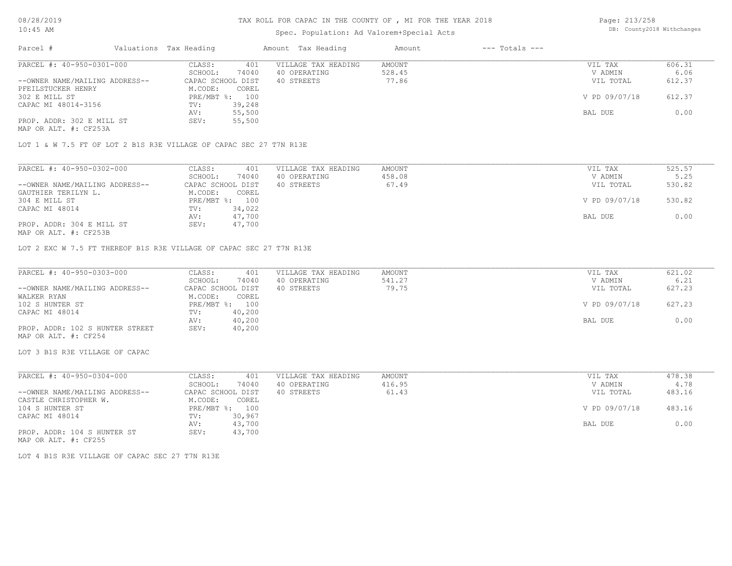# Spec. Population: Ad Valorem+Special Acts

Page: 213/258 DB: County2018 Withchanges

| Parcel #                       | Valuations Tax Heading |                | Amount Tax Heading  | Amount | $---$ Totals $---$ |               |        |
|--------------------------------|------------------------|----------------|---------------------|--------|--------------------|---------------|--------|
| PARCEL #: 40-950-0301-000      | CLASS:                 | 401            | VILLAGE TAX HEADING | AMOUNT |                    | VIL TAX       | 606.31 |
|                                | SCHOOL:                | 74040          | 40 OPERATING        | 528.45 |                    | V ADMIN       | 6.06   |
| --OWNER NAME/MAILING ADDRESS-- | CAPAC SCHOOL DIST      |                | 40 STREETS          | 77.86  |                    | VIL TOTAL     | 612.37 |
| PFEILSTUCKER HENRY             | M.CODE:                | COREL          |                     |        |                    |               |        |
| 302 E MILL ST                  |                        | PRE/MBT %: 100 |                     |        |                    | V PD 09/07/18 | 612.37 |
| CAPAC MI 48014-3156            | TV:                    | 39,248         |                     |        |                    |               |        |
|                                | AV:                    | 55,500         |                     |        |                    | BAL DUE       | 0.00   |
| PROP. ADDR: 302 E MILL ST      | SEV:                   | 55,500         |                     |        |                    |               |        |
| MAP OR ALT. #: CF253A          |                        |                |                     |        |                    |               |        |

LOT 1 & W 7.5 FT OF LOT 2 B1S R3E VILLAGE OF CAPAC SEC 27 T7N R13E

| PARCEL #: 40-950-0302-000      | CLASS:<br>401     | VILLAGE TAX HEADING | AMOUNT | VIL TAX       | 525.57 |
|--------------------------------|-------------------|---------------------|--------|---------------|--------|
|                                | 74040<br>SCHOOL:  | 40 OPERATING        | 458.08 | V ADMIN       | 5.25   |
| --OWNER NAME/MAILING ADDRESS-- | CAPAC SCHOOL DIST | 40 STREETS          | 67.49  | VIL TOTAL     | 530.82 |
| GAUTHIER TERILYN L.            | M.CODE:<br>COREL  |                     |        |               |        |
| 304 E MILL ST                  | PRE/MBT %: 100    |                     |        | V PD 09/07/18 | 530.82 |
| CAPAC MI 48014                 | 34,022<br>TV:     |                     |        |               |        |
|                                | 47,700<br>AV:     |                     |        | BAL DUE       | 0.00   |
| PROP. ADDR: 304 E MILL ST      | 47,700<br>SEV:    |                     |        |               |        |
| MAP OR ALT. #: CF253B          |                   |                     |        |               |        |

LOT 2 EXC W 7.5 FT THEREOF B1S R3E VILLAGE OF CAPAC SEC 27 T7N R13E

| PARCEL #: 40-950-0303-000       | CLASS:<br>401     | VILLAGE TAX HEADING | AMOUNT | VIL TAX       | 621.02 |
|---------------------------------|-------------------|---------------------|--------|---------------|--------|
|                                 | 74040<br>SCHOOL:  | 40 OPERATING        | 541.27 | V ADMIN       | 6.21   |
| --OWNER NAME/MAILING ADDRESS--  | CAPAC SCHOOL DIST | 40 STREETS          | 79.75  | VIL TOTAL     | 627.23 |
| WALKER RYAN                     | M.CODE:<br>COREL  |                     |        |               |        |
| 102 S HUNTER ST                 | PRE/MBT %: 100    |                     |        | V PD 09/07/18 | 627.23 |
| CAPAC MI 48014                  | 40,200<br>TV:     |                     |        |               |        |
|                                 | 40,200<br>AV:     |                     |        | BAL DUE       | 0.00   |
| PROP. ADDR: 102 S HUNTER STREET | 40,200<br>SEV:    |                     |        |               |        |
| MAP OR ALT. #: CF254            |                   |                     |        |               |        |

LOT 3 B1S R3E VILLAGE OF CAPAC

| PARCEL #: 40-950-0304-000      | CLASS:            | 401    | VILLAGE TAX HEADING | AMOUNT | VIL TAX       | 478.38 |
|--------------------------------|-------------------|--------|---------------------|--------|---------------|--------|
|                                | SCHOOL:           | 74040  | 40 OPERATING        | 416.95 | V ADMIN       | 4.78   |
| --OWNER NAME/MAILING ADDRESS-- | CAPAC SCHOOL DIST |        | 40 STREETS          | 61.43  | VIL TOTAL     | 483.16 |
| CASTLE CHRISTOPHER W.          | M.CODE:           | COREL  |                     |        |               |        |
| 104 S HUNTER ST                | PRE/MBT %: 100    |        |                     |        | V PD 09/07/18 | 483.16 |
| CAPAC MI 48014                 | TV:               | 30,967 |                     |        |               |        |
|                                | AV:               | 43,700 |                     |        | BAL DUE       | 0.00   |
| PROP. ADDR: 104 S HUNTER ST    | SEV:              | 43,700 |                     |        |               |        |

MAP OR ALT. #: CF255

LOT 4 B1S R3E VILLAGE OF CAPAC SEC 27 T7N R13E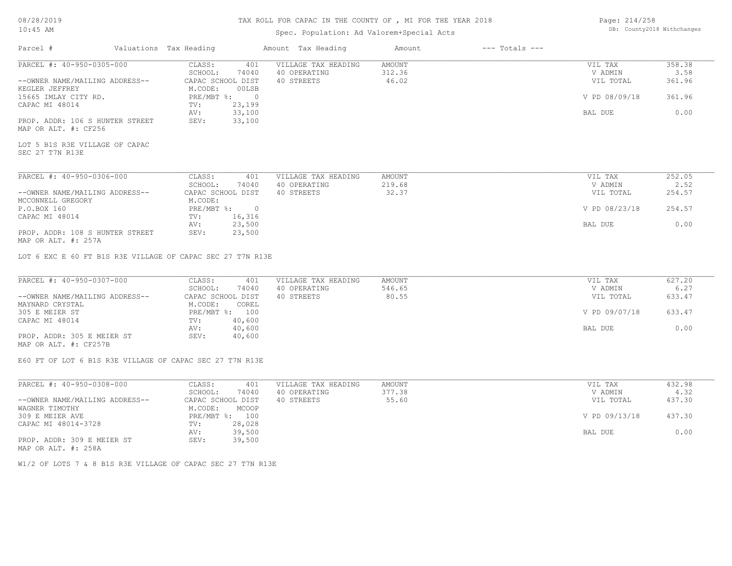# Spec. Population: Ad Valorem+Special Acts

| Page: 214/258 |                            |
|---------------|----------------------------|
|               | DB: County2018 Withchanges |

| Parcel #                                                   | Valuations Tax Heading |                | Amount Tax Heading  | Amount        | $---$ Totals $---$ |                |        |
|------------------------------------------------------------|------------------------|----------------|---------------------|---------------|--------------------|----------------|--------|
| PARCEL #: 40-950-0305-000                                  | CLASS:                 | 401            | VILLAGE TAX HEADING | AMOUNT        |                    | VIL TAX        | 358.38 |
|                                                            | SCHOOL:                | 74040          | 40 OPERATING        | 312.36        |                    | V ADMIN        | 3.58   |
| --OWNER NAME/MAILING ADDRESS--                             | CAPAC SCHOOL DIST      |                | 40 STREETS          | 46.02         |                    | VIL TOTAL      | 361.96 |
| KEGLER JEFFREY                                             | M.CODE:                | 00LSB          |                     |               |                    |                |        |
| 15665 IMLAY CITY RD.                                       | PRE/MBT %:             | $\sim$ 0       |                     |               |                    | V PD 08/09/18  | 361.96 |
| CAPAC MI 48014                                             | TV:                    | 23,199         |                     |               |                    |                |        |
|                                                            | AV:                    | 33,100         |                     |               |                    | BAL DUE        | 0.00   |
| PROP. ADDR: 106 S HUNTER STREET                            | SEV:                   | 33,100         |                     |               |                    |                |        |
| MAP OR ALT. #: CF256                                       |                        |                |                     |               |                    |                |        |
|                                                            |                        |                |                     |               |                    |                |        |
| LOT 5 B1S R3E VILLAGE OF CAPAC                             |                        |                |                     |               |                    |                |        |
| SEC 27 T7N R13E                                            |                        |                |                     |               |                    |                |        |
|                                                            |                        |                |                     |               |                    |                |        |
|                                                            |                        |                |                     |               |                    |                |        |
| PARCEL #: 40-950-0306-000                                  | CLASS:                 | 401            | VILLAGE TAX HEADING | AMOUNT        |                    | VIL TAX        | 252.05 |
|                                                            | SCHOOL:                | 74040          | 40 OPERATING        | 219.68        |                    | V ADMIN        | 2.52   |
| --OWNER NAME/MAILING ADDRESS--                             | CAPAC SCHOOL DIST      |                | 40 STREETS          | 32.37         |                    | VIL TOTAL      | 254.57 |
| MCCONNELL GREGORY                                          | M.CODE:                |                |                     |               |                    |                |        |
| P.O.BOX 160                                                | PRE/MBT %:             | $\overline{0}$ |                     |               |                    | V PD 08/23/18  | 254.57 |
| CAPAC MI 48014                                             | TV:                    | 16,316         |                     |               |                    |                |        |
|                                                            | AV:                    | 23,500         |                     |               |                    | <b>BAL DUE</b> | 0.00   |
| PROP. ADDR: 108 S HUNTER STREET                            | SEV:                   | 23,500         |                     |               |                    |                |        |
| MAP OR ALT. #: 257A                                        |                        |                |                     |               |                    |                |        |
|                                                            |                        |                |                     |               |                    |                |        |
| LOT 6 EXC E 60 FT B1S R3E VILLAGE OF CAPAC SEC 27 T7N R13E |                        |                |                     |               |                    |                |        |
|                                                            |                        |                |                     |               |                    |                |        |
| PARCEL #: 40-950-0307-000                                  | CLASS:                 | 401            | VILLAGE TAX HEADING | <b>AMOUNT</b> |                    | VIL TAX        | 627.20 |
|                                                            | SCHOOL:                | 74040          | 40 OPERATING        | 546.65        |                    | V ADMIN        | 6.27   |
| --OWNER NAME/MAILING ADDRESS--                             | CAPAC SCHOOL DIST      |                | 40 STREETS          | 80.55         |                    | VIL TOTAL      | 633.47 |
|                                                            |                        |                |                     |               |                    |                |        |
| MAYNARD CRYSTAL                                            | M.CODE:                | COREL          |                     |               |                    |                |        |
| 305 E MEIER ST                                             |                        | PRE/MBT %: 100 |                     |               |                    | V PD 09/07/18  | 633.47 |
| CAPAC MI 48014                                             | TV:                    | 40,600         |                     |               |                    |                |        |
|                                                            | AV:                    | 40,600         |                     |               |                    | BAL DUE        | 0.00   |
| PROP. ADDR: 305 E MEIER ST                                 | SEV:                   | 40,600         |                     |               |                    |                |        |
| MAP OR ALT. #: CF257B                                      |                        |                |                     |               |                    |                |        |
|                                                            |                        |                |                     |               |                    |                |        |
| E60 FT OF LOT 6 B1S R3E VILLAGE OF CAPAC SEC 27 T7N R13E   |                        |                |                     |               |                    |                |        |
|                                                            |                        |                |                     |               |                    |                |        |
|                                                            |                        |                |                     |               |                    |                |        |

| PARCEL #: 40-950-0308-000      | 401<br>CLASS:     | VILLAGE TAX HEADING | AMOUNT | VIL TAX       | 432.98 |  |
|--------------------------------|-------------------|---------------------|--------|---------------|--------|--|
|                                | 74040<br>SCHOOL:  | 40 OPERATING        | 377.38 | V ADMIN       | 4.32   |  |
| --OWNER NAME/MAILING ADDRESS-- | CAPAC SCHOOL DIST | 40 STREETS          | 55.60  | VIL TOTAL     | 437.30 |  |
| WAGNER TIMOTHY                 | M.CODE:<br>MCOOP  |                     |        |               |        |  |
| 309 E MEIER AVE                | PRE/MBT %: 100    |                     |        | V PD 09/13/18 | 437.30 |  |
| CAPAC MI 48014-3728            | 28,028<br>TV:     |                     |        |               |        |  |
|                                | 39,500<br>AV:     |                     |        | BAL DUE       | 0.00   |  |
| PROP. ADDR: 309 E MEIER ST     | 39,500<br>SEV:    |                     |        |               |        |  |
| MAP OR ALT. #: 258A            |                   |                     |        |               |        |  |

W1/2 OF LOTS 7 & 8 B1S R3E VILLAGE OF CAPAC SEC 27 T7N R13E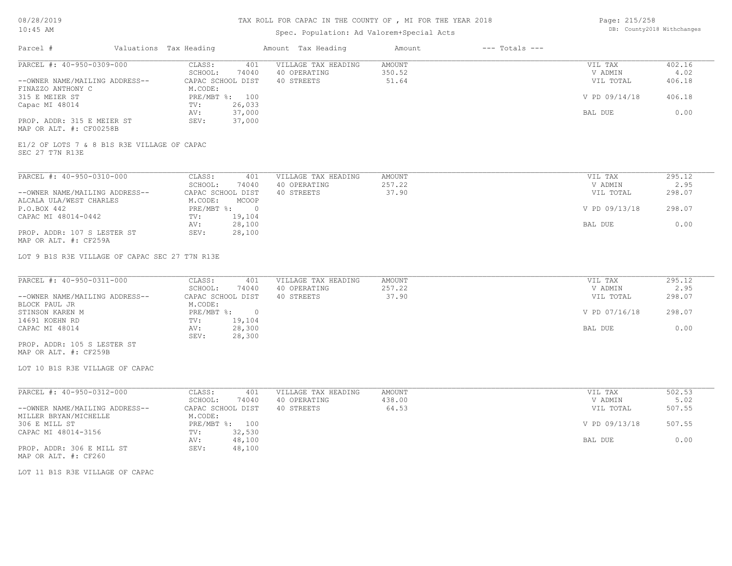# Spec. Population: Ad Valorem+Special Acts

| Page: 215/258 |                            |
|---------------|----------------------------|
|               | DB: County2018 Withchanges |

| Parcel #                                       | Valuations Tax Heading | Amount Tax Heading  | Amount | $---$ Totals $---$ |               |        |
|------------------------------------------------|------------------------|---------------------|--------|--------------------|---------------|--------|
| PARCEL #: 40-950-0309-000                      | CLASS:<br>401          | VILLAGE TAX HEADING | AMOUNT |                    | VIL TAX       | 402.16 |
|                                                | SCHOOL:<br>74040       | 40 OPERATING        | 350.52 |                    | V ADMIN       | 4.02   |
| --OWNER NAME/MAILING ADDRESS--                 | CAPAC SCHOOL DIST      | 40 STREETS          | 51.64  |                    | VIL TOTAL     | 406.18 |
| FINAZZO ANTHONY C                              | M.CODE:                |                     |        |                    |               |        |
| 315 E MEIER ST                                 | PRE/MBT %: 100         |                     |        |                    | V PD 09/14/18 | 406.18 |
| Capac MI 48014                                 | 26,033<br>TV:          |                     |        |                    |               |        |
|                                                | 37,000<br>AV:          |                     |        |                    | BAL DUE       | 0.00   |
| PROP. ADDR: 315 E MEIER ST                     | 37,000<br>SEV:         |                     |        |                    |               |        |
| MAP OR ALT. #: CF00258B                        |                        |                     |        |                    |               |        |
|                                                |                        |                     |        |                    |               |        |
| E1/2 OF LOTS 7 & 8 B1S R3E VILLAGE OF CAPAC    |                        |                     |        |                    |               |        |
| SEC 27 T7N R13E                                |                        |                     |        |                    |               |        |
| PARCEL #: 40-950-0310-000                      | CLASS:<br>401          | VILLAGE TAX HEADING | AMOUNT |                    | VIL TAX       | 295.12 |
|                                                | SCHOOL:<br>74040       | 40 OPERATING        | 257.22 |                    | V ADMIN       | 2.95   |
| --OWNER NAME/MAILING ADDRESS--                 | CAPAC SCHOOL DIST      | 40 STREETS          | 37.90  |                    | VIL TOTAL     | 298.07 |
| ALCALA ULA/WEST CHARLES                        | M.CODE:<br>MCOOP       |                     |        |                    |               |        |
| P.O.BOX 442                                    | PRE/MBT %: 0           |                     |        |                    | V PD 09/13/18 | 298.07 |
| CAPAC MI 48014-0442                            |                        |                     |        |                    |               |        |
|                                                | 19,104<br>TV:          |                     |        |                    |               | 0.00   |
|                                                | 28,100<br>AV:          |                     |        |                    | BAL DUE       |        |
| PROP. ADDR: 107 S LESTER ST                    | 28,100<br>SEV:         |                     |        |                    |               |        |
| MAP OR ALT. #: CF259A                          |                        |                     |        |                    |               |        |
| LOT 9 B1S R3E VILLAGE OF CAPAC SEC 27 T7N R13E |                        |                     |        |                    |               |        |
|                                                |                        |                     |        |                    |               |        |
| PARCEL #: 40-950-0311-000                      | CLASS:<br>401          | VILLAGE TAX HEADING | AMOUNT |                    | VIL TAX       | 295.12 |
|                                                | SCHOOL:<br>74040       | 40 OPERATING        | 257.22 |                    | V ADMIN       | 2.95   |
| --OWNER NAME/MAILING ADDRESS--                 | CAPAC SCHOOL DIST      | 40 STREETS          | 37.90  |                    | VIL TOTAL     | 298.07 |
| BLOCK PAUL JR                                  | M.CODE:                |                     |        |                    |               |        |
| STINSON KAREN M                                | PRE/MBT %: 0           |                     |        |                    | V PD 07/16/18 | 298.07 |
| 14691 KOEHN RD                                 | 19,104<br>TV:          |                     |        |                    |               |        |
| CAPAC MI 48014                                 | 28,300<br>AV:          |                     |        |                    | BAL DUE       | 0.00   |
|                                                | 28,300<br>SEV:         |                     |        |                    |               |        |
| PROP. ADDR: 105 S LESTER ST                    |                        |                     |        |                    |               |        |

MAP OR ALT. #: CF259B

LOT 10 B1S R3E VILLAGE OF CAPAC

| PARCEL #: 40-950-0312-000      | CLASS:            | 401    | VILLAGE TAX HEADING | AMOUNT | 502.53<br>VIL TAX       |
|--------------------------------|-------------------|--------|---------------------|--------|-------------------------|
|                                | SCHOOL:           | 74040  | 40 OPERATING        | 438.00 | 5.02<br>V ADMIN         |
| --OWNER NAME/MAILING ADDRESS-- | CAPAC SCHOOL DIST |        | 40 STREETS          | 64.53  | 507.55<br>VIL TOTAL     |
| MILLER BRYAN/MICHELLE          | M.CODE:           |        |                     |        |                         |
| 306 E MILL ST                  | $PRE/MBT$ %:      | 100    |                     |        | 507.55<br>V PD 09/13/18 |
| CAPAC MI 48014-3156            | TV:               | 32,530 |                     |        |                         |
|                                | AV:               | 48,100 |                     |        | 0.00<br>BAL DUE         |
| PROP. ADDR: 306 E MILL ST      | SEV:              | 48,100 |                     |        |                         |
| MAP OR ALT. #: CF260           |                   |        |                     |        |                         |

LOT 11 B1S R3E VILLAGE OF CAPAC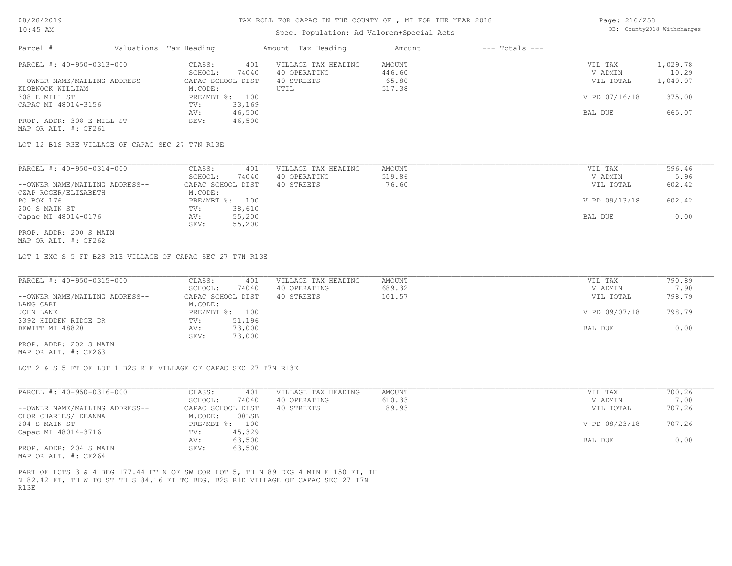#### Spec. Population: Ad Valorem+Special Acts

| Page: 216/258 |                            |
|---------------|----------------------------|
|               | DB: County2018 Withchanges |

| Parcel #                       | Valuations Tax Heading |        | Amount Tax Heading  | Amount | $---$ Totals $---$ |               |          |
|--------------------------------|------------------------|--------|---------------------|--------|--------------------|---------------|----------|
| PARCEL #: 40-950-0313-000      | CLASS:                 | 401    | VILLAGE TAX HEADING | AMOUNT |                    | VIL TAX       | 1,029.78 |
|                                | SCHOOL:                | 74040  | 40 OPERATING        | 446.60 |                    | V ADMIN       | 10.29    |
| --OWNER NAME/MAILING ADDRESS-- | CAPAC SCHOOL DIST      |        | 40 STREETS          | 65.80  |                    | VIL TOTAL     | 1,040.07 |
| KLOBNOCK WILLIAM               | M.CODE:                |        | UTIL                | 517.38 |                    |               |          |
| 308 E MILL ST                  | PRE/MBT %: 100         |        |                     |        |                    | V PD 07/16/18 | 375.00   |
| CAPAC MI 48014-3156            | TV:                    | 33,169 |                     |        |                    |               |          |
|                                | AV:                    | 46,500 |                     |        |                    | BAL DUE       | 665.07   |
| PROP. ADDR: 308 E MILL ST      | SEV:                   | 46,500 |                     |        |                    |               |          |
| MAP OR ALT. #: CF261           |                        |        |                     |        |                    |               |          |

LOT 12 B1S R3E VILLAGE OF CAPAC SEC 27 T7N R13E

| PARCEL #: 40-950-0314-000      | CLASS:<br>401     | VILLAGE TAX HEADING | AMOUNT | VIL TAX       | 596.46 |
|--------------------------------|-------------------|---------------------|--------|---------------|--------|
|                                | 74040<br>SCHOOL:  | 40 OPERATING        | 519.86 | V ADMIN       | 5.96   |
| --OWNER NAME/MAILING ADDRESS-- | CAPAC SCHOOL DIST | 40 STREETS          | 76.60  | VIL TOTAL     | 602.42 |
| CZAP ROGER/ELIZABETH           | M.CODE:           |                     |        |               |        |
| PO BOX 176                     | PRE/MBT %: 100    |                     |        | V PD 09/13/18 | 602.42 |
| 200 S MAIN ST                  | 38,610<br>TV:     |                     |        |               |        |
| Capac MI 48014-0176            | 55,200<br>AV:     |                     |        | BAL DUE       | 0.00   |
|                                | 55,200<br>SEV:    |                     |        |               |        |
| PROP. ADDR: 200 S MAIN         |                   |                     |        |               |        |

MAP OR ALT. #: CF262

LOT 1 EXC S 5 FT B2S R1E VILLAGE OF CAPAC SEC 27 T7N R13E

| PARCEL #: 40-950-0315-000      | CLASS:<br>401     | VILLAGE TAX HEADING | AMOUNT | VIL TAX       | 790.89 |
|--------------------------------|-------------------|---------------------|--------|---------------|--------|
|                                | 74040<br>SCHOOL:  | 40 OPERATING        | 689.32 | V ADMIN       | 7.90   |
| --OWNER NAME/MAILING ADDRESS-- | CAPAC SCHOOL DIST | 40 STREETS          | 101.57 | VIL TOTAL     | 798.79 |
| LANG CARL                      | M.CODE:           |                     |        |               |        |
| JOHN LANE                      | PRE/MBT %: 100    |                     |        | V PD 09/07/18 | 798.79 |
| 3392 HIDDEN RIDGE DR           | 51,196<br>TV:     |                     |        |               |        |
| DEWITT MI 48820                | 73,000<br>AV:     |                     |        | BAL DUE       | 0.00   |
|                                | 73,000<br>SEV:    |                     |        |               |        |
| PROP. ADDR: 202 S MAIN         |                   |                     |        |               |        |

MAP OR ALT. #: CF263

LOT 2 & S 5 FT OF LOT 1 B2S R1E VILLAGE OF CAPAC SEC 27 T7N R13E

| PARCEL #: 40-950-0316-000      | CLASS:            | 401    | VILLAGE TAX HEADING | AMOUNT | VIL TAX       | 700.26 |
|--------------------------------|-------------------|--------|---------------------|--------|---------------|--------|
|                                | SCHOOL:           | 74040  | 40 OPERATING        | 610.33 | V ADMIN       | 7.00   |
| --OWNER NAME/MAILING ADDRESS-- | CAPAC SCHOOL DIST |        | 40 STREETS          | 89.93  | VIL TOTAL     | 707.26 |
| CLOR CHARLES/ DEANNA           | M.CODE:           | 00LSB  |                     |        |               |        |
| 204 S MAIN ST                  | PRE/MBT %:        | 100    |                     |        | V PD 08/23/18 | 707.26 |
| Capac MI 48014-3716            | TV:               | 45,329 |                     |        |               |        |
|                                | AV:               | 63,500 |                     |        | BAL DUE       | 0.00   |
| PROP. ADDR: 204 S MAIN         | SEV:              | 63,500 |                     |        |               |        |

MAP OR ALT. #: CF264

R13E N 82.42 FT, TH W TO ST TH S 84.16 FT TO BEG. B2S R1E VILLAGE OF CAPAC SEC 27 T7N PART OF LOTS 3 & 4 BEG 177.44 FT N OF SW COR LOT 5, TH N 89 DEG 4 MIN E 150 FT, TH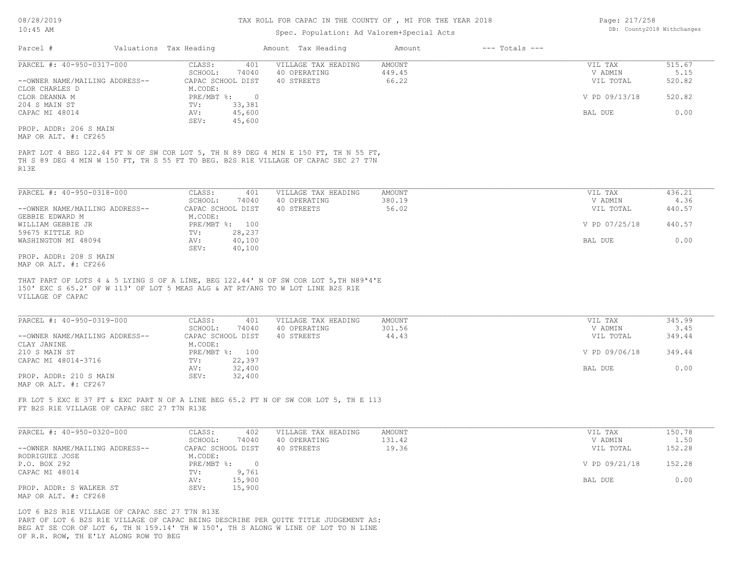## TAX ROLL FOR CAPAC IN THE COUNTY OF , MI FOR THE YEAR 2018

## Spec. Population: Ad Valorem+Special Acts

| Page: 217/258 |                            |
|---------------|----------------------------|
|               | DB: County2018 Withchanges |

| Parcel #                                         | Valuations Tax Heading                           | Amount Tax Heading                                                                                                                                                        | Amount           | $---$ Totals $---$ |                      |                |
|--------------------------------------------------|--------------------------------------------------|---------------------------------------------------------------------------------------------------------------------------------------------------------------------------|------------------|--------------------|----------------------|----------------|
| PARCEL #: 40-950-0317-000                        | CLASS:                                           | 401<br>VILLAGE TAX HEADING                                                                                                                                                | AMOUNT           |                    | VIL TAX              | 515.67         |
|                                                  | SCHOOL:<br>74040                                 | 40 OPERATING                                                                                                                                                              | 449.45           |                    | V ADMIN              | 5.15           |
| --OWNER NAME/MAILING ADDRESS--<br>CLOR CHARLES D | CAPAC SCHOOL DIST<br>M.CODE:                     | 40 STREETS                                                                                                                                                                | 66.22            |                    | VIL TOTAL            | 520.82         |
| CLOR DEANNA M                                    | $PRE/MBT$ $\div$                                 | $\overline{0}$                                                                                                                                                            |                  |                    | V PD 09/13/18        | 520.82         |
| 204 S MAIN ST<br>CAPAC MI 48014                  | 33,381<br>TV:<br>45,600<br>AV:<br>SEV:<br>45,600 |                                                                                                                                                                           |                  |                    | BAL DUE              | 0.00           |
| PROP. ADDR: 206 S MAIN<br>MAP OR ALT. #: CF265   |                                                  |                                                                                                                                                                           |                  |                    |                      |                |
| R13E                                             |                                                  | PART LOT 4 BEG 122.44 FT N OF SW COR LOT 5, TH N 89 DEG 4 MIN E 150 FT, TH N 55 FT,<br>TH S 89 DEG 4 MIN W 150 FT, TH S 55 FT TO BEG. B2S R1E VILLAGE OF CAPAC SEC 27 T7N |                  |                    |                      |                |
| PARCEL #: 40-950-0318-000                        | CLASS:                                           | 401<br>VILLAGE TAX HEADING                                                                                                                                                | AMOUNT           |                    | VIL TAX              | 436.21         |
| --OWNER NAME/MAILING ADDRESS--                   | SCHOOL:<br>74040<br>CAPAC SCHOOL DIST            | 40 OPERATING<br>40 STREETS                                                                                                                                                | 380.19<br>56.02  |                    | V ADMIN<br>VIL TOTAL | 4.36<br>440.57 |
| GEBBIE EDWARD M<br>WILLIAM GEBBIE JR             | M.CODE:<br>PRE/MBT %: 100                        |                                                                                                                                                                           |                  |                    | V PD 07/25/18        | 440.57         |
| 59675 KITTLE RD<br>WASHINGTON MI 48094           | 28,237<br>TV:<br>40,100<br>AV:<br>SEV:           |                                                                                                                                                                           |                  |                    | BAL DUE              | 0.00           |
| PROP. ADDR: 208 S MAIN<br>MAP OR ALT. #: CF266   | 40,100                                           |                                                                                                                                                                           |                  |                    |                      |                |
| VILLAGE OF CAPAC                                 |                                                  |                                                                                                                                                                           |                  |                    |                      |                |
| PARCEL #: 40-950-0319-000                        | CLASS:<br>SCHOOL:<br>74040                       | 401<br>VILLAGE TAX HEADING<br>40 OPERATING                                                                                                                                | AMOUNT<br>301.56 |                    | VIL TAX<br>V ADMIN   | 345.99<br>3.45 |
| --OWNER NAME/MAILING ADDRESS--<br>CLAY JANINE    | CAPAC SCHOOL DIST<br>M.CODE:                     | 40 STREETS                                                                                                                                                                | 44.43            |                    | VIL TOTAL            | 349.44         |
| 210 S MAIN ST                                    | PRE/MBT %: 100                                   |                                                                                                                                                                           |                  |                    | V PD 09/06/18        | 349.44         |
| CAPAC MI 48014-3716                              | 22,397<br>TV:                                    |                                                                                                                                                                           |                  |                    |                      |                |
| PROP. ADDR: 210 S MAIN<br>MAP OR ALT. #: CF267   | 32,400<br>AV:<br>SEV:<br>32,400                  |                                                                                                                                                                           |                  |                    | BAL DUE              | 0.00           |
| FT B2S R1E VILLAGE OF CAPAC SEC 27 T7N R13E      |                                                  | FR LOT 5 EXC E 37 FT & EXC PART N OF A LINE BEG 65.2 FT N OF SW COR LOT 5, TH E 113                                                                                       |                  |                    |                      |                |
| PARCEL #: 40-950-0320-000                        | CLASS:<br>SCHOOL:<br>74040                       | VILLAGE TAX HEADING<br>402<br>40 OPERATING                                                                                                                                | AMOUNT<br>131.42 |                    | VIL TAX<br>V ADMIN   | 150.78<br>1.50 |
| --OWNER NAME/MAILING ADDRESS--<br>RODRIGUEZ JOSE | CAPAC SCHOOL DIST<br>M.CODE:                     | 40 STREETS                                                                                                                                                                | 19.36            |                    | VIL TOTAL            | 152.28         |
| P.O. BOX 292                                     | PRE/MBT %: 0                                     |                                                                                                                                                                           |                  |                    | V PD 09/21/18        | 152.28         |
| CAPAC MI 48014                                   | TV:<br>9,761<br>15,900<br>AV:                    |                                                                                                                                                                           |                  |                    | BAL DUE              | 0.00           |
| PROP. ADDR: S WALKER ST<br>MAP OR ALT. #: CF268  | 15,900<br>SEV:                                   |                                                                                                                                                                           |                  |                    |                      |                |
| LOT 6 B2S R1E VILLAGE OF CAPAC SEC 27 T7N R13E   |                                                  | PART OF LOT 6 B2S R1E VILLAGE OF CAPAC BEING DESCRIBE PER OUITE TITLE JUDGEMENT AS:<br>BEG AT SE COR OF LOT 6, TH N 159.14' TH W 150', TH S ALONG W LINE OF LOT TO N LINE |                  |                    |                      |                |

OF R.R. ROW, TH E'LY ALONG ROW TO BEG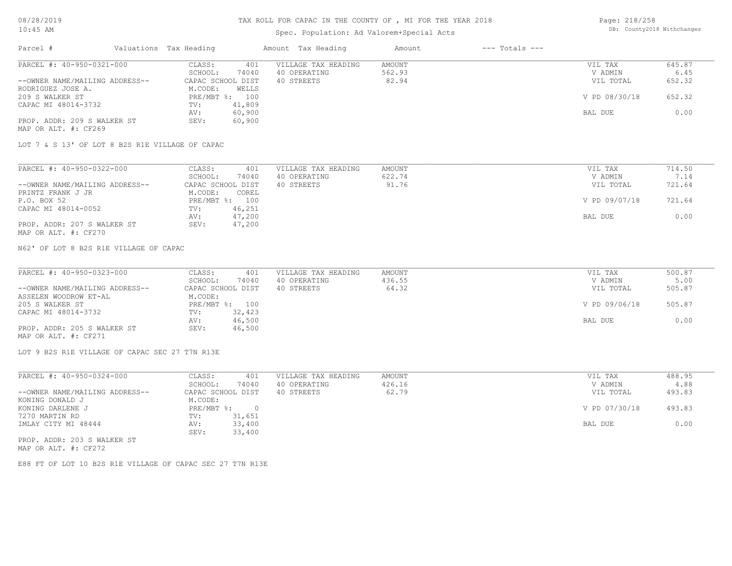## Spec. Population: Ad Valorem+Special Acts

| Page: 218/258 |                            |
|---------------|----------------------------|
|               | DB: County2018 Withchanges |

| Parcel #                       | Valuations Tax Heading |                | Amount Tax Heading  | Amount | $---$ Totals $---$ |               |        |
|--------------------------------|------------------------|----------------|---------------------|--------|--------------------|---------------|--------|
| PARCEL #: 40-950-0321-000      | CLASS:                 | 401            | VILLAGE TAX HEADING | AMOUNT |                    | VIL TAX       | 645.87 |
|                                | SCHOOL:                | 74040          | 40 OPERATING        | 562.93 |                    | V ADMIN       | 6.45   |
| --OWNER NAME/MAILING ADDRESS-- | CAPAC SCHOOL DIST      |                | 40 STREETS          | 82.94  |                    | VIL TOTAL     | 652.32 |
| RODRIGUEZ JOSE A.              | M.CODE:                | WELLS          |                     |        |                    |               |        |
| 209 S WALKER ST                |                        | PRE/MBT %: 100 |                     |        |                    | V PD 08/30/18 | 652.32 |
| CAPAC MI 48014-3732            | TV:                    | 41,809         |                     |        |                    |               |        |
|                                | AV:                    | 60,900         |                     |        |                    | BAL DUE       | 0.00   |
| PROP. ADDR: 209 S WALKER ST    | SEV:                   | 60,900         |                     |        |                    |               |        |
| MAP OR ALT. #: CF269           |                        |                |                     |        |                    |               |        |

LOT 7 & S 13' OF LOT 8 B2S R1E VILLAGE OF CAPAC

| PARCEL #: 40-950-0322-000      | 401<br>CLASS:     | VILLAGE TAX HEADING | AMOUNT | VIL TAX       | 714.50 |
|--------------------------------|-------------------|---------------------|--------|---------------|--------|
|                                | 74040<br>SCHOOL:  | 40 OPERATING        | 622.74 | V ADMIN       |        |
| --OWNER NAME/MAILING ADDRESS-- | CAPAC SCHOOL DIST | 40 STREETS          | 91.76  | VIL TOTAL     | 721.64 |
| PRINTZ FRANK J JR              | M.CODE:<br>COREL  |                     |        |               |        |
| P.O. BOX 52                    | PRE/MBT %: 100    |                     |        | V PD 09/07/18 | 721.64 |
| CAPAC MI 48014-0052            | 46,251<br>TV:     |                     |        |               |        |
|                                | 47,200<br>AV:     |                     |        | BAL DUE       | 0.00   |
| PROP. ADDR: 207 S WALKER ST    | 47,200<br>SEV:    |                     |        |               |        |
| MAP OR ALT. #: CF270           |                   |                     |        |               |        |

N62' OF LOT 8 B2S R1E VILLAGE OF CAPAC

| PARCEL #: 40-950-0323-000      | CLASS:<br>401     | VILLAGE TAX HEADING | AMOUNT | VIL TAX       | 500.87 |
|--------------------------------|-------------------|---------------------|--------|---------------|--------|
|                                | 74040<br>SCHOOL:  | 40 OPERATING        | 436.55 | V ADMIN       | 5.00   |
| --OWNER NAME/MAILING ADDRESS-- | CAPAC SCHOOL DIST | 40 STREETS          | 64.32  | VIL TOTAL     | 505.87 |
| ASSELEN WOODROW ET-AL          | M.CODE:           |                     |        |               |        |
| 205 S WALKER ST                | PRE/MBT %: 100    |                     |        | V PD 09/06/18 | 505.87 |
| CAPAC MI 48014-3732            | 32,423<br>TV:     |                     |        |               |        |
|                                | 46,500<br>AV:     |                     |        | BAL DUE       | 0.00   |
| PROP. ADDR: 205 S WALKER ST    | 46,500<br>SEV:    |                     |        |               |        |
| MAP OR ALT. #: CF271           |                   |                     |        |               |        |

LOT 9 B2S R1E VILLAGE OF CAPAC SEC 27 T7N R13E

| PARCEL #: 40-950-0324-000      | CLASS:     | 401               | VILLAGE TAX HEADING | AMOUNT | VIL TAX       | 488.95 |
|--------------------------------|------------|-------------------|---------------------|--------|---------------|--------|
|                                | SCHOOL:    | 74040             | 40 OPERATING        | 426.16 | V ADMIN       | 4.88   |
| --OWNER NAME/MAILING ADDRESS-- |            | CAPAC SCHOOL DIST | 40 STREETS          | 62.79  | VIL TOTAL     | 493.83 |
| KONING DONALD J                | M.CODE:    |                   |                     |        |               |        |
| KONING DARLENE J               | PRE/MBT %: | $\Omega$          |                     |        | V PD 07/30/18 | 493.83 |
| 7270 MARTIN RD                 | TV:        | 31,651            |                     |        |               |        |
| IMLAY CITY MI 48444            | AV:        | 33,400            |                     |        | BAL DUE       | 0.00   |
|                                | SEV:       | 33,400            |                     |        |               |        |
| PROP. ADDR: 203 S WALKER ST    |            |                   |                     |        |               |        |

MAP OR ALT. #: CF272

E88 FT OF LOT 10 B2S R1E VILLAGE OF CAPAC SEC 27 T7N R13E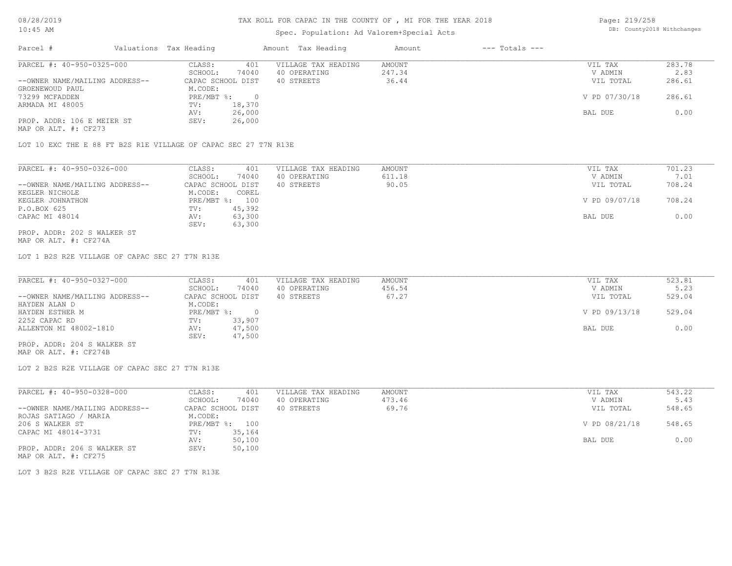### TAX ROLL FOR CAPAC IN THE COUNTY OF , MI FOR THE YEAR 2018

## Spec. Population: Ad Valorem+Special Acts

Page: 219/258 DB: County2018 Withchanges

| Parcel #                       | Valuations Tax Heading |        | Amount Tax Heading  | Amount | $---$ Totals $---$ |               |        |
|--------------------------------|------------------------|--------|---------------------|--------|--------------------|---------------|--------|
| PARCEL #: 40-950-0325-000      | CLASS:                 | 401    | VILLAGE TAX HEADING | AMOUNT |                    | VIL TAX       | 283.78 |
|                                | SCHOOL:                | 74040  | 40 OPERATING        | 247.34 |                    | V ADMIN       | 2.83   |
| --OWNER NAME/MAILING ADDRESS-- | CAPAC SCHOOL DIST      |        | 40 STREETS          | 36.44  |                    | VIL TOTAL     | 286.61 |
| GROENEWOUD PAUL                | M.CODE:                |        |                     |        |                    |               |        |
| 73299 MCFADDEN                 | $PRE/MBT$ %:           |        |                     |        |                    | V PD 07/30/18 | 286.61 |
| ARMADA MI 48005                | TV:                    | 18,370 |                     |        |                    |               |        |
|                                | AV:                    | 26,000 |                     |        |                    | BAL DUE       | 0.00   |
| PROP. ADDR: 106 E MEIER ST     | SEV:                   | 26,000 |                     |        |                    |               |        |
| MAP OR ALT. #: CF273           |                        |        |                     |        |                    |               |        |

LOT 10 EXC THE E 88 FT B2S R1E VILLAGE OF CAPAC SEC 27 T7N R13E

| PARCEL #: 40-950-0326-000      | CLASS:<br>401     | VILLAGE TAX HEADING | AMOUNT | VIL TAX       | 701.23 |
|--------------------------------|-------------------|---------------------|--------|---------------|--------|
|                                | 74040<br>SCHOOL:  | 40 OPERATING        | 611.18 | V ADMIN       | 7.01   |
| --OWNER NAME/MAILING ADDRESS-- | CAPAC SCHOOL DIST | 40 STREETS          | 90.05  | VIL TOTAL     | 708.24 |
| KEGLER NICHOLE                 | M.CODE:<br>COREL  |                     |        |               |        |
| KEGLER JOHNATHON               | PRE/MBT %:<br>100 |                     |        | V PD 09/07/18 | 708.24 |
| P.O.BOX 625                    | 45,392<br>TV:     |                     |        |               |        |
| CAPAC MI 48014                 | 63,300<br>AV:     |                     |        | BAL DUE       | 0.00   |
|                                | 63,300<br>SEV:    |                     |        |               |        |
| PROP. ADDR: 202 S WALKER ST    |                   |                     |        |               |        |

MAP OR ALT. #: CF274A

LOT 1 B2S R2E VILLAGE OF CAPAC SEC 27 T7N R13E

| PARCEL #: 40-950-0327-000      | CLASS:<br>401     | VILLAGE TAX HEADING | AMOUNT | VIL TAX       | 523.81 |
|--------------------------------|-------------------|---------------------|--------|---------------|--------|
|                                | 74040<br>SCHOOL:  | 40 OPERATING        | 456.54 | V ADMIN       | 5.23   |
| --OWNER NAME/MAILING ADDRESS-- | CAPAC SCHOOL DIST | 40 STREETS          | 67.27  | VIL TOTAL     | 529.04 |
| HAYDEN ALAN D                  | M.CODE:           |                     |        |               |        |
| HAYDEN ESTHER M                | PRE/MBT %:        |                     |        | V PD 09/13/18 | 529.04 |
| 2252 CAPAC RD                  | 33,907<br>TV:     |                     |        |               |        |
| ALLENTON MI 48002-1810         | 47,500<br>AV:     |                     |        | BAL DUE       | 0.00   |
|                                | 47,500<br>SEV:    |                     |        |               |        |
| PROP. ADDR: 204 S WALKER ST    |                   |                     |        |               |        |

MAP OR ALT. #: CF274B

LOT 2 B2S R2E VILLAGE OF CAPAC SEC 27 T7N R13E

| PARCEL #: 40-950-0328-000      | CLASS:       | 401               | VILLAGE TAX HEADING | AMOUNT | VIL TAX       | 543.22 |
|--------------------------------|--------------|-------------------|---------------------|--------|---------------|--------|
|                                | SCHOOL:      | 74040             | 40 OPERATING        | 473.46 | V ADMIN       | 5.43   |
| --OWNER NAME/MAILING ADDRESS-- |              | CAPAC SCHOOL DIST | 40 STREETS          | 69.76  | VIL TOTAL     | 548.65 |
| ROJAS SATIAGO / MARIA          | M.CODE:      |                   |                     |        |               |        |
| 206 S WALKER ST                | $PRE/MBT$ %: | 100               |                     |        | V PD 08/21/18 | 548.65 |
| CAPAC MI 48014-3731            | TV:          | 35,164            |                     |        |               |        |
|                                | AV:          | 50,100            |                     |        | BAL DUE       | 0.00   |
| PROP. ADDR: 206 S WALKER ST    | SEV:         | 50,100            |                     |        |               |        |
| MAP OR ALT. #: CF275           |              |                   |                     |        |               |        |

LOT 3 B2S R2E VILLAGE OF CAPAC SEC 27 T7N R13E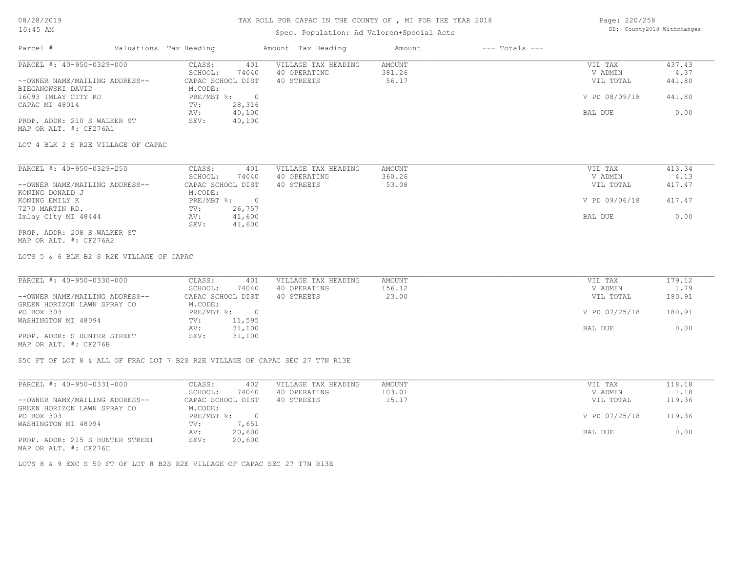# TAX ROLL FOR CAPAC IN THE COUNTY OF , MI FOR THE YEAR 2018

## Spec. Population: Ad Valorem+Special Acts

Page: 220/258 DB: County2018 Withchanges

| PARCEL #: 40-950-0329-000                                                                                                      | CLASS:<br>401<br>SCHOOL:<br>74040                            | VILLAGE TAX HEADING<br>40 OPERATING | <b>AMOUNT</b><br>381.26 | VIL TAX<br>V ADMIN         | 437.43<br>4.37   |
|--------------------------------------------------------------------------------------------------------------------------------|--------------------------------------------------------------|-------------------------------------|-------------------------|----------------------------|------------------|
| --OWNER NAME/MAILING ADDRESS--<br>BIEGANOWSKI DAVID                                                                            | CAPAC SCHOOL DIST<br>M.CODE:                                 | 40 STREETS                          | 56.17                   | VIL TOTAL                  | 441.80           |
| 16093 IMLAY CITY RD                                                                                                            | PRE/MBT %:<br>$\overline{0}$                                 |                                     |                         | V PD 08/09/18              | 441.80           |
| CAPAC MI 48014                                                                                                                 | 28,316<br>TV:<br>40,100<br>AV:                               |                                     |                         | BAL DUE                    | 0.00             |
| PROP. ADDR: 210 S WALKER ST                                                                                                    | SEV:<br>40,100                                               |                                     |                         |                            |                  |
| MAP OR ALT. #: CF276A1                                                                                                         |                                                              |                                     |                         |                            |                  |
| LOT 4 BLK 2 S R2E VILLAGE OF CAPAC                                                                                             |                                                              |                                     |                         |                            |                  |
| PARCEL #: 40-950-0329-250                                                                                                      | CLASS:<br>401                                                | VILLAGE TAX HEADING                 | AMOUNT                  | VIL TAX                    | 413.34           |
|                                                                                                                                | SCHOOL:<br>74040                                             | 40 OPERATING                        | 360.26                  | V ADMIN                    | 4.13             |
| --OWNER NAME/MAILING ADDRESS--<br>KONING DONALD J                                                                              | CAPAC SCHOOL DIST<br>M.CODE:                                 | 40 STREETS                          | 53.08                   | VIL TOTAL                  | 417.47           |
| KONING EMILY K                                                                                                                 | $PRE/MBT$ $\div$ 0                                           |                                     |                         | V PD 09/06/18              | 417.47           |
| 7270 MARTIN RD.                                                                                                                | 26,757<br>TV:                                                |                                     |                         |                            |                  |
| Imlay City MI 48444                                                                                                            | 41,600<br>AV:<br>41,600<br>SEV:                              |                                     |                         | BAL DUE                    | 0.00             |
|                                                                                                                                |                                                              |                                     |                         |                            |                  |
|                                                                                                                                |                                                              |                                     |                         |                            |                  |
|                                                                                                                                |                                                              |                                     |                         |                            |                  |
| PROP. ADDR: 208 S WALKER ST<br>MAP OR ALT. #: CF276A2<br>LOTS 5 & 6 BLK B2 S R2E VILLAGE OF CAPAC<br>PARCEL #: 40-950-0330-000 | CLASS:<br>401<br>SCHOOL:<br>74040                            | VILLAGE TAX HEADING<br>40 OPERATING | AMOUNT<br>156.12        | VIL TAX<br>V ADMIN         | 179.12<br>1.79   |
| --OWNER NAME/MAILING ADDRESS--<br>GREEN HORIZON LAWN SPRAY CO<br>PO BOX 303                                                    | CAPAC SCHOOL DIST<br>M.CODE:<br>PRE/MBT %:<br>$\overline{0}$ | 40 STREETS                          | 23.00                   | VIL TOTAL<br>V PD 07/25/18 | 180.91<br>180.91 |
| WASHINGTON MI 48094                                                                                                            | 11,595<br>TV:                                                |                                     |                         |                            |                  |
| PROP. ADDR: S HUNTER STREET<br>MAP OR ALT. #: CF276B                                                                           | 31,100<br>AV:<br>31,100<br>SEV:                              |                                     |                         | BAL DUE                    | 0.00             |
| S50 FT OF LOT 8 & ALL OF FRAC LOT 7 B2S R2E VILLAGE OF CAPAC SEC 27 T7N R13E                                                   |                                                              |                                     |                         |                            |                  |
| PARCEL #: 40-950-0331-000                                                                                                      | CLASS:<br>402                                                | VILLAGE TAX HEADING                 | <b>AMOUNT</b>           | VIL TAX                    | 118.18           |
|                                                                                                                                | SCHOOL:<br>74040                                             | 40 OPERATING                        | 103.01                  | V ADMIN                    | 1.18             |
|                                                                                                                                | CAPAC SCHOOL DIST                                            | 40 STREETS                          | 15.17                   | VIL TOTAL                  | 119.36           |
|                                                                                                                                | M.CODE:<br>PRE/MBT %: 0                                      |                                     |                         | V PD 07/25/18              | 119.36           |
| --OWNER NAME/MAILING ADDRESS--<br>GREEN HORIZON LAWN SPRAY CO<br>PO BOX 303                                                    | 7,651<br>TV:                                                 |                                     |                         |                            |                  |
| WASHINGTON MI 48094<br>PROP. ADDR: 215 S HUNTER STREET                                                                         | 20,600<br>AV:<br>SEV:<br>20,600                              |                                     |                         | BAL DUE                    | 0.00             |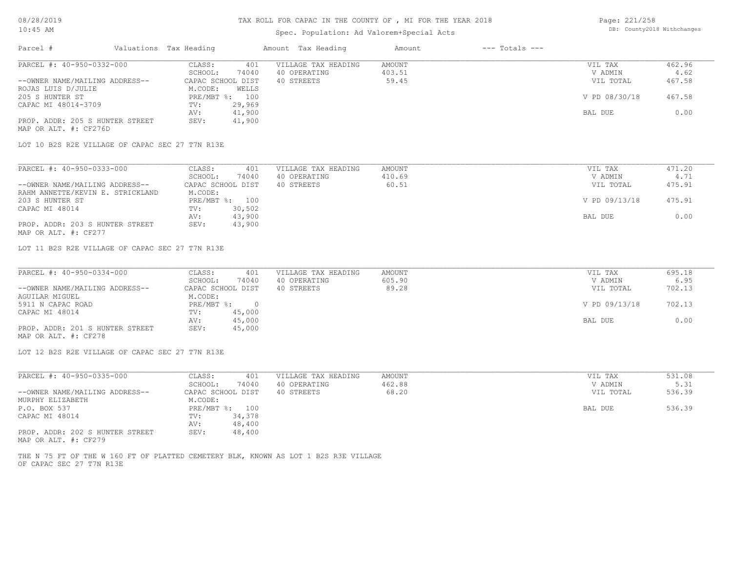## Spec. Population: Ad Valorem+Special Acts

| Page: 221/258 |                            |
|---------------|----------------------------|
|               | DB: County2018 Withchanges |

| Parcel #                        | Valuations Tax Heading |        | Amount Tax Heading  | Amount | $---$ Totals $---$ |               |        |
|---------------------------------|------------------------|--------|---------------------|--------|--------------------|---------------|--------|
| PARCEL #: 40-950-0332-000       | CLASS:                 | 401    | VILLAGE TAX HEADING | AMOUNT |                    | VIL TAX       | 462.96 |
|                                 | SCHOOL:                | 74040  | 40 OPERATING        | 403.51 |                    | V ADMIN       | 4.62   |
| --OWNER NAME/MAILING ADDRESS--  | CAPAC SCHOOL DIST      |        | 40 STREETS          | 59.45  |                    | VIL TOTAL     | 467.58 |
| ROJAS LUIS D/JULIE              | M.CODE:                | WELLS  |                     |        |                    |               |        |
| 205 S HUNTER ST                 | PRE/MBT %:             | 100    |                     |        |                    | V PD 08/30/18 | 467.58 |
| CAPAC MI 48014-3709             | TV:                    | 29,969 |                     |        |                    |               |        |
|                                 | AV:                    | 41,900 |                     |        |                    | BAL DUE       | 0.00   |
| PROP. ADDR: 205 S HUNTER STREET | SEV:                   | 41,900 |                     |        |                    |               |        |
| MAP OR ALT. #: CF276D           |                        |        |                     |        |                    |               |        |

LOT 10 B2S R2E VILLAGE OF CAPAC SEC 27 T7N R13E

| PARCEL #: 40-950-0333-000        | CLASS:<br>401     | VILLAGE TAX HEADING | AMOUNT | VIL TAX       | 471.20 |
|----------------------------------|-------------------|---------------------|--------|---------------|--------|
|                                  | 74040<br>SCHOOL:  | 40 OPERATING        | 410.69 | V ADMIN       | 4.71   |
| --OWNER NAME/MAILING ADDRESS--   | CAPAC SCHOOL DIST | 40 STREETS          | 60.51  | VIL TOTAL     | 475.91 |
| RAHM ANNETTE/KEVIN E. STRICKLAND | M.CODE:           |                     |        |               |        |
| 203 S HUNTER ST                  | PRE/MBT %: 100    |                     |        | V PD 09/13/18 | 475.91 |
| CAPAC MI 48014                   | 30,502<br>TV:     |                     |        |               |        |
|                                  | 43,900<br>AV:     |                     |        | BAL DUE       | 0.00   |
| PROP. ADDR: 203 S HUNTER STREET  | 43,900<br>SEV:    |                     |        |               |        |
| MAP OR ALT. #: CF277             |                   |                     |        |               |        |

LOT 11 B2S R2E VILLAGE OF CAPAC SEC 27 T7N R13E

| PARCEL #: 40-950-0334-000       | CLASS:            | 401    | VILLAGE TAX HEADING | AMOUNT | VIL TAX       | 695.18 |
|---------------------------------|-------------------|--------|---------------------|--------|---------------|--------|
|                                 | SCHOOL:           | 74040  | 40 OPERATING        | 605.90 | V ADMIN       | 6.95   |
| --OWNER NAME/MAILING ADDRESS--  | CAPAC SCHOOL DIST |        | 40 STREETS          | 89.28  | VIL TOTAL     | 702.13 |
| AGUILAR MIGUEL                  | M.CODE:           |        |                     |        |               |        |
| 5911 N CAPAC ROAD               | $PRE/MBT$ %:      |        |                     |        | V PD 09/13/18 | 702.13 |
| CAPAC MI 48014                  | TV:               | 45,000 |                     |        |               |        |
|                                 | AV:               | 45,000 |                     |        | BAL DUE       | 0.00   |
| PROP. ADDR: 201 S HUNTER STREET | SEV:              | 45,000 |                     |        |               |        |
| MAP OR ALT. #: CF278            |                   |        |                     |        |               |        |

LOT 12 B2S R2E VILLAGE OF CAPAC SEC 27 T7N R13E

| PARCEL #: 40-950-0335-000       | CLASS:            | 401    | VILLAGE TAX HEADING | AMOUNT | VIL TAX   | 531.08 |
|---------------------------------|-------------------|--------|---------------------|--------|-----------|--------|
|                                 | SCHOOL:           | 74040  | 40 OPERATING        | 462.88 | V ADMIN   | 5.31   |
| --OWNER NAME/MAILING ADDRESS--  | CAPAC SCHOOL DIST |        | 40 STREETS          | 68.20  | VIL TOTAL | 536.39 |
| MURPHY ELIZABETH                | M.CODE:           |        |                     |        |           |        |
| P.O. BOX 537                    | PRE/MBT %:        | 100    |                     |        | BAL DUE   | 536.39 |
| CAPAC MI 48014                  | TV:               | 34,378 |                     |        |           |        |
|                                 | AV:               | 48,400 |                     |        |           |        |
| PROP. ADDR: 202 S HUNTER STREET | SEV:              | 48,400 |                     |        |           |        |
| $\frac{1}{2}$                   |                   |        |                     |        |           |        |

MAP OR ALT. #: CF279

OF CAPAC SEC 27 T7N R13E THE N 75 FT OF THE W 160 FT OF PLATTED CEMETERY BLK, KNOWN AS LOT 1 B2S R3E VILLAGE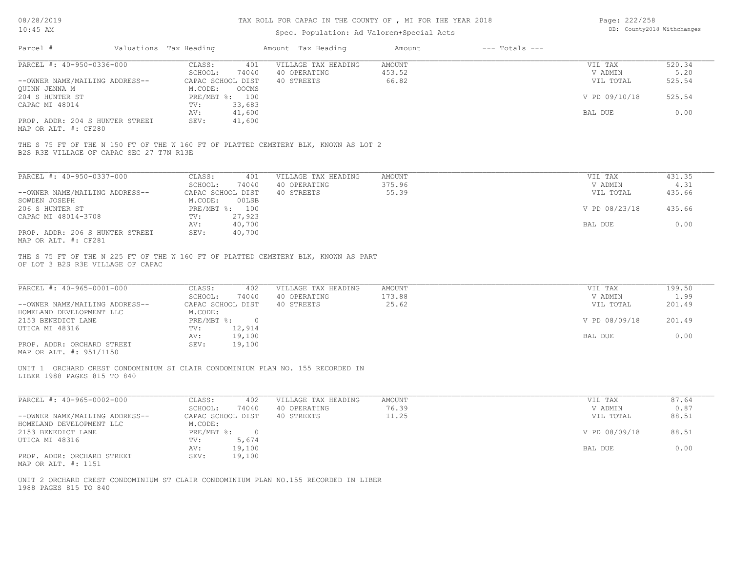# TAX ROLL FOR CAPAC IN THE COUNTY OF , MI FOR THE YEAR 2018

## Spec. Population: Ad Valorem+Special Acts

| Page: 222/258 |                            |
|---------------|----------------------------|
|               | DB: County2018 Withchanges |

| Parcel #                                                         | Valuations Tax Heading                              | Amount Tax Heading                                                                  | Amount                    | $---$ Totals $---$ |                                 |                          |
|------------------------------------------------------------------|-----------------------------------------------------|-------------------------------------------------------------------------------------|---------------------------|--------------------|---------------------------------|--------------------------|
| PARCEL #: 40-950-0336-000<br>--OWNER NAME/MAILING ADDRESS--      | CLASS:<br>SCHOOL:<br>CAPAC SCHOOL DIST              | VILLAGE TAX HEADING<br>401<br>74040<br>40 OPERATING<br>40 STREETS                   | AMOUNT<br>453.52<br>66.82 |                    | VIL TAX<br>V ADMIN<br>VIL TOTAL | 520.34<br>5.20<br>525.54 |
| <b>OUINN JENNA M</b><br>204 S HUNTER ST<br>CAPAC MI 48014        | M.CODE:<br>OOCMS<br>PRE/MBT %: 100<br>33,683<br>TV: |                                                                                     |                           |                    | V PD 09/10/18                   | 525.54                   |
| PROP. ADDR: 204 S HUNTER STREET                                  | 41,600<br>AV:<br>SEV:<br>41,600                     |                                                                                     |                           |                    | BAL DUE                         | 0.00                     |
| MAP OR ALT. #: CF280                                             |                                                     |                                                                                     |                           |                    |                                 |                          |
| B2S R3E VILLAGE OF CAPAC SEC 27 T7N R13E                         |                                                     | THE S 75 FT OF THE N 150 FT OF THE W 160 FT OF PLATTED CEMETERY BLK, KNOWN AS LOT 2 |                           |                    |                                 |                          |
| PARCEL #: 40-950-0337-000                                        | CLASS:<br>SCHOOL:                                   | VILLAGE TAX HEADING<br>401<br>74040<br>40 OPERATING                                 | <b>AMOUNT</b><br>375.96   |                    | VIL TAX<br>V ADMIN              | 431.35<br>4.31           |
| --OWNER NAME/MAILING ADDRESS--<br>SOWDEN JOSEPH                  | CAPAC SCHOOL DIST<br>M.CODE:                        | 40 STREETS<br>00LSB                                                                 | 55.39                     |                    | VIL TOTAL                       | 435.66                   |
| 206 S HUNTER ST<br>CAPAC MI 48014-3708                           | PRE/MBT %: 100<br>27,923<br>TV:                     |                                                                                     |                           |                    | V PD 08/23/18                   | 435.66                   |
| PROP. ADDR: 206 S HUNTER STREET<br>MAP OR ALT. #: CF281          | AV:<br>40,700<br>SEV:<br>40,700                     |                                                                                     |                           |                    | BAL DUE                         | 0.00                     |
| PARCEL #: 40-965-0001-000                                        | CLASS:<br>SCHOOL:                                   | 402<br>VILLAGE TAX HEADING<br>40 OPERATING<br>74040                                 | <b>AMOUNT</b><br>173.88   |                    | VIL TAX<br>V ADMIN              | 199.50<br>1.99           |
| --OWNER NAME/MAILING ADDRESS--                                   | CAPAC SCHOOL DIST                                   | 40 STREETS                                                                          | 25.62                     |                    | VIL TOTAL                       | 201.49                   |
| HOMELAND DEVELOPMENT LLC<br>2153 BENEDICT LANE<br>UTICA MI 48316 | M.CODE:<br>$PRE/MBT$ $\div$ 0<br>TV:<br>12,914      |                                                                                     |                           |                    | V PD 08/09/18                   | 201.49                   |
| PROP. ADDR: ORCHARD STREET<br>MAP OR ALT. #: 951/1150            | AV:<br>19,100<br>19,100<br>SEV:                     |                                                                                     |                           |                    | BAL DUE                         | 0.00                     |
| LIBER 1988 PAGES 815 TO 840                                      |                                                     | UNIT 1 ORCHARD CREST CONDOMINIUM ST CLAIR CONDOMINIUM PLAN NO. 155 RECORDED IN      |                           |                    |                                 |                          |
| PARCEL #: 40-965-0002-000                                        | CLASS:<br>SCHOOL:                                   | 402<br>VILLAGE TAX HEADING<br>74040<br>40 OPERATING                                 | <b>AMOUNT</b><br>76.39    |                    | VIL TAX<br>V ADMIN              | 87.64<br>0.87            |
| --OWNER NAME/MAILING ADDRESS--<br>HOMELAND DEVELOPMENT LLC       | CAPAC SCHOOL DIST<br>M.CODE:                        | 40 STREETS                                                                          | 11.25                     |                    | VIL TOTAL                       | 88.51                    |
| 2153 BENEDICT LANE<br>UTICA MI 48316                             | PRE/MBT %: 0<br>5,674<br>TV:                        |                                                                                     |                           |                    | V PD 08/09/18                   | 88.51                    |
| PROP. ADDR: ORCHARD STREET<br>MAP OR ALT. #: 1151                | 19,100<br>AV:<br>SEV:<br>19,100                     |                                                                                     |                           |                    | BAL DUE                         | 0.00                     |
| 1988 PAGES 815 TO 840                                            |                                                     | UNIT 2 ORCHARD CREST CONDOMINIUM ST CLAIR CONDOMINIUM PLAN NO.155 RECORDED IN LIBER |                           |                    |                                 |                          |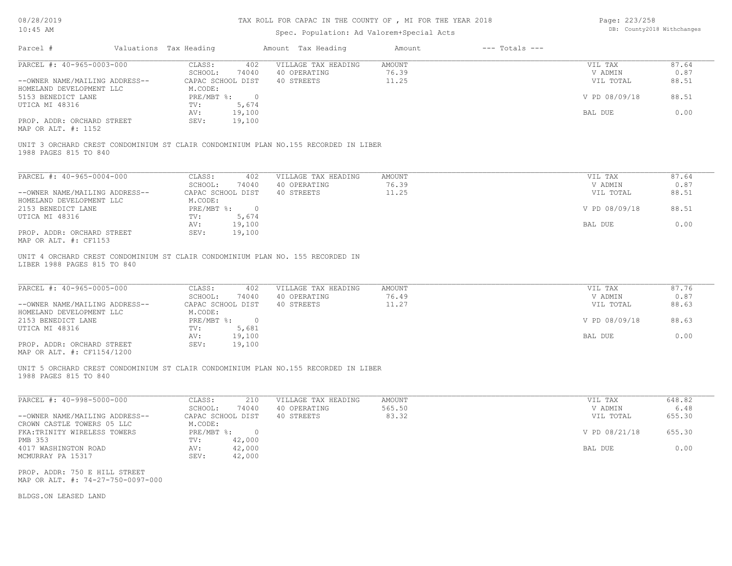# TAX ROLL FOR CAPAC IN THE COUNTY OF , MI FOR THE YEAR 2018

### Spec. Population: Ad Valorem+Special Acts

Page: 223/258 DB: County2018 Withchanges

| Parcel #                                                           | Valuations Tax Heading |                                       | Amount Tax Heading                                                                  | Amount         | $---$ Totals $---$ |                      |               |
|--------------------------------------------------------------------|------------------------|---------------------------------------|-------------------------------------------------------------------------------------|----------------|--------------------|----------------------|---------------|
| PARCEL #: 40-965-0003-000                                          |                        | CLASS:<br>402                         | VILLAGE TAX HEADING                                                                 | AMOUNT         |                    | VIL TAX              | 87.64         |
|                                                                    |                        | SCHOOL:<br>74040                      | 40 OPERATING                                                                        | 76.39          |                    | V ADMIN              | 0.87          |
| --OWNER NAME/MAILING ADDRESS--<br>HOMELAND DEVELOPMENT LLC         |                        | CAPAC SCHOOL DIST<br>M.CODE:          | 40 STREETS                                                                          | 11.25          |                    | VIL TOTAL            | 88.51         |
| 5153 BENEDICT LANE<br>UTICA MI 48316                               |                        | PRE/MBT %: 0<br>5,674<br>TV:          |                                                                                     |                |                    | V PD 08/09/18        | 88.51         |
|                                                                    |                        | 19,100<br>AV:                         |                                                                                     |                |                    | BAL DUE              | 0.00          |
| PROP. ADDR: ORCHARD STREET<br>MAP OR ALT. #: 1152                  |                        | 19,100<br>SEV:                        |                                                                                     |                |                    |                      |               |
|                                                                    |                        |                                       | UNIT 3 ORCHARD CREST CONDOMINIUM ST CLAIR CONDOMINIUM PLAN NO.155 RECORDED IN LIBER |                |                    |                      |               |
| 1988 PAGES 815 TO 840                                              |                        |                                       |                                                                                     |                |                    |                      |               |
|                                                                    |                        |                                       |                                                                                     |                |                    |                      |               |
| PARCEL #: 40-965-0004-000                                          |                        | CLASS:<br>402                         | VILLAGE TAX HEADING                                                                 | <b>AMOUNT</b>  |                    | VIL TAX              | 87.64         |
|                                                                    |                        | SCHOOL:<br>74040                      | 40 OPERATING                                                                        | 76.39          |                    | V ADMIN              | 0.87          |
| --OWNER NAME/MAILING ADDRESS--<br>HOMELAND DEVELOPMENT LLC         |                        | CAPAC SCHOOL DIST<br>M.CODE:          | 40 STREETS                                                                          | 11.25          |                    | VIL TOTAL            | 88.51         |
| 2153 BENEDICT LANE                                                 |                        | PRE/MBT %: 0                          |                                                                                     |                |                    | V PD 08/09/18        | 88.51         |
| UTICA MI 48316                                                     |                        | 5,674<br>TV:                          |                                                                                     |                |                    |                      |               |
|                                                                    |                        | 19,100<br>AV:                         |                                                                                     |                |                    | BAL DUE              | 0.00          |
| PROP. ADDR: ORCHARD STREET<br>MAP OR ALT. #: CF1153                |                        | 19,100<br>SEV:                        |                                                                                     |                |                    |                      |               |
| LIBER 1988 PAGES 815 TO 840                                        |                        |                                       |                                                                                     |                |                    |                      |               |
| PARCEL #: 40-965-0005-000                                          |                        | CLASS:<br>402                         | VILLAGE TAX HEADING                                                                 | <b>AMOUNT</b>  |                    | VIL TAX              | 87.76         |
| --OWNER NAME/MAILING ADDRESS--                                     |                        | SCHOOL:<br>74040<br>CAPAC SCHOOL DIST | 40 OPERATING<br>40 STREETS                                                          | 76.49<br>11.27 |                    | V ADMIN<br>VIL TOTAL | 0.87<br>88.63 |
| HOMELAND DEVELOPMENT LLC                                           |                        | M.CODE:                               |                                                                                     |                |                    |                      |               |
| 2153 BENEDICT LANE                                                 |                        | PRE/MBT %: 0                          |                                                                                     |                |                    | V PD 08/09/18        | 88.63         |
| UTICA MI 48316                                                     |                        | 5,681<br>TV:                          |                                                                                     |                |                    |                      |               |
|                                                                    |                        | 19,100<br>AV:                         |                                                                                     |                |                    | BAL DUE              | 0.00          |
| PROP. ADDR: ORCHARD STREET<br>MAP OR ALT. #: CF1154/1200           |                        | 19,100<br>SEV:                        |                                                                                     |                |                    |                      |               |
| 1988 PAGES 815 TO 840                                              |                        |                                       | UNIT 5 ORCHARD CREST CONDOMINIUM ST CLAIR CONDOMINIUM PLAN NO.155 RECORDED IN LIBER |                |                    |                      |               |
| PARCEL #: 40-998-5000-000                                          |                        | CLASS:<br>210                         | VILLAGE TAX HEADING                                                                 | AMOUNT         |                    | VIL TAX              | 648.82        |
|                                                                    |                        | SCHOOL:<br>74040                      | 40 OPERATING                                                                        | 565.50         |                    | V ADMIN              | 6.48          |
| --OWNER NAME/MAILING ADDRESS--                                     |                        | CAPAC SCHOOL DIST                     | 40 STREETS                                                                          | 83.32          |                    | VIL TOTAL            | 655.30        |
| CROWN CASTLE TOWERS 05 LLC                                         |                        | M.CODE:                               |                                                                                     |                |                    |                      |               |
| FKA: TRINITY WIRELESS TOWERS                                       |                        | PRE/MBT %: 0                          |                                                                                     |                |                    | V PD 08/21/18        | 655.30        |
| PMB 353                                                            |                        | 42,000<br>TV:                         |                                                                                     |                |                    |                      |               |
| 4017 WASHINGTON ROAD<br>MCMURRAY PA 15317                          |                        | 42,000<br>AV:<br>42,000<br>SEV:       |                                                                                     |                |                    | BAL DUE              | 0.00          |
| PROP. ADDR: 750 E HILL STREET<br>MAP OR ALT. #: 74-27-750-0097-000 |                        |                                       |                                                                                     |                |                    |                      |               |
| BLDGS.ON LEASED LAND                                               |                        |                                       |                                                                                     |                |                    |                      |               |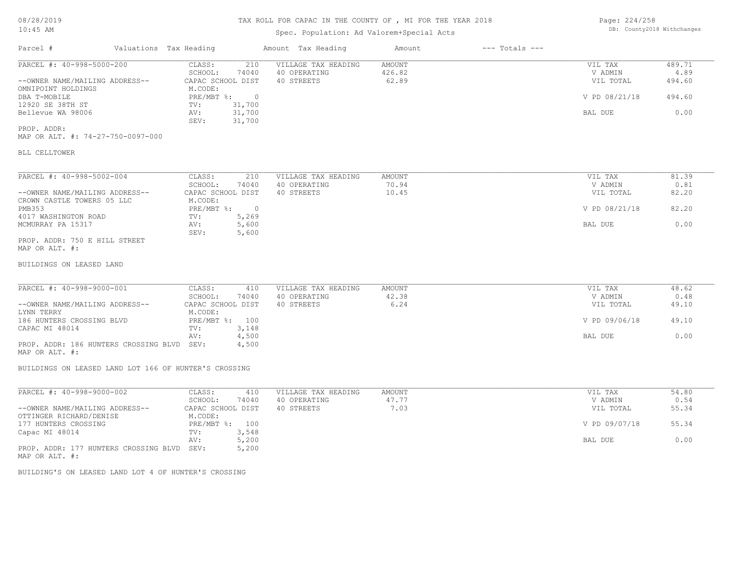## Spec. Population: Ad Valorem+Special Acts

| Page: 224/258 |                            |
|---------------|----------------------------|
|               | DB: County2018 Withchanges |

| Parcel #                       | Valuations Tax Heading |                   | Amount Tax Heading  | Amount | $---$ Totals $---$ |               |        |
|--------------------------------|------------------------|-------------------|---------------------|--------|--------------------|---------------|--------|
| PARCEL #: 40-998-5000-200      | CLASS:                 | 210               | VILLAGE TAX HEADING | AMOUNT |                    | VIL TAX       | 489.71 |
|                                | SCHOOL:                | 74040             | 40 OPERATING        | 426.82 |                    | V ADMIN       | 4.89   |
| --OWNER NAME/MAILING ADDRESS-- |                        | CAPAC SCHOOL DIST | 40 STREETS          | 62.89  |                    | VIL TOTAL     | 494.60 |
| OMNIPOINT HOLDINGS             | M.CODE:                |                   |                     |        |                    |               |        |
| DBA T-MOBILE                   | PRE/MBT %:             |                   |                     |        |                    | V PD 08/21/18 | 494.60 |
| 12920 SE 38TH ST               | TV:                    | 31,700            |                     |        |                    |               |        |
| Bellevue WA 98006              | AV:                    | 31,700            |                     |        |                    | BAL DUE       | 0.00   |
|                                | SEV:                   | 31,700            |                     |        |                    |               |        |
| PROP. ADDR:                    |                        |                   |                     |        |                    |               |        |

MAP OR ALT. #: 74-27-750-0097-000

### BLL CELLTOWER

| PARCEL #: 40-998-5002-004      | CLASS:     | 210               | VILLAGE TAX HEADING | AMOUNT | VIL TAX       | 81.39 |
|--------------------------------|------------|-------------------|---------------------|--------|---------------|-------|
|                                | SCHOOL:    | 74040             | 40 OPERATING        | 70.94  | V ADMIN       | 0.81  |
| --OWNER NAME/MAILING ADDRESS-- |            | CAPAC SCHOOL DIST | 40 STREETS          | 10.45  | VIL TOTAL     | 82.20 |
| CROWN CASTLE TOWERS 05 LLC     | M.CODE:    |                   |                     |        |               |       |
| PMB353                         | PRE/MBT %: | $\Box$            |                     |        | V PD 08/21/18 | 82.20 |
| 4017 WASHINGTON ROAD           | TV:        | 5,269             |                     |        |               |       |
| MCMURRAY PA 15317              | AV:        | 5,600             |                     |        | BAL DUE       | 0.00  |
|                                | SEV:       | 5,600             |                     |        |               |       |
| PROP. ADDR: 750 E HILL STREET  |            |                   |                     |        |               |       |

MAP OR ALT. #:

BUILDINGS ON LEASED LAND

| PARCEL #: 40-998-9000-001                  | CLASS:            | 410   | VILLAGE TAX HEADING | AMOUNT | VIL TAX       | 48.62 |
|--------------------------------------------|-------------------|-------|---------------------|--------|---------------|-------|
|                                            | SCHOOL:           | 74040 | 40 OPERATING        | 42.38  | V ADMIN       | 0.48  |
| --OWNER NAME/MAILING ADDRESS--             | CAPAC SCHOOL DIST |       | 40 STREETS          | 6.24   | VIL TOTAL     | 49.10 |
| LYNN TERRY                                 | M.CODE:           |       |                     |        |               |       |
| 186 HUNTERS CROSSING BLVD                  | PRE/MBT %: 100    |       |                     |        | V PD 09/06/18 | 49.10 |
| CAPAC MI 48014                             | TV:               | 3,148 |                     |        |               |       |
|                                            | AV:               | 4,500 |                     |        | BAL DUE       | 0.00  |
| PROP. ADDR: 186 HUNTERS CROSSING BLVD SEV: |                   | 4,500 |                     |        |               |       |

MAP OR ALT. #:

BUILDINGS ON LEASED LAND LOT 166 OF HUNTER'S CROSSING

| PARCEL #: 40-998-9000-002             | CLASS:            | 410   | VILLAGE TAX HEADING | AMOUNT | VIL TAX       | 54.80 |
|---------------------------------------|-------------------|-------|---------------------|--------|---------------|-------|
|                                       | SCHOOL:           | 74040 | 40 OPERATING        | 47.77  | V ADMIN       | 0.54  |
| --OWNER NAME/MAILING ADDRESS--        | CAPAC SCHOOL DIST |       | 40 STREETS          | 7.03   | VIL TOTAL     | 55.34 |
| OTTINGER RICHARD/DENISE               | M.CODE:           |       |                     |        |               |       |
| 177 HUNTERS CROSSING                  | $PRE/MBT$ %:      | 100   |                     |        | V PD 09/07/18 | 55.34 |
| Capac MI 48014                        | TV:               | 3,548 |                     |        |               |       |
|                                       | AV:               | 5,200 |                     |        | BAL DUE       | 0.00  |
| PROP. ADDR: 177 HUNTERS CROSSING BLVD | SEV:              | 5,200 |                     |        |               |       |
| MAP OR ALT. #:                        |                   |       |                     |        |               |       |

BUILDING'S ON LEASED LAND LOT 4 OF HUNTER'S CROSSING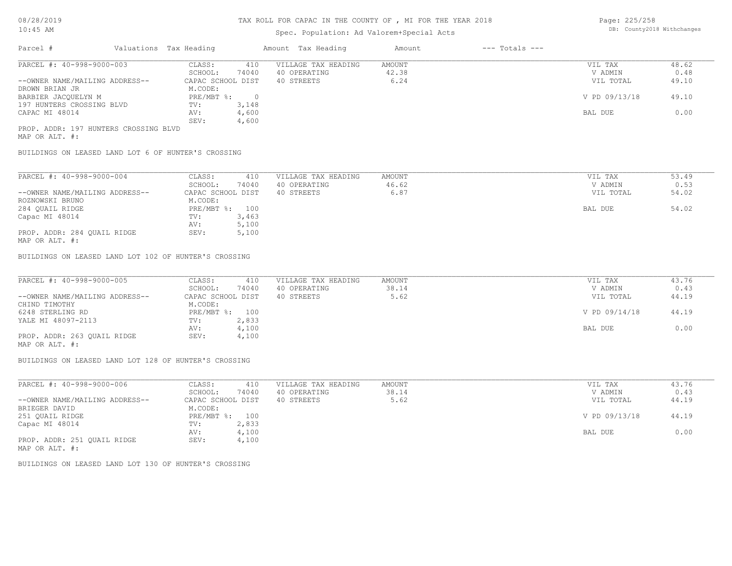## Spec. Population: Ad Valorem+Special Acts

Page: 225/258 DB: County2018 Withchanges

| Parcel #                              | Valuations Tax Heading |       | Amount Tax Heading  | Amount | $---$ Totals $---$ |               |       |
|---------------------------------------|------------------------|-------|---------------------|--------|--------------------|---------------|-------|
| PARCEL #: 40-998-9000-003             | CLASS:                 | 410   | VILLAGE TAX HEADING | AMOUNT |                    | VIL TAX       | 48.62 |
|                                       | SCHOOL:                | 74040 | 40 OPERATING        | 42.38  |                    | V ADMIN       | 0.48  |
| --OWNER NAME/MAILING ADDRESS--        | CAPAC SCHOOL DIST      |       | 40 STREETS          | 6.24   |                    | VIL TOTAL     | 49.10 |
| DROWN BRIAN JR                        | M.CODE:                |       |                     |        |                    |               |       |
| BARBIER JACOUELYN M                   | PRE/MBT %:             |       |                     |        |                    | V PD 09/13/18 | 49.10 |
| 197 HUNTERS CROSSING BLVD             | TV:                    | 3,148 |                     |        |                    |               |       |
| CAPAC MI 48014                        | AV:                    | 4,600 |                     |        |                    | BAL DUE       | 0.00  |
|                                       | SEV:                   | 4,600 |                     |        |                    |               |       |
| PROP. ADDR: 197 HUNTERS CROSSING BLVD |                        |       |                     |        |                    |               |       |

MAP OR ALT. #:

BUILDINGS ON LEASED LAND LOT 6 OF HUNTER'S CROSSING

| PARCEL #: 40-998-9000-004                                                   | CLASS:            | 410   | VILLAGE TAX HEADING | AMOUNT | VIL TAX   | 53.49 |
|-----------------------------------------------------------------------------|-------------------|-------|---------------------|--------|-----------|-------|
|                                                                             | SCHOOL:           | 74040 | 40 OPERATING        | 46.62  | V ADMIN   | 0.53  |
| --OWNER NAME/MAILING ADDRESS--                                              | CAPAC SCHOOL DIST |       | 40 STREETS          | 6.87   | VIL TOTAL | 54.02 |
| ROZNOWSKI BRUNO                                                             | M.CODE:           |       |                     |        |           |       |
| 284 OUAIL RIDGE                                                             | PRE/MBT %: 100    |       |                     |        | BAL DUE   | 54.02 |
| Capac MI 48014                                                              | TV:               | 3,463 |                     |        |           |       |
|                                                                             | AV:               | 5,100 |                     |        |           |       |
| PROP. ADDR: 284 OUAIL RIDGE<br>$\cdots$ $\cdots$ $\cdots$ $\cdots$ $\cdots$ | SEV:              | 5,100 |                     |        |           |       |

MAP OR ALT. #:

BUILDINGS ON LEASED LAND LOT 102 OF HUNTER'S CROSSING

| PARCEL #: 40-998-9000-005      | CLASS:<br>410     | VILLAGE TAX HEADING | AMOUNT | VIL TAX       | 43.76 |
|--------------------------------|-------------------|---------------------|--------|---------------|-------|
|                                | 74040<br>SCHOOL:  | 40 OPERATING        | 38.14  | V ADMIN       | 0.43  |
| --OWNER NAME/MAILING ADDRESS-- | CAPAC SCHOOL DIST | 40 STREETS          | 5.62   | VIL TOTAL     | 44.19 |
| CHIND TIMOTHY                  | M.CODE:           |                     |        |               |       |
| 6248 STERLING RD               | PRE/MBT %: 100    |                     |        | V PD 09/14/18 | 44.19 |
| YALE MI 48097-2113             | 2,833<br>TV:      |                     |        |               |       |
|                                | 4,100<br>AV:      |                     |        | BAL DUE       | 0.00  |
| PROP. ADDR: 263 OUAIL RIDGE    | 4,100<br>SEV:     |                     |        |               |       |
| MAP OR ALT. #:                 |                   |                     |        |               |       |

BUILDINGS ON LEASED LAND LOT 128 OF HUNTER'S CROSSING

| PARCEL #: 40-998-9000-006      | CLASS:<br>410     | VILLAGE TAX HEADING | AMOUNT | VIL TAX       | 43.76 |
|--------------------------------|-------------------|---------------------|--------|---------------|-------|
|                                | 74040<br>SCHOOL:  | 40 OPERATING        | 38.14  | V ADMIN       | 0.43  |
| --OWNER NAME/MAILING ADDRESS-- | CAPAC SCHOOL DIST | 40 STREETS          | 5.62   | VIL TOTAL     | 44.19 |
| BRIEGER DAVID                  | M.CODE:           |                     |        |               |       |
| 251 OUAIL RIDGE                | PRE/MBT %: 100    |                     |        | V PD 09/13/18 | 44.19 |
| Capac MI 48014                 | 2,833<br>TV:      |                     |        |               |       |
|                                | 4,100<br>AV:      |                     |        | BAL DUE       | 0.00  |
| PROP. ADDR: 251 OUAIL RIDGE    | 4,100<br>SEV:     |                     |        |               |       |
| MAP OR ALT. #:                 |                   |                     |        |               |       |

BUILDINGS ON LEASED LAND LOT 130 OF HUNTER'S CROSSING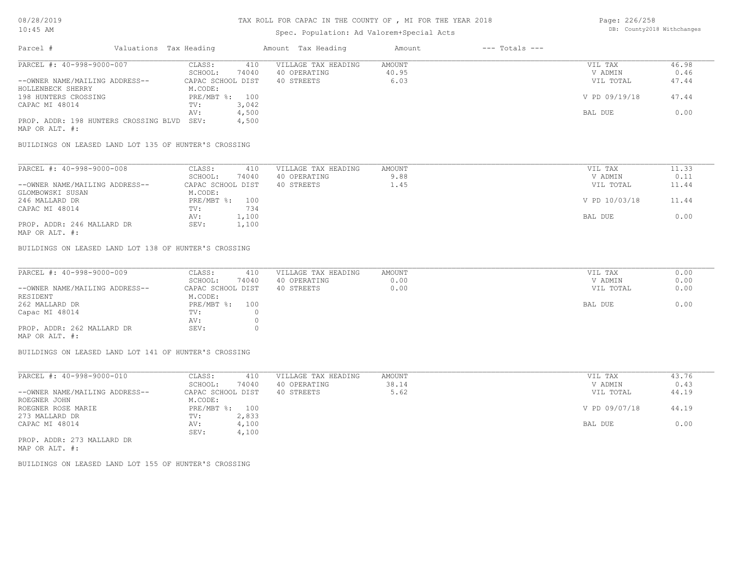## Spec. Population: Ad Valorem+Special Acts

| Page: 226/258 |                            |
|---------------|----------------------------|
|               | DB: County2018 Withchanges |

| Parcel #                                   | Valuations Tax Heading |                   |       | Amount Tax Heading  | Amount | $---$ Totals $---$ |               |       |
|--------------------------------------------|------------------------|-------------------|-------|---------------------|--------|--------------------|---------------|-------|
| PARCEL #: 40-998-9000-007                  |                        | CLASS:            | 410   | VILLAGE TAX HEADING | AMOUNT |                    | VIL TAX       | 46.98 |
|                                            |                        | SCHOOL:           | 74040 | 40 OPERATING        | 40.95  |                    | V ADMIN       | 0.46  |
| --OWNER NAME/MAILING ADDRESS--             |                        | CAPAC SCHOOL DIST |       | 40 STREETS          | 6.03   |                    | VIL TOTAL     | 47.44 |
| HOLLENBECK SHERRY                          |                        | M.CODE:           |       |                     |        |                    |               |       |
| 198 HUNTERS CROSSING                       |                        | PRE/MBT %: 100    |       |                     |        |                    | V PD 09/19/18 | 47.44 |
| CAPAC MI 48014                             |                        | TV:               | 3,042 |                     |        |                    |               |       |
|                                            |                        | AV:               | 4,500 |                     |        |                    | BAL DUE       | 0.00  |
| PROP. ADDR: 198 HUNTERS CROSSING BLVD SEV: |                        |                   | 4,500 |                     |        |                    |               |       |
| MAP OR ALT. #:                             |                        |                   |       |                     |        |                    |               |       |

BUILDINGS ON LEASED LAND LOT 135 OF HUNTER'S CROSSING

| PARCEL #: 40-998-9000-008      | CLASS:<br>410       | VILLAGE TAX HEADING | AMOUNT | VIL TAX       | 11.33 |
|--------------------------------|---------------------|---------------------|--------|---------------|-------|
|                                | 74040<br>SCHOOL:    | 40 OPERATING        | 9.88   | V ADMIN       | 0.11  |
| --OWNER NAME/MAILING ADDRESS-- | CAPAC SCHOOL DIST   | 40 STREETS          | 1.45   | VIL TOTAL     | 11.44 |
| GLOMBOWSKI SUSAN               | M.CODE:             |                     |        |               |       |
| 246 MALLARD DR                 | $PRE/MBT$ %:<br>100 |                     |        | V PD 10/03/18 | 11.44 |
| CAPAC MI 48014                 | 734<br>TV:          |                     |        |               |       |
|                                | 1,100<br>AV:        |                     |        | BAL DUE       | 0.00  |
| PROP. ADDR: 246 MALLARD DR     | 1,100<br>SEV:       |                     |        |               |       |
| MAP OR ALT. #:                 |                     |                     |        |               |       |

BUILDINGS ON LEASED LAND LOT 138 OF HUNTER'S CROSSING

| PARCEL #: 40-998-9000-009      | CLASS:<br>410     | VILLAGE TAX HEADING | AMOUNT | VIL TAX   | 0.00 |
|--------------------------------|-------------------|---------------------|--------|-----------|------|
|                                | 74040<br>SCHOOL:  | 40 OPERATING        | 0.00   | V ADMIN   | 0.00 |
| --OWNER NAME/MAILING ADDRESS-- | CAPAC SCHOOL DIST | 40 STREETS          | 0.00   | VIL TOTAL | 0.00 |
| RESIDENT                       | M.CODE:           |                     |        |           |      |
| 262 MALLARD DR                 | PRE/MBT %: 100    |                     |        | BAL DUE   | 0.00 |
| Capac MI 48014                 | TV:               |                     |        |           |      |
|                                | AV:               |                     |        |           |      |
| PROP. ADDR: 262 MALLARD DR     | SEV:              |                     |        |           |      |
| MAP OR ALT. #:                 |                   |                     |        |           |      |

BUILDINGS ON LEASED LAND LOT 141 OF HUNTER'S CROSSING

| PARCEL #: 40-998-9000-010      | CLASS:            | 410   | VILLAGE TAX HEADING | AMOUNT | 43.76<br>VIL TAX       |  |
|--------------------------------|-------------------|-------|---------------------|--------|------------------------|--|
|                                | SCHOOL:           | 74040 | 40 OPERATING        | 38.14  | 0.43<br>V ADMIN        |  |
| --OWNER NAME/MAILING ADDRESS-- | CAPAC SCHOOL DIST |       | 40 STREETS          | 5.62   | 44.19<br>VIL TOTAL     |  |
| ROEGNER JOHN                   | M.CODE:           |       |                     |        |                        |  |
| ROEGNER ROSE MARIE             | $PRE/MBT$ %:      | 100   |                     |        | V PD 09/07/18<br>44.19 |  |
| 273 MALLARD DR                 | TV:               | 2,833 |                     |        |                        |  |
| CAPAC MI 48014                 | AV:               | 4,100 |                     |        | 0.00<br>BAL DUE        |  |
|                                | SEV:              | 4,100 |                     |        |                        |  |
| PROP. ADDR: 273 MALLARD DR     |                   |       |                     |        |                        |  |

MAP OR ALT. #:

BUILDINGS ON LEASED LAND LOT 155 OF HUNTER'S CROSSING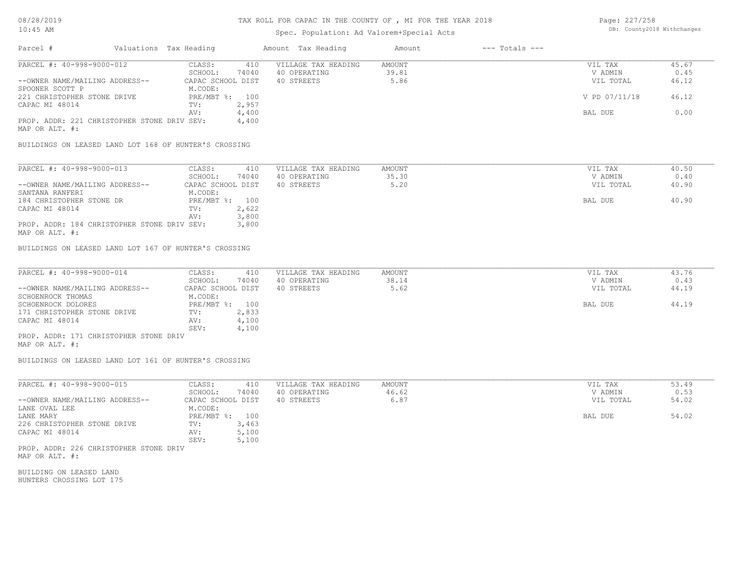## Spec. Population: Ad Valorem+Special Acts

Page: 227/258 DB: County2018 Withchanges

| Parcel #                                              | Valuations Tax Heading |                   |       | Amount Tax Heading  | Amount | $---$ Totals $---$ |               |       |
|-------------------------------------------------------|------------------------|-------------------|-------|---------------------|--------|--------------------|---------------|-------|
| PARCEL #: 40-998-9000-012                             |                        | CLASS:            | 410   | VILLAGE TAX HEADING | AMOUNT |                    | VIL TAX       | 45.67 |
|                                                       |                        | SCHOOL:           | 74040 | 40 OPERATING        | 39.81  |                    | V ADMIN       | 0.45  |
| --OWNER NAME/MAILING ADDRESS--                        |                        | CAPAC SCHOOL DIST |       | 40 STREETS          | 5.86   |                    | VIL TOTAL     | 46.12 |
| SPOONER SCOTT P                                       |                        | M.CODE:           |       |                     |        |                    |               |       |
| 221 CHRISTOPHER STONE DRIVE                           |                        | $PRE/MBT$ %:      | 100   |                     |        |                    | V PD 07/11/18 | 46.12 |
| CAPAC MI 48014                                        |                        | TV:               | 2,957 |                     |        |                    |               |       |
|                                                       |                        | AV:               | 4,400 |                     |        |                    | BAL DUE       | 0.00  |
| PROP. ADDR: 221 CHRISTOPHER STONE DRIV SEV:           |                        |                   | 4,400 |                     |        |                    |               |       |
| MAP OR ALT. #:                                        |                        |                   |       |                     |        |                    |               |       |
|                                                       |                        |                   |       |                     |        |                    |               |       |
| BUILDINGS ON LEASED LAND LOT 168 OF HUNTER'S CROSSING |                        |                   |       |                     |        |                    |               |       |

| PARCEL #: 40-998-9000-013                   | CLASS:            | 410   | VILLAGE TAX HEADING | AMOUNT | VIL TAX   | 40.50 |
|---------------------------------------------|-------------------|-------|---------------------|--------|-----------|-------|
|                                             | SCHOOL:           | 74040 | 40 OPERATING        | 35.30  | V ADMIN   | 0.40  |
| --OWNER NAME/MAILING ADDRESS--              | CAPAC SCHOOL DIST |       | 40 STREETS          | 5.20   | VIL TOTAL | 40.90 |
| SANTANA RANFERI                             | M.CODE:           |       |                     |        |           |       |
| 184 CHRISTOPHER STONE DR                    | PRE/MBT %: 100    |       |                     |        | BAL DUE   | 40.90 |
| CAPAC MI 48014                              | TV:               | 2,622 |                     |        |           |       |
|                                             | AV:               | 3,800 |                     |        |           |       |
| PROP. ADDR: 184 CHRISTOPHER STONE DRIV SEV: |                   | 3,800 |                     |        |           |       |

MAP OR ALT. #:

BUILDINGS ON LEASED LAND LOT 167 OF HUNTER'S CROSSING

| PARCEL #: 40-998-9000-014              | CLASS:            | 410   | VILLAGE TAX HEADING | AMOUNT | VIL TAX   | 43.76 |
|----------------------------------------|-------------------|-------|---------------------|--------|-----------|-------|
|                                        | SCHOOL:           | 74040 | 40 OPERATING        | 38.14  | V ADMIN   | 0.43  |
| --OWNER NAME/MAILING ADDRESS--         | CAPAC SCHOOL DIST |       | 40 STREETS          | 5.62   | VIL TOTAL | 44.19 |
| SCHOENROCK THOMAS                      | M.CODE:           |       |                     |        |           |       |
| SCHOENROCK DOLORES                     | PRE/MBT %: 100    |       |                     |        | BAL DUE   | 44.19 |
| 171 CHRISTOPHER STONE DRIVE            | TV:               | 2,833 |                     |        |           |       |
| CAPAC MI 48014                         | AV:               | 4,100 |                     |        |           |       |
|                                        | SEV:              | 4,100 |                     |        |           |       |
| PROP. ADDR: 171 CHRISTOPHER STONE DRIV |                   |       |                     |        |           |       |
|                                        |                   |       |                     |        |           |       |

MAP OR ALT. #:

BUILDINGS ON LEASED LAND LOT 161 OF HUNTER'S CROSSING

| PARCEL #: 40-998-9000-015      | CLASS:            | 410   | VILLAGE TAX HEADING | AMOUNT | VIL TAX   | 53.49 |
|--------------------------------|-------------------|-------|---------------------|--------|-----------|-------|
|                                | SCHOOL:           | 74040 | 40 OPERATING        | 46.62  | V ADMIN   | 0.53  |
| --OWNER NAME/MAILING ADDRESS-- | CAPAC SCHOOL DIST |       | 40 STREETS          | 6.87   | VIL TOTAL | 54.02 |
| LANE OVAL LEE                  | M.CODE:           |       |                     |        |           |       |
| LANE MARY                      | PRE/MBT %: 100    |       |                     |        | BAL DUE   | 54.02 |
| 226 CHRISTOPHER STONE DRIVE    | TV:               | 3,463 |                     |        |           |       |
| CAPAC MI 48014                 | AV:               | 5,100 |                     |        |           |       |
|                                | SEV:              | 5,100 |                     |        |           |       |

MAP OR ALT. #: PROP. ADDR: 226 CHRISTOPHER STONE DRIV

HUNTERS CROSSING LOT 175 BUILDING ON LEASED LAND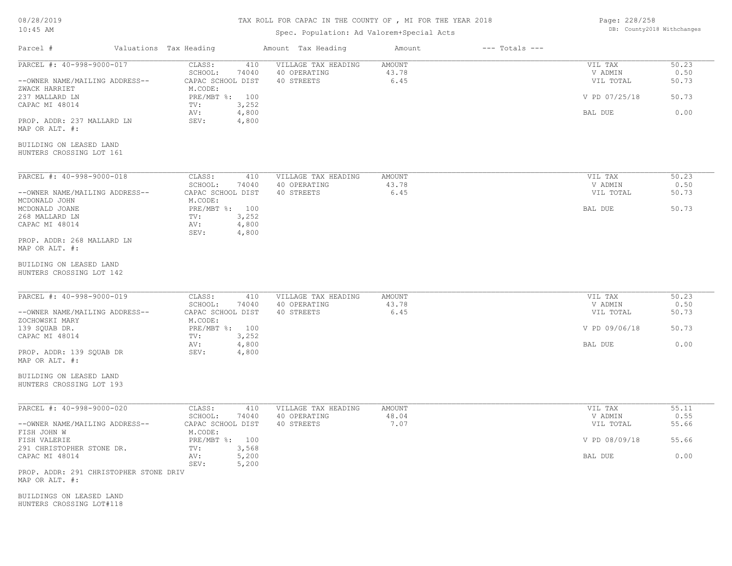# TAX ROLL FOR CAPAC IN THE COUNTY OF , MI FOR THE YEAR 2018

## Spec. Population: Ad Valorem+Special Acts

Page: 228/258 DB: County2018 Withchanges

| Parcel #                                                                     | Valuations Tax Heading |                                                                            | Amount Tax Heading                                | Amount                         | $---$ Totals $---$ |                                 |                        |
|------------------------------------------------------------------------------|------------------------|----------------------------------------------------------------------------|---------------------------------------------------|--------------------------------|--------------------|---------------------------------|------------------------|
| PARCEL #: 40-998-9000-017<br>--OWNER NAME/MAILING ADDRESS--<br>ZWACK HARRIET |                        | CLASS:<br>410<br>SCHOOL:<br>74040<br>CAPAC SCHOOL DIST<br>M.CODE:          | VILLAGE TAX HEADING<br>40 OPERATING<br>40 STREETS | <b>AMOUNT</b><br>43.78<br>6.45 |                    | VIL TAX<br>V ADMIN<br>VIL TOTAL | 50.23<br>0.50<br>50.73 |
| 237 MALLARD LN                                                               |                        | PRE/MBT %: 100                                                             |                                                   |                                |                    | V PD 07/25/18                   | 50.73                  |
| CAPAC MI 48014<br>PROP. ADDR: 237 MALLARD LN<br>MAP OR ALT. #:               |                        | 3,252<br>TV:<br>4,800<br>AV:<br>SEV:<br>4,800                              |                                                   |                                |                    | BAL DUE                         | 0.00                   |
| BUILDING ON LEASED LAND<br>HUNTERS CROSSING LOT 161                          |                        |                                                                            |                                                   |                                |                    |                                 |                        |
| PARCEL #: 40-998-9000-018<br>--OWNER NAME/MAILING ADDRESS--                  |                        | CLASS:<br>410<br>SCHOOL:<br>74040<br>CAPAC SCHOOL DIST                     | VILLAGE TAX HEADING<br>40 OPERATING<br>40 STREETS | <b>AMOUNT</b><br>43.78<br>6.45 |                    | VIL TAX<br>V ADMIN<br>VIL TOTAL | 50.23<br>0.50<br>50.73 |
| MCDONALD JOHN<br>MCDONALD JOANE<br>268 MALLARD LN<br>CAPAC MI 48014          |                        | M.CODE:<br>PRE/MBT %: 100<br>3,252<br>TV:<br>4,800<br>AV:<br>SEV:<br>4,800 |                                                   |                                |                    | BAL DUE                         | 50.73                  |
| PROP. ADDR: 268 MALLARD LN<br>MAP OR ALT. #:                                 |                        |                                                                            |                                                   |                                |                    |                                 |                        |
| BUILDING ON LEASED LAND<br>HUNTERS CROSSING LOT 142                          |                        |                                                                            |                                                   |                                |                    |                                 |                        |
| PARCEL #: 40-998-9000-019<br>--OWNER NAME/MAILING ADDRESS--                  |                        | CLASS:<br>410<br>SCHOOL:<br>74040<br>CAPAC SCHOOL DIST                     | VILLAGE TAX HEADING<br>40 OPERATING<br>40 STREETS | AMOUNT<br>43.78<br>6.45        |                    | VIL TAX<br>V ADMIN<br>VIL TOTAL | 50.23<br>0.50<br>50.73 |
| ZOCHOWSKI MARY<br>139 SQUAB DR.                                              |                        | M.CODE:<br>PRE/MBT %: 100                                                  |                                                   |                                |                    | V PD 09/06/18                   | 50.73                  |
| CAPAC MI 48014<br>PROP. ADDR: 139 SQUAB DR<br>MAP OR ALT. #:                 |                        | 3,252<br>TV:<br>4,800<br>AV:<br>SEV:<br>4,800                              |                                                   |                                |                    | BAL DUE                         | 0.00                   |
| BUILDING ON LEASED LAND<br>HUNTERS CROSSING LOT 193                          |                        |                                                                            |                                                   |                                |                    |                                 |                        |
| PARCEL #: 40-998-9000-020                                                    |                        | CLASS:<br>410<br>SCHOOL:<br>74040                                          | VILLAGE TAX HEADING<br>40 OPERATING               | <b>AMOUNT</b><br>48.04         |                    | VIL TAX<br>V ADMIN              | 55.11<br>0.55          |
| --OWNER NAME/MAILING ADDRESS--<br>FISH JOHN W<br>FISH VALERIE                |                        | CAPAC SCHOOL DIST<br>M.CODE:<br>PRE/MBT %: 100                             | 40 STREETS                                        | 7.07                           |                    | VIL TOTAL<br>V PD 08/09/18      | 55.66<br>55.66         |
| 291 CHRISTOPHER STONE DR.<br>CAPAC MI 48014                                  |                        | TV:<br>3,568<br>5,200<br>AV:                                               |                                                   |                                |                    | BAL DUE                         | 0.00                   |
| PROP. ADDR: 291 CHRISTOPHER STONE DRIV<br>MAP OR ALT. #:                     |                        | SEV:<br>5,200                                                              |                                                   |                                |                    |                                 |                        |
| BUILDINGS ON LEASED LAND<br>HUNTERS CROSSING LOT#118                         |                        |                                                                            |                                                   |                                |                    |                                 |                        |
|                                                                              |                        |                                                                            |                                                   |                                |                    |                                 |                        |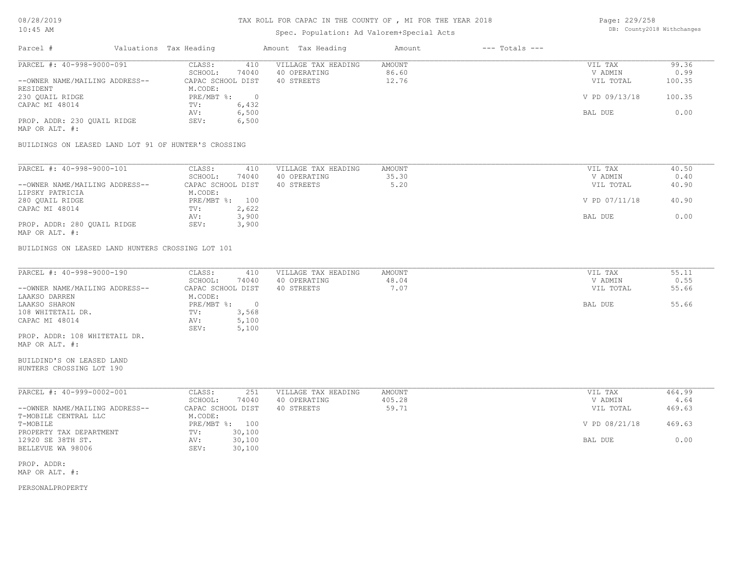## Spec. Population: Ad Valorem+Special Acts

| Page: 229/258 |                            |
|---------------|----------------------------|
|               | DB: County2018 Withchanges |

| Parcel #                       | Valuations Tax Heading |       | Amount Tax Heading  | Amount | $---$ Totals $---$ |               |        |
|--------------------------------|------------------------|-------|---------------------|--------|--------------------|---------------|--------|
| PARCEL #: 40-998-9000-091      | CLASS:                 | 410   | VILLAGE TAX HEADING | AMOUNT |                    | VIL TAX       | 99.36  |
|                                | SCHOOL:                | 74040 | 40 OPERATING        | 86.60  |                    | V ADMIN       | 0.99   |
| --OWNER NAME/MAILING ADDRESS-- | CAPAC SCHOOL DIST      |       | 40 STREETS          | 12.76  |                    | VIL TOTAL     | 100.35 |
| RESIDENT                       | M.CODE:                |       |                     |        |                    |               |        |
| 230 QUAIL RIDGE                | PRE/MBT %:             |       |                     |        |                    | V PD 09/13/18 | 100.35 |
| CAPAC MI 48014                 | TV:                    | 6,432 |                     |        |                    |               |        |
|                                | AV:                    | 6,500 |                     |        |                    | BAL DUE       | 0.00   |
| PROP. ADDR: 230 OUAIL RIDGE    | SEV:                   | 6,500 |                     |        |                    |               |        |
| MAP OR ALT. #:                 |                        |       |                     |        |                    |               |        |
|                                |                        |       |                     |        |                    |               |        |

BUILDINGS ON LEASED LAND LOT 91 OF HUNTER'S CROSSING

| PARCEL #: 40-998-9000-101      | CLASS:            | 410<br>VILLAGE TAX HEADING | AMOUNT | VIL TAX       | 40.50 |
|--------------------------------|-------------------|----------------------------|--------|---------------|-------|
|                                | SCHOOL:           | 74040<br>40 OPERATING      | 35.30  | V ADMIN       | 0.40  |
| --OWNER NAME/MAILING ADDRESS-- | CAPAC SCHOOL DIST | 40 STREETS                 | 5.20   | VIL TOTAL     | 40.90 |
| LIPSKY PATRICIA                | M.CODE:           |                            |        |               |       |
| 280 QUAIL RIDGE                | PRE/MBT %:        | 100                        |        | V PD 07/11/18 | 40.90 |
| CAPAC MI 48014                 | TV:               | 2,622                      |        |               |       |
|                                | AV:               | 3,900                      |        | BAL DUE       | 0.00  |
| PROP. ADDR: 280 OUAIL RIDGE    | SEV:              | 3,900                      |        |               |       |
| MAP OR ALT. #:                 |                   |                            |        |               |       |

BUILDINGS ON LEASED LAND HUNTERS CROSSING LOT 101

| PARCEL #: 40-998-9000-190      | CLASS:     | 410               | VILLAGE TAX HEADING | AMOUNT | VIL TAX   | 55.11 |
|--------------------------------|------------|-------------------|---------------------|--------|-----------|-------|
|                                | SCHOOL:    | 74040             | 40 OPERATING        | 48.04  | V ADMIN   | 0.55  |
| --OWNER NAME/MAILING ADDRESS-- |            | CAPAC SCHOOL DIST | 40 STREETS          | 1.07   | VIL TOTAL | 55.66 |
| LAAKSO DARREN                  | M.CODE:    |                   |                     |        |           |       |
| LAAKSO SHARON                  | PRE/MBT %: |                   |                     |        | BAL DUE   | 55.66 |
| 108 WHITETAIL DR.              | TV:        | 3,568             |                     |        |           |       |
| CAPAC MI 48014                 | AV:        | 5,100             |                     |        |           |       |
|                                | SEV:       | 5,100             |                     |        |           |       |
| PROP. ADDR: 108 WHITETAIL DR.  |            |                   |                     |        |           |       |
| MAP OR ALT. #:                 |            |                   |                     |        |           |       |

HUNTERS CROSSING LOT 190 BUILDIND'S ON LEASED LAND

| PARCEL #: 40-999-0002-001      | CLASS:       | 251               | VILLAGE TAX HEADING | AMOUNT | VIL TAX       | 464.99 |
|--------------------------------|--------------|-------------------|---------------------|--------|---------------|--------|
|                                | SCHOOL:      | 74040             | 40 OPERATING        | 405.28 | V ADMIN       | 4.64   |
| --OWNER NAME/MAILING ADDRESS-- |              | CAPAC SCHOOL DIST | 40 STREETS          | 59.71  | VIL TOTAL     | 469.63 |
| T-MOBILE CENTRAL LLC           | M.CODE:      |                   |                     |        |               |        |
| T-MOBILE                       | $PRE/MBT$ %: | 100               |                     |        | V PD 08/21/18 | 469.63 |
| PROPERTY TAX DEPARTMENT        | TV:          | 30,100            |                     |        |               |        |
| 12920 SE 38TH ST.              | AV:          | 30,100            |                     |        | BAL DUE       | 0.00   |
| BELLEVUE WA 98006              | SEV:         | 30,100            |                     |        |               |        |

MAP OR ALT. #: PROP. ADDR: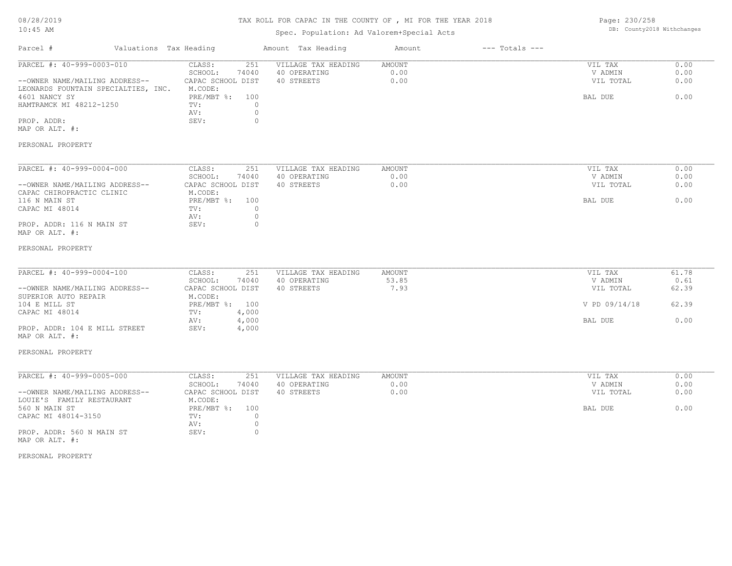| 08/28/2019 |  |
|------------|--|
| $10:45$ AM |  |

## Spec. Population: Ad Valorem+Special Acts

| Page: 230/258 |                            |
|---------------|----------------------------|
|               | DB: County2018 Withchanges |

| Parcel #                                                                                                                                                                        | Valuations Tax Heading |                                                                                                       |                                                | Amount Tax Heading                                | Amount                         | $---$ Totals $---$ |                                                             |                                         |
|---------------------------------------------------------------------------------------------------------------------------------------------------------------------------------|------------------------|-------------------------------------------------------------------------------------------------------|------------------------------------------------|---------------------------------------------------|--------------------------------|--------------------|-------------------------------------------------------------|-----------------------------------------|
| PARCEL #: 40-999-0003-010<br>--OWNER NAME/MAILING ADDRESS--<br>LEONARDS FOUNTAIN SPECIALTIES, INC.<br>4601 NANCY SY<br>HAMTRAMCK MI 48212-1250<br>PROP. ADDR:<br>MAP OR ALT. #: |                        | CLASS:<br>SCHOOL:<br>CAPAC SCHOOL DIST<br>M.CODE:<br>PRE/MBT %: 100<br>TV:<br>AV:<br>SEV:             | 251<br>74040<br>$\circ$<br>$\circ$<br>$\circ$  | VILLAGE TAX HEADING<br>40 OPERATING<br>40 STREETS | AMOUNT<br>0.00<br>0.00         |                    | VIL TAX<br>V ADMIN<br>VIL TOTAL<br>BAL DUE                  | 0.00<br>0.00<br>0.00<br>0.00            |
| PERSONAL PROPERTY                                                                                                                                                               |                        |                                                                                                       |                                                |                                                   |                                |                    |                                                             |                                         |
| PARCEL #: 40-999-0004-000<br>--OWNER NAME/MAILING ADDRESS--<br>CAPAC CHIROPRACTIC CLINIC<br>116 N MAIN ST<br>CAPAC MI 48014<br>PROP. ADDR: 116 N MAIN ST<br>MAP OR ALT. #:      |                        | CLASS:<br>SCHOOL:<br>CAPAC SCHOOL DIST<br>M.CODE:<br>PRE/MBT %: 100<br>TV:<br>AV:<br>SEV:             | 251<br>74040<br>$\circ$<br>$\circ$<br>$\Omega$ | VILLAGE TAX HEADING<br>40 OPERATING<br>40 STREETS | <b>AMOUNT</b><br>0.00<br>0.00  |                    | VIL TAX<br>V ADMIN<br>VIL TOTAL<br>BAL DUE                  | 0.00<br>0.00<br>0.00<br>0.00            |
| PERSONAL PROPERTY                                                                                                                                                               |                        |                                                                                                       |                                                |                                                   |                                |                    |                                                             |                                         |
| PARCEL #: 40-999-0004-100<br>--OWNER NAME/MAILING ADDRESS--<br>SUPERIOR AUTO REPAIR<br>104 E MILL ST<br>CAPAC MI 48014<br>PROP. ADDR: 104 E MILL STREET<br>MAP OR ALT. #:       |                        | CLASS:<br>SCHOOL:<br>CAPAC SCHOOL DIST<br>M.CODE:<br>PRE/MBT %: 100<br>$\texttt{TV}$ :<br>AV:<br>SEV: | 251<br>74040<br>4,000<br>4,000<br>4,000        | VILLAGE TAX HEADING<br>40 OPERATING<br>40 STREETS | <b>AMOUNT</b><br>53.85<br>7.93 |                    | VIL TAX<br>V ADMIN<br>VIL TOTAL<br>V PD 09/14/18<br>BAL DUE | 61.78<br>0.61<br>62.39<br>62.39<br>0.00 |
| PERSONAL PROPERTY                                                                                                                                                               |                        |                                                                                                       |                                                |                                                   |                                |                    |                                                             |                                         |
| PARCEL #: 40-999-0005-000<br>--OWNER NAME/MAILING ADDRESS--<br>LOUIE'S FAMILY RESTAURANT<br>560 N MAIN ST<br>CAPAC MI 48014-3150<br>PROP. ADDR: 560 N MAIN ST<br>MAP OR ALT. #: |                        | CLASS:<br>SCHOOL:<br>CAPAC SCHOOL DIST<br>M.CODE:<br>PRE/MBT %: 100<br>TV:<br>AV:<br>SEV:             | 251<br>74040<br>$\circ$<br>$\circ$<br>$\circ$  | VILLAGE TAX HEADING<br>40 OPERATING<br>40 STREETS | <b>AMOUNT</b><br>0.00<br>0.00  |                    | VIL TAX<br>V ADMIN<br>VIL TOTAL<br>BAL DUE                  | 0.00<br>0.00<br>0.00<br>0.00            |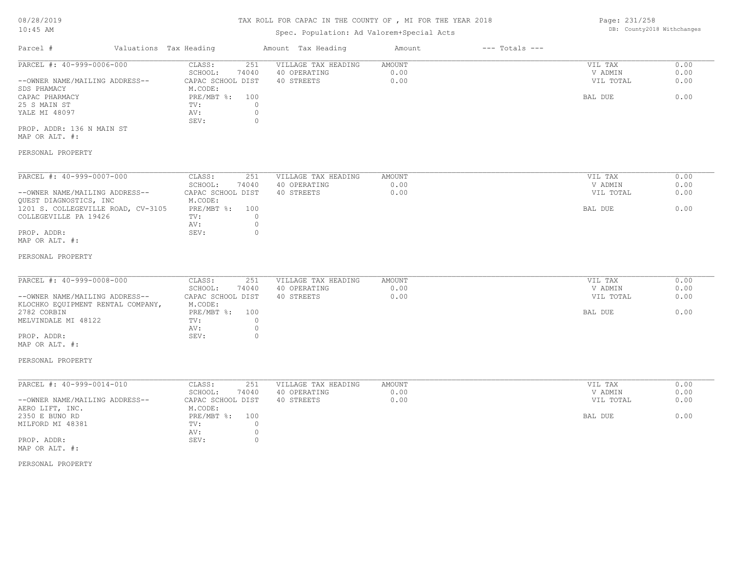# Spec. Population: Ad Valorem+Special Acts

Page: 231/258 DB: County2018 Withchanges

| Parcel #                       | Valuations Tax Heading |       | Amount Tax Heading  | Amount | $---$ Totals $---$ |           |      |
|--------------------------------|------------------------|-------|---------------------|--------|--------------------|-----------|------|
| PARCEL #: 40-999-0006-000      | CLASS:                 | 251   | VILLAGE TAX HEADING | AMOUNT |                    | VIL TAX   | 0.00 |
|                                | SCHOOL:                | 74040 | 40 OPERATING        | 0.00   |                    | V ADMIN   | 0.00 |
| --OWNER NAME/MAILING ADDRESS-- | CAPAC SCHOOL DIST      |       | 40 STREETS          | 0.00   |                    | VIL TOTAL | 0.00 |
| SDS PHAMACY                    | M.CODE:                |       |                     |        |                    |           |      |
| CAPAC PHARMACY                 | PRE/MBT %: 100         |       |                     |        |                    | BAL DUE   | 0.00 |
| 25 S MAIN ST                   | TV:                    |       |                     |        |                    |           |      |
| YALE MI 48097                  | AV:                    |       |                     |        |                    |           |      |
|                                | SEV:                   |       |                     |        |                    |           |      |
| PROP. ADDR: 136 N MAIN ST      |                        |       |                     |        |                    |           |      |
| MAP OR ALT. #:                 |                        |       |                     |        |                    |           |      |

### PERSONAL PROPERTY

| PARCEL #: 40-999-0007-000          | CLASS:            | 251   | VILLAGE TAX HEADING | AMOUNT | VIL TAX   | 0.00 |
|------------------------------------|-------------------|-------|---------------------|--------|-----------|------|
|                                    | SCHOOL:           | 74040 | 40 OPERATING        | 0.00   | V ADMIN   | 0.00 |
| --OWNER NAME/MAILING ADDRESS--     | CAPAC SCHOOL DIST |       | 40 STREETS          | 0.00   | VIL TOTAL | 0.00 |
| OUEST DIAGNOSTICS, INC             | M.CODE:           |       |                     |        |           |      |
| 1201 S. COLLEGEVILLE ROAD, CV-3105 | $PRE/MBT$ %:      | 100   |                     |        | BAL DUE   | 0.00 |
| COLLEGEVILLE PA 19426              | TV:               |       |                     |        |           |      |
|                                    | AV:               |       |                     |        |           |      |
| PROP. ADDR:                        | SEV:              |       |                     |        |           |      |
|                                    |                   |       |                     |        |           |      |

## MAP OR ALT. #:

#### PERSONAL PROPERTY

| PARCEL #: 40-999-0008-000         | CLASS:            | 251   | VILLAGE TAX HEADING | AMOUNT | VIL TAX   | 0.00 |
|-----------------------------------|-------------------|-------|---------------------|--------|-----------|------|
|                                   | SCHOOL:           | 74040 | 40 OPERATING        | 0.00   | V ADMIN   | 0.00 |
| --OWNER NAME/MAILING ADDRESS--    | CAPAC SCHOOL DIST |       | 40 STREETS          | 0.00   | VIL TOTAL | 0.00 |
| KLOCHKO EQUIPMENT RENTAL COMPANY, | M.CODE:           |       |                     |        |           |      |
| 2782 CORBIN                       | PRE/MBT %: 100    |       |                     |        | BAL DUE   | 0.00 |
| MELVINDALE MI 48122               | TV:               |       |                     |        |           |      |
|                                   | AV:               |       |                     |        |           |      |
| PROP. ADDR:                       | SEV:              |       |                     |        |           |      |

# MAP OR ALT. #:

#### PERSONAL PROPERTY

| PARCEL #: 40-999-0014-010      | CLASS:<br>251     | VILLAGE TAX HEADING | AMOUNT | VIL TAX   | 0.00 |
|--------------------------------|-------------------|---------------------|--------|-----------|------|
|                                | SCHOOL:<br>74040  | 40 OPERATING        | 0.00   | V ADMIN   | 0.00 |
| --OWNER NAME/MAILING ADDRESS-- | CAPAC SCHOOL DIST | 40 STREETS          | 0.00   | VIL TOTAL | 0.00 |
| AERO LIFT, INC.                | M.CODE:           |                     |        |           |      |
| 2350 E BUNO RD                 | PRE/MBT %: 100    |                     |        | BAL DUE   | 0.00 |
| MILFORD MI 48381               | TV:               |                     |        |           |      |
|                                | AV:               |                     |        |           |      |
| PROP. ADDR:                    | SEV:              |                     |        |           |      |
| MAP OR ALT. #:                 |                   |                     |        |           |      |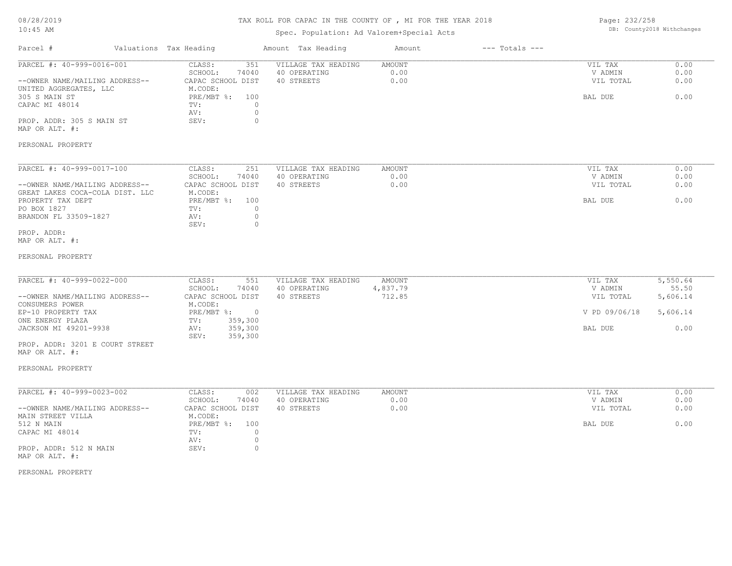## TAX ROLL FOR CAPAC IN THE COUNTY OF , MI FOR THE YEAR 2018

## Spec. Population: Ad Valorem+Special Acts

Page: 232/258 DB: County2018 Withchanges

| Parcel #                                                                                                                                                                                               | Valuations Tax Heading                                                                                                                     | Amount Tax Heading                                | Amount                       | $---$ Totals $---$ |                                                             |                                                   |
|--------------------------------------------------------------------------------------------------------------------------------------------------------------------------------------------------------|--------------------------------------------------------------------------------------------------------------------------------------------|---------------------------------------------------|------------------------------|--------------------|-------------------------------------------------------------|---------------------------------------------------|
| PARCEL #: 40-999-0016-001<br>--OWNER NAME/MAILING ADDRESS--<br>UNITED AGGREGATES, LLC<br>305 S MAIN ST<br>CAPAC MI 48014<br>PROP. ADDR: 305 S MAIN ST<br>MAP OR ALT. #:                                | CLASS:<br>351<br>SCHOOL:<br>74040<br>CAPAC SCHOOL DIST<br>M.CODE:<br>PRE/MBT %: 100<br>$\circ$<br>TV:<br>$\circ$<br>AV:<br>$\circ$<br>SEV: | VILLAGE TAX HEADING<br>40 OPERATING<br>40 STREETS | AMOUNT<br>0.00<br>0.00       |                    | VIL TAX<br>V ADMIN<br>VIL TOTAL<br>BAL DUE                  | 0.00<br>0.00<br>0.00<br>0.00                      |
| PERSONAL PROPERTY                                                                                                                                                                                      |                                                                                                                                            |                                                   |                              |                    |                                                             |                                                   |
| PARCEL #: 40-999-0017-100<br>--OWNER NAME/MAILING ADDRESS--<br>GREAT LAKES COCA-COLA DIST. LLC<br>PROPERTY TAX DEPT<br>PO BOX 1827<br>BRANDON FL 33509-1827<br>PROP. ADDR:<br>MAP OR ALT. #:           | CLASS:<br>251<br>SCHOOL:<br>74040<br>CAPAC SCHOOL DIST<br>M.CODE:<br>PRE/MBT %: 100<br>$\circ$<br>TV:<br>$\circ$<br>AV:<br>SEV:<br>$\circ$ | VILLAGE TAX HEADING<br>40 OPERATING<br>40 STREETS | AMOUNT<br>0.00<br>0.00       |                    | VIL TAX<br>V ADMIN<br>VIL TOTAL<br>BAL DUE                  | 0.00<br>0.00<br>0.00<br>0.00                      |
| PERSONAL PROPERTY                                                                                                                                                                                      |                                                                                                                                            |                                                   |                              |                    |                                                             |                                                   |
| PARCEL #: 40-999-0022-000<br>--OWNER NAME/MAILING ADDRESS--<br>CONSUMERS POWER<br>EP-10 PROPERTY TAX<br>ONE ENERGY PLAZA<br>JACKSON MI 49201-9938<br>PROP. ADDR: 3201 E COURT STREET<br>MAP OR ALT. #: | CLASS:<br>551<br>SCHOOL:<br>74040<br>CAPAC SCHOOL DIST<br>M.CODE:<br>PRE/MBT %: 0<br>359,300<br>TV:<br>359,300<br>AV:<br>SEV:<br>359,300   | VILLAGE TAX HEADING<br>40 OPERATING<br>40 STREETS | AMOUNT<br>4,837.79<br>712.85 |                    | VIL TAX<br>V ADMIN<br>VIL TOTAL<br>V PD 09/06/18<br>BAL DUE | 5,550.64<br>55.50<br>5,606.14<br>5,606.14<br>0.00 |
| PERSONAL PROPERTY                                                                                                                                                                                      |                                                                                                                                            |                                                   |                              |                    |                                                             |                                                   |
| PARCEL #: 40-999-0023-002<br>--OWNER NAME/MAILING ADDRESS--<br>MAIN STREET VILLA<br>512 N MAIN<br>CAPAC MI 48014<br>PROP. ADDR: 512 N MAIN<br>MAP OR ALT. #:                                           | CLASS:<br>002<br>SCHOOL:<br>74040<br>CAPAC SCHOOL DIST<br>M.CODE:<br>PRE/MBT %: 100<br>$\circ$<br>TV:<br>$\circ$<br>AV:<br>SEV:<br>$\circ$ | VILLAGE TAX HEADING<br>40 OPERATING<br>40 STREETS | AMOUNT<br>0.00<br>0.00       |                    | VIL TAX<br>V ADMIN<br>VIL TOTAL<br>BAL DUE                  | 0.00<br>0.00<br>0.00<br>0.00                      |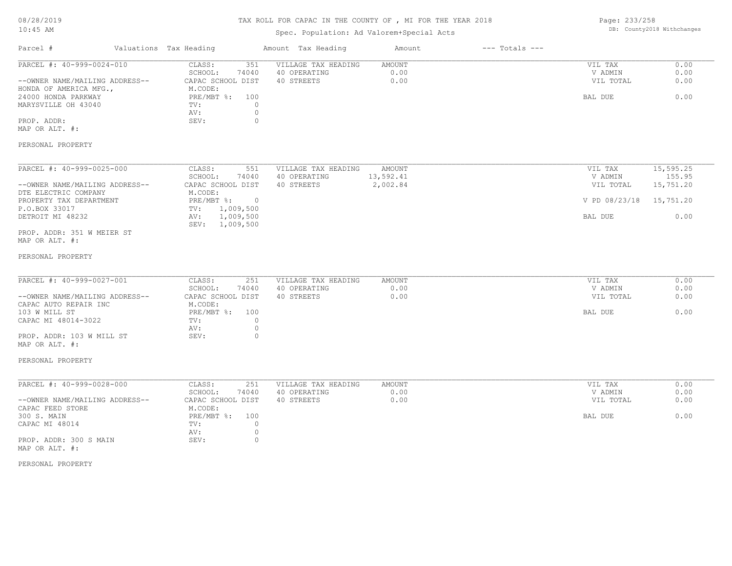# TAX ROLL FOR CAPAC IN THE COUNTY OF , MI FOR THE YEAR 2018

## Spec. Population: Ad Valorem+Special Acts

Page: 233/258 DB: County2018 Withchanges

| Parcel #                                                                              | Valuations Tax Heading                                            | Amount Tax Heading                                | Amount                 | $---$ Totals $---$ |                                 |                      |
|---------------------------------------------------------------------------------------|-------------------------------------------------------------------|---------------------------------------------------|------------------------|--------------------|---------------------------------|----------------------|
| PARCEL #: 40-999-0024-010<br>--OWNER NAME/MAILING ADDRESS--<br>HONDA OF AMERICA MFG., | CLASS:<br>351<br>SCHOOL:<br>74040<br>CAPAC SCHOOL DIST<br>M.CODE: | VILLAGE TAX HEADING<br>40 OPERATING<br>40 STREETS | AMOUNT<br>0.00<br>0.00 |                    | VIL TAX<br>V ADMIN<br>VIL TOTAL | 0.00<br>0.00<br>0.00 |
| 24000 HONDA PARKWAY<br>MARYSVILLE OH 43040                                            | $PRE/MBT$ %:<br>100<br>$\mathbf{0}$<br>TV:<br>AV:<br>$\circ$      |                                                   |                        |                    | BAL DUE                         | 0.00                 |
| PROP. ADDR:<br>MAP OR ALT. #:                                                         | $\circ$<br>SEV:                                                   |                                                   |                        |                    |                                 |                      |
| PERSONAL PROPERTY                                                                     |                                                                   |                                                   |                        |                    |                                 |                      |
| PARCEL #: 40-999-0025-000                                                             | CLASS:<br>551<br>SCHOOL:<br>74040                                 | VILLAGE TAX HEADING<br>40 OPERATING               | AMOUNT<br>13,592.41    |                    | VIL TAX<br>V ADMIN              | 15,595.25<br>155.95  |
| --OWNER NAME/MAILING ADDRESS--<br>DTE ELECTRIC COMPANY                                | CAPAC SCHOOL DIST<br>M.CODE:                                      | 40 STREETS                                        | 2,002.84               |                    | VIL TOTAL                       | 15,751.20            |
| PROPERTY TAX DEPARTMENT<br>P.O.BOX 33017                                              | PRE/MBT %: 0<br>1,009,500<br>TV:                                  |                                                   |                        |                    | V PD 08/23/18                   | 15,751.20            |
| DETROIT MI 48232                                                                      | 1,009,500<br>AV:<br>SEV: 1,009,500                                |                                                   |                        |                    | BAL DUE                         | 0.00                 |
| PROP. ADDR: 351 W MEIER ST<br>MAP OR ALT. #:                                          |                                                                   |                                                   |                        |                    |                                 |                      |
| PERSONAL PROPERTY                                                                     |                                                                   |                                                   |                        |                    |                                 |                      |
| PARCEL #: 40-999-0027-001                                                             | CLASS:<br>251                                                     | VILLAGE TAX HEADING                               | AMOUNT                 |                    | VIL TAX                         | 0.00                 |
| --OWNER NAME/MAILING ADDRESS--                                                        | SCHOOL:<br>74040<br>CAPAC SCHOOL DIST                             | 40 OPERATING<br>40 STREETS                        | 0.00<br>0.00           |                    | V ADMIN<br>VIL TOTAL            | 0.00<br>0.00         |
| CAPAC AUTO REPAIR INC<br>103 W MILL ST<br>CAPAC MI 48014-3022                         | M.CODE:<br>$PRE/MBT$ $\frac{1}{6}$ :<br>100<br>$\circ$<br>TV:     |                                                   |                        |                    | BAL DUE                         | 0.00                 |
| PROP. ADDR: 103 W MILL ST<br>MAP OR ALT. #:                                           | AV:<br>$\circ$<br>$\circ$<br>SEV:                                 |                                                   |                        |                    |                                 |                      |
| PERSONAL PROPERTY                                                                     |                                                                   |                                                   |                        |                    |                                 |                      |
| PARCEL #: 40-999-0028-000                                                             | CLASS:<br>251<br>SCHOOL:<br>74040                                 | VILLAGE TAX HEADING<br>40 OPERATING               | AMOUNT<br>0.00         |                    | VIL TAX<br>V ADMIN              | 0.00<br>0.00         |
| --OWNER NAME/MAILING ADDRESS--<br>CAPAC FEED STORE                                    | CAPAC SCHOOL DIST<br>M.CODE:                                      | 40 STREETS                                        | 0.00                   |                    | VIL TOTAL                       | 0.00                 |
| 300 S. MAIN<br>CAPAC MI 48014                                                         | $PRE/MBT$ %:<br>100<br>$\mathbf{0}$<br>TV:<br>$\circ$<br>AV:      |                                                   |                        |                    | BAL DUE                         | 0.00                 |
| PROP. ADDR: 300 S MAIN<br>MAP OR ALT. #:                                              | $\circ$<br>SEV:                                                   |                                                   |                        |                    |                                 |                      |
| PERSONAL PROPERTY                                                                     |                                                                   |                                                   |                        |                    |                                 |                      |
|                                                                                       |                                                                   |                                                   |                        |                    |                                 |                      |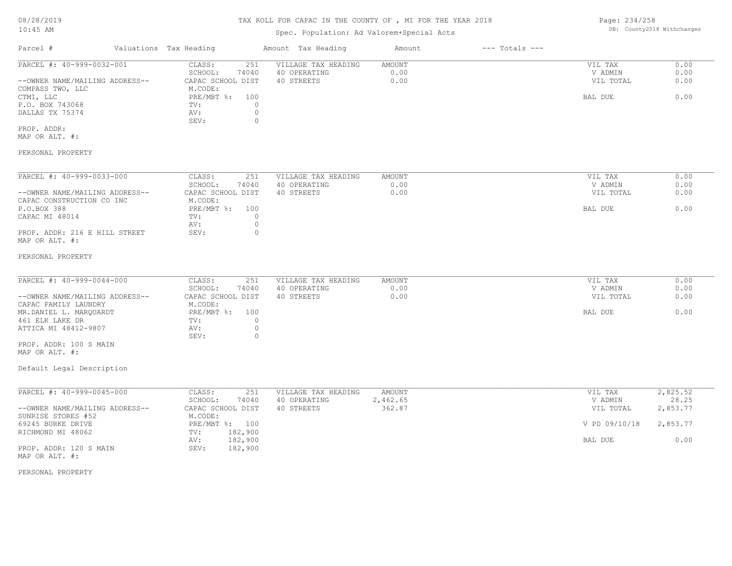# Spec. Population: Ad Valorem+Special Acts

Page: 234/258 DB: County2018 Withchanges

| Parcel #                       | Valuations Tax Heading |       | Amount Tax Heading  | Amount | $---$ Totals $---$ |           |      |
|--------------------------------|------------------------|-------|---------------------|--------|--------------------|-----------|------|
| PARCEL #: 40-999-0032-001      | CLASS:                 | 251   | VILLAGE TAX HEADING | AMOUNT |                    | VIL TAX   | 0.00 |
|                                | SCHOOL:                | 74040 | 40 OPERATING        | 0.00   |                    | V ADMIN   | 0.00 |
| --OWNER NAME/MAILING ADDRESS-- | CAPAC SCHOOL DIST      |       | 40 STREETS          | 0.00   |                    | VIL TOTAL | 0.00 |
| COMPASS TWO, LLC               | M.CODE:                |       |                     |        |                    |           |      |
| CTMI, LLC                      | PRE/MBT %: 100         |       |                     |        |                    | BAL DUE   | 0.00 |
| P.O. BOX 743068                | TV:                    |       |                     |        |                    |           |      |
| DALLAS TX 75374                | AV:                    |       |                     |        |                    |           |      |
|                                | SEV:                   |       |                     |        |                    |           |      |
| PROP. ADDR:                    |                        |       |                     |        |                    |           |      |
| MAP OR ALT. #:                 |                        |       |                     |        |                    |           |      |
|                                |                        |       |                     |        |                    |           |      |
| PERSONAL PROPERTY              |                        |       |                     |        |                    |           |      |

| PARCEL #: 40-999-0033-000      | CLASS:            | 251   | VILLAGE TAX HEADING | AMOUNT | VIL TAX   | 0.00 |
|--------------------------------|-------------------|-------|---------------------|--------|-----------|------|
|                                | SCHOOL:           | 74040 | 40 OPERATING        | 0.00   | V ADMIN   | 0.00 |
| --OWNER NAME/MAILING ADDRESS-- | CAPAC SCHOOL DIST |       | 40 STREETS          | 0.00   | VIL TOTAL | 0.00 |
| CAPAC CONSTRUCTION CO INC      | M.CODE:           |       |                     |        |           |      |
| P.O.BOX 388                    | $PRE/MBT$ %:      | 100   |                     |        | BAL DUE   | 0.00 |
| CAPAC MI 48014                 | TV:               |       |                     |        |           |      |
|                                | AV:               |       |                     |        |           |      |
| PROP. ADDR: 216 E HILL STREET  | SEV:              |       |                     |        |           |      |
| MAP OR ALT. #:                 |                   |       |                     |        |           |      |

#### PERSONAL PROPERTY

| PARCEL #: 40-999-0044-000      | CLASS:<br>251     | VILLAGE TAX HEADING | AMOUNT | VIL TAX   | 0.00 |
|--------------------------------|-------------------|---------------------|--------|-----------|------|
|                                | 74040<br>SCHOOL:  | 40 OPERATING        | 0.00   | V ADMIN   | 0.00 |
| --OWNER NAME/MAILING ADDRESS-- | CAPAC SCHOOL DIST | 40 STREETS          | 0.00   | VIL TOTAL | 0.00 |
| CAPAC FAMILY LAUNDRY           | M.CODE:           |                     |        |           |      |
| MR.DANIEL L. MAROUARDT         | PRE/MBT %: 100    |                     |        | BAL DUE   | 0.00 |
| 461 ELK LAKE DR                | TV:               |                     |        |           |      |
| ATTICA MI 48412-9807           | AV:               |                     |        |           |      |
|                                | SEV:              |                     |        |           |      |
| PROP. ADDR: 100 S MAIN         |                   |                     |        |           |      |

MAP OR ALT. #:

### Default Legal Description

| PARCEL #: 40-999-0045-000      | CLASS:            | 251     | VILLAGE TAX HEADING | AMOUNT   | VIL TAX       | 2,825.52 |
|--------------------------------|-------------------|---------|---------------------|----------|---------------|----------|
|                                | SCHOOL:           | 74040   | 40 OPERATING        | 2,462.65 | V ADMIN       | 28.25    |
| --OWNER NAME/MAILING ADDRESS-- | CAPAC SCHOOL DIST |         | 40 STREETS          | 362.87   | VIL TOTAL     | 2,853.77 |
| SUNRISE STORES #52             | M.CODE:           |         |                     |          |               |          |
| 69245 BURKE DRIVE              | $PRE/MBT$ %:      | 100     |                     |          | V PD 09/10/18 | 2,853.77 |
| RICHMOND MI 48062              | TV:               | 182,900 |                     |          |               |          |
|                                | AV:               | 182,900 |                     |          | BAL DUE       | 0.00     |
| PROP. ADDR: 120 S MAIN         | SEV:              | 182,900 |                     |          |               |          |
| MAP OR ALT. #:                 |                   |         |                     |          |               |          |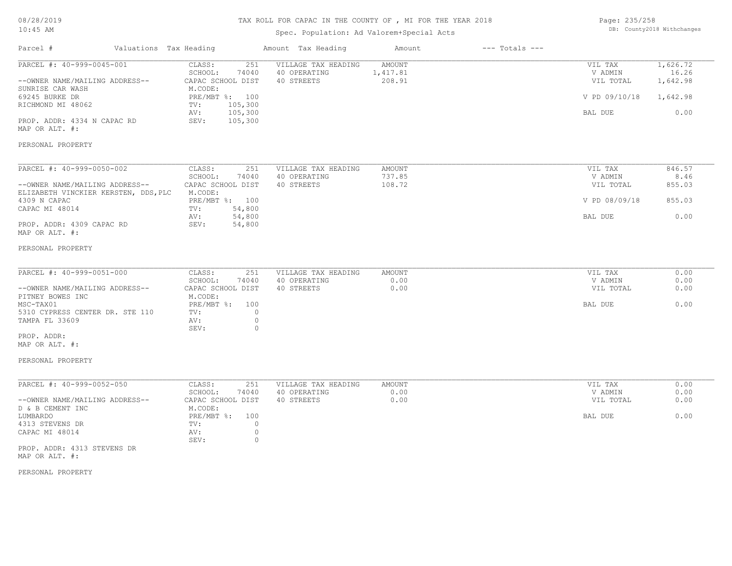# TAX ROLL FOR CAPAC IN THE COUNTY OF , MI FOR THE YEAR 2018

## Spec. Population: Ad Valorem+Special Acts

| Page: 235/258 |                            |
|---------------|----------------------------|
|               | DB: County2018 Withchanges |

| Parcel #                                                                                                                                              | Valuations Tax Heading                                                                                                                     | Amount Tax Heading                                | Amount                       | $---$ Totals $---$ |                                                             |                                                   |
|-------------------------------------------------------------------------------------------------------------------------------------------------------|--------------------------------------------------------------------------------------------------------------------------------------------|---------------------------------------------------|------------------------------|--------------------|-------------------------------------------------------------|---------------------------------------------------|
| PARCEL #: 40-999-0045-001<br>--OWNER NAME/MAILING ADDRESS--<br>SUNRISE CAR WASH<br>69245 BURKE DR<br>RICHMOND MI 48062<br>PROP. ADDR: 4334 N CAPAC RD | 251<br>CLASS:<br>SCHOOL:<br>74040<br>CAPAC SCHOOL DIST<br>M.CODE:<br>PRE/MBT %: 100<br>105,300<br>TV:<br>105,300<br>AV:<br>SEV:<br>105,300 | VILLAGE TAX HEADING<br>40 OPERATING<br>40 STREETS | AMOUNT<br>1,417.81<br>208.91 |                    | VIL TAX<br>V ADMIN<br>VIL TOTAL<br>V PD 09/10/18<br>BAL DUE | 1,626.72<br>16.26<br>1,642.98<br>1,642.98<br>0.00 |
| MAP OR ALT. #:<br>PERSONAL PROPERTY                                                                                                                   |                                                                                                                                            |                                                   |                              |                    |                                                             |                                                   |
| PARCEL #: 40-999-0050-002                                                                                                                             | CLASS:<br>251                                                                                                                              | VILLAGE TAX HEADING                               | <b>AMOUNT</b>                |                    | VIL TAX                                                     | 846.57                                            |
| --OWNER NAME/MAILING ADDRESS--                                                                                                                        | SCHOOL:<br>74040<br>CAPAC SCHOOL DIST                                                                                                      | 40 OPERATING<br>40 STREETS                        | 737.85<br>108.72             |                    | V ADMIN<br>VIL TOTAL                                        | 8.46<br>855.03                                    |
| ELIZABETH VINCKIER KERSTEN, DDS, PLC<br>4309 N CAPAC<br>CAPAC MI 48014                                                                                | M.CODE:<br>PRE/MBT %: 100<br>54,800<br>TV:                                                                                                 |                                                   |                              |                    | V PD 08/09/18                                               | 855.03                                            |
| PROP. ADDR: 4309 CAPAC RD<br>MAP OR ALT. #:                                                                                                           | 54,800<br>AV:<br>SEV:<br>54,800                                                                                                            |                                                   |                              |                    | BAL DUE                                                     | 0.00                                              |
| PERSONAL PROPERTY                                                                                                                                     |                                                                                                                                            |                                                   |                              |                    |                                                             |                                                   |
| PARCEL #: 40-999-0051-000                                                                                                                             | CLASS:<br>251                                                                                                                              | VILLAGE TAX HEADING                               | <b>AMOUNT</b>                |                    | VIL TAX                                                     | 0.00                                              |
| --OWNER NAME/MAILING ADDRESS--<br>PITNEY BOWES INC                                                                                                    | SCHOOL:<br>74040<br>CAPAC SCHOOL DIST<br>M.CODE:                                                                                           | 40 OPERATING<br>40 STREETS                        | 0.00<br>0.00                 |                    | V ADMIN<br>VIL TOTAL                                        | 0.00<br>0.00                                      |
| MSC-TAX01<br>5310 CYPRESS CENTER DR. STE 110<br>TAMPA FL 33609                                                                                        | $PRE/MBT$ $\div$<br>100<br>$\circ$<br>TV:<br>AV:<br>$\circ$<br>$\circ$<br>SEV:                                                             |                                                   |                              |                    | BAL DUE                                                     | 0.00                                              |
| PROP. ADDR:<br>MAP OR ALT. #:                                                                                                                         |                                                                                                                                            |                                                   |                              |                    |                                                             |                                                   |
| PERSONAL PROPERTY                                                                                                                                     |                                                                                                                                            |                                                   |                              |                    |                                                             |                                                   |
| PARCEL #: 40-999-0052-050                                                                                                                             | CLASS:<br>251<br>SCHOOL:<br>74040                                                                                                          | VILLAGE TAX HEADING<br>40 OPERATING               | AMOUNT<br>0.00               |                    | VIL TAX<br>V ADMIN                                          | 0.00<br>0.00                                      |
| --OWNER NAME/MAILING ADDRESS--<br>D & B CEMENT INC                                                                                                    | CAPAC SCHOOL DIST<br>M.CODE:                                                                                                               | 40 STREETS                                        | 0.00                         |                    | VIL TOTAL                                                   | 0.00                                              |
| LUMBARDO<br>4313 STEVENS DR<br>CAPAC MI 48014                                                                                                         | $PRE/MBT$ $\div$<br>100<br>$\circ$<br>TV:<br>$\circ$<br>AV:<br>$\circ$<br>SEV:                                                             |                                                   |                              |                    | BAL DUE                                                     | 0.00                                              |
| PROP. ADDR: 4313 STEVENS DR<br>MAP OR ALT. #:                                                                                                         |                                                                                                                                            |                                                   |                              |                    |                                                             |                                                   |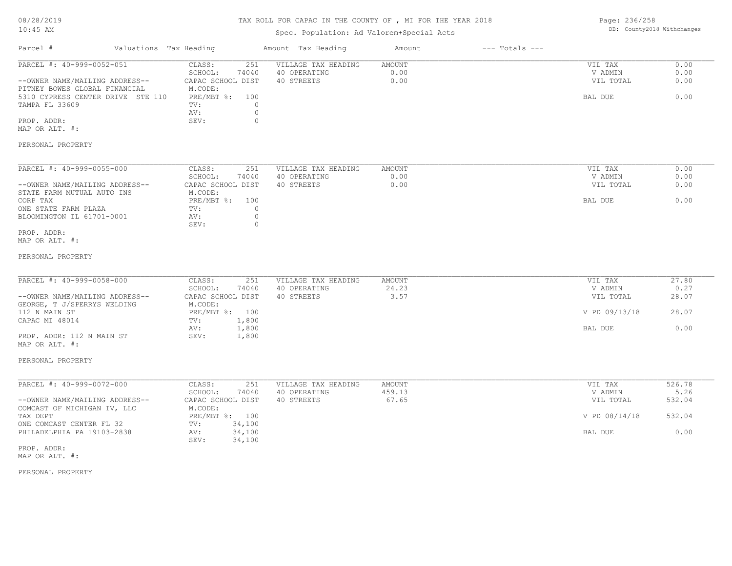| 08/28/2019 |  |
|------------|--|
| $10:45$ AM |  |

## Spec. Population: Ad Valorem+Special Acts

| Page: 236/258 |                            |
|---------------|----------------------------|
|               | DB: County2018 Withchanges |

| Parcel #                                                                                                                                            | Valuations Tax Heading |                                                                                            | Amount Tax Heading                                                             | Amount                  | $---$ Totals $---$ |                                            |                              |
|-----------------------------------------------------------------------------------------------------------------------------------------------------|------------------------|--------------------------------------------------------------------------------------------|--------------------------------------------------------------------------------|-------------------------|--------------------|--------------------------------------------|------------------------------|
| PARCEL #: 40-999-0052-051<br>--OWNER NAME/MAILING ADDRESS--<br>PITNEY BOWES GLOBAL FINANCIAL<br>5310 CYPRESS CENTER DRIVE STE 110<br>TAMPA FL 33609 |                        | CLASS:<br>SCHOOL:<br>74040<br>CAPAC SCHOOL DIST<br>M.CODE:<br>PRE/MBT %: 100<br>TV:<br>AV: | VILLAGE TAX HEADING<br>251<br>40 OPERATING<br>40 STREETS<br>$\circ$<br>$\circ$ | AMOUNT<br>0.00<br>0.00  |                    | VIL TAX<br>V ADMIN<br>VIL TOTAL<br>BAL DUE | 0.00<br>0.00<br>0.00<br>0.00 |
| PROP. ADDR:<br>MAP OR ALT. #:                                                                                                                       |                        | SEV:                                                                                       | $\circ$                                                                        |                         |                    |                                            |                              |
| PERSONAL PROPERTY                                                                                                                                   |                        |                                                                                            |                                                                                |                         |                    |                                            |                              |
| PARCEL #: 40-999-0055-000<br>--OWNER NAME/MAILING ADDRESS--                                                                                         |                        | CLASS:<br>SCHOOL:<br>74040<br>CAPAC SCHOOL DIST                                            | 251<br>VILLAGE TAX HEADING<br>40 OPERATING<br>40 STREETS                       | AMOUNT<br>0.00<br>0.00  |                    | VIL TAX<br>V ADMIN<br>VIL TOTAL            | 0.00<br>0.00<br>0.00         |
| STATE FARM MUTUAL AUTO INS<br>CORP TAX<br>ONE STATE FARM PLAZA<br>BLOOMINGTON IL 61701-0001                                                         |                        | M.CODE:<br>PRE/MBT %: 100<br>TV:<br>AV:                                                    | $\circ$<br>$\circ$                                                             |                         |                    | BAL DUE                                    | 0.00                         |
| PROP. ADDR:<br>MAP OR ALT. #:                                                                                                                       |                        | SEV:                                                                                       | $\circ$                                                                        |                         |                    |                                            |                              |
| PERSONAL PROPERTY                                                                                                                                   |                        |                                                                                            |                                                                                |                         |                    |                                            |                              |
| PARCEL #: 40-999-0058-000<br>--OWNER NAME/MAILING ADDRESS--                                                                                         |                        | CLASS:<br>SCHOOL:<br>74040<br>CAPAC SCHOOL DIST                                            | VILLAGE TAX HEADING<br>251<br>40 OPERATING<br>40 STREETS                       | AMOUNT<br>24.23<br>3.57 |                    | VIL TAX<br>V ADMIN<br>VIL TOTAL            | 27.80<br>0.27<br>28.07       |
| GEORGE, T J/SPERRYS WELDING<br>112 N MAIN ST<br>CAPAC MI 48014                                                                                      |                        | M.CODE:<br>PRE/MBT %: 100<br>1,800<br>TV:                                                  |                                                                                |                         |                    | V PD 09/13/18                              | 28.07                        |
| PROP. ADDR: 112 N MAIN ST<br>MAP OR ALT. #:                                                                                                         |                        | 1,800<br>AV:<br>SEV:<br>1,800                                                              |                                                                                |                         |                    | BAL DUE                                    | 0.00                         |
| PERSONAL PROPERTY                                                                                                                                   |                        |                                                                                            |                                                                                |                         |                    |                                            |                              |
| PARCEL #: 40-999-0072-000                                                                                                                           |                        | CLASS:<br>SCHOOL:<br>74040                                                                 | 251<br>VILLAGE TAX HEADING<br>40 OPERATING                                     | <b>AMOUNT</b><br>459.13 |                    | VIL TAX<br>V ADMIN                         | 526.78<br>5.26               |
| --OWNER NAME/MAILING ADDRESS--<br>COMCAST OF MICHIGAN IV, LLC                                                                                       |                        | CAPAC SCHOOL DIST<br>M.CODE:                                                               | 40 STREETS                                                                     | 67.65                   |                    | VIL TOTAL                                  | 532.04                       |
| TAX DEPT<br>ONE COMCAST CENTER FL 32<br>PHILADELPHIA PA 19103-2838                                                                                  |                        | PRE/MBT %: 100<br>TV:<br>34,100<br>34,100<br>AV:                                           |                                                                                |                         |                    | V PD 08/14/18<br>BAL DUE                   | 532.04<br>0.00               |
| PROP. ADDR:<br>MAP OR ALT. #:                                                                                                                       |                        | SEV:<br>34,100                                                                             |                                                                                |                         |                    |                                            |                              |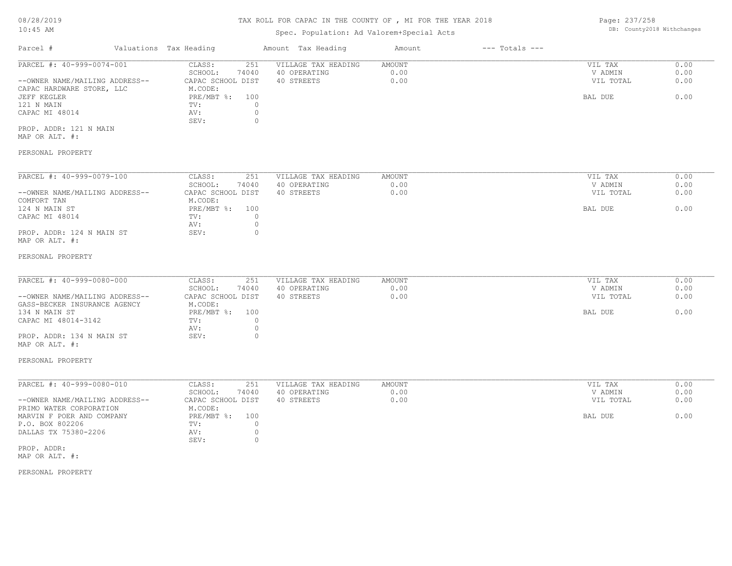## Spec. Population: Ad Valorem+Special Acts

Page: 237/258 DB: County2018 Withchanges

| Parcel #                       | Valuations Tax Heading |          | Amount Tax Heading  | Amount | $---$ Totals $---$ |           |      |
|--------------------------------|------------------------|----------|---------------------|--------|--------------------|-----------|------|
| PARCEL #: 40-999-0074-001      | CLASS:                 | 251      | VILLAGE TAX HEADING | AMOUNT |                    | VIL TAX   | 0.00 |
|                                | SCHOOL:                | 74040    | 40 OPERATING        | 0.00   |                    | V ADMIN   | 0.00 |
| --OWNER NAME/MAILING ADDRESS-- | CAPAC SCHOOL DIST      |          | 40 STREETS          | 0.00   |                    | VIL TOTAL | 0.00 |
| CAPAC HARDWARE STORE, LLC      | M.CODE:                |          |                     |        |                    |           |      |
| JEFF KEGLER                    | PRE/MBT %:             | 100      |                     |        |                    | BAL DUE   | 0.00 |
| 121 N MAIN                     | TV:                    |          |                     |        |                    |           |      |
| CAPAC MI 48014                 | AV:                    | $\circ$  |                     |        |                    |           |      |
|                                | SEV:                   |          |                     |        |                    |           |      |
| PROP. ADDR: 121 N MAIN         |                        |          |                     |        |                    |           |      |
| MAP OR ALT. #:                 |                        |          |                     |        |                    |           |      |
|                                |                        |          |                     |        |                    |           |      |
| PERSONAL PROPERTY              |                        |          |                     |        |                    |           |      |
|                                |                        |          |                     |        |                    |           |      |
| PARCEL #: 40-999-0079-100      | CLASS:                 | 251      | VILLAGE TAX HEADING | AMOUNT |                    | VIL TAX   | 0.00 |
|                                | SCHOOL:                | 74040    | 40 OPERATING        | 0.00   |                    | V ADMIN   | 0.00 |
| --OWNER NAME/MAILING ADDRESS-- | CAPAC SCHOOL DIST      |          | 40 STREETS          | 0.00   |                    | VIL TOTAL | 0.00 |
| COMFORT TAN                    | M.CODE:                |          |                     |        |                    |           |      |
| 124 N MAIN ST                  | PRE/MBT %:             | 100      |                     |        |                    | BAL DUE   | 0.00 |
| CAPAC MI 48014                 | TV:                    | 0        |                     |        |                    |           |      |
|                                | AV:                    | $\circ$  |                     |        |                    |           |      |
| PROP. ADDR: 124 N MAIN ST      | SEV:                   | $\Omega$ |                     |        |                    |           |      |
| MAP OR ALT. #:                 |                        |          |                     |        |                    |           |      |

#### PERSONAL PROPERTY

| PARCEL #: 40-999-0080-000      | CLASS:            | VILLAGE TAX HEADING<br>251 | AMOUNT | VIL TAX   | 0.00 |
|--------------------------------|-------------------|----------------------------|--------|-----------|------|
|                                | 74040<br>SCHOOL:  | 40 OPERATING               | 0.00   | V ADMIN   | 0.00 |
| --OWNER NAME/MAILING ADDRESS-- | CAPAC SCHOOL DIST | 40 STREETS                 | 0.00   | VIL TOTAL | 0.00 |
| GASS-BECKER INSURANCE AGENCY   | M.CODE:           |                            |        |           |      |
| 134 N MAIN ST                  | PRE/MBT %: 100    |                            |        | BAL DUE   | 0.00 |
| CAPAC MI 48014-3142            | TV:               |                            |        |           |      |
|                                | AV:               |                            |        |           |      |
| PROP. ADDR: 134 N MAIN ST      | SEV:              |                            |        |           |      |

# MAP OR ALT. #:

#### PERSONAL PROPERTY

| PARCEL #: 40-999-0080-010      | CLASS:<br>251     | VILLAGE TAX HEADING | AMOUNT | VIL TAX   | 0.00 |
|--------------------------------|-------------------|---------------------|--------|-----------|------|
|                                | 74040<br>SCHOOL:  | 40 OPERATING        | 0.00   | V ADMIN   | 0.00 |
| --OWNER NAME/MAILING ADDRESS-- | CAPAC SCHOOL DIST | 40 STREETS          | 0.00   | VIL TOTAL | 0.00 |
| PRIMO WATER CORPORATION        | M.CODE:           |                     |        |           |      |
| MARVIN F POER AND COMPANY      | PRE/MBT %: 100    |                     |        | BAL DUE   | 0.00 |
| P.O. BOX 802206                | TV:               |                     |        |           |      |
| DALLAS TX 75380-2206           | AV:               |                     |        |           |      |
|                                | SEV:              |                     |        |           |      |
| PROP. ADDR:                    |                   |                     |        |           |      |

MAP OR ALT. #: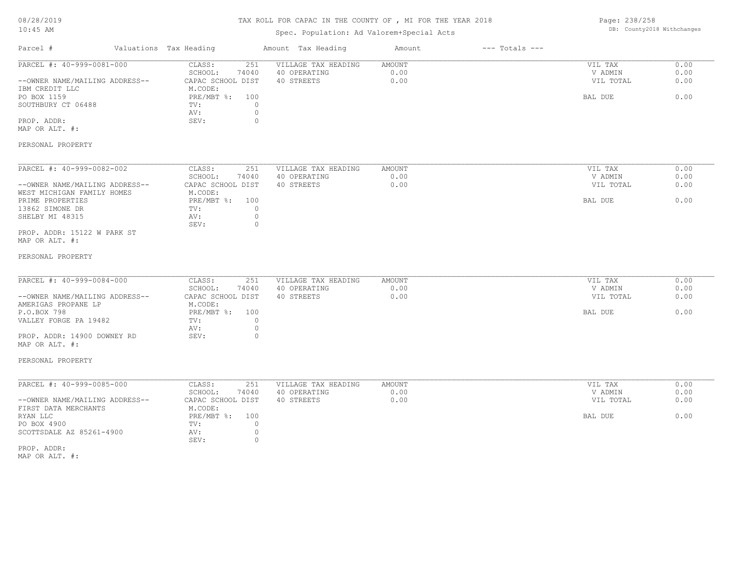# TAX ROLL FOR CAPAC IN THE COUNTY OF , MI FOR THE YEAR 2018

## Spec. Population: Ad Valorem+Special Acts

Page: 238/258 DB: County2018 Withchanges

| Parcel #                                                                                                                                                                           | Valuations Tax Heading                                                                                                                            | Amount Tax Heading                                | Amount                        | $---$ Totals $---$ |                                            |                              |
|------------------------------------------------------------------------------------------------------------------------------------------------------------------------------------|---------------------------------------------------------------------------------------------------------------------------------------------------|---------------------------------------------------|-------------------------------|--------------------|--------------------------------------------|------------------------------|
| PARCEL #: 40-999-0081-000<br>--OWNER NAME/MAILING ADDRESS--<br>IBM CREDIT LLC<br>PO BOX 1159<br>SOUTHBURY CT 06488<br>PROP. ADDR:<br>MAP OR ALT. #:                                | CLASS:<br>251<br>SCHOOL:<br>74040<br>CAPAC SCHOOL DIST<br>M.CODE:<br>PRE/MBT %: 100<br>$\circ$<br>TV:<br>$\circledcirc$<br>AV:<br>$\circ$<br>SEV: | VILLAGE TAX HEADING<br>40 OPERATING<br>40 STREETS | <b>AMOUNT</b><br>0.00<br>0.00 |                    | VIL TAX<br>V ADMIN<br>VIL TOTAL<br>BAL DUE | 0.00<br>0.00<br>0.00<br>0.00 |
| PERSONAL PROPERTY                                                                                                                                                                  |                                                                                                                                                   |                                                   |                               |                    |                                            |                              |
| PARCEL #: 40-999-0082-002<br>--OWNER NAME/MAILING ADDRESS--<br>WEST MICHIGAN FAMILY HOMES<br>PRIME PROPERTIES<br>13862 SIMONE DR<br>SHELBY MI 48315<br>PROP. ADDR: 15122 W PARK ST | 251<br>CLASS:<br>SCHOOL:<br>74040<br>CAPAC SCHOOL DIST<br>M.CODE:<br>PRE/MBT %: 100<br>$\circ$<br>TV:<br>$\circ$<br>AV:<br>$\circ$<br>SEV:        | VILLAGE TAX HEADING<br>40 OPERATING<br>40 STREETS | <b>AMOUNT</b><br>0.00<br>0.00 |                    | VIL TAX<br>V ADMIN<br>VIL TOTAL<br>BAL DUE | 0.00<br>0.00<br>0.00<br>0.00 |
| MAP OR ALT. #:<br>PERSONAL PROPERTY                                                                                                                                                |                                                                                                                                                   |                                                   |                               |                    |                                            |                              |
| PARCEL #: 40-999-0084-000                                                                                                                                                          | CLASS:<br>251                                                                                                                                     | VILLAGE TAX HEADING                               | <b>AMOUNT</b>                 |                    | VIL TAX                                    | 0.00                         |
| --OWNER NAME/MAILING ADDRESS--<br>AMERIGAS PROPANE LP<br>P.O.BOX 798                                                                                                               | SCHOOL:<br>74040<br>CAPAC SCHOOL DIST<br>M.CODE:<br>PRE/MBT %: 100                                                                                | 40 OPERATING<br>40 STREETS                        | 0.00<br>0.00                  |                    | V ADMIN<br>VIL TOTAL                       | 0.00<br>0.00<br>0.00         |
| VALLEY FORGE PA 19482<br>PROP. ADDR: 14900 DOWNEY RD<br>MAP OR ALT. #:                                                                                                             | $\circ$<br>TV:<br>$\circ$<br>AV:<br>SEV:<br>$\mathbf{0}$                                                                                          |                                                   |                               |                    | BAL DUE                                    |                              |
| PERSONAL PROPERTY                                                                                                                                                                  |                                                                                                                                                   |                                                   |                               |                    |                                            |                              |
| PARCEL #: 40-999-0085-000<br>--OWNER NAME/MAILING ADDRESS--<br>FIRST DATA MERCHANTS                                                                                                | 251<br>CLASS:<br>SCHOOL:<br>74040<br>CAPAC SCHOOL DIST<br>M.CODE:                                                                                 | VILLAGE TAX HEADING<br>40 OPERATING<br>40 STREETS | <b>AMOUNT</b><br>0.00<br>0.00 |                    | VIL TAX<br>V ADMIN<br>VIL TOTAL            | 0.00<br>0.00<br>0.00         |
| RYAN LLC<br>PO BOX 4900<br>SCOTTSDALE AZ 85261-4900                                                                                                                                | PRE/MBT %:<br>100<br>$\circ$<br>TV:<br>$\circledcirc$<br>AV:<br>$\circ$<br>SEV:                                                                   |                                                   |                               |                    | BAL DUE                                    | 0.00                         |
| PROP. ADDR:<br>MAP OR ALT. #:                                                                                                                                                      |                                                                                                                                                   |                                                   |                               |                    |                                            |                              |
|                                                                                                                                                                                    |                                                                                                                                                   |                                                   |                               |                    |                                            |                              |
|                                                                                                                                                                                    |                                                                                                                                                   |                                                   |                               |                    |                                            |                              |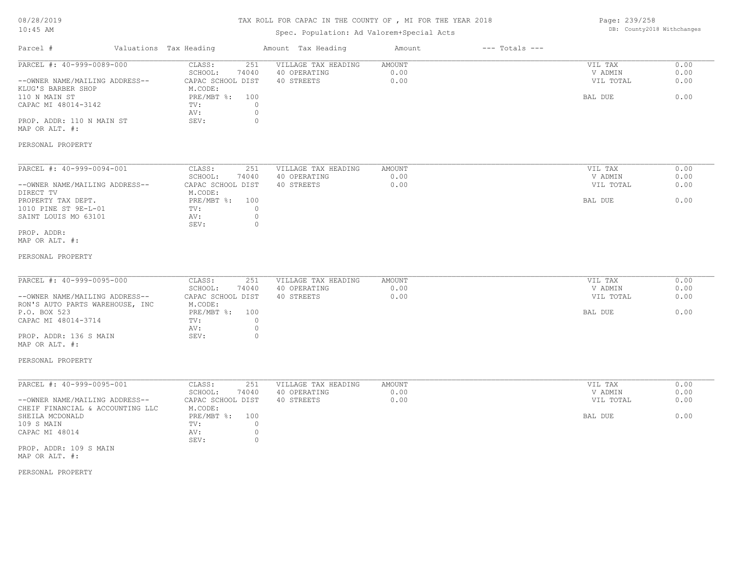# TAX ROLL FOR CAPAC IN THE COUNTY OF , MI FOR THE YEAR 2018

## Spec. Population: Ad Valorem+Special Acts

Page: 239/258 DB: County2018 Withchanges

| Parcel #                                                               | Valuations Tax Heading                                                | Amount Tax Heading                                | Amount                        | $---$ Totals $---$ |                                 |                      |
|------------------------------------------------------------------------|-----------------------------------------------------------------------|---------------------------------------------------|-------------------------------|--------------------|---------------------------------|----------------------|
| PARCEL #: 40-999-0089-000<br>--OWNER NAME/MAILING ADDRESS--            | CLASS:<br>251<br>SCHOOL:<br>74040<br>CAPAC SCHOOL DIST                | VILLAGE TAX HEADING<br>40 OPERATING<br>40 STREETS | <b>AMOUNT</b><br>0.00<br>0.00 |                    | VIL TAX<br>V ADMIN<br>VIL TOTAL | 0.00<br>0.00<br>0.00 |
| KLUG'S BARBER SHOP<br>110 N MAIN ST<br>CAPAC MI 48014-3142             | M.CODE:<br>PRE/MBT %: 100<br>TV:<br>$\circ$<br>$\circ$<br>AV:         |                                                   |                               |                    | BAL DUE                         | 0.00                 |
| PROP. ADDR: 110 N MAIN ST<br>MAP OR ALT. #:                            | SEV:<br>$\circ$                                                       |                                                   |                               |                    |                                 |                      |
| PERSONAL PROPERTY                                                      |                                                                       |                                                   |                               |                    |                                 |                      |
| PARCEL #: 40-999-0094-001                                              | CLASS:<br>251<br>SCHOOL:<br>74040                                     | VILLAGE TAX HEADING<br>40 OPERATING               | AMOUNT<br>0.00<br>0.00        |                    | VIL TAX<br>V ADMIN              | 0.00<br>0.00<br>0.00 |
| --OWNER NAME/MAILING ADDRESS--<br>DIRECT TV<br>PROPERTY TAX DEPT.      | CAPAC SCHOOL DIST<br>M.CODE:<br>PRE/MBT %: 100                        | 40 STREETS                                        |                               |                    | VIL TOTAL<br>BAL DUE            | 0.00                 |
| 1010 PINE ST 9E-L-01<br>SAINT LOUIS MO 63101                           | TV:<br>$\circ$<br>$\circ$<br>AV:<br>SEV:<br>$\circ$                   |                                                   |                               |                    |                                 |                      |
| PROP. ADDR:<br>MAP OR ALT. #:                                          |                                                                       |                                                   |                               |                    |                                 |                      |
| PERSONAL PROPERTY                                                      |                                                                       |                                                   |                               |                    |                                 |                      |
| PARCEL #: 40-999-0095-000<br>--OWNER NAME/MAILING ADDRESS--            | CLASS:<br>251<br>SCHOOL:<br>74040<br>CAPAC SCHOOL DIST                | VILLAGE TAX HEADING<br>40 OPERATING<br>40 STREETS | AMOUNT<br>0.00<br>0.00        |                    | VIL TAX<br>V ADMIN<br>VIL TOTAL | 0.00<br>0.00<br>0.00 |
| RON'S AUTO PARTS WAREHOUSE, INC<br>P.O. BOX 523<br>CAPAC MI 48014-3714 | M.CODE:<br>PRE/MBT %: 100<br>$\circ$<br>TV:                           |                                                   |                               |                    | BAL DUE                         | 0.00                 |
| PROP. ADDR: 136 S MAIN<br>MAP OR ALT. #:                               | $\circ$<br>AV:<br>SEV:<br>$\circ$                                     |                                                   |                               |                    |                                 |                      |
| PERSONAL PROPERTY                                                      |                                                                       |                                                   |                               |                    |                                 |                      |
| PARCEL #: 40-999-0095-001                                              | CLASS:<br>251<br>SCHOOL:<br>74040                                     | VILLAGE TAX HEADING<br>40 OPERATING               | <b>AMOUNT</b><br>0.00         |                    | VIL TAX<br>V ADMIN              | 0.00<br>0.00         |
| --OWNER NAME/MAILING ADDRESS--<br>CHEIF FINANCIAL & ACCOUNTING LLC     | CAPAC SCHOOL DIST<br>M.CODE:                                          | 40 STREETS                                        | 0.00                          |                    | VIL TOTAL                       | 0.00                 |
| SHEILA MCDONALD<br>109 S MAIN<br>CAPAC MI 48014                        | PRE/MBT %: 100<br>$\circ$<br>TV:<br>AV:<br>$\circ$<br>SEV:<br>$\circ$ |                                                   |                               |                    | BAL DUE                         | 0.00                 |
| PROP. ADDR: 109 S MAIN<br>MAP OR ALT. #:                               |                                                                       |                                                   |                               |                    |                                 |                      |
| PERSONAL PROPERTY                                                      |                                                                       |                                                   |                               |                    |                                 |                      |
|                                                                        |                                                                       |                                                   |                               |                    |                                 |                      |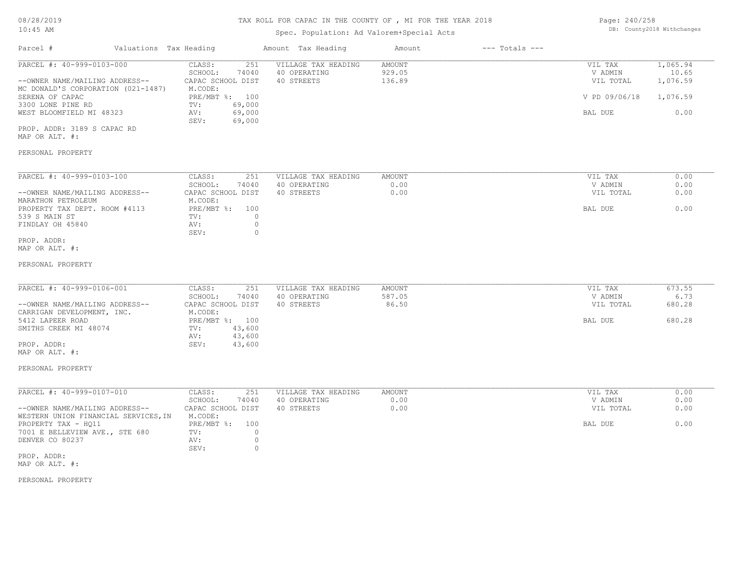#### Spec. Population: Ad Valorem+Special Acts

| Page: 240/258 |                            |
|---------------|----------------------------|
|               | DB: County2018 Withchanges |

| $\pm$ 0 $\cdot$ $\pm$ 0 $\pm$ 11.1                                                                                                                                                                                                    |                                                                                                                                            | Spec. Population: Ad Valorem+Special Acts         |                            |                    |                                                             |                                                   |
|---------------------------------------------------------------------------------------------------------------------------------------------------------------------------------------------------------------------------------------|--------------------------------------------------------------------------------------------------------------------------------------------|---------------------------------------------------|----------------------------|--------------------|-------------------------------------------------------------|---------------------------------------------------|
| Parcel #<br>Valuations Tax Heading                                                                                                                                                                                                    |                                                                                                                                            | Amount Tax Heading                                | Amount                     | $---$ Totals $---$ |                                                             |                                                   |
| PARCEL #: 40-999-0103-000<br>--OWNER NAME/MAILING ADDRESS--<br>MC DONALD'S CORPORATION (021-1487)<br>SERENA OF CAPAC<br>3300 LONE PINE RD<br>WEST BLOOMFIELD MI 48323<br>PROP. ADDR: 3189 S CAPAC RD<br>MAP OR ALT. #:                | CLASS:<br>251<br>SCHOOL:<br>74040<br>CAPAC SCHOOL DIST<br>M.CODE:<br>PRE/MBT %: 100<br>69,000<br>TV:<br>69,000<br>AV:<br>SEV:<br>69,000    | VILLAGE TAX HEADING<br>40 OPERATING<br>40 STREETS | AMOUNT<br>929.05<br>136.89 |                    | VIL TAX<br>V ADMIN<br>VIL TOTAL<br>V PD 09/06/18<br>BAL DUE | 1,065.94<br>10.65<br>1,076.59<br>1,076.59<br>0.00 |
| PERSONAL PROPERTY                                                                                                                                                                                                                     |                                                                                                                                            |                                                   |                            |                    |                                                             |                                                   |
| PARCEL #: 40-999-0103-100<br>--OWNER NAME/MAILING ADDRESS--<br>MARATHON PETROLEUM<br>PROPERTY TAX DEPT. ROOM #4113<br>539 S MAIN ST<br>FINDLAY OH 45840<br>PROP. ADDR:<br>MAP OR ALT. #:                                              | CLASS:<br>251<br>SCHOOL:<br>74040<br>CAPAC SCHOOL DIST<br>M.CODE:<br>PRE/MBT %: 100<br>TV:<br>0<br>$\circ$<br>AV:<br>SEV:<br>$\circ$       | VILLAGE TAX HEADING<br>40 OPERATING<br>40 STREETS | AMOUNT<br>0.00<br>0.00     |                    | VIL TAX<br>V ADMIN<br>VIL TOTAL<br>BAL DUE                  | 0.00<br>0.00<br>0.00<br>0.00                      |
| PERSONAL PROPERTY                                                                                                                                                                                                                     |                                                                                                                                            |                                                   |                            |                    |                                                             |                                                   |
| PARCEL #: 40-999-0106-001<br>--OWNER NAME/MAILING ADDRESS--<br>CARRIGAN DEVELOPMENT, INC.<br>5412 LAPEER ROAD<br>SMITHS CREEK MI 48074<br>PROP. ADDR:<br>MAP OR ALT. #:<br>PERSONAL PROPERTY                                          | CLASS:<br>251<br>SCHOOL:<br>74040<br>CAPAC SCHOOL DIST<br>M.CODE:<br>PRE/MBT %: 100<br>43,600<br>TV:<br>43,600<br>AV:<br>SEV:<br>43,600    | VILLAGE TAX HEADING<br>40 OPERATING<br>40 STREETS | AMOUNT<br>587.05<br>86.50  |                    | VIL TAX<br>V ADMIN<br>VIL TOTAL<br>BAL DUE                  | 673.55<br>6.73<br>680.28<br>680.28                |
| PARCEL #: 40-999-0107-010<br>--OWNER NAME/MAILING ADDRESS--<br>WESTERN UNION FINANCIAL SERVICES, IN<br>PROPERTY TAX - HQ11<br>7001 E BELLEVIEW AVE., STE 680<br>DENVER CO 80237<br>PROP. ADDR:<br>MAP OR ALT. #:<br>PERSONAL PROPERTY | CLASS:<br>251<br>SCHOOL:<br>74040<br>CAPAC SCHOOL DIST<br>M.CODE:<br>PRE/MBT %: 100<br>$\circ$<br>TV:<br>$\circ$<br>AV:<br>SEV:<br>$\circ$ | VILLAGE TAX HEADING<br>40 OPERATING<br>40 STREETS | AMOUNT<br>0.00<br>0.00     |                    | VIL TAX<br>V ADMIN<br>VIL TOTAL<br>BAL DUE                  | 0.00<br>0.00<br>0.00<br>0.00                      |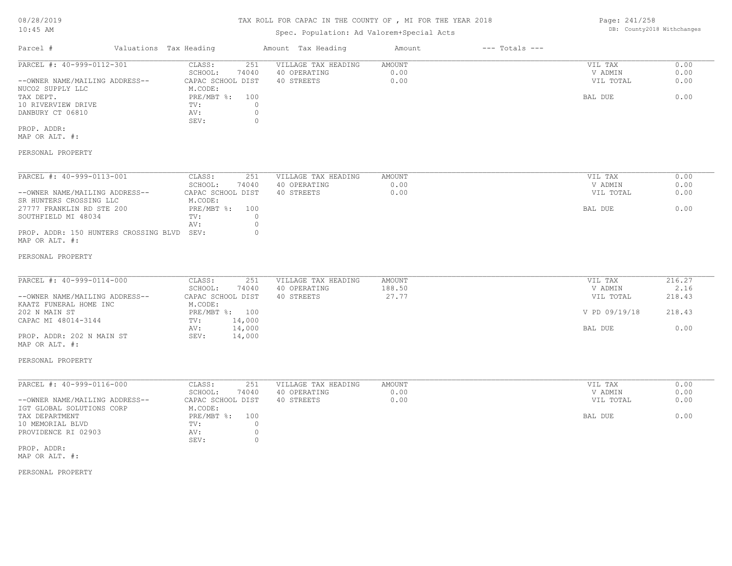## Spec. Population: Ad Valorem+Special Acts

Page: 241/258 DB: County2018 Withchanges

| Parcel #                       | Valuations Tax Heading |       | Amount Tax Heading  | Amount | $---$ Totals $---$ |           |      |
|--------------------------------|------------------------|-------|---------------------|--------|--------------------|-----------|------|
| PARCEL #: 40-999-0112-301      | CLASS:                 | 251   | VILLAGE TAX HEADING | AMOUNT |                    | VIL TAX   | 0.00 |
|                                | SCHOOL:                | 74040 | 40 OPERATING        | 0.00   |                    | V ADMIN   | 0.00 |
| --OWNER NAME/MAILING ADDRESS-- | CAPAC SCHOOL DIST      |       | 40 STREETS          | 0.00   |                    | VIL TOTAL | 0.00 |
| NUCO2 SUPPLY LLC               | M.CODE:                |       |                     |        |                    |           |      |
| TAX DEPT.                      | $PRE/MBT$ %:           | 100   |                     |        |                    | BAL DUE   | 0.00 |
| 10 RIVERVIEW DRIVE             | TV:                    |       |                     |        |                    |           |      |
| DANBURY CT 06810               | AV:                    |       |                     |        |                    |           |      |
|                                | SEV:                   |       |                     |        |                    |           |      |
| PROP. ADDR:<br>MAP OR ALT. #:  |                        |       |                     |        |                    |           |      |

### PERSONAL PROPERTY

| PARCEL #: 40-999-0113-001                  | CLASS:            | 251   | VILLAGE TAX HEADING | AMOUNT | VIL TAX   | 0.00 |
|--------------------------------------------|-------------------|-------|---------------------|--------|-----------|------|
|                                            | SCHOOL:           | 74040 | 40 OPERATING        | 0.00   | V ADMIN   | 0.00 |
| --OWNER NAME/MAILING ADDRESS--             | CAPAC SCHOOL DIST |       | 40 STREETS          | 0.00   | VIL TOTAL | 0.00 |
| SR HUNTERS CROSSING LLC                    | M.CODE:           |       |                     |        |           |      |
| 27777 FRANKLIN RD STE 200                  | PRE/MBT %:        | 100   |                     |        | BAL DUE   | 0.00 |
| SOUTHFIELD MI 48034                        | TV:               |       |                     |        |           |      |
|                                            | AV:               |       |                     |        |           |      |
| PROP. ADDR: 150 HUNTERS CROSSING BLVD SEV: |                   |       |                     |        |           |      |
| MAP OR ALT. #:                             |                   |       |                     |        |           |      |

#### PERSONAL PROPERTY

| PARCEL #: 40-999-0114-000      | CLASS:<br>251     | VILLAGE TAX HEADING | AMOUNT | VIL TAX       | 216.27 |
|--------------------------------|-------------------|---------------------|--------|---------------|--------|
|                                | 74040<br>SCHOOL:  | 40 OPERATING        | 188.50 | V ADMIN       | 2.16   |
| --OWNER NAME/MAILING ADDRESS-- | CAPAC SCHOOL DIST | 40 STREETS          | 27.77  | VIL TOTAL     | 218.43 |
| KAATZ FUNERAL HOME INC         | M.CODE:           |                     |        |               |        |
| 202 N MAIN ST                  | PRE/MBT %: 100    |                     |        | V PD 09/19/18 | 218.43 |
| CAPAC MI 48014-3144            | 14,000<br>TV:     |                     |        |               |        |
|                                | 14,000<br>AV:     |                     |        | BAL DUE       | 0.00   |
| PROP. ADDR: 202 N MAIN ST      | 14,000<br>SEV:    |                     |        |               |        |
| MAP OR ALT. #:                 |                   |                     |        |               |        |

### PERSONAL PROPERTY

| PARCEL #: 40-999-0116-000      | CLASS:<br>251     | VILLAGE TAX HEADING | AMOUNT | VIL TAX   | 0.00 |
|--------------------------------|-------------------|---------------------|--------|-----------|------|
|                                | 74040<br>SCHOOL:  | 40 OPERATING        | 0.00   | V ADMIN   | 0.00 |
| --OWNER NAME/MAILING ADDRESS-- | CAPAC SCHOOL DIST | 40 STREETS          | 0.00   | VIL TOTAL | 0.00 |
| IGT GLOBAL SOLUTIONS CORP      | M.CODE:           |                     |        |           |      |
| TAX DEPARTMENT                 | PRE/MBT %: 100    |                     |        | BAL DUE   | 0.00 |
| 10 MEMORIAL BLVD               | TV:               |                     |        |           |      |
| PROVIDENCE RI 02903            | AV:               |                     |        |           |      |
|                                | SEV:              |                     |        |           |      |
| PROP. ADDR:                    |                   |                     |        |           |      |

MAP OR ALT. #: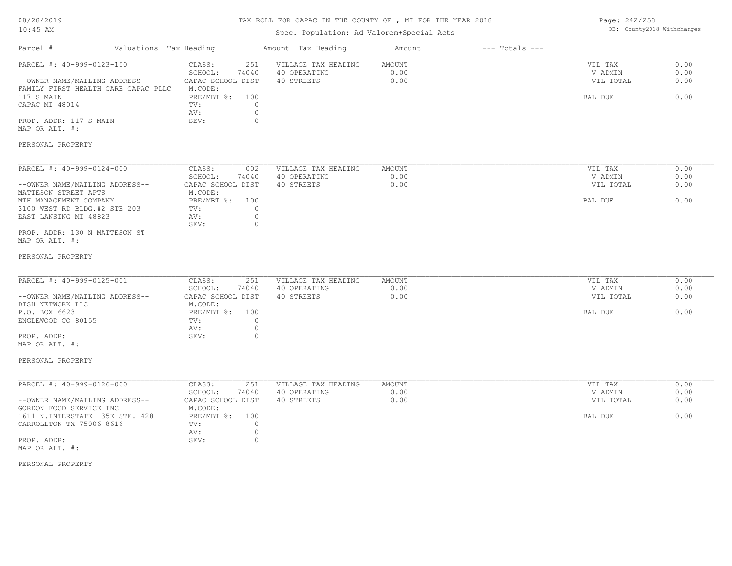| 08/28/2019 |  |
|------------|--|
| $10:45$ AM |  |

## Spec. Population: Ad Valorem+Special Acts

Page: 242/258 DB: County2018 Withchanges

| Parcel #                                                                                                                                                                                                                                       | Valuations Tax Heading |                                                                                                                                                 | Amount Tax Heading                                | Amount                        | $---$ Totals $---$ |                                            |                              |
|------------------------------------------------------------------------------------------------------------------------------------------------------------------------------------------------------------------------------------------------|------------------------|-------------------------------------------------------------------------------------------------------------------------------------------------|---------------------------------------------------|-------------------------------|--------------------|--------------------------------------------|------------------------------|
| PARCEL #: 40-999-0123-150<br>--OWNER NAME/MAILING ADDRESS--<br>FAMILY FIRST HEALTH CARE CAPAC PLLC<br>117 S MAIN<br>CAPAC MI 48014<br>PROP. ADDR: 117 S MAIN<br>MAP OR ALT. #:                                                                 |                        | CLASS:<br>251<br>SCHOOL:<br>74040<br>CAPAC SCHOOL DIST<br>M.CODE:<br>PRE/MBT %:<br>100<br>$\circ$<br>TV:<br>$\circ$<br>AV:<br>$\circ$<br>SEV:   | VILLAGE TAX HEADING<br>40 OPERATING<br>40 STREETS | AMOUNT<br>0.00<br>0.00        |                    | VIL TAX<br>V ADMIN<br>VIL TOTAL<br>BAL DUE | 0.00<br>0.00<br>0.00<br>0.00 |
| PERSONAL PROPERTY                                                                                                                                                                                                                              |                        |                                                                                                                                                 |                                                   |                               |                    |                                            |                              |
| PARCEL #: 40-999-0124-000<br>--OWNER NAME/MAILING ADDRESS--<br>MATTESON STREET APTS<br>MTH MANAGEMENT COMPANY<br>3100 WEST RD BLDG.#2 STE 203<br>EAST LANSING MI 48823<br>PROP. ADDR: 130 N MATTESON ST<br>MAP OR ALT. #:<br>PERSONAL PROPERTY |                        | CLASS:<br>002<br>SCHOOL:<br>74040<br>CAPAC SCHOOL DIST<br>M.CODE:<br>PRE/MBT %: 100<br>$\circ$<br>TV:<br>$\circ$<br>AV:<br>$\circ$<br>SEV:      | VILLAGE TAX HEADING<br>40 OPERATING<br>40 STREETS | <b>AMOUNT</b><br>0.00<br>0.00 |                    | VIL TAX<br>V ADMIN<br>VIL TOTAL<br>BAL DUE | 0.00<br>0.00<br>0.00<br>0.00 |
| PARCEL #: 40-999-0125-001<br>--OWNER NAME/MAILING ADDRESS--<br>DISH NETWORK LLC<br>P.O. BOX 6623<br>ENGLEWOOD CO 80155<br>PROP. ADDR:<br>MAP OR ALT. #:<br>PERSONAL PROPERTY                                                                   |                        | CLASS:<br>251<br>SCHOOL:<br>74040<br>CAPAC SCHOOL DIST<br>M.CODE:<br>$PRE/MBT$ %:<br>100<br>$\circ$<br>TV:<br>$\circ$<br>AV:<br>SEV:<br>$\circ$ | VILLAGE TAX HEADING<br>40 OPERATING<br>40 STREETS | AMOUNT<br>0.00<br>0.00        |                    | VIL TAX<br>V ADMIN<br>VIL TOTAL<br>BAL DUE | 0.00<br>0.00<br>0.00<br>0.00 |
| PARCEL #: 40-999-0126-000<br>--OWNER NAME/MAILING ADDRESS--<br>GORDON FOOD SERVICE INC<br>1611 N.INTERSTATE 35E STE. 428<br>CARROLLTON TX 75006-8616<br>PROP. ADDR:<br>MAP OR ALT. #:<br>PERSONAL PROPERTY                                     |                        | CLASS:<br>251<br>SCHOOL:<br>74040<br>CAPAC SCHOOL DIST<br>M.CODE:<br>PRE/MBT %:<br>100<br>$\circ$<br>TV:<br>$\circ$<br>AV:<br>SEV:<br>$\circ$   | VILLAGE TAX HEADING<br>40 OPERATING<br>40 STREETS | <b>AMOUNT</b><br>0.00<br>0.00 |                    | VIL TAX<br>V ADMIN<br>VIL TOTAL<br>BAL DUE | 0.00<br>0.00<br>0.00<br>0.00 |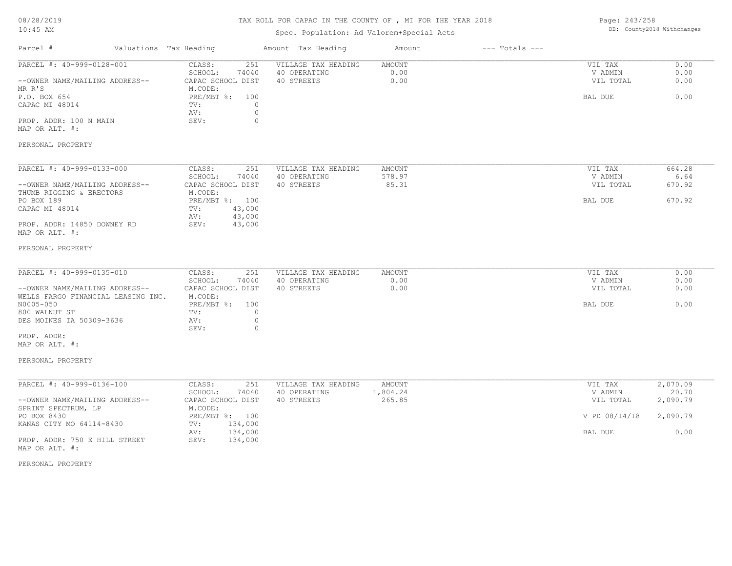# TAX ROLL FOR CAPAC IN THE COUNTY OF , MI FOR THE YEAR 2018

## Spec. Population: Ad Valorem+Special Acts

Page: 243/258 DB: County2018 Withchanges

| Parcel #                                                              | Valuations Tax Heading                                            | Amount Tax Heading                                | Amount                    | $---$ Totals $---$ |                                 |                      |
|-----------------------------------------------------------------------|-------------------------------------------------------------------|---------------------------------------------------|---------------------------|--------------------|---------------------------------|----------------------|
| PARCEL #: 40-999-0128-001<br>--OWNER NAME/MAILING ADDRESS--<br>MR R'S | CLASS:<br>251<br>SCHOOL:<br>74040<br>CAPAC SCHOOL DIST<br>M.CODE: | VILLAGE TAX HEADING<br>40 OPERATING<br>40 STREETS | AMOUNT<br>0.00<br>0.00    |                    | VIL TAX<br>V ADMIN<br>VIL TOTAL | 0.00<br>0.00<br>0.00 |
| P.O. BOX 654<br>CAPAC MI 48014                                        | $PRE/MBT$ $\div$<br>100<br>TV:<br>$\circ$<br>$\circ$<br>AV:       |                                                   |                           |                    | BAL DUE                         | 0.00                 |
| PROP. ADDR: 100 N MAIN<br>MAP OR ALT. #:                              | $\circ$<br>SEV:                                                   |                                                   |                           |                    |                                 |                      |
| PERSONAL PROPERTY                                                     |                                                                   |                                                   |                           |                    |                                 |                      |
| PARCEL #: 40-999-0133-000                                             | CLASS:<br>251                                                     | VILLAGE TAX HEADING                               | AMOUNT                    |                    | VIL TAX                         | 664.28               |
| --OWNER NAME/MAILING ADDRESS--                                        | SCHOOL:<br>74040<br>CAPAC SCHOOL DIST                             | 40 OPERATING<br>40 STREETS                        | 578.97<br>85.31           |                    | V ADMIN<br>VIL TOTAL            | 6.64<br>670.92       |
| THUMB RIGGING & ERECTORS<br>PO BOX 189<br>CAPAC MI 48014              | M.CODE:<br>PRE/MBT %: 100<br>43,000<br>TV:<br>43,000<br>AV:       |                                                   |                           |                    | BAL DUE                         | 670.92               |
| PROP. ADDR: 14850 DOWNEY RD<br>MAP OR ALT. #:                         | SEV:<br>43,000                                                    |                                                   |                           |                    |                                 |                      |
| PERSONAL PROPERTY                                                     |                                                                   |                                                   |                           |                    |                                 |                      |
| PARCEL #: 40-999-0135-010                                             | CLASS:<br>251                                                     | VILLAGE TAX HEADING                               | AMOUNT                    |                    | VIL TAX                         | 0.00                 |
| --OWNER NAME/MAILING ADDRESS--<br>WELLS FARGO FINANCIAL LEASING INC.  | SCHOOL:<br>74040<br>CAPAC SCHOOL DIST<br>M.CODE:                  | 40 OPERATING<br>40 STREETS                        | 0.00<br>0.00              |                    | V ADMIN<br>VIL TOTAL            | 0.00<br>0.00         |
| N0005-050<br>800 WALNUT ST                                            | PRE/MBT %:<br>100<br>$\circ$<br>TV:                               |                                                   |                           |                    | BAL DUE                         | 0.00                 |
| DES MOINES IA 50309-3636                                              | $\circ$<br>AV:<br>SEV:<br>$\circ$                                 |                                                   |                           |                    |                                 |                      |
| PROP. ADDR:<br>MAP OR ALT. #:                                         |                                                                   |                                                   |                           |                    |                                 |                      |
| PERSONAL PROPERTY                                                     |                                                                   |                                                   |                           |                    |                                 |                      |
| PARCEL #: 40-999-0136-100                                             | CLASS:<br>251                                                     | VILLAGE TAX HEADING                               | <b>AMOUNT</b><br>1,804.24 |                    | VIL TAX                         | 2,070.09<br>20.70    |
| --OWNER NAME/MAILING ADDRESS--<br>SPRINT SPECTRUM, LP                 | SCHOOL:<br>74040<br>CAPAC SCHOOL DIST<br>M.CODE:                  | 40 OPERATING<br>40 STREETS                        | 265.85                    |                    | V ADMIN<br>VIL TOTAL            | 2,090.79             |
| PO BOX 8430<br>KANAS CITY MO 64114-8430                               | PRE/MBT %: 100<br>134,000<br>TV:                                  |                                                   |                           |                    | V PD 08/14/18                   | 2,090.79             |
| PROP. ADDR: 750 E HILL STREET<br>MAP OR ALT. #:                       | 134,000<br>AV:<br>SEV:<br>134,000                                 |                                                   |                           |                    | BAL DUE                         | 0.00                 |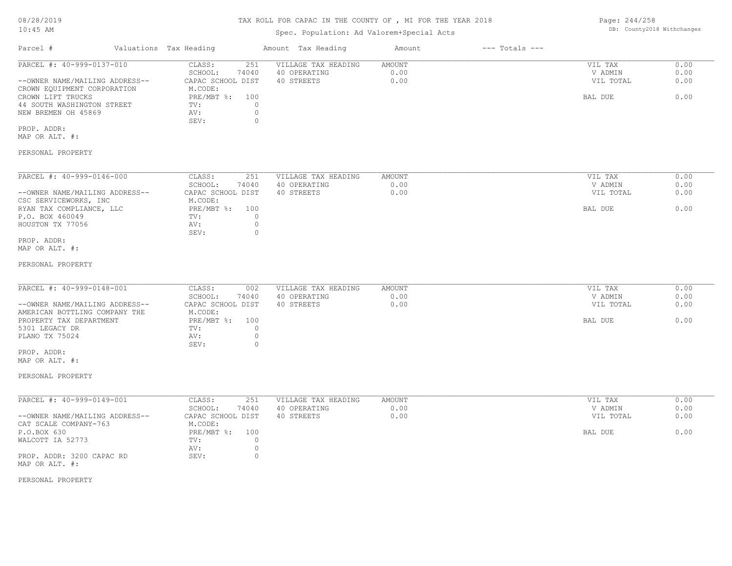## Spec. Population: Ad Valorem+Special Acts

Page: 244/258 DB: County2018 Withchanges

| PARCEL #: 40-999-0137-010<br>251<br>CLASS:          | VILLAGE TAX HEADING | AMOUNT | VIL TAX   | 0.00 |
|-----------------------------------------------------|---------------------|--------|-----------|------|
| 74040<br>SCHOOL:                                    | 40 OPERATING        | 0.00   | V ADMIN   | 0.00 |
| --OWNER NAME/MAILING ADDRESS--<br>CAPAC SCHOOL DIST | 40 STREETS          | 0.00   | VIL TOTAL | 0.00 |
| CROWN EQUIPMENT CORPORATION<br>M.CODE:              |                     |        |           |      |
| PRE/MBT %:<br>100<br>CROWN LIFT TRUCKS              |                     |        | BAL DUE   | 0.00 |
| 44 SOUTH WASHINGTON STREET<br>TV:                   |                     |        |           |      |
| NEW BREMEN OH 45869<br>AV:                          |                     |        |           |      |
| SEV:                                                |                     |        |           |      |

PROP. ADDR:

MAP OR ALT. #:

### PERSONAL PROPERTY

| PARCEL #: 40-999-0146-000      | CLASS:            | 251   | VILLAGE TAX HEADING | AMOUNT | VIL TAX   | 0.00 |
|--------------------------------|-------------------|-------|---------------------|--------|-----------|------|
|                                | SCHOOL:           | 74040 | 40 OPERATING        | 0.00   | V ADMIN   | 0.00 |
| --OWNER NAME/MAILING ADDRESS-- | CAPAC SCHOOL DIST |       | 40 STREETS          | 0.00   | VIL TOTAL | 0.00 |
| CSC SERVICEWORKS, INC          | M.CODE:           |       |                     |        |           |      |
| RYAN TAX COMPLIANCE, LLC       | PRE/MBT %:        | 100   |                     |        | BAL DUE   | 0.00 |
| P.O. BOX 460049                | TV:               |       |                     |        |           |      |
| HOUSTON TX 77056               | AV:               |       |                     |        |           |      |
|                                | SEV:              |       |                     |        |           |      |
| PROP. ADDR:                    |                   |       |                     |        |           |      |

MAP OR ALT. #:

#### PERSONAL PROPERTY

| PARCEL #: 40-999-0148-001      | CLASS:              | VILLAGE TAX HEADING<br>002 | AMOUNT | VIL TAX   | 0.00 |
|--------------------------------|---------------------|----------------------------|--------|-----------|------|
|                                | 74040<br>SCHOOL:    | 40 OPERATING               | 0.00   | V ADMIN   | 0.00 |
| --OWNER NAME/MAILING ADDRESS-- | CAPAC SCHOOL DIST   | 40 STREETS                 | 0.00   | VIL TOTAL | 0.00 |
| AMERICAN BOTTLING COMPANY THE  | M.CODE:             |                            |        |           |      |
| PROPERTY TAX DEPARTMENT        | $PRE/MBT$ %:<br>100 |                            |        | BAL DUE   | 0.00 |
| 5301 LEGACY DR                 | TV:                 |                            |        |           |      |
| PLANO TX 75024                 | AV:                 |                            |        |           |      |
|                                | SEV:                |                            |        |           |      |

MAP OR ALT. #: PROP. ADDR:

### PERSONAL PROPERTY

| PARCEL #: 40-999-0149-001      | CLASS:<br>251     | VILLAGE TAX HEADING | AMOUNT | VIL TAX   | 0.00 |
|--------------------------------|-------------------|---------------------|--------|-----------|------|
|                                | 74040<br>SCHOOL:  | 40 OPERATING        | 0.00   | V ADMIN   | 0.00 |
| --OWNER NAME/MAILING ADDRESS-- | CAPAC SCHOOL DIST | 40 STREETS          | 0.00   | VIL TOTAL | 0.00 |
| CAT SCALE COMPANY-763          | M.CODE:           |                     |        |           |      |
| P.O.BOX 630                    | PRE/MBT %:<br>100 |                     |        | BAL DUE   | 0.00 |
| WALCOTT IA 52773               | TV:               |                     |        |           |      |
|                                | AV:               |                     |        |           |      |
| PROP. ADDR: 3200 CAPAC RD      | SEV:              |                     |        |           |      |
| MAP OR ALT. #:                 |                   |                     |        |           |      |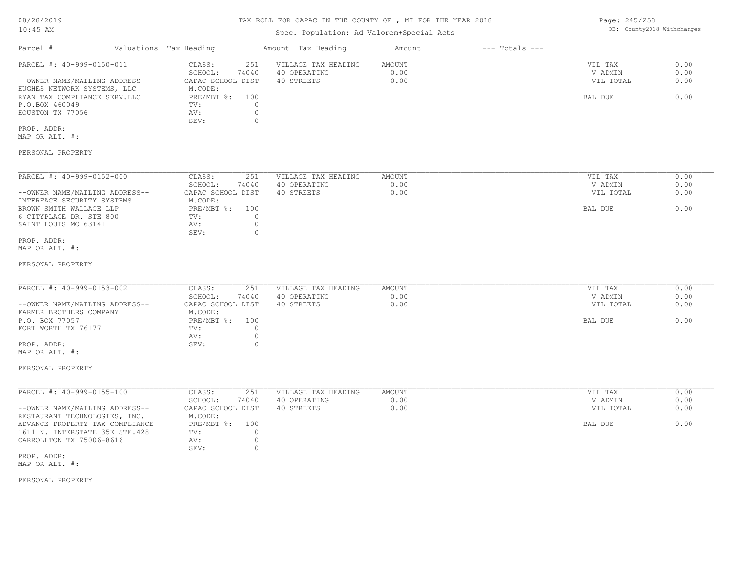## Spec. Population: Ad Valorem+Special Acts

| Parcel #                       | Valuations Tax Heading |       | Amount Tax Heading  | Amount | $---$ Totals $---$ |           |      |
|--------------------------------|------------------------|-------|---------------------|--------|--------------------|-----------|------|
| PARCEL #: 40-999-0150-011      | CLASS:                 | 251   | VILLAGE TAX HEADING | AMOUNT |                    | VIL TAX   | 0.00 |
|                                | SCHOOL:                | 74040 | 40 OPERATING        | 0.00   |                    | V ADMIN   | 0.00 |
| --OWNER NAME/MAILING ADDRESS-- | CAPAC SCHOOL DIST      |       | 40 STREETS          | 0.00   |                    | VIL TOTAL | 0.00 |
| HUGHES NETWORK SYSTEMS, LLC    | M.CODE:                |       |                     |        |                    |           |      |
| RYAN TAX COMPLIANCE SERV.LLC   | $PRE/MBT$ %:           | 100   |                     |        |                    | BAL DUE   | 0.00 |
| P.O.BOX 460049                 | TV:                    |       |                     |        |                    |           |      |
| HOUSTON TX 77056               | AV:                    |       |                     |        |                    |           |      |
|                                | SEV:                   |       |                     |        |                    |           |      |
| PROP. ADDR:                    |                        |       |                     |        |                    |           |      |

MAP OR ALT. #:

### PERSONAL PROPERTY

| PARCEL #: 40-999-0152-000      | CLASS:            | 251   | VILLAGE TAX HEADING | AMOUNT | 0.00<br>VIL TAX   |
|--------------------------------|-------------------|-------|---------------------|--------|-------------------|
|                                | SCHOOL:           | 74040 | 40 OPERATING        | 0.00   | 0.00<br>V ADMIN   |
| --OWNER NAME/MAILING ADDRESS-- | CAPAC SCHOOL DIST |       | 40 STREETS          | 0.00   | 0.00<br>VIL TOTAL |
| INTERFACE SECURITY SYSTEMS     | M.CODE:           |       |                     |        |                   |
| BROWN SMITH WALLACE LLP        | PRE/MBT %:        | 100   |                     |        | 0.00<br>BAL DUE   |
| 6 CITYPLACE DR. STE 800        | TV:               |       |                     |        |                   |
| SAINT LOUIS MO 63141           | AV:               |       |                     |        |                   |
|                                | SEV:              |       |                     |        |                   |
| PROP. ADDR:                    |                   |       |                     |        |                   |

#### MAP OR ALT. #:

#### PERSONAL PROPERTY

| PARCEL #: 40-999-0153-002      | CLASS:<br>251     | VILLAGE TAX HEADING | AMOUNT | VIL TAX   | 0.00 |
|--------------------------------|-------------------|---------------------|--------|-----------|------|
|                                | 74040<br>SCHOOL:  | 40 OPERATING        | 0.00   | V ADMIN   | 0.00 |
| --OWNER NAME/MAILING ADDRESS-- | CAPAC SCHOOL DIST | 40 STREETS          | 0.00   | VIL TOTAL | 0.00 |
| FARMER BROTHERS COMPANY        | M.CODE:           |                     |        |           |      |
| P.O. BOX 77057                 | PRE/MBT %: 100    |                     |        | BAL DUE   | 0.00 |
| FORT WORTH TX 76177            | TV:               |                     |        |           |      |
|                                | AV:               |                     |        |           |      |
| PROP. ADDR:                    | SEV:              |                     |        |           |      |
| MAP OR ALT. #:                 |                   |                     |        |           |      |

# PERSONAL PROPERTY

| PARCEL #: 40-999-0155-100       | CLASS:            | 251   | VILLAGE TAX HEADING | AMOUNT | 0.00<br>VIL TAX   |
|---------------------------------|-------------------|-------|---------------------|--------|-------------------|
|                                 | SCHOOL:           | 74040 | 40 OPERATING        | 0.00   | 0.00<br>V ADMIN   |
| --OWNER NAME/MAILING ADDRESS--  | CAPAC SCHOOL DIST |       | 40 STREETS          | 0.00   | 0.00<br>VIL TOTAL |
| RESTAURANT TECHNOLOGIES, INC.   | M.CODE:           |       |                     |        |                   |
| ADVANCE PROPERTY TAX COMPLIANCE | $PRE/MBT$ %:      | 100   |                     |        | 0.00<br>BAL DUE   |
| 1611 N. INTERSTATE 35E STE.428  | TV:               |       |                     |        |                   |
| CARROLLTON TX 75006-8616        | AV:               |       |                     |        |                   |
|                                 | SEV:              |       |                     |        |                   |
| PROP. ADDR:                     |                   |       |                     |        |                   |

MAP OR ALT. #:

### PERSONAL PROPERTY

Page: 245/258 DB: County2018 Withchanges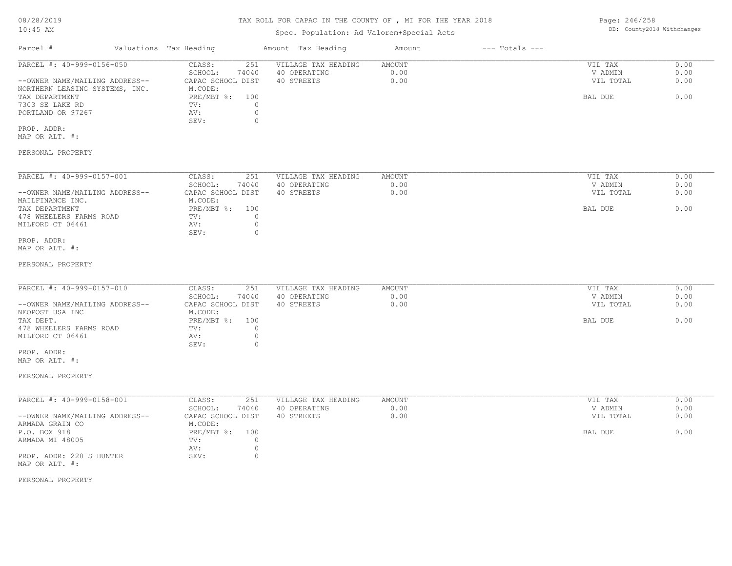## Spec. Population: Ad Valorem+Special Acts

Page: 246/258 DB: County2018 Withchanges

| Parcel #                       | Valuations Tax Heading |       | Amount Tax Heading  | Amount | $---$ Totals $---$ |           |      |
|--------------------------------|------------------------|-------|---------------------|--------|--------------------|-----------|------|
| PARCEL #: 40-999-0156-050      | CLASS:                 | 251   | VILLAGE TAX HEADING | AMOUNT |                    | VIL TAX   | 0.00 |
|                                | SCHOOL:                | 74040 | 40 OPERATING        | 0.00   |                    | V ADMIN   | 0.00 |
| --OWNER NAME/MAILING ADDRESS-- | CAPAC SCHOOL DIST      |       | 40 STREETS          | 0.00   |                    | VIL TOTAL | 0.00 |
| NORTHERN LEASING SYSTEMS, INC. | M.CODE:                |       |                     |        |                    |           |      |
| TAX DEPARTMENT                 | PRE/MBT %:             | 100   |                     |        |                    | BAL DUE   | 0.00 |
| 7303 SE LAKE RD                | TV:                    |       |                     |        |                    |           |      |
| PORTLAND OR 97267              | AV:                    |       |                     |        |                    |           |      |
|                                | SEV:                   |       |                     |        |                    |           |      |
|                                |                        |       |                     |        |                    |           |      |

MAP OR ALT. #: PROP. ADDR:

## PERSONAL PROPERTY

| PARCEL #: 40-999-0157-001      | CLASS:            | 251   | VILLAGE TAX HEADING | AMOUNT | VIL TAX   | 0.00 |
|--------------------------------|-------------------|-------|---------------------|--------|-----------|------|
|                                | SCHOOL:           | 74040 | 40 OPERATING        | 0.00   | V ADMIN   | 0.00 |
| --OWNER NAME/MAILING ADDRESS-- | CAPAC SCHOOL DIST |       | 40 STREETS          | 0.00   | VIL TOTAL | 0.00 |
| MAILFINANCE INC.               | M.CODE:           |       |                     |        |           |      |
| TAX DEPARTMENT                 | PRE/MBT %:        | 100   |                     |        | BAL DUE   | 0.00 |
| 478 WHEELERS FARMS ROAD        | TV:               |       |                     |        |           |      |
| MILFORD CT 06461               | AV:               |       |                     |        |           |      |
|                                | SEV:              |       |                     |        |           |      |
| PROP. ADDR:                    |                   |       |                     |        |           |      |

MAP OR ALT. #:

#### PERSONAL PROPERTY

| PARCEL #: 40-999-0157-010      | 251<br>CLASS:     | VILLAGE TAX HEADING | AMOUNT | VIL TAX   | 0.00 |
|--------------------------------|-------------------|---------------------|--------|-----------|------|
|                                | 74040<br>SCHOOL:  | 40 OPERATING        | 0.00   | V ADMIN   | 0.00 |
| --OWNER NAME/MAILING ADDRESS-- | CAPAC SCHOOL DIST | 40 STREETS          | 0.00   | VIL TOTAL | 0.00 |
| NEOPOST USA INC                | M.CODE:           |                     |        |           |      |
| TAX DEPT.                      | PRE/MBT %: 100    |                     |        | BAL DUE   | 0.00 |
| 478 WHEELERS FARMS ROAD        | TV:               |                     |        |           |      |
| MILFORD CT 06461               | AV:               |                     |        |           |      |
|                                | SEV:              |                     |        |           |      |

MAP OR ALT. #: PROP. ADDR:

### PERSONAL PROPERTY

| PARCEL #: 40-999-0158-001      | CLASS:<br>251     | VILLAGE TAX HEADING | AMOUNT | VIL TAX   | 0.00 |
|--------------------------------|-------------------|---------------------|--------|-----------|------|
|                                | 74040<br>SCHOOL:  | 40 OPERATING        | 0.00   | V ADMIN   | 0.00 |
| --OWNER NAME/MAILING ADDRESS-- | CAPAC SCHOOL DIST | 40 STREETS          | 0.00   | VIL TOTAL | 0.00 |
| ARMADA GRAIN CO                | M.CODE:           |                     |        |           |      |
| P.O. BOX 918                   | PRE/MBT %:<br>100 |                     |        | BAL DUE   | 0.00 |
| ARMADA MI 48005                | TV:               |                     |        |           |      |
|                                | AV:               |                     |        |           |      |
| PROP. ADDR: 220 S HUNTER       | SEV:              |                     |        |           |      |
| MAP OR ALT. #:                 |                   |                     |        |           |      |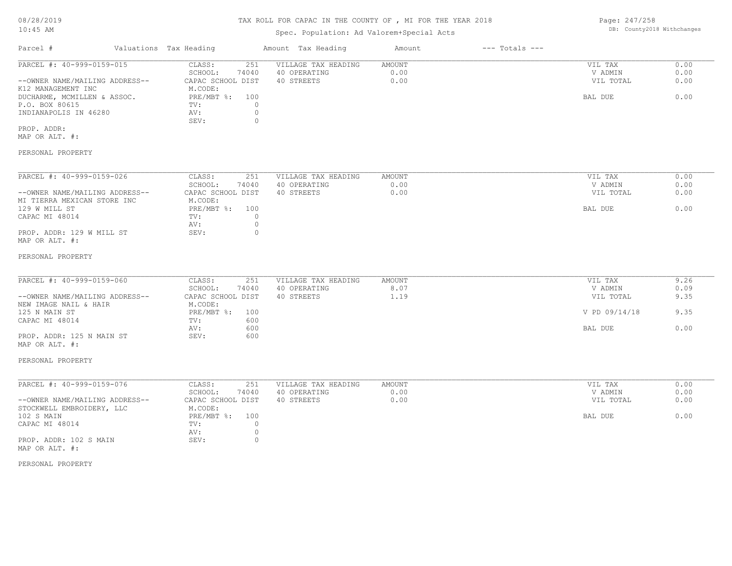# TAX ROLL FOR CAPAC IN THE COUNTY OF , MI FOR THE YEAR 2018

# Spec. Population: Ad Valorem+Special Acts

| Parcel #                       | Valuations Tax Heading |       | Amount Tax Heading  | Amount | $---$ Totals $---$ |           |      |
|--------------------------------|------------------------|-------|---------------------|--------|--------------------|-----------|------|
| PARCEL #: 40-999-0159-015      | CLASS:                 | 251   | VILLAGE TAX HEADING | AMOUNT |                    | VIL TAX   | 0.00 |
|                                | SCHOOL:                | 74040 | 40 OPERATING        | 0.00   |                    | V ADMIN   | 0.00 |
| --OWNER NAME/MAILING ADDRESS-- | CAPAC SCHOOL DIST      |       | 40 STREETS          | 0.00   |                    | VIL TOTAL | 0.00 |
| K12 MANAGEMENT INC             | M.CODE:                |       |                     |        |                    |           |      |
| DUCHARME, MCMILLEN & ASSOC.    | $PRE/MBT$ %:           | 100   |                     |        |                    | BAL DUE   | 0.00 |
| P.O. BOX 80615                 | TV:                    |       |                     |        |                    |           |      |
| INDIANAPOLIS IN 46280          | AV:                    |       |                     |        |                    |           |      |
|                                | SEV:                   |       |                     |        |                    |           |      |
| PROP. ADDR:                    |                        |       |                     |        |                    |           |      |

MAP OR ALT. #:

### PERSONAL PROPERTY

| PARCEL #: 40-999-0159-026      | CLASS:            | 251   | VILLAGE TAX HEADING | AMOUNT | VIL TAX   | 0.00 |
|--------------------------------|-------------------|-------|---------------------|--------|-----------|------|
|                                | SCHOOL:           | 74040 | 40 OPERATING        | 0.00   | V ADMIN   | 0.00 |
| --OWNER NAME/MAILING ADDRESS-- | CAPAC SCHOOL DIST |       | 40 STREETS          | 0.00   | VIL TOTAL | 0.00 |
| MI TIERRA MEXICAN STORE INC    | M.CODE:           |       |                     |        |           |      |
| 129 W MILL ST                  | PRE/MBT %:        | 100   |                     |        | BAL DUE   | 0.00 |
| CAPAC MI 48014                 | TV:               |       |                     |        |           |      |
|                                | AV:               |       |                     |        |           |      |
| PROP. ADDR: 129 W MILL ST      | SEV:              |       |                     |        |           |      |
| MAP OR ALT. #:                 |                   |       |                     |        |           |      |

#### PERSONAL PROPERTY

| PARCEL #: 40-999-0159-060      | CLASS:            | 251   | VILLAGE TAX HEADING | AMOUNT | VIL TAX       | 9.26 |
|--------------------------------|-------------------|-------|---------------------|--------|---------------|------|
|                                | SCHOOL:           | 74040 | 40 OPERATING        | 8.07   | V ADMIN       | 0.09 |
| --OWNER NAME/MAILING ADDRESS-- | CAPAC SCHOOL DIST |       | 40 STREETS          | 1.19   | VIL TOTAL     | 9.35 |
| NEW IMAGE NAIL & HAIR          | M.CODE:           |       |                     |        |               |      |
| 125 N MAIN ST                  | PRE/MBT %:        | 100   |                     |        | V PD 09/14/18 | 9.35 |
| CAPAC MI 48014                 | TV:               | 600   |                     |        |               |      |
|                                | AV:               | 600   |                     |        | BAL DUE       | 0.00 |
| PROP. ADDR: 125 N MAIN ST      | SEV:              | 600   |                     |        |               |      |
|                                |                   |       |                     |        |               |      |

# MAP OR ALT. #:

#### PERSONAL PROPERTY

| PARCEL #: 40-999-0159-076      | CLASS:<br>251     | VILLAGE TAX HEADING | AMOUNT | VIL TAX   | 0.00 |
|--------------------------------|-------------------|---------------------|--------|-----------|------|
|                                | 74040<br>SCHOOL:  | 40 OPERATING        | 0.00   | V ADMIN   | 0.00 |
| --OWNER NAME/MAILING ADDRESS-- | CAPAC SCHOOL DIST | 40 STREETS          | 0.00   | VIL TOTAL | 0.00 |
| STOCKWELL EMBROIDERY, LLC      | M.CODE:           |                     |        |           |      |
| 102 S MAIN                     | PRE/MBT %: 100    |                     |        | BAL DUE   | 0.00 |
| CAPAC MI 48014                 | TV:               |                     |        |           |      |
|                                | AV:               |                     |        |           |      |
| PROP. ADDR: 102 S MAIN         | SEV:              |                     |        |           |      |
| MAP OR ALT. #:                 |                   |                     |        |           |      |

#### PERSONAL PROPERTY

Page: 247/258 DB: County2018 Withchanges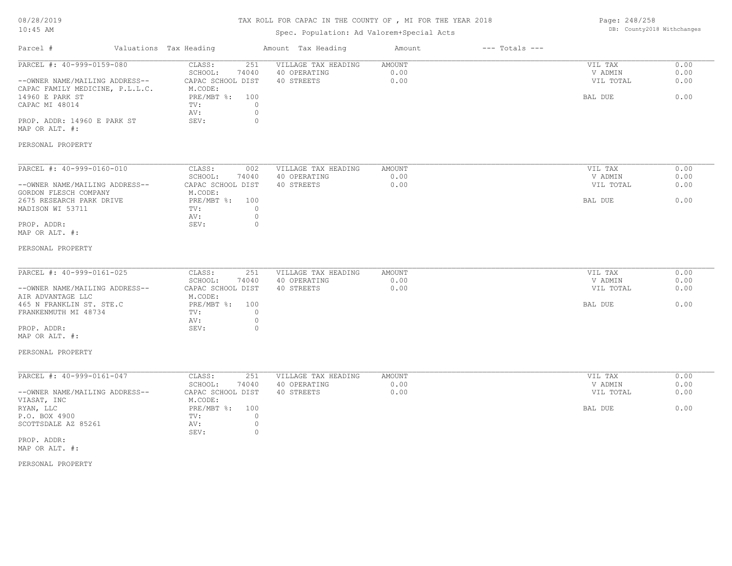# TAX ROLL FOR CAPAC IN THE COUNTY OF , MI FOR THE YEAR 2018

## Spec. Population: Ad Valorem+Special Acts

Page: 248/258 DB: County2018 Withchanges

| Parcel #                                                                                       | Valuations Tax Heading                                            | Amount Tax Heading                                | Amount                        | $---$ Totals $---$ |                                 |                      |
|------------------------------------------------------------------------------------------------|-------------------------------------------------------------------|---------------------------------------------------|-------------------------------|--------------------|---------------------------------|----------------------|
| PARCEL #: 40-999-0159-080<br>--OWNER NAME/MAILING ADDRESS--<br>CAPAC FAMILY MEDICINE, P.L.L.C. | CLASS:<br>251<br>SCHOOL:<br>74040<br>CAPAC SCHOOL DIST<br>M.CODE: | VILLAGE TAX HEADING<br>40 OPERATING<br>40 STREETS | <b>AMOUNT</b><br>0.00<br>0.00 |                    | VIL TAX<br>V ADMIN<br>VIL TOTAL | 0.00<br>0.00<br>0.00 |
| 14960 E PARK ST<br>CAPAC MI 48014                                                              | PRE/MBT %:<br>100<br>$\circ$<br>TV:<br>$\circ$<br>AV:             |                                                   |                               |                    | BAL DUE                         | 0.00                 |
| PROP. ADDR: 14960 E PARK ST<br>MAP OR ALT. #:                                                  | SEV:<br>0                                                         |                                                   |                               |                    |                                 |                      |
| PERSONAL PROPERTY                                                                              |                                                                   |                                                   |                               |                    |                                 |                      |
| PARCEL #: 40-999-0160-010                                                                      | CLASS:<br>002                                                     | VILLAGE TAX HEADING                               | AMOUNT                        |                    | VIL TAX                         | 0.00                 |
| --OWNER NAME/MAILING ADDRESS--                                                                 | SCHOOL:<br>74040<br>CAPAC SCHOOL DIST                             | 40 OPERATING<br>40 STREETS                        | 0.00<br>0.00                  |                    | V ADMIN<br>VIL TOTAL            | 0.00<br>0.00         |
| GORDON FLESCH COMPANY                                                                          | M.CODE:                                                           |                                                   |                               |                    |                                 |                      |
| 2675 RESEARCH PARK DRIVE<br>MADISON WI 53711                                                   | PRE/MBT %: 100<br>$\circ$<br>TV:<br>$\circ$<br>AV:                |                                                   |                               |                    | BAL DUE                         | 0.00                 |
| PROP. ADDR:<br>MAP OR ALT. #:                                                                  | SEV:<br>$\circ$                                                   |                                                   |                               |                    |                                 |                      |
| PERSONAL PROPERTY                                                                              |                                                                   |                                                   |                               |                    |                                 |                      |
| PARCEL #: 40-999-0161-025                                                                      | CLASS:<br>251                                                     | VILLAGE TAX HEADING                               | AMOUNT                        |                    | VIL TAX                         | 0.00                 |
|                                                                                                | SCHOOL:<br>74040                                                  | 40 OPERATING                                      | 0.00                          |                    | V ADMIN                         | 0.00<br>0.00         |
| --OWNER NAME/MAILING ADDRESS--<br>AIR ADVANTAGE LLC                                            | CAPAC SCHOOL DIST<br>M.CODE:                                      | 40 STREETS                                        | 0.00                          |                    | VIL TOTAL                       |                      |
| 465 N FRANKLIN ST. STE.C<br>FRANKENMUTH MI 48734                                               | $PRE/MBT$ %:<br>100<br>$\circ$<br>TV:                             |                                                   |                               |                    | BAL DUE                         | 0.00                 |
| PROP. ADDR:                                                                                    | $\circ$<br>AV:<br>$\circ$<br>SEV:                                 |                                                   |                               |                    |                                 |                      |
| MAP OR ALT. #:                                                                                 |                                                                   |                                                   |                               |                    |                                 |                      |
| PERSONAL PROPERTY                                                                              |                                                                   |                                                   |                               |                    |                                 |                      |
| PARCEL #: 40-999-0161-047                                                                      | CLASS:<br>251                                                     | VILLAGE TAX HEADING                               | AMOUNT                        |                    | VIL TAX                         | 0.00                 |
| --OWNER NAME/MAILING ADDRESS--                                                                 | SCHOOL:<br>74040<br>CAPAC SCHOOL DIST                             | 40 OPERATING<br>40 STREETS                        | 0.00<br>0.00                  |                    | V ADMIN<br>VIL TOTAL            | 0.00<br>0.00         |
| VIASAT, INC                                                                                    | M.CODE:                                                           |                                                   |                               |                    |                                 |                      |
| RYAN, LLC<br>P.O. BOX 4900                                                                     | $PRE/MBT$ %:<br>100<br>$\circ$<br>TV:                             |                                                   |                               |                    | BAL DUE                         | 0.00                 |
| SCOTTSDALE AZ 85261                                                                            | $\circ$<br>AV:                                                    |                                                   |                               |                    |                                 |                      |
| PROP. ADDR:                                                                                    | SEV:<br>$\circ$                                                   |                                                   |                               |                    |                                 |                      |
| MAP OR ALT. #:                                                                                 |                                                                   |                                                   |                               |                    |                                 |                      |
|                                                                                                |                                                                   |                                                   |                               |                    |                                 |                      |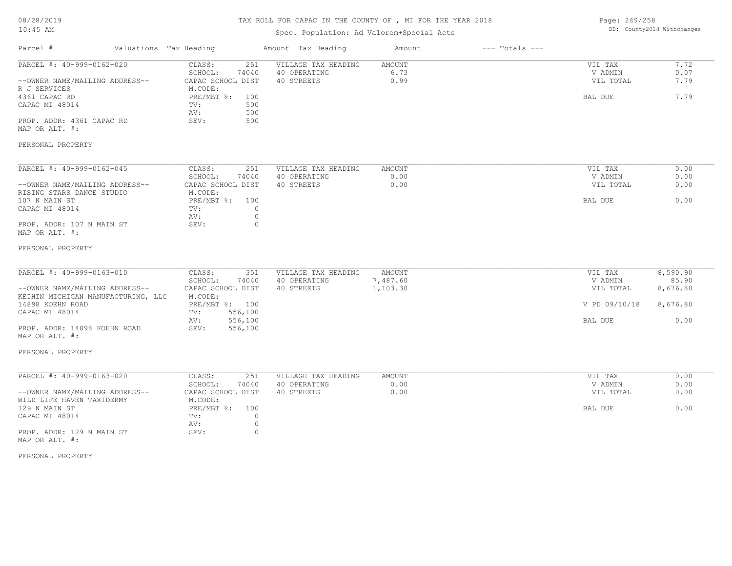# TAX ROLL FOR CAPAC IN THE COUNTY OF , MI FOR THE YEAR 2018

## Spec. Population: Ad Valorem+Special Acts

Page: 249/258 DB: County2018 Withchanges

| Parcel #                                       | Valuations Tax Heading |                              |            | Amount Tax Heading                  | Amount         | $---$ Totals $---$ |                    |              |
|------------------------------------------------|------------------------|------------------------------|------------|-------------------------------------|----------------|--------------------|--------------------|--------------|
| PARCEL #: 40-999-0162-020                      |                        | CLASS:                       | 251        | VILLAGE TAX HEADING                 | AMOUNT         |                    | VIL TAX            | 7.72         |
|                                                |                        | SCHOOL:                      | 74040      | 40 OPERATING                        | 6.73           |                    | V ADMIN            | 0.07         |
| --OWNER NAME/MAILING ADDRESS--<br>R J SERVICES |                        | CAPAC SCHOOL DIST<br>M.CODE: |            | 40 STREETS                          | 0.99           |                    | VIL TOTAL          | 7.79         |
| 4361 CAPAC RD                                  |                        | PRE/MBT %:                   | 100        |                                     |                |                    | BAL DUE            | 7.79         |
| CAPAC MI 48014                                 |                        | TV:<br>AV:                   | 500<br>500 |                                     |                |                    |                    |              |
| PROP. ADDR: 4361 CAPAC RD                      |                        | SEV:                         | 500        |                                     |                |                    |                    |              |
| MAP OR ALT. #:                                 |                        |                              |            |                                     |                |                    |                    |              |
| PERSONAL PROPERTY                              |                        |                              |            |                                     |                |                    |                    |              |
| PARCEL #: 40-999-0162-045                      |                        | CLASS:                       | 251        | VILLAGE TAX HEADING                 | <b>AMOUNT</b>  |                    | VIL TAX            | 0.00         |
|                                                |                        | SCHOOL:                      | 74040      | 40 OPERATING                        | 0.00           |                    | V ADMIN            | 0.00         |
| --OWNER NAME/MAILING ADDRESS--                 |                        | CAPAC SCHOOL DIST            |            | 40 STREETS                          | 0.00           |                    | VIL TOTAL          | 0.00         |
| RISING STARS DANCE STUDIO                      |                        | M.CODE:                      |            |                                     |                |                    |                    |              |
| 107 N MAIN ST                                  |                        | PRE/MBT %: 100               |            |                                     |                |                    | BAL DUE            | 0.00         |
| CAPAC MI 48014                                 |                        | TV:                          | $\circ$    |                                     |                |                    |                    |              |
|                                                |                        | AV:                          | $\circ$    |                                     |                |                    |                    |              |
| PROP. ADDR: 107 N MAIN ST<br>MAP OR ALT. #:    |                        | SEV:                         | $\Omega$   |                                     |                |                    |                    |              |
| PERSONAL PROPERTY                              |                        |                              |            |                                     |                |                    |                    |              |
| PARCEL #: 40-999-0163-010                      |                        | CLASS:                       | 351        | VILLAGE TAX HEADING                 | <b>AMOUNT</b>  |                    |                    | 8,590.90     |
|                                                |                        | SCHOOL:                      | 74040      | 40 OPERATING                        | 7,487.60       |                    | VIL TAX<br>V ADMIN | 85.90        |
| --OWNER NAME/MAILING ADDRESS--                 |                        | CAPAC SCHOOL DIST            |            | 40 STREETS                          | 1,103.30       |                    | VIL TOTAL          | 8,676.80     |
| KEIHIN MICHIGAN MANUFACTURING, LLC             |                        | M.CODE:                      |            |                                     |                |                    |                    |              |
| 14898 KOEHN ROAD                               |                        | PRE/MBT %: 100               |            |                                     |                |                    | V PD 09/10/18      | 8,676.80     |
| CAPAC MI 48014                                 |                        | 556,100<br>TV:               |            |                                     |                |                    |                    |              |
|                                                |                        | 556,100<br>AV:               |            |                                     |                |                    | BAL DUE            | 0.00         |
| PROP. ADDR: 14898 KOEHN ROAD<br>MAP OR ALT. #: |                        | SEV:<br>556,100              |            |                                     |                |                    |                    |              |
| PERSONAL PROPERTY                              |                        |                              |            |                                     |                |                    |                    |              |
|                                                |                        |                              |            |                                     |                |                    |                    |              |
| PARCEL #: 40-999-0163-020                      |                        | CLASS:<br>SCHOOL:            | 251        | VILLAGE TAX HEADING<br>40 OPERATING | AMOUNT<br>0.00 |                    | VIL TAX<br>V ADMIN | 0.00<br>0.00 |
| --OWNER NAME/MAILING ADDRESS--                 |                        | CAPAC SCHOOL DIST            | 74040      | 40 STREETS                          | 0.00           |                    | VIL TOTAL          | 0.00         |
| WILD LIFE HAVEN TAXIDERMY                      |                        | M.CODE:                      |            |                                     |                |                    |                    |              |
| 129 N MAIN ST                                  |                        | PRE/MBT %: 100               |            |                                     |                |                    | BAL DUE            | 0.00         |
| CAPAC MI 48014                                 |                        | TV:                          | $\circ$    |                                     |                |                    |                    |              |
|                                                |                        | AV:                          | $\circ$    |                                     |                |                    |                    |              |
| PROP. ADDR: 129 N MAIN ST<br>MAP OR ALT. #:    |                        | SEV:                         | $\circ$    |                                     |                |                    |                    |              |
|                                                |                        |                              |            |                                     |                |                    |                    |              |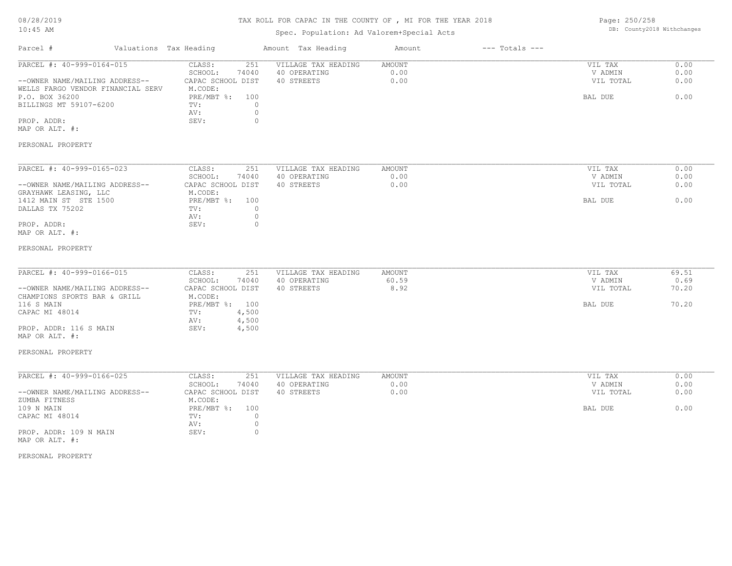| 08/28/2019 |  |
|------------|--|
| $10:45$ AM |  |

## Spec. Population: Ad Valorem+Special Acts

Page: 250/258 DB: County2018 Withchanges

| Parcel #                                 | Valuations Tax Heading           | Amount Tax Heading  | Amount | $---$ Totals $---$ |           |       |
|------------------------------------------|----------------------------------|---------------------|--------|--------------------|-----------|-------|
| PARCEL #: 40-999-0164-015                | CLASS:<br>251                    | VILLAGE TAX HEADING | AMOUNT |                    | VIL TAX   | 0.00  |
|                                          | SCHOOL:<br>74040                 | 40 OPERATING        | 0.00   |                    | V ADMIN   | 0.00  |
| --OWNER NAME/MAILING ADDRESS--           | CAPAC SCHOOL DIST                | 40 STREETS          | 0.00   |                    | VIL TOTAL | 0.00  |
| WELLS FARGO VENDOR FINANCIAL SERV        | M.CODE:                          |                     |        |                    |           |       |
| P.O. BOX 36200                           | $PRE/MBT$ %:<br>100              |                     |        |                    | BAL DUE   | 0.00  |
| BILLINGS MT 59107-6200                   | $\circ$<br>TV:                   |                     |        |                    |           |       |
|                                          | $\circ$<br>AV:                   |                     |        |                    |           |       |
| PROP. ADDR:                              | SEV:<br>$\circ$                  |                     |        |                    |           |       |
| MAP OR ALT. #:                           |                                  |                     |        |                    |           |       |
| PERSONAL PROPERTY                        |                                  |                     |        |                    |           |       |
| PARCEL #: 40-999-0165-023                | CLASS:<br>251                    | VILLAGE TAX HEADING | AMOUNT |                    | VIL TAX   | 0.00  |
|                                          | SCHOOL:<br>74040                 | 40 OPERATING        | 0.00   |                    | V ADMIN   | 0.00  |
| --OWNER NAME/MAILING ADDRESS--           | CAPAC SCHOOL DIST                | 40 STREETS          | 0.00   |                    | VIL TOTAL | 0.00  |
| GRAYHAWK LEASING, LLC                    | M.CODE:                          |                     |        |                    |           |       |
| 1412 MAIN ST STE 1500                    | $PRE/MBT$ $\frac{1}{6}$ :<br>100 |                     |        |                    | BAL DUE   | 0.00  |
| DALLAS TX 75202                          | TV:<br>0                         |                     |        |                    |           |       |
|                                          | AV:<br>0                         |                     |        |                    |           |       |
| PROP. ADDR:                              | SEV:<br>0                        |                     |        |                    |           |       |
| MAP OR ALT. #:                           |                                  |                     |        |                    |           |       |
| PERSONAL PROPERTY                        |                                  |                     |        |                    |           |       |
| PARCEL #: 40-999-0166-015                | CLASS:<br>251                    | VILLAGE TAX HEADING | AMOUNT |                    | VIL TAX   | 69.51 |
|                                          | SCHOOL:<br>74040                 | 40 OPERATING        | 60.59  |                    | V ADMIN   | 0.69  |
| --OWNER NAME/MAILING ADDRESS--           | CAPAC SCHOOL DIST                | 40 STREETS          | 8.92   |                    | VIL TOTAL | 70.20 |
| CHAMPIONS SPORTS BAR & GRILL             | M.CODE:                          |                     |        |                    |           |       |
| 116 S MAIN                               | PRE/MBT %: 100                   |                     |        |                    | BAL DUE   | 70.20 |
| CAPAC MI 48014                           | 4,500<br>TV:                     |                     |        |                    |           |       |
|                                          | 4,500<br>AV:                     |                     |        |                    |           |       |
| PROP. ADDR: 116 S MAIN                   | SEV:<br>4,500                    |                     |        |                    |           |       |
| MAP OR ALT. #:                           |                                  |                     |        |                    |           |       |
| PERSONAL PROPERTY                        |                                  |                     |        |                    |           |       |
| PARCEL #: 40-999-0166-025                | 251<br>CLASS:                    | VILLAGE TAX HEADING | AMOUNT |                    | VIL TAX   | 0.00  |
|                                          | SCHOOL:<br>74040                 | 40 OPERATING        | 0.00   |                    | V ADMIN   | 0.00  |
| --OWNER NAME/MAILING ADDRESS--           | CAPAC SCHOOL DIST                | 40 STREETS          | 0.00   |                    | VIL TOTAL | 0.00  |
| ZUMBA FITNESS                            | M.CODE:                          |                     |        |                    |           |       |
| 109 N MAIN                               | $PRE/MBT$ %:<br>100              |                     |        |                    | BAL DUE   | 0.00  |
| CAPAC MI 48014                           | TV:<br>$\circ$                   |                     |        |                    |           |       |
|                                          | AV:<br>0                         |                     |        |                    |           |       |
| PROP. ADDR: 109 N MAIN<br>MAP OR ALT. #: | $\circ$<br>SEV:                  |                     |        |                    |           |       |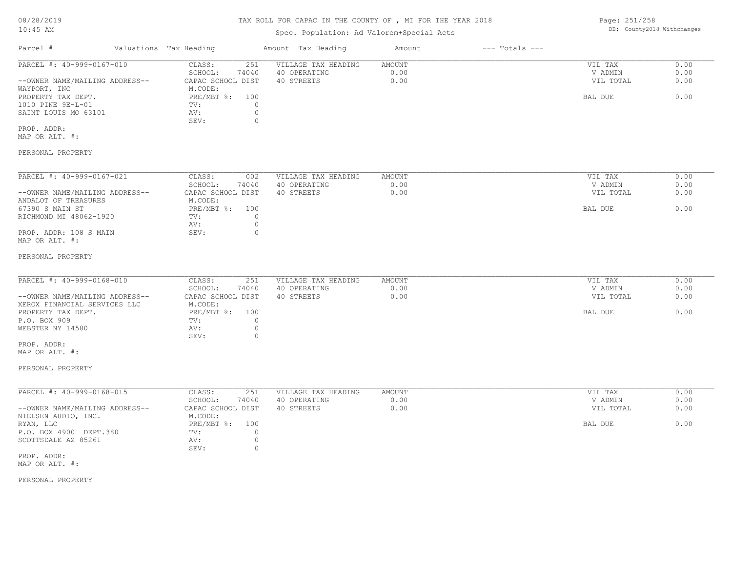Page: 251/258

| 0012012012                     |                        |                            |                     |               |                    |           |      |
|--------------------------------|------------------------|----------------------------|---------------------|---------------|--------------------|-----------|------|
| $10:45$ AM                     |                        | DB: County2018 Withchanges |                     |               |                    |           |      |
| Parcel #                       | Valuations Tax Heading |                            | Amount Tax Heading  | Amount        | $---$ Totals $---$ |           |      |
| PARCEL #: 40-999-0167-010      | CLASS:                 | 251                        | VILLAGE TAX HEADING | AMOUNT        |                    | VIL TAX   | 0.00 |
|                                | SCHOOL:                | 74040                      | 40 OPERATING        | 0.00          |                    | V ADMIN   | 0.00 |
| --OWNER NAME/MAILING ADDRESS-- | CAPAC SCHOOL DIST      |                            | 40 STREETS          | 0.00          |                    | VIL TOTAL | 0.00 |
| WAYPORT, INC                   | M.CODE:                |                            |                     |               |                    |           |      |
| PROPERTY TAX DEPT.             | PRE/MBT %:             | 100                        |                     |               |                    | BAL DUE   | 0.00 |
| 1010 PINE 9E-L-01              | TV:                    | $\circ$                    |                     |               |                    |           |      |
| SAINT LOUIS MO 63101           | AV:<br>SEV:            | $\circ$<br>$\circ$         |                     |               |                    |           |      |
| PROP. ADDR:                    |                        |                            |                     |               |                    |           |      |
| MAP OR ALT. #:                 |                        |                            |                     |               |                    |           |      |
| PERSONAL PROPERTY              |                        |                            |                     |               |                    |           |      |
| PARCEL #: 40-999-0167-021      | CLASS:                 | 002                        | VILLAGE TAX HEADING | <b>AMOUNT</b> |                    | VIL TAX   | 0.00 |
|                                | SCHOOL:                | 74040                      | 40 OPERATING        | 0.00          |                    | V ADMIN   | 0.00 |
| --OWNER NAME/MAILING ADDRESS-- | CAPAC SCHOOL DIST      |                            | 40 STREETS          | 0.00          |                    | VIL TOTAL | 0.00 |
| ANDALOT OF TREASURES           | M.CODE:                |                            |                     |               |                    |           |      |
| 67390 S MAIN ST                | PRE/MBT %:             | 100                        |                     |               |                    | BAL DUE   | 0.00 |
| RICHMOND MI 48062-1920         | TV:                    | $\circ$                    |                     |               |                    |           |      |
|                                | AV:                    | $\circ$                    |                     |               |                    |           |      |
| PROP. ADDR: 108 S MAIN         | SEV:                   | $\Omega$                   |                     |               |                    |           |      |
| MAP OR ALT. #:                 |                        |                            |                     |               |                    |           |      |
|                                |                        |                            |                     |               |                    |           |      |
| PERSONAL PROPERTY              |                        |                            |                     |               |                    |           |      |
|                                |                        |                            |                     |               |                    |           |      |
| PARCEL #: 40-999-0168-010      | CLASS:                 | 251                        | VILLAGE TAX HEADING | <b>AMOUNT</b> |                    | VIL TAX   | 0.00 |
|                                | SCHOOL:                | 74040                      | 40 OPERATING        | 0.00          |                    | V ADMIN   | 0.00 |
| --OWNER NAME/MAILING ADDRESS-- | CAPAC SCHOOL DIST      |                            | 40 STREETS          | 0.00          |                    | VIL TOTAL | 0.00 |
| XEROX FINANCIAL SERVICES LLC   | M.CODE:                |                            |                     |               |                    |           |      |
| PROPERTY TAX DEPT.             | PRE/MBT %:             | 100                        |                     |               |                    | BAL DUE   | 0.00 |
| P.O. BOX 909                   | TV:                    | $\circ$                    |                     |               |                    |           |      |
| WEBSTER NY 14580               | AV:                    | $\circ$                    |                     |               |                    |           |      |
|                                | SEV:                   | $\circ$                    |                     |               |                    |           |      |
| PROP. ADDR:                    |                        |                            |                     |               |                    |           |      |

MAP OR ALT. #:

### PERSONAL PROPERTY

| PARCEL #: 40-999-0168-015      | CLASS:            | 251              | VILLAGE TAX HEADING | AMOUNT | 0.00<br>VIL TAX   |
|--------------------------------|-------------------|------------------|---------------------|--------|-------------------|
|                                | SCHOOL:           | 74040            | 40 OPERATING        | 0.00   | 0.00<br>V ADMIN   |
| --OWNER NAME/MAILING ADDRESS-- | CAPAC SCHOOL DIST |                  | 40 STREETS          | 0.00   | 0.00<br>VIL TOTAL |
| NIELSEN AUDIO, INC.            | M.CODE:           |                  |                     |        |                   |
| RYAN, LLC                      | $PRE/MBT$ %:      | 100 <sub>1</sub> |                     |        | 0.00<br>BAL DUE   |
| P.O. BOX 4900 DEPT.380         | TV:               |                  |                     |        |                   |
| SCOTTSDALE AZ 85261            | AV:               |                  |                     |        |                   |
|                                | SEV:              |                  |                     |        |                   |
| PROP. ADDR:                    |                   |                  |                     |        |                   |

MAP OR ALT. #: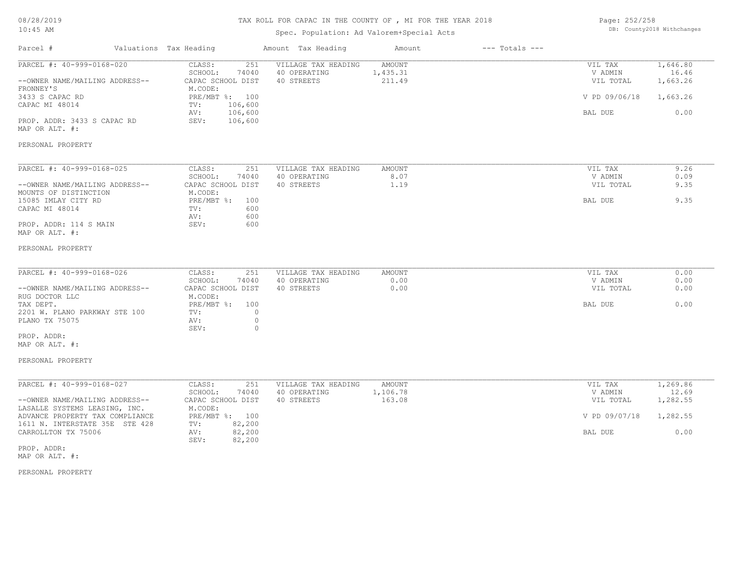# TAX ROLL FOR CAPAC IN THE COUNTY OF , MI FOR THE YEAR 2018

## Spec. Population: Ad Valorem+Special Acts

| Page: 252/258 |                            |
|---------------|----------------------------|
|               | DB: County2018 Withchanges |

| Parcel #                                                                                                                                                                            | Valuations Tax Heading                                                                                                                     | Amount Tax Heading                                | Amount                       | $---$ Totals $---$ |                                                             |                                                   |
|-------------------------------------------------------------------------------------------------------------------------------------------------------------------------------------|--------------------------------------------------------------------------------------------------------------------------------------------|---------------------------------------------------|------------------------------|--------------------|-------------------------------------------------------------|---------------------------------------------------|
| PARCEL #: 40-999-0168-020<br>--OWNER NAME/MAILING ADDRESS--<br>FRONNEY'S<br>3433 S CAPAC RD<br>CAPAC MI 48014<br>PROP. ADDR: 3433 S CAPAC RD<br>MAP OR ALT. #:<br>PERSONAL PROPERTY | CLASS:<br>251<br>SCHOOL:<br>74040<br>CAPAC SCHOOL DIST<br>M.CODE:<br>PRE/MBT %: 100<br>106,600<br>TV:<br>106,600<br>AV:<br>SEV:<br>106,600 | VILLAGE TAX HEADING<br>40 OPERATING<br>40 STREETS | AMOUNT<br>1,435.31<br>211.49 |                    | VIL TAX<br>V ADMIN<br>VIL TOTAL<br>V PD 09/06/18<br>BAL DUE | 1,646.80<br>16.46<br>1,663.26<br>1,663.26<br>0.00 |
|                                                                                                                                                                                     |                                                                                                                                            |                                                   |                              |                    |                                                             |                                                   |
| PARCEL #: 40-999-0168-025<br>--OWNER NAME/MAILING ADDRESS--<br>MOUNTS OF DISTINCTION<br>15085 IMLAY CITY RD<br>CAPAC MI 48014<br>PROP. ADDR: 114 S MAIN                             | CLASS:<br>251<br>SCHOOL:<br>74040<br>CAPAC SCHOOL DIST<br>M.CODE:<br>$PRE/MBT$ %:<br>100<br>600<br>TV:<br>600<br>AV:<br>SEV:<br>600        | VILLAGE TAX HEADING<br>40 OPERATING<br>40 STREETS | AMOUNT<br>8.07<br>1.19       |                    | VIL TAX<br>V ADMIN<br>VIL TOTAL<br>BAL DUE                  | 9.26<br>0.09<br>9.35<br>9.35                      |
| MAP OR ALT. #:<br>PERSONAL PROPERTY                                                                                                                                                 |                                                                                                                                            |                                                   |                              |                    |                                                             |                                                   |
| PARCEL #: 40-999-0168-026<br>--OWNER NAME/MAILING ADDRESS--<br>RUG DOCTOR LLC                                                                                                       | CLASS:<br>251<br>SCHOOL:<br>74040<br>CAPAC SCHOOL DIST<br>M.CODE:                                                                          | VILLAGE TAX HEADING<br>40 OPERATING<br>40 STREETS | AMOUNT<br>0.00<br>0.00       |                    | VIL TAX<br>V ADMIN<br>VIL TOTAL                             | 0.00<br>0.00<br>0.00                              |
| TAX DEPT.<br>2201 W. PLANO PARKWAY STE 100<br>PLANO TX 75075<br>PROP. ADDR:<br>MAP OR ALT. #:                                                                                       | PRE/MBT %:<br>100<br>TV:<br>AV:<br>SEV:                                                                                                    | 0<br>$\circ$<br>$\circ$                           |                              |                    | <b>BAL DUE</b>                                              | 0.00                                              |
| PERSONAL PROPERTY                                                                                                                                                                   |                                                                                                                                            |                                                   |                              |                    |                                                             |                                                   |
| PARCEL #: 40-999-0168-027<br>--OWNER NAME/MAILING ADDRESS--                                                                                                                         | CLASS:<br>251<br>SCHOOL:<br>74040<br>CAPAC SCHOOL DIST<br>M.CODE:                                                                          | VILLAGE TAX HEADING<br>40 OPERATING<br>40 STREETS | AMOUNT<br>1,106.78<br>163.08 |                    | VIL TAX<br>V ADMIN<br>VIL TOTAL                             | 1,269.86<br>12.69<br>1,282.55                     |
| LASALLE SYSTEMS LEASING, INC.<br>ADVANCE PROPERTY TAX COMPLIANCE<br>1611 N. INTERSTATE 35E STE 428<br>CARROLLTON TX 75006                                                           | PRE/MBT %: 100<br>82,200<br>TV:<br>82,200<br>AV:<br>82,200<br>SEV:                                                                         |                                                   |                              |                    | V PD 09/07/18<br>BAL DUE                                    | 1,282.55<br>0.00                                  |
| PROP. ADDR:<br>MAP OR ALT. #:                                                                                                                                                       |                                                                                                                                            |                                                   |                              |                    |                                                             |                                                   |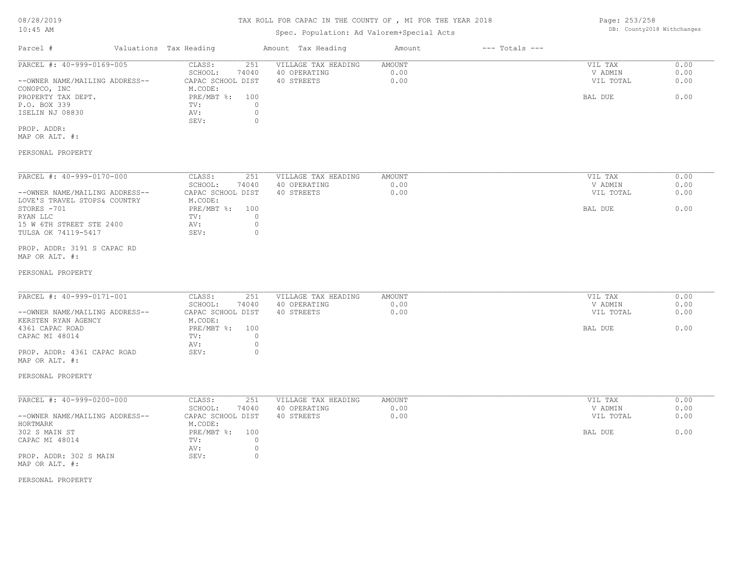# TAX ROLL FOR CAPAC IN THE COUNTY OF , MI FOR THE YEAR 2018

# Spec. Population: Ad Valorem+Special Acts

Page: 253/258 DB: County2018 Withchanges

| Parcel #                       | Valuations Tax Heading |       | Amount Tax Heading  | Amount | $---$ Totals $---$ |           |      |
|--------------------------------|------------------------|-------|---------------------|--------|--------------------|-----------|------|
| PARCEL #: 40-999-0169-005      | CLASS:                 | 251   | VILLAGE TAX HEADING | AMOUNT |                    | VIL TAX   | 0.00 |
|                                | SCHOOL:                | 74040 | 40 OPERATING        | 0.00   |                    | V ADMIN   | 0.00 |
| --OWNER NAME/MAILING ADDRESS-- | CAPAC SCHOOL DIST      |       | 40 STREETS          | 0.00   |                    | VIL TOTAL | 0.00 |
| CONOPCO, INC                   | M.CODE:                |       |                     |        |                    |           |      |
| PROPERTY TAX DEPT.             | PRE/MBT %: 100         |       |                     |        |                    | BAL DUE   | 0.00 |
| P.O. BOX 339                   | TV:                    |       |                     |        |                    |           |      |
| ISELIN NJ 08830                | AV:                    |       |                     |        |                    |           |      |
|                                | SEV:                   |       |                     |        |                    |           |      |
|                                |                        |       |                     |        |                    |           |      |

MAP OR ALT. #: PROP. ADDR:

## PERSONAL PROPERTY

| PARCEL #: 40-999-0170-000      | CLASS:            | 251   | VILLAGE TAX HEADING | AMOUNT | VIL TAX   | 0.00 |
|--------------------------------|-------------------|-------|---------------------|--------|-----------|------|
|                                | SCHOOL:           | 74040 | 40 OPERATING        | 0.00   | V ADMIN   | 0.00 |
| --OWNER NAME/MAILING ADDRESS-- | CAPAC SCHOOL DIST |       | 40 STREETS          | 0.00   | VIL TOTAL | 0.00 |
| LOVE'S TRAVEL STOPS& COUNTRY   | M.CODE:           |       |                     |        |           |      |
| STORES -701                    | $PRE/MBT$ %:      | 100   |                     |        | BAL DUE   | 0.00 |
| RYAN LLC                       | TV:               |       |                     |        |           |      |
| 15 W 6TH STREET STE 2400       | AV:               |       |                     |        |           |      |
| TULSA OK 74119-5417            | SEV:              |       |                     |        |           |      |

## MAP OR ALT. #: PROP. ADDR: 3191 S CAPAC RD

#### PERSONAL PROPERTY

| PARCEL #: 40-999-0171-001      | CLASS:<br>251     | VILLAGE TAX HEADING | AMOUNT | VIL TAX   | 0.00 |
|--------------------------------|-------------------|---------------------|--------|-----------|------|
|                                | 74040<br>SCHOOL:  | 40 OPERATING        | 0.00   | V ADMIN   | 0.00 |
| --OWNER NAME/MAILING ADDRESS-- | CAPAC SCHOOL DIST | 40 STREETS          | 0.00   | VIL TOTAL | 0.00 |
| KERSTEN RYAN AGENCY            | M.CODE:           |                     |        |           |      |
| 4361 CAPAC ROAD                | PRE/MBT %: 100    |                     |        | BAL DUE   | 0.00 |
| CAPAC MI 48014                 | TV:               |                     |        |           |      |
|                                | AV:               |                     |        |           |      |
| PROP. ADDR: 4361 CAPAC ROAD    | SEV:              |                     |        |           |      |
| MAP OR ALT. #:                 |                   |                     |        |           |      |

#### PERSONAL PROPERTY

| PARCEL #: 40-999-0200-000      | CLASS:<br>251       | VILLAGE TAX HEADING | AMOUNT | VIL TAX   | 0.00 |
|--------------------------------|---------------------|---------------------|--------|-----------|------|
|                                | 74040<br>SCHOOL:    | 40 OPERATING        | 0.00   | V ADMIN   | 0.00 |
| --OWNER NAME/MAILING ADDRESS-- | CAPAC SCHOOL DIST   | 40 STREETS          | 0.00   | VIL TOTAL | 0.00 |
| HORTMARK                       | M.CODE:             |                     |        |           |      |
| 302 S MAIN ST                  | $PRE/MBT$ %:<br>100 |                     |        | BAL DUE   | 0.00 |
| CAPAC MI 48014                 | TV:                 |                     |        |           |      |
|                                | AV:                 |                     |        |           |      |
| PROP. ADDR: 302 S MAIN         | SEV:                |                     |        |           |      |
| MAP OR ALT. #:                 |                     |                     |        |           |      |

## PERSONAL PROPERTY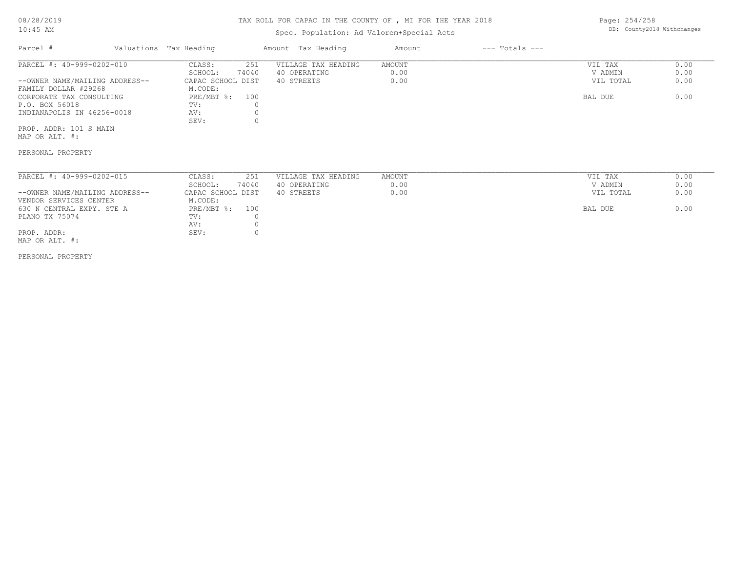#### TAX ROLL FOR CAPAC IN THE COUNTY OF , MI FOR THE YEAR 2018

## Spec. Population: Ad Valorem+Special Acts

Parcel # Valuations Tax Heading Amount Tax Heading Amount --- Totals ---SEV: 0 INDIANAPOLIS IN 46256-0018 AV: 0<br>SEV: 0 P.O. BOX 56018 TV: 0 CORPORATE TAX CONSULTING **EXAMPLE PRE/MBT %:** 100 BAL DUE 6.00 FAMILY DOLLAR #29268 M.CODE: --OWNER NAME/MAILING ADDRESS-- CAPAC SCHOOL DIST 40 STREETS 0.00 VIL TOTAL 0.00 SCHOOL: 74040 40 OPERATING 0.00 V ADMIN 0.00 PARCEL #: 40-999-0202-010 CLASS: 251 VILLAGE TAX HEADING AMOUNT AMOUNT VIL TAX 0.00<br>SCHOOL: 74040 40 OPERATING 0.00 000 VADMIN 0.00  $\mathcal{L}_\mathcal{L} = \mathcal{L}_\mathcal{L} = \mathcal{L}_\mathcal{L} = \mathcal{L}_\mathcal{L} = \mathcal{L}_\mathcal{L} = \mathcal{L}_\mathcal{L} = \mathcal{L}_\mathcal{L} = \mathcal{L}_\mathcal{L} = \mathcal{L}_\mathcal{L} = \mathcal{L}_\mathcal{L} = \mathcal{L}_\mathcal{L} = \mathcal{L}_\mathcal{L} = \mathcal{L}_\mathcal{L} = \mathcal{L}_\mathcal{L} = \mathcal{L}_\mathcal{L} = \mathcal{L}_\mathcal{L} = \mathcal{L}_\mathcal{L}$ 

MAP OR ALT. #: PROP. ADDR: 101 S MAIN

PERSONAL PROPERTY

| PARCEL #: 40-999-0202-015      | CLASS:            | 251   | VILLAGE TAX HEADING | AMOUNT | 0.00<br>VIL TAX   |
|--------------------------------|-------------------|-------|---------------------|--------|-------------------|
|                                | SCHOOL:           | 74040 | 40 OPERATING        | 0.00   | 0.00<br>V ADMIN   |
| --OWNER NAME/MAILING ADDRESS-- | CAPAC SCHOOL DIST |       | 40 STREETS          | 0.00   | 0.00<br>VIL TOTAL |
| VENDOR SERVICES CENTER         | M.CODE:           |       |                     |        |                   |
| 630 N CENTRAL EXPY. STE A      | $PRE/MBT$ %:      | 100   |                     |        | 0.00<br>BAL DUE   |
| PLANO TX 75074                 | TV:               |       |                     |        |                   |
|                                | AV:               |       |                     |        |                   |
| PROP. ADDR:                    | SEV:              |       |                     |        |                   |

MAP OR ALT. #:

PERSONAL PROPERTY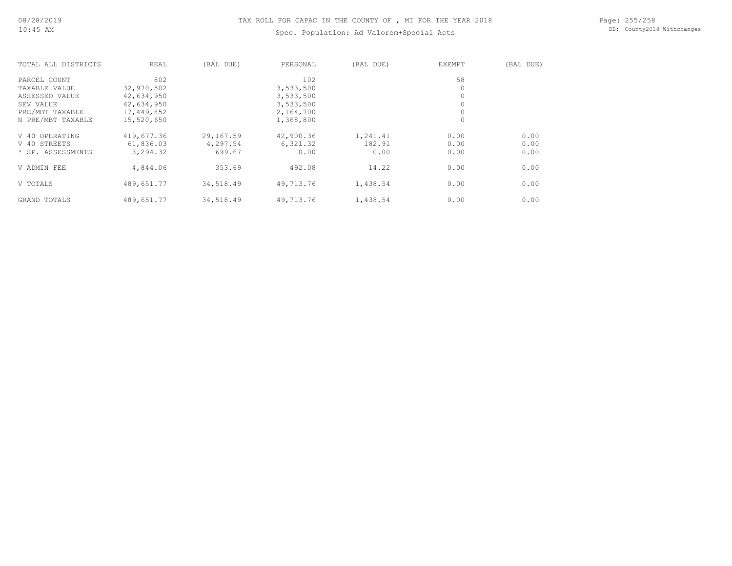# TAX ROLL FOR CAPAC IN THE COUNTY OF , MI FOR THE YEAR 2018

# Spec. Population: Ad Valorem+Special Acts

Page: 255/258 DB: County2018 Withchanges

| TOTAL ALL DISTRICTS | REAL       | (BAL DUE) | PERSONAL  | (BAL DUE) | EXEMPT   | (BAL DUE) |
|---------------------|------------|-----------|-----------|-----------|----------|-----------|
| PARCEL COUNT        | 802        |           | 102       |           | 58       |           |
| TAXABLE VALUE       | 32,970,502 |           | 3,533,500 |           | $\Omega$ |           |
| ASSESSED VALUE      | 42,634,950 |           | 3,533,500 |           |          |           |
| SEV VALUE           | 42,634,950 |           | 3,533,500 |           |          |           |
| PRE/MBT TAXABLE     | 17,449,852 |           | 2,164,700 |           |          |           |
| N PRE/MBT TAXABLE   | 15,520,650 |           | 1,368,800 |           | 0        |           |
| V 40 OPERATING      | 419,677.36 | 29,167.59 | 42,900.36 | 1,241.41  | 0.00     | 0.00      |
| V 40 STREETS        | 61,836.03  | 4,297.54  | 6,321.32  | 182.91    | 0.00     | 0.00      |
| * SP. ASSESSMENTS   | 3,294.32   | 699.67    | 0.00      | 0.00      | 0.00     | 0.00      |
| V ADMIN FEE         | 4,844.06   | 353.69    | 492.08    | 14.22     | 0.00     | 0.00      |
| V TOTALS            | 489,651.77 | 34,518.49 | 49,713.76 | 1,438.54  | 0.00     | 0.00      |
| GRAND TOTALS        | 489,651.77 | 34,518.49 | 49,713.76 | 1,438.54  | 0.00     | 0.00      |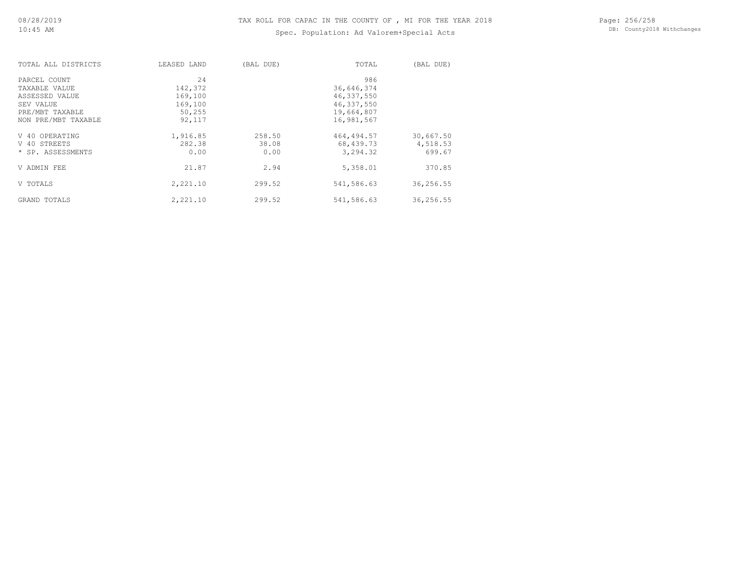# Spec. Population: Ad Valorem+Special Acts

| TOTAL ALL DISTRICTS | LEASED LAND | (BAL DUE) | TOTAL        | (BAL DUE) |
|---------------------|-------------|-----------|--------------|-----------|
| PARCEL COUNT        | 24          |           | 986          |           |
| TAXABLE VALUE       | 142,372     |           | 36,646,374   |           |
| ASSESSED VALUE      | 169,100     |           | 46, 337, 550 |           |
| SEV VALUE           | 169,100     |           | 46,337,550   |           |
| PRE/MBT TAXABLE     | 50,255      |           | 19,664,807   |           |
| NON PRE/MBT TAXABLE | 92,117      |           | 16,981,567   |           |
| V 40 OPERATING      | 1,916.85    | 258.50    | 464,494.57   | 30,667.50 |
| V 40 STREETS        | 282.38      | 38.08     | 68,439.73    | 4,518.53  |
| * SP. ASSESSMENTS   | 0.00        | 0.00      | 3,294.32     | 699.67    |
| V ADMIN FEE         | 21.87       | 2.94      | 5,358.01     | 370.85    |
| V TOTALS            | 2,221.10    | 299.52    | 541,586.63   | 36,256.55 |
| GRAND TOTALS        | 2,221.10    | 299.52    | 541,586.63   | 36,256.55 |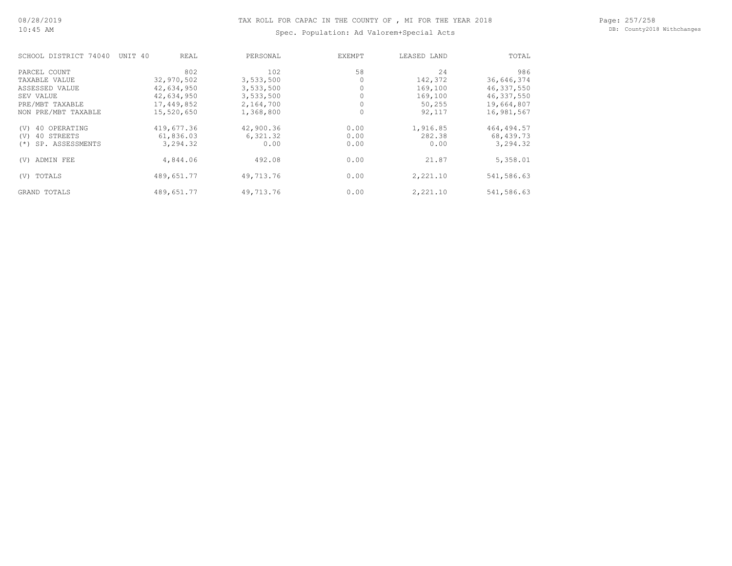Page: 257/258 DB: County2018 Withchanges

|  |  |  | Spec. Population: Ad Valorem+Special Acts |  |
|--|--|--|-------------------------------------------|--|
|--|--|--|-------------------------------------------|--|

| SCHOOL DISTRICT 74040     | UNIT 40<br>REAL | PERSONAL  | EXEMPT | LEASED LAND | TOTAL        |
|---------------------------|-----------------|-----------|--------|-------------|--------------|
| PARCEL COUNT              | 802             | 102       | 58     | 24          | 986          |
| TAXABLE VALUE             | 32,970,502      | 3,533,500 |        | 142,372     | 36,646,374   |
| ASSESSED VALUE            | 42,634,950      | 3,533,500 |        | 169,100     | 46, 337, 550 |
| SEV VALUE                 | 42,634,950      | 3,533,500 |        | 169,100     | 46,337,550   |
| PRE/MBT TAXABLE           | 17,449,852      | 2,164,700 |        | 50,255      | 19,664,807   |
| NON PRE/MBT TAXABLE       | 15,520,650      | 1,368,800 | 0      | 92,117      | 16,981,567   |
| 40 OPERATING<br>(V)       | 419,677.36      | 42,900.36 | 0.00   | 1,916.85    | 464, 494.57  |
| 40 STREETS<br>(V)         | 61,836.03       | 6,321.32  | 0.00   | 282.38      | 68,439.73    |
| SP. ASSESSMENTS<br>$(* )$ | 3,294.32        | 0.00      | 0.00   | 0.00        | 3,294.32     |
| ADMIN FEE<br>(V)          | 4,844.06        | 492.08    | 0.00   | 21.87       | 5,358.01     |
| TOTALS<br>(V)             | 489,651.77      | 49,713.76 | 0.00   | 2,221.10    | 541,586.63   |
| GRAND TOTALS              | 489,651.77      | 49,713.76 | 0.00   | 2,221.10    | 541,586.63   |